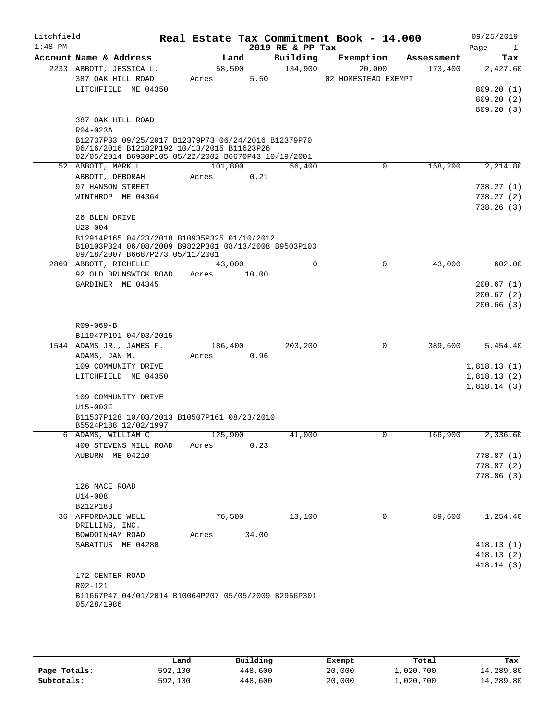| Litchfield<br>$1:48$ PM |                              |                                                                                                                                                          |         |         |       | Real Estate Tax Commitment Book - 14.000<br>2019 RE & PP Tax |                               |            | 09/25/2019<br>Page<br>$\mathbf{1}$ |
|-------------------------|------------------------------|----------------------------------------------------------------------------------------------------------------------------------------------------------|---------|---------|-------|--------------------------------------------------------------|-------------------------------|------------|------------------------------------|
|                         |                              | Account Name & Address                                                                                                                                   |         | Land    |       | Building                                                     | Exemption                     | Assessment | Tax                                |
|                         |                              | 2233 ABBOTT, JESSICA L.<br>387 OAK HILL ROAD                                                                                                             | Acres   | 58,500  | 5.50  | 134,900                                                      | 20,000<br>02 HOMESTEAD EXEMPT | 173,400    | 2,427.60                           |
|                         |                              | LITCHFIELD ME 04350                                                                                                                                      |         |         |       |                                                              |                               |            | 809.20(1)                          |
|                         |                              |                                                                                                                                                          |         |         |       |                                                              |                               |            | 809.20(2)                          |
|                         |                              |                                                                                                                                                          |         |         |       |                                                              |                               |            | 809.20(3)                          |
|                         | $R04 - 023A$                 | 387 OAK HILL ROAD                                                                                                                                        |         |         |       |                                                              |                               |            |                                    |
|                         |                              | B12737P33 09/25/2017 B12379P73 06/24/2016 B12379P70<br>06/16/2016 B12182P192 10/13/2015 B11623P26<br>02/05/2014 B6930P105 05/22/2002 B6670P43 10/19/2001 |         |         |       |                                                              |                               |            |                                    |
|                         | 52 ABBOTT, MARK L            |                                                                                                                                                          |         | 101,800 |       | 56,400                                                       | $\mathbf 0$                   | 158,200    | 2,214.80                           |
|                         | ABBOTT, DEBORAH              |                                                                                                                                                          | Acres   |         | 0.21  |                                                              |                               |            |                                    |
|                         |                              | 97 HANSON STREET                                                                                                                                         |         |         |       |                                                              |                               |            | 738.27(1)                          |
|                         |                              | WINTHROP ME 04364                                                                                                                                        |         |         |       |                                                              |                               |            | 738.27(2)                          |
|                         |                              |                                                                                                                                                          |         |         |       |                                                              |                               |            | 738.26(3)                          |
|                         | 26 BLEN DRIVE                |                                                                                                                                                          |         |         |       |                                                              |                               |            |                                    |
|                         | $U23 - 004$                  |                                                                                                                                                          |         |         |       |                                                              |                               |            |                                    |
|                         |                              | B12914P165 04/23/2018 B10935P325 01/10/2012<br>B10103P324 06/08/2009 B9822P301 08/13/2008 B9503P103                                                      |         |         |       |                                                              |                               |            |                                    |
|                         |                              | 09/18/2007 B6687P273 05/11/2001<br>2869 ABBOTT, RICHELLE                                                                                                 |         | 43,000  |       | $\mathbf 0$                                                  | $\mathbf 0$                   | 43,000     | 602.00                             |
|                         |                              | 92 OLD BRUNSWICK ROAD                                                                                                                                    | Acres   |         | 10.00 |                                                              |                               |            |                                    |
|                         |                              | GARDINER ME 04345                                                                                                                                        |         |         |       |                                                              |                               |            | 200.67(1)                          |
|                         |                              |                                                                                                                                                          |         |         |       |                                                              |                               |            | 200.67(2)                          |
|                         |                              |                                                                                                                                                          |         |         |       |                                                              |                               |            | 200.66(3)                          |
|                         |                              |                                                                                                                                                          |         |         |       |                                                              |                               |            |                                    |
|                         | $R09 - 069 - B$              |                                                                                                                                                          |         |         |       |                                                              |                               |            |                                    |
|                         |                              | B11947P191 04/03/2015                                                                                                                                    |         |         |       |                                                              |                               |            |                                    |
|                         |                              | 1544 ADAMS JR., JAMES F.                                                                                                                                 |         | 186,400 |       | 203,200                                                      | 0                             | 389,600    | 5,454.40                           |
|                         | ADAMS, JAN M.                |                                                                                                                                                          | Acres   |         | 0.96  |                                                              |                               |            |                                    |
|                         |                              | 109 COMMUNITY DRIVE                                                                                                                                      |         |         |       |                                                              |                               |            | 1,818.13(1)                        |
|                         |                              | LITCHFIELD ME 04350                                                                                                                                      |         |         |       |                                                              |                               |            | 1,818.13(2)                        |
|                         |                              |                                                                                                                                                          |         |         |       |                                                              |                               |            | 1,818.14(3)                        |
|                         |                              | 109 COMMUNITY DRIVE                                                                                                                                      |         |         |       |                                                              |                               |            |                                    |
|                         | U15-003E                     |                                                                                                                                                          |         |         |       |                                                              |                               |            |                                    |
|                         |                              | B11537P128 10/03/2013 B10507P161 08/23/2010<br>B5524P188 12/02/1997                                                                                      |         |         |       |                                                              |                               |            |                                    |
|                         |                              | 6 ADAMS, WILLIAM C                                                                                                                                       | 125,900 |         |       | 41,000                                                       | $\mathbf 0$                   | 166,900    | 2,336.60                           |
|                         |                              | 400 STEVENS MILL ROAD                                                                                                                                    | Acres   |         | 0.23  |                                                              |                               |            |                                    |
|                         |                              | AUBURN ME 04210                                                                                                                                          |         |         |       |                                                              |                               |            | 778.87 (1)                         |
|                         |                              |                                                                                                                                                          |         |         |       |                                                              |                               |            | 778.87(2)                          |
|                         |                              |                                                                                                                                                          |         |         |       |                                                              |                               |            | 778.86(3)                          |
|                         | 126 MACE ROAD<br>$U14 - 008$ |                                                                                                                                                          |         |         |       |                                                              |                               |            |                                    |
|                         | B212P183                     |                                                                                                                                                          |         |         |       |                                                              |                               |            |                                    |
|                         | 36 AFFORDABLE WELL           |                                                                                                                                                          |         | 76,500  |       | 13,100                                                       | $\mathbf 0$                   | 89,600     | 1,254.40                           |
|                         | DRILLING, INC.               |                                                                                                                                                          |         |         |       |                                                              |                               |            |                                    |
|                         | BOWDOINHAM ROAD              |                                                                                                                                                          | Acres   |         | 34.00 |                                                              |                               |            |                                    |
|                         |                              | SABATTUS ME 04280                                                                                                                                        |         |         |       |                                                              |                               |            | 418.13(1)                          |
|                         |                              |                                                                                                                                                          |         |         |       |                                                              |                               |            | 418.13(2)                          |
|                         |                              |                                                                                                                                                          |         |         |       |                                                              |                               |            | 418.14(3)                          |
|                         | 172 CENTER ROAD              |                                                                                                                                                          |         |         |       |                                                              |                               |            |                                    |
|                         | R02-121                      |                                                                                                                                                          |         |         |       |                                                              |                               |            |                                    |
|                         |                              | B11667P47 04/01/2014 B10064P207 05/05/2009 B2956P301                                                                                                     |         |         |       |                                                              |                               |            |                                    |
|                         | 05/28/1986                   |                                                                                                                                                          |         |         |       |                                                              |                               |            |                                    |
|                         |                              |                                                                                                                                                          |         |         |       |                                                              |                               |            |                                    |

|              | Land    | Building | Exempt | Total     | Tax       |
|--------------|---------|----------|--------|-----------|-----------|
| Page Totals: | 592,100 | 448,600  | 20,000 | l,020,700 | 14,289.80 |
| Subtotals:   | 592,100 | 448,600  | 20,000 | l,020,700 | 14,289.80 |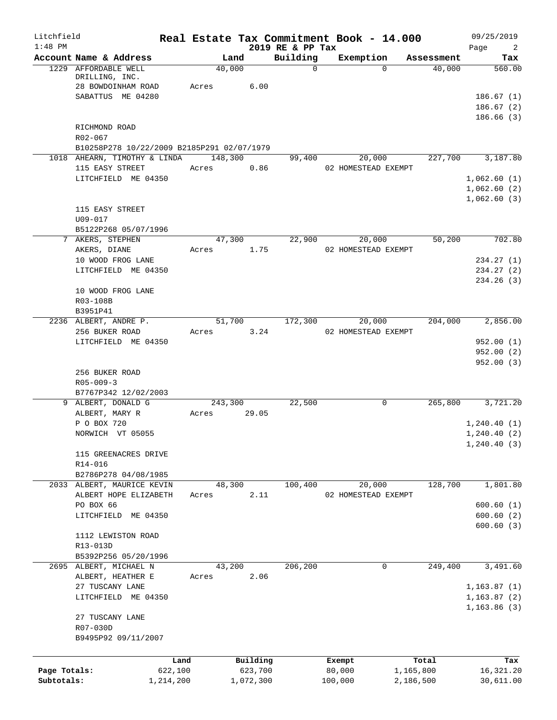| Litchfield<br>$1:48$ PM |                                                              | Real Estate Tax Commitment Book - 14.000 |                     | 2019 RE & PP Tax |                     |          |                    | 09/25/2019<br>$\overline{\phantom{a}}$<br>Page |
|-------------------------|--------------------------------------------------------------|------------------------------------------|---------------------|------------------|---------------------|----------|--------------------|------------------------------------------------|
|                         | Account Name & Address                                       | Land                                     |                     | Building         | Exemption           |          | Assessment         | Tax                                            |
|                         | 1229 AFFORDABLE WELL<br>DRILLING, INC.<br>28 BOWDOINHAM ROAD | 40,000<br>Acres                          | 6.00                | $\mathbf 0$      |                     | $\Omega$ | 40,000             | 560.00                                         |
|                         | SABATTUS ME 04280                                            |                                          |                     |                  |                     |          |                    | 186.67(1)<br>186.67(2)                         |
|                         | RICHMOND ROAD                                                |                                          |                     |                  |                     |          |                    | 186.66(3)                                      |
|                         | R02-067                                                      |                                          |                     |                  |                     |          |                    |                                                |
|                         | B10258P278 10/22/2009 B2185P291 02/07/1979                   |                                          |                     |                  |                     |          |                    |                                                |
|                         | 1018 AHEARN, TIMOTHY & LINDA 148,300                         |                                          |                     | 99,400           |                     | 20,000   | 227,700            | 3,187.80                                       |
|                         | 115 EASY STREET                                              | Acres                                    | 0.86                |                  | 02 HOMESTEAD EXEMPT |          |                    |                                                |
|                         | LITCHFIELD ME 04350                                          |                                          |                     |                  |                     |          |                    | 1,062.60(1)                                    |
|                         |                                                              |                                          |                     |                  |                     |          |                    | 1,062.60(2)<br>1,062.60(3)                     |
|                         | 115 EASY STREET                                              |                                          |                     |                  |                     |          |                    |                                                |
|                         | U09-017                                                      |                                          |                     |                  |                     |          |                    |                                                |
|                         | B5122P268 05/07/1996                                         |                                          |                     |                  |                     |          |                    |                                                |
|                         | 7 AKERS, STEPHEN                                             | 47,300                                   |                     | 22,900           |                     | 20,000   | 50,200             | 702.80                                         |
|                         | AKERS, DIANE                                                 | Acres                                    | 1.75                |                  | 02 HOMESTEAD EXEMPT |          |                    |                                                |
|                         | 10 WOOD FROG LANE                                            |                                          |                     |                  |                     |          |                    | 234.27(1)                                      |
|                         | LITCHFIELD ME 04350                                          |                                          |                     |                  |                     |          |                    | 234.27 (2)                                     |
|                         | 10 WOOD FROG LANE                                            |                                          |                     |                  |                     |          |                    | 234.26 (3)                                     |
|                         | R03-108B                                                     |                                          |                     |                  |                     |          |                    |                                                |
|                         | B3951P41                                                     |                                          |                     |                  |                     |          |                    |                                                |
|                         | 2236 ALBERT, ANDRE P.                                        | 51,700                                   |                     | 172,300          |                     | 20,000   | 204,000            | 2,856.00                                       |
|                         | 256 BUKER ROAD                                               | Acres                                    | 3.24                |                  | 02 HOMESTEAD EXEMPT |          |                    |                                                |
|                         | LITCHFIELD ME 04350                                          |                                          |                     |                  |                     |          |                    | 952.00(1)                                      |
|                         |                                                              |                                          |                     |                  |                     |          |                    | 952.00(2)                                      |
|                         |                                                              |                                          |                     |                  |                     |          |                    | 952.00(3)                                      |
|                         | 256 BUKER ROAD<br>$R05 - 009 - 3$                            |                                          |                     |                  |                     |          |                    |                                                |
|                         | B7767P342 12/02/2003                                         |                                          |                     |                  |                     |          |                    |                                                |
|                         | 9 ALBERT, DONALD G                                           | 243,300                                  |                     | 22,500           |                     | 0        | 265,800            | 3,721.20                                       |
|                         | ALBERT, MARY R                                               | Acres                                    | 29.05               |                  |                     |          |                    |                                                |
|                         | P O BOX 720                                                  |                                          |                     |                  |                     |          |                    | 1,240.40(1)                                    |
|                         | NORWICH VT 05055                                             |                                          |                     |                  |                     |          |                    | 1, 240.40(2)                                   |
|                         |                                                              |                                          |                     |                  |                     |          |                    | 1, 240.40(3)                                   |
|                         | 115 GREENACRES DRIVE                                         |                                          |                     |                  |                     |          |                    |                                                |
|                         | R14-016<br>B2786P278 04/08/1985                              |                                          |                     |                  |                     |          |                    |                                                |
|                         | 2033 ALBERT, MAURICE KEVIN                                   | 48,300                                   |                     | 100,400          |                     | 20,000   | 128,700            | 1,801.80                                       |
|                         | ALBERT HOPE ELIZABETH                                        | Acres                                    | 2.11                |                  | 02 HOMESTEAD EXEMPT |          |                    |                                                |
|                         | PO BOX 66                                                    |                                          |                     |                  |                     |          |                    | 600.60(1)                                      |
|                         | LITCHFIELD ME 04350                                          |                                          |                     |                  |                     |          |                    | 600.60(2)                                      |
|                         |                                                              |                                          |                     |                  |                     |          |                    | 600.60(3)                                      |
|                         | 1112 LEWISTON ROAD                                           |                                          |                     |                  |                     |          |                    |                                                |
|                         | R13-013D                                                     |                                          |                     |                  |                     |          |                    |                                                |
|                         | B5392P256 05/20/1996                                         |                                          |                     |                  |                     |          |                    |                                                |
|                         | 2695 ALBERT, MICHAEL N<br>ALBERT, HEATHER E                  | 43,200<br>Acres                          | 2.06                | 206,200          |                     | 0        | 249,400            | 3,491.60                                       |
|                         | 27 TUSCANY LANE                                              |                                          |                     |                  |                     |          |                    | 1, 163.87(1)                                   |
|                         | LITCHFIELD ME 04350                                          |                                          |                     |                  |                     |          |                    | 1, 163.87(2)                                   |
|                         |                                                              |                                          |                     |                  |                     |          |                    | 1, 163.86(3)                                   |
|                         | 27 TUSCANY LANE                                              |                                          |                     |                  |                     |          |                    |                                                |
|                         | R07-030D                                                     |                                          |                     |                  |                     |          |                    |                                                |
|                         | B9495P92 09/11/2007                                          |                                          |                     |                  |                     |          |                    |                                                |
|                         |                                                              |                                          |                     |                  |                     |          |                    |                                                |
| Page Totals:            | Land<br>622,100                                              |                                          | Building<br>623,700 |                  | Exempt<br>80,000    |          | Total<br>1,165,800 | Tax<br>16,321.20                               |
| Subtotals:              | 1,214,200                                                    |                                          | 1,072,300           |                  | 100,000             |          | 2,186,500          | 30,611.00                                      |
|                         |                                                              |                                          |                     |                  |                     |          |                    |                                                |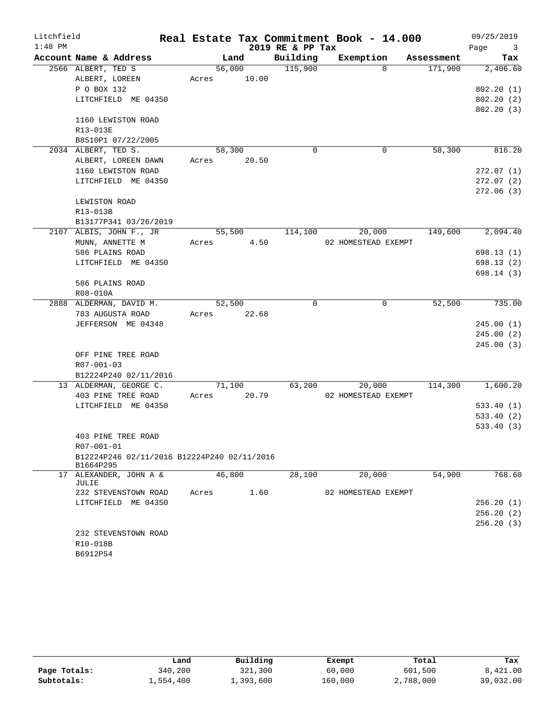| $1:48$ PM<br>2019 RE & PP Tax<br>Page<br>$\overline{\mathbf{3}}$<br>Account Name & Address<br>Land<br>Building<br>Exemption<br>Assessment<br>Tax<br>56,000<br>115,900<br>171,900<br>2566 ALBERT, TED S<br>$\Omega$<br>2,406.60<br>10.00<br>ALBERT, LOREEN<br>Acres<br>P O BOX 132<br>LITCHFIELD ME 04350<br>1160 LEWISTON ROAD<br>R13-013E<br>B8510P1 07/22/2005<br>2034 ALBERT, TED S.<br>58,300<br>$\mathbf 0$<br>58,300<br>0<br>ALBERT, LOREEN DAWN<br>Acres<br>20.50<br>1160 LEWISTON ROAD<br>LITCHFIELD ME 04350<br>LEWISTON ROAD<br>R13-013B<br>B13177P341 03/26/2019<br>2107 ALBIS, JOHN F., JR<br>55,500<br>114,100<br>20,000<br>149,600<br>4.50<br>MUNN, ANNETTE M<br>02 HOMESTEAD EXEMPT<br>Acres<br>586 PLAINS ROAD<br>LITCHFIELD ME 04350<br>586 PLAINS ROAD<br>R08-010A<br>2888 ALDERMAN, DAVID M.<br>52,500<br>0<br>$\mathbf 0$<br>52,500<br>783 AUGUSTA ROAD<br>22.68<br>Acres<br>JEFFERSON ME 04348<br>OFF PINE TREE ROAD<br>R07-001-03<br>B12224P240 02/11/2016<br>13 ALDERMAN, GEORGE C.<br>71,100<br>63,200<br>20,000<br>114,300<br>403 PINE TREE ROAD<br>20.79<br>02 HOMESTEAD EXEMPT<br>Acres<br>LITCHFIELD ME 04350<br>403 PINE TREE ROAD<br>R07-001-01<br>B12224P246 02/11/2016 B12224P240 02/11/2016<br>B1664P295<br>46,800<br>54,900<br>ALEXANDER, JOHN A &<br>28,100<br>20,000<br>17<br>JULIE<br>232 STEVENSTOWN ROAD<br>Acres<br>1.60<br>02 HOMESTEAD EXEMPT<br>LITCHFIELD ME 04350<br>232 STEVENSTOWN ROAD<br>R10-018B<br>B6912P54 | Litchfield |  |  |  | Real Estate Tax Commitment Book - 14.000 | 09/25/2019 |
|----------------------------------------------------------------------------------------------------------------------------------------------------------------------------------------------------------------------------------------------------------------------------------------------------------------------------------------------------------------------------------------------------------------------------------------------------------------------------------------------------------------------------------------------------------------------------------------------------------------------------------------------------------------------------------------------------------------------------------------------------------------------------------------------------------------------------------------------------------------------------------------------------------------------------------------------------------------------------------------------------------------------------------------------------------------------------------------------------------------------------------------------------------------------------------------------------------------------------------------------------------------------------------------------------------------------------------------------------------------------------------------------------------------------------------------------------------------|------------|--|--|--|------------------------------------------|------------|
|                                                                                                                                                                                                                                                                                                                                                                                                                                                                                                                                                                                                                                                                                                                                                                                                                                                                                                                                                                                                                                                                                                                                                                                                                                                                                                                                                                                                                                                                |            |  |  |  |                                          |            |
| 802.20(1)                                                                                                                                                                                                                                                                                                                                                                                                                                                                                                                                                                                                                                                                                                                                                                                                                                                                                                                                                                                                                                                                                                                                                                                                                                                                                                                                                                                                                                                      |            |  |  |  |                                          |            |
|                                                                                                                                                                                                                                                                                                                                                                                                                                                                                                                                                                                                                                                                                                                                                                                                                                                                                                                                                                                                                                                                                                                                                                                                                                                                                                                                                                                                                                                                |            |  |  |  |                                          |            |
| 802.20(2)<br>802.20(3)                                                                                                                                                                                                                                                                                                                                                                                                                                                                                                                                                                                                                                                                                                                                                                                                                                                                                                                                                                                                                                                                                                                                                                                                                                                                                                                                                                                                                                         |            |  |  |  |                                          |            |
|                                                                                                                                                                                                                                                                                                                                                                                                                                                                                                                                                                                                                                                                                                                                                                                                                                                                                                                                                                                                                                                                                                                                                                                                                                                                                                                                                                                                                                                                |            |  |  |  |                                          |            |
|                                                                                                                                                                                                                                                                                                                                                                                                                                                                                                                                                                                                                                                                                                                                                                                                                                                                                                                                                                                                                                                                                                                                                                                                                                                                                                                                                                                                                                                                |            |  |  |  |                                          |            |
|                                                                                                                                                                                                                                                                                                                                                                                                                                                                                                                                                                                                                                                                                                                                                                                                                                                                                                                                                                                                                                                                                                                                                                                                                                                                                                                                                                                                                                                                |            |  |  |  |                                          |            |
| 816.20                                                                                                                                                                                                                                                                                                                                                                                                                                                                                                                                                                                                                                                                                                                                                                                                                                                                                                                                                                                                                                                                                                                                                                                                                                                                                                                                                                                                                                                         |            |  |  |  |                                          |            |
|                                                                                                                                                                                                                                                                                                                                                                                                                                                                                                                                                                                                                                                                                                                                                                                                                                                                                                                                                                                                                                                                                                                                                                                                                                                                                                                                                                                                                                                                |            |  |  |  |                                          |            |
| 272.07(1)<br>272.07 (2)<br>272.06(3)<br>2,094.40<br>698.13 (1)<br>698.13 (2)<br>698.14 (3)<br>735.00<br>245.00(1)<br>245.00(2)<br>245.00(3)<br>1,600.20<br>533.40(1)<br>533.40(2)<br>533.40 (3)<br>768.60<br>256.20(1)<br>256.20(2)<br>256.20 (3)                                                                                                                                                                                                                                                                                                                                                                                                                                                                                                                                                                                                                                                                                                                                                                                                                                                                                                                                                                                                                                                                                                                                                                                                              |            |  |  |  |                                          |            |
|                                                                                                                                                                                                                                                                                                                                                                                                                                                                                                                                                                                                                                                                                                                                                                                                                                                                                                                                                                                                                                                                                                                                                                                                                                                                                                                                                                                                                                                                |            |  |  |  |                                          |            |
|                                                                                                                                                                                                                                                                                                                                                                                                                                                                                                                                                                                                                                                                                                                                                                                                                                                                                                                                                                                                                                                                                                                                                                                                                                                                                                                                                                                                                                                                |            |  |  |  |                                          |            |
|                                                                                                                                                                                                                                                                                                                                                                                                                                                                                                                                                                                                                                                                                                                                                                                                                                                                                                                                                                                                                                                                                                                                                                                                                                                                                                                                                                                                                                                                |            |  |  |  |                                          |            |
|                                                                                                                                                                                                                                                                                                                                                                                                                                                                                                                                                                                                                                                                                                                                                                                                                                                                                                                                                                                                                                                                                                                                                                                                                                                                                                                                                                                                                                                                |            |  |  |  |                                          |            |
|                                                                                                                                                                                                                                                                                                                                                                                                                                                                                                                                                                                                                                                                                                                                                                                                                                                                                                                                                                                                                                                                                                                                                                                                                                                                                                                                                                                                                                                                |            |  |  |  |                                          |            |
|                                                                                                                                                                                                                                                                                                                                                                                                                                                                                                                                                                                                                                                                                                                                                                                                                                                                                                                                                                                                                                                                                                                                                                                                                                                                                                                                                                                                                                                                |            |  |  |  |                                          |            |
|                                                                                                                                                                                                                                                                                                                                                                                                                                                                                                                                                                                                                                                                                                                                                                                                                                                                                                                                                                                                                                                                                                                                                                                                                                                                                                                                                                                                                                                                |            |  |  |  |                                          |            |
|                                                                                                                                                                                                                                                                                                                                                                                                                                                                                                                                                                                                                                                                                                                                                                                                                                                                                                                                                                                                                                                                                                                                                                                                                                                                                                                                                                                                                                                                |            |  |  |  |                                          |            |
|                                                                                                                                                                                                                                                                                                                                                                                                                                                                                                                                                                                                                                                                                                                                                                                                                                                                                                                                                                                                                                                                                                                                                                                                                                                                                                                                                                                                                                                                |            |  |  |  |                                          |            |
|                                                                                                                                                                                                                                                                                                                                                                                                                                                                                                                                                                                                                                                                                                                                                                                                                                                                                                                                                                                                                                                                                                                                                                                                                                                                                                                                                                                                                                                                |            |  |  |  |                                          |            |
|                                                                                                                                                                                                                                                                                                                                                                                                                                                                                                                                                                                                                                                                                                                                                                                                                                                                                                                                                                                                                                                                                                                                                                                                                                                                                                                                                                                                                                                                |            |  |  |  |                                          |            |
|                                                                                                                                                                                                                                                                                                                                                                                                                                                                                                                                                                                                                                                                                                                                                                                                                                                                                                                                                                                                                                                                                                                                                                                                                                                                                                                                                                                                                                                                |            |  |  |  |                                          |            |
|                                                                                                                                                                                                                                                                                                                                                                                                                                                                                                                                                                                                                                                                                                                                                                                                                                                                                                                                                                                                                                                                                                                                                                                                                                                                                                                                                                                                                                                                |            |  |  |  |                                          |            |
|                                                                                                                                                                                                                                                                                                                                                                                                                                                                                                                                                                                                                                                                                                                                                                                                                                                                                                                                                                                                                                                                                                                                                                                                                                                                                                                                                                                                                                                                |            |  |  |  |                                          |            |
|                                                                                                                                                                                                                                                                                                                                                                                                                                                                                                                                                                                                                                                                                                                                                                                                                                                                                                                                                                                                                                                                                                                                                                                                                                                                                                                                                                                                                                                                |            |  |  |  |                                          |            |
|                                                                                                                                                                                                                                                                                                                                                                                                                                                                                                                                                                                                                                                                                                                                                                                                                                                                                                                                                                                                                                                                                                                                                                                                                                                                                                                                                                                                                                                                |            |  |  |  |                                          |            |
|                                                                                                                                                                                                                                                                                                                                                                                                                                                                                                                                                                                                                                                                                                                                                                                                                                                                                                                                                                                                                                                                                                                                                                                                                                                                                                                                                                                                                                                                |            |  |  |  |                                          |            |
|                                                                                                                                                                                                                                                                                                                                                                                                                                                                                                                                                                                                                                                                                                                                                                                                                                                                                                                                                                                                                                                                                                                                                                                                                                                                                                                                                                                                                                                                |            |  |  |  |                                          |            |
|                                                                                                                                                                                                                                                                                                                                                                                                                                                                                                                                                                                                                                                                                                                                                                                                                                                                                                                                                                                                                                                                                                                                                                                                                                                                                                                                                                                                                                                                |            |  |  |  |                                          |            |
|                                                                                                                                                                                                                                                                                                                                                                                                                                                                                                                                                                                                                                                                                                                                                                                                                                                                                                                                                                                                                                                                                                                                                                                                                                                                                                                                                                                                                                                                |            |  |  |  |                                          |            |
|                                                                                                                                                                                                                                                                                                                                                                                                                                                                                                                                                                                                                                                                                                                                                                                                                                                                                                                                                                                                                                                                                                                                                                                                                                                                                                                                                                                                                                                                |            |  |  |  |                                          |            |
|                                                                                                                                                                                                                                                                                                                                                                                                                                                                                                                                                                                                                                                                                                                                                                                                                                                                                                                                                                                                                                                                                                                                                                                                                                                                                                                                                                                                                                                                |            |  |  |  |                                          |            |
|                                                                                                                                                                                                                                                                                                                                                                                                                                                                                                                                                                                                                                                                                                                                                                                                                                                                                                                                                                                                                                                                                                                                                                                                                                                                                                                                                                                                                                                                |            |  |  |  |                                          |            |
|                                                                                                                                                                                                                                                                                                                                                                                                                                                                                                                                                                                                                                                                                                                                                                                                                                                                                                                                                                                                                                                                                                                                                                                                                                                                                                                                                                                                                                                                |            |  |  |  |                                          |            |
|                                                                                                                                                                                                                                                                                                                                                                                                                                                                                                                                                                                                                                                                                                                                                                                                                                                                                                                                                                                                                                                                                                                                                                                                                                                                                                                                                                                                                                                                |            |  |  |  |                                          |            |
|                                                                                                                                                                                                                                                                                                                                                                                                                                                                                                                                                                                                                                                                                                                                                                                                                                                                                                                                                                                                                                                                                                                                                                                                                                                                                                                                                                                                                                                                |            |  |  |  |                                          |            |
|                                                                                                                                                                                                                                                                                                                                                                                                                                                                                                                                                                                                                                                                                                                                                                                                                                                                                                                                                                                                                                                                                                                                                                                                                                                                                                                                                                                                                                                                |            |  |  |  |                                          |            |
|                                                                                                                                                                                                                                                                                                                                                                                                                                                                                                                                                                                                                                                                                                                                                                                                                                                                                                                                                                                                                                                                                                                                                                                                                                                                                                                                                                                                                                                                |            |  |  |  |                                          |            |
|                                                                                                                                                                                                                                                                                                                                                                                                                                                                                                                                                                                                                                                                                                                                                                                                                                                                                                                                                                                                                                                                                                                                                                                                                                                                                                                                                                                                                                                                |            |  |  |  |                                          |            |
|                                                                                                                                                                                                                                                                                                                                                                                                                                                                                                                                                                                                                                                                                                                                                                                                                                                                                                                                                                                                                                                                                                                                                                                                                                                                                                                                                                                                                                                                |            |  |  |  |                                          |            |
|                                                                                                                                                                                                                                                                                                                                                                                                                                                                                                                                                                                                                                                                                                                                                                                                                                                                                                                                                                                                                                                                                                                                                                                                                                                                                                                                                                                                                                                                |            |  |  |  |                                          |            |
|                                                                                                                                                                                                                                                                                                                                                                                                                                                                                                                                                                                                                                                                                                                                                                                                                                                                                                                                                                                                                                                                                                                                                                                                                                                                                                                                                                                                                                                                |            |  |  |  |                                          |            |
|                                                                                                                                                                                                                                                                                                                                                                                                                                                                                                                                                                                                                                                                                                                                                                                                                                                                                                                                                                                                                                                                                                                                                                                                                                                                                                                                                                                                                                                                |            |  |  |  |                                          |            |
|                                                                                                                                                                                                                                                                                                                                                                                                                                                                                                                                                                                                                                                                                                                                                                                                                                                                                                                                                                                                                                                                                                                                                                                                                                                                                                                                                                                                                                                                |            |  |  |  |                                          |            |
|                                                                                                                                                                                                                                                                                                                                                                                                                                                                                                                                                                                                                                                                                                                                                                                                                                                                                                                                                                                                                                                                                                                                                                                                                                                                                                                                                                                                                                                                |            |  |  |  |                                          |            |
|                                                                                                                                                                                                                                                                                                                                                                                                                                                                                                                                                                                                                                                                                                                                                                                                                                                                                                                                                                                                                                                                                                                                                                                                                                                                                                                                                                                                                                                                |            |  |  |  |                                          |            |
|                                                                                                                                                                                                                                                                                                                                                                                                                                                                                                                                                                                                                                                                                                                                                                                                                                                                                                                                                                                                                                                                                                                                                                                                                                                                                                                                                                                                                                                                |            |  |  |  |                                          |            |
|                                                                                                                                                                                                                                                                                                                                                                                                                                                                                                                                                                                                                                                                                                                                                                                                                                                                                                                                                                                                                                                                                                                                                                                                                                                                                                                                                                                                                                                                |            |  |  |  |                                          |            |

|              | Land      | Building  | Exempt  | Total     | Tax       |
|--------------|-----------|-----------|---------|-----------|-----------|
| Page Totals: | 340,200   | 321,300   | 60,000  | 601,500   | 8,421.00  |
| Subtotals:   | 1,554,400 | ⊥,393,600 | 160,000 | 2,788,000 | 39,032.00 |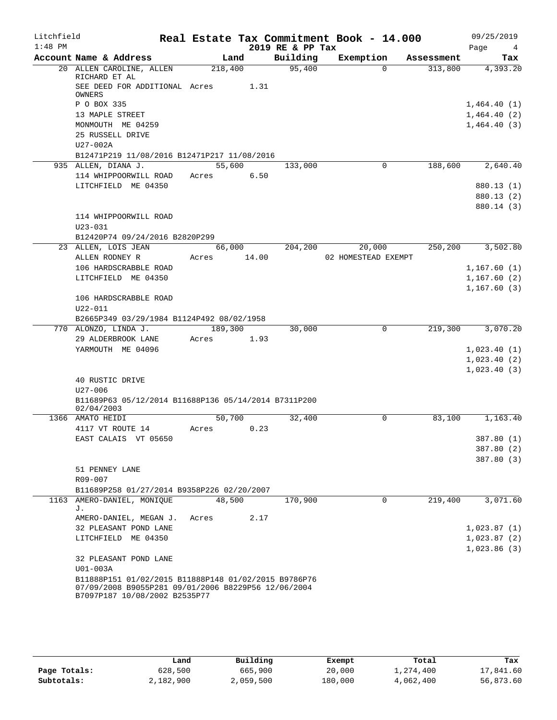| Litchfield |                                                                                                             |             |      |                  | Real Estate Tax Commitment Book - 14.000 |            | 09/25/2019               |
|------------|-------------------------------------------------------------------------------------------------------------|-------------|------|------------------|------------------------------------------|------------|--------------------------|
| $1:48$ PM  |                                                                                                             |             |      | 2019 RE & PP Tax |                                          |            | Page<br>$\frac{4}{3}$    |
|            | Account Name & Address                                                                                      | Land        |      | Building         | Exemption                                | Assessment | Tax                      |
|            | 20 ALLEN CAROLINE, ALLEN<br>RICHARD ET AL                                                                   | 218,400     |      | 95,400           | $\Omega$                                 | 313,800    | 4,393.20                 |
|            | SEE DEED FOR ADDITIONAL Acres<br>OWNERS                                                                     |             | 1.31 |                  |                                          |            |                          |
|            | P O BOX 335                                                                                                 |             |      |                  |                                          |            | 1,464.40(1)              |
|            | 13 MAPLE STREET                                                                                             |             |      |                  |                                          |            | 1,464.40(2)              |
|            | MONMOUTH ME 04259                                                                                           |             |      |                  |                                          |            | 1,464.40(3)              |
|            | 25 RUSSELL DRIVE                                                                                            |             |      |                  |                                          |            |                          |
|            | $U27-002A$                                                                                                  |             |      |                  |                                          |            |                          |
|            | B12471P219 11/08/2016 B12471P217 11/08/2016                                                                 |             |      |                  |                                          |            |                          |
|            | 935 ALLEN, DIANA J.                                                                                         | 55,600      |      | 133,000          | 0                                        | 188,600    | 2,640.40                 |
|            | 114 WHIPPOORWILL ROAD                                                                                       | Acres       | 6.50 |                  |                                          |            |                          |
|            | LITCHFIELD ME 04350                                                                                         |             |      |                  |                                          |            | 880.13 (1)               |
|            |                                                                                                             |             |      |                  |                                          |            | 880.13 (2)               |
|            |                                                                                                             |             |      |                  |                                          |            | 880.14 (3)               |
|            | 114 WHIPPOORWILL ROAD                                                                                       |             |      |                  |                                          |            |                          |
|            | U23-031<br>B12420P74 09/24/2016 B2820P299                                                                   |             |      |                  |                                          |            |                          |
|            | 23 ALLEN, LOIS JEAN                                                                                         | 66,000      |      | 204,200          | 20,000                                   | 250, 200   | 3,502.80                 |
|            | ALLEN RODNEY R                                                                                              | Acres 14.00 |      |                  | 02 HOMESTEAD EXEMPT                      |            |                          |
|            | 106 HARDSCRABBLE ROAD                                                                                       |             |      |                  |                                          |            | 1,167.60(1)              |
|            | LITCHFIELD ME 04350                                                                                         |             |      |                  |                                          |            | 1,167.60(2)              |
|            |                                                                                                             |             |      |                  |                                          |            | 1, 167.60(3)             |
|            | 106 HARDSCRABBLE ROAD                                                                                       |             |      |                  |                                          |            |                          |
|            | U22-011                                                                                                     |             |      |                  |                                          |            |                          |
|            | B2665P349 03/29/1984 B1124P492 08/02/1958                                                                   |             |      |                  |                                          |            |                          |
|            | 770 ALONZO, LINDA J.                                                                                        | 189,300     |      | 30,000           | 0                                        | 219,300    | 3,070.20                 |
|            | 29 ALDERBROOK LANE                                                                                          | Acres       | 1.93 |                  |                                          |            |                          |
|            | YARMOUTH ME 04096                                                                                           |             |      |                  |                                          |            | 1,023.40(1)              |
|            |                                                                                                             |             |      |                  |                                          |            | 1,023.40(2)              |
|            |                                                                                                             |             |      |                  |                                          |            | 1,023.40(3)              |
|            | 40 RUSTIC DRIVE                                                                                             |             |      |                  |                                          |            |                          |
|            | $U27 - 006$<br>B11689P63 05/12/2014 B11688P136 05/14/2014 B7311P200                                         |             |      |                  |                                          |            |                          |
|            | 02/04/2003                                                                                                  |             |      |                  |                                          |            |                          |
|            | 1366 AMATO HEIDI                                                                                            | 50,700      |      | 32,400           | 0                                        | 83,100     | 1,163.40                 |
|            | 4117 VT ROUTE 14                                                                                            | Acres       | 0.23 |                  |                                          |            |                          |
|            | EAST CALAIS VT 05650                                                                                        |             |      |                  |                                          |            | 387.80 (1)               |
|            |                                                                                                             |             |      |                  |                                          |            | 387.80 (2)<br>387.80 (3) |
|            | 51 PENNEY LANE                                                                                              |             |      |                  |                                          |            |                          |
|            | R09-007                                                                                                     |             |      |                  |                                          |            |                          |
|            | B11689P258 01/27/2014 B9358P226 02/20/2007                                                                  |             |      |                  |                                          |            |                          |
|            | 1163 AMERO-DANIEL, MONIQUE                                                                                  | 48,500      |      | 170,900          | $\Omega$                                 | 219,400    | 3,071.60                 |
|            | J.                                                                                                          |             |      |                  |                                          |            |                          |
|            | AMERO-DANIEL, MEGAN J.                                                                                      | Acres       | 2.17 |                  |                                          |            |                          |
|            | 32 PLEASANT POND LANE                                                                                       |             |      |                  |                                          |            | 1,023.87(1)              |
|            | LITCHFIELD ME 04350                                                                                         |             |      |                  |                                          |            | 1,023.87(2)              |
|            |                                                                                                             |             |      |                  |                                          |            | 1,023.86(3)              |
|            | 32 PLEASANT POND LANE                                                                                       |             |      |                  |                                          |            |                          |
|            | U01-003A                                                                                                    |             |      |                  |                                          |            |                          |
|            | B11888P151 01/02/2015 B11888P148 01/02/2015 B9786P76<br>07/09/2008 B9055P281 09/01/2006 B8229P56 12/06/2004 |             |      |                  |                                          |            |                          |
|            | B7097P187 10/08/2002 B2535P77                                                                               |             |      |                  |                                          |            |                          |

|              | Land      | Building  | Exempt  | Total     | Tax       |
|--------------|-----------|-----------|---------|-----------|-----------|
| Page Totals: | 628,500   | 665,900   | 20,000  | 1,274,400 | 17,841.60 |
| Subtotals:   | 2,182,900 | 2,059,500 | 180,000 | 4,062,400 | 56,873.60 |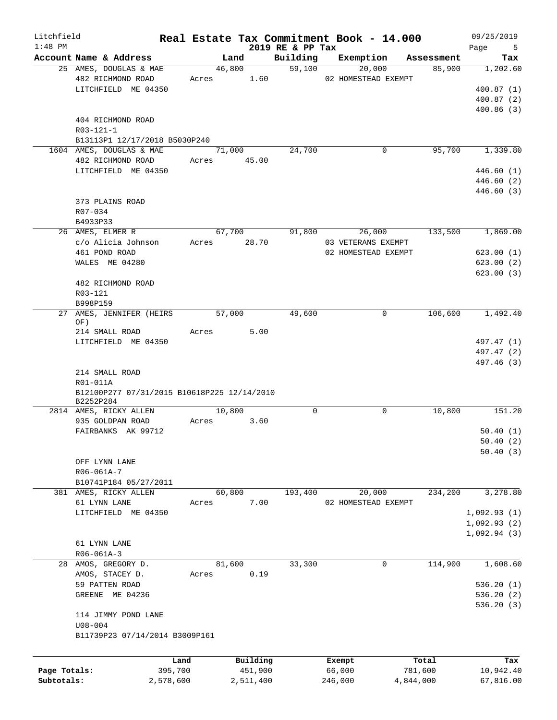| Litchfield   |                                                          |                 |                     |                              | Real Estate Tax Commitment Book - 14.000 |                  | 09/25/2019                 |
|--------------|----------------------------------------------------------|-----------------|---------------------|------------------------------|------------------------------------------|------------------|----------------------------|
| $1:48$ PM    | Account Name & Address                                   |                 | Land                | 2019 RE & PP Tax<br>Building | Exemption                                | Assessment       | Page<br>$5^{\circ}$<br>Tax |
|              | 25 AMES, DOUGLAS & MAE                                   |                 | 46,800              |                              | 59,100<br>20,000                         | 85,900           | 1,202.60                   |
|              | 482 RICHMOND ROAD                                        |                 | 1.60<br>Acres       |                              | 02 HOMESTEAD EXEMPT                      |                  |                            |
|              | LITCHFIELD ME 04350                                      |                 |                     |                              |                                          |                  | 400.87(1)                  |
|              |                                                          |                 |                     |                              |                                          |                  | 400.87(2)                  |
|              |                                                          |                 |                     |                              |                                          |                  | 400.86(3)                  |
|              | 404 RICHMOND ROAD                                        |                 |                     |                              |                                          |                  |                            |
|              | $R03 - 121 - 1$                                          |                 |                     |                              |                                          |                  |                            |
|              | B13113P1 12/17/2018 B5030P240                            |                 |                     |                              |                                          |                  |                            |
|              | 1604 AMES, DOUGLAS & MAE                                 |                 | 71,000              | 24,700                       | 0                                        | 95,700           | 1,339.80                   |
|              | 482 RICHMOND ROAD                                        |                 | Acres 45.00         |                              |                                          |                  |                            |
|              | LITCHFIELD ME 04350                                      |                 |                     |                              |                                          |                  | 446.60 (1)                 |
|              |                                                          |                 |                     |                              |                                          |                  | 446.60 (2)                 |
|              |                                                          |                 |                     |                              |                                          |                  | 446.60 (3)                 |
|              | 373 PLAINS ROAD                                          |                 |                     |                              |                                          |                  |                            |
|              | R07-034                                                  |                 |                     |                              |                                          |                  |                            |
|              | B4933P33                                                 |                 |                     |                              |                                          |                  |                            |
|              | 26 AMES, ELMER R                                         |                 | 67,700              | 91,800                       | 26,000                                   | 133,500          | 1,869.00                   |
|              | c/o Alicia Johnson                                       |                 | Acres 28.70         |                              | 03 VETERANS EXEMPT                       |                  |                            |
|              | 461 POND ROAD<br>WALES ME 04280                          |                 |                     |                              | 02 HOMESTEAD EXEMPT                      |                  | 623.00(1)                  |
|              |                                                          |                 |                     |                              |                                          |                  | 623.00(2)<br>623.00(3)     |
|              | 482 RICHMOND ROAD                                        |                 |                     |                              |                                          |                  |                            |
|              | R03-121                                                  |                 |                     |                              |                                          |                  |                            |
|              | B998P159                                                 |                 |                     |                              |                                          |                  |                            |
| 27           | AMES, JENNIFER (HEIRS                                    |                 | 57,000              | 49,600                       | 0                                        | 106,600          | 1,492.40                   |
|              | OF)                                                      |                 |                     |                              |                                          |                  |                            |
|              | 214 SMALL ROAD                                           | Acres           | 5.00                |                              |                                          |                  |                            |
|              | LITCHFIELD ME 04350                                      |                 |                     |                              |                                          |                  | 497.47 (1)                 |
|              |                                                          |                 |                     |                              |                                          |                  | 497.47 (2)                 |
|              |                                                          |                 |                     |                              |                                          |                  | 497.46 (3)                 |
|              | 214 SMALL ROAD                                           |                 |                     |                              |                                          |                  |                            |
|              | R01-011A                                                 |                 |                     |                              |                                          |                  |                            |
|              | B12100P277 07/31/2015 B10618P225 12/14/2010<br>B2252P284 |                 |                     |                              |                                          |                  |                            |
|              | 2814 AMES, RICKY ALLEN                                   |                 | 10,800              | $\Omega$                     | 0                                        | 10,800           | 151.20                     |
|              | 935 GOLDPAN ROAD                                         | Acres           | 3.60                |                              |                                          |                  |                            |
|              | FAIRBANKS AK 99712                                       |                 |                     |                              |                                          |                  | 50.40(1)                   |
|              |                                                          |                 |                     |                              |                                          |                  | 50.40(2)                   |
|              |                                                          |                 |                     |                              |                                          |                  | 50.40(3)                   |
|              | OFF LYNN LANE                                            |                 |                     |                              |                                          |                  |                            |
|              | R06-061A-7                                               |                 |                     |                              |                                          |                  |                            |
|              | B10741P184 05/27/2011                                    |                 |                     |                              |                                          |                  |                            |
|              | 381 AMES, RICKY ALLEN                                    |                 | 60,800              | 193,400                      | 20,000                                   | 234,200          | 3,278.80                   |
|              | 61 LYNN LANE                                             | Acres           | 7.00                |                              | 02 HOMESTEAD EXEMPT                      |                  |                            |
|              | LITCHFIELD ME 04350                                      |                 |                     |                              |                                          |                  | 1,092.93(1)                |
|              |                                                          |                 |                     |                              |                                          |                  | 1,092.93(2)                |
|              |                                                          |                 |                     |                              |                                          |                  | 1,092.94(3)                |
|              | 61 LYNN LANE                                             |                 |                     |                              |                                          |                  |                            |
|              | $R06 - 061A - 3$                                         |                 |                     |                              |                                          |                  |                            |
| 28           | AMOS, GREGORY D.                                         |                 | 81,600              | 33,300                       | 0                                        | 114,900          | 1,608.60                   |
|              | AMOS, STACEY D.                                          | Acres           | 0.19                |                              |                                          |                  |                            |
|              | 59 PATTEN ROAD                                           |                 |                     |                              |                                          |                  | 536.20(1)                  |
|              | GREENE ME 04236                                          |                 |                     |                              |                                          |                  | 536.20 (2)                 |
|              |                                                          |                 |                     |                              |                                          |                  | 536.20(3)                  |
|              | 114 JIMMY POND LANE                                      |                 |                     |                              |                                          |                  |                            |
|              | $U08 - 004$<br>B11739P23 07/14/2014 B3009P161            |                 |                     |                              |                                          |                  |                            |
|              |                                                          |                 |                     |                              |                                          |                  |                            |
|              |                                                          |                 |                     |                              |                                          |                  |                            |
| Page Totals: |                                                          | Land<br>395,700 | Building<br>451,900 |                              | Exempt<br>66,000                         | Total<br>781,600 | Tax<br>10,942.40           |
| Subtotals:   |                                                          | 2,578,600       | 2,511,400           |                              | 246,000                                  | 4,844,000        | 67,816.00                  |
|              |                                                          |                 |                     |                              |                                          |                  |                            |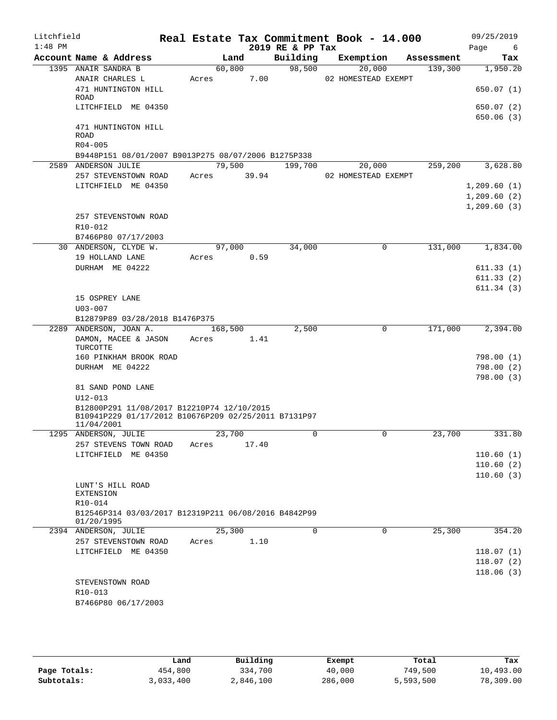| Litchfield<br>$1:48$ PM |                                                                                                    |                 |       | 2019 RE & PP Tax | Real Estate Tax Commitment Book - 14.000 |            | 09/25/2019<br>Page<br>- 6 |
|-------------------------|----------------------------------------------------------------------------------------------------|-----------------|-------|------------------|------------------------------------------|------------|---------------------------|
|                         | Account Name & Address                                                                             | Land            |       | Building         | Exemption                                | Assessment | Tax                       |
|                         | 1395 ANAIR SANDRA B<br>ANAIR CHARLES L                                                             | 60,800<br>Acres | 7.00  | 98,500           | 20,000<br>02 HOMESTEAD EXEMPT            | 139,300    | 1,950.20                  |
|                         | 471 HUNTINGTON HILL                                                                                |                 |       |                  |                                          |            | 650.07(1)                 |
|                         | ROAD<br>LITCHFIELD ME 04350                                                                        |                 |       |                  |                                          |            | 650.07 (2)                |
|                         | 471 HUNTINGTON HILL                                                                                |                 |       |                  |                                          |            | 650.06(3)                 |
|                         | <b>ROAD</b><br>$R04 - 005$                                                                         |                 |       |                  |                                          |            |                           |
|                         | B9448P151 08/01/2007 B9013P275 08/07/2006 B1275P338                                                |                 |       |                  |                                          |            |                           |
|                         | 2589 ANDERSON JULIE                                                                                | 79,500          |       | 199,700          | 20,000                                   | 259,200    | 3,628.80                  |
|                         | 257 STEVENSTOWN ROAD                                                                               | Acres           | 39.94 |                  | 02 HOMESTEAD EXEMPT                      |            |                           |
|                         | LITCHFIELD ME 04350                                                                                |                 |       |                  |                                          |            | 1,209.60(1)               |
|                         |                                                                                                    |                 |       |                  |                                          |            | 1,209.60(2)               |
|                         |                                                                                                    |                 |       |                  |                                          |            | 1, 209.60(3)              |
|                         | 257 STEVENSTOWN ROAD                                                                               |                 |       |                  |                                          |            |                           |
|                         | R10-012                                                                                            |                 |       |                  |                                          |            |                           |
|                         | B7466P80 07/17/2003                                                                                |                 |       |                  |                                          |            |                           |
|                         | 30 ANDERSON, CLYDE W.<br>19 HOLLAND LANE                                                           | 97,000<br>Acres | 0.59  | 34,000           | 0                                        | 131,000    | 1,834.00                  |
|                         | DURHAM ME 04222                                                                                    |                 |       |                  |                                          |            | 611.33(1)                 |
|                         |                                                                                                    |                 |       |                  |                                          |            | 611.33(2)                 |
|                         |                                                                                                    |                 |       |                  |                                          |            | 611.34(3)                 |
|                         | 15 OSPREY LANE                                                                                     |                 |       |                  |                                          |            |                           |
|                         | $U03 - 007$                                                                                        |                 |       |                  |                                          |            |                           |
|                         | B12879P89 03/28/2018 B1476P375                                                                     |                 |       |                  |                                          |            |                           |
| 2289                    | ANDERSON, JOAN A.                                                                                  | 168,500         |       | 2,500            | 0                                        | 171,000    | 2,394.00                  |
|                         | DAMON, MACEE & JASON<br>TURCOTTE                                                                   | Acres           | 1.41  |                  |                                          |            |                           |
|                         | 160 PINKHAM BROOK ROAD                                                                             |                 |       |                  |                                          |            | 798.00 (1)                |
|                         | DURHAM ME 04222                                                                                    |                 |       |                  |                                          |            | 798.00 (2)                |
|                         | 81 SAND POND LANE                                                                                  |                 |       |                  |                                          |            | 798.00(3)                 |
|                         | $U12 - 013$                                                                                        |                 |       |                  |                                          |            |                           |
|                         | B12800P291 11/08/2017 B12210P74 12/10/2015<br>B10941P229 01/17/2012 B10676P209 02/25/2011 B7131P97 |                 |       |                  |                                          |            |                           |
|                         | 11/04/2001                                                                                         |                 |       |                  |                                          |            |                           |
|                         | 1295 ANDERSON, JULIE                                                                               | 23,700          |       | 0                | $\mathbf 0$                              | 23,700     | 331.80                    |
|                         | 257 STEVENS TOWN ROAD                                                                              | Acres           | 17.40 |                  |                                          |            |                           |
|                         | LITCHFIELD ME 04350                                                                                |                 |       |                  |                                          |            | 110.60(1)                 |
|                         |                                                                                                    |                 |       |                  |                                          |            | 110.60(2)                 |
|                         | LUNT'S HILL ROAD                                                                                   |                 |       |                  |                                          |            | 110.60(3)                 |
|                         | <b>EXTENSION</b>                                                                                   |                 |       |                  |                                          |            |                           |
|                         | R10-014                                                                                            |                 |       |                  |                                          |            |                           |
|                         | B12546P314 03/03/2017 B12319P211 06/08/2016 B4842P99<br>01/20/1995                                 |                 |       |                  |                                          |            |                           |
|                         | 2394 ANDERSON, JULIE                                                                               | 25,300          |       | $\mathbf 0$      | $\mathbf 0$                              | 25,300     | 354.20                    |
|                         | 257 STEVENSTOWN ROAD                                                                               | Acres           | 1.10  |                  |                                          |            |                           |
|                         | LITCHFIELD ME 04350                                                                                |                 |       |                  |                                          |            | 118.07(1)                 |
|                         |                                                                                                    |                 |       |                  |                                          |            | 118.07(2)                 |
|                         |                                                                                                    |                 |       |                  |                                          |            | 118.06(3)                 |
|                         | STEVENSTOWN ROAD<br>R <sub>10</sub> -013                                                           |                 |       |                  |                                          |            |                           |
|                         | B7466P80 06/17/2003                                                                                |                 |       |                  |                                          |            |                           |
|                         |                                                                                                    |                 |       |                  |                                          |            |                           |

|              | Land      | Building  |         | Total     | Tax       |
|--------------|-----------|-----------|---------|-----------|-----------|
|              |           |           | Exempt  |           |           |
| Page Totals: | 454,800   | 334,700   | 40,000  | 749,500   | 10,493.00 |
| Subtotals:   | 3,033,400 | 2,846,100 | 286,000 | 5,593,500 | 78,309.00 |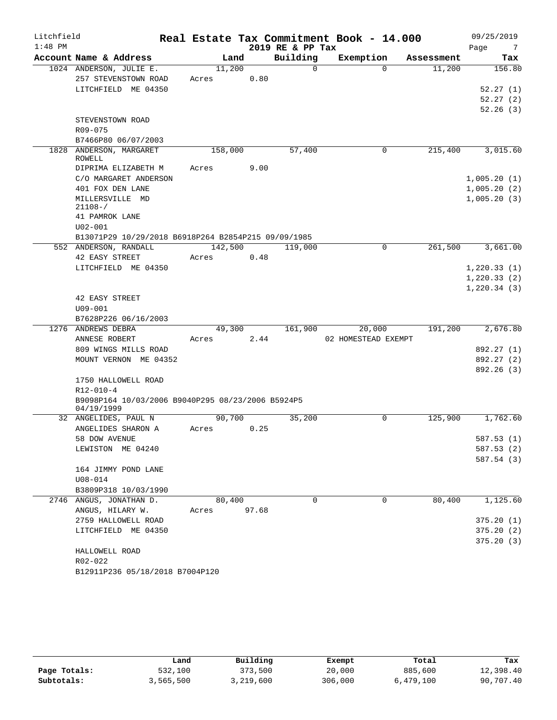| Litchfield |                                                     | Real Estate Tax Commitment Book - 14.000 |       |                  |                     |             |            | 09/25/2019              |
|------------|-----------------------------------------------------|------------------------------------------|-------|------------------|---------------------|-------------|------------|-------------------------|
| $1:48$ PM  |                                                     |                                          |       | 2019 RE & PP Tax |                     |             |            | Page<br>- 7             |
|            | Account Name & Address                              | Land                                     |       | Building         | Exemption           |             | Assessment | Tax                     |
|            | 1024 ANDERSON, JULIE E.                             | 11,200                                   |       | $\Omega$         |                     | $\Omega$    | 11,200     | 156.80                  |
|            | 257 STEVENSTOWN ROAD                                | Acres                                    | 0.80  |                  |                     |             |            |                         |
|            | LITCHFIELD ME 04350                                 |                                          |       |                  |                     |             |            | 52.27(1)                |
|            |                                                     |                                          |       |                  |                     |             |            | 52.27(2)                |
|            |                                                     |                                          |       |                  |                     |             |            | 52.26(3)                |
|            | STEVENSTOWN ROAD                                    |                                          |       |                  |                     |             |            |                         |
|            | R09-075                                             |                                          |       |                  |                     |             |            |                         |
|            | B7466P80 06/07/2003                                 |                                          |       |                  |                     |             |            |                         |
|            | 1828 ANDERSON, MARGARET<br>ROWELL                   | 158,000                                  |       | 57,400           |                     | 0           | 215,400    | 3,015.60                |
|            | DIPRIMA ELIZABETH M                                 | Acres                                    | 9.00  |                  |                     |             |            |                         |
|            | C/O MARGARET ANDERSON                               |                                          |       |                  |                     |             |            | 1,005.20(1)             |
|            | 401 FOX DEN LANE                                    |                                          |       |                  |                     |             |            | 1,005.20(2)             |
|            | MILLERSVILLE MD                                     |                                          |       |                  |                     |             |            | 1,005.20(3)             |
|            | $21108 - /$                                         |                                          |       |                  |                     |             |            |                         |
|            | 41 PAMROK LANE                                      |                                          |       |                  |                     |             |            |                         |
|            | $U02 - 001$                                         |                                          |       |                  |                     |             |            |                         |
|            | B13071P29 10/29/2018 B6918P264 B2854P215 09/09/1985 |                                          |       |                  |                     |             |            |                         |
|            | 552 ANDERSON, RANDALL                               | 142,500                                  |       | 119,000          |                     | $\mathbf 0$ | 261,500    | 3,661.00                |
|            | 42 EASY STREET                                      | Acres                                    | 0.48  |                  |                     |             |            |                         |
|            | LITCHFIELD ME 04350                                 |                                          |       |                  |                     |             |            | 1,220.33(1)             |
|            |                                                     |                                          |       |                  |                     |             |            | 1, 220.33(2)            |
|            |                                                     |                                          |       |                  |                     |             |            | 1, 220.34(3)            |
|            | 42 EASY STREET                                      |                                          |       |                  |                     |             |            |                         |
|            | $U09 - 001$                                         |                                          |       |                  |                     |             |            |                         |
|            | B7628P226 06/16/2003                                |                                          |       |                  |                     |             |            |                         |
|            | 1276 ANDREWS DEBRA                                  | 49,300                                   |       | 161,900          | 20,000              |             | 191,200    | 2,676.80                |
|            | ANNESE ROBERT                                       | Acres                                    | 2.44  |                  | 02 HOMESTEAD EXEMPT |             |            |                         |
|            | 809 WINGS MILLS ROAD                                |                                          |       |                  |                     |             |            | 892.27 (1)              |
|            | MOUNT VERNON ME 04352                               |                                          |       |                  |                     |             |            | 892.27 (2)<br>892.26(3) |
|            | 1750 HALLOWELL ROAD                                 |                                          |       |                  |                     |             |            |                         |
|            | $R12 - 010 - 4$                                     |                                          |       |                  |                     |             |            |                         |
|            | B9098P164 10/03/2006 B9040P295 08/23/2006 B5924P5   |                                          |       |                  |                     |             |            |                         |
|            | 04/19/1999                                          |                                          |       |                  |                     |             |            |                         |
|            | 32 ANGELIDES, PAUL N                                | 90,700                                   |       | 35,200           |                     | 0           | 125,900    | 1,762.60                |
|            | ANGELIDES SHARON A                                  | Acres                                    | 0.25  |                  |                     |             |            |                         |
|            | 58 DOW AVENUE                                       |                                          |       |                  |                     |             |            | 587.53 (1)              |
|            | LEWISTON ME 04240                                   |                                          |       |                  |                     |             |            | 587.53 (2)              |
|            |                                                     |                                          |       |                  |                     |             |            | 587.54 (3)              |
|            | 164 JIMMY POND LANE                                 |                                          |       |                  |                     |             |            |                         |
|            | $U08 - 014$                                         |                                          |       |                  |                     |             |            |                         |
|            | B3809P318 10/03/1990                                |                                          |       |                  |                     |             |            |                         |
|            | 2746 ANGUS, JONATHAN D.                             | 80,400                                   |       | $\Omega$         |                     | $\Omega$    | 80,400     | 1,125.60                |
|            | ANGUS, HILARY W.                                    | Acres                                    | 97.68 |                  |                     |             |            |                         |
|            | 2759 HALLOWELL ROAD                                 |                                          |       |                  |                     |             |            | 375.20(1)               |
|            | LITCHFIELD ME 04350                                 |                                          |       |                  |                     |             |            | 375.20(2)               |
|            |                                                     |                                          |       |                  |                     |             |            | 375.20(3)               |
|            | HALLOWELL ROAD                                      |                                          |       |                  |                     |             |            |                         |
|            | R02-022                                             |                                          |       |                  |                     |             |            |                         |
|            | B12911P236 05/18/2018 B7004P120                     |                                          |       |                  |                     |             |            |                         |

|              | Land      | Building  | Exempt  | Total     | Tax       |
|--------------|-----------|-----------|---------|-----------|-----------|
| Page Totals: | 532,100   | 373,500   | 20,000  | 885,600   | 12,398.40 |
| Subtotals:   | 3,565,500 | 3,219,600 | 306,000 | 6,479,100 | 90,707.40 |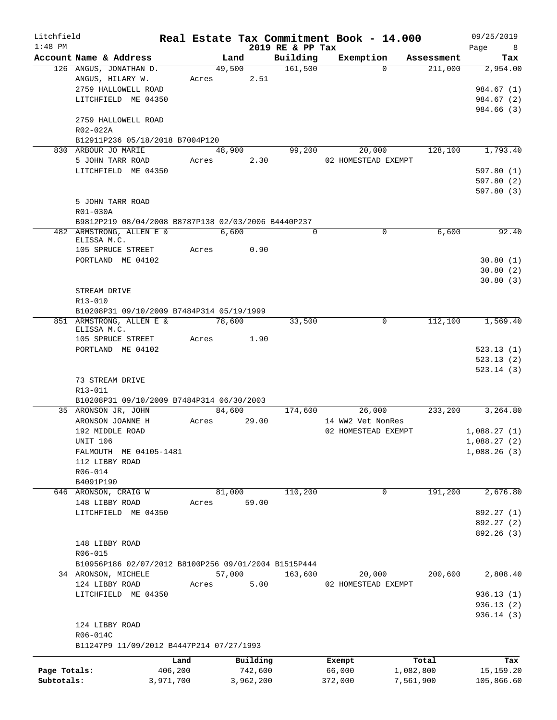| Litchfield   |                                                      |           |                      |           |                  | Real Estate Tax Commitment Book - 14.000 |            | 09/25/2019       |
|--------------|------------------------------------------------------|-----------|----------------------|-----------|------------------|------------------------------------------|------------|------------------|
| $1:48$ PM    |                                                      |           |                      |           | 2019 RE & PP Tax |                                          |            | Page             |
|              | Account Name & Address                               |           | Land                 |           | Building         | Exemption                                | Assessment | Tax              |
|              | 126 ANGUS, JONATHAN D.<br>ANGUS, HILARY W.           |           | 49,500<br>Acres 2.51 |           | 161,500          | $\Omega$                                 | 211,000    | 2,954.00         |
|              | 2759 HALLOWELL ROAD                                  |           |                      |           |                  |                                          |            | 984.67 (1)       |
|              | LITCHFIELD ME 04350                                  |           |                      |           |                  |                                          |            | 984.67 (2)       |
|              |                                                      |           |                      |           |                  |                                          |            | 984.66 (3)       |
|              | 2759 HALLOWELL ROAD                                  |           |                      |           |                  |                                          |            |                  |
|              | R02-022A                                             |           |                      |           |                  |                                          |            |                  |
|              | B12911P236 05/18/2018 B7004P120                      |           |                      |           |                  |                                          |            |                  |
|              | 830 ARBOUR JO MARIE                                  |           | 48,900               |           | 99,200           | 20,000                                   | 128,100    | 1,793.40         |
|              | 5 JOHN TARR ROAD                                     |           | Acres 2.30           |           |                  | 02 HOMESTEAD EXEMPT                      |            |                  |
|              | LITCHFIELD ME 04350                                  |           |                      |           |                  |                                          |            | 597.80(1)        |
|              |                                                      |           |                      |           |                  |                                          |            | 597.80(2)        |
|              |                                                      |           |                      |           |                  |                                          |            | 597.80(3)        |
|              | 5 JOHN TARR ROAD                                     |           |                      |           |                  |                                          |            |                  |
|              | R01-030A                                             |           |                      |           |                  |                                          |            |                  |
|              | B9812P219 08/04/2008 B8787P138 02/03/2006 B4440P237  |           |                      |           |                  |                                          |            |                  |
|              | 482 ARMSTRONG, ALLEN E &                             |           | 6,600                |           | $\Omega$         | $\Omega$                                 | 6,600      | 92.40            |
|              | ELISSA M.C.                                          |           |                      |           |                  |                                          |            |                  |
|              | 105 SPRUCE STREET                                    | Acres     |                      | 0.90      |                  |                                          |            |                  |
|              | PORTLAND ME 04102                                    |           |                      |           |                  |                                          |            | 30.80(1)         |
|              |                                                      |           |                      |           |                  |                                          |            | 30.80(2)         |
|              |                                                      |           |                      |           |                  |                                          |            | 30.80(3)         |
|              | STREAM DRIVE                                         |           |                      |           |                  |                                          |            |                  |
|              | R13-010                                              |           |                      |           |                  |                                          |            |                  |
|              | B10208P31 09/10/2009 B7484P314 05/19/1999            |           |                      |           |                  |                                          |            |                  |
|              | 851 ARMSTRONG, ALLEN E &<br>ELISSA M.C.              | 78,600    |                      |           | 33,500           | $\circ$                                  | 112,100    | 1,569.40         |
|              | 105 SPRUCE STREET                                    |           | Acres                | 1.90      |                  |                                          |            |                  |
|              | PORTLAND ME 04102                                    |           |                      |           |                  |                                          |            | 523.13(1)        |
|              |                                                      |           |                      |           |                  |                                          |            | 523.13(2)        |
|              |                                                      |           |                      |           |                  |                                          |            | 523.14(3)        |
|              | 73 STREAM DRIVE                                      |           |                      |           |                  |                                          |            |                  |
|              | R13-011                                              |           |                      |           |                  |                                          |            |                  |
|              | B10208P31 09/10/2009 B7484P314 06/30/2003            |           |                      |           |                  |                                          |            |                  |
|              | 35 ARONSON JR, JOHN                                  |           | 84,600               |           | 174,600          | 26,000                                   |            | 233,200 3,264.80 |
|              | ARONSON JOANNE H                                     |           | Acres 29.00          |           |                  | 14 WW2 Vet NonRes                        |            |                  |
|              | 192 MIDDLE ROAD                                      |           |                      |           |                  | 02 HOMESTEAD EXEMPT                      |            | 1,088.27(1)      |
|              | UNIT 106                                             |           |                      |           |                  |                                          |            | 1,088.27(2)      |
|              | FALMOUTH ME 04105-1481                               |           |                      |           |                  |                                          |            | 1,088.26(3)      |
|              | 112 LIBBY ROAD                                       |           |                      |           |                  |                                          |            |                  |
|              | R06-014                                              |           |                      |           |                  |                                          |            |                  |
|              | B4091P190                                            |           |                      |           |                  |                                          |            |                  |
|              | 646 ARONSON, CRAIG W                                 |           | 81,000               |           | 110,200          | 0                                        | 191,200    | 2,676.80         |
|              | 148 LIBBY ROAD                                       | Acres     |                      | 59.00     |                  |                                          |            |                  |
|              | LITCHFIELD ME 04350                                  |           |                      |           |                  |                                          |            | 892.27 (1)       |
|              |                                                      |           |                      |           |                  |                                          |            | 892.27 (2)       |
|              |                                                      |           |                      |           |                  |                                          |            | 892.26 (3)       |
|              | 148 LIBBY ROAD                                       |           |                      |           |                  |                                          |            |                  |
|              | R06-015                                              |           |                      |           |                  |                                          |            |                  |
|              | B10956P186 02/07/2012 B8100P256 09/01/2004 B1515P444 |           |                      |           |                  |                                          |            |                  |
|              | 34 ARONSON, MICHELE                                  |           | 57,000               |           | 163,600          | 20,000                                   | 200,600    | 2,808.40         |
|              | 124 LIBBY ROAD                                       | Acres     |                      | 5.00      |                  | 02 HOMESTEAD EXEMPT                      |            |                  |
|              | LITCHFIELD ME 04350                                  |           |                      |           |                  |                                          |            | 936.13(1)        |
|              |                                                      |           |                      |           |                  |                                          |            | 936.13(2)        |
|              |                                                      |           |                      |           |                  |                                          |            | 936.14(3)        |
|              | 124 LIBBY ROAD                                       |           |                      |           |                  |                                          |            |                  |
|              | R06-014C                                             |           |                      |           |                  |                                          |            |                  |
|              | B11247P9 11/09/2012 B4447P214 07/27/1993             |           |                      |           |                  |                                          |            |                  |
|              |                                                      | Land      |                      | Building  |                  | Exempt                                   | Total      | Tax              |
| Page Totals: |                                                      | 406,200   |                      | 742,600   |                  | 66,000                                   | 1,082,800  | 15, 159. 20      |
| Subtotals:   |                                                      | 3,971,700 |                      | 3,962,200 |                  | 372,000                                  | 7,561,900  | 105,866.60       |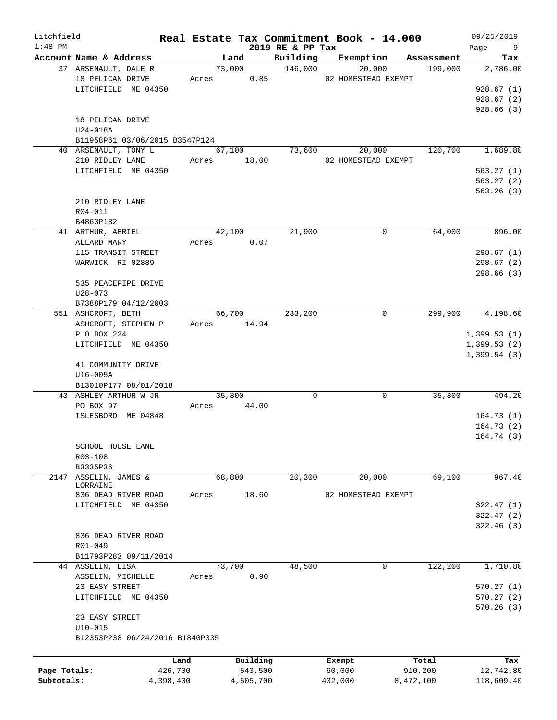| Litchfield<br>$1:48$ PM |                                                |           |             | 2019 RE & PP Tax | Real Estate Tax Commitment Book - 14.000 |            | 09/25/2019<br>Page |
|-------------------------|------------------------------------------------|-----------|-------------|------------------|------------------------------------------|------------|--------------------|
|                         | Account Name & Address                         |           | Land        | Building         | Exemption                                | Assessment | 9<br>Tax           |
|                         | 37 ARSENAULT, DALE R                           |           | 73,000      | 146,000          | 20,000                                   | 199,000    | 2,786.00           |
|                         | 18 PELICAN DRIVE                               |           | Acres 0.85  |                  | 02 HOMESTEAD EXEMPT                      |            |                    |
|                         | LITCHFIELD ME 04350                            |           |             |                  |                                          |            | 928.67(1)          |
|                         |                                                |           |             |                  |                                          |            | 928.67(2)          |
|                         |                                                |           |             |                  |                                          |            | 928.66(3)          |
|                         | 18 PELICAN DRIVE                               |           |             |                  |                                          |            |                    |
|                         | U24-018A                                       |           |             |                  |                                          |            |                    |
|                         | B11958P61 03/06/2015 B3547P124                 |           |             |                  |                                          |            |                    |
|                         | 40 ARSENAULT, TONY L                           |           | 67,100      | 73,600           | 20,000                                   | 120,700    | 1,689.80           |
|                         | 210 RIDLEY LANE                                |           | Acres 18.00 |                  | 02 HOMESTEAD EXEMPT                      |            |                    |
|                         | LITCHFIELD ME 04350                            |           |             |                  |                                          |            | 563.27(1)          |
|                         |                                                |           |             |                  |                                          |            | 563.27(2)          |
|                         |                                                |           |             |                  |                                          |            | 563.26(3)          |
|                         | 210 RIDLEY LANE                                |           |             |                  |                                          |            |                    |
|                         | $R04 - 011$                                    |           |             |                  |                                          |            |                    |
|                         | B4863P132                                      |           |             |                  |                                          |            |                    |
|                         | 41 ARTHUR, AERIEL                              |           | 42,100      | 21,900           | 0                                        | 64,000     | 896.00             |
|                         | ALLARD MARY                                    |           | Acres 0.07  |                  |                                          |            |                    |
|                         | 115 TRANSIT STREET                             |           |             |                  |                                          |            | 298.67(1)          |
|                         | WARWICK RI 02889                               |           |             |                  |                                          |            | 298.67(2)          |
|                         |                                                |           |             |                  |                                          |            | 298.66(3)          |
|                         | 535 PEACEPIPE DRIVE                            |           |             |                  |                                          |            |                    |
|                         | $U28 - 073$                                    |           |             |                  |                                          |            |                    |
|                         | B7388P179 04/12/2003                           |           |             |                  |                                          |            |                    |
|                         | 551 ASHCROFT, BETH                             |           | 66,700      | 233,200          | 0                                        | 299,900    | 4,198.60           |
|                         | ASHCROFT, STEPHEN P                            |           | Acres 14.94 |                  |                                          |            |                    |
|                         | P O BOX 224                                    |           |             |                  |                                          |            | 1,399.53(1)        |
|                         | LITCHFIELD ME 04350                            |           |             |                  |                                          |            | 1,399.53(2)        |
|                         |                                                |           |             |                  |                                          |            | 1,399.54(3)        |
|                         | 41 COMMUNITY DRIVE                             |           |             |                  |                                          |            |                    |
|                         | $U16-005A$                                     |           |             |                  |                                          |            |                    |
|                         | B13010P177 08/01/2018<br>43 ASHLEY ARTHUR W JR |           | 35,300      | $\Omega$         | 0                                        | 35,300     | 494.20             |
|                         | PO BOX 97                                      | Acres     | 44.00       |                  |                                          |            |                    |
|                         | ISLESBORO ME 04848                             |           |             |                  |                                          |            | 164.73(1)          |
|                         |                                                |           |             |                  |                                          |            | 164.73(2)          |
|                         |                                                |           |             |                  |                                          |            | 164.74(3)          |
|                         | SCHOOL HOUSE LANE                              |           |             |                  |                                          |            |                    |
|                         | R03-108                                        |           |             |                  |                                          |            |                    |
|                         | B3335P36                                       |           |             |                  |                                          |            |                    |
| 2147                    | ASSELIN, JAMES &                               |           | 68,800      | 20,300           | 20,000                                   | 69,100     | 967.40             |
|                         | LORRAINE                                       |           |             |                  |                                          |            |                    |
|                         | 836 DEAD RIVER ROAD                            | Acres     | 18.60       |                  | 02 HOMESTEAD EXEMPT                      |            |                    |
|                         | LITCHFIELD ME 04350                            |           |             |                  |                                          |            | 322.47(1)          |
|                         |                                                |           |             |                  |                                          |            | 322.47(2)          |
|                         |                                                |           |             |                  |                                          |            | 322.46(3)          |
|                         | 836 DEAD RIVER ROAD                            |           |             |                  |                                          |            |                    |
|                         | $R01 - 049$                                    |           |             |                  |                                          |            |                    |
|                         | B11793P283 09/11/2014                          |           |             |                  |                                          |            |                    |
|                         | 44 ASSELIN, LISA                               |           | 73,700      | 48,500           | 0                                        | 122,200    | 1,710.80           |
|                         | ASSELIN, MICHELLE                              | Acres     | 0.90        |                  |                                          |            |                    |
|                         | 23 EASY STREET                                 |           |             |                  |                                          |            | 570.27(1)          |
|                         | LITCHFIELD ME 04350                            |           |             |                  |                                          |            | 570.27(2)          |
|                         |                                                |           |             |                  |                                          |            | 570.26(3)          |
|                         | 23 EASY STREET                                 |           |             |                  |                                          |            |                    |
|                         | $U10 - 015$                                    |           |             |                  |                                          |            |                    |
|                         | B12353P238 06/24/2016 B1840P335                |           |             |                  |                                          |            |                    |
|                         |                                                |           |             |                  |                                          |            |                    |
|                         |                                                | Land      | Building    |                  | Exempt                                   | Total      | Tax                |
| Page Totals:            |                                                | 426,700   | 543,500     |                  | 60,000                                   | 910,200    | 12,742.80          |
| Subtotals:              |                                                | 4,398,400 | 4,505,700   |                  | 432,000                                  | 8,472,100  | 118,609.40         |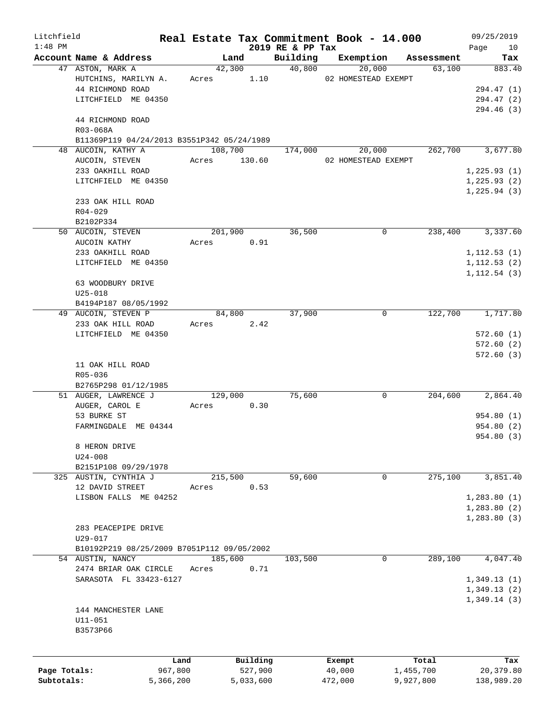| Litchfield   |                                                 |           |         |            |                              | Real Estate Tax Commitment Book - 14.000 |            | 09/25/2019        |
|--------------|-------------------------------------------------|-----------|---------|------------|------------------------------|------------------------------------------|------------|-------------------|
| $1:48$ PM    | Account Name & Address                          |           |         | Land       | 2019 RE & PP Tax<br>Building | Exemption                                | Assessment | Page<br>10<br>Tax |
|              | 47 ASTON, MARK A                                |           |         | 42,300     | 40,800                       | 20,000                                   | 63,100     | 883.40            |
|              | HUTCHINS, MARILYN A.                            |           |         | Acres 1.10 |                              | 02 HOMESTEAD EXEMPT                      |            |                   |
|              | 44 RICHMOND ROAD                                |           |         |            |                              |                                          |            | 294.47 (1)        |
|              | LITCHFIELD ME 04350                             |           |         |            |                              |                                          |            | 294.47 (2)        |
|              |                                                 |           |         |            |                              |                                          |            | 294.46 (3)        |
|              | 44 RICHMOND ROAD                                |           |         |            |                              |                                          |            |                   |
|              | R03-068A                                        |           |         |            |                              |                                          |            |                   |
|              | B11369P119 04/24/2013 B3551P342 05/24/1989      |           |         |            |                              |                                          |            |                   |
|              | 48 AUCOIN, KATHY A                              |           |         | 108,700    | 174,000                      | 20,000                                   | 262,700    | 3,677.80          |
|              | AUCOIN, STEVEN                                  |           | Acres   | 130.60     |                              | 02 HOMESTEAD EXEMPT                      |            |                   |
|              | 233 OAKHILL ROAD                                |           |         |            |                              |                                          |            | 1, 225.93(1)      |
|              | LITCHFIELD ME 04350                             |           |         |            |                              |                                          |            | 1,225.93(2)       |
|              |                                                 |           |         |            |                              |                                          |            | 1, 225.94(3)      |
|              | 233 OAK HILL ROAD                               |           |         |            |                              |                                          |            |                   |
|              | $R04 - 029$                                     |           |         |            |                              |                                          |            |                   |
|              | B2102P334                                       |           |         |            |                              |                                          |            |                   |
|              | 50 AUCOIN, STEVEN                               |           |         | 201,900    | 36,500                       | 0                                        | 238,400    | 3,337.60          |
|              | AUCOIN KATHY                                    |           | Acres   | 0.91       |                              |                                          |            |                   |
|              | 233 OAKHILL ROAD                                |           |         |            |                              |                                          |            | 1, 112.53(1)      |
|              | LITCHFIELD ME 04350                             |           |         |            |                              |                                          |            | 1, 112.53(2)      |
|              |                                                 |           |         |            |                              |                                          |            | 1, 112.54(3)      |
|              | 63 WOODBURY DRIVE                               |           |         |            |                              |                                          |            |                   |
|              | $U25 - 018$                                     |           |         |            |                              |                                          |            |                   |
|              | B4194P187 08/05/1992<br>49 AUCOIN, STEVEN P     |           |         | 84,800     | 37,900                       | $\mathbf 0$                              | 122,700    | 1,717.80          |
|              | 233 OAK HILL ROAD                               |           | Acres   | 2.42       |                              |                                          |            |                   |
|              | LITCHFIELD ME 04350                             |           |         |            |                              |                                          |            | 572.60(1)         |
|              |                                                 |           |         |            |                              |                                          |            | 572.60(2)         |
|              |                                                 |           |         |            |                              |                                          |            | 572.60(3)         |
|              | 11 OAK HILL ROAD                                |           |         |            |                              |                                          |            |                   |
|              | R05-036                                         |           |         |            |                              |                                          |            |                   |
|              | B2765P298 01/12/1985                            |           |         |            |                              |                                          |            |                   |
|              | 51 AUGER, LAWRENCE J                            |           |         | 129,000    | 75,600                       | 0                                        | 204,600    | 2,864.40          |
|              | AUGER, CAROL E                                  |           | Acres   | 0.30       |                              |                                          |            |                   |
|              | 53 BURKE ST                                     |           |         |            |                              |                                          |            | 954.80 (1)        |
|              | FARMINGDALE ME 04344                            |           |         |            |                              |                                          |            | 954.80 (2)        |
|              |                                                 |           |         |            |                              |                                          |            | 954.80 (3)        |
|              | 8 HERON DRIVE                                   |           |         |            |                              |                                          |            |                   |
|              | $U24 - 008$                                     |           |         |            |                              |                                          |            |                   |
|              | B2151P108 09/29/1978                            |           |         |            |                              |                                          |            |                   |
|              | 325 AUSTIN, CYNTHIA J                           |           |         | 215,500    | 59,600                       | 0                                        | 275,100    | 3,851.40          |
|              | 12 DAVID STREET                                 |           | Acres   | 0.53       |                              |                                          |            |                   |
|              | LISBON FALLS ME 04252                           |           |         |            |                              |                                          |            | 1,283.80(1)       |
|              |                                                 |           |         |            |                              |                                          |            | 1,283.80(2)       |
|              |                                                 |           |         |            |                              |                                          |            | 1,283.80(3)       |
|              | 283 PEACEPIPE DRIVE                             |           |         |            |                              |                                          |            |                   |
|              | U29-017                                         |           |         |            |                              |                                          |            |                   |
|              | B10192P219 08/25/2009 B7051P112 09/05/2002      |           |         |            |                              |                                          |            |                   |
|              | 54 AUSTIN, NANCY                                |           | 185,600 |            | 103,500                      | 0                                        | 289,100    | 4,047.40          |
|              | 2474 BRIAR OAK CIRCLE<br>SARASOTA FL 33423-6127 |           | Acres   | 0.71       |                              |                                          |            | 1,349.13(1)       |
|              |                                                 |           |         |            |                              |                                          |            | 1,349.13(2)       |
|              |                                                 |           |         |            |                              |                                          |            | 1,349.14(3)       |
|              | 144 MANCHESTER LANE                             |           |         |            |                              |                                          |            |                   |
|              | $U11 - 051$                                     |           |         |            |                              |                                          |            |                   |
|              | B3573P66                                        |           |         |            |                              |                                          |            |                   |
|              |                                                 |           |         |            |                              |                                          |            |                   |
|              |                                                 | Land      |         | Building   |                              | Exempt                                   | Total      | Tax               |
| Page Totals: |                                                 | 967,800   |         | 527,900    |                              | 40,000                                   | 1,455,700  | 20,379.80         |
| Subtotals:   |                                                 | 5,366,200 |         | 5,033,600  |                              | 472,000                                  | 9,927,800  | 138,989.20        |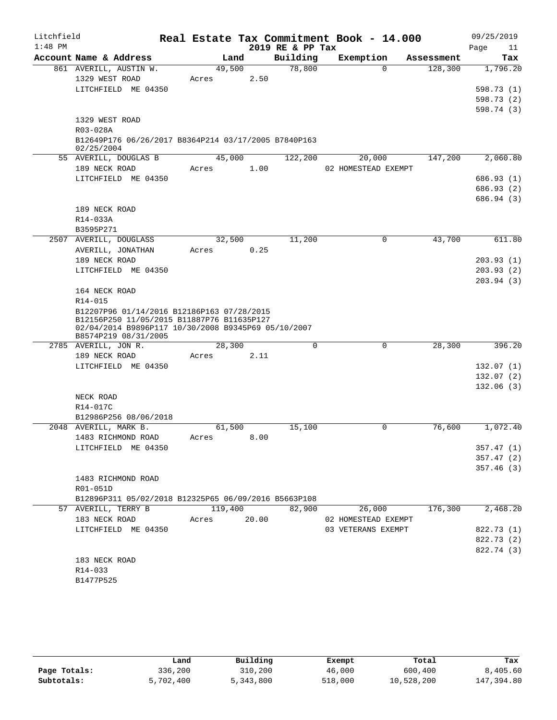| Litchfield |                                                                                                                                                                         |                      |       |                  | Real Estate Tax Commitment Book - 14.000 |            | 09/25/2019               |
|------------|-------------------------------------------------------------------------------------------------------------------------------------------------------------------------|----------------------|-------|------------------|------------------------------------------|------------|--------------------------|
| $1:48$ PM  |                                                                                                                                                                         |                      |       | 2019 RE & PP Tax |                                          |            | Page<br>11               |
|            | Account Name & Address                                                                                                                                                  | Land                 |       | Building         | Exemption                                | Assessment | Tax                      |
|            | 861 AVERILL, AUSTIN W.                                                                                                                                                  | 49,500               |       | 78,800           | $\Omega$                                 | 128,300    | 1,796.20                 |
|            | 1329 WEST ROAD                                                                                                                                                          | Acres                | 2.50  |                  |                                          |            |                          |
|            | LITCHFIELD ME 04350                                                                                                                                                     |                      |       |                  |                                          |            | 598.73 (1)<br>598.73 (2) |
|            |                                                                                                                                                                         |                      |       |                  |                                          |            | 598.74 (3)               |
|            | 1329 WEST ROAD                                                                                                                                                          |                      |       |                  |                                          |            |                          |
|            | R03-028A                                                                                                                                                                |                      |       |                  |                                          |            |                          |
|            | B12649P176 06/26/2017 B8364P214 03/17/2005 B7840P163                                                                                                                    |                      |       |                  |                                          |            |                          |
|            | 02/25/2004                                                                                                                                                              |                      |       |                  |                                          |            |                          |
|            | 55 AVERILL, DOUGLAS B                                                                                                                                                   | 45,000               |       | 122,200          | 20,000                                   | 147,200    | 2,060.80                 |
|            | 189 NECK ROAD                                                                                                                                                           | Acres                | 1.00  |                  | 02 HOMESTEAD EXEMPT                      |            |                          |
|            | LITCHFIELD ME 04350                                                                                                                                                     |                      |       |                  |                                          |            | 686.93(1)                |
|            |                                                                                                                                                                         |                      |       |                  |                                          |            | 686.93 (2)               |
|            | 189 NECK ROAD                                                                                                                                                           |                      |       |                  |                                          |            | 686.94 (3)               |
|            | R14-033A                                                                                                                                                                |                      |       |                  |                                          |            |                          |
|            | B3595P271                                                                                                                                                               |                      |       |                  |                                          |            |                          |
|            | 2507 AVERILL, DOUGLASS                                                                                                                                                  | 32,500               |       | 11,200           | $\mathbf 0$                              | 43,700     | 611.80                   |
|            | AVERILL, JONATHAN                                                                                                                                                       | Acres                | 0.25  |                  |                                          |            |                          |
|            | 189 NECK ROAD                                                                                                                                                           |                      |       |                  |                                          |            | 203.93(1)                |
|            | LITCHFIELD ME 04350                                                                                                                                                     |                      |       |                  |                                          |            | 203.93(2)                |
|            |                                                                                                                                                                         |                      |       |                  |                                          |            | 203.94(3)                |
|            | 164 NECK ROAD                                                                                                                                                           |                      |       |                  |                                          |            |                          |
|            | R14-015                                                                                                                                                                 |                      |       |                  |                                          |            |                          |
|            | B12207P96 01/14/2016 B12186P163 07/28/2015<br>B12156P250 11/05/2015 B11887P76 B11635P127<br>02/04/2014 B9896P117 10/30/2008 B9345P69 05/10/2007<br>B8574P219 08/31/2005 |                      |       |                  |                                          |            |                          |
|            | 2785 AVERILL, JON R.                                                                                                                                                    | 28,300               |       | $\mathbf 0$      | $\mathbf 0$                              | 28,300     | 396.20                   |
|            | 189 NECK ROAD                                                                                                                                                           | Acres                | 2.11  |                  |                                          |            |                          |
|            | LITCHFIELD ME 04350                                                                                                                                                     |                      |       |                  |                                          |            | 132.07(1)                |
|            |                                                                                                                                                                         |                      |       |                  |                                          |            | 132.07(2)                |
|            |                                                                                                                                                                         |                      |       |                  |                                          |            | 132.06(3)                |
|            | NECK ROAD                                                                                                                                                               |                      |       |                  |                                          |            |                          |
|            | R14-017C                                                                                                                                                                |                      |       |                  |                                          |            |                          |
|            | B12986P256 08/06/2018                                                                                                                                                   |                      |       |                  |                                          |            |                          |
|            | 2048 AVERILL, MARK B.<br>1483 RICHMOND ROAD                                                                                                                             | 61,500<br>Acres 8.00 |       | 15,100           | 0                                        | 76,600     | 1,072.40                 |
|            | LITCHFIELD ME 04350                                                                                                                                                     |                      |       |                  |                                          |            | 357.47(1)                |
|            |                                                                                                                                                                         |                      |       |                  |                                          |            | 357.47(2)                |
|            |                                                                                                                                                                         |                      |       |                  |                                          |            | 357.46(3)                |
|            | 1483 RICHMOND ROAD                                                                                                                                                      |                      |       |                  |                                          |            |                          |
|            | R01-051D                                                                                                                                                                |                      |       |                  |                                          |            |                          |
|            | B12896P311 05/02/2018 B12325P65 06/09/2016 B5663P108                                                                                                                    |                      |       |                  |                                          |            |                          |
|            | 57 AVERILL, TERRY B                                                                                                                                                     | 119,400              |       | 82,900           | 26,000                                   | 176,300    | 2,468.20                 |
|            | 183 NECK ROAD                                                                                                                                                           | Acres                | 20.00 |                  | 02 HOMESTEAD EXEMPT                      |            |                          |
|            | LITCHFIELD ME 04350                                                                                                                                                     |                      |       |                  | 03 VETERANS EXEMPT                       |            | 822.73 (1)               |
|            |                                                                                                                                                                         |                      |       |                  |                                          |            | 822.73 (2)               |
|            |                                                                                                                                                                         |                      |       |                  |                                          |            | 822.74 (3)               |
|            | 183 NECK ROAD                                                                                                                                                           |                      |       |                  |                                          |            |                          |
|            | R14-033                                                                                                                                                                 |                      |       |                  |                                          |            |                          |
|            | B1477P525                                                                                                                                                               |                      |       |                  |                                          |            |                          |

|              | Land      | Building  | Exempt  | Total      | Tax        |
|--------------|-----------|-----------|---------|------------|------------|
| Page Totals: | 336,200   | 310,200   | 46,000  | 600,400    | 8,405.60   |
| Subtotals:   | 5,702,400 | 5,343,800 | 518,000 | 10,528,200 | 147,394.80 |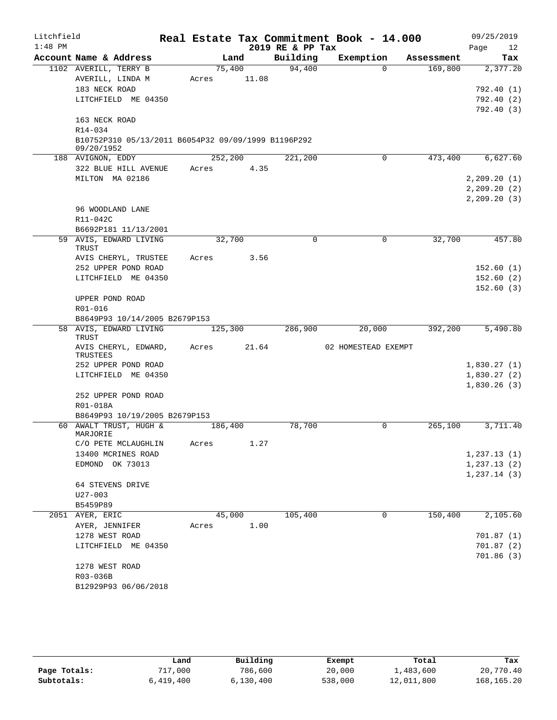| Litchfield |                            |                                                     |       |         |       | Real Estate Tax Commitment Book - 14.000 |                     |             |            |              | 09/25/2019 |
|------------|----------------------------|-----------------------------------------------------|-------|---------|-------|------------------------------------------|---------------------|-------------|------------|--------------|------------|
| $1:48$ PM  |                            |                                                     |       |         |       | 2019 RE & PP Tax                         |                     |             |            | Page         | 12         |
|            |                            | Account Name & Address                              |       | Land    |       | Building                                 | Exemption           |             | Assessment |              | Tax        |
|            | 1102 AVERILL, TERRY B      |                                                     |       | 75,400  |       | 94,400                                   |                     | $\Omega$    | 169,800    |              | 2,377.20   |
|            |                            | AVERILL, LINDA M                                    | Acres |         | 11.08 |                                          |                     |             |            |              |            |
|            | 183 NECK ROAD              |                                                     |       |         |       |                                          |                     |             |            |              | 792.40(1)  |
|            |                            | LITCHFIELD ME 04350                                 |       |         |       |                                          |                     |             |            |              | 792.40(2)  |
|            | 163 NECK ROAD              |                                                     |       |         |       |                                          |                     |             |            |              | 792.40(3)  |
|            | R14-034                    |                                                     |       |         |       |                                          |                     |             |            |              |            |
|            |                            | B10752P310 05/13/2011 B6054P32 09/09/1999 B1196P292 |       |         |       |                                          |                     |             |            |              |            |
|            | 09/20/1952                 |                                                     |       |         |       |                                          |                     |             |            |              |            |
|            | 188 AVIGNON, EDDY          |                                                     |       | 252,200 |       | 221,200                                  |                     | $\Omega$    | 473,400    |              | 6,627.60   |
|            |                            | 322 BLUE HILL AVENUE                                | Acres |         | 4.35  |                                          |                     |             |            |              |            |
|            |                            | MILTON MA 02186                                     |       |         |       |                                          |                     |             |            | 2, 209.20(1) |            |
|            |                            |                                                     |       |         |       |                                          |                     |             |            | 2, 209.20(2) |            |
|            |                            |                                                     |       |         |       |                                          |                     |             |            | 2, 209.20(3) |            |
|            |                            | 96 WOODLAND LANE                                    |       |         |       |                                          |                     |             |            |              |            |
|            | R11-042C                   |                                                     |       |         |       |                                          |                     |             |            |              |            |
|            |                            | B6692P181 11/13/2001                                |       |         |       |                                          |                     |             |            |              |            |
|            | TRUST                      | 59 AVIS, EDWARD LIVING                              |       | 32,700  |       | $\mathbf 0$                              |                     | $\mathbf 0$ | 32,700     |              | 457.80     |
|            |                            | AVIS CHERYL, TRUSTEE                                | Acres |         | 3.56  |                                          |                     |             |            |              |            |
|            |                            | 252 UPPER POND ROAD                                 |       |         |       |                                          |                     |             |            |              | 152.60(1)  |
|            |                            | LITCHFIELD ME 04350                                 |       |         |       |                                          |                     |             |            |              | 152.60(2)  |
|            |                            |                                                     |       |         |       |                                          |                     |             |            |              | 152.60(3)  |
|            | UPPER POND ROAD            |                                                     |       |         |       |                                          |                     |             |            |              |            |
|            | R01-016                    | B8649P93 10/14/2005 B2679P153                       |       |         |       |                                          |                     |             |            |              |            |
|            |                            | 58 AVIS, EDWARD LIVING                              |       | 125,300 |       | 286,900                                  |                     | 20,000      | 392,200    |              | 5,490.80   |
|            | TRUST                      |                                                     |       |         |       |                                          |                     |             |            |              |            |
|            | TRUSTEES                   | AVIS CHERYL, EDWARD,                                | Acres |         | 21.64 |                                          | 02 HOMESTEAD EXEMPT |             |            |              |            |
|            |                            | 252 UPPER POND ROAD                                 |       |         |       |                                          |                     |             |            | 1,830.27(1)  |            |
|            |                            | LITCHFIELD ME 04350                                 |       |         |       |                                          |                     |             |            | 1,830.27(2)  |            |
|            |                            |                                                     |       |         |       |                                          |                     |             |            | 1,830.26(3)  |            |
|            |                            | 252 UPPER POND ROAD                                 |       |         |       |                                          |                     |             |            |              |            |
|            | R01-018A                   |                                                     |       |         |       |                                          |                     |             |            |              |            |
|            |                            | B8649P93 10/19/2005 B2679P153                       |       |         |       |                                          |                     |             |            |              |            |
|            | MARJORIE                   | 60 AWALT TRUST, HUGH &                              |       | 186,400 |       | 78,700                                   |                     | 0           | 265,100    |              | 3,711.40   |
|            |                            | C/O PETE MCLAUGHLIN                                 | Acres |         | 1.27  |                                          |                     |             |            |              |            |
|            |                            | 13400 MCRINES ROAD                                  |       |         |       |                                          |                     |             |            | 1, 237.13(1) |            |
|            |                            | EDMOND OK 73013                                     |       |         |       |                                          |                     |             |            | 1, 237.13(2) |            |
|            |                            |                                                     |       |         |       |                                          |                     |             |            | 1,237.14(3)  |            |
|            |                            | 64 STEVENS DRIVE                                    |       |         |       |                                          |                     |             |            |              |            |
|            | U27-003                    |                                                     |       |         |       |                                          |                     |             |            |              |            |
|            | B5459P89                   |                                                     |       |         |       |                                          |                     |             |            |              |            |
|            | 2051 AYER, ERIC            |                                                     |       | 45,000  |       | 105,400                                  |                     | 0           | 150,400    |              | 2,105.60   |
|            | AYER, JENNIFER             |                                                     | Acres |         | 1.00  |                                          |                     |             |            |              |            |
|            | 1278 WEST ROAD             |                                                     |       |         |       |                                          |                     |             |            |              | 701.87(1)  |
|            |                            | LITCHFIELD ME 04350                                 |       |         |       |                                          |                     |             |            |              | 701.87 (2) |
|            |                            |                                                     |       |         |       |                                          |                     |             |            |              | 701.86(3)  |
|            | 1278 WEST ROAD<br>R03-036B |                                                     |       |         |       |                                          |                     |             |            |              |            |
|            |                            | B12929P93 06/06/2018                                |       |         |       |                                          |                     |             |            |              |            |
|            |                            |                                                     |       |         |       |                                          |                     |             |            |              |            |

|              | Land      | Building  | Exempt  | Total      | Tax          |
|--------------|-----------|-----------|---------|------------|--------------|
| Page Totals: | 717,000   | 786,600   | 20,000  | 1,483,600  | 20,770.40    |
| Subtotals:   | 6,419,400 | 6,130,400 | 538,000 | 12,011,800 | 168, 165. 20 |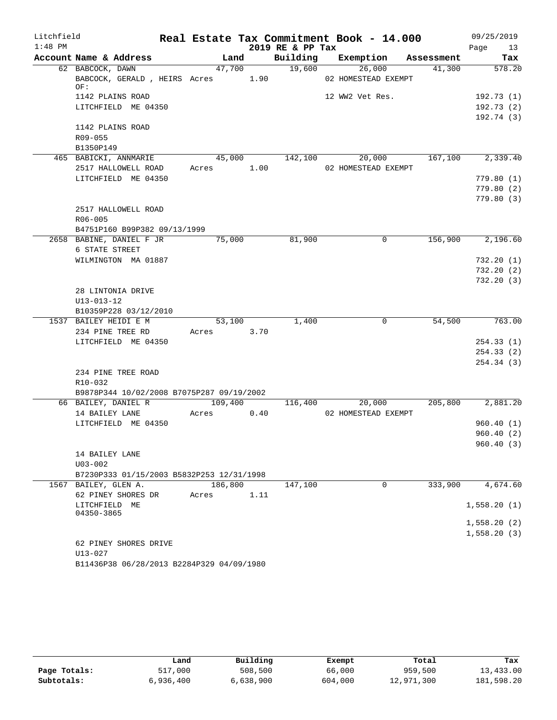| Litchfield |                                                       |            |      |                  | Real Estate Tax Commitment Book - 14.000 |         | 09/25/2019              |
|------------|-------------------------------------------------------|------------|------|------------------|------------------------------------------|---------|-------------------------|
| $1:48$ PM  |                                                       |            |      | 2019 RE & PP Tax |                                          |         | Page<br>13              |
|            | Account Name & Address                                | Land       |      |                  | Building Exemption Assessment            |         | Tax                     |
|            | 62 BABCOCK, DAWN<br>BABCOCK, GERALD, HEIRS Acres 1.90 | 47,700     |      | 19,600           | 26,000<br>02 HOMESTEAD EXEMPT            | 41,300  | 578.20                  |
|            | OF:                                                   |            |      |                  |                                          |         |                         |
|            | 1142 PLAINS ROAD<br>LITCHFIELD ME 04350               |            |      |                  | 12 WW2 Vet Res.                          |         | 192.73(1)<br>192.73 (2) |
|            |                                                       |            |      |                  |                                          |         | 192.74(3)               |
|            | 1142 PLAINS ROAD                                      |            |      |                  |                                          |         |                         |
|            | R09-055                                               |            |      |                  |                                          |         |                         |
|            | B1350P149                                             |            |      |                  |                                          |         |                         |
|            | 465 BABICKI, ANNMARIE                                 |            |      | 45,000 142,100   | 20,000                                   |         | 167,100 2,339.40        |
|            | 2517 HALLOWELL ROAD                                   | Acres 1.00 |      |                  | 02 HOMESTEAD EXEMPT                      |         |                         |
|            | LITCHFIELD ME 04350                                   |            |      |                  |                                          |         | 779.80(1)               |
|            |                                                       |            |      |                  |                                          |         | 779.80(2)               |
|            |                                                       |            |      |                  |                                          |         | 779.80(3)               |
|            | 2517 HALLOWELL ROAD                                   |            |      |                  |                                          |         |                         |
|            | R06-005                                               |            |      |                  |                                          |         |                         |
|            | B4751P160 B99P382 09/13/1999                          |            |      |                  |                                          |         |                         |
|            | 2658 BABINE, DANIEL F JR                              | 75,000     |      | 81,900           | $\mathbf 0$                              | 156,900 | 2,196.60                |
|            | 6 STATE STREET                                        |            |      |                  |                                          |         |                         |
|            | WILMINGTON MA 01887                                   |            |      |                  |                                          |         | 732.20(1)               |
|            |                                                       |            |      |                  |                                          |         | 732.20(2)               |
|            |                                                       |            |      |                  |                                          |         | 732.20(3)               |
|            | 28 LINTONIA DRIVE                                     |            |      |                  |                                          |         |                         |
|            | $U13 - 013 - 12$                                      |            |      |                  |                                          |         |                         |
|            | B10359P228 03/12/2010                                 |            |      |                  |                                          |         |                         |
|            | 1537 BAILEY HEIDI E M                                 | 53,100     |      | 1,400            | $\mathbf 0$                              | 54,500  | 763.00                  |
|            | 234 PINE TREE RD                                      | Acres      | 3.70 |                  |                                          |         |                         |
|            | LITCHFIELD ME 04350                                   |            |      |                  |                                          |         | 254.33(1)               |
|            |                                                       |            |      |                  |                                          |         | 254.33 (2)              |
|            |                                                       |            |      |                  |                                          |         | 254.34(3)               |
|            | 234 PINE TREE ROAD                                    |            |      |                  |                                          |         |                         |
|            | R10-032<br>B9878P344 10/02/2008 B7075P287 09/19/2002  |            |      |                  |                                          |         |                         |
|            | 66 BAILEY, DANIEL R                                   | 109,400    |      | 116,400          | 20,000                                   | 205,800 | 2,881.20                |
|            | 14 BAILEY LANE                                        | Acres      | 0.40 |                  | 02 HOMESTEAD EXEMPT                      |         |                         |
|            | LITCHFIELD ME 04350                                   |            |      |                  |                                          |         | 960.40(1)               |
|            |                                                       |            |      |                  |                                          |         | 960.40(2)               |
|            |                                                       |            |      |                  |                                          |         | 960.40(3)               |
|            | 14 BAILEY LANE                                        |            |      |                  |                                          |         |                         |
|            | $U03 - 002$                                           |            |      |                  |                                          |         |                         |
|            | B7230P333 01/15/2003 B5832P253 12/31/1998             |            |      |                  |                                          |         |                         |
|            | 1567 BAILEY, GLEN A.                                  | 186,800    |      | 147,100          | 0                                        | 333,900 | 4,674.60                |
|            | 62 PINEY SHORES DR                                    | Acres      | 1.11 |                  |                                          |         |                         |
|            | LITCHFIELD ME                                         |            |      |                  |                                          |         | 1,558.20(1)             |
|            | 04350-3865                                            |            |      |                  |                                          |         |                         |
|            |                                                       |            |      |                  |                                          |         | 1,558.20(2)             |
|            |                                                       |            |      |                  |                                          |         | 1,558.20(3)             |
|            | 62 PINEY SHORES DRIVE                                 |            |      |                  |                                          |         |                         |
|            | $U13 - 027$                                           |            |      |                  |                                          |         |                         |

B11436P38 06/28/2013 B2284P329 04/09/1980

|              | Land      | Building  | Exempt  | Total      | Tax        |
|--------------|-----------|-----------|---------|------------|------------|
| Page Totals: | 517,000   | 508,500   | 66,000  | 959,500    | 13,433.00  |
| Subtotals:   | 6,936,400 | 6,638,900 | 604,000 | 12,971,300 | 181,598.20 |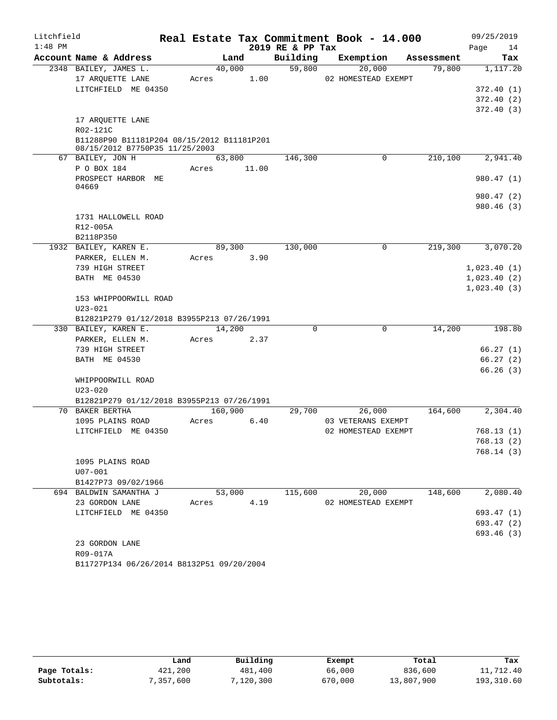| Litchfield |                                                                              |         |        |                  | Real Estate Tax Commitment Book - 14.000 |            | 09/25/2019           |
|------------|------------------------------------------------------------------------------|---------|--------|------------------|------------------------------------------|------------|----------------------|
| $1:48$ PM  |                                                                              |         |        | 2019 RE & PP Tax |                                          |            | Page<br>14           |
|            | Account Name & Address                                                       |         | Land   | Building         | Exemption                                | Assessment | Tax                  |
|            | 2348 BAILEY, JAMES L.                                                        | 40,000  |        | 59,800           | 20,000                                   | 79,800     | 1,117.20             |
|            | 17 ARQUETTE LANE                                                             | Acres   | 1.00   |                  | 02 HOMESTEAD EXEMPT                      |            |                      |
|            | LITCHFIELD ME 04350                                                          |         |        |                  |                                          |            | 372.40(1)            |
|            |                                                                              |         |        |                  |                                          |            | 372.40(2)            |
|            |                                                                              |         |        |                  |                                          |            | 372.40 (3)           |
|            | 17 ARQUETTE LANE                                                             |         |        |                  |                                          |            |                      |
|            | R02-121C                                                                     |         |        |                  |                                          |            |                      |
|            | B11288P90 B11181P204 08/15/2012 B11181P201<br>08/15/2012 B7750P35 11/25/2003 |         |        |                  |                                          |            |                      |
|            | 67 BAILEY, JON H                                                             | 63,800  |        | 146,300          | 0                                        | 210,100    | 2,941.40             |
|            | P O BOX 184                                                                  | Acres   | 11.00  |                  |                                          |            |                      |
|            | PROSPECT HARBOR ME                                                           |         |        |                  |                                          |            | 980.47 (1)           |
|            | 04669                                                                        |         |        |                  |                                          |            |                      |
|            |                                                                              |         |        |                  |                                          |            | 980.47 (2)           |
|            |                                                                              |         |        |                  |                                          |            | 980.46(3)            |
|            | 1731 HALLOWELL ROAD                                                          |         |        |                  |                                          |            |                      |
|            | R12-005A                                                                     |         |        |                  |                                          |            |                      |
|            | B2118P350                                                                    |         |        |                  |                                          |            |                      |
|            | 1932 BAILEY, KAREN E.                                                        | 89,300  |        | 130,000          | 0                                        | 219,300    | 3,070.20             |
|            | PARKER, ELLEN M.                                                             | Acres   | 3.90   |                  |                                          |            |                      |
|            | 739 HIGH STREET                                                              |         |        |                  |                                          |            | 1,023.40(1)          |
|            | <b>BATH ME 04530</b>                                                         |         |        |                  |                                          |            | 1,023.40(2)          |
|            |                                                                              |         |        |                  |                                          |            | 1,023.40(3)          |
|            | 153 WHIPPOORWILL ROAD                                                        |         |        |                  |                                          |            |                      |
|            | $U23 - 021$                                                                  |         |        |                  |                                          |            |                      |
|            | B12821P279 01/12/2018 B3955P213 07/26/1991                                   |         |        |                  |                                          |            |                      |
|            | 330 BAILEY, KAREN E.                                                         | 14,200  |        | 0                | 0                                        | 14,200     | 198.80               |
|            | PARKER, ELLEN M.                                                             | Acres   | 2.37   |                  |                                          |            |                      |
|            | 739 HIGH STREET                                                              |         |        |                  |                                          |            | 66.27(1)             |
|            | BATH ME 04530                                                                |         |        |                  |                                          |            | 66.27(2)<br>66.26(3) |
|            | WHIPPOORWILL ROAD                                                            |         |        |                  |                                          |            |                      |
|            | $U23 - 020$                                                                  |         |        |                  |                                          |            |                      |
|            | B12821P279 01/12/2018 B3955P213 07/26/1991                                   |         |        |                  |                                          |            |                      |
|            | 70 BAKER BERTHA                                                              | 160,900 |        | 29,700           | 26,000                                   | 164,600    | 2,304.40             |
|            | 1095 PLAINS ROAD                                                             | Acres   | 6.40   |                  | 03 VETERANS EXEMPT                       |            |                      |
|            | LITCHFIELD ME 04350                                                          |         |        |                  | 02 HOMESTEAD EXEMPT                      |            | 768.13(1)            |
|            |                                                                              |         |        |                  |                                          |            | 768.13(2)            |
|            |                                                                              |         |        |                  |                                          |            | 768.14(3)            |
|            | 1095 PLAINS ROAD                                                             |         |        |                  |                                          |            |                      |
|            | $U07 - 001$                                                                  |         |        |                  |                                          |            |                      |
|            | B1427P73 09/02/1966                                                          |         |        |                  |                                          |            |                      |
|            | 694 BALDWIN SAMANTHA J                                                       |         | 53,000 | 115,600          | 20,000                                   | 148,600    | 2,080.40             |
|            | 23 GORDON LANE                                                               | Acres   | 4.19   |                  | 02 HOMESTEAD EXEMPT                      |            |                      |
|            | LITCHFIELD ME 04350                                                          |         |        |                  |                                          |            | 693.47 (1)           |
|            |                                                                              |         |        |                  |                                          |            | 693.47 (2)           |
|            |                                                                              |         |        |                  |                                          |            | 693.46 (3)           |
|            | 23 GORDON LANE                                                               |         |        |                  |                                          |            |                      |
|            | R09-017A                                                                     |         |        |                  |                                          |            |                      |

B11727P134 06/26/2014 B8132P51 09/20/2004

|              | Land      | Building  | Exempt  | Total      | Tax        |
|--------------|-----------|-----------|---------|------------|------------|
| Page Totals: | 421,200   | 481,400   | 66,000  | 836,600    | 11,712.40  |
| Subtotals:   | 7,357,600 | 120,300 ق | 670,000 | 13,807,900 | 193,310.60 |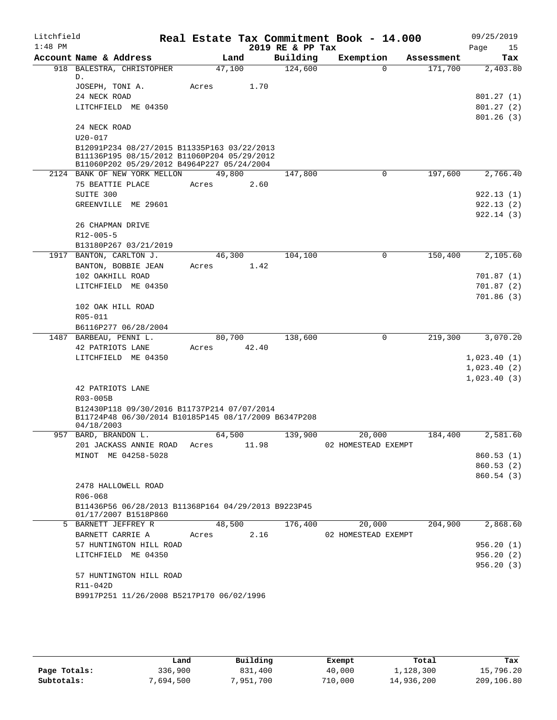| Litchfield<br>$1:48$ PM |                                                                             |        |       | 2019 RE & PP Tax | Real Estate Tax Commitment Book - 14.000 |            | 09/25/2019<br>Page<br>15 |
|-------------------------|-----------------------------------------------------------------------------|--------|-------|------------------|------------------------------------------|------------|--------------------------|
|                         | Account Name & Address                                                      |        | Land  | Building         | Exemption                                | Assessment | Tax                      |
|                         | 918 BALESTRA, CHRISTOPHER                                                   | 47,100 |       | 124,600          | $\Omega$                                 | 171,700    | 2,403.80                 |
|                         | D.                                                                          |        |       |                  |                                          |            |                          |
|                         | JOSEPH, TONI A.                                                             | Acres  | 1.70  |                  |                                          |            |                          |
|                         | 24 NECK ROAD                                                                |        |       |                  |                                          |            | 801.27(1)                |
|                         | LITCHFIELD ME 04350                                                         |        |       |                  |                                          |            | 801.27(2)<br>801.26(3)   |
|                         | 24 NECK ROAD                                                                |        |       |                  |                                          |            |                          |
|                         | $U20 - 017$                                                                 |        |       |                  |                                          |            |                          |
|                         | B12091P234 08/27/2015 B11335P163 03/22/2013                                 |        |       |                  |                                          |            |                          |
|                         | B11136P195 08/15/2012 B11060P204 05/29/2012                                 |        |       |                  |                                          |            |                          |
|                         | B11060P202 05/29/2012 B4964P227 05/24/2004                                  |        |       |                  |                                          |            |                          |
|                         | 2124 BANK OF NEW YORK MELLON                                                | 49,800 |       | 147,800          | $\mathbf 0$                              | 197,600    | 2,766.40                 |
|                         | 75 BEATTIE PLACE                                                            | Acres  | 2.60  |                  |                                          |            |                          |
|                         | SUITE 300<br>GREENVILLE ME 29601                                            |        |       |                  |                                          |            | 922.13(1)<br>922.13(2)   |
|                         |                                                                             |        |       |                  |                                          |            | 922.14(3)                |
|                         | 26 CHAPMAN DRIVE                                                            |        |       |                  |                                          |            |                          |
|                         | R12-005-5                                                                   |        |       |                  |                                          |            |                          |
|                         | B13180P267 03/21/2019                                                       |        |       |                  |                                          |            |                          |
|                         | 1917 BANTON, CARLTON J.                                                     | 46,300 |       | 104,100          | 0                                        | 150,400    | 2,105.60                 |
|                         | BANTON, BOBBIE JEAN                                                         | Acres  | 1.42  |                  |                                          |            |                          |
|                         | 102 OAKHILL ROAD                                                            |        |       |                  |                                          |            | 701.87(1)                |
|                         | LITCHFIELD ME 04350                                                         |        |       |                  |                                          |            | 701.87(2)                |
|                         |                                                                             |        |       |                  |                                          |            | 701.86(3)                |
|                         | 102 OAK HILL ROAD                                                           |        |       |                  |                                          |            |                          |
|                         | R05-011                                                                     |        |       |                  |                                          |            |                          |
|                         | B6116P277 06/28/2004                                                        |        |       |                  |                                          |            |                          |
|                         | 1487 BARBEAU, PENNI L.                                                      | 80,700 |       | 138,600          | 0                                        | 219,300    | 3,070.20                 |
|                         | 42 PATRIOTS LANE<br>LITCHFIELD ME 04350                                     | Acres  | 42.40 |                  |                                          |            | 1,023.40(1)              |
|                         |                                                                             |        |       |                  |                                          |            | 1,023.40(2)              |
|                         |                                                                             |        |       |                  |                                          |            | 1,023.40(3)              |
|                         | 42 PATRIOTS LANE                                                            |        |       |                  |                                          |            |                          |
|                         | R03-005B                                                                    |        |       |                  |                                          |            |                          |
|                         | B12430P118 09/30/2016 B11737P214 07/07/2014                                 |        |       |                  |                                          |            |                          |
|                         | B11724P48 06/30/2014 B10185P145 08/17/2009 B6347P208                        |        |       |                  |                                          |            |                          |
|                         | 04/18/2003                                                                  | 64,500 |       |                  | 20,000                                   |            | 2,581.60                 |
|                         | 957 BARD, BRANDON L.<br>201 JACKASS ANNIE ROAD                              | Acres  | 11.98 | 139,900          | 02 HOMESTEAD EXEMPT                      | 184,400    |                          |
|                         | MINOT ME 04258-5028                                                         |        |       |                  |                                          |            | 860.53(1)                |
|                         |                                                                             |        |       |                  |                                          |            | 860.53(2)                |
|                         |                                                                             |        |       |                  |                                          |            | 860.54(3)                |
|                         | 2478 HALLOWELL ROAD                                                         |        |       |                  |                                          |            |                          |
|                         | R06-068                                                                     |        |       |                  |                                          |            |                          |
|                         | B11436P56 06/28/2013 B11368P164 04/29/2013 B9223P45<br>01/17/2007 B1518P860 |        |       |                  |                                          |            |                          |
|                         | 5 BARNETT JEFFREY R                                                         | 48,500 |       | 176,400          | 20,000                                   | 204,900    | 2,868.60                 |
|                         | BARNETT CARRIE A                                                            | Acres  | 2.16  |                  | 02 HOMESTEAD EXEMPT                      |            |                          |
|                         | 57 HUNTINGTON HILL ROAD                                                     |        |       |                  |                                          |            | 956.20(1)                |
|                         | LITCHFIELD ME 04350                                                         |        |       |                  |                                          |            | 956.20(2)                |
|                         |                                                                             |        |       |                  |                                          |            | 956.20(3)                |
|                         | 57 HUNTINGTON HILL ROAD<br>R11-042D                                         |        |       |                  |                                          |            |                          |
|                         | B9917P251 11/26/2008 B5217P170 06/02/1996                                   |        |       |                  |                                          |            |                          |
|                         |                                                                             |        |       |                  |                                          |            |                          |

|              | Land      | Building  | Exempt  | Total      | Tax        |
|--------------|-----------|-----------|---------|------------|------------|
| Page Totals: | 336,900   | 831,400   | 40,000  | 1,128,300  | 15,796.20  |
| Subtotals:   | 7,694,500 | 7,951,700 | 710,000 | 14,936,200 | 209,106.80 |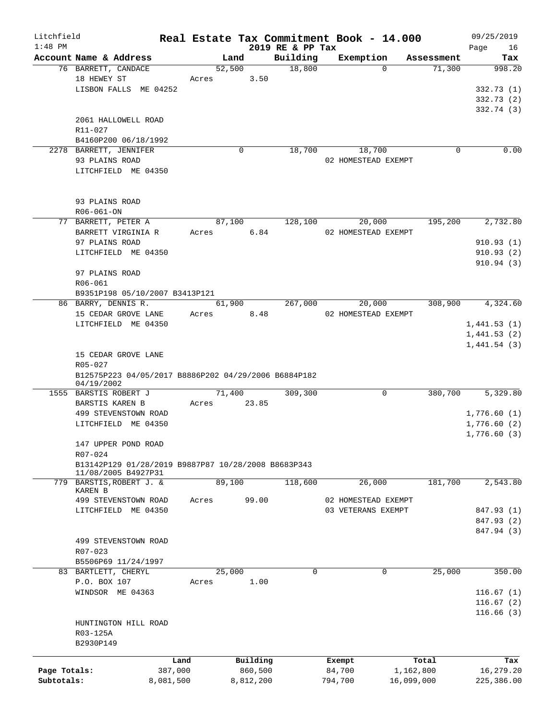| Litchfield   |                                                                |           |            |             |                              | Real Estate Tax Commitment Book - 14.000 |                     |             | 09/25/2019        |
|--------------|----------------------------------------------------------------|-----------|------------|-------------|------------------------------|------------------------------------------|---------------------|-------------|-------------------|
| $1:48$ PM    | Account Name & Address                                         |           |            | Land        | 2019 RE & PP Tax<br>Building |                                          | Exemption           | Assessment  | 16<br>Page<br>Tax |
|              | 76 BARRETT, CANDACE                                            |           |            | 52,500      | 18,800                       |                                          | $\Omega$            | 71,300      | 998.20            |
|              | 18 HEWEY ST                                                    |           | Acres      | 3.50        |                              |                                          |                     |             |                   |
|              | LISBON FALLS ME 04252                                          |           |            |             |                              |                                          |                     |             | 332.73(1)         |
|              |                                                                |           |            |             |                              |                                          |                     |             | 332.73(2)         |
|              |                                                                |           |            |             |                              |                                          |                     |             | 332.74 (3)        |
|              | 2061 HALLOWELL ROAD                                            |           |            |             |                              |                                          |                     |             |                   |
|              | R11-027                                                        |           |            |             |                              |                                          |                     |             |                   |
|              | B4160P200 06/18/1992                                           |           |            |             |                              |                                          |                     |             |                   |
|              | 2278 BARRETT, JENNIFER                                         |           |            | $\mathbf 0$ | 18,700                       |                                          | 18,700              | $\mathbf 0$ | 0.00              |
|              | 93 PLAINS ROAD                                                 |           |            |             |                              |                                          | 02 HOMESTEAD EXEMPT |             |                   |
|              | LITCHFIELD ME 04350                                            |           |            |             |                              |                                          |                     |             |                   |
|              |                                                                |           |            |             |                              |                                          |                     |             |                   |
|              |                                                                |           |            |             |                              |                                          |                     |             |                   |
|              | 93 PLAINS ROAD                                                 |           |            |             |                              |                                          |                     |             |                   |
|              | R06-061-ON                                                     |           |            |             |                              |                                          |                     |             |                   |
|              | 77 BARRETT, PETER A                                            |           |            | 87,100      | 128,100                      |                                          | 20,000              | 195,200     | 2,732.80          |
|              | BARRETT VIRGINIA R                                             |           | Acres 6.84 |             |                              |                                          | 02 HOMESTEAD EXEMPT |             |                   |
|              | 97 PLAINS ROAD                                                 |           |            |             |                              |                                          |                     |             | 910.93(1)         |
|              | LITCHFIELD ME 04350                                            |           |            |             |                              |                                          |                     |             | 910.93(2)         |
|              |                                                                |           |            |             |                              |                                          |                     |             | 910.94(3)         |
|              | 97 PLAINS ROAD                                                 |           |            |             |                              |                                          |                     |             |                   |
|              | R06-061                                                        |           |            |             |                              |                                          |                     |             |                   |
|              | B9351P198 05/10/2007 B3413P121                                 |           |            |             |                              |                                          |                     |             |                   |
|              | 86 BARRY, DENNIS R.                                            |           |            | 61,900      | 267,000                      |                                          | 20,000              | 308,900     | 4,324.60          |
|              | 15 CEDAR GROVE LANE                                            |           | Acres 8.48 |             |                              |                                          | 02 HOMESTEAD EXEMPT |             |                   |
|              | LITCHFIELD ME 04350                                            |           |            |             |                              |                                          |                     |             | 1,441.53(1)       |
|              |                                                                |           |            |             |                              |                                          |                     |             | 1,441.53(2)       |
|              |                                                                |           |            |             |                              |                                          |                     |             | 1,441.54(3)       |
|              | 15 CEDAR GROVE LANE                                            |           |            |             |                              |                                          |                     |             |                   |
|              | R05-027                                                        |           |            |             |                              |                                          |                     |             |                   |
|              | B12575P223 04/05/2017 B8886P202 04/29/2006 B6884P182           |           |            |             |                              |                                          |                     |             |                   |
|              | 04/19/2002                                                     |           |            |             |                              |                                          |                     |             |                   |
|              | 1555 BARSTIS ROBERT J                                          |           |            | 71,400      | 309,300                      |                                          | 0                   | 380,700     | 5,329.80          |
|              | BARSTIS KAREN B                                                |           | Acres      | 23.85       |                              |                                          |                     |             |                   |
|              | 499 STEVENSTOWN ROAD<br>LITCHFIELD ME 04350                    |           |            |             |                              |                                          |                     |             | 1,776.60(1)       |
|              |                                                                |           |            |             |                              |                                          |                     |             | 1,776.60(2)       |
|              | 147 UPPER POND ROAD                                            |           |            |             |                              |                                          |                     |             | 1,776.60(3)       |
|              |                                                                |           |            |             |                              |                                          |                     |             |                   |
|              | R07-024<br>B13142P129 01/28/2019 B9887P87 10/28/2008 B8683P343 |           |            |             |                              |                                          |                     |             |                   |
|              | 11/08/2005 B4927P31                                            |           |            |             |                              |                                          |                     |             |                   |
|              | 779 BARSTIS, ROBERT J. &                                       |           |            | 89,100      | 118,600                      |                                          | 26,000              | 181,700     | 2,543.80          |
|              | <b>KAREN B</b>                                                 |           |            |             |                              |                                          |                     |             |                   |
|              | 499 STEVENSTOWN ROAD                                           |           | Acres      | 99.00       |                              |                                          | 02 HOMESTEAD EXEMPT |             |                   |
|              | LITCHFIELD ME 04350                                            |           |            |             |                              |                                          | 03 VETERANS EXEMPT  |             | 847.93 (1)        |
|              |                                                                |           |            |             |                              |                                          |                     |             | 847.93 (2)        |
|              |                                                                |           |            |             |                              |                                          |                     |             | 847.94 (3)        |
|              | 499 STEVENSTOWN ROAD                                           |           |            |             |                              |                                          |                     |             |                   |
|              | R07-023                                                        |           |            |             |                              |                                          |                     |             |                   |
|              | B5506P69 11/24/1997                                            |           |            |             |                              |                                          |                     |             |                   |
|              | 83 BARTLETT, CHERYL                                            |           |            | 25,000      |                              | 0                                        | 0                   | 25,000      | 350.00            |
|              | P.O. BOX 107                                                   |           | Acres      | 1.00        |                              |                                          |                     |             |                   |
|              | WINDSOR ME 04363                                               |           |            |             |                              |                                          |                     |             | 116.67(1)         |
|              |                                                                |           |            |             |                              |                                          |                     |             | 116.67(2)         |
|              |                                                                |           |            |             |                              |                                          |                     |             | 116.66(3)         |
|              | HUNTINGTON HILL ROAD                                           |           |            |             |                              |                                          |                     |             |                   |
|              | R03-125A                                                       |           |            |             |                              |                                          |                     |             |                   |
|              | B2930P149                                                      |           |            |             |                              |                                          |                     |             |                   |
|              |                                                                | Land      |            | Building    |                              | Exempt                                   |                     | Total       | Tax               |
| Page Totals: |                                                                | 387,000   |            | 860,500     |                              | 84,700                                   |                     | 1,162,800   | 16,279.20         |
| Subtotals:   |                                                                | 8,081,500 |            | 8,812,200   |                              | 794,700                                  |                     | 16,099,000  | 225,386.00        |
|              |                                                                |           |            |             |                              |                                          |                     |             |                   |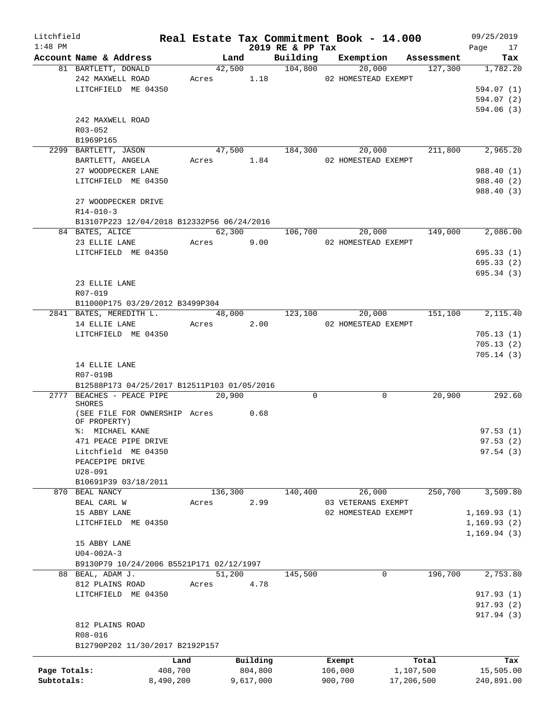| Litchfield   |                                                    |           |         |            |                  | Real Estate Tax Commitment Book - 14.000 |            |                | 09/25/2019                                       |
|--------------|----------------------------------------------------|-----------|---------|------------|------------------|------------------------------------------|------------|----------------|--------------------------------------------------|
| $1:48$ PM    |                                                    |           |         |            | 2019 RE & PP Tax |                                          |            |                | Page 17                                          |
|              | Account Name & Address                             |           |         | Land       | 42,500 104,800   | Building Exemption Assessment            |            |                | Tax                                              |
|              | 81 BARTLETT, DONALD<br>242 MAXWELL ROAD            |           |         |            |                  | 20,000<br>Acres 1.18 02 HOMESTEAD EXEMPT |            |                | 127,300 1,782.20                                 |
|              | LITCHFIELD ME 04350                                |           |         |            |                  |                                          |            |                | 594.07(1)                                        |
|              |                                                    |           |         |            |                  |                                          |            |                | 594.07 (2)                                       |
|              |                                                    |           |         |            |                  |                                          |            |                | 594.06(3)                                        |
|              | 242 MAXWELL ROAD                                   |           |         |            |                  |                                          |            |                |                                                  |
|              | $R03 - 052$                                        |           |         |            |                  |                                          |            |                |                                                  |
|              |                                                    |           |         |            |                  |                                          |            |                |                                                  |
|              | B1969P165<br>2299 BARTLETT, JASON                  |           |         |            |                  |                                          |            |                | $47,500$ $184,300$ $20,000$ $211,800$ $2,965.20$ |
|              | BARTLETT, ANGELA                                   |           |         | Acres 1.84 |                  | 02 HOMESTEAD EXEMPT                      |            |                |                                                  |
|              | 27 WOODPECKER LANE                                 |           |         |            |                  |                                          |            |                | 988.40 (1)                                       |
|              | LITCHFIELD ME 04350                                |           |         |            |                  |                                          |            |                |                                                  |
|              |                                                    |           |         |            |                  |                                          |            |                | 988.40 (2)                                       |
|              |                                                    |           |         |            |                  |                                          |            |                | 988.40 (3)                                       |
|              | 27 WOODPECKER DRIVE                                |           |         |            |                  |                                          |            |                |                                                  |
|              | $R14 - 010 - 3$                                    |           |         |            |                  |                                          |            |                |                                                  |
|              | B13107P223 12/04/2018 B12332P56 06/24/2016         |           |         | 62,300     |                  |                                          |            |                |                                                  |
|              | 84 BATES, ALICE                                    |           |         |            |                  | 106,700 20,000 149,000                   |            |                | 2,086.00                                         |
|              | 23 ELLIE LANE Acres 9.00                           |           |         |            |                  | 02 HOMESTEAD EXEMPT                      |            |                |                                                  |
|              | LITCHFIELD ME 04350                                |           |         |            |                  |                                          |            |                | 695.33(1)                                        |
|              |                                                    |           |         |            |                  |                                          |            |                | 695.33(2)                                        |
|              |                                                    |           |         |            |                  |                                          |            |                | 695.34(3)                                        |
|              | 23 ELLIE LANE                                      |           |         |            |                  |                                          |            |                |                                                  |
|              | R07-019                                            |           |         |            |                  |                                          |            |                |                                                  |
|              | B11000P175 03/29/2012 B3499P304                    |           |         |            |                  |                                          |            |                |                                                  |
|              | 2841 BATES, MEREDITH L.                            |           |         |            | 48,000 123,100   |                                          |            | 20,000 151,100 | 2,115.40                                         |
|              | 14 ELLIE LANE Acres 2.00                           |           |         |            |                  | 02 HOMESTEAD EXEMPT                      |            |                |                                                  |
|              | LITCHFIELD ME 04350                                |           |         |            |                  |                                          |            |                | 705.13(1)                                        |
|              |                                                    |           |         |            |                  |                                          |            |                | 705.13(2)                                        |
|              |                                                    |           |         |            |                  |                                          |            |                | 705.14(3)                                        |
|              | 14 ELLIE LANE                                      |           |         |            |                  |                                          |            |                |                                                  |
|              | R07-019B                                           |           |         |            |                  |                                          |            |                |                                                  |
|              | B12588P173 04/25/2017 B12511P103 01/05/2016        |           |         |            |                  |                                          |            |                |                                                  |
|              | 2777 BEACHES - PEACE PIPE 20,900                   |           |         |            | 0                | 0                                        |            | 20,900         | $\overline{292.60}$                              |
|              | SHORES                                             |           |         |            |                  |                                          |            |                |                                                  |
|              | (SEE FILE FOR OWNERSHIP Acres 0.68<br>OF PROPERTY) |           |         |            |                  |                                          |            |                |                                                  |
|              | %: MICHAEL KANE                                    |           |         |            |                  |                                          |            |                | 97.53(1)                                         |
|              | 471 PEACE PIPE DRIVE                               |           |         |            |                  |                                          |            |                | 97.53 (2)                                        |
|              | Litchfield ME 04350                                |           |         |            |                  |                                          |            |                | 97.54(3)                                         |
|              | PEACEPIPE DRIVE                                    |           |         |            |                  |                                          |            |                |                                                  |
|              | $U28 - 091$                                        |           |         |            |                  |                                          |            |                |                                                  |
|              | B10691P39 03/18/2011                               |           |         |            |                  |                                          |            |                |                                                  |
|              | 870 BEAL NANCY                                     |           | 136,300 |            | 140,400          | 26,000                                   |            | 250,700        | 3,509.80                                         |
|              | BEAL CARL W                                        | Acres     |         | 2.99       |                  | 03 VETERANS EXEMPT                       |            |                |                                                  |
|              | 15 ABBY LANE                                       |           |         |            |                  | 02 HOMESTEAD EXEMPT                      |            |                | 1,169.93(1)                                      |
|              | LITCHFIELD ME 04350                                |           |         |            |                  |                                          |            |                | 1, 169.93(2)                                     |
|              |                                                    |           |         |            |                  |                                          |            |                | 1,169.94(3)                                      |
|              | 15 ABBY LANE                                       |           |         |            |                  |                                          |            |                |                                                  |
|              | $U04 - 002A - 3$                                   |           |         |            |                  |                                          |            |                |                                                  |
|              | B9130P79 10/24/2006 B5521P171 02/12/1997           |           |         |            |                  |                                          |            |                |                                                  |
|              | 88 BEAL, ADAM J.                                   |           | 51,200  |            | 145,500          | 0                                        |            | 196,700        | 2,753.80                                         |
|              | 812 PLAINS ROAD                                    | Acres     |         | 4.78       |                  |                                          |            |                |                                                  |
|              | LITCHFIELD ME 04350                                |           |         |            |                  |                                          |            |                | 917.93(1)                                        |
|              |                                                    |           |         |            |                  |                                          |            |                | 917.93(2)                                        |
|              |                                                    |           |         |            |                  |                                          |            |                | 917.94 (3)                                       |
|              | 812 PLAINS ROAD                                    |           |         |            |                  |                                          |            |                |                                                  |
|              | R08-016                                            |           |         |            |                  |                                          |            |                |                                                  |
|              | B12790P202 11/30/2017 B2192P157                    |           |         |            |                  |                                          |            |                |                                                  |
|              |                                                    |           |         |            |                  |                                          |            |                |                                                  |
|              |                                                    | Land      |         | Building   |                  | Exempt                                   |            | Total          | Tax                                              |
| Page Totals: |                                                    | 408,700   |         | 804,800    |                  | 106,000                                  | 1,107,500  |                | 15,505.00                                        |
| Subtotals:   |                                                    | 8,490,200 |         | 9,617,000  |                  | 900,700                                  | 17,206,500 |                | 240,891.00                                       |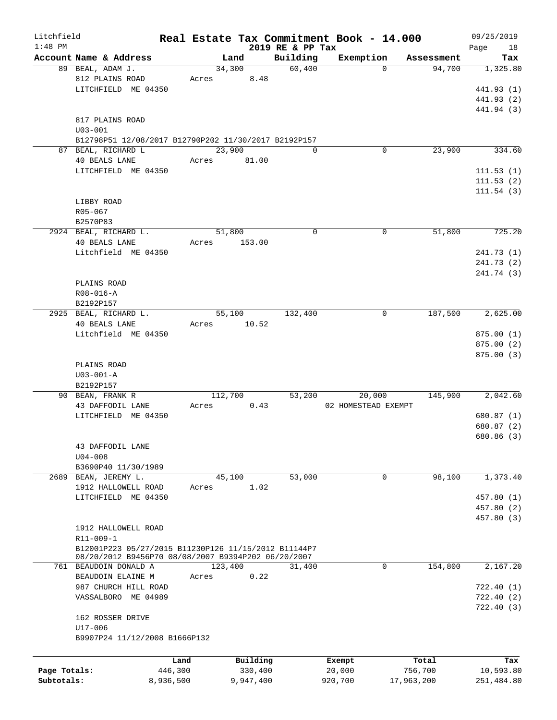| $1:48$ PM    | Account Name & Address<br>89 BEAL, ADAM J.<br>812 PLAINS ROAD<br>LITCHFIELD ME 04350 | Acres     | Land<br>34,300 | 2019 RE & PP Tax<br>Building<br>60,400 | Exemption           | Assessment<br>94,700<br>$\Omega$ | Page<br>18<br>Tax |
|--------------|--------------------------------------------------------------------------------------|-----------|----------------|----------------------------------------|---------------------|----------------------------------|-------------------|
|              |                                                                                      |           |                |                                        |                     |                                  |                   |
|              |                                                                                      |           |                |                                        |                     |                                  |                   |
|              |                                                                                      |           |                |                                        |                     |                                  | 1,325.80          |
|              |                                                                                      |           | 8.48           |                                        |                     |                                  |                   |
|              |                                                                                      |           |                |                                        |                     |                                  | 441.93 (1)        |
|              |                                                                                      |           |                |                                        |                     |                                  | 441.93 (2)        |
|              |                                                                                      |           |                |                                        |                     |                                  | 441.94 (3)        |
|              | 817 PLAINS ROAD                                                                      |           |                |                                        |                     |                                  |                   |
|              | $U03 - 001$                                                                          |           |                |                                        |                     |                                  |                   |
|              | B12798P51 12/08/2017 B12790P202 11/30/2017 B2192P157                                 |           |                |                                        |                     |                                  |                   |
|              | 87 BEAL, RICHARD L                                                                   |           | 23,900         | $\Omega$                               |                     | 23,900<br>$\mathbf 0$            | 334.60            |
|              | 40 BEALS LANE                                                                        | Acres     | 81.00          |                                        |                     |                                  |                   |
|              | LITCHFIELD ME 04350                                                                  |           |                |                                        |                     |                                  | 111.53(1)         |
|              |                                                                                      |           |                |                                        |                     |                                  | 111.53(2)         |
|              |                                                                                      |           |                |                                        |                     |                                  | 111.54(3)         |
|              | LIBBY ROAD                                                                           |           |                |                                        |                     |                                  |                   |
|              | R05-067                                                                              |           |                |                                        |                     |                                  |                   |
|              |                                                                                      |           |                |                                        |                     |                                  |                   |
|              | B2570P83                                                                             |           |                |                                        |                     |                                  |                   |
|              | 2924 BEAL, RICHARD L.                                                                |           | 51,800         | 0                                      |                     | $\mathbf 0$<br>51,800            | 725.20            |
|              | <b>40 BEALS LANE</b>                                                                 | Acres     | 153.00         |                                        |                     |                                  |                   |
|              | Litchfield ME 04350                                                                  |           |                |                                        |                     |                                  | 241.73 (1)        |
|              |                                                                                      |           |                |                                        |                     |                                  | 241.73 (2)        |
|              |                                                                                      |           |                |                                        |                     |                                  | 241.74 (3)        |
|              | PLAINS ROAD                                                                          |           |                |                                        |                     |                                  |                   |
|              | $R08 - 016 - A$                                                                      |           |                |                                        |                     |                                  |                   |
|              | B2192P157                                                                            |           |                |                                        |                     |                                  |                   |
|              | 2925 BEAL, RICHARD L.                                                                |           | 55,100         | 132,400                                |                     | 187,500<br>0                     | 2,625.00          |
|              | <b>40 BEALS LANE</b>                                                                 |           |                |                                        |                     |                                  |                   |
|              |                                                                                      | Acres     | 10.52          |                                        |                     |                                  |                   |
|              | Litchfield ME 04350                                                                  |           |                |                                        |                     |                                  | 875.00(1)         |
|              |                                                                                      |           |                |                                        |                     |                                  | 875.00(2)         |
|              |                                                                                      |           |                |                                        |                     |                                  | 875.00 (3)        |
|              | PLAINS ROAD                                                                          |           |                |                                        |                     |                                  |                   |
|              | $U03 - 001 - A$                                                                      |           |                |                                        |                     |                                  |                   |
|              | B2192P157                                                                            |           |                |                                        |                     |                                  |                   |
|              | 90 BEAN, FRANK R                                                                     |           | 112,700        | 53,200                                 | 20,000              | 145,900                          | 2,042.60          |
|              | 43 DAFFODIL LANE                                                                     | Acres     | 0.43           |                                        | 02 HOMESTEAD EXEMPT |                                  |                   |
|              | LITCHFIELD ME 04350                                                                  |           |                |                                        |                     |                                  | 680.87 (1)        |
|              |                                                                                      |           |                |                                        |                     |                                  | 680.87 (2)        |
|              |                                                                                      |           |                |                                        |                     |                                  | 680.86 (3)        |
|              |                                                                                      |           |                |                                        |                     |                                  |                   |
|              | 43 DAFFODIL LANE                                                                     |           |                |                                        |                     |                                  |                   |
|              | $U04 - 008$                                                                          |           |                |                                        |                     |                                  |                   |
|              | B3690P40 11/30/1989                                                                  |           |                |                                        |                     |                                  |                   |
|              | 2689 BEAN, JEREMY L.                                                                 |           | 45,100         | 53,000                                 |                     | $\mathbf 0$<br>98,100            | 1,373.40          |
|              | 1912 HALLOWELL ROAD                                                                  | Acres     | 1.02           |                                        |                     |                                  |                   |
|              | LITCHFIELD ME 04350                                                                  |           |                |                                        |                     |                                  | 457.80 (1)        |
|              |                                                                                      |           |                |                                        |                     |                                  | 457.80 (2)        |
|              |                                                                                      |           |                |                                        |                     |                                  | 457.80 (3)        |
|              | 1912 HALLOWELL ROAD                                                                  |           |                |                                        |                     |                                  |                   |
|              | R11-009-1                                                                            |           |                |                                        |                     |                                  |                   |
|              | B12001P223 05/27/2015 B11230P126 11/15/2012 B11144P7                                 |           |                |                                        |                     |                                  |                   |
|              | 08/20/2012 B9456P70 08/08/2007 B9394P202 06/20/2007                                  |           |                |                                        |                     |                                  |                   |
|              | 761 BEAUDOIN DONALD A                                                                |           | 123,400        | 31,400                                 |                     | 0<br>154,800                     | 2,167.20          |
|              | BEAUDOIN ELAINE M                                                                    | Acres     | 0.22           |                                        |                     |                                  |                   |
|              | 987 CHURCH HILL ROAD                                                                 |           |                |                                        |                     |                                  | 722.40(1)         |
|              |                                                                                      |           |                |                                        |                     |                                  |                   |
|              | VASSALBORO ME 04989                                                                  |           |                |                                        |                     |                                  | 722.40(2)         |
|              |                                                                                      |           |                |                                        |                     |                                  | 722.40(3)         |
|              | 162 ROSSER DRIVE                                                                     |           |                |                                        |                     |                                  |                   |
|              | U17-006                                                                              |           |                |                                        |                     |                                  |                   |
|              | B9907P24 11/12/2008 B1666P132                                                        |           |                |                                        |                     |                                  |                   |
|              |                                                                                      |           |                |                                        |                     |                                  |                   |
|              |                                                                                      | Land      | Building       |                                        | Exempt              | Total                            | Tax               |
| Page Totals: |                                                                                      | 446,300   | 330,400        |                                        | 20,000              | 756,700                          | 10,593.80         |
| Subtotals:   |                                                                                      | 8,936,500 | 9,947,400      |                                        | 920,700             | 17,963,200                       | 251,484.80        |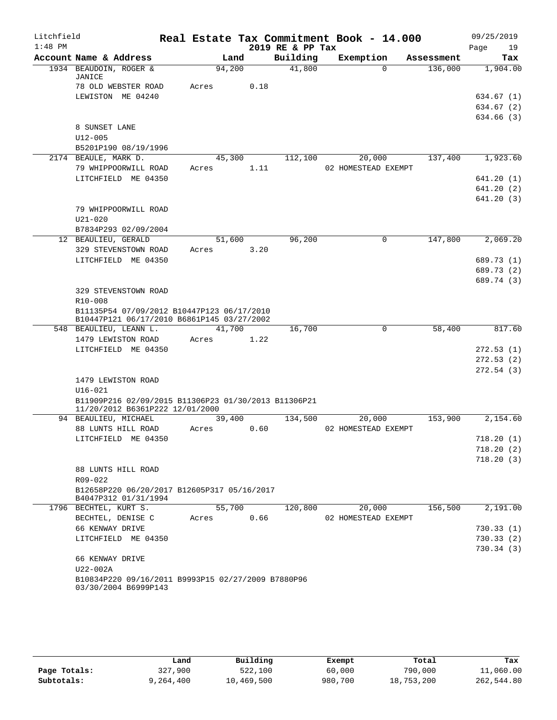| Litchfield |                                                                                         |       |        |      |                  | Real Estate Tax Commitment Book - 14.000 |            | 09/25/2019 |
|------------|-----------------------------------------------------------------------------------------|-------|--------|------|------------------|------------------------------------------|------------|------------|
| $1:48$ PM  |                                                                                         |       |        |      | 2019 RE & PP Tax |                                          |            | Page<br>19 |
|            | Account Name & Address                                                                  |       | Land   |      | Building         | Exemption                                | Assessment | Tax        |
|            | 1934 BEAUDOIN, ROGER &<br>JANICE                                                        |       | 94,200 |      | 41,800           | $\Omega$                                 | 136,000    | 1,904.00   |
|            | 78 OLD WEBSTER ROAD                                                                     | Acres |        | 0.18 |                  |                                          |            |            |
|            | LEWISTON ME 04240                                                                       |       |        |      |                  |                                          |            | 634.67 (1) |
|            |                                                                                         |       |        |      |                  |                                          |            | 634.67 (2) |
|            | 8 SUNSET LANE                                                                           |       |        |      |                  |                                          |            | 634.66 (3) |
|            | $U12 - 005$                                                                             |       |        |      |                  |                                          |            |            |
|            | B5201P190 08/19/1996                                                                    |       |        |      |                  |                                          |            |            |
|            | 2174 BEAULE, MARK D.                                                                    |       | 45,300 |      | 112,100          | 20,000                                   | 137,400    | 1,923.60   |
|            | 79 WHIPPOORWILL ROAD                                                                    | Acres |        | 1.11 |                  | 02 HOMESTEAD EXEMPT                      |            |            |
|            | LITCHFIELD ME 04350                                                                     |       |        |      |                  |                                          |            | 641.20(1)  |
|            |                                                                                         |       |        |      |                  |                                          |            | 641.20(2)  |
|            |                                                                                         |       |        |      |                  |                                          |            | 641.20(3)  |
|            | 79 WHIPPOORWILL ROAD                                                                    |       |        |      |                  |                                          |            |            |
|            | $U21 - 020$                                                                             |       |        |      |                  |                                          |            |            |
|            | B7834P293 02/09/2004                                                                    |       |        |      |                  |                                          |            |            |
|            | 12 BEAULIEU, GERALD                                                                     |       | 51,600 |      | 96,200           | $\mathbf 0$                              | 147,800    | 2,069.20   |
|            | 329 STEVENSTOWN ROAD                                                                    | Acres |        | 3.20 |                  |                                          |            |            |
|            | LITCHFIELD ME 04350                                                                     |       |        |      |                  |                                          |            | 689.73 (1) |
|            |                                                                                         |       |        |      |                  |                                          |            | 689.73 (2) |
|            |                                                                                         |       |        |      |                  |                                          |            | 689.74 (3) |
|            | 329 STEVENSTOWN ROAD<br>R10-008                                                         |       |        |      |                  |                                          |            |            |
|            | B11135P54 07/09/2012 B10447P123 06/17/2010                                              |       |        |      |                  |                                          |            |            |
|            | B10447P121 06/17/2010 B6861P145 03/27/2002                                              |       |        |      |                  |                                          |            |            |
|            | 548 BEAULIEU, LEANN L.                                                                  |       | 41,700 |      | 16,700           | $\mathbf 0$                              | 58,400     | 817.60     |
|            | 1479 LEWISTON ROAD                                                                      | Acres |        | 1.22 |                  |                                          |            |            |
|            | LITCHFIELD ME 04350                                                                     |       |        |      |                  |                                          |            | 272.53(1)  |
|            |                                                                                         |       |        |      |                  |                                          |            | 272.53(2)  |
|            |                                                                                         |       |        |      |                  |                                          |            | 272.54(3)  |
|            | 1479 LEWISTON ROAD                                                                      |       |        |      |                  |                                          |            |            |
|            | $U16 - 021$                                                                             |       |        |      |                  |                                          |            |            |
|            | B11909P216 02/09/2015 B11306P23 01/30/2013 B11306P21<br>11/20/2012 B6361P222 12/01/2000 |       |        |      |                  |                                          |            |            |
|            | 94 BEAULIEU, MICHAEL                                                                    | Acres | 39,400 |      | 134,500          | 20,000<br>02 HOMESTEAD EXEMPT            | 153,900    | 2,154.60   |
|            | 88 LUNTS HILL ROAD<br>LITCHFIELD ME 04350                                               |       |        | 0.60 |                  |                                          |            | 718.20(1)  |
|            |                                                                                         |       |        |      |                  |                                          |            | 718.20(2)  |
|            |                                                                                         |       |        |      |                  |                                          |            | 718.20(3)  |
|            | 88 LUNTS HILL ROAD                                                                      |       |        |      |                  |                                          |            |            |
|            | R09-022                                                                                 |       |        |      |                  |                                          |            |            |
|            | B12658P220 06/20/2017 B12605P317 05/16/2017                                             |       |        |      |                  |                                          |            |            |
|            | B4047P312 01/31/1994                                                                    |       |        |      |                  |                                          |            |            |
|            | 1796 BECHTEL, KURT S.                                                                   |       | 55,700 |      | 120,800          | 20,000                                   | 156,500    | 2,191.00   |
|            | BECHTEL, DENISE C                                                                       | Acres |        | 0.66 |                  | 02 HOMESTEAD EXEMPT                      |            |            |
|            | 66 KENWAY DRIVE                                                                         |       |        |      |                  |                                          |            | 730.33(1)  |
|            | LITCHFIELD ME 04350                                                                     |       |        |      |                  |                                          |            | 730.33 (2) |
|            | 66 KENWAY DRIVE                                                                         |       |        |      |                  |                                          |            | 730.34(3)  |
|            | U22-002A                                                                                |       |        |      |                  |                                          |            |            |
|            | B10834P220 09/16/2011 B9993P15 02/27/2009 B7880P96                                      |       |        |      |                  |                                          |            |            |
|            | 03/30/2004 B6999P143                                                                    |       |        |      |                  |                                          |            |            |
|            |                                                                                         |       |        |      |                  |                                          |            |            |

|              | Land      | Building   | Exempt  | Total      | Tax        |
|--------------|-----------|------------|---------|------------|------------|
| Page Totals: | 327,900   | 522,100    | 60,000  | 790,000    | 11,060.00  |
| Subtotals:   | 9,264,400 | 10,469,500 | 980,700 | 18,753,200 | 262,544.80 |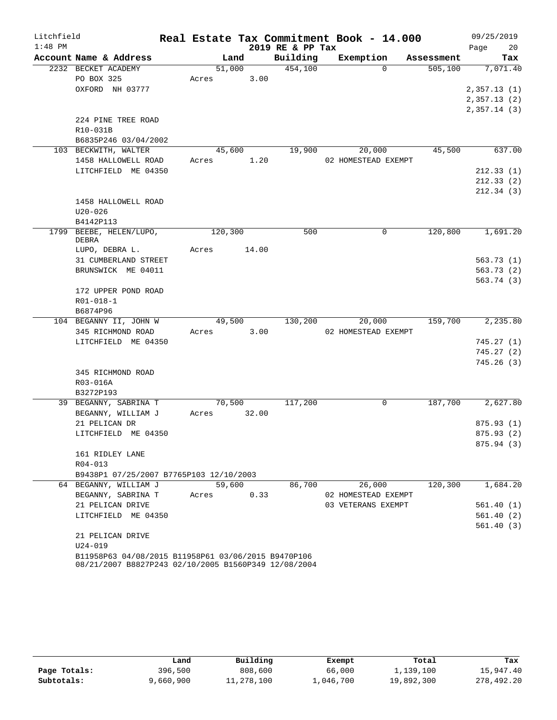| Litchfield |                                                      |       |         |       |                  | Real Estate Tax Commitment Book - 14.000 |             |            | 09/25/2019                 |          |
|------------|------------------------------------------------------|-------|---------|-------|------------------|------------------------------------------|-------------|------------|----------------------------|----------|
| $1:48$ PM  |                                                      |       |         |       | 2019 RE & PP Tax |                                          |             |            | Page                       | 20       |
|            | Account Name & Address                               |       | Land    |       | Building         | Exemption                                |             | Assessment |                            | Tax      |
|            | 2232 BECKET ACADEMY                                  |       | 51,000  |       | 454,100          |                                          | $\Omega$    | 505,100    | 7,071.40                   |          |
|            | PO BOX 325                                           | Acres |         | 3.00  |                  |                                          |             |            |                            |          |
|            | OXFORD NH 03777                                      |       |         |       |                  |                                          |             |            | 2,357.13(1)                |          |
|            |                                                      |       |         |       |                  |                                          |             |            | 2,357.13(2)<br>2,357.14(3) |          |
|            | 224 PINE TREE ROAD                                   |       |         |       |                  |                                          |             |            |                            |          |
|            | R10-031B                                             |       |         |       |                  |                                          |             |            |                            |          |
|            | B6835P246 03/04/2002                                 |       |         |       |                  |                                          |             |            |                            |          |
|            | 103 BECKWITH, WALTER                                 |       | 45,600  |       | 19,900           | 20,000                                   |             | 45,500     |                            | 637.00   |
|            | 1458 HALLOWELL ROAD                                  | Acres |         | 1.20  |                  | 02 HOMESTEAD EXEMPT                      |             |            |                            |          |
|            | LITCHFIELD ME 04350                                  |       |         |       |                  |                                          |             |            | 212.33(1)                  |          |
|            |                                                      |       |         |       |                  |                                          |             |            | 212.33(2)                  |          |
|            |                                                      |       |         |       |                  |                                          |             |            | 212.34(3)                  |          |
|            | 1458 HALLOWELL ROAD                                  |       |         |       |                  |                                          |             |            |                            |          |
|            | $U20 - 026$                                          |       |         |       |                  |                                          |             |            |                            |          |
|            | B4142P113                                            |       |         |       |                  |                                          |             |            |                            |          |
|            | 1799 BEEBE, HELEN/LUPO,<br>DEBRA                     |       | 120,300 |       | 500              |                                          | $\mathbf 0$ | 120,800    | 1,691.20                   |          |
|            | LUPO, DEBRA L.                                       | Acres |         | 14.00 |                  |                                          |             |            |                            |          |
|            | 31 CUMBERLAND STREET                                 |       |         |       |                  |                                          |             |            | 563.73(1)                  |          |
|            | BRUNSWICK ME 04011                                   |       |         |       |                  |                                          |             |            | 563.73(2)                  |          |
|            |                                                      |       |         |       |                  |                                          |             |            | 563.74(3)                  |          |
|            | 172 UPPER POND ROAD                                  |       |         |       |                  |                                          |             |            |                            |          |
|            | R01-018-1                                            |       |         |       |                  |                                          |             |            |                            |          |
|            | B6874P96                                             |       |         |       |                  |                                          |             |            |                            |          |
|            | 104 BEGANNY II, JOHN W                               |       | 49,500  |       | 130,200          | 20,000                                   |             | 159,700    | 2,235.80                   |          |
|            | 345 RICHMOND ROAD                                    | Acres |         | 3.00  |                  | 02 HOMESTEAD EXEMPT                      |             |            |                            |          |
|            | LITCHFIELD ME 04350                                  |       |         |       |                  |                                          |             |            | 745.27(1)                  |          |
|            |                                                      |       |         |       |                  |                                          |             |            | 745.27(2)                  |          |
|            |                                                      |       |         |       |                  |                                          |             |            | 745.26(3)                  |          |
|            | 345 RICHMOND ROAD<br>R03-016A                        |       |         |       |                  |                                          |             |            |                            |          |
|            | B3272P193                                            |       |         |       |                  |                                          |             |            |                            |          |
|            | 39 BEGANNY, SABRINA T                                |       | 70,500  |       | 117,200          |                                          | 0           | 187,700    | 2,627.80                   |          |
|            | BEGANNY, WILLIAM J                                   | Acres |         | 32.00 |                  |                                          |             |            |                            |          |
|            | 21 PELICAN DR                                        |       |         |       |                  |                                          |             |            | 875.93(1)                  |          |
|            | LITCHFIELD ME 04350                                  |       |         |       |                  |                                          |             |            | 875.93 (2)                 |          |
|            |                                                      |       |         |       |                  |                                          |             |            | 875.94 (3)                 |          |
|            | 161 RIDLEY LANE                                      |       |         |       |                  |                                          |             |            |                            |          |
|            | R04-013                                              |       |         |       |                  |                                          |             |            |                            |          |
|            | B9438P1 07/25/2007 B7765P103 12/10/2003              |       |         |       |                  |                                          |             |            |                            |          |
|            | 64 BEGANNY, WILLIAM J                                |       | 59,600  |       | 86,700           | 26,000                                   |             | 120,300    |                            | 1,684.20 |
|            | BEGANNY, SABRINA T                                   | Acres |         | 0.33  |                  | 02 HOMESTEAD EXEMPT                      |             |            |                            |          |
|            | 21 PELICAN DRIVE                                     |       |         |       |                  | 03 VETERANS EXEMPT                       |             |            | 561.40(1)                  |          |
|            | LITCHFIELD ME 04350                                  |       |         |       |                  |                                          |             |            | 561.40(2)<br>561.40(3)     |          |
|            | 21 PELICAN DRIVE                                     |       |         |       |                  |                                          |             |            |                            |          |
|            | $U24 - 019$                                          |       |         |       |                  |                                          |             |            |                            |          |
|            | B11958P63 04/08/2015 B11958P61 03/06/2015 B9470P106  |       |         |       |                  |                                          |             |            |                            |          |
|            | 08/21/2007 B8827P243 02/10/2005 B1560P349 12/08/2004 |       |         |       |                  |                                          |             |            |                            |          |

|              | Land      | Building   | Exempt    | Total      | Tax        |
|--------------|-----------|------------|-----------|------------|------------|
| Page Totals: | 396,500   | 808,600    | 66,000    | 1,139,100  | 15,947.40  |
| Subtotals:   | 9,660,900 | 11,278,100 | 1,046,700 | 19,892,300 | 278,492.20 |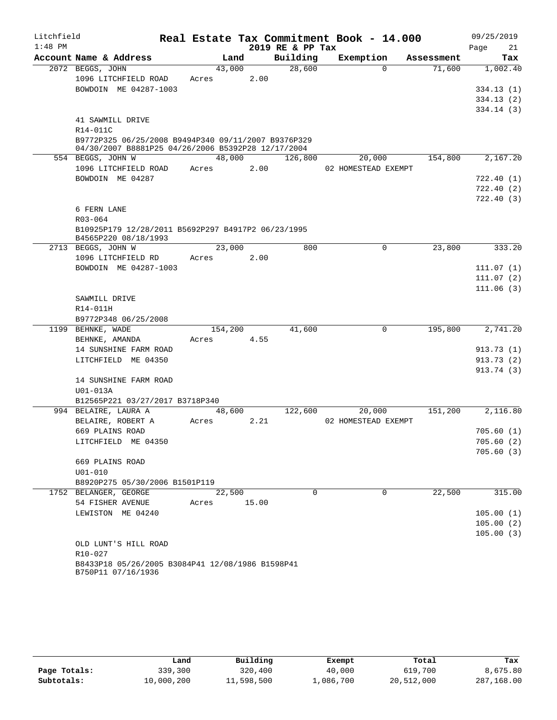| Litchfield |                                                                                                           |         |       | Real Estate Tax Commitment Book - 14.000 |                     |          |            | 09/25/2019 |           |
|------------|-----------------------------------------------------------------------------------------------------------|---------|-------|------------------------------------------|---------------------|----------|------------|------------|-----------|
| $1:48$ PM  |                                                                                                           |         |       | 2019 RE & PP Tax                         |                     |          |            | Page       | 21        |
|            | Account Name & Address                                                                                    | Land    |       | Building                                 | Exemption           |          | Assessment |            | Tax       |
|            | 2072 BEGGS, JOHN                                                                                          | 43,000  |       | 28,600                                   |                     | $\Omega$ | 71,600     |            | 1,002.40  |
|            | 1096 LITCHFIELD ROAD                                                                                      | Acres   | 2.00  |                                          |                     |          |            |            |           |
|            | BOWDOIN ME 04287-1003                                                                                     |         |       |                                          |                     |          |            |            | 334.13(1) |
|            |                                                                                                           |         |       |                                          |                     |          |            |            | 334.13(2) |
|            | 41 SAWMILL DRIVE                                                                                          |         |       |                                          |                     |          |            |            | 334.14(3) |
|            | R14-011C                                                                                                  |         |       |                                          |                     |          |            |            |           |
|            | B9772P325 06/25/2008 B9494P340 09/11/2007 B9376P329<br>04/30/2007 B8881P25 04/26/2006 B5392P28 12/17/2004 |         |       |                                          |                     |          |            |            |           |
|            | 554 BEGGS, JOHN W                                                                                         | 48,000  |       | 126,800                                  | 20,000              |          | 154,800    |            | 2,167.20  |
|            | 1096 LITCHFIELD ROAD                                                                                      | Acres   | 2.00  |                                          | 02 HOMESTEAD EXEMPT |          |            |            |           |
|            | BOWDOIN ME 04287                                                                                          |         |       |                                          |                     |          |            |            | 722.40(1) |
|            |                                                                                                           |         |       |                                          |                     |          |            |            | 722.40(2) |
|            |                                                                                                           |         |       |                                          |                     |          |            |            | 722.40(3) |
|            | 6 FERN LANE                                                                                               |         |       |                                          |                     |          |            |            |           |
|            | R03-064                                                                                                   |         |       |                                          |                     |          |            |            |           |
|            | B10925P179 12/28/2011 B5692P297 B4917P2 06/23/1995<br>B4565P220 08/18/1993                                |         |       |                                          |                     |          |            |            |           |
|            | 2713 BEGGS, JOHN W                                                                                        | 23,000  |       | 800                                      |                     | 0        | 23,800     |            | 333.20    |
|            | 1096 LITCHFIELD RD                                                                                        | Acres   | 2.00  |                                          |                     |          |            |            |           |
|            | BOWDOIN ME 04287-1003                                                                                     |         |       |                                          |                     |          |            |            | 111.07(1) |
|            |                                                                                                           |         |       |                                          |                     |          |            |            | 111.07(2) |
|            |                                                                                                           |         |       |                                          |                     |          |            |            | 111.06(3) |
|            | SAWMILL DRIVE                                                                                             |         |       |                                          |                     |          |            |            |           |
|            | R14-011H                                                                                                  |         |       |                                          |                     |          |            |            |           |
|            | B9772P348 06/25/2008<br>1199 BEHNKE, WADE                                                                 | 154,200 |       | 41,600                                   |                     | 0        | 195,800    |            | 2,741.20  |
|            | BEHNKE, AMANDA                                                                                            | Acres   | 4.55  |                                          |                     |          |            |            |           |
|            | 14 SUNSHINE FARM ROAD                                                                                     |         |       |                                          |                     |          |            |            | 913.73(1) |
|            | LITCHFIELD ME 04350                                                                                       |         |       |                                          |                     |          |            |            | 913.73(2) |
|            |                                                                                                           |         |       |                                          |                     |          |            |            | 913.74(3) |
|            | 14 SUNSHINE FARM ROAD                                                                                     |         |       |                                          |                     |          |            |            |           |
|            | U01-013A                                                                                                  |         |       |                                          |                     |          |            |            |           |
|            | B12565P221 03/27/2017 B3718P340                                                                           |         |       |                                          |                     |          |            |            |           |
|            | 994 BELAIRE, LAURA A                                                                                      | 48,600  |       | 122,600                                  | 20,000              |          | 151,200    |            | 2,116.80  |
|            | BELAIRE, ROBERT A                                                                                         | Acres   | 2.21  |                                          | 02 HOMESTEAD EXEMPT |          |            |            |           |
|            | 669 PLAINS ROAD                                                                                           |         |       |                                          |                     |          |            |            | 705.60(1) |
|            | LITCHFIELD ME 04350                                                                                       |         |       |                                          |                     |          |            |            | 705.60(2) |
|            |                                                                                                           |         |       |                                          |                     |          |            |            | 705.60(3) |
|            | 669 PLAINS ROAD                                                                                           |         |       |                                          |                     |          |            |            |           |
|            | $U01 - 010$                                                                                               |         |       |                                          |                     |          |            |            |           |
|            | B8920P275 05/30/2006 B1501P119                                                                            |         |       |                                          |                     |          |            |            |           |
|            | 1752 BELANGER, GEORGE                                                                                     | 22,500  |       | $\Omega$                                 |                     | $\Omega$ | 22,500     |            | 315.00    |
|            | 54 FISHER AVENUE<br>LEWISTON ME 04240                                                                     | Acres   | 15.00 |                                          |                     |          |            |            | 105.00(1) |
|            |                                                                                                           |         |       |                                          |                     |          |            |            | 105.00(2) |
|            |                                                                                                           |         |       |                                          |                     |          |            |            | 105.00(3) |
|            | OLD LUNT'S HILL ROAD                                                                                      |         |       |                                          |                     |          |            |            |           |
|            | R10-027                                                                                                   |         |       |                                          |                     |          |            |            |           |
|            | B8433P18 05/26/2005 B3084P41 12/08/1986 B1598P41                                                          |         |       |                                          |                     |          |            |            |           |

| B750P11 07/16/1936 |
|--------------------|
|                    |

|              | Land       | Building   | Exempt    | Total      | Tax        |
|--------------|------------|------------|-----------|------------|------------|
| Page Totals: | 339,300    | 320,400    | 40,000    | 619,700    | 8,675.80   |
| Subtotals:   | 10,000,200 | 11,598,500 | 1,086,700 | 20,512,000 | 287,168.00 |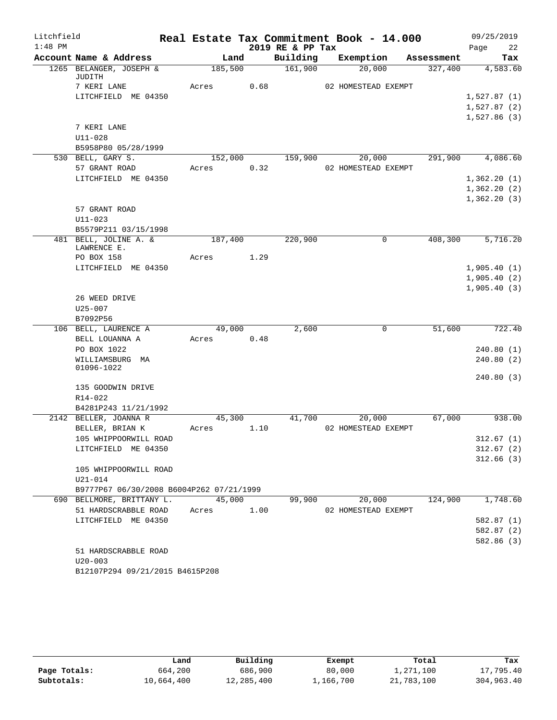| Litchfield |                                                                       | Real Estate Tax Commitment Book - 14.000 |      |                  |                     |            | 09/25/2019  |            |
|------------|-----------------------------------------------------------------------|------------------------------------------|------|------------------|---------------------|------------|-------------|------------|
| $1:48$ PM  |                                                                       |                                          |      | 2019 RE & PP Tax |                     |            | Page        | 22         |
|            | Account Name & Address                                                | Land                                     |      | Building         | Exemption           | Assessment |             | Tax        |
|            | 1265 BELANGER, JOSEPH &<br>JUDITH                                     | 185,500                                  |      | 161,900          | 20,000              | 327,400    |             | 4,583.60   |
|            | 7 KERI LANE                                                           | Acres                                    | 0.68 |                  | 02 HOMESTEAD EXEMPT |            |             |            |
|            | LITCHFIELD ME 04350                                                   |                                          |      |                  |                     |            | 1,527.87(1) |            |
|            |                                                                       |                                          |      |                  |                     |            | 1,527.87(2) |            |
|            |                                                                       |                                          |      |                  |                     |            | 1,527.86(3) |            |
|            | 7 KERI LANE                                                           |                                          |      |                  |                     |            |             |            |
|            | $U11 - 028$                                                           |                                          |      |                  |                     |            |             |            |
|            | B5958P80 05/28/1999                                                   |                                          |      |                  |                     |            |             |            |
|            | 530 BELL, GARY S.                                                     | 152,000                                  |      | 159,900          | 20,000              | 291,900    |             | 4,086.60   |
|            | 57 GRANT ROAD                                                         | Acres                                    | 0.32 |                  | 02 HOMESTEAD EXEMPT |            |             |            |
|            | LITCHFIELD ME 04350                                                   |                                          |      |                  |                     |            | 1,362.20(1) |            |
|            |                                                                       |                                          |      |                  |                     |            | 1,362.20(2) |            |
|            | 57 GRANT ROAD                                                         |                                          |      |                  |                     |            | 1,362.20(3) |            |
|            | $U11 - 023$                                                           |                                          |      |                  |                     |            |             |            |
|            | B5579P211 03/15/1998                                                  |                                          |      |                  |                     |            |             |            |
|            | 481 BELL, JOLINE A. &                                                 | 187,400                                  |      | 220,900          | $\mathbf 0$         | 408,300    |             | 5,716.20   |
|            | LAWRENCE E.                                                           |                                          |      |                  |                     |            |             |            |
|            | PO BOX 158                                                            | Acres                                    | 1.29 |                  |                     |            |             |            |
|            | LITCHFIELD ME 04350                                                   |                                          |      |                  |                     |            | 1,905.40(1) |            |
|            |                                                                       |                                          |      |                  |                     |            | 1,905.40(2) |            |
|            |                                                                       |                                          |      |                  |                     |            | 1,905.40(3) |            |
|            | 26 WEED DRIVE<br>$U25 - 007$                                          |                                          |      |                  |                     |            |             |            |
|            | B7092P56                                                              |                                          |      |                  |                     |            |             |            |
|            | 106 BELL, LAURENCE A                                                  | 49,000                                   |      | 2,600            | $\mathbf 0$         | 51,600     |             | 722.40     |
|            | BELL LOUANNA A                                                        | Acres                                    | 0.48 |                  |                     |            |             |            |
|            | PO BOX 1022                                                           |                                          |      |                  |                     |            |             | 240.80(1)  |
|            | WILLIAMSBURG MA                                                       |                                          |      |                  |                     |            |             | 240.80(2)  |
|            | 01096-1022                                                            |                                          |      |                  |                     |            |             |            |
|            | 135 GOODWIN DRIVE                                                     |                                          |      |                  |                     |            |             | 240.80(3)  |
|            | R14-022                                                               |                                          |      |                  |                     |            |             |            |
|            | B4281P243 11/21/1992                                                  |                                          |      |                  |                     |            |             |            |
|            | 2142 BELLER, JOANNA R                                                 | 45,300                                   |      | 41,700           | 20,000              | 67,000     |             | 938.00     |
|            | BELLER, BRIAN K                                                       | Acres                                    | 1.10 |                  | 02 HOMESTEAD EXEMPT |            |             |            |
|            | 105 WHIPPOORWILL ROAD                                                 |                                          |      |                  |                     |            |             | 312.67(1)  |
|            | LITCHFIELD ME 04350                                                   |                                          |      |                  |                     |            |             | 312.67(2)  |
|            |                                                                       |                                          |      |                  |                     |            |             | 312.66(3)  |
|            | 105 WHIPPOORWILL ROAD                                                 |                                          |      |                  |                     |            |             |            |
|            | $U21 - 014$                                                           |                                          |      |                  |                     |            |             |            |
|            | B9777P67 06/30/2008 B6004P262 07/21/1999<br>690 BELLMORE, BRITTANY L. | 45,000                                   |      | 99,900           | 20,000              | 124,900    |             | 1,748.60   |
|            | 51 HARDSCRABBLE ROAD                                                  | Acres                                    | 1.00 |                  | 02 HOMESTEAD EXEMPT |            |             |            |
|            | LITCHFIELD ME 04350                                                   |                                          |      |                  |                     |            |             | 582.87(1)  |
|            |                                                                       |                                          |      |                  |                     |            |             | 582.87(2)  |
|            |                                                                       |                                          |      |                  |                     |            |             | 582.86 (3) |
|            | 51 HARDSCRABBLE ROAD                                                  |                                          |      |                  |                     |            |             |            |
|            | $U20 - 003$                                                           |                                          |      |                  |                     |            |             |            |
|            | B12107P294 09/21/2015 B4615P208                                       |                                          |      |                  |                     |            |             |            |

|              | Land       | Building   | Exempt    | Total      | Tax        |
|--------------|------------|------------|-----------|------------|------------|
| Page Totals: | 664,200    | 686,900    | 80,000    | 1,271,100  | 17,795.40  |
| Subtotals:   | 10,664,400 | 12,285,400 | 1,166,700 | 21,783,100 | 304,963.40 |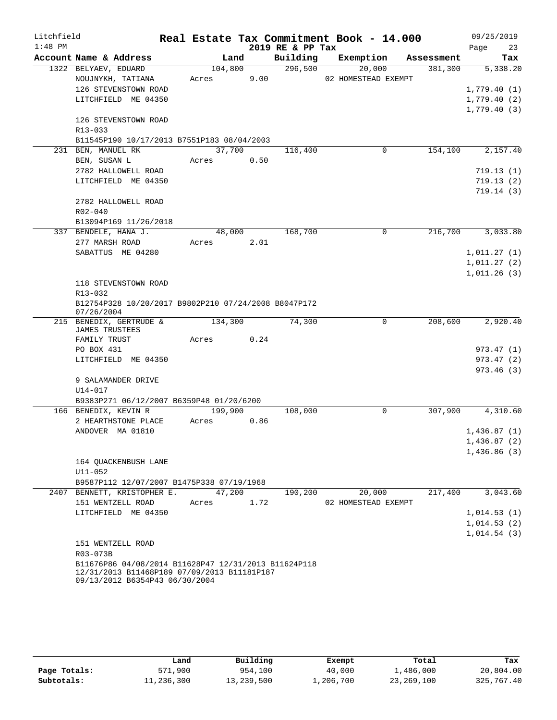| Litchfield |                                                                               |         |      |                  | Real Estate Tax Commitment Book - 14.000 |            | 09/25/2019  |           |
|------------|-------------------------------------------------------------------------------|---------|------|------------------|------------------------------------------|------------|-------------|-----------|
| $1:48$ PM  |                                                                               |         |      | 2019 RE & PP Tax |                                          |            | Page        | 23        |
|            | Account Name & Address                                                        | Land    |      | Building         | Exemption                                | Assessment |             | Tax       |
|            | 1322 BELYAEV, EDUARD                                                          | 104,800 |      | 296,500          | 20,000                                   | 381,300    |             | 5,338.20  |
|            | NOUJNYKH, TATIANA                                                             | Acres   | 9.00 |                  | 02 HOMESTEAD EXEMPT                      |            |             |           |
|            | 126 STEVENSTOWN ROAD                                                          |         |      |                  |                                          |            | 1,779.40(1) |           |
|            | LITCHFIELD ME 04350                                                           |         |      |                  |                                          |            | 1,779.40(2) |           |
|            |                                                                               |         |      |                  |                                          |            | 1,779.40(3) |           |
|            | 126 STEVENSTOWN ROAD                                                          |         |      |                  |                                          |            |             |           |
|            | R13-033                                                                       |         |      |                  |                                          |            |             |           |
|            | B11545P190 10/17/2013 B7551P183 08/04/2003                                    |         |      |                  |                                          |            |             |           |
|            | 231 BEN, MANUEL RK                                                            | 37,700  |      | 116,400          | 0                                        | 154,100    |             | 2,157.40  |
|            | BEN, SUSAN L                                                                  | Acres   | 0.50 |                  |                                          |            |             |           |
|            | 2782 HALLOWELL ROAD                                                           |         |      |                  |                                          |            |             | 719.13(1) |
|            | LITCHFIELD ME 04350                                                           |         |      |                  |                                          |            |             | 719.13(2) |
|            |                                                                               |         |      |                  |                                          |            |             | 719.14(3) |
|            | 2782 HALLOWELL ROAD<br>$R02 - 040$                                            |         |      |                  |                                          |            |             |           |
|            | B13094P169 11/26/2018                                                         |         |      |                  |                                          |            |             |           |
|            | 337 BENDELE, HANA J.                                                          | 48,000  |      | 168,700          | $\Omega$                                 | 216,700    |             | 3,033.80  |
|            | 277 MARSH ROAD                                                                | Acres   | 2.01 |                  |                                          |            |             |           |
|            | SABATTUS ME 04280                                                             |         |      |                  |                                          |            | 1,011.27(1) |           |
|            |                                                                               |         |      |                  |                                          |            | 1,011.27(2) |           |
|            |                                                                               |         |      |                  |                                          |            | 1,011.26(3) |           |
|            | 118 STEVENSTOWN ROAD                                                          |         |      |                  |                                          |            |             |           |
|            | R13-032                                                                       |         |      |                  |                                          |            |             |           |
|            | B12754P328 10/20/2017 B9802P210 07/24/2008 B8047P172                          |         |      |                  |                                          |            |             |           |
|            | 07/26/2004                                                                    |         |      |                  |                                          |            |             |           |
|            | 215 BENEDIX, GERTRUDE &                                                       | 134,300 |      | 74,300           | $\mathbf 0$                              | 208,600    |             | 2,920.40  |
|            | <b>JAMES TRUSTEES</b>                                                         |         |      |                  |                                          |            |             |           |
|            | FAMILY TRUST                                                                  | Acres   | 0.24 |                  |                                          |            |             |           |
|            | PO BOX 431                                                                    |         |      |                  |                                          |            |             | 973.47(1) |
|            | LITCHFIELD ME 04350                                                           |         |      |                  |                                          |            |             | 973.47(2) |
|            |                                                                               |         |      |                  |                                          |            |             | 973.46(3) |
|            | 9 SALAMANDER DRIVE                                                            |         |      |                  |                                          |            |             |           |
|            | U14-017                                                                       |         |      |                  |                                          |            |             |           |
|            | B9383P271 06/12/2007 B6359P48 01/20/6200<br>166 BENEDIX, KEVIN R              | 199,900 |      | 108,000          | $\mathbf 0$                              | 307,900    |             | 4,310.60  |
|            | 2 HEARTHSTONE PLACE                                                           | Acres   | 0.86 |                  |                                          |            |             |           |
|            | ANDOVER MA 01810                                                              |         |      |                  |                                          |            | 1,436.87(1) |           |
|            |                                                                               |         |      |                  |                                          |            | 1,436.87(2) |           |
|            |                                                                               |         |      |                  |                                          |            | 1,436.86(3) |           |
|            | 164 QUACKENBUSH LANE                                                          |         |      |                  |                                          |            |             |           |
|            | $U11 - 052$                                                                   |         |      |                  |                                          |            |             |           |
|            | B9587P112 12/07/2007 B1475P338 07/19/1968                                     |         |      |                  |                                          |            |             |           |
| 2407       | BENNETT, KRISTOPHER E.                                                        | 47,200  |      | 190,200          | 20,000                                   | 217,400    |             | 3,043.60  |
|            | 151 WENTZELL ROAD                                                             | Acres   | 1.72 |                  | 02 HOMESTEAD EXEMPT                      |            |             |           |
|            | LITCHFIELD ME 04350                                                           |         |      |                  |                                          |            | 1,014.53(1) |           |
|            |                                                                               |         |      |                  |                                          |            | 1,014.53(2) |           |
|            |                                                                               |         |      |                  |                                          |            | 1,014.54(3) |           |
|            | 151 WENTZELL ROAD                                                             |         |      |                  |                                          |            |             |           |
|            | R03-073B                                                                      |         |      |                  |                                          |            |             |           |
|            | B11676P86 04/08/2014 B11628P47 12/31/2013 B11624P118                          |         |      |                  |                                          |            |             |           |
|            | 12/31/2013 B11468P189 07/09/2013 B11181P187<br>09/13/2012 B6354P43 06/30/2004 |         |      |                  |                                          |            |             |           |

|              | Land       | Building   | Exempt    | Total      | Tax        |
|--------------|------------|------------|-----------|------------|------------|
| Page Totals: | 571,900    | 954,100    | 40,000    | 1,486,000  | 20,804.00  |
| Subtotals:   | 11,236,300 | 13,239,500 | 1,206,700 | 23,269,100 | 325,767.40 |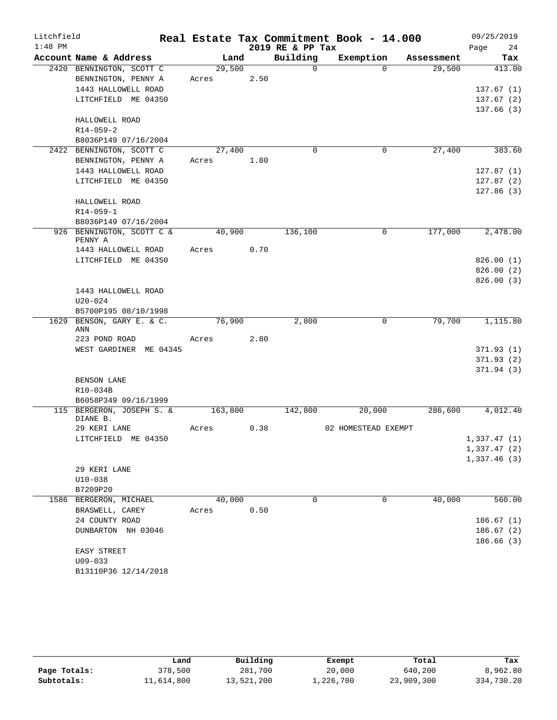| Litchfield |                                                   |         |      |                  | Real Estate Tax Commitment Book - 14.000 |            | 09/25/2019  |
|------------|---------------------------------------------------|---------|------|------------------|------------------------------------------|------------|-------------|
| $1:48$ PM  |                                                   |         |      | 2019 RE & PP Tax |                                          |            | Page<br>24  |
|            | Account Name & Address                            | Land    |      | Building         | Exemption                                | Assessment | Tax         |
|            | 2420 BENNINGTON, SCOTT C                          | 29,500  |      | $\Omega$         | $\Omega$                                 | 29,500     | 413.00      |
|            | BENNINGTON, PENNY A                               | Acres   | 2.50 |                  |                                          |            |             |
|            | 1443 HALLOWELL ROAD                               |         |      |                  |                                          |            | 137.67(1)   |
|            | LITCHFIELD ME 04350                               |         |      |                  |                                          |            | 137.67(2)   |
|            |                                                   |         |      |                  |                                          |            | 137.66 (3)  |
|            | HALLOWELL ROAD<br>$R14 - 059 - 2$                 |         |      |                  |                                          |            |             |
|            | B8036P149 07/16/2004                              |         |      |                  |                                          |            |             |
|            | 2422 BENNINGTON, SCOTT C                          | 27,400  |      | $\Omega$         | 0                                        | 27,400     | 383.60      |
|            | BENNINGTON, PENNY A                               | Acres   | 1.80 |                  |                                          |            |             |
|            | 1443 HALLOWELL ROAD                               |         |      |                  |                                          |            | 127.87(1)   |
|            | LITCHFIELD ME 04350                               |         |      |                  |                                          |            | 127.87(2)   |
|            |                                                   |         |      |                  |                                          |            | 127.86(3)   |
|            | HALLOWELL ROAD                                    |         |      |                  |                                          |            |             |
|            | $R14 - 059 - 1$                                   |         |      |                  |                                          |            |             |
|            | B8036P149 07/16/2004                              |         |      |                  |                                          |            |             |
|            | 926 BENNINGTON, SCOTT C &                         | 40,900  |      | 136,100          | 0                                        | 177,000    | 2,478.00    |
|            | PENNY A                                           |         |      |                  |                                          |            |             |
|            | 1443 HALLOWELL ROAD                               | Acres   | 0.70 |                  |                                          |            |             |
|            | LITCHFIELD ME 04350                               |         |      |                  |                                          |            | 826.00(1)   |
|            |                                                   |         |      |                  |                                          |            | 826.00(2)   |
|            |                                                   |         |      |                  |                                          |            | 826.00(3)   |
|            | 1443 HALLOWELL ROAD                               |         |      |                  |                                          |            |             |
|            | $U20 - 024$                                       |         |      |                  |                                          |            |             |
|            | B5700P195 08/10/1998<br>1629 BENSON, GARY E. & C. | 76,900  |      | 2,800            | $\mathbf 0$                              | 79,700     | 1,115.80    |
|            | ANN                                               |         |      |                  |                                          |            |             |
|            | 223 POND ROAD                                     | Acres   | 2.80 |                  |                                          |            |             |
|            | WEST GARDINER ME 04345                            |         |      |                  |                                          |            | 371.93(1)   |
|            |                                                   |         |      |                  |                                          |            | 371.93(2)   |
|            |                                                   |         |      |                  |                                          |            | 371.94(3)   |
|            | BENSON LANE                                       |         |      |                  |                                          |            |             |
|            | R10-034B                                          |         |      |                  |                                          |            |             |
|            | B6058P349 09/16/1999                              |         |      |                  |                                          |            |             |
|            | 115 BERGERON, JOSEPH S. &                         | 163,800 |      | 142,800          | 20,000                                   | 286,600    | 4,012.40    |
|            | DIANE B.<br>29 KERI LANE                          | Acres   | 0.38 |                  | 02 HOMESTEAD EXEMPT                      |            |             |
|            | LITCHFIELD ME 04350                               |         |      |                  |                                          |            | 1,337.47(1) |
|            |                                                   |         |      |                  |                                          |            | 1,337.47(2) |
|            |                                                   |         |      |                  |                                          |            | 1,337.46(3) |
|            | 29 KERI LANE                                      |         |      |                  |                                          |            |             |
|            | $U10 - 038$                                       |         |      |                  |                                          |            |             |
|            | B7209P20                                          |         |      |                  |                                          |            |             |
|            | 1586 BERGERON, MICHAEL                            | 40,000  |      | $\Omega$         | 0                                        | 40,000     | 560.00      |
|            | BRASWELL, CAREY                                   | Acres   | 0.50 |                  |                                          |            |             |
|            | 24 COUNTY ROAD                                    |         |      |                  |                                          |            | 186.67(1)   |
|            | DUNBARTON NH 03046                                |         |      |                  |                                          |            | 186.67(2)   |
|            |                                                   |         |      |                  |                                          |            | 186.66(3)   |
|            | EASY STREET                                       |         |      |                  |                                          |            |             |
|            | $U09 - 033$                                       |         |      |                  |                                          |            |             |
|            | B13110P36 12/14/2018                              |         |      |                  |                                          |            |             |

|              | Land       | Building   | Exempt    | Total      | Tax        |
|--------------|------------|------------|-----------|------------|------------|
| Page Totals: | 378,500    | 281,700    | 20,000    | 640,200    | 8,962.80   |
| Subtotals:   | 11,614,800 | 13,521,200 | 1,226,700 | 23,909,300 | 334,730.20 |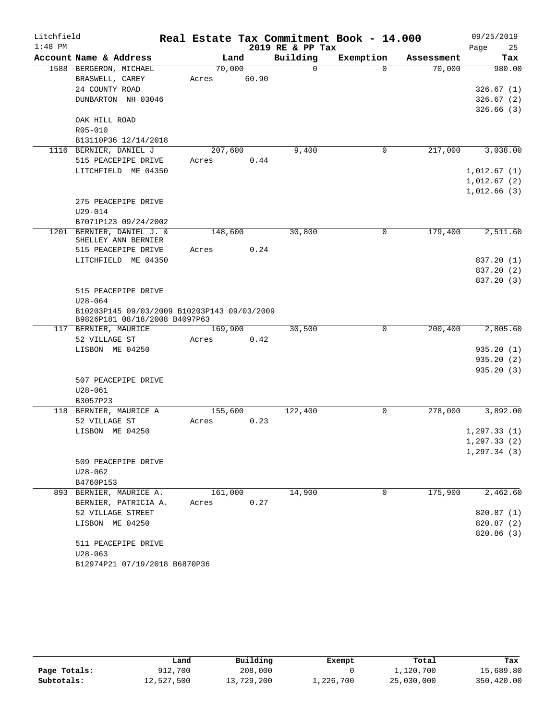| Litchfield |                                                                              |         |       |                  | Real Estate Tax Commitment Book - 14.000 |            | 09/25/2019   |
|------------|------------------------------------------------------------------------------|---------|-------|------------------|------------------------------------------|------------|--------------|
| $1:48$ PM  |                                                                              |         |       | 2019 RE & PP Tax |                                          |            | Page<br>25   |
|            | Account Name & Address                                                       | Land    |       | Building         | Exemption                                | Assessment | Tax          |
|            | 1588 BERGERON, MICHAEL                                                       | 70,000  |       | $\Omega$         | $\Omega$                                 | 70,000     | 980.00       |
|            | BRASWELL, CAREY                                                              | Acres   | 60.90 |                  |                                          |            |              |
|            | 24 COUNTY ROAD                                                               |         |       |                  |                                          |            | 326.67(1)    |
|            | DUNBARTON NH 03046                                                           |         |       |                  |                                          |            | 326.67(2)    |
|            |                                                                              |         |       |                  |                                          |            | 326.66(3)    |
|            | OAK HILL ROAD<br>R05-010                                                     |         |       |                  |                                          |            |              |
|            | B13110P36 12/14/2018                                                         |         |       |                  |                                          |            |              |
|            | 1116 BERNIER, DANIEL J                                                       | 207,600 |       | 9,400            | 0                                        | 217,000    | 3,038.00     |
|            | 515 PEACEPIPE DRIVE                                                          | Acres   | 0.44  |                  |                                          |            |              |
|            | LITCHFIELD ME 04350                                                          |         |       |                  |                                          |            | 1,012.67(1)  |
|            |                                                                              |         |       |                  |                                          |            | 1,012.67(2)  |
|            |                                                                              |         |       |                  |                                          |            | 1,012.66(3)  |
|            | 275 PEACEPIPE DRIVE                                                          |         |       |                  |                                          |            |              |
|            | $U29 - 014$                                                                  |         |       |                  |                                          |            |              |
|            | B7071P123 09/24/2002                                                         |         |       |                  |                                          |            |              |
|            | 1201 BERNIER, DANIEL J. &                                                    | 148,600 |       | 30,800           | 0                                        | 179,400    | 2,511.60     |
|            | SHELLEY ANN BERNIER                                                          |         |       |                  |                                          |            |              |
|            | 515 PEACEPIPE DRIVE                                                          | Acres   | 0.24  |                  |                                          |            |              |
|            | LITCHFIELD ME 04350                                                          |         |       |                  |                                          |            | 837.20 (1)   |
|            |                                                                              |         |       |                  |                                          |            | 837.20 (2)   |
|            |                                                                              |         |       |                  |                                          |            | 837.20 (3)   |
|            | 515 PEACEPIPE DRIVE                                                          |         |       |                  |                                          |            |              |
|            | $U28 - 064$                                                                  |         |       |                  |                                          |            |              |
|            | B10203P145 09/03/2009 B10203P143 09/03/2009<br>B9826P181 08/18/2008 B4097P63 |         |       |                  |                                          |            |              |
|            | 117 BERNIER, MAURICE                                                         | 169,900 |       | 30,500           | $\mathbf 0$                              | 200,400    | 2,805.60     |
|            | 52 VILLAGE ST                                                                | Acres   | 0.42  |                  |                                          |            |              |
|            | LISBON ME 04250                                                              |         |       |                  |                                          |            | 935.20(1)    |
|            |                                                                              |         |       |                  |                                          |            | 935.20(2)    |
|            |                                                                              |         |       |                  |                                          |            | 935.20(3)    |
|            | 507 PEACEPIPE DRIVE                                                          |         |       |                  |                                          |            |              |
|            | $U28 - 061$                                                                  |         |       |                  |                                          |            |              |
|            | B3057P23                                                                     |         |       |                  |                                          |            |              |
|            | 118 BERNIER, MAURICE A                                                       | 155,600 |       | 122,400          | 0                                        | 278,000    | 3,892.00     |
|            | 52 VILLAGE ST                                                                | Acres   | 0.23  |                  |                                          |            |              |
|            | LISBON ME 04250                                                              |         |       |                  |                                          |            | 1, 297.33(1) |
|            |                                                                              |         |       |                  |                                          |            | 1, 297.33(2) |
|            |                                                                              |         |       |                  |                                          |            | 1, 297.34(3) |
|            | 509 PEACEPIPE DRIVE                                                          |         |       |                  |                                          |            |              |
|            | $U28 - 062$                                                                  |         |       |                  |                                          |            |              |
|            | B4760P153                                                                    |         |       |                  |                                          |            |              |
|            | 893 BERNIER, MAURICE A.                                                      | 161,000 |       | 14,900           | $\Omega$                                 | 175,900    | 2,462.60     |
|            | BERNIER, PATRICIA A.                                                         | Acres   | 0.27  |                  |                                          |            |              |
|            | 52 VILLAGE STREET                                                            |         |       |                  |                                          |            | 820.87 (1)   |
|            | LISBON ME 04250                                                              |         |       |                  |                                          |            | 820.87 (2)   |
|            |                                                                              |         |       |                  |                                          |            | 820.86 (3)   |
|            | 511 PEACEPIPE DRIVE                                                          |         |       |                  |                                          |            |              |
|            | $U28 - 063$                                                                  |         |       |                  |                                          |            |              |
|            | B12974P21 07/19/2018 B6870P36                                                |         |       |                  |                                          |            |              |

|              | Land       | Building   | Exempt    | Total      | Tax        |
|--------------|------------|------------|-----------|------------|------------|
| Page Totals: | 912,700    | 208,000    |           | 1,120,700  | 15,689.80  |
| Subtotals:   | 12,527,500 | 13,729,200 | 1,226,700 | 25,030,000 | 350,420.00 |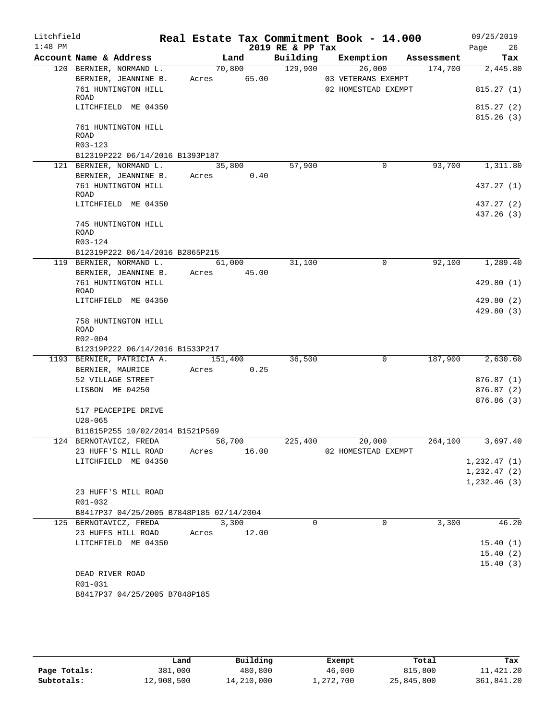| Litchfield |                                                              |             |       | Real Estate Tax Commitment Book - 14.000 |                     |                               | 09/25/2019               |
|------------|--------------------------------------------------------------|-------------|-------|------------------------------------------|---------------------|-------------------------------|--------------------------|
| $1:48$ PM  |                                                              |             |       | 2019 RE & PP Tax                         |                     |                               | Page 26                  |
|            | Account Name & Address                                       |             | Land  |                                          |                     | Building Exemption Assessment | Tax                      |
|            | 120 BERNIER, NORMAND L.                                      |             |       | 70,800 129,900                           | 26,000              | 174,700                       | 2,445.80                 |
|            | BERNIER, JEANNINE B.                                         | Acres 65.00 |       |                                          | 03 VETERANS EXEMPT  |                               |                          |
|            | 761 HUNTINGTON HILL<br>ROAD                                  |             |       |                                          | 02 HOMESTEAD EXEMPT |                               | 815.27(1)                |
|            | LITCHFIELD ME 04350                                          |             |       |                                          |                     |                               | 815.27(2)<br>815.26(3)   |
|            | 761 HUNTINGTON HILL<br>ROAD                                  |             |       |                                          |                     |                               |                          |
|            | R03-123                                                      |             |       |                                          |                     |                               |                          |
|            | B12319P222 06/14/2016 B1393P187                              |             |       |                                          |                     |                               |                          |
|            | 121 BERNIER, NORMAND L. 35,800                               |             |       | 57,900                                   | 0                   | 93,700                        | 1,311.80                 |
|            | BERNIER, JEANNINE B.<br>761 HUNTINGTON HILL                  | Acres 0.40  |       |                                          |                     |                               | 437.27 (1)               |
|            | ROAD                                                         |             |       |                                          |                     |                               |                          |
|            | LITCHFIELD ME 04350                                          |             |       |                                          |                     |                               | 437.27 (2)<br>437.26 (3) |
|            | 745 HUNTINGTON HILL<br><b>ROAD</b>                           |             |       |                                          |                     |                               |                          |
|            | R03-124                                                      |             |       |                                          |                     |                               |                          |
|            | B12319P222 06/14/2016 B2865P215                              |             |       |                                          |                     |                               |                          |
|            | 119 BERNIER, NORMAND L. 61,000                               |             |       | 31,100                                   | $\mathbf 0$         | 92,100                        | 1,289.40                 |
|            | BERNIER, JEANNINE B. Acres 45.00                             |             |       |                                          |                     |                               |                          |
|            | 761 HUNTINGTON HILL<br>ROAD                                  |             |       |                                          |                     |                               | 429.80(1)                |
|            | LITCHFIELD ME 04350                                          |             |       |                                          |                     |                               | 429.80(2)                |
|            |                                                              |             |       |                                          |                     |                               | 429.80(3)                |
|            | 758 HUNTINGTON HILL                                          |             |       |                                          |                     |                               |                          |
|            | <b>ROAD</b>                                                  |             |       |                                          |                     |                               |                          |
|            | $R02 - 004$                                                  |             |       |                                          |                     |                               |                          |
|            | B12319P222 06/14/2016 B1533P217<br>1193 BERNIER, PATRICIA A. | 151,400     |       | 36,500                                   | $\mathbf{0}$        | 187,900                       | 2,630.60                 |
|            | BERNIER, MAURICE                                             | Acres 0.25  |       |                                          |                     |                               |                          |
|            | 52 VILLAGE STREET                                            |             |       |                                          |                     |                               | 876.87(1)                |
|            | LISBON ME 04250                                              |             |       |                                          |                     |                               | 876.87 (2)               |
|            |                                                              |             |       |                                          |                     |                               | 876.86(3)                |
|            | 517 PEACEPIPE DRIVE                                          |             |       |                                          |                     |                               |                          |
|            | $U28 - 065$                                                  |             |       |                                          |                     |                               |                          |
|            | B11815P255 10/02/2014 B1521P569                              |             |       |                                          |                     |                               |                          |
|            | 124 BERNOTAVICZ, FREDA                                       | 58,700      |       |                                          | 225,400 20,000      | 264,100                       | 3,697.40                 |
|            | 23 HUFF'S MILL ROAD                                          | Acres 16.00 |       |                                          | 02 HOMESTEAD EXEMPT |                               |                          |
|            | LITCHFIELD ME 04350                                          |             |       |                                          |                     |                               | 1,232.47(1)              |
|            |                                                              |             |       |                                          |                     |                               | 1, 232.47(2)             |
|            |                                                              |             |       |                                          |                     |                               | 1,232.46(3)              |
|            | 23 HUFF'S MILL ROAD                                          |             |       |                                          |                     |                               |                          |
|            | R01-032                                                      |             |       |                                          |                     |                               |                          |
|            | B8417P37 04/25/2005 B7848P185 02/14/2004                     |             |       |                                          |                     |                               |                          |
|            | 125 BERNOTAVICZ, FREDA                                       |             | 3,300 | $\Omega$                                 | $\Omega$            | 3,300                         | 46.20                    |
|            | 23 HUFFS HILL ROAD                                           | Acres 12.00 |       |                                          |                     |                               |                          |
|            | LITCHFIELD ME 04350                                          |             |       |                                          |                     |                               | 15.40(1)                 |
|            |                                                              |             |       |                                          |                     |                               | 15.40(2)                 |
|            |                                                              |             |       |                                          |                     |                               | 15.40(3)                 |
|            | DEAD RIVER ROAD                                              |             |       |                                          |                     |                               |                          |
|            | R01-031                                                      |             |       |                                          |                     |                               |                          |
|            | B8417P37 04/25/2005 B7848P185                                |             |       |                                          |                     |                               |                          |

|              | Land       | Building   | Exempt    | Total      | Tax        |
|--------------|------------|------------|-----------|------------|------------|
| Page Totals: | 381,000    | 480,800    | 46,000    | 815,800    | 11,421.20  |
| Subtotals:   | 12,908,500 | 14,210,000 | 1,272,700 | 25,845,800 | 361,841.20 |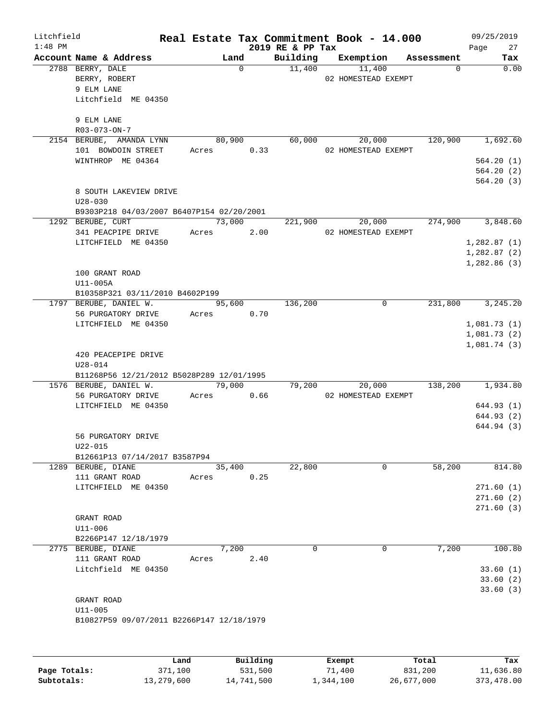| Litchfield<br>$1:48$ PM |                                                                                                                                       |       |                      |          | 2019 RE & PP Tax | Real Estate Tax Commitment Book - 14.000 |            | 09/25/2019<br>Page<br>27                                      |
|-------------------------|---------------------------------------------------------------------------------------------------------------------------------------|-------|----------------------|----------|------------------|------------------------------------------|------------|---------------------------------------------------------------|
|                         | Account Name & Address                                                                                                                |       | Land                 |          |                  | Building Exemption                       | Assessment | Tax                                                           |
|                         | 2788 BERRY, DALE<br>BERRY, ROBERT<br>9 ELM LANE<br>Litchfield ME 04350<br>9 ELM LANE                                                  |       |                      | $\Omega$ | 11,400           | 11,400<br>02 HOMESTEAD EXEMPT            | $\Omega$   | 0.00                                                          |
|                         | R03-073-ON-7                                                                                                                          |       |                      |          |                  |                                          |            |                                                               |
|                         | 2154 BERUBE, AMANDA LYNN<br>101 BOWDOIN STREET<br>WINTHROP ME 04364                                                                   |       | 80,900<br>Acres 0.33 |          | 60,000           | 20,000<br>02 HOMESTEAD EXEMPT            | 120,900    | 1,692.60<br>564.20(1)<br>564.20(2)                            |
|                         | 8 SOUTH LAKEVIEW DRIVE<br>$U28 - 030$                                                                                                 |       |                      |          |                  |                                          |            | 564.20(3)                                                     |
|                         | B9303P218 04/03/2007 B6407P154 02/20/2001                                                                                             |       |                      |          |                  |                                          |            |                                                               |
|                         | 1292 BERUBE, CURT<br>341 PEACPIPE DRIVE<br>LITCHFIELD ME 04350<br>100 GRANT ROAD<br>U11-005A                                          |       | 73,000<br>Acres      | 2.00     | 221,900          | 20,000<br>02 HOMESTEAD EXEMPT            |            | 274,900 3,848.60<br>1,282.87(1)<br>1,282.87(2)<br>1,282.86(3) |
|                         | B10358P321 03/11/2010 B4602P199                                                                                                       |       |                      |          |                  |                                          |            |                                                               |
|                         | 1797 BERUBE, DANIEL W.<br>56 PURGATORY DRIVE<br>LITCHFIELD ME 04350                                                                   |       | Acres                | 0.70     | 95,600 136,200   | 0                                        |            | 231,800 3,245.20<br>1,081.73(1)<br>1,081.73(2)<br>1,081.74(3) |
|                         | 420 PEACEPIPE DRIVE<br>$U28 - 014$<br>B11268P56 12/21/2012 B5028P289 12/01/1995                                                       |       |                      |          |                  |                                          |            |                                                               |
|                         | 1576 BERUBE, DANIEL W.<br>56 PURGATORY DRIVE<br>LITCHFIELD ME 04350<br>56 PURGATORY DRIVE<br>U22-015<br>B12661P13 07/14/2017 B3587P94 |       | 79,000<br>Acres      | 0.66     | 79,200           | 20,000<br>02 HOMESTEAD EXEMPT            |            | 138,200 1,934.80<br>644.93(1)<br>644.93 (2)<br>644.94 (3)     |
|                         | 1289 BERUBE, DIANE                                                                                                                    |       | 35,400               |          | 22,800           | 0                                        | 58,200     | 814.80                                                        |
|                         | 111 GRANT ROAD<br>LITCHFIELD ME 04350<br>GRANT ROAD<br>U11-006                                                                        | Acres |                      | 0.25     |                  |                                          |            | 271.60 (1)<br>271.60 (2)<br>271.60 (3)                        |
|                         | B2266P147 12/18/1979                                                                                                                  |       |                      |          |                  |                                          |            |                                                               |
|                         | 2775 BERUBE, DIANE<br>111 GRANT ROAD<br>Litchfield ME 04350<br>GRANT ROAD<br>$U11 - 005$                                              | Acres | 7,200                | 2.40     | 0                | 0                                        | 7,200      | 100.80<br>33.60(1)<br>33.60(2)<br>33.60(3)                    |
|                         | B10827P59 09/07/2011 B2266P147 12/18/1979                                                                                             | Land  |                      | Building |                  | Exempt                                   | Total      | Tax                                                           |

|              | Land       | Building   | Exempt    | Total      | Tax        |
|--------------|------------|------------|-----------|------------|------------|
| Page Totals: | 371,100    | 531,500    | 71,400    | 831,200    | 11,636.80  |
| Subtotals:   | 13,279,600 | 14,741,500 | 1,344,100 | 26,677,000 | 373,478.00 |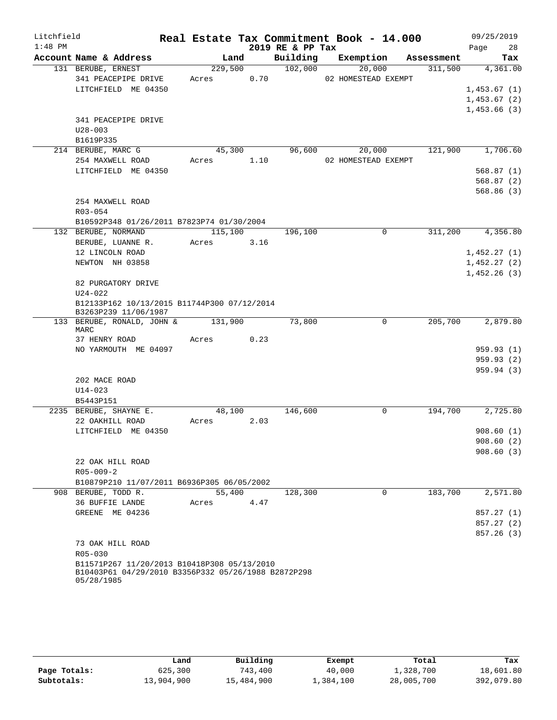| Litchfield |                                                                   |         |        |      |                  | Real Estate Tax Commitment Book - 14.000 |            | 09/25/2019                 |            |
|------------|-------------------------------------------------------------------|---------|--------|------|------------------|------------------------------------------|------------|----------------------------|------------|
| $1:48$ PM  |                                                                   |         |        |      | 2019 RE & PP Tax |                                          |            | Page                       | 28         |
|            | Account Name & Address                                            |         | Land   |      | Building         | Exemption                                | Assessment |                            | Tax        |
|            | 131 BERUBE, ERNEST                                                | 229,500 |        |      | 102,000          | 20,000                                   | 311,500    |                            | 4,361.00   |
|            | 341 PEACEPIPE DRIVE                                               | Acres   |        | 0.70 |                  | 02 HOMESTEAD EXEMPT                      |            |                            |            |
|            | LITCHFIELD ME 04350                                               |         |        |      |                  |                                          |            | 1,453.67(1)                |            |
|            |                                                                   |         |        |      |                  |                                          |            | 1,453.67(2)                |            |
|            |                                                                   |         |        |      |                  |                                          |            | 1,453.66(3)                |            |
|            | 341 PEACEPIPE DRIVE                                               |         |        |      |                  |                                          |            |                            |            |
|            | $U28 - 003$                                                       |         |        |      |                  |                                          |            |                            |            |
|            | B1619P335                                                         |         |        |      |                  |                                          |            |                            |            |
|            | 214 BERUBE, MARC G                                                |         | 45,300 |      | 96,600           | 20,000                                   | 121,900    |                            | 1,706.60   |
|            | 254 MAXWELL ROAD                                                  | Acres   |        | 1.10 |                  | 02 HOMESTEAD EXEMPT                      |            |                            |            |
|            | LITCHFIELD ME 04350                                               |         |        |      |                  |                                          |            |                            | 568.87(1)  |
|            |                                                                   |         |        |      |                  |                                          |            |                            | 568.87(2)  |
|            |                                                                   |         |        |      |                  |                                          |            |                            | 568.86(3)  |
|            | 254 MAXWELL ROAD                                                  |         |        |      |                  |                                          |            |                            |            |
|            | R03-054                                                           |         |        |      |                  |                                          |            |                            |            |
|            | B10592P348 01/26/2011 B7823P74 01/30/2004<br>132 BERUBE, NORMAND  | 115,100 |        |      |                  | $\Omega$                                 |            |                            | 4,356.80   |
|            |                                                                   | Acres   |        |      | 196,100          |                                          | 311,200    |                            |            |
|            | BERUBE, LUANNE R.<br>12 LINCOLN ROAD                              |         |        | 3.16 |                  |                                          |            |                            |            |
|            | NEWTON NH 03858                                                   |         |        |      |                  |                                          |            | 1,452.27(1)<br>1,452.27(2) |            |
|            |                                                                   |         |        |      |                  |                                          |            | 1,452.26(3)                |            |
|            | 82 PURGATORY DRIVE                                                |         |        |      |                  |                                          |            |                            |            |
|            | $U24 - 022$                                                       |         |        |      |                  |                                          |            |                            |            |
|            | B12133P162 10/13/2015 B11744P300 07/12/2014                       |         |        |      |                  |                                          |            |                            |            |
|            | B3263P239 11/06/1987                                              |         |        |      |                  |                                          |            |                            |            |
|            | 133 BERUBE, RONALD, JOHN &<br>MARC                                | 131,900 |        |      | 73,800           | 0                                        | 205,700    |                            | 2,879.80   |
|            | 37 HENRY ROAD                                                     | Acres   |        | 0.23 |                  |                                          |            |                            |            |
|            | NO YARMOUTH ME 04097                                              |         |        |      |                  |                                          |            |                            | 959.93(1)  |
|            |                                                                   |         |        |      |                  |                                          |            |                            | 959.93(2)  |
|            |                                                                   |         |        |      |                  |                                          |            |                            | 959.94(3)  |
|            | 202 MACE ROAD                                                     |         |        |      |                  |                                          |            |                            |            |
|            | $U14 - 023$                                                       |         |        |      |                  |                                          |            |                            |            |
|            | B5443P151                                                         |         |        |      |                  |                                          |            |                            |            |
|            | 2235 BERUBE, SHAYNE E.                                            |         | 48,100 |      | 146,600          | 0                                        | 194,700    |                            | 2,725.80   |
|            | 22 OAKHILL ROAD                                                   | Acres   |        | 2.03 |                  |                                          |            |                            |            |
|            | LITCHFIELD ME 04350                                               |         |        |      |                  |                                          |            |                            | 908.60(1)  |
|            |                                                                   |         |        |      |                  |                                          |            |                            | 908.60(2)  |
|            | 22 OAK HILL ROAD                                                  |         |        |      |                  |                                          |            |                            | 908.60(3)  |
|            | $R05 - 009 - 2$                                                   |         |        |      |                  |                                          |            |                            |            |
|            | B10879P210 11/07/2011 B6936P305 06/05/2002                        |         |        |      |                  |                                          |            |                            |            |
|            | 908 BERUBE, TODD R.                                               |         | 55,400 |      | 128,300          | $\Omega$                                 | 183,700    |                            | 2,571.80   |
|            | 36 BUFFIE LANDE                                                   | Acres   |        | 4.47 |                  |                                          |            |                            |            |
|            | GREENE ME 04236                                                   |         |        |      |                  |                                          |            |                            | 857.27 (1) |
|            |                                                                   |         |        |      |                  |                                          |            |                            | 857.27 (2) |
|            |                                                                   |         |        |      |                  |                                          |            |                            | 857.26(3)  |
|            | 73 OAK HILL ROAD                                                  |         |        |      |                  |                                          |            |                            |            |
|            | R05-030                                                           |         |        |      |                  |                                          |            |                            |            |
|            | B11571P267 11/20/2013 B10418P308 05/13/2010                       |         |        |      |                  |                                          |            |                            |            |
|            | B10403P61 04/29/2010 B3356P332 05/26/1988 B2872P298<br>05/28/1985 |         |        |      |                  |                                          |            |                            |            |

|              | Land       | Building   | Exempt    | Total      | Tax        |
|--------------|------------|------------|-----------|------------|------------|
| Page Totals: | 625,300    | 743,400    | 40,000    | 1,328,700  | 18,601.80  |
| Subtotals:   | 13,904,900 | 15,484,900 | 1,384,100 | 28,005,700 | 392,079.80 |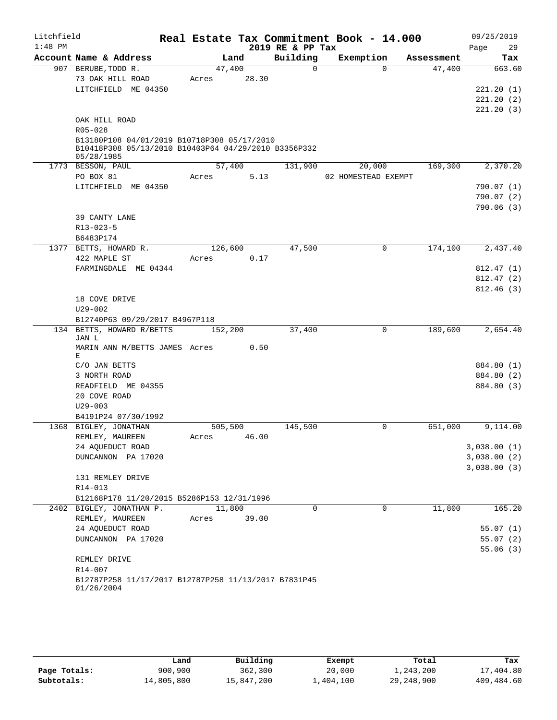| Litchfield |                                                                 |         |       |                  | Real Estate Tax Commitment Book - 14.000 |            | 09/25/2019             |
|------------|-----------------------------------------------------------------|---------|-------|------------------|------------------------------------------|------------|------------------------|
| $1:48$ PM  |                                                                 |         |       | 2019 RE & PP Tax |                                          |            | 29<br>Page             |
|            | Account Name & Address                                          |         | Land  | Building         | Exemption                                | Assessment | Tax                    |
|            | 907 BERUBE, TODD R.                                             | 47,400  |       | $\Omega$         | $\Omega$                                 | 47,400     | 663.60                 |
|            | 73 OAK HILL ROAD                                                | Acres   | 28.30 |                  |                                          |            |                        |
|            | LITCHFIELD ME 04350                                             |         |       |                  |                                          |            | 221.20(1)              |
|            |                                                                 |         |       |                  |                                          |            | 221.20(2)<br>221.20(3) |
|            | OAK HILL ROAD                                                   |         |       |                  |                                          |            |                        |
|            | R05-028                                                         |         |       |                  |                                          |            |                        |
|            | B13180P108 04/01/2019 B10718P308 05/17/2010                     |         |       |                  |                                          |            |                        |
|            | B10418P308 05/13/2010 B10403P64 04/29/2010 B3356P332            |         |       |                  |                                          |            |                        |
|            | 05/28/1985                                                      |         |       |                  |                                          |            |                        |
|            | 1773 BESSON, PAUL                                               | 57,400  |       | 131,900          | 20,000                                   | 169,300    | 2,370.20               |
|            | PO BOX 81                                                       | Acres   | 5.13  |                  | 02 HOMESTEAD EXEMPT                      |            |                        |
|            | LITCHFIELD ME 04350                                             |         |       |                  |                                          |            | 790.07 (1)             |
|            |                                                                 |         |       |                  |                                          |            | 790.07(2)<br>790.06(3) |
|            | 39 CANTY LANE                                                   |         |       |                  |                                          |            |                        |
|            | $R13 - 023 - 5$                                                 |         |       |                  |                                          |            |                        |
|            | B6483P174                                                       |         |       |                  |                                          |            |                        |
|            | 1377 BETTS, HOWARD R.                                           | 126,600 |       | 47,500           | 0                                        | 174,100    | 2,437.40               |
|            | 422 MAPLE ST                                                    | Acres   | 0.17  |                  |                                          |            |                        |
|            | FARMINGDALE ME 04344                                            |         |       |                  |                                          |            | 812.47 (1)             |
|            |                                                                 |         |       |                  |                                          |            | 812.47 (2)             |
|            |                                                                 |         |       |                  |                                          |            | 812.46(3)              |
|            | 18 COVE DRIVE                                                   |         |       |                  |                                          |            |                        |
|            | $U29 - 002$                                                     |         |       |                  |                                          |            |                        |
|            | B12740P63 09/29/2017 B4967P118                                  |         |       |                  |                                          |            |                        |
|            | 134 BETTS, HOWARD R/BETTS<br>JAN L                              | 152,200 |       | 37,400           | 0                                        | 189,600    | 2,654.40               |
|            | MARIN ANN M/BETTS JAMES Acres                                   |         | 0.50  |                  |                                          |            |                        |
|            | Е                                                               |         |       |                  |                                          |            |                        |
|            | C/O JAN BETTS                                                   |         |       |                  |                                          |            | 884.80 (1)             |
|            | 3 NORTH ROAD                                                    |         |       |                  |                                          |            | 884.80 (2)             |
|            | READFIELD ME 04355                                              |         |       |                  |                                          |            | 884.80 (3)             |
|            | 20 COVE ROAD                                                    |         |       |                  |                                          |            |                        |
|            | $U29 - 003$                                                     |         |       |                  |                                          |            |                        |
|            | B4191P24 07/30/1992<br>1368 BIGLEY, JONATHAN                    | 505,500 |       | 145,500          | 0                                        | 651,000    | 9,114.00               |
|            | REMLEY, MAUREEN                                                 | Acres   | 46.00 |                  |                                          |            |                        |
|            | 24 AQUEDUCT ROAD                                                |         |       |                  |                                          |            | 3,038.00(1)            |
|            | DUNCANNON PA 17020                                              |         |       |                  |                                          |            | 3,038.00(2)            |
|            |                                                                 |         |       |                  |                                          |            | 3,038.00(3)            |
|            | 131 REMLEY DRIVE                                                |         |       |                  |                                          |            |                        |
|            | R14-013                                                         |         |       |                  |                                          |            |                        |
|            | B12168P178 11/20/2015 B5286P153 12/31/1996                      |         |       |                  |                                          |            |                        |
|            | 2402 BIGLEY, JONATHAN P.                                        | 11,800  |       | 0                | 0                                        | 11,800     | 165.20                 |
|            | REMLEY, MAUREEN                                                 | Acres   | 39.00 |                  |                                          |            |                        |
|            | 24 AQUEDUCT ROAD                                                |         |       |                  |                                          |            | 55.07(1)               |
|            | DUNCANNON PA 17020                                              |         |       |                  |                                          |            | 55.07(2)               |
|            |                                                                 |         |       |                  |                                          |            | 55.06(3)               |
|            | REMLEY DRIVE                                                    |         |       |                  |                                          |            |                        |
|            | R14-007<br>B12787P258 11/17/2017 B12787P258 11/13/2017 B7831P45 |         |       |                  |                                          |            |                        |
|            | 01/26/2004                                                      |         |       |                  |                                          |            |                        |
|            |                                                                 |         |       |                  |                                          |            |                        |

|              | Land       | Building   | Exempt    | Total        | Tax        |
|--------------|------------|------------|-----------|--------------|------------|
| Page Totals: | 900,900    | 362,300    | 20,000    | 1,243,200    | 17,404.80  |
| Subtotals:   | 14,805,800 | 15,847,200 | 1,404,100 | 29, 248, 900 | 409,484.60 |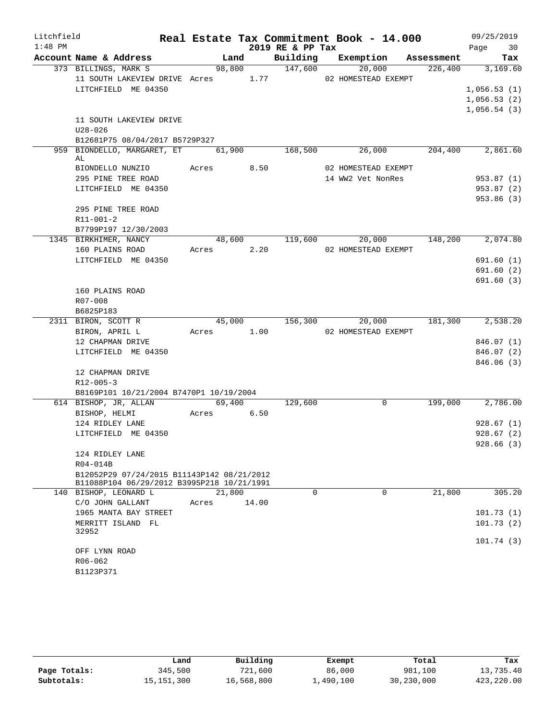| Litchfield |                                                        |       |        |            |                  | Real Estate Tax Commitment Book - 14.000 |         | 09/25/2019  |
|------------|--------------------------------------------------------|-------|--------|------------|------------------|------------------------------------------|---------|-------------|
| $1:48$ PM  |                                                        |       |        |            | 2019 RE & PP Tax |                                          |         | Page 30     |
|            | Account Name & Address                                 |       | Land   |            |                  | Building Exemption Assessment            |         | Tax         |
|            | 373 BILLINGS, MARK S                                   |       |        |            | 98,800 147,600   | 20,000                                   | 226,400 | 3,169.60    |
|            | 11 SOUTH LAKEVIEW DRIVE Acres 1.77 02 HOMESTEAD EXEMPT |       |        |            |                  |                                          |         |             |
|            | LITCHFIELD ME 04350                                    |       |        |            |                  |                                          |         | 1,056.53(1) |
|            |                                                        |       |        |            |                  |                                          |         | 1,056.53(2) |
|            |                                                        |       |        |            |                  |                                          |         | 1,056.54(3) |
|            | 11 SOUTH LAKEVIEW DRIVE                                |       |        |            |                  |                                          |         |             |
|            | $U28 - 026$                                            |       |        |            |                  |                                          |         |             |
|            | B12681P75 08/04/2017 B5729P327                         |       |        |            |                  |                                          |         |             |
|            | 959 BIONDELLO, MARGARET, ET 61,900                     |       |        |            | 168,500          | 26,000                                   | 204,400 | 2,861.60    |
|            | AL<br>BIONDELLO NUNZIO Acres 8.50                      |       |        |            |                  |                                          |         |             |
|            |                                                        |       |        |            |                  | 02 HOMESTEAD EXEMPT                      |         |             |
|            | 295 PINE TREE ROAD                                     |       |        |            |                  | 14 WW2 Vet NonRes                        |         | 953.87(1)   |
|            | LITCHFIELD ME 04350                                    |       |        |            |                  |                                          |         | 953.87(2)   |
|            | 295 PINE TREE ROAD                                     |       |        |            |                  |                                          |         | 953.86 (3)  |
|            |                                                        |       |        |            |                  |                                          |         |             |
|            | R11-001-2                                              |       |        |            |                  |                                          |         |             |
|            | B7799P197 12/30/2003<br>1345 BIRKHIMER, NANCY          |       |        |            |                  | 48,600 119,600 20,000                    | 148,200 | 2,074.80    |
|            | 160 PLAINS ROAD                                        |       |        | Acres 2.20 |                  | 02 HOMESTEAD EXEMPT                      |         |             |
|            | LITCHFIELD ME 04350                                    |       |        |            |                  |                                          |         | 691.60(1)   |
|            |                                                        |       |        |            |                  |                                          |         | 691.60(2)   |
|            |                                                        |       |        |            |                  |                                          |         | 691.60(3)   |
|            | 160 PLAINS ROAD                                        |       |        |            |                  |                                          |         |             |
|            | R07-008                                                |       |        |            |                  |                                          |         |             |
|            | B6825P183                                              |       |        |            |                  |                                          |         |             |
|            | 2311 BIRON, SCOTT R                                    |       |        |            | 45,000 156,300   | 20,000                                   | 181,300 | 2,538.20    |
|            | BIRON, APRIL L                                         |       |        | Acres 1.00 |                  | 02 HOMESTEAD EXEMPT                      |         |             |
|            | 12 CHAPMAN DRIVE                                       |       |        |            |                  |                                          |         | 846.07(1)   |
|            | LITCHFIELD ME 04350                                    |       |        |            |                  |                                          |         | 846.07(2)   |
|            |                                                        |       |        |            |                  |                                          |         | 846.06(3)   |
|            | 12 CHAPMAN DRIVE                                       |       |        |            |                  |                                          |         |             |
|            | $R12 - 005 - 3$                                        |       |        |            |                  |                                          |         |             |
|            | B8169P101 10/21/2004 B7470P1 10/19/2004                |       |        |            |                  |                                          |         |             |
|            | 614 BISHOP, JR, ALLAN                                  |       |        | 69,400     | 129,600          | $\overline{0}$                           | 199,000 | 2,786.00    |
|            | BISHOP, HELMI                                          |       |        | Acres 6.50 |                  |                                          |         |             |
|            | 124 RIDLEY LANE                                        |       |        |            |                  |                                          |         | 928.67(1)   |
|            | LITCHFIELD ME 04350                                    |       |        |            |                  |                                          |         | 928.67(2)   |
|            |                                                        |       |        |            |                  |                                          |         | 928.66 (3)  |
|            | 124 RIDLEY LANE                                        |       |        |            |                  |                                          |         |             |
|            | R04-014B                                               |       |        |            |                  |                                          |         |             |
|            | B12052P29 07/24/2015 B11143P142 08/21/2012             |       |        |            |                  |                                          |         |             |
|            | B11088P104 06/29/2012 B3995P218 10/21/1991             |       |        |            |                  |                                          |         |             |
|            | 140 BISHOP, LEONARD L                                  |       | 21,800 |            | $\Omega$         | $\Omega$                                 | 21,800  | 305.20      |
|            | C/O JOHN GALLANT                                       | Acres |        | 14.00      |                  |                                          |         |             |
|            | 1965 MANTA BAY STREET                                  |       |        |            |                  |                                          |         | 101.73(1)   |
|            | MERRITT ISLAND FL                                      |       |        |            |                  |                                          |         | 101.73(2)   |
|            | 32952                                                  |       |        |            |                  |                                          |         | 101.74(3)   |
|            | OFF LYNN ROAD                                          |       |        |            |                  |                                          |         |             |
|            | R06-062                                                |       |        |            |                  |                                          |         |             |
|            | B1123P371                                              |       |        |            |                  |                                          |         |             |
|            |                                                        |       |        |            |                  |                                          |         |             |

|              | Land         | Building   | Exempt    | Total      | Tax        |
|--------------|--------------|------------|-----------|------------|------------|
| Page Totals: | 345,500      | 721,600    | 86,000    | 981,100    | 13,735.40  |
| Subtotals:   | 15, 151, 300 | 16,568,800 | 1,490,100 | 30,230,000 | 423,220.00 |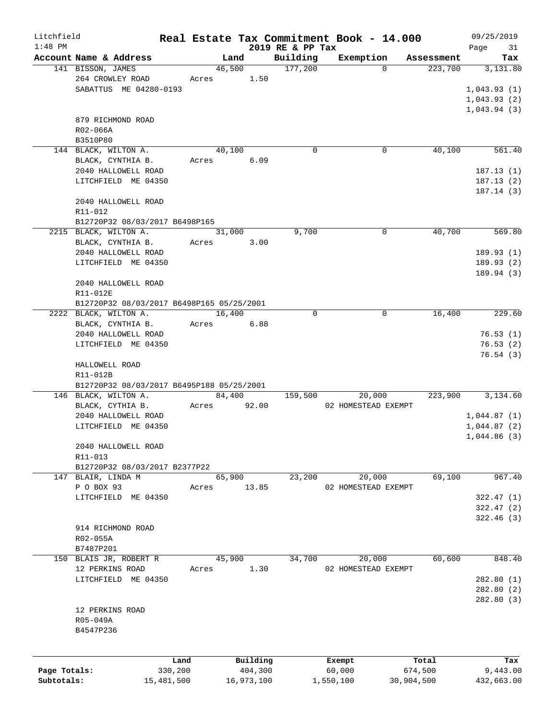| Litchfield   |                                           |            |        |            |                              | Real Estate Tax Commitment Book - 14.000 |            | 09/25/2019        |
|--------------|-------------------------------------------|------------|--------|------------|------------------------------|------------------------------------------|------------|-------------------|
| $1:48$ PM    | Account Name & Address                    |            | Land   |            | 2019 RE & PP Tax<br>Building | Exemption                                | Assessment | Page<br>31<br>Tax |
|              | 141 BISSON, JAMES                         |            | 46,500 |            | 177,200                      | $\Omega$                                 | 223,700    | 3,131.80          |
|              | 264 CROWLEY ROAD                          |            | Acres  | 1.50       |                              |                                          |            |                   |
|              | SABATTUS ME 04280-0193                    |            |        |            |                              |                                          |            | 1,043.93(1)       |
|              |                                           |            |        |            |                              |                                          |            | 1,043.93(2)       |
|              |                                           |            |        |            |                              |                                          |            | 1,043.94(3)       |
|              | 879 RICHMOND ROAD                         |            |        |            |                              |                                          |            |                   |
|              | $R02 - 066A$                              |            |        |            |                              |                                          |            |                   |
|              | B3510P80                                  |            |        |            |                              |                                          |            |                   |
|              | 144 BLACK, WILTON A.                      |            | 40,100 |            | $\Omega$                     | 0                                        | 40,100     | 561.40            |
|              | BLACK, CYNTHIA B.                         |            | Acres  | 6.09       |                              |                                          |            |                   |
|              | 2040 HALLOWELL ROAD                       |            |        |            |                              |                                          |            | 187.13(1)         |
|              | LITCHFIELD ME 04350                       |            |        |            |                              |                                          |            | 187.13(2)         |
|              |                                           |            |        |            |                              |                                          |            | 187.14(3)         |
|              | 2040 HALLOWELL ROAD                       |            |        |            |                              |                                          |            |                   |
|              | R11-012                                   |            |        |            |                              |                                          |            |                   |
|              | B12720P32 08/03/2017 B6498P165            |            |        |            |                              |                                          |            |                   |
|              | 2215 BLACK, WILTON A.                     |            | 31,000 |            | 9,700                        | 0                                        | 40,700     | 569.80            |
|              | BLACK, CYNTHIA B.                         |            | Acres  | 3.00       |                              |                                          |            |                   |
|              | 2040 HALLOWELL ROAD                       |            |        |            |                              |                                          |            | 189.93(1)         |
|              | LITCHFIELD ME 04350                       |            |        |            |                              |                                          |            | 189.93(2)         |
|              |                                           |            |        |            |                              |                                          |            | 189.94 (3)        |
|              | 2040 HALLOWELL ROAD                       |            |        |            |                              |                                          |            |                   |
|              | R11-012E                                  |            |        |            |                              |                                          |            |                   |
|              | B12720P32 08/03/2017 B6498P165 05/25/2001 |            |        |            |                              |                                          |            |                   |
|              | 2222 BLACK, WILTON A.                     |            | 16,400 |            | $\Omega$                     | 0                                        | 16,400     | 229.60            |
|              | BLACK, CYNTHIA B.                         |            | Acres  | 6.88       |                              |                                          |            |                   |
|              | 2040 HALLOWELL ROAD                       |            |        |            |                              |                                          |            | 76.53(1)          |
|              | LITCHFIELD ME 04350                       |            |        |            |                              |                                          |            | 76.53(2)          |
|              |                                           |            |        |            |                              |                                          |            | 76.54(3)          |
|              | HALLOWELL ROAD                            |            |        |            |                              |                                          |            |                   |
|              | R11-012B                                  |            |        |            |                              |                                          |            |                   |
|              | B12720P32 08/03/2017 B6495P188 05/25/2001 |            |        |            |                              |                                          |            |                   |
|              | 146 BLACK, WILTON A.                      |            |        | 84,400     | 159,500                      | 20,000                                   | 223,900    | 3,134.60          |
|              | BLACK, CYTHIA B.                          | Acres      |        | 92.00      |                              | 02 HOMESTEAD EXEMPT                      |            |                   |
|              | 2040 HALLOWELL ROAD                       |            |        |            |                              |                                          |            | 1,044.87(1)       |
|              | LITCHFIELD ME 04350                       |            |        |            |                              |                                          |            | 1,044.87(2)       |
|              |                                           |            |        |            |                              |                                          |            | 1,044.86(3)       |
|              | 2040 HALLOWELL ROAD                       |            |        |            |                              |                                          |            |                   |
|              | R11-013                                   |            |        |            |                              |                                          |            |                   |
|              | B12720P32 08/03/2017 B2377P22             |            |        |            |                              |                                          |            |                   |
|              | 147 BLAIR, LINDA M                        |            | 65,900 |            | 23,200                       | 20,000                                   | 69,100     | 967.40            |
|              | P O BOX 93                                | Acres      |        | 13.85      |                              | 02 HOMESTEAD EXEMPT                      |            |                   |
|              | LITCHFIELD ME 04350                       |            |        |            |                              |                                          |            | 322.47(1)         |
|              |                                           |            |        |            |                              |                                          |            | 322.47(2)         |
|              |                                           |            |        |            |                              |                                          |            | 322.46(3)         |
|              | 914 RICHMOND ROAD                         |            |        |            |                              |                                          |            |                   |
|              | R02-055A                                  |            |        |            |                              |                                          |            |                   |
|              | B7487P201                                 |            |        |            |                              |                                          |            |                   |
|              | 150 BLAIS JR, ROBERT R                    |            | 45,900 |            | 34,700                       | 20,000                                   | 60,600     | 848.40            |
|              | 12 PERKINS ROAD                           | Acres      |        | 1.30       |                              | 02 HOMESTEAD EXEMPT                      |            |                   |
|              | LITCHFIELD ME 04350                       |            |        |            |                              |                                          |            | 282.80(1)         |
|              |                                           |            |        |            |                              |                                          |            | 282.80(2)         |
|              |                                           |            |        |            |                              |                                          |            | 282.80(3)         |
|              | 12 PERKINS ROAD                           |            |        |            |                              |                                          |            |                   |
|              | R05-049A                                  |            |        |            |                              |                                          |            |                   |
|              | B4547P236                                 |            |        |            |                              |                                          |            |                   |
|              |                                           |            |        |            |                              |                                          |            |                   |
|              |                                           |            |        |            |                              |                                          |            |                   |
|              |                                           | Land       |        | Building   |                              | Exempt                                   | Total      | Tax               |
| Page Totals: |                                           | 330,200    |        | 404,300    |                              | 60,000                                   | 674,500    | 9,443.00          |
| Subtotals:   |                                           | 15,481,500 |        | 16,973,100 |                              | 1,550,100                                | 30,904,500 | 432,663.00        |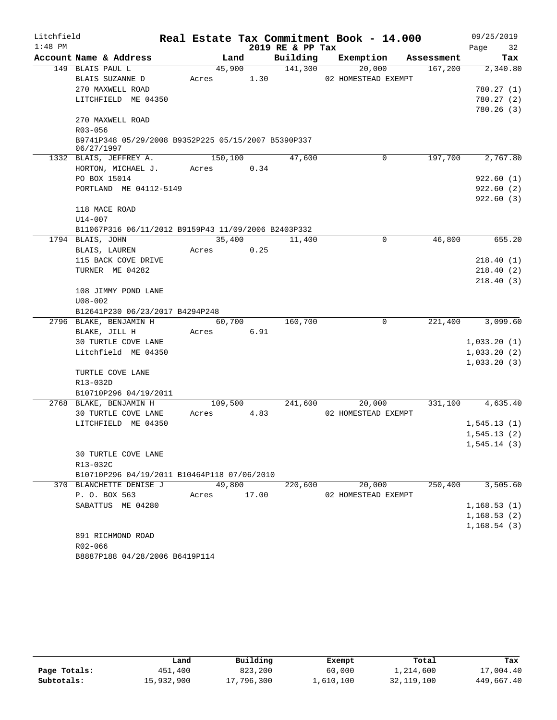| Litchfield |             |                                                     |             |        |                  | Real Estate Tax Commitment Book - 14.000 |            |      | 09/25/2019                 |
|------------|-------------|-----------------------------------------------------|-------------|--------|------------------|------------------------------------------|------------|------|----------------------------|
| $1:48$ PM  |             |                                                     |             |        | 2019 RE & PP Tax |                                          |            | Page | 32                         |
|            |             | Account Name & Address                              | Land        |        | Building         | Exemption                                | Assessment |      | Tax                        |
|            |             | 149 BLAIS PAUL L                                    | 45,900      |        | 141,300          | 20,000                                   | 167,200    |      | 2,340.80                   |
|            |             | BLAIS SUZANNE D                                     | Acres       | 1.30   |                  | 02 HOMESTEAD EXEMPT                      |            |      |                            |
|            |             | 270 MAXWELL ROAD                                    |             |        |                  |                                          |            |      | 780.27(1)                  |
|            |             | LITCHFIELD ME 04350                                 |             |        |                  |                                          |            |      | 780.27(2)                  |
|            |             | 270 MAXWELL ROAD                                    |             |        |                  |                                          |            |      | 780.26(3)                  |
|            | R03-056     |                                                     |             |        |                  |                                          |            |      |                            |
|            |             | B9741P348 05/29/2008 B9352P225 05/15/2007 B5390P337 |             |        |                  |                                          |            |      |                            |
|            | 06/27/1997  |                                                     |             |        |                  |                                          |            |      |                            |
|            |             | 1332 BLAIS, JEFFREY A.                              | 150,100     |        | 47,600           | $\mathbf 0$                              | 197,700    |      | 2,767.80                   |
|            |             | HORTON, MICHAEL J. Acres                            |             | 0.34   |                  |                                          |            |      |                            |
|            |             | PO BOX 15014                                        |             |        |                  |                                          |            |      | 922.60(1)                  |
|            |             | PORTLAND ME 04112-5149                              |             |        |                  |                                          |            |      | 922.60(2)                  |
|            |             |                                                     |             |        |                  |                                          |            |      | 922.60(3)                  |
|            |             | 118 MACE ROAD                                       |             |        |                  |                                          |            |      |                            |
|            | U14-007     |                                                     |             |        |                  |                                          |            |      |                            |
|            |             | B11067P316 06/11/2012 B9159P43 11/09/2006 B2403P332 |             |        |                  |                                          |            |      |                            |
|            |             | 1794 BLAIS, JOHN                                    |             | 35,400 | 11,400           | 0                                        | 46,800     |      | 655.20                     |
|            |             | BLAIS, LAUREN                                       | Acres       | 0.25   |                  |                                          |            |      |                            |
|            |             | 115 BACK COVE DRIVE                                 |             |        |                  |                                          |            |      | 218.40(1)                  |
|            |             | TURNER ME 04282                                     |             |        |                  |                                          |            |      | 218.40(2)                  |
|            |             |                                                     |             |        |                  |                                          |            |      | 218.40(3)                  |
|            |             | 108 JIMMY POND LANE                                 |             |        |                  |                                          |            |      |                            |
|            | $U08 - 002$ |                                                     |             |        |                  |                                          |            |      |                            |
|            |             | B12641P230 06/23/2017 B4294P248                     |             |        |                  |                                          |            |      |                            |
|            |             | 2796 BLAKE, BENJAMIN H                              | 60,700      |        | 160,700          | 0                                        | 221,400    |      | 3,099.60                   |
|            |             | BLAKE, JILL H<br><b>30 TURTLE COVE LANE</b>         | Acres       | 6.91   |                  |                                          |            |      |                            |
|            |             | Litchfield ME 04350                                 |             |        |                  |                                          |            |      | 1,033.20(1)<br>1,033.20(2) |
|            |             |                                                     |             |        |                  |                                          |            |      | 1,033.20(3)                |
|            |             | TURTLE COVE LANE                                    |             |        |                  |                                          |            |      |                            |
|            | R13-032D    |                                                     |             |        |                  |                                          |            |      |                            |
|            |             | B10710P296 04/19/2011                               |             |        |                  |                                          |            |      |                            |
|            |             | 2768 BLAKE, BENJAMIN H                              | 109,500     |        | 241,600          | 20,000                                   | 331,100    |      | 4,635.40                   |
|            |             | 30 TURTLE COVE LANE                                 | Acres       | 4.83   |                  | 02 HOMESTEAD EXEMPT                      |            |      |                            |
|            |             | LITCHFIELD ME 04350                                 |             |        |                  |                                          |            |      | 1,545.13(1)                |
|            |             |                                                     |             |        |                  |                                          |            |      | 1, 545.13(2)               |
|            |             |                                                     |             |        |                  |                                          |            |      | 1,545.14(3)                |
|            |             | 30 TURTLE COVE LANE                                 |             |        |                  |                                          |            |      |                            |
|            | R13-032C    |                                                     |             |        |                  |                                          |            |      |                            |
|            |             | B10710P296 04/19/2011 B10464P118 07/06/2010         |             |        |                  |                                          |            |      |                            |
|            |             | 370 BLANCHETTE DENISE J                             | 49,800      |        | 220,600          | 20,000                                   | 250,400    |      | 3,505.60                   |
|            |             | P. O. BOX 563                                       | Acres 17.00 |        |                  | 02 HOMESTEAD EXEMPT                      |            |      |                            |
|            |             | SABATTUS ME 04280                                   |             |        |                  |                                          |            |      | 1,168.53(1)                |
|            |             |                                                     |             |        |                  |                                          |            |      | 1, 168.53(2)               |
|            |             |                                                     |             |        |                  |                                          |            |      | 1, 168.54(3)               |
|            |             | 891 RICHMOND ROAD                                   |             |        |                  |                                          |            |      |                            |
|            | R02-066     |                                                     |             |        |                  |                                          |            |      |                            |
|            |             | B8887P188 04/28/2006 B6419P114                      |             |        |                  |                                          |            |      |                            |

|              | Land       | Building   | Exempt    | Total        | Tax        |
|--------------|------------|------------|-----------|--------------|------------|
| Page Totals: | 451,400    | 823,200    | 60,000    | 1,214,600    | 17,004.40  |
| Subtotals:   | 15,932,900 | 17,796,300 | 1,610,100 | 32, 119, 100 | 449,667.40 |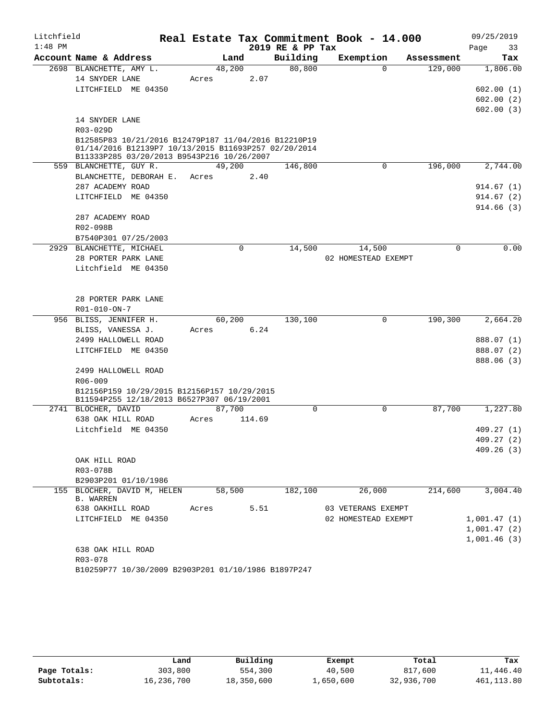| Litchfield |                                                        |        |        |                  | Real Estate Tax Commitment Book - 14.000 |            | 09/25/2019  |
|------------|--------------------------------------------------------|--------|--------|------------------|------------------------------------------|------------|-------------|
| $1:48$ PM  |                                                        |        |        | 2019 RE & PP Tax |                                          |            | Page<br>33  |
|            | Account Name & Address                                 | Land   |        | Building         | Exemption                                | Assessment | Tax         |
|            | 2698 BLANCHETTE, AMY L.                                | 48,200 |        | 80, 800          | $\Omega$                                 | 129,000    | 1,806.00    |
|            | 14 SNYDER LANE                                         | Acres  | 2.07   |                  |                                          |            |             |
|            | LITCHFIELD ME 04350                                    |        |        |                  |                                          |            | 602.00(1)   |
|            |                                                        |        |        |                  |                                          |            | 602.00(2)   |
|            | 14 SNYDER LANE                                         |        |        |                  |                                          |            | 602.00(3)   |
|            | R03-029D                                               |        |        |                  |                                          |            |             |
|            | B12585P83 10/21/2016 B12479P187 11/04/2016 B12210P19   |        |        |                  |                                          |            |             |
|            | 01/14/2016 B12139P7 10/13/2015 B11693P257 02/20/2014   |        |        |                  |                                          |            |             |
|            | B11333P285 03/20/2013 B9543P216 10/26/2007             |        |        |                  |                                          |            |             |
|            | 559 BLANCHETTE, GUY R.                                 | 49,200 |        | 146,800          | 0                                        | 196,000    | 2,744.00    |
|            | BLANCHETTE, DEBORAH E.                                 | Acres  | 2.40   |                  |                                          |            |             |
|            | 287 ACADEMY ROAD                                       |        |        |                  |                                          |            | 914.67 (1)  |
|            | LITCHFIELD ME 04350                                    |        |        |                  |                                          |            | 914.67(2)   |
|            | 287 ACADEMY ROAD                                       |        |        |                  |                                          |            | 914.66(3)   |
|            | R02-098B                                               |        |        |                  |                                          |            |             |
|            | B7540P301 07/25/2003                                   |        |        |                  |                                          |            |             |
|            | 2929 BLANCHETTE, MICHAEL                               |        | 0      | 14,500           | 14,500                                   | 0          | 0.00        |
|            | 28 PORTER PARK LANE                                    |        |        |                  | 02 HOMESTEAD EXEMPT                      |            |             |
|            | Litchfield ME 04350                                    |        |        |                  |                                          |            |             |
|            |                                                        |        |        |                  |                                          |            |             |
|            |                                                        |        |        |                  |                                          |            |             |
|            | 28 PORTER PARK LANE                                    |        |        |                  |                                          |            |             |
|            | R01-010-ON-7                                           |        |        |                  |                                          |            |             |
|            | 956 BLISS, JENNIFER H.                                 | 60,200 |        | 130,100          | 0                                        | 190,300    | 2,664.20    |
|            | BLISS, VANESSA J.                                      | Acres  | 6.24   |                  |                                          |            |             |
|            | 2499 HALLOWELL ROAD                                    |        |        |                  |                                          |            | 888.07 (1)  |
|            | LITCHFIELD ME 04350                                    |        |        |                  |                                          |            | 888.07 (2)  |
|            |                                                        |        |        |                  |                                          |            | 888.06 (3)  |
|            | 2499 HALLOWELL ROAD                                    |        |        |                  |                                          |            |             |
|            | R06-009<br>B12156P159 10/29/2015 B12156P157 10/29/2015 |        |        |                  |                                          |            |             |
|            | B11594P255 12/18/2013 B6527P307 06/19/2001             |        |        |                  |                                          |            |             |
|            | 2741 BLOCHER, DAVID                                    | 87,700 |        | $\Omega$         | 0                                        | 87,700     | 1,227.80    |
|            | 638 OAK HILL ROAD                                      | Acres  | 114.69 |                  |                                          |            |             |
|            | Litchfield ME 04350                                    |        |        |                  |                                          |            | 409.27(1)   |
|            |                                                        |        |        |                  |                                          |            | 409.27(2)   |
|            |                                                        |        |        |                  |                                          |            | 409.26(3)   |
|            | OAK HILL ROAD                                          |        |        |                  |                                          |            |             |
|            | R03-078B                                               |        |        |                  |                                          |            |             |
|            | B2903P201 01/10/1986                                   |        |        |                  |                                          |            |             |
|            | 155 BLOCHER, DAVID M, HELEN<br><b>B. WARREN</b>        | 58,500 |        | 182,100          | 26,000                                   | 214,600    | 3,004.40    |
|            | 638 OAKHILL ROAD                                       | Acres  | 5.51   |                  | 03 VETERANS EXEMPT                       |            |             |
|            | LITCHFIELD ME 04350                                    |        |        |                  | 02 HOMESTEAD EXEMPT                      |            | 1,001.47(1) |
|            |                                                        |        |        |                  |                                          |            | 1,001.47(2) |
|            |                                                        |        |        |                  |                                          |            | 1,001.46(3) |
|            | 638 OAK HILL ROAD                                      |        |        |                  |                                          |            |             |
|            | R03-078                                                |        |        |                  |                                          |            |             |
|            | B10259P77 10/30/2009 B2903P201 01/10/1986 B1897P247    |        |        |                  |                                          |            |             |

|              | Land       | Building   | Exempt    | Total      | Tax         |
|--------------|------------|------------|-----------|------------|-------------|
| Page Totals: | 303,800    | 554,300    | 40,500    | 817,600    | 11,446.40   |
| Subtotals:   | 16,236,700 | 18,350,600 | 1,650,600 | 32,936,700 | 461, 113.80 |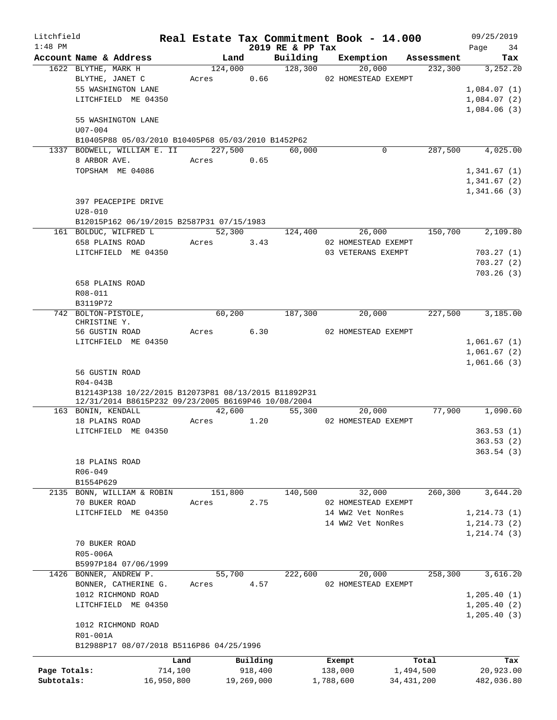| Litchfield   |                     |                                                                                                             |       |            |      |                              | Real Estate Tax Commitment Book - 14.000 |              | 09/25/2019        |
|--------------|---------------------|-------------------------------------------------------------------------------------------------------------|-------|------------|------|------------------------------|------------------------------------------|--------------|-------------------|
| $1:48$ PM    |                     | Account Name & Address                                                                                      |       | Land       |      | 2019 RE & PP Tax<br>Building | Exemption                                | Assessment   | Page<br>34<br>Tax |
|              | 1622 BLYTHE, MARK H |                                                                                                             |       | 124,000    |      | 128,300                      | 20,000                                   | 232,300      | 3,252.20          |
|              | BLYTHE, JANET C     |                                                                                                             | Acres | 0.66       |      |                              | 02 HOMESTEAD EXEMPT                      |              |                   |
|              |                     | 55 WASHINGTON LANE                                                                                          |       |            |      |                              |                                          |              | 1,084.07(1)       |
|              |                     | LITCHFIELD ME 04350                                                                                         |       |            |      |                              |                                          |              | 1,084.07(2)       |
|              |                     |                                                                                                             |       |            |      |                              |                                          |              | 1,084.06(3)       |
|              | U07-004             | 55 WASHINGTON LANE                                                                                          |       |            |      |                              |                                          |              |                   |
|              |                     | B10405P88 05/03/2010 B10405P68 05/03/2010 B1452P62                                                          |       |            |      |                              |                                          |              |                   |
|              |                     | 1337 BODWELL, WILLIAM E. II                                                                                 |       | 227,500    |      | 60,000                       | 0                                        | 287,500      | 4,025.00          |
|              | 8 ARBOR AVE.        |                                                                                                             | Acres | 0.65       |      |                              |                                          |              |                   |
|              |                     | TOPSHAM ME 04086                                                                                            |       |            |      |                              |                                          |              | 1,341.67(1)       |
|              |                     |                                                                                                             |       |            |      |                              |                                          |              | 1,341.67(2)       |
|              |                     |                                                                                                             |       |            |      |                              |                                          |              | 1,341.66(3)       |
|              |                     | 397 PEACEPIPE DRIVE                                                                                         |       |            |      |                              |                                          |              |                   |
|              | $U28 - 010$         |                                                                                                             |       |            |      |                              |                                          |              |                   |
|              |                     | B12015P162 06/19/2015 B2587P31 07/15/1983                                                                   |       | 52,300     |      |                              |                                          | 150,700      | 2,109.80          |
|              | 658 PLAINS ROAD     | 161 BOLDUC, WILFRED L                                                                                       | Acres | 3.43       |      | 124,400                      | 26,000<br>02 HOMESTEAD EXEMPT            |              |                   |
|              |                     | LITCHFIELD ME 04350                                                                                         |       |            |      |                              | 03 VETERANS EXEMPT                       |              | 703.27(1)         |
|              |                     |                                                                                                             |       |            |      |                              |                                          |              | 703.27(2)         |
|              |                     |                                                                                                             |       |            |      |                              |                                          |              | 703.26(3)         |
|              | 658 PLAINS ROAD     |                                                                                                             |       |            |      |                              |                                          |              |                   |
|              | R08-011             |                                                                                                             |       |            |      |                              |                                          |              |                   |
|              | B3119P72            |                                                                                                             |       |            |      |                              |                                          |              |                   |
|              | 742 BOLTON-PISTOLE, |                                                                                                             |       | 60,200     |      | 187,300                      | 20,000                                   | 227,500      | 3,185.00          |
|              | CHRISTINE Y.        |                                                                                                             |       |            |      |                              |                                          |              |                   |
|              | 56 GUSTIN ROAD      |                                                                                                             | Acres |            | 6.30 |                              | 02 HOMESTEAD EXEMPT                      |              |                   |
|              |                     | LITCHFIELD ME 04350                                                                                         |       |            |      |                              |                                          |              | 1,061.67(1)       |
|              |                     |                                                                                                             |       |            |      |                              |                                          |              | 1,061.67(2)       |
|              |                     |                                                                                                             |       |            |      |                              |                                          |              | 1,061.66(3)       |
|              | 56 GUSTIN ROAD      |                                                                                                             |       |            |      |                              |                                          |              |                   |
|              | R04-043B            |                                                                                                             |       |            |      |                              |                                          |              |                   |
|              |                     | B12143P138 10/22/2015 B12073P81 08/13/2015 B11892P31<br>12/31/2014 B8615P232 09/23/2005 B6169P46 10/08/2004 |       |            |      |                              |                                          |              |                   |
|              | 163 BONIN, KENDALL  |                                                                                                             |       | 42,600     |      | 55,300                       | 20,000                                   | 77,900       | 1,090.60          |
|              | 18 PLAINS ROAD      |                                                                                                             | Acres | 1.20       |      |                              | 02 HOMESTEAD EXEMPT                      |              |                   |
|              |                     | LITCHFIELD ME 04350                                                                                         |       |            |      |                              |                                          |              | 363.53(1)         |
|              |                     |                                                                                                             |       |            |      |                              |                                          |              | 363.53(2)         |
|              |                     |                                                                                                             |       |            |      |                              |                                          |              | 363.54(3)         |
|              | 18 PLAINS ROAD      |                                                                                                             |       |            |      |                              |                                          |              |                   |
|              | $R06 - 049$         |                                                                                                             |       |            |      |                              |                                          |              |                   |
|              | B1554P629           |                                                                                                             |       |            |      |                              |                                          |              |                   |
|              |                     | 2135 BONN, WILLIAM & ROBIN                                                                                  |       | 151,800    |      | 140,500                      | 32,000                                   | 260,300      | 3,644.20          |
|              | 70 BUKER ROAD       |                                                                                                             | Acres | 2.75       |      |                              | 02 HOMESTEAD EXEMPT                      |              |                   |
|              |                     | LITCHFIELD ME 04350                                                                                         |       |            |      |                              | 14 WW2 Vet NonRes                        |              | 1, 214.73(1)      |
|              |                     |                                                                                                             |       |            |      |                              | 14 WW2 Vet NonRes                        |              | 1, 214.73(2)      |
|              |                     |                                                                                                             |       |            |      |                              |                                          |              | 1, 214.74(3)      |
|              | 70 BUKER ROAD       |                                                                                                             |       |            |      |                              |                                          |              |                   |
|              | R05-006A            | B5997P184 07/06/1999                                                                                        |       |            |      |                              |                                          |              |                   |
|              |                     | 1426 BONNER, ANDREW P.                                                                                      |       | 55,700     |      | 222,600                      | 20,000                                   | 258,300      | 3,616.20          |
|              |                     | BONNER, CATHERINE G.                                                                                        | Acres | 4.57       |      |                              | 02 HOMESTEAD EXEMPT                      |              |                   |
|              |                     | 1012 RICHMOND ROAD                                                                                          |       |            |      |                              |                                          |              | 1,205.40(1)       |
|              |                     | LITCHFIELD ME 04350                                                                                         |       |            |      |                              |                                          |              | 1,205.40(2)       |
|              |                     |                                                                                                             |       |            |      |                              |                                          |              | 1,205.40(3)       |
|              |                     | 1012 RICHMOND ROAD                                                                                          |       |            |      |                              |                                          |              |                   |
|              | R01-001A            |                                                                                                             |       |            |      |                              |                                          |              |                   |
|              |                     | B12988P17 08/07/2018 B5116P86 04/25/1996                                                                    |       |            |      |                              |                                          |              |                   |
|              |                     | Land                                                                                                        |       | Building   |      |                              | Exempt                                   | Total        | Tax               |
| Page Totals: |                     | 714,100                                                                                                     |       | 918,400    |      |                              | 138,000                                  | 1,494,500    | 20,923.00         |
| Subtotals:   |                     | 16,950,800                                                                                                  |       | 19,269,000 |      |                              | 1,788,600                                | 34, 431, 200 | 482,036.80        |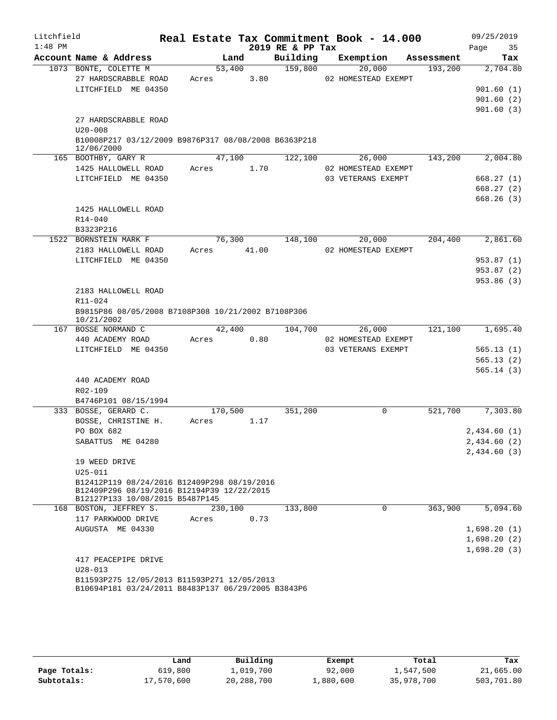| Litchfield |                                                                                           |             |                |                  | Real Estate Tax Commitment Book - 14.000 |            | 09/25/2019             |
|------------|-------------------------------------------------------------------------------------------|-------------|----------------|------------------|------------------------------------------|------------|------------------------|
| $1:48$ PM  |                                                                                           |             |                | 2019 RE & PP Tax |                                          |            | 35<br>Page             |
|            | Account Name & Address                                                                    |             | Land           | Building         | Exemption                                | Assessment | Tax                    |
|            | 1073 BONTE, COLETTE M<br>27 HARDSCRABBLE ROAD                                             |             | 53,400<br>3.80 | 159,800          | 20,000                                   | 193,200    | 2,704.80               |
|            | LITCHFIELD ME 04350                                                                       | Acres       |                |                  | 02 HOMESTEAD EXEMPT                      |            | 901.60(1)              |
|            |                                                                                           |             |                |                  |                                          |            | 901.60(2)              |
|            |                                                                                           |             |                |                  |                                          |            | 901.60(3)              |
|            | 27 HARDSCRABBLE ROAD                                                                      |             |                |                  |                                          |            |                        |
|            | $U20 - 008$                                                                               |             |                |                  |                                          |            |                        |
|            | B10008P217 03/12/2009 B9876P317 08/08/2008 B6363P218                                      |             |                |                  |                                          |            |                        |
|            | 12/06/2000                                                                                |             |                |                  |                                          |            |                        |
|            | 165 BOOTHBY, GARY R                                                                       |             | 47,100         | 122,100          | 26,000                                   | 143,200    | 2,004.80               |
|            | 1425 HALLOWELL ROAD                                                                       | Acres       | 1.70           |                  | 02 HOMESTEAD EXEMPT                      |            |                        |
|            | LITCHFIELD ME 04350                                                                       |             |                |                  | 03 VETERANS EXEMPT                       |            | 668.27(1)              |
|            |                                                                                           |             |                |                  |                                          |            | 668.27(2)<br>668.26(3) |
|            | 1425 HALLOWELL ROAD                                                                       |             |                |                  |                                          |            |                        |
|            | R14-040                                                                                   |             |                |                  |                                          |            |                        |
|            | B3323P216                                                                                 |             |                |                  |                                          |            |                        |
|            | 1522 BORNSTEIN MARK F                                                                     |             | 76,300         | 148,100          | 20,000                                   | 204,400    | 2,861.60               |
|            | 2183 HALLOWELL ROAD                                                                       | Acres 41.00 |                |                  | 02 HOMESTEAD EXEMPT                      |            |                        |
|            | LITCHFIELD ME 04350                                                                       |             |                |                  |                                          |            | 953.87(1)              |
|            |                                                                                           |             |                |                  |                                          |            | 953.87 (2)             |
|            |                                                                                           |             |                |                  |                                          |            | 953.86 (3)             |
|            | 2183 HALLOWELL ROAD                                                                       |             |                |                  |                                          |            |                        |
|            | R11-024                                                                                   |             |                |                  |                                          |            |                        |
|            | B9815P86 08/05/2008 B7108P308 10/21/2002 B7108P306                                        |             |                |                  |                                          |            |                        |
|            | 10/21/2002<br>167 BOSSE NORMAND C                                                         |             | 42,400         | 104,700          | 26,000                                   | 121,100    | 1,695.40               |
|            | 440 ACADEMY ROAD                                                                          | Acres       | 0.80           |                  | 02 HOMESTEAD EXEMPT                      |            |                        |
|            | LITCHFIELD ME 04350                                                                       |             |                |                  | 03 VETERANS EXEMPT                       |            | 565.13(1)              |
|            |                                                                                           |             |                |                  |                                          |            | 565.13(2)              |
|            |                                                                                           |             |                |                  |                                          |            | 565.14(3)              |
|            | 440 ACADEMY ROAD                                                                          |             |                |                  |                                          |            |                        |
|            | R02-109                                                                                   |             |                |                  |                                          |            |                        |
|            | B4746P101 08/15/1994                                                                      |             |                |                  |                                          |            |                        |
|            | 333 BOSSE, GERARD C.                                                                      | 170,500     |                | 351,200          | 0                                        | 521,700    | 7,303.80               |
|            | BOSSE, CHRISTINE H.                                                                       | Acres       | 1.17           |                  |                                          |            |                        |
|            | PO BOX 682                                                                                |             |                |                  |                                          |            | 2,434.60(1)            |
|            | SABATTUS ME 04280                                                                         |             |                |                  |                                          |            | 2,434.60 (2)           |
|            |                                                                                           |             |                |                  |                                          |            | 2,434.60 (3)           |
|            | 19 WEED DRIVE                                                                             |             |                |                  |                                          |            |                        |
|            | $U25 - 011$                                                                               |             |                |                  |                                          |            |                        |
|            | B12412P119 08/24/2016 B12409P298 08/19/2016<br>B12409P296 08/19/2016 B12194P39 12/22/2015 |             |                |                  |                                          |            |                        |
|            | B12127P133 10/08/2015 B5487P145                                                           |             |                |                  |                                          |            |                        |
|            | 168 BOSTON, JEFFREY S.                                                                    | 230,100     |                | 133,800          | 0                                        | 363,900    | 5,094.60               |
|            | 117 PARKWOOD DRIVE                                                                        | Acres       | 0.73           |                  |                                          |            |                        |
|            | AUGUSTA ME 04330                                                                          |             |                |                  |                                          |            | 1,698.20(1)            |
|            |                                                                                           |             |                |                  |                                          |            | 1,698.20(2)            |
|            |                                                                                           |             |                |                  |                                          |            | 1,698.20(3)            |
|            | 417 PEACEPIPE DRIVE                                                                       |             |                |                  |                                          |            |                        |
|            | $U28 - 013$<br>B11593P275 12/05/2013 B11593P271 12/05/2013                                |             |                |                  |                                          |            |                        |
|            | B10694P181 03/24/2011 B8483P137 06/29/2005 B3843P6                                        |             |                |                  |                                          |            |                        |

|              | Land       | Building   | Exempt    | Total      | Tax        |
|--------------|------------|------------|-----------|------------|------------|
| Page Totals: | 619,800    | 1,019,700  | 92,000    | 1,547,500  | 21,665.00  |
| Subtotals:   | 17,570,600 | 20,288,700 | 1,880,600 | 35,978,700 | 503,701.80 |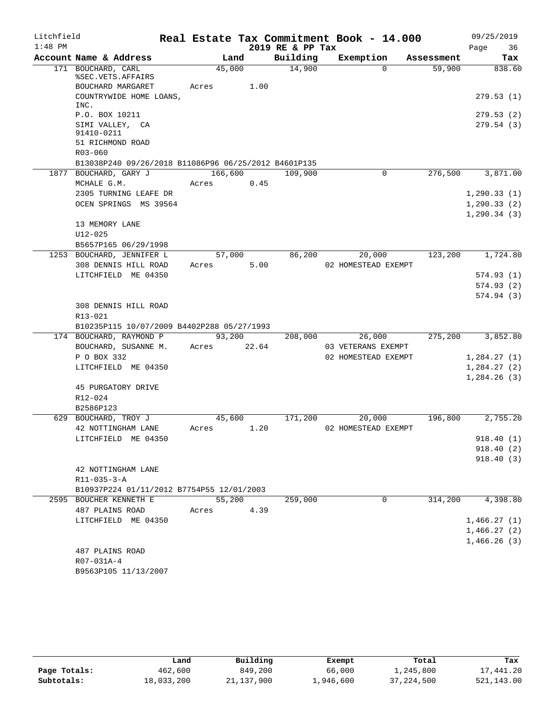| Litchfield |                                                      |             |        |                  | Real Estate Tax Commitment Book - 14.000 |            |      | 09/25/2019            |
|------------|------------------------------------------------------|-------------|--------|------------------|------------------------------------------|------------|------|-----------------------|
| $1:48$ PM  |                                                      |             |        | 2019 RE & PP Tax |                                          |            | Page | 36                    |
|            | Account Name & Address                               | Land        |        | Building         | Exemption                                | Assessment |      | Tax                   |
|            | 171 BOUCHARD, CARL                                   | 45,000      |        | 14,900           | $\Omega$                                 | 59,900     |      | 838.60                |
|            | %SEC.VETS.AFFAIRS<br>BOUCHARD MARGARET               | Acres       | 1.00   |                  |                                          |            |      |                       |
|            | COUNTRYWIDE HOME LOANS,<br>INC.                      |             |        |                  |                                          |            |      | 279.53(1)             |
|            | P.O. BOX 10211                                       |             |        |                  |                                          |            |      | 279.53 (2)            |
|            | SIMI VALLEY, CA<br>91410-0211                        |             |        |                  |                                          |            |      | 279.54(3)             |
|            | 51 RICHMOND ROAD                                     |             |        |                  |                                          |            |      |                       |
|            | R03-060                                              |             |        |                  |                                          |            |      |                       |
|            | B13038P240 09/26/2018 B11086P96 06/25/2012 B4601P135 |             |        |                  |                                          |            |      |                       |
|            | 1877 BOUCHARD, GARY J                                | 166,600     |        | 109,900          | 0                                        | 276,500    |      | 3,871.00              |
|            | MCHALE G.M.                                          | Acres       | 0.45   |                  |                                          |            |      |                       |
|            | 2305 TURNING LEAFE DR                                |             |        |                  |                                          |            |      | 1, 290.33(1)          |
|            | OCEN SPRINGS MS 39564                                |             |        |                  |                                          |            |      | 1, 290.33(2)          |
|            |                                                      |             |        |                  |                                          |            |      | 1, 290.34(3)          |
|            | 13 MEMORY LANE                                       |             |        |                  |                                          |            |      |                       |
|            | $U12 - 025$                                          |             |        |                  |                                          |            |      |                       |
|            | B5657P165 06/29/1998<br>1253 BOUCHARD, JENNIFER L    | 57,000      |        | 86,200           | 20,000                                   | 123,200    |      | 1,724.80              |
|            | 308 DENNIS HILL ROAD                                 | Acres       | 5.00   |                  | 02 HOMESTEAD EXEMPT                      |            |      |                       |
|            | LITCHFIELD ME 04350                                  |             |        |                  |                                          |            |      | 574.93 (1)            |
|            |                                                      |             |        |                  |                                          |            |      | 574.93(2)             |
|            |                                                      |             |        |                  |                                          |            |      | 574.94(3)             |
|            | 308 DENNIS HILL ROAD                                 |             |        |                  |                                          |            |      |                       |
|            | R13-021                                              |             |        |                  |                                          |            |      |                       |
|            | B10235P115 10/07/2009 B4402P288 05/27/1993           |             |        |                  |                                          |            |      |                       |
|            | 174 BOUCHARD, RAYMOND P                              |             | 93,200 | 208,000          | 26,000                                   | 275,200    |      | 3,852.80              |
|            | BOUCHARD, SUSANNE M.                                 | Acres 22.64 |        |                  | 03 VETERANS EXEMPT                       |            |      |                       |
|            | P O BOX 332                                          |             |        |                  | 02 HOMESTEAD EXEMPT                      |            |      | 1,284.27(1)           |
|            | LITCHFIELD ME 04350                                  |             |        |                  |                                          |            |      | 1,284.27(2)           |
|            |                                                      |             |        |                  |                                          |            |      | 1,284.26(3)           |
|            | 45 PURGATORY DRIVE                                   |             |        |                  |                                          |            |      |                       |
|            | R12-024                                              |             |        |                  |                                          |            |      |                       |
|            | B2586P123                                            |             |        |                  |                                          |            |      |                       |
|            | 629 BOUCHARD, TROY J                                 | 45,600      |        | 171,200          | 20,000                                   | 196,800    |      | $2,755.\overline{20}$ |
|            | 42 NOTTINGHAM LANE                                   | Acres       | 1.20   |                  | 02 HOMESTEAD EXEMPT                      |            |      |                       |
|            | LITCHFIELD ME 04350                                  |             |        |                  |                                          |            |      | 918.40 (1)            |
|            |                                                      |             |        |                  |                                          |            |      | 918.40(2)             |
|            |                                                      |             |        |                  |                                          |            |      | 918.40(3)             |
|            | 42 NOTTINGHAM LANE<br>$R11 - 035 - 3 - A$            |             |        |                  |                                          |            |      |                       |
|            | B10937P224 01/11/2012 B7754P55 12/01/2003            |             |        |                  |                                          |            |      |                       |
|            | 2595 BOUCHER KENNETH E                               | 55,200      |        | 259,000          | $\Omega$                                 | 314,200    |      | 4,398.80              |
|            | 487 PLAINS ROAD                                      | Acres       | 4.39   |                  |                                          |            |      |                       |
|            | LITCHFIELD ME 04350                                  |             |        |                  |                                          |            |      | 1,466.27(1)           |
|            |                                                      |             |        |                  |                                          |            |      | 1,466.27(2)           |
|            |                                                      |             |        |                  |                                          |            |      | 1,466.26(3)           |
|            | 487 PLAINS ROAD                                      |             |        |                  |                                          |            |      |                       |
|            | R07-031A-4                                           |             |        |                  |                                          |            |      |                       |
|            | B9563P105 11/13/2007                                 |             |        |                  |                                          |            |      |                       |

|              | Land       | Building     | Exempt    | Total        | Tax        |
|--------------|------------|--------------|-----------|--------------|------------|
| Page Totals: | 462,600    | 849,200      | 66,000    | 1,245,800    | 17,441.20  |
| Subtotals:   | 18,033,200 | 21, 137, 900 | 1,946,600 | 37, 224, 500 | 521,143.00 |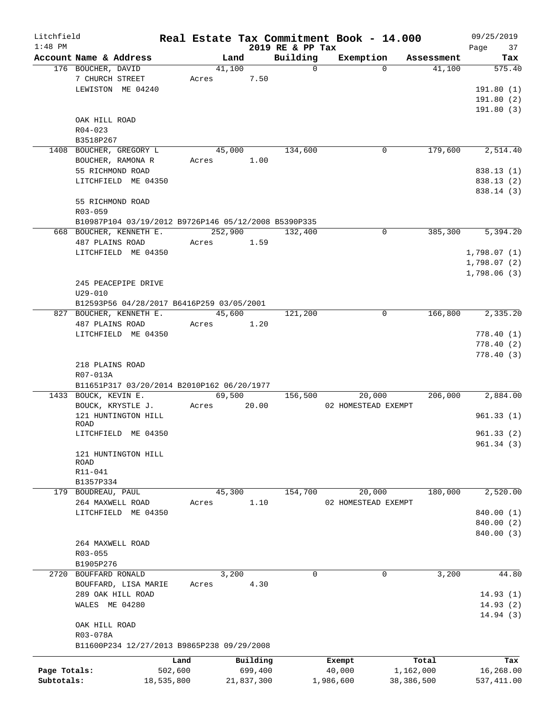| 2019 RE & PP Tax<br>Page<br>Account Name & Address<br>Building<br>Exemption<br>Land<br>Assessment<br>$\Omega$<br>176 BOUCHER, DAVID<br>41,100<br>$\Omega$<br>41,100<br>7 CHURCH STREET<br>7.50<br>Acres<br>LEWISTON ME 04240<br>OAK HILL ROAD<br>$R04 - 023$<br>B3518P267<br>179,600<br>1408 BOUCHER, GREGORY L<br>45,000<br>134,600<br>0<br>BOUCHER, RAMONA R<br>1.00<br>Acres<br>55 RICHMOND ROAD<br>LITCHFIELD ME 04350<br>55 RICHMOND ROAD<br>R03-059<br>B10987P104 03/19/2012 B9726P146 05/12/2008 B5390P335<br>252,900<br>$\Omega$<br>385,300<br>668 BOUCHER, KENNETH E.<br>132,400<br>487 PLAINS ROAD<br>1.59<br>Acres<br>LITCHFIELD ME 04350<br>1,798.06(3)<br>245 PEACEPIPE DRIVE<br>$U29 - 010$<br>B12593P56 04/28/2017 B6416P259 03/05/2001<br>166,800<br>45,600<br>121,200<br>0<br>827 BOUCHER, KENNETH E.<br>487 PLAINS ROAD<br>Acres<br>1.20<br>LITCHFIELD ME 04350<br>218 PLAINS ROAD<br>R07-013A<br>B11651P317 03/20/2014 B2010P162 06/20/1977<br>1433 BOUCK, KEVIN E.<br>69,500<br>206,000<br>156,500<br>20,000<br>20.00<br>BOUCK, KRYSTLE J.<br>02 HOMESTEAD EXEMPT<br>Acres<br>121 HUNTINGTON HILL<br>ROAD<br>LITCHFIELD ME 04350<br>121 HUNTINGTON HILL<br>ROAD<br>R11-041<br>B1357P334<br>180,000<br>179 BOUDREAU, PAUL<br>45,300<br>154,700<br>20,000<br>264 MAXWELL ROAD<br>1.10<br>02 HOMESTEAD EXEMPT<br>Acres<br>LITCHFIELD ME 04350<br>264 MAXWELL ROAD<br>$R03 - 055$<br>B1905P276<br>3,200<br>3,200<br>2720<br>BOUFFARD RONALD<br>0<br>0<br>BOUFFARD, LISA MARIE<br>Acres<br>4.30<br>289 OAK HILL ROAD<br>WALES ME 04280<br>OAK HILL ROAD<br>R03-078A<br>B11600P234 12/27/2013 B9865P238 09/29/2008<br>Building<br>Total<br>Land<br>Exempt<br>Page Totals:<br>502,600<br>699,400<br>40,000<br>1,162,000<br>Subtotals:<br>18,535,800<br>1,986,600<br>38,386,500<br>21,837,300 | Litchfield |  |  |  | Real Estate Tax Commitment Book - 14.000 |  | 09/25/2019  |
|-----------------------------------------------------------------------------------------------------------------------------------------------------------------------------------------------------------------------------------------------------------------------------------------------------------------------------------------------------------------------------------------------------------------------------------------------------------------------------------------------------------------------------------------------------------------------------------------------------------------------------------------------------------------------------------------------------------------------------------------------------------------------------------------------------------------------------------------------------------------------------------------------------------------------------------------------------------------------------------------------------------------------------------------------------------------------------------------------------------------------------------------------------------------------------------------------------------------------------------------------------------------------------------------------------------------------------------------------------------------------------------------------------------------------------------------------------------------------------------------------------------------------------------------------------------------------------------------------------------------------------------------------------------------------------------------------------------------------------------------------------------------------------------------------------------|------------|--|--|--|------------------------------------------|--|-------------|
|                                                                                                                                                                                                                                                                                                                                                                                                                                                                                                                                                                                                                                                                                                                                                                                                                                                                                                                                                                                                                                                                                                                                                                                                                                                                                                                                                                                                                                                                                                                                                                                                                                                                                                                                                                                                           | $1:48$ PM  |  |  |  |                                          |  | 37          |
|                                                                                                                                                                                                                                                                                                                                                                                                                                                                                                                                                                                                                                                                                                                                                                                                                                                                                                                                                                                                                                                                                                                                                                                                                                                                                                                                                                                                                                                                                                                                                                                                                                                                                                                                                                                                           |            |  |  |  |                                          |  | Tax         |
|                                                                                                                                                                                                                                                                                                                                                                                                                                                                                                                                                                                                                                                                                                                                                                                                                                                                                                                                                                                                                                                                                                                                                                                                                                                                                                                                                                                                                                                                                                                                                                                                                                                                                                                                                                                                           |            |  |  |  |                                          |  | 575.40      |
|                                                                                                                                                                                                                                                                                                                                                                                                                                                                                                                                                                                                                                                                                                                                                                                                                                                                                                                                                                                                                                                                                                                                                                                                                                                                                                                                                                                                                                                                                                                                                                                                                                                                                                                                                                                                           |            |  |  |  |                                          |  |             |
|                                                                                                                                                                                                                                                                                                                                                                                                                                                                                                                                                                                                                                                                                                                                                                                                                                                                                                                                                                                                                                                                                                                                                                                                                                                                                                                                                                                                                                                                                                                                                                                                                                                                                                                                                                                                           |            |  |  |  |                                          |  | 191.80(1)   |
|                                                                                                                                                                                                                                                                                                                                                                                                                                                                                                                                                                                                                                                                                                                                                                                                                                                                                                                                                                                                                                                                                                                                                                                                                                                                                                                                                                                                                                                                                                                                                                                                                                                                                                                                                                                                           |            |  |  |  |                                          |  | 191.80(2)   |
|                                                                                                                                                                                                                                                                                                                                                                                                                                                                                                                                                                                                                                                                                                                                                                                                                                                                                                                                                                                                                                                                                                                                                                                                                                                                                                                                                                                                                                                                                                                                                                                                                                                                                                                                                                                                           |            |  |  |  |                                          |  | 191.80(3)   |
|                                                                                                                                                                                                                                                                                                                                                                                                                                                                                                                                                                                                                                                                                                                                                                                                                                                                                                                                                                                                                                                                                                                                                                                                                                                                                                                                                                                                                                                                                                                                                                                                                                                                                                                                                                                                           |            |  |  |  |                                          |  |             |
|                                                                                                                                                                                                                                                                                                                                                                                                                                                                                                                                                                                                                                                                                                                                                                                                                                                                                                                                                                                                                                                                                                                                                                                                                                                                                                                                                                                                                                                                                                                                                                                                                                                                                                                                                                                                           |            |  |  |  |                                          |  |             |
|                                                                                                                                                                                                                                                                                                                                                                                                                                                                                                                                                                                                                                                                                                                                                                                                                                                                                                                                                                                                                                                                                                                                                                                                                                                                                                                                                                                                                                                                                                                                                                                                                                                                                                                                                                                                           |            |  |  |  |                                          |  |             |
|                                                                                                                                                                                                                                                                                                                                                                                                                                                                                                                                                                                                                                                                                                                                                                                                                                                                                                                                                                                                                                                                                                                                                                                                                                                                                                                                                                                                                                                                                                                                                                                                                                                                                                                                                                                                           |            |  |  |  |                                          |  | 2,514.40    |
|                                                                                                                                                                                                                                                                                                                                                                                                                                                                                                                                                                                                                                                                                                                                                                                                                                                                                                                                                                                                                                                                                                                                                                                                                                                                                                                                                                                                                                                                                                                                                                                                                                                                                                                                                                                                           |            |  |  |  |                                          |  |             |
|                                                                                                                                                                                                                                                                                                                                                                                                                                                                                                                                                                                                                                                                                                                                                                                                                                                                                                                                                                                                                                                                                                                                                                                                                                                                                                                                                                                                                                                                                                                                                                                                                                                                                                                                                                                                           |            |  |  |  |                                          |  | 838.13(1)   |
|                                                                                                                                                                                                                                                                                                                                                                                                                                                                                                                                                                                                                                                                                                                                                                                                                                                                                                                                                                                                                                                                                                                                                                                                                                                                                                                                                                                                                                                                                                                                                                                                                                                                                                                                                                                                           |            |  |  |  |                                          |  | 838.13 (2)  |
|                                                                                                                                                                                                                                                                                                                                                                                                                                                                                                                                                                                                                                                                                                                                                                                                                                                                                                                                                                                                                                                                                                                                                                                                                                                                                                                                                                                                                                                                                                                                                                                                                                                                                                                                                                                                           |            |  |  |  |                                          |  | 838.14 (3)  |
|                                                                                                                                                                                                                                                                                                                                                                                                                                                                                                                                                                                                                                                                                                                                                                                                                                                                                                                                                                                                                                                                                                                                                                                                                                                                                                                                                                                                                                                                                                                                                                                                                                                                                                                                                                                                           |            |  |  |  |                                          |  |             |
|                                                                                                                                                                                                                                                                                                                                                                                                                                                                                                                                                                                                                                                                                                                                                                                                                                                                                                                                                                                                                                                                                                                                                                                                                                                                                                                                                                                                                                                                                                                                                                                                                                                                                                                                                                                                           |            |  |  |  |                                          |  |             |
|                                                                                                                                                                                                                                                                                                                                                                                                                                                                                                                                                                                                                                                                                                                                                                                                                                                                                                                                                                                                                                                                                                                                                                                                                                                                                                                                                                                                                                                                                                                                                                                                                                                                                                                                                                                                           |            |  |  |  |                                          |  |             |
|                                                                                                                                                                                                                                                                                                                                                                                                                                                                                                                                                                                                                                                                                                                                                                                                                                                                                                                                                                                                                                                                                                                                                                                                                                                                                                                                                                                                                                                                                                                                                                                                                                                                                                                                                                                                           |            |  |  |  |                                          |  | 5,394.20    |
|                                                                                                                                                                                                                                                                                                                                                                                                                                                                                                                                                                                                                                                                                                                                                                                                                                                                                                                                                                                                                                                                                                                                                                                                                                                                                                                                                                                                                                                                                                                                                                                                                                                                                                                                                                                                           |            |  |  |  |                                          |  |             |
|                                                                                                                                                                                                                                                                                                                                                                                                                                                                                                                                                                                                                                                                                                                                                                                                                                                                                                                                                                                                                                                                                                                                                                                                                                                                                                                                                                                                                                                                                                                                                                                                                                                                                                                                                                                                           |            |  |  |  |                                          |  | 1,798.07(1) |
|                                                                                                                                                                                                                                                                                                                                                                                                                                                                                                                                                                                                                                                                                                                                                                                                                                                                                                                                                                                                                                                                                                                                                                                                                                                                                                                                                                                                                                                                                                                                                                                                                                                                                                                                                                                                           |            |  |  |  |                                          |  | 1,798.07(2) |
|                                                                                                                                                                                                                                                                                                                                                                                                                                                                                                                                                                                                                                                                                                                                                                                                                                                                                                                                                                                                                                                                                                                                                                                                                                                                                                                                                                                                                                                                                                                                                                                                                                                                                                                                                                                                           |            |  |  |  |                                          |  |             |
|                                                                                                                                                                                                                                                                                                                                                                                                                                                                                                                                                                                                                                                                                                                                                                                                                                                                                                                                                                                                                                                                                                                                                                                                                                                                                                                                                                                                                                                                                                                                                                                                                                                                                                                                                                                                           |            |  |  |  |                                          |  |             |
|                                                                                                                                                                                                                                                                                                                                                                                                                                                                                                                                                                                                                                                                                                                                                                                                                                                                                                                                                                                                                                                                                                                                                                                                                                                                                                                                                                                                                                                                                                                                                                                                                                                                                                                                                                                                           |            |  |  |  |                                          |  |             |
|                                                                                                                                                                                                                                                                                                                                                                                                                                                                                                                                                                                                                                                                                                                                                                                                                                                                                                                                                                                                                                                                                                                                                                                                                                                                                                                                                                                                                                                                                                                                                                                                                                                                                                                                                                                                           |            |  |  |  |                                          |  |             |
|                                                                                                                                                                                                                                                                                                                                                                                                                                                                                                                                                                                                                                                                                                                                                                                                                                                                                                                                                                                                                                                                                                                                                                                                                                                                                                                                                                                                                                                                                                                                                                                                                                                                                                                                                                                                           |            |  |  |  |                                          |  |             |
|                                                                                                                                                                                                                                                                                                                                                                                                                                                                                                                                                                                                                                                                                                                                                                                                                                                                                                                                                                                                                                                                                                                                                                                                                                                                                                                                                                                                                                                                                                                                                                                                                                                                                                                                                                                                           |            |  |  |  |                                          |  | 2,335.20    |
|                                                                                                                                                                                                                                                                                                                                                                                                                                                                                                                                                                                                                                                                                                                                                                                                                                                                                                                                                                                                                                                                                                                                                                                                                                                                                                                                                                                                                                                                                                                                                                                                                                                                                                                                                                                                           |            |  |  |  |                                          |  |             |
|                                                                                                                                                                                                                                                                                                                                                                                                                                                                                                                                                                                                                                                                                                                                                                                                                                                                                                                                                                                                                                                                                                                                                                                                                                                                                                                                                                                                                                                                                                                                                                                                                                                                                                                                                                                                           |            |  |  |  |                                          |  | 778.40(1)   |
|                                                                                                                                                                                                                                                                                                                                                                                                                                                                                                                                                                                                                                                                                                                                                                                                                                                                                                                                                                                                                                                                                                                                                                                                                                                                                                                                                                                                                                                                                                                                                                                                                                                                                                                                                                                                           |            |  |  |  |                                          |  | 778.40(2)   |
|                                                                                                                                                                                                                                                                                                                                                                                                                                                                                                                                                                                                                                                                                                                                                                                                                                                                                                                                                                                                                                                                                                                                                                                                                                                                                                                                                                                                                                                                                                                                                                                                                                                                                                                                                                                                           |            |  |  |  |                                          |  | 778.40(3)   |
|                                                                                                                                                                                                                                                                                                                                                                                                                                                                                                                                                                                                                                                                                                                                                                                                                                                                                                                                                                                                                                                                                                                                                                                                                                                                                                                                                                                                                                                                                                                                                                                                                                                                                                                                                                                                           |            |  |  |  |                                          |  |             |
|                                                                                                                                                                                                                                                                                                                                                                                                                                                                                                                                                                                                                                                                                                                                                                                                                                                                                                                                                                                                                                                                                                                                                                                                                                                                                                                                                                                                                                                                                                                                                                                                                                                                                                                                                                                                           |            |  |  |  |                                          |  |             |
|                                                                                                                                                                                                                                                                                                                                                                                                                                                                                                                                                                                                                                                                                                                                                                                                                                                                                                                                                                                                                                                                                                                                                                                                                                                                                                                                                                                                                                                                                                                                                                                                                                                                                                                                                                                                           |            |  |  |  |                                          |  |             |
|                                                                                                                                                                                                                                                                                                                                                                                                                                                                                                                                                                                                                                                                                                                                                                                                                                                                                                                                                                                                                                                                                                                                                                                                                                                                                                                                                                                                                                                                                                                                                                                                                                                                                                                                                                                                           |            |  |  |  |                                          |  | 2,884.00    |
|                                                                                                                                                                                                                                                                                                                                                                                                                                                                                                                                                                                                                                                                                                                                                                                                                                                                                                                                                                                                                                                                                                                                                                                                                                                                                                                                                                                                                                                                                                                                                                                                                                                                                                                                                                                                           |            |  |  |  |                                          |  |             |
|                                                                                                                                                                                                                                                                                                                                                                                                                                                                                                                                                                                                                                                                                                                                                                                                                                                                                                                                                                                                                                                                                                                                                                                                                                                                                                                                                                                                                                                                                                                                                                                                                                                                                                                                                                                                           |            |  |  |  |                                          |  | 961.33(1)   |
|                                                                                                                                                                                                                                                                                                                                                                                                                                                                                                                                                                                                                                                                                                                                                                                                                                                                                                                                                                                                                                                                                                                                                                                                                                                                                                                                                                                                                                                                                                                                                                                                                                                                                                                                                                                                           |            |  |  |  |                                          |  |             |
|                                                                                                                                                                                                                                                                                                                                                                                                                                                                                                                                                                                                                                                                                                                                                                                                                                                                                                                                                                                                                                                                                                                                                                                                                                                                                                                                                                                                                                                                                                                                                                                                                                                                                                                                                                                                           |            |  |  |  |                                          |  | 961.33(2)   |
|                                                                                                                                                                                                                                                                                                                                                                                                                                                                                                                                                                                                                                                                                                                                                                                                                                                                                                                                                                                                                                                                                                                                                                                                                                                                                                                                                                                                                                                                                                                                                                                                                                                                                                                                                                                                           |            |  |  |  |                                          |  | 961.34(3)   |
|                                                                                                                                                                                                                                                                                                                                                                                                                                                                                                                                                                                                                                                                                                                                                                                                                                                                                                                                                                                                                                                                                                                                                                                                                                                                                                                                                                                                                                                                                                                                                                                                                                                                                                                                                                                                           |            |  |  |  |                                          |  |             |
|                                                                                                                                                                                                                                                                                                                                                                                                                                                                                                                                                                                                                                                                                                                                                                                                                                                                                                                                                                                                                                                                                                                                                                                                                                                                                                                                                                                                                                                                                                                                                                                                                                                                                                                                                                                                           |            |  |  |  |                                          |  |             |
|                                                                                                                                                                                                                                                                                                                                                                                                                                                                                                                                                                                                                                                                                                                                                                                                                                                                                                                                                                                                                                                                                                                                                                                                                                                                                                                                                                                                                                                                                                                                                                                                                                                                                                                                                                                                           |            |  |  |  |                                          |  |             |
|                                                                                                                                                                                                                                                                                                                                                                                                                                                                                                                                                                                                                                                                                                                                                                                                                                                                                                                                                                                                                                                                                                                                                                                                                                                                                                                                                                                                                                                                                                                                                                                                                                                                                                                                                                                                           |            |  |  |  |                                          |  |             |
|                                                                                                                                                                                                                                                                                                                                                                                                                                                                                                                                                                                                                                                                                                                                                                                                                                                                                                                                                                                                                                                                                                                                                                                                                                                                                                                                                                                                                                                                                                                                                                                                                                                                                                                                                                                                           |            |  |  |  |                                          |  | 2,520.00    |
|                                                                                                                                                                                                                                                                                                                                                                                                                                                                                                                                                                                                                                                                                                                                                                                                                                                                                                                                                                                                                                                                                                                                                                                                                                                                                                                                                                                                                                                                                                                                                                                                                                                                                                                                                                                                           |            |  |  |  |                                          |  |             |
|                                                                                                                                                                                                                                                                                                                                                                                                                                                                                                                                                                                                                                                                                                                                                                                                                                                                                                                                                                                                                                                                                                                                                                                                                                                                                                                                                                                                                                                                                                                                                                                                                                                                                                                                                                                                           |            |  |  |  |                                          |  | 840.00 (1)  |
|                                                                                                                                                                                                                                                                                                                                                                                                                                                                                                                                                                                                                                                                                                                                                                                                                                                                                                                                                                                                                                                                                                                                                                                                                                                                                                                                                                                                                                                                                                                                                                                                                                                                                                                                                                                                           |            |  |  |  |                                          |  | 840.00 (2)  |
|                                                                                                                                                                                                                                                                                                                                                                                                                                                                                                                                                                                                                                                                                                                                                                                                                                                                                                                                                                                                                                                                                                                                                                                                                                                                                                                                                                                                                                                                                                                                                                                                                                                                                                                                                                                                           |            |  |  |  |                                          |  | 840.00 (3)  |
|                                                                                                                                                                                                                                                                                                                                                                                                                                                                                                                                                                                                                                                                                                                                                                                                                                                                                                                                                                                                                                                                                                                                                                                                                                                                                                                                                                                                                                                                                                                                                                                                                                                                                                                                                                                                           |            |  |  |  |                                          |  |             |
|                                                                                                                                                                                                                                                                                                                                                                                                                                                                                                                                                                                                                                                                                                                                                                                                                                                                                                                                                                                                                                                                                                                                                                                                                                                                                                                                                                                                                                                                                                                                                                                                                                                                                                                                                                                                           |            |  |  |  |                                          |  |             |
|                                                                                                                                                                                                                                                                                                                                                                                                                                                                                                                                                                                                                                                                                                                                                                                                                                                                                                                                                                                                                                                                                                                                                                                                                                                                                                                                                                                                                                                                                                                                                                                                                                                                                                                                                                                                           |            |  |  |  |                                          |  |             |
|                                                                                                                                                                                                                                                                                                                                                                                                                                                                                                                                                                                                                                                                                                                                                                                                                                                                                                                                                                                                                                                                                                                                                                                                                                                                                                                                                                                                                                                                                                                                                                                                                                                                                                                                                                                                           |            |  |  |  |                                          |  | 44.80       |
|                                                                                                                                                                                                                                                                                                                                                                                                                                                                                                                                                                                                                                                                                                                                                                                                                                                                                                                                                                                                                                                                                                                                                                                                                                                                                                                                                                                                                                                                                                                                                                                                                                                                                                                                                                                                           |            |  |  |  |                                          |  |             |
|                                                                                                                                                                                                                                                                                                                                                                                                                                                                                                                                                                                                                                                                                                                                                                                                                                                                                                                                                                                                                                                                                                                                                                                                                                                                                                                                                                                                                                                                                                                                                                                                                                                                                                                                                                                                           |            |  |  |  |                                          |  | 14.93(1)    |
|                                                                                                                                                                                                                                                                                                                                                                                                                                                                                                                                                                                                                                                                                                                                                                                                                                                                                                                                                                                                                                                                                                                                                                                                                                                                                                                                                                                                                                                                                                                                                                                                                                                                                                                                                                                                           |            |  |  |  |                                          |  | 14.93(2)    |
|                                                                                                                                                                                                                                                                                                                                                                                                                                                                                                                                                                                                                                                                                                                                                                                                                                                                                                                                                                                                                                                                                                                                                                                                                                                                                                                                                                                                                                                                                                                                                                                                                                                                                                                                                                                                           |            |  |  |  |                                          |  | 14.94(3)    |
|                                                                                                                                                                                                                                                                                                                                                                                                                                                                                                                                                                                                                                                                                                                                                                                                                                                                                                                                                                                                                                                                                                                                                                                                                                                                                                                                                                                                                                                                                                                                                                                                                                                                                                                                                                                                           |            |  |  |  |                                          |  |             |
|                                                                                                                                                                                                                                                                                                                                                                                                                                                                                                                                                                                                                                                                                                                                                                                                                                                                                                                                                                                                                                                                                                                                                                                                                                                                                                                                                                                                                                                                                                                                                                                                                                                                                                                                                                                                           |            |  |  |  |                                          |  |             |
|                                                                                                                                                                                                                                                                                                                                                                                                                                                                                                                                                                                                                                                                                                                                                                                                                                                                                                                                                                                                                                                                                                                                                                                                                                                                                                                                                                                                                                                                                                                                                                                                                                                                                                                                                                                                           |            |  |  |  |                                          |  |             |
|                                                                                                                                                                                                                                                                                                                                                                                                                                                                                                                                                                                                                                                                                                                                                                                                                                                                                                                                                                                                                                                                                                                                                                                                                                                                                                                                                                                                                                                                                                                                                                                                                                                                                                                                                                                                           |            |  |  |  |                                          |  |             |
|                                                                                                                                                                                                                                                                                                                                                                                                                                                                                                                                                                                                                                                                                                                                                                                                                                                                                                                                                                                                                                                                                                                                                                                                                                                                                                                                                                                                                                                                                                                                                                                                                                                                                                                                                                                                           |            |  |  |  |                                          |  | Tax         |
|                                                                                                                                                                                                                                                                                                                                                                                                                                                                                                                                                                                                                                                                                                                                                                                                                                                                                                                                                                                                                                                                                                                                                                                                                                                                                                                                                                                                                                                                                                                                                                                                                                                                                                                                                                                                           |            |  |  |  |                                          |  | 16,268.00   |
|                                                                                                                                                                                                                                                                                                                                                                                                                                                                                                                                                                                                                                                                                                                                                                                                                                                                                                                                                                                                                                                                                                                                                                                                                                                                                                                                                                                                                                                                                                                                                                                                                                                                                                                                                                                                           |            |  |  |  |                                          |  | 537,411.00  |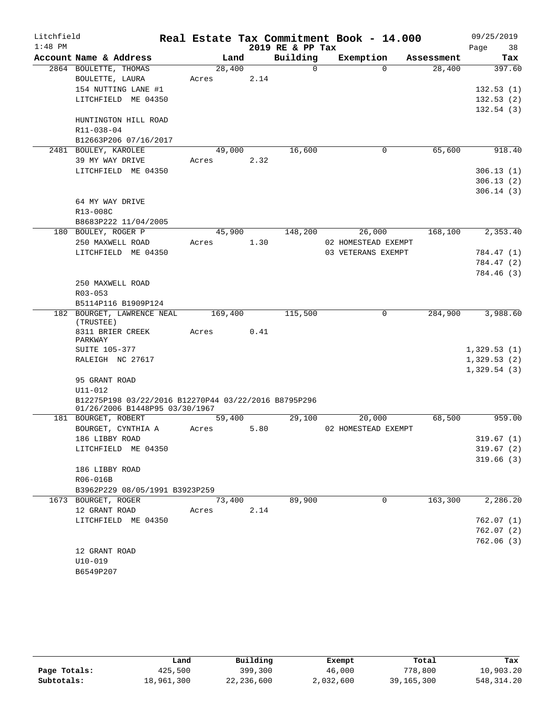| Litchfield |                                                                                        |            |        |      |                  | Real Estate Tax Commitment Book - 14.000 |          |            |      | 09/25/2019  |
|------------|----------------------------------------------------------------------------------------|------------|--------|------|------------------|------------------------------------------|----------|------------|------|-------------|
| $1:48$ PM  |                                                                                        |            |        |      | 2019 RE & PP Tax |                                          |          |            | Page | 38          |
|            | Account Name & Address                                                                 |            | Land   |      | Building         | Exemption                                |          | Assessment |      | Tax         |
|            | 2864 BOULETTE, THOMAS                                                                  |            | 28,400 |      | $\Omega$         |                                          | $\Omega$ | 28,400     |      | 397.60      |
|            | BOULETTE, LAURA                                                                        | Acres      |        | 2.14 |                  |                                          |          |            |      |             |
|            | 154 NUTTING LANE #1                                                                    |            |        |      |                  |                                          |          |            |      | 132.53(1)   |
|            | LITCHFIELD ME 04350                                                                    |            |        |      |                  |                                          |          |            |      | 132.53(2)   |
|            |                                                                                        |            |        |      |                  |                                          |          |            |      | 132.54(3)   |
|            | HUNTINGTON HILL ROAD                                                                   |            |        |      |                  |                                          |          |            |      |             |
|            | R11-038-04                                                                             |            |        |      |                  |                                          |          |            |      |             |
|            | B12663P206 07/16/2017                                                                  |            |        |      |                  |                                          |          |            |      |             |
|            | 2481 BOULEY, KAROLEE                                                                   |            | 49,000 |      | 16,600           |                                          | 0        | 65,600     |      | 918.40      |
|            | 39 MY WAY DRIVE                                                                        | Acres      |        | 2.32 |                  |                                          |          |            |      |             |
|            | LITCHFIELD ME 04350                                                                    |            |        |      |                  |                                          |          |            |      | 306.13(1)   |
|            |                                                                                        |            |        |      |                  |                                          |          |            |      | 306.13(2)   |
|            |                                                                                        |            |        |      |                  |                                          |          |            |      | 306.14(3)   |
|            | 64 MY WAY DRIVE                                                                        |            |        |      |                  |                                          |          |            |      |             |
|            | R13-008C<br>B8683P222 11/04/2005                                                       |            |        |      |                  |                                          |          |            |      |             |
|            | 180 BOULEY, ROGER P                                                                    |            | 45,900 |      | 148,200          | 26,000                                   |          | 168,100    |      | 2,353.40    |
|            | 250 MAXWELL ROAD                                                                       | Acres      |        | 1.30 |                  | 02 HOMESTEAD EXEMPT                      |          |            |      |             |
|            | LITCHFIELD ME 04350                                                                    |            |        |      |                  | 03 VETERANS EXEMPT                       |          |            |      | 784.47 (1)  |
|            |                                                                                        |            |        |      |                  |                                          |          |            |      | 784.47 (2)  |
|            |                                                                                        |            |        |      |                  |                                          |          |            |      | 784.46 (3)  |
|            | 250 MAXWELL ROAD                                                                       |            |        |      |                  |                                          |          |            |      |             |
|            | $R03 - 053$                                                                            |            |        |      |                  |                                          |          |            |      |             |
|            | B5114P116 B1909P124                                                                    |            |        |      |                  |                                          |          |            |      |             |
|            | 182 BOURGET, LAWRENCE NEAL<br>(TRUSTEE)                                                | 169,400    |        |      | 115,500          |                                          | 0        | 284,900    |      | 3,988.60    |
|            | 8311 BRIER CREEK                                                                       | Acres      |        | 0.41 |                  |                                          |          |            |      |             |
|            | PARKWAY                                                                                |            |        |      |                  |                                          |          |            |      |             |
|            | <b>SUITE 105-377</b>                                                                   |            |        |      |                  |                                          |          |            |      | 1,329.53(1) |
|            | RALEIGH NC 27617                                                                       |            |        |      |                  |                                          |          |            |      | 1,329.53(2) |
|            |                                                                                        |            |        |      |                  |                                          |          |            |      | 1,329.54(3) |
|            | 95 GRANT ROAD                                                                          |            |        |      |                  |                                          |          |            |      |             |
|            | U11-012                                                                                |            |        |      |                  |                                          |          |            |      |             |
|            | B12275P198 03/22/2016 B12270P44 03/22/2016 B8795P296<br>01/26/2006 B1448P95 03/30/1967 |            |        |      |                  |                                          |          |            |      |             |
|            | 181 BOURGET, ROBERT                                                                    |            | 59,400 |      | 29,100           | 20,000                                   |          | 68,500     |      | 959.00      |
|            | BOURGET, CYNTHIA A                                                                     | Acres      |        | 5.80 |                  | 02 HOMESTEAD EXEMPT                      |          |            |      |             |
|            | 186 LIBBY ROAD                                                                         |            |        |      |                  |                                          |          |            |      | 319.67(1)   |
|            | LITCHFIELD ME 04350                                                                    |            |        |      |                  |                                          |          |            |      | 319.67(2)   |
|            |                                                                                        |            |        |      |                  |                                          |          |            |      | 319.66(3)   |
|            | 186 LIBBY ROAD                                                                         |            |        |      |                  |                                          |          |            |      |             |
|            | R06-016B                                                                               |            |        |      |                  |                                          |          |            |      |             |
|            | B3962P229 08/05/1991 B3923P259                                                         |            |        |      |                  |                                          |          |            |      |             |
|            | 1673 BOURGET, ROGER                                                                    |            | 73,400 |      | 89,900           |                                          | $\Omega$ | 163,300    |      | 2,286.20    |
|            | 12 GRANT ROAD                                                                          | Acres 2.14 |        |      |                  |                                          |          |            |      |             |
|            | LITCHFIELD ME 04350                                                                    |            |        |      |                  |                                          |          |            |      | 762.07(1)   |
|            |                                                                                        |            |        |      |                  |                                          |          |            |      | 762.07(2)   |
|            |                                                                                        |            |        |      |                  |                                          |          |            |      | 762.06(3)   |
|            | 12 GRANT ROAD                                                                          |            |        |      |                  |                                          |          |            |      |             |
|            | $U10-019$                                                                              |            |        |      |                  |                                          |          |            |      |             |
|            | B6549P207                                                                              |            |        |      |                  |                                          |          |            |      |             |

|              | Land       | Building   | Exempt    | Total      | Tax         |
|--------------|------------|------------|-----------|------------|-------------|
| Page Totals: | 425,500    | 399,300    | 46,000    | 778,800    | 10,903.20   |
| Subtotals:   | 18,961,300 | 22,236,600 | 2,032,600 | 39,165,300 | 548, 314.20 |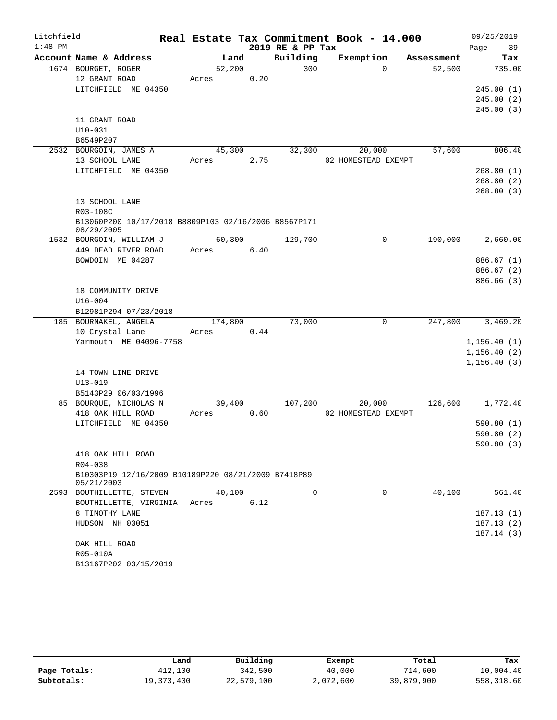| Litchfield |                                                                    |       |         |      |                  | Real Estate Tax Commitment Book - 14.000 |                        | 09/25/2019   |
|------------|--------------------------------------------------------------------|-------|---------|------|------------------|------------------------------------------|------------------------|--------------|
| $1:48$ PM  |                                                                    |       |         |      | 2019 RE & PP Tax |                                          |                        | 39<br>Page   |
|            | Account Name & Address                                             |       | Land    |      | Building         | Exemption                                | Assessment             | Tax          |
|            | 1674 BOURGET, ROGER                                                |       | 52,200  |      | 300              |                                          | 52,500<br>$\Omega$     | 735.00       |
|            | 12 GRANT ROAD                                                      | Acres |         | 0.20 |                  |                                          |                        |              |
|            | LITCHFIELD ME 04350                                                |       |         |      |                  |                                          |                        | 245.00(1)    |
|            |                                                                    |       |         |      |                  |                                          |                        | 245.00(2)    |
|            |                                                                    |       |         |      |                  |                                          |                        | 245.00(3)    |
|            | 11 GRANT ROAD                                                      |       |         |      |                  |                                          |                        |              |
|            | $U10-031$                                                          |       |         |      |                  |                                          |                        |              |
|            | B6549P207                                                          |       |         |      |                  |                                          |                        |              |
|            | 2532 BOURGOIN, JAMES A                                             |       | 45,300  |      | 32,300           | 20,000                                   | 57,600                 | 806.40       |
|            | 13 SCHOOL LANE                                                     | Acres |         | 2.75 |                  | 02 HOMESTEAD EXEMPT                      |                        |              |
|            | LITCHFIELD ME 04350                                                |       |         |      |                  |                                          |                        | 268.80(1)    |
|            |                                                                    |       |         |      |                  |                                          |                        | 268.80(2)    |
|            |                                                                    |       |         |      |                  |                                          |                        | 268.80(3)    |
|            | 13 SCHOOL LANE                                                     |       |         |      |                  |                                          |                        |              |
|            | R03-108C                                                           |       |         |      |                  |                                          |                        |              |
|            | B13060P200 10/17/2018 B8809P103 02/16/2006 B8567P171<br>08/29/2005 |       |         |      |                  |                                          |                        |              |
|            | 1532 BOURGOIN, WILLIAM J                                           |       | 60,300  |      | 129,700          |                                          | 0<br>190,000           | 2,660.00     |
|            | 449 DEAD RIVER ROAD                                                | Acres |         | 6.40 |                  |                                          |                        |              |
|            | BOWDOIN ME 04287                                                   |       |         |      |                  |                                          |                        | 886.67 (1)   |
|            |                                                                    |       |         |      |                  |                                          |                        | 886.67 (2)   |
|            |                                                                    |       |         |      |                  |                                          |                        | 886.66 (3)   |
|            | 18 COMMUNITY DRIVE                                                 |       |         |      |                  |                                          |                        |              |
|            | $U16 - 004$                                                        |       |         |      |                  |                                          |                        |              |
|            | B12981P294 07/23/2018                                              |       |         |      |                  |                                          |                        |              |
|            | 185 BOURNAKEL, ANGELA                                              |       | 174,800 |      | 73,000           |                                          | $\mathbf 0$<br>247,800 | 3,469.20     |
|            | 10 Crystal Lane                                                    | Acres |         | 0.44 |                  |                                          |                        |              |
|            | Yarmouth ME 04096-7758                                             |       |         |      |                  |                                          |                        | 1, 156.40(1) |
|            |                                                                    |       |         |      |                  |                                          |                        | 1, 156.40(2) |
|            |                                                                    |       |         |      |                  |                                          |                        | 1, 156.40(3) |
|            | 14 TOWN LINE DRIVE                                                 |       |         |      |                  |                                          |                        |              |
|            | $U13 - 019$                                                        |       |         |      |                  |                                          |                        |              |
|            | B5143P29 06/03/1996                                                |       |         |      |                  |                                          |                        |              |
|            | 85 BOURQUE, NICHOLAS N                                             |       | 39,400  |      | 107,200          | 20,000                                   | 126,600                | 1,772.40     |
|            | 418 OAK HILL ROAD                                                  | Acres |         | 0.60 |                  | 02 HOMESTEAD EXEMPT                      |                        |              |
|            | LITCHFIELD ME 04350                                                |       |         |      |                  |                                          |                        | 590.80(1)    |
|            |                                                                    |       |         |      |                  |                                          |                        | 590.80 (2)   |
|            |                                                                    |       |         |      |                  |                                          |                        | 590.80 (3)   |
|            | 418 OAK HILL ROAD                                                  |       |         |      |                  |                                          |                        |              |
|            | R04-038                                                            |       |         |      |                  |                                          |                        |              |
|            | B10303P19 12/16/2009 B10189P220 08/21/2009 B7418P89<br>05/21/2003  |       |         |      |                  |                                          |                        |              |
|            | 2593 BOUTHILLETTE, STEVEN                                          |       | 40,100  |      | $\Omega$         |                                          | $\Omega$<br>40,100     | 561.40       |
|            | BOUTHILLETTE, VIRGINIA                                             | Acres |         | 6.12 |                  |                                          |                        |              |
|            | 8 TIMOTHY LANE                                                     |       |         |      |                  |                                          |                        | 187.13(1)    |
|            | HUDSON NH 03051                                                    |       |         |      |                  |                                          |                        | 187.13(2)    |
|            |                                                                    |       |         |      |                  |                                          |                        | 187.14(3)    |
|            | OAK HILL ROAD                                                      |       |         |      |                  |                                          |                        |              |
|            | R05-010A                                                           |       |         |      |                  |                                          |                        |              |
|            | B13167P202 03/15/2019                                              |       |         |      |                  |                                          |                        |              |

|              | Land       | Building   | Exempt    | Total      | Tax        |
|--------------|------------|------------|-----------|------------|------------|
| Page Totals: | 412,100    | 342,500    | 40,000    | 714,600    | 10,004.40  |
| Subtotals:   | 19,373,400 | 22,579,100 | 2,072,600 | 39,879,900 | 558,318.60 |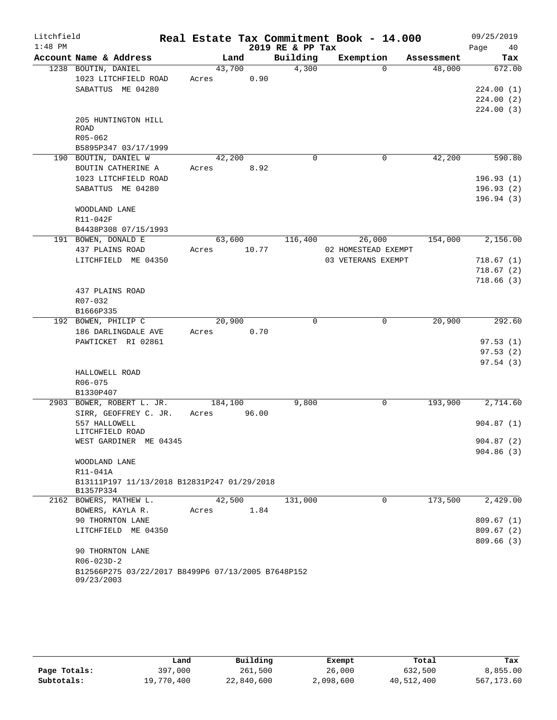| Litchfield |                                                                  |             |      |        |                  | Real Estate Tax Commitment Book - 14.000 |            |      | 09/25/2019             |
|------------|------------------------------------------------------------------|-------------|------|--------|------------------|------------------------------------------|------------|------|------------------------|
| $1:48$ PM  |                                                                  |             |      |        | 2019 RE & PP Tax |                                          |            | Page | 40                     |
|            | Account Name & Address                                           |             | Land |        | Building         | Exemption                                | Assessment |      | Tax                    |
|            | 1238 BOUTIN, DANIEL                                              | 43,700      |      |        | 4,300            | $\Omega$                                 | 48,000     |      | 672.00                 |
|            | 1023 LITCHFIELD ROAD                                             | Acres       |      | 0.90   |                  |                                          |            |      |                        |
|            | SABATTUS ME 04280                                                |             |      |        |                  |                                          |            |      | 224.00(1)              |
|            |                                                                  |             |      |        |                  |                                          |            |      | 224.00(2)<br>224.00(3) |
|            | 205 HUNTINGTON HILL                                              |             |      |        |                  |                                          |            |      |                        |
|            | <b>ROAD</b>                                                      |             |      |        |                  |                                          |            |      |                        |
|            | R05-062                                                          |             |      |        |                  |                                          |            |      |                        |
|            | B5895P347 03/17/1999                                             |             |      |        |                  |                                          |            |      |                        |
|            | 190 BOUTIN, DANIEL W                                             | 42,200      |      |        | $\Omega$         | 0                                        | 42,200     |      | 590.80                 |
|            | BOUTIN CATHERINE A                                               | Acres       |      | 8.92   |                  |                                          |            |      |                        |
|            | 1023 LITCHFIELD ROAD                                             |             |      |        |                  |                                          |            |      | 196.93(1)              |
|            | SABATTUS ME 04280                                                |             |      |        |                  |                                          |            |      | 196.93(2)              |
|            |                                                                  |             |      |        |                  |                                          |            |      | 196.94(3)              |
|            | WOODLAND LANE<br>R11-042F                                        |             |      |        |                  |                                          |            |      |                        |
|            | B4438P308 07/15/1993                                             |             |      |        |                  |                                          |            |      |                        |
|            | 191 BOWEN, DONALD E                                              |             |      | 63,600 | 116,400          | 26,000                                   | 154,000    |      | 2,156.00               |
|            | 437 PLAINS ROAD                                                  | Acres       |      | 10.77  |                  | 02 HOMESTEAD EXEMPT                      |            |      |                        |
|            | LITCHFIELD ME 04350                                              |             |      |        |                  | 03 VETERANS EXEMPT                       |            |      | 718.67(1)              |
|            |                                                                  |             |      |        |                  |                                          |            |      | 718.67(2)              |
|            |                                                                  |             |      |        |                  |                                          |            |      | 718.66(3)              |
|            | 437 PLAINS ROAD                                                  |             |      |        |                  |                                          |            |      |                        |
|            | R07-032                                                          |             |      |        |                  |                                          |            |      |                        |
|            | B1666P335                                                        |             |      |        |                  |                                          |            |      |                        |
|            | 192 BOWEN, PHILIP C                                              | 20,900      |      | 0.70   | $\Omega$         | 0                                        | 20,900     |      | 292.60                 |
|            | 186 DARLINGDALE AVE<br>PAWTICKET RI 02861                        | Acres       |      |        |                  |                                          |            |      | 97.53(1)               |
|            |                                                                  |             |      |        |                  |                                          |            |      | 97.53(2)               |
|            |                                                                  |             |      |        |                  |                                          |            |      | 97.54(3)               |
|            | HALLOWELL ROAD                                                   |             |      |        |                  |                                          |            |      |                        |
|            | R06-075                                                          |             |      |        |                  |                                          |            |      |                        |
|            | B1330P407                                                        |             |      |        |                  |                                          |            |      |                        |
|            | 2903 BOWER, ROBERT L. JR.                                        | 184,100     |      |        | 9,800            | 0                                        | 193,900    |      | 2,714.60               |
|            | SIRR, GEOFFREY C. JR.                                            | Acres 96.00 |      |        |                  |                                          |            |      |                        |
|            | 557 HALLOWELL                                                    |             |      |        |                  |                                          |            |      | 904.87(1)              |
|            | LITCHFIELD ROAD<br>WEST GARDINER ME 04345                        |             |      |        |                  |                                          |            |      | 904.87(2)              |
|            |                                                                  |             |      |        |                  |                                          |            |      | 904.86(3)              |
|            | WOODLAND LANE                                                    |             |      |        |                  |                                          |            |      |                        |
|            | R11-041A                                                         |             |      |        |                  |                                          |            |      |                        |
|            | B13111P197 11/13/2018 B12831P247 01/29/2018<br>B1357P334         |             |      |        |                  |                                          |            |      |                        |
|            | 2162 BOWERS, MATHEW L.                                           | 42,500      |      |        | 131,000          | $\Omega$                                 | 173,500    |      | 2,429.00               |
|            | BOWERS, KAYLA R.                                                 | Acres       |      | 1.84   |                  |                                          |            |      |                        |
|            | 90 THORNTON LANE                                                 |             |      |        |                  |                                          |            |      | 809.67(1)              |
|            | LITCHFIELD ME 04350                                              |             |      |        |                  |                                          |            |      | 809.67(2)              |
|            |                                                                  |             |      |        |                  |                                          |            |      | 809.66(3)              |
|            | 90 THORNTON LANE                                                 |             |      |        |                  |                                          |            |      |                        |
|            | R06-023D-2                                                       |             |      |        |                  |                                          |            |      |                        |
|            | B12566P275 03/22/2017 B8499P6 07/13/2005 B7648P152<br>09/23/2003 |             |      |        |                  |                                          |            |      |                        |
|            |                                                                  |             |      |        |                  |                                          |            |      |                        |

|              | Land       | Building   | Exempt    | Total      | Tax        |
|--------------|------------|------------|-----------|------------|------------|
| Page Totals: | 397,000    | 261,500    | 26,000    | 632,500    | 8,855.00   |
| Subtotals:   | 19,770,400 | 22,840,600 | 2,098,600 | 40,512,400 | 567,173.60 |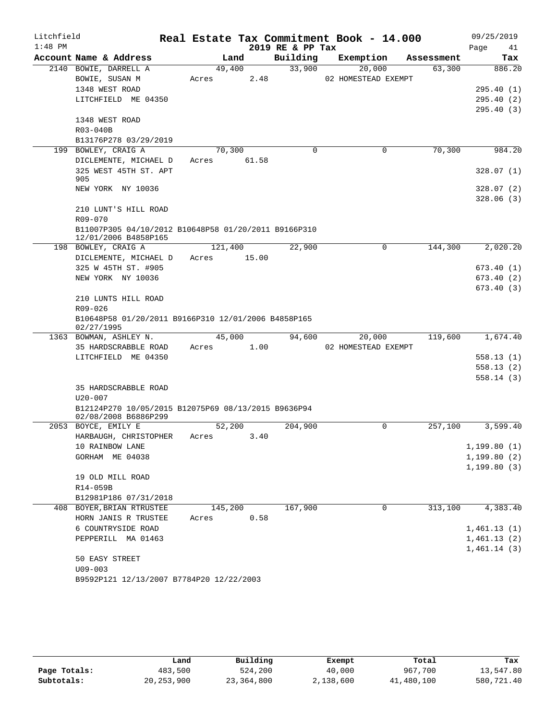| Litchfield |                                                                              |       |         |       |                  | Real Estate Tax Commitment Book - 14.000 |            |      | 09/25/2019   |
|------------|------------------------------------------------------------------------------|-------|---------|-------|------------------|------------------------------------------|------------|------|--------------|
| $1:48$ PM  |                                                                              |       |         |       | 2019 RE & PP Tax |                                          |            | Page | 41           |
|            | Account Name & Address                                                       |       | Land    |       | Building         | Exemption                                | Assessment |      | Tax          |
|            | 2140 BOWIE, DARRELL A                                                        |       | 49,400  |       | 33,900           | 20,000                                   | 63,300     |      | 886.20       |
|            | BOWIE, SUSAN M                                                               | Acres |         | 2.48  |                  | 02 HOMESTEAD EXEMPT                      |            |      |              |
|            | 1348 WEST ROAD                                                               |       |         |       |                  |                                          |            |      | 295.40(1)    |
|            | LITCHFIELD ME 04350                                                          |       |         |       |                  |                                          |            |      | 295.40(2)    |
|            | 1348 WEST ROAD                                                               |       |         |       |                  |                                          |            |      | 295.40(3)    |
|            | R03-040B                                                                     |       |         |       |                  |                                          |            |      |              |
|            | B13176P278 03/29/2019                                                        |       |         |       |                  |                                          |            |      |              |
|            | 199 BOWLEY, CRAIG A                                                          |       | 70,300  |       | $\Omega$         | $\mathbf 0$                              | 70,300     |      | 984.20       |
|            | DICLEMENTE, MICHAEL D                                                        | Acres |         | 61.58 |                  |                                          |            |      |              |
|            | 325 WEST 45TH ST. APT                                                        |       |         |       |                  |                                          |            |      | 328.07(1)    |
|            | 905                                                                          |       |         |       |                  |                                          |            |      |              |
|            | NEW YORK NY 10036                                                            |       |         |       |                  |                                          |            |      | 328.07(2)    |
|            |                                                                              |       |         |       |                  |                                          |            |      | 328.06(3)    |
|            | 210 LUNT'S HILL ROAD                                                         |       |         |       |                  |                                          |            |      |              |
|            | R09-070                                                                      |       |         |       |                  |                                          |            |      |              |
|            | B11007P305 04/10/2012 B10648P58 01/20/2011 B9166P310<br>12/01/2006 B4858P165 |       |         |       |                  |                                          |            |      |              |
|            | 198 BOWLEY, CRAIG A                                                          |       | 121,400 |       | 22,900           | 0                                        | 144,300    |      | 2,020.20     |
|            | DICLEMENTE, MICHAEL D                                                        | Acres |         | 15.00 |                  |                                          |            |      |              |
|            | 325 W 45TH ST. #905                                                          |       |         |       |                  |                                          |            |      | 673.40(1)    |
|            | NEW YORK NY 10036                                                            |       |         |       |                  |                                          |            |      | 673.40(2)    |
|            |                                                                              |       |         |       |                  |                                          |            |      | 673.40(3)    |
|            | 210 LUNTS HILL ROAD                                                          |       |         |       |                  |                                          |            |      |              |
|            | R09-026                                                                      |       |         |       |                  |                                          |            |      |              |
|            | B10648P58 01/20/2011 B9166P310 12/01/2006 B4858P165<br>02/27/1995            |       |         |       |                  |                                          |            |      |              |
|            | 1363 BOWMAN, ASHLEY N.                                                       |       | 45,000  |       | 94,600           | 20,000                                   | 119,600    |      | 1,674.40     |
|            | 35 HARDSCRABBLE ROAD                                                         | Acres |         | 1.00  |                  | 02 HOMESTEAD EXEMPT                      |            |      |              |
|            | LITCHFIELD ME 04350                                                          |       |         |       |                  |                                          |            |      | 558.13(1)    |
|            |                                                                              |       |         |       |                  |                                          |            |      | 558.13(2)    |
|            |                                                                              |       |         |       |                  |                                          |            |      | 558.14(3)    |
|            | 35 HARDSCRABBLE ROAD                                                         |       |         |       |                  |                                          |            |      |              |
|            | $U20 - 007$<br>B12124P270 10/05/2015 B12075P69 08/13/2015 B9636P94           |       |         |       |                  |                                          |            |      |              |
|            | 02/08/2008 B6886P299                                                         |       |         |       |                  |                                          |            |      |              |
|            | 2053 BOYCE, EMILY E                                                          |       | 52,200  |       | 204,900          | 0                                        | 257,100    |      | 3,599.40     |
|            | HARBAUGH, CHRISTOPHER                                                        | Acres |         | 3.40  |                  |                                          |            |      |              |
|            | 10 RAINBOW LANE                                                              |       |         |       |                  |                                          |            |      | 1,199.80(1)  |
|            | GORHAM ME 04038                                                              |       |         |       |                  |                                          |            |      | 1, 199.80(2) |
|            |                                                                              |       |         |       |                  |                                          |            |      | 1, 199.80(3) |
|            | 19 OLD MILL ROAD                                                             |       |         |       |                  |                                          |            |      |              |
|            | R14-059B                                                                     |       |         |       |                  |                                          |            |      |              |
|            | B12981P186 07/31/2018                                                        |       |         |       |                  |                                          |            |      |              |
|            | 408 BOYER, BRIAN RTRUSTEE                                                    |       | 145,200 |       | 167,900          | 0                                        | 313,100    |      | 4,383.40     |
|            | HORN JANIS R TRUSTEE                                                         | Acres |         | 0.58  |                  |                                          |            |      |              |
|            | 6 COUNTRYSIDE ROAD                                                           |       |         |       |                  |                                          |            |      | 1,461.13(1)  |
|            | PEPPERILL MA 01463                                                           |       |         |       |                  |                                          |            |      | 1,461.13(2)  |
|            |                                                                              |       |         |       |                  |                                          |            |      | 1,461.14(3)  |
|            | 50 EASY STREET                                                               |       |         |       |                  |                                          |            |      |              |
|            | $U09 - 003$                                                                  |       |         |       |                  |                                          |            |      |              |
|            | B9592P121 12/13/2007 B7784P20 12/22/2003                                     |       |         |       |                  |                                          |            |      |              |

|              | Land         | Building     | Exempt    | Total      | Tax        |
|--------------|--------------|--------------|-----------|------------|------------|
| Page Totals: | 483,500      | 524,200      | 40,000    | 967,700    | 13,547.80  |
| Subtotals:   | 20, 253, 900 | 23, 364, 800 | 2,138,600 | 41,480,100 | 580,721.40 |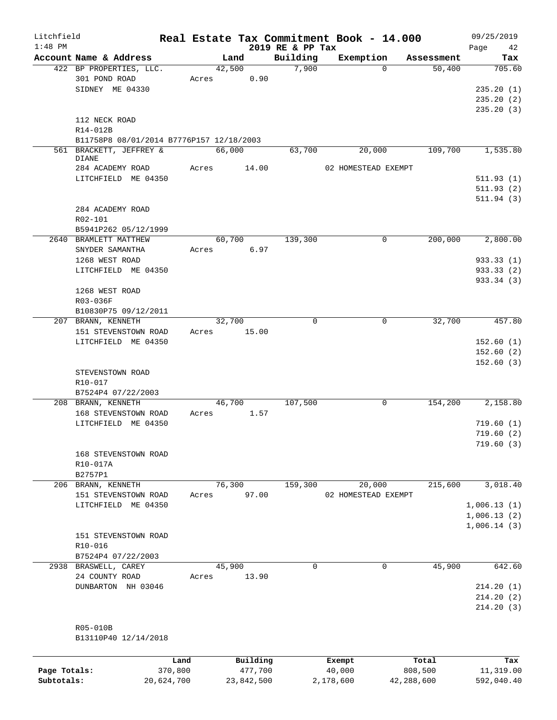| Litchfield<br>$1:48$ PM |                                          |       |             |                              | Real Estate Tax Commitment Book - 14.000 |            | 09/25/2019        |
|-------------------------|------------------------------------------|-------|-------------|------------------------------|------------------------------------------|------------|-------------------|
|                         | Account Name & Address                   |       | Land        | 2019 RE & PP Tax<br>Building | Exemption                                | Assessment | Page<br>42<br>Tax |
|                         | 422 BP PROPERTIES, LLC.                  |       | 42,500      | 7,900                        | $\Omega$                                 | 50,400     | 705.60            |
|                         | 301 POND ROAD                            | Acres | 0.90        |                              |                                          |            |                   |
|                         | SIDNEY ME 04330                          |       |             |                              |                                          |            | 235.20(1)         |
|                         |                                          |       |             |                              |                                          |            | 235.20(2)         |
|                         |                                          |       |             |                              |                                          |            | 235.20(3)         |
|                         | 112 NECK ROAD                            |       |             |                              |                                          |            |                   |
|                         | R14-012B                                 |       |             |                              |                                          |            |                   |
|                         | B11758P8 08/01/2014 B7776P157 12/18/2003 |       |             |                              |                                          |            |                   |
|                         | 561 BRACKETT, JEFFREY &                  |       | 66,000      | 63,700                       | 20,000                                   | 109,700    | 1,535.80          |
|                         | <b>DIANE</b>                             |       |             |                              |                                          |            |                   |
|                         | 284 ACADEMY ROAD                         | Acres | 14.00       |                              | 02 HOMESTEAD EXEMPT                      |            |                   |
|                         | LITCHFIELD ME 04350                      |       |             |                              |                                          |            | 511.93(1)         |
|                         |                                          |       |             |                              |                                          |            | 511.93(2)         |
|                         |                                          |       |             |                              |                                          |            | 511.94(3)         |
|                         | 284 ACADEMY ROAD                         |       |             |                              |                                          |            |                   |
|                         | R02-101                                  |       |             |                              |                                          |            |                   |
|                         | B5941P262 05/12/1999                     |       |             |                              |                                          |            |                   |
|                         | 2640 BRAMLETT MATTHEW                    |       | 60,700      | 139,300                      | 0                                        | 200,000    | 2,800.00          |
|                         | SNYDER SAMANTHA                          | Acres | 6.97        |                              |                                          |            |                   |
|                         | 1268 WEST ROAD                           |       |             |                              |                                          |            | 933.33(1)         |
|                         | LITCHFIELD ME 04350                      |       |             |                              |                                          |            | 933.33 (2)        |
|                         |                                          |       |             |                              |                                          |            | 933.34 (3)        |
|                         | 1268 WEST ROAD                           |       |             |                              |                                          |            |                   |
|                         | R03-036F                                 |       |             |                              |                                          |            |                   |
|                         | B10830P75 09/12/2011                     |       |             |                              |                                          |            |                   |
|                         | 207 BRANN, KENNETH                       |       | 32,700      | $\Omega$                     | $\mathbf 0$                              | 32,700     | 457.80            |
|                         | 151 STEVENSTOWN ROAD                     |       | Acres 15.00 |                              |                                          |            |                   |
|                         | LITCHFIELD ME 04350                      |       |             |                              |                                          |            | 152.60(1)         |
|                         |                                          |       |             |                              |                                          |            | 152.60(2)         |
|                         |                                          |       |             |                              |                                          |            | 152.60(3)         |
|                         | STEVENSTOWN ROAD                         |       |             |                              |                                          |            |                   |
|                         | R10-017                                  |       |             |                              |                                          |            |                   |
|                         | B7524P4 07/22/2003                       |       |             |                              |                                          |            |                   |
|                         | 208 BRANN, KENNETH                       |       | 46,700      | 107,500                      | $\mathbf 0$                              | 154,200    | 2,158.80          |
|                         | 168 STEVENSTOWN ROAD                     | Acres | 1.57        |                              |                                          |            |                   |
|                         | LITCHFIELD ME 04350                      |       |             |                              |                                          |            | 719.60(1)         |
|                         |                                          |       |             |                              |                                          |            | 719.60(2)         |
|                         |                                          |       |             |                              |                                          |            | 719.60(3)         |
|                         | 168 STEVENSTOWN ROAD                     |       |             |                              |                                          |            |                   |
|                         | R10-017A                                 |       |             |                              |                                          |            |                   |
|                         | B2757P1                                  |       |             |                              |                                          |            |                   |
|                         | 206 BRANN, KENNETH                       |       | 76,300      | 159,300                      | 20,000                                   | 215,600    | 3,018.40          |
|                         | 151 STEVENSTOWN ROAD                     | Acres | 97.00       |                              | 02 HOMESTEAD EXEMPT                      |            |                   |
|                         | LITCHFIELD ME 04350                      |       |             |                              |                                          |            | 1,006.13(1)       |
|                         |                                          |       |             |                              |                                          |            | 1,006.13(2)       |
|                         |                                          |       |             |                              |                                          |            | 1,006.14(3)       |
|                         | 151 STEVENSTOWN ROAD                     |       |             |                              |                                          |            |                   |
|                         | $R10 - 016$                              |       |             |                              |                                          |            |                   |
|                         | B7524P4 07/22/2003                       |       |             |                              |                                          |            |                   |
|                         | 2938 BRASWELL, CAREY                     |       | 45,900      | $\Omega$                     | 0                                        | 45,900     | 642.60            |
|                         | 24 COUNTY ROAD                           | Acres | 13.90       |                              |                                          |            |                   |
|                         | DUNBARTON NH 03046                       |       |             |                              |                                          |            | 214.20(1)         |
|                         |                                          |       |             |                              |                                          |            | 214.20(2)         |
|                         |                                          |       |             |                              |                                          |            | 214.20(3)         |
|                         |                                          |       |             |                              |                                          |            |                   |
|                         | R05-010B                                 |       |             |                              |                                          |            |                   |
|                         | B13110P40 12/14/2018                     |       |             |                              |                                          |            |                   |
|                         |                                          |       |             |                              |                                          |            |                   |
|                         |                                          | Land  | Building    |                              | Exempt                                   | Total      | Tax               |
| Page Totals:            | 370,800                                  |       | 477,700     |                              | 40,000                                   | 808,500    | 11,319.00         |
|                         |                                          |       |             |                              |                                          |            |                   |

**Subtotals:** 20,624,700 23,842,500 2,178,600 42,288,600 592,040.40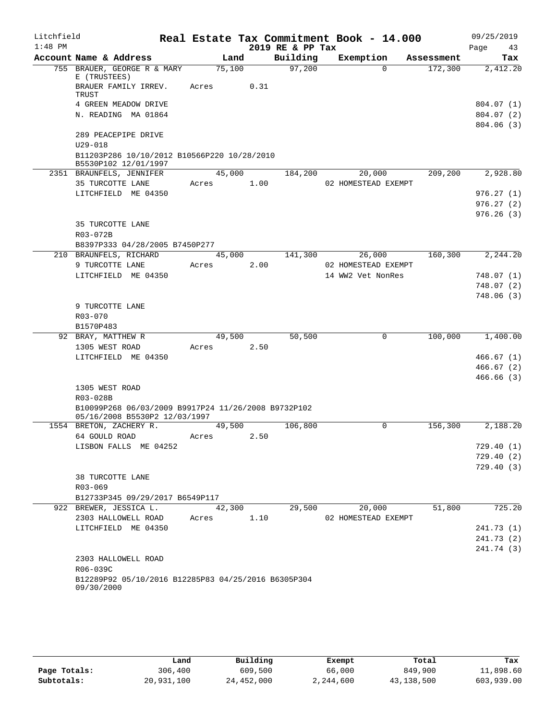| Litchfield |                                                                                      |            |        |                  | Real Estate Tax Commitment Book - 14.000 |            | 09/25/2019             |
|------------|--------------------------------------------------------------------------------------|------------|--------|------------------|------------------------------------------|------------|------------------------|
| $1:48$ PM  |                                                                                      |            |        | 2019 RE & PP Tax |                                          |            | Page<br>43             |
|            | Account Name & Address                                                               | Land       |        | Building         | Exemption                                | Assessment | Tax                    |
|            | 755 BRAUER, GEORGE R & MARY<br>E (TRUSTEES)                                          | 75,100     |        | 97,200           | $\Omega$                                 | 172,300    | 2,412.20               |
|            | BRAUER FAMILY IRREV.<br>TRUST                                                        | Acres      | 0.31   |                  |                                          |            |                        |
|            | 4 GREEN MEADOW DRIVE                                                                 |            |        |                  |                                          |            | 804.07(1)              |
|            | N. READING MA 01864                                                                  |            |        |                  |                                          |            | 804.07(2)              |
|            |                                                                                      |            |        |                  |                                          |            | 804.06(3)              |
|            | 289 PEACEPIPE DRIVE                                                                  |            |        |                  |                                          |            |                        |
|            | $U29 - 018$                                                                          |            |        |                  |                                          |            |                        |
|            | B11203P286 10/10/2012 B10566P220 10/28/2010<br>B5530P102 12/01/1997                  |            |        |                  |                                          |            |                        |
|            | 2351 BRAUNFELS, JENNIFER                                                             |            |        | 45,000 184,200   | 20,000                                   | 209,200    | 2,928.80               |
|            | 35 TURCOTTE LANE                                                                     | Acres 1.00 |        |                  | 02 HOMESTEAD EXEMPT                      |            |                        |
|            | LITCHFIELD ME 04350                                                                  |            |        |                  |                                          |            | 976.27(1)              |
|            |                                                                                      |            |        |                  |                                          |            | 976.27(2)              |
|            |                                                                                      |            |        |                  |                                          |            | 976.26(3)              |
|            | 35 TURCOTTE LANE                                                                     |            |        |                  |                                          |            |                        |
|            | R03-072B                                                                             |            |        |                  |                                          |            |                        |
|            | B8397P333 04/28/2005 B7450P277                                                       |            |        |                  |                                          |            |                        |
|            | 210 BRAUNFELS, RICHARD                                                               |            | 45,000 |                  | 141,300 26,000                           |            | 160,300 2,244.20       |
|            | 9 TURCOTTE LANE                                                                      | Acres 2.00 |        |                  | 02 HOMESTEAD EXEMPT                      |            |                        |
|            | LITCHFIELD ME 04350                                                                  |            |        |                  | 14 WW2 Vet NonRes                        |            | 748.07(1)              |
|            |                                                                                      |            |        |                  |                                          |            | 748.07(2)              |
|            |                                                                                      |            |        |                  |                                          |            | 748.06(3)              |
|            | 9 TURCOTTE LANE<br>R03-070                                                           |            |        |                  |                                          |            |                        |
|            | B1570P483                                                                            |            |        |                  |                                          |            |                        |
|            | 92 BRAY, MATTHEW R                                                                   | 49,500     |        | 50,500           | 0                                        | 100,000    | 1,400.00               |
|            | 1305 WEST ROAD                                                                       | Acres 2.50 |        |                  |                                          |            |                        |
|            | LITCHFIELD ME 04350                                                                  |            |        |                  |                                          |            | 466.67(1)              |
|            |                                                                                      |            |        |                  |                                          |            | 466.67(2)              |
|            |                                                                                      |            |        |                  |                                          |            | 466.66(3)              |
|            | 1305 WEST ROAD                                                                       |            |        |                  |                                          |            |                        |
|            | R03-028B                                                                             |            |        |                  |                                          |            |                        |
|            | B10099P268 06/03/2009 B9917P24 11/26/2008 B9732P102<br>05/16/2008 B5530P2 12/03/1997 |            |        |                  |                                          |            |                        |
|            | 1554 BRETON, ZACHERY R.                                                              | 49,500     |        | 106,800          | 0                                        | 156,300    | 2,188.20               |
|            | 64 GOULD ROAD                                                                        | Acres      | 2.50   |                  |                                          |            |                        |
|            | LISBON FALLS ME 04252                                                                |            |        |                  |                                          |            | 729.40 (1)             |
|            |                                                                                      |            |        |                  |                                          |            | 729.40(2)<br>729.40(3) |
|            | 38 TURCOTTE LANE                                                                     |            |        |                  |                                          |            |                        |
|            | R03-069                                                                              |            |        |                  |                                          |            |                        |
|            | B12733P345 09/29/2017 B6549P117                                                      |            |        |                  |                                          |            |                        |
|            | 922 BREWER, JESSICA L.                                                               | 42,300     |        | 29,500           | 20,000                                   | 51,800     | 725.20                 |
|            | 2303 HALLOWELL ROAD                                                                  | Acres      | 1.10   |                  | 02 HOMESTEAD EXEMPT                      |            |                        |
|            | LITCHFIELD ME 04350                                                                  |            |        |                  |                                          |            | 241.73 (1)             |
|            |                                                                                      |            |        |                  |                                          |            | 241.73 (2)             |
|            |                                                                                      |            |        |                  |                                          |            | 241.74 (3)             |
|            | 2303 HALLOWELL ROAD                                                                  |            |        |                  |                                          |            |                        |
|            | R06-039C                                                                             |            |        |                  |                                          |            |                        |
|            | B12289P92 05/10/2016 B12285P83 04/25/2016 B6305P304<br>09/30/2000                    |            |        |                  |                                          |            |                        |
|            |                                                                                      |            |        |                  |                                          |            |                        |

|              | Land       | Building   | Exempt    | Total      | Tax        |
|--------------|------------|------------|-----------|------------|------------|
| Page Totals: | 306,400    | 609,500    | 66,000    | 849,900    | 11,898.60  |
| Subtotals:   | 20,931,100 | 24,452,000 | 2,244,600 | 43,138,500 | 603,939.00 |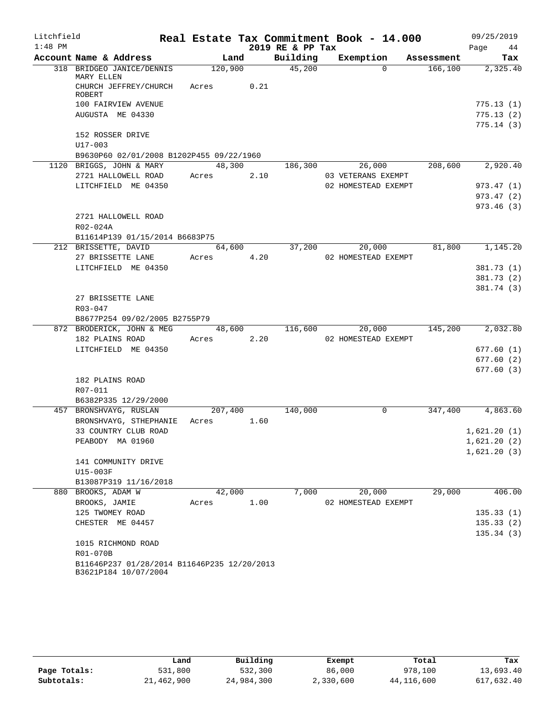| Litchfield |                                                                     |            |        |                  | Real Estate Tax Commitment Book - 14.000 |            | 09/25/2019               |
|------------|---------------------------------------------------------------------|------------|--------|------------------|------------------------------------------|------------|--------------------------|
| $1:48$ PM  |                                                                     |            |        | 2019 RE & PP Tax |                                          |            | Page 44                  |
|            | Account Name & Address                                              |            | Land   | Building         | Exemption                                | Assessment | Tax                      |
|            | 318 BRIDGEO JANICE/DENNIS<br>MARY ELLEN                             | 120,900    |        | 45,200           | $\Omega$                                 | 166, 100   | 2,325.40                 |
|            | CHURCH JEFFREY/CHURCH Acres<br><b>ROBERT</b>                        |            | 0.21   |                  |                                          |            |                          |
|            | 100 FAIRVIEW AVENUE                                                 |            |        |                  |                                          |            | 775.13 (1)               |
|            | AUGUSTA ME 04330                                                    |            |        |                  |                                          |            | 775.13(2)                |
|            | 152 ROSSER DRIVE<br>U17-003                                         |            |        |                  |                                          |            | 775.14(3)                |
|            | B9630P60 02/01/2008 B1202P455 09/22/1960                            |            |        |                  |                                          |            |                          |
|            | 1120 BRIGGS, JOHN & MARY                                            |            | 48,300 | 186,300          | 26,000                                   | 208,600    | 2,920.40                 |
|            | 2721 HALLOWELL ROAD                                                 | Acres      | 2.10   |                  | 03 VETERANS EXEMPT                       |            |                          |
|            | LITCHFIELD ME 04350                                                 |            |        |                  | 02 HOMESTEAD EXEMPT                      |            | 973.47 (1)               |
|            |                                                                     |            |        |                  |                                          |            | 973.47 (2)               |
|            |                                                                     |            |        |                  |                                          |            | 973.46(3)                |
|            | 2721 HALLOWELL ROAD                                                 |            |        |                  |                                          |            |                          |
|            | R02-024A                                                            |            |        |                  |                                          |            |                          |
|            | B11614P139 01/15/2014 B6683P75                                      |            |        |                  |                                          |            |                          |
|            | 212 BRISSETTE, DAVID                                                |            | 64,600 | 37,200           | 20,000                                   | 81,800     | 1,145.20                 |
|            | 27 BRISSETTE LANE                                                   | Acres      | 4.20   |                  | 02 HOMESTEAD EXEMPT                      |            |                          |
|            | LITCHFIELD ME 04350                                                 |            |        |                  |                                          |            | 381.73(1)                |
|            |                                                                     |            |        |                  |                                          |            | 381.73 (2)<br>381.74 (3) |
|            | 27 BRISSETTE LANE                                                   |            |        |                  |                                          |            |                          |
|            | R03-047                                                             |            |        |                  |                                          |            |                          |
|            | B8677P254 09/02/2005 B2755P79                                       |            |        |                  |                                          |            |                          |
|            | 872 BRODERICK, JOHN & MEG                                           |            | 48,600 | 116,600          | 20,000                                   | 145,200    | 2,032.80                 |
|            | 182 PLAINS ROAD                                                     | Acres 2.20 |        |                  | 02 HOMESTEAD EXEMPT                      |            |                          |
|            | LITCHFIELD ME 04350                                                 |            |        |                  |                                          |            | 677.60(1)                |
|            |                                                                     |            |        |                  |                                          |            | 677.60(2)                |
|            |                                                                     |            |        |                  |                                          |            | 677.60(3)                |
|            | 182 PLAINS ROAD                                                     |            |        |                  |                                          |            |                          |
|            | R07-011                                                             |            |        |                  |                                          |            |                          |
|            | B6382P335 12/29/2000                                                |            |        |                  |                                          |            |                          |
|            | 457 BRONSHVAYG, RUSLAN                                              | 207,400    |        | 140,000          | 0                                        | 347,400    | 4,863.60                 |
|            | BRONSHVAYG, STHEPHANIE                                              | Acres 1.60 |        |                  |                                          |            |                          |
|            | 33 COUNTRY CLUB ROAD                                                |            |        |                  |                                          |            | 1,621.20(1)              |
|            | PEABODY MA 01960                                                    |            |        |                  |                                          |            | 1,621.20(2)              |
|            |                                                                     |            |        |                  |                                          |            | 1,621.20(3)              |
|            | 141 COMMUNITY DRIVE<br>U15-003F                                     |            |        |                  |                                          |            |                          |
|            | B13087P319 11/16/2018                                               |            |        |                  |                                          |            |                          |
|            | 880 BROOKS, ADAM W                                                  | 42,000     |        | 7,000            | 20,000                                   | 29,000     | 406.00                   |
|            | BROOKS, JAMIE                                                       | Acres      | 1.00   |                  | 02 HOMESTEAD EXEMPT                      |            |                          |
|            | 125 TWOMEY ROAD                                                     |            |        |                  |                                          |            | 135.33(1)                |
|            | CHESTER ME 04457                                                    |            |        |                  |                                          |            | 135.33(2)                |
|            |                                                                     |            |        |                  |                                          |            | 135.34(3)                |
|            | 1015 RICHMOND ROAD                                                  |            |        |                  |                                          |            |                          |
|            | R01-070B                                                            |            |        |                  |                                          |            |                          |
|            | B11646P237 01/28/2014 B11646P235 12/20/2013<br>B3621P184 10/07/2004 |            |        |                  |                                          |            |                          |

|              | Land       | Building   | Exempt    | Total        | Tax        |
|--------------|------------|------------|-----------|--------------|------------|
| Page Totals: | 531,800    | 532,300    | 86,000    | 978,100      | 13,693.40  |
| Subtotals:   | 21,462,900 | 24,984,300 | 2,330,600 | 44, 116, 600 | 617,632.40 |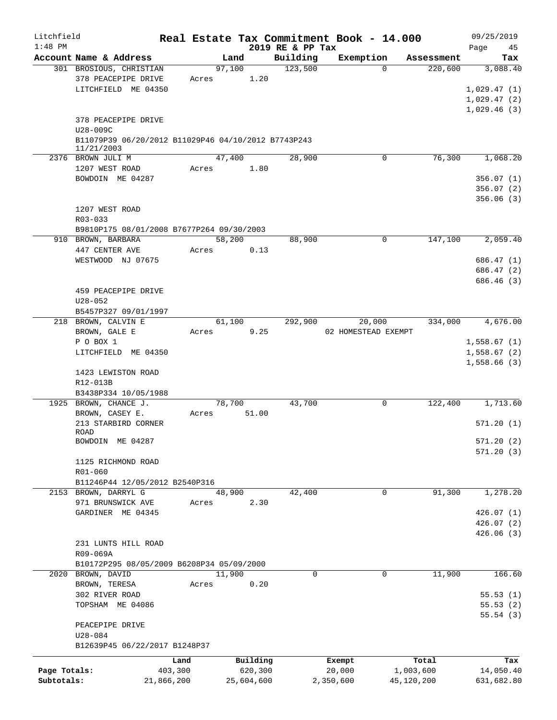| Litchfield<br>$1:48$ PM |                                                                   |                 |        |                     | 2019 RE & PP Tax | Real Estate Tax Commitment Book - 14.000 |                    | 09/25/2019<br>45<br>Page   |
|-------------------------|-------------------------------------------------------------------|-----------------|--------|---------------------|------------------|------------------------------------------|--------------------|----------------------------|
|                         | Account Name & Address                                            |                 | Land   |                     | Building         | Exemption                                | Assessment         | Tax                        |
|                         | 301 BROSIOUS, CHRISTIAN                                           |                 | 97,100 |                     | 123,500          |                                          | $\Omega$           | 220,600<br>3,088.40        |
|                         | 378 PEACEPIPE DRIVE<br>LITCHFIELD ME 04350                        |                 | Acres  | 1.20                |                  |                                          |                    | 1,029.47(1)                |
|                         |                                                                   |                 |        |                     |                  |                                          |                    | 1,029.47(2)<br>1,029.46(3) |
|                         | 378 PEACEPIPE DRIVE<br>U28-009C                                   |                 |        |                     |                  |                                          |                    |                            |
|                         | B11079P39 06/20/2012 B11029P46 04/10/2012 B7743P243<br>11/21/2003 |                 |        |                     |                  |                                          |                    |                            |
|                         | 2376 BROWN JULI M<br>1207 WEST ROAD                               | Acres           | 47,400 | 1.80                | 28,900           |                                          | 0                  | 76,300<br>1,068.20         |
|                         | BOWDOIN ME 04287                                                  |                 |        |                     |                  |                                          |                    | 356.07(1)                  |
|                         |                                                                   |                 |        |                     |                  |                                          |                    | 356.07(2)<br>356.06(3)     |
|                         | 1207 WEST ROAD<br>$R03 - 033$                                     |                 |        |                     |                  |                                          |                    |                            |
|                         | B9810P175 08/01/2008 B7677P264 09/30/2003                         |                 |        |                     |                  |                                          |                    |                            |
|                         | 910 BROWN, BARBARA                                                |                 | 58,200 |                     | 88,900           |                                          | $\mathbf 0$        | 147,100<br>2,059.40        |
|                         | 447 CENTER AVE<br>WESTWOOD NJ 07675                               | Acres           |        | 0.13                |                  |                                          |                    | 686.47(1)                  |
|                         |                                                                   |                 |        |                     |                  |                                          |                    | 686.47 (2)<br>686.46 (3)   |
|                         | 459 PEACEPIPE DRIVE                                               |                 |        |                     |                  |                                          |                    |                            |
|                         | $U28 - 052$                                                       |                 |        |                     |                  |                                          |                    |                            |
|                         | B5457P327 09/01/1997<br>218 BROWN, CALVIN E                       |                 | 61,100 |                     | 292,900          | 20,000                                   |                    | 334,000<br>4,676.00        |
|                         | BROWN, GALE E                                                     | Acres           |        | 9.25                |                  | 02 HOMESTEAD EXEMPT                      |                    |                            |
|                         | P O BOX 1                                                         |                 |        |                     |                  |                                          |                    | 1,558.67(1)                |
|                         | LITCHFIELD ME 04350                                               |                 |        |                     |                  |                                          |                    | 1,558.67(2)<br>1,558.66(3) |
|                         | 1423 LEWISTON ROAD<br>R12-013B<br>B3438P334 10/05/1988            |                 |        |                     |                  |                                          |                    |                            |
|                         | 1925 BROWN, CHANCE J.                                             |                 | 78,700 |                     | 43,700           |                                          | 0                  | 122,400<br>1,713.60        |
|                         | BROWN, CASEY E.<br>213 STARBIRD CORNER                            | Acres           |        | 51.00               |                  |                                          |                    | 571.20 (1)                 |
|                         | ROAD                                                              |                 |        |                     |                  |                                          |                    |                            |
|                         | BOWDOIN ME 04287                                                  |                 |        |                     |                  |                                          |                    | 571.20(2)<br>571.20(3)     |
|                         | 1125 RICHMOND ROAD<br>R01-060                                     |                 |        |                     |                  |                                          |                    |                            |
|                         | B11246P44 12/05/2012 B2540P316                                    |                 |        |                     |                  |                                          |                    |                            |
| 2153                    | BROWN, DARRYL G                                                   |                 | 48,900 |                     | 42,400           |                                          | $\mathbf 0$        | 91,300<br>1,278.20         |
|                         | 971 BRUNSWICK AVE<br>GARDINER ME 04345                            | Acres           |        | 2.30                |                  |                                          |                    | 426.07(1)                  |
|                         |                                                                   |                 |        |                     |                  |                                          |                    | 426.07(2)                  |
|                         |                                                                   |                 |        |                     |                  |                                          |                    | 426.06(3)                  |
|                         | 231 LUNTS HILL ROAD                                               |                 |        |                     |                  |                                          |                    |                            |
|                         | R09-069A<br>B10172P295 08/05/2009 B6208P34 05/09/2000             |                 |        |                     |                  |                                          |                    |                            |
|                         | 2020 BROWN, DAVID                                                 |                 | 11,900 |                     | $\mathbf 0$      |                                          | $\mathbf 0$        | 11,900<br>166.60           |
|                         | BROWN, TERESA                                                     | Acres           |        | 0.20                |                  |                                          |                    |                            |
|                         | 302 RIVER ROAD                                                    |                 |        |                     |                  |                                          |                    | 55.53(1)                   |
|                         | TOPSHAM ME 04086                                                  |                 |        |                     |                  |                                          |                    | 55.53(2)<br>55.54(3)       |
|                         | PEACEPIPE DRIVE                                                   |                 |        |                     |                  |                                          |                    |                            |
|                         | U28-084                                                           |                 |        |                     |                  |                                          |                    |                            |
|                         | B12639P45 06/22/2017 B1248P37                                     |                 |        |                     |                  |                                          |                    |                            |
| Page Totals:            |                                                                   | Land<br>403,300 |        | Building<br>620,300 |                  | Exempt<br>20,000                         | Total<br>1,003,600 | Tax<br>14,050.40           |
| Subtotals:              |                                                                   | 21,866,200      |        | 25,604,600          |                  | 2,350,600                                | 45,120,200         | 631,682.80                 |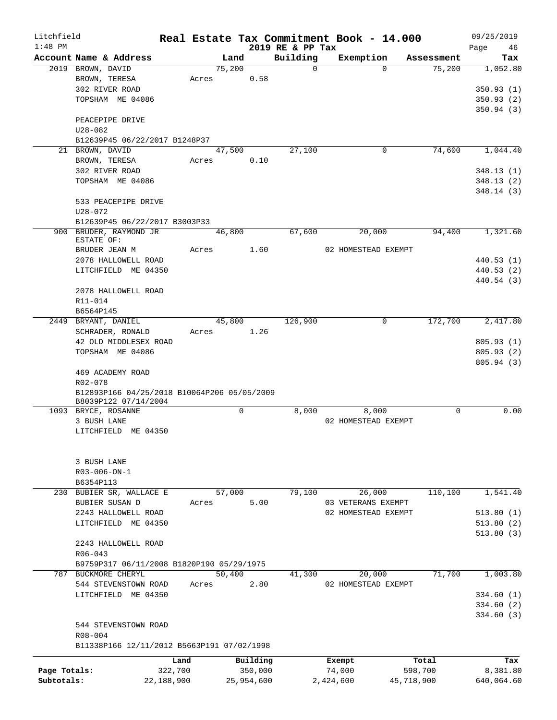| Litchfield   |                                             |            |                |            |                      | Real Estate Tax Commitment Book - 14.000 |                      | 09/25/2019      |
|--------------|---------------------------------------------|------------|----------------|------------|----------------------|------------------------------------------|----------------------|-----------------|
| $1:48$ PM    |                                             |            |                |            | 2019 RE & PP Tax     |                                          |                      | Page<br>46      |
|              | Account Name & Address<br>2019 BROWN, DAVID |            | Land<br>75,200 |            | Building<br>$\Omega$ | Exemption<br>$\Omega$                    | Assessment<br>75,200 | Tax<br>1,052.80 |
|              | BROWN, TERESA                               |            |                | 0.58       |                      |                                          |                      |                 |
|              | 302 RIVER ROAD                              | Acres      |                |            |                      |                                          |                      |                 |
|              |                                             |            |                |            |                      |                                          |                      | 350.93(1)       |
|              | TOPSHAM ME 04086                            |            |                |            |                      |                                          |                      | 350.93(2)       |
|              |                                             |            |                |            |                      |                                          |                      | 350.94(3)       |
|              | PEACEPIPE DRIVE                             |            |                |            |                      |                                          |                      |                 |
|              | U28-082                                     |            |                |            |                      |                                          |                      |                 |
|              | B12639P45 06/22/2017 B1248P37               |            |                |            |                      |                                          |                      |                 |
|              | 21 BROWN, DAVID                             |            | 47,500         |            | 27,100               | 0                                        | 74,600               | 1,044.40        |
|              | BROWN, TERESA                               | Acres      |                | 0.10       |                      |                                          |                      |                 |
|              | 302 RIVER ROAD                              |            |                |            |                      |                                          |                      | 348.13 (1)      |
|              | TOPSHAM ME 04086                            |            |                |            |                      |                                          |                      | 348.13(2)       |
|              |                                             |            |                |            |                      |                                          |                      | 348.14 (3)      |
|              | 533 PEACEPIPE DRIVE                         |            |                |            |                      |                                          |                      |                 |
|              | U28-072                                     |            |                |            |                      |                                          |                      |                 |
|              | B12639P45 06/22/2017 B3003P33               |            |                |            |                      |                                          |                      |                 |
|              | 900 BRUDER, RAYMOND JR                      |            | 46,800         |            | 67,600               | 20,000                                   | 94,400               | 1,321.60        |
|              | ESTATE OF:                                  |            |                |            |                      |                                          |                      |                 |
|              | BRUDER JEAN M                               | Acres      |                | 1.60       |                      | 02 HOMESTEAD EXEMPT                      |                      |                 |
|              | 2078 HALLOWELL ROAD                         |            |                |            |                      |                                          |                      | 440.53(1)       |
|              | LITCHFIELD ME 04350                         |            |                |            |                      |                                          |                      | 440.53 (2)      |
|              |                                             |            |                |            |                      |                                          |                      | 440.54 (3)      |
|              | 2078 HALLOWELL ROAD                         |            |                |            |                      |                                          |                      |                 |
|              | R11-014                                     |            |                |            |                      |                                          |                      |                 |
|              |                                             |            |                |            |                      |                                          |                      |                 |
|              | B6564P145                                   |            |                |            |                      |                                          |                      |                 |
|              | 2449 BRYANT, DANIEL                         |            | 45,800         |            | 126,900              | 0                                        | 172,700              | 2,417.80        |
|              | SCHRADER, RONALD                            | Acres      |                | 1.26       |                      |                                          |                      |                 |
|              | 42 OLD MIDDLESEX ROAD                       |            |                |            |                      |                                          |                      | 805.93(1)       |
|              | TOPSHAM ME 04086                            |            |                |            |                      |                                          |                      | 805.93(2)       |
|              |                                             |            |                |            |                      |                                          |                      | 805.94 (3)      |
|              | 469 ACADEMY ROAD                            |            |                |            |                      |                                          |                      |                 |
|              | R02-078                                     |            |                |            |                      |                                          |                      |                 |
|              | B12893P166 04/25/2018 B10064P206 05/05/2009 |            |                |            |                      |                                          |                      |                 |
|              | B8039P122 07/14/2004                        |            |                |            |                      |                                          |                      |                 |
|              | 1093 BRYCE, ROSANNE                         |            |                | 0          | 8,000                | 8,000                                    | 0                    | 0.00            |
|              | 3 BUSH LANE                                 |            |                |            |                      | 02 HOMESTEAD EXEMPT                      |                      |                 |
|              | LITCHFIELD ME 04350                         |            |                |            |                      |                                          |                      |                 |
|              |                                             |            |                |            |                      |                                          |                      |                 |
|              |                                             |            |                |            |                      |                                          |                      |                 |
|              | 3 BUSH LANE                                 |            |                |            |                      |                                          |                      |                 |
|              | R03-006-ON-1                                |            |                |            |                      |                                          |                      |                 |
|              | B6354P113                                   |            |                |            |                      |                                          |                      |                 |
|              | 230 BUBIER SR, WALLACE E                    |            | 57,000         |            | 79,100               | 26,000                                   | 110,100              | 1,541.40        |
|              | BUBIER SUSAN D                              | Acres      |                | 5.00       |                      | 03 VETERANS EXEMPT                       |                      |                 |
|              | 2243 HALLOWELL ROAD                         |            |                |            |                      | 02 HOMESTEAD EXEMPT                      |                      | 513.80(1)       |
|              | LITCHFIELD ME 04350                         |            |                |            |                      |                                          |                      | 513.80(2)       |
|              |                                             |            |                |            |                      |                                          |                      | 513.80(3)       |
|              | 2243 HALLOWELL ROAD                         |            |                |            |                      |                                          |                      |                 |
|              | $R06 - 043$                                 |            |                |            |                      |                                          |                      |                 |
|              |                                             |            |                |            |                      |                                          |                      |                 |
|              | B9759P317 06/11/2008 B1820P190 05/29/1975   |            |                |            |                      |                                          |                      |                 |
|              | 787 BUCKMORE CHERYL                         |            | 50,400         |            | 41,300               | 20,000                                   | 71,700               | 1,003.80        |
|              | 544 STEVENSTOWN ROAD                        | Acres      |                | 2.80       |                      | 02 HOMESTEAD EXEMPT                      |                      |                 |
|              | LITCHFIELD ME 04350                         |            |                |            |                      |                                          |                      | 334.60(1)       |
|              |                                             |            |                |            |                      |                                          |                      | 334.60(2)       |
|              |                                             |            |                |            |                      |                                          |                      | 334.60(3)       |
|              | 544 STEVENSTOWN ROAD                        |            |                |            |                      |                                          |                      |                 |
|              | R08-004                                     |            |                |            |                      |                                          |                      |                 |
|              | B11338P166 12/11/2012 B5663P191 07/02/1998  |            |                |            |                      |                                          |                      |                 |
|              |                                             | Land       |                | Building   |                      |                                          | Total                |                 |
|              |                                             |            |                |            |                      | Exempt                                   |                      | Tax             |
| Page Totals: |                                             | 322,700    |                | 350,000    |                      | 74,000                                   | 598,700              | 8,381.80        |
| Subtotals:   |                                             | 22,188,900 |                | 25,954,600 |                      | 2,424,600                                | 45,718,900           | 640,064.60      |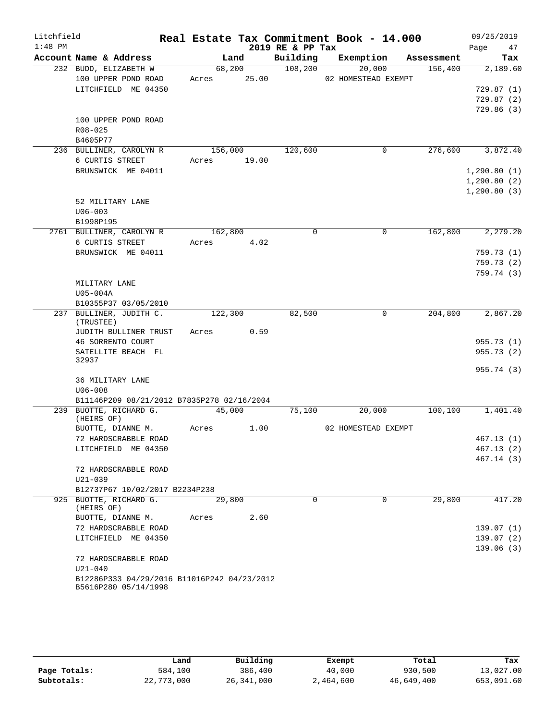| Litchfield |                                                                     |                       |       |                  | Real Estate Tax Commitment Book - 14.000 |            | 09/25/2019                                   |
|------------|---------------------------------------------------------------------|-----------------------|-------|------------------|------------------------------------------|------------|----------------------------------------------|
| $1:48$ PM  |                                                                     |                       |       | 2019 RE & PP Tax |                                          |            | 47<br>Page                                   |
|            | Account Name & Address                                              | Land                  |       | Building         | Exemption                                | Assessment | Tax                                          |
|            | 232 BUDD, ELIZABETH W<br>100 UPPER POND ROAD<br>LITCHFIELD ME 04350 | 68,200<br>Acres 25.00 |       | 108,200          | 20,000<br>02 HOMESTEAD EXEMPT            | 156,400    | 2,189.60<br>729.87(1)                        |
|            |                                                                     |                       |       |                  |                                          |            | 729.87(2)<br>729.86(3)                       |
|            | 100 UPPER POND ROAD<br>$R08 - 025$<br>B4605P77                      |                       |       |                  |                                          |            |                                              |
|            | 236 BULLINER, CAROLYN R<br>6 CURTIS STREET                          | 156,000<br>Acres      | 19.00 | 120,600          | 0                                        | 276,600    | 3,872.40                                     |
|            | BRUNSWICK ME 04011                                                  |                       |       |                  |                                          |            | 1, 290.80(1)<br>1, 290.80(2)<br>1, 290.80(3) |
|            | 52 MILITARY LANE<br>$U06 - 003$<br>B1998P195                        |                       |       |                  |                                          |            |                                              |
|            | 2761 BULLINER, CAROLYN R                                            | 162,800               |       | $\Omega$         | $\Omega$                                 | 162,800    | 2,279.20                                     |
|            | 6 CURTIS STREET                                                     | Acres                 | 4.02  |                  |                                          |            |                                              |
|            | BRUNSWICK ME 04011                                                  |                       |       |                  |                                          |            | 759.73(1)<br>759.73 (2)                      |
|            |                                                                     |                       |       |                  |                                          |            | 759.74(3)                                    |
|            | MILITARY LANE                                                       |                       |       |                  |                                          |            |                                              |
|            | U05-004A                                                            |                       |       |                  |                                          |            |                                              |
|            | B10355P37 03/05/2010                                                |                       |       |                  |                                          |            |                                              |
|            | 237 BULLINER, JUDITH C.<br>(TRUSTEE)                                | 122,300               |       | 82,500           | 0                                        | 204,800    | 2,867.20                                     |
|            | JUDITH BULLINER TRUST<br>46 SORRENTO COURT                          | Acres                 | 0.59  |                  |                                          |            | 955.73 (1)                                   |
|            | SATELLITE BEACH FL                                                  |                       |       |                  |                                          |            | 955.73(2)                                    |
|            | 32937                                                               |                       |       |                  |                                          |            | 955.74 (3)                                   |
|            | 36 MILITARY LANE<br>$U06 - 008$                                     |                       |       |                  |                                          |            |                                              |
|            | B11146P209 08/21/2012 B7835P278 02/16/2004                          |                       |       |                  |                                          |            |                                              |
|            | 239 BUOTTE, RICHARD G.<br>(HEIRS OF)                                | 45,000                |       | 75,100           | 20,000                                   | 100, 100   | 1,401.40                                     |
|            | BUOTTE, DIANNE M.                                                   | Acres                 | 1.00  |                  | 02 HOMESTEAD EXEMPT                      |            |                                              |
|            | 72 HARDSCRABBLE ROAD<br>LITCHFIELD ME 04350                         |                       |       |                  |                                          |            | 467.13(1)<br>467.13 (2)                      |
|            |                                                                     |                       |       |                  |                                          |            | 467.14 (3)                                   |
|            | 72 HARDSCRABBLE ROAD<br>$U21 - 039$                                 |                       |       |                  |                                          |            |                                              |
|            | B12737P67 10/02/2017 B2234P238                                      |                       |       |                  |                                          |            |                                              |
|            | 925 BUOTTE, RICHARD G.<br>(HEIRS OF)                                | 29,800                |       | $\Omega$         | $\Omega$                                 | 29,800     | 417.20                                       |
|            | BUOTTE, DIANNE M.                                                   | Acres                 | 2.60  |                  |                                          |            |                                              |
|            | 72 HARDSCRABBLE ROAD<br>LITCHFIELD ME 04350                         |                       |       |                  |                                          |            | 139.07(1)<br>139.07(2)                       |
|            |                                                                     |                       |       |                  |                                          |            | 139.06(3)                                    |
|            | 72 HARDSCRABBLE ROAD<br>$U21 - 040$                                 |                       |       |                  |                                          |            |                                              |
|            | B12286P333 04/29/2016 B11016P242 04/23/2012<br>B5616P280 05/14/1998 |                       |       |                  |                                          |            |                                              |

|              | Land       | Building   | Exempt    | Total      | Tax        |
|--------------|------------|------------|-----------|------------|------------|
| Page Totals: | 584,100    | 386,400    | 40,000    | 930,500    | 13,027.00  |
| Subtotals:   | 22,773,000 | 26,341,000 | 2,464,600 | 46,649,400 | 653,091.60 |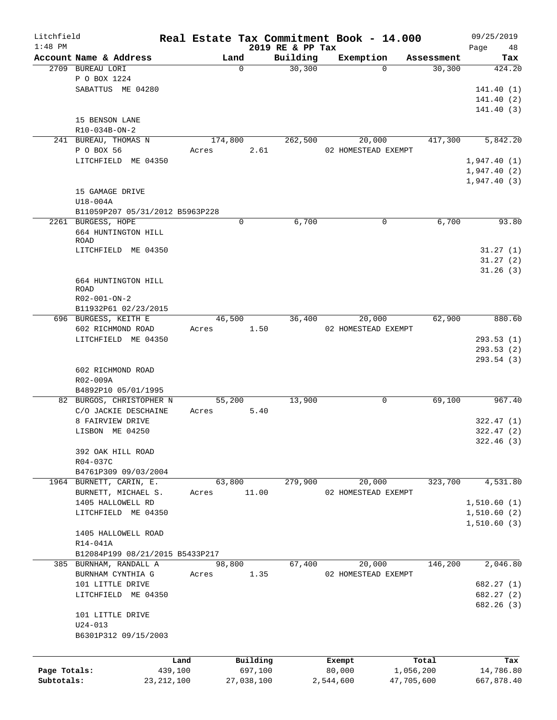| Litchfield   |                                 |              |       |          |            | Real Estate Tax Commitment Book - 14.000 |                     |          |            |             | 09/25/2019 |
|--------------|---------------------------------|--------------|-------|----------|------------|------------------------------------------|---------------------|----------|------------|-------------|------------|
| $1:48$ PM    | Account Name & Address          |              |       | Land     |            | 2019 RE & PP Tax<br>Building             | Exemption           |          | Assessment | Page        | 48<br>Tax  |
|              | 2709 BUREAU LORI                |              |       | $\Omega$ |            | 30,300                                   |                     | $\Omega$ | 30,300     |             | 424.20     |
|              | P O BOX 1224                    |              |       |          |            |                                          |                     |          |            |             |            |
|              | SABATTUS ME 04280               |              |       |          |            |                                          |                     |          |            |             | 141.40(1)  |
|              |                                 |              |       |          |            |                                          |                     |          |            |             | 141.40 (2) |
|              |                                 |              |       |          |            |                                          |                     |          |            |             | 141.40(3)  |
|              | 15 BENSON LANE                  |              |       |          |            |                                          |                     |          |            |             |            |
|              | R10-034B-ON-2                   |              |       |          |            |                                          |                     |          |            |             |            |
|              | 241 BUREAU, THOMAS N            |              |       | 174,800  |            | 262,500                                  |                     | 20,000   | 417,300    |             | 5,842.20   |
|              | P O BOX 56                      |              | Acres |          | 2.61       |                                          | 02 HOMESTEAD EXEMPT |          |            |             |            |
|              | LITCHFIELD ME 04350             |              |       |          |            |                                          |                     |          |            | 1,947.40(1) |            |
|              |                                 |              |       |          |            |                                          |                     |          |            | 1,947.40(2) |            |
|              |                                 |              |       |          |            |                                          |                     |          |            | 1,947.40(3) |            |
|              | 15 GAMAGE DRIVE                 |              |       |          |            |                                          |                     |          |            |             |            |
|              | U18-004A                        |              |       |          |            |                                          |                     |          |            |             |            |
|              | B11059P207 05/31/2012 B5963P228 |              |       |          |            |                                          |                     |          |            |             |            |
|              | 2261 BURGESS, HOPE              |              |       | 0        |            | 6,700                                    |                     | 0        | 6,700      |             | 93.80      |
|              | 664 HUNTINGTON HILL             |              |       |          |            |                                          |                     |          |            |             |            |
|              | ROAD                            |              |       |          |            |                                          |                     |          |            |             |            |
|              | LITCHFIELD ME 04350             |              |       |          |            |                                          |                     |          |            |             | 31.27(1)   |
|              |                                 |              |       |          |            |                                          |                     |          |            |             | 31.27(2)   |
|              |                                 |              |       |          |            |                                          |                     |          |            |             | 31.26(3)   |
|              | 664 HUNTINGTON HILL<br>ROAD     |              |       |          |            |                                          |                     |          |            |             |            |
|              | R02-001-ON-2                    |              |       |          |            |                                          |                     |          |            |             |            |
|              | B11932P61 02/23/2015            |              |       |          |            |                                          |                     |          |            |             |            |
|              | 696 BURGESS, KEITH E            |              |       | 46,500   |            | 36,400                                   |                     | 20,000   | 62,900     |             | 880.60     |
|              | 602 RICHMOND ROAD               |              | Acres |          | 1.50       |                                          | 02 HOMESTEAD EXEMPT |          |            |             |            |
|              | LITCHFIELD ME 04350             |              |       |          |            |                                          |                     |          |            |             | 293.53(1)  |
|              |                                 |              |       |          |            |                                          |                     |          |            |             | 293.53 (2) |
|              |                                 |              |       |          |            |                                          |                     |          |            |             | 293.54 (3) |
|              | 602 RICHMOND ROAD               |              |       |          |            |                                          |                     |          |            |             |            |
|              | R02-009A                        |              |       |          |            |                                          |                     |          |            |             |            |
|              | B4892P10 05/01/1995             |              |       |          |            |                                          |                     |          |            |             |            |
|              | 82 BURGOS, CHRISTOPHER N        |              |       | 55,200   |            | 13,900                                   |                     | 0        | 69,100     |             | 967.40     |
|              | C/O JACKIE DESCHAINE            |              | Acres |          | 5.40       |                                          |                     |          |            |             |            |
|              | 8 FAIRVIEW DRIVE                |              |       |          |            |                                          |                     |          |            |             | 322.47(1)  |
|              | LISBON ME 04250                 |              |       |          |            |                                          |                     |          |            |             | 322.47(2)  |
|              |                                 |              |       |          |            |                                          |                     |          |            |             | 322.46 (3) |
|              | 392 OAK HILL ROAD               |              |       |          |            |                                          |                     |          |            |             |            |
|              | R04-037C                        |              |       |          |            |                                          |                     |          |            |             |            |
|              | B4761P309 09/03/2004            |              |       |          |            |                                          |                     |          |            |             |            |
|              | 1964 BURNETT, CARIN, E.         |              |       | 63,800   |            | 279,900                                  |                     | 20,000   | 323,700    |             | 4,531.80   |
|              | BURNETT, MICHAEL S.             |              | Acres |          | 11.00      |                                          | 02 HOMESTEAD EXEMPT |          |            |             |            |
|              | 1405 HALLOWELL RD               |              |       |          |            |                                          |                     |          |            | 1,510.60(1) |            |
|              | LITCHFIELD ME 04350             |              |       |          |            |                                          |                     |          |            | 1,510.60(2) |            |
|              |                                 |              |       |          |            |                                          |                     |          |            | 1,510.60(3) |            |
|              | 1405 HALLOWELL ROAD             |              |       |          |            |                                          |                     |          |            |             |            |
|              | R14-041A                        |              |       |          |            |                                          |                     |          |            |             |            |
|              | B12084P199 08/21/2015 B5433P217 |              |       |          |            |                                          |                     |          |            |             |            |
|              | 385 BURNHAM, RANDALL A          |              |       | 98,800   |            | 67,400                                   |                     | 20,000   | 146,200    |             | 2,046.80   |
|              | BURNHAM CYNTHIA G               |              | Acres |          | 1.35       |                                          | 02 HOMESTEAD EXEMPT |          |            |             |            |
|              | 101 LITTLE DRIVE                |              |       |          |            |                                          |                     |          |            |             | 682.27 (1) |
|              | LITCHFIELD ME 04350             |              |       |          |            |                                          |                     |          |            |             | 682.27 (2) |
|              |                                 |              |       |          |            |                                          |                     |          |            |             | 682.26 (3) |
|              | 101 LITTLE DRIVE                |              |       |          |            |                                          |                     |          |            |             |            |
|              | U24-013                         |              |       |          |            |                                          |                     |          |            |             |            |
|              | B6301P312 09/15/2003            |              |       |          |            |                                          |                     |          |            |             |            |
|              |                                 |              |       |          |            |                                          |                     |          |            |             |            |
|              |                                 | Land         |       |          | Building   |                                          | Exempt              |          | Total      |             | Tax        |
| Page Totals: |                                 | 439,100      |       |          | 697,100    |                                          | 80,000              |          | 1,056,200  |             | 14,786.80  |
| Subtotals:   |                                 | 23, 212, 100 |       |          | 27,038,100 |                                          | 2,544,600           |          | 47,705,600 |             | 667,878.40 |
|              |                                 |              |       |          |            |                                          |                     |          |            |             |            |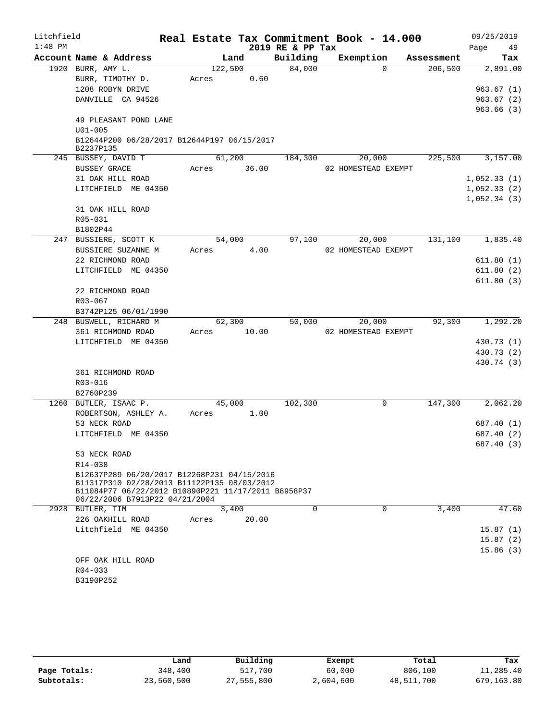| Litchfield |             |                                                                                       |         |       | Real Estate Tax Commitment Book - 14.000 |                     |          |            | 09/25/2019  |
|------------|-------------|---------------------------------------------------------------------------------------|---------|-------|------------------------------------------|---------------------|----------|------------|-------------|
| $1:48$ PM  |             |                                                                                       |         |       | 2019 RE & PP Tax                         |                     |          |            | 49<br>Page  |
|            |             | Account Name & Address                                                                |         | Land  | Building                                 | Exemption           |          | Assessment | Tax         |
|            |             | 1920 BURR, AMY L.                                                                     | 122,500 |       | 84,000                                   |                     | $\Omega$ | 206,500    | 2,891.00    |
|            |             | BURR, TIMOTHY D.                                                                      | Acres   | 0.60  |                                          |                     |          |            |             |
|            |             | 1208 ROBYN DRIVE                                                                      |         |       |                                          |                     |          |            | 963.67(1)   |
|            |             | DANVILLE CA 94526                                                                     |         |       |                                          |                     |          |            | 963.67(2)   |
|            |             |                                                                                       |         |       |                                          |                     |          |            | 963.66(3)   |
|            |             | 49 PLEASANT POND LANE                                                                 |         |       |                                          |                     |          |            |             |
|            | $U01 - 005$ |                                                                                       |         |       |                                          |                     |          |            |             |
|            | B2237P135   | B12644P200 06/28/2017 B12644P197 06/15/2017                                           |         |       |                                          |                     |          |            |             |
|            |             | 245 BUSSEY, DAVID T                                                                   | 61,200  |       | 184,300                                  |                     | 20,000   | 225,500    | 3,157.00    |
|            |             | <b>BUSSEY GRACE</b>                                                                   | Acres   | 36.00 |                                          | 02 HOMESTEAD EXEMPT |          |            |             |
|            |             | 31 OAK HILL ROAD                                                                      |         |       |                                          |                     |          |            | 1,052.33(1) |
|            |             | LITCHFIELD ME 04350                                                                   |         |       |                                          |                     |          |            | 1,052.33(2) |
|            |             |                                                                                       |         |       |                                          |                     |          |            | 1,052.34(3) |
|            |             | 31 OAK HILL ROAD                                                                      |         |       |                                          |                     |          |            |             |
|            | R05-031     |                                                                                       |         |       |                                          |                     |          |            |             |
|            | B1802P44    |                                                                                       |         |       |                                          |                     |          |            |             |
|            |             | 247 BUSSIERE, SCOTT K                                                                 | 54,000  |       | 97,100                                   |                     | 20,000   | 131,100    | 1,835.40    |
|            |             | BUSSIERE SUZANNE M                                                                    | Acres   | 4.00  |                                          | 02 HOMESTEAD EXEMPT |          |            |             |
|            |             | 22 RICHMOND ROAD                                                                      |         |       |                                          |                     |          |            | 611.80(1)   |
|            |             | LITCHFIELD ME 04350                                                                   |         |       |                                          |                     |          |            | 611.80(2)   |
|            |             |                                                                                       |         |       |                                          |                     |          |            | 611.80(3)   |
|            |             | 22 RICHMOND ROAD                                                                      |         |       |                                          |                     |          |            |             |
|            | R03-067     |                                                                                       |         |       |                                          |                     |          |            |             |
|            |             | B3742P125 06/01/1990                                                                  |         |       |                                          |                     |          |            |             |
|            |             | 248 BUSWELL, RICHARD M                                                                | 62,300  |       | 50,000                                   |                     | 20,000   | 92,300     | 1,292.20    |
|            |             | 361 RICHMOND ROAD                                                                     | Acres   | 10.00 |                                          | 02 HOMESTEAD EXEMPT |          |            |             |
|            |             | LITCHFIELD ME 04350                                                                   |         |       |                                          |                     |          |            | 430.73 (1)  |
|            |             |                                                                                       |         |       |                                          |                     |          |            | 430.73 (2)  |
|            |             |                                                                                       |         |       |                                          |                     |          |            | 430.74 (3)  |
|            |             | 361 RICHMOND ROAD                                                                     |         |       |                                          |                     |          |            |             |
|            | R03-016     |                                                                                       |         |       |                                          |                     |          |            |             |
|            | B2760P239   |                                                                                       |         |       |                                          |                     |          |            |             |
|            |             | 1260 BUTLER, ISAAC P.                                                                 | 45,000  |       | 102,300                                  |                     | 0        | 147,300    | 2,062.20    |
|            |             | ROBERTSON, ASHLEY A.                                                                  | Acres   | 1.00  |                                          |                     |          |            |             |
|            |             | 53 NECK ROAD                                                                          |         |       |                                          |                     |          |            | 687.40 (1)  |
|            |             | LITCHFIELD ME 04350                                                                   |         |       |                                          |                     |          |            | 687.40 (2)  |
|            |             |                                                                                       |         |       |                                          |                     |          |            | 687.40 (3)  |
|            |             | 53 NECK ROAD                                                                          |         |       |                                          |                     |          |            |             |
|            | R14-038     |                                                                                       |         |       |                                          |                     |          |            |             |
|            |             | B12637P289 06/20/2017 B12268P231 04/15/2016                                           |         |       |                                          |                     |          |            |             |
|            |             | B11317P310 02/28/2013 B11122P135 08/03/2012                                           |         |       |                                          |                     |          |            |             |
|            |             | B11084P77 06/22/2012 B10890P221 11/17/2011 B8958P37<br>06/22/2006 B7913P22 04/21/2004 |         |       |                                          |                     |          |            |             |
|            |             | 2928 BUTLER, TIM                                                                      | 3,400   |       | 0                                        |                     | 0        | 3,400      | 47.60       |
|            |             | 226 OAKHILL ROAD                                                                      | Acres   | 20.00 |                                          |                     |          |            |             |
|            |             | Litchfield ME 04350                                                                   |         |       |                                          |                     |          |            | 15.87(1)    |
|            |             |                                                                                       |         |       |                                          |                     |          |            | 15.87(2)    |
|            |             |                                                                                       |         |       |                                          |                     |          |            | 15.86(3)    |
|            |             | OFF OAK HILL ROAD                                                                     |         |       |                                          |                     |          |            |             |
|            | $R04 - 033$ |                                                                                       |         |       |                                          |                     |          |            |             |
|            | B3190P252   |                                                                                       |         |       |                                          |                     |          |            |             |

|              | Land       | Building   | Exempt    | Total      | Tax        |
|--------------|------------|------------|-----------|------------|------------|
| Page Totals: | 348,400    | 517,700    | 60,000    | 806,100    | 11,285.40  |
| Subtotals:   | 23,560,500 | 27,555,800 | 2,604,600 | 48,511,700 | 679,163.80 |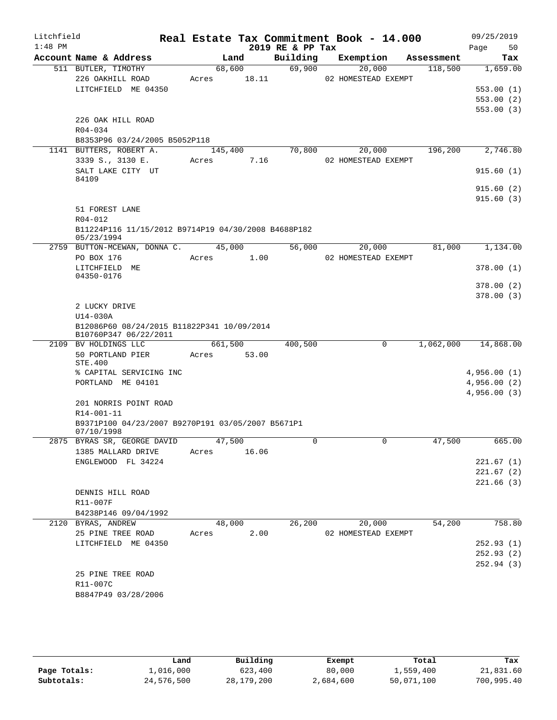| Litchfield<br>$1:48$ PM |                                                                     |                  |                 | 2019 RE & PP Tax | Real Estate Tax Commitment Book - 14.000 |   |            | 09/25/2019<br>50<br>Page |
|-------------------------|---------------------------------------------------------------------|------------------|-----------------|------------------|------------------------------------------|---|------------|--------------------------|
|                         | Account Name & Address                                              |                  | Land            | Building         | Exemption                                |   | Assessment | Tax                      |
|                         | 511 BUTLER, TIMOTHY<br>226 OAKHILL ROAD                             | Acres            | 68,600<br>18.11 | 69,900           | 20,000<br>02 HOMESTEAD EXEMPT            |   | 118,500    | 1,659.00                 |
|                         | LITCHFIELD ME 04350                                                 |                  |                 |                  |                                          |   |            | 553.00(1)                |
|                         |                                                                     |                  |                 |                  |                                          |   |            | 553.00(2)                |
|                         |                                                                     |                  |                 |                  |                                          |   |            | 553.00(3)                |
|                         | 226 OAK HILL ROAD                                                   |                  |                 |                  |                                          |   |            |                          |
|                         | R04-034                                                             |                  |                 |                  |                                          |   |            |                          |
|                         | B8353P96 03/24/2005 B5052P118<br>1141 BUTTERS, ROBERT A.            |                  |                 | 70,800           | 20,000                                   |   | 196,200    | 2,746.80                 |
|                         | 3339 S., 3130 E.                                                    | 145,400<br>Acres | 7.16            |                  | 02 HOMESTEAD EXEMPT                      |   |            |                          |
|                         | SALT LAKE CITY UT                                                   |                  |                 |                  |                                          |   |            | 915.60(1)                |
|                         | 84109                                                               |                  |                 |                  |                                          |   |            |                          |
|                         |                                                                     |                  |                 |                  |                                          |   |            | 915.60(2)                |
|                         |                                                                     |                  |                 |                  |                                          |   |            | 915.60(3)                |
|                         | 51 FOREST LANE<br>R04-012                                           |                  |                 |                  |                                          |   |            |                          |
|                         | B11224P116 11/15/2012 B9714P19 04/30/2008 B4688P182                 |                  |                 |                  |                                          |   |            |                          |
|                         | 05/23/1994                                                          |                  |                 |                  |                                          |   |            |                          |
|                         | 2759 BUTTON-MCEWAN, DONNA C.                                        |                  | 45,000          | 56,000           | 20,000                                   |   | 81,000     | 1,134.00                 |
|                         | PO BOX 176                                                          | Acres            | 1.00            |                  | 02 HOMESTEAD EXEMPT                      |   |            |                          |
|                         | LITCHFIELD ME                                                       |                  |                 |                  |                                          |   |            | 378.00 (1)               |
|                         | 04350-0176                                                          |                  |                 |                  |                                          |   |            | 378.00(2)                |
|                         |                                                                     |                  |                 |                  |                                          |   |            | 378.00(3)                |
|                         | 2 LUCKY DRIVE                                                       |                  |                 |                  |                                          |   |            |                          |
|                         | U14-030A                                                            |                  |                 |                  |                                          |   |            |                          |
|                         | B12086P60 08/24/2015 B11822P341 10/09/2014<br>B10760P347 06/22/2011 |                  |                 |                  |                                          |   |            |                          |
|                         | 2109 BV HOLDINGS LLC                                                | 661,500          |                 | 400,500          |                                          | 0 | 1,062,000  | 14,868.00                |
|                         | 50 PORTLAND PIER<br>STE.400                                         | Acres            | 53.00           |                  |                                          |   |            |                          |
|                         | % CAPITAL SERVICING INC                                             |                  |                 |                  |                                          |   |            | 4,956.00(1)              |
|                         | PORTLAND ME 04101                                                   |                  |                 |                  |                                          |   |            | 4,956.00(2)              |
|                         |                                                                     |                  |                 |                  |                                          |   |            | 4,956.00(3)              |
|                         | 201 NORRIS POINT ROAD                                               |                  |                 |                  |                                          |   |            |                          |
|                         | R14-001-11                                                          |                  |                 |                  |                                          |   |            |                          |
|                         | B9371P100 04/23/2007 B9270P191 03/05/2007 B5671P1<br>07/10/1998     |                  |                 |                  |                                          |   |            |                          |
|                         | 2875 BYRAS SR, GEORGE DAVID 47,500                                  |                  |                 | $\mathbf 0$      |                                          |   | 47,500     | 665.00                   |
|                         | 1385 MALLARD DRIVE                                                  | Acres            | 16.06           |                  |                                          |   |            |                          |
|                         | ENGLEWOOD FL 34224                                                  |                  |                 |                  |                                          |   |            | 221.67(1)                |
|                         |                                                                     |                  |                 |                  |                                          |   |            | 221.67(2)                |
|                         |                                                                     |                  |                 |                  |                                          |   |            | 221.66(3)                |
|                         | DENNIS HILL ROAD<br>R11-007F                                        |                  |                 |                  |                                          |   |            |                          |
|                         | B4238P146 09/04/1992                                                |                  |                 |                  |                                          |   |            |                          |
|                         | 2120 BYRAS, ANDREW                                                  |                  | 48,000          | 26,200           | 20,000                                   |   | 54,200     | 758.80                   |
|                         | 25 PINE TREE ROAD                                                   | Acres            | 2.00            |                  | 02 HOMESTEAD EXEMPT                      |   |            |                          |
|                         | LITCHFIELD ME 04350                                                 |                  |                 |                  |                                          |   |            | 252.93(1)                |
|                         |                                                                     |                  |                 |                  |                                          |   |            | 252.93(2)                |
|                         |                                                                     |                  |                 |                  |                                          |   |            | 252.94(3)                |
|                         | 25 PINE TREE ROAD                                                   |                  |                 |                  |                                          |   |            |                          |
|                         | R11-007C                                                            |                  |                 |                  |                                          |   |            |                          |
|                         | B8847P49 03/28/2006                                                 |                  |                 |                  |                                          |   |            |                          |
|                         |                                                                     |                  |                 |                  |                                          |   |            |                          |

|              | Land       | Building     | Exempt    | Total      | Tax        |
|--------------|------------|--------------|-----------|------------|------------|
| Page Totals: | l,016,000  | 623,400      | 80,000    | 1,559,400  | 21,831.60  |
| Subtotals:   | 24,576,500 | 28, 179, 200 | 2,684,600 | 50,071,100 | 700,995.40 |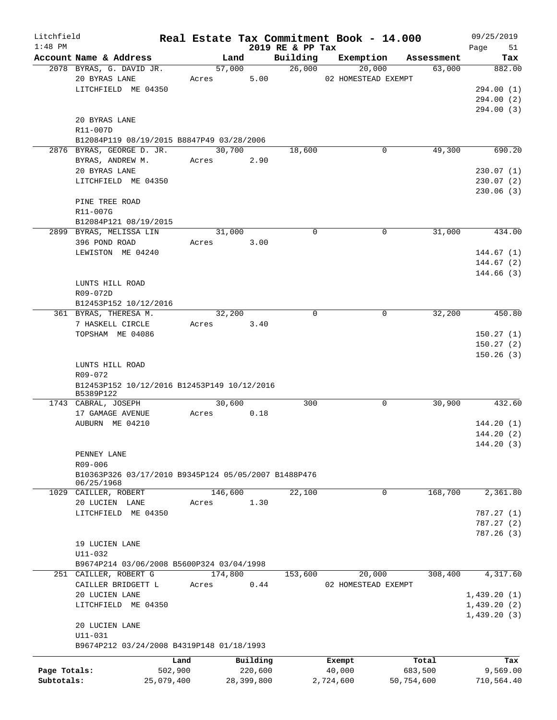| Litchfield   |                                                          |            |       |                 |                              | Real Estate Tax Commitment Book - 14.000 |            | 09/25/2019              |
|--------------|----------------------------------------------------------|------------|-------|-----------------|------------------------------|------------------------------------------|------------|-------------------------|
| $1:48$ PM    | Account Name & Address                                   |            |       | Land            | 2019 RE & PP Tax<br>Building | Exemption                                | Assessment | Page<br>51<br>Tax       |
|              | 2078 BYRAS, G. DAVID JR.                                 |            |       | 57,000          | 26,000                       | 20,000                                   | 63,000     | 882.00                  |
|              | 20 BYRAS LANE                                            |            | Acres | 5.00            |                              | 02 HOMESTEAD EXEMPT                      |            |                         |
|              | LITCHFIELD ME 04350                                      |            |       |                 |                              |                                          |            | 294.00 (1)              |
|              |                                                          |            |       |                 |                              |                                          |            | 294.00 (2)              |
|              |                                                          |            |       |                 |                              |                                          |            | 294.00 (3)              |
|              | 20 BYRAS LANE                                            |            |       |                 |                              |                                          |            |                         |
|              | R11-007D                                                 |            |       |                 |                              |                                          |            |                         |
|              | B12084P119 08/19/2015 B8847P49 03/28/2006                |            |       |                 |                              |                                          |            |                         |
|              | 2876 BYRAS, GEORGE D. JR.                                |            |       | 30,700          | 18,600                       | 0                                        | 49,300     | 690.20                  |
|              | BYRAS, ANDREW M.                                         |            | Acres | 2.90            |                              |                                          |            |                         |
|              | 20 BYRAS LANE                                            |            |       |                 |                              |                                          |            | 230.07(1)               |
|              | LITCHFIELD ME 04350                                      |            |       |                 |                              |                                          |            | 230.07(2)               |
|              |                                                          |            |       |                 |                              |                                          |            | 230.06(3)               |
|              | PINE TREE ROAD                                           |            |       |                 |                              |                                          |            |                         |
|              | R11-007G                                                 |            |       |                 |                              |                                          |            |                         |
|              | B12084P121 08/19/2015                                    |            |       |                 |                              |                                          |            |                         |
|              | 2899 BYRAS, MELISSA LIN                                  |            |       | 31,000          | $\mathbf 0$                  | $\mathbf 0$                              | 31,000     | 434.00                  |
|              | 396 POND ROAD                                            |            | Acres | 3.00            |                              |                                          |            |                         |
|              | LEWISTON ME 04240                                        |            |       |                 |                              |                                          |            | 144.67(1)               |
|              |                                                          |            |       |                 |                              |                                          |            | 144.67(2)<br>144.66 (3) |
|              | LUNTS HILL ROAD                                          |            |       |                 |                              |                                          |            |                         |
|              | R09-072D                                                 |            |       |                 |                              |                                          |            |                         |
|              | B12453P152 10/12/2016                                    |            |       |                 |                              |                                          |            |                         |
|              | 361 BYRAS, THERESA M.                                    |            |       | 32,200          | $\mathbf 0$                  | 0                                        | 32,200     | 450.80                  |
|              | 7 HASKELL CIRCLE                                         |            | Acres | 3.40            |                              |                                          |            |                         |
|              | TOPSHAM ME 04086                                         |            |       |                 |                              |                                          |            | 150.27(1)               |
|              |                                                          |            |       |                 |                              |                                          |            | 150.27(2)               |
|              |                                                          |            |       |                 |                              |                                          |            | 150.26(3)               |
|              | LUNTS HILL ROAD                                          |            |       |                 |                              |                                          |            |                         |
|              | R09-072                                                  |            |       |                 |                              |                                          |            |                         |
|              | B12453P152 10/12/2016 B12453P149 10/12/2016<br>B5389P122 |            |       |                 |                              |                                          |            |                         |
|              | 1743 CABRAL, JOSEPH                                      |            |       | 30,600          | 300                          | 0                                        | 30,900     | 432.60                  |
|              | 17 GAMAGE AVENUE                                         |            | Acres | 0.18            |                              |                                          |            |                         |
|              | AUBURN ME 04210                                          |            |       |                 |                              |                                          |            | 144.20(1)               |
|              |                                                          |            |       |                 |                              |                                          |            | 144.20(2)               |
|              |                                                          |            |       |                 |                              |                                          |            | 144.20 (3)              |
|              | PENNEY LANE                                              |            |       |                 |                              |                                          |            |                         |
|              | $R09 - 006$                                              |            |       |                 |                              |                                          |            |                         |
|              | B10363P326 03/17/2010 B9345P124 05/05/2007 B1488P476     |            |       |                 |                              |                                          |            |                         |
|              | 06/25/1968                                               |            |       |                 |                              |                                          |            |                         |
|              | 1029 CAILLER, ROBERT                                     |            |       | 146,600<br>1.30 | 22,100                       | 0                                        | 168,700    | 2,361.80                |
|              | 20 LUCIEN LANE<br>LITCHFIELD ME 04350                    |            | Acres |                 |                              |                                          |            | 787.27(1)               |
|              |                                                          |            |       |                 |                              |                                          |            | 787.27(2)               |
|              |                                                          |            |       |                 |                              |                                          |            | 787.26 (3)              |
|              | 19 LUCIEN LANE                                           |            |       |                 |                              |                                          |            |                         |
|              | $U11 - 032$                                              |            |       |                 |                              |                                          |            |                         |
|              | B9674P214 03/06/2008 B5600P324 03/04/1998                |            |       |                 |                              |                                          |            |                         |
|              | 251 CAILLER, ROBERT G                                    |            |       | 174,800         | 153,600                      | 20,000                                   | 308,400    | 4,317.60                |
|              | CAILLER BRIDGETT L                                       |            | Acres | 0.44            |                              | 02 HOMESTEAD EXEMPT                      |            |                         |
|              | 20 LUCIEN LANE                                           |            |       |                 |                              |                                          |            | 1,439.20(1)             |
|              | LITCHFIELD ME 04350                                      |            |       |                 |                              |                                          |            | 1,439.20(2)             |
|              |                                                          |            |       |                 |                              |                                          |            | 1,439.20(3)             |
|              | 20 LUCIEN LANE                                           |            |       |                 |                              |                                          |            |                         |
|              | U11-031                                                  |            |       |                 |                              |                                          |            |                         |
|              | B9674P212 03/24/2008 B4319P148 01/18/1993                |            |       |                 |                              |                                          |            |                         |
|              |                                                          | Land       |       | Building        |                              | Exempt                                   | Total      | Tax                     |
| Page Totals: |                                                          | 502,900    |       | 220,600         |                              | 40,000                                   | 683,500    | 9,569.00                |
| Subtotals:   |                                                          | 25,079,400 |       | 28,399,800      |                              | 2,724,600                                | 50,754,600 | 710,564.40              |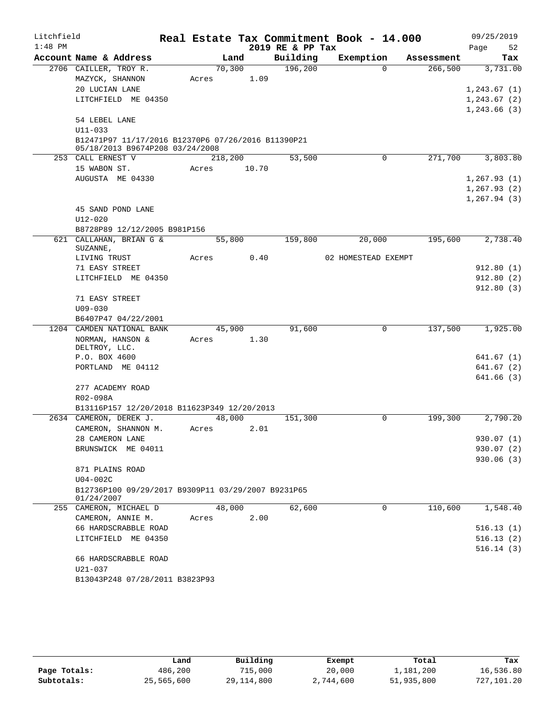| Litchfield |                                                                                       |         |      |       | Real Estate Tax Commitment Book - 14.000 |                     |             |            |              | 09/25/2019 |
|------------|---------------------------------------------------------------------------------------|---------|------|-------|------------------------------------------|---------------------|-------------|------------|--------------|------------|
| $1:48$ PM  |                                                                                       |         |      |       | 2019 RE & PP Tax                         |                     |             |            | Page         | 52         |
|            | Account Name & Address                                                                |         | Land |       | Building                                 | Exemption           |             | Assessment |              | Tax        |
|            | 2706 CAILLER, TROY R.                                                                 | 70,300  |      |       | 196,200                                  |                     | $\Omega$    | 266,500    |              | 3,731.00   |
|            | MAZYCK, SHANNON                                                                       | Acres   |      | 1.09  |                                          |                     |             |            |              |            |
|            | 20 LUCIAN LANE                                                                        |         |      |       |                                          |                     |             |            | 1,243.67(1)  |            |
|            | LITCHFIELD ME 04350                                                                   |         |      |       |                                          |                     |             |            | 1, 243.67(2) |            |
|            |                                                                                       |         |      |       |                                          |                     |             |            | 1,243.66(3)  |            |
|            | 54 LEBEL LANE                                                                         |         |      |       |                                          |                     |             |            |              |            |
|            | U11-033                                                                               |         |      |       |                                          |                     |             |            |              |            |
|            | B12471P97 11/17/2016 B12370P6 07/26/2016 B11390P21<br>05/18/2013 B9674P208 03/24/2008 |         |      |       |                                          |                     |             |            |              |            |
|            | 253 CALL ERNEST V                                                                     | 218,200 |      |       | 53,500                                   |                     | $\mathbf 0$ | 271,700    |              | 3,803.80   |
|            | 15 WABON ST.                                                                          | Acres   |      | 10.70 |                                          |                     |             |            |              |            |
|            | AUGUSTA ME 04330                                                                      |         |      |       |                                          |                     |             |            | 1, 267.93(1) |            |
|            |                                                                                       |         |      |       |                                          |                     |             |            | 1,267.93(2)  |            |
|            |                                                                                       |         |      |       |                                          |                     |             |            | 1, 267.94(3) |            |
|            | 45 SAND POND LANE                                                                     |         |      |       |                                          |                     |             |            |              |            |
|            | $U12 - 020$                                                                           |         |      |       |                                          |                     |             |            |              |            |
|            | B8728P89 12/12/2005 B981P156                                                          |         |      |       |                                          |                     |             |            |              |            |
|            | 621 CALLAHAN, BRIAN G &<br>SUZANNE,                                                   | 55,800  |      |       | 159,800                                  | 20,000              |             | 195,600    |              | 2,738.40   |
|            | LIVING TRUST                                                                          | Acres   |      | 0.40  |                                          | 02 HOMESTEAD EXEMPT |             |            |              |            |
|            | 71 EASY STREET                                                                        |         |      |       |                                          |                     |             |            |              | 912.80(1)  |
|            | LITCHFIELD ME 04350                                                                   |         |      |       |                                          |                     |             |            |              | 912.80(2)  |
|            |                                                                                       |         |      |       |                                          |                     |             |            |              | 912.80(3)  |
|            | 71 EASY STREET                                                                        |         |      |       |                                          |                     |             |            |              |            |
|            | $U09 - 030$                                                                           |         |      |       |                                          |                     |             |            |              |            |
|            | B6407P47 04/22/2001                                                                   |         |      |       |                                          |                     |             |            |              |            |
|            | 1204 CAMDEN NATIONAL BANK                                                             | 45,900  |      |       | 91,600                                   |                     | 0           | 137,500    |              | 1,925.00   |
|            | NORMAN, HANSON &                                                                      | Acres   |      | 1.30  |                                          |                     |             |            |              |            |
|            | DELTROY, LLC.<br>P.O. BOX 4600                                                        |         |      |       |                                          |                     |             |            |              | 641.67 (1) |
|            | PORTLAND ME 04112                                                                     |         |      |       |                                          |                     |             |            |              | 641.67(2)  |
|            |                                                                                       |         |      |       |                                          |                     |             |            |              | 641.66(3)  |
|            | 277 ACADEMY ROAD                                                                      |         |      |       |                                          |                     |             |            |              |            |
|            | R02-098A                                                                              |         |      |       |                                          |                     |             |            |              |            |
|            | B13116P157 12/20/2018 B11623P349 12/20/2013                                           |         |      |       |                                          |                     |             |            |              |            |
|            | 2634 CAMERON, DEREK J.                                                                | 48,000  |      |       | 151,300                                  |                     | 0           | 199,300    |              | 2,790.20   |
|            | CAMERON, SHANNON M.                                                                   | Acres   |      | 2.01  |                                          |                     |             |            |              |            |
|            | 28 CAMERON LANE                                                                       |         |      |       |                                          |                     |             |            |              | 930.07 (1) |
|            | BRUNSWICK ME 04011                                                                    |         |      |       |                                          |                     |             |            |              | 930.07 (2) |
|            |                                                                                       |         |      |       |                                          |                     |             |            |              | 930.06(3)  |
|            | 871 PLAINS ROAD                                                                       |         |      |       |                                          |                     |             |            |              |            |
|            | U04-002C                                                                              |         |      |       |                                          |                     |             |            |              |            |
|            | B12736P100 09/29/2017 B9309P11 03/29/2007 B9231P65<br>01/24/2007                      |         |      |       |                                          |                     |             |            |              |            |
|            | 255 CAMERON, MICHAEL D                                                                | 48,000  |      |       | 62,600                                   |                     | 0           | 110,600    |              | 1,548.40   |
|            | CAMERON, ANNIE M.                                                                     | Acres   |      | 2.00  |                                          |                     |             |            |              |            |
|            | 66 HARDSCRABBLE ROAD                                                                  |         |      |       |                                          |                     |             |            |              | 516.13(1)  |
|            | LITCHFIELD ME 04350                                                                   |         |      |       |                                          |                     |             |            |              | 516.13(2)  |
|            |                                                                                       |         |      |       |                                          |                     |             |            |              | 516.14(3)  |
|            | 66 HARDSCRABBLE ROAD                                                                  |         |      |       |                                          |                     |             |            |              |            |
|            | U21-037                                                                               |         |      |       |                                          |                     |             |            |              |            |
|            | B13043P248 07/28/2011 B3823P93                                                        |         |      |       |                                          |                     |             |            |              |            |

|              | Land       | Building   | Exempt    | Total      | Tax        |
|--------------|------------|------------|-----------|------------|------------|
| Page Totals: | 486,200    | 715,000    | 20,000    | 1,181,200  | 16,536.80  |
| Subtotals:   | 25,565,600 | 29,114,800 | 2,744,600 | 51,935,800 | 727,101.20 |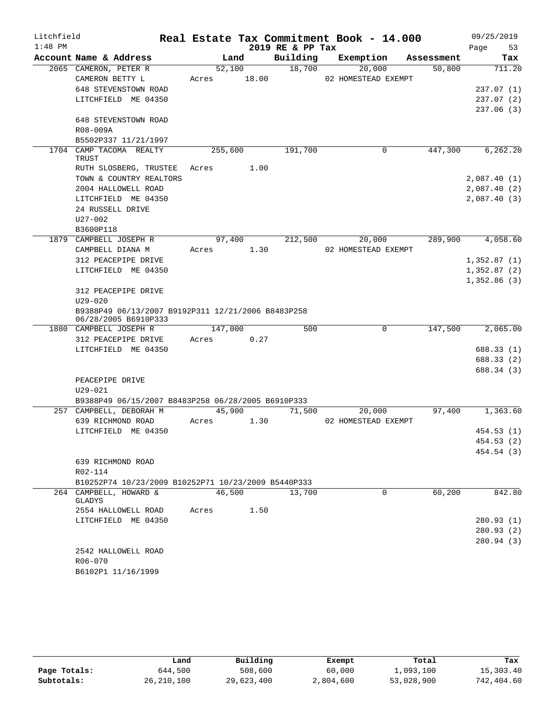| Litchfield |                                                     |            |         | Real Estate Tax Commitment Book - 14.000 |                     |            | 09/25/2019            |
|------------|-----------------------------------------------------|------------|---------|------------------------------------------|---------------------|------------|-----------------------|
| $1:48$ PM  |                                                     |            |         | 2019 RE & PP Tax                         |                     |            | Page<br>53            |
|            | Account Name & Address                              |            | Land    | Building                                 | Exemption           | Assessment | Tax                   |
|            | 2065 CAMERON, PETER R                               |            | 52,100  | 18,700                                   | 20,000              | 50,800     | 711.20                |
|            | CAMERON BETTY L                                     | Acres      | 18.00   |                                          | 02 HOMESTEAD EXEMPT |            |                       |
|            | 648 STEVENSTOWN ROAD                                |            |         |                                          |                     |            | 237.07(1)             |
|            | LITCHFIELD ME 04350                                 |            |         |                                          |                     |            | 237.07(2)             |
|            |                                                     |            |         |                                          |                     |            | 237.06(3)             |
|            | 648 STEVENSTOWN ROAD                                |            |         |                                          |                     |            |                       |
|            | R08-009A                                            |            |         |                                          |                     |            |                       |
|            | B5502P337 11/21/1997                                |            |         |                                          |                     |            |                       |
|            | 1704 CAMP TACOMA REALTY<br>TRUST                    |            | 255,600 | 191,700                                  | 0                   | 447,300    | 6, 262.20             |
|            | RUTH SLOSBERG, TRUSTEE                              | Acres 1.00 |         |                                          |                     |            |                       |
|            | TOWN & COUNTRY REALTORS                             |            |         |                                          |                     |            | 2,087.40(1)           |
|            | 2004 HALLOWELL ROAD                                 |            |         |                                          |                     |            | 2,087.40(2)           |
|            | LITCHFIELD ME 04350                                 |            |         |                                          |                     |            | 2,087.40(3)           |
|            | 24 RUSSELL DRIVE                                    |            |         |                                          |                     |            |                       |
|            | $U27 - 002$                                         |            |         |                                          |                     |            |                       |
|            | B3600P118                                           |            |         |                                          |                     |            |                       |
|            | 1879 CAMPBELL JOSEPH R                              |            | 97,400  | 212,500                                  | 20,000              | 289,900    | $\overline{4,058.60}$ |
|            | CAMPBELL DIANA M                                    | Acres      | 1.30    |                                          | 02 HOMESTEAD EXEMPT |            |                       |
|            | 312 PEACEPIPE DRIVE                                 |            |         |                                          |                     |            | 1,352.87(1)           |
|            | LITCHFIELD ME 04350                                 |            |         |                                          |                     |            | 1,352.87(2)           |
|            |                                                     |            |         |                                          |                     |            | 1,352.86(3)           |
|            | 312 PEACEPIPE DRIVE                                 |            |         |                                          |                     |            |                       |
|            | $U29 - 020$                                         |            |         |                                          |                     |            |                       |
|            | B9388P49 06/13/2007 B9192P311 12/21/2006 B8483P258  |            |         |                                          |                     |            |                       |
|            | 06/28/2005 B6910P333<br>1880 CAMPBELL JOSEPH R      | 147,000    |         | 500                                      | $\mathbf 0$         | 147,500    | 2,065.00              |
|            | 312 PEACEPIPE DRIVE                                 | Acres      | 0.27    |                                          |                     |            |                       |
|            | LITCHFIELD ME 04350                                 |            |         |                                          |                     |            | 688.33 (1)            |
|            |                                                     |            |         |                                          |                     |            | 688.33 (2)            |
|            |                                                     |            |         |                                          |                     |            | 688.34 (3)            |
|            | PEACEPIPE DRIVE                                     |            |         |                                          |                     |            |                       |
|            | $U29 - 021$                                         |            |         |                                          |                     |            |                       |
|            | B9388P49 06/15/2007 B8483P258 06/28/2005 B6910P333  |            |         |                                          |                     |            |                       |
|            | 257 CAMPBELL, DEBORAH M                             |            | 45,900  | 71,500                                   | 20,000              | 97,400     | 1,363.60              |
|            | 639 RICHMOND ROAD                                   | Acres      | 1.30    |                                          | 02 HOMESTEAD EXEMPT |            |                       |
|            | LITCHFIELD ME 04350                                 |            |         |                                          |                     |            | 454.53 (1)            |
|            |                                                     |            |         |                                          |                     |            | 454.53 (2)            |
|            |                                                     |            |         |                                          |                     |            | 454.54 (3)            |
|            | 639 RICHMOND ROAD                                   |            |         |                                          |                     |            |                       |
|            | R02-114                                             |            |         |                                          |                     |            |                       |
|            | B10252P74 10/23/2009 B10252P71 10/23/2009 B5440P333 |            |         |                                          |                     |            |                       |
|            | 264 CAMPBELL, HOWARD &                              |            | 46,500  | 13,700                                   | $\Omega$            | 60,200     | 842.80                |
|            | GLADYS                                              |            |         |                                          |                     |            |                       |
|            | 2554 HALLOWELL ROAD                                 | Acres      | 1.50    |                                          |                     |            |                       |
|            | LITCHFIELD ME 04350                                 |            |         |                                          |                     |            | 280.93(1)             |
|            |                                                     |            |         |                                          |                     |            | 280.93(2)             |
|            | 2542 HALLOWELL ROAD                                 |            |         |                                          |                     |            | 280.94 (3)            |
|            | R06-070                                             |            |         |                                          |                     |            |                       |
|            | B6102P1 11/16/1999                                  |            |         |                                          |                     |            |                       |
|            |                                                     |            |         |                                          |                     |            |                       |

|              | Land       | Building   | Exempt    | Total      | Tax        |
|--------------|------------|------------|-----------|------------|------------|
| Page Totals: | 644,500    | 508,600    | 60,000    | 1,093,100  | 15,303.40  |
| Subtotals:   | 26,210,100 | 29,623,400 | 2,804,600 | 53,028,900 | 742,404.60 |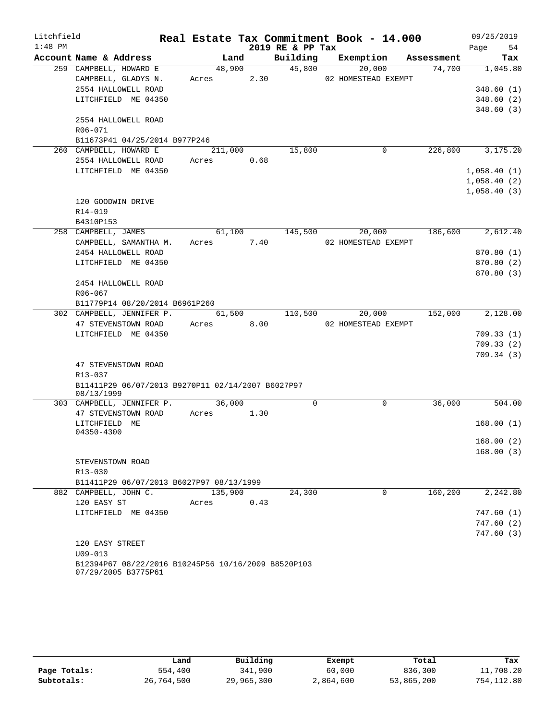| Litchfield |                                                              |                  |      |                  | Real Estate Tax Commitment Book - 14.000 |                | 09/25/2019       |
|------------|--------------------------------------------------------------|------------------|------|------------------|------------------------------------------|----------------|------------------|
| $1:48$ PM  |                                                              |                  |      | 2019 RE & PP Tax |                                          |                | Page 54          |
|            | Account Name & Address                                       | Land             |      |                  | Building Exemption Assessment            |                | Tax              |
|            | 259 CAMPBELL, HOWARD E                                       | 48,900           |      | 45,800           | 20,000                                   | 74,700         | 1,045.80         |
|            | CAMPBELL, GLADYS N.                                          | Acres 2.30       |      |                  | 02 HOMESTEAD EXEMPT                      |                |                  |
|            | 2554 HALLOWELL ROAD                                          |                  |      |                  |                                          |                | 348.60(1)        |
|            | LITCHFIELD ME 04350                                          |                  |      |                  |                                          |                | 348.60(2)        |
|            |                                                              |                  |      |                  |                                          |                | 348.60(3)        |
|            | 2554 HALLOWELL ROAD                                          |                  |      |                  |                                          |                |                  |
|            | R06-071<br>B11673P41 04/25/2014 B977P246                     |                  |      |                  |                                          |                |                  |
|            | 260 CAMPBELL, HOWARD E                                       | 211,000          |      | 15,800           | 0                                        |                | 226,800 3,175.20 |
|            | 2554 HALLOWELL ROAD                                          | Acres 0.68       |      |                  |                                          |                |                  |
|            | LITCHFIELD ME 04350                                          |                  |      |                  |                                          |                | 1,058.40(1)      |
|            |                                                              |                  |      |                  |                                          |                | 1,058.40(2)      |
|            |                                                              |                  |      |                  |                                          |                | 1,058.40(3)      |
|            | 120 GOODWIN DRIVE                                            |                  |      |                  |                                          |                |                  |
|            | R14-019                                                      |                  |      |                  |                                          |                |                  |
|            | B4310P153                                                    |                  |      |                  |                                          |                |                  |
|            | 258 CAMPBELL, JAMES                                          |                  |      | 61,100 145,500   |                                          | 20,000 186,600 | 2,612.40         |
|            | CAMPBELL, SAMANTHA M.                                        | Acres 7.40       |      |                  | 02 HOMESTEAD EXEMPT                      |                |                  |
|            | 2454 HALLOWELL ROAD                                          |                  |      |                  |                                          |                | 870.80 (1)       |
|            | LITCHFIELD ME 04350                                          |                  |      |                  |                                          |                | 870.80(2)        |
|            |                                                              |                  |      |                  |                                          |                | 870.80(3)        |
|            | 2454 HALLOWELL ROAD                                          |                  |      |                  |                                          |                |                  |
|            | R06-067                                                      |                  |      |                  |                                          |                |                  |
|            | B11779P14 08/20/2014 B6961P260                               |                  |      |                  |                                          |                |                  |
|            | 302 CAMPBELL, JENNIFER P.                                    | 61,500 110,500   |      |                  | 20,000                                   | 152,000        | 2,128.00         |
|            | 47 STEVENSTOWN ROAD                                          | Acres 8.00       |      |                  | 02 HOMESTEAD EXEMPT                      |                |                  |
|            | LITCHFIELD ME 04350                                          |                  |      |                  |                                          |                | 709.33(1)        |
|            |                                                              |                  |      |                  |                                          |                | 709.33 (2)       |
|            |                                                              |                  |      |                  |                                          |                | 709.34(3)        |
|            | 47 STEVENSTOWN ROAD                                          |                  |      |                  |                                          |                |                  |
|            | R13-037<br>B11411P29 06/07/2013 B9270P11 02/14/2007 B6027P97 |                  |      |                  |                                          |                |                  |
|            | 08/13/1999                                                   |                  |      |                  |                                          |                |                  |
|            | 303 CAMPBELL, JENNIFER P.                                    | 36,000           |      | $\mathbf 0$      | $\mathbf 0$                              | 36,000         | 504.00           |
|            | 47 STEVENSTOWN ROAD                                          | Acres 1.30       |      |                  |                                          |                |                  |
|            | LITCHFIELD ME                                                |                  |      |                  |                                          |                | 168.00(1)        |
|            | 04350-4300                                                   |                  |      |                  |                                          |                |                  |
|            |                                                              |                  |      |                  |                                          |                | 168.00(2)        |
|            |                                                              |                  |      |                  |                                          |                | 168.00(3)        |
|            | STEVENSTOWN ROAD                                             |                  |      |                  |                                          |                |                  |
|            | R13-030                                                      |                  |      |                  |                                          |                |                  |
|            | B11411P29 06/07/2013 B6027P97 08/13/1999                     |                  |      | 24,300           | $\Omega$                                 | 160, 200       | 2,242.80         |
|            | 882 CAMPBELL, JOHN C.<br>120 EASY ST                         | 135,900<br>Acres | 0.43 |                  |                                          |                |                  |
|            | LITCHFIELD ME 04350                                          |                  |      |                  |                                          |                | 747.60(1)        |
|            |                                                              |                  |      |                  |                                          |                | 747.60(2)        |
|            |                                                              |                  |      |                  |                                          |                | 747.60(3)        |
|            | 120 EASY STREET                                              |                  |      |                  |                                          |                |                  |
|            | $U09 - 013$                                                  |                  |      |                  |                                          |                |                  |
|            | B12394P67 08/22/2016 B10245P56 10/16/2009 B8520P103          |                  |      |                  |                                          |                |                  |

07/29/2005 B3775P61

|              | Land       | Building   | Exempt    | Total      | Tax        |
|--------------|------------|------------|-----------|------------|------------|
| Page Totals: | 554,400    | 341,900    | 60,000    | 836,300    | 11,708.20  |
| Subtotals:   | 26,764,500 | 29,965,300 | 2,864,600 | 53,865,200 | 754,112.80 |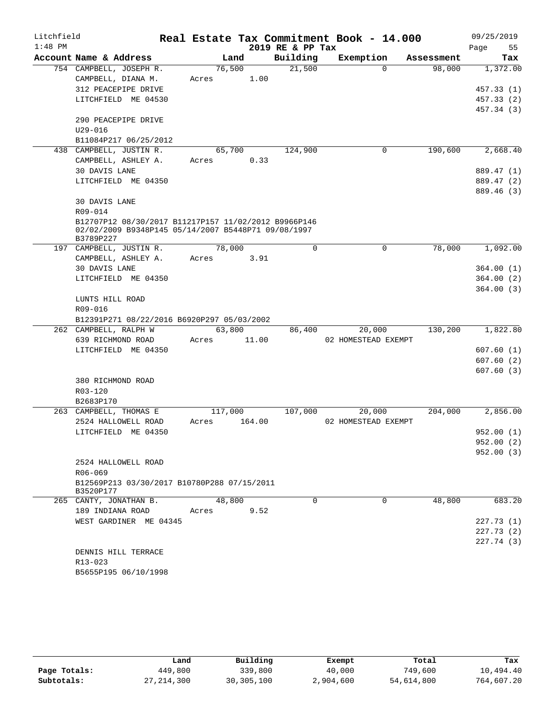| Litchfield |                                                                  |         |        |                     | Real Estate Tax Commitment Book - 14.000 |            | 09/25/2019 |
|------------|------------------------------------------------------------------|---------|--------|---------------------|------------------------------------------|------------|------------|
| $1:48$ PM  |                                                                  |         |        | 2019 RE & PP Tax    |                                          |            | 55<br>Page |
|            | Account Name & Address                                           |         | Land   | Building            | Exemption                                | Assessment | Tax        |
|            | 754 CAMPBELL, JOSEPH R.                                          | 76,500  |        | $\overline{21,500}$ | $\Omega$                                 | 98,000     | 1,372.00   |
|            | CAMPBELL, DIANA M.                                               | Acres   | 1.00   |                     |                                          |            |            |
|            | 312 PEACEPIPE DRIVE                                              |         |        |                     |                                          |            | 457.33 (1) |
|            | LITCHFIELD ME 04530                                              |         |        |                     |                                          |            | 457.33 (2) |
|            |                                                                  |         |        |                     |                                          |            | 457.34 (3) |
|            | 290 PEACEPIPE DRIVE                                              |         |        |                     |                                          |            |            |
|            | $U29 - 016$                                                      |         |        |                     |                                          |            |            |
|            | B11084P217 06/25/2012                                            |         |        |                     |                                          |            |            |
|            | 438 CAMPBELL, JUSTIN R.                                          | 65,700  |        | 124,900             | 0                                        | 190,600    | 2,668.40   |
|            | CAMPBELL, ASHLEY A.                                              | Acres   | 0.33   |                     |                                          |            |            |
|            | 30 DAVIS LANE                                                    |         |        |                     |                                          |            | 889.47 (1) |
|            | LITCHFIELD ME 04350                                              |         |        |                     |                                          |            | 889.47 (2) |
|            |                                                                  |         |        |                     |                                          |            | 889.46 (3) |
|            | 30 DAVIS LANE                                                    |         |        |                     |                                          |            |            |
|            | R09-014                                                          |         |        |                     |                                          |            |            |
|            | B12707P12 08/30/2017 B11217P157 11/02/2012 B9966P146             |         |        |                     |                                          |            |            |
|            | 02/02/2009 B9348P145 05/14/2007 B5448P71 09/08/1997<br>B3789P227 |         |        |                     |                                          |            |            |
|            | 197 CAMPBELL, JUSTIN R.                                          | 78,000  |        | 0                   | 0                                        | 78,000     | 1,092.00   |
|            | CAMPBELL, ASHLEY A.                                              | Acres   | 3.91   |                     |                                          |            |            |
|            | 30 DAVIS LANE                                                    |         |        |                     |                                          |            | 364.00 (1) |
|            | LITCHFIELD ME 04350                                              |         |        |                     |                                          |            | 364.00(2)  |
|            |                                                                  |         |        |                     |                                          |            | 364.00(3)  |
|            | LUNTS HILL ROAD                                                  |         |        |                     |                                          |            |            |
|            | R09-016                                                          |         |        |                     |                                          |            |            |
|            | B12391P271 08/22/2016 B6920P297 05/03/2002                       |         |        |                     |                                          |            |            |
|            | 262 CAMPBELL, RALPH W                                            | 63,800  |        | 86,400              | 20,000                                   | 130,200    | 1,822.80   |
|            | 639 RICHMOND ROAD                                                | Acres   | 11.00  |                     | 02 HOMESTEAD EXEMPT                      |            |            |
|            | LITCHFIELD ME 04350                                              |         |        |                     |                                          |            | 607.60(1)  |
|            |                                                                  |         |        |                     |                                          |            | 607.60(2)  |
|            |                                                                  |         |        |                     |                                          |            | 607.60(3)  |
|            | 380 RICHMOND ROAD                                                |         |        |                     |                                          |            |            |
|            | R03-120                                                          |         |        |                     |                                          |            |            |
|            | B2683P170                                                        |         |        |                     |                                          |            |            |
|            | 263 CAMPBELL, THOMAS E                                           | 117,000 |        | 107,000             | 20,000                                   | 204,000    | 2,856.00   |
|            | 2524 HALLOWELL ROAD                                              | Acres   | 164.00 |                     | 02 HOMESTEAD EXEMPT                      |            |            |
|            | LITCHFIELD ME 04350                                              |         |        |                     |                                          |            | 952.00(1)  |
|            |                                                                  |         |        |                     |                                          |            | 952.00 (2) |
|            |                                                                  |         |        |                     |                                          |            | 952.00(3)  |
|            | 2524 HALLOWELL ROAD                                              |         |        |                     |                                          |            |            |
|            | R06-069                                                          |         |        |                     |                                          |            |            |
|            | B12569P213 03/30/2017 B10780P288 07/15/2011                      |         |        |                     |                                          |            |            |
|            | B3520P177                                                        | 48,800  |        | $\Omega$            | $\Omega$                                 | 48,800     | 683.20     |
|            | 265 CANTY, JONATHAN B.<br>189 INDIANA ROAD                       | Acres   | 9.52   |                     |                                          |            |            |
|            | WEST GARDINER ME 04345                                           |         |        |                     |                                          |            | 227.73 (1) |
|            |                                                                  |         |        |                     |                                          |            | 227.73 (2) |
|            |                                                                  |         |        |                     |                                          |            | 227.74 (3) |
|            | DENNIS HILL TERRACE                                              |         |        |                     |                                          |            |            |
|            | R13-023                                                          |         |        |                     |                                          |            |            |
|            | B5655P195 06/10/1998                                             |         |        |                     |                                          |            |            |
|            |                                                                  |         |        |                     |                                          |            |            |

|              | Land         | Building   | Exempt    | Total      | Tax        |
|--------------|--------------|------------|-----------|------------|------------|
| Page Totals: | 449,800      | 339,800    | 40,000    | 749,600    | 10,494.40  |
| Subtotals:   | 27, 214, 300 | 30,305,100 | 2,904,600 | 54,614,800 | 764,607.20 |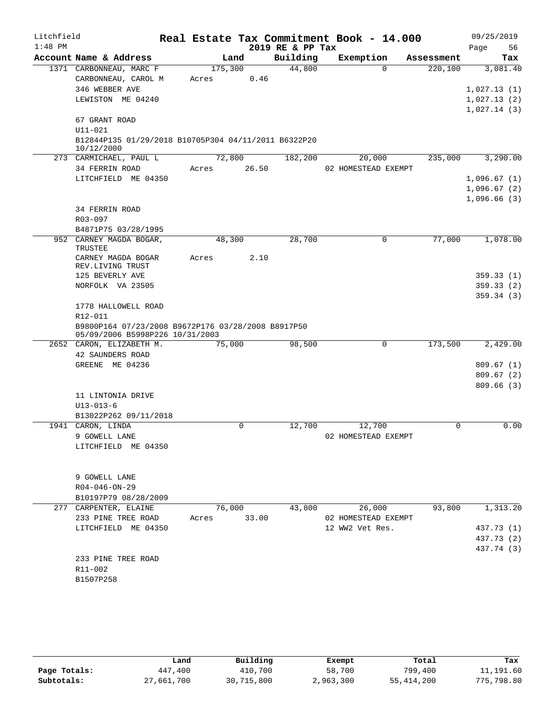| Litchfield |                                                      |         |      |       | Real Estate Tax Commitment Book - 14.000 |                     |             |            |      | 09/25/2019  |
|------------|------------------------------------------------------|---------|------|-------|------------------------------------------|---------------------|-------------|------------|------|-------------|
| $1:48$ PM  |                                                      |         |      |       | 2019 RE & PP Tax                         |                     |             |            | Page | 56          |
|            | Account Name & Address                               |         | Land |       | Building                                 | Exemption           |             | Assessment |      | Tax         |
|            | 1371 CARBONNEAU, MARC F                              | 175,300 |      |       | 44,800                                   |                     | $\Omega$    | 220,100    |      | 3,081.40    |
|            | CARBONNEAU, CAROL M                                  | Acres   |      | 0.46  |                                          |                     |             |            |      |             |
|            | 346 WEBBER AVE                                       |         |      |       |                                          |                     |             |            |      | 1,027.13(1) |
|            | LEWISTON ME 04240                                    |         |      |       |                                          |                     |             |            |      | 1,027.13(2) |
|            | 67 GRANT ROAD                                        |         |      |       |                                          |                     |             |            |      | 1,027.14(3) |
|            | $U11 - 021$                                          |         |      |       |                                          |                     |             |            |      |             |
|            | B12844P135 01/29/2018 B10705P304 04/11/2011 B6322P20 |         |      |       |                                          |                     |             |            |      |             |
|            | 10/12/2000                                           |         |      |       |                                          |                     |             |            |      |             |
|            | 273 CARMICHAEL, PAUL L                               | 72,800  |      |       | 182,200                                  |                     | 20,000      | 235,000    |      | 3,290.00    |
|            | 34 FERRIN ROAD                                       | Acres   |      | 26.50 |                                          | 02 HOMESTEAD EXEMPT |             |            |      |             |
|            | LITCHFIELD ME 04350                                  |         |      |       |                                          |                     |             |            |      | 1,096.67(1) |
|            |                                                      |         |      |       |                                          |                     |             |            |      | 1,096.67(2) |
|            |                                                      |         |      |       |                                          |                     |             |            |      | 1,096.66(3) |
|            | 34 FERRIN ROAD                                       |         |      |       |                                          |                     |             |            |      |             |
|            | R03-097                                              |         |      |       |                                          |                     |             |            |      |             |
|            | B4871P75 03/28/1995<br>952 CARNEY MAGDA BOGAR,       | 48,300  |      |       | 28,700                                   |                     | 0           | 77,000     |      | 1,078.00    |
|            | TRUSTEE                                              |         |      |       |                                          |                     |             |            |      |             |
|            | CARNEY MAGDA BOGAR                                   | Acres   |      | 2.10  |                                          |                     |             |            |      |             |
|            | REV.LIVING TRUST                                     |         |      |       |                                          |                     |             |            |      |             |
|            | 125 BEVERLY AVE                                      |         |      |       |                                          |                     |             |            |      | 359.33(1)   |
|            | NORFOLK VA 23505                                     |         |      |       |                                          |                     |             |            |      | 359.33(2)   |
|            |                                                      |         |      |       |                                          |                     |             |            |      | 359.34(3)   |
|            | 1778 HALLOWELL ROAD<br>R12-011                       |         |      |       |                                          |                     |             |            |      |             |
|            | B9800P164 07/23/2008 B9672P176 03/28/2008 B8917P50   |         |      |       |                                          |                     |             |            |      |             |
|            | 05/09/2006 B5998P226 10/31/2003                      |         |      |       |                                          |                     |             |            |      |             |
|            | 2652 CARON, ELIZABETH M.                             | 75,000  |      |       | 98,500                                   |                     | $\mathbf 0$ | 173,500    |      | 2,429.00    |
|            | 42 SAUNDERS ROAD                                     |         |      |       |                                          |                     |             |            |      |             |
|            | GREENE ME 04236                                      |         |      |       |                                          |                     |             |            |      | 809.67(1)   |
|            |                                                      |         |      |       |                                          |                     |             |            |      | 809.67(2)   |
|            |                                                      |         |      |       |                                          |                     |             |            |      | 809.66(3)   |
|            | 11 LINTONIA DRIVE                                    |         |      |       |                                          |                     |             |            |      |             |
|            | $U13 - 013 - 6$                                      |         |      |       |                                          |                     |             |            |      |             |
|            | B13022P262 09/11/2018<br>1941 CARON, LINDA           |         | 0    |       | 12,700                                   |                     | 12,700      | 0          |      | 0.00        |
|            | 9 GOWELL LANE                                        |         |      |       |                                          | 02 HOMESTEAD EXEMPT |             |            |      |             |
|            | LITCHFIELD ME 04350                                  |         |      |       |                                          |                     |             |            |      |             |
|            |                                                      |         |      |       |                                          |                     |             |            |      |             |
|            |                                                      |         |      |       |                                          |                     |             |            |      |             |
|            | 9 GOWELL LANE                                        |         |      |       |                                          |                     |             |            |      |             |
|            | $R04 - 046 - ON - 29$                                |         |      |       |                                          |                     |             |            |      |             |
|            | B10197P79 08/28/2009                                 |         |      |       |                                          |                     |             |            |      |             |
|            | 277 CARPENTER, ELAINE                                | 76,000  |      |       | 43,800                                   |                     | 26,000      | 93,800     |      | 1,313.20    |
|            | 233 PINE TREE ROAD                                   | Acres   |      | 33.00 |                                          | 02 HOMESTEAD EXEMPT |             |            |      |             |
|            | LITCHFIELD ME 04350                                  |         |      |       |                                          | 12 WW2 Vet Res.     |             |            |      | 437.73 (1)  |
|            |                                                      |         |      |       |                                          |                     |             |            |      | 437.73 (2)  |
|            |                                                      |         |      |       |                                          |                     |             |            |      | 437.74 (3)  |
|            | 233 PINE TREE ROAD                                   |         |      |       |                                          |                     |             |            |      |             |
|            | R11-002<br>B1507P258                                 |         |      |       |                                          |                     |             |            |      |             |
|            |                                                      |         |      |       |                                          |                     |             |            |      |             |

|              | Land       | Building   | Exempt    | Total        | Tax        |
|--------------|------------|------------|-----------|--------------|------------|
| Page Totals: | 447,400    | 410,700    | 58,700    | 799,400      | 11,191.60  |
| Subtotals:   | 27,661,700 | 30,715,800 | 2,963,300 | 55, 414, 200 | 775,798.80 |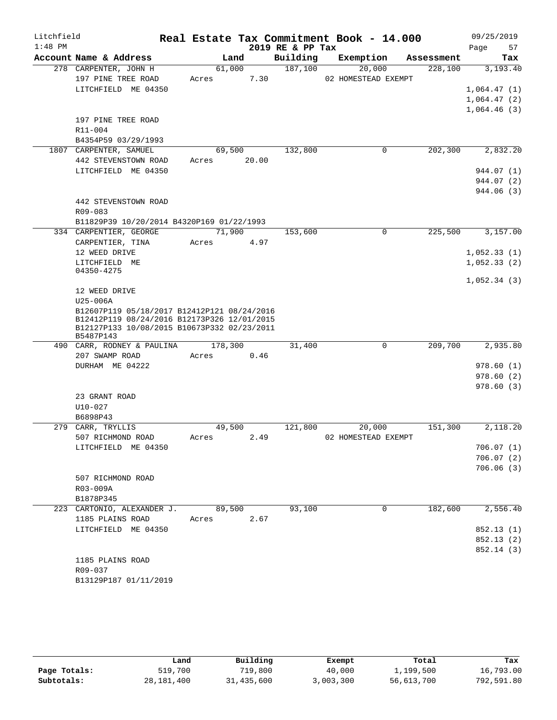| Litchfield |                                                                                                                                                        |       |         |       |                  | Real Estate Tax Commitment Book - 14.000 |            | 09/25/2019                 |
|------------|--------------------------------------------------------------------------------------------------------------------------------------------------------|-------|---------|-------|------------------|------------------------------------------|------------|----------------------------|
| $1:48$ PM  |                                                                                                                                                        |       |         |       | 2019 RE & PP Tax |                                          |            | 57<br>Page                 |
|            | Account Name & Address                                                                                                                                 |       | Land    |       | Building         | Exemption                                | Assessment | Tax                        |
|            | 278 CARPENTER, JOHN H                                                                                                                                  |       | 61,000  |       | 187,100          | 20,000                                   | 228,100    | 3,193.40                   |
|            | 197 PINE TREE ROAD                                                                                                                                     | Acres |         | 7.30  |                  | 02 HOMESTEAD EXEMPT                      |            |                            |
|            | LITCHFIELD ME 04350                                                                                                                                    |       |         |       |                  |                                          |            | 1,064.47(1)                |
|            |                                                                                                                                                        |       |         |       |                  |                                          |            | 1,064.47(2)<br>1,064.46(3) |
|            | 197 PINE TREE ROAD                                                                                                                                     |       |         |       |                  |                                          |            |                            |
|            | R11-004                                                                                                                                                |       |         |       |                  |                                          |            |                            |
|            | B4354P59 03/29/1993                                                                                                                                    |       |         |       |                  |                                          |            |                            |
|            | 1807 CARPENTER, SAMUEL                                                                                                                                 |       | 69,500  |       | 132,800          | 0                                        | 202,300    | 2,832.20                   |
|            | 442 STEVENSTOWN ROAD                                                                                                                                   | Acres |         | 20.00 |                  |                                          |            |                            |
|            | LITCHFIELD ME 04350                                                                                                                                    |       |         |       |                  |                                          |            | 944.07 (1)                 |
|            |                                                                                                                                                        |       |         |       |                  |                                          |            | 944.07 (2)                 |
|            |                                                                                                                                                        |       |         |       |                  |                                          |            | 944.06 (3)                 |
|            | 442 STEVENSTOWN ROAD                                                                                                                                   |       |         |       |                  |                                          |            |                            |
|            | $R09 - 083$                                                                                                                                            |       |         |       |                  |                                          |            |                            |
|            | B11829P39 10/20/2014 B4320P169 01/22/1993                                                                                                              |       |         |       |                  |                                          |            |                            |
|            | 334 CARPENTIER, GEORGE                                                                                                                                 |       | 71,900  |       | 153,600          | $\Omega$                                 | 225,500    | 3,157.00                   |
|            | CARPENTIER, TINA                                                                                                                                       | Acres |         | 4.97  |                  |                                          |            |                            |
|            | 12 WEED DRIVE                                                                                                                                          |       |         |       |                  |                                          |            | 1,052.33(1)                |
|            | LITCHFIELD ME<br>04350-4275                                                                                                                            |       |         |       |                  |                                          |            | 1,052.33(2)                |
|            |                                                                                                                                                        |       |         |       |                  |                                          |            | 1,052.34(3)                |
|            | 12 WEED DRIVE                                                                                                                                          |       |         |       |                  |                                          |            |                            |
|            | U25-006A                                                                                                                                               |       |         |       |                  |                                          |            |                            |
|            | B12607P119 05/18/2017 B12412P121 08/24/2016<br>B12412P119 08/24/2016 B12173P326 12/01/2015<br>B12127P133 10/08/2015 B10673P332 02/23/2011<br>B5487P143 |       |         |       |                  |                                          |            |                            |
|            | 490 CARR, RODNEY & PAULINA                                                                                                                             |       | 178,300 |       | 31,400           | $\mathsf{O}$                             | 209,700    | 2,935.80                   |
|            | 207 SWAMP ROAD                                                                                                                                         | Acres |         | 0.46  |                  |                                          |            |                            |
|            | DURHAM ME 04222                                                                                                                                        |       |         |       |                  |                                          |            | 978.60(1)                  |
|            |                                                                                                                                                        |       |         |       |                  |                                          |            | 978.60(2)                  |
|            |                                                                                                                                                        |       |         |       |                  |                                          |            | 978.60(3)                  |
|            | 23 GRANT ROAD                                                                                                                                          |       |         |       |                  |                                          |            |                            |
|            | $U10 - 027$<br>B6898P43                                                                                                                                |       |         |       |                  |                                          |            |                            |
|            | 279 CARR, TRYLLIS                                                                                                                                      |       | 49,500  |       | 121,800          | 20,000                                   | 151,300    | 2,118.20                   |
|            | 507 RICHMOND ROAD                                                                                                                                      |       | Acres   | 2.49  |                  | 02 HOMESTEAD EXEMPT                      |            |                            |
|            | LITCHFIELD ME 04350                                                                                                                                    |       |         |       |                  |                                          |            | 706.07 (1)                 |
|            |                                                                                                                                                        |       |         |       |                  |                                          |            | 706.07(2)                  |
|            |                                                                                                                                                        |       |         |       |                  |                                          |            | 706.06(3)                  |
|            | 507 RICHMOND ROAD                                                                                                                                      |       |         |       |                  |                                          |            |                            |
|            | R03-009A                                                                                                                                               |       |         |       |                  |                                          |            |                            |
|            | B1878P345                                                                                                                                              |       |         |       |                  |                                          |            |                            |
|            | 223 CARTONIO, ALEXANDER J.                                                                                                                             |       | 89,500  |       | 93,100           | 0                                        | 182,600    | 2,556.40                   |
|            | 1185 PLAINS ROAD                                                                                                                                       | Acres |         | 2.67  |                  |                                          |            |                            |
|            | LITCHFIELD ME 04350                                                                                                                                    |       |         |       |                  |                                          |            | 852.13 (1)                 |
|            |                                                                                                                                                        |       |         |       |                  |                                          |            | 852.13(2)                  |
|            |                                                                                                                                                        |       |         |       |                  |                                          |            | 852.14 (3)                 |
|            | 1185 PLAINS ROAD                                                                                                                                       |       |         |       |                  |                                          |            |                            |
|            | R09-037<br>B13129P187 01/11/2019                                                                                                                       |       |         |       |                  |                                          |            |                            |
|            |                                                                                                                                                        |       |         |       |                  |                                          |            |                            |

|              | Land         | Building   | Exempt    | Total      | Tax        |
|--------------|--------------|------------|-----------|------------|------------|
| Page Totals: | 519,700      | 719,800    | 40,000    | 1,199,500  | 16,793.00  |
| Subtotals:   | 28, 181, 400 | 31,435,600 | 3,003,300 | 56,613,700 | 792,591.80 |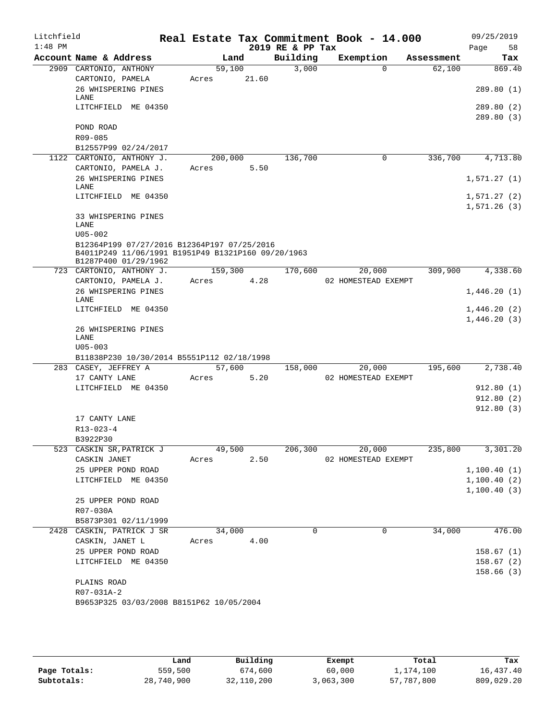| Litchfield<br>$1:48$ PM |                                                                            |            |        | 2019 RE & PP Tax | Real Estate Tax Commitment Book - 14.000 |                | 09/25/2019<br>Page<br>58 |
|-------------------------|----------------------------------------------------------------------------|------------|--------|------------------|------------------------------------------|----------------|--------------------------|
|                         | Account Name & Address                                                     |            | Land   | Building         | Exemption                                | Assessment     | Tax                      |
|                         | 2909 CARTONIO, ANTHONY                                                     | 59,100     |        | 3,000            | $\Omega$                                 | 62,100         | 869.40                   |
|                         | CARTONIO, PAMELA                                                           | Acres      | 21.60  |                  |                                          |                |                          |
|                         | 26 WHISPERING PINES<br>LANE                                                |            |        |                  |                                          |                | 289.80(1)                |
|                         | LITCHFIELD ME 04350                                                        |            |        |                  |                                          |                | 289.80 (2)               |
|                         |                                                                            |            |        |                  |                                          |                | 289.80(3)                |
|                         | POND ROAD                                                                  |            |        |                  |                                          |                |                          |
|                         | R09-085                                                                    |            |        |                  |                                          |                |                          |
|                         | B12557P99 02/24/2017<br>1122 CARTONIO, ANTHONY J.                          | 200,000    |        | 136,700          | $\mathbf 0$                              | 336,700        | 4,713.80                 |
|                         | CARTONIO, PAMELA J.                                                        | Acres      | 5.50   |                  |                                          |                |                          |
|                         | 26 WHISPERING PINES                                                        |            |        |                  |                                          |                | 1,571.27(1)              |
|                         | LANE                                                                       |            |        |                  |                                          |                |                          |
|                         | LITCHFIELD ME 04350                                                        |            |        |                  |                                          |                | 1,571.27(2)              |
|                         | 33 WHISPERING PINES                                                        |            |        |                  |                                          |                | 1,571.26(3)              |
|                         | LANE                                                                       |            |        |                  |                                          |                |                          |
|                         | $U05 - 002$                                                                |            |        |                  |                                          |                |                          |
|                         | B12364P199 07/27/2016 B12364P197 07/25/2016                                |            |        |                  |                                          |                |                          |
|                         | B4011P249 11/06/1991 B1951P49 B1321P160 09/20/1963<br>B1287P400 01/29/1962 |            |        |                  |                                          |                |                          |
|                         | 723 CARTONIO, ANTHONY J.                                                   | 159,300    |        | 170,600          | 20,000                                   | 309,900        | 4,338.60                 |
|                         | CARTONIO, PAMELA J.                                                        | Acres      | 4.28   |                  | 02 HOMESTEAD EXEMPT                      |                |                          |
|                         | 26 WHISPERING PINES<br>LANE                                                |            |        |                  |                                          |                | 1,446.20(1)              |
|                         | LITCHFIELD ME 04350                                                        |            |        |                  |                                          |                | 1,446.20(2)              |
|                         |                                                                            |            |        |                  |                                          |                | 1,446.20(3)              |
|                         | 26 WHISPERING PINES                                                        |            |        |                  |                                          |                |                          |
|                         | LANE<br>$U05 - 003$                                                        |            |        |                  |                                          |                |                          |
|                         | B11838P230 10/30/2014 B5551P112 02/18/1998                                 |            |        |                  |                                          |                |                          |
|                         | 283 CASEY, JEFFREY A                                                       |            | 57,600 | 158,000          | 20,000                                   | 195,600        | 2,738.40                 |
|                         | 17 CANTY LANE                                                              | Acres      | 5.20   |                  | 02 HOMESTEAD EXEMPT                      |                |                          |
|                         | LITCHFIELD ME 04350                                                        |            |        |                  |                                          |                | 912.80(1)                |
|                         |                                                                            |            |        |                  |                                          |                | 912.80(2)                |
|                         |                                                                            |            |        |                  |                                          |                | 912.80(3)                |
|                         | 17 CANTY LANE<br>R13-023-4                                                 |            |        |                  |                                          |                |                          |
|                         | B3922P30                                                                   |            |        |                  |                                          |                |                          |
|                         | 523 CASKIN SR, PATRICK J                                                   |            |        | 49,500 206,300   |                                          | 20,000 235,800 | 3,301.20                 |
|                         | CASKIN JANET                                                               | Acres 2.50 |        |                  | 02 HOMESTEAD EXEMPT                      |                |                          |
|                         | 25 UPPER POND ROAD                                                         |            |        |                  |                                          |                | 1,100.40(1)              |
|                         | LITCHFIELD ME 04350                                                        |            |        |                  |                                          |                | 1,100.40(2)              |
|                         | 25 UPPER POND ROAD                                                         |            |        |                  |                                          |                | 1,100.40(3)              |
|                         | R07-030A                                                                   |            |        |                  |                                          |                |                          |
|                         | B5873P301 02/11/1999                                                       |            |        |                  |                                          |                |                          |
|                         | 2428 CASKIN, PATRICK J SR                                                  | 34,000     |        | 0                | $\mathbf 0$                              | 34,000         | 476.00                   |
|                         | CASKIN, JANET L                                                            | Acres 4.00 |        |                  |                                          |                |                          |
|                         | 25 UPPER POND ROAD                                                         |            |        |                  |                                          |                | 158.67(1)                |
|                         | LITCHFIELD ME 04350                                                        |            |        |                  |                                          |                | 158.67(2)                |
|                         |                                                                            |            |        |                  |                                          |                | 158.66(3)                |
|                         |                                                                            |            |        |                  |                                          |                |                          |
|                         | PLAINS ROAD<br>R07-031A-2                                                  |            |        |                  |                                          |                |                          |

|              | Land       | Building   | Exempt    | Total      | Tax        |
|--------------|------------|------------|-----------|------------|------------|
| Page Totals: | 559,500    | 674,600    | 60,000    | 1,174,100  | 16,437.40  |
| Subtotals:   | 28,740,900 | 32,110,200 | 3,063,300 | 57,787,800 | 809,029.20 |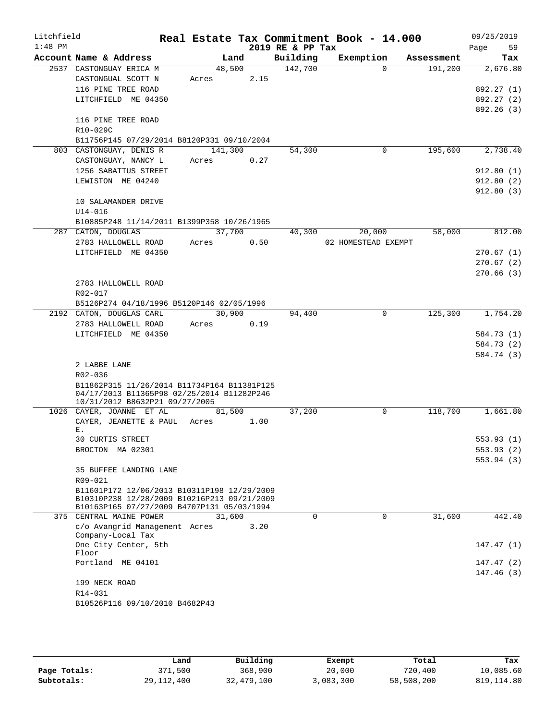| Litchfield |                                                    |                |      |                     | Real Estate Tax Commitment Book - 14.000 |                       | 09/25/2019               |
|------------|----------------------------------------------------|----------------|------|---------------------|------------------------------------------|-----------------------|--------------------------|
| $1:48$ PM  |                                                    |                |      | 2019 RE & PP Tax    |                                          |                       | 59<br>Page               |
|            | Account Name & Address<br>2537 CASTONGUAY ERICA M  | Land<br>48,500 |      | Building<br>142,700 | Exemption<br>$\Omega$                    | Assessment<br>191,200 | Tax                      |
|            | CASTONGUAL SCOTT N                                 | Acres          | 2.15 |                     |                                          |                       | 2,676.80                 |
|            | 116 PINE TREE ROAD                                 |                |      |                     |                                          |                       | 892.27 (1)               |
|            | LITCHFIELD ME 04350                                |                |      |                     |                                          |                       | 892.27 (2)               |
|            |                                                    |                |      |                     |                                          |                       | 892.26 (3)               |
|            | 116 PINE TREE ROAD                                 |                |      |                     |                                          |                       |                          |
|            | R10-029C                                           |                |      |                     |                                          |                       |                          |
|            | B11756P145 07/29/2014 B8120P331 09/10/2004         |                |      |                     |                                          |                       |                          |
|            | 803 CASTONGUAY, DENIS R                            | 141,300        |      | 54,300              | 0                                        | 195,600               | 2,738.40                 |
|            | CASTONGUAY, NANCY L                                | Acres          | 0.27 |                     |                                          |                       |                          |
|            | 1256 SABATTUS STREET                               |                |      |                     |                                          |                       | 912.80(1)                |
|            | LEWISTON ME 04240                                  |                |      |                     |                                          |                       | 912.80(2)                |
|            |                                                    |                |      |                     |                                          |                       | 912.80(3)                |
|            | 10 SALAMANDER DRIVE                                |                |      |                     |                                          |                       |                          |
|            | $U14 - 016$                                        |                |      |                     |                                          |                       |                          |
|            | B10885P248 11/14/2011 B1399P358 10/26/1965         |                |      |                     |                                          |                       |                          |
|            | 287 CATON, DOUGLAS                                 | 37,700         |      | 40,300              | 20,000                                   | 58,000                | 812.00                   |
|            | 2783 HALLOWELL ROAD                                | Acres          | 0.50 |                     | 02 HOMESTEAD EXEMPT                      |                       |                          |
|            | LITCHFIELD ME 04350                                |                |      |                     |                                          |                       | 270.67(1)                |
|            |                                                    |                |      |                     |                                          |                       | 270.67(2)                |
|            |                                                    |                |      |                     |                                          |                       | 270.66(3)                |
|            | 2783 HALLOWELL ROAD                                |                |      |                     |                                          |                       |                          |
|            | R02-017                                            |                |      |                     |                                          |                       |                          |
|            | B5126P274 04/18/1996 B5120P146 02/05/1996          |                |      |                     |                                          |                       |                          |
|            | 2192 CATON, DOUGLAS CARL                           | 30,900         |      | 94,400              | 0                                        | 125,300               | 1,754.20                 |
|            | 2783 HALLOWELL ROAD                                | Acres          | 0.19 |                     |                                          |                       |                          |
|            | LITCHFIELD ME 04350                                |                |      |                     |                                          |                       | 584.73 (1)               |
|            |                                                    |                |      |                     |                                          |                       | 584.73 (2)<br>584.74 (3) |
|            | 2 LABBE LANE                                       |                |      |                     |                                          |                       |                          |
|            | R02-036                                            |                |      |                     |                                          |                       |                          |
|            | B11862P315 11/26/2014 B11734P164 B11381P125        |                |      |                     |                                          |                       |                          |
|            | 04/17/2013 B11365P98 02/25/2014 B11282P246         |                |      |                     |                                          |                       |                          |
|            | 10/31/2012 B8632P21 09/27/2005                     |                |      |                     |                                          |                       |                          |
|            | 1026 CAYER, JOANNE ET AL                           | 81,500         |      | 37,200              | 0                                        | 118,700               | 1,661.80                 |
|            | CAYER, JEANETTE & PAUL                             | Acres          | 1.00 |                     |                                          |                       |                          |
|            | Ε.<br>30 CURTIS STREET                             |                |      |                     |                                          |                       | 553.93 (1)               |
|            | BROCTON MA 02301                                   |                |      |                     |                                          |                       | 553.93(2)                |
|            |                                                    |                |      |                     |                                          |                       | 553.94(3)                |
|            | 35 BUFFEE LANDING LANE                             |                |      |                     |                                          |                       |                          |
|            | R09-021                                            |                |      |                     |                                          |                       |                          |
|            | B11601P172 12/06/2013 B10311P198 12/29/2009        |                |      |                     |                                          |                       |                          |
|            | B10310P238 12/28/2009 B10216P213 09/21/2009        |                |      |                     |                                          |                       |                          |
|            | B10163P165 07/27/2009 B4707P131 05/03/1994         |                |      |                     |                                          |                       |                          |
|            | 375 CENTRAL MAINE POWER                            | 31,600         |      | $\Omega$            | 0                                        | 31,600                | 442.40                   |
|            | c/o Avangrid Management Acres<br>Company-Local Tax |                | 3.20 |                     |                                          |                       |                          |
|            | One City Center, 5th                               |                |      |                     |                                          |                       | 147.47(1)                |
|            | Floor                                              |                |      |                     |                                          |                       |                          |
|            | Portland ME 04101                                  |                |      |                     |                                          |                       | 147.47(2)                |
|            |                                                    |                |      |                     |                                          |                       | 147.46(3)                |
|            | 199 NECK ROAD                                      |                |      |                     |                                          |                       |                          |
|            | R14-031                                            |                |      |                     |                                          |                       |                          |
|            | B10526P116 09/10/2010 B4682P43                     |                |      |                     |                                          |                       |                          |
|            |                                                    |                |      |                     |                                          |                       |                          |

|              | Land         | Building   | Exempt    | Total      | Tax          |
|--------------|--------------|------------|-----------|------------|--------------|
| Page Totals: | 371,500      | 368,900    | 20,000    | 720,400    | 10,085.60    |
| Subtotals:   | 29, 112, 400 | 32,479,100 | 3,083,300 | 58,508,200 | 819, 114, 80 |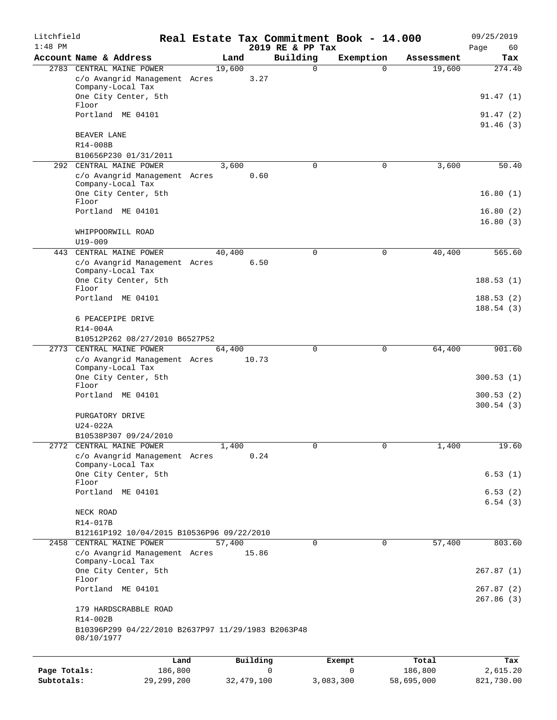| Litchfield<br>$1:48$ PM |                                                                  |        |          | 2019 RE & PP Tax | Real Estate Tax Commitment Book - 14.000 |            | 09/25/2019<br>Page<br>60 |
|-------------------------|------------------------------------------------------------------|--------|----------|------------------|------------------------------------------|------------|--------------------------|
|                         | Account Name & Address                                           | Land   |          | Building         | Exemption                                | Assessment | Tax                      |
|                         | 2783 CENTRAL MAINE POWER                                         | 19,600 |          | $\mathbf 0$      | $\Omega$                                 | 19,600     | 274.40                   |
|                         | c/o Avangrid Management Acres<br>Company-Local Tax               |        | 3.27     |                  |                                          |            |                          |
|                         | One City Center, 5th<br>Floor                                    |        |          |                  |                                          |            | 91.47(1)                 |
|                         | Portland ME 04101                                                |        |          |                  |                                          |            | 91.47(2)<br>91.46(3)     |
|                         | <b>BEAVER LANE</b><br>R14-008B                                   |        |          |                  |                                          |            |                          |
|                         | B10656P230 01/31/2011                                            |        |          |                  |                                          |            |                          |
| 292                     | CENTRAL MAINE POWER                                              | 3,600  |          | $\mathbf 0$      | 0                                        | 3,600      | 50.40                    |
|                         | c/o Avangrid Management Acres<br>Company-Local Tax               |        | 0.60     |                  |                                          |            |                          |
|                         | One City Center, 5th<br>Floor                                    |        |          |                  |                                          |            | 16.80(1)                 |
|                         | Portland ME 04101                                                |        |          |                  |                                          |            | 16.80(2)<br>16.80(3)     |
|                         | WHIPPOORWILL ROAD<br>$U19 - 009$                                 |        |          |                  |                                          |            |                          |
| 443                     | CENTRAL MAINE POWER                                              | 40,400 |          | 0                | 0                                        | 40,400     | 565.60                   |
|                         | c/o Avangrid Management Acres<br>Company-Local Tax               |        | 6.50     |                  |                                          |            |                          |
|                         | One City Center, 5th<br>Floor                                    |        |          |                  |                                          |            | 188.53(1)                |
|                         | Portland ME 04101                                                |        |          |                  |                                          |            | 188.53(2)<br>188.54(3)   |
|                         | 6 PEACEPIPE DRIVE<br>R14-004A                                    |        |          |                  |                                          |            |                          |
|                         | B10512P262 08/27/2010 B6527P52                                   |        |          |                  |                                          |            |                          |
|                         | 2773 CENTRAL MAINE POWER                                         | 64,400 |          | $\mathbf 0$      | 0                                        | 64,400     | 901.60                   |
|                         | c/o Avangrid Management Acres<br>Company-Local Tax               |        | 10.73    |                  |                                          |            |                          |
|                         | One City Center, 5th<br>Floor                                    |        |          |                  |                                          |            | 300.53(1)                |
|                         | Portland ME 04101                                                |        |          |                  |                                          |            | 300.53(2)<br>300.54(3)   |
|                         | PURGATORY DRIVE<br>$U24-022A$                                    |        |          |                  |                                          |            |                          |
|                         | B10538P307 09/24/2010                                            |        |          |                  |                                          |            |                          |
|                         | 2772 CENTRAL MAINE POWER                                         | 1,400  |          | 0                | 0                                        | 1,400      | 19.60                    |
|                         | c/o Avangrid Management Acres<br>Company-Local Tax               |        | 0.24     |                  |                                          |            |                          |
|                         | One City Center, 5th<br>Floor                                    |        |          |                  |                                          |            | 6.53(1)                  |
|                         | Portland ME 04101                                                |        |          |                  |                                          |            | 6.53(2)<br>6.54(3)       |
|                         | NECK ROAD                                                        |        |          |                  |                                          |            |                          |
|                         | R14-017B                                                         |        |          |                  |                                          |            |                          |
|                         | B12161P192 10/04/2015 B10536P96 09/22/2010                       |        |          |                  |                                          |            |                          |
| 2458                    | CENTRAL MAINE POWER                                              | 57,400 |          | $\mathbf 0$      | $\mathbf 0$                              | 57,400     | 803.60                   |
|                         | c/o Avangrid Management Acres<br>Company-Local Tax               |        | 15.86    |                  |                                          |            |                          |
|                         | One City Center, 5th<br>Floor                                    |        |          |                  |                                          |            | 267.87(1)                |
|                         | Portland ME 04101                                                |        |          |                  |                                          |            | 267.87 (2)<br>267.86(3)  |
|                         | 179 HARDSCRABBLE ROAD<br>R14-002B                                |        |          |                  |                                          |            |                          |
|                         | B10396P299 04/22/2010 B2637P97 11/29/1983 B2063P48<br>08/10/1977 |        |          |                  |                                          |            |                          |
|                         |                                                                  |        |          |                  |                                          |            |                          |
|                         | Land                                                             |        | Building |                  | Exempt                                   | Total      | Tax                      |

|              | nana       | <b>DUITOTII</b> | LACINUL   | TOLAT      | ias.       |
|--------------|------------|-----------------|-----------|------------|------------|
| Page Totals: | 186,800    |                 |           | 186,800    | 2,615.20   |
| Subtotals:   | 29,299,200 | 32,479,100      | 3,083,300 | 58,695,000 | 821,730.00 |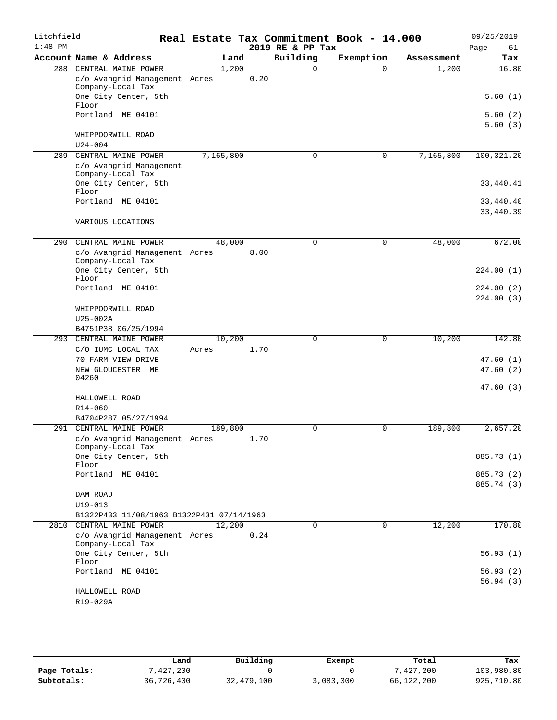| Litchfield |                                                         |           |      |                  | Real Estate Tax Commitment Book - 14.000 |            | 09/25/2019             |
|------------|---------------------------------------------------------|-----------|------|------------------|------------------------------------------|------------|------------------------|
| $1:48$ PM  |                                                         |           |      | 2019 RE & PP Tax |                                          |            | Page<br>61             |
|            | Account Name & Address                                  | Land      |      | Building         | Exemption                                | Assessment | Tax                    |
| 288        | CENTRAL MAINE POWER                                     | 1,200     |      | $\Omega$         | $\Omega$                                 | 1,200      | 16.80                  |
|            | c/o Avangrid Management Acres<br>Company-Local Tax      |           | 0.20 |                  |                                          |            |                        |
|            | One City Center, 5th<br>Floor                           |           |      |                  |                                          |            | 5.60(1)                |
|            | Portland ME 04101                                       |           |      |                  |                                          |            | 5.60(2)<br>5.60(3)     |
|            | WHIPPOORWILL ROAD                                       |           |      |                  |                                          |            |                        |
|            | $U24 - 004$                                             |           |      |                  |                                          |            |                        |
| 289        | CENTRAL MAINE POWER                                     | 7,165,800 |      | $\mathbf 0$      | $\mathbf 0$                              | 7,165,800  | 100,321.20             |
|            | c/o Avangrid Management<br>Company-Local Tax            |           |      |                  |                                          |            |                        |
|            | One City Center, 5th<br>Floor                           |           |      |                  |                                          |            | 33,440.41              |
|            | Portland ME 04101                                       |           |      |                  |                                          |            | 33,440.40<br>33,440.39 |
|            | VARIOUS LOCATIONS                                       |           |      |                  |                                          |            |                        |
| 290        | CENTRAL MAINE POWER                                     | 48,000    |      | 0                | $\mathbf 0$                              | 48,000     | 672.00                 |
|            | c/o Avangrid Management Acres<br>Company-Local Tax      |           | 8.00 |                  |                                          |            |                        |
|            | One City Center, 5th<br>Floor                           |           |      |                  |                                          |            | 224.00(1)              |
|            | Portland ME 04101                                       |           |      |                  |                                          |            | 224.00(2)              |
|            |                                                         |           |      |                  |                                          |            | 224.00(3)              |
|            | WHIPPOORWILL ROAD                                       |           |      |                  |                                          |            |                        |
|            | $U25-002A$                                              |           |      |                  |                                          |            |                        |
|            | B4751P38 06/25/1994                                     |           |      |                  |                                          |            |                        |
| 293        | CENTRAL MAINE POWER                                     | 10,200    |      | 0                | 0                                        | 10,200     | 142.80                 |
|            | C/O IUMC LOCAL TAX                                      | Acres     | 1.70 |                  |                                          |            |                        |
|            | 70 FARM VIEW DRIVE<br>NEW GLOUCESTER ME                 |           |      |                  |                                          |            | 47.60(1)<br>47.60(2)   |
|            | 04260                                                   |           |      |                  |                                          |            |                        |
|            |                                                         |           |      |                  |                                          |            | 47.60(3)               |
|            | HALLOWELL ROAD                                          |           |      |                  |                                          |            |                        |
|            | R14-060                                                 |           |      |                  |                                          |            |                        |
|            | B4704P287 05/27/1994                                    |           |      |                  |                                          |            |                        |
|            | 291 CENTRAL MAINE POWER                                 | 189,800   |      | $\Omega$         | $\Omega$                                 | 189,800    | 2,657.20               |
|            | c/o Avangrid Management Acres 1.70<br>Company-Local Tax |           |      |                  |                                          |            |                        |
|            | One City Center, 5th<br>Floor                           |           |      |                  |                                          |            | 885.73 (1)             |
|            | Portland ME 04101                                       |           |      |                  |                                          |            | 885.73 (2)             |
|            |                                                         |           |      |                  |                                          |            | 885.74 (3)             |
|            | DAM ROAD                                                |           |      |                  |                                          |            |                        |
|            | $U19 - 013$                                             |           |      |                  |                                          |            |                        |
|            | B1322P433 11/08/1963 B1322P431 07/14/1963               |           |      |                  |                                          |            |                        |
|            | 2810 CENTRAL MAINE POWER                                | 12,200    |      | $\Omega$         | $\Omega$                                 | 12,200     | 170.80                 |
|            | c/o Avangrid Management Acres<br>Company-Local Tax      |           | 0.24 |                  |                                          |            |                        |
|            | One City Center, 5th<br>Floor                           |           |      |                  |                                          |            | 56.93(1)               |
|            | Portland ME 04101                                       |           |      |                  |                                          |            | 56.93(2)               |
|            |                                                         |           |      |                  |                                          |            | 56.94(3)               |
|            | HALLOWELL ROAD                                          |           |      |                  |                                          |            |                        |
|            | R19-029A                                                |           |      |                  |                                          |            |                        |

|              | Land       | Building   | Exempt    | Total      | Tax        |
|--------------|------------|------------|-----------|------------|------------|
| Page Totals: | 7,427,200  |            |           | 427,200"   | 103,980.80 |
| Subtotals:   | 36,726,400 | 32,479,100 | 3,083,300 | 66,122,200 | 925,710.80 |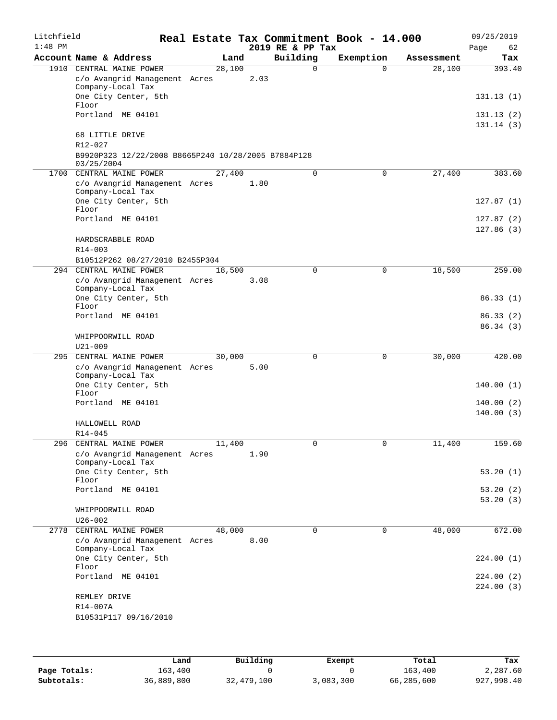| Litchfield<br>$1:48$ PM |                                                                                  |        |      | 2019 RE & PP Tax | Real Estate Tax Commitment Book - 14.000 |            | 09/25/2019<br>62<br>Page |
|-------------------------|----------------------------------------------------------------------------------|--------|------|------------------|------------------------------------------|------------|--------------------------|
|                         | Account Name & Address                                                           | Land   |      | Building         | Exemption                                | Assessment | Tax                      |
| 1910                    | CENTRAL MAINE POWER                                                              | 28,100 |      | $\Omega$         | $\Omega$                                 | 28,100     | 393.40                   |
|                         | c/o Avangrid Management Acres<br>Company-Local Tax                               |        | 2.03 |                  |                                          |            |                          |
|                         | One City Center, 5th<br>Floor                                                    |        |      |                  |                                          |            | 131.13(1)                |
|                         | Portland ME 04101                                                                |        |      |                  |                                          |            | 131.13(2)<br>131.14(3)   |
|                         | 68 LITTLE DRIVE                                                                  |        |      |                  |                                          |            |                          |
|                         | $R12 - 027$<br>B9920P323 12/22/2008 B8665P240 10/28/2005 B7884P128<br>03/25/2004 |        |      |                  |                                          |            |                          |
| 1700                    | CENTRAL MAINE POWER                                                              | 27,400 |      | 0                | 0                                        | 27,400     | 383.60                   |
|                         | c/o Avangrid Management Acres<br>Company-Local Tax                               |        | 1.80 |                  |                                          |            |                          |
|                         | One City Center, 5th<br>Floor                                                    |        |      |                  |                                          |            | 127.87(1)                |
|                         | Portland ME 04101                                                                |        |      |                  |                                          |            | 127.87(2)<br>127.86(3)   |
|                         | HARDSCRABBLE ROAD                                                                |        |      |                  |                                          |            |                          |
|                         | $R14 - 003$                                                                      |        |      |                  |                                          |            |                          |
| 294                     | B10512P262 08/27/2010 B2455P304<br>CENTRAL MAINE POWER                           | 18,500 |      | 0                | $\mathbf 0$                              | 18,500     | 259.00                   |
|                         | c/o Avangrid Management Acres                                                    |        | 3.08 |                  |                                          |            |                          |
|                         | Company-Local Tax<br>One City Center, 5th                                        |        |      |                  |                                          |            | 86.33(1)                 |
|                         | Floor                                                                            |        |      |                  |                                          |            |                          |
|                         | Portland ME 04101                                                                |        |      |                  |                                          |            | 86.33 (2)<br>86.34(3)    |
|                         | WHIPPOORWILL ROAD<br>$U21 - 009$                                                 |        |      |                  |                                          |            |                          |
| 295                     | CENTRAL MAINE POWER                                                              | 30,000 |      | 0                | 0                                        | 30,000     | 420.00                   |
|                         | c/o Avangrid Management Acres<br>Company-Local Tax                               |        | 5.00 |                  |                                          |            |                          |
|                         | One City Center, 5th<br>Floor                                                    |        |      |                  |                                          |            | 140.00(1)                |
|                         | Portland ME 04101                                                                |        |      |                  |                                          |            | 140.00(2)<br>140.00(3)   |
|                         | HALLOWELL ROAD<br>R14-045                                                        |        |      |                  |                                          |            |                          |
|                         | 296 CENTRAL MAINE POWER                                                          | 11,400 |      | 0                | 0                                        | 11,400     | 159.60                   |
|                         | c/o Avangrid Management Acres<br>Company-Local Tax                               |        | 1.90 |                  |                                          |            |                          |
|                         | One City Center, 5th<br>Floor                                                    |        |      |                  |                                          |            | 53.20(1)                 |
|                         | Portland ME 04101                                                                |        |      |                  |                                          |            | 53.20 (2)<br>53.20 (3)   |
|                         | WHIPPOORWILL ROAD<br>$U26 - 002$                                                 |        |      |                  |                                          |            |                          |
| 2778                    | CENTRAL MAINE POWER                                                              | 48,000 |      | 0                | 0                                        | 48,000     | 672.00                   |
|                         | c/o Avangrid Management Acres<br>Company-Local Tax                               |        | 8.00 |                  |                                          |            |                          |
|                         | One City Center, 5th<br>Floor                                                    |        |      |                  |                                          |            | 224.00 (1)               |
|                         | Portland ME 04101                                                                |        |      |                  |                                          |            | 224.00 (2)               |
|                         | REMLEY DRIVE                                                                     |        |      |                  |                                          |            | 224.00(3)                |
|                         | R14-007A                                                                         |        |      |                  |                                          |            |                          |
|                         | B10531P117 09/16/2010                                                            |        |      |                  |                                          |            |                          |

|              | Land       | Building   | Exempt    | Total      | Tax        |
|--------------|------------|------------|-----------|------------|------------|
| Page Totals: | 163,400    |            |           | 163,400    | 2,287.60   |
| Subtotals:   | 36,889,800 | 32,479,100 | 3,083,300 | 66,285,600 | 927,998.40 |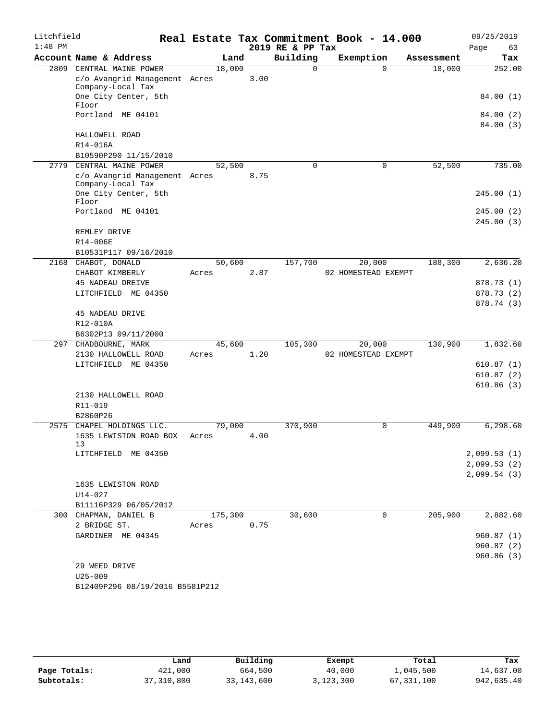| Litchfield<br>$1:48$ PM |                                                    |                 |      | 2019 RE & PP Tax | Real Estate Tax Commitment Book - 14.000 |            | 09/25/2019<br>63<br>Page   |
|-------------------------|----------------------------------------------------|-----------------|------|------------------|------------------------------------------|------------|----------------------------|
|                         | Account Name & Address                             | Land            |      | Building         | Exemption                                | Assessment | Tax                        |
|                         | 2809 CENTRAL MAINE POWER                           | 18,000          |      | $\Omega$         | $\Omega$                                 | 18,000     | 252.00                     |
|                         | c/o Avangrid Management Acres<br>Company-Local Tax |                 | 3.00 |                  |                                          |            |                            |
|                         | One City Center, 5th<br>Floor                      |                 |      |                  |                                          |            | 84.00 (1)                  |
|                         | Portland ME 04101                                  |                 |      |                  |                                          |            | 84.00 (2)<br>84.00 (3)     |
|                         | HALLOWELL ROAD<br>R14-016A                         |                 |      |                  |                                          |            |                            |
|                         | B10590P290 11/15/2010                              |                 |      |                  |                                          |            |                            |
| 2779                    | CENTRAL MAINE POWER                                | 52,500          |      | 0                | $\mathbf 0$                              | 52,500     | 735.00                     |
|                         | c/o Avangrid Management Acres<br>Company-Local Tax |                 | 8.75 |                  |                                          |            |                            |
|                         | One City Center, 5th<br>Floor                      |                 |      |                  |                                          |            | 245.00(1)                  |
|                         | Portland ME 04101                                  |                 |      |                  |                                          |            | 245.00(2)<br>245.00(3)     |
|                         | REMLEY DRIVE                                       |                 |      |                  |                                          |            |                            |
|                         | R14-006E                                           |                 |      |                  |                                          |            |                            |
|                         | B10531P117 09/16/2010                              |                 |      |                  |                                          |            |                            |
| 2168                    | CHABOT, DONALD                                     | 50,600          |      | 157,700          | 20,000                                   | 188,300    | 2,636.20                   |
|                         | CHABOT KIMBERLY                                    | Acres           | 2.87 |                  | 02 HOMESTEAD EXEMPT                      |            |                            |
|                         | <b>45 NADEAU DREIVE</b>                            |                 |      |                  |                                          |            | 878.73 (1)                 |
|                         | LITCHFIELD ME 04350                                |                 |      |                  |                                          |            | 878.73 (2)                 |
|                         |                                                    |                 |      |                  |                                          |            | 878.74 (3)                 |
|                         | 45 NADEAU DRIVE                                    |                 |      |                  |                                          |            |                            |
|                         | R12-010A                                           |                 |      |                  |                                          |            |                            |
|                         | B6302P13 09/11/2000                                |                 |      |                  |                                          |            |                            |
|                         | 297 CHADBOURNE, MARK<br>2130 HALLOWELL ROAD        | 45,600<br>Acres | 1.20 | 105,300          | 20,000<br>02 HOMESTEAD EXEMPT            | 130,900    | 1,832.60                   |
|                         | LITCHFIELD ME 04350                                |                 |      |                  |                                          |            | 610.87(1)                  |
|                         |                                                    |                 |      |                  |                                          |            | 610.87(2)                  |
|                         |                                                    |                 |      |                  |                                          |            | 610.86(3)                  |
|                         | 2130 HALLOWELL ROAD                                |                 |      |                  |                                          |            |                            |
|                         | R11-019                                            |                 |      |                  |                                          |            |                            |
|                         | B2860P26                                           |                 |      |                  |                                          |            |                            |
| 2575                    | CHAPEL HOLDINGS LLC.                               | 79,000          |      | 370,900          | 0                                        | 449,900    | 6,298.60                   |
|                         | 1635 LEWISTON ROAD BOX                             | Acres           | 4.00 |                  |                                          |            |                            |
|                         | 13                                                 |                 |      |                  |                                          |            |                            |
|                         | LITCHFIELD ME 04350                                |                 |      |                  |                                          |            | 2,099.53(1)<br>2,099.53(2) |
|                         |                                                    |                 |      |                  |                                          |            | 2,099.54(3)                |
|                         | 1635 LEWISTON ROAD                                 |                 |      |                  |                                          |            |                            |
|                         | $U14 - 027$                                        |                 |      |                  |                                          |            |                            |
|                         | B11116P329 06/05/2012                              |                 |      |                  |                                          |            |                            |
|                         | 300 CHAPMAN, DANIEL B                              | 175,300         |      | 30,600           | 0                                        | 205,900    | 2,882.60                   |
|                         | 2 BRIDGE ST.                                       | Acres           | 0.75 |                  |                                          |            |                            |
|                         | GARDINER ME 04345                                  |                 |      |                  |                                          |            | 960.87(1)                  |
|                         |                                                    |                 |      |                  |                                          |            | 960.87 (2)                 |
|                         |                                                    |                 |      |                  |                                          |            | 960.86(3)                  |
|                         | 29 WEED DRIVE                                      |                 |      |                  |                                          |            |                            |
|                         | $U25 - 009$                                        |                 |      |                  |                                          |            |                            |
|                         | B12409P296 08/19/2016 B5581P212                    |                 |      |                  |                                          |            |                            |

|              | Land       | Building   | Exempt    | Total        | Tax        |
|--------------|------------|------------|-----------|--------------|------------|
| Page Totals: | 421,000    | 664,500    | 40,000    | 1,045,500    | 14,637.00  |
| Subtotals:   | 37,310,800 | 33,143,600 | 3,123,300 | 67, 331, 100 | 942,635.40 |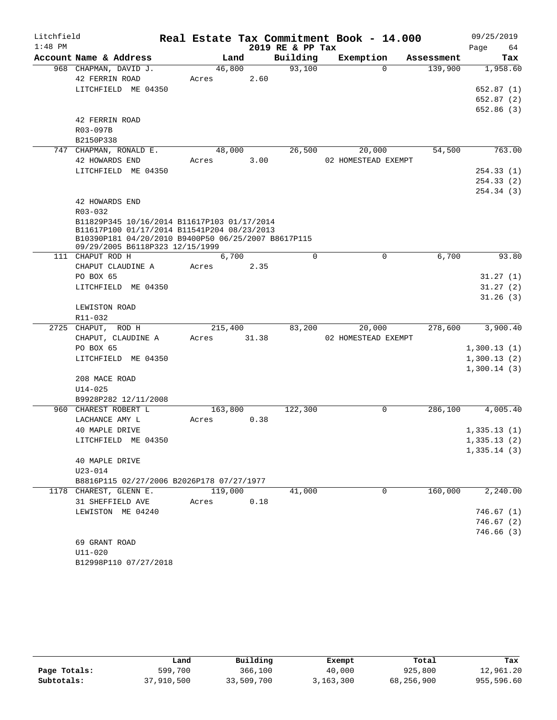| Litchfield |                                                                                                    |         |       |                  | Real Estate Tax Commitment Book - 14.000 |            | 09/25/2019  |
|------------|----------------------------------------------------------------------------------------------------|---------|-------|------------------|------------------------------------------|------------|-------------|
| $1:48$ PM  |                                                                                                    |         |       | 2019 RE & PP Tax |                                          |            | 64<br>Page  |
|            | Account Name & Address                                                                             | Land    |       | Building         | Exemption                                | Assessment | Tax         |
|            | 968 CHAPMAN, DAVID J.                                                                              | 46,800  |       | 93,100           | $\Omega$                                 | 139,900    | 1,958.60    |
|            | 42 FERRIN ROAD                                                                                     | Acres   | 2.60  |                  |                                          |            |             |
|            | LITCHFIELD ME 04350                                                                                |         |       |                  |                                          |            | 652.87(1)   |
|            |                                                                                                    |         |       |                  |                                          |            | 652.87(2)   |
|            |                                                                                                    |         |       |                  |                                          |            | 652.86 (3)  |
|            | 42 FERRIN ROAD                                                                                     |         |       |                  |                                          |            |             |
|            | R03-097B                                                                                           |         |       |                  |                                          |            |             |
|            | B2150P338                                                                                          |         |       |                  |                                          |            |             |
|            | 747 CHAPMAN, RONALD E.                                                                             | 48,000  |       | 26,500           | 20,000                                   | 54,500     | 763.00      |
|            | 42 HOWARDS END                                                                                     | Acres   | 3.00  |                  | 02 HOMESTEAD EXEMPT                      |            |             |
|            | LITCHFIELD ME 04350                                                                                |         |       |                  |                                          |            | 254.33(1)   |
|            |                                                                                                    |         |       |                  |                                          |            | 254.33(2)   |
|            |                                                                                                    |         |       |                  |                                          |            | 254.34 (3)  |
|            | 42 HOWARDS END                                                                                     |         |       |                  |                                          |            |             |
|            | $R03 - 032$                                                                                        |         |       |                  |                                          |            |             |
|            | B11829P345 10/16/2014 B11617P103 01/17/2014                                                        |         |       |                  |                                          |            |             |
|            | B11617P100 01/17/2014 B11541P204 08/23/2013<br>B10390P181 04/20/2010 B9400P50 06/25/2007 B8617P115 |         |       |                  |                                          |            |             |
|            | 09/29/2005 B6118P323 12/15/1999                                                                    |         |       |                  |                                          |            |             |
|            | 111 CHAPUT ROD H                                                                                   | 6,700   |       | $\Omega$         | 0                                        | 6,700      | 93.80       |
|            | CHAPUT CLAUDINE A                                                                                  | Acres   | 2.35  |                  |                                          |            |             |
|            | PO BOX 65                                                                                          |         |       |                  |                                          |            | 31.27(1)    |
|            | LITCHFIELD ME 04350                                                                                |         |       |                  |                                          |            | 31.27(2)    |
|            |                                                                                                    |         |       |                  |                                          |            | 31.26(3)    |
|            | LEWISTON ROAD                                                                                      |         |       |                  |                                          |            |             |
|            | R11-032                                                                                            |         |       |                  |                                          |            |             |
|            | 2725 CHAPUT, ROD H                                                                                 | 215,400 |       | 83,200           | 20,000                                   | 278,600    | 3,900.40    |
|            | CHAPUT, CLAUDINE A                                                                                 | Acres   | 31.38 |                  | 02 HOMESTEAD EXEMPT                      |            |             |
|            | PO BOX 65                                                                                          |         |       |                  |                                          |            | 1,300.13(1) |
|            | LITCHFIELD ME 04350                                                                                |         |       |                  |                                          |            | 1,300.13(2) |
|            |                                                                                                    |         |       |                  |                                          |            | 1,300.14(3) |
|            | 208 MACE ROAD                                                                                      |         |       |                  |                                          |            |             |
|            | $U14 - 025$                                                                                        |         |       |                  |                                          |            |             |
|            | B9928P282 12/11/2008                                                                               |         |       |                  |                                          |            |             |
|            | 960 CHAREST ROBERT L                                                                               | 163,800 |       | 122,300          | 0                                        | 286,100    | 4,005.40    |
|            | LACHANCE AMY L                                                                                     | Acres   | 0.38  |                  |                                          |            |             |
|            | 40 MAPLE DRIVE                                                                                     |         |       |                  |                                          |            | 1,335.13(1) |
|            | LITCHFIELD ME 04350                                                                                |         |       |                  |                                          |            | 1,335.13(2) |
|            |                                                                                                    |         |       |                  |                                          |            | 1,335.14(3) |
|            | 40 MAPLE DRIVE                                                                                     |         |       |                  |                                          |            |             |
|            | $U23 - 014$                                                                                        |         |       |                  |                                          |            |             |
|            | B8816P115 02/27/2006 B2026P178 07/27/1977                                                          |         |       |                  |                                          |            |             |
|            | 1178 CHAREST, GLENN E.                                                                             | 119,000 |       | 41,000           | $\Omega$                                 | 160,000    | 2,240.00    |
|            | 31 SHEFFIELD AVE                                                                                   | Acres   | 0.18  |                  |                                          |            |             |
|            | LEWISTON ME 04240                                                                                  |         |       |                  |                                          |            | 746.67(1)   |
|            |                                                                                                    |         |       |                  |                                          |            | 746.67(2)   |
|            |                                                                                                    |         |       |                  |                                          |            | 746.66(3)   |
|            | 69 GRANT ROAD                                                                                      |         |       |                  |                                          |            |             |
|            | $U11 - 020$                                                                                        |         |       |                  |                                          |            |             |
|            | B12998P110 07/27/2018                                                                              |         |       |                  |                                          |            |             |

|              | Land       | Building   | Exempt    | Total      | Tax        |
|--------------|------------|------------|-----------|------------|------------|
| Page Totals: | 599,700    | 366,100    | 40,000    | 925,800    | 12,961.20  |
| Subtotals:   | 37,910,500 | 33,509,700 | 3,163,300 | 68,256,900 | 955,596.60 |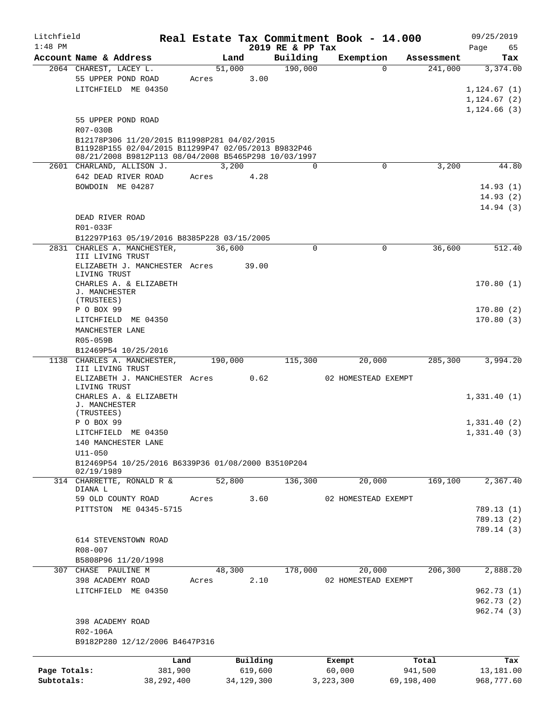| Litchfield<br>$1:48$ PM |                                                                                                    |       |              | 2019 RE & PP Tax | Real Estate Tax Commitment Book - 14.000 |            | 09/25/2019<br>65 |
|-------------------------|----------------------------------------------------------------------------------------------------|-------|--------------|------------------|------------------------------------------|------------|------------------|
|                         | Account Name & Address                                                                             |       | Land         | Building         | Exemption                                | Assessment | Page<br>Tax      |
|                         | 2064 CHAREST, LACEY L.                                                                             |       | 51,000       | 190,000          | $\Omega$                                 | 241,000    | 3,374.00         |
|                         | 55 UPPER POND ROAD                                                                                 | Acres | 3.00         |                  |                                          |            |                  |
|                         | LITCHFIELD ME 04350                                                                                |       |              |                  |                                          |            | 1,124.67(1)      |
|                         |                                                                                                    |       |              |                  |                                          |            | 1,124.67(2)      |
|                         |                                                                                                    |       |              |                  |                                          |            | 1,124.66(3)      |
|                         | 55 UPPER POND ROAD                                                                                 |       |              |                  |                                          |            |                  |
|                         |                                                                                                    |       |              |                  |                                          |            |                  |
|                         | R07-030B                                                                                           |       |              |                  |                                          |            |                  |
|                         | B12178P306 11/20/2015 B11998P281 04/02/2015<br>B11928P155 02/04/2015 B11299P47 02/05/2013 B9832P46 |       |              |                  |                                          |            |                  |
|                         | 08/21/2008 B9812P113 08/04/2008 B5465P298 10/03/1997                                               |       |              |                  |                                          |            |                  |
|                         | 2601 CHARLAND, ALLISON J.                                                                          |       | 3,200        | $\Omega$         | $\mathbf 0$                              | 3,200      | 44.80            |
|                         | 642 DEAD RIVER ROAD                                                                                | Acres | 4.28         |                  |                                          |            |                  |
|                         | BOWDOIN ME 04287                                                                                   |       |              |                  |                                          |            | 14.93(1)         |
|                         |                                                                                                    |       |              |                  |                                          |            | 14.93(2)         |
|                         |                                                                                                    |       |              |                  |                                          |            | 14.94(3)         |
|                         |                                                                                                    |       |              |                  |                                          |            |                  |
|                         | DEAD RIVER ROAD                                                                                    |       |              |                  |                                          |            |                  |
|                         | R01-033F                                                                                           |       |              |                  |                                          |            |                  |
|                         | B12297P163 05/19/2016 B8385P228 03/15/2005                                                         |       |              |                  |                                          |            |                  |
|                         | 2831 CHARLES A. MANCHESTER,<br>III LIVING TRUST                                                    |       | 36,600       | 0                | 0                                        | 36,600     | 512.40           |
|                         | ELIZABETH J. MANCHESTER Acres                                                                      |       | 39.00        |                  |                                          |            |                  |
|                         | LIVING TRUST                                                                                       |       |              |                  |                                          |            |                  |
|                         | CHARLES A. & ELIZABETH                                                                             |       |              |                  |                                          |            | 170.80(1)        |
|                         | J. MANCHESTER                                                                                      |       |              |                  |                                          |            |                  |
|                         | (TRUSTEES)                                                                                         |       |              |                  |                                          |            |                  |
|                         | P O BOX 99                                                                                         |       |              |                  |                                          |            | 170.80(2)        |
|                         | LITCHFIELD ME 04350                                                                                |       |              |                  |                                          |            | 170.80(3)        |
|                         | MANCHESTER LANE                                                                                    |       |              |                  |                                          |            |                  |
|                         | R05-059B                                                                                           |       |              |                  |                                          |            |                  |
|                         | B12469P54 10/25/2016                                                                               |       |              |                  |                                          |            |                  |
|                         | 1138 CHARLES A. MANCHESTER,                                                                        |       | 190,000      | 115,300          | 20,000                                   | 285,300    | 3,994.20         |
|                         | III LIVING TRUST                                                                                   |       |              |                  |                                          |            |                  |
|                         | ELIZABETH J. MANCHESTER Acres<br>LIVING TRUST                                                      |       | 0.62         |                  | 02 HOMESTEAD EXEMPT                      |            |                  |
|                         | CHARLES A. & ELIZABETH                                                                             |       |              |                  |                                          |            | 1,331.40(1)      |
|                         | J. MANCHESTER                                                                                      |       |              |                  |                                          |            |                  |
|                         | (TRUSTEES)                                                                                         |       |              |                  |                                          |            |                  |
|                         | P O BOX 99                                                                                         |       |              |                  |                                          |            | 1,331.40(2)      |
|                         | LITCHFIELD ME 04350                                                                                |       |              |                  |                                          |            | 1,331.40(3)      |
|                         | 140 MANCHESTER LANE                                                                                |       |              |                  |                                          |            |                  |
|                         | $U11 - 050$                                                                                        |       |              |                  |                                          |            |                  |
|                         | B12469P54 10/25/2016 B6339P36 01/08/2000 B3510P204                                                 |       |              |                  |                                          |            |                  |
|                         | 02/19/1989                                                                                         |       |              |                  |                                          |            |                  |
|                         | 314 CHARRETTE, RONALD R &                                                                          |       | 52,800       | 136,300          | 20,000                                   | 169,100    | 2,367.40         |
|                         | DIANA L                                                                                            |       |              |                  |                                          |            |                  |
|                         | 59 OLD COUNTY ROAD                                                                                 | Acres | 3.60         |                  | 02 HOMESTEAD EXEMPT                      |            |                  |
|                         | PITTSTON ME 04345-5715                                                                             |       |              |                  |                                          |            | 789.13 (1)       |
|                         |                                                                                                    |       |              |                  |                                          |            | 789.13(2)        |
|                         |                                                                                                    |       |              |                  |                                          |            | 789.14 (3)       |
|                         | 614 STEVENSTOWN ROAD                                                                               |       |              |                  |                                          |            |                  |
|                         | R08-007                                                                                            |       |              |                  |                                          |            |                  |
|                         | B5808P96 11/20/1998                                                                                |       |              |                  |                                          |            |                  |
| 307                     | CHASE PAULINE M                                                                                    |       | 48,300       | 178,000          | 20,000                                   | 206, 300   | 2,888.20         |
|                         | 398 ACADEMY ROAD                                                                                   | Acres | 2.10         |                  | 02 HOMESTEAD EXEMPT                      |            |                  |
|                         | LITCHFIELD ME 04350                                                                                |       |              |                  |                                          |            | 962.73(1)        |
|                         |                                                                                                    |       |              |                  |                                          |            | 962.73 (2)       |
|                         |                                                                                                    |       |              |                  |                                          |            | 962.74 (3)       |
|                         | 398 ACADEMY ROAD                                                                                   |       |              |                  |                                          |            |                  |
|                         | R02-106A                                                                                           |       |              |                  |                                          |            |                  |
|                         | B9182P280 12/12/2006 B4647P316                                                                     |       |              |                  |                                          |            |                  |
|                         |                                                                                                    |       |              |                  |                                          |            |                  |
|                         |                                                                                                    | Land  | Building     |                  | Exempt                                   | Total      | Tax              |
| Page Totals:            | 381,900                                                                                            |       | 619,600      |                  | 60,000                                   | 941,500    | 13,181.00        |
| Subtotals:              | 38, 292, 400                                                                                       |       | 34, 129, 300 |                  | 3,223,300                                | 69,198,400 | 968,777.60       |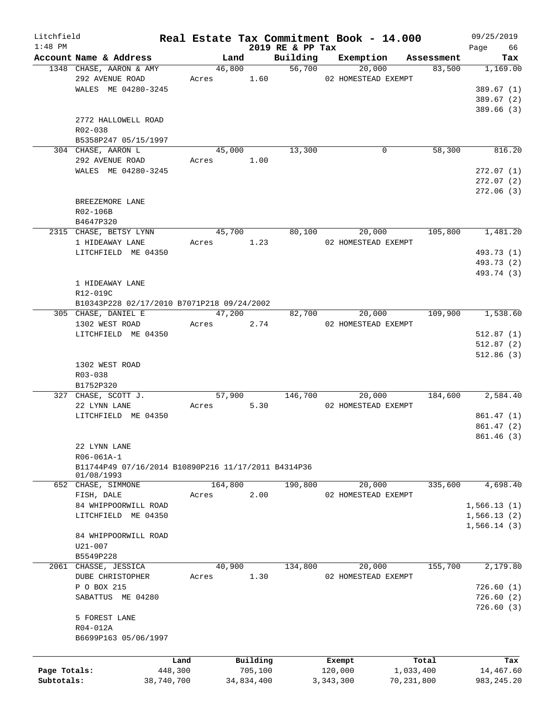| Litchfield   |                                                     |            |                |            |                  | Real Estate Tax Commitment Book - 14.000          |            |         | 09/25/2019      |
|--------------|-----------------------------------------------------|------------|----------------|------------|------------------|---------------------------------------------------|------------|---------|-----------------|
| $1:48$ PM    | Account Name & Address                              |            |                |            | 2019 RE & PP Tax |                                                   |            |         | Page 66         |
|              | 1348 CHASE, AARON & AMY                             |            | Land<br>46,800 |            |                  | Building Exemption Assessment<br>56,700<br>20,000 |            | 83,500  | Tax<br>1,169.00 |
|              | 292 AVENUE ROAD                                     |            | Acres 1.60     |            |                  | 02 HOMESTEAD EXEMPT                               |            |         |                 |
|              | WALES ME 04280-3245                                 |            |                |            |                  |                                                   |            |         | 389.67(1)       |
|              |                                                     |            |                |            |                  |                                                   |            |         | 389.67(2)       |
|              |                                                     |            |                |            |                  |                                                   |            |         | 389.66(3)       |
|              |                                                     |            |                |            |                  |                                                   |            |         |                 |
|              | 2772 HALLOWELL ROAD                                 |            |                |            |                  |                                                   |            |         |                 |
|              | R02-038                                             |            |                |            |                  |                                                   |            |         |                 |
|              | B5358P247 05/15/1997                                |            |                |            |                  |                                                   |            |         |                 |
|              | 304 CHASE, AARON L                                  |            | 45,000         |            | 13,300           |                                                   | 0          | 58,300  | 816.20          |
|              | 292 AVENUE ROAD                                     |            | Acres 1.00     |            |                  |                                                   |            |         |                 |
|              | WALES ME 04280-3245                                 |            |                |            |                  |                                                   |            |         | 272.07(1)       |
|              |                                                     |            |                |            |                  |                                                   |            |         | 272.07(2)       |
|              |                                                     |            |                |            |                  |                                                   |            |         | 272.06 (3)      |
|              | BREEZEMORE LANE                                     |            |                |            |                  |                                                   |            |         |                 |
|              | R02-106B                                            |            |                |            |                  |                                                   |            |         |                 |
|              | B4647P320                                           |            |                |            |                  |                                                   |            |         |                 |
|              | 2315 CHASE, BETSY LYNN                              |            | 45,700         |            | 80,100           | 20,000                                            |            | 105,800 | 1,481.20        |
|              | 1 HIDEAWAY LANE                                     |            | Acres 1.23     |            |                  | 02 HOMESTEAD EXEMPT                               |            |         |                 |
|              | LITCHFIELD ME 04350                                 |            |                |            |                  |                                                   |            |         | 493.73 (1)      |
|              |                                                     |            |                |            |                  |                                                   |            |         | 493.73 (2)      |
|              |                                                     |            |                |            |                  |                                                   |            |         | 493.74 (3)      |
|              | 1 HIDEAWAY LANE                                     |            |                |            |                  |                                                   |            |         |                 |
|              | R12-019C                                            |            |                |            |                  |                                                   |            |         |                 |
|              | B10343P228 02/17/2010 B7071P218 09/24/2002          |            |                |            |                  |                                                   |            |         |                 |
|              | 305 CHASE, DANIEL E                                 |            | 47,200         |            |                  | 20,000<br>82,700                                  |            | 109,900 | 1,538.60        |
|              | 1302 WEST ROAD                                      |            | Acres 2.74     |            |                  |                                                   |            |         |                 |
|              |                                                     |            |                |            |                  | 02 HOMESTEAD EXEMPT                               |            |         |                 |
|              | LITCHFIELD ME 04350                                 |            |                |            |                  |                                                   |            |         | 512.87(1)       |
|              |                                                     |            |                |            |                  |                                                   |            |         | 512.87(2)       |
|              |                                                     |            |                |            |                  |                                                   |            |         | 512.86(3)       |
|              | 1302 WEST ROAD                                      |            |                |            |                  |                                                   |            |         |                 |
|              | R03-038                                             |            |                |            |                  |                                                   |            |         |                 |
|              | B1752P320                                           |            |                |            |                  |                                                   |            |         |                 |
|              | 327 CHASE, SCOTT J.                                 |            | 57,900         |            |                  | 146,700<br>20,000                                 |            | 184,600 | 2,584.40        |
|              | 22 LYNN LANE                                        |            | Acres          | 5.30       |                  | 02 HOMESTEAD EXEMPT                               |            |         |                 |
|              | LITCHFIELD ME 04350                                 |            |                |            |                  |                                                   |            |         | 861.47(1)       |
|              |                                                     |            |                |            |                  |                                                   |            |         | 861.47(2)       |
|              |                                                     |            |                |            |                  |                                                   |            |         | 861.46(3)       |
|              | 22 LYNN LANE                                        |            |                |            |                  |                                                   |            |         |                 |
|              | R06-061A-1                                          |            |                |            |                  |                                                   |            |         |                 |
|              | B11744P49 07/16/2014 B10890P216 11/17/2011 B4314P36 |            |                |            |                  |                                                   |            |         |                 |
|              | 01/08/1993                                          |            |                |            |                  |                                                   |            |         |                 |
|              | 652 CHASE, SIMMONE                                  |            | 164,800        |            | 190,800          | 20,000                                            |            | 335,600 | 4,698.40        |
|              | FISH, DALE                                          | Acres      |                | 2.00       |                  | 02 HOMESTEAD EXEMPT                               |            |         |                 |
|              | 84 WHIPPOORWILL ROAD                                |            |                |            |                  |                                                   |            |         | 1,566.13(1)     |
|              | LITCHFIELD ME 04350                                 |            |                |            |                  |                                                   |            |         | 1,566.13(2)     |
|              |                                                     |            |                |            |                  |                                                   |            |         | 1,566.14(3)     |
|              | 84 WHIPPOORWILL ROAD                                |            |                |            |                  |                                                   |            |         |                 |
|              | U21-007                                             |            |                |            |                  |                                                   |            |         |                 |
|              | B5549P228                                           |            |                |            |                  |                                                   |            |         |                 |
|              | 2061 CHASSE, JESSICA                                |            | 40,900         |            | 134,800          | 20,000                                            |            | 155,700 | 2,179.80        |
|              | DUBE CHRISTOPHER                                    |            |                | 1.30       |                  |                                                   |            |         |                 |
|              | P O BOX 215                                         | Acres      |                |            |                  | 02 HOMESTEAD EXEMPT                               |            |         | 726.60(1)       |
|              |                                                     |            |                |            |                  |                                                   |            |         |                 |
|              | SABATTUS ME 04280                                   |            |                |            |                  |                                                   |            |         | 726.60(2)       |
|              |                                                     |            |                |            |                  |                                                   |            |         | 726.60(3)       |
|              | 5 FOREST LANE                                       |            |                |            |                  |                                                   |            |         |                 |
|              | R04-012A                                            |            |                |            |                  |                                                   |            |         |                 |
|              | B6699P163 05/06/1997                                |            |                |            |                  |                                                   |            |         |                 |
|              |                                                     |            |                |            |                  |                                                   |            |         |                 |
|              |                                                     | Land       |                | Building   |                  | Exempt                                            |            | Total   | Tax             |
| Page Totals: |                                                     | 448,300    |                | 705,100    |                  | 120,000                                           | 1,033,400  |         | 14,467.60       |
| Subtotals:   |                                                     | 38,740,700 |                | 34,834,400 |                  | 3, 343, 300                                       | 70,231,800 |         | 983, 245. 20    |
|              |                                                     |            |                |            |                  |                                                   |            |         |                 |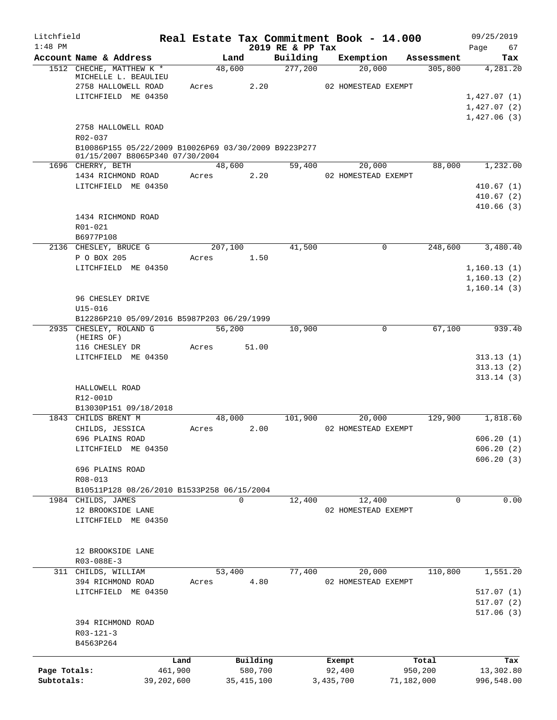| Litchfield   |                                                                                         |         |              |                              | Real Estate Tax Commitment Book - 14.000 |            | 09/25/2019        |
|--------------|-----------------------------------------------------------------------------------------|---------|--------------|------------------------------|------------------------------------------|------------|-------------------|
| $1:48$ PM    | Account Name & Address                                                                  |         | Land         | 2019 RE & PP Tax<br>Building | Exemption                                | Assessment | Page<br>67<br>Tax |
|              | 1512 CHECHE, MATTHEW K *                                                                | 48,600  |              | 277,200                      | 20,000                                   | 305,800    | 4,281.20          |
|              | MICHELLE L. BEAULIEU                                                                    |         |              |                              |                                          |            |                   |
|              | 2758 HALLOWELL ROAD                                                                     | Acres   | 2.20         |                              | 02 HOMESTEAD EXEMPT                      |            |                   |
|              | LITCHFIELD ME 04350                                                                     |         |              |                              |                                          |            | 1,427.07(1)       |
|              |                                                                                         |         |              |                              |                                          |            | 1,427.07(2)       |
|              |                                                                                         |         |              |                              |                                          |            | 1,427.06(3)       |
|              | 2758 HALLOWELL ROAD<br>R02-037                                                          |         |              |                              |                                          |            |                   |
|              | B10086P155 05/22/2009 B10026P69 03/30/2009 B9223P277<br>01/15/2007 B8065P340 07/30/2004 |         |              |                              |                                          |            |                   |
|              | 1696 CHERRY, BETH                                                                       | 48,600  |              | 59,400                       | 20,000                                   | 88,000     | 1,232.00          |
|              | 1434 RICHMOND ROAD                                                                      | Acres   | 2.20         |                              | 02 HOMESTEAD EXEMPT                      |            |                   |
|              | LITCHFIELD ME 04350                                                                     |         |              |                              |                                          |            | 410.67(1)         |
|              |                                                                                         |         |              |                              |                                          |            | 410.67(2)         |
|              |                                                                                         |         |              |                              |                                          |            | 410.66(3)         |
|              | 1434 RICHMOND ROAD                                                                      |         |              |                              |                                          |            |                   |
|              | R01-021                                                                                 |         |              |                              |                                          |            |                   |
|              | B6977P108                                                                               |         |              |                              |                                          |            |                   |
|              | 2136 CHESLEY, BRUCE G                                                                   | 207,100 |              | 41,500                       | 0                                        | 248,600    | 3,480.40          |
|              | P O BOX 205                                                                             | Acres   | 1.50         |                              |                                          |            |                   |
|              | LITCHFIELD ME 04350                                                                     |         |              |                              |                                          |            | 1, 160.13(1)      |
|              |                                                                                         |         |              |                              |                                          |            | 1,160.13(2)       |
|              |                                                                                         |         |              |                              |                                          |            | 1,160.14(3)       |
|              | 96 CHESLEY DRIVE                                                                        |         |              |                              |                                          |            |                   |
|              | $U15 - 016$                                                                             |         |              |                              |                                          |            |                   |
|              | B12286P210 05/09/2016 B5987P203 06/29/1999                                              |         |              |                              |                                          |            |                   |
|              | 2935 CHESLEY, ROLAND G                                                                  | 56,200  |              | 10,900                       | 0                                        | 67,100     | 939.40            |
|              | (HEIRS OF)                                                                              |         |              |                              |                                          |            |                   |
|              | 116 CHESLEY DR<br>LITCHFIELD ME 04350                                                   | Acres   | 51.00        |                              |                                          |            | 313.13(1)         |
|              |                                                                                         |         |              |                              |                                          |            | 313.13(2)         |
|              |                                                                                         |         |              |                              |                                          |            | 313.14(3)         |
|              | HALLOWELL ROAD                                                                          |         |              |                              |                                          |            |                   |
|              | R12-001D                                                                                |         |              |                              |                                          |            |                   |
|              | B13030P151 09/18/2018                                                                   |         |              |                              |                                          |            |                   |
|              | 1843 CHILDS BRENT M                                                                     | 48,000  |              | 101,900                      | 20,000                                   | 129,900    | 1,818.60          |
|              | CHILDS, JESSICA                                                                         | Acres   | 2.00         |                              | 02 HOMESTEAD EXEMPT                      |            |                   |
|              | 696 PLAINS ROAD                                                                         |         |              |                              |                                          |            | 606.20(1)         |
|              | LITCHFIELD ME 04350                                                                     |         |              |                              |                                          |            | 606.20(2)         |
|              |                                                                                         |         |              |                              |                                          |            | 606.20(3)         |
|              | 696 PLAINS ROAD                                                                         |         |              |                              |                                          |            |                   |
|              | R08-013                                                                                 |         |              |                              |                                          |            |                   |
|              | B10511P128 08/26/2010 B1533P258 06/15/2004                                              |         |              |                              |                                          |            |                   |
|              | 1984 CHILDS, JAMES                                                                      |         | 0            | 12,400                       | 12,400                                   | 0          | 0.00              |
|              | 12 BROOKSIDE LANE                                                                       |         |              |                              | 02 HOMESTEAD EXEMPT                      |            |                   |
|              | LITCHFIELD ME 04350                                                                     |         |              |                              |                                          |            |                   |
|              |                                                                                         |         |              |                              |                                          |            |                   |
|              |                                                                                         |         |              |                              |                                          |            |                   |
|              | 12 BROOKSIDE LANE                                                                       |         |              |                              |                                          |            |                   |
|              | R03-088E-3                                                                              |         |              |                              |                                          |            |                   |
|              | 311 CHILDS, WILLIAM                                                                     | 53,400  |              | 77,400                       | 20,000                                   | 110,800    | 1,551.20          |
|              | 394 RICHMOND ROAD                                                                       | Acres   | 4.80         |                              | 02 HOMESTEAD EXEMPT                      |            |                   |
|              | LITCHFIELD ME 04350                                                                     |         |              |                              |                                          |            | 517.07(1)         |
|              |                                                                                         |         |              |                              |                                          |            | 517.07(2)         |
|              | 394 RICHMOND ROAD                                                                       |         |              |                              |                                          |            | 517.06(3)         |
|              | $R03 - 121 - 3$                                                                         |         |              |                              |                                          |            |                   |
|              | B4563P264                                                                               |         |              |                              |                                          |            |                   |
|              |                                                                                         |         |              |                              |                                          |            |                   |
|              |                                                                                         | Land    | Building     |                              | Exempt                                   | Total      | Tax               |
| Page Totals: |                                                                                         | 461,900 | 580,700      |                              | 92,400                                   | 950,200    | 13,302.80         |
| Subtotals:   | 39,202,600                                                                              |         | 35, 415, 100 |                              | 3,435,700                                | 71,182,000 | 996,548.00        |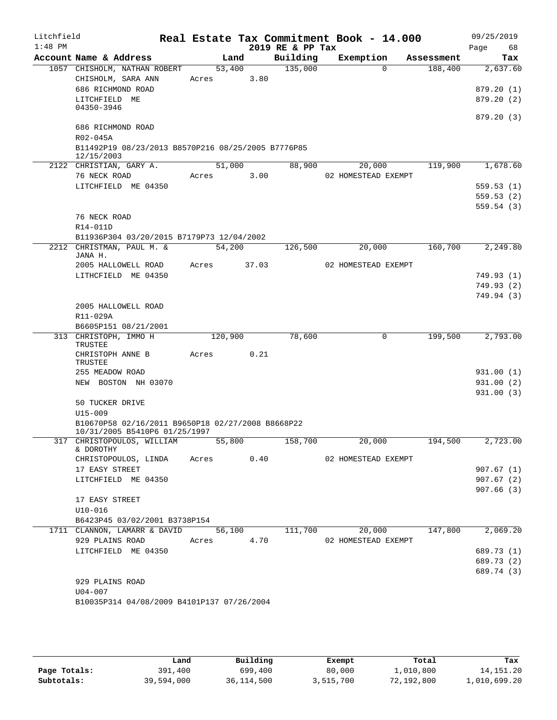| Litchfield |                                                                  |            |        |                  | Real Estate Tax Commitment Book - 14.000 |            | 09/25/2019               |
|------------|------------------------------------------------------------------|------------|--------|------------------|------------------------------------------|------------|--------------------------|
| $1:48$ PM  |                                                                  |            |        | 2019 RE & PP Tax |                                          |            | Page<br>68               |
|            | Account Name & Address                                           | Land       |        | Building         | Exemption                                | Assessment | Tax                      |
|            | 1057 CHISHOLM, NATHAN ROBERT<br>CHISHOLM, SARA ANN               | 53,400     | 3.80   | 135,000          | $\Omega$                                 | 188,400    | 2,637.60                 |
|            | 686 RICHMOND ROAD                                                | Acres      |        |                  |                                          |            | 879.20(1)                |
|            | LITCHFIELD ME                                                    |            |        |                  |                                          |            | 879.20 (2)               |
|            | 04350-3946                                                       |            |        |                  |                                          |            |                          |
|            |                                                                  |            |        |                  |                                          |            | 879.20(3)                |
|            | 686 RICHMOND ROAD                                                |            |        |                  |                                          |            |                          |
|            | R02-045A                                                         |            |        |                  |                                          |            |                          |
|            | B11492P19 08/23/2013 B8570P216 08/25/2005 B7776P85<br>12/15/2003 |            |        |                  |                                          |            |                          |
|            | 2122 CHRISTIAN, GARY A.                                          |            | 51,000 | 88,900           | 20,000                                   | 119,900    | 1,678.60                 |
|            | 76 NECK ROAD                                                     | Acres      | 3.00   |                  | 02 HOMESTEAD EXEMPT                      |            |                          |
|            | LITCHFIELD ME 04350                                              |            |        |                  |                                          |            | 559.53(1)                |
|            |                                                                  |            |        |                  |                                          |            | 559.53(2)                |
|            |                                                                  |            |        |                  |                                          |            | 559.54(3)                |
|            | 76 NECK ROAD                                                     |            |        |                  |                                          |            |                          |
|            | R14-011D                                                         |            |        |                  |                                          |            |                          |
|            | B11936P304 03/20/2015 B7179P73 12/04/2002                        |            |        |                  |                                          |            |                          |
|            | 2212 CHRISTMAN, PAUL M. &<br>JANA H.                             | 54,200     |        | 126,500          | 20,000                                   | 160,700    | 2, 249.80                |
|            | 2005 HALLOWELL ROAD                                              | Acres      | 37.03  |                  | 02 HOMESTEAD EXEMPT                      |            |                          |
|            | LITHCFIELD ME 04350                                              |            |        |                  |                                          |            | 749.93 (1)               |
|            |                                                                  |            |        |                  |                                          |            | 749.93 (2)               |
|            |                                                                  |            |        |                  |                                          |            | 749.94 (3)               |
|            | 2005 HALLOWELL ROAD                                              |            |        |                  |                                          |            |                          |
|            | R11-029A                                                         |            |        |                  |                                          |            |                          |
|            | B6605P151 08/21/2001                                             |            |        |                  |                                          |            |                          |
|            | 313 CHRISTOPH, IMMO H<br>TRUSTEE                                 | 120,900    |        | 78,600           | $\mathbf 0$                              | 199,500    | 2,793.00                 |
|            | CHRISTOPH ANNE B                                                 | Acres      | 0.21   |                  |                                          |            |                          |
|            | TRUSTEE                                                          |            |        |                  |                                          |            |                          |
|            | 255 MEADOW ROAD                                                  |            |        |                  |                                          |            | 931.00 (1)<br>931.00 (2) |
|            | NEW BOSTON NH 03070                                              |            |        |                  |                                          |            | 931.00(3)                |
|            | 50 TUCKER DRIVE                                                  |            |        |                  |                                          |            |                          |
|            | $U15 - 009$                                                      |            |        |                  |                                          |            |                          |
|            | B10670P58 02/16/2011 B9650P18 02/27/2008 B8668P22                |            |        |                  |                                          |            |                          |
|            | 10/31/2005 B5410P6 01/25/1997                                    |            |        |                  |                                          |            |                          |
|            | 317 CHRISTOPOULOS, WILLIAM 55,800<br>& DOROTHY                   |            |        | 158,700          | 20,000                                   | 194,500    | 2,723.00                 |
|            | CHRISTOPOULOS, LINDA Acres 0.40                                  |            |        |                  | 02 HOMESTEAD EXEMPT                      |            |                          |
|            | 17 EASY STREET                                                   |            |        |                  |                                          |            | 907.67(1)                |
|            | LITCHFIELD ME 04350                                              |            |        |                  |                                          |            | 907.67(2)                |
|            |                                                                  |            |        |                  |                                          |            | 907.66(3)                |
|            | 17 EASY STREET                                                   |            |        |                  |                                          |            |                          |
|            | $U10 - 016$                                                      |            |        |                  |                                          |            |                          |
|            | B6423P45 03/02/2001 B3738P154                                    |            |        |                  |                                          |            |                          |
|            | 1711 CLANNON, LAMARR & DAVID                                     |            | 56,100 | 111,700          | 20,000                                   | 147,800    | 2,069.20                 |
|            | 929 PLAINS ROAD                                                  | Acres 4.70 |        |                  | 02 HOMESTEAD EXEMPT                      |            |                          |
|            | LITCHFIELD ME 04350                                              |            |        |                  |                                          |            | 689.73 (1)               |
|            |                                                                  |            |        |                  |                                          |            | 689.73 (2)<br>689.74 (3) |
|            | 929 PLAINS ROAD                                                  |            |        |                  |                                          |            |                          |
|            | $U04 - 007$                                                      |            |        |                  |                                          |            |                          |
|            | B10035P314 04/08/2009 B4101P137 07/26/2004                       |            |        |                  |                                          |            |                          |
|            |                                                                  |            |        |                  |                                          |            |                          |

|              | Land       | Building     | Exempt    | Total      | Tax          |
|--------------|------------|--------------|-----------|------------|--------------|
| Page Totals: | 391,400    | 699,400      | 80,000    | 1,010,800  | 14,151.20    |
| Subtotals:   | 39,594,000 | 36, 114, 500 | 3,515,700 | 72,192,800 | 1,010,699.20 |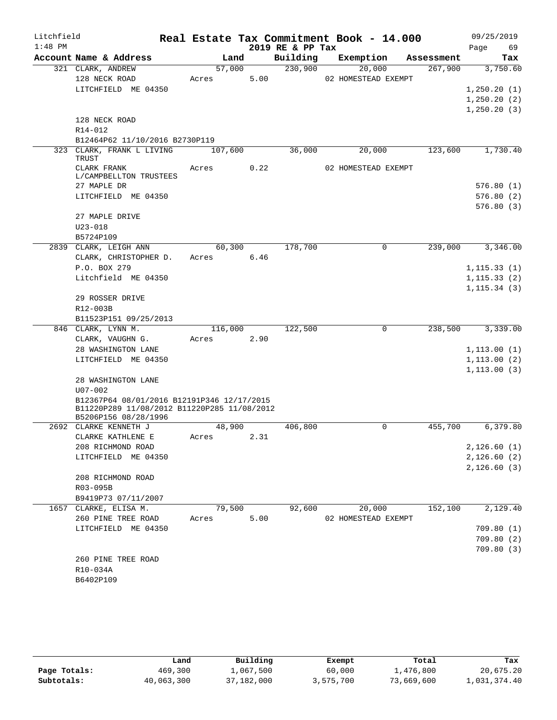| $1:48$ PM<br>2019 RE & PP Tax<br>69<br>Page<br>Account Name & Address<br>Land<br>Building<br>Exemption<br>Assessment<br>Tax<br>230,900<br>57,000<br>20,000<br>267,900<br>3,750.60<br>321 CLARK, ANDREW<br>5.00<br>128 NECK ROAD<br>02 HOMESTEAD EXEMPT<br>Acres<br>LITCHFIELD ME 04350<br>1, 250.20(1)<br>1, 250.20(2)<br>1, 250.20(3)<br>128 NECK ROAD<br>R14-012<br>B12464P62 11/10/2016 B2730P119<br>36,000<br>123,600<br>1,730.40<br>323 CLARK, FRANK L LIVING<br>107,600<br>20,000<br>TRUST<br>0.22<br>CLARK FRANK<br>Acres<br>02 HOMESTEAD EXEMPT<br>L/CAMPBELLTON TRUSTEES<br>576.80(1)<br>27 MAPLE DR<br>LITCHFIELD ME 04350<br>576.80(2)<br>576.80(3)<br>27 MAPLE DRIVE<br>$U23 - 018$<br>B5724P109<br>178,700<br>2839 CLARK, LEIGH ANN<br>60,300<br>239,000<br>3,346.00<br>$\mathbf 0$<br>CLARK, CHRISTOPHER D.<br>6.46<br>Acres<br>P.O. BOX 279<br>1, 115.33(1)<br>Litchfield ME 04350<br>1, 115.33(2)<br>1, 115.34(3)<br>29 ROSSER DRIVE<br>R12-003B<br>B11523P151 09/25/2013<br>846 CLARK, LYNN M.<br>122,500<br>238,500<br>3,339.00<br>116,000<br>0<br>2.90<br>CLARK, VAUGHN G.<br>Acres<br>28 WASHINGTON LANE<br>1, 113.00(1)<br>LITCHFIELD ME 04350<br>1, 113.00(2)<br>1, 113.00(3)<br>28 WASHINGTON LANE<br>$U07 - 002$<br>B12367P64 08/01/2016 B12191P346 12/17/2015<br>B11220P289 11/08/2012 B11220P285 11/08/2012<br>B5206P156 08/28/1996<br>2692 CLARKE KENNETH J<br>48,900<br>406,800<br>0<br>455,700<br>6,379.80<br>CLARKE KATHLENE E<br>2.31<br>Acres<br>2,126.60(1)<br>208 RICHMOND ROAD<br>2,126.60(2)<br>LITCHFIELD ME 04350<br>2,126.60(3)<br>208 RICHMOND ROAD<br>R03-095B<br>B9419P73 07/11/2007<br>79,500<br>92,600<br>20,000<br>152,100<br>2,129.40<br>1657 CLARKE, ELISA M.<br>5.00<br>260 PINE TREE ROAD<br>Acres<br>02 HOMESTEAD EXEMPT<br>LITCHFIELD ME 04350<br>709.80(1)<br>709.80(2)<br>709.80(3)<br>260 PINE TREE ROAD<br>R10-034A<br>B6402P109 | Litchfield |  |  |  | Real Estate Tax Commitment Book - 14.000 | 09/25/2019 |
|-----------------------------------------------------------------------------------------------------------------------------------------------------------------------------------------------------------------------------------------------------------------------------------------------------------------------------------------------------------------------------------------------------------------------------------------------------------------------------------------------------------------------------------------------------------------------------------------------------------------------------------------------------------------------------------------------------------------------------------------------------------------------------------------------------------------------------------------------------------------------------------------------------------------------------------------------------------------------------------------------------------------------------------------------------------------------------------------------------------------------------------------------------------------------------------------------------------------------------------------------------------------------------------------------------------------------------------------------------------------------------------------------------------------------------------------------------------------------------------------------------------------------------------------------------------------------------------------------------------------------------------------------------------------------------------------------------------------------------------------------------------------------------------------------------------------------------------------------------------------------------------------|------------|--|--|--|------------------------------------------|------------|
|                                                                                                                                                                                                                                                                                                                                                                                                                                                                                                                                                                                                                                                                                                                                                                                                                                                                                                                                                                                                                                                                                                                                                                                                                                                                                                                                                                                                                                                                                                                                                                                                                                                                                                                                                                                                                                                                                         |            |  |  |  |                                          |            |
|                                                                                                                                                                                                                                                                                                                                                                                                                                                                                                                                                                                                                                                                                                                                                                                                                                                                                                                                                                                                                                                                                                                                                                                                                                                                                                                                                                                                                                                                                                                                                                                                                                                                                                                                                                                                                                                                                         |            |  |  |  |                                          |            |
|                                                                                                                                                                                                                                                                                                                                                                                                                                                                                                                                                                                                                                                                                                                                                                                                                                                                                                                                                                                                                                                                                                                                                                                                                                                                                                                                                                                                                                                                                                                                                                                                                                                                                                                                                                                                                                                                                         |            |  |  |  |                                          |            |
|                                                                                                                                                                                                                                                                                                                                                                                                                                                                                                                                                                                                                                                                                                                                                                                                                                                                                                                                                                                                                                                                                                                                                                                                                                                                                                                                                                                                                                                                                                                                                                                                                                                                                                                                                                                                                                                                                         |            |  |  |  |                                          |            |
|                                                                                                                                                                                                                                                                                                                                                                                                                                                                                                                                                                                                                                                                                                                                                                                                                                                                                                                                                                                                                                                                                                                                                                                                                                                                                                                                                                                                                                                                                                                                                                                                                                                                                                                                                                                                                                                                                         |            |  |  |  |                                          |            |
|                                                                                                                                                                                                                                                                                                                                                                                                                                                                                                                                                                                                                                                                                                                                                                                                                                                                                                                                                                                                                                                                                                                                                                                                                                                                                                                                                                                                                                                                                                                                                                                                                                                                                                                                                                                                                                                                                         |            |  |  |  |                                          |            |
|                                                                                                                                                                                                                                                                                                                                                                                                                                                                                                                                                                                                                                                                                                                                                                                                                                                                                                                                                                                                                                                                                                                                                                                                                                                                                                                                                                                                                                                                                                                                                                                                                                                                                                                                                                                                                                                                                         |            |  |  |  |                                          |            |
|                                                                                                                                                                                                                                                                                                                                                                                                                                                                                                                                                                                                                                                                                                                                                                                                                                                                                                                                                                                                                                                                                                                                                                                                                                                                                                                                                                                                                                                                                                                                                                                                                                                                                                                                                                                                                                                                                         |            |  |  |  |                                          |            |
|                                                                                                                                                                                                                                                                                                                                                                                                                                                                                                                                                                                                                                                                                                                                                                                                                                                                                                                                                                                                                                                                                                                                                                                                                                                                                                                                                                                                                                                                                                                                                                                                                                                                                                                                                                                                                                                                                         |            |  |  |  |                                          |            |
|                                                                                                                                                                                                                                                                                                                                                                                                                                                                                                                                                                                                                                                                                                                                                                                                                                                                                                                                                                                                                                                                                                                                                                                                                                                                                                                                                                                                                                                                                                                                                                                                                                                                                                                                                                                                                                                                                         |            |  |  |  |                                          |            |
|                                                                                                                                                                                                                                                                                                                                                                                                                                                                                                                                                                                                                                                                                                                                                                                                                                                                                                                                                                                                                                                                                                                                                                                                                                                                                                                                                                                                                                                                                                                                                                                                                                                                                                                                                                                                                                                                                         |            |  |  |  |                                          |            |
|                                                                                                                                                                                                                                                                                                                                                                                                                                                                                                                                                                                                                                                                                                                                                                                                                                                                                                                                                                                                                                                                                                                                                                                                                                                                                                                                                                                                                                                                                                                                                                                                                                                                                                                                                                                                                                                                                         |            |  |  |  |                                          |            |
|                                                                                                                                                                                                                                                                                                                                                                                                                                                                                                                                                                                                                                                                                                                                                                                                                                                                                                                                                                                                                                                                                                                                                                                                                                                                                                                                                                                                                                                                                                                                                                                                                                                                                                                                                                                                                                                                                         |            |  |  |  |                                          |            |
|                                                                                                                                                                                                                                                                                                                                                                                                                                                                                                                                                                                                                                                                                                                                                                                                                                                                                                                                                                                                                                                                                                                                                                                                                                                                                                                                                                                                                                                                                                                                                                                                                                                                                                                                                                                                                                                                                         |            |  |  |  |                                          |            |
|                                                                                                                                                                                                                                                                                                                                                                                                                                                                                                                                                                                                                                                                                                                                                                                                                                                                                                                                                                                                                                                                                                                                                                                                                                                                                                                                                                                                                                                                                                                                                                                                                                                                                                                                                                                                                                                                                         |            |  |  |  |                                          |            |
|                                                                                                                                                                                                                                                                                                                                                                                                                                                                                                                                                                                                                                                                                                                                                                                                                                                                                                                                                                                                                                                                                                                                                                                                                                                                                                                                                                                                                                                                                                                                                                                                                                                                                                                                                                                                                                                                                         |            |  |  |  |                                          |            |
|                                                                                                                                                                                                                                                                                                                                                                                                                                                                                                                                                                                                                                                                                                                                                                                                                                                                                                                                                                                                                                                                                                                                                                                                                                                                                                                                                                                                                                                                                                                                                                                                                                                                                                                                                                                                                                                                                         |            |  |  |  |                                          |            |
|                                                                                                                                                                                                                                                                                                                                                                                                                                                                                                                                                                                                                                                                                                                                                                                                                                                                                                                                                                                                                                                                                                                                                                                                                                                                                                                                                                                                                                                                                                                                                                                                                                                                                                                                                                                                                                                                                         |            |  |  |  |                                          |            |
|                                                                                                                                                                                                                                                                                                                                                                                                                                                                                                                                                                                                                                                                                                                                                                                                                                                                                                                                                                                                                                                                                                                                                                                                                                                                                                                                                                                                                                                                                                                                                                                                                                                                                                                                                                                                                                                                                         |            |  |  |  |                                          |            |
|                                                                                                                                                                                                                                                                                                                                                                                                                                                                                                                                                                                                                                                                                                                                                                                                                                                                                                                                                                                                                                                                                                                                                                                                                                                                                                                                                                                                                                                                                                                                                                                                                                                                                                                                                                                                                                                                                         |            |  |  |  |                                          |            |
|                                                                                                                                                                                                                                                                                                                                                                                                                                                                                                                                                                                                                                                                                                                                                                                                                                                                                                                                                                                                                                                                                                                                                                                                                                                                                                                                                                                                                                                                                                                                                                                                                                                                                                                                                                                                                                                                                         |            |  |  |  |                                          |            |
|                                                                                                                                                                                                                                                                                                                                                                                                                                                                                                                                                                                                                                                                                                                                                                                                                                                                                                                                                                                                                                                                                                                                                                                                                                                                                                                                                                                                                                                                                                                                                                                                                                                                                                                                                                                                                                                                                         |            |  |  |  |                                          |            |
|                                                                                                                                                                                                                                                                                                                                                                                                                                                                                                                                                                                                                                                                                                                                                                                                                                                                                                                                                                                                                                                                                                                                                                                                                                                                                                                                                                                                                                                                                                                                                                                                                                                                                                                                                                                                                                                                                         |            |  |  |  |                                          |            |
|                                                                                                                                                                                                                                                                                                                                                                                                                                                                                                                                                                                                                                                                                                                                                                                                                                                                                                                                                                                                                                                                                                                                                                                                                                                                                                                                                                                                                                                                                                                                                                                                                                                                                                                                                                                                                                                                                         |            |  |  |  |                                          |            |
|                                                                                                                                                                                                                                                                                                                                                                                                                                                                                                                                                                                                                                                                                                                                                                                                                                                                                                                                                                                                                                                                                                                                                                                                                                                                                                                                                                                                                                                                                                                                                                                                                                                                                                                                                                                                                                                                                         |            |  |  |  |                                          |            |
|                                                                                                                                                                                                                                                                                                                                                                                                                                                                                                                                                                                                                                                                                                                                                                                                                                                                                                                                                                                                                                                                                                                                                                                                                                                                                                                                                                                                                                                                                                                                                                                                                                                                                                                                                                                                                                                                                         |            |  |  |  |                                          |            |
|                                                                                                                                                                                                                                                                                                                                                                                                                                                                                                                                                                                                                                                                                                                                                                                                                                                                                                                                                                                                                                                                                                                                                                                                                                                                                                                                                                                                                                                                                                                                                                                                                                                                                                                                                                                                                                                                                         |            |  |  |  |                                          |            |
|                                                                                                                                                                                                                                                                                                                                                                                                                                                                                                                                                                                                                                                                                                                                                                                                                                                                                                                                                                                                                                                                                                                                                                                                                                                                                                                                                                                                                                                                                                                                                                                                                                                                                                                                                                                                                                                                                         |            |  |  |  |                                          |            |
|                                                                                                                                                                                                                                                                                                                                                                                                                                                                                                                                                                                                                                                                                                                                                                                                                                                                                                                                                                                                                                                                                                                                                                                                                                                                                                                                                                                                                                                                                                                                                                                                                                                                                                                                                                                                                                                                                         |            |  |  |  |                                          |            |
|                                                                                                                                                                                                                                                                                                                                                                                                                                                                                                                                                                                                                                                                                                                                                                                                                                                                                                                                                                                                                                                                                                                                                                                                                                                                                                                                                                                                                                                                                                                                                                                                                                                                                                                                                                                                                                                                                         |            |  |  |  |                                          |            |
|                                                                                                                                                                                                                                                                                                                                                                                                                                                                                                                                                                                                                                                                                                                                                                                                                                                                                                                                                                                                                                                                                                                                                                                                                                                                                                                                                                                                                                                                                                                                                                                                                                                                                                                                                                                                                                                                                         |            |  |  |  |                                          |            |
|                                                                                                                                                                                                                                                                                                                                                                                                                                                                                                                                                                                                                                                                                                                                                                                                                                                                                                                                                                                                                                                                                                                                                                                                                                                                                                                                                                                                                                                                                                                                                                                                                                                                                                                                                                                                                                                                                         |            |  |  |  |                                          |            |
|                                                                                                                                                                                                                                                                                                                                                                                                                                                                                                                                                                                                                                                                                                                                                                                                                                                                                                                                                                                                                                                                                                                                                                                                                                                                                                                                                                                                                                                                                                                                                                                                                                                                                                                                                                                                                                                                                         |            |  |  |  |                                          |            |
|                                                                                                                                                                                                                                                                                                                                                                                                                                                                                                                                                                                                                                                                                                                                                                                                                                                                                                                                                                                                                                                                                                                                                                                                                                                                                                                                                                                                                                                                                                                                                                                                                                                                                                                                                                                                                                                                                         |            |  |  |  |                                          |            |
|                                                                                                                                                                                                                                                                                                                                                                                                                                                                                                                                                                                                                                                                                                                                                                                                                                                                                                                                                                                                                                                                                                                                                                                                                                                                                                                                                                                                                                                                                                                                                                                                                                                                                                                                                                                                                                                                                         |            |  |  |  |                                          |            |
|                                                                                                                                                                                                                                                                                                                                                                                                                                                                                                                                                                                                                                                                                                                                                                                                                                                                                                                                                                                                                                                                                                                                                                                                                                                                                                                                                                                                                                                                                                                                                                                                                                                                                                                                                                                                                                                                                         |            |  |  |  |                                          |            |
|                                                                                                                                                                                                                                                                                                                                                                                                                                                                                                                                                                                                                                                                                                                                                                                                                                                                                                                                                                                                                                                                                                                                                                                                                                                                                                                                                                                                                                                                                                                                                                                                                                                                                                                                                                                                                                                                                         |            |  |  |  |                                          |            |
|                                                                                                                                                                                                                                                                                                                                                                                                                                                                                                                                                                                                                                                                                                                                                                                                                                                                                                                                                                                                                                                                                                                                                                                                                                                                                                                                                                                                                                                                                                                                                                                                                                                                                                                                                                                                                                                                                         |            |  |  |  |                                          |            |
|                                                                                                                                                                                                                                                                                                                                                                                                                                                                                                                                                                                                                                                                                                                                                                                                                                                                                                                                                                                                                                                                                                                                                                                                                                                                                                                                                                                                                                                                                                                                                                                                                                                                                                                                                                                                                                                                                         |            |  |  |  |                                          |            |
|                                                                                                                                                                                                                                                                                                                                                                                                                                                                                                                                                                                                                                                                                                                                                                                                                                                                                                                                                                                                                                                                                                                                                                                                                                                                                                                                                                                                                                                                                                                                                                                                                                                                                                                                                                                                                                                                                         |            |  |  |  |                                          |            |
|                                                                                                                                                                                                                                                                                                                                                                                                                                                                                                                                                                                                                                                                                                                                                                                                                                                                                                                                                                                                                                                                                                                                                                                                                                                                                                                                                                                                                                                                                                                                                                                                                                                                                                                                                                                                                                                                                         |            |  |  |  |                                          |            |
|                                                                                                                                                                                                                                                                                                                                                                                                                                                                                                                                                                                                                                                                                                                                                                                                                                                                                                                                                                                                                                                                                                                                                                                                                                                                                                                                                                                                                                                                                                                                                                                                                                                                                                                                                                                                                                                                                         |            |  |  |  |                                          |            |
|                                                                                                                                                                                                                                                                                                                                                                                                                                                                                                                                                                                                                                                                                                                                                                                                                                                                                                                                                                                                                                                                                                                                                                                                                                                                                                                                                                                                                                                                                                                                                                                                                                                                                                                                                                                                                                                                                         |            |  |  |  |                                          |            |
|                                                                                                                                                                                                                                                                                                                                                                                                                                                                                                                                                                                                                                                                                                                                                                                                                                                                                                                                                                                                                                                                                                                                                                                                                                                                                                                                                                                                                                                                                                                                                                                                                                                                                                                                                                                                                                                                                         |            |  |  |  |                                          |            |
|                                                                                                                                                                                                                                                                                                                                                                                                                                                                                                                                                                                                                                                                                                                                                                                                                                                                                                                                                                                                                                                                                                                                                                                                                                                                                                                                                                                                                                                                                                                                                                                                                                                                                                                                                                                                                                                                                         |            |  |  |  |                                          |            |
|                                                                                                                                                                                                                                                                                                                                                                                                                                                                                                                                                                                                                                                                                                                                                                                                                                                                                                                                                                                                                                                                                                                                                                                                                                                                                                                                                                                                                                                                                                                                                                                                                                                                                                                                                                                                                                                                                         |            |  |  |  |                                          |            |
|                                                                                                                                                                                                                                                                                                                                                                                                                                                                                                                                                                                                                                                                                                                                                                                                                                                                                                                                                                                                                                                                                                                                                                                                                                                                                                                                                                                                                                                                                                                                                                                                                                                                                                                                                                                                                                                                                         |            |  |  |  |                                          |            |
|                                                                                                                                                                                                                                                                                                                                                                                                                                                                                                                                                                                                                                                                                                                                                                                                                                                                                                                                                                                                                                                                                                                                                                                                                                                                                                                                                                                                                                                                                                                                                                                                                                                                                                                                                                                                                                                                                         |            |  |  |  |                                          |            |
|                                                                                                                                                                                                                                                                                                                                                                                                                                                                                                                                                                                                                                                                                                                                                                                                                                                                                                                                                                                                                                                                                                                                                                                                                                                                                                                                                                                                                                                                                                                                                                                                                                                                                                                                                                                                                                                                                         |            |  |  |  |                                          |            |
|                                                                                                                                                                                                                                                                                                                                                                                                                                                                                                                                                                                                                                                                                                                                                                                                                                                                                                                                                                                                                                                                                                                                                                                                                                                                                                                                                                                                                                                                                                                                                                                                                                                                                                                                                                                                                                                                                         |            |  |  |  |                                          |            |
|                                                                                                                                                                                                                                                                                                                                                                                                                                                                                                                                                                                                                                                                                                                                                                                                                                                                                                                                                                                                                                                                                                                                                                                                                                                                                                                                                                                                                                                                                                                                                                                                                                                                                                                                                                                                                                                                                         |            |  |  |  |                                          |            |

|              | Land       | Building   | Exempt    | Total      | Tax          |
|--------------|------------|------------|-----------|------------|--------------|
| Page Totals: | 469,300    | 1,067,500  | 60,000    | 1,476,800  | 20,675.20    |
| Subtotals:   | 40,063,300 | 37,182,000 | 3,575,700 | 73,669,600 | 1,031,374.40 |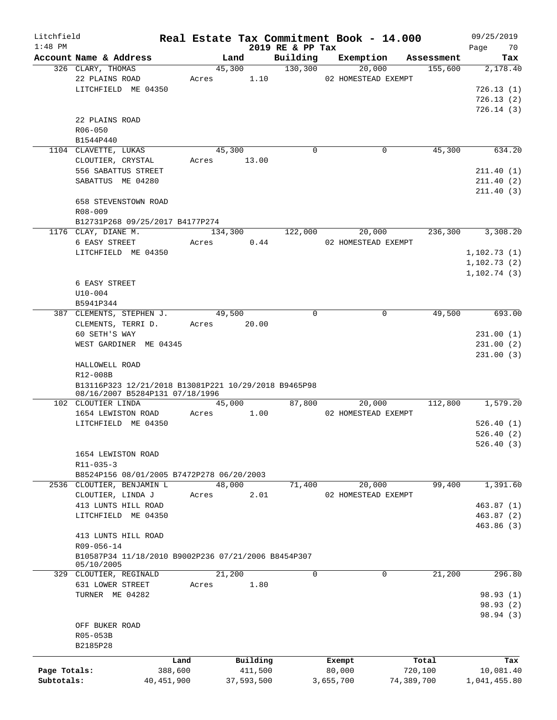| Litchfield   |                                                      |            |             |                              |             | Real Estate Tax Commitment Book - 14.000 |            | 09/25/2019        |
|--------------|------------------------------------------------------|------------|-------------|------------------------------|-------------|------------------------------------------|------------|-------------------|
| $1:48$ PM    | Account Name & Address                               |            | Land        | 2019 RE & PP Tax<br>Building |             | Exemption                                | Assessment | 70<br>Page<br>Tax |
|              | 326 CLARY, THOMAS                                    |            | 45,300      | 130, 300                     |             | 20,000                                   | 155,600    | 2,178.40          |
|              | 22 PLAINS ROAD                                       | Acres      | 1.10        |                              |             | 02 HOMESTEAD EXEMPT                      |            |                   |
|              | LITCHFIELD ME 04350                                  |            |             |                              |             |                                          |            | 726.13(1)         |
|              |                                                      |            |             |                              |             |                                          |            | 726.13(2)         |
|              |                                                      |            |             |                              |             |                                          |            |                   |
|              |                                                      |            |             |                              |             |                                          |            | 726.14(3)         |
|              | 22 PLAINS ROAD                                       |            |             |                              |             |                                          |            |                   |
|              | $R06 - 050$                                          |            |             |                              |             |                                          |            |                   |
|              | B1544P440                                            |            |             |                              |             |                                          |            |                   |
|              | 1104 CLAVETTE, LUKAS                                 |            | 45,300      |                              | $\mathbf 0$ | 0                                        | 45,300     | 634.20            |
|              | CLOUTIER, CRYSTAL                                    | Acres      | 13.00       |                              |             |                                          |            |                   |
|              | 556 SABATTUS STREET                                  |            |             |                              |             |                                          |            | 211.40(1)         |
|              | SABATTUS ME 04280                                    |            |             |                              |             |                                          |            | 211.40(2)         |
|              |                                                      |            |             |                              |             |                                          |            | 211.40(3)         |
|              | 658 STEVENSTOWN ROAD                                 |            |             |                              |             |                                          |            |                   |
|              | $R08 - 009$                                          |            |             |                              |             |                                          |            |                   |
|              | B12731P268 09/25/2017 B4177P274                      |            |             |                              |             |                                          |            |                   |
|              | 1176 CLAY, DIANE M.                                  |            | 134,300     | 122,000                      |             | 20,000                                   | 236,300    | 3,308.20          |
|              | 6 EASY STREET                                        | Acres      | 0.44        |                              |             | 02 HOMESTEAD EXEMPT                      |            |                   |
|              | LITCHFIELD ME 04350                                  |            |             |                              |             |                                          |            | 1, 102.73(1)      |
|              |                                                      |            |             |                              |             |                                          |            | 1, 102.73(2)      |
|              |                                                      |            |             |                              |             |                                          |            | 1, 102.74(3)      |
|              | 6 EASY STREET                                        |            |             |                              |             |                                          |            |                   |
|              | $U10 - 004$                                          |            |             |                              |             |                                          |            |                   |
|              |                                                      |            |             |                              |             |                                          |            |                   |
|              | B5941P344                                            |            |             |                              |             |                                          |            |                   |
|              | 387 CLEMENTS, STEPHEN J.                             |            | 49,500      |                              | $\mathbf 0$ | $\mathbf 0$                              | 49,500     | 693.00            |
|              | CLEMENTS, TERRI D.                                   |            | Acres 20.00 |                              |             |                                          |            |                   |
|              | 60 SETH'S WAY                                        |            |             |                              |             |                                          |            | 231.00(1)         |
|              | WEST GARDINER ME 04345                               |            |             |                              |             |                                          |            | 231.00(2)         |
|              |                                                      |            |             |                              |             |                                          |            | 231.00(3)         |
|              | HALLOWELL ROAD                                       |            |             |                              |             |                                          |            |                   |
|              | R12-008B                                             |            |             |                              |             |                                          |            |                   |
|              | B13116P323 12/21/2018 B13081P221 10/29/2018 B9465P98 |            |             |                              |             |                                          |            |                   |
|              | 08/16/2007 B5284P131 07/18/1996                      |            |             |                              |             |                                          |            |                   |
|              | 102 CLOUTIER LINDA                                   |            | 45,000      | 87,800                       |             | 20,000                                   | 112,800    | 1,579.20          |
|              | 1654 LEWISTON ROAD                                   | Acres      | 1.00        |                              |             | 02 HOMESTEAD EXEMPT                      |            |                   |
|              | LITCHFIELD ME 04350                                  |            |             |                              |             |                                          |            | 526.40(1)         |
|              |                                                      |            |             |                              |             |                                          |            | 526.40(2)         |
|              |                                                      |            |             |                              |             |                                          |            | 526.40(3)         |
|              | 1654 LEWISTON ROAD                                   |            |             |                              |             |                                          |            |                   |
|              | R11-035-3                                            |            |             |                              |             |                                          |            |                   |
|              | B8524P156 08/01/2005 B7472P278 06/20/2003            |            |             |                              |             |                                          |            |                   |
|              | 2536 CLOUTIER, BENJAMIN L                            |            | 48,000      | 71,400                       |             | 20,000                                   | 99,400     | 1,391.60          |
|              | CLOUTIER, LINDA J                                    | Acres      | 2.01        |                              |             | 02 HOMESTEAD EXEMPT                      |            |                   |
|              | 413 LUNTS HILL ROAD                                  |            |             |                              |             |                                          |            | 463.87(1)         |
|              | LITCHFIELD ME 04350                                  |            |             |                              |             |                                          |            | 463.87(2)         |
|              |                                                      |            |             |                              |             |                                          |            | 463.86 (3)        |
|              | 413 LUNTS HILL ROAD                                  |            |             |                              |             |                                          |            |                   |
|              | R09-056-14                                           |            |             |                              |             |                                          |            |                   |
|              | B10587P34 11/18/2010 B9002P236 07/21/2006 B8454P307  |            |             |                              |             |                                          |            |                   |
|              | 05/10/2005                                           |            |             |                              |             |                                          |            |                   |
|              | 329 CLOUTIER, REGINALD                               |            | 21,200      |                              | $\mathbf 0$ | 0                                        | 21,200     | 296.80            |
|              | 631 LOWER STREET                                     | Acres      | 1.80        |                              |             |                                          |            |                   |
|              | TURNER ME 04282                                      |            |             |                              |             |                                          |            | 98.93 (1)         |
|              |                                                      |            |             |                              |             |                                          |            | 98.93 (2)         |
|              |                                                      |            |             |                              |             |                                          |            |                   |
|              |                                                      |            |             |                              |             |                                          |            | 98.94 (3)         |
|              | OFF BUKER ROAD                                       |            |             |                              |             |                                          |            |                   |
|              | R05-053B                                             |            |             |                              |             |                                          |            |                   |
|              | B2185P28                                             |            |             |                              |             |                                          |            |                   |
|              |                                                      | Land       | Building    |                              |             | Exempt                                   | Total      | Tax               |
| Page Totals: |                                                      | 388,600    | 411,500     |                              |             | 80,000                                   | 720,100    | 10,081.40         |
| Subtotals:   |                                                      | 40,451,900 | 37,593,500  |                              | 3,655,700   |                                          | 74,389,700 | 1,041,455.80      |
|              |                                                      |            |             |                              |             |                                          |            |                   |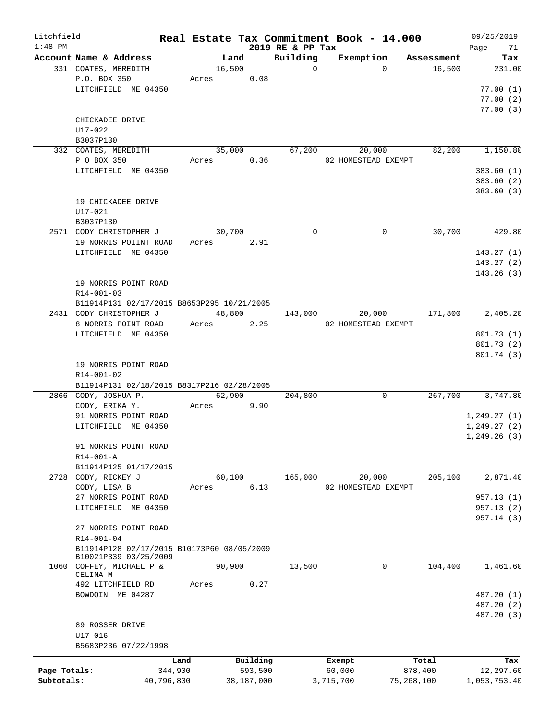| Litchfield   |                                                |            |                |            |                      | Real Estate Tax Commitment Book - 14.000 |                      | 09/25/2019    |
|--------------|------------------------------------------------|------------|----------------|------------|----------------------|------------------------------------------|----------------------|---------------|
| $1:48$ PM    |                                                |            |                |            | 2019 RE & PP Tax     |                                          |                      | Page<br>71    |
|              | Account Name & Address<br>331 COATES, MEREDITH |            | Land<br>16,500 |            | Building<br>$\Omega$ | Exemption<br>$\Omega$                    | Assessment<br>16,500 | Tax<br>231.00 |
|              |                                                |            |                |            |                      |                                          |                      |               |
|              | P.O. BOX 350                                   |            | Acres          | 0.08       |                      |                                          |                      |               |
|              | LITCHFIELD ME 04350                            |            |                |            |                      |                                          |                      | 77.00(1)      |
|              |                                                |            |                |            |                      |                                          |                      | 77.00(2)      |
|              |                                                |            |                |            |                      |                                          |                      | 77.00(3)      |
|              | CHICKADEE DRIVE                                |            |                |            |                      |                                          |                      |               |
|              | U17-022                                        |            |                |            |                      |                                          |                      |               |
|              | B3037P130                                      |            |                |            |                      |                                          |                      |               |
|              | 332 COATES, MEREDITH                           |            | 35,000         |            | 67,200               | 20,000                                   | 82,200               | 1,150.80      |
|              | P O BOX 350                                    |            | Acres          | 0.36       |                      | 02 HOMESTEAD EXEMPT                      |                      |               |
|              | LITCHFIELD ME 04350                            |            |                |            |                      |                                          |                      | 383.60(1)     |
|              |                                                |            |                |            |                      |                                          |                      | 383.60 (2)    |
|              |                                                |            |                |            |                      |                                          |                      | 383.60 (3)    |
|              | 19 CHICKADEE DRIVE                             |            |                |            |                      |                                          |                      |               |
|              | U17-021                                        |            |                |            |                      |                                          |                      |               |
|              | B3037P130                                      |            |                |            |                      |                                          |                      |               |
|              | 2571 CODY CHRISTOPHER J                        |            | 30,700         |            | $\mathbf 0$          | 0                                        | 30,700               | 429.80        |
|              | 19 NORRIS POIINT ROAD                          |            | Acres          | 2.91       |                      |                                          |                      |               |
|              | LITCHFIELD ME 04350                            |            |                |            |                      |                                          |                      | 143.27(1)     |
|              |                                                |            |                |            |                      |                                          |                      |               |
|              |                                                |            |                |            |                      |                                          |                      | 143.27(2)     |
|              |                                                |            |                |            |                      |                                          |                      | 143.26(3)     |
|              | 19 NORRIS POINT ROAD                           |            |                |            |                      |                                          |                      |               |
|              | R14-001-03                                     |            |                |            |                      |                                          |                      |               |
|              | B11914P131 02/17/2015 B8653P295 10/21/2005     |            |                |            |                      |                                          |                      |               |
|              | 2431 CODY CHRISTOPHER J                        |            | 48,800         |            | 143,000              | 20,000                                   | 171,800              | 2,405.20      |
|              | 8 NORRIS POINT ROAD                            |            | Acres          | 2.25       |                      | 02 HOMESTEAD EXEMPT                      |                      |               |
|              | LITCHFIELD ME 04350                            |            |                |            |                      |                                          |                      | 801.73 (1)    |
|              |                                                |            |                |            |                      |                                          |                      | 801.73 (2)    |
|              |                                                |            |                |            |                      |                                          |                      | 801.74 (3)    |
|              | 19 NORRIS POINT ROAD                           |            |                |            |                      |                                          |                      |               |
|              | R14-001-02                                     |            |                |            |                      |                                          |                      |               |
|              | B11914P131 02/18/2015 B8317P216 02/28/2005     |            |                |            |                      |                                          |                      |               |
|              | 2866 CODY, JOSHUA P.                           |            | 62,900         |            | 204,800              | 0                                        | 267,700              | 3,747.80      |
|              | CODY, ERIKA Y.                                 |            |                | 9.90       |                      |                                          |                      |               |
|              |                                                |            | Acres          |            |                      |                                          |                      |               |
|              | 91 NORRIS POINT ROAD                           |            |                |            |                      |                                          |                      | 1,249.27(1)   |
|              | LITCHFIELD ME 04350                            |            |                |            |                      |                                          |                      | 1, 249.27(2)  |
|              |                                                |            |                |            |                      |                                          |                      | 1, 249.26(3)  |
|              | 91 NORRIS POINT ROAD                           |            |                |            |                      |                                          |                      |               |
|              | R14-001-A                                      |            |                |            |                      |                                          |                      |               |
|              | B11914P125 01/17/2015                          |            |                |            |                      |                                          |                      |               |
| 2728         | CODY, RICKEY J                                 |            | 60,100         |            | 165,000              | 20,000                                   | 205,100              | 2,871.40      |
|              | CODY, LISA B                                   |            | Acres          | 6.13       |                      | 02 HOMESTEAD EXEMPT                      |                      |               |
|              | 27 NORRIS POINT ROAD                           |            |                |            |                      |                                          |                      | 957.13 (1)    |
|              | LITCHFIELD ME 04350                            |            |                |            |                      |                                          |                      | 957.13(2)     |
|              |                                                |            |                |            |                      |                                          |                      | 957.14 (3)    |
|              | 27 NORRIS POINT ROAD                           |            |                |            |                      |                                          |                      |               |
|              | R14-001-04                                     |            |                |            |                      |                                          |                      |               |
|              | B11914P128 02/17/2015 B10173P60 08/05/2009     |            |                |            |                      |                                          |                      |               |
|              | B10021P339 03/25/2009                          |            |                |            |                      |                                          |                      |               |
|              | 1060 COFFEY, MICHAEL P &                       |            | 90,900         |            | 13,500               | 0                                        | 104,400              | 1,461.60      |
|              | CELINA M                                       |            |                |            |                      |                                          |                      |               |
|              | 492 LITCHFIELD RD                              |            | Acres          | 0.27       |                      |                                          |                      |               |
|              | BOWDOIN ME 04287                               |            |                |            |                      |                                          |                      | 487.20 (1)    |
|              |                                                |            |                |            |                      |                                          |                      | 487.20 (2)    |
|              |                                                |            |                |            |                      |                                          |                      | 487.20 (3)    |
|              | 89 ROSSER DRIVE                                |            |                |            |                      |                                          |                      |               |
|              |                                                |            |                |            |                      |                                          |                      |               |
|              | U17-016                                        |            |                |            |                      |                                          |                      |               |
|              | B5683P236 07/22/1998                           |            |                |            |                      |                                          |                      |               |
|              |                                                | Land       |                | Building   |                      | Exempt                                   | Total                | Tax           |
| Page Totals: |                                                | 344,900    |                | 593,500    |                      | 60,000                                   | 878,400              | 12,297.60     |
| Subtotals:   |                                                | 40,796,800 |                | 38,187,000 |                      | 3,715,700                                | 75,268,100           | 1,053,753.40  |
|              |                                                |            |                |            |                      |                                          |                      |               |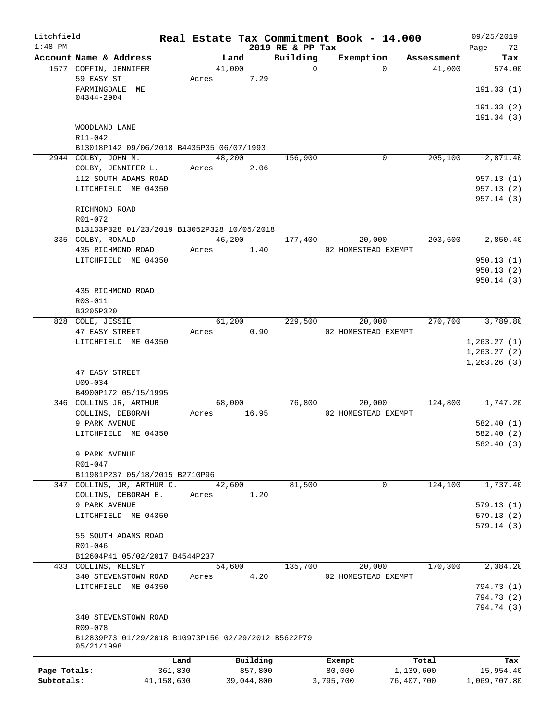| Litchfield<br>$1:48$ PM |                                                                   |            |        |            |                              | Real Estate Tax Commitment Book - 14.000 |            | 09/25/2019                   |
|-------------------------|-------------------------------------------------------------------|------------|--------|------------|------------------------------|------------------------------------------|------------|------------------------------|
|                         | Account Name & Address                                            |            | Land   |            | 2019 RE & PP Tax<br>Building | Exemption                                | Assessment | Page<br>72<br>Tax            |
|                         | 1577 COFFIN, JENNIFER                                             |            | 41,000 |            | $\mathbf 0$                  | $\Omega$                                 | 41,000     | 574.00                       |
|                         | 59 EASY ST<br>FARMINGDALE ME                                      | Acres      |        | 7.29       |                              |                                          |            | 191.33(1)                    |
|                         | 04344-2904                                                        |            |        |            |                              |                                          |            | 191.33(2)                    |
|                         | WOODLAND LANE                                                     |            |        |            |                              |                                          |            | 191.34(3)                    |
|                         | R11-042                                                           |            |        |            |                              |                                          |            |                              |
|                         | B13018P142 09/06/2018 B4435P35 06/07/1993                         |            |        |            |                              |                                          |            |                              |
|                         | 2944 COLBY, JOHN M.                                               |            | 48,200 |            | 156,900                      | 0                                        | 205,100    | 2,871.40                     |
|                         | COLBY, JENNIFER L.                                                |            | Acres  | 2.06       |                              |                                          |            |                              |
|                         | 112 SOUTH ADAMS ROAD                                              |            |        |            |                              |                                          |            | 957.13(1)                    |
|                         | LITCHFIELD ME 04350                                               |            |        |            |                              |                                          |            | 957.13(2)<br>957.14(3)       |
|                         | RICHMOND ROAD                                                     |            |        |            |                              |                                          |            |                              |
|                         | R01-072                                                           |            |        |            |                              |                                          |            |                              |
|                         | B13133P328 01/23/2019 B13052P328 10/05/2018<br>335 COLBY, RONALD  |            |        | 46,200     | 177,400                      | 20,000                                   | 203,600    | 2,850.40                     |
|                         | 435 RICHMOND ROAD                                                 |            | Acres  | 1.40       |                              | 02 HOMESTEAD EXEMPT                      |            |                              |
|                         | LITCHFIELD ME 04350                                               |            |        |            |                              |                                          |            | 950.13(1)                    |
|                         |                                                                   |            |        |            |                              |                                          |            | 950.13(2)                    |
|                         |                                                                   |            |        |            |                              |                                          |            | 950.14(3)                    |
|                         | 435 RICHMOND ROAD                                                 |            |        |            |                              |                                          |            |                              |
|                         | R03-011                                                           |            |        |            |                              |                                          |            |                              |
|                         | B3205P320                                                         |            |        |            |                              |                                          |            |                              |
|                         | 828 COLE, JESSIE                                                  |            | 61,200 |            | 229,500                      | 20,000                                   | 270,700    | 3,789.80                     |
|                         | 47 EASY STREET                                                    | Acres      |        | 0.90       |                              | 02 HOMESTEAD EXEMPT                      |            |                              |
|                         | LITCHFIELD ME 04350                                               |            |        |            |                              |                                          |            | 1, 263.27(1)                 |
|                         |                                                                   |            |        |            |                              |                                          |            | 1, 263.27(2)<br>1, 263.26(3) |
|                         | 47 EASY STREET                                                    |            |        |            |                              |                                          |            |                              |
|                         | $U09 - 034$                                                       |            |        |            |                              |                                          |            |                              |
|                         | B4900P172 05/15/1995                                              |            |        |            |                              |                                          |            |                              |
|                         | 346 COLLINS JR, ARTHUR                                            |            | 68,000 |            | 76,800                       | 20,000                                   | 124,800    | 1,747.20                     |
|                         | COLLINS, DEBORAH                                                  | Acres      |        | 16.95      |                              | 02 HOMESTEAD EXEMPT                      |            |                              |
|                         | 9 PARK AVENUE                                                     |            |        |            |                              |                                          |            | 582.40 (1)                   |
|                         | LITCHFIELD ME 04350                                               |            |        |            |                              |                                          |            | 582.40 (2)                   |
|                         | 9 PARK AVENUE                                                     |            |        |            |                              |                                          |            | 582.40 (3)                   |
|                         | R01-047                                                           |            |        |            |                              |                                          |            |                              |
|                         | B11981P237 05/18/2015 B2710P96                                    |            |        |            |                              |                                          |            |                              |
|                         | 347 COLLINS, JR, ARTHUR C.                                        |            | 42,600 |            | 81,500                       | $\Omega$                                 | 124,100    | 1,737.40                     |
|                         | COLLINS, DEBORAH E.                                               | Acres      |        | 1.20       |                              |                                          |            |                              |
|                         | 9 PARK AVENUE                                                     |            |        |            |                              |                                          |            | 579.13(1)                    |
|                         | LITCHFIELD ME 04350                                               |            |        |            |                              |                                          |            | 579.13(2)                    |
|                         | 55 SOUTH ADAMS ROAD                                               |            |        |            |                              |                                          |            | 579.14(3)                    |
|                         | R01-046                                                           |            |        |            |                              |                                          |            |                              |
|                         | B12604P41 05/02/2017 B4544P237                                    |            |        |            |                              |                                          |            |                              |
|                         | 433 COLLINS, KELSEY                                               |            | 54,600 |            | 135,700                      | 20,000                                   | 170,300    | 2,384.20                     |
|                         | 340 STEVENSTOWN ROAD                                              | Acres      |        | 4.20       |                              | 02 HOMESTEAD EXEMPT                      |            |                              |
|                         | LITCHFIELD ME 04350                                               |            |        |            |                              |                                          |            | 794.73 (1)                   |
|                         |                                                                   |            |        |            |                              |                                          |            | 794.73 (2)<br>794.74 (3)     |
|                         | 340 STEVENSTOWN ROAD                                              |            |        |            |                              |                                          |            |                              |
|                         | R09-078                                                           |            |        |            |                              |                                          |            |                              |
|                         | B12839P73 01/29/2018 B10973P156 02/29/2012 B5622P79<br>05/21/1998 |            |        |            |                              |                                          |            |                              |
|                         |                                                                   | Land       |        | Building   |                              | Exempt                                   | Total      | Tax                          |
| Page Totals:            |                                                                   | 361,800    |        | 857,800    |                              | 80,000                                   | 1,139,600  | 15,954.40                    |
| Subtotals:              |                                                                   | 41,158,600 |        | 39,044,800 |                              | 3,795,700                                | 76,407,700 | 1,069,707.80                 |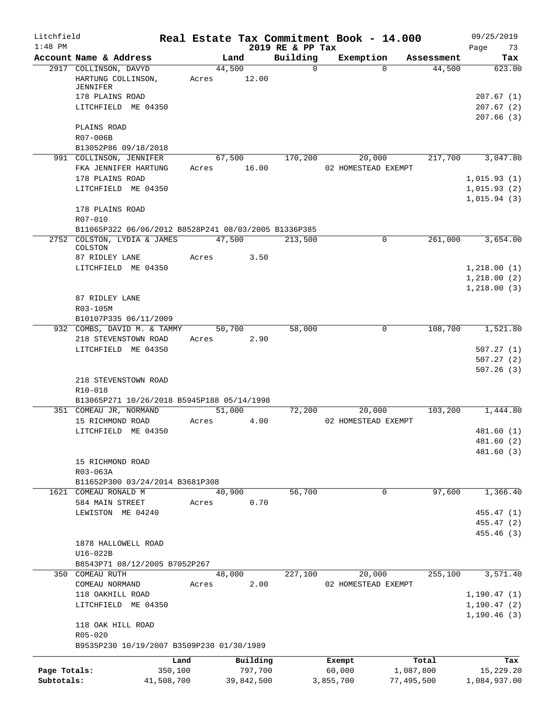| Litchfield<br>$1:48$ PM    |                                                                                                   |                       |       |                       | 2019 RE & PP Tax | Real Estate Tax Commitment Book - 14.000 |                         |                      | 09/25/2019<br>Page<br>73         |
|----------------------------|---------------------------------------------------------------------------------------------------|-----------------------|-------|-----------------------|------------------|------------------------------------------|-------------------------|----------------------|----------------------------------|
|                            | Account Name & Address                                                                            |                       |       | Land                  | Building         | Exemption                                |                         | Assessment           | Tax                              |
|                            | 2917 COLLINSON, DAVYD<br>HARTUNG COLLINSON,<br>JENNIFER<br>178 PLAINS ROAD<br>LITCHFIELD ME 04350 |                       | Acres | 44,500<br>12.00       | $\Omega$         |                                          | $\Omega$                | 44,500               | 623.00<br>207.67(1)<br>207.67(2) |
|                            | PLAINS ROAD<br>R07-006B                                                                           |                       |       |                       |                  |                                          |                         |                      | 207.66(3)                        |
|                            | B13052P86 09/18/2018                                                                              |                       |       |                       |                  |                                          |                         |                      |                                  |
|                            | 991 COLLINSON, JENNIFER<br>FKA JENNIFER HARTUNG                                                   |                       | Acres | 67,500<br>16.00       | 170,200          | 20,000<br>02 HOMESTEAD EXEMPT            |                         | 217,700              | 3,047.80                         |
|                            | 178 PLAINS ROAD                                                                                   |                       |       |                       |                  |                                          |                         |                      | 1,015.93(1)                      |
|                            | LITCHFIELD ME 04350                                                                               |                       |       |                       |                  |                                          |                         |                      | 1,015.93(2)<br>1,015.94(3)       |
|                            | 178 PLAINS ROAD<br>R07-010                                                                        |                       |       |                       |                  |                                          |                         |                      |                                  |
|                            | B11065P322 06/06/2012 B8528P241 08/03/2005 B1336P385                                              |                       |       |                       |                  |                                          |                         |                      |                                  |
|                            | 2752 COLSTON, LYDIA & JAMES<br>COLSTON                                                            |                       |       | 47,500                | 213,500          |                                          | $\mathbf 0$             | 261,000              | 3,654.00                         |
|                            | 87 RIDLEY LANE                                                                                    |                       | Acres | 3.50                  |                  |                                          |                         |                      |                                  |
|                            | LITCHFIELD ME 04350                                                                               |                       |       |                       |                  |                                          |                         |                      | 1,218.00(1)                      |
|                            |                                                                                                   |                       |       |                       |                  |                                          |                         |                      | 1,218.00(2)                      |
|                            | 87 RIDLEY LANE                                                                                    |                       |       |                       |                  |                                          |                         |                      | 1, 218.00(3)                     |
|                            | R03-105M                                                                                          |                       |       |                       |                  |                                          |                         |                      |                                  |
|                            | B10107P335 06/11/2009                                                                             |                       |       |                       |                  |                                          |                         |                      |                                  |
|                            | 932 COMBS, DAVID M. & TAMMY                                                                       |                       |       | 50,700                | 58,000           |                                          | 0                       | 108,700              | 1,521.80                         |
|                            | 218 STEVENSTOWN ROAD<br>LITCHFIELD ME 04350                                                       |                       | Acres | 2.90                  |                  |                                          |                         |                      | 507.27(1)                        |
|                            |                                                                                                   |                       |       |                       |                  |                                          |                         |                      | 507.27(2)                        |
|                            | 218 STEVENSTOWN ROAD                                                                              |                       |       |                       |                  |                                          |                         |                      | 507.26(3)                        |
|                            | R10-018                                                                                           |                       |       |                       |                  |                                          |                         |                      |                                  |
|                            | B13065P271 10/26/2018 B5945P188 05/14/1998                                                        |                       |       |                       |                  |                                          |                         |                      |                                  |
|                            | 351 COMEAU JR, NORMAND<br>15 RICHMOND ROAD                                                        |                       | Acres | 51,000<br>4.00        | 72,200           | 20,000<br>02 HOMESTEAD EXEMPT            |                         | 103,200              | 1,444.80                         |
|                            | LITCHFIELD ME 04350                                                                               |                       |       |                       |                  |                                          |                         |                      | 481.60 (1)                       |
|                            |                                                                                                   |                       |       |                       |                  |                                          |                         |                      | 481.60 (2)                       |
|                            |                                                                                                   |                       |       |                       |                  |                                          |                         |                      | 481.60 (3)                       |
|                            | 15 RICHMOND ROAD<br>R03-063A                                                                      |                       |       |                       |                  |                                          |                         |                      |                                  |
|                            | B11652P300 03/24/2014 B3681P308                                                                   |                       |       |                       |                  |                                          |                         |                      |                                  |
| 1621                       | COMEAU RONALD M                                                                                   |                       |       | 40,900                | 56,700           |                                          | 0                       | 97,600               | 1,366.40                         |
|                            | 584 MAIN STREET                                                                                   |                       | Acres | 0.70                  |                  |                                          |                         |                      |                                  |
|                            | LEWISTON ME 04240                                                                                 |                       |       |                       |                  |                                          |                         |                      | 455.47 (1)                       |
|                            |                                                                                                   |                       |       |                       |                  |                                          |                         |                      | 455.47(2)<br>455.46 (3)          |
|                            | 1878 HALLOWELL ROAD                                                                               |                       |       |                       |                  |                                          |                         |                      |                                  |
|                            | U16-022B                                                                                          |                       |       |                       |                  |                                          |                         |                      |                                  |
|                            | B8543P71 08/12/2005 B7052P267<br>350 COMEAU RUTH                                                  |                       |       | 48,000                | 227,100          | 20,000                                   |                         | $\overline{255,100}$ | 3,571.40                         |
|                            | COMEAU NORMAND                                                                                    |                       | Acres | 2.00                  |                  | 02 HOMESTEAD EXEMPT                      |                         |                      |                                  |
|                            | 118 OAKHILL ROAD                                                                                  |                       |       |                       |                  |                                          |                         |                      | 1, 190.47(1)                     |
|                            | LITCHFIELD ME 04350                                                                               |                       |       |                       |                  |                                          |                         |                      | 1, 190.47(2)                     |
|                            | 118 OAK HILL ROAD                                                                                 |                       |       |                       |                  |                                          |                         |                      | 1, 190.46(3)                     |
|                            | $R05 - 020$                                                                                       |                       |       |                       |                  |                                          |                         |                      |                                  |
|                            | B9535P230 10/19/2007 B3509P230 01/30/1989                                                         |                       |       |                       |                  |                                          |                         |                      |                                  |
|                            |                                                                                                   | Land                  |       | Building              |                  | Exempt                                   |                         | Total                | Tax                              |
| Page Totals:<br>Subtotals: |                                                                                                   | 350,100<br>41,508,700 |       | 797,700<br>39,842,500 |                  | 60,000<br>3,855,700                      | 1,087,800<br>77,495,500 |                      | 15,229.20<br>1,084,937.00        |
|                            |                                                                                                   |                       |       |                       |                  |                                          |                         |                      |                                  |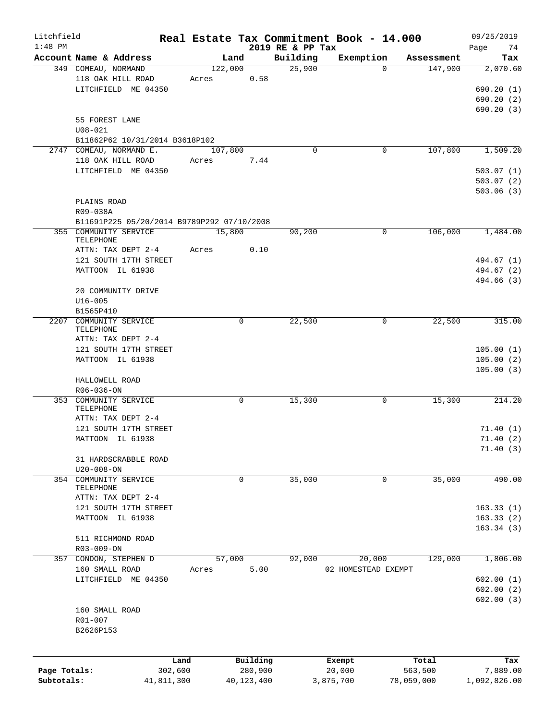| Litchfield   |                                            | Real Estate Tax Commitment Book - 14.000 |              |          |                              |                     |            |            | 09/25/2019      |
|--------------|--------------------------------------------|------------------------------------------|--------------|----------|------------------------------|---------------------|------------|------------|-----------------|
| $1:48$ PM    | Account Name & Address                     |                                          | Land         |          | 2019 RE & PP Tax<br>Building | Exemption           |            | Assessment | Page<br>74      |
|              | 349 COMEAU, NORMAND                        |                                          | 122,000      |          | 25,900                       |                     | $\Omega$   | 147,900    | Tax<br>2,070.60 |
|              | 118 OAK HILL ROAD                          | Acres                                    |              | 0.58     |                              |                     |            |            |                 |
|              | LITCHFIELD ME 04350                        |                                          |              |          |                              |                     |            |            | 690.20(1)       |
|              |                                            |                                          |              |          |                              |                     |            |            | 690.20(2)       |
|              |                                            |                                          |              |          |                              |                     |            |            | 690.20(3)       |
|              | 55 FOREST LANE                             |                                          |              |          |                              |                     |            |            |                 |
|              | $U08 - 021$                                |                                          |              |          |                              |                     |            |            |                 |
|              | B11862P62 10/31/2014 B3618P102             |                                          |              |          |                              |                     |            |            |                 |
|              | 2747 COMEAU, NORMAND E.                    |                                          | 107,800      |          | 0                            |                     | 0          | 107,800    | 1,509.20        |
|              | 118 OAK HILL ROAD                          | Acres                                    |              | 7.44     |                              |                     |            |            |                 |
|              | LITCHFIELD ME 04350                        |                                          |              |          |                              |                     |            |            | 503.07(1)       |
|              |                                            |                                          |              |          |                              |                     |            |            | 503.07(2)       |
|              |                                            |                                          |              |          |                              |                     |            |            | 503.06(3)       |
|              |                                            |                                          |              |          |                              |                     |            |            |                 |
|              | PLAINS ROAD                                |                                          |              |          |                              |                     |            |            |                 |
|              | R09-038A                                   |                                          |              |          |                              |                     |            |            |                 |
|              | B11691P225 05/20/2014 B9789P292 07/10/2008 |                                          |              |          |                              |                     |            |            |                 |
|              | 355 COMMUNITY SERVICE<br>TELEPHONE         |                                          | 15,800       |          | 90,200                       |                     | 0          | 106,000    | 1,484.00        |
|              | ATTN: TAX DEPT 2-4                         | Acres                                    |              | 0.10     |                              |                     |            |            |                 |
|              | 121 SOUTH 17TH STREET                      |                                          |              |          |                              |                     |            |            | 494.67 (1)      |
|              | MATTOON IL 61938                           |                                          |              |          |                              |                     |            |            | 494.67 (2)      |
|              |                                            |                                          |              |          |                              |                     |            |            | 494.66 (3)      |
|              | 20 COMMUNITY DRIVE                         |                                          |              |          |                              |                     |            |            |                 |
|              |                                            |                                          |              |          |                              |                     |            |            |                 |
|              | $U16 - 005$<br>B1565P410                   |                                          |              |          |                              |                     |            |            |                 |
|              | 2207 COMMUNITY SERVICE                     |                                          | 0            |          | 22,500                       |                     | 0          | 22,500     | 315.00          |
|              | TELEPHONE                                  |                                          |              |          |                              |                     |            |            |                 |
|              | ATTN: TAX DEPT 2-4                         |                                          |              |          |                              |                     |            |            |                 |
|              | 121 SOUTH 17TH STREET                      |                                          |              |          |                              |                     |            |            | 105.00(1)       |
|              | MATTOON IL 61938                           |                                          |              |          |                              |                     |            |            | 105.00(2)       |
|              |                                            |                                          |              |          |                              |                     |            |            | 105.00(3)       |
|              | HALLOWELL ROAD                             |                                          |              |          |                              |                     |            |            |                 |
|              | $R06 - 036 - ON$                           |                                          |              |          |                              |                     |            |            |                 |
|              | 353 COMMUNITY SERVICE                      |                                          | 0            |          | 15,300                       |                     | 0          | 15,300     | 214.20          |
|              | TELEPHONE                                  |                                          |              |          |                              |                     |            |            |                 |
|              | ATTN: TAX DEPT 2-4                         |                                          |              |          |                              |                     |            |            |                 |
|              | 121 SOUTH 17TH STREET                      |                                          |              |          |                              |                     |            |            | 71.40(1)        |
|              | MATTOON IL 61938                           |                                          |              |          |                              |                     |            |            | 71.40(2)        |
|              |                                            |                                          |              |          |                              |                     |            |            | 71.40(3)        |
|              | 31 HARDSCRABBLE ROAD                       |                                          |              |          |                              |                     |            |            |                 |
|              | $U20 - 008 - ON$                           |                                          |              |          |                              |                     |            |            |                 |
| 354          | COMMUNITY SERVICE                          |                                          | 0            |          | 35,000                       |                     | 0          | 35,000     | 490.00          |
|              | TELEPHONE                                  |                                          |              |          |                              |                     |            |            |                 |
|              | ATTN: TAX DEPT 2-4                         |                                          |              |          |                              |                     |            |            |                 |
|              | 121 SOUTH 17TH STREET                      |                                          |              |          |                              |                     |            |            | 163.33(1)       |
|              | MATTOON IL 61938                           |                                          |              |          |                              |                     |            |            | 163.33(2)       |
|              |                                            |                                          |              |          |                              |                     |            |            | 163.34(3)       |
|              | 511 RICHMOND ROAD                          |                                          |              |          |                              |                     |            |            |                 |
|              | R03-009-ON                                 |                                          |              |          |                              |                     |            |            |                 |
|              | 357 CONDON, STEPHEN D                      |                                          | 57,000       |          | 92,000                       | 20,000              |            | 129,000    | 1,806.00        |
|              | 160 SMALL ROAD                             | Acres                                    |              | 5.00     |                              | 02 HOMESTEAD EXEMPT |            |            |                 |
|              | LITCHFIELD ME 04350                        |                                          |              |          |                              |                     |            |            | 602.00(1)       |
|              |                                            |                                          |              |          |                              |                     |            |            | 602.00(2)       |
|              |                                            |                                          |              |          |                              |                     |            |            | 602.00(3)       |
|              | 160 SMALL ROAD                             |                                          |              |          |                              |                     |            |            |                 |
|              | $R01 - 007$                                |                                          |              |          |                              |                     |            |            |                 |
|              | B2626P153                                  |                                          |              |          |                              |                     |            |            |                 |
|              |                                            |                                          |              |          |                              |                     |            |            |                 |
|              |                                            | Land                                     |              | Building |                              | Exempt              |            | Total      | Tax             |
| Page Totals: |                                            | 302,600                                  |              | 280,900  |                              | 20,000              |            | 563,500    | 7,889.00        |
| Subtotals:   |                                            | 41,811,300                               | 40, 123, 400 |          |                              | 3,875,700           | 78,059,000 |            | 1,092,826.00    |
|              |                                            |                                          |              |          |                              |                     |            |            |                 |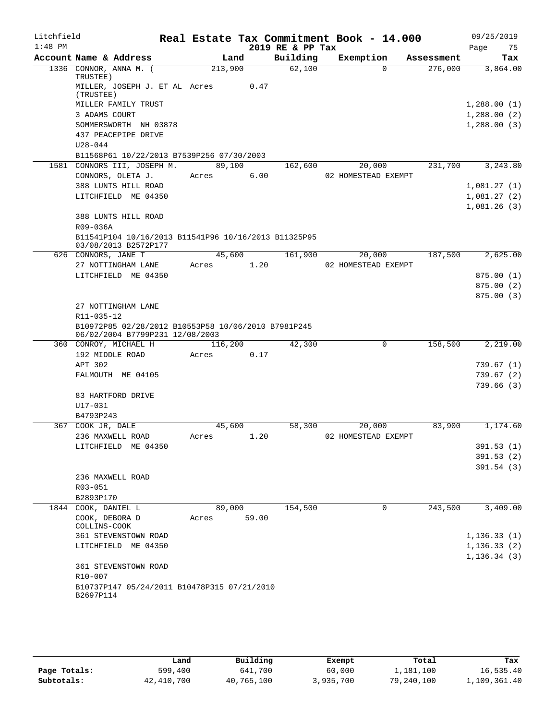| Litchfield |                                                                                        |         |       |                  | Real Estate Tax Commitment Book - 14.000 |          |            | 09/25/2019   |            |
|------------|----------------------------------------------------------------------------------------|---------|-------|------------------|------------------------------------------|----------|------------|--------------|------------|
| $1:48$ PM  |                                                                                        |         |       | 2019 RE & PP Tax |                                          |          |            | Page         | 75         |
|            | Account Name & Address                                                                 |         | Land  | Building         | Exemption                                |          | Assessment |              | Tax        |
|            | 1336 CONNOR, ANNA M. (<br>TRUSTEE)                                                     | 213,900 |       | 62,100           |                                          | $\Omega$ | 276,000    |              | 3,864.00   |
|            | MILLER, JOSEPH J. ET AL Acres<br>(TRUSTEE)                                             |         | 0.47  |                  |                                          |          |            |              |            |
|            | MILLER FAMILY TRUST                                                                    |         |       |                  |                                          |          |            | 1,288.00(1)  |            |
|            | 3 ADAMS COURT                                                                          |         |       |                  |                                          |          |            | 1,288.00(2)  |            |
|            | SOMMERSWORTH NH 03878                                                                  |         |       |                  |                                          |          |            | 1,288.00(3)  |            |
|            | 437 PEACEPIPE DRIVE                                                                    |         |       |                  |                                          |          |            |              |            |
|            | $U28 - 044$                                                                            |         |       |                  |                                          |          |            |              |            |
|            | B11568P61 10/22/2013 B7539P256 07/30/2003                                              |         |       |                  |                                          |          |            |              |            |
|            | 1581 CONNORS III, JOSEPH M.                                                            | 89,100  |       | 162,600          | 20,000                                   |          | 231,700    |              | 3,243.80   |
|            | CONNORS, OLETA J.                                                                      | Acres   | 6.00  |                  | 02 HOMESTEAD EXEMPT                      |          |            |              |            |
|            | 388 LUNTS HILL ROAD                                                                    |         |       |                  |                                          |          |            | 1,081.27(1)  |            |
|            | LITCHFIELD ME 04350                                                                    |         |       |                  |                                          |          |            | 1,081.27(2)  |            |
|            |                                                                                        |         |       |                  |                                          |          |            | 1,081.26(3)  |            |
|            | 388 LUNTS HILL ROAD<br>R09-036A                                                        |         |       |                  |                                          |          |            |              |            |
|            | B11541P104 10/16/2013 B11541P96 10/16/2013 B11325P95<br>03/08/2013 B2572P177           |         |       |                  |                                          |          |            |              |            |
|            | 626 CONNORS, JANE T                                                                    | 45,600  |       | 161,900          |                                          | 20,000   | 187,500    |              | 2,625.00   |
|            | 27 NOTTINGHAM LANE                                                                     | Acres   | 1.20  |                  | 02 HOMESTEAD EXEMPT                      |          |            |              |            |
|            | LITCHFIELD ME 04350                                                                    |         |       |                  |                                          |          |            |              | 875.00(1)  |
|            |                                                                                        |         |       |                  |                                          |          |            |              | 875.00(2)  |
|            |                                                                                        |         |       |                  |                                          |          |            |              | 875.00(3)  |
|            | 27 NOTTINGHAM LANE<br>R11-035-12                                                       |         |       |                  |                                          |          |            |              |            |
|            | B10972P85 02/28/2012 B10553P58 10/06/2010 B7981P245<br>06/02/2004 B7799P231 12/08/2003 |         |       |                  |                                          |          |            |              |            |
|            | 360 CONROY, MICHAEL H                                                                  | 116,200 |       | 42,300           |                                          | 0        | 158,500    |              | 2,219.00   |
|            | 192 MIDDLE ROAD                                                                        | Acres   | 0.17  |                  |                                          |          |            |              |            |
|            | APT 302                                                                                |         |       |                  |                                          |          |            |              | 739.67 (1) |
|            | FALMOUTH ME 04105                                                                      |         |       |                  |                                          |          |            |              | 739.67(2)  |
|            |                                                                                        |         |       |                  |                                          |          |            |              | 739.66(3)  |
|            | 83 HARTFORD DRIVE                                                                      |         |       |                  |                                          |          |            |              |            |
|            | $U17 - 031$                                                                            |         |       |                  |                                          |          |            |              |            |
|            | B4793P243                                                                              |         |       |                  |                                          |          |            |              |            |
| 367        | COOK JR, DALE                                                                          | 45,600  |       | 58,300           | 20,000                                   |          | 83,900     |              | 1,174.60   |
|            | 236 MAXWELL ROAD<br>LITCHFIELD ME 04350                                                | Acres   | 1.20  |                  | 02 HOMESTEAD EXEMPT                      |          |            |              | 391.53(1)  |
|            |                                                                                        |         |       |                  |                                          |          |            |              | 391.53(2)  |
|            |                                                                                        |         |       |                  |                                          |          |            |              | 391.54(3)  |
|            | 236 MAXWELL ROAD                                                                       |         |       |                  |                                          |          |            |              |            |
|            | R03-051                                                                                |         |       |                  |                                          |          |            |              |            |
|            | B2893P170                                                                              |         |       |                  |                                          |          |            |              |            |
|            | 1844 COOK, DANIEL L                                                                    | 89,000  |       | 154,500          |                                          | 0        | 243,500    |              | 3,409.00   |
|            | COOK, DEBORA D<br>COLLINS-COOK                                                         | Acres   | 59.00 |                  |                                          |          |            |              |            |
|            | <b>361 STEVENSTOWN ROAD</b>                                                            |         |       |                  |                                          |          |            | 1, 136.33(1) |            |
|            | LITCHFIELD ME 04350                                                                    |         |       |                  |                                          |          |            | 1, 136.33(2) |            |
|            |                                                                                        |         |       |                  |                                          |          |            | 1, 136.34(3) |            |
|            | 361 STEVENSTOWN ROAD<br>R10-007                                                        |         |       |                  |                                          |          |            |              |            |
|            | B10737P147 05/24/2011 B10478P315 07/21/2010<br>B2697P114                               |         |       |                  |                                          |          |            |              |            |
|            |                                                                                        |         |       |                  |                                          |          |            |              |            |

|              | Land       | Building   | Exempt    | Total      | Tax          |
|--------------|------------|------------|-----------|------------|--------------|
| Page Totals: | 599,400    | 641,700    | 60,000    | 1,181,100  | 16,535.40    |
| Subtotals:   | 42,410,700 | 40,765,100 | 3,935,700 | 79,240,100 | 1,109,361.40 |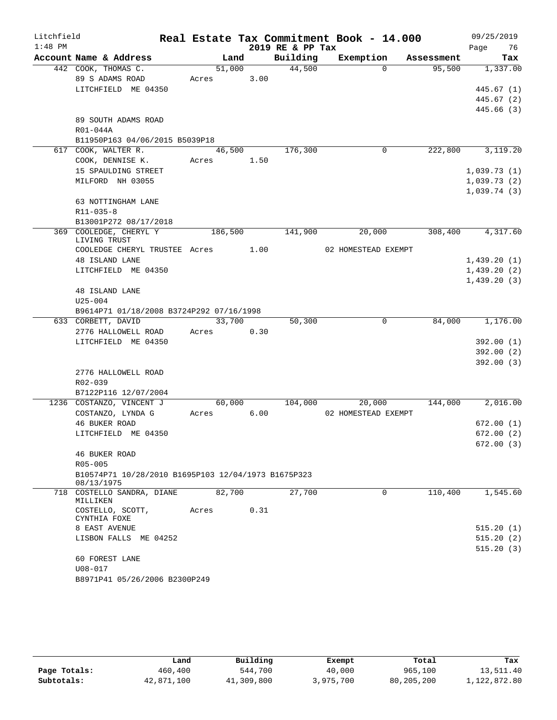| Litchfield |                                                                |       |            |        |      |                  | Real Estate Tax Commitment Book - 14.000 |            | 09/25/2019  |     |
|------------|----------------------------------------------------------------|-------|------------|--------|------|------------------|------------------------------------------|------------|-------------|-----|
| $1:48$ PM  |                                                                |       |            |        |      | 2019 RE & PP Tax |                                          |            | Page<br>76  |     |
|            | Account Name & Address                                         |       | Land       |        |      | Building         | Exemption                                | Assessment |             | Tax |
|            | 442 COOK, THOMAS C.                                            |       | 51,000     |        |      | 44,500           | $\Omega$                                 | 95,500     | 1,337.00    |     |
|            | 89 S ADAMS ROAD                                                |       | Acres      |        | 3.00 |                  |                                          |            |             |     |
|            | LITCHFIELD ME 04350                                            |       |            |        |      |                  |                                          |            | 445.67(1)   |     |
|            |                                                                |       |            |        |      |                  |                                          |            | 445.67(2)   |     |
|            |                                                                |       |            |        |      |                  |                                          |            | 445.66 (3)  |     |
|            | 89 SOUTH ADAMS ROAD                                            |       |            |        |      |                  |                                          |            |             |     |
|            | R01-044A                                                       |       |            |        |      |                  |                                          |            |             |     |
|            | B11950P163 04/06/2015 B5039P18                                 |       |            |        |      |                  |                                          |            |             |     |
|            | 617 COOK, WALTER R.                                            |       | 46,500     |        |      | 176,300          | $\mathbf 0$                              | 222,800    | 3,119.20    |     |
|            | COOK, DENNISE K.                                               | Acres |            | 1.50   |      |                  |                                          |            |             |     |
|            | 15 SPAULDING STREET                                            |       |            |        |      |                  |                                          |            | 1,039.73(1) |     |
|            | MILFORD NH 03055                                               |       |            |        |      |                  |                                          |            | 1,039.73(2) |     |
|            | 63 NOTTINGHAM LANE                                             |       |            |        |      |                  |                                          |            | 1,039.74(3) |     |
|            | $R11 - 035 - 8$                                                |       |            |        |      |                  |                                          |            |             |     |
|            | B13001P272 08/17/2018                                          |       |            |        |      |                  |                                          |            |             |     |
|            | 369 COOLEDGE, CHERYL Y                                         |       | 186,500    |        |      | 141,900          | 20,000                                   | 308,400    | 4,317.60    |     |
|            | LIVING TRUST                                                   |       |            |        |      |                  |                                          |            |             |     |
|            | COOLEDGE CHERYL TRUSTEE Acres 1.00                             |       |            |        |      |                  | 02 HOMESTEAD EXEMPT                      |            |             |     |
|            | <b>48 ISLAND LANE</b>                                          |       |            |        |      |                  |                                          |            | 1,439.20(1) |     |
|            | LITCHFIELD ME 04350                                            |       |            |        |      |                  |                                          |            | 1,439.20(2) |     |
|            |                                                                |       |            |        |      |                  |                                          |            | 1,439.20(3) |     |
|            | <b>48 ISLAND LANE</b>                                          |       |            |        |      |                  |                                          |            |             |     |
|            | $U25 - 004$                                                    |       |            |        |      |                  |                                          |            |             |     |
|            | B9614P71 01/18/2008 B3724P292 07/16/1998                       |       |            |        |      |                  |                                          |            |             |     |
|            | 633 CORBETT, DAVID                                             |       | 33,700     |        |      | 50,300           | $\Omega$                                 | 84,000     | 1,176.00    |     |
|            | 2776 HALLOWELL ROAD                                            |       | Acres      |        | 0.30 |                  |                                          |            |             |     |
|            | LITCHFIELD ME 04350                                            |       |            |        |      |                  |                                          |            | 392.00(1)   |     |
|            |                                                                |       |            |        |      |                  |                                          |            | 392.00(2)   |     |
|            |                                                                |       |            |        |      |                  |                                          |            | 392.00(3)   |     |
|            | 2776 HALLOWELL ROAD                                            |       |            |        |      |                  |                                          |            |             |     |
|            | R02-039                                                        |       |            |        |      |                  |                                          |            |             |     |
|            | B7122P116 12/07/2004                                           |       |            |        |      |                  |                                          |            |             |     |
|            | 1236 COSTANZO, VINCENT J                                       |       |            | 60,000 |      | 104,000          | 20,000                                   | 144,000    | 2,016.00    |     |
|            | COSTANZO, LYNDA G                                              |       | Acres 6.00 |        |      |                  | 02 HOMESTEAD EXEMPT                      |            |             |     |
|            | 46 BUKER ROAD                                                  |       |            |        |      |                  |                                          |            | 672.00(1)   |     |
|            | LITCHFIELD ME 04350                                            |       |            |        |      |                  |                                          |            | 672.00(2)   |     |
|            |                                                                |       |            |        |      |                  |                                          |            | 672.00(3)   |     |
|            | 46 BUKER ROAD                                                  |       |            |        |      |                  |                                          |            |             |     |
|            | R05-005<br>B10574P71 10/28/2010 B1695P103 12/04/1973 B1675P323 |       |            |        |      |                  |                                          |            |             |     |
|            | 08/13/1975                                                     |       |            |        |      |                  |                                          |            |             |     |
|            | 718 COSTELLO SANDRA, DIANE                                     |       | 82,700     |        |      | 27,700           | $\Omega$                                 | 110,400    | 1,545.60    |     |
|            | MILLIKEN                                                       |       |            |        |      |                  |                                          |            |             |     |
|            | COSTELLO, SCOTT,                                               | Acres |            |        | 0.31 |                  |                                          |            |             |     |
|            | CYNTHIA FOXE                                                   |       |            |        |      |                  |                                          |            |             |     |
|            | 8 EAST AVENUE                                                  |       |            |        |      |                  |                                          |            | 515.20(1)   |     |
|            | LISBON FALLS ME 04252                                          |       |            |        |      |                  |                                          |            | 515.20(2)   |     |
|            |                                                                |       |            |        |      |                  |                                          |            | 515.20(3)   |     |
|            | 60 FOREST LANE                                                 |       |            |        |      |                  |                                          |            |             |     |
|            | $U08 - 017$                                                    |       |            |        |      |                  |                                          |            |             |     |
|            | B8971P41 05/26/2006 B2300P249                                  |       |            |        |      |                  |                                          |            |             |     |

|              | Land       | Building   | Exempt    | Total      | Tax          |
|--------------|------------|------------|-----------|------------|--------------|
| Page Totals: | 460,400    | 544,700    | 40,000    | 965,100    | 13,511.40    |
| Subtotals:   | 42,871,100 | 41,309,800 | 3,975,700 | 80,205,200 | 1,122,872.80 |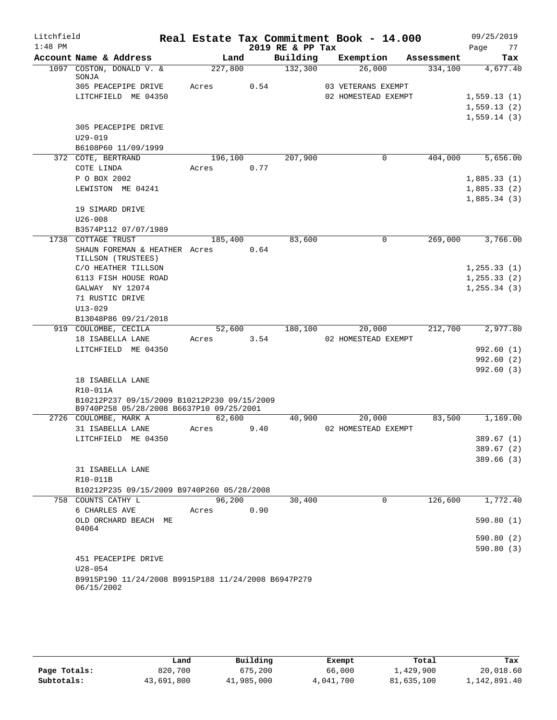| Litchfield |                                                                                         |                  |      |                  | Real Estate Tax Commitment Book - 14.000 |            | 09/25/2019                   |
|------------|-----------------------------------------------------------------------------------------|------------------|------|------------------|------------------------------------------|------------|------------------------------|
| $1:48$ PM  |                                                                                         |                  |      | 2019 RE & PP Tax |                                          |            | Page<br>77                   |
|            | Account Name & Address                                                                  |                  | Land | Building         | Exemption                                | Assessment | Tax                          |
|            | 1097 COSTON, DONALD V. &<br>SONJA                                                       | 227,800          |      | 132,300          | 26,000                                   | 334,100    | 4,677.40                     |
|            | 305 PEACEPIPE DRIVE                                                                     | Acres            | 0.54 |                  | 03 VETERANS EXEMPT                       |            |                              |
|            | LITCHFIELD ME 04350                                                                     |                  |      |                  | 02 HOMESTEAD EXEMPT                      |            | 1,559.13(1)                  |
|            |                                                                                         |                  |      |                  |                                          |            | 1,559.13(2)                  |
|            |                                                                                         |                  |      |                  |                                          |            | 1,559.14(3)                  |
|            | 305 PEACEPIPE DRIVE                                                                     |                  |      |                  |                                          |            |                              |
|            | $U29 - 019$                                                                             |                  |      |                  |                                          |            |                              |
|            | B6108P60 11/09/1999                                                                     |                  |      |                  |                                          |            | 5,656.00                     |
|            | 372 COTE, BERTRAND<br>COTE LINDA                                                        | 196,100<br>Acres | 0.77 | 207,900          | 0                                        | 404,000    |                              |
|            | P O BOX 2002                                                                            |                  |      |                  |                                          |            | 1,885.33(1)                  |
|            | LEWISTON ME 04241                                                                       |                  |      |                  |                                          |            | 1,885.33(2)                  |
|            |                                                                                         |                  |      |                  |                                          |            | 1,885.34(3)                  |
|            | 19 SIMARD DRIVE                                                                         |                  |      |                  |                                          |            |                              |
|            | $U26 - 008$                                                                             |                  |      |                  |                                          |            |                              |
|            | B3574P112 07/07/1989                                                                    |                  |      |                  |                                          |            |                              |
|            | 1738 COTTAGE TRUST                                                                      | 185,400          |      | 83,600           | $\mathbf 0$                              | 269,000    | 3,766.00                     |
|            | SHAUN FOREMAN & HEATHER Acres                                                           |                  | 0.64 |                  |                                          |            |                              |
|            | TILLSON (TRUSTEES)                                                                      |                  |      |                  |                                          |            |                              |
|            | C/O HEATHER TILLSON                                                                     |                  |      |                  |                                          |            | 1, 255.33(1)                 |
|            | 6113 FISH HOUSE ROAD<br>GALWAY NY 12074                                                 |                  |      |                  |                                          |            | 1, 255.33(2)<br>1, 255.34(3) |
|            | 71 RUSTIC DRIVE                                                                         |                  |      |                  |                                          |            |                              |
|            | $U13 - 029$                                                                             |                  |      |                  |                                          |            |                              |
|            | B13048P86 09/21/2018                                                                    |                  |      |                  |                                          |            |                              |
|            | 919 COULOMBE, CECILA                                                                    | 52,600           |      | 180,100          | 20,000                                   | 212,700    | 2,977.80                     |
|            | 18 ISABELLA LANE                                                                        | Acres            | 3.54 |                  | 02 HOMESTEAD EXEMPT                      |            |                              |
|            | LITCHFIELD ME 04350                                                                     |                  |      |                  |                                          |            | 992.60(1)                    |
|            |                                                                                         |                  |      |                  |                                          |            | 992.60(2)                    |
|            |                                                                                         |                  |      |                  |                                          |            | 992.60(3)                    |
|            | 18 ISABELLA LANE                                                                        |                  |      |                  |                                          |            |                              |
|            | R10-011A                                                                                |                  |      |                  |                                          |            |                              |
|            | B10212P237 09/15/2009 B10212P230 09/15/2009<br>B9740P258 05/28/2008 B6637P10 09/25/2001 |                  |      |                  |                                          |            |                              |
|            | 2726 COULOMBE, MARK A                                                                   | 62,600           |      | 40,900           | 20,000                                   | 83,500     | 1,169.00                     |
|            | 31 ISABELLA LANE                                                                        | Acres            | 9.40 |                  | 02 HOMESTEAD EXEMPT                      |            |                              |
|            | LITCHFIELD ME 04350                                                                     |                  |      |                  |                                          |            | 389.67 (1)                   |
|            |                                                                                         |                  |      |                  |                                          |            | 389.67(2)                    |
|            |                                                                                         |                  |      |                  |                                          |            | 389.66 (3)                   |
|            | 31 ISABELLA LANE                                                                        |                  |      |                  |                                          |            |                              |
|            | R10-011B                                                                                |                  |      |                  |                                          |            |                              |
|            | B10212P235 09/15/2009 B9740P260 05/28/2008<br>758 COUNTS CATHY L                        | 96,200           |      | 30,400           | $\Omega$                                 | 126,600    | 1,772.40                     |
|            | 6 CHARLES AVE                                                                           | Acres            | 0.90 |                  |                                          |            |                              |
|            | OLD ORCHARD BEACH ME                                                                    |                  |      |                  |                                          |            | 590.80(1)                    |
|            | 04064                                                                                   |                  |      |                  |                                          |            |                              |
|            |                                                                                         |                  |      |                  |                                          |            | 590.80(2)                    |
|            |                                                                                         |                  |      |                  |                                          |            | 590.80(3)                    |
|            | 451 PEACEPIPE DRIVE                                                                     |                  |      |                  |                                          |            |                              |
|            | $U28 - 054$                                                                             |                  |      |                  |                                          |            |                              |
|            | B9915P190 11/24/2008 B9915P188 11/24/2008 B6947P279<br>06/15/2002                       |                  |      |                  |                                          |            |                              |
|            |                                                                                         |                  |      |                  |                                          |            |                              |

|              | Land       | Building   | Exempt    | Total      | Tax          |
|--------------|------------|------------|-----------|------------|--------------|
| Page Totals: | 820,700    | 675,200    | 66,000    | 1,429,900  | 20,018.60    |
| Subtotals:   | 43,691,800 | 41,985,000 | 4,041,700 | 81,635,100 | 1,142,891.40 |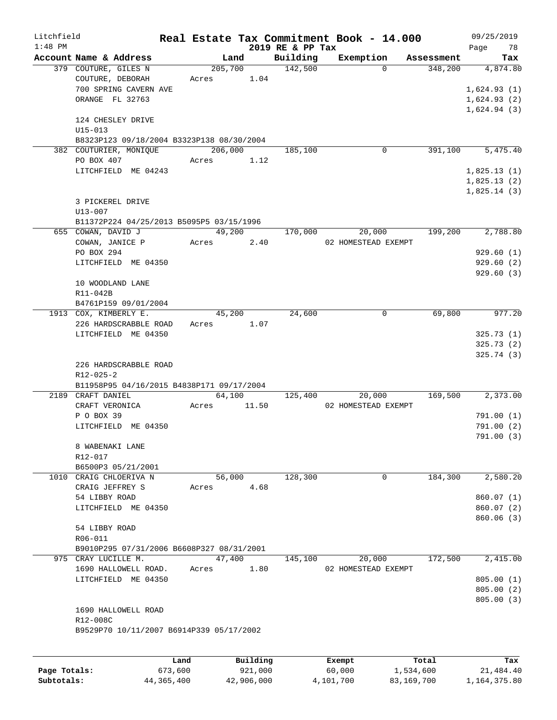| Litchfield<br>$1:48$ PM |                                                                     |      |                  |        |          | 2019 RE & PP Tax    | Real Estate Tax Commitment Book - 14.000 |            | 09/25/2019<br>78<br>Page   |
|-------------------------|---------------------------------------------------------------------|------|------------------|--------|----------|---------------------|------------------------------------------|------------|----------------------------|
|                         | Account Name & Address                                              |      |                  | Land   |          | Building            | Exemption                                | Assessment | Tax                        |
|                         | 379 COUTURE, GILES N<br>COUTURE, DEBORAH                            |      | 205,700<br>Acres |        | 1.04     | $\frac{142,500}{ }$ | $\Omega$                                 | 348,200    | 4,874.80                   |
|                         | 700 SPRING CAVERN AVE<br>ORANGE FL 32763                            |      |                  |        |          |                     |                                          |            | 1,624.93(1)<br>1,624.93(2) |
|                         |                                                                     |      |                  |        |          |                     |                                          |            | 1,624.94(3)                |
|                         | 124 CHESLEY DRIVE<br>$U15 - 013$                                    |      |                  |        |          |                     |                                          |            |                            |
|                         | B8323P123 09/18/2004 B3323P138 08/30/2004<br>382 COUTURIER, MONIQUE |      | 206,000          |        |          | 185,100             | 0                                        | 391,100    | 5,475.40                   |
|                         | PO BOX 407                                                          |      | Acres            |        | 1.12     |                     |                                          |            |                            |
|                         | LITCHFIELD ME 04243                                                 |      |                  |        |          |                     |                                          |            | 1,825.13(1)                |
|                         |                                                                     |      |                  |        |          |                     |                                          |            | 1,825.13(2)<br>1,825.14(3) |
|                         | 3 PICKEREL DRIVE                                                    |      |                  |        |          |                     |                                          |            |                            |
|                         | $U13 - 007$<br>B11372P224 04/25/2013 B5095P5 03/15/1996             |      |                  |        |          |                     |                                          |            |                            |
|                         | 655 COWAN, DAVID J                                                  |      |                  | 49,200 |          | 170,000             | 20,000                                   | 199,200    | 2,788.80                   |
|                         | COWAN, JANICE P                                                     |      | Acres 2.40       |        |          |                     | 02 HOMESTEAD EXEMPT                      |            |                            |
|                         | PO BOX 294                                                          |      |                  |        |          |                     |                                          |            | 929.60(1)                  |
|                         | LITCHFIELD ME 04350                                                 |      |                  |        |          |                     |                                          |            | 929.60(2)<br>929.60(3)     |
|                         | 10 WOODLAND LANE                                                    |      |                  |        |          |                     |                                          |            |                            |
|                         | R11-042B                                                            |      |                  |        |          |                     |                                          |            |                            |
|                         | B4761P159 09/01/2004<br>1913 COX, KIMBERLY E.                       |      |                  | 45,200 |          | 24,600              | 0                                        | 69,800     | 977.20                     |
|                         | 226 HARDSCRABBLE ROAD                                               |      | Acres 1.07       |        |          |                     |                                          |            |                            |
|                         | LITCHFIELD ME 04350                                                 |      |                  |        |          |                     |                                          |            | 325.73(1)                  |
|                         |                                                                     |      |                  |        |          |                     |                                          |            | 325.73(2)                  |
|                         |                                                                     |      |                  |        |          |                     |                                          |            | 325.74(3)                  |
|                         | 226 HARDSCRABBLE ROAD<br>$R12 - 025 - 2$                            |      |                  |        |          |                     |                                          |            |                            |
|                         | B11958P95 04/16/2015 B4838P171 09/17/2004                           |      |                  |        |          |                     |                                          |            |                            |
|                         | 2189 CRAFT DANIEL                                                   |      |                  | 64,100 |          | 125,400             | 20,000                                   | 169,500    | 2,373.00                   |
|                         | CRAFT VERONICA                                                      |      | Acres            |        | 11.50    |                     | 02 HOMESTEAD EXEMPT                      |            |                            |
|                         | P O BOX 39                                                          |      |                  |        |          |                     |                                          |            | 791.00(1)                  |
|                         | LITCHFIELD ME 04350                                                 |      |                  |        |          |                     |                                          |            | 791.00(2)                  |
|                         | 8 WABENAKI LANE                                                     |      |                  |        |          |                     |                                          |            | 791.00(3)                  |
|                         | R12-017                                                             |      |                  |        |          |                     |                                          |            |                            |
|                         | B6500P3 05/21/2001                                                  |      |                  |        |          |                     |                                          |            |                            |
|                         | 1010 CRAIG CHLOERIVA N                                              |      |                  | 56,000 |          | 128,300             | 0                                        | 184,300    | 2,580.20                   |
|                         | CRAIG JEFFREY S<br>54 LIBBY ROAD                                    |      | Acres            |        | 4.68     |                     |                                          |            | 860.07(1)                  |
|                         | LITCHFIELD ME 04350                                                 |      |                  |        |          |                     |                                          |            | 860.07(2)                  |
|                         |                                                                     |      |                  |        |          |                     |                                          |            | 860.06(3)                  |
|                         | 54 LIBBY ROAD                                                       |      |                  |        |          |                     |                                          |            |                            |
|                         | R06-011<br>B9010P295 07/31/2006 B6608P327 08/31/2001                |      |                  |        |          |                     |                                          |            |                            |
|                         | 975 CRAY LUCILLE M.                                                 |      |                  | 47,400 |          | 145,100             | 20,000                                   | 172,500    | 2,415.00                   |
|                         | 1690 HALLOWELL ROAD.                                                |      | Acres            |        | 1.80     |                     | 02 HOMESTEAD EXEMPT                      |            |                            |
|                         | LITCHFIELD ME 04350                                                 |      |                  |        |          |                     |                                          |            | 805.00(1)                  |
|                         |                                                                     |      |                  |        |          |                     |                                          |            | 805.00(2)                  |
|                         | 1690 HALLOWELL ROAD                                                 |      |                  |        |          |                     |                                          |            | 805.00(3)                  |
|                         | R12-008C                                                            |      |                  |        |          |                     |                                          |            |                            |
|                         | B9529P70 10/11/2007 B6914P339 05/17/2002                            |      |                  |        |          |                     |                                          |            |                            |
|                         |                                                                     |      |                  |        |          |                     |                                          |            |                            |
|                         |                                                                     | Land |                  |        | Building |                     | Exempt                                   | Total      | Tax                        |

|              | Land       | Building   | Exempt    | Total      | Tax          |
|--------------|------------|------------|-----------|------------|--------------|
| Page Totals: | 673,600    | 921,000    | 60,000    | 1,534,600  | 21,484.40    |
| Subtotals:   | 44,365,400 | 42,906,000 | 4,101,700 | 83,169,700 | 1,164,375.80 |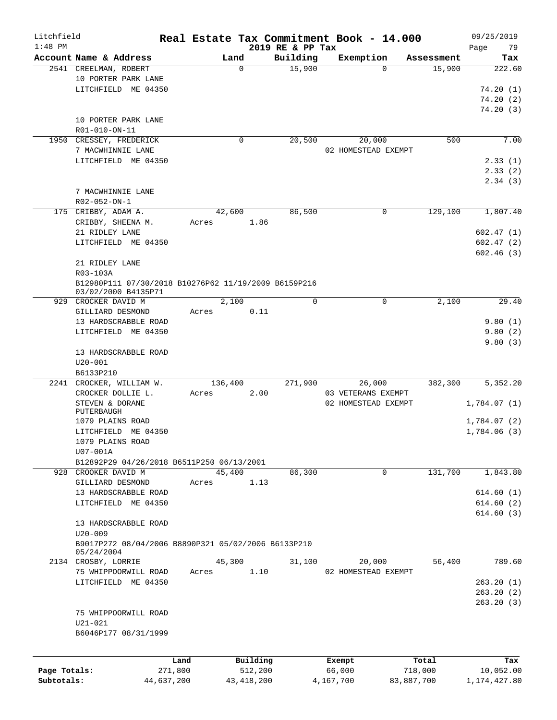| Litchfield   |                                                      |       |              |          |                              | Real Estate Tax Commitment Book - 14.000 |            |            | 09/25/2019        |
|--------------|------------------------------------------------------|-------|--------------|----------|------------------------------|------------------------------------------|------------|------------|-------------------|
| $1:48$ PM    | Account Name & Address                               |       | Land         |          | 2019 RE & PP Tax<br>Building | Exemption                                |            | Assessment | 79<br>Page<br>Tax |
|              | 2541 CREELMAN, ROBERT                                |       | $\mathbf 0$  |          | 15,900                       |                                          | $\Omega$   | 15,900     | 222.60            |
|              | 10 PORTER PARK LANE                                  |       |              |          |                              |                                          |            |            |                   |
|              | LITCHFIELD ME 04350                                  |       |              |          |                              |                                          |            |            | 74.20(1)          |
|              |                                                      |       |              |          |                              |                                          |            |            | 74.20(2)          |
|              |                                                      |       |              |          |                              |                                          |            |            | 74.20(3)          |
|              |                                                      |       |              |          |                              |                                          |            |            |                   |
|              | 10 PORTER PARK LANE                                  |       |              |          |                              |                                          |            |            |                   |
|              | R01-010-ON-11                                        |       |              |          |                              |                                          |            |            |                   |
|              | 1950 CRESSEY, FREDERICK                              |       | 0            |          | 20,500                       | 20,000                                   |            | 500        | 7.00              |
|              | 7 MACWHINNIE LANE                                    |       |              |          |                              | 02 HOMESTEAD EXEMPT                      |            |            |                   |
|              | LITCHFIELD ME 04350                                  |       |              |          |                              |                                          |            |            | 2.33(1)           |
|              |                                                      |       |              |          |                              |                                          |            |            | 2.33(2)           |
|              |                                                      |       |              |          |                              |                                          |            |            | 2.34(3)           |
|              | 7 MACWHINNIE LANE                                    |       |              |          |                              |                                          |            |            |                   |
|              | R02-052-ON-1                                         |       |              |          |                              |                                          |            |            |                   |
|              | 175 CRIBBY, ADAM A.                                  |       | 42,600       |          | 86,500                       |                                          | 0          | 129,100    | 1,807.40          |
|              | CRIBBY, SHEENA M.                                    | Acres |              | 1.86     |                              |                                          |            |            |                   |
|              | 21 RIDLEY LANE                                       |       |              |          |                              |                                          |            |            | 602.47(1)         |
|              | LITCHFIELD ME 04350                                  |       |              |          |                              |                                          |            |            | 602.47(2)         |
|              |                                                      |       |              |          |                              |                                          |            |            | 602.46(3)         |
|              | 21 RIDLEY LANE                                       |       |              |          |                              |                                          |            |            |                   |
|              | R03-103A                                             |       |              |          |                              |                                          |            |            |                   |
|              | B12980P111 07/30/2018 B10276P62 11/19/2009 B6159P216 |       |              |          |                              |                                          |            |            |                   |
|              | 03/02/2000 B4135P71                                  |       |              |          |                              |                                          |            |            |                   |
|              | 929 CROCKER DAVID M                                  |       | 2,100        |          | $\Omega$                     |                                          | 0          | 2,100      | 29.40             |
|              | GILLIARD DESMOND                                     | Acres |              | 0.11     |                              |                                          |            |            |                   |
|              | 13 HARDSCRABBLE ROAD                                 |       |              |          |                              |                                          |            |            | 9.80(1)           |
|              | LITCHFIELD ME 04350                                  |       |              |          |                              |                                          |            |            | 9.80(2)           |
|              |                                                      |       |              |          |                              |                                          |            |            | 9.80(3)           |
|              | 13 HARDSCRABBLE ROAD                                 |       |              |          |                              |                                          |            |            |                   |
|              | $U20 - 001$                                          |       |              |          |                              |                                          |            |            |                   |
|              | B6133P210                                            |       |              |          |                              |                                          |            |            |                   |
|              | 2241 CROCKER, WILLIAM W.                             |       | 136,400      |          | 271,900                      | 26,000                                   |            | 382,300    | 5,352.20          |
|              | CROCKER DOLLIE L.                                    | Acres |              | 2.00     |                              | 03 VETERANS EXEMPT                       |            |            |                   |
|              | STEVEN & DORANE                                      |       |              |          |                              | 02 HOMESTEAD EXEMPT                      |            |            | 1,784.07 (1)      |
|              | PUTERBAUGH                                           |       |              |          |                              |                                          |            |            |                   |
|              | 1079 PLAINS ROAD                                     |       |              |          |                              |                                          |            |            | 1,784.07 (2)      |
|              | LITCHFIELD ME 04350                                  |       |              |          |                              |                                          |            |            | 1,784.06(3)       |
|              | 1079 PLAINS ROAD                                     |       |              |          |                              |                                          |            |            |                   |
|              | U07-001A                                             |       |              |          |                              |                                          |            |            |                   |
|              | B12892P29 04/26/2018 B6511P250 06/13/2001            |       |              |          |                              |                                          |            |            |                   |
| 928          | CROOKER DAVID M                                      |       | 45,400       |          | 86,300                       |                                          | 0          | 131,700    | 1,843.80          |
|              |                                                      |       |              |          |                              |                                          |            |            |                   |
|              | GILLIARD DESMOND                                     | Acres |              | 1.13     |                              |                                          |            |            |                   |
|              | 13 HARDSCRABBLE ROAD                                 |       |              |          |                              |                                          |            |            | 614.60(1)         |
|              | LITCHFIELD ME 04350                                  |       |              |          |                              |                                          |            |            | 614.60(2)         |
|              |                                                      |       |              |          |                              |                                          |            |            | 614.60(3)         |
|              | 13 HARDSCRABBLE ROAD                                 |       |              |          |                              |                                          |            |            |                   |
|              | $U20 - 009$                                          |       |              |          |                              |                                          |            |            |                   |
|              | B9017P272 08/04/2006 B8890P321 05/02/2006 B6133P210  |       |              |          |                              |                                          |            |            |                   |
|              | 05/24/2004                                           |       |              |          |                              |                                          |            |            |                   |
|              | 2134 CROSBY, LORRIE                                  |       | 45,300       |          | 31,100                       | 20,000                                   |            | 56,400     | 789.60            |
|              | 75 WHIPPOORWILL ROAD                                 | Acres |              | 1.10     |                              | 02 HOMESTEAD EXEMPT                      |            |            |                   |
|              | LITCHFIELD ME 04350                                  |       |              |          |                              |                                          |            |            | 263.20(1)         |
|              |                                                      |       |              |          |                              |                                          |            |            | 263.20(2)         |
|              |                                                      |       |              |          |                              |                                          |            |            | 263.20(3)         |
|              | 75 WHIPPOORWILL ROAD                                 |       |              |          |                              |                                          |            |            |                   |
|              | $U21 - 021$                                          |       |              |          |                              |                                          |            |            |                   |
|              | B6046P177 08/31/1999                                 |       |              |          |                              |                                          |            |            |                   |
|              |                                                      |       |              |          |                              |                                          |            |            |                   |
|              |                                                      |       |              |          |                              |                                          |            |            |                   |
|              |                                                      | Land  |              | Building |                              | Exempt                                   |            | Total      | Tax               |
| Page Totals: | 271,800                                              |       |              | 512,200  |                              | 66,000                                   |            | 718,000    | 10,052.00         |
| Subtotals:   | 44,637,200                                           |       | 43, 418, 200 |          |                              | 4,167,700                                | 83,887,700 |            | 1, 174, 427.80    |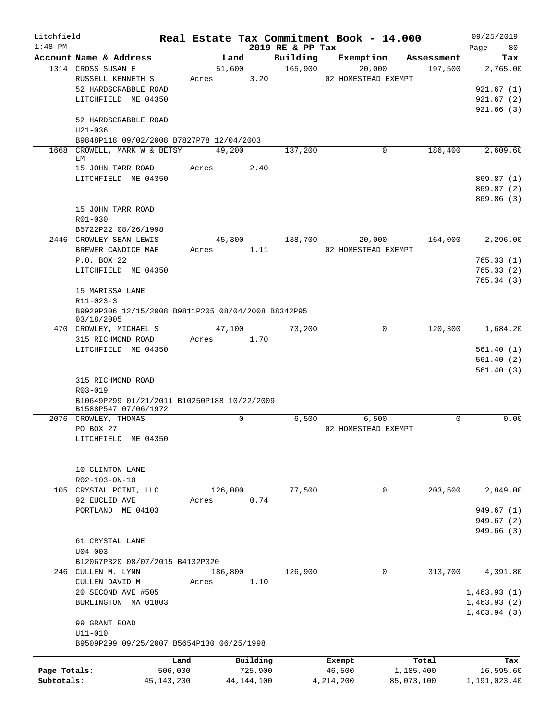| Litchfield   |                                                    |              |         |              |                              | Real Estate Tax Commitment Book - 14.000 |            | 09/25/2019      |  |  |
|--------------|----------------------------------------------------|--------------|---------|--------------|------------------------------|------------------------------------------|------------|-----------------|--|--|
| $1:48$ PM    | Account Name & Address                             |              | Land    |              | 2019 RE & PP Tax<br>Building | Exemption                                | Assessment | 80<br>Page      |  |  |
|              | 1314 CROSS SUSAN E                                 |              | 51,600  |              | 165,900                      | 20,000                                   | 197,500    | Tax<br>2,765.00 |  |  |
|              | RUSSELL KENNETH S                                  |              | Acres   | 3.20         |                              | 02 HOMESTEAD EXEMPT                      |            |                 |  |  |
|              | 52 HARDSCRABBLE ROAD                               |              |         |              |                              |                                          |            | 921.67(1)       |  |  |
|              | LITCHFIELD ME 04350                                |              |         |              |                              |                                          |            | 921.67(2)       |  |  |
|              |                                                    |              |         |              |                              |                                          |            | 921.66(3)       |  |  |
|              | 52 HARDSCRABBLE ROAD                               |              |         |              |                              |                                          |            |                 |  |  |
|              | $U21 - 036$                                        |              |         |              |                              |                                          |            |                 |  |  |
|              | B9848P118 09/02/2008 B7827P78 12/04/2003           |              |         |              |                              |                                          |            |                 |  |  |
|              | 1668 CROWELL, MARK W & BETSY<br>EM                 |              | 49,200  |              | 137,200                      | 0                                        | 186,400    | 2,609.60        |  |  |
|              | 15 JOHN TARR ROAD                                  | Acres        |         | 2.40         |                              |                                          |            |                 |  |  |
|              | LITCHFIELD ME 04350                                |              |         |              |                              |                                          |            | 869.87(1)       |  |  |
|              |                                                    |              |         |              |                              |                                          |            | 869.87 (2)      |  |  |
|              |                                                    |              |         |              |                              |                                          |            | 869.86(3)       |  |  |
|              | 15 JOHN TARR ROAD                                  |              |         |              |                              |                                          |            |                 |  |  |
|              | R01-030                                            |              |         |              |                              |                                          |            |                 |  |  |
|              | B5722P22 08/26/1998                                |              |         |              |                              |                                          |            |                 |  |  |
|              | 2446 CROWLEY SEAN LEWIS                            |              | 45,300  |              | 138,700                      | 20,000                                   | 164,000    | 2,296.00        |  |  |
|              | BREWER CANDICE MAE                                 | Acres        |         | 1.11         |                              | 02 HOMESTEAD EXEMPT                      |            |                 |  |  |
|              | P.O. BOX 22                                        |              |         |              |                              |                                          |            | 765.33(1)       |  |  |
|              | LITCHFIELD ME 04350                                |              |         |              |                              |                                          |            | 765.33(2)       |  |  |
|              |                                                    |              |         |              |                              |                                          |            | 765.34(3)       |  |  |
|              | 15 MARISSA LANE                                    |              |         |              |                              |                                          |            |                 |  |  |
|              | $R11 - 023 - 3$                                    |              |         |              |                              |                                          |            |                 |  |  |
|              | B9929P306 12/15/2008 B9811P205 08/04/2008 B8342P95 |              |         |              |                              |                                          |            |                 |  |  |
|              | 03/18/2005<br>470 CROWLEY, MICHAEL S               |              | 47,100  |              | 73,200                       | $\mathbf 0$                              | 120,300    | 1,684.20        |  |  |
|              | 315 RICHMOND ROAD                                  | Acres        |         | 1.70         |                              |                                          |            |                 |  |  |
|              | LITCHFIELD ME 04350                                |              |         |              |                              |                                          |            | 561.40(1)       |  |  |
|              |                                                    |              |         |              |                              |                                          |            | 561.40(2)       |  |  |
|              |                                                    |              |         |              |                              |                                          |            | 561.40(3)       |  |  |
|              | 315 RICHMOND ROAD                                  |              |         |              |                              |                                          |            |                 |  |  |
|              | R03-019                                            |              |         |              |                              |                                          |            |                 |  |  |
|              | B10649P299 01/21/2011 B10250P188 10/22/2009        |              |         |              |                              |                                          |            |                 |  |  |
|              | B1588P547 07/06/1972                               |              |         |              |                              |                                          |            |                 |  |  |
|              | 2076 CROWLEY, THOMAS                               |              |         | 0            | 6.500                        | 6,500                                    | 0          | 0.00            |  |  |
|              | PO BOX 27                                          |              |         |              |                              | 02 HOMESTEAD EXEMPT                      |            |                 |  |  |
|              | LITCHFIELD ME 04350                                |              |         |              |                              |                                          |            |                 |  |  |
|              |                                                    |              |         |              |                              |                                          |            |                 |  |  |
|              | 10 CLINTON LANE                                    |              |         |              |                              |                                          |            |                 |  |  |
|              | R02-103-ON-10                                      |              |         |              |                              |                                          |            |                 |  |  |
|              | 105 CRYSTAL POINT, LLC                             |              | 126,000 |              | 77,500                       | $\Omega$                                 | 203,500    | 2,849.00        |  |  |
|              | 92 EUCLID AVE                                      | Acres        |         | 0.74         |                              |                                          |            |                 |  |  |
|              | PORTLAND ME 04103                                  |              |         |              |                              |                                          |            | 949.67 (1)      |  |  |
|              |                                                    |              |         |              |                              |                                          |            | 949.67(2)       |  |  |
|              |                                                    |              |         |              |                              |                                          |            | 949.66 (3)      |  |  |
|              | 61 CRYSTAL LANE                                    |              |         |              |                              |                                          |            |                 |  |  |
|              | $U04 - 003$                                        |              |         |              |                              |                                          |            |                 |  |  |
|              | B12067P320 08/07/2015 B4132P320                    |              |         |              |                              |                                          |            |                 |  |  |
|              | 246 CULLEN M. LYNN                                 |              | 186,800 |              | 126,900                      | $\mathbf 0$                              | 313,700    | 4,391.80        |  |  |
|              | CULLEN DAVID M                                     | Acres        |         | 1.10         |                              |                                          |            |                 |  |  |
|              | 20 SECOND AVE #505                                 |              |         |              |                              |                                          |            | 1,463.93(1)     |  |  |
|              | BURLINGTON MA 01803                                |              |         |              |                              |                                          |            | 1,463.93(2)     |  |  |
|              |                                                    |              |         |              |                              |                                          |            | 1,463.94(3)     |  |  |
|              | 99 GRANT ROAD                                      |              |         |              |                              |                                          |            |                 |  |  |
|              | $U11 - 010$                                        |              |         |              |                              |                                          |            |                 |  |  |
|              | B9509P299 09/25/2007 B5654P130 06/25/1998          |              |         |              |                              |                                          |            |                 |  |  |
|              |                                                    | Land         |         | Building     |                              | Exempt                                   | Total      | Tax             |  |  |
| Page Totals: |                                                    | 506,000      |         | 725,900      |                              | 46,500                                   | 1,185,400  | 16,595.60       |  |  |
| Subtotals:   |                                                    | 45, 143, 200 |         | 44, 144, 100 |                              | 4, 214, 200                              | 85,073,100 | 1,191,023.40    |  |  |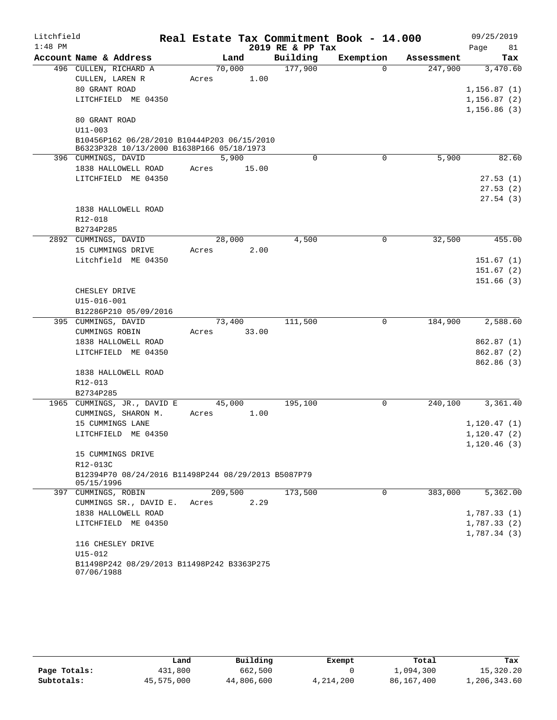| Litchfield |                                                                                          |       |         |       |                  | Real Estate Tax Commitment Book - 14.000 |            | 09/25/2019                 |
|------------|------------------------------------------------------------------------------------------|-------|---------|-------|------------------|------------------------------------------|------------|----------------------------|
| $1:48$ PM  |                                                                                          |       |         |       | 2019 RE & PP Tax |                                          |            | Page<br>81                 |
|            | Account Name & Address                                                                   |       | Land    |       | Building         | Exemption                                | Assessment | Tax                        |
|            | 496 CULLEN, RICHARD A                                                                    |       | 70,000  |       | 177,900          | $\Omega$                                 | 247,900    | 3,470.60                   |
|            | CULLEN, LAREN R                                                                          | Acres |         | 1.00  |                  |                                          |            |                            |
|            | 80 GRANT ROAD                                                                            |       |         |       |                  |                                          |            | 1,156.87(1)                |
|            | LITCHFIELD ME 04350                                                                      |       |         |       |                  |                                          |            | 1,156.87(2)                |
|            |                                                                                          |       |         |       |                  |                                          |            | 1,156.86(3)                |
|            | 80 GRANT ROAD                                                                            |       |         |       |                  |                                          |            |                            |
|            | $U11 - 003$                                                                              |       |         |       |                  |                                          |            |                            |
|            | B10456P162 06/28/2010 B10444P203 06/15/2010<br>B6323P328 10/13/2000 B1638P166 05/18/1973 |       |         |       |                  |                                          |            |                            |
|            | 396 CUMMINGS, DAVID                                                                      |       | 5,900   |       | 0                | 0                                        | 5,900      | 82.60                      |
|            | 1838 HALLOWELL ROAD                                                                      | Acres |         | 15.00 |                  |                                          |            |                            |
|            | LITCHFIELD ME 04350                                                                      |       |         |       |                  |                                          |            | 27.53(1)                   |
|            |                                                                                          |       |         |       |                  |                                          |            | 27.53(2)                   |
|            |                                                                                          |       |         |       |                  |                                          |            | 27.54(3)                   |
|            | 1838 HALLOWELL ROAD                                                                      |       |         |       |                  |                                          |            |                            |
|            | R12-018                                                                                  |       |         |       |                  |                                          |            |                            |
|            | B2734P285                                                                                |       |         |       |                  |                                          |            |                            |
|            | 2892 CUMMINGS, DAVID                                                                     |       | 28,000  |       | 4,500            | 0                                        | 32,500     | 455.00                     |
|            | 15 CUMMINGS DRIVE                                                                        | Acres |         | 2.00  |                  |                                          |            |                            |
|            | Litchfield ME 04350                                                                      |       |         |       |                  |                                          |            | 151.67(1)                  |
|            |                                                                                          |       |         |       |                  |                                          |            | 151.67(2)                  |
|            |                                                                                          |       |         |       |                  |                                          |            | 151.66(3)                  |
|            | CHESLEY DRIVE                                                                            |       |         |       |                  |                                          |            |                            |
|            | $U15 - 016 - 001$                                                                        |       |         |       |                  |                                          |            |                            |
|            | B12286P210 05/09/2016                                                                    |       |         |       |                  |                                          |            |                            |
|            | 395 CUMMINGS, DAVID                                                                      |       | 73,400  |       | 111,500          | 0                                        | 184,900    | 2,588.60                   |
|            | <b>CUMMINGS ROBIN</b>                                                                    | Acres |         | 33.00 |                  |                                          |            |                            |
|            | 1838 HALLOWELL ROAD                                                                      |       |         |       |                  |                                          |            | 862.87(1)                  |
|            | LITCHFIELD ME 04350                                                                      |       |         |       |                  |                                          |            | 862.87(2)                  |
|            |                                                                                          |       |         |       |                  |                                          |            | 862.86 (3)                 |
|            | 1838 HALLOWELL ROAD                                                                      |       |         |       |                  |                                          |            |                            |
|            | R12-013                                                                                  |       |         |       |                  |                                          |            |                            |
|            | B2734P285                                                                                |       |         |       |                  |                                          |            |                            |
|            | 1965 CUMMINGS, JR., DAVID E                                                              |       | 45,000  |       | 195,100          | 0                                        | 240,100    | 3,361.40                   |
|            | CUMMINGS, SHARON M.                                                                      | Acres |         | 1.00  |                  |                                          |            |                            |
|            | 15 CUMMINGS LANE<br>LITCHFIELD ME 04350                                                  |       |         |       |                  |                                          |            | 1,120.47(1)<br>1,120.47(2) |
|            |                                                                                          |       |         |       |                  |                                          |            | 1, 120.46(3)               |
|            | 15 CUMMINGS DRIVE                                                                        |       |         |       |                  |                                          |            |                            |
|            | R12-013C                                                                                 |       |         |       |                  |                                          |            |                            |
|            | B12394P70 08/24/2016 B11498P244 08/29/2013 B5087P79                                      |       |         |       |                  |                                          |            |                            |
|            | 05/15/1996                                                                               |       |         |       |                  |                                          |            |                            |
|            | 397 CUMMINGS, ROBIN                                                                      |       | 209,500 |       | 173,500          | 0                                        | 383,000    | 5,362.00                   |
|            | CUMMINGS SR., DAVID E.                                                                   | Acres |         | 2.29  |                  |                                          |            |                            |
|            | 1838 HALLOWELL ROAD                                                                      |       |         |       |                  |                                          |            | 1,787.33(1)                |
|            | LITCHFIELD ME 04350                                                                      |       |         |       |                  |                                          |            | 1,787.33(2)                |
|            |                                                                                          |       |         |       |                  |                                          |            | 1,787.34(3)                |
|            | 116 CHESLEY DRIVE                                                                        |       |         |       |                  |                                          |            |                            |
|            | $U15 - 012$                                                                              |       |         |       |                  |                                          |            |                            |
|            | B11498P242 08/29/2013 B11498P242 B3363P275<br>07/06/1988                                 |       |         |       |                  |                                          |            |                            |

|              | Land       | Building   | Exempt    | Total      | Tax          |
|--------------|------------|------------|-----------|------------|--------------|
| Page Totals: | 431,800    | 662,500    |           | 1,094,300  | 15,320.20    |
| Subtotals:   | 45,575,000 | 44,806,600 | 4,214,200 | 86,167,400 | 1,206,343.60 |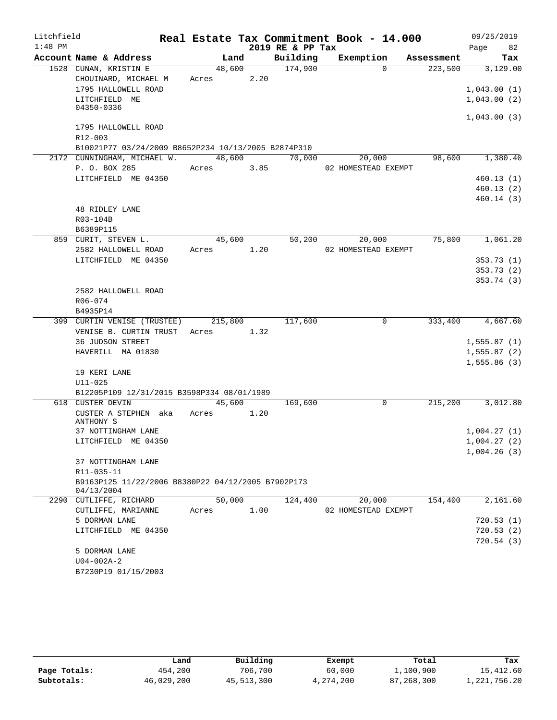| Litchfield |                                                                  | Real Estate Tax Commitment Book - 14.000 |      |                  |                     |             |            | 09/25/2019             |          |
|------------|------------------------------------------------------------------|------------------------------------------|------|------------------|---------------------|-------------|------------|------------------------|----------|
| $1:48$ PM  |                                                                  |                                          |      | 2019 RE & PP Tax |                     |             |            | Page                   | 82       |
|            | Account Name & Address                                           | Land                                     |      | Building         | Exemption           |             | Assessment |                        | Tax      |
|            | 1528 CUNAN, KRISTIN E                                            | 48,600                                   |      | 174,900          |                     | $\Omega$    | 223,500    |                        | 3,129.00 |
|            | CHOUINARD, MICHAEL M                                             | Acres                                    | 2.20 |                  |                     |             |            |                        |          |
|            | 1795 HALLOWELL ROAD                                              |                                          |      |                  |                     |             |            | 1,043.00(1)            |          |
|            | LITCHFIELD ME<br>04350-0336                                      |                                          |      |                  |                     |             |            | 1,043.00(2)            |          |
|            |                                                                  |                                          |      |                  |                     |             |            | 1,043.00(3)            |          |
|            | 1795 HALLOWELL ROAD                                              |                                          |      |                  |                     |             |            |                        |          |
|            | R12-003                                                          |                                          |      |                  |                     |             |            |                        |          |
|            | B10021P77 03/24/2009 B8652P234 10/13/2005 B2874P310              |                                          |      |                  |                     |             |            |                        |          |
|            | 2172 CUNNINGHAM, MICHAEL W.                                      | 48,600                                   |      | 70,000           |                     | 20,000      | 98,600     |                        | 1,380.40 |
|            | P. O. BOX 285                                                    | Acres                                    | 3.85 |                  | 02 HOMESTEAD EXEMPT |             |            |                        |          |
|            | LITCHFIELD ME 04350                                              |                                          |      |                  |                     |             |            | 460.13(1)              |          |
|            |                                                                  |                                          |      |                  |                     |             |            | 460.13(2)              |          |
|            |                                                                  |                                          |      |                  |                     |             |            | 460.14 (3)             |          |
|            | <b>48 RIDLEY LANE</b>                                            |                                          |      |                  |                     |             |            |                        |          |
|            | R03-104B                                                         |                                          |      |                  |                     |             |            |                        |          |
|            | B6389P115                                                        |                                          |      |                  |                     |             |            |                        |          |
|            | 859 CURIT, STEVEN L.                                             | 45,600                                   |      | 50, 200          |                     | 20,000      | 75,800     |                        | 1,061.20 |
|            | 2582 HALLOWELL ROAD                                              | Acres                                    | 1.20 |                  | 02 HOMESTEAD EXEMPT |             |            |                        |          |
|            | LITCHFIELD ME 04350                                              |                                          |      |                  |                     |             |            | 353.73(1)<br>353.73(2) |          |
|            |                                                                  |                                          |      |                  |                     |             |            | 353.74(3)              |          |
|            | 2582 HALLOWELL ROAD                                              |                                          |      |                  |                     |             |            |                        |          |
|            | R06-074                                                          |                                          |      |                  |                     |             |            |                        |          |
|            | B4935P14                                                         |                                          |      |                  |                     |             |            |                        |          |
|            | 399 CURTIN VENISE (TRUSTEE)                                      | 215,800                                  |      | 117,600          |                     | $\mathbf 0$ | 333,400    |                        | 4,667.60 |
|            | VENISE B. CURTIN TRUST                                           | Acres                                    | 1.32 |                  |                     |             |            |                        |          |
|            | <b>36 JUDSON STREET</b>                                          |                                          |      |                  |                     |             |            | 1,555.87(1)            |          |
|            | HAVERILL MA 01830                                                |                                          |      |                  |                     |             |            | 1,555.87(2)            |          |
|            |                                                                  |                                          |      |                  |                     |             |            | 1,555.86(3)            |          |
|            | 19 KERI LANE                                                     |                                          |      |                  |                     |             |            |                        |          |
|            | $U11 - 025$                                                      |                                          |      |                  |                     |             |            |                        |          |
|            | B12205P109 12/31/2015 B3598P334 08/01/1989                       |                                          |      |                  |                     |             |            |                        |          |
|            | 618 CUSTER DEVIN                                                 | 45,600                                   |      | 169,600          |                     | $\mathbf 0$ | 215,200    |                        | 3,012.80 |
|            | CUSTER A STEPHEN aka<br>ANTHONY S                                | Acres                                    | 1.20 |                  |                     |             |            |                        |          |
|            | 37 NOTTINGHAM LANE                                               |                                          |      |                  |                     |             |            | 1,004.27(1)            |          |
|            | LITCHFIELD ME 04350                                              |                                          |      |                  |                     |             |            | 1,004.27(2)            |          |
|            |                                                                  |                                          |      |                  |                     |             |            | 1,004.26(3)            |          |
|            | 37 NOTTINGHAM LANE                                               |                                          |      |                  |                     |             |            |                        |          |
|            | R11-035-11                                                       |                                          |      |                  |                     |             |            |                        |          |
|            | B9163P125 11/22/2006 B8380P22 04/12/2005 B7902P173<br>04/13/2004 |                                          |      |                  |                     |             |            |                        |          |
|            | 2290 CUTLIFFE, RICHARD                                           | 50,000                                   |      | 124,400          |                     | 20,000      | 154,400    |                        | 2,161.60 |
|            | CUTLIFFE, MARIANNE                                               | Acres                                    | 1.00 |                  | 02 HOMESTEAD EXEMPT |             |            |                        |          |
|            | 5 DORMAN LANE                                                    |                                          |      |                  |                     |             |            | 720.53(1)              |          |
|            | LITCHFIELD ME 04350                                              |                                          |      |                  |                     |             |            | 720.53(2)              |          |
|            |                                                                  |                                          |      |                  |                     |             |            | 720.54(3)              |          |
|            | 5 DORMAN LANE                                                    |                                          |      |                  |                     |             |            |                        |          |
|            | $U04 - 002A - 2$                                                 |                                          |      |                  |                     |             |            |                        |          |
|            | B7230P19 01/15/2003                                              |                                          |      |                  |                     |             |            |                        |          |

|              | Land       | Building   | Exempt    | Total      | Tax          |
|--------------|------------|------------|-----------|------------|--------------|
| Page Totals: | 454,200    | 706,700    | 60,000    | 1,100,900  | 15,412.60    |
| Subtotals:   | 46,029,200 | 45,513,300 | 4,274,200 | 87,268,300 | 1,221,756.20 |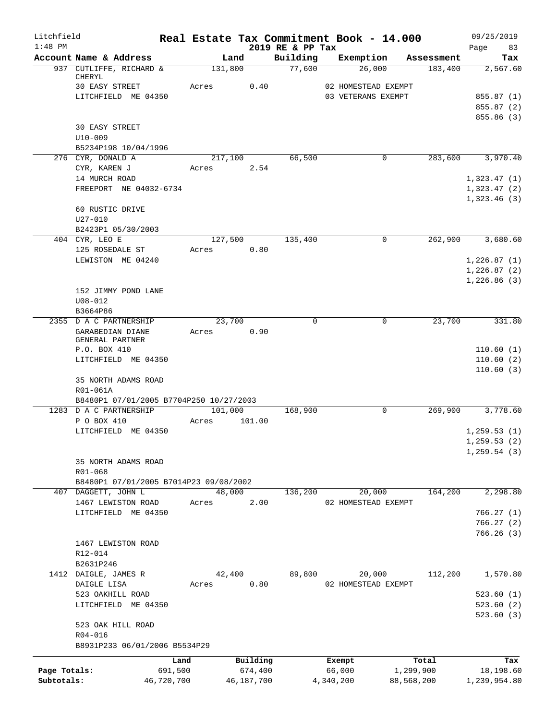| Litchfield   |                                                                   |            |       |         |            |                              | Real Estate Tax Commitment Book - 14.000 |            | 09/25/2019                 |
|--------------|-------------------------------------------------------------------|------------|-------|---------|------------|------------------------------|------------------------------------------|------------|----------------------------|
| $1:48$ PM    | Account Name & Address                                            |            |       | Land    |            | 2019 RE & PP Tax<br>Building | Exemption                                | Assessment | Page<br>83<br>Tax          |
|              | 937 CUTLIFFE, RICHARD &                                           |            |       | 131,800 |            | 77,600                       | 26,000                                   | 183,400    | 2,567.60                   |
|              | CHERYL                                                            |            |       |         |            |                              |                                          |            |                            |
|              | 30 EASY STREET                                                    |            | Acres |         | 0.40       |                              | 02 HOMESTEAD EXEMPT                      |            |                            |
|              | LITCHFIELD ME 04350                                               |            |       |         |            |                              | 03 VETERANS EXEMPT                       |            | 855.87 (1)                 |
|              |                                                                   |            |       |         |            |                              |                                          |            | 855.87 (2)<br>855.86 (3)   |
|              | <b>30 EASY STREET</b>                                             |            |       |         |            |                              |                                          |            |                            |
|              | $U10 - 009$                                                       |            |       |         |            |                              |                                          |            |                            |
|              | B5234P198 10/04/1996                                              |            |       |         |            |                              |                                          |            |                            |
|              | 276 CYR, DONALD A                                                 |            |       | 217,100 |            | 66,500                       | $\mathbf 0$                              | 283,600    | 3,970.40                   |
|              | CYR, KAREN J                                                      |            | Acres |         | 2.54       |                              |                                          |            |                            |
|              | 14 MURCH ROAD                                                     |            |       |         |            |                              |                                          |            | 1,323.47(1)                |
|              | FREEPORT NE 04032-6734                                            |            |       |         |            |                              |                                          |            | 1,323.47(2)<br>1,323.46(3) |
|              | 60 RUSTIC DRIVE                                                   |            |       |         |            |                              |                                          |            |                            |
|              | $U27 - 010$                                                       |            |       |         |            |                              |                                          |            |                            |
|              | B2423P1 05/30/2003                                                |            |       |         |            |                              |                                          |            |                            |
|              | 404 CYR, LEO E<br>125 ROSEDALE ST                                 |            | Acres | 127,500 | 0.80       | 135,400                      | $\mathbf 0$                              | 262,900    | 3,680.60                   |
|              | LEWISTON ME 04240                                                 |            |       |         |            |                              |                                          |            | 1,226.87(1)                |
|              |                                                                   |            |       |         |            |                              |                                          |            | 1,226.87(2)                |
|              |                                                                   |            |       |         |            |                              |                                          |            | 1,226.86(3)                |
|              | 152 JIMMY POND LANE                                               |            |       |         |            |                              |                                          |            |                            |
|              | $U08 - 012$                                                       |            |       |         |            |                              |                                          |            |                            |
|              | B3664P86                                                          |            |       |         |            |                              |                                          |            |                            |
|              | 2355 D A C PARTNERSHIP                                            |            |       | 23,700  |            | $\Omega$                     | 0                                        | 23,700     | 331.80                     |
|              | GARABEDIAN DIANE<br>GENERAL PARTNER                               |            | Acres |         | 0.90       |                              |                                          |            |                            |
|              | P.O. BOX 410                                                      |            |       |         |            |                              |                                          |            | 110.60(1)                  |
|              | LITCHFIELD ME 04350                                               |            |       |         |            |                              |                                          |            | 110.60(2)                  |
|              |                                                                   |            |       |         |            |                              |                                          |            | 110.60(3)                  |
|              | 35 NORTH ADAMS ROAD                                               |            |       |         |            |                              |                                          |            |                            |
|              | R01-061A                                                          |            |       |         |            |                              |                                          |            |                            |
|              | B8480P1 07/01/2005 B7704P250 10/27/2003<br>1283 D A C PARTNERSHIP |            |       |         |            | 168,900                      | $\mathbf 0$                              | 269,900    | 3,778.60                   |
|              | P O BOX 410                                                       |            | Acres | 101,000 | 101.00     |                              |                                          |            |                            |
|              | LITCHFIELD ME 04350                                               |            |       |         |            |                              |                                          |            | 1, 259.53(1)               |
|              |                                                                   |            |       |         |            |                              |                                          |            | 1, 259.53(2)               |
|              |                                                                   |            |       |         |            |                              |                                          |            | 1, 259.54(3)               |
|              | 35 NORTH ADAMS ROAD                                               |            |       |         |            |                              |                                          |            |                            |
|              | R01-068                                                           |            |       |         |            |                              |                                          |            |                            |
|              | B8480P1 07/01/2005 B7014P23 09/08/2002                            |            |       |         |            |                              |                                          |            |                            |
|              | 407 DAGGETT, JOHN L                                               |            |       | 48,000  |            | 136,200                      | 20,000                                   | 164,200    | 2,298.80                   |
|              | 1467 LEWISTON ROAD                                                |            | Acres |         | 2.00       |                              | 02 HOMESTEAD EXEMPT                      |            |                            |
|              | LITCHFIELD ME 04350                                               |            |       |         |            |                              |                                          |            | 766.27(1)                  |
|              |                                                                   |            |       |         |            |                              |                                          |            | 766.27(2)<br>766.26(3)     |
|              | 1467 LEWISTON ROAD                                                |            |       |         |            |                              |                                          |            |                            |
|              | R12-014                                                           |            |       |         |            |                              |                                          |            |                            |
|              | B2631P246                                                         |            |       |         |            |                              |                                          |            |                            |
|              | 1412 DAIGLE, JAMES R                                              |            |       | 42,400  |            | 89,800                       | 20,000                                   | 112,200    | 1,570.80                   |
|              | DAIGLE LISA                                                       |            | Acres |         | 0.80       |                              | 02 HOMESTEAD EXEMPT                      |            |                            |
|              | 523 OAKHILL ROAD                                                  |            |       |         |            |                              |                                          |            | 523.60(1)                  |
|              | LITCHFIELD ME 04350                                               |            |       |         |            |                              |                                          |            | 523.60(2)                  |
|              | 523 OAK HILL ROAD                                                 |            |       |         |            |                              |                                          |            | 523.60(3)                  |
|              | R04-016                                                           |            |       |         |            |                              |                                          |            |                            |
|              | B8931P233 06/01/2006 B5534P29                                     |            |       |         |            |                              |                                          |            |                            |
|              |                                                                   | Land       |       |         | Building   |                              | Exempt                                   | Total      | Tax                        |
| Page Totals: |                                                                   | 691,500    |       |         | 674,400    |                              | 66,000                                   | 1,299,900  | 18,198.60                  |
| Subtotals:   |                                                                   | 46,720,700 |       |         | 46,187,700 |                              | 4,340,200                                | 88,568,200 | 1,239,954.80               |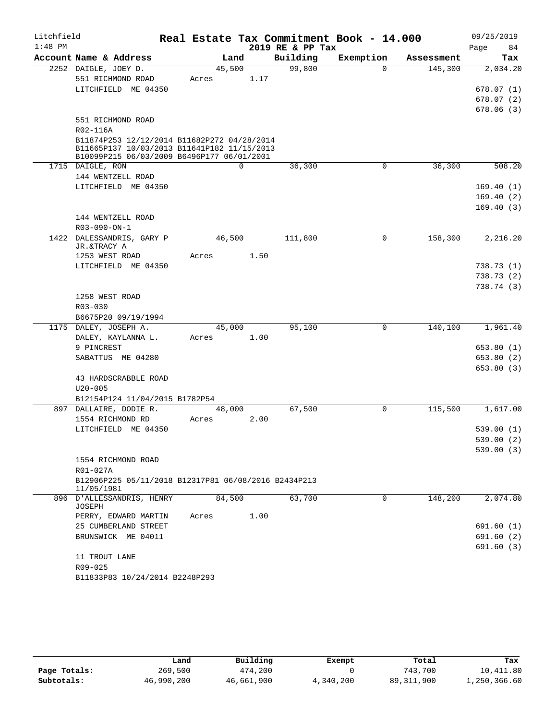| $1:48$ PM<br>2019 RE & PP Tax<br>84<br>Page<br>Account Name & Address<br>Building<br>Exemption<br>Land<br>Assessment<br>Tax<br>99,800<br>45,500<br>145,300<br>2252 DAIGLE, JOEY D.<br>$\Omega$<br>551 RICHMOND ROAD<br>1.17<br>Acres<br>LITCHFIELD ME 04350<br>551 RICHMOND ROAD<br>R02-116A<br>B11874P253 12/12/2014 B11682P272 04/28/2014<br>B11665P137 10/03/2013 B11641P182 11/15/2013<br>B10099P215 06/03/2009 B6496P177 06/01/2001<br>$\Omega$<br>$\mathbf 0$<br>36,300<br>1715 DAIGLE, RON<br>36,300<br>144 WENTZELL ROAD<br>LITCHFIELD ME 04350<br>144 WENTZELL ROAD<br>R03-090-ON-1<br>46,500<br>111,800<br>$\mathbf 0$<br>158,300<br>1422 DALESSANDRIS, GARY P<br>JR.&TRACY A<br>1.50<br>1253 WEST ROAD<br>Acres<br>LITCHFIELD ME 04350<br>1258 WEST ROAD<br>R03-030<br>B6675P20 09/19/1994<br>0<br>140,100<br>1175 DALEY, JOSEPH A.<br>45,000<br>95,100<br>DALEY, KAYLANNA L.<br>Acres<br>1.00<br>9 PINCREST<br>SABATTUS ME 04280<br>43 HARDSCRABBLE ROAD<br>$U20 - 005$<br>B12154P124 11/04/2015 B1782P54<br>67,500<br>$\overline{0}$<br>115,500<br>897 DALLAIRE, DODIE R.<br>48,000<br>1554 RICHMOND RD<br>2.00<br>Acres<br>LITCHFIELD ME 04350<br>1554 RICHMOND ROAD<br>R01-027A<br>B12906P225 05/11/2018 B12317P81 06/08/2016 B2434P213<br>11/05/1981<br>84,500<br>63,700<br>148,200<br>896 D'ALLESSANDRIS, HENRY<br>0<br>JOSEPH<br>1.00<br>PERRY, EDWARD MARTIN<br>Acres<br>25 CUMBERLAND STREET<br>BRUNSWICK ME 04011<br>11 TROUT LANE<br>R09-025<br>B11833P83 10/24/2014 B2248P293 | Litchfield |  |  | Real Estate Tax Commitment Book - 14.000 | 09/25/2019 |
|------------------------------------------------------------------------------------------------------------------------------------------------------------------------------------------------------------------------------------------------------------------------------------------------------------------------------------------------------------------------------------------------------------------------------------------------------------------------------------------------------------------------------------------------------------------------------------------------------------------------------------------------------------------------------------------------------------------------------------------------------------------------------------------------------------------------------------------------------------------------------------------------------------------------------------------------------------------------------------------------------------------------------------------------------------------------------------------------------------------------------------------------------------------------------------------------------------------------------------------------------------------------------------------------------------------------------------------------------------------------------------------------------------------------------------------------------------------------------------------------------|------------|--|--|------------------------------------------|------------|
|                                                                                                                                                                                                                                                                                                                                                                                                                                                                                                                                                                                                                                                                                                                                                                                                                                                                                                                                                                                                                                                                                                                                                                                                                                                                                                                                                                                                                                                                                                      |            |  |  |                                          |            |
| 2,034.20<br>678.07(1)<br>678.07(2)<br>678.06(3)<br>508.20<br>169.40(1)<br>169.40(2)<br>169.40(3)<br>2,216.20<br>738.73(1)<br>738.73(2)<br>738.74(3)<br>1,961.40<br>653.80(1)<br>653.80(2)<br>653.80 (3)<br>1,617.00<br>539.00(1)<br>539.00 (2)<br>539.00(3)<br>2,074.80<br>691.60(1)<br>691.60(2)<br>691.60(3)                                                                                                                                                                                                                                                                                                                                                                                                                                                                                                                                                                                                                                                                                                                                                                                                                                                                                                                                                                                                                                                                                                                                                                                       |            |  |  |                                          |            |
|                                                                                                                                                                                                                                                                                                                                                                                                                                                                                                                                                                                                                                                                                                                                                                                                                                                                                                                                                                                                                                                                                                                                                                                                                                                                                                                                                                                                                                                                                                      |            |  |  |                                          |            |
|                                                                                                                                                                                                                                                                                                                                                                                                                                                                                                                                                                                                                                                                                                                                                                                                                                                                                                                                                                                                                                                                                                                                                                                                                                                                                                                                                                                                                                                                                                      |            |  |  |                                          |            |
|                                                                                                                                                                                                                                                                                                                                                                                                                                                                                                                                                                                                                                                                                                                                                                                                                                                                                                                                                                                                                                                                                                                                                                                                                                                                                                                                                                                                                                                                                                      |            |  |  |                                          |            |
|                                                                                                                                                                                                                                                                                                                                                                                                                                                                                                                                                                                                                                                                                                                                                                                                                                                                                                                                                                                                                                                                                                                                                                                                                                                                                                                                                                                                                                                                                                      |            |  |  |                                          |            |
|                                                                                                                                                                                                                                                                                                                                                                                                                                                                                                                                                                                                                                                                                                                                                                                                                                                                                                                                                                                                                                                                                                                                                                                                                                                                                                                                                                                                                                                                                                      |            |  |  |                                          |            |
|                                                                                                                                                                                                                                                                                                                                                                                                                                                                                                                                                                                                                                                                                                                                                                                                                                                                                                                                                                                                                                                                                                                                                                                                                                                                                                                                                                                                                                                                                                      |            |  |  |                                          |            |
|                                                                                                                                                                                                                                                                                                                                                                                                                                                                                                                                                                                                                                                                                                                                                                                                                                                                                                                                                                                                                                                                                                                                                                                                                                                                                                                                                                                                                                                                                                      |            |  |  |                                          |            |
|                                                                                                                                                                                                                                                                                                                                                                                                                                                                                                                                                                                                                                                                                                                                                                                                                                                                                                                                                                                                                                                                                                                                                                                                                                                                                                                                                                                                                                                                                                      |            |  |  |                                          |            |
|                                                                                                                                                                                                                                                                                                                                                                                                                                                                                                                                                                                                                                                                                                                                                                                                                                                                                                                                                                                                                                                                                                                                                                                                                                                                                                                                                                                                                                                                                                      |            |  |  |                                          |            |
|                                                                                                                                                                                                                                                                                                                                                                                                                                                                                                                                                                                                                                                                                                                                                                                                                                                                                                                                                                                                                                                                                                                                                                                                                                                                                                                                                                                                                                                                                                      |            |  |  |                                          |            |
|                                                                                                                                                                                                                                                                                                                                                                                                                                                                                                                                                                                                                                                                                                                                                                                                                                                                                                                                                                                                                                                                                                                                                                                                                                                                                                                                                                                                                                                                                                      |            |  |  |                                          |            |
|                                                                                                                                                                                                                                                                                                                                                                                                                                                                                                                                                                                                                                                                                                                                                                                                                                                                                                                                                                                                                                                                                                                                                                                                                                                                                                                                                                                                                                                                                                      |            |  |  |                                          |            |
|                                                                                                                                                                                                                                                                                                                                                                                                                                                                                                                                                                                                                                                                                                                                                                                                                                                                                                                                                                                                                                                                                                                                                                                                                                                                                                                                                                                                                                                                                                      |            |  |  |                                          |            |
|                                                                                                                                                                                                                                                                                                                                                                                                                                                                                                                                                                                                                                                                                                                                                                                                                                                                                                                                                                                                                                                                                                                                                                                                                                                                                                                                                                                                                                                                                                      |            |  |  |                                          |            |
|                                                                                                                                                                                                                                                                                                                                                                                                                                                                                                                                                                                                                                                                                                                                                                                                                                                                                                                                                                                                                                                                                                                                                                                                                                                                                                                                                                                                                                                                                                      |            |  |  |                                          |            |
|                                                                                                                                                                                                                                                                                                                                                                                                                                                                                                                                                                                                                                                                                                                                                                                                                                                                                                                                                                                                                                                                                                                                                                                                                                                                                                                                                                                                                                                                                                      |            |  |  |                                          |            |
|                                                                                                                                                                                                                                                                                                                                                                                                                                                                                                                                                                                                                                                                                                                                                                                                                                                                                                                                                                                                                                                                                                                                                                                                                                                                                                                                                                                                                                                                                                      |            |  |  |                                          |            |
|                                                                                                                                                                                                                                                                                                                                                                                                                                                                                                                                                                                                                                                                                                                                                                                                                                                                                                                                                                                                                                                                                                                                                                                                                                                                                                                                                                                                                                                                                                      |            |  |  |                                          |            |
|                                                                                                                                                                                                                                                                                                                                                                                                                                                                                                                                                                                                                                                                                                                                                                                                                                                                                                                                                                                                                                                                                                                                                                                                                                                                                                                                                                                                                                                                                                      |            |  |  |                                          |            |
|                                                                                                                                                                                                                                                                                                                                                                                                                                                                                                                                                                                                                                                                                                                                                                                                                                                                                                                                                                                                                                                                                                                                                                                                                                                                                                                                                                                                                                                                                                      |            |  |  |                                          |            |
|                                                                                                                                                                                                                                                                                                                                                                                                                                                                                                                                                                                                                                                                                                                                                                                                                                                                                                                                                                                                                                                                                                                                                                                                                                                                                                                                                                                                                                                                                                      |            |  |  |                                          |            |
|                                                                                                                                                                                                                                                                                                                                                                                                                                                                                                                                                                                                                                                                                                                                                                                                                                                                                                                                                                                                                                                                                                                                                                                                                                                                                                                                                                                                                                                                                                      |            |  |  |                                          |            |
|                                                                                                                                                                                                                                                                                                                                                                                                                                                                                                                                                                                                                                                                                                                                                                                                                                                                                                                                                                                                                                                                                                                                                                                                                                                                                                                                                                                                                                                                                                      |            |  |  |                                          |            |
|                                                                                                                                                                                                                                                                                                                                                                                                                                                                                                                                                                                                                                                                                                                                                                                                                                                                                                                                                                                                                                                                                                                                                                                                                                                                                                                                                                                                                                                                                                      |            |  |  |                                          |            |
|                                                                                                                                                                                                                                                                                                                                                                                                                                                                                                                                                                                                                                                                                                                                                                                                                                                                                                                                                                                                                                                                                                                                                                                                                                                                                                                                                                                                                                                                                                      |            |  |  |                                          |            |
|                                                                                                                                                                                                                                                                                                                                                                                                                                                                                                                                                                                                                                                                                                                                                                                                                                                                                                                                                                                                                                                                                                                                                                                                                                                                                                                                                                                                                                                                                                      |            |  |  |                                          |            |
|                                                                                                                                                                                                                                                                                                                                                                                                                                                                                                                                                                                                                                                                                                                                                                                                                                                                                                                                                                                                                                                                                                                                                                                                                                                                                                                                                                                                                                                                                                      |            |  |  |                                          |            |
|                                                                                                                                                                                                                                                                                                                                                                                                                                                                                                                                                                                                                                                                                                                                                                                                                                                                                                                                                                                                                                                                                                                                                                                                                                                                                                                                                                                                                                                                                                      |            |  |  |                                          |            |
|                                                                                                                                                                                                                                                                                                                                                                                                                                                                                                                                                                                                                                                                                                                                                                                                                                                                                                                                                                                                                                                                                                                                                                                                                                                                                                                                                                                                                                                                                                      |            |  |  |                                          |            |
|                                                                                                                                                                                                                                                                                                                                                                                                                                                                                                                                                                                                                                                                                                                                                                                                                                                                                                                                                                                                                                                                                                                                                                                                                                                                                                                                                                                                                                                                                                      |            |  |  |                                          |            |
|                                                                                                                                                                                                                                                                                                                                                                                                                                                                                                                                                                                                                                                                                                                                                                                                                                                                                                                                                                                                                                                                                                                                                                                                                                                                                                                                                                                                                                                                                                      |            |  |  |                                          |            |
|                                                                                                                                                                                                                                                                                                                                                                                                                                                                                                                                                                                                                                                                                                                                                                                                                                                                                                                                                                                                                                                                                                                                                                                                                                                                                                                                                                                                                                                                                                      |            |  |  |                                          |            |
|                                                                                                                                                                                                                                                                                                                                                                                                                                                                                                                                                                                                                                                                                                                                                                                                                                                                                                                                                                                                                                                                                                                                                                                                                                                                                                                                                                                                                                                                                                      |            |  |  |                                          |            |
|                                                                                                                                                                                                                                                                                                                                                                                                                                                                                                                                                                                                                                                                                                                                                                                                                                                                                                                                                                                                                                                                                                                                                                                                                                                                                                                                                                                                                                                                                                      |            |  |  |                                          |            |
|                                                                                                                                                                                                                                                                                                                                                                                                                                                                                                                                                                                                                                                                                                                                                                                                                                                                                                                                                                                                                                                                                                                                                                                                                                                                                                                                                                                                                                                                                                      |            |  |  |                                          |            |
|                                                                                                                                                                                                                                                                                                                                                                                                                                                                                                                                                                                                                                                                                                                                                                                                                                                                                                                                                                                                                                                                                                                                                                                                                                                                                                                                                                                                                                                                                                      |            |  |  |                                          |            |
|                                                                                                                                                                                                                                                                                                                                                                                                                                                                                                                                                                                                                                                                                                                                                                                                                                                                                                                                                                                                                                                                                                                                                                                                                                                                                                                                                                                                                                                                                                      |            |  |  |                                          |            |
|                                                                                                                                                                                                                                                                                                                                                                                                                                                                                                                                                                                                                                                                                                                                                                                                                                                                                                                                                                                                                                                                                                                                                                                                                                                                                                                                                                                                                                                                                                      |            |  |  |                                          |            |
|                                                                                                                                                                                                                                                                                                                                                                                                                                                                                                                                                                                                                                                                                                                                                                                                                                                                                                                                                                                                                                                                                                                                                                                                                                                                                                                                                                                                                                                                                                      |            |  |  |                                          |            |
|                                                                                                                                                                                                                                                                                                                                                                                                                                                                                                                                                                                                                                                                                                                                                                                                                                                                                                                                                                                                                                                                                                                                                                                                                                                                                                                                                                                                                                                                                                      |            |  |  |                                          |            |
|                                                                                                                                                                                                                                                                                                                                                                                                                                                                                                                                                                                                                                                                                                                                                                                                                                                                                                                                                                                                                                                                                                                                                                                                                                                                                                                                                                                                                                                                                                      |            |  |  |                                          |            |
|                                                                                                                                                                                                                                                                                                                                                                                                                                                                                                                                                                                                                                                                                                                                                                                                                                                                                                                                                                                                                                                                                                                                                                                                                                                                                                                                                                                                                                                                                                      |            |  |  |                                          |            |
|                                                                                                                                                                                                                                                                                                                                                                                                                                                                                                                                                                                                                                                                                                                                                                                                                                                                                                                                                                                                                                                                                                                                                                                                                                                                                                                                                                                                                                                                                                      |            |  |  |                                          |            |
|                                                                                                                                                                                                                                                                                                                                                                                                                                                                                                                                                                                                                                                                                                                                                                                                                                                                                                                                                                                                                                                                                                                                                                                                                                                                                                                                                                                                                                                                                                      |            |  |  |                                          |            |
|                                                                                                                                                                                                                                                                                                                                                                                                                                                                                                                                                                                                                                                                                                                                                                                                                                                                                                                                                                                                                                                                                                                                                                                                                                                                                                                                                                                                                                                                                                      |            |  |  |                                          |            |
|                                                                                                                                                                                                                                                                                                                                                                                                                                                                                                                                                                                                                                                                                                                                                                                                                                                                                                                                                                                                                                                                                                                                                                                                                                                                                                                                                                                                                                                                                                      |            |  |  |                                          |            |
|                                                                                                                                                                                                                                                                                                                                                                                                                                                                                                                                                                                                                                                                                                                                                                                                                                                                                                                                                                                                                                                                                                                                                                                                                                                                                                                                                                                                                                                                                                      |            |  |  |                                          |            |

|              | Land       | Building   | Exempt    | Total        | Tax          |
|--------------|------------|------------|-----------|--------------|--------------|
| Page Totals: | 269,500    | 474,200    |           | 743,700      | 10,411.80    |
| Subtotals:   | 46,990,200 | 46,661,900 | 4,340,200 | 89, 311, 900 | 1,250,366.60 |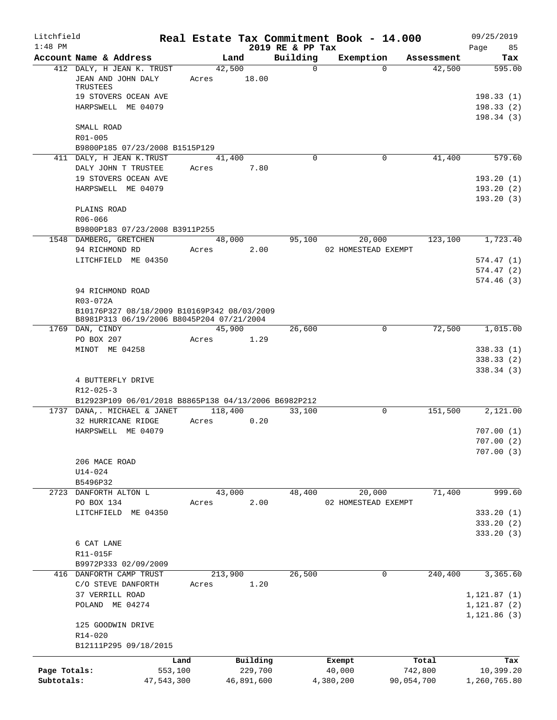| Litchfield<br>$1:48$ PM |                                                                                          |         |         |            |                              | Real Estate Tax Commitment Book - 14.000 |             |            | 09/25/2019                          |
|-------------------------|------------------------------------------------------------------------------------------|---------|---------|------------|------------------------------|------------------------------------------|-------------|------------|-------------------------------------|
|                         | Account Name & Address                                                                   |         | Land    |            | 2019 RE & PP Tax<br>Building | Exemption                                |             | Assessment | 85<br>Page<br>Tax                   |
|                         | 412 DALY, H JEAN K. TRUST<br>JEAN AND JOHN DALY                                          | Acres   | 42,500  | 18.00      | $\Omega$                     |                                          | $\Omega$    | 42,500     | 595.00                              |
|                         | TRUSTEES<br>19 STOVERS OCEAN AVE                                                         |         |         |            |                              |                                          |             |            | 198.33(1)                           |
|                         | HARPSWELL ME 04079                                                                       |         |         |            |                              |                                          |             |            | 198.33(2)<br>198.34(3)              |
|                         | SMALL ROAD<br>R01-005                                                                    |         |         |            |                              |                                          |             |            |                                     |
|                         | B9800P185 07/23/2008 B1515P129                                                           |         |         |            |                              |                                          |             |            |                                     |
|                         | 411 DALY, H JEAN K.TRUST<br>DALY JOHN T TRUSTEE                                          | Acres   | 41,400  | 7.80       | $\Omega$                     |                                          | $\mathbf 0$ | 41,400     | 579.60                              |
|                         | 19 STOVERS OCEAN AVE<br>HARPSWELL ME 04079                                               |         |         |            |                              |                                          |             |            | 193.20(1)<br>193.20(2)<br>193.20(3) |
|                         | PLAINS ROAD<br>R06-066                                                                   |         |         |            |                              |                                          |             |            |                                     |
|                         | B9800P183 07/23/2008 B3911P255                                                           |         |         |            |                              |                                          |             |            |                                     |
|                         | 1548 DAMBERG, GRETCHEN<br>94 RICHMOND RD                                                 | Acres   | 48,000  | 2.00       | 95,100                       | 20,000<br>02 HOMESTEAD EXEMPT            |             | 123,100    | 1,723.40                            |
|                         | LITCHFIELD ME 04350                                                                      |         |         |            |                              |                                          |             |            | 574.47(1)                           |
|                         |                                                                                          |         |         |            |                              |                                          |             |            | 574.47(2)<br>574.46(3)              |
|                         | 94 RICHMOND ROAD<br>R03-072A                                                             |         |         |            |                              |                                          |             |            |                                     |
|                         | B10176P327 08/18/2009 B10169P342 08/03/2009<br>B8981P313 06/19/2006 B8045P204 07/21/2004 |         |         |            |                              |                                          |             |            |                                     |
|                         | 1769 DAN, CINDY                                                                          |         | 45,900  |            | 26,600                       |                                          | $\mathbf 0$ | 72,500     | 1,015.00                            |
|                         | PO BOX 207<br>MINOT ME 04258                                                             | Acres   |         | 1.29       |                              |                                          |             |            | 338.33(1)                           |
|                         |                                                                                          |         |         |            |                              |                                          |             |            | 338.33(2)                           |
|                         | 4 BUTTERFLY DRIVE<br>$R12 - 025 - 3$                                                     |         |         |            |                              |                                          |             |            | 338.34 (3)                          |
|                         | B12923P109 06/01/2018 B8865P138 04/13/2006 B6982P212                                     |         |         |            |                              |                                          |             |            |                                     |
|                         | 1737 DANA,. MICHAEL & JANET<br>32 HURRICANE RIDGE                                        | Acres   | 118,400 | 0.20       | 33,100                       |                                          | $\mathbf 0$ | 151,500    | 2,121.00                            |
|                         | HARPSWELL ME 04079                                                                       |         |         |            |                              |                                          |             |            | 707.00(1)                           |
|                         |                                                                                          |         |         |            |                              |                                          |             |            | 707.00(2)<br>707.00(3)              |
|                         | 206 MACE ROAD<br>U14-024                                                                 |         |         |            |                              |                                          |             |            |                                     |
|                         | B5496P32                                                                                 |         |         |            |                              |                                          |             |            |                                     |
| 2723                    | DANFORTH ALTON L<br>PO BOX 134                                                           | Acres   | 43,000  | 2.00       | 48,400                       | 20,000<br>02 HOMESTEAD EXEMPT            |             | 71,400     | 999.60                              |
|                         | LITCHFIELD ME 04350                                                                      |         |         |            |                              |                                          |             |            | 333.20(1)                           |
|                         |                                                                                          |         |         |            |                              |                                          |             |            | 333.20(2)<br>333.20(3)              |
|                         | 6 CAT LANE                                                                               |         |         |            |                              |                                          |             |            |                                     |
|                         | R11-015F<br>B9972P333 02/09/2009                                                         |         |         |            |                              |                                          |             |            |                                     |
|                         | 416 DANFORTH CAMP TRUST                                                                  |         | 213,900 |            | 26,500                       |                                          | 0           | 240,400    | 3,365.60                            |
|                         | C/O STEVE DANFORTH                                                                       | Acres   |         | 1.20       |                              |                                          |             |            |                                     |
|                         | 37 VERRILL ROAD<br>POLAND ME 04274                                                       |         |         |            |                              |                                          |             |            | 1, 121.87(1)<br>1, 121.87(2)        |
|                         | 125 GOODWIN DRIVE                                                                        |         |         |            |                              |                                          |             |            | 1, 121.86(3)                        |
|                         | $R14 - 020$                                                                              |         |         |            |                              |                                          |             |            |                                     |
|                         | B12111P295 09/18/2015                                                                    | Land    |         | Building   |                              | Exempt                                   |             | Total      | Tax                                 |
| Page Totals:            |                                                                                          | 553,100 |         | 229,700    |                              | 40,000                                   |             | 742,800    | 10,399.20                           |
| Subtotals:              | 47,543,300                                                                               |         |         | 46,891,600 |                              | 4,380,200                                |             | 90,054,700 | 1,260,765.80                        |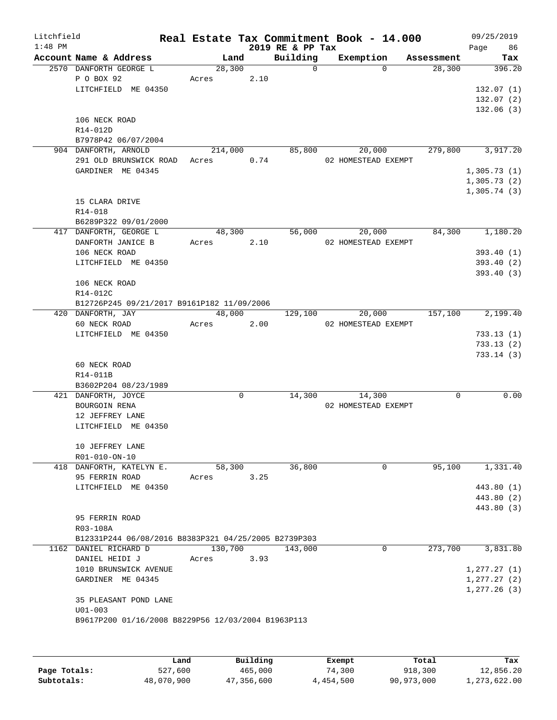| Litchfield<br>$1:48$ PM |                                                      |         |      | 2019 RE & PP Tax | Real Estate Tax Commitment Book - 14.000 |            | 09/25/2019<br>Page 86 |
|-------------------------|------------------------------------------------------|---------|------|------------------|------------------------------------------|------------|-----------------------|
|                         | Account Name & Address                               | Land    |      | Building         | Exemption                                | Assessment | Tax                   |
|                         | 2570 DANFORTH GEORGE L                               | 28,300  |      | $\Omega$         | $\Omega$                                 | 28,300     | 396.20                |
|                         | P O BOX 92                                           | Acres   | 2.10 |                  |                                          |            |                       |
|                         | LITCHFIELD ME 04350                                  |         |      |                  |                                          |            | 132.07(1)             |
|                         |                                                      |         |      |                  |                                          |            | 132.07(2)             |
|                         |                                                      |         |      |                  |                                          |            | 132.06(3)             |
|                         | 106 NECK ROAD                                        |         |      |                  |                                          |            |                       |
|                         | R14-012D                                             |         |      |                  |                                          |            |                       |
|                         | B7978P42 06/07/2004                                  |         |      |                  |                                          |            |                       |
|                         | 904 DANFORTH, ARNOLD                                 | 214,000 |      | 85,800           | 20,000                                   | 279,800    | 3,917.20              |
|                         | 291 OLD BRUNSWICK ROAD                               | Acres   | 0.74 |                  | 02 HOMESTEAD EXEMPT                      |            |                       |
|                         | GARDINER ME 04345                                    |         |      |                  |                                          |            | 1,305.73(1)           |
|                         |                                                      |         |      |                  |                                          |            | 1,305.73(2)           |
|                         |                                                      |         |      |                  |                                          |            | 1,305.74(3)           |
|                         | 15 CLARA DRIVE                                       |         |      |                  |                                          |            |                       |
|                         | $R14 - 018$                                          |         |      |                  |                                          |            |                       |
|                         | B6289P322 09/01/2000                                 |         |      |                  |                                          |            |                       |
|                         | 417 DANFORTH, GEORGE L                               | 48,300  |      | 56,000           | 20,000                                   | 84,300     | 1,180.20              |
|                         | DANFORTH JANICE B                                    | Acres   | 2.10 |                  | 02 HOMESTEAD EXEMPT                      |            |                       |
|                         | 106 NECK ROAD                                        |         |      |                  |                                          |            | 393.40(1)             |
|                         | LITCHFIELD ME 04350                                  |         |      |                  |                                          |            | 393.40(2)             |
|                         |                                                      |         |      |                  |                                          |            | 393.40(3)             |
|                         | 106 NECK ROAD                                        |         |      |                  |                                          |            |                       |
|                         | R14-012C                                             |         |      |                  |                                          |            |                       |
|                         | B12726P245 09/21/2017 B9161P182 11/09/2006           |         |      |                  |                                          |            |                       |
|                         | 420 DANFORTH, JAY                                    | 48,000  |      | 129,100          | 20,000                                   | 157,100    | 2,199.40              |
|                         | 60 NECK ROAD                                         | Acres   | 2.00 |                  | 02 HOMESTEAD EXEMPT                      |            |                       |
|                         | LITCHFIELD ME 04350                                  |         |      |                  |                                          |            | 733.13(1)             |
|                         |                                                      |         |      |                  |                                          |            | 733.13(2)             |
|                         |                                                      |         |      |                  |                                          |            | 733.14(3)             |
|                         | 60 NECK ROAD                                         |         |      |                  |                                          |            |                       |
|                         | R14-011B                                             |         |      |                  |                                          |            |                       |
|                         | B3602P204 08/23/1989                                 |         |      |                  |                                          |            |                       |
|                         | 421 DANFORTH, JOYCE                                  | 0       |      | 14,300           | 14,300                                   | 0          | 0.00                  |
|                         | BOURGOIN RENA                                        |         |      |                  | 02 HOMESTEAD EXEMPT                      |            |                       |
|                         | 12 JEFFREY LANE                                      |         |      |                  |                                          |            |                       |
|                         | LITCHFIELD ME 04350                                  |         |      |                  |                                          |            |                       |
|                         |                                                      |         |      |                  |                                          |            |                       |
|                         | 10 JEFFREY LANE                                      |         |      |                  |                                          |            |                       |
|                         | R01-010-ON-10                                        |         |      |                  |                                          |            |                       |
|                         | 418 DANFORTH, KATELYN E.                             | 58,300  |      | 36,800           | $\Omega$                                 | 95,100     | 1,331.40              |
|                         | 95 FERRIN ROAD                                       | Acres   | 3.25 |                  |                                          |            |                       |
|                         | LITCHFIELD ME 04350                                  |         |      |                  |                                          |            | 443.80 (1)            |
|                         |                                                      |         |      |                  |                                          |            | 443.80 (2)            |
|                         |                                                      |         |      |                  |                                          |            | 443.80 (3)            |
|                         | 95 FERRIN ROAD                                       |         |      |                  |                                          |            |                       |
|                         | R03-108A                                             |         |      |                  |                                          |            |                       |
|                         | B12331P244 06/08/2016 B8383P321 04/25/2005 B2739P303 |         |      |                  |                                          |            |                       |
|                         | 1162 DANIEL RICHARD D                                | 130,700 |      | 143,000          | 0                                        | 273,700    | 3,831.80              |
|                         | DANIEL HEIDI J                                       | Acres   | 3.93 |                  |                                          |            |                       |
|                         | 1010 BRUNSWICK AVENUE                                |         |      |                  |                                          |            | 1, 277.27(1)          |
|                         | GARDINER ME 04345                                    |         |      |                  |                                          |            | 1, 277.27(2)          |
|                         |                                                      |         |      |                  |                                          |            | 1,277.26(3)           |
|                         | 35 PLEASANT POND LANE                                |         |      |                  |                                          |            |                       |
|                         | $U01 - 003$                                          |         |      |                  |                                          |            |                       |
|                         | B9617P200 01/16/2008 B8229P56 12/03/2004 B1963P113   |         |      |                  |                                          |            |                       |
|                         |                                                      |         |      |                  |                                          |            |                       |
|                         |                                                      |         |      |                  |                                          |            |                       |
|                         |                                                      |         |      |                  |                                          |            |                       |

|              | Land       | Building   | Exempt    | Total      | Tax          |
|--------------|------------|------------|-----------|------------|--------------|
| Page Totals: | 527,600    | 465,000    | 74,300    | 918,300    | 12,856.20    |
| Subtotals:   | 48,070,900 | 47,356,600 | 4,454,500 | 90,973,000 | 1,273,622.00 |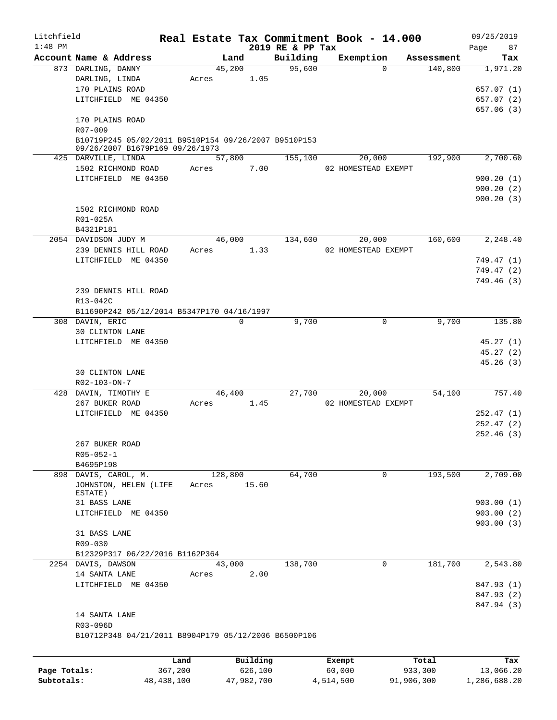| Litchfield   |                                                        |         |                |                    | Real Estate Tax Commitment Book - 14.000 |                       | 09/25/2019 |
|--------------|--------------------------------------------------------|---------|----------------|--------------------|------------------------------------------|-----------------------|------------|
| $1:48$ PM    |                                                        |         |                | 2019 RE & PP Tax   |                                          |                       | 87<br>Page |
|              | Account Name & Address                                 |         | Land           | Building<br>95,600 | Exemption<br>$\Omega$                    | Assessment<br>140,800 | Tax        |
|              | 873 DARLING, DANNY<br>DARLING, LINDA                   | Acres   | 45,200<br>1.05 |                    |                                          |                       | 1,971.20   |
|              | 170 PLAINS ROAD                                        |         |                |                    |                                          |                       | 657.07(1)  |
|              | LITCHFIELD ME 04350                                    |         |                |                    |                                          |                       | 657.07(2)  |
|              |                                                        |         |                |                    |                                          |                       | 657.06(3)  |
|              | 170 PLAINS ROAD                                        |         |                |                    |                                          |                       |            |
|              | R07-009                                                |         |                |                    |                                          |                       |            |
|              | B10719P245 05/02/2011 B9510P154 09/26/2007 B9510P153   |         |                |                    |                                          |                       |            |
|              | 09/26/2007 B1679P169 09/26/1973<br>425 DARVILLE, LINDA |         | 57,800         | 155,100            | 20,000                                   | 192,900               | 2,700.60   |
|              | 1502 RICHMOND ROAD                                     | Acres   | 7.00           |                    | 02 HOMESTEAD EXEMPT                      |                       |            |
|              | LITCHFIELD ME 04350                                    |         |                |                    |                                          |                       | 900.20(1)  |
|              |                                                        |         |                |                    |                                          |                       | 900.20(2)  |
|              |                                                        |         |                |                    |                                          |                       | 900.20(3)  |
|              | 1502 RICHMOND ROAD                                     |         |                |                    |                                          |                       |            |
|              | R01-025A                                               |         |                |                    |                                          |                       |            |
|              | B4321P181                                              |         |                |                    |                                          |                       |            |
|              | 2054 DAVIDSON JUDY M                                   |         | 46,000         | 134,600            | 20,000                                   | 160,600               | 2,248.40   |
|              | 239 DENNIS HILL ROAD                                   | Acres   | 1.33           |                    | 02 HOMESTEAD EXEMPT                      |                       |            |
|              | LITCHFIELD ME 04350                                    |         |                |                    |                                          |                       | 749.47(1)  |
|              |                                                        |         |                |                    |                                          |                       | 749.47(2)  |
|              |                                                        |         |                |                    |                                          |                       | 749.46(3)  |
|              | 239 DENNIS HILL ROAD                                   |         |                |                    |                                          |                       |            |
|              | R13-042C<br>B11690P242 05/12/2014 B5347P170 04/16/1997 |         |                |                    |                                          |                       |            |
|              | 308 DAVIN, ERIC                                        |         | $\Omega$       | 9,700              | 0                                        | 9,700                 | 135.80     |
|              | 30 CLINTON LANE                                        |         |                |                    |                                          |                       |            |
|              | LITCHFIELD ME 04350                                    |         |                |                    |                                          |                       | 45.27(1)   |
|              |                                                        |         |                |                    |                                          |                       | 45.27(2)   |
|              |                                                        |         |                |                    |                                          |                       | 45.26(3)   |
|              | <b>30 CLINTON LANE</b>                                 |         |                |                    |                                          |                       |            |
|              | R02-103-ON-7                                           |         |                |                    |                                          |                       |            |
|              | 428 DAVIN, TIMOTHY E                                   |         | 46,400         | 27,700             | 20,000                                   | 54,100                | 757.40     |
|              | 267 BUKER ROAD                                         | Acres   | 1.45           |                    | 02 HOMESTEAD EXEMPT                      |                       |            |
|              | LITCHFIELD ME 04350                                    |         |                |                    |                                          |                       | 252.47(1)  |
|              |                                                        |         |                |                    |                                          |                       | 252.47(2)  |
|              | 267 BUKER ROAD                                         |         |                |                    |                                          |                       | 252.46(3)  |
|              | $R05 - 052 - 1$                                        |         |                |                    |                                          |                       |            |
|              | B4695P198                                              |         |                |                    |                                          |                       |            |
|              | 898 DAVIS, CAROL, M.                                   |         | 128,800        | 64,700             | 0                                        | 193,500               | 2,709.00   |
|              | JOHNSTON, HELEN (LIFE                                  | Acres   | 15.60          |                    |                                          |                       |            |
|              | ESTATE)                                                |         |                |                    |                                          |                       |            |
|              | 31 BASS LANE                                           |         |                |                    |                                          |                       | 903.00(1)  |
|              | LITCHFIELD ME 04350                                    |         |                |                    |                                          |                       | 903.00(2)  |
|              | 31 BASS LANE                                           |         |                |                    |                                          |                       | 903.00(3)  |
|              | R09-030                                                |         |                |                    |                                          |                       |            |
|              | B12329P317 06/22/2016 B1162P364                        |         |                |                    |                                          |                       |            |
|              | 2254 DAVIS, DAWSON                                     |         | 43,000         | 138,700            | 0                                        | 181,700               | 2,543.80   |
|              | 14 SANTA LANE                                          | Acres   | 2.00           |                    |                                          |                       |            |
|              | LITCHFIELD ME 04350                                    |         |                |                    |                                          |                       | 847.93 (1) |
|              |                                                        |         |                |                    |                                          |                       | 847.93 (2) |
|              |                                                        |         |                |                    |                                          |                       | 847.94 (3) |
|              | 14 SANTA LANE                                          |         |                |                    |                                          |                       |            |
|              | R03-096D                                               |         |                |                    |                                          |                       |            |
|              | B10712P348 04/21/2011 B8904P179 05/12/2006 B6500P106   |         |                |                    |                                          |                       |            |
|              |                                                        |         |                |                    |                                          |                       |            |
|              |                                                        | Land    | Building       |                    | Exempt                                   | Total                 | Tax        |
| Page Totals: |                                                        | 367,200 | 626,100        |                    | 60,000                                   | 933,300               | 13,066.20  |

**Subtotals:** 48,438,100 47,982,700 4,514,500 91,906,300 1,286,688.20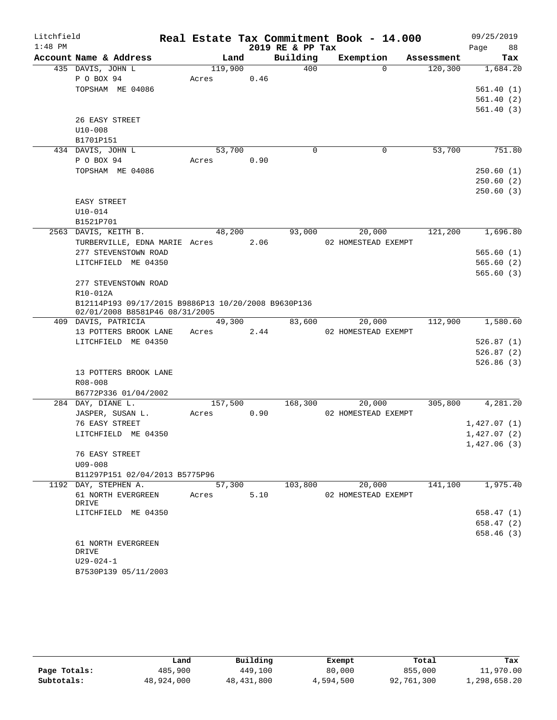| Litchfield |                                                                                       |       |                      |      |                  | Real Estate Tax Commitment Book - 14.000 |            | 09/25/2019  |
|------------|---------------------------------------------------------------------------------------|-------|----------------------|------|------------------|------------------------------------------|------------|-------------|
| $1:48$ PM  |                                                                                       |       |                      |      | 2019 RE & PP Tax |                                          |            | Page<br>88  |
|            | Account Name & Address                                                                |       | Land                 |      | Building         | Exemption                                | Assessment | Tax         |
|            | 435 DAVIS, JOHN L                                                                     |       | 119,900              |      | 400              | $\Omega$                                 | 120,300    | 1,684.20    |
|            | P O BOX 94                                                                            | Acres |                      | 0.46 |                  |                                          |            |             |
|            | TOPSHAM ME 04086                                                                      |       |                      |      |                  |                                          |            | 561.40(1)   |
|            |                                                                                       |       |                      |      |                  |                                          |            | 561.40(2)   |
|            | 26 EASY STREET                                                                        |       |                      |      |                  |                                          |            | 561.40(3)   |
|            | $U10-008$                                                                             |       |                      |      |                  |                                          |            |             |
|            | B1701P151                                                                             |       |                      |      |                  |                                          |            |             |
|            | 434 DAVIS, JOHN L                                                                     |       | 53,700               |      | 0                | 0                                        | 53,700     | 751.80      |
|            | P O BOX 94                                                                            | Acres |                      | 0.90 |                  |                                          |            |             |
|            | TOPSHAM ME 04086                                                                      |       |                      |      |                  |                                          |            | 250.60(1)   |
|            |                                                                                       |       |                      |      |                  |                                          |            | 250.60(2)   |
|            |                                                                                       |       |                      |      |                  |                                          |            | 250.60(3)   |
|            | EASY STREET                                                                           |       |                      |      |                  |                                          |            |             |
|            | $U10 - 014$                                                                           |       |                      |      |                  |                                          |            |             |
|            | B1521P701                                                                             |       |                      |      |                  |                                          |            |             |
|            | 2563 DAVIS, KEITH B.                                                                  |       | 48,200               |      | 93,000           | 20,000                                   | 121,200    | 1,696.80    |
|            | TURBERVILLE, EDNA MARIE Acres                                                         |       |                      | 2.06 |                  | 02 HOMESTEAD EXEMPT                      |            |             |
|            | 277 STEVENSTOWN ROAD                                                                  |       |                      |      |                  |                                          |            | 565.60(1)   |
|            | LITCHFIELD ME 04350                                                                   |       |                      |      |                  |                                          |            | 565.60(2)   |
|            |                                                                                       |       |                      |      |                  |                                          |            | 565.60(3)   |
|            | 277 STEVENSTOWN ROAD                                                                  |       |                      |      |                  |                                          |            |             |
|            | R10-012A                                                                              |       |                      |      |                  |                                          |            |             |
|            | B12114P193 09/17/2015 B9886P13 10/20/2008 B9630P136<br>02/01/2008 B8581P46 08/31/2005 |       |                      |      |                  |                                          |            |             |
|            | 409 DAVIS, PATRICIA                                                                   |       | 49,300               |      | 83,600           | 20,000                                   | 112,900    | 1,580.60    |
|            | 13 POTTERS BROOK LANE                                                                 | Acres |                      | 2.44 |                  | 02 HOMESTEAD EXEMPT                      |            |             |
|            | LITCHFIELD ME 04350                                                                   |       |                      |      |                  |                                          |            | 526.87(1)   |
|            |                                                                                       |       |                      |      |                  |                                          |            | 526.87(2)   |
|            |                                                                                       |       |                      |      |                  |                                          |            | 526.86(3)   |
|            | 13 POTTERS BROOK LANE                                                                 |       |                      |      |                  |                                          |            |             |
|            | R08-008                                                                               |       |                      |      |                  |                                          |            |             |
|            | B6772P336 01/04/2002                                                                  |       |                      |      |                  |                                          |            |             |
|            | 284 DAY, DIANE L.                                                                     |       | $1\overline{57,500}$ |      | 168,300          | 20,000                                   | 305,800    | 4,281.20    |
|            | JASPER, SUSAN L.                                                                      | Acres |                      | 0.90 |                  | 02 HOMESTEAD EXEMPT                      |            |             |
|            | 76 EASY STREET                                                                        |       |                      |      |                  |                                          |            | 1,427.07(1) |
|            | LITCHFIELD ME 04350                                                                   |       |                      |      |                  |                                          |            | 1,427.07(2) |
|            |                                                                                       |       |                      |      |                  |                                          |            | 1,427.06(3) |
|            | 76 EASY STREET<br>$U09 - 008$                                                         |       |                      |      |                  |                                          |            |             |
|            | B11297P151 02/04/2013 B5775P96                                                        |       |                      |      |                  |                                          |            |             |
|            | 1192 DAY, STEPHEN A.                                                                  |       | 57,300               |      | 103,800          | 20,000                                   | 141,100    | 1,975.40    |
|            | 61 NORTH EVERGREEN                                                                    | Acres |                      | 5.10 |                  | 02 HOMESTEAD EXEMPT                      |            |             |
|            | DRIVE                                                                                 |       |                      |      |                  |                                          |            |             |
|            | LITCHFIELD ME 04350                                                                   |       |                      |      |                  |                                          |            | 658.47(1)   |
|            |                                                                                       |       |                      |      |                  |                                          |            | 658.47 (2)  |
|            |                                                                                       |       |                      |      |                  |                                          |            | 658.46(3)   |
|            | 61 NORTH EVERGREEN                                                                    |       |                      |      |                  |                                          |            |             |
|            | DRIVE                                                                                 |       |                      |      |                  |                                          |            |             |
|            | $U29 - 024 - 1$                                                                       |       |                      |      |                  |                                          |            |             |
|            | B7530P139 05/11/2003                                                                  |       |                      |      |                  |                                          |            |             |

|              | Land       | Building     | Exempt    | Total      | Tax          |
|--------------|------------|--------------|-----------|------------|--------------|
| Page Totals: | 485,900    | 449,100      | 80,000    | 855,000    | 11,970.00    |
| Subtotals:   | 48,924,000 | 48, 431, 800 | 4,594,500 | 92,761,300 | 1,298,658.20 |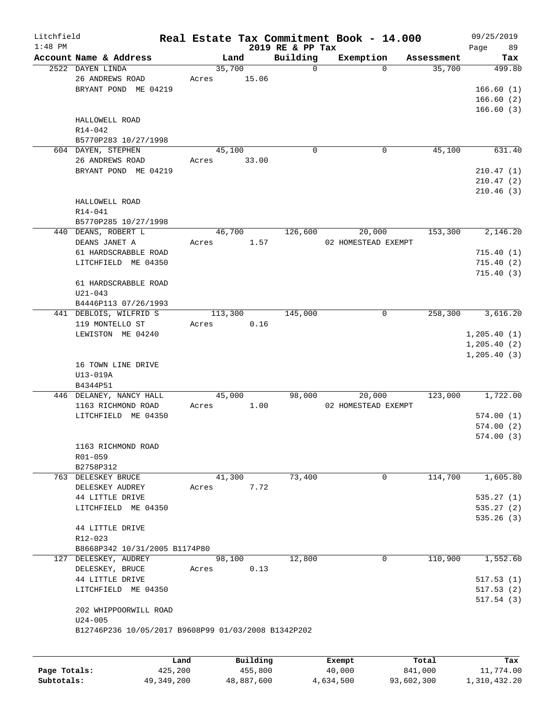| Litchfield |                                                     |                |                         |                         | Real Estate Tax Commitment Book - 14.000 |                      | 09/25/2019    |
|------------|-----------------------------------------------------|----------------|-------------------------|-------------------------|------------------------------------------|----------------------|---------------|
| $1:48$ PM  | Account Name & Address                              |                |                         | 2019 RE & PP Tax        |                                          |                      | Page<br>89    |
|            | 2522 DAYEN LINDA                                    | Land<br>35,700 |                         | Building<br>$\mathbf 0$ | Exemption<br>$\Omega$                    | Assessment<br>35,700 | Tax<br>499.80 |
|            | 26 ANDREWS ROAD                                     | Acres          | 15.06                   |                         |                                          |                      |               |
|            | BRYANT POND ME 04219                                |                |                         |                         |                                          |                      | 166.60(1)     |
|            |                                                     |                |                         |                         |                                          |                      | 166.60(2)     |
|            |                                                     |                |                         |                         |                                          |                      | 166.60(3)     |
|            | HALLOWELL ROAD                                      |                |                         |                         |                                          |                      |               |
|            | R14-042                                             |                |                         |                         |                                          |                      |               |
|            | B5770P283 10/27/1998                                |                |                         |                         |                                          |                      |               |
|            | 604 DAYEN, STEPHEN                                  | 45,100         |                         | 0                       | 0                                        | 45,100               | 631.40        |
|            | 26 ANDREWS ROAD                                     | Acres          | 33.00                   |                         |                                          |                      |               |
|            | BRYANT POND ME 04219                                |                |                         |                         |                                          |                      | 210.47(1)     |
|            |                                                     |                |                         |                         |                                          |                      | 210.47(2)     |
|            |                                                     |                |                         |                         |                                          |                      |               |
|            |                                                     |                |                         |                         |                                          |                      | 210.46(3)     |
|            | HALLOWELL ROAD                                      |                |                         |                         |                                          |                      |               |
|            | $R14 - 041$                                         |                |                         |                         |                                          |                      |               |
|            | B5770P285 10/27/1998                                |                |                         | 126,600                 |                                          |                      |               |
|            | 440 DEANS, ROBERT L                                 | 46,700         |                         |                         | 20,000                                   | 153,300              | 2,146.20      |
|            | DEANS JANET A                                       | Acres          | 1.57                    |                         | 02 HOMESTEAD EXEMPT                      |                      |               |
|            | 61 HARDSCRABBLE ROAD                                |                |                         |                         |                                          |                      | 715.40(1)     |
|            | LITCHFIELD ME 04350                                 |                |                         |                         |                                          |                      | 715.40(2)     |
|            |                                                     |                |                         |                         |                                          |                      | 715.40(3)     |
|            | 61 HARDSCRABBLE ROAD                                |                |                         |                         |                                          |                      |               |
|            | $U21 - 043$                                         |                |                         |                         |                                          |                      |               |
|            | B4446P113 07/26/1993                                |                |                         |                         |                                          |                      |               |
|            | 441 DEBLOIS, WILFRID S                              | 113,300        |                         | 145,000                 | 0                                        | 258,300              | 3,616.20      |
|            | 119 MONTELLO ST                                     | Acres          | 0.16                    |                         |                                          |                      |               |
|            | LEWISTON ME 04240                                   |                |                         |                         |                                          |                      | 1, 205.40(1)  |
|            |                                                     |                |                         |                         |                                          |                      | 1, 205.40(2)  |
|            |                                                     |                |                         |                         |                                          |                      | 1, 205.40(3)  |
|            | 16 TOWN LINE DRIVE                                  |                |                         |                         |                                          |                      |               |
|            | U13-019A                                            |                |                         |                         |                                          |                      |               |
|            | B4344P51                                            |                |                         |                         |                                          | 123,000              | 1,722.00      |
|            | 446 DELANEY, NANCY HALL                             | 45,000         |                         | 98,000                  | 20,000                                   |                      |               |
|            | 1163 RICHMOND ROAD                                  | Acres          | 1.00                    |                         | 02 HOMESTEAD EXEMPT                      |                      |               |
|            | LITCHFIELD ME 04350                                 |                |                         |                         |                                          |                      | 574.00(1)     |
|            |                                                     |                |                         |                         |                                          |                      | 574.00(2)     |
|            |                                                     |                |                         |                         |                                          |                      | 574.00(3)     |
|            | 1163 RICHMOND ROAD                                  |                |                         |                         |                                          |                      |               |
|            | R01-059                                             |                |                         |                         |                                          |                      |               |
|            | B2758P312                                           |                |                         |                         |                                          |                      |               |
|            | 763 DELESKEY BRUCE                                  | 41,300         |                         | 73,400                  | 0                                        | 114,700              | 1,605.80      |
|            | DELESKEY AUDREY                                     | Acres          | 7.72                    |                         |                                          |                      |               |
|            | 44 LITTLE DRIVE                                     |                |                         |                         |                                          |                      | 535.27(1)     |
|            | LITCHFIELD ME 04350                                 |                |                         |                         |                                          |                      | 535.27(2)     |
|            |                                                     |                |                         |                         |                                          |                      | 535.26(3)     |
|            | 44 LITTLE DRIVE                                     |                |                         |                         |                                          |                      |               |
|            | R12-023                                             |                |                         |                         |                                          |                      |               |
|            | B8668P342 10/31/2005 B1174P80                       |                |                         |                         |                                          |                      |               |
|            | 127 DELESKEY, AUDREY                                | 98,100         |                         | 12,800                  | 0                                        | 110,900              | 1,552.60      |
|            | DELESKEY, BRUCE                                     | Acres          | 0.13                    |                         |                                          |                      |               |
|            | 44 LITTLE DRIVE                                     |                |                         |                         |                                          |                      | 517.53(1)     |
|            | LITCHFIELD ME 04350                                 |                |                         |                         |                                          |                      | 517.53(2)     |
|            |                                                     |                |                         |                         |                                          |                      | 517.54(3)     |
|            | 202 WHIPPOORWILL ROAD                               |                |                         |                         |                                          |                      |               |
|            | $U24 - 005$                                         |                |                         |                         |                                          |                      |               |
|            | B12746P236 10/05/2017 B9608P99 01/03/2008 B1342P202 |                |                         |                         |                                          |                      |               |
|            |                                                     |                |                         |                         |                                          |                      |               |
|            |                                                     |                | $P_{11}$ + 1.4 + $\sim$ |                         |                                          |                      |               |

|              | Land       | Building   | Exempt    | Total      | Tax          |
|--------------|------------|------------|-----------|------------|--------------|
| Page Totals: | 425,200    | 455,800    | 40,000    | 841,000    | 11,774.00    |
| Subtotals:   | 49,349,200 | 48,887,600 | 4,634,500 | 93,602,300 | 1,310,432.20 |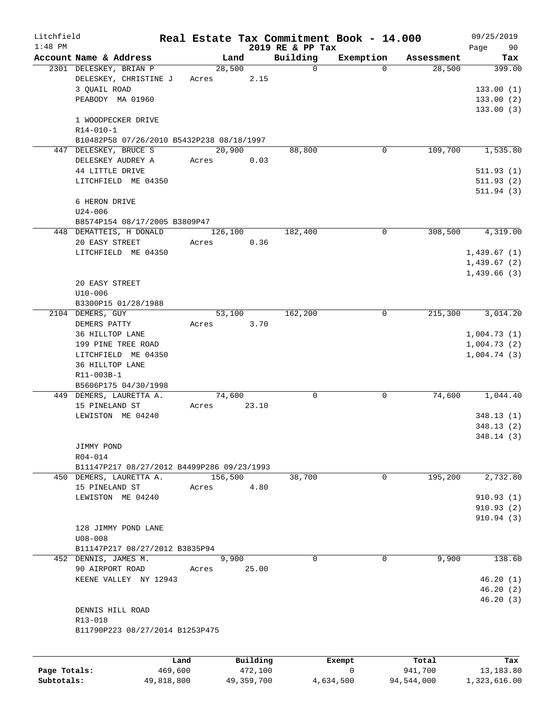| Litchfield |                                                  |                      |          |                         | Real Estate Tax Commitment Book - 14.000 |                      | 09/25/2019    |
|------------|--------------------------------------------------|----------------------|----------|-------------------------|------------------------------------------|----------------------|---------------|
| $1:48$ PM  |                                                  |                      |          | 2019 RE & PP Tax        |                                          |                      | Page<br>90    |
|            | Account Name & Address<br>2301 DELESKEY, BRIAN P | Land<br>28,500       |          | Building<br>$\mathbf 0$ | Exemption<br>$\Omega$                    | Assessment<br>28,500 | Tax<br>399.00 |
|            | DELESKEY, CHRISTINE J                            | Acres                | 2.15     |                         |                                          |                      |               |
|            | 3 QUAIL ROAD                                     |                      |          |                         |                                          |                      | 133.00(1)     |
|            | PEABODY MA 01960                                 |                      |          |                         |                                          |                      | 133.00(2)     |
|            |                                                  |                      |          |                         |                                          |                      | 133.00(3)     |
|            | 1 WOODPECKER DRIVE                               |                      |          |                         |                                          |                      |               |
|            | $R14 - 010 - 1$                                  |                      |          |                         |                                          |                      |               |
|            | B10482P58 07/26/2010 B5432P238 08/18/1997        |                      |          |                         |                                          |                      |               |
|            | 447 DELESKEY, BRUCE S                            | 20,900               |          | 88,800                  | 0                                        | 109,700              | 1,535.80      |
|            | DELESKEY AUDREY A                                | Acres                | 0.03     |                         |                                          |                      |               |
|            | 44 LITTLE DRIVE                                  |                      |          |                         |                                          |                      | 511.93(1)     |
|            | LITCHFIELD ME 04350                              |                      |          |                         |                                          |                      | 511.93(2)     |
|            |                                                  |                      |          |                         |                                          |                      | 511.94(3)     |
|            | 6 HERON DRIVE                                    |                      |          |                         |                                          |                      |               |
|            | $U24 - 006$                                      |                      |          |                         |                                          |                      |               |
|            | B8574P154 08/17/2005 B3809P47                    |                      |          |                         |                                          |                      |               |
|            | 448 DEMATTEIS, H DONALD                          | 126,100              |          | 182,400                 | 0                                        | 308,500              | 4,319.00      |
|            | 20 EASY STREET                                   | Acres                | 0.36     |                         |                                          |                      |               |
|            | LITCHFIELD ME 04350                              |                      |          |                         |                                          |                      | 1,439.67(1)   |
|            |                                                  |                      |          |                         |                                          |                      | 1,439.67(2)   |
|            |                                                  |                      |          |                         |                                          |                      | 1,439.66(3)   |
|            | 20 EASY STREET                                   |                      |          |                         |                                          |                      |               |
|            | $U10 - 006$                                      |                      |          |                         |                                          |                      |               |
|            | B3300P15 01/28/1988                              |                      |          |                         |                                          |                      |               |
|            | 2104 DEMERS, GUY                                 | 53,100               |          | 162,200                 | 0                                        | 215,300              | 3,014.20      |
|            | DEMERS PATTY                                     | Acres                | 3.70     |                         |                                          |                      |               |
|            | 36 HILLTOP LANE                                  |                      |          |                         |                                          |                      | 1,004.73(1)   |
|            | 199 PINE TREE ROAD                               |                      |          |                         |                                          |                      | 1,004.73(2)   |
|            | LITCHFIELD ME 04350                              |                      |          |                         |                                          |                      | 1,004.74(3)   |
|            | 36 HILLTOP LANE                                  |                      |          |                         |                                          |                      |               |
|            | R11-003B-1                                       |                      |          |                         |                                          |                      |               |
|            | B5606P175 04/30/1998                             |                      |          |                         |                                          |                      |               |
|            | 449 DEMERS, LAURETTA A.                          | 74,600               |          | $\mathbf 0$             | 0                                        | 74,600               | 1,044.40      |
|            | 15 PINELAND ST                                   | Acres                | 23.10    |                         |                                          |                      |               |
|            | LEWISTON ME 04240                                |                      |          |                         |                                          |                      | 348.13(1)     |
|            |                                                  |                      |          |                         |                                          |                      | 348.13(2)     |
|            |                                                  |                      |          |                         |                                          |                      | 348.14(3)     |
|            | JIMMY POND                                       |                      |          |                         |                                          |                      |               |
|            | R04-014                                          |                      |          |                         |                                          |                      |               |
|            | B11147P217 08/27/2012 B4499P286 09/23/1993       |                      |          |                         |                                          |                      |               |
|            | 450 DEMERS, LAURETTA A.                          | $1\overline{56,500}$ |          | 38,700                  | 0                                        | 195,200              | 2,732.80      |
|            | 15 PINELAND ST                                   | Acres                | 4.80     |                         |                                          |                      |               |
|            | LEWISTON ME 04240                                |                      |          |                         |                                          |                      | 910.93(1)     |
|            |                                                  |                      |          |                         |                                          |                      | 910.93(2)     |
|            |                                                  |                      |          |                         |                                          |                      | 910.94(3)     |
|            | 128 JIMMY POND LANE                              |                      |          |                         |                                          |                      |               |
|            | $U08 - 008$                                      |                      |          |                         |                                          |                      |               |
|            | B11147P217 08/27/2012 B3835P94                   |                      |          |                         |                                          |                      |               |
|            | 452 DENNIS, JAMES M.                             | 9,900                |          | $\Omega$                | $\Omega$                                 | 9,900                | 138.60        |
|            | 90 AIRPORT ROAD                                  | Acres                | 25.00    |                         |                                          |                      |               |
|            | KEENE VALLEY NY 12943                            |                      |          |                         |                                          |                      | 46.20(1)      |
|            |                                                  |                      |          |                         |                                          |                      | 46.20(2)      |
|            |                                                  |                      |          |                         |                                          |                      | 46.20(3)      |
|            | DENNIS HILL ROAD                                 |                      |          |                         |                                          |                      |               |
|            | R13-018                                          |                      |          |                         |                                          |                      |               |
|            | B11790P223 08/27/2014 B1253P475                  |                      |          |                         |                                          |                      |               |
|            |                                                  |                      |          |                         |                                          |                      |               |
|            | Land                                             |                      | Building |                         | Exempt                                   | Total                | Tax           |

|              | Land       | Building   | Exempt    | Total      | Tax          |
|--------------|------------|------------|-----------|------------|--------------|
| Page Totals: | 469,600    | 472,100    |           | 941,700    | 13,183.80    |
| Subtotals:   | 49,818,800 | 49,359,700 | 4,634,500 | 94,544,000 | 1,323,616.00 |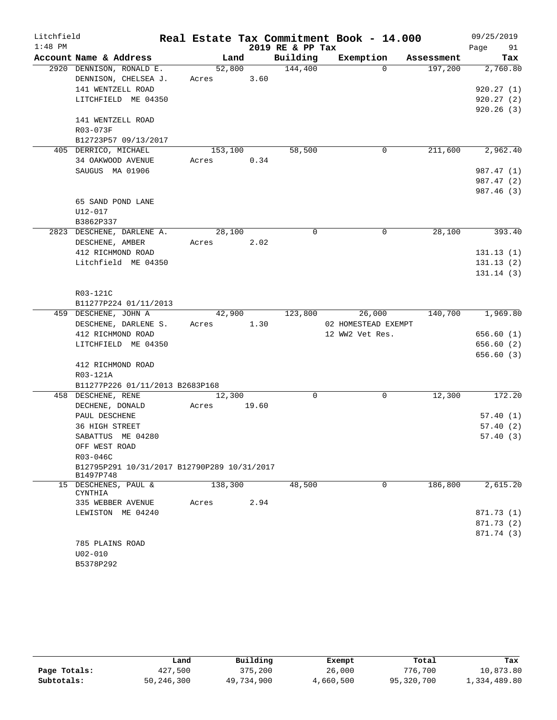| Litchfield |                                                         |         |       | Real Estate Tax Commitment Book - 14.000 |                     |            | 09/25/2019 |            |
|------------|---------------------------------------------------------|---------|-------|------------------------------------------|---------------------|------------|------------|------------|
| $1:48$ PM  |                                                         |         |       | 2019 RE & PP Tax                         |                     |            | Page       | 91         |
|            | Account Name & Address                                  | Land    |       | Building                                 | Exemption           | Assessment |            | Tax        |
|            | 2920 DENNISON, RONALD E.                                | 52,800  |       | 144,400                                  | $\Omega$            | 197,200    |            | 2,760.80   |
|            | DENNISON, CHELSEA J.                                    | Acres   | 3.60  |                                          |                     |            |            |            |
|            | 141 WENTZELL ROAD                                       |         |       |                                          |                     |            |            | 920.27(1)  |
|            | LITCHFIELD ME 04350                                     |         |       |                                          |                     |            |            | 920.27(2)  |
|            | 141 WENTZELL ROAD                                       |         |       |                                          |                     |            |            | 920.26(3)  |
|            | R03-073F                                                |         |       |                                          |                     |            |            |            |
|            | B12723P57 09/13/2017                                    |         |       |                                          |                     |            |            |            |
|            | 405 DERRICO, MICHAEL                                    | 153,100 |       | 58,500                                   | 0                   | 211,600    |            | 2,962.40   |
|            | 34 OAKWOOD AVENUE                                       | Acres   | 0.34  |                                          |                     |            |            |            |
|            | SAUGUS MA 01906                                         |         |       |                                          |                     |            |            | 987.47 (1) |
|            |                                                         |         |       |                                          |                     |            |            | 987.47 (2) |
|            |                                                         |         |       |                                          |                     |            |            | 987.46 (3) |
|            | 65 SAND POND LANE                                       |         |       |                                          |                     |            |            |            |
|            | $U12 - 017$                                             |         |       |                                          |                     |            |            |            |
|            | B3862P337                                               |         |       |                                          |                     |            |            |            |
|            | 2823 DESCHENE, DARLENE A.                               | 28,100  |       | $\Omega$                                 | $\mathbf 0$         | 28,100     |            | 393.40     |
|            | DESCHENE, AMBER                                         | Acres   | 2.02  |                                          |                     |            |            |            |
|            | 412 RICHMOND ROAD                                       |         |       |                                          |                     |            |            | 131.13(1)  |
|            | Litchfield ME 04350                                     |         |       |                                          |                     |            |            | 131.13(2)  |
|            |                                                         |         |       |                                          |                     |            |            | 131.14(3)  |
|            | R03-121C                                                |         |       |                                          |                     |            |            |            |
|            | B11277P224 01/11/2013                                   |         |       |                                          |                     |            |            |            |
|            | 459 DESCHENE, JOHN A                                    | 42,900  |       | 123,800                                  | 26,000              | 140,700    |            | 1,969.80   |
|            | DESCHENE, DARLENE S.                                    | Acres   | 1.30  |                                          | 02 HOMESTEAD EXEMPT |            |            |            |
|            | 412 RICHMOND ROAD                                       |         |       |                                          | 12 WW2 Vet Res.     |            |            | 656.60 (1) |
|            | LITCHFIELD ME 04350                                     |         |       |                                          |                     |            |            | 656.60 (2) |
|            |                                                         |         |       |                                          |                     |            |            | 656.60 (3) |
|            | 412 RICHMOND ROAD                                       |         |       |                                          |                     |            |            |            |
|            | R03-121A                                                |         |       |                                          |                     |            |            |            |
|            | B11277P226 01/11/2013 B2683P168                         |         |       |                                          |                     |            |            |            |
|            | 458 DESCHENE, RENE                                      | 12,300  |       | $\mathbf 0$                              | $\mathbf 0$         | 12,300     |            | 172.20     |
|            | DECHENE, DONALD                                         | Acres   | 19.60 |                                          |                     |            |            |            |
|            | PAUL DESCHENE                                           |         |       |                                          |                     |            |            | 57.40(1)   |
|            | 36 HIGH STREET                                          |         |       |                                          |                     |            |            | 57.40(2)   |
|            | SABATTUS ME 04280                                       |         |       |                                          |                     |            |            | 57.40(3)   |
|            | OFF WEST ROAD                                           |         |       |                                          |                     |            |            |            |
|            | R03-046C<br>B12795P291 10/31/2017 B12790P289 10/31/2017 |         |       |                                          |                     |            |            |            |
|            | B1497P748                                               |         |       |                                          |                     |            |            |            |
|            | 15 DESCHENES, PAUL &<br>CYNTHIA                         | 138,300 |       | 48,500                                   | 0                   | 186,800    |            | 2,615.20   |
|            | 335 WEBBER AVENUE                                       | Acres   | 2.94  |                                          |                     |            |            |            |
|            | LEWISTON ME 04240                                       |         |       |                                          |                     |            |            | 871.73 (1) |
|            |                                                         |         |       |                                          |                     |            |            | 871.73 (2) |
|            |                                                         |         |       |                                          |                     |            |            | 871.74 (3) |
|            | 785 PLAINS ROAD                                         |         |       |                                          |                     |            |            |            |
|            | $U02 - 010$                                             |         |       |                                          |                     |            |            |            |
|            | B5378P292                                               |         |       |                                          |                     |            |            |            |

|              | Land       | Building   | Exempt    | Total      | Tax          |
|--------------|------------|------------|-----------|------------|--------------|
| Page Totals: | 427,500    | 375,200    | 26,000    | 776,700    | 10,873.80    |
| Subtotals:   | 50,246,300 | 49,734,900 | 4,660,500 | 95,320,700 | 1,334,489.80 |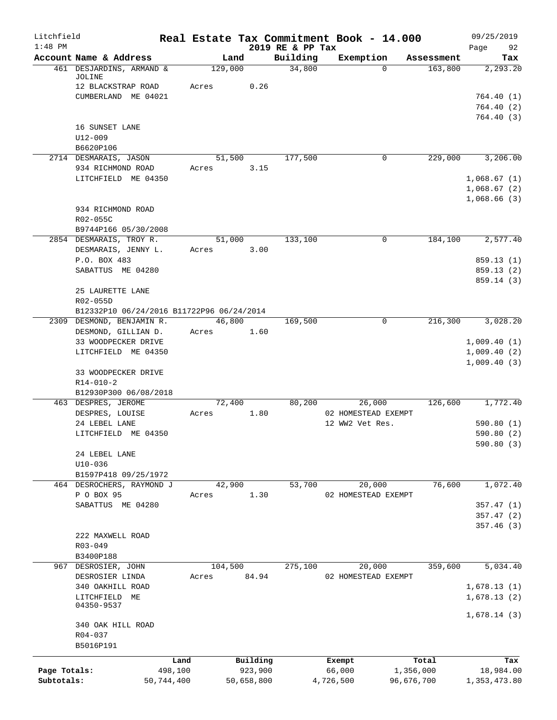| Litchfield   |                                                 |         |                |                              |           | Real Estate Tax Commitment Book - 14.000 |            |                      | 09/25/2019                 |
|--------------|-------------------------------------------------|---------|----------------|------------------------------|-----------|------------------------------------------|------------|----------------------|----------------------------|
| $1:48$ PM    | Account Name & Address                          |         | Land           | 2019 RE & PP Tax<br>Building |           | Exemption                                |            | Assessment           | 92<br>Page<br>Tax          |
|              | 461 DESJARDINS, ARMAND &                        |         | 129,000        | 34,800                       |           | $\Omega$                                 |            | 163,800              | 2,293.20                   |
|              | JOLINE<br>12 BLACKSTRAP ROAD                    | Acres   | 0.26           |                              |           |                                          |            |                      |                            |
|              | CUMBERLAND ME 04021                             |         |                |                              |           |                                          |            |                      | 764.40(1)                  |
|              |                                                 |         |                |                              |           |                                          |            |                      | 764.40(2)                  |
|              |                                                 |         |                |                              |           |                                          |            |                      | 764.40(3)                  |
|              | 16 SUNSET LANE<br>$U12 - 009$                   |         |                |                              |           |                                          |            |                      |                            |
|              | B6620P106                                       |         |                |                              |           |                                          |            |                      |                            |
|              | 2714 DESMARAIS, JASON                           |         | 51,500         | 177,500                      |           | 0                                        |            | 229,000              | 3,206.00                   |
|              | 934 RICHMOND ROAD                               | Acres   | 3.15           |                              |           |                                          |            |                      |                            |
|              | LITCHFIELD ME 04350                             |         |                |                              |           |                                          |            |                      | 1,068.67(1)<br>1,068.67(2) |
|              |                                                 |         |                |                              |           |                                          |            |                      | 1,068.66(3)                |
|              | 934 RICHMOND ROAD                               |         |                |                              |           |                                          |            |                      |                            |
|              | R02-055C                                        |         |                |                              |           |                                          |            |                      |                            |
|              | B9744P166 05/30/2008<br>2854 DESMARAIS, TROY R. |         | 51,000         | 133,100                      |           | 0                                        |            | 184,100              | 2,577.40                   |
|              | DESMARAIS, JENNY L.                             | Acres   | 3.00           |                              |           |                                          |            |                      |                            |
|              | P.O. BOX 483                                    |         |                |                              |           |                                          |            |                      | 859.13(1)                  |
|              | SABATTUS ME 04280                               |         |                |                              |           |                                          |            |                      | 859.13 (2)                 |
|              | 25 LAURETTE LANE                                |         |                |                              |           |                                          |            |                      | 859.14 (3)                 |
|              | R02-055D                                        |         |                |                              |           |                                          |            |                      |                            |
|              | B12332P10 06/24/2016 B11722P96 06/24/2014       |         |                |                              |           |                                          |            |                      |                            |
|              | 2309 DESMOND, BENJAMIN R.                       |         | 46,800         | 169,500                      |           | 0                                        |            | $2\overline{16,300}$ | 3,028.20                   |
|              | DESMOND, GILLIAN D.<br>33 WOODPECKER DRIVE      | Acres   | 1.60           |                              |           |                                          |            |                      | 1,009.40(1)                |
|              | LITCHFIELD ME 04350                             |         |                |                              |           |                                          |            |                      | 1,009.40(2)                |
|              |                                                 |         |                |                              |           |                                          |            |                      | 1,009.40(3)                |
|              | 33 WOODPECKER DRIVE                             |         |                |                              |           |                                          |            |                      |                            |
|              | $R14 - 010 - 2$                                 |         |                |                              |           |                                          |            |                      |                            |
|              | B12930P300 06/08/2018<br>463 DESPRES, JEROME    |         | 72,400         | 80,200                       |           | 26,000                                   |            | 126,600              | 1,772.40                   |
|              | DESPRES, LOUISE                                 | Acres   | 1.80           |                              |           | 02 HOMESTEAD EXEMPT                      |            |                      |                            |
|              | 24 LEBEL LANE                                   |         |                |                              |           | 12 WW2 Vet Res.                          |            |                      | 590.80(1)                  |
|              | LITCHFIELD ME 04350                             |         |                |                              |           |                                          |            |                      | 590.80(2)                  |
|              | 24 LEBEL LANE                                   |         |                |                              |           |                                          |            |                      | 590.80 (3)                 |
|              | $U10-036$                                       |         |                |                              |           |                                          |            |                      |                            |
|              | B1597P418 09/25/1972                            |         |                |                              |           |                                          |            |                      |                            |
|              | 464 DESROCHERS, RAYMOND J<br>P O BOX 95         |         | 42,900<br>1.30 | 53,700                       |           | 20,000<br>02 HOMESTEAD EXEMPT            |            | 76,600               | 1,072.40                   |
|              | SABATTUS ME 04280                               | Acres   |                |                              |           |                                          |            |                      | 357.47(1)                  |
|              |                                                 |         |                |                              |           |                                          |            |                      | 357.47(2)                  |
|              |                                                 |         |                |                              |           |                                          |            |                      | 357.46(3)                  |
|              | 222 MAXWELL ROAD<br>$R03 - 049$                 |         |                |                              |           |                                          |            |                      |                            |
|              | B3400P188                                       |         |                |                              |           |                                          |            |                      |                            |
|              | 967 DESROSIER, JOHN                             | 104,500 |                | 275,100                      |           | 20,000                                   |            | 359,600              | 5,034.40                   |
|              | DESROSIER LINDA                                 | Acres   | 84.94          |                              |           | 02 HOMESTEAD EXEMPT                      |            |                      |                            |
|              | 340 OAKHILL ROAD<br>LITCHFIELD ME               |         |                |                              |           |                                          |            |                      | 1,678.13(1)<br>1,678.13(2) |
|              | 04350-9537                                      |         |                |                              |           |                                          |            |                      |                            |
|              |                                                 |         |                |                              |           |                                          |            |                      | 1,678.14(3)                |
|              | 340 OAK HILL ROAD<br>R04-037                    |         |                |                              |           |                                          |            |                      |                            |
|              | B5016P191                                       |         |                |                              |           |                                          |            |                      |                            |
|              |                                                 | Land    | Building       |                              |           | Exempt                                   |            | Total                | Tax                        |
| Page Totals: | 498,100                                         |         | 923,900        |                              |           | 66,000                                   | 1,356,000  |                      | 18,984.00                  |
| Subtotals:   | 50,744,400                                      |         | 50,658,800     |                              | 4,726,500 |                                          | 96,676,700 |                      | 1,353,473.80               |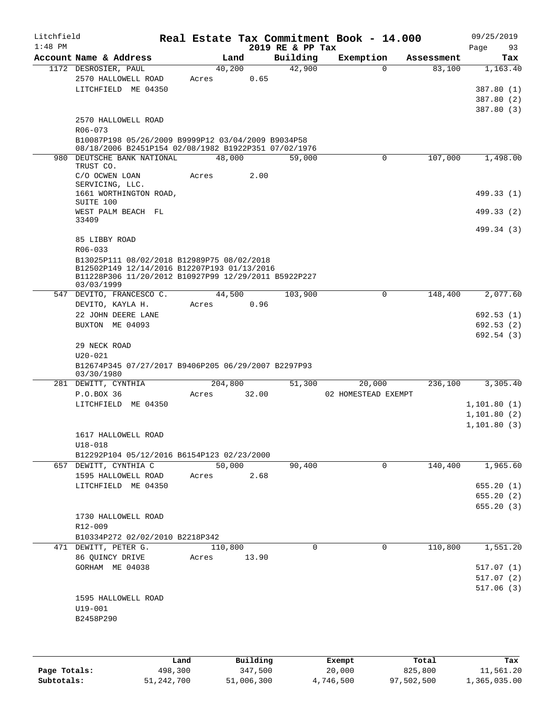| Litchfield<br>$1:48$ PM |                                                                                                                   |       |         |       | 2019 RE & PP Tax | Real Estate Tax Commitment Book - 14.000 |              |         | 09/25/2019<br>Page<br>93             |
|-------------------------|-------------------------------------------------------------------------------------------------------------------|-------|---------|-------|------------------|------------------------------------------|--------------|---------|--------------------------------------|
|                         | Account Name & Address                                                                                            |       | Land    |       | Building         | Exemption                                | Assessment   |         | Tax                                  |
|                         | 1172 DESROSIER, PAUL<br>2570 HALLOWELL ROAD<br>LITCHFIELD ME 04350                                                | Acres | 40,200  | 0.65  | 42,900           |                                          | $\Omega$     | 83,100  | 1,163.40<br>387.80 (1)<br>387.80 (2) |
|                         | 2570 HALLOWELL ROAD<br>R06-073<br>B10087P198 05/26/2009 B9999P12 03/04/2009 B9034P58                              |       |         |       |                  |                                          |              |         | 387.80 (3)                           |
|                         | 08/18/2006 B2451P154 02/08/1982 B1922P351 07/02/1976                                                              |       |         |       |                  |                                          |              |         |                                      |
| 980                     | DEUTSCHE BANK NATIONAL<br>TRUST CO.<br>C/O OCWEN LOAN                                                             | Acres | 48,000  | 2.00  | 59,000           |                                          | 0            | 107,000 | 1,498.00                             |
|                         | SERVICING, LLC.<br>1661 WORTHINGTON ROAD,                                                                         |       |         |       |                  |                                          |              |         | 499.33 (1)                           |
|                         | SUITE 100<br>WEST PALM BEACH FL                                                                                   |       |         |       |                  |                                          |              |         | 499.33 (2)                           |
|                         | 33409<br>85 LIBBY ROAD                                                                                            |       |         |       |                  |                                          |              |         | 499.34 (3)                           |
|                         | R06-033<br>B13025P111 08/02/2018 B12989P75 08/02/2018                                                             |       |         |       |                  |                                          |              |         |                                      |
|                         | B12502P149 12/14/2016 B12207P193 01/13/2016<br>B11228P306 11/20/2012 B10927P99 12/29/2011 B5922P227<br>03/03/1999 |       |         |       |                  |                                          |              |         |                                      |
|                         | 547 DEVITO, FRANCESCO C.<br>DEVITO, KAYLA H.                                                                      | Acres | 44,500  | 0.96  | 103,900          |                                          | $\mathbf 0$  | 148,400 | 2,077.60                             |
|                         | 22 JOHN DEERE LANE                                                                                                |       |         |       |                  |                                          |              |         | 692.53(1)                            |
|                         | BUXTON ME 04093                                                                                                   |       |         |       |                  |                                          |              |         | 692.53(2)<br>692.54 (3)              |
|                         | 29 NECK ROAD<br>$U20 - 021$<br>B12674P345 07/27/2017 B9406P205 06/29/2007 B2297P93                                |       |         |       |                  |                                          |              |         |                                      |
|                         | 03/30/1980                                                                                                        |       |         |       |                  |                                          |              |         |                                      |
|                         | 281 DEWITT, CYNTHIA<br>P.O.BOX 36                                                                                 | Acres | 204,800 | 32.00 | 51,300           | 20,000<br>02 HOMESTEAD EXEMPT            |              | 236,100 | 3,305.40                             |
|                         | LITCHFIELD ME 04350                                                                                               |       |         |       |                  |                                          |              |         | 1, 101.80(1)                         |
|                         |                                                                                                                   |       |         |       |                  |                                          |              |         | 1, 101.80(2)<br>1,101.80(3)          |
|                         | 1617 HALLOWELL ROAD<br>$U18 - 018$                                                                                |       |         |       |                  |                                          |              |         |                                      |
|                         | B12292P104 05/12/2016 B6154P123 02/23/2000                                                                        |       |         |       |                  |                                          |              |         |                                      |
|                         | 657 DEWITT, CYNTHIA C<br>1595 HALLOWELL ROAD                                                                      | Acres | 50,000  | 2.68  | 90,400           |                                          | $\mathsf{O}$ | 140,400 | 1,965.60                             |
|                         | LITCHFIELD ME 04350                                                                                               |       |         |       |                  |                                          |              |         | 655.20(1)                            |
|                         |                                                                                                                   |       |         |       |                  |                                          |              |         | 655.20(2)                            |
|                         | 1730 HALLOWELL ROAD<br>R12-009                                                                                    |       |         |       |                  |                                          |              |         | 655.20(3)                            |
|                         | B10334P272 02/02/2010 B2218P342                                                                                   |       |         |       |                  |                                          |              |         |                                      |
|                         | 471 DEWITT, PETER G.                                                                                              |       | 110,800 |       | $\Omega$         |                                          | 0            | 110,800 | 1,551.20                             |
|                         | 86 QUINCY DRIVE<br>GORHAM ME 04038                                                                                | Acres |         | 13.90 |                  |                                          |              |         | 517.07(1)                            |
|                         |                                                                                                                   |       |         |       |                  |                                          |              |         | 517.07(2)                            |
|                         |                                                                                                                   |       |         |       |                  |                                          |              |         | 517.06(3)                            |
|                         | 1595 HALLOWELL ROAD                                                                                               |       |         |       |                  |                                          |              |         |                                      |
|                         | $U19 - 001$<br>B2458P290                                                                                          |       |         |       |                  |                                          |              |         |                                      |
|                         |                                                                                                                   |       |         |       |                  |                                          |              |         |                                      |
|                         |                                                                                                                   |       |         |       |                  |                                          |              |         |                                      |
|                         |                                                                                                                   |       |         |       |                  |                                          |              |         |                                      |

|              | Land       | Building   | Exempt    | Total      | Tax          |
|--------------|------------|------------|-----------|------------|--------------|
| Page Totals: | 498,300    | 347,500    | 20,000    | 825,800    | 11,561.20    |
| Subtotals:   | 51,242,700 | 51,006,300 | 4,746,500 | 97,502,500 | 1,365,035.00 |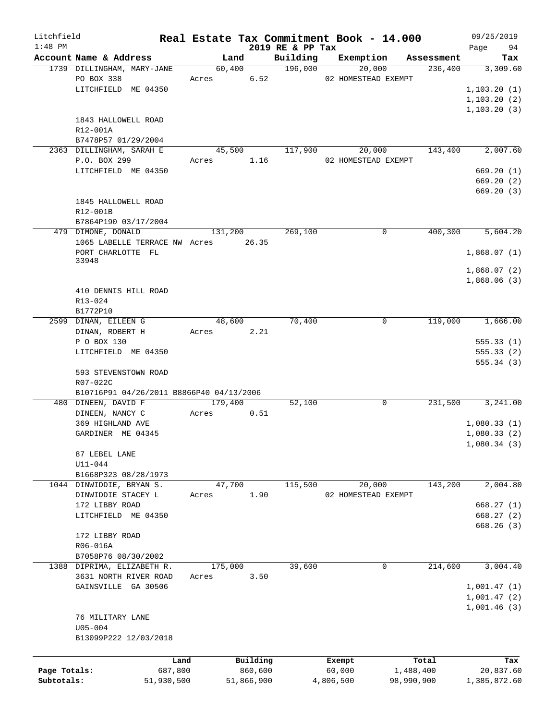| Litchfield   |                                          |            |            |                                 | Real Estate Tax Commitment Book - 14.000 |             |                       | 09/25/2019      |
|--------------|------------------------------------------|------------|------------|---------------------------------|------------------------------------------|-------------|-----------------------|-----------------|
| $1:48$ PM    | Account Name & Address                   | Land       |            | 2019 RE & PP Tax                |                                          |             |                       | 94<br>Page      |
|              | 1739 DILLINGHAM, MARY-JANE               | 60,400     |            | Building<br>$\frac{196,000}{2}$ | Exemption<br>20,000                      |             | Assessment<br>236,400 | Tax<br>3,309.60 |
|              | PO BOX 338                               | Acres 6.52 |            |                                 | 02 HOMESTEAD EXEMPT                      |             |                       |                 |
|              | LITCHFIELD ME 04350                      |            |            |                                 |                                          |             |                       | 1, 103.20(1)    |
|              |                                          |            |            |                                 |                                          |             |                       | 1, 103.20(2)    |
|              |                                          |            |            |                                 |                                          |             |                       | 1, 103.20(3)    |
|              | 1843 HALLOWELL ROAD                      |            |            |                                 |                                          |             |                       |                 |
|              | R12-001A                                 |            |            |                                 |                                          |             |                       |                 |
|              | B7478P57 01/29/2004                      |            |            |                                 |                                          |             |                       |                 |
|              | 2363 DILLINGHAM, SARAH E                 | 45,500     |            | 117,900                         | 20,000                                   |             | 143,400               | 2,007.60        |
|              | P.O. BOX 299                             | Acres      | 1.16       |                                 | 02 HOMESTEAD EXEMPT                      |             |                       |                 |
|              | LITCHFIELD ME 04350                      |            |            |                                 |                                          |             |                       | 669.20(1)       |
|              |                                          |            |            |                                 |                                          |             |                       | 669.20(2)       |
|              |                                          |            |            |                                 |                                          |             |                       | 669.20(3)       |
|              |                                          |            |            |                                 |                                          |             |                       |                 |
|              | 1845 HALLOWELL ROAD                      |            |            |                                 |                                          |             |                       |                 |
|              | R12-001B                                 |            |            |                                 |                                          |             |                       |                 |
|              | B7864P190 03/17/2004                     |            |            |                                 |                                          |             |                       |                 |
|              | 479 DIMONE, DONALD                       | 131,200    |            | 269,100                         |                                          | 0           | 400,300               | 5,604.20        |
|              | 1065 LABELLE TERRACE NW Acres 26.35      |            |            |                                 |                                          |             |                       |                 |
|              | PORT CHARLOTTE FL                        |            |            |                                 |                                          |             |                       | 1,868.07(1)     |
|              | 33948                                    |            |            |                                 |                                          |             |                       |                 |
|              |                                          |            |            |                                 |                                          |             |                       | 1,868.07(2)     |
|              |                                          |            |            |                                 |                                          |             |                       | 1,868.06(3)     |
|              | 410 DENNIS HILL ROAD                     |            |            |                                 |                                          |             |                       |                 |
|              | R13-024                                  |            |            |                                 |                                          |             |                       |                 |
|              | B1772P10                                 |            |            |                                 |                                          |             |                       |                 |
|              | 2599 DINAN, EILEEN G                     | 48,600     |            | 70,400                          |                                          | 0           | 119,000               | 1,666.00        |
|              | DINAN, ROBERT H                          | Acres 2.21 |            |                                 |                                          |             |                       |                 |
|              | P O BOX 130                              |            |            |                                 |                                          |             |                       | 555.33(1)       |
|              | LITCHFIELD ME 04350                      |            |            |                                 |                                          |             |                       | 555.33(2)       |
|              |                                          |            |            |                                 |                                          |             |                       | 555.34(3)       |
|              | 593 STEVENSTOWN ROAD                     |            |            |                                 |                                          |             |                       |                 |
|              | R07-022C                                 |            |            |                                 |                                          |             |                       |                 |
|              | B10716P91 04/26/2011 B8866P40 04/13/2006 |            |            |                                 |                                          |             |                       |                 |
|              | 480 DINEEN, DAVID F                      | 179,400    |            | 52,100                          |                                          | $\mathbf 0$ | 231,500               | 3,241.00        |
|              | DINEEN, NANCY C                          | Acres      | 0.51       |                                 |                                          |             |                       |                 |
|              | 369 HIGHLAND AVE                         |            |            |                                 |                                          |             |                       | 1,080.33(1)     |
|              | GARDINER ME 04345                        |            |            |                                 |                                          |             |                       | 1,080.33(2)     |
|              |                                          |            |            |                                 |                                          |             |                       | 1,080.34(3)     |
|              | 87 LEBEL LANE                            |            |            |                                 |                                          |             |                       |                 |
|              | $U11 - 044$                              |            |            |                                 |                                          |             |                       |                 |
|              | B1668P323 08/28/1973                     |            |            |                                 |                                          |             |                       |                 |
|              | 1044 DINWIDDIE, BRYAN S.                 | 47,700     |            | 115,500                         | 20,000                                   |             | 143,200               | 2,004.80        |
|              | DINWIDDIE STACEY L                       | Acres      | 1.90       |                                 | 02 HOMESTEAD EXEMPT                      |             |                       |                 |
|              | 172 LIBBY ROAD                           |            |            |                                 |                                          |             |                       | 668.27(1)       |
|              | LITCHFIELD ME 04350                      |            |            |                                 |                                          |             |                       | 668.27(2)       |
|              |                                          |            |            |                                 |                                          |             |                       | 668.26(3)       |
|              | 172 LIBBY ROAD                           |            |            |                                 |                                          |             |                       |                 |
|              | R06-016A                                 |            |            |                                 |                                          |             |                       |                 |
|              | B7058P76 08/30/2002                      |            |            |                                 |                                          |             |                       |                 |
|              | 1388 DIPRIMA, ELIZABETH R.               | 175,000    |            | 39,600                          |                                          | $\mathbf 0$ | 214,600               | 3,004.40        |
|              | 3631 NORTH RIVER ROAD                    | Acres      | 3.50       |                                 |                                          |             |                       |                 |
|              | GAINSVILLE GA 30506                      |            |            |                                 |                                          |             |                       | 1,001.47(1)     |
|              |                                          |            |            |                                 |                                          |             |                       | 1,001.47(2)     |
|              |                                          |            |            |                                 |                                          |             |                       | 1,001.46(3)     |
|              | 76 MILITARY LANE                         |            |            |                                 |                                          |             |                       |                 |
|              | $U05 - 004$                              |            |            |                                 |                                          |             |                       |                 |
|              | B13099P222 12/03/2018                    |            |            |                                 |                                          |             |                       |                 |
|              |                                          |            |            |                                 |                                          |             |                       |                 |
|              | Land                                     |            | Building   |                                 | Exempt                                   |             | Total                 | Tax             |
| Page Totals: | 687,800                                  |            | 860,600    |                                 | 60,000                                   | 1,488,400   |                       | 20,837.60       |
| Subtotals:   | 51,930,500                               |            | 51,866,900 |                                 | 4,806,500                                | 98,990,900  |                       | 1,385,872.60    |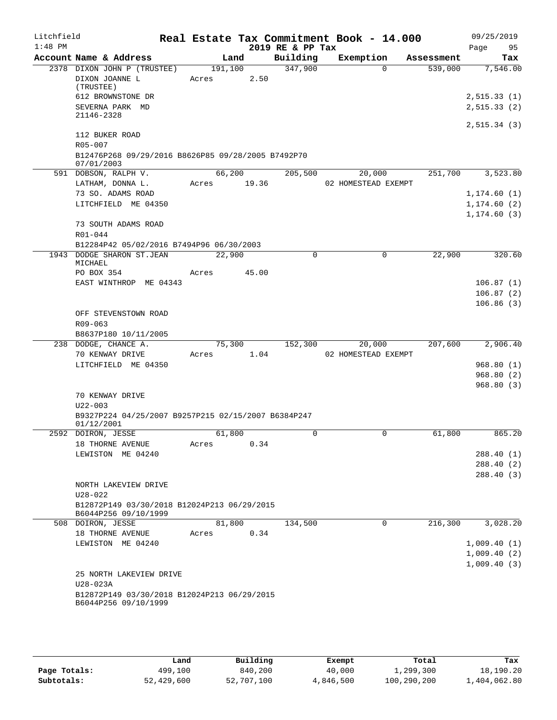| Litchfield<br>$1:48$ PM |                                                                  |             |       |                              | Real Estate Tax Commitment Book - 14.000 |            | 09/25/2019                   |
|-------------------------|------------------------------------------------------------------|-------------|-------|------------------------------|------------------------------------------|------------|------------------------------|
|                         | Account Name & Address                                           |             | Land  | 2019 RE & PP Tax<br>Building | Exemption                                | Assessment | 95<br>Page<br>Tax            |
|                         | 2378 DIXON JOHN P (TRUSTEE)                                      | 191,100     |       | 347,900                      | $\Omega$                                 | 539,000    | 7,546.00                     |
|                         | DIXON JOANNE L<br>(TRUSTEE)                                      | Acres       | 2.50  |                              |                                          |            |                              |
|                         | 612 BROWNSTONE DR                                                |             |       |                              |                                          |            | 2,515.33(1)                  |
|                         | SEVERNA PARK MD<br>21146-2328                                    |             |       |                              |                                          |            | 2, 515.33(2)                 |
|                         |                                                                  |             |       |                              |                                          |            | 2,515.34(3)                  |
|                         | 112 BUKER ROAD<br>R05-007                                        |             |       |                              |                                          |            |                              |
|                         | B12476P268 09/29/2016 B8626P85 09/28/2005 B7492P70<br>07/01/2003 |             |       |                              |                                          |            |                              |
|                         | 591 DOBSON, RALPH V.                                             | 66,200      |       | 205,500                      | 20,000                                   | 251,700    | 3,523.80                     |
|                         | LATHAM, DONNA L.                                                 | Acres 19.36 |       |                              | 02 HOMESTEAD EXEMPT                      |            |                              |
|                         | 73 SO. ADAMS ROAD<br>LITCHFIELD ME 04350                         |             |       |                              |                                          |            | 1, 174.60(1)                 |
|                         |                                                                  |             |       |                              |                                          |            | 1, 174.60(2)<br>1, 174.60(3) |
|                         | 73 SOUTH ADAMS ROAD                                              |             |       |                              |                                          |            |                              |
|                         | R01-044                                                          |             |       |                              |                                          |            |                              |
|                         | B12284P42 05/02/2016 B7494P96 06/30/2003                         |             |       |                              |                                          |            |                              |
|                         | 1943 DODGE SHARON ST.JEAN<br>MICHAEL                             | 22,900      |       | $\Omega$                     | $\Omega$                                 | 22,900     | 320.60                       |
|                         | PO BOX 354                                                       | Acres       | 45.00 |                              |                                          |            |                              |
|                         | EAST WINTHROP ME 04343                                           |             |       |                              |                                          |            | 106.87(1)                    |
|                         |                                                                  |             |       |                              |                                          |            | 106.87(2)                    |
|                         |                                                                  |             |       |                              |                                          |            | 106.86(3)                    |
|                         | OFF STEVENSTOWN ROAD<br>$R09 - 063$                              |             |       |                              |                                          |            |                              |
|                         | B8637P180 10/11/2005                                             |             |       |                              |                                          |            |                              |
|                         | 238 DODGE, CHANCE A.                                             | 75,300      |       | 152,300                      | 20,000                                   | 207,600    | 2,906.40                     |
|                         | 70 KENWAY DRIVE                                                  | Acres       | 1.04  |                              | 02 HOMESTEAD EXEMPT                      |            |                              |
|                         | LITCHFIELD ME 04350                                              |             |       |                              |                                          |            | 968.80(1)                    |
|                         |                                                                  |             |       |                              |                                          |            | 968.80(2)                    |
|                         |                                                                  |             |       |                              |                                          |            | 968.80(3)                    |
|                         | 70 KENWAY DRIVE<br>$U22 - 003$                                   |             |       |                              |                                          |            |                              |
|                         | B9327P224 04/25/2007 B9257P215 02/15/2007 B6384P247              |             |       |                              |                                          |            |                              |
|                         | 01/12/2001                                                       |             |       |                              |                                          |            |                              |
|                         | 2592 DOIRON, JESSE                                               | 61,800      |       | $\mathbf 0$                  | 0                                        | 61,800     | 865.20                       |
|                         | 18 THORNE AVENUE                                                 | Acres       | 0.34  |                              |                                          |            |                              |
|                         | LEWISTON ME 04240                                                |             |       |                              |                                          |            | 288.40 (1)                   |
|                         |                                                                  |             |       |                              |                                          |            | 288.40(2)                    |
|                         | NORTH LAKEVIEW DRIVE                                             |             |       |                              |                                          |            | 288.40(3)                    |
|                         | $U28 - 022$                                                      |             |       |                              |                                          |            |                              |
|                         | B12872P149 03/30/2018 B12024P213 06/29/2015                      |             |       |                              |                                          |            |                              |
|                         | B6044P256 09/10/1999                                             |             |       |                              |                                          |            |                              |
|                         | 508 DOIRON, JESSE                                                | 81,800      |       | 134,500                      | 0                                        | 216,300    | 3,028.20                     |
|                         | 18 THORNE AVENUE                                                 | Acres       | 0.34  |                              |                                          |            |                              |
|                         | LEWISTON ME 04240                                                |             |       |                              |                                          |            | 1,009.40(1)                  |
|                         |                                                                  |             |       |                              |                                          |            | 1,009.40(2)                  |
|                         |                                                                  |             |       |                              |                                          |            | 1,009.40(3)                  |
|                         | 25 NORTH LAKEVIEW DRIVE<br>U28-023A                              |             |       |                              |                                          |            |                              |
|                         | B12872P149 03/30/2018 B12024P213 06/29/2015                      |             |       |                              |                                          |            |                              |
|                         | B6044P256 09/10/1999                                             |             |       |                              |                                          |            |                              |
|                         |                                                                  |             |       |                              |                                          |            |                              |

|              | Land       | Building   | Exempt    | Total       | Tax          |
|--------------|------------|------------|-----------|-------------|--------------|
| Page Totals: | 499,100    | 840,200    | 40,000    | 1,299,300   | 18,190.20    |
| Subtotals:   | 52,429,600 | 52,707,100 | 4,846,500 | 100,290,200 | 1,404,062.80 |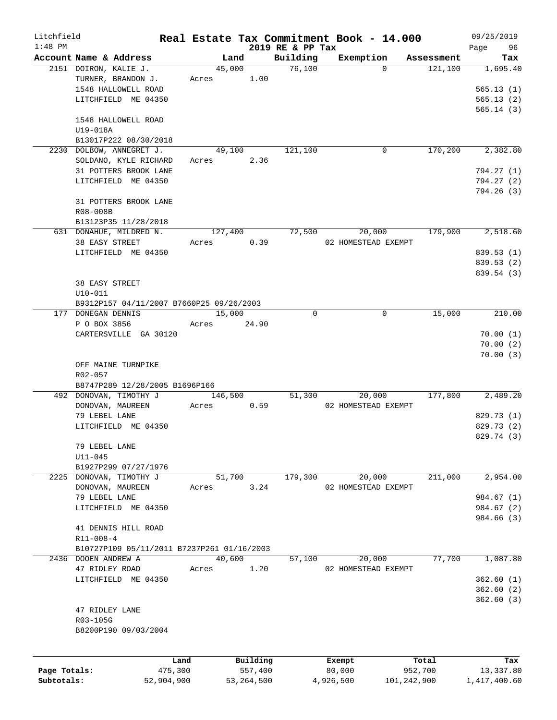| Litchfield   |                                            |                 |            |                     |                    | Real Estate Tax Commitment Book - 14.000 |                       | 09/25/2019           |
|--------------|--------------------------------------------|-----------------|------------|---------------------|--------------------|------------------------------------------|-----------------------|----------------------|
| $1:48$ PM    | Account Name & Address                     |                 | Land       |                     | 2019 RE & PP Tax   |                                          |                       | 96<br>Page           |
|              | 2151 DOIRON, KALIE J.                      |                 | 45,000     |                     | Building<br>76,100 | Exemption<br>$\Omega$                    | Assessment<br>121,100 | Tax<br>1,695.40      |
|              | TURNER, BRANDON J.                         |                 | Acres 1.00 |                     |                    |                                          |                       |                      |
|              | 1548 HALLOWELL ROAD                        |                 |            |                     |                    |                                          |                       | 565.13(1)            |
|              | LITCHFIELD ME 04350                        |                 |            |                     |                    |                                          |                       | 565.13(2)            |
|              |                                            |                 |            |                     |                    |                                          |                       | 565.14(3)            |
|              | 1548 HALLOWELL ROAD                        |                 |            |                     |                    |                                          |                       |                      |
|              | U19-018A                                   |                 |            |                     |                    |                                          |                       |                      |
|              | B13017P222 08/30/2018                      |                 |            |                     |                    |                                          |                       |                      |
|              | 2230 DOLBOW, ANNEGRET J.                   |                 | 49,100     |                     | 121,100            | 0                                        | 170,200               | 2,382.80             |
|              | SOLDANO, KYLE RICHARD                      |                 | Acres      | 2.36                |                    |                                          |                       |                      |
|              | 31 POTTERS BROOK LANE                      |                 |            |                     |                    |                                          |                       | 794.27 (1)           |
|              | LITCHFIELD ME 04350                        |                 |            |                     |                    |                                          |                       | 794.27 (2)           |
|              |                                            |                 |            |                     |                    |                                          |                       | 794.26(3)            |
|              | 31 POTTERS BROOK LANE                      |                 |            |                     |                    |                                          |                       |                      |
|              | R08-008B                                   |                 |            |                     |                    |                                          |                       |                      |
|              | B13123P35 11/28/2018                       |                 |            |                     |                    |                                          |                       |                      |
|              | 631 DONAHUE, MILDRED N.                    |                 | 127,400    |                     | 72,500             | 20,000                                   | 179,900               | 2,518.60             |
|              | 38 EASY STREET                             |                 | Acres      | 0.39                |                    | 02 HOMESTEAD EXEMPT                      |                       |                      |
|              | LITCHFIELD ME 04350                        |                 |            |                     |                    |                                          |                       | 839.53 (1)           |
|              |                                            |                 |            |                     |                    |                                          |                       | 839.53 (2)           |
|              |                                            |                 |            |                     |                    |                                          |                       | 839.54 (3)           |
|              | <b>38 EASY STREET</b>                      |                 |            |                     |                    |                                          |                       |                      |
|              | $U10 - 011$                                |                 |            |                     |                    |                                          |                       |                      |
|              | B9312P157 04/11/2007 B7660P25 09/26/2003   |                 |            |                     |                    |                                          |                       |                      |
|              | 177 DONEGAN DENNIS                         |                 | 15,000     |                     | $\Omega$           | 0                                        | 15,000                | 210.00               |
|              | P O BOX 3856                               |                 | Acres      | 24.90               |                    |                                          |                       |                      |
|              | CARTERSVILLE GA 30120                      |                 |            |                     |                    |                                          |                       | 70.00(1)             |
|              |                                            |                 |            |                     |                    |                                          |                       | 70.00(2)<br>70.00(3) |
|              | OFF MAINE TURNPIKE                         |                 |            |                     |                    |                                          |                       |                      |
|              | R02-057                                    |                 |            |                     |                    |                                          |                       |                      |
|              | B8747P289 12/28/2005 B1696P166             |                 |            |                     |                    |                                          |                       |                      |
|              | 492 DONOVAN, TIMOTHY J                     |                 | 146,500    |                     | 51,300             | 20,000                                   | 177,800               | 2,489.20             |
|              | DONOVAN, MAUREEN                           |                 | Acres      | 0.59                |                    | 02 HOMESTEAD EXEMPT                      |                       |                      |
|              | 79 LEBEL LANE                              |                 |            |                     |                    |                                          |                       | 829.73 (1)           |
|              | LITCHFIELD ME 04350                        |                 |            |                     |                    |                                          |                       | 829.73 (2)           |
|              |                                            |                 |            |                     |                    |                                          |                       | 829.74 (3)           |
|              | 79 LEBEL LANE                              |                 |            |                     |                    |                                          |                       |                      |
|              | $U11 - 045$                                |                 |            |                     |                    |                                          |                       |                      |
|              | B1927P299 07/27/1976                       |                 |            |                     |                    |                                          |                       |                      |
|              | 2225 DONOVAN, TIMOTHY J                    |                 | 51,700     |                     | 179,300            | 20,000                                   | 211,000               | 2,954.00             |
|              | DONOVAN, MAUREEN                           |                 | Acres      | 3.24                |                    | 02 HOMESTEAD EXEMPT                      |                       |                      |
|              | 79 LEBEL LANE                              |                 |            |                     |                    |                                          |                       | 984.67 (1)           |
|              | LITCHFIELD ME 04350                        |                 |            |                     |                    |                                          |                       | 984.67 (2)           |
|              |                                            |                 |            |                     |                    |                                          |                       | 984.66 (3)           |
|              | 41 DENNIS HILL ROAD                        |                 |            |                     |                    |                                          |                       |                      |
|              | $R11 - 008 - 4$                            |                 |            |                     |                    |                                          |                       |                      |
|              | B10727P109 05/11/2011 B7237P261 01/16/2003 |                 |            |                     |                    |                                          |                       |                      |
|              | 2436 DOOEN ANDREW A                        |                 | 40,600     |                     | 57,100             | 20,000                                   | 77,700                | 1,087.80             |
|              | 47 RIDLEY ROAD                             |                 | Acres      | 1.20                |                    | 02 HOMESTEAD EXEMPT                      |                       |                      |
|              | LITCHFIELD ME 04350                        |                 |            |                     |                    |                                          |                       | 362.60(1)            |
|              |                                            |                 |            |                     |                    |                                          |                       | 362.60(2)            |
|              |                                            |                 |            |                     |                    |                                          |                       | 362.60(3)            |
|              | 47 RIDLEY LANE<br>R03-105G                 |                 |            |                     |                    |                                          |                       |                      |
|              | B8200P190 09/03/2004                       |                 |            |                     |                    |                                          |                       |                      |
|              |                                            |                 |            |                     |                    |                                          |                       |                      |
|              |                                            |                 |            |                     |                    |                                          |                       |                      |
| Page Totals: |                                            | Land<br>475,300 |            | Building<br>557,400 |                    | Exempt<br>80,000                         | Total<br>952,700      | Tax<br>13,337.80     |
| Subtotals:   |                                            | 52,904,900      |            | 53, 264, 500        |                    | 4,926,500                                | 101,242,900           | 1,417,400.60         |
|              |                                            |                 |            |                     |                    |                                          |                       |                      |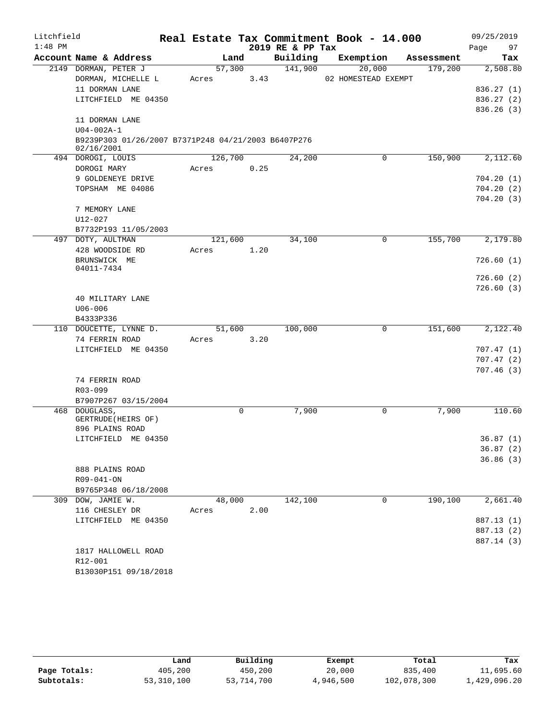| Litchfield |                                                                   |         |   |      |                  | Real Estate Tax Commitment Book - 14.000 |            | 09/25/2019 |
|------------|-------------------------------------------------------------------|---------|---|------|------------------|------------------------------------------|------------|------------|
| $1:48$ PM  |                                                                   |         |   |      | 2019 RE & PP Tax |                                          |            | 97<br>Page |
|            | Account Name & Address                                            | Land    |   |      | Building         | Exemption                                | Assessment | Tax        |
|            | 2149 DORMAN, PETER J                                              | 57,300  |   |      | 141,900          | 20,000                                   | 179,200    | 2,508.80   |
|            | DORMAN, MICHELLE L                                                | Acres   |   | 3.43 |                  | 02 HOMESTEAD EXEMPT                      |            |            |
|            | 11 DORMAN LANE                                                    |         |   |      |                  |                                          |            | 836.27 (1) |
|            | LITCHFIELD ME 04350                                               |         |   |      |                  |                                          |            | 836.27 (2) |
|            |                                                                   |         |   |      |                  |                                          |            | 836.26(3)  |
|            | 11 DORMAN LANE                                                    |         |   |      |                  |                                          |            |            |
|            | $U04 - 002A - 1$                                                  |         |   |      |                  |                                          |            |            |
|            | B9239P303 01/26/2007 B7371P248 04/21/2003 B6407P276<br>02/16/2001 |         |   |      |                  |                                          |            |            |
|            | 494 DOROGI, LOUIS                                                 | 126,700 |   |      | 24,200           | 0                                        | 150,900    | 2,112.60   |
|            | DOROGI MARY                                                       | Acres   |   | 0.25 |                  |                                          |            |            |
|            | 9 GOLDENEYE DRIVE                                                 |         |   |      |                  |                                          |            | 704.20(1)  |
|            | TOPSHAM ME 04086                                                  |         |   |      |                  |                                          |            | 704.20(2)  |
|            |                                                                   |         |   |      |                  |                                          |            | 704.20(3)  |
|            | 7 MEMORY LANE                                                     |         |   |      |                  |                                          |            |            |
|            | U12-027                                                           |         |   |      |                  |                                          |            |            |
|            | B7732P193 11/05/2003                                              |         |   |      |                  |                                          |            |            |
|            | 497 DOTY, AULTMAN                                                 | 121,600 |   |      | 34,100           | 0                                        | 155,700    | 2,179.80   |
|            | 428 WOODSIDE RD                                                   | Acres   |   | 1.20 |                  |                                          |            |            |
|            | BRUNSWICK ME                                                      |         |   |      |                  |                                          |            | 726.60(1)  |
|            | 04011-7434                                                        |         |   |      |                  |                                          |            |            |
|            |                                                                   |         |   |      |                  |                                          |            | 726.60(2)  |
|            |                                                                   |         |   |      |                  |                                          |            | 726.60(3)  |
|            | 40 MILITARY LANE                                                  |         |   |      |                  |                                          |            |            |
|            | $U06 - 006$                                                       |         |   |      |                  |                                          |            |            |
|            | B4333P336                                                         |         |   |      |                  |                                          |            |            |
|            | 110 DOUCETTE, LYNNE D.                                            | 51,600  |   |      | 100,000          | 0                                        | 151,600    | 2,122.40   |
|            | 74 FERRIN ROAD                                                    | Acres   |   | 3.20 |                  |                                          |            |            |
|            | LITCHFIELD ME 04350                                               |         |   |      |                  |                                          |            | 707.47(1)  |
|            |                                                                   |         |   |      |                  |                                          |            | 707.47(2)  |
|            | 74 FERRIN ROAD                                                    |         |   |      |                  |                                          |            | 707.46(3)  |
|            | $R03 - 099$                                                       |         |   |      |                  |                                          |            |            |
|            | B7907P267 03/15/2004                                              |         |   |      |                  |                                          |            |            |
|            | 468 DOUGLASS,                                                     |         | 0 |      | 7,900            | 0                                        | 7,900      | 110.60     |
|            | GERTRUDE (HEIRS OF)                                               |         |   |      |                  |                                          |            |            |
|            | 896 PLAINS ROAD                                                   |         |   |      |                  |                                          |            |            |
|            | LITCHFIELD ME 04350                                               |         |   |      |                  |                                          |            | 36.87(1)   |
|            |                                                                   |         |   |      |                  |                                          |            | 36.87(2)   |
|            |                                                                   |         |   |      |                  |                                          |            | 36.86(3)   |
|            | 888 PLAINS ROAD                                                   |         |   |      |                  |                                          |            |            |
|            | R09-041-ON                                                        |         |   |      |                  |                                          |            |            |
|            | B9765P348 06/18/2008                                              |         |   |      |                  |                                          |            |            |
|            | 309 DOW, JAMIE W.                                                 | 48,000  |   |      | 142,100          | $\mathbf 0$                              | 190,100    | 2,661.40   |
|            | 116 CHESLEY DR                                                    | Acres   |   | 2.00 |                  |                                          |            |            |
|            | LITCHFIELD ME 04350                                               |         |   |      |                  |                                          |            | 887.13 (1) |
|            |                                                                   |         |   |      |                  |                                          |            | 887.13 (2) |
|            |                                                                   |         |   |      |                  |                                          |            | 887.14 (3) |
|            | 1817 HALLOWELL ROAD                                               |         |   |      |                  |                                          |            |            |
|            | R12-001                                                           |         |   |      |                  |                                          |            |            |
|            | B13030P151 09/18/2018                                             |         |   |      |                  |                                          |            |            |

|              | Land       | Building   | Exempt    | Total       | Tax          |
|--------------|------------|------------|-----------|-------------|--------------|
| Page Totals: | 405,200    | 450,200    | 20,000    | 835,400     | 11,695.60    |
| Subtotals:   | 53,310,100 | 53,714,700 | 4,946,500 | 102,078,300 | 1,429,096.20 |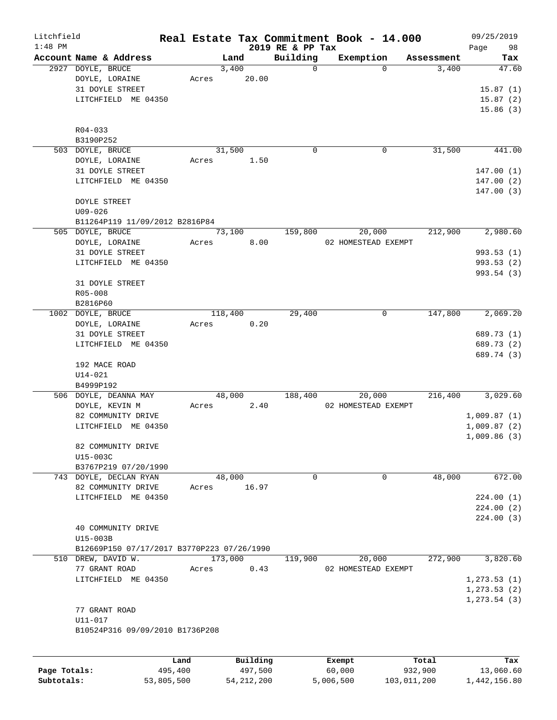| Litchfield |                                            |       |               |                  | Real Estate Tax Commitment Book - 14.000 |                     | 09/25/2019   |
|------------|--------------------------------------------|-------|---------------|------------------|------------------------------------------|---------------------|--------------|
| $1:48$ PM  | Account Name & Address                     |       |               | 2019 RE & PP Tax |                                          |                     | 98<br>Page   |
|            | 2927 DOYLE, BRUCE                          |       | Land<br>3,400 | Building<br>0    | Exemption<br>$\Omega$                    | Assessment<br>3,400 | Tax<br>47.60 |
|            | DOYLE, LORAINE                             | Acres | 20.00         |                  |                                          |                     |              |
|            | 31 DOYLE STREET                            |       |               |                  |                                          |                     | 15.87(1)     |
|            | LITCHFIELD ME 04350                        |       |               |                  |                                          |                     | 15.87(2)     |
|            |                                            |       |               |                  |                                          |                     | 15.86(3)     |
|            |                                            |       |               |                  |                                          |                     |              |
|            | $R04 - 033$                                |       |               |                  |                                          |                     |              |
|            | B3190P252                                  |       |               |                  |                                          |                     |              |
|            | 503 DOYLE, BRUCE                           |       | 31,500        | 0                | 0                                        | 31,500              | 441.00       |
|            | DOYLE, LORAINE                             | Acres | 1.50          |                  |                                          |                     |              |
|            | 31 DOYLE STREET                            |       |               |                  |                                          |                     | 147.00(1)    |
|            | LITCHFIELD ME 04350                        |       |               |                  |                                          |                     | 147.00(2)    |
|            |                                            |       |               |                  |                                          |                     | 147.00(3)    |
|            | <b>DOYLE STREET</b>                        |       |               |                  |                                          |                     |              |
|            | $U09 - 026$                                |       |               |                  |                                          |                     |              |
|            | B11264P119 11/09/2012 B2816P84             |       |               |                  |                                          |                     |              |
|            | 505 DOYLE, BRUCE                           |       | 73,100        | 159,800          | 20,000                                   | 212,900             | 2,980.60     |
|            | DOYLE, LORAINE                             | Acres | 8.00          |                  | 02 HOMESTEAD EXEMPT                      |                     |              |
|            | 31 DOYLE STREET                            |       |               |                  |                                          |                     | 993.53(1)    |
|            | LITCHFIELD ME 04350                        |       |               |                  |                                          |                     | 993.53 (2)   |
|            |                                            |       |               |                  |                                          |                     | 993.54(3)    |
|            | 31 DOYLE STREET                            |       |               |                  |                                          |                     |              |
|            | R05-008                                    |       |               |                  |                                          |                     |              |
|            | B2816P60                                   |       |               |                  |                                          |                     |              |
|            | 1002 DOYLE, BRUCE                          |       | 118,400       | 29,400           | 0                                        | 147,800             | 2,069.20     |
|            | DOYLE, LORAINE                             | Acres | 0.20          |                  |                                          |                     |              |
|            | 31 DOYLE STREET                            |       |               |                  |                                          |                     | 689.73 (1)   |
|            | LITCHFIELD ME 04350                        |       |               |                  |                                          |                     | 689.73 (2)   |
|            |                                            |       |               |                  |                                          |                     | 689.74 (3)   |
|            | 192 MACE ROAD                              |       |               |                  |                                          |                     |              |
|            | $U14 - 021$                                |       |               |                  |                                          |                     |              |
|            | B4999P192                                  |       |               |                  |                                          |                     |              |
|            | 506 DOYLE, DEANNA MAY                      |       | 48,000        | 188,400          | 20,000                                   | 216,400             | 3,029.60     |
|            | DOYLE, KEVIN M                             | Acres | 2.40          |                  | 02 HOMESTEAD EXEMPT                      |                     |              |
|            | 82 COMMUNITY DRIVE                         |       |               |                  |                                          |                     | 1,009.87(1)  |
|            | LITCHFIELD ME 04350                        |       |               |                  |                                          |                     | 1,009.87(2)  |
|            |                                            |       |               |                  |                                          |                     | 1,009.86(3)  |
|            | 82 COMMUNITY DRIVE                         |       |               |                  |                                          |                     |              |
|            | U15-003C                                   |       |               |                  |                                          |                     |              |
|            | B3767P219 07/20/1990                       |       |               |                  |                                          |                     |              |
|            | 743 DOYLE, DECLAN RYAN                     |       | 48,000        | 0                | 0                                        | 48,000              | 672.00       |
|            | 82 COMMUNITY DRIVE                         | Acres | 16.97         |                  |                                          |                     |              |
|            | LITCHFIELD ME 04350                        |       |               |                  |                                          |                     | 224.00(1)    |
|            |                                            |       |               |                  |                                          |                     | 224.00(2)    |
|            |                                            |       |               |                  |                                          |                     | 224.00(3)    |
|            | 40 COMMUNITY DRIVE                         |       |               |                  |                                          |                     |              |
|            | U15-003B                                   |       |               |                  |                                          |                     |              |
|            | B12669P150 07/17/2017 B3770P223 07/26/1990 |       |               |                  |                                          |                     |              |
|            | 510 DREW, DAVID W.                         |       | 173,000       | 119,900          | 20,000                                   | 272,900             | 3,820.60     |
|            | 77 GRANT ROAD                              | Acres | 0.43          |                  | 02 HOMESTEAD EXEMPT                      |                     |              |
|            | LITCHFIELD ME 04350                        |       |               |                  |                                          |                     | 1, 273.53(1) |
|            |                                            |       |               |                  |                                          |                     | 1, 273.53(2) |
|            |                                            |       |               |                  |                                          |                     | 1, 273.54(3) |
|            | 77 GRANT ROAD                              |       |               |                  |                                          |                     |              |
|            | U11-017                                    |       |               |                  |                                          |                     |              |
|            | B10524P316 09/09/2010 B1736P208            |       |               |                  |                                          |                     |              |
|            |                                            |       |               |                  |                                          |                     |              |
|            |                                            |       |               |                  |                                          |                     |              |
|            |                                            | Land  | Building      |                  | Exempt                                   | Total               | Tax          |

| Page Totals: | 495,400    | 497,500      | 60,000    | 932,900     | 13,060.60    |
|--------------|------------|--------------|-----------|-------------|--------------|
| Subtotals:   | 53,805,500 | 54, 212, 200 | 5,006,500 | 103,011,200 | 1,442,156.80 |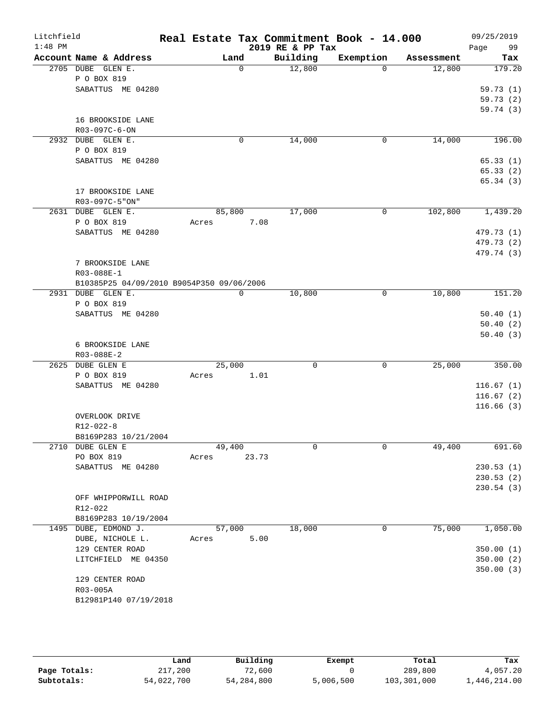| Litchfield<br>$1:48$ PM |                                           | Real Estate Tax Commitment Book - 14.000 |          | 2019 RE & PP Tax |             |            | 09/25/2019             |
|-------------------------|-------------------------------------------|------------------------------------------|----------|------------------|-------------|------------|------------------------|
|                         | Account Name & Address                    |                                          | Land     | Building         | Exemption   | Assessment | 99<br>Page<br>Tax      |
| 2705 DUBE               | GLEN E.                                   |                                          | $\Omega$ | 12,800           | $\Omega$    | 12,800     | 179.20                 |
|                         | P O BOX 819                               |                                          |          |                  |             |            |                        |
|                         | SABATTUS ME 04280                         |                                          |          |                  |             |            | 59.73(1)               |
|                         |                                           |                                          |          |                  |             |            | 59.73(2)               |
|                         |                                           |                                          |          |                  |             |            | 59.74 (3)              |
|                         | 16 BROOKSIDE LANE<br>R03-097C-6-ON        |                                          |          |                  |             |            |                        |
|                         | 2932 DUBE GLEN E.                         |                                          | 0        | 14,000           | 0           | 14,000     | 196.00                 |
|                         | P O BOX 819                               |                                          |          |                  |             |            |                        |
|                         | SABATTUS ME 04280                         |                                          |          |                  |             |            | 65.33(1)               |
|                         |                                           |                                          |          |                  |             |            | 65.33(2)               |
|                         |                                           |                                          |          |                  |             |            | 65.34(3)               |
|                         | 17 BROOKSIDE LANE                         |                                          |          |                  |             |            |                        |
|                         | R03-097C-5"ON"                            |                                          |          |                  |             |            |                        |
|                         | 2631 DUBE GLEN E.                         | 85,800                                   |          | 17,000           | 0           | 102,800    | 1,439.20               |
|                         | P O BOX 819                               | Acres                                    | 7.08     |                  |             |            |                        |
|                         | SABATTUS ME 04280                         |                                          |          |                  |             |            | 479.73 (1)             |
|                         |                                           |                                          |          |                  |             |            | 479.73 (2)             |
|                         | 7 BROOKSIDE LANE                          |                                          |          |                  |             |            | 479.74 (3)             |
|                         | R03-088E-1                                |                                          |          |                  |             |            |                        |
|                         | B10385P25 04/09/2010 B9054P350 09/06/2006 |                                          |          |                  |             |            |                        |
|                         | 2931 DUBE GLEN E.                         |                                          | 0        | 10,800           | 0           | 10,800     | 151.20                 |
|                         | P O BOX 819                               |                                          |          |                  |             |            |                        |
|                         | SABATTUS ME 04280                         |                                          |          |                  |             |            | 50.40(1)               |
|                         |                                           |                                          |          |                  |             |            | 50.40(2)               |
|                         |                                           |                                          |          |                  |             |            | 50.40(3)               |
|                         | 6 BROOKSIDE LANE                          |                                          |          |                  |             |            |                        |
|                         | $R03 - 088E - 2$<br>2625 DUBE GLEN E      | 25,000                                   |          | $\mathbf 0$      | $\mathbf 0$ | 25,000     | 350.00                 |
|                         | P O BOX 819                               | Acres                                    | 1.01     |                  |             |            |                        |
|                         | SABATTUS ME 04280                         |                                          |          |                  |             |            | 116.67(1)              |
|                         |                                           |                                          |          |                  |             |            | 116.67(2)              |
|                         |                                           |                                          |          |                  |             |            | 116.66(3)              |
|                         | OVERLOOK DRIVE                            |                                          |          |                  |             |            |                        |
|                         | R12-022-8                                 |                                          |          |                  |             |            |                        |
|                         | B8169P283 10/21/2004                      |                                          |          |                  |             |            |                        |
|                         | 2710 DUBE GLEN E                          | 49,400                                   |          | 0                | 0           | 49,400     | 691.60                 |
|                         | PO BOX 819<br>SABATTUS ME 04280           | Acres                                    | 23.73    |                  |             |            |                        |
|                         |                                           |                                          |          |                  |             |            | 230.53(1)<br>230.53(2) |
|                         |                                           |                                          |          |                  |             |            | 230.54 (3)             |
|                         | OFF WHIPPORWILL ROAD                      |                                          |          |                  |             |            |                        |
|                         | R12-022                                   |                                          |          |                  |             |            |                        |
|                         | B8169P283 10/19/2004                      |                                          |          |                  |             |            |                        |
|                         | 1495 DUBE, EDMOND J.                      | 57,000                                   |          | 18,000           | 0           | 75,000     | 1,050.00               |
|                         | DUBE, NICHOLE L.                          | Acres                                    | 5.00     |                  |             |            |                        |
|                         | 129 CENTER ROAD                           |                                          |          |                  |             |            | 350.00(1)              |
|                         | LITCHFIELD ME 04350                       |                                          |          |                  |             |            | 350.00 (2)             |
|                         |                                           |                                          |          |                  |             |            | 350.00 (3)             |
|                         | 129 CENTER ROAD<br>R03-005A               |                                          |          |                  |             |            |                        |
|                         | B12981P140 07/19/2018                     |                                          |          |                  |             |            |                        |
|                         |                                           |                                          |          |                  |             |            |                        |

|              | Land       | Building     | Exempt    | Total       | Tax          |
|--------------|------------|--------------|-----------|-------------|--------------|
| Page Totals: | 217,200    | 72,600       |           | 289,800     | 4,057.20     |
| Subtotals:   | 54,022,700 | 54, 284, 800 | 5,006,500 | 103,301,000 | l,446,214.00 |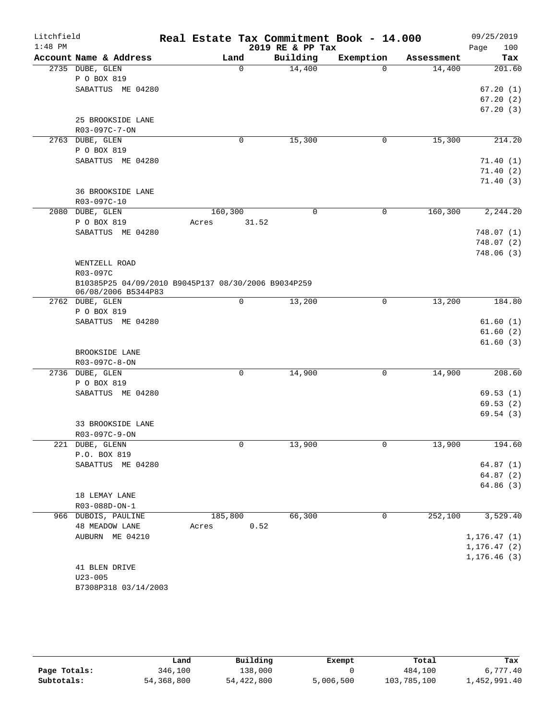| Litchfield |                                                     |                  |             | Real Estate Tax Commitment Book - 14.000 |             |            | 09/25/2019   |
|------------|-----------------------------------------------------|------------------|-------------|------------------------------------------|-------------|------------|--------------|
| $1:48$ PM  |                                                     |                  |             | 2019 RE & PP Tax                         |             |            | 100<br>Page  |
|            | Account Name & Address                              | Land             |             | Building                                 | Exemption   | Assessment | Tax          |
|            | 2735 DUBE, GLEN                                     |                  | $\Omega$    | 14,400                                   | $\Omega$    | 14,400     | 201.60       |
|            | P O BOX 819<br>SABATTUS ME 04280                    |                  |             |                                          |             |            | 67.20(1)     |
|            |                                                     |                  |             |                                          |             |            | 67.20(2)     |
|            |                                                     |                  |             |                                          |             |            | 67.20(3)     |
|            | 25 BROOKSIDE LANE                                   |                  |             |                                          |             |            |              |
|            | R03-097C-7-ON                                       |                  |             |                                          |             |            |              |
|            | 2763 DUBE, GLEN                                     |                  | $\mathbf 0$ | 15,300                                   | 0           | 15,300     | 214.20       |
|            | P O BOX 819                                         |                  |             |                                          |             |            |              |
|            | SABATTUS ME 04280                                   |                  |             |                                          |             |            | 71.40(1)     |
|            |                                                     |                  |             |                                          |             |            | 71.40(2)     |
|            |                                                     |                  |             |                                          |             |            | 71.40(3)     |
|            | 36 BROOKSIDE LANE                                   |                  |             |                                          |             |            |              |
|            | R03-097C-10                                         |                  |             | $\Omega$                                 |             |            |              |
|            | 2080 DUBE, GLEN<br>P O BOX 819                      | 160,300<br>Acres | 31.52       |                                          | 0           | 160,300    | 2,244.20     |
|            | SABATTUS ME 04280                                   |                  |             |                                          |             |            | 748.07(1)    |
|            |                                                     |                  |             |                                          |             |            | 748.07 (2)   |
|            |                                                     |                  |             |                                          |             |            | 748.06(3)    |
|            | WENTZELL ROAD                                       |                  |             |                                          |             |            |              |
|            | R03-097C                                            |                  |             |                                          |             |            |              |
|            | B10385P25 04/09/2010 B9045P137 08/30/2006 B9034P259 |                  |             |                                          |             |            |              |
|            | 06/08/2006 B5344P83                                 |                  |             |                                          |             |            |              |
|            | 2762 DUBE, GLEN                                     |                  | 0           | 13,200                                   | 0           | 13,200     | 184.80       |
|            | P O BOX 819<br>SABATTUS ME 04280                    |                  |             |                                          |             |            | 61.60(1)     |
|            |                                                     |                  |             |                                          |             |            | 61.60(2)     |
|            |                                                     |                  |             |                                          |             |            | 61.60(3)     |
|            | BROOKSIDE LANE                                      |                  |             |                                          |             |            |              |
|            | R03-097C-8-ON                                       |                  |             |                                          |             |            |              |
|            | 2736 DUBE, GLEN                                     |                  | 0           | 14,900                                   | 0           | 14,900     | 208.60       |
|            | P O BOX 819                                         |                  |             |                                          |             |            |              |
|            | SABATTUS ME 04280                                   |                  |             |                                          |             |            | 69.53(1)     |
|            |                                                     |                  |             |                                          |             |            | 69.53(2)     |
|            |                                                     |                  |             |                                          |             |            | 69.54 (3)    |
|            | 33 BROOKSIDE LANE                                   |                  |             |                                          |             |            |              |
|            | R03-097C-9-ON                                       |                  | 0           |                                          | 0           |            |              |
|            | 221 DUBE, GLENN<br>P.O. BOX 819                     |                  |             | 13,900                                   |             | 13,900     | 194.60       |
|            | SABATTUS ME 04280                                   |                  |             |                                          |             |            | 64.87(1)     |
|            |                                                     |                  |             |                                          |             |            | 64.87(2)     |
|            |                                                     |                  |             |                                          |             |            | 64.86(3)     |
|            | 18 LEMAY LANE                                       |                  |             |                                          |             |            |              |
|            | R03-088D-ON-1                                       |                  |             |                                          |             |            |              |
|            | 966 DUBOIS, PAULINE                                 | 185,800          |             | 66,300                                   | $\mathbf 0$ | 252,100    | 3,529.40     |
|            | <b>48 MEADOW LANE</b>                               | Acres            | 0.52        |                                          |             |            |              |
|            | AUBURN ME 04210                                     |                  |             |                                          |             |            | 1, 176.47(1) |
|            |                                                     |                  |             |                                          |             |            | 1, 176.47(2) |
|            |                                                     |                  |             |                                          |             |            | 1, 176.46(3) |
|            | 41 BLEN DRIVE<br>$U23 - 005$                        |                  |             |                                          |             |            |              |
|            | B7308P318 03/14/2003                                |                  |             |                                          |             |            |              |
|            |                                                     |                  |             |                                          |             |            |              |

|              | Land       | Building   | Exempt    | Total       | Tax          |
|--------------|------------|------------|-----------|-------------|--------------|
| Page Totals: | 346,100    | 138,000    |           | 484,100     | 6,777.40     |
| Subtotals:   | 54,368,800 | 54,422,800 | 5,006,500 | 103,785,100 | 1,452,991.40 |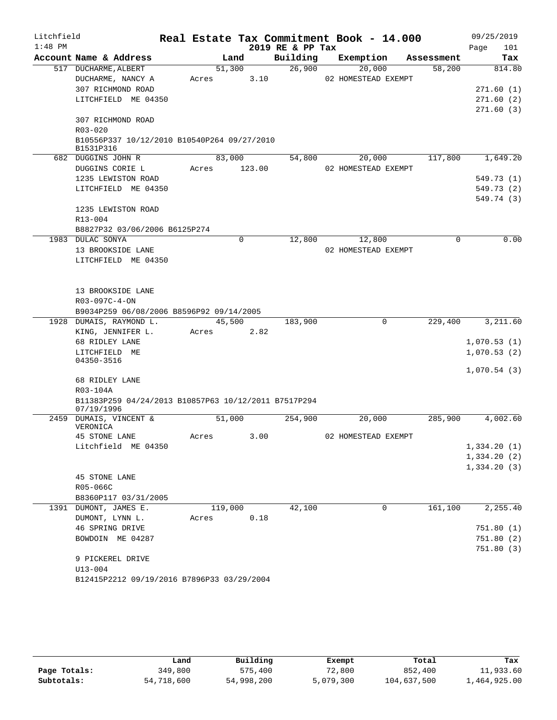| $1:48$ PM<br>2019 RE & PP Tax<br>Page<br>101<br>Account Name & Address<br>Building<br>Land<br>Exemption<br>Assessment<br>Tax<br>26,900<br>517 DUCHARME, ALBERT<br>51,300<br>20,000<br>58,200<br>814.80<br>3.10<br>DUCHARME, NANCY A<br>02 HOMESTEAD EXEMPT<br>Acres<br>307 RICHMOND ROAD<br>271.60(1)<br>LITCHFIELD ME 04350<br>271.60(2)<br>271.60(3)<br>307 RICHMOND ROAD<br>R03-020<br>B10556P337 10/12/2010 B10540P264 09/27/2010<br>B1531P316<br>117,800<br>1,649.20<br>682 DUGGINS JOHN R<br>83,000<br>54,800<br>20,000<br>DUGGINS CORIE L<br>123.00<br>02 HOMESTEAD EXEMPT<br>Acres<br>1235 LEWISTON ROAD<br>549.73 (1)<br>LITCHFIELD ME 04350<br>549.73 (2)<br>549.74 (3)<br>1235 LEWISTON ROAD<br>R13-004<br>B8827P32 03/06/2006 B6125P274<br>0.00<br>12,800<br>1983 DULAC SONYA<br>0<br>12,800<br>0<br>13 BROOKSIDE LANE<br>02 HOMESTEAD EXEMPT<br>LITCHFIELD ME 04350<br>13 BROOKSIDE LANE<br>R03-097C-4-ON<br>B9034P259 06/08/2006 B8596P92 09/14/2005<br>45,500<br>1928 DUMAIS, RAYMOND L.<br>183,900<br>0<br>229,400<br>KING, JENNIFER L.<br>Acres<br>2.82<br>68 RIDLEY LANE<br>LITCHFIELD ME<br>04350-3516<br>68 RIDLEY LANE<br>R03-104A<br>B11383P259 04/24/2013 B10857P63 10/12/2011 B7517P294<br>07/19/1996<br>51,000<br>2459 DUMAIS, VINCENT &<br>254,900<br>20,000<br>285,900<br>VERONICA<br>02 HOMESTEAD EXEMPT<br><b>45 STONE LANE</b><br>3.00<br>Acres<br>Litchfield ME 04350<br>45 STONE LANE<br>R05-066C<br>B8360P117 03/31/2005<br>42,100<br>161,100<br>1391 DUMONT, JAMES E.<br>119,000<br>0<br>0.18<br>DUMONT, LYNN L.<br>Acres<br>46 SPRING DRIVE<br>BOWDOIN ME 04287<br>9 PICKEREL DRIVE<br>$U13 - 004$<br>B12415P2212 09/19/2016 B7896P33 03/29/2004 | Litchfield |  |  |  | Real Estate Tax Commitment Book - 14.000 |  | 09/25/2019 |
|-------------------------------------------------------------------------------------------------------------------------------------------------------------------------------------------------------------------------------------------------------------------------------------------------------------------------------------------------------------------------------------------------------------------------------------------------------------------------------------------------------------------------------------------------------------------------------------------------------------------------------------------------------------------------------------------------------------------------------------------------------------------------------------------------------------------------------------------------------------------------------------------------------------------------------------------------------------------------------------------------------------------------------------------------------------------------------------------------------------------------------------------------------------------------------------------------------------------------------------------------------------------------------------------------------------------------------------------------------------------------------------------------------------------------------------------------------------------------------------------------------------------------------------------------------------------------------------------------------------------------------------------------------------------------------------|------------|--|--|--|------------------------------------------|--|------------|
|                                                                                                                                                                                                                                                                                                                                                                                                                                                                                                                                                                                                                                                                                                                                                                                                                                                                                                                                                                                                                                                                                                                                                                                                                                                                                                                                                                                                                                                                                                                                                                                                                                                                                     |            |  |  |  |                                          |  |            |
|                                                                                                                                                                                                                                                                                                                                                                                                                                                                                                                                                                                                                                                                                                                                                                                                                                                                                                                                                                                                                                                                                                                                                                                                                                                                                                                                                                                                                                                                                                                                                                                                                                                                                     |            |  |  |  |                                          |  |            |
|                                                                                                                                                                                                                                                                                                                                                                                                                                                                                                                                                                                                                                                                                                                                                                                                                                                                                                                                                                                                                                                                                                                                                                                                                                                                                                                                                                                                                                                                                                                                                                                                                                                                                     |            |  |  |  |                                          |  |            |
|                                                                                                                                                                                                                                                                                                                                                                                                                                                                                                                                                                                                                                                                                                                                                                                                                                                                                                                                                                                                                                                                                                                                                                                                                                                                                                                                                                                                                                                                                                                                                                                                                                                                                     |            |  |  |  |                                          |  |            |
|                                                                                                                                                                                                                                                                                                                                                                                                                                                                                                                                                                                                                                                                                                                                                                                                                                                                                                                                                                                                                                                                                                                                                                                                                                                                                                                                                                                                                                                                                                                                                                                                                                                                                     |            |  |  |  |                                          |  |            |
|                                                                                                                                                                                                                                                                                                                                                                                                                                                                                                                                                                                                                                                                                                                                                                                                                                                                                                                                                                                                                                                                                                                                                                                                                                                                                                                                                                                                                                                                                                                                                                                                                                                                                     |            |  |  |  |                                          |  |            |
|                                                                                                                                                                                                                                                                                                                                                                                                                                                                                                                                                                                                                                                                                                                                                                                                                                                                                                                                                                                                                                                                                                                                                                                                                                                                                                                                                                                                                                                                                                                                                                                                                                                                                     |            |  |  |  |                                          |  |            |
|                                                                                                                                                                                                                                                                                                                                                                                                                                                                                                                                                                                                                                                                                                                                                                                                                                                                                                                                                                                                                                                                                                                                                                                                                                                                                                                                                                                                                                                                                                                                                                                                                                                                                     |            |  |  |  |                                          |  |            |
|                                                                                                                                                                                                                                                                                                                                                                                                                                                                                                                                                                                                                                                                                                                                                                                                                                                                                                                                                                                                                                                                                                                                                                                                                                                                                                                                                                                                                                                                                                                                                                                                                                                                                     |            |  |  |  |                                          |  |            |
|                                                                                                                                                                                                                                                                                                                                                                                                                                                                                                                                                                                                                                                                                                                                                                                                                                                                                                                                                                                                                                                                                                                                                                                                                                                                                                                                                                                                                                                                                                                                                                                                                                                                                     |            |  |  |  |                                          |  |            |
|                                                                                                                                                                                                                                                                                                                                                                                                                                                                                                                                                                                                                                                                                                                                                                                                                                                                                                                                                                                                                                                                                                                                                                                                                                                                                                                                                                                                                                                                                                                                                                                                                                                                                     |            |  |  |  |                                          |  |            |
|                                                                                                                                                                                                                                                                                                                                                                                                                                                                                                                                                                                                                                                                                                                                                                                                                                                                                                                                                                                                                                                                                                                                                                                                                                                                                                                                                                                                                                                                                                                                                                                                                                                                                     |            |  |  |  |                                          |  |            |
|                                                                                                                                                                                                                                                                                                                                                                                                                                                                                                                                                                                                                                                                                                                                                                                                                                                                                                                                                                                                                                                                                                                                                                                                                                                                                                                                                                                                                                                                                                                                                                                                                                                                                     |            |  |  |  |                                          |  |            |
|                                                                                                                                                                                                                                                                                                                                                                                                                                                                                                                                                                                                                                                                                                                                                                                                                                                                                                                                                                                                                                                                                                                                                                                                                                                                                                                                                                                                                                                                                                                                                                                                                                                                                     |            |  |  |  |                                          |  |            |
|                                                                                                                                                                                                                                                                                                                                                                                                                                                                                                                                                                                                                                                                                                                                                                                                                                                                                                                                                                                                                                                                                                                                                                                                                                                                                                                                                                                                                                                                                                                                                                                                                                                                                     |            |  |  |  |                                          |  |            |
|                                                                                                                                                                                                                                                                                                                                                                                                                                                                                                                                                                                                                                                                                                                                                                                                                                                                                                                                                                                                                                                                                                                                                                                                                                                                                                                                                                                                                                                                                                                                                                                                                                                                                     |            |  |  |  |                                          |  |            |
|                                                                                                                                                                                                                                                                                                                                                                                                                                                                                                                                                                                                                                                                                                                                                                                                                                                                                                                                                                                                                                                                                                                                                                                                                                                                                                                                                                                                                                                                                                                                                                                                                                                                                     |            |  |  |  |                                          |  |            |
|                                                                                                                                                                                                                                                                                                                                                                                                                                                                                                                                                                                                                                                                                                                                                                                                                                                                                                                                                                                                                                                                                                                                                                                                                                                                                                                                                                                                                                                                                                                                                                                                                                                                                     |            |  |  |  |                                          |  |            |
|                                                                                                                                                                                                                                                                                                                                                                                                                                                                                                                                                                                                                                                                                                                                                                                                                                                                                                                                                                                                                                                                                                                                                                                                                                                                                                                                                                                                                                                                                                                                                                                                                                                                                     |            |  |  |  |                                          |  |            |
|                                                                                                                                                                                                                                                                                                                                                                                                                                                                                                                                                                                                                                                                                                                                                                                                                                                                                                                                                                                                                                                                                                                                                                                                                                                                                                                                                                                                                                                                                                                                                                                                                                                                                     |            |  |  |  |                                          |  |            |
|                                                                                                                                                                                                                                                                                                                                                                                                                                                                                                                                                                                                                                                                                                                                                                                                                                                                                                                                                                                                                                                                                                                                                                                                                                                                                                                                                                                                                                                                                                                                                                                                                                                                                     |            |  |  |  |                                          |  |            |
|                                                                                                                                                                                                                                                                                                                                                                                                                                                                                                                                                                                                                                                                                                                                                                                                                                                                                                                                                                                                                                                                                                                                                                                                                                                                                                                                                                                                                                                                                                                                                                                                                                                                                     |            |  |  |  |                                          |  |            |
|                                                                                                                                                                                                                                                                                                                                                                                                                                                                                                                                                                                                                                                                                                                                                                                                                                                                                                                                                                                                                                                                                                                                                                                                                                                                                                                                                                                                                                                                                                                                                                                                                                                                                     |            |  |  |  |                                          |  |            |
|                                                                                                                                                                                                                                                                                                                                                                                                                                                                                                                                                                                                                                                                                                                                                                                                                                                                                                                                                                                                                                                                                                                                                                                                                                                                                                                                                                                                                                                                                                                                                                                                                                                                                     |            |  |  |  |                                          |  |            |
|                                                                                                                                                                                                                                                                                                                                                                                                                                                                                                                                                                                                                                                                                                                                                                                                                                                                                                                                                                                                                                                                                                                                                                                                                                                                                                                                                                                                                                                                                                                                                                                                                                                                                     |            |  |  |  |                                          |  |            |
| 3,211.60<br>1,070.53(1)<br>1,070.53(2)<br>1,070.54(3)<br>4,002.60<br>1,334.20(1)<br>1,334.20(2)<br>1,334.20(3)<br>2,255.40<br>751.80(1)<br>751.80(2)<br>751.80(3)                                                                                                                                                                                                                                                                                                                                                                                                                                                                                                                                                                                                                                                                                                                                                                                                                                                                                                                                                                                                                                                                                                                                                                                                                                                                                                                                                                                                                                                                                                                   |            |  |  |  |                                          |  |            |
|                                                                                                                                                                                                                                                                                                                                                                                                                                                                                                                                                                                                                                                                                                                                                                                                                                                                                                                                                                                                                                                                                                                                                                                                                                                                                                                                                                                                                                                                                                                                                                                                                                                                                     |            |  |  |  |                                          |  |            |
|                                                                                                                                                                                                                                                                                                                                                                                                                                                                                                                                                                                                                                                                                                                                                                                                                                                                                                                                                                                                                                                                                                                                                                                                                                                                                                                                                                                                                                                                                                                                                                                                                                                                                     |            |  |  |  |                                          |  |            |
|                                                                                                                                                                                                                                                                                                                                                                                                                                                                                                                                                                                                                                                                                                                                                                                                                                                                                                                                                                                                                                                                                                                                                                                                                                                                                                                                                                                                                                                                                                                                                                                                                                                                                     |            |  |  |  |                                          |  |            |
|                                                                                                                                                                                                                                                                                                                                                                                                                                                                                                                                                                                                                                                                                                                                                                                                                                                                                                                                                                                                                                                                                                                                                                                                                                                                                                                                                                                                                                                                                                                                                                                                                                                                                     |            |  |  |  |                                          |  |            |
|                                                                                                                                                                                                                                                                                                                                                                                                                                                                                                                                                                                                                                                                                                                                                                                                                                                                                                                                                                                                                                                                                                                                                                                                                                                                                                                                                                                                                                                                                                                                                                                                                                                                                     |            |  |  |  |                                          |  |            |
|                                                                                                                                                                                                                                                                                                                                                                                                                                                                                                                                                                                                                                                                                                                                                                                                                                                                                                                                                                                                                                                                                                                                                                                                                                                                                                                                                                                                                                                                                                                                                                                                                                                                                     |            |  |  |  |                                          |  |            |
|                                                                                                                                                                                                                                                                                                                                                                                                                                                                                                                                                                                                                                                                                                                                                                                                                                                                                                                                                                                                                                                                                                                                                                                                                                                                                                                                                                                                                                                                                                                                                                                                                                                                                     |            |  |  |  |                                          |  |            |
|                                                                                                                                                                                                                                                                                                                                                                                                                                                                                                                                                                                                                                                                                                                                                                                                                                                                                                                                                                                                                                                                                                                                                                                                                                                                                                                                                                                                                                                                                                                                                                                                                                                                                     |            |  |  |  |                                          |  |            |
|                                                                                                                                                                                                                                                                                                                                                                                                                                                                                                                                                                                                                                                                                                                                                                                                                                                                                                                                                                                                                                                                                                                                                                                                                                                                                                                                                                                                                                                                                                                                                                                                                                                                                     |            |  |  |  |                                          |  |            |
|                                                                                                                                                                                                                                                                                                                                                                                                                                                                                                                                                                                                                                                                                                                                                                                                                                                                                                                                                                                                                                                                                                                                                                                                                                                                                                                                                                                                                                                                                                                                                                                                                                                                                     |            |  |  |  |                                          |  |            |
|                                                                                                                                                                                                                                                                                                                                                                                                                                                                                                                                                                                                                                                                                                                                                                                                                                                                                                                                                                                                                                                                                                                                                                                                                                                                                                                                                                                                                                                                                                                                                                                                                                                                                     |            |  |  |  |                                          |  |            |
|                                                                                                                                                                                                                                                                                                                                                                                                                                                                                                                                                                                                                                                                                                                                                                                                                                                                                                                                                                                                                                                                                                                                                                                                                                                                                                                                                                                                                                                                                                                                                                                                                                                                                     |            |  |  |  |                                          |  |            |
|                                                                                                                                                                                                                                                                                                                                                                                                                                                                                                                                                                                                                                                                                                                                                                                                                                                                                                                                                                                                                                                                                                                                                                                                                                                                                                                                                                                                                                                                                                                                                                                                                                                                                     |            |  |  |  |                                          |  |            |
|                                                                                                                                                                                                                                                                                                                                                                                                                                                                                                                                                                                                                                                                                                                                                                                                                                                                                                                                                                                                                                                                                                                                                                                                                                                                                                                                                                                                                                                                                                                                                                                                                                                                                     |            |  |  |  |                                          |  |            |
|                                                                                                                                                                                                                                                                                                                                                                                                                                                                                                                                                                                                                                                                                                                                                                                                                                                                                                                                                                                                                                                                                                                                                                                                                                                                                                                                                                                                                                                                                                                                                                                                                                                                                     |            |  |  |  |                                          |  |            |
|                                                                                                                                                                                                                                                                                                                                                                                                                                                                                                                                                                                                                                                                                                                                                                                                                                                                                                                                                                                                                                                                                                                                                                                                                                                                                                                                                                                                                                                                                                                                                                                                                                                                                     |            |  |  |  |                                          |  |            |
|                                                                                                                                                                                                                                                                                                                                                                                                                                                                                                                                                                                                                                                                                                                                                                                                                                                                                                                                                                                                                                                                                                                                                                                                                                                                                                                                                                                                                                                                                                                                                                                                                                                                                     |            |  |  |  |                                          |  |            |
|                                                                                                                                                                                                                                                                                                                                                                                                                                                                                                                                                                                                                                                                                                                                                                                                                                                                                                                                                                                                                                                                                                                                                                                                                                                                                                                                                                                                                                                                                                                                                                                                                                                                                     |            |  |  |  |                                          |  |            |
|                                                                                                                                                                                                                                                                                                                                                                                                                                                                                                                                                                                                                                                                                                                                                                                                                                                                                                                                                                                                                                                                                                                                                                                                                                                                                                                                                                                                                                                                                                                                                                                                                                                                                     |            |  |  |  |                                          |  |            |
|                                                                                                                                                                                                                                                                                                                                                                                                                                                                                                                                                                                                                                                                                                                                                                                                                                                                                                                                                                                                                                                                                                                                                                                                                                                                                                                                                                                                                                                                                                                                                                                                                                                                                     |            |  |  |  |                                          |  |            |
|                                                                                                                                                                                                                                                                                                                                                                                                                                                                                                                                                                                                                                                                                                                                                                                                                                                                                                                                                                                                                                                                                                                                                                                                                                                                                                                                                                                                                                                                                                                                                                                                                                                                                     |            |  |  |  |                                          |  |            |
|                                                                                                                                                                                                                                                                                                                                                                                                                                                                                                                                                                                                                                                                                                                                                                                                                                                                                                                                                                                                                                                                                                                                                                                                                                                                                                                                                                                                                                                                                                                                                                                                                                                                                     |            |  |  |  |                                          |  |            |
|                                                                                                                                                                                                                                                                                                                                                                                                                                                                                                                                                                                                                                                                                                                                                                                                                                                                                                                                                                                                                                                                                                                                                                                                                                                                                                                                                                                                                                                                                                                                                                                                                                                                                     |            |  |  |  |                                          |  |            |
|                                                                                                                                                                                                                                                                                                                                                                                                                                                                                                                                                                                                                                                                                                                                                                                                                                                                                                                                                                                                                                                                                                                                                                                                                                                                                                                                                                                                                                                                                                                                                                                                                                                                                     |            |  |  |  |                                          |  |            |
|                                                                                                                                                                                                                                                                                                                                                                                                                                                                                                                                                                                                                                                                                                                                                                                                                                                                                                                                                                                                                                                                                                                                                                                                                                                                                                                                                                                                                                                                                                                                                                                                                                                                                     |            |  |  |  |                                          |  |            |
|                                                                                                                                                                                                                                                                                                                                                                                                                                                                                                                                                                                                                                                                                                                                                                                                                                                                                                                                                                                                                                                                                                                                                                                                                                                                                                                                                                                                                                                                                                                                                                                                                                                                                     |            |  |  |  |                                          |  |            |

|              | Land       | Building   | Exempt    | Total       | Tax          |
|--------------|------------|------------|-----------|-------------|--------------|
| Page Totals: | 349,800    | 575,400    | 72,800    | 852,400     | 11,933.60    |
| Subtotals:   | 54,718,600 | 54,998,200 | 5,079,300 | 104,637,500 | 1,464,925.00 |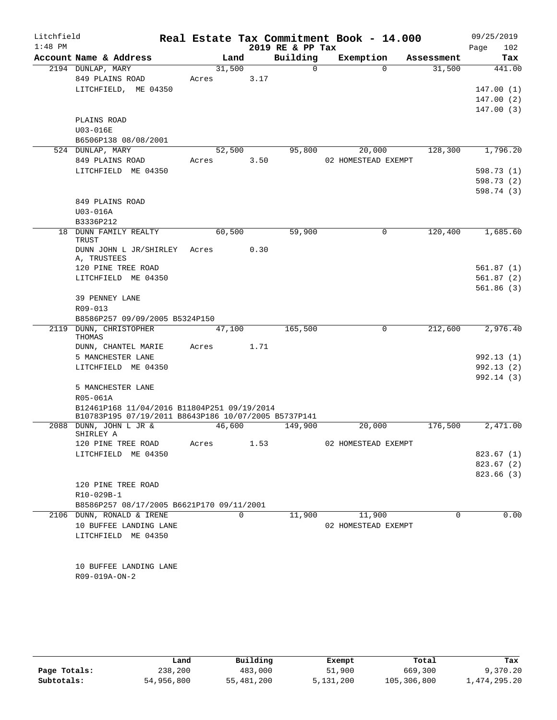| Litchfield<br>$1:48$ PM |                                                                                                     |       |        |          | Real Estate Tax Commitment Book - 14.000<br>2019 RE & PP Tax |                     |             |            | 09/25/2019<br>Page<br>102 |
|-------------------------|-----------------------------------------------------------------------------------------------------|-------|--------|----------|--------------------------------------------------------------|---------------------|-------------|------------|---------------------------|
|                         | Account Name & Address                                                                              |       | Land   |          | Building                                                     |                     | Exemption   | Assessment | Tax                       |
|                         | 2194 DUNLAP, MARY                                                                                   |       | 31,500 |          | $\overline{0}$                                               |                     | $\Omega$    | 31,500     | 441.00                    |
|                         | 849 PLAINS ROAD                                                                                     | Acres |        | 3.17     |                                                              |                     |             |            |                           |
|                         | LITCHFIELD, ME 04350                                                                                |       |        |          |                                                              |                     |             |            | 147.00(1)                 |
|                         |                                                                                                     |       |        |          |                                                              |                     |             |            | 147.00(2)                 |
|                         |                                                                                                     |       |        |          |                                                              |                     |             |            | 147.00(3)                 |
|                         | PLAINS ROAD                                                                                         |       |        |          |                                                              |                     |             |            |                           |
|                         | U03-016E                                                                                            |       |        |          |                                                              |                     |             |            |                           |
|                         | B6506P138 08/08/2001                                                                                |       |        |          |                                                              |                     |             |            |                           |
|                         | 524 DUNLAP, MARY                                                                                    |       | 52,500 |          | 95,800                                                       |                     | 20,000      | 128,300    | 1,796.20                  |
|                         | 849 PLAINS ROAD                                                                                     | Acres |        | 3.50     |                                                              | 02 HOMESTEAD EXEMPT |             |            |                           |
|                         | LITCHFIELD ME 04350                                                                                 |       |        |          |                                                              |                     |             |            | 598.73 (1)                |
|                         |                                                                                                     |       |        |          |                                                              |                     |             |            | 598.73 (2)                |
|                         |                                                                                                     |       |        |          |                                                              |                     |             |            | 598.74 (3)                |
|                         | 849 PLAINS ROAD                                                                                     |       |        |          |                                                              |                     |             |            |                           |
|                         | U03-016A                                                                                            |       |        |          |                                                              |                     |             |            |                           |
|                         | B3336P212<br>18 DUNN FAMILY REALTY                                                                  |       | 60,500 |          | 59,900                                                       |                     | 0           | 120,400    | 1,685.60                  |
|                         | <b>TRUST</b>                                                                                        |       |        |          |                                                              |                     |             |            |                           |
|                         | DUNN JOHN L JR/SHIRLEY                                                                              | Acres |        | 0.30     |                                                              |                     |             |            |                           |
|                         | A, TRUSTEES                                                                                         |       |        |          |                                                              |                     |             |            |                           |
|                         | 120 PINE TREE ROAD                                                                                  |       |        |          |                                                              |                     |             |            | 561.87 (1)                |
|                         | LITCHFIELD ME 04350                                                                                 |       |        |          |                                                              |                     |             |            | 561.87(2)                 |
|                         |                                                                                                     |       |        |          |                                                              |                     |             |            | 561.86(3)                 |
|                         | 39 PENNEY LANE                                                                                      |       |        |          |                                                              |                     |             |            |                           |
|                         | R09-013                                                                                             |       |        |          |                                                              |                     |             |            |                           |
|                         | B8586P257 09/09/2005 B5324P150                                                                      |       |        |          |                                                              |                     |             |            |                           |
| 2119                    | DUNN, CHRISTOPHER<br>THOMAS                                                                         |       | 47,100 |          | 165,500                                                      |                     | $\mathbf 0$ | 212,600    | 2,976.40                  |
|                         | DUNN, CHANTEL MARIE                                                                                 | Acres |        | 1.71     |                                                              |                     |             |            |                           |
|                         | 5 MANCHESTER LANE                                                                                   |       |        |          |                                                              |                     |             |            | 992.13(1)                 |
|                         | LITCHFIELD ME 04350                                                                                 |       |        |          |                                                              |                     |             |            | 992.13(2)                 |
|                         |                                                                                                     |       |        |          |                                                              |                     |             |            | 992.14(3)                 |
|                         | 5 MANCHESTER LANE                                                                                   |       |        |          |                                                              |                     |             |            |                           |
|                         | R05-061A                                                                                            |       |        |          |                                                              |                     |             |            |                           |
|                         | B12461P168 11/04/2016 B11804P251 09/19/2014<br>B10783P195 07/19/2011 B8643P186 10/07/2005 B5737P141 |       |        |          |                                                              |                     |             |            |                           |
|                         | 2088 DUNN, JOHN L JR &                                                                              |       | 46,600 |          | 149,900                                                      |                     | 20,000      | 176,500    | 2,471.00                  |
|                         | SHIRLEY A                                                                                           |       |        |          |                                                              |                     |             |            |                           |
|                         | 120 PINE TREE ROAD                                                                                  | Acres |        | 1.53     |                                                              | 02 HOMESTEAD EXEMPT |             |            |                           |
|                         | LITCHFIELD ME 04350                                                                                 |       |        |          |                                                              |                     |             |            | 823.67(1)                 |
|                         |                                                                                                     |       |        |          |                                                              |                     |             |            | 823.67(2)                 |
|                         |                                                                                                     |       |        |          |                                                              |                     |             |            | 823.66(3)                 |
|                         | 120 PINE TREE ROAD                                                                                  |       |        |          |                                                              |                     |             |            |                           |
|                         | R10-029B-1<br>B8586P257 08/17/2005 B6621P170 09/11/2001                                             |       |        |          |                                                              |                     |             |            |                           |
|                         | 2106 DUNN, RONALD & IRENE                                                                           |       |        | $\Omega$ | 11,900                                                       |                     | 11,900      | $\Omega$   | 0.00                      |
|                         | 10 BUFFEE LANDING LANE                                                                              |       |        |          |                                                              | 02 HOMESTEAD EXEMPT |             |            |                           |
|                         | LITCHFIELD ME 04350                                                                                 |       |        |          |                                                              |                     |             |            |                           |
|                         |                                                                                                     |       |        |          |                                                              |                     |             |            |                           |
|                         |                                                                                                     |       |        |          |                                                              |                     |             |            |                           |
|                         | 10 BUFFEE LANDING LANE                                                                              |       |        |          |                                                              |                     |             |            |                           |
|                         | R09-019A-ON-2                                                                                       |       |        |          |                                                              |                     |             |            |                           |
|                         |                                                                                                     |       |        |          |                                                              |                     |             |            |                           |
|                         |                                                                                                     |       |        |          |                                                              |                     |             |            |                           |

|              | Land       | Building   | Exempt    | Total       | Tax          |
|--------------|------------|------------|-----------|-------------|--------------|
| Page Totals: | 238,200    | 483,000    | 51,900    | 669,300     | 9,370.20     |
| Subtotals:   | 54,956,800 | 55,481,200 | 5,131,200 | 105,306,800 | 1,474,295.20 |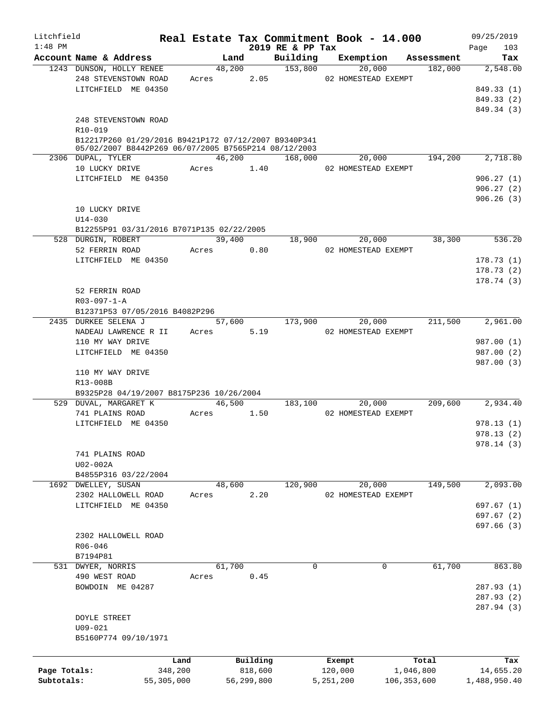| Litchfield<br>$1:48$ PM |                                                        |              |            |            |                  | Real Estate Tax Commitment Book - 14.000 |                         | 09/25/2019         |
|-------------------------|--------------------------------------------------------|--------------|------------|------------|------------------|------------------------------------------|-------------------------|--------------------|
|                         | Account Name & Address                                 |              |            | Land       | 2019 RE & PP Tax | Building Exemption Assessment            |                         | 103<br>Page<br>Tax |
|                         | 1243 DUNSON, HOLLY RENEE                               |              |            |            | 48,200 153,800   | 20,000                                   | 182,000                 | 2,548.00           |
|                         | 248 STEVENSTOWN ROAD                                   |              | Acres 2.05 |            |                  | 02 HOMESTEAD EXEMPT                      |                         |                    |
|                         | LITCHFIELD ME 04350                                    |              |            |            |                  |                                          |                         | 849.33 (1)         |
|                         |                                                        |              |            |            |                  |                                          |                         | 849.33 (2)         |
|                         |                                                        |              |            |            |                  |                                          |                         | 849.34 (3)         |
|                         | 248 STEVENSTOWN ROAD                                   |              |            |            |                  |                                          |                         |                    |
|                         | R10-019                                                |              |            |            |                  |                                          |                         |                    |
|                         | B12217P260 01/29/2016 B9421P172 07/12/2007 B9340P341   |              |            |            |                  |                                          |                         |                    |
|                         | 05/02/2007 B8442P269 06/07/2005 B7565P214 08/12/2003   |              |            |            |                  |                                          |                         |                    |
|                         | 2306 DUPAL, TYLER                                      |              |            |            | 46,200 168,000   |                                          | 20,000 194,200 2,718.80 |                    |
|                         | 10 LUCKY DRIVE Acres 1.40                              |              |            |            |                  | 02 HOMESTEAD EXEMPT                      |                         |                    |
|                         | LITCHFIELD ME 04350                                    |              |            |            |                  |                                          |                         | 906.27(1)          |
|                         |                                                        |              |            |            |                  |                                          |                         | 906.27(2)          |
|                         |                                                        |              |            |            |                  |                                          |                         | 906.26(3)          |
|                         | 10 LUCKY DRIVE                                         |              |            |            |                  |                                          |                         |                    |
|                         | $U14 - 030$                                            |              |            |            |                  |                                          |                         |                    |
|                         | B12255P91 03/31/2016 B7071P135 02/22/2005              |              |            |            |                  |                                          |                         |                    |
|                         | 528 DURGIN, ROBERT                                     |              |            | 39,400     |                  | 18,900 20,000                            | 38,300                  | 536.20             |
|                         | 52 FERRIN ROAD                                         |              | Acres 0.80 |            |                  | 02 HOMESTEAD EXEMPT                      |                         |                    |
|                         | LITCHFIELD ME 04350                                    |              |            |            |                  |                                          |                         | 178.73(1)          |
|                         |                                                        |              |            |            |                  |                                          |                         | 178.73(2)          |
|                         |                                                        |              |            |            |                  |                                          |                         | 178.74(3)          |
|                         | 52 FERRIN ROAD                                         |              |            |            |                  |                                          |                         |                    |
|                         | $R03 - 097 - 1 - A$                                    |              |            |            |                  |                                          |                         |                    |
|                         | B12371P53 07/05/2016 B4082P296<br>2435 DURKEE SELENA J |              |            |            | 57,600 173,900   |                                          |                         | 211,500 2,961.00   |
|                         | NADEAU LAWRENCE R II Acres 5.19                        |              |            |            |                  | 20,000<br>02 HOMESTEAD EXEMPT            |                         |                    |
|                         | 110 MY WAY DRIVE                                       |              |            |            |                  |                                          |                         | 987.00 (1)         |
|                         | LITCHFIELD ME 04350                                    |              |            |            |                  |                                          |                         | 987.00 (2)         |
|                         |                                                        |              |            |            |                  |                                          |                         | 987.00 (3)         |
|                         | 110 MY WAY DRIVE                                       |              |            |            |                  |                                          |                         |                    |
|                         | R13-008B                                               |              |            |            |                  |                                          |                         |                    |
|                         | B9325P28 04/19/2007 B8175P236 10/26/2004               |              |            |            |                  |                                          |                         |                    |
|                         | 529 DUVAL, MARGARET K                                  |              |            | 46,500     | 183,100          | 20,000                                   |                         | 209,600 2,934.40   |
|                         | 741 PLAINS ROAD                                        |              | Acres      | 1.50       |                  | 02 HOMESTEAD EXEMPT                      |                         |                    |
|                         | LITCHFIELD ME 04350                                    |              |            |            |                  |                                          |                         | 978.13(1)          |
|                         |                                                        |              |            |            |                  |                                          |                         | 978.13(2)          |
|                         |                                                        |              |            |            |                  |                                          |                         | 978.14 (3)         |
|                         | 741 PLAINS ROAD                                        |              |            |            |                  |                                          |                         |                    |
|                         | U02-002A                                               |              |            |            |                  |                                          |                         |                    |
|                         | B4855P316 03/22/2004                                   |              |            |            |                  |                                          |                         |                    |
|                         | 1692 DWELLEY, SUSAN                                    |              | 48,600     |            | 120,900          | 20,000                                   | 149,500                 | 2,093.00           |
|                         | 2302 HALLOWELL ROAD                                    |              | Acres      | 2.20       |                  | 02 HOMESTEAD EXEMPT                      |                         |                    |
|                         | LITCHFIELD ME 04350                                    |              |            |            |                  |                                          |                         | 697.67(1)          |
|                         |                                                        |              |            |            |                  |                                          |                         | 697.67(2)          |
|                         |                                                        |              |            |            |                  |                                          |                         | 697.66 (3)         |
|                         | 2302 HALLOWELL ROAD                                    |              |            |            |                  |                                          |                         |                    |
|                         | R06-046                                                |              |            |            |                  |                                          |                         |                    |
|                         | B7194P81                                               |              |            |            |                  |                                          |                         |                    |
|                         | 531 DWYER, NORRIS                                      |              | 61,700     |            | $\Omega$         | $\mathbf 0$                              | 61,700                  | 863.80             |
|                         | 490 WEST ROAD                                          |              | Acres      | 0.45       |                  |                                          |                         |                    |
|                         | BOWDOIN ME 04287                                       |              |            |            |                  |                                          |                         | 287.93 (1)         |
|                         |                                                        |              |            |            |                  |                                          |                         | 287.93 (2)         |
|                         |                                                        |              |            |            |                  |                                          |                         | 287.94 (3)         |
|                         | DOYLE STREET                                           |              |            |            |                  |                                          |                         |                    |
|                         | U09-021                                                |              |            |            |                  |                                          |                         |                    |
|                         | B5160P774 09/10/1971                                   |              |            |            |                  |                                          |                         |                    |
|                         |                                                        |              |            |            |                  |                                          |                         |                    |
|                         |                                                        | Land         |            | Building   |                  | Exempt                                   | Total                   | Tax                |
| Page Totals:            |                                                        | 348,200      |            | 818,600    |                  | 120,000                                  | 1,046,800               | 14,655.20          |
| Subtotals:              |                                                        | 55, 305, 000 |            | 56,299,800 |                  | 5,251,200                                | 106, 353, 600           | 1,488,950.40       |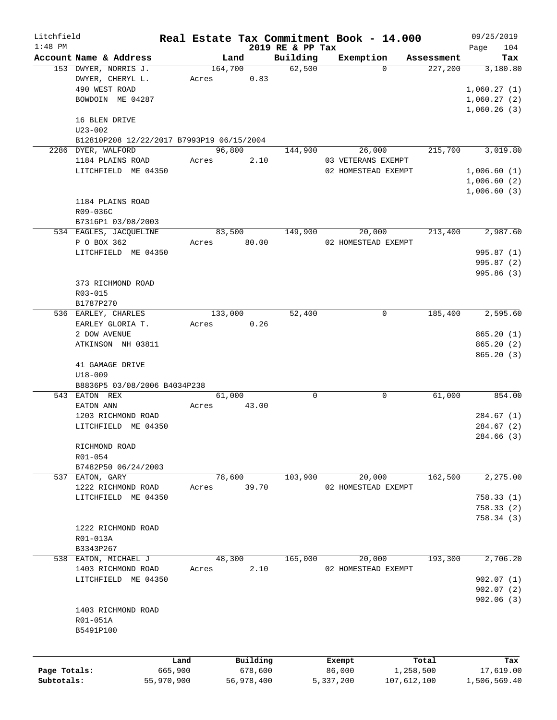| Litchfield   |                                           |            |            |                  | Real Estate Tax Commitment Book - 14.000 |             | 09/25/2019   |
|--------------|-------------------------------------------|------------|------------|------------------|------------------------------------------|-------------|--------------|
| $1:48$ PM    |                                           |            |            | 2019 RE & PP Tax |                                          |             | 104<br>Page  |
|              | Account Name & Address                    |            | Land       | Building         | Exemption<br>$\Omega$                    | Assessment  | Tax          |
|              | 153 DWYER, NORRIS J.                      |            | 164,700    | 62,500           |                                          | 227,200     | 3,180.80     |
|              | DWYER, CHERYL L.                          | Acres      | 0.83       |                  |                                          |             |              |
|              | 490 WEST ROAD                             |            |            |                  |                                          |             | 1,060.27(1)  |
|              | BOWDOIN ME 04287                          |            |            |                  |                                          |             | 1,060.27(2)  |
|              |                                           |            |            |                  |                                          |             | 1,060.26(3)  |
|              | 16 BLEN DRIVE                             |            |            |                  |                                          |             |              |
|              | $U23 - 002$                               |            |            |                  |                                          |             |              |
|              | B12810P208 12/22/2017 B7993P19 06/15/2004 |            |            |                  |                                          |             |              |
|              | 2286 DYER, WALFORD                        |            | 96,800     | 144,900          | 26,000                                   | 215,700     | 3,019.80     |
|              | 1184 PLAINS ROAD                          | Acres      | 2.10       |                  | 03 VETERANS EXEMPT                       |             |              |
|              | LITCHFIELD ME 04350                       |            |            |                  | 02 HOMESTEAD EXEMPT                      |             | 1,006.60(1)  |
|              |                                           |            |            |                  |                                          |             | 1,006.60(2)  |
|              |                                           |            |            |                  |                                          |             | 1,006.60(3)  |
|              | 1184 PLAINS ROAD                          |            |            |                  |                                          |             |              |
|              | R09-036C                                  |            |            |                  |                                          |             |              |
|              | B7316P1 03/08/2003                        |            |            |                  |                                          |             |              |
|              | 534 EAGLES, JACQUELINE                    |            | 83,500     | 149,900          | 20,000                                   | 213,400     | 2,987.60     |
|              | P O BOX 362                               | Acres      | 80.00      |                  | 02 HOMESTEAD EXEMPT                      |             |              |
|              | LITCHFIELD ME 04350                       |            |            |                  |                                          |             | 995.87 (1)   |
|              |                                           |            |            |                  |                                          |             | 995.87 (2)   |
|              |                                           |            |            |                  |                                          |             | 995.86(3)    |
|              | 373 RICHMOND ROAD                         |            |            |                  |                                          |             |              |
|              | R03-015                                   |            |            |                  |                                          |             |              |
|              | B1787P270                                 |            |            |                  |                                          |             |              |
|              | 536 EARLEY, CHARLES                       |            | 133,000    | 52,400           | $\mathbf 0$                              | 185,400     | 2,595.60     |
|              | EARLEY GLORIA T.                          | Acres      | 0.26       |                  |                                          |             |              |
|              |                                           |            |            |                  |                                          |             |              |
|              | 2 DOW AVENUE                              |            |            |                  |                                          |             | 865.20(1)    |
|              | ATKINSON NH 03811                         |            |            |                  |                                          |             | 865.20(2)    |
|              |                                           |            |            |                  |                                          |             | 865.20(3)    |
|              | 41 GAMAGE DRIVE                           |            |            |                  |                                          |             |              |
|              | $U18 - 009$                               |            |            |                  |                                          |             |              |
|              | B8836P5 03/08/2006 B4034P238              |            |            |                  |                                          |             |              |
|              | 543 EATON REX                             |            | 61,000     | $\Omega$         | $\mathbf 0$                              | 61,000      | 854.00       |
|              | EATON ANN                                 | Acres      | 43.00      |                  |                                          |             |              |
|              | 1203 RICHMOND ROAD                        |            |            |                  |                                          |             | 284.67(1)    |
|              | LITCHFIELD ME 04350                       |            |            |                  |                                          |             | 284.67 (2)   |
|              |                                           |            |            |                  |                                          |             | 284.66 (3)   |
|              | RICHMOND ROAD                             |            |            |                  |                                          |             |              |
|              | R01-054                                   |            |            |                  |                                          |             |              |
|              | B7482P50 06/24/2003                       |            |            |                  |                                          |             |              |
|              | 537 EATON, GARY                           |            | 78,600     | 103,900          | 20,000                                   | 162,500     | 2,275.00     |
|              | 1222 RICHMOND ROAD                        | Acres      | 39.70      |                  | 02 HOMESTEAD EXEMPT                      |             |              |
|              | LITCHFIELD ME 04350                       |            |            |                  |                                          |             | 758.33(1)    |
|              |                                           |            |            |                  |                                          |             | 758.33(2)    |
|              |                                           |            |            |                  |                                          |             | 758.34(3)    |
|              | 1222 RICHMOND ROAD                        |            |            |                  |                                          |             |              |
|              | R01-013A                                  |            |            |                  |                                          |             |              |
|              | B3343P267                                 |            |            |                  |                                          |             |              |
|              | 538 EATON, MICHAEL J                      |            | 48,300     | 165,000          | 20,000                                   | 193,300     | 2,706.20     |
|              | 1403 RICHMOND ROAD                        | Acres      | 2.10       |                  | 02 HOMESTEAD EXEMPT                      |             |              |
|              | LITCHFIELD ME 04350                       |            |            |                  |                                          |             | 902.07(1)    |
|              |                                           |            |            |                  |                                          |             | 902.07(2)    |
|              |                                           |            |            |                  |                                          |             | 902.06(3)    |
|              |                                           |            |            |                  |                                          |             |              |
|              | 1403 RICHMOND ROAD                        |            |            |                  |                                          |             |              |
|              | R01-051A                                  |            |            |                  |                                          |             |              |
|              | B5491P100                                 |            |            |                  |                                          |             |              |
|              |                                           |            |            |                  |                                          |             |              |
|              |                                           | Land       | Building   |                  | Exempt                                   | Total       | Tax          |
| Page Totals: |                                           | 665,900    | 678,600    |                  | 86,000                                   | 1,258,500   | 17,619.00    |
| Subtotals:   |                                           | 55,970,900 | 56,978,400 |                  | 5,337,200                                | 107,612,100 | 1,506,569.40 |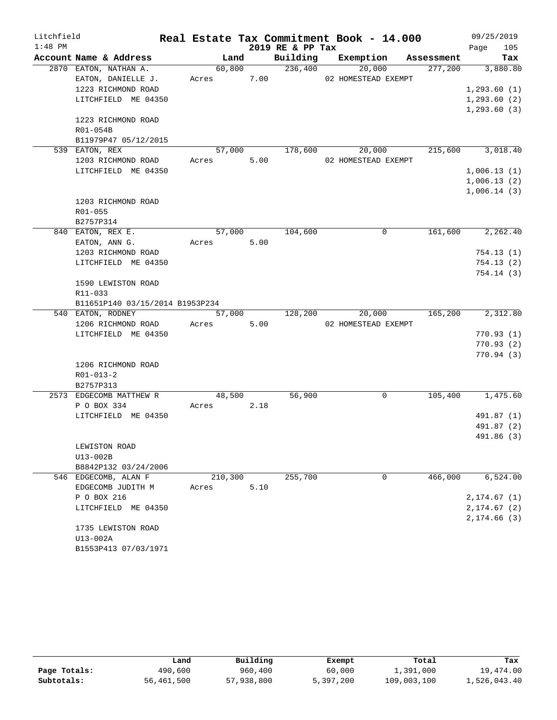| Litchfield |                                 |            |      |                  | Real Estate Tax Commitment Book - 14.000 |            | 09/25/2019                 |
|------------|---------------------------------|------------|------|------------------|------------------------------------------|------------|----------------------------|
| $1:48$ PM  |                                 |            |      | 2019 RE & PP Tax |                                          |            | 105<br>Page                |
|            | Account Name & Address          | Land       |      |                  | Building Exemption                       | Assessment | Tax                        |
|            | 2870 EATON, NATHAN A.           | 60,800     |      | 236,400          | 20,000                                   | 277,200    | 3,880.80                   |
|            | EATON, DANIELLE J.              | Acres 7.00 |      |                  | 02 HOMESTEAD EXEMPT                      |            |                            |
|            | 1223 RICHMOND ROAD              |            |      |                  |                                          |            | 1, 293.60(1)               |
|            | LITCHFIELD ME 04350             |            |      |                  |                                          |            | 1, 293.60(2)               |
|            |                                 |            |      |                  |                                          |            | 1, 293.60(3)               |
|            | 1223 RICHMOND ROAD              |            |      |                  |                                          |            |                            |
|            | R01-054B                        |            |      |                  |                                          |            |                            |
|            | B11979P47 05/12/2015            |            |      | 57,000 178,600   |                                          |            |                            |
|            | 539 EATON, REX                  |            | 5.00 |                  | 20,000                                   |            | 215,600 3,018.40           |
|            | 1203 RICHMOND ROAD              | Acres      |      |                  | 02 HOMESTEAD EXEMPT                      |            |                            |
|            | LITCHFIELD ME 04350             |            |      |                  |                                          |            | 1,006.13(1)<br>1,006.13(2) |
|            |                                 |            |      |                  |                                          |            | 1,006.14(3)                |
|            | 1203 RICHMOND ROAD              |            |      |                  |                                          |            |                            |
|            | R01-055                         |            |      |                  |                                          |            |                            |
|            | B2757P314                       |            |      |                  |                                          |            |                            |
|            | 840 EATON, REX E.               | 57,000     |      | 104,600          | $\Omega$                                 | 161,600    | 2, 262, 40                 |
|            | EATON, ANN G.                   | Acres      | 5.00 |                  |                                          |            |                            |
|            | 1203 RICHMOND ROAD              |            |      |                  |                                          |            | 754.13(1)                  |
|            | LITCHFIELD ME 04350             |            |      |                  |                                          |            | 754.13(2)                  |
|            |                                 |            |      |                  |                                          |            | 754.14(3)                  |
|            | 1590 LEWISTON ROAD              |            |      |                  |                                          |            |                            |
|            | R11-033                         |            |      |                  |                                          |            |                            |
|            | B11651P140 03/15/2014 B1953P234 |            |      |                  |                                          |            |                            |
|            | 540 EATON, RODNEY               | 57,000     |      | 128,200          | 20,000                                   | 165,200    | 2,312.80                   |
|            | 1206 RICHMOND ROAD              | Acres      | 5.00 |                  | 02 HOMESTEAD EXEMPT                      |            |                            |
|            | LITCHFIELD ME 04350             |            |      |                  |                                          |            | 770.93(1)                  |
|            |                                 |            |      |                  |                                          |            | 770.93(2)                  |
|            |                                 |            |      |                  |                                          |            | 770.94(3)                  |
|            | 1206 RICHMOND ROAD              |            |      |                  |                                          |            |                            |
|            | $R01 - 013 - 2$                 |            |      |                  |                                          |            |                            |
|            | B2757P313                       |            |      |                  |                                          |            |                            |
|            | 2573 EDGECOMB MATTHEW R         | 48,500     |      | 56,900           | 0                                        | 105,400    | 1,475.60                   |
|            | P O BOX 334                     | Acres      | 2.18 |                  |                                          |            |                            |
|            | LITCHFIELD ME 04350             |            |      |                  |                                          |            | 491.87 (1)                 |
|            |                                 |            |      |                  |                                          |            | 491.87 (2)<br>491.86 (3)   |
|            | LEWISTON ROAD                   |            |      |                  |                                          |            |                            |
|            | U13-002B                        |            |      |                  |                                          |            |                            |
|            | B8842P132 03/24/2006            |            |      |                  |                                          |            |                            |
|            | 546 EDGECOMB, ALAN F            | 210,300    |      | 255,700          | $\mathbf 0$                              | 466,000    | 6,524.00                   |
|            | EDGECOMB JUDITH M               | Acres      | 5.10 |                  |                                          |            |                            |
|            | P O BOX 216                     |            |      |                  |                                          |            | 2,174.67(1)                |
|            | LITCHFIELD ME 04350             |            |      |                  |                                          |            | 2, 174.67 (2)              |
|            |                                 |            |      |                  |                                          |            | 2,174.66 (3)               |
|            | 1735 LEWISTON ROAD              |            |      |                  |                                          |            |                            |
|            | U13-002A                        |            |      |                  |                                          |            |                            |
|            | B1553P413 07/03/1971            |            |      |                  |                                          |            |                            |

|              | Land       | Building   | Exempt    | Total       | Tax          |
|--------------|------------|------------|-----------|-------------|--------------|
| Page Totals: | 490,600    | 960,400    | 60,000    | 1,391,000   | 19,474.00    |
| Subtotals:   | 56,461,500 | 57,938,800 | 5,397,200 | 109,003,100 | 1,526,043.40 |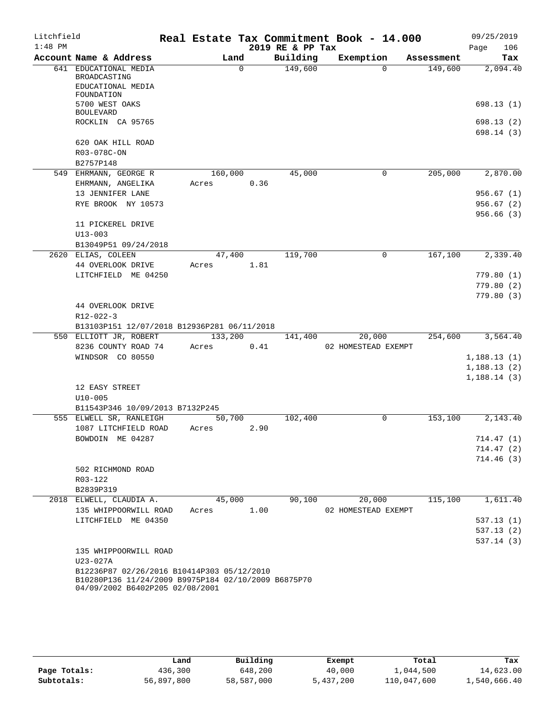| Litchfield |                                                            | Real Estate Tax Commitment Book - 14.000 |      |                  |                     |                     |            | 09/25/2019             |
|------------|------------------------------------------------------------|------------------------------------------|------|------------------|---------------------|---------------------|------------|------------------------|
| $1:48$ PM  |                                                            |                                          |      | 2019 RE & PP Tax |                     |                     |            | 106<br>Page            |
|            | Account Name & Address                                     | Land                                     |      | Building         | Exemption           |                     | Assessment | Tax                    |
|            | 641 EDUCATIONAL MEDIA<br>BROADCASTING                      | $\Omega$                                 |      | 149,600          |                     | $\Omega$            | 149,600    | 2,094.40               |
|            | EDUCATIONAL MEDIA<br>FOUNDATION                            |                                          |      |                  |                     |                     |            |                        |
|            | 5700 WEST OAKS                                             |                                          |      |                  |                     |                     |            | 698.13(1)              |
|            | <b>BOULEVARD</b><br>ROCKLIN CA 95765                       |                                          |      |                  |                     |                     |            | 698.13(2)              |
|            |                                                            |                                          |      |                  |                     |                     |            | 698.14(3)              |
|            | 620 OAK HILL ROAD                                          |                                          |      |                  |                     |                     |            |                        |
|            | R03-078C-ON                                                |                                          |      |                  |                     |                     |            |                        |
|            | B2757P148<br>549 EHRMANN, GEORGE R                         | 160,000                                  |      | 45,000           |                     | 0                   | 205,000    | 2,870.00               |
|            | EHRMANN, ANGELIKA                                          | Acres                                    | 0.36 |                  |                     |                     |            |                        |
|            | 13 JENNIFER LANE                                           |                                          |      |                  |                     |                     |            | 956.67(1)              |
|            | RYE BROOK NY 10573                                         |                                          |      |                  |                     |                     |            | 956.67(2)              |
|            |                                                            |                                          |      |                  |                     |                     |            | 956.66(3)              |
|            | 11 PICKEREL DRIVE                                          |                                          |      |                  |                     |                     |            |                        |
|            | $U13 - 003$                                                |                                          |      |                  |                     |                     |            |                        |
|            | B13049P51 09/24/2018                                       |                                          |      |                  |                     |                     |            |                        |
|            | 2620 ELIAS, COLEEN                                         | 47,400                                   |      | 119,700          |                     | $\overline{0}$      | 167,100    | 2,339.40               |
|            | 44 OVERLOOK DRIVE                                          | Acres                                    | 1.81 |                  |                     |                     |            |                        |
|            | LITCHFIELD ME 04250                                        |                                          |      |                  |                     |                     |            | 779.80(1)              |
|            |                                                            |                                          |      |                  |                     |                     |            | 779.80(2)              |
|            | 44 OVERLOOK DRIVE                                          |                                          |      |                  |                     |                     |            | 779.80(3)              |
|            | R12-022-3                                                  |                                          |      |                  |                     |                     |            |                        |
|            | B13103P151 12/07/2018 B12936P281 06/11/2018                |                                          |      |                  |                     |                     |            |                        |
|            | 550 ELLIOTT JR, ROBERT                                     | 133,200                                  |      | 141,400          |                     | 20,000              | 254,600    | 3,564.40               |
|            | 8236 COUNTY ROAD 74                                        | Acres                                    | 0.41 |                  | 02 HOMESTEAD EXEMPT |                     |            |                        |
|            | WINDSOR CO 80550                                           |                                          |      |                  |                     |                     |            | 1,188.13(1)            |
|            |                                                            |                                          |      |                  |                     |                     |            | 1,188.13(2)            |
|            |                                                            |                                          |      |                  |                     |                     |            | 1,188.14(3)            |
|            | 12 EASY STREET                                             |                                          |      |                  |                     |                     |            |                        |
|            | $U10 - 005$                                                |                                          |      |                  |                     |                     |            |                        |
|            | B11543P346 10/09/2013 B7132P245<br>555 ELWELL SR, RANLEIGH | 50,700                                   |      | 102,400          |                     | $\Omega$            | 153,100    | 2,143.40               |
|            | 1087 LITCHFIELD ROAD                                       | Acres                                    | 2.90 |                  |                     |                     |            |                        |
|            | BOWDOIN ME 04287                                           |                                          |      |                  |                     |                     |            | 714.47 (1)             |
|            |                                                            |                                          |      |                  |                     |                     |            | 714.47 (2)             |
|            |                                                            |                                          |      |                  |                     |                     |            | 714.46(3)              |
|            | 502 RICHMOND ROAD                                          |                                          |      |                  |                     |                     |            |                        |
|            | R03-122                                                    |                                          |      |                  |                     |                     |            |                        |
|            | B2839P319                                                  |                                          |      |                  |                     |                     |            |                        |
|            | 2018 ELWELL, CLAUDIA A.                                    | 45,000                                   |      | 90,100           |                     | 20,000              | 115,100    | 1,611.40               |
|            | 135 WHIPPOORWILL ROAD<br>LITCHFIELD ME 04350               | Acres                                    | 1.00 |                  |                     | 02 HOMESTEAD EXEMPT |            |                        |
|            |                                                            |                                          |      |                  |                     |                     |            | 537.13(1)<br>537.13(2) |
|            |                                                            |                                          |      |                  |                     |                     |            | 537.14(3)              |
|            | 135 WHIPPOORWILL ROAD                                      |                                          |      |                  |                     |                     |            |                        |
|            | U23-027A                                                   |                                          |      |                  |                     |                     |            |                        |
|            | B12236P87 02/26/2016 B10414P303 05/12/2010                 |                                          |      |                  |                     |                     |            |                        |
|            | B10280P136 11/24/2009 B9975P184 02/10/2009 B6875P70        |                                          |      |                  |                     |                     |            |                        |
|            | 04/09/2002 B6402P205 02/08/2001                            |                                          |      |                  |                     |                     |            |                        |

|              | Land       | Building   | Exempt    | Total       | Tax          |
|--------------|------------|------------|-----------|-------------|--------------|
| Page Totals: | 436,300    | 648,200    | 40,000    | 1,044,500   | 14,623.00    |
| Subtotals:   | 56,897,800 | 58,587,000 | 5,437,200 | 110,047,600 | 1,540,666.40 |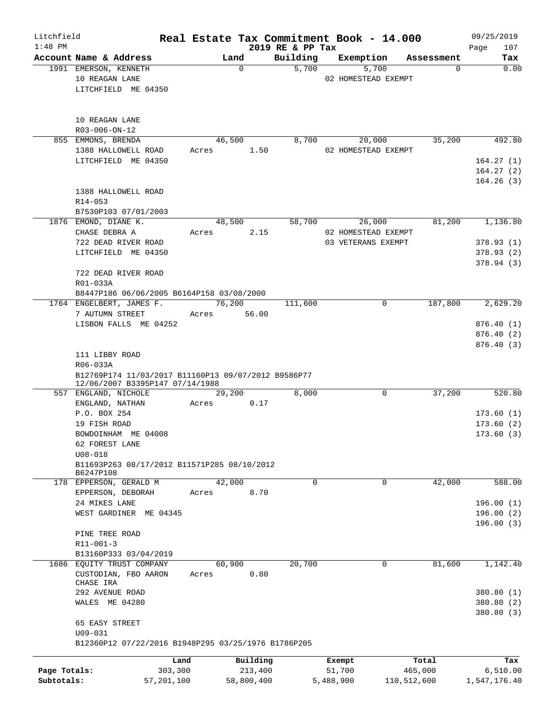| Litchfield<br>$1:48$ PM |                                                                | Real Estate Tax Commitment Book - 14.000 |            | 2019 RE & PP Tax |           |                                           |             | 09/25/2019<br>107<br>Page |
|-------------------------|----------------------------------------------------------------|------------------------------------------|------------|------------------|-----------|-------------------------------------------|-------------|---------------------------|
|                         | Account Name & Address                                         | Land                                     |            | Building         |           | Exemption                                 | Assessment  | Tax                       |
|                         | 1991 EMERSON, KENNETH<br>10 REAGAN LANE<br>LITCHFIELD ME 04350 |                                          | $\Omega$   | 5,700            |           | 5,700<br>02 HOMESTEAD EXEMPT              | $\Omega$    | 0.00                      |
|                         | 10 REAGAN LANE<br>R03-006-ON-12                                |                                          |            |                  |           |                                           |             |                           |
|                         | 855 EMMONS, BRENDA<br>1388 HALLOWELL ROAD                      | 46,500<br>Acres 1.50                     |            | 8,700            |           | 20,000<br>02 HOMESTEAD EXEMPT             | 35,200      | 492.80                    |
|                         | LITCHFIELD ME 04350                                            |                                          |            |                  |           |                                           |             | 164.27(1)                 |
|                         |                                                                |                                          |            |                  |           |                                           |             | 164.27(2)                 |
|                         | 1388 HALLOWELL ROAD<br>R14-053                                 |                                          |            |                  |           |                                           |             | 164.26(3)                 |
|                         | B7530P103 07/01/2003                                           |                                          |            |                  |           |                                           |             |                           |
|                         | 1876 EMOND, DIANE K.                                           | 48,500                                   |            | 58,700           |           | 26,000                                    | 81,200      | 1,136.80                  |
|                         | CHASE DEBRA A<br>722 DEAD RIVER ROAD                           | Acres                                    | 2.15       |                  |           | 02 HOMESTEAD EXEMPT<br>03 VETERANS EXEMPT |             |                           |
|                         | LITCHFIELD ME 04350                                            |                                          |            |                  |           |                                           |             | 378.93(1)<br>378.93(2)    |
|                         |                                                                |                                          |            |                  |           |                                           |             | 378.94(3)                 |
|                         | 722 DEAD RIVER ROAD<br>R01-033A                                |                                          |            |                  |           |                                           |             |                           |
|                         | B8447P186 06/06/2005 B6164P158 03/08/2000                      |                                          |            |                  |           |                                           |             |                           |
|                         | 1764 ENGELBERT, JAMES F.                                       |                                          | 76,200     | 111,600          |           | 0                                         | 187,800     | 2,629.20                  |
|                         | 7 AUTUMN STREET                                                | Acres 56.00                              |            |                  |           |                                           |             |                           |
|                         | LISBON FALLS ME 04252                                          |                                          |            |                  |           |                                           |             | 876.40(1)                 |
|                         |                                                                |                                          |            |                  |           |                                           |             | 876.40 (2)                |
|                         |                                                                |                                          |            |                  |           |                                           |             | 876.40(3)                 |
|                         | 111 LIBBY ROAD<br>R06-033A                                     |                                          |            |                  |           |                                           |             |                           |
|                         | B12769P174 11/03/2017 B11160P13 09/07/2012 B9586P77            |                                          |            |                  |           |                                           |             |                           |
|                         | 12/06/2007 B3395P147 07/14/1988                                |                                          |            |                  |           |                                           |             |                           |
|                         | 557 ENGLAND, NICHOLE                                           | 29,200                                   |            | 8,000            |           | $\mathbf 0$                               | 37,200      | 520.80                    |
|                         | ENGLAND, NATHAN                                                | Acres                                    | 0.17       |                  |           |                                           |             |                           |
|                         | P.O. BOX 254                                                   |                                          |            |                  |           |                                           |             | 173.60(1)                 |
|                         | 19 FISH ROAD                                                   |                                          |            |                  |           |                                           |             | 173.60(2)                 |
|                         | BOWDOINHAM ME 04008                                            |                                          |            |                  |           |                                           |             | 173.60(3)                 |
|                         | 62 FOREST LANE                                                 |                                          |            |                  |           |                                           |             |                           |
|                         | $U08 - 018$                                                    |                                          |            |                  |           |                                           |             |                           |
|                         | B11693P263 08/17/2012 B11571P285 08/10/2012                    |                                          |            |                  |           |                                           |             |                           |
|                         | B6247P108                                                      |                                          |            |                  |           |                                           |             |                           |
|                         | 178 EPPERSON, GERALD M                                         | 42,000                                   |            | 0                |           | 0                                         | 42,000      | 588.00                    |
|                         | EPPERSON, DEBORAH                                              | Acres                                    | 8.70       |                  |           |                                           |             |                           |
|                         | 24 MIKES LANE                                                  |                                          |            |                  |           |                                           |             | 196.00(1)                 |
|                         | WEST GARDINER ME 04345                                         |                                          |            |                  |           |                                           |             | 196.00(2)                 |
|                         |                                                                |                                          |            |                  |           |                                           |             | 196.00(3)                 |
|                         | PINE TREE ROAD                                                 |                                          |            |                  |           |                                           |             |                           |
|                         | $R11 - 001 - 3$                                                |                                          |            |                  |           |                                           |             |                           |
|                         | B13160P333 03/04/2019                                          |                                          |            |                  |           |                                           |             |                           |
| 1686                    | EQUITY TRUST COMPANY<br>CUSTODIAN, FBO AARON                   | 60,900<br>Acres                          | 0.80       | 20,700           |           | $\mathsf{O}$                              | 81,600      | 1,142.40                  |
|                         | CHASE IRA                                                      |                                          |            |                  |           |                                           |             |                           |
|                         | 292 AVENUE ROAD<br>WALES ME 04280                              |                                          |            |                  |           |                                           |             | 380.80 (1)<br>380.80 (2)  |
|                         | 65 EASY STREET                                                 |                                          |            |                  |           |                                           |             | 380.80 (3)                |
|                         | $U09 - 031$                                                    |                                          |            |                  |           |                                           |             |                           |
|                         | B12360P12 07/22/2016 B1948P295 03/25/1976 B1786P205            |                                          |            |                  |           |                                           |             |                           |
|                         |                                                                | Land                                     | Building   |                  | Exempt    |                                           | Total       | Tax                       |
| Page Totals:            | 303,300                                                        |                                          | 213,400    |                  | 51,700    |                                           | 465,000     | 6,510.00                  |
| Subtotals:              | 57,201,100                                                     |                                          | 58,800,400 |                  | 5,488,900 |                                           | 110,512,600 | 1,547,176.40              |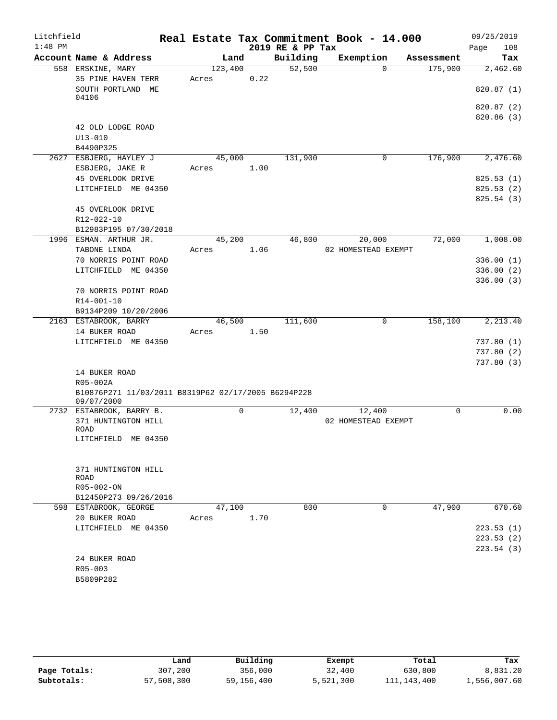| Litchfield |                                                     |         |   |      | Real Estate Tax Commitment Book - 14.000 |                     |          |            | 09/25/2019  |
|------------|-----------------------------------------------------|---------|---|------|------------------------------------------|---------------------|----------|------------|-------------|
| $1:48$ PM  |                                                     |         |   |      | 2019 RE & PP Tax                         |                     |          |            | 108<br>Page |
|            | Account Name & Address                              | Land    |   |      | Building                                 | Exemption           |          | Assessment | Tax         |
|            | 558 ERSKINE, MARY                                   | 123,400 |   |      | 52,500                                   |                     | $\Omega$ | 175,900    | 2,462.60    |
|            | 35 PINE HAVEN TERR                                  | Acres   |   | 0.22 |                                          |                     |          |            |             |
|            | SOUTH PORTLAND ME                                   |         |   |      |                                          |                     |          |            | 820.87(1)   |
|            | 04106                                               |         |   |      |                                          |                     |          |            |             |
|            |                                                     |         |   |      |                                          |                     |          |            | 820.87 (2)  |
|            |                                                     |         |   |      |                                          |                     |          |            | 820.86(3)   |
|            | 42 OLD LODGE ROAD                                   |         |   |      |                                          |                     |          |            |             |
|            | $U13 - 010$                                         |         |   |      |                                          |                     |          |            |             |
|            | B4490P325                                           |         |   |      |                                          |                     |          |            |             |
|            | 2627 ESBJERG, HAYLEY J                              | 45,000  |   |      | 131,900                                  |                     | 0        | 176,900    | 2,476.60    |
|            | ESBJERG, JAKE R                                     | Acres   |   | 1.00 |                                          |                     |          |            |             |
|            | 45 OVERLOOK DRIVE                                   |         |   |      |                                          |                     |          |            | 825.53(1)   |
|            | LITCHFIELD ME 04350                                 |         |   |      |                                          |                     |          |            | 825.53(2)   |
|            |                                                     |         |   |      |                                          |                     |          |            | 825.54(3)   |
|            | 45 OVERLOOK DRIVE                                   |         |   |      |                                          |                     |          |            |             |
|            | R12-022-10                                          |         |   |      |                                          |                     |          |            |             |
|            | B12983P195 07/30/2018                               |         |   |      |                                          |                     |          | 72,000     | 1,008.00    |
|            | 1996 ESMAN. ARTHUR JR.                              | 45,200  |   |      | 46,800                                   |                     | 20,000   |            |             |
|            | TABONE LINDA<br>70 NORRIS POINT ROAD                | Acres   |   | 1.06 |                                          | 02 HOMESTEAD EXEMPT |          |            |             |
|            |                                                     |         |   |      |                                          |                     |          |            | 336.00(1)   |
|            | LITCHFIELD ME 04350                                 |         |   |      |                                          |                     |          |            | 336.00(2)   |
|            | 70 NORRIS POINT ROAD                                |         |   |      |                                          |                     |          |            | 336.00(3)   |
|            | R14-001-10                                          |         |   |      |                                          |                     |          |            |             |
|            | B9134P209 10/20/2006                                |         |   |      |                                          |                     |          |            |             |
|            | 2163 ESTABROOK, BARRY                               | 46,500  |   |      | 111,600                                  |                     | 0        | 158,100    | 2,213.40    |
|            | 14 BUKER ROAD                                       | Acres   |   | 1.50 |                                          |                     |          |            |             |
|            | LITCHFIELD ME 04350                                 |         |   |      |                                          |                     |          |            | 737.80(1)   |
|            |                                                     |         |   |      |                                          |                     |          |            | 737.80(2)   |
|            |                                                     |         |   |      |                                          |                     |          |            | 737.80(3)   |
|            | 14 BUKER ROAD                                       |         |   |      |                                          |                     |          |            |             |
|            | R05-002A                                            |         |   |      |                                          |                     |          |            |             |
|            | B10876P271 11/03/2011 B8319P62 02/17/2005 B6294P228 |         |   |      |                                          |                     |          |            |             |
|            | 09/07/2000                                          |         |   |      |                                          |                     |          |            |             |
|            | 2732 ESTABROOK, BARRY B.                            |         | 0 |      | 12,400                                   |                     | 12,400   | 0          | 0.00        |
|            | 371 HUNTINGTON HILL                                 |         |   |      |                                          | 02 HOMESTEAD EXEMPT |          |            |             |
|            | ROAD<br>LITCHFIELD ME 04350                         |         |   |      |                                          |                     |          |            |             |
|            |                                                     |         |   |      |                                          |                     |          |            |             |
|            |                                                     |         |   |      |                                          |                     |          |            |             |
|            | 371 HUNTINGTON HILL                                 |         |   |      |                                          |                     |          |            |             |
|            | <b>ROAD</b>                                         |         |   |      |                                          |                     |          |            |             |
|            | R05-002-ON                                          |         |   |      |                                          |                     |          |            |             |
|            | B12450P273 09/26/2016                               |         |   |      |                                          |                     |          |            |             |
|            | 598 ESTABROOK, GEORGE                               | 47,100  |   |      | 800                                      |                     | 0        | 47,900     | 670.60      |
|            | 20 BUKER ROAD                                       | Acres   |   | 1.70 |                                          |                     |          |            |             |
|            | LITCHFIELD ME 04350                                 |         |   |      |                                          |                     |          |            | 223.53(1)   |
|            |                                                     |         |   |      |                                          |                     |          |            | 223.53(2)   |
|            |                                                     |         |   |      |                                          |                     |          |            | 223.54(3)   |
|            | 24 BUKER ROAD                                       |         |   |      |                                          |                     |          |            |             |
|            | R05-003                                             |         |   |      |                                          |                     |          |            |             |
|            | B5809P282                                           |         |   |      |                                          |                     |          |            |             |

|              | Land       | Building   | Exempt    | Total         | Tax          |
|--------------|------------|------------|-----------|---------------|--------------|
| Page Totals: | 307,200    | 356,000    | 32,400    | 630,800       | 8,831.20     |
| Subtotals:   | 57,508,300 | 59,156,400 | 5,521,300 | 111, 143, 400 | 1,556,007.60 |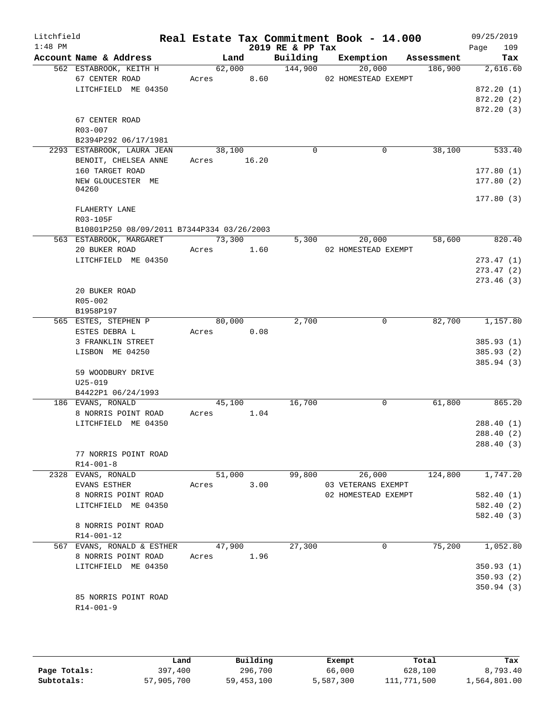| Litchfield<br>$1:48$ PM |                                                                 |                       |                | 2019 RE & PP Tax    | Real Estate Tax Commitment Book - 14.000 |            | 09/25/2019<br>109<br>Page            |
|-------------------------|-----------------------------------------------------------------|-----------------------|----------------|---------------------|------------------------------------------|------------|--------------------------------------|
|                         | Account Name & Address                                          |                       | Land           |                     | Building Exemption                       | Assessment | Tax                                  |
|                         | 562 ESTABROOK, KEITH H<br>67 CENTER ROAD<br>LITCHFIELD ME 04350 | Acres 8.60            | 62,000         | $\frac{144,900}{ }$ | 20,000<br>02 HOMESTEAD EXEMPT            | 186,900    | 2,616.60<br>872.20(1)                |
|                         |                                                                 |                       |                |                     |                                          |            | 872.20(2)<br>872.20(3)               |
|                         | 67 CENTER ROAD<br>R03-007<br>B2394P292 06/17/1981               |                       |                |                     |                                          |            |                                      |
|                         | 2293 ESTABROOK, LAURA JEAN<br>BENOIT, CHELSEA ANNE              | 38,100<br>Acres 16.20 |                | $\Omega$            | $\mathbf 0$                              | 38,100     | 533.40                               |
|                         | 160 TARGET ROAD<br>NEW GLOUCESTER ME<br>04260                   |                       |                |                     |                                          |            | 177.80(1)<br>177.80(2)               |
|                         | FLAHERTY LANE                                                   |                       |                |                     |                                          |            | 177.80(3)                            |
|                         | R03-105F<br>B10801P250 08/09/2011 B7344P334 03/26/2003          |                       |                |                     |                                          |            |                                      |
|                         | 563 ESTABROOK, MARGARET<br>20 BUKER ROAD                        | 73,300<br>Acres 1.60  |                |                     | 5,300<br>20,000<br>02 HOMESTEAD EXEMPT   | 58,600     | 820.40                               |
|                         | LITCHFIELD ME 04350                                             |                       |                |                     |                                          |            | 273.47(1)                            |
|                         |                                                                 |                       |                |                     |                                          |            | 273.47(2)<br>273.46(3)               |
|                         | 20 BUKER ROAD<br>R05-002<br>B1958P197                           |                       |                |                     |                                          |            |                                      |
|                         | 565 ESTES, STEPHEN P                                            |                       | 80,000         | 2,700               | 0                                        |            | 82,700 1,157.80                      |
|                         | ESTES DEBRA L<br>3 FRANKLIN STREET                              | Acres                 | 0.08           |                     |                                          |            | 385.93(1)                            |
|                         | LISBON ME 04250                                                 |                       |                |                     |                                          |            | 385.93 (2)                           |
|                         | 59 WOODBURY DRIVE                                               |                       |                |                     |                                          |            | 385.94 (3)                           |
|                         | $U25 - 019$<br>B4422P1 06/24/1993                               |                       |                |                     |                                          |            |                                      |
|                         | 186 EVANS, RONALD<br>8 NORRIS POINT ROAD                        | Acres                 | 45,100<br>1.04 | 16,700              | 0                                        | 61,800     | 865.20                               |
|                         | LITCHFIELD ME 04350                                             |                       |                |                     |                                          |            | 288.40(1)<br>288.40(2)<br>288.40 (3) |
|                         | 77 NORRIS POINT ROAD<br>$R14 - 001 - 8$                         |                       |                |                     |                                          |            |                                      |
|                         | 2328 EVANS, RONALD<br>EVANS ESTHER                              | 51,000<br>Acres       | 3.00           | 99,800              | 26,000<br>03 VETERANS EXEMPT             | 124,800    | 1,747.20                             |
|                         | 8 NORRIS POINT ROAD<br>LITCHFIELD ME 04350                      |                       |                |                     | 02 HOMESTEAD EXEMPT                      |            | 582.40(1)<br>582.40 (2)              |
|                         | 8 NORRIS POINT ROAD<br>R14-001-12                               |                       |                |                     |                                          |            | 582.40 (3)                           |
|                         | 567 EVANS, RONALD & ESTHER<br>8 NORRIS POINT ROAD               | 47,900<br>Acres       | 1.96           | 27,300              | 0                                        | 75,200     | 1,052.80                             |
|                         | LITCHFIELD ME 04350                                             |                       |                |                     |                                          |            | 350.93(1)                            |
|                         |                                                                 |                       |                |                     |                                          |            | 350.93(2)<br>350.94(3)               |
|                         | 85 NORRIS POINT ROAD<br>$R14 - 001 - 9$                         |                       |                |                     |                                          |            |                                      |

|              | Land       | Building     | Exempt    | Total       | Tax          |
|--------------|------------|--------------|-----------|-------------|--------------|
| Page Totals: | 397,400    | 296,700      | 66,000    | 628,100     | 8,793.40     |
| Subtotals:   | 57,905,700 | 59, 453, 100 | 5,587,300 | 111,771,500 | 1,564,801.00 |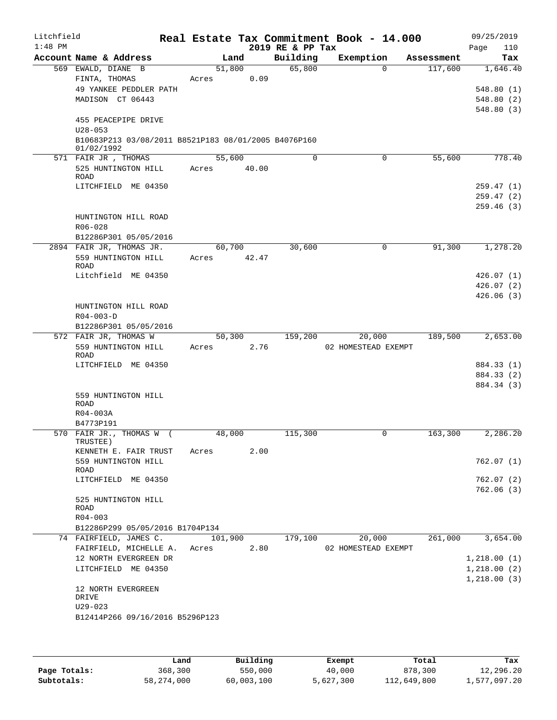| Litchfield<br>$1:48$ PM |                                                      | Real Estate Tax Commitment Book - 14.000 | 2019 RE & PP Tax |                               |            | 09/25/2019<br>Page<br>110 |
|-------------------------|------------------------------------------------------|------------------------------------------|------------------|-------------------------------|------------|---------------------------|
|                         | Account Name & Address                               | Land                                     | Building         | Exemption                     | Assessment | Tax                       |
|                         | 569 EWALD, DIANE B                                   | 51,800                                   | 65,800           | $\Omega$                      | 117,600    | 1,646.40                  |
|                         | FINTA, THOMAS                                        | 0.09<br>Acres                            |                  |                               |            |                           |
|                         | 49 YANKEE PEDDLER PATH                               |                                          |                  |                               |            | 548.80(1)                 |
|                         | MADISON CT 06443                                     |                                          |                  |                               |            | 548.80 (2)<br>548.80(3)   |
|                         | 455 PEACEPIPE DRIVE<br>$U28 - 053$                   |                                          |                  |                               |            |                           |
|                         | B10683P213 03/08/2011 B8521P183 08/01/2005 B4076P160 |                                          |                  |                               |            |                           |
|                         | 01/02/1992<br>571 FAIR JR, THOMAS                    | 55,600                                   | $\Omega$         | 0                             | 55,600     | 778.40                    |
|                         | 525 HUNTINGTON HILL<br>ROAD                          | 40.00<br>Acres                           |                  |                               |            |                           |
|                         | LITCHFIELD ME 04350                                  |                                          |                  |                               |            | 259.47(1)                 |
|                         |                                                      |                                          |                  |                               |            | 259.47(2)                 |
|                         |                                                      |                                          |                  |                               |            | 259.46(3)                 |
|                         | HUNTINGTON HILL ROAD<br>$R06 - 028$                  |                                          |                  |                               |            |                           |
|                         | B12286P301 05/05/2016                                |                                          |                  |                               |            |                           |
|                         | 2894 FAIR JR, THOMAS JR.                             | 60,700                                   | 30,600           | 0                             | 91,300     | 1,278.20                  |
|                         | 559 HUNTINGTON HILL<br><b>ROAD</b>                   | 42.47<br>Acres                           |                  |                               |            |                           |
|                         | Litchfield ME 04350                                  |                                          |                  |                               |            | 426.07(1)                 |
|                         |                                                      |                                          |                  |                               |            | 426.07(2)                 |
|                         |                                                      |                                          |                  |                               |            | 426.06(3)                 |
|                         | HUNTINGTON HILL ROAD                                 |                                          |                  |                               |            |                           |
|                         | $R04 - 003 - D$                                      |                                          |                  |                               |            |                           |
|                         | B12286P301 05/05/2016                                |                                          |                  |                               |            |                           |
|                         | 572 FAIR JR, THOMAS W<br>559 HUNTINGTON HILL         | 50,300<br>2.76<br>Acres                  | 159,200          | 20,000<br>02 HOMESTEAD EXEMPT | 189,500    | 2,653.00                  |
|                         | ROAD                                                 |                                          |                  |                               |            |                           |
|                         | LITCHFIELD ME 04350                                  |                                          |                  |                               |            | 884.33 (1)                |
|                         |                                                      |                                          |                  |                               |            | 884.33 (2)                |
|                         |                                                      |                                          |                  |                               |            | 884.34 (3)                |
|                         | 559 HUNTINGTON HILL                                  |                                          |                  |                               |            |                           |
|                         | ROAD<br>R04-003A                                     |                                          |                  |                               |            |                           |
|                         | B4773P191                                            |                                          |                  |                               |            |                           |
|                         | 570 FAIR JR., THOMAS W (                             | 48,000                                   | 115,300          | 0                             | 163,300    | 2,286.20                  |
|                         | TRUSTEE )                                            |                                          |                  |                               |            |                           |
|                         | KENNETH E. FAIR TRUST                                | 2.00<br>Acres                            |                  |                               |            |                           |
|                         | 559 HUNTINGTON HILL<br>ROAD                          |                                          |                  |                               |            | 762.07 (1)                |
|                         | LITCHFIELD ME 04350                                  |                                          |                  |                               |            | 762.07(2)                 |
|                         |                                                      |                                          |                  |                               |            | 762.06(3)                 |
|                         | 525 HUNTINGTON HILL<br>ROAD                          |                                          |                  |                               |            |                           |
|                         | $R04 - 003$                                          |                                          |                  |                               |            |                           |
|                         | B12286P299 05/05/2016 B1704P134                      |                                          |                  |                               |            |                           |
|                         | 74 FAIRFIELD, JAMES C.                               | 101,900                                  | 179,100          | 20,000                        | 261,000    | 3,654.00                  |
|                         | FAIRFIELD, MICHELLE A.                               | 2.80<br>Acres                            |                  | 02 HOMESTEAD EXEMPT           |            |                           |
|                         | 12 NORTH EVERGREEN DR                                |                                          |                  |                               |            | 1,218.00(1)               |
|                         | LITCHFIELD ME 04350                                  |                                          |                  |                               |            | 1,218.00(2)               |
|                         | 12 NORTH EVERGREEN<br>DRIVE                          |                                          |                  |                               |            | 1,218.00(3)               |
|                         | $U29 - 023$                                          |                                          |                  |                               |            |                           |
|                         | B12414P266 09/16/2016 B5296P123                      |                                          |                  |                               |            |                           |
|                         |                                                      |                                          |                  |                               |            |                           |

|              | Land       | Building   | Exempt    | Total       | Tax          |
|--------------|------------|------------|-----------|-------------|--------------|
| Page Totals: | 368,300    | 550,000    | 40,000    | 878,300     | 12,296.20    |
| Subtotals:   | 58,274,000 | 60,003,100 | 5,627,300 | 112,649,800 | 1,577,097.20 |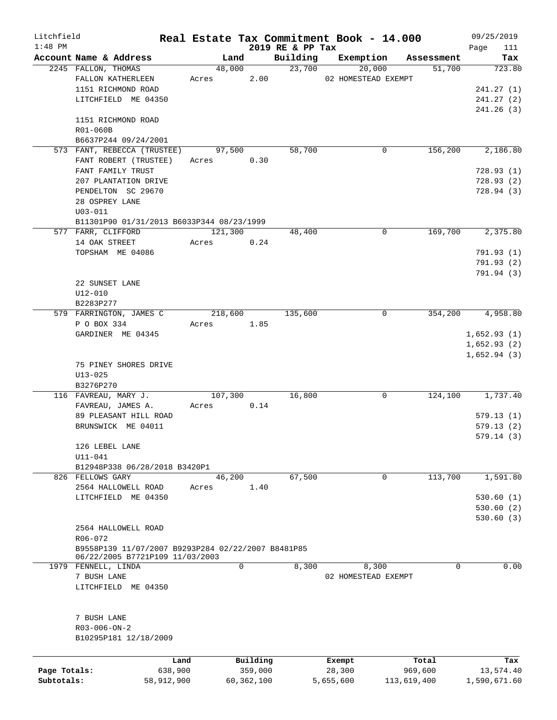| Litchfield   |                                                    |            |         |            |                              | Real Estate Tax Commitment Book - 14.000 |                      | 09/25/2019         |
|--------------|----------------------------------------------------|------------|---------|------------|------------------------------|------------------------------------------|----------------------|--------------------|
| $1:48$ PM    | Account Name & Address                             |            |         | Land       | 2019 RE & PP Tax<br>Building | Exemption                                |                      | Page<br>111<br>Tax |
|              | 2245 FALLON, THOMAS                                |            | 48,000  |            | 23,700                       | 20,000                                   | Assessment<br>51,700 | 723.80             |
|              | FALLON KATHERLEEN                                  |            | Acres   | 2.00       |                              | 02 HOMESTEAD EXEMPT                      |                      |                    |
|              | 1151 RICHMOND ROAD                                 |            |         |            |                              |                                          |                      | 241.27 (1)         |
|              | LITCHFIELD ME 04350                                |            |         |            |                              |                                          |                      | 241.27(2)          |
|              |                                                    |            |         |            |                              |                                          |                      | 241.26(3)          |
|              | 1151 RICHMOND ROAD                                 |            |         |            |                              |                                          |                      |                    |
|              | R01-060B                                           |            |         |            |                              |                                          |                      |                    |
|              | B6637P244 09/24/2001                               |            |         |            |                              |                                          |                      |                    |
|              | 573 FANT, REBECCA (TRUSTEE)                        |            | 97,500  |            | 58,700                       | 0                                        | 156,200              | 2,186.80           |
|              | FANT ROBERT (TRUSTEE)                              |            | Acres   | 0.30       |                              |                                          |                      |                    |
|              | FANT FAMILY TRUST                                  |            |         |            |                              |                                          |                      | 728.93(1)          |
|              | 207 PLANTATION DRIVE                               |            |         |            |                              |                                          |                      | 728.93(2)          |
|              | PENDELTON SC 29670                                 |            |         |            |                              |                                          |                      | 728.94 (3)         |
|              | 28 OSPREY LANE                                     |            |         |            |                              |                                          |                      |                    |
|              | $U03 - 011$                                        |            |         |            |                              |                                          |                      |                    |
|              | B11301P90 01/31/2013 B6033P344 08/23/1999          |            |         |            |                              |                                          |                      |                    |
|              | 577 FARR, CLIFFORD                                 |            | 121,300 |            | 48,400                       | 0                                        | 169,700              | 2,375.80           |
|              | 14 OAK STREET                                      |            | Acres   | 0.24       |                              |                                          |                      |                    |
|              | TOPSHAM ME 04086                                   |            |         |            |                              |                                          |                      | 791.93(1)          |
|              |                                                    |            |         |            |                              |                                          |                      | 791.93(2)          |
|              |                                                    |            |         |            |                              |                                          |                      | 791.94 (3)         |
|              | 22 SUNSET LANE                                     |            |         |            |                              |                                          |                      |                    |
|              | U12-010                                            |            |         |            |                              |                                          |                      |                    |
|              | B2283P277                                          |            |         |            |                              |                                          |                      |                    |
|              | 579 FARRINGTON, JAMES C                            |            | 218,600 |            | 135,600                      | 0                                        | 354,200              | 4,958.80           |
|              | P O BOX 334                                        |            | Acres   | 1.85       |                              |                                          |                      |                    |
|              | GARDINER ME 04345                                  |            |         |            |                              |                                          |                      | 1,652.93(1)        |
|              |                                                    |            |         |            |                              |                                          |                      | 1,652.93(2)        |
|              |                                                    |            |         |            |                              |                                          |                      | 1,652.94(3)        |
|              | 75 PINEY SHORES DRIVE                              |            |         |            |                              |                                          |                      |                    |
|              | $U13 - 025$<br>B3276P270                           |            |         |            |                              |                                          |                      |                    |
|              | 116 FAVREAU, MARY J.                               |            | 107,300 |            | 16,800                       | 0                                        | 124,100              | 1,737.40           |
|              | FAVREAU, JAMES A.                                  |            | Acres   | 0.14       |                              |                                          |                      |                    |
|              | 89 PLEASANT HILL ROAD                              |            |         |            |                              |                                          |                      | 579.13(1)          |
|              | BRUNSWICK ME 04011                                 |            |         |            |                              |                                          |                      | 579.13(2)          |
|              |                                                    |            |         |            |                              |                                          |                      | 579.14(3)          |
|              | 126 LEBEL LANE                                     |            |         |            |                              |                                          |                      |                    |
|              | $U11 - 041$                                        |            |         |            |                              |                                          |                      |                    |
|              | B12948P338 06/28/2018 B3420P1                      |            |         |            |                              |                                          |                      |                    |
|              | 826 FELLOWS GARY                                   |            | 46,200  |            | 67,500                       | 0                                        | 113,700              | 1,591.80           |
|              | 2564 HALLOWELL ROAD                                |            | Acres   | 1.40       |                              |                                          |                      |                    |
|              | LITCHFIELD ME 04350                                |            |         |            |                              |                                          |                      | 530.60(1)          |
|              |                                                    |            |         |            |                              |                                          |                      | 530.60(2)          |
|              |                                                    |            |         |            |                              |                                          |                      | 530.60(3)          |
|              | 2564 HALLOWELL ROAD                                |            |         |            |                              |                                          |                      |                    |
|              | $R06 - 072$                                        |            |         |            |                              |                                          |                      |                    |
|              | B9558P139 11/07/2007 B9293P284 02/22/2007 B8481P85 |            |         |            |                              |                                          |                      |                    |
|              | 06/22/2005 B7721P109 11/03/2003                    |            |         | 0          |                              |                                          | 0                    |                    |
|              | 1979 FENNELL, LINDA<br>7 BUSH LANE                 |            |         |            | 8,300                        | 8,300<br>02 HOMESTEAD EXEMPT             |                      | 0.00               |
|              | LITCHFIELD ME 04350                                |            |         |            |                              |                                          |                      |                    |
|              |                                                    |            |         |            |                              |                                          |                      |                    |
|              |                                                    |            |         |            |                              |                                          |                      |                    |
|              | 7 BUSH LANE                                        |            |         |            |                              |                                          |                      |                    |
|              | $R03 - 006 - ON - 2$                               |            |         |            |                              |                                          |                      |                    |
|              | B10295P181 12/18/2009                              |            |         |            |                              |                                          |                      |                    |
|              |                                                    |            |         |            |                              |                                          |                      |                    |
|              |                                                    | Land       |         | Building   |                              | Exempt                                   | Total                | Tax                |
| Page Totals: |                                                    | 638,900    |         | 359,000    |                              | 28,300                                   | 969,600              | 13,574.40          |
| Subtotals:   |                                                    | 58,912,900 |         | 60,362,100 |                              | 5,655,600                                | 113,619,400          | 1,590,671.60       |
|              |                                                    |            |         |            |                              |                                          |                      |                    |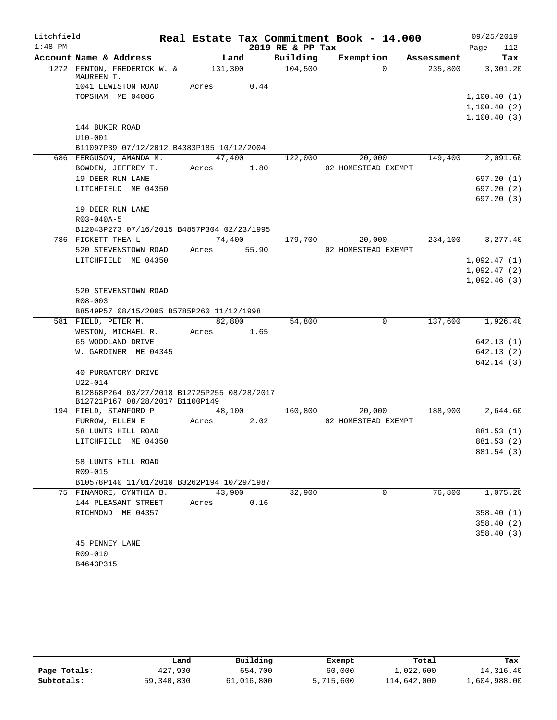| Litchfield |                                             |             |        |                  | Real Estate Tax Commitment Book - 14.000 |            | 09/25/2019               |
|------------|---------------------------------------------|-------------|--------|------------------|------------------------------------------|------------|--------------------------|
| $1:48$ PM  |                                             |             |        | 2019 RE & PP Tax |                                          |            | Page<br>112              |
|            | Account Name & Address                      |             | Land   | Building         | Exemption                                | Assessment | Tax                      |
|            | 1272 FENTON, FREDERICK W. &                 | 131,300     |        | 104,500          | $\Omega$                                 | 235,800    | 3,301.20                 |
|            | MAUREEN T.<br>1041 LEWISTON ROAD            | Acres       | 0.44   |                  |                                          |            |                          |
|            | TOPSHAM ME 04086                            |             |        |                  |                                          |            | 1,100.40(1)              |
|            |                                             |             |        |                  |                                          |            | 1,100.40(2)              |
|            |                                             |             |        |                  |                                          |            | 1,100.40(3)              |
|            | 144 BUKER ROAD                              |             |        |                  |                                          |            |                          |
|            | $U10 - 001$                                 |             |        |                  |                                          |            |                          |
|            | B11097P39 07/12/2012 B4383P185 10/12/2004   |             |        |                  |                                          |            |                          |
|            | 686 FERGUSON, AMANDA M.                     |             | 47,400 | 122,000          | 20,000                                   | 149,400    | 2,091.60                 |
|            | BOWDEN, JEFFREY T.                          | Acres       | 1.80   |                  | 02 HOMESTEAD EXEMPT                      |            |                          |
|            | 19 DEER RUN LANE                            |             |        |                  |                                          |            | 697.20(1)                |
|            | LITCHFIELD ME 04350                         |             |        |                  |                                          |            | 697.20(2)                |
|            |                                             |             |        |                  |                                          |            | 697.20(3)                |
|            | 19 DEER RUN LANE                            |             |        |                  |                                          |            |                          |
|            | R03-040A-5                                  |             |        |                  |                                          |            |                          |
|            | B12043P273 07/16/2015 B4857P304 02/23/1995  |             |        |                  |                                          |            |                          |
|            | 786 FICKETT THEA L                          |             | 74,400 | 179,700          | 20,000                                   | 234,100    | 3,277.40                 |
|            | 520 STEVENSTOWN ROAD                        | Acres 55.90 |        |                  | 02 HOMESTEAD EXEMPT                      |            |                          |
|            | LITCHFIELD ME 04350                         |             |        |                  |                                          |            | 1,092.47(1)              |
|            |                                             |             |        |                  |                                          |            | 1,092.47(2)              |
|            |                                             |             |        |                  |                                          |            | 1,092.46(3)              |
|            | 520 STEVENSTOWN ROAD                        |             |        |                  |                                          |            |                          |
|            | R08-003                                     |             |        |                  |                                          |            |                          |
|            | B8549P57 08/15/2005 B5785P260 11/12/1998    |             |        |                  |                                          |            |                          |
|            | 581 FIELD, PETER M.                         |             | 82,800 | 54,800           | $\Omega$                                 | 137,600    | 1,926.40                 |
|            | WESTON, MICHAEL R.                          | Acres 1.65  |        |                  |                                          |            |                          |
|            | 65 WOODLAND DRIVE                           |             |        |                  |                                          |            | 642.13 (1)               |
|            | W. GARDINER ME 04345                        |             |        |                  |                                          |            | 642.13 (2)               |
|            |                                             |             |        |                  |                                          |            | 642.14 (3)               |
|            | 40 PURGATORY DRIVE                          |             |        |                  |                                          |            |                          |
|            | $U22 - 014$                                 |             |        |                  |                                          |            |                          |
|            | B12868P264 03/27/2018 B12725P255 08/28/2017 |             |        |                  |                                          |            |                          |
|            | B12721P167 08/28/2017 B1100P149             |             |        |                  |                                          |            |                          |
|            | 194 FIELD, STANFORD P                       |             | 48,100 | 160,800          | 20,000                                   | 188,900    | 2,644.60                 |
|            | FURROW, ELLEN E                             | Acres       | 2.02   |                  | 02 HOMESTEAD EXEMPT                      |            |                          |
|            | 58 LUNTS HILL ROAD<br>LITCHFIELD ME 04350   |             |        |                  |                                          |            | 881.53 (1)<br>881.53 (2) |
|            |                                             |             |        |                  |                                          |            | 881.54 (3)               |
|            | 58 LUNTS HILL ROAD                          |             |        |                  |                                          |            |                          |
|            | R09-015                                     |             |        |                  |                                          |            |                          |
|            | B10578P140 11/01/2010 B3262P194 10/29/1987  |             |        |                  |                                          |            |                          |
|            | 75 FINAMORE, CYNTHIA B.                     | 43,900      |        | 32,900           | $\Omega$                                 | 76,800     | 1,075.20                 |
|            | 144 PLEASANT STREET                         | Acres       | 0.16   |                  |                                          |            |                          |
|            | RICHMOND ME 04357                           |             |        |                  |                                          |            | 358.40(1)                |
|            |                                             |             |        |                  |                                          |            | 358.40 (2)               |
|            |                                             |             |        |                  |                                          |            | 358.40(3)                |
|            | 45 PENNEY LANE                              |             |        |                  |                                          |            |                          |
|            | R09-010                                     |             |        |                  |                                          |            |                          |
|            | B4643P315                                   |             |        |                  |                                          |            |                          |
|            |                                             |             |        |                  |                                          |            |                          |

|              | Land       | Building   | Exempt    | Total       | Tax          |
|--------------|------------|------------|-----------|-------------|--------------|
| Page Totals: | 427,900    | 654,700    | 60,000    | 1,022,600   | 14,316.40    |
| Subtotals:   | 59,340,800 | 61,016,800 | 5,715,600 | 114,642,000 | 1,604,988.00 |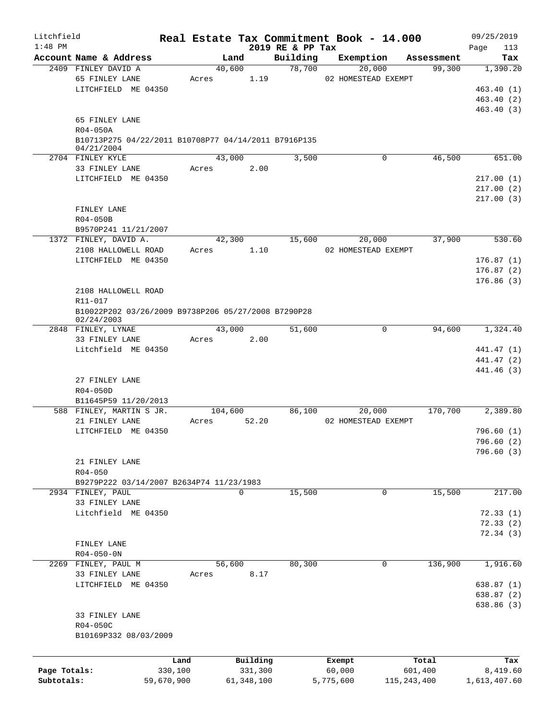| Litchfield   |                                                                    |            |         |              |                              | Real Estate Tax Commitment Book - 14.000 |                      | 09/25/2019               |
|--------------|--------------------------------------------------------------------|------------|---------|--------------|------------------------------|------------------------------------------|----------------------|--------------------------|
| $1:48$ PM    | Account Name & Address                                             |            | Land    |              | 2019 RE & PP Tax<br>Building | Exemption                                |                      | Page<br>113<br>Tax       |
|              | 2409 FINLEY DAVID A                                                |            | 40,600  |              | 78,700                       | 20,000                                   | Assessment<br>99,300 | 1,390.20                 |
|              | 65 FINLEY LANE                                                     |            | Acres   | 1.19         |                              | 02 HOMESTEAD EXEMPT                      |                      |                          |
|              | LITCHFIELD ME 04350                                                |            |         |              |                              |                                          |                      | 463.40(1)                |
|              |                                                                    |            |         |              |                              |                                          |                      | 463.40 (2)               |
|              |                                                                    |            |         |              |                              |                                          |                      | 463.40 (3)               |
|              | 65 FINLEY LANE                                                     |            |         |              |                              |                                          |                      |                          |
|              | R04-050A                                                           |            |         |              |                              |                                          |                      |                          |
|              | B10713P275 04/22/2011 B10708P77 04/14/2011 B7916P135<br>04/21/2004 |            |         |              |                              |                                          |                      |                          |
|              | 2704 FINLEY KYLE                                                   |            | 43,000  |              | 3,500                        |                                          | 0<br>46,500          | 651.00                   |
|              | 33 FINLEY LANE                                                     |            | Acres   | 2.00         |                              |                                          |                      |                          |
|              | LITCHFIELD ME 04350                                                |            |         |              |                              |                                          |                      | 217.00(1)                |
|              |                                                                    |            |         |              |                              |                                          |                      | 217.00(2)                |
|              |                                                                    |            |         |              |                              |                                          |                      | 217.00(3)                |
|              | FINLEY LANE                                                        |            |         |              |                              |                                          |                      |                          |
|              | R04-050B                                                           |            |         |              |                              |                                          |                      |                          |
|              | B9570P241 11/21/2007                                               |            |         |              |                              |                                          |                      |                          |
|              | 1372 FINLEY, DAVID A.                                              |            | 42,300  |              | 15,600                       | 20,000                                   | 37,900               | 530.60                   |
|              | 2108 HALLOWELL ROAD                                                |            | Acres   | 1.10         |                              | 02 HOMESTEAD EXEMPT                      |                      |                          |
|              | LITCHFIELD ME 04350                                                |            |         |              |                              |                                          |                      | 176.87(1)<br>176.87(2)   |
|              |                                                                    |            |         |              |                              |                                          |                      | 176.86(3)                |
|              | 2108 HALLOWELL ROAD                                                |            |         |              |                              |                                          |                      |                          |
|              | R11-017                                                            |            |         |              |                              |                                          |                      |                          |
|              | B10022P202 03/26/2009 B9738P206 05/27/2008 B7290P28                |            |         |              |                              |                                          |                      |                          |
|              | 02/24/2003                                                         |            |         |              |                              |                                          |                      |                          |
|              | 2848 FINLEY, LYNAE                                                 |            | 43,000  |              | 51,600                       |                                          | 0<br>94,600          | 1,324.40                 |
|              | 33 FINLEY LANE                                                     |            | Acres   | 2.00         |                              |                                          |                      |                          |
|              | Litchfield ME 04350                                                |            |         |              |                              |                                          |                      | 441.47 (1)<br>441.47 (2) |
|              |                                                                    |            |         |              |                              |                                          |                      | 441.46 (3)               |
|              | 27 FINLEY LANE                                                     |            |         |              |                              |                                          |                      |                          |
|              | R04-050D                                                           |            |         |              |                              |                                          |                      |                          |
|              | B11645P59 11/20/2013                                               |            |         |              |                              |                                          |                      |                          |
|              | 588 FINLEY, MARTIN S JR.                                           |            | 104,600 |              | 86,100                       | 20,000                                   | 170,700              | 2,389.80                 |
|              | 21 FINLEY LANE                                                     |            | Acres   | 52.20        |                              | 02 HOMESTEAD EXEMPT                      |                      |                          |
|              | LITCHFIELD ME 04350                                                |            |         |              |                              |                                          |                      | 796.60(1)                |
|              |                                                                    |            |         |              |                              |                                          |                      | 796.60 (2)               |
|              |                                                                    |            |         |              |                              |                                          |                      | 796.60(3)                |
|              | 21 FINLEY LANE<br>$R04 - 050$                                      |            |         |              |                              |                                          |                      |                          |
|              | B9279P222 03/14/2007 B2634P74 11/23/1983                           |            |         |              |                              |                                          |                      |                          |
|              | 2934 FINLEY, PAUL                                                  |            |         | $\mathbf 0$  | 15,500                       |                                          | 15,500<br>0          | 217.00                   |
|              | 33 FINLEY LANE                                                     |            |         |              |                              |                                          |                      |                          |
|              | Litchfield ME 04350                                                |            |         |              |                              |                                          |                      | 72.33(1)                 |
|              |                                                                    |            |         |              |                              |                                          |                      | 72.33(2)                 |
|              |                                                                    |            |         |              |                              |                                          |                      | 72.34(3)                 |
|              | FINLEY LANE                                                        |            |         |              |                              |                                          |                      |                          |
|              | $R04 - 050 - 0N$                                                   |            |         |              |                              |                                          |                      |                          |
| 2269         | FINLEY, PAUL M                                                     |            | 56,600  |              | 80,300                       |                                          | 136,900<br>0         | 1,916.60                 |
|              | 33 FINLEY LANE<br>LITCHFIELD ME 04350                              |            | Acres   | 8.17         |                              |                                          |                      | 638.87(1)                |
|              |                                                                    |            |         |              |                              |                                          |                      | 638.87(2)                |
|              |                                                                    |            |         |              |                              |                                          |                      | 638.86 (3)               |
|              | 33 FINLEY LANE                                                     |            |         |              |                              |                                          |                      |                          |
|              | R04-050C                                                           |            |         |              |                              |                                          |                      |                          |
|              | B10169P332 08/03/2009                                              |            |         |              |                              |                                          |                      |                          |
|              |                                                                    |            |         |              |                              |                                          |                      |                          |
|              |                                                                    | Land       |         | Building     |                              | Exempt                                   | Total                | Tax                      |
| Page Totals: |                                                                    | 330,100    |         | 331,300      |                              | 60,000                                   | 601,400              | 8,419.60                 |
| Subtotals:   |                                                                    | 59,670,900 |         | 61, 348, 100 |                              | 5,775,600                                | 115, 243, 400        | 1,613,407.60             |
|              |                                                                    |            |         |              |                              |                                          |                      |                          |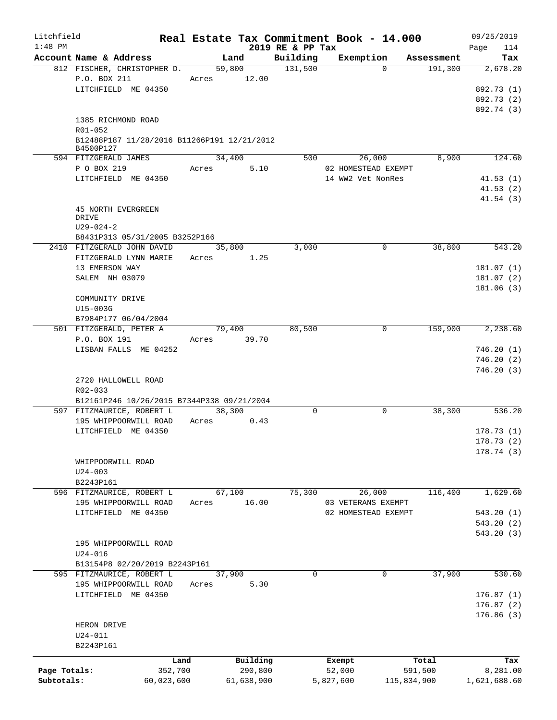| Litchfield   |                                             |         |               |                              |           | Real Estate Tax Commitment Book - 14.000 |            | 09/25/2019         |
|--------------|---------------------------------------------|---------|---------------|------------------------------|-----------|------------------------------------------|------------|--------------------|
| $1:48$ PM    | Account Name & Address                      |         | Land          | 2019 RE & PP Tax<br>Building |           | Exemption                                | Assessment | 114<br>Page<br>Tax |
|              | 812 FISCHER, CHRISTOPHER D.                 |         | 59,800        | 131,500                      |           | $\Omega$                                 | 191,300    | 2,678.20           |
|              | P.O. BOX 211                                |         | Acres 12.00   |                              |           |                                          |            |                    |
|              | LITCHFIELD ME 04350                         |         |               |                              |           |                                          |            | 892.73 (1)         |
|              |                                             |         |               |                              |           |                                          |            | 892.73 (2)         |
|              |                                             |         |               |                              |           |                                          |            | 892.74 (3)         |
|              | 1385 RICHMOND ROAD                          |         |               |                              |           |                                          |            |                    |
|              | $R01 - 052$                                 |         |               |                              |           |                                          |            |                    |
|              | B12488P187 11/28/2016 B11266P191 12/21/2012 |         |               |                              |           |                                          |            |                    |
|              | B4500P127                                   |         |               |                              |           |                                          |            |                    |
|              | 594 FITZGERALD JAMES                        |         | 34,400        | 500                          |           | 26,000                                   | 8,900      | 124.60             |
|              | P O BOX 219                                 | Acres   | 5.10          |                              |           | 02 HOMESTEAD EXEMPT                      |            |                    |
|              | LITCHFIELD ME 04350                         |         |               |                              |           | 14 WW2 Vet NonRes                        |            | 41.53(1)           |
|              |                                             |         |               |                              |           |                                          |            | 41.53(2)           |
|              |                                             |         |               |                              |           |                                          |            | 41.54(3)           |
|              | 45 NORTH EVERGREEN                          |         |               |                              |           |                                          |            |                    |
|              | DRIVE                                       |         |               |                              |           |                                          |            |                    |
|              | $U29 - 024 - 2$                             |         |               |                              |           |                                          |            |                    |
|              | B8431P313 05/31/2005 B3252P166              |         |               |                              |           |                                          |            |                    |
|              | 2410 FITZGERALD JOHN DAVID                  |         | 35,800        | 3,000                        |           | $\mathbf 0$                              | 38,800     | 543.20             |
|              | FITZGERALD LYNN MARIE                       | Acres   | 1.25          |                              |           |                                          |            |                    |
|              | 13 EMERSON WAY                              |         |               |                              |           |                                          |            | 181.07 (1)         |
|              | SALEM NH 03079                              |         |               |                              |           |                                          |            | 181.07(2)          |
|              |                                             |         |               |                              |           |                                          |            | 181.06(3)          |
|              | COMMUNITY DRIVE                             |         |               |                              |           |                                          |            |                    |
|              | U15-003G                                    |         |               |                              |           |                                          |            |                    |
|              | B7984P177 06/04/2004                        |         |               |                              |           |                                          |            |                    |
|              | 501 FITZGERALD, PETER A                     |         | 79,400        | 80,500                       |           | $\mathbf 0$                              | 159,900    | 2,238.60           |
|              | P.O. BOX 191                                |         | Acres 39.70   |                              |           |                                          |            |                    |
|              | LISBAN FALLS ME 04252                       |         |               |                              |           |                                          |            | 746.20(1)          |
|              |                                             |         |               |                              |           |                                          |            | 746.20(2)          |
|              |                                             |         |               |                              |           |                                          |            | 746.20(3)          |
|              | 2720 HALLOWELL ROAD                         |         |               |                              |           |                                          |            |                    |
|              | R02-033                                     |         |               |                              |           |                                          |            |                    |
|              | B12161P246 10/26/2015 B7344P338 09/21/2004  |         |               |                              |           |                                          |            |                    |
|              | 597 FITZMAURICE, ROBERT L                   |         | 38,300        | $\mathbf 0$                  |           | $\mathbf 0$                              | 38,300     | 536.20             |
|              | 195 WHIPPOORWILL ROAD                       |         | Acres<br>0.43 |                              |           |                                          |            |                    |
|              | LITCHFIELD ME 04350                         |         |               |                              |           |                                          |            | 178.73(1)          |
|              |                                             |         |               |                              |           |                                          |            | 178.73(2)          |
|              |                                             |         |               |                              |           |                                          |            | 178.74(3)          |
|              | WHIPPOORWILL ROAD                           |         |               |                              |           |                                          |            |                    |
|              | $U24 - 003$                                 |         |               |                              |           |                                          |            |                    |
|              | B2243P161                                   |         |               |                              |           |                                          |            |                    |
|              | 596 FITZMAURICE, ROBERT L                   |         | 67,100        | 75,300                       |           | 26,000                                   | 116,400    | 1,629.60           |
|              | 195 WHIPPOORWILL ROAD                       | Acres   | 16.00         |                              |           | 03 VETERANS EXEMPT                       |            |                    |
|              | LITCHFIELD ME 04350                         |         |               |                              |           | 02 HOMESTEAD EXEMPT                      |            | 543.20(1)          |
|              |                                             |         |               |                              |           |                                          |            | 543.20(2)          |
|              |                                             |         |               |                              |           |                                          |            |                    |
|              | 195 WHIPPOORWILL ROAD                       |         |               |                              |           |                                          |            | 543.20(3)          |
|              | $U24 - 016$                                 |         |               |                              |           |                                          |            |                    |
|              |                                             |         |               |                              |           |                                          |            |                    |
|              | B13154P8 02/20/2019 B2243P161               |         |               |                              |           |                                          |            |                    |
|              | 595 FITZMAURICE, ROBERT L                   |         | 37,900        | $\mathbf 0$                  |           | 0                                        | 37,900     | 530.60             |
|              | 195 WHIPPOORWILL ROAD                       | Acres   | 5.30          |                              |           |                                          |            |                    |
|              | LITCHFIELD ME 04350                         |         |               |                              |           |                                          |            | 176.87(1)          |
|              |                                             |         |               |                              |           |                                          |            | 176.87(2)          |
|              |                                             |         |               |                              |           |                                          |            | 176.86(3)          |
|              | HERON DRIVE                                 |         |               |                              |           |                                          |            |                    |
|              | $U24 - 011$                                 |         |               |                              |           |                                          |            |                    |
|              | B2243P161                                   |         |               |                              |           |                                          |            |                    |
|              |                                             | Land    | Building      |                              | Exempt    |                                          | Total      | Tax                |
| Page Totals: |                                             | 352,700 | 290,800       |                              | 52,000    |                                          | 591,500    | 8,281.00           |
| Subtotals:   | 60,023,600                                  |         | 61,638,900    |                              | 5,827,600 | 115,834,900                              |            | 1,621,688.60       |
|              |                                             |         |               |                              |           |                                          |            |                    |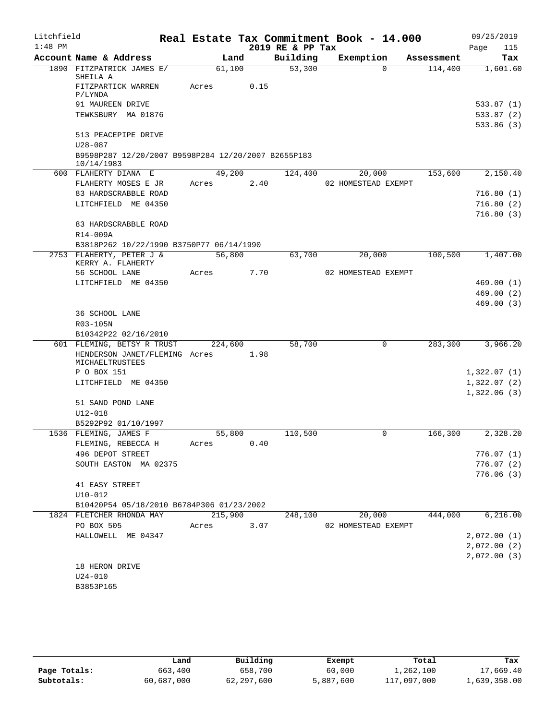| Litchfield |                                                                   |         |      |                  | Real Estate Tax Commitment Book - 14.000 |            | 09/25/2019                 |
|------------|-------------------------------------------------------------------|---------|------|------------------|------------------------------------------|------------|----------------------------|
| $1:48$ PM  |                                                                   |         |      | 2019 RE & PP Tax |                                          |            | Page<br>115                |
|            | Account Name & Address                                            | Land    |      | Building         | Exemption                                | Assessment | Tax                        |
|            | 1890 FITZPATRICK JAMES E/                                         | 61,100  |      | 53,300           | $\Omega$                                 | 114,400    | 1,601.60                   |
|            | SHEILA A<br>FITZPARTICK WARREN                                    | Acres   | 0.15 |                  |                                          |            |                            |
|            | P/LYNDA                                                           |         |      |                  |                                          |            |                            |
|            | 91 MAUREEN DRIVE                                                  |         |      |                  |                                          |            | 533.87(1)                  |
|            | TEWKSBURY MA 01876                                                |         |      |                  |                                          |            | 533.87 (2)                 |
|            |                                                                   |         |      |                  |                                          |            | 533.86 (3)                 |
|            | 513 PEACEPIPE DRIVE                                               |         |      |                  |                                          |            |                            |
|            | $U28 - 087$                                                       |         |      |                  |                                          |            |                            |
|            | B9598P287 12/20/2007 B9598P284 12/20/2007 B2655P183<br>10/14/1983 |         |      |                  |                                          |            |                            |
|            | 600 FLAHERTY DIANA E                                              | 49,200  |      | 124,400          | 20,000                                   | 153,600    | 2,150.40                   |
|            | FLAHERTY MOSES E JR                                               | Acres   | 2.40 |                  | 02 HOMESTEAD EXEMPT                      |            |                            |
|            | 83 HARDSCRABBLE ROAD                                              |         |      |                  |                                          |            | 716.80(1)                  |
|            | LITCHFIELD ME 04350                                               |         |      |                  |                                          |            | 716.80(2)                  |
|            |                                                                   |         |      |                  |                                          |            | 716.80(3)                  |
|            | 83 HARDSCRABBLE ROAD                                              |         |      |                  |                                          |            |                            |
|            | R14-009A                                                          |         |      |                  |                                          |            |                            |
|            | B3818P262 10/22/1990 B3750P77 06/14/1990                          |         |      |                  |                                          |            |                            |
|            | 2753 FLAHERTY, PETER J &<br>KERRY A. FLAHERTY                     | 56,800  |      | 63,700           | 20,000                                   | 100,500    | 1,407.00                   |
|            | 56 SCHOOL LANE                                                    | Acres   | 7.70 |                  | 02 HOMESTEAD EXEMPT                      |            |                            |
|            | LITCHFIELD ME 04350                                               |         |      |                  |                                          |            | 469.00(1)                  |
|            |                                                                   |         |      |                  |                                          |            | 469.00(2)                  |
|            |                                                                   |         |      |                  |                                          |            | 469.00(3)                  |
|            | 36 SCHOOL LANE                                                    |         |      |                  |                                          |            |                            |
|            | R03-105N                                                          |         |      |                  |                                          |            |                            |
|            | B10342P22 02/16/2010                                              |         |      |                  |                                          |            |                            |
|            | 601 FLEMING, BETSY R TRUST                                        | 224,600 |      | 58,700           | 0                                        | 283,300    | 3,966.20                   |
|            | HENDERSON JANET/FLEMING Acres                                     |         | 1.98 |                  |                                          |            |                            |
|            | MICHAELTRUSTEES                                                   |         |      |                  |                                          |            |                            |
|            | P O BOX 151<br>LITCHFIELD ME 04350                                |         |      |                  |                                          |            | 1,322.07(1)<br>1,322.07(2) |
|            |                                                                   |         |      |                  |                                          |            | 1,322.06(3)                |
|            | 51 SAND POND LANE                                                 |         |      |                  |                                          |            |                            |
|            | U12-018                                                           |         |      |                  |                                          |            |                            |
|            | B5292P92 01/10/1997                                               |         |      |                  |                                          |            |                            |
|            | 1536 FLEMING, JAMES F                                             | 55,800  |      | 110,500          | $\mathsf{O}$                             | 166,300    | 2,328.20                   |
|            | FLEMING, REBECCA H                                                | Acres   | 0.40 |                  |                                          |            |                            |
|            | 496 DEPOT STREET                                                  |         |      |                  |                                          |            | 776.07(1)                  |
|            | SOUTH EASTON MA 02375                                             |         |      |                  |                                          |            | 776.07(2)                  |
|            |                                                                   |         |      |                  |                                          |            | 776.06(3)                  |
|            | 41 EASY STREET                                                    |         |      |                  |                                          |            |                            |
|            | $U10 - 012$                                                       |         |      |                  |                                          |            |                            |
|            | B10420P54 05/18/2010 B6784P306 01/23/2002                         |         |      |                  |                                          |            |                            |
|            | 1824 FLETCHER RHONDA MAY                                          | 215,900 |      | 248,100          | 20,000                                   | 444,000    | 6, 216.00                  |
|            | PO BOX 505                                                        | Acres   | 3.07 |                  | 02 HOMESTEAD EXEMPT                      |            |                            |
|            | HALLOWELL ME 04347                                                |         |      |                  |                                          |            | 2,072.00(1)                |
|            |                                                                   |         |      |                  |                                          |            | 2,072.00(2)<br>2,072.00(3) |
|            | 18 HERON DRIVE                                                    |         |      |                  |                                          |            |                            |
|            | $U24 - 010$                                                       |         |      |                  |                                          |            |                            |
|            | B3853P165                                                         |         |      |                  |                                          |            |                            |
|            |                                                                   |         |      |                  |                                          |            |                            |

|              | Land       | Building   | Exempt    | Total       | Tax          |
|--------------|------------|------------|-----------|-------------|--------------|
| Page Totals: | 663,400    | 658,700    | 60,000    | 1,262,100   | 17,669.40    |
| Subtotals:   | 60,687,000 | 62,297,600 | 5,887,600 | 117,097,000 | 1,639,358.00 |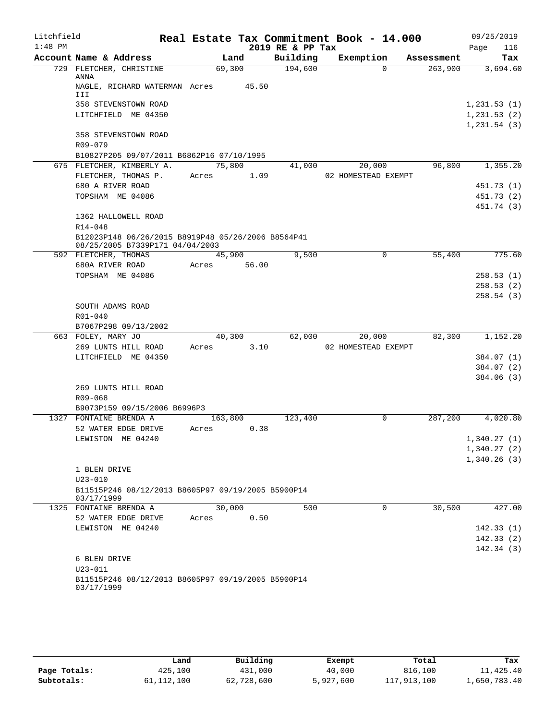| Litchfield |                                                                  |             |                |                  | Real Estate Tax Commitment Book - 14.000 |            | 09/25/2019   |
|------------|------------------------------------------------------------------|-------------|----------------|------------------|------------------------------------------|------------|--------------|
| $1:48$ PM  |                                                                  |             |                | 2019 RE & PP Tax |                                          |            | 116<br>Page  |
|            | Account Name & Address                                           |             | Land           | Building         | Exemption                                | Assessment | Tax          |
|            | 729 FLETCHER, CHRISTINE<br>ANNA                                  | 69,300      |                | 194,600          | $\Omega$                                 | 263,900    | 3,694.60     |
|            | NAGLE, RICHARD WATERMAN Acres 45.50<br>III                       |             |                |                  |                                          |            |              |
|            | 358 STEVENSTOWN ROAD                                             |             |                |                  |                                          |            | 1, 231.53(1) |
|            | LITCHFIELD ME 04350                                              |             |                |                  |                                          |            | 1, 231.53(2) |
|            |                                                                  |             |                |                  |                                          |            | 1, 231.54(3) |
|            | 358 STEVENSTOWN ROAD                                             |             |                |                  |                                          |            |              |
|            | R09-079                                                          |             |                |                  |                                          |            |              |
|            | B10827P205 09/07/2011 B6862P16 07/10/1995                        |             |                |                  |                                          |            |              |
|            | 675 FLETCHER, KIMBERLY A.                                        | 75,800      |                | 41,000           | 20,000                                   | 96,800     | 1,355.20     |
|            | FLETCHER, THOMAS P.                                              | Acres       | 1.09           |                  | 02 HOMESTEAD EXEMPT                      |            |              |
|            | 680 A RIVER ROAD                                                 |             |                |                  |                                          |            | 451.73 (1)   |
|            | TOPSHAM ME 04086                                                 |             |                |                  |                                          |            | 451.73 (2)   |
|            | 1362 HALLOWELL ROAD                                              |             |                |                  |                                          |            | 451.74 (3)   |
|            | $R14 - 048$                                                      |             |                |                  |                                          |            |              |
|            | B12023P148 06/26/2015 B8919P48 05/26/2006 B8564P41               |             |                |                  |                                          |            |              |
|            | 08/25/2005 B7339P171 04/04/2003                                  |             |                |                  |                                          |            |              |
|            | 592 FLETCHER, THOMAS                                             |             | 45,900         | 9,500            | $\Omega$                                 | 55,400     | 775.60       |
|            | 680A RIVER ROAD                                                  | Acres 56.00 |                |                  |                                          |            |              |
|            | TOPSHAM ME 04086                                                 |             |                |                  |                                          |            | 258.53(1)    |
|            |                                                                  |             |                |                  |                                          |            | 258.53(2)    |
|            |                                                                  |             |                |                  |                                          |            | 258.54(3)    |
|            | SOUTH ADAMS ROAD                                                 |             |                |                  |                                          |            |              |
|            | R01-040                                                          |             |                |                  |                                          |            |              |
|            | B7067P298 09/13/2002                                             |             |                |                  |                                          |            |              |
|            | 663 FOLEY, MARY JO<br>269 LUNTS HILL ROAD                        | Acres       | 40,300<br>3.10 | 62,000           | 20,000<br>02 HOMESTEAD EXEMPT            | 82,300     | 1,152.20     |
|            | LITCHFIELD ME 04350                                              |             |                |                  |                                          |            | 384.07 (1)   |
|            |                                                                  |             |                |                  |                                          |            | 384.07 (2)   |
|            |                                                                  |             |                |                  |                                          |            | 384.06(3)    |
|            | 269 LUNTS HILL ROAD                                              |             |                |                  |                                          |            |              |
|            | R09-068                                                          |             |                |                  |                                          |            |              |
|            | B9073P159 09/15/2006 B6996P3                                     |             |                |                  |                                          |            |              |
|            | 1327 FONTAINE BRENDA A                                           | 163,800     |                | 123,400          | $\Omega$                                 | 287,200    | 4,020.80     |
|            | 52 WATER EDGE DRIVE                                              | Acres       | 0.38           |                  |                                          |            |              |
|            | LEWISTON ME 04240                                                |             |                |                  |                                          |            | 1,340.27(1)  |
|            |                                                                  |             |                |                  |                                          |            | 1,340.27(2)  |
|            |                                                                  |             |                |                  |                                          |            | 1,340.26(3)  |
|            | 1 BLEN DRIVE                                                     |             |                |                  |                                          |            |              |
|            | $U23 - 010$                                                      |             |                |                  |                                          |            |              |
|            | B11515P246 08/12/2013 B8605P97 09/19/2005 B5900P14<br>03/17/1999 |             |                |                  |                                          |            |              |
|            | 1325 FONTAINE BRENDA A                                           | 30,000      |                | 500              | $\mathbf 0$                              | 30,500     | 427.00       |
|            | 52 WATER EDGE DRIVE                                              | Acres       | 0.50           |                  |                                          |            |              |
|            | LEWISTON ME 04240                                                |             |                |                  |                                          |            | 142.33(1)    |
|            |                                                                  |             |                |                  |                                          |            | 142.33(2)    |
|            |                                                                  |             |                |                  |                                          |            | 142.34(3)    |
|            | 6 BLEN DRIVE                                                     |             |                |                  |                                          |            |              |
|            | $U23 - 011$                                                      |             |                |                  |                                          |            |              |
|            | B11515P246 08/12/2013 B8605P97 09/19/2005 B5900P14               |             |                |                  |                                          |            |              |
|            | 03/17/1999                                                       |             |                |                  |                                          |            |              |
|            |                                                                  |             |                |                  |                                          |            |              |

|              | Land         | Building   | Exempt    | Total       | Tax          |
|--------------|--------------|------------|-----------|-------------|--------------|
| Page Totals: | 425,100      | 431,000    | 40,000    | 816,100     | 11,425.40    |
| Subtotals:   | 61, 112, 100 | 62,728,600 | 5,927,600 | 117,913,100 | 1,650,783.40 |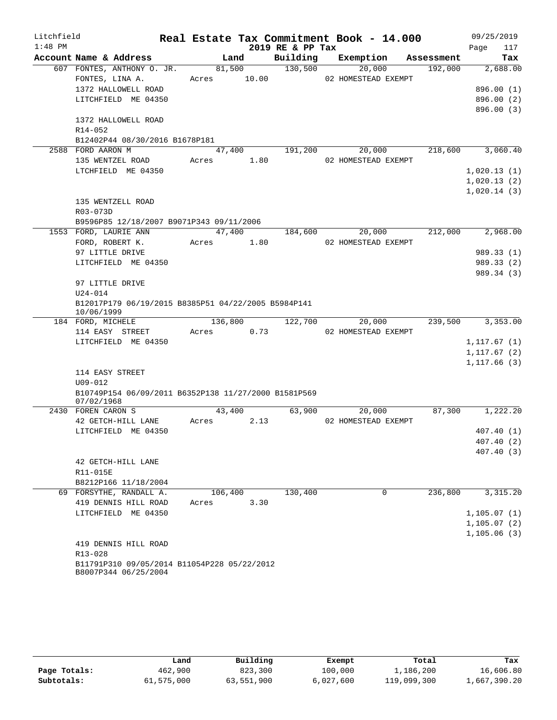| Litchfield |                                                                     |       |         |                  | Real Estate Tax Commitment Book - 14.000 |            | 09/25/2019    |
|------------|---------------------------------------------------------------------|-------|---------|------------------|------------------------------------------|------------|---------------|
| $1:48$ PM  |                                                                     |       |         | 2019 RE & PP Tax |                                          |            | 117<br>Page   |
|            | Account Name & Address                                              |       | Land    | Building         | Exemption                                | Assessment | Tax           |
|            | 607 FONTES, ANTHONY O. JR.                                          |       | 81,500  | 130,500          | 20,000                                   | 192,000    | 2,688.00      |
|            | FONTES, LINA A.                                                     | Acres | 10.00   |                  | 02 HOMESTEAD EXEMPT                      |            |               |
|            | 1372 HALLOWELL ROAD                                                 |       |         |                  |                                          |            | 896.00 (1)    |
|            | LITCHFIELD ME 04350                                                 |       |         |                  |                                          |            | 896.00 (2)    |
|            |                                                                     |       |         |                  |                                          |            | 896.00 (3)    |
|            | 1372 HALLOWELL ROAD                                                 |       |         |                  |                                          |            |               |
|            | $R14 - 052$                                                         |       |         |                  |                                          |            |               |
|            | B12402P44 08/30/2016 B1678P181                                      |       |         |                  |                                          |            |               |
|            | 2588 FORD AARON M                                                   |       | 47,400  | 191,200          | 20,000                                   | 218,600    | 3,060.40      |
|            | 135 WENTZEL ROAD                                                    | Acres | 1.80    |                  | 02 HOMESTEAD EXEMPT                      |            |               |
|            | LTCHFIELD ME 04350                                                  |       |         |                  |                                          |            | 1,020.13(1)   |
|            |                                                                     |       |         |                  |                                          |            | 1,020.13(2)   |
|            |                                                                     |       |         |                  |                                          |            | 1,020.14(3)   |
|            | 135 WENTZELL ROAD<br>R03-073D                                       |       |         |                  |                                          |            |               |
|            | B9596P85 12/18/2007 B9071P343 09/11/2006                            |       |         |                  |                                          |            |               |
|            | 1553 FORD, LAURIE ANN                                               |       | 47,400  | 184,600          | 20,000                                   | 212,000    | 2,968.00      |
|            | FORD, ROBERT K.                                                     | Acres | 1.80    |                  | 02 HOMESTEAD EXEMPT                      |            |               |
|            | 97 LITTLE DRIVE                                                     |       |         |                  |                                          |            | 989.33(1)     |
|            | LITCHFIELD ME 04350                                                 |       |         |                  |                                          |            | 989.33(2)     |
|            |                                                                     |       |         |                  |                                          |            | 989.34 (3)    |
|            | 97 LITTLE DRIVE                                                     |       |         |                  |                                          |            |               |
|            | $U24 - 014$                                                         |       |         |                  |                                          |            |               |
|            | B12017P179 06/19/2015 B8385P51 04/22/2005 B5984P141<br>10/06/1999   |       |         |                  |                                          |            |               |
|            | 184 FORD, MICHELE                                                   |       | 136,800 | 122,700          | 20,000                                   | 239,500    | 3,353.00      |
|            | 114 EASY STREET                                                     | Acres | 0.73    |                  | 02 HOMESTEAD EXEMPT                      |            |               |
|            | LITCHFIELD ME 04350                                                 |       |         |                  |                                          |            | 1, 117.67(1)  |
|            |                                                                     |       |         |                  |                                          |            | 1, 117.67 (2) |
|            |                                                                     |       |         |                  |                                          |            | 1,117.66(3)   |
|            | 114 EASY STREET                                                     |       |         |                  |                                          |            |               |
|            | $U09 - 012$                                                         |       |         |                  |                                          |            |               |
|            | B10749P154 06/09/2011 B6352P138 11/27/2000 B1581P569<br>07/02/1968  |       |         |                  |                                          |            |               |
|            | 2430 FOREN CARON S                                                  |       | 43,400  | 63,900           | 20,000                                   | 87,300     | 1,222.20      |
|            | 42 GETCH-HILL LANE                                                  | Acres | 2.13    |                  | 02 HOMESTEAD EXEMPT                      |            |               |
|            | LITCHFIELD ME 04350                                                 |       |         |                  |                                          |            | 407.40 (1)    |
|            |                                                                     |       |         |                  |                                          |            | 407.40(2)     |
|            |                                                                     |       |         |                  |                                          |            | 407.40(3)     |
|            | 42 GETCH-HILL LANE                                                  |       |         |                  |                                          |            |               |
|            | R11-015E                                                            |       |         |                  |                                          |            |               |
|            | B8212P166 11/18/2004<br>69 FORSYTHE, RANDALL A.                     |       | 106,400 | 130,400          | 0                                        | 236,800    | 3,315.20      |
|            | 419 DENNIS HILL ROAD                                                | Acres | 3.30    |                  |                                          |            |               |
|            | LITCHFIELD ME 04350                                                 |       |         |                  |                                          |            | 1, 105.07(1)  |
|            |                                                                     |       |         |                  |                                          |            | 1, 105.07(2)  |
|            |                                                                     |       |         |                  |                                          |            | 1, 105.06(3)  |
|            | 419 DENNIS HILL ROAD                                                |       |         |                  |                                          |            |               |
|            | R13-028                                                             |       |         |                  |                                          |            |               |
|            | B11791P310 09/05/2014 B11054P228 05/22/2012<br>B8007P344 06/25/2004 |       |         |                  |                                          |            |               |

|              | Land       | Building   | Exempt    | Total       | Tax          |
|--------------|------------|------------|-----------|-------------|--------------|
| Page Totals: | 462,900    | 823,300    | 100,000   | 1,186,200   | 16,606.80    |
| Subtotals:   | 61,575,000 | 63,551,900 | 6,027,600 | 119,099,300 | 1,667,390.20 |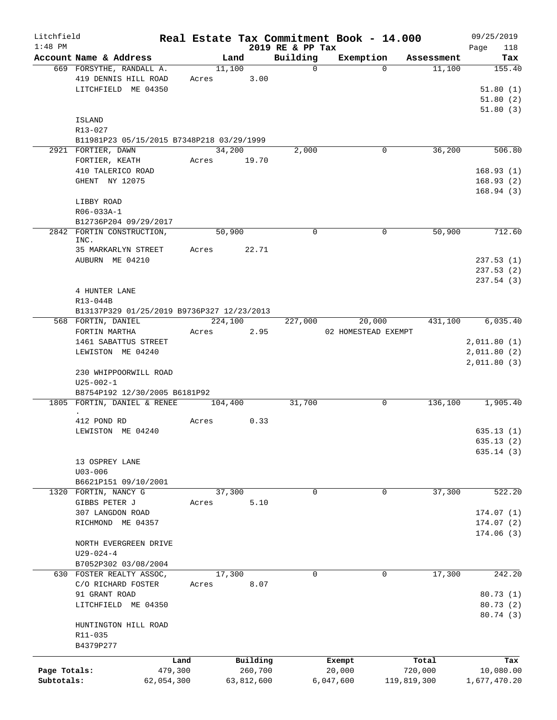| Litchfield   |                                                                      |            |        |             |                              | Real Estate Tax Commitment Book - 14.000 |             |                      | 09/25/2019    |
|--------------|----------------------------------------------------------------------|------------|--------|-------------|------------------------------|------------------------------------------|-------------|----------------------|---------------|
| $1:48$ PM    | Account Name & Address                                               |            |        | Land        | 2019 RE & PP Tax<br>Building | Exemption                                |             |                      | Page<br>118   |
|              | 669 FORSYTHE, RANDALL A.                                             |            | 11,100 |             | $\mathbf 0$                  |                                          | $\Omega$    | Assessment<br>11,100 | Tax<br>155.40 |
|              | 419 DENNIS HILL ROAD                                                 |            |        | Acres 3.00  |                              |                                          |             |                      |               |
|              | LITCHFIELD ME 04350                                                  |            |        |             |                              |                                          |             |                      | 51.80(1)      |
|              |                                                                      |            |        |             |                              |                                          |             |                      | 51.80(2)      |
|              |                                                                      |            |        |             |                              |                                          |             |                      | 51.80(3)      |
|              | ISLAND                                                               |            |        |             |                              |                                          |             |                      |               |
|              | R13-027                                                              |            |        |             |                              |                                          |             |                      |               |
|              | B11981P23 05/15/2015 B7348P218 03/29/1999                            |            |        |             |                              |                                          |             |                      |               |
|              | 2921 FORTIER, DAWN                                                   |            | 34,200 |             | 2,000                        |                                          | 0           | 36,200               | 506.80        |
|              | FORTIER, KEATH                                                       |            |        | Acres 19.70 |                              |                                          |             |                      |               |
|              | 410 TALERICO ROAD                                                    |            |        |             |                              |                                          |             |                      | 168.93(1)     |
|              | GHENT NY 12075                                                       |            |        |             |                              |                                          |             |                      | 168.93(2)     |
|              |                                                                      |            |        |             |                              |                                          |             |                      | 168.94(3)     |
|              | LIBBY ROAD                                                           |            |        |             |                              |                                          |             |                      |               |
|              | R06-033A-1                                                           |            |        |             |                              |                                          |             |                      |               |
|              | B12736P204 09/29/2017                                                |            |        |             |                              |                                          |             |                      |               |
|              | 2842 FORTIN CONSTRUCTION,<br>INC.                                    |            | 50,900 |             | 0                            |                                          | $\mathbf 0$ | 50,900               | 712.60        |
|              | 35 MARKARLYN STREET                                                  |            | Acres  | 22.71       |                              |                                          |             |                      |               |
|              | AUBURN ME 04210                                                      |            |        |             |                              |                                          |             |                      | 237.53(1)     |
|              |                                                                      |            |        |             |                              |                                          |             |                      | 237.53(2)     |
|              |                                                                      |            |        |             |                              |                                          |             |                      | 237.54(3)     |
|              | 4 HUNTER LANE                                                        |            |        |             |                              |                                          |             |                      |               |
|              | R13-044B                                                             |            |        |             |                              |                                          |             |                      |               |
|              | B13137P329 01/25/2019 B9736P327 12/23/2013                           |            |        |             |                              |                                          |             |                      |               |
|              | 568 FORTIN, DANIEL                                                   |            |        | 224,100     | 227,000                      | 20,000                                   |             | 431,100              | 6,035.40      |
|              | FORTIN MARTHA                                                        | Acres      |        | 2.95        |                              | 02 HOMESTEAD EXEMPT                      |             |                      |               |
|              | 1461 SABATTUS STREET                                                 |            |        |             |                              |                                          |             |                      | 2,011.80(1)   |
|              | LEWISTON ME 04240                                                    |            |        |             |                              |                                          |             |                      | 2,011.80(2)   |
|              |                                                                      |            |        |             |                              |                                          |             |                      | 2,011.80(3)   |
|              | 230 WHIPPOORWILL ROAD                                                |            |        |             |                              |                                          |             |                      |               |
|              | $U25 - 002 - 1$                                                      |            |        |             |                              |                                          |             |                      |               |
|              | B8754P192 12/30/2005 B6181P92<br>1805 FORTIN, DANIEL & RENEE 104,400 |            |        |             | 31,700                       |                                          | $\mathbf 0$ | 136,100              | 1,905.40      |
|              |                                                                      |            |        |             |                              |                                          |             |                      |               |
|              | 412 POND RD                                                          | Acres      |        | 0.33        |                              |                                          |             |                      |               |
|              | LEWISTON ME 04240                                                    |            |        |             |                              |                                          |             |                      | 635.13(1)     |
|              |                                                                      |            |        |             |                              |                                          |             |                      | 635.13(2)     |
|              |                                                                      |            |        |             |                              |                                          |             |                      | 635.14(3)     |
|              | 13 OSPREY LANE                                                       |            |        |             |                              |                                          |             |                      |               |
|              | $U03 - 006$                                                          |            |        |             |                              |                                          |             |                      |               |
|              | B6621P151 09/10/2001                                                 |            |        |             |                              |                                          |             |                      |               |
| 1320         | FORTIN, NANCY G                                                      |            | 37,300 |             | 0                            |                                          | 0           | 37,300               | 522.20        |
|              | GIBBS PETER J                                                        | Acres      |        | 5.10        |                              |                                          |             |                      |               |
|              | 307 LANGDON ROAD                                                     |            |        |             |                              |                                          |             |                      | 174.07(1)     |
|              | RICHMOND ME 04357                                                    |            |        |             |                              |                                          |             |                      | 174.07(2)     |
|              |                                                                      |            |        |             |                              |                                          |             |                      | 174.06(3)     |
|              | NORTH EVERGREEN DRIVE                                                |            |        |             |                              |                                          |             |                      |               |
|              | $U29 - 024 - 4$<br>B7052P302 03/08/2004                              |            |        |             |                              |                                          |             |                      |               |
|              | 630 FOSTER REALTY ASSOC,                                             |            | 17,300 |             | 0                            |                                          | 0           | 17,300               | 242.20        |
|              | C/O RICHARD FOSTER                                                   | Acres      |        | 8.07        |                              |                                          |             |                      |               |
|              | 91 GRANT ROAD                                                        |            |        |             |                              |                                          |             |                      | 80.73(1)      |
|              | LITCHFIELD ME 04350                                                  |            |        |             |                              |                                          |             |                      | 80.73(2)      |
|              |                                                                      |            |        |             |                              |                                          |             |                      | 80.74 (3)     |
|              | HUNTINGTON HILL ROAD                                                 |            |        |             |                              |                                          |             |                      |               |
|              | R11-035                                                              |            |        |             |                              |                                          |             |                      |               |
|              | B4379P277                                                            |            |        |             |                              |                                          |             |                      |               |
|              |                                                                      | Land       |        | Building    |                              | Exempt                                   |             | Total                | Tax           |
| Page Totals: |                                                                      | 479,300    |        | 260,700     |                              | 20,000                                   |             | 720,000              | 10,080.00     |
| Subtotals:   |                                                                      | 62,054,300 |        | 63,812,600  |                              | 6,047,600                                | 119,819,300 |                      | 1,677,470.20  |
|              |                                                                      |            |        |             |                              |                                          |             |                      |               |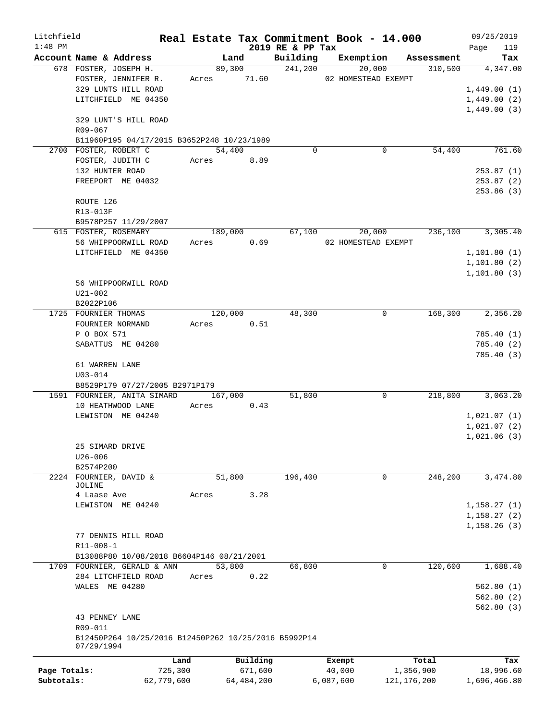| Litchfield   |                                                      |            |             |                  | Real Estate Tax Commitment Book - 14.000 |               | 09/25/2019   |
|--------------|------------------------------------------------------|------------|-------------|------------------|------------------------------------------|---------------|--------------|
| $1:48$ PM    |                                                      |            |             | 2019 RE & PP Tax |                                          |               | 119<br>Page  |
|              | Account Name & Address                               |            | Land        | Building         | Exemption                                | Assessment    | Tax          |
|              | 678 FOSTER, JOSEPH H.                                |            | 89,300      | 241,200          | 20,000                                   | 310,500       | 4,347.00     |
|              | FOSTER, JENNIFER R.                                  |            | Acres 71.60 |                  | 02 HOMESTEAD EXEMPT                      |               |              |
|              | 329 LUNTS HILL ROAD                                  |            |             |                  |                                          |               | 1,449.00(1)  |
|              | LITCHFIELD ME 04350                                  |            |             |                  |                                          |               | 1,449.00(2)  |
|              |                                                      |            |             |                  |                                          |               | 1,449.00(3)  |
|              | 329 LUNT'S HILL ROAD                                 |            |             |                  |                                          |               |              |
|              | R09-067                                              |            |             |                  |                                          |               |              |
|              | B11960P195 04/17/2015 B3652P248 10/23/1989           |            |             |                  |                                          |               |              |
|              | 2700 FOSTER, ROBERT C                                |            | 54,400      | 0                | 0                                        | 54,400        | 761.60       |
|              | FOSTER, JUDITH C                                     | Acres      | 8.89        |                  |                                          |               |              |
|              | 132 HUNTER ROAD                                      |            |             |                  |                                          |               | 253.87(1)    |
|              | FREEPORT ME 04032                                    |            |             |                  |                                          |               | 253.87 (2)   |
|              |                                                      |            |             |                  |                                          |               | 253.86(3)    |
|              | ROUTE 126                                            |            |             |                  |                                          |               |              |
|              | R13-013F                                             |            |             |                  |                                          |               |              |
|              | B9578P257 11/29/2007                                 |            |             |                  |                                          |               |              |
|              | 615 FOSTER, ROSEMARY                                 |            | 189,000     | 67,100           | 20,000                                   | 236,100       | 3,305.40     |
|              | 56 WHIPPOORWILL ROAD                                 | Acres      | 0.69        |                  | 02 HOMESTEAD EXEMPT                      |               |              |
|              | LITCHFIELD ME 04350                                  |            |             |                  |                                          |               | 1, 101.80(1) |
|              |                                                      |            |             |                  |                                          |               | 1, 101.80(2) |
|              |                                                      |            |             |                  |                                          |               | 1, 101.80(3) |
|              | 56 WHIPPOORWILL ROAD                                 |            |             |                  |                                          |               |              |
|              | $U21 - 002$                                          |            |             |                  |                                          |               |              |
|              | B2022P106                                            |            |             |                  |                                          |               |              |
|              | 1725 FOURNIER THOMAS                                 |            | 120,000     | 48,300           | 0                                        | 168,300       | 2,356.20     |
|              | FOURNIER NORMAND                                     | Acres      | 0.51        |                  |                                          |               |              |
|              | P O BOX 571                                          |            |             |                  |                                          |               | 785.40(1)    |
|              | SABATTUS ME 04280                                    |            |             |                  |                                          |               | 785.40(2)    |
|              |                                                      |            |             |                  |                                          |               | 785.40 (3)   |
|              | 61 WARREN LANE<br>$U03 - 014$                        |            |             |                  |                                          |               |              |
|              | B8529P179 07/27/2005 B2971P179                       |            |             |                  |                                          |               |              |
|              | 1591 FOURNIER, ANITA SIMARD                          |            | 167,000     | 51,800           | 0                                        | 218,800       | 3,063.20     |
|              | 10 HEATHWOOD LANE                                    | Acres      | 0.43        |                  |                                          |               |              |
|              | LEWISTON ME 04240                                    |            |             |                  |                                          |               | 1,021.07(1)  |
|              |                                                      |            |             |                  |                                          |               | 1,021.07(2)  |
|              |                                                      |            |             |                  |                                          |               | 1,021.06(3)  |
|              | 25 SIMARD DRIVE                                      |            |             |                  |                                          |               |              |
|              | $U26 - 006$                                          |            |             |                  |                                          |               |              |
|              | B2574P200                                            |            |             |                  |                                          |               |              |
|              | 2224 FOURNIER, DAVID &                               |            | 51,800      | 196,400          | 0                                        | 248,200       | 3,474.80     |
|              | JOLINE                                               |            |             |                  |                                          |               |              |
|              | 4 Laase Ave                                          | Acres      | 3.28        |                  |                                          |               |              |
|              | LEWISTON ME 04240                                    |            |             |                  |                                          |               | 1,158.27(1)  |
|              |                                                      |            |             |                  |                                          |               | 1, 158.27(2) |
|              |                                                      |            |             |                  |                                          |               | 1,158.26(3)  |
|              | 77 DENNIS HILL ROAD                                  |            |             |                  |                                          |               |              |
|              | R11-008-1                                            |            |             |                  |                                          |               |              |
|              | B13088P80 10/08/2018 B6604P146 08/21/2001            |            |             |                  |                                          |               |              |
|              | 1709 FOURNIER, GERALD & ANN                          |            | 53,800      | 66,800           | 0                                        | 120,600       | 1,688.40     |
|              | 284 LITCHFIELD ROAD                                  | Acres      | 0.22        |                  |                                          |               |              |
|              | WALES ME 04280                                       |            |             |                  |                                          |               | 562.80(1)    |
|              |                                                      |            |             |                  |                                          |               | 562.80(2)    |
|              |                                                      |            |             |                  |                                          |               | 562.80(3)    |
|              | 43 PENNEY LANE                                       |            |             |                  |                                          |               |              |
|              | R09-011                                              |            |             |                  |                                          |               |              |
|              | B12450P264 10/25/2016 B12450P262 10/25/2016 B5992P14 |            |             |                  |                                          |               |              |
|              | 07/29/1994                                           |            |             |                  |                                          |               |              |
|              |                                                      | Land       | Building    |                  | Exempt                                   | Total         | Tax          |
| Page Totals: |                                                      | 725,300    | 671,600     |                  | 40,000                                   | 1,356,900     | 18,996.60    |
| Subtotals:   |                                                      | 62,779,600 | 64,484,200  |                  | 6,087,600                                | 121, 176, 200 | 1,696,466.80 |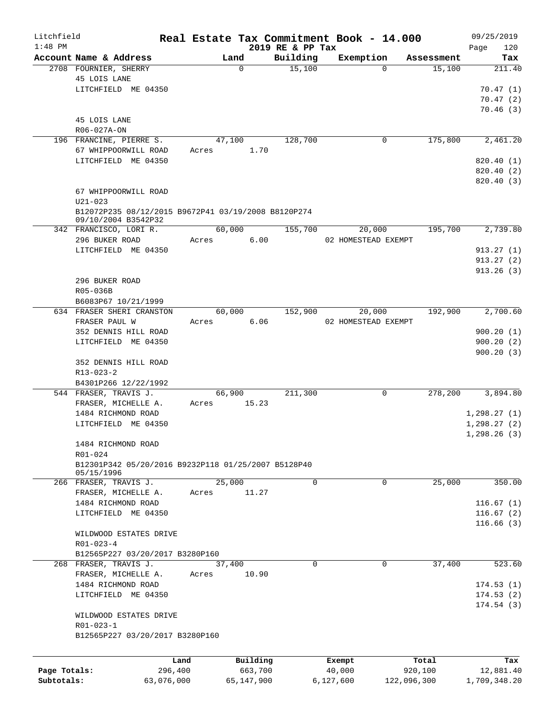| Litchfield   |                                                     |       |                  |                    | Real Estate Tax Commitment Book - 14.000 |                      | 09/25/2019    |
|--------------|-----------------------------------------------------|-------|------------------|--------------------|------------------------------------------|----------------------|---------------|
| $1:48$ PM    | Account Name & Address                              |       |                  | 2019 RE & PP Tax   |                                          |                      | 120<br>Page   |
|              | 2708 FOURNIER, SHERRY                               |       | Land<br>$\Omega$ | Building<br>15,100 | Exemption<br>$\Omega$                    | Assessment<br>15,100 | Tax<br>211.40 |
|              | 45 LOIS LANE                                        |       |                  |                    |                                          |                      |               |
|              | LITCHFIELD ME 04350                                 |       |                  |                    |                                          |                      | 70.47(1)      |
|              |                                                     |       |                  |                    |                                          |                      |               |
|              |                                                     |       |                  |                    |                                          |                      | 70.47(2)      |
|              |                                                     |       |                  |                    |                                          |                      | 70.46(3)      |
|              | 45 LOIS LANE                                        |       |                  |                    |                                          |                      |               |
|              | R06-027A-ON                                         |       |                  |                    |                                          |                      |               |
|              | 196 FRANCINE, PIERRE S.                             |       | 47,100           | 128,700            | 0                                        | 175,800              | 2,461.20      |
|              | 67 WHIPPOORWILL ROAD                                | Acres | 1.70             |                    |                                          |                      |               |
|              | LITCHFIELD ME 04350                                 |       |                  |                    |                                          |                      | 820.40(1)     |
|              |                                                     |       |                  |                    |                                          |                      | 820.40 (2)    |
|              |                                                     |       |                  |                    |                                          |                      | 820.40 (3)    |
|              | 67 WHIPPOORWILL ROAD                                |       |                  |                    |                                          |                      |               |
|              | $U21 - 023$                                         |       |                  |                    |                                          |                      |               |
|              | B12072P235 08/12/2015 B9672P41 03/19/2008 B8120P274 |       |                  |                    |                                          |                      |               |
|              | 09/10/2004 B3542P32                                 |       |                  |                    |                                          |                      |               |
|              | 342 FRANCISCO, LORI R.                              |       | 60,000           | 155,700            | 20,000                                   | 195,700              | 2,739.80      |
|              | 296 BUKER ROAD                                      | Acres | 6.00             |                    | 02 HOMESTEAD EXEMPT                      |                      |               |
|              | LITCHFIELD ME 04350                                 |       |                  |                    |                                          |                      | 913.27(1)     |
|              |                                                     |       |                  |                    |                                          |                      | 913.27(2)     |
|              |                                                     |       |                  |                    |                                          |                      | 913.26(3)     |
|              | 296 BUKER ROAD                                      |       |                  |                    |                                          |                      |               |
|              | R05-036B                                            |       |                  |                    |                                          |                      |               |
|              | B6083P67 10/21/1999                                 |       |                  |                    |                                          |                      |               |
|              | 634 FRASER SHERI CRANSTON                           |       | 60,000           | 152,900            | 20,000                                   | 192,900              | 2,700.60      |
|              | FRASER PAUL W                                       | Acres | 6.06             |                    | 02 HOMESTEAD EXEMPT                      |                      |               |
|              |                                                     |       |                  |                    |                                          |                      |               |
|              | 352 DENNIS HILL ROAD                                |       |                  |                    |                                          |                      | 900.20(1)     |
|              | LITCHFIELD ME 04350                                 |       |                  |                    |                                          |                      | 900.20(2)     |
|              |                                                     |       |                  |                    |                                          |                      | 900.20(3)     |
|              | 352 DENNIS HILL ROAD                                |       |                  |                    |                                          |                      |               |
|              | R13-023-2                                           |       |                  |                    |                                          |                      |               |
|              | B4301P266 12/22/1992                                |       |                  |                    |                                          |                      |               |
|              | 544 FRASER, TRAVIS J.                               |       | 66,900           | 211,300            | 0                                        | 278,200              | 3,894.80      |
|              | FRASER, MICHELLE A.                                 | Acres | 15.23            |                    |                                          |                      |               |
|              | 1484 RICHMOND ROAD                                  |       |                  |                    |                                          |                      | 1,298.27(1)   |
|              | LITCHFIELD ME 04350                                 |       |                  |                    |                                          |                      | 1, 298.27(2)  |
|              |                                                     |       |                  |                    |                                          |                      | 1, 298.26(3)  |
|              | 1484 RICHMOND ROAD                                  |       |                  |                    |                                          |                      |               |
|              | R01-024                                             |       |                  |                    |                                          |                      |               |
|              | B12301P342 05/20/2016 B9232P118 01/25/2007 B5128P40 |       |                  |                    |                                          |                      |               |
|              | 05/15/1996                                          |       |                  |                    |                                          |                      |               |
|              | 266 FRASER, TRAVIS J.                               |       | 25,000           | $\mathbf 0$        | 0                                        | 25,000               | 350.00        |
|              | FRASER, MICHELLE A.                                 | Acres | 11.27            |                    |                                          |                      |               |
|              | 1484 RICHMOND ROAD                                  |       |                  |                    |                                          |                      | 116.67(1)     |
|              | LITCHFIELD ME 04350                                 |       |                  |                    |                                          |                      | 116.67(2)     |
|              |                                                     |       |                  |                    |                                          |                      | 116.66(3)     |
|              | WILDWOOD ESTATES DRIVE                              |       |                  |                    |                                          |                      |               |
|              | $R01 - 023 - 4$                                     |       |                  |                    |                                          |                      |               |
|              | B12565P227 03/20/2017 B3280P160                     |       |                  |                    |                                          |                      |               |
|              | 268 FRASER, TRAVIS J.                               |       | 37,400           | $\mathbf 0$        | 0                                        | 37,400               | 523.60        |
|              | FRASER, MICHELLE A.                                 | Acres | 10.90            |                    |                                          |                      |               |
|              | 1484 RICHMOND ROAD                                  |       |                  |                    |                                          |                      | 174.53(1)     |
|              |                                                     |       |                  |                    |                                          |                      |               |
|              | LITCHFIELD ME 04350                                 |       |                  |                    |                                          |                      | 174.53(2)     |
|              |                                                     |       |                  |                    |                                          |                      | 174.54(3)     |
|              | WILDWOOD ESTATES DRIVE                              |       |                  |                    |                                          |                      |               |
|              | R01-023-1                                           |       |                  |                    |                                          |                      |               |
|              | B12565P227 03/20/2017 B3280P160                     |       |                  |                    |                                          |                      |               |
|              |                                                     |       |                  |                    |                                          |                      |               |
|              |                                                     | Land  | Building         |                    | Exempt                                   | Total                | Tax           |
| Page Totals: | 296,400                                             |       | 663,700          |                    | 40,000                                   | 920,100              | 12,881.40     |
| Subtotals:   | 63,076,000                                          |       | 65,147,900       |                    | 6,127,600                                | 122,096,300          | 1,709,348.20  |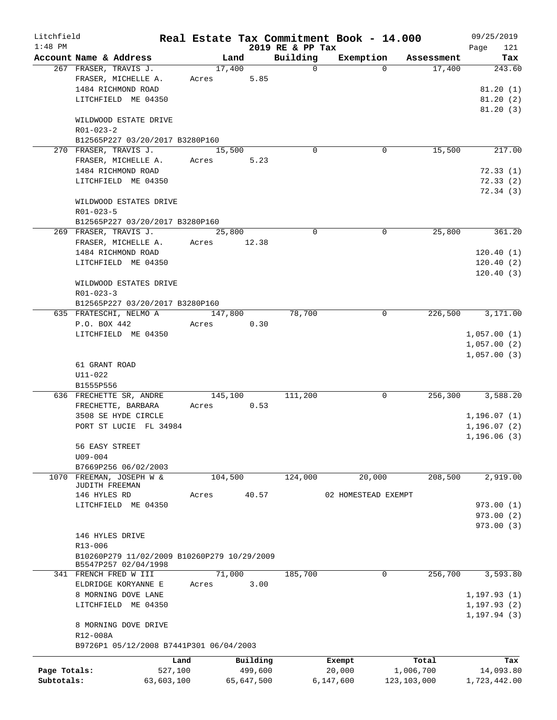| Litchfield<br>$1:48$ PM |                                                    |            |         |            | 2019 RE & PP Tax | Real Estate Tax Commitment Book - 14.000 |               |            | 09/25/2019   | 121       |
|-------------------------|----------------------------------------------------|------------|---------|------------|------------------|------------------------------------------|---------------|------------|--------------|-----------|
|                         | Account Name & Address                             |            | Land    |            | Building         | Exemption                                |               | Assessment | Page         | Tax       |
|                         | 267 FRASER, TRAVIS J.                              |            | 17,400  |            | $\Omega$         |                                          | $\Omega$      | 17,400     |              | 243.60    |
|                         | FRASER, MICHELLE A.                                | Acres      |         | 5.85       |                  |                                          |               |            |              |           |
|                         | 1484 RICHMOND ROAD                                 |            |         |            |                  |                                          |               |            |              | 81.20(1)  |
|                         | LITCHFIELD ME 04350                                |            |         |            |                  |                                          |               |            |              | 81.20(2)  |
|                         |                                                    |            |         |            |                  |                                          |               |            |              | 81.20(3)  |
|                         | WILDWOOD ESTATE DRIVE                              |            |         |            |                  |                                          |               |            |              |           |
|                         | $R01 - 023 - 2$<br>B12565P227 03/20/2017 B3280P160 |            |         |            |                  |                                          |               |            |              |           |
|                         | 270 FRASER, TRAVIS J.                              |            | 15,500  |            | $\Omega$         |                                          | 0             | 15,500     |              | 217.00    |
|                         | FRASER, MICHELLE A.                                | Acres      |         | 5.23       |                  |                                          |               |            |              |           |
|                         | 1484 RICHMOND ROAD                                 |            |         |            |                  |                                          |               |            |              | 72.33(1)  |
|                         | LITCHFIELD ME 04350                                |            |         |            |                  |                                          |               |            |              | 72.33(2)  |
|                         |                                                    |            |         |            |                  |                                          |               |            |              | 72.34 (3) |
|                         | WILDWOOD ESTATES DRIVE                             |            |         |            |                  |                                          |               |            |              |           |
|                         | R01-023-5                                          |            |         |            |                  |                                          |               |            |              |           |
|                         | B12565P227 03/20/2017 B3280P160                    |            |         |            |                  |                                          |               |            |              |           |
|                         | 269 FRASER, TRAVIS J.                              |            | 25,800  |            | $\Omega$         |                                          | $\mathbf 0$   | 25,800     |              | 361.20    |
|                         | FRASER, MICHELLE A.                                | Acres      |         | 12.38      |                  |                                          |               |            |              |           |
|                         | 1484 RICHMOND ROAD                                 |            |         |            |                  |                                          |               |            | 120.40(1)    |           |
|                         | LITCHFIELD ME 04350                                |            |         |            |                  |                                          |               |            | 120.40(2)    |           |
|                         |                                                    |            |         |            |                  |                                          |               |            | 120.40(3)    |           |
|                         | WILDWOOD ESTATES DRIVE                             |            |         |            |                  |                                          |               |            |              |           |
|                         | $R01 - 023 - 3$                                    |            |         |            |                  |                                          |               |            |              |           |
|                         | B12565P227 03/20/2017 B3280P160                    |            |         |            |                  |                                          |               |            |              |           |
|                         | 635 FRATESCHI, NELMO A                             |            | 147,800 |            | 78,700           |                                          | $\mathbf 0$   | 226,500    |              | 3,171.00  |
|                         | P.O. BOX 442                                       | Acres      |         | 0.30       |                  |                                          |               |            |              |           |
|                         | LITCHFIELD ME 04350                                |            |         |            |                  |                                          |               |            | 1,057.00(1)  |           |
|                         |                                                    |            |         |            |                  |                                          |               |            | 1,057.00(2)  |           |
|                         |                                                    |            |         |            |                  |                                          |               |            | 1,057.00(3)  |           |
|                         | 61 GRANT ROAD                                      |            |         |            |                  |                                          |               |            |              |           |
|                         | $U11 - 022$                                        |            |         |            |                  |                                          |               |            |              |           |
|                         | B1555P556                                          |            |         |            |                  |                                          |               |            |              |           |
|                         | 636 FRECHETTE SR, ANDRE                            |            | 145,100 |            | 111,200          |                                          | 0             | 256,300    |              | 3,588.20  |
|                         | FRECHETTE, BARBARA                                 | Acres      |         | 0.53       |                  |                                          |               |            |              |           |
|                         | 3508 SE HYDE CIRCLE                                |            |         |            |                  |                                          |               |            | 1,196.07(1)  |           |
|                         | PORT ST LUCIE FL 34984                             |            |         |            |                  |                                          |               |            | 1,196.07(2)  |           |
|                         |                                                    |            |         |            |                  |                                          |               |            | 1,196.06(3)  |           |
|                         | 56 EASY STREET                                     |            |         |            |                  |                                          |               |            |              |           |
|                         | $U09 - 004$                                        |            |         |            |                  |                                          |               |            |              |           |
|                         | B7669P256 06/02/2003                               |            |         |            |                  |                                          |               |            |              |           |
| 1070                    | FREEMAN, JOSEPH W &                                |            | 104,500 |            | 124,000          | 20,000                                   |               | 208,500    |              | 2,919.00  |
|                         | JUDITH FREEMAN                                     |            |         |            |                  |                                          |               |            |              |           |
|                         | 146 HYLES RD                                       | Acres      |         | 40.57      |                  | 02 HOMESTEAD EXEMPT                      |               |            |              |           |
|                         | LITCHFIELD ME 04350                                |            |         |            |                  |                                          |               |            | 973.00(1)    |           |
|                         |                                                    |            |         |            |                  |                                          |               |            | 973.00(2)    |           |
|                         |                                                    |            |         |            |                  |                                          |               |            | 973.00(3)    |           |
|                         | 146 HYLES DRIVE                                    |            |         |            |                  |                                          |               |            |              |           |
|                         | R13-006                                            |            |         |            |                  |                                          |               |            |              |           |
|                         | B10260P279 11/02/2009 B10260P279 10/29/2009        |            |         |            |                  |                                          |               |            |              |           |
|                         | B5547P257 02/04/1998                               |            |         |            |                  |                                          |               |            |              |           |
|                         | 341 FRENCH FRED W III                              |            | 71,000  |            | 185,700          |                                          | 0             | 256,700    |              | 3,593.80  |
|                         | ELDRIDGE KORYANNE E                                | Acres      |         | 3.00       |                  |                                          |               |            |              |           |
|                         | 8 MORNING DOVE LANE                                |            |         |            |                  |                                          |               |            | 1, 197.93(1) |           |
|                         | LITCHFIELD ME 04350                                |            |         |            |                  |                                          |               |            | 1, 197.93(2) |           |
|                         |                                                    |            |         |            |                  |                                          |               |            | 1, 197.94(3) |           |
|                         | 8 MORNING DOVE DRIVE                               |            |         |            |                  |                                          |               |            |              |           |
|                         | R12-008A                                           |            |         |            |                  |                                          |               |            |              |           |
|                         | B9726P1 05/12/2008 B7441P301 06/04/2003            |            |         |            |                  |                                          |               |            |              |           |
|                         |                                                    | Land       |         | Building   |                  | Exempt                                   |               | Total      |              | Tax       |
| Page Totals:            |                                                    | 527,100    |         | 499,600    |                  | 20,000                                   | 1,006,700     |            |              | 14,093.80 |
| Subtotals:              |                                                    | 63,603,100 |         | 65,647,500 |                  | 6,147,600                                | 123, 103, 000 |            | 1,723,442.00 |           |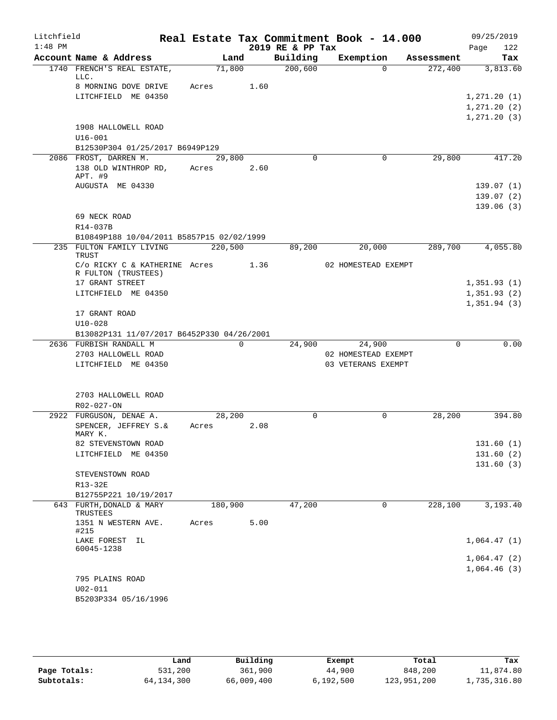| Litchfield |                                            |       |         |          | Real Estate Tax Commitment Book - 14.000 |                     |            | 09/25/2019   |
|------------|--------------------------------------------|-------|---------|----------|------------------------------------------|---------------------|------------|--------------|
| $1:48$ PM  |                                            |       |         |          | 2019 RE & PP Tax                         |                     |            | 122<br>Page  |
|            | Account Name & Address                     |       | Land    |          | Building                                 | Exemption           | Assessment | Tax          |
|            | 1740 FRENCH'S REAL ESTATE,<br>LLC.         |       | 71,800  |          | 200,600                                  | $\Omega$            | 272,400    | 3,813.60     |
|            | 8 MORNING DOVE DRIVE                       | Acres |         | 1.60     |                                          |                     |            |              |
|            | LITCHFIELD ME 04350                        |       |         |          |                                          |                     |            | 1, 271.20(1) |
|            |                                            |       |         |          |                                          |                     |            | 1, 271.20(2) |
|            |                                            |       |         |          |                                          |                     |            | 1, 271.20(3) |
|            | 1908 HALLOWELL ROAD                        |       |         |          |                                          |                     |            |              |
|            | $U16 - 001$                                |       |         |          |                                          |                     |            |              |
|            | B12530P304 01/25/2017 B6949P129            |       |         |          |                                          |                     |            |              |
|            | 2086 FROST, DARREN M.                      |       | 29,800  |          | $\Omega$                                 | 0                   | 29,800     | 417.20       |
|            | 138 OLD WINTHROP RD,<br>APT. #9            | Acres |         | 2.60     |                                          |                     |            |              |
|            | AUGUSTA ME 04330                           |       |         |          |                                          |                     |            | 139.07(1)    |
|            |                                            |       |         |          |                                          |                     |            | 139.07(2)    |
|            |                                            |       |         |          |                                          |                     |            | 139.06(3)    |
|            | 69 NECK ROAD                               |       |         |          |                                          |                     |            |              |
|            | R14-037B                                   |       |         |          |                                          |                     |            |              |
|            | B10849P188 10/04/2011 B5857P15 02/02/1999  |       |         |          |                                          |                     |            |              |
|            | 235 FULTON FAMILY LIVING                   |       | 220,500 |          | 89,200                                   | 20,000              | 289,700    | 4,055.80     |
|            | <b>TRUST</b>                               |       |         |          |                                          |                     |            |              |
|            | C/o RICKY C & KATHERINE Acres              |       |         | 1.36     |                                          | 02 HOMESTEAD EXEMPT |            |              |
|            | R FULTON (TRUSTEES)                        |       |         |          |                                          |                     |            |              |
|            | 17 GRANT STREET                            |       |         |          |                                          |                     |            | 1,351.93(1)  |
|            | LITCHFIELD ME 04350                        |       |         |          |                                          |                     |            | 1,351.93(2)  |
|            |                                            |       |         |          |                                          |                     |            | 1,351.94(3)  |
|            | 17 GRANT ROAD                              |       |         |          |                                          |                     |            |              |
|            | $U10 - 028$                                |       |         |          |                                          |                     |            |              |
|            | B13082P131 11/07/2017 B6452P330 04/26/2001 |       |         |          |                                          |                     |            |              |
|            | 2636 FURBISH RANDALL M                     |       |         | $\Omega$ | 24,900                                   | 24,900              | $\Omega$   | 0.00         |
|            | 2703 HALLOWELL ROAD                        |       |         |          |                                          | 02 HOMESTEAD EXEMPT |            |              |
|            | LITCHFIELD ME 04350                        |       |         |          |                                          | 03 VETERANS EXEMPT  |            |              |
|            |                                            |       |         |          |                                          |                     |            |              |
|            |                                            |       |         |          |                                          |                     |            |              |
|            | 2703 HALLOWELL ROAD<br>$R02 - 027 - ON$    |       |         |          |                                          |                     |            |              |
|            | 2922 FURGUSON, DENAE A.                    |       | 28,200  |          | 0                                        | 0                   | 28,200     | 394.80       |
|            | SPENCER, JEFFREY S.&                       | Acres |         | 2.08     |                                          |                     |            |              |
|            | MARY K.                                    |       |         |          |                                          |                     |            |              |
|            | 82 STEVENSTOWN ROAD                        |       |         |          |                                          |                     |            | 131.60(1)    |
|            | LITCHFIELD ME 04350                        |       |         |          |                                          |                     |            | 131.60(2)    |
|            |                                            |       |         |          |                                          |                     |            | 131.60(3)    |
|            | STEVENSTOWN ROAD                           |       |         |          |                                          |                     |            |              |
|            | R13-32E                                    |       |         |          |                                          |                     |            |              |
|            | B12755P221 10/19/2017                      |       |         |          |                                          |                     |            |              |
|            | 643 FURTH, DONALD & MARY                   |       | 180,900 |          | 47,200                                   | 0                   | 228,100    | 3,193.40     |
|            | TRUSTEES                                   |       |         |          |                                          |                     |            |              |
|            | 1351 N WESTERN AVE.                        | Acres |         | 5.00     |                                          |                     |            |              |
|            | #215                                       |       |         |          |                                          |                     |            |              |
|            | LAKE FOREST IL<br>60045-1238               |       |         |          |                                          |                     |            | 1,064.47(1)  |
|            |                                            |       |         |          |                                          |                     |            | 1,064.47(2)  |
|            |                                            |       |         |          |                                          |                     |            | 1,064.46(3)  |
|            | 795 PLAINS ROAD                            |       |         |          |                                          |                     |            |              |
|            | $U02 - 011$                                |       |         |          |                                          |                     |            |              |
|            | B5203P334 05/16/1996                       |       |         |          |                                          |                     |            |              |
|            |                                            |       |         |          |                                          |                     |            |              |

|              | Land         | Building   | Exempt    | Total       | Tax          |
|--------------|--------------|------------|-----------|-------------|--------------|
| Page Totals: | 531,200      | 361,900    | 44,900    | 848,200     | 11,874.80    |
| Subtotals:   | 64, 134, 300 | 66,009,400 | 6,192,500 | 123,951,200 | 1,735,316.80 |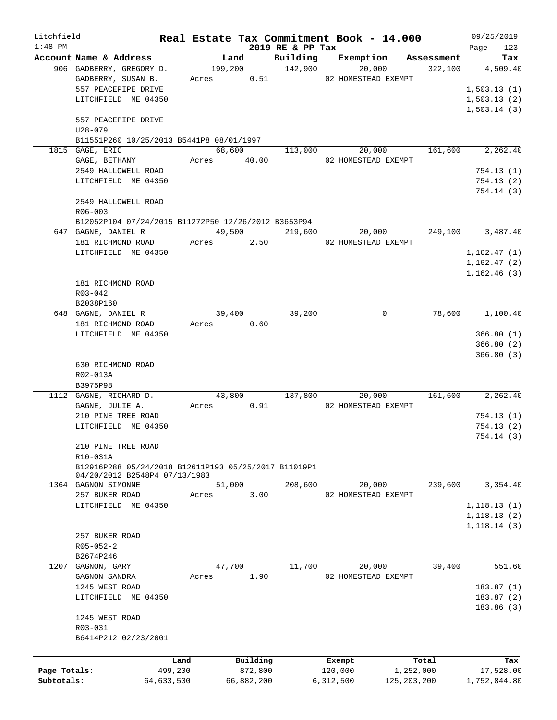| Litchfield   |                                                      | Real Estate Tax Commitment Book - 14.000 |         |             |                              |                     |                     |            | 09/25/2019   |                        |
|--------------|------------------------------------------------------|------------------------------------------|---------|-------------|------------------------------|---------------------|---------------------|------------|--------------|------------------------|
| $1:48$ PM    | Account Name & Address                               |                                          | Land    |             | 2019 RE & PP Tax<br>Building |                     | Exemption           | Assessment | Page         | 123<br>Tax             |
|              | 906 GADBERRY, GREGORY D.                             |                                          | 199,200 |             | 142,900                      |                     | 20,000              | 322,100    |              | 4,509.40               |
|              | GADBERRY, SUSAN B.                                   |                                          |         | Acres 0.51  |                              |                     | 02 HOMESTEAD EXEMPT |            |              |                        |
|              | 557 PEACEPIPE DRIVE                                  |                                          |         |             |                              |                     |                     |            | 1,503.13(1)  |                        |
|              | LITCHFIELD ME 04350                                  |                                          |         |             |                              |                     |                     |            | 1,503.13(2)  |                        |
|              |                                                      |                                          |         |             |                              |                     |                     |            | 1,503.14(3)  |                        |
|              | 557 PEACEPIPE DRIVE                                  |                                          |         |             |                              |                     |                     |            |              |                        |
|              | $U28 - 079$                                          |                                          |         |             |                              |                     |                     |            |              |                        |
|              |                                                      |                                          |         |             |                              |                     |                     |            |              |                        |
|              | B11551P260 10/25/2013 B5441P8 08/01/1997             |                                          |         |             |                              |                     |                     | 161,600    |              | 2,262.40               |
|              | 1815 GAGE, ERIC<br>GAGE, BETHANY                     |                                          | 68,600  | Acres 40.00 | 113,000                      |                     | 20,000              |            |              |                        |
|              |                                                      |                                          |         |             |                              | 02 HOMESTEAD EXEMPT |                     |            |              |                        |
|              | 2549 HALLOWELL ROAD                                  |                                          |         |             |                              |                     |                     |            |              | 754.13(1)              |
|              | LITCHFIELD ME 04350                                  |                                          |         |             |                              |                     |                     |            |              | 754.13(2)              |
|              |                                                      |                                          |         |             |                              |                     |                     |            |              | 754.14 (3)             |
|              | 2549 HALLOWELL ROAD                                  |                                          |         |             |                              |                     |                     |            |              |                        |
|              | $R06 - 003$                                          |                                          |         |             |                              |                     |                     |            |              |                        |
|              | B12052P104 07/24/2015 B11272P50 12/26/2012 B3653P94  |                                          |         |             |                              |                     |                     |            |              |                        |
|              | 647 GAGNE, DANIEL R                                  |                                          |         | 49,500      | 219,600                      |                     | 20,000              | 249,100    |              | 3,487.40               |
|              | 181 RICHMOND ROAD                                    |                                          |         | Acres 2.50  |                              |                     | 02 HOMESTEAD EXEMPT |            |              |                        |
|              | LITCHFIELD ME 04350                                  |                                          |         |             |                              |                     |                     |            | 1, 162.47(1) |                        |
|              |                                                      |                                          |         |             |                              |                     |                     |            | 1, 162.47(2) |                        |
|              |                                                      |                                          |         |             |                              |                     |                     |            | 1,162.46(3)  |                        |
|              | 181 RICHMOND ROAD                                    |                                          |         |             |                              |                     |                     |            |              |                        |
|              | R03-042                                              |                                          |         |             |                              |                     |                     |            |              |                        |
|              | B2038P160                                            |                                          |         |             |                              |                     |                     |            |              |                        |
|              | 648 GAGNE, DANIEL R                                  |                                          | 39,400  |             | 39,200                       |                     | 0                   | 78,600     |              | 1,100.40               |
|              | 181 RICHMOND ROAD                                    |                                          | Acres   | 0.60        |                              |                     |                     |            |              |                        |
|              | LITCHFIELD ME 04350                                  |                                          |         |             |                              |                     |                     |            |              | 366.80(1)              |
|              |                                                      |                                          |         |             |                              |                     |                     |            |              | 366.80(2)              |
|              |                                                      |                                          |         |             |                              |                     |                     |            |              | 366.80(3)              |
|              | 630 RICHMOND ROAD                                    |                                          |         |             |                              |                     |                     |            |              |                        |
|              | R02-013A                                             |                                          |         |             |                              |                     |                     |            |              |                        |
|              | B3975P98                                             |                                          |         |             |                              |                     |                     |            |              |                        |
|              | 1112 GAGNE, RICHARD D.                               |                                          | 43,800  |             | 137,800                      |                     | 20,000              | 161,600    |              | 2,262.40               |
|              | GAGNE, JULIE A.                                      |                                          | Acres   | 0.91        |                              |                     | 02 HOMESTEAD EXEMPT |            |              |                        |
|              | 210 PINE TREE ROAD                                   |                                          |         |             |                              |                     |                     |            |              | 754.13(1)              |
|              | LITCHFIELD ME 04350                                  |                                          |         |             |                              |                     |                     |            |              | 754.13(2)              |
|              |                                                      |                                          |         |             |                              |                     |                     |            |              | 754.14(3)              |
|              | 210 PINE TREE ROAD                                   |                                          |         |             |                              |                     |                     |            |              |                        |
|              | R10-031A                                             |                                          |         |             |                              |                     |                     |            |              |                        |
|              | B12916P288 05/24/2018 B12611P193 05/25/2017 B11019P1 |                                          |         |             |                              |                     |                     |            |              |                        |
|              | 04/20/2012 B2548P4 07/13/1983                        |                                          |         |             |                              |                     |                     |            |              |                        |
|              | 1364 GAGNON SIMONNE                                  |                                          | 51,000  |             | 208,600                      |                     | 20,000              | 239,600    |              | 3,354.40               |
|              | 257 BUKER ROAD                                       | Acres                                    |         | 3.00        |                              |                     | 02 HOMESTEAD EXEMPT |            |              |                        |
|              | LITCHFIELD ME 04350                                  |                                          |         |             |                              |                     |                     |            | 1, 118.13(1) |                        |
|              |                                                      |                                          |         |             |                              |                     |                     |            | 1,118.13(2)  |                        |
|              |                                                      |                                          |         |             |                              |                     |                     |            | 1,118.14(3)  |                        |
|              | 257 BUKER ROAD                                       |                                          |         |             |                              |                     |                     |            |              |                        |
|              | $R05 - 052 - 2$                                      |                                          |         |             |                              |                     |                     |            |              |                        |
|              | B2674P246                                            |                                          |         |             |                              |                     |                     |            |              |                        |
|              | 1207 GAGNON, GARY                                    |                                          | 47,700  |             | 11,700                       |                     | 20,000              | 39,400     |              | 551.60                 |
|              | GAGNON SANDRA                                        | Acres                                    |         | 1.90        |                              |                     | 02 HOMESTEAD EXEMPT |            |              |                        |
|              | 1245 WEST ROAD                                       |                                          |         |             |                              |                     |                     |            |              | 183.87(1)              |
|              |                                                      |                                          |         |             |                              |                     |                     |            |              |                        |
|              | LITCHFIELD ME 04350                                  |                                          |         |             |                              |                     |                     |            |              | 183.87(2)<br>183.86(3) |
|              |                                                      |                                          |         |             |                              |                     |                     |            |              |                        |
|              | 1245 WEST ROAD                                       |                                          |         |             |                              |                     |                     |            |              |                        |
|              | R03-031                                              |                                          |         |             |                              |                     |                     |            |              |                        |
|              | B6414P212 02/23/2001                                 |                                          |         |             |                              |                     |                     |            |              |                        |
|              |                                                      |                                          |         |             |                              |                     |                     |            |              |                        |
|              |                                                      | Land                                     |         | Building    |                              | Exempt              |                     | Total      |              | Tax                    |
| Page Totals: |                                                      | 499,200                                  |         | 872,800     |                              | 120,000             |                     | 1,252,000  |              | 17,528.00              |
| Subtotals:   |                                                      | 64,633,500                               |         | 66,882,200  |                              | 6,312,500           | 125, 203, 200       |            | 1,752,844.80 |                        |
|              |                                                      |                                          |         |             |                              |                     |                     |            |              |                        |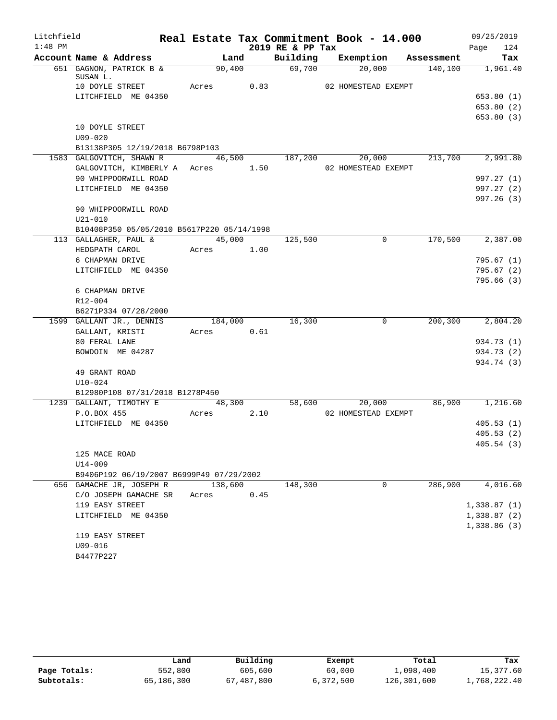| Litchfield |                                                                 |                             |      |                  | Real Estate Tax Commitment Book - 14.000 |         | 09/25/2019                                 |
|------------|-----------------------------------------------------------------|-----------------------------|------|------------------|------------------------------------------|---------|--------------------------------------------|
| $1:48$ PM  |                                                                 |                             |      | 2019 RE & PP Tax |                                          |         | 124<br>Page                                |
|            | Account Name & Address                                          |                             | Land |                  | Building Exemption Assessment            |         | Tax                                        |
|            | 651 GAGNON, PATRICK B &                                         | 90,400                      |      | 69,700           | 20,000                                   |         | $\overline{140,100}$ $\overline{1,961.40}$ |
|            | SUSAN L.<br>10 DOYLE STREET                                     | Acres 0.83                  |      |                  | 02 HOMESTEAD EXEMPT                      |         |                                            |
|            | LITCHFIELD ME 04350                                             |                             |      |                  |                                          |         | 653.80(1)                                  |
|            |                                                                 |                             |      |                  |                                          |         | 653.80(2)                                  |
|            |                                                                 |                             |      |                  |                                          |         | 653.80 (3)                                 |
|            | 10 DOYLE STREET                                                 |                             |      |                  |                                          |         |                                            |
|            | $U09 - 020$                                                     |                             |      |                  |                                          |         |                                            |
|            | B13138P305 12/19/2018 B6798P103                                 |                             |      |                  |                                          |         |                                            |
|            | 1583 GALGOVITCH, SHAWN R 46,500 187,200 20,000 213,700 2,991.80 |                             |      |                  |                                          |         |                                            |
|            | GALGOVITCH, KIMBERLY A Acres 1.50                               |                             |      |                  | 02 HOMESTEAD EXEMPT                      |         |                                            |
|            | 90 WHIPPOORWILL ROAD                                            |                             |      |                  |                                          |         | 997.27 (1)                                 |
|            | LITCHFIELD ME 04350                                             |                             |      |                  |                                          |         | 997.27 (2)                                 |
|            |                                                                 |                             |      |                  |                                          |         | 997.26 (3)                                 |
|            | 90 WHIPPOORWILL ROAD                                            |                             |      |                  |                                          |         |                                            |
|            | $U21 - 010$                                                     |                             |      |                  |                                          |         |                                            |
|            | B10408P350 05/05/2010 B5617P220 05/14/1998                      |                             |      |                  |                                          |         |                                            |
|            | 113 GALLAGHER, PAUL &                                           | $\overline{45,000}$ 125,500 |      |                  | $\overline{0}$                           |         | 170,500 2,387.00                           |
|            | HEDGPATH CAROL                                                  | Acres 1.00                  |      |                  |                                          |         |                                            |
|            | 6 CHAPMAN DRIVE                                                 |                             |      |                  |                                          |         | 795.67(1)                                  |
|            | LITCHFIELD ME 04350                                             |                             |      |                  |                                          |         | 795.67(2)                                  |
|            |                                                                 |                             |      |                  |                                          |         | 795.66(3)                                  |
|            | 6 CHAPMAN DRIVE                                                 |                             |      |                  |                                          |         |                                            |
|            | R12-004                                                         |                             |      |                  |                                          |         |                                            |
|            | B6271P334 07/28/2000                                            |                             |      |                  |                                          |         |                                            |
|            | 1599 GALLANT JR., DENNIS                                        | 184,000                     |      | 16,300           | $\Omega$                                 |         | 200,300 2,804.20                           |
|            | GALLANT, KRISTI                                                 | Acres 0.61                  |      |                  |                                          |         |                                            |
|            | 80 FERAL LANE                                                   |                             |      |                  |                                          |         | 934.73 (1)                                 |
|            | BOWDOIN ME 04287                                                |                             |      |                  |                                          |         | 934.73 (2)                                 |
|            |                                                                 |                             |      |                  |                                          |         | 934.74 (3)                                 |
|            | 49 GRANT ROAD                                                   |                             |      |                  |                                          |         |                                            |
|            | $U10 - 024$                                                     |                             |      |                  |                                          |         |                                            |
|            | B12980P108 07/31/2018 B1278P450                                 |                             |      |                  |                                          |         |                                            |
|            | 1239 GALLANT, TIMOTHY E                                         | 48,300                      |      |                  | 58,600 20,000                            |         | 86,900 1,216.60                            |
|            | P.O.BOX 455                                                     | Acres 2.10                  |      |                  | 02 HOMESTEAD EXEMPT                      |         |                                            |
|            | LITCHFIELD ME 04350                                             |                             |      |                  |                                          |         | 405.53(1)                                  |
|            |                                                                 |                             |      |                  |                                          |         | 405.53(2)                                  |
|            |                                                                 |                             |      |                  |                                          |         | 405.54(3)                                  |
|            | 125 MACE ROAD                                                   |                             |      |                  |                                          |         |                                            |
|            | U14-009                                                         |                             |      |                  |                                          |         |                                            |
|            | B9406P192 06/19/2007 B6999P49 07/29/2002                        |                             |      |                  |                                          |         |                                            |
|            | 656 GAMACHE JR, JOSEPH R                                        | 138,600                     |      | 148,300          | 0                                        | 286,900 | 4,016.60                                   |
|            | C/O JOSEPH GAMACHE SR                                           | Acres                       | 0.45 |                  |                                          |         |                                            |
|            | 119 EASY STREET                                                 |                             |      |                  |                                          |         | 1,338.87(1)                                |
|            | LITCHFIELD ME 04350                                             |                             |      |                  |                                          |         | 1,338.87(2)                                |
|            |                                                                 |                             |      |                  |                                          |         | 1,338.86(3)                                |
|            | 119 EASY STREET                                                 |                             |      |                  |                                          |         |                                            |
|            | U09-016                                                         |                             |      |                  |                                          |         |                                            |
|            | B4477P227                                                       |                             |      |                  |                                          |         |                                            |

|              | Land       | Building   | Exempt    | Total       | Tax          |
|--------------|------------|------------|-----------|-------------|--------------|
| Page Totals: | 552,800    | 605,600    | 60,000    | 1,098,400   | 15,377.60    |
| Subtotals:   | 65,186,300 | 67,487,800 | 6,372,500 | 126,301,600 | 1,768,222.40 |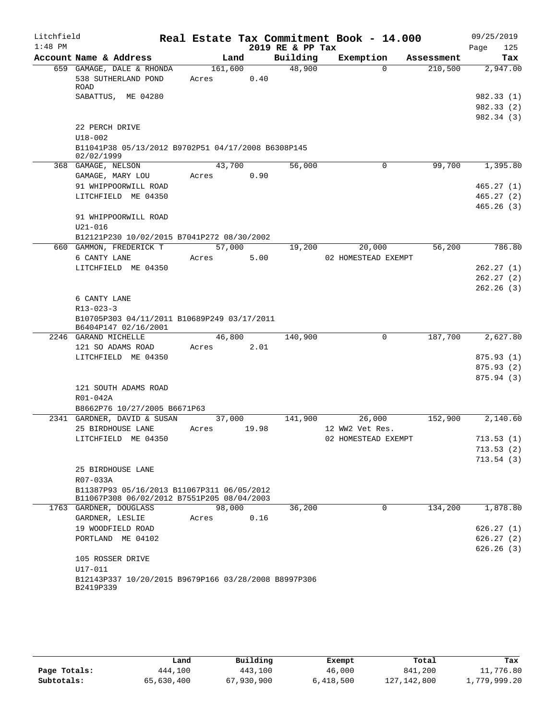| Litchfield |                                                                                     |                  |       |                  | Real Estate Tax Commitment Book - 14.000 |            | 09/25/2019               |
|------------|-------------------------------------------------------------------------------------|------------------|-------|------------------|------------------------------------------|------------|--------------------------|
| $1:48$ PM  |                                                                                     |                  |       | 2019 RE & PP Tax |                                          |            | 125<br>Page              |
|            | Account Name & Address                                                              | Land             |       | Building         | Exemption                                | Assessment | Tax                      |
|            | 659 GAMAGE, DALE & RHONDA<br>538 SUTHERLAND POND<br>ROAD                            | 161,600<br>Acres | 0.40  | 48,900           | $\Omega$                                 | 210,500    | 2,947.00                 |
|            | SABATTUS, ME 04280                                                                  |                  |       |                  |                                          |            | 982.33 (1)<br>982.33 (2) |
|            | 22 PERCH DRIVE<br>$U18 - 002$<br>B11041P38 05/13/2012 B9702P51 04/17/2008 B6308P145 |                  |       |                  |                                          |            | 982.34 (3)               |
|            | 02/02/1999                                                                          |                  |       |                  |                                          |            |                          |
|            | 368 GAMAGE, NELSON                                                                  | 43,700           |       | 56,000           | 0                                        | 99,700     | 1,395.80                 |
|            | GAMAGE, MARY LOU<br>91 WHIPPOORWILL ROAD                                            | Acres            | 0.90  |                  |                                          |            | 465.27(1)                |
|            | LITCHFIELD ME 04350                                                                 |                  |       |                  |                                          |            | 465.27(2)                |
|            |                                                                                     |                  |       |                  |                                          |            | 465.26(3)                |
|            | 91 WHIPPOORWILL ROAD                                                                |                  |       |                  |                                          |            |                          |
|            | $U21 - 016$                                                                         |                  |       |                  |                                          |            |                          |
|            | B12121P230 10/02/2015 B7041P272 08/30/2002                                          |                  |       |                  |                                          |            |                          |
|            | 660 GAMMON, FREDERICK T                                                             | 57,000           |       | 19,200           | 20,000                                   | 56,200     | 786.80                   |
|            | 6 CANTY LANE                                                                        | Acres            | 5.00  |                  | 02 HOMESTEAD EXEMPT                      |            |                          |
|            | LITCHFIELD ME 04350                                                                 |                  |       |                  |                                          |            | 262.27(1)                |
|            |                                                                                     |                  |       |                  |                                          |            | 262.27(2)                |
|            | 6 CANTY LANE                                                                        |                  |       |                  |                                          |            | 262.26(3)                |
|            | $R13 - 023 - 3$                                                                     |                  |       |                  |                                          |            |                          |
|            | B10705P303 04/11/2011 B10689P249 03/17/2011<br>B6404P147 02/16/2001                 |                  |       |                  |                                          |            |                          |
|            | 2246 GARAND MICHELLE                                                                | 46,800           |       | 140,900          | 0                                        | 187,700    | 2,627.80                 |
|            | 121 SO ADAMS ROAD                                                                   | Acres            | 2.01  |                  |                                          |            |                          |
|            | LITCHFIELD ME 04350                                                                 |                  |       |                  |                                          |            | 875.93 (1)               |
|            |                                                                                     |                  |       |                  |                                          |            | 875.93(2)<br>875.94(3)   |
|            | 121 SOUTH ADAMS ROAD<br>R01-042A                                                    |                  |       |                  |                                          |            |                          |
|            | B8662P76 10/27/2005 B6671P63                                                        |                  |       |                  |                                          |            |                          |
|            | 2341 GARDNER, DAVID & SUSAN                                                         | 37,000           |       | 141,900          | 26,000                                   | 152,900    | 2,140.60                 |
|            | 25 BIRDHOUSE LANE                                                                   | Acres            | 19.98 |                  | 12 WW2 Vet Res.                          |            |                          |
|            | LITCHFIELD ME 04350                                                                 |                  |       |                  | 02 HOMESTEAD EXEMPT                      |            | 713.53(1)                |
|            |                                                                                     |                  |       |                  |                                          |            | 713.53(2)                |
|            |                                                                                     |                  |       |                  |                                          |            | 713.54(3)                |
|            | 25 BIRDHOUSE LANE<br>R07-033A                                                       |                  |       |                  |                                          |            |                          |
|            | B11387P93 05/16/2013 B11067P311 06/05/2012                                          |                  |       |                  |                                          |            |                          |
|            | B11067P308 06/02/2012 B7551P205 08/04/2003                                          |                  |       |                  |                                          |            |                          |
|            | 1763 GARDNER, DOUGLASS<br>GARDNER, LESLIE                                           | 98,000<br>Acres  | 0.16  | 36,200           | $\mathbf 0$                              | 134,200    | 1,878.80                 |
|            | 19 WOODFIELD ROAD                                                                   |                  |       |                  |                                          |            | 626.27(1)                |
|            | PORTLAND ME 04102                                                                   |                  |       |                  |                                          |            | 626.27(2)                |
|            |                                                                                     |                  |       |                  |                                          |            | 626.26(3)                |
|            | 105 ROSSER DRIVE                                                                    |                  |       |                  |                                          |            |                          |
|            | U17-011                                                                             |                  |       |                  |                                          |            |                          |
|            | B12143P337 10/20/2015 B9679P166 03/28/2008 B8997P306<br>B2419P339                   |                  |       |                  |                                          |            |                          |

|              | Land       | Building   | Exempt    | Total         | Tax          |
|--------------|------------|------------|-----------|---------------|--------------|
| Page Totals: | 444,100    | 443,100    | 46,000    | 841,200       | 11,776.80    |
| Subtotals:   | 65,630,400 | 67,930,900 | 6,418,500 | 127, 142, 800 | 1,779,999.20 |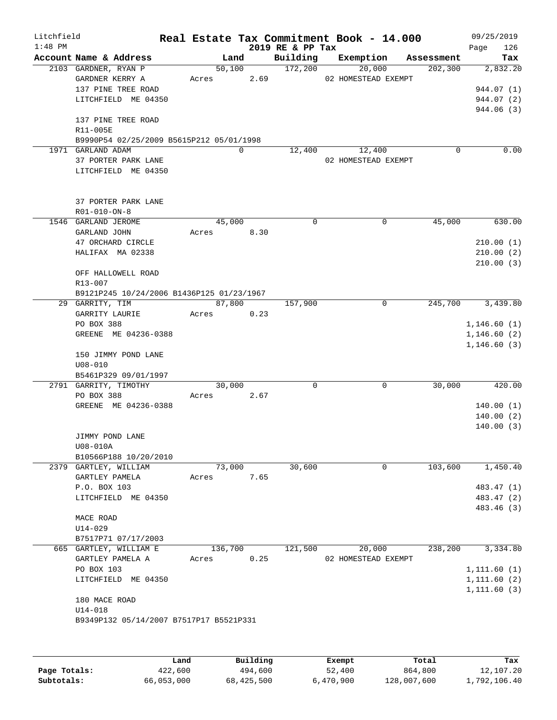| $1:48$ PM | Litchfield                                                                                                                                                 |       |         |            | Real Estate Tax Commitment Book - 14.000<br>2019 RE & PP Tax |                               |             |            | 09/25/2019<br>126<br>Page                                |
|-----------|------------------------------------------------------------------------------------------------------------------------------------------------------------|-------|---------|------------|--------------------------------------------------------------|-------------------------------|-------------|------------|----------------------------------------------------------|
|           | Account Name & Address                                                                                                                                     |       | Land    |            | Building                                                     | Exemption                     |             | Assessment | Tax                                                      |
|           | 2103 GARDNER, RYAN P<br>GARDNER KERRY A<br>137 PINE TREE ROAD<br>LITCHFIELD ME 04350                                                                       |       | 50,100  | Acres 2.69 | 172,200                                                      | 20,000<br>02 HOMESTEAD EXEMPT |             | 202, 300   | 2,832.20<br>944.07 (1)<br>944.07 (2)                     |
|           | 137 PINE TREE ROAD<br>R11-005E<br>B9990P54 02/25/2009 B5615P212 05/01/1998                                                                                 |       |         |            |                                                              |                               |             |            | 944.06 (3)                                               |
|           | 1971 GARLAND ADAM<br>37 PORTER PARK LANE<br>LITCHFIELD ME 04350                                                                                            |       |         | $\Omega$   | 12,400                                                       | 12,400<br>02 HOMESTEAD EXEMPT |             | 0          | 0.00                                                     |
|           | 37 PORTER PARK LANE<br>R01-010-ON-8                                                                                                                        |       |         |            |                                                              |                               |             |            |                                                          |
|           | 1546 GARLAND JEROME<br>GARLAND JOHN<br>47 ORCHARD CIRCLE<br>HALIFAX MA 02338<br>OFF HALLOWELL ROAD<br>R13-007<br>B9121P245 10/24/2006 B1436P125 01/23/1967 |       | 45,000  | Acres 8.30 | $\Omega$                                                     |                               | 0           | 45,000     | 630.00<br>210.00(1)<br>210.00(2)<br>210.00(3)            |
|           | 29 GARRITY, TIM                                                                                                                                            |       | 87,800  |            | 157,900                                                      |                               | $\mathbf 0$ | 245,700    | 3,439.80                                                 |
|           | GARRITY LAURIE<br>PO BOX 388<br>GREENE ME 04236-0388<br>150 JIMMY POND LANE<br>$U08 - 010$<br>B5461P329 09/01/1997                                         |       | Acres   | 0.23       |                                                              |                               |             |            | 1,146.60(1)<br>1,146.60(2)<br>1,146.60(3)                |
|           | 2791 GARRITY, TIMOTHY<br>PO BOX 388<br>GREENE ME 04236-0388<br>JIMMY POND LANE<br>U08-010A                                                                 | Acres | 30,000  | 2.67       | $\Omega$                                                     |                               | 0           | 30,000     | 420.00<br>140.00(1)<br>140.00(2)<br>140.00(3)            |
|           | B10566P188 10/20/2010<br>2379 GARTLEY, WILLIAM<br>GARTLEY PAMELA<br>P.O. BOX 103<br>LITCHFIELD ME 04350<br>MACE ROAD<br>U14-029                            | Acres | 73,000  | 7.65       | 30,600                                                       |                               | $\mathbf 0$ | 103,600    | 1,450.40<br>483.47 (1)<br>483.47 (2)<br>483.46 (3)       |
|           | B7517P71 07/17/2003<br>665 GARTLEY, WILLIAM E<br>GARTLEY PAMELA A<br>PO BOX 103<br>LITCHFIELD ME 04350                                                     | Acres | 136,700 | 0.25       | 121,500                                                      | 20,000<br>02 HOMESTEAD EXEMPT |             | 238,200    | 3,334.80<br>1, 111.60(1)<br>1, 111.60(2)<br>1, 111.60(3) |

|              | Land       | Building   | Exempt    | Total       | Tax          |
|--------------|------------|------------|-----------|-------------|--------------|
| Page Totals: | 422,600    | 494,600    | 52,400    | 864,800     | 12,107.20    |
| Subtotals:   | 66,053,000 | 68,425,500 | 6,470,900 | 128,007,600 | 1,792,106.40 |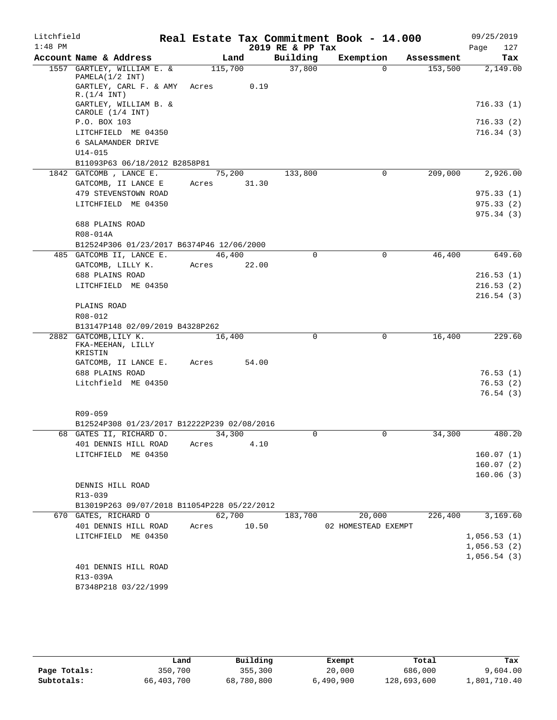| Litchfield |                                               |         |       |                  | Real Estate Tax Commitment Book - 14.000 |            | 09/25/2019             |
|------------|-----------------------------------------------|---------|-------|------------------|------------------------------------------|------------|------------------------|
| $1:48$ PM  |                                               |         |       | 2019 RE & PP Tax |                                          |            | Page<br>127            |
|            | Account Name & Address                        | Land    |       | Building         | Exemption                                | Assessment | Tax                    |
|            | 1557 GARTLEY, WILLIAM E. &<br>PAMELA(1/2 INT) | 115,700 |       | 37,800           | $\Omega$                                 | 153,500    | 2,149.00               |
|            | GARTLEY, CARL F. & AMY<br>R.(1/4 INT)         | Acres   | 0.19  |                  |                                          |            |                        |
|            | GARTLEY, WILLIAM B. &<br>CAROLE (1/4 INT)     |         |       |                  |                                          |            | 716.33(1)              |
|            | P.O. BOX 103                                  |         |       |                  |                                          |            | 716.33(2)              |
|            | LITCHFIELD ME 04350                           |         |       |                  |                                          |            | 716.34(3)              |
|            | 6 SALAMANDER DRIVE                            |         |       |                  |                                          |            |                        |
|            | $U14 - 015$                                   |         |       |                  |                                          |            |                        |
|            | B11093P63 06/18/2012 B2858P81                 |         |       |                  |                                          |            |                        |
|            | 1842 GATCOMB, LANCE E.                        | 75,200  |       | 133,800          | $\mathbf 0$                              | 209,000    | 2,926.00               |
|            | GATCOMB, II LANCE E<br>479 STEVENSTOWN ROAD   | Acres   | 31.30 |                  |                                          |            | 975.33(1)              |
|            | LITCHFIELD ME 04350                           |         |       |                  |                                          |            | 975.33(2)              |
|            |                                               |         |       |                  |                                          |            | 975.34(3)              |
|            | 688 PLAINS ROAD                               |         |       |                  |                                          |            |                        |
|            | R08-014A                                      |         |       |                  |                                          |            |                        |
|            | B12524P306 01/23/2017 B6374P46 12/06/2000     |         |       |                  |                                          |            |                        |
|            | 485 GATCOMB II, LANCE E.                      | 46,400  |       | $\Omega$         | 0                                        | 46,400     | 649.60                 |
|            | GATCOMB, LILLY K.                             | Acres   | 22.00 |                  |                                          |            |                        |
|            | 688 PLAINS ROAD                               |         |       |                  |                                          |            | 216.53(1)              |
|            | LITCHFIELD ME 04350                           |         |       |                  |                                          |            | 216.53(2)              |
|            | PLAINS ROAD                                   |         |       |                  |                                          |            | 216.54(3)              |
|            | R08-012                                       |         |       |                  |                                          |            |                        |
|            | B13147P148 02/09/2019 B4328P262               |         |       |                  |                                          |            |                        |
|            | 2882 GATCOMB, LILY K.                         | 16,400  |       | $\mathbf 0$      | 0                                        | 16,400     | 229.60                 |
|            | FKA-MEEHAN, LILLY                             |         |       |                  |                                          |            |                        |
|            | KRISTIN<br>GATCOMB, II LANCE E.               | Acres   | 54.00 |                  |                                          |            |                        |
|            | 688 PLAINS ROAD                               |         |       |                  |                                          |            | 76.53(1)               |
|            | Litchfield ME 04350                           |         |       |                  |                                          |            | 76.53(2)               |
|            |                                               |         |       |                  |                                          |            | 76.54(3)               |
|            |                                               |         |       |                  |                                          |            |                        |
|            | R09-059                                       |         |       |                  |                                          |            |                        |
|            | B12524P308 01/23/2017 B12222P239 02/08/2016   |         |       |                  |                                          |            |                        |
|            | 68 GATES II, RICHARD O.                       | 34,300  |       | $\mathbf 0$      | $\mathbf 0$                              | 34,300     | 480.20                 |
|            | 401 DENNIS HILL ROAD                          | Acres   | 4.10  |                  |                                          |            |                        |
|            | LITCHFIELD ME 04350                           |         |       |                  |                                          |            | 160.07(1)              |
|            |                                               |         |       |                  |                                          |            | 160.07(2)<br>160.06(3) |
|            | DENNIS HILL ROAD                              |         |       |                  |                                          |            |                        |
|            | R13-039                                       |         |       |                  |                                          |            |                        |
|            | B13019P263 09/07/2018 B11054P228 05/22/2012   |         |       |                  |                                          |            |                        |
|            | 670 GATES, RICHARD O                          | 62,700  |       | 183,700          | 20,000                                   | 226,400    | 3,169.60               |
|            | 401 DENNIS HILL ROAD                          | Acres   | 10.50 |                  | 02 HOMESTEAD EXEMPT                      |            |                        |
|            | LITCHFIELD ME 04350                           |         |       |                  |                                          |            | 1,056.53(1)            |
|            |                                               |         |       |                  |                                          |            | 1,056.53(2)            |
|            |                                               |         |       |                  |                                          |            | 1,056.54(3)            |
|            | 401 DENNIS HILL ROAD<br>R13-039A              |         |       |                  |                                          |            |                        |
|            | B7348P218 03/22/1999                          |         |       |                  |                                          |            |                        |
|            |                                               |         |       |                  |                                          |            |                        |

|              | Land       | Building   | Exempt    | Total       | Tax          |
|--------------|------------|------------|-----------|-------------|--------------|
| Page Totals: | 350,700    | 355,300    | 20,000    | 686,000     | 9,604.00     |
| Subtotals:   | 66,403,700 | 68,780,800 | 6,490,900 | 128,693,600 | 1,801,710.40 |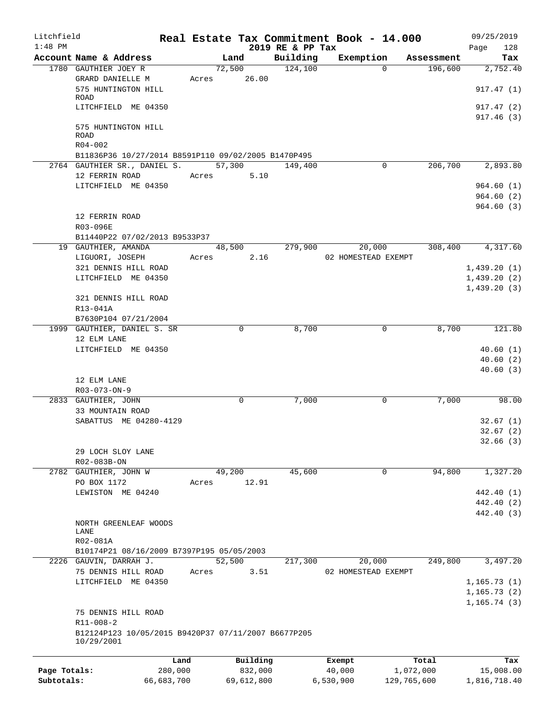| Litchfield   |                                                     |         |               |                              | Real Estate Tax Commitment Book - 14.000 |            | 09/25/2019             |
|--------------|-----------------------------------------------------|---------|---------------|------------------------------|------------------------------------------|------------|------------------------|
| $1:48$ PM    | Account Name & Address                              |         | Land          | 2019 RE & PP Tax<br>Building | Exemption                                | Assessment | 128<br>Page<br>Tax     |
|              | 1780 GAUTHIER JOEY R                                |         | 72,500        | 124,100                      | $\Omega$                                 | 196,600    | 2,752.40               |
|              | GRARD DANIELLE M                                    |         | Acres 26.00   |                              |                                          |            |                        |
|              | 575 HUNTINGTON HILL                                 |         |               |                              |                                          |            | 917.47(1)              |
|              | ROAD                                                |         |               |                              |                                          |            |                        |
|              | LITCHFIELD ME 04350                                 |         |               |                              |                                          |            | 917.47(2)<br>917.46(3) |
|              | 575 HUNTINGTON HILL                                 |         |               |                              |                                          |            |                        |
|              | ROAD                                                |         |               |                              |                                          |            |                        |
|              | $R04 - 002$                                         |         |               |                              |                                          |            |                        |
|              | B11836P36 10/27/2014 B8591P110 09/02/2005 B1470P495 |         |               |                              |                                          |            |                        |
|              | 2764 GAUTHIER SR., DANIEL S. 57,300 149,400         |         |               |                              | 0                                        | 206,700    | 2,893.80               |
|              | 12 FERRIN ROAD                                      |         | 5.10<br>Acres |                              |                                          |            |                        |
|              | LITCHFIELD ME 04350                                 |         |               |                              |                                          |            | 964.60(1)              |
|              |                                                     |         |               |                              |                                          |            | 964.60(2)<br>964.60(3) |
|              | 12 FERRIN ROAD                                      |         |               |                              |                                          |            |                        |
|              | R03-096E                                            |         |               |                              |                                          |            |                        |
|              | B11440P22 07/02/2013 B9533P37                       |         |               |                              |                                          |            |                        |
|              | 19 GAUTHIER, AMANDA                                 |         | 48,500        | 279,900                      | 20,000                                   | 308,400    | 4,317.60               |
|              | LIGUORI, JOSEPH                                     |         | 2.16<br>Acres |                              | 02 HOMESTEAD EXEMPT                      |            |                        |
|              | 321 DENNIS HILL ROAD                                |         |               |                              |                                          |            | 1,439.20(1)            |
|              | LITCHFIELD ME 04350                                 |         |               |                              |                                          |            | 1,439.20(2)            |
|              |                                                     |         |               |                              |                                          |            | 1,439.20(3)            |
|              | 321 DENNIS HILL ROAD                                |         |               |                              |                                          |            |                        |
|              | R13-041A                                            |         |               |                              |                                          |            |                        |
|              | B7630P104 07/21/2004                                |         |               |                              |                                          |            |                        |
|              | 1999 GAUTHIER, DANIEL S. SR                         |         | 0             | 8,700                        | 0                                        | 8,700      | 121.80                 |
|              | 12 ELM LANE                                         |         |               |                              |                                          |            |                        |
|              | LITCHFIELD ME 04350                                 |         |               |                              |                                          |            | 40.60(1)<br>40.60(2)   |
|              |                                                     |         |               |                              |                                          |            | 40.60(3)               |
|              | 12 ELM LANE                                         |         |               |                              |                                          |            |                        |
|              | R03-073-ON-9                                        |         |               |                              |                                          |            |                        |
|              | 2833 GAUTHIER, JOHN                                 |         | $\Omega$      | 7,000                        | 0                                        | 7,000      | 98.00                  |
|              | 33 MOUNTAIN ROAD                                    |         |               |                              |                                          |            |                        |
|              | SABATTUS ME 04280-4129                              |         |               |                              |                                          |            | 32.67(1)               |
|              |                                                     |         |               |                              |                                          |            | 32.67(2)               |
|              |                                                     |         |               |                              |                                          |            | 32.66(3)               |
|              | 29 LOCH SLOY LANE                                   |         |               |                              |                                          |            |                        |
|              | R02-083B-ON                                         |         |               |                              |                                          |            |                        |
|              | 2782 GAUTHIER, JOHN W                               |         | 49,200        | 45,600                       | 0                                        | 94,800     | 1,327.20               |
|              | PO BOX 1172<br>LEWISTON ME 04240                    | Acres   | 12.91         |                              |                                          |            | 442.40 (1)             |
|              |                                                     |         |               |                              |                                          |            | 442.40 (2)             |
|              |                                                     |         |               |                              |                                          |            | 442.40 (3)             |
|              | NORTH GREENLEAF WOODS                               |         |               |                              |                                          |            |                        |
|              | LANE                                                |         |               |                              |                                          |            |                        |
|              | R02-081A                                            |         |               |                              |                                          |            |                        |
|              | B10174P21 08/16/2009 B7397P195 05/05/2003           |         |               |                              |                                          |            |                        |
|              | 2226 GAUVIN, DARRAH J.                              |         | 52,500        | 217,300                      | 20,000                                   | 249,800    | 3,497.20               |
|              | 75 DENNIS HILL ROAD                                 | Acres   | 3.51          |                              | 02 HOMESTEAD EXEMPT                      |            |                        |
|              | LITCHFIELD ME 04350                                 |         |               |                              |                                          |            | 1, 165.73(1)           |
|              |                                                     |         |               |                              |                                          |            | 1, 165.73(2)           |
|              | 75 DENNIS HILL ROAD                                 |         |               |                              |                                          |            | 1, 165.74(3)           |
|              | $R11 - 008 - 2$                                     |         |               |                              |                                          |            |                        |
|              | B12124P123 10/05/2015 B9420P37 07/11/2007 B6677P205 |         |               |                              |                                          |            |                        |
|              | 10/29/2001                                          |         |               |                              |                                          |            |                        |
|              |                                                     |         |               |                              |                                          |            |                        |
|              |                                                     | Land    | Building      |                              | Exempt                                   | Total      | Tax                    |
| Page Totals: |                                                     | 280,000 | 832,000       |                              | 40,000                                   | 1,072,000  | 15,008.00              |

**Subtotals:** 66,683,700 69,612,800 6,530,900 129,765,600 1,816,718.40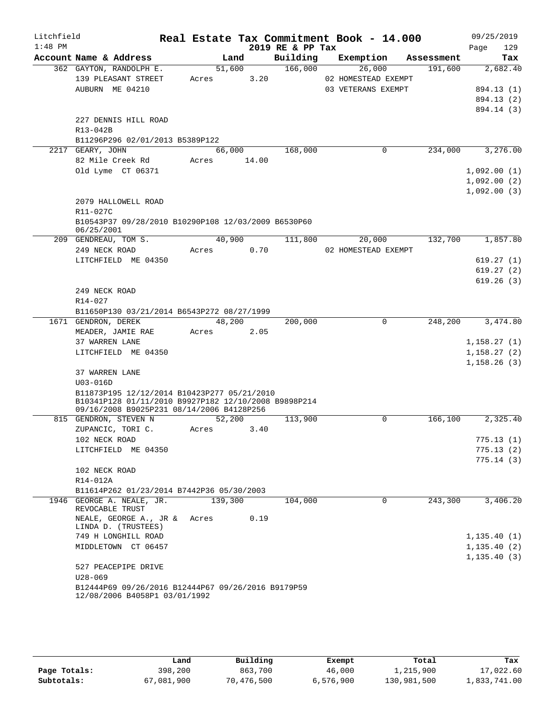| Litchfield |                                                                                                   |         |        |      |                  | Real Estate Tax Commitment Book - 14.000 |            | 09/25/2019   |
|------------|---------------------------------------------------------------------------------------------------|---------|--------|------|------------------|------------------------------------------|------------|--------------|
| $1:48$ PM  |                                                                                                   |         |        |      | 2019 RE & PP Tax |                                          |            | 129<br>Page  |
|            | Account Name & Address                                                                            |         | Land   |      | Building         | Exemption                                | Assessment | Tax          |
|            | 362 GAYTON, RANDOLPH E.                                                                           |         | 51,600 |      | 166,000          | 26,000                                   | 191,600    | 2,682.40     |
|            | 139 PLEASANT STREET                                                                               | Acres   |        | 3.20 |                  | 02 HOMESTEAD EXEMPT                      |            |              |
|            | AUBURN ME 04210                                                                                   |         |        |      |                  | 03 VETERANS EXEMPT                       |            | 894.13 (1)   |
|            |                                                                                                   |         |        |      |                  |                                          |            | 894.13 (2)   |
|            |                                                                                                   |         |        |      |                  |                                          |            | 894.14 (3)   |
|            | 227 DENNIS HILL ROAD                                                                              |         |        |      |                  |                                          |            |              |
|            | R13-042B                                                                                          |         |        |      |                  |                                          |            |              |
|            | B11296P296 02/01/2013 B5389P122                                                                   |         |        |      |                  |                                          |            |              |
|            | 2217 GEARY, JOHN                                                                                  |         | 66,000 |      | 168,000          | 0                                        | 234,000    | 3,276.00     |
|            | 82 Mile Creek Rd                                                                                  | Acres   | 14.00  |      |                  |                                          |            |              |
|            | Old Lyme CT 06371                                                                                 |         |        |      |                  |                                          |            | 1,092.00(1)  |
|            |                                                                                                   |         |        |      |                  |                                          |            | 1,092.00(2)  |
|            |                                                                                                   |         |        |      |                  |                                          |            | 1,092.00(3)  |
|            | 2079 HALLOWELL ROAD                                                                               |         |        |      |                  |                                          |            |              |
|            | R11-027C                                                                                          |         |        |      |                  |                                          |            |              |
|            | B10543P37 09/28/2010 B10290P108 12/03/2009 B6530P60<br>06/25/2001                                 |         |        |      |                  |                                          |            |              |
|            | 209 GENDREAU, TOM S.                                                                              |         | 40,900 |      | 111,800          | 20,000                                   | 132,700    | 1,857.80     |
|            | 249 NECK ROAD                                                                                     | Acres   |        | 0.70 |                  | 02 HOMESTEAD EXEMPT                      |            |              |
|            | LITCHFIELD ME 04350                                                                               |         |        |      |                  |                                          |            | 619.27(1)    |
|            |                                                                                                   |         |        |      |                  |                                          |            | 619.27(2)    |
|            |                                                                                                   |         |        |      |                  |                                          |            | 619.26(3)    |
|            | 249 NECK ROAD                                                                                     |         |        |      |                  |                                          |            |              |
|            | $R14 - 027$                                                                                       |         |        |      |                  |                                          |            |              |
|            | B11650P130 03/21/2014 B6543P272 08/27/1999                                                        |         |        |      |                  |                                          |            |              |
|            | 1671 GENDRON, DEREK                                                                               | 48,200  |        |      | 200,000          | $\mathbf{0}$                             | 248,200    | 3,474.80     |
|            | MEADER, JAMIE RAE                                                                                 | Acres   |        | 2.05 |                  |                                          |            |              |
|            | 37 WARREN LANE                                                                                    |         |        |      |                  |                                          |            | 1,158.27(1)  |
|            | LITCHFIELD ME 04350                                                                               |         |        |      |                  |                                          |            | 1,158.27(2)  |
|            |                                                                                                   |         |        |      |                  |                                          |            | 1,158.26(3)  |
|            | 37 WARREN LANE                                                                                    |         |        |      |                  |                                          |            |              |
|            | $U03 - 016D$                                                                                      |         |        |      |                  |                                          |            |              |
|            | B11873P195 12/12/2014 B10423P277 05/21/2010                                                       |         |        |      |                  |                                          |            |              |
|            | B10341P128 01/11/2010 B9927P182 12/10/2008 B9898P214<br>09/16/2008 B9025P231 08/14/2006 B4128P256 |         |        |      |                  |                                          |            |              |
|            | 815 GENDRON, STEVEN N                                                                             | 52,200  |        |      | 113,900          | $\Omega$                                 | 166,100    | 2,325.40     |
|            | ZUPANCIC, TORI C.                                                                                 | Acres   |        | 3.40 |                  |                                          |            |              |
|            | 102 NECK ROAD                                                                                     |         |        |      |                  |                                          |            | 775.13(1)    |
|            | LITCHFIELD ME 04350                                                                               |         |        |      |                  |                                          |            | 775.13(2)    |
|            |                                                                                                   |         |        |      |                  |                                          |            | 775.14(3)    |
|            | 102 NECK ROAD                                                                                     |         |        |      |                  |                                          |            |              |
|            | R14-012A                                                                                          |         |        |      |                  |                                          |            |              |
|            | B11614P262 01/23/2014 B7442P36 05/30/2003                                                         |         |        |      |                  |                                          |            |              |
|            | 1946 GEORGE A. NEALE, JR.                                                                         |         |        |      |                  | $\Omega$                                 |            |              |
|            | REVOCABLE TRUST                                                                                   | 139,300 |        |      | 104,000          |                                          | 243,300    | 3,406.20     |
|            | NEALE, GEORGE A., JR &<br>LINDA D. (TRUSTEES)                                                     | Acres   |        | 0.19 |                  |                                          |            |              |
|            | 749 H LONGHILL ROAD                                                                               |         |        |      |                  |                                          |            | 1, 135.40(1) |
|            | MIDDLETOWN CT 06457                                                                               |         |        |      |                  |                                          |            | 1, 135.40(2) |
|            |                                                                                                   |         |        |      |                  |                                          |            | 1, 135.40(3) |
|            | 527 PEACEPIPE DRIVE                                                                               |         |        |      |                  |                                          |            |              |
|            | $U28 - 069$                                                                                       |         |        |      |                  |                                          |            |              |
|            | B12444P69 09/26/2016 B12444P67 09/26/2016 B9179P59                                                |         |        |      |                  |                                          |            |              |
|            | 12/08/2006 B4058P1 03/01/1992                                                                     |         |        |      |                  |                                          |            |              |

|              | Land       | Building   | Exempt    | Total       | Tax          |
|--------------|------------|------------|-----------|-------------|--------------|
| Page Totals: | 398,200    | 863,700    | 46,000    | 1,215,900   | 17,022.60    |
| Subtotals:   | 67,081,900 | 70,476,500 | 6.576.900 | 130,981,500 | 1,833,741.00 |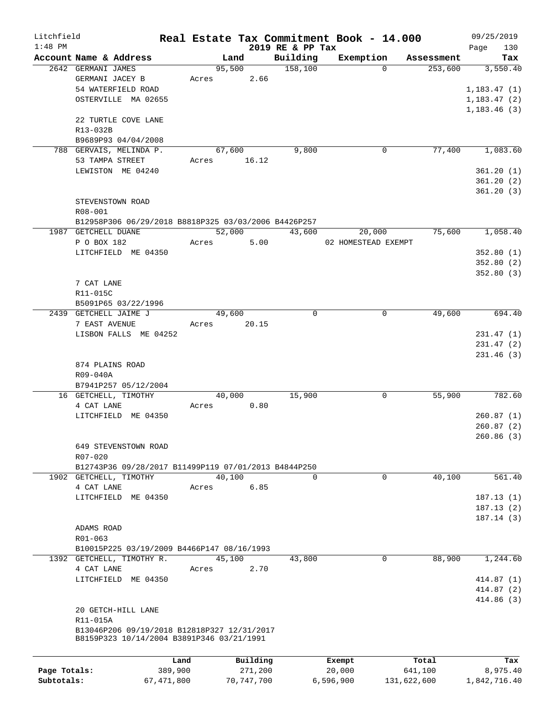| Litchfield   |                                                      |              |        |              |                  | Real Estate Tax Commitment Book - 14.000 |             | 09/25/2019   |
|--------------|------------------------------------------------------|--------------|--------|--------------|------------------|------------------------------------------|-------------|--------------|
| $1:48$ PM    |                                                      |              |        |              | 2019 RE & PP Tax |                                          |             | 130<br>Page  |
|              | Account Name & Address                               |              | Land   |              | Building         | Exemption                                | Assessment  | Tax          |
|              | 2642 GERMANI JAMES                                   |              | 95,500 |              | 158,100          | $\Omega$                                 | 253,600     | 3,550.40     |
|              | GERMANI JACEY B                                      | Acres        |        | 2.66         |                  |                                          |             |              |
|              | 54 WATERFIELD ROAD                                   |              |        |              |                  |                                          |             | 1, 183.47(1) |
|              | OSTERVILLE MA 02655                                  |              |        |              |                  |                                          |             | 1, 183.47(2) |
|              |                                                      |              |        |              |                  |                                          |             | 1, 183.46(3) |
|              | 22 TURTLE COVE LANE                                  |              |        |              |                  |                                          |             |              |
|              | R13-032B                                             |              |        |              |                  |                                          |             |              |
|              | B9689P93 04/04/2008                                  |              |        |              |                  |                                          |             |              |
|              | 788 GERVAIS, MELINDA P.                              |              | 67,600 |              | 9,800            | 0                                        | 77,400      | 1,083.60     |
|              | 53 TAMPA STREET                                      | Acres        |        | 16.12        |                  |                                          |             |              |
|              | LEWISTON ME 04240                                    |              |        |              |                  |                                          |             | 361.20(1)    |
|              |                                                      |              |        |              |                  |                                          |             | 361.20(2)    |
|              |                                                      |              |        |              |                  |                                          |             | 361.20(3)    |
|              | STEVENSTOWN ROAD                                     |              |        |              |                  |                                          |             |              |
|              | R08-001                                              |              |        |              |                  |                                          |             |              |
|              | B12958P306 06/29/2018 B8818P325 03/03/2006 B4426P257 |              |        |              |                  |                                          |             |              |
|              | 1987 GETCHELL DUANE                                  |              | 52,000 |              | 43,600           | 20,000                                   | 75,600      | 1,058.40     |
|              | P O BOX 182                                          | Acres        |        | 5.00         |                  | 02 HOMESTEAD EXEMPT                      |             |              |
|              | LITCHFIELD ME 04350                                  |              |        |              |                  |                                          |             | 352.80(1)    |
|              |                                                      |              |        |              |                  |                                          |             | 352.80(2)    |
|              |                                                      |              |        |              |                  |                                          |             | 352.80(3)    |
|              | 7 CAT LANE                                           |              |        |              |                  |                                          |             |              |
|              | R11-015C                                             |              |        |              |                  |                                          |             |              |
|              |                                                      |              |        |              |                  |                                          |             |              |
|              | B5091P65 03/22/1996                                  |              |        |              | 0                | $\mathbf 0$                              | 49,600      | 694.40       |
|              | 2439 GETCHELL JAIME J                                |              | 49,600 |              |                  |                                          |             |              |
|              | 7 EAST AVENUE                                        | Acres        |        | 20.15        |                  |                                          |             |              |
|              | LISBON FALLS ME 04252                                |              |        |              |                  |                                          |             | 231.47(1)    |
|              |                                                      |              |        |              |                  |                                          |             | 231.47(2)    |
|              |                                                      |              |        |              |                  |                                          |             | 231.46(3)    |
|              | 874 PLAINS ROAD                                      |              |        |              |                  |                                          |             |              |
|              | R09-040A                                             |              |        |              |                  |                                          |             |              |
|              | B7941P257 05/12/2004                                 |              |        |              |                  |                                          |             |              |
|              | 16 GETCHELL, TIMOTHY                                 |              | 40,000 |              | 15,900           | 0                                        | 55,900      | 782.60       |
|              | 4 CAT LANE                                           | Acres        |        | 0.80         |                  |                                          |             |              |
|              | LITCHFIELD ME 04350                                  |              |        |              |                  |                                          |             | 260.87(1)    |
|              |                                                      |              |        |              |                  |                                          |             | 260.87(2)    |
|              |                                                      |              |        |              |                  |                                          |             | 260.86(3)    |
|              | 649 STEVENSTOWN ROAD                                 |              |        |              |                  |                                          |             |              |
|              | $R07 - 020$                                          |              |        |              |                  |                                          |             |              |
|              | B12743P36 09/28/2017 B11499P119 07/01/2013 B4844P250 |              |        |              |                  |                                          |             |              |
|              | 1902 GETCHELL, TIMOTHY                               |              | 40,100 |              | 0                | $\mathbf 0$                              | 40,100      | 561.40       |
|              | 4 CAT LANE                                           | Acres        |        | 6.85         |                  |                                          |             |              |
|              | LITCHFIELD ME 04350                                  |              |        |              |                  |                                          |             | 187.13(1)    |
|              |                                                      |              |        |              |                  |                                          |             | 187.13(2)    |
|              |                                                      |              |        |              |                  |                                          |             | 187.14(3)    |
|              | ADAMS ROAD                                           |              |        |              |                  |                                          |             |              |
|              | R01-063                                              |              |        |              |                  |                                          |             |              |
|              | B10015P225 03/19/2009 B4466P147 08/16/1993           |              |        |              |                  |                                          |             |              |
|              | 1392 GETCHELL, TIMOTHY R.                            |              | 45,100 |              | 43,800           | 0                                        | 88,900      | 1,244.60     |
|              | 4 CAT LANE                                           | Acres        |        | 2.70         |                  |                                          |             |              |
|              | LITCHFIELD ME 04350                                  |              |        |              |                  |                                          |             | 414.87(1)    |
|              |                                                      |              |        |              |                  |                                          |             |              |
|              |                                                      |              |        |              |                  |                                          |             | 414.87 (2)   |
|              |                                                      |              |        |              |                  |                                          |             | 414.86 (3)   |
|              | 20 GETCH-HILL LANE                                   |              |        |              |                  |                                          |             |              |
|              | R11-015A                                             |              |        |              |                  |                                          |             |              |
|              | B13046P206 09/19/2018 B12818P327 12/31/2017          |              |        |              |                  |                                          |             |              |
|              | B8159P323 10/14/2004 B3891P346 03/21/1991            |              |        |              |                  |                                          |             |              |
|              |                                                      |              |        |              |                  |                                          |             |              |
|              |                                                      | Land         |        | Building     |                  | Exempt                                   | Total       | Tax          |
| Page Totals: |                                                      | 389,900      |        | 271,200      |                  | 20,000                                   | 641,100     | 8,975.40     |
| Subtotals:   |                                                      | 67, 471, 800 |        | 70, 747, 700 |                  | 6,596,900                                | 131,622,600 | 1,842,716.40 |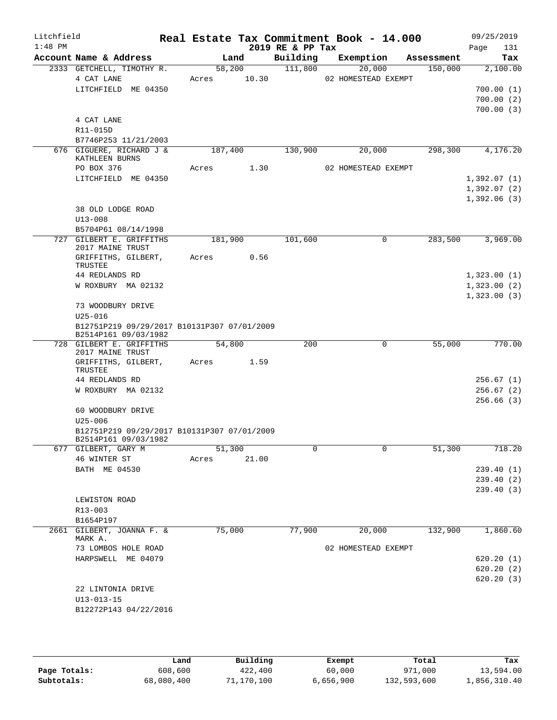| Litchfield<br>$1:48$ PM |                                                                     | Real Estate Tax Commitment Book - 14.000 |        | 2019 RE & PP Tax |                     |            | 09/25/2019<br>Page | 131      |
|-------------------------|---------------------------------------------------------------------|------------------------------------------|--------|------------------|---------------------|------------|--------------------|----------|
|                         | Account Name & Address                                              |                                          | Land   | Building         | Exemption           | Assessment |                    | Tax      |
|                         | 2333 GETCHELL, TIMOTHY R.                                           |                                          | 58,200 | 111,800          | 20,000              | 150,000    |                    | 2,100.00 |
|                         | 4 CAT LANE                                                          | Acres                                    | 10.30  |                  | 02 HOMESTEAD EXEMPT |            |                    |          |
|                         | LITCHFIELD ME 04350                                                 |                                          |        |                  |                     |            | 700.00(1)          |          |
|                         |                                                                     |                                          |        |                  |                     |            | 700.00(2)          |          |
|                         |                                                                     |                                          |        |                  |                     |            | 700.00(3)          |          |
|                         | 4 CAT LANE<br>R11-015D                                              |                                          |        |                  |                     |            |                    |          |
|                         | B7746P253 11/21/2003                                                |                                          |        |                  |                     |            |                    |          |
|                         | 676 GIGUERE, RICHARD J &                                            | 187,400                                  |        | 130,900          | 20,000              | 298,300    |                    | 4,176.20 |
|                         | KATHLEEN BURNS                                                      |                                          |        |                  |                     |            |                    |          |
|                         | PO BOX 376                                                          | Acres                                    | 1.30   |                  | 02 HOMESTEAD EXEMPT |            |                    |          |
|                         | LITCHFIELD ME 04350                                                 |                                          |        |                  |                     |            | 1,392.07(1)        |          |
|                         |                                                                     |                                          |        |                  |                     |            | 1,392.07(2)        |          |
|                         |                                                                     |                                          |        |                  |                     |            | 1,392.06(3)        |          |
|                         | 38 OLD LODGE ROAD                                                   |                                          |        |                  |                     |            |                    |          |
|                         | $U13 - 008$                                                         |                                          |        |                  |                     |            |                    |          |
|                         | B5704P61 08/14/1998                                                 |                                          |        |                  |                     |            |                    |          |
|                         | 727 GILBERT E. GRIFFITHS<br>2017 MAINE TRUST                        | 181,900                                  |        | 101,600          | $\mathbf 0$         | 283,500    |                    | 3,969.00 |
|                         | GRIFFITHS, GILBERT,                                                 | Acres                                    | 0.56   |                  |                     |            |                    |          |
|                         | TRUSTEE                                                             |                                          |        |                  |                     |            |                    |          |
|                         | 44 REDLANDS RD                                                      |                                          |        |                  |                     |            | 1,323.00(1)        |          |
|                         | W ROXBURY MA 02132                                                  |                                          |        |                  |                     |            | 1,323.00(2)        |          |
|                         |                                                                     |                                          |        |                  |                     |            | 1,323.00(3)        |          |
|                         | 73 WOODBURY DRIVE                                                   |                                          |        |                  |                     |            |                    |          |
|                         | $U25 - 016$                                                         |                                          |        |                  |                     |            |                    |          |
|                         | B12751P219 09/29/2017 B10131P307 07/01/2009<br>B2514P161 09/03/1982 |                                          |        |                  |                     |            |                    |          |
|                         | 728 GILBERT E. GRIFFITHS<br>2017 MAINE TRUST                        | 54,800                                   |        | 200              | 0                   | 55,000     |                    | 770.00   |
|                         | GRIFFITHS, GILBERT,<br>TRUSTEE                                      | Acres                                    | 1.59   |                  |                     |            |                    |          |
|                         | 44 REDLANDS RD                                                      |                                          |        |                  |                     |            | 256.67(1)          |          |
|                         | W ROXBURY MA 02132                                                  |                                          |        |                  |                     |            | 256.67(2)          |          |
|                         |                                                                     |                                          |        |                  |                     |            | 256.66(3)          |          |
|                         | 60 WOODBURY DRIVE                                                   |                                          |        |                  |                     |            |                    |          |
|                         | $U25 - 006$<br>B12751P219 09/29/2017 B10131P307 07/01/2009          |                                          |        |                  |                     |            |                    |          |
|                         | B2514P161 09/03/1982                                                |                                          |        |                  |                     |            |                    |          |
|                         | 677 GILBERT, GARY M                                                 | 51,300                                   |        | 0                | $\mathbf 0$         | 51,300     |                    | 718.20   |
|                         | 46 WINTER ST                                                        | Acres                                    | 21.00  |                  |                     |            |                    |          |
|                         | BATH ME 04530                                                       |                                          |        |                  |                     |            | 239.40(1)          |          |
|                         |                                                                     |                                          |        |                  |                     |            | 239.40 (2)         |          |
|                         |                                                                     |                                          |        |                  |                     |            | 239.40(3)          |          |
|                         | LEWISTON ROAD<br>R13-003                                            |                                          |        |                  |                     |            |                    |          |
|                         | B1654P197                                                           |                                          |        |                  |                     |            |                    |          |
| 2661                    | GILBERT, JOANNA F. &                                                | 75,000                                   |        | 77,900           | 20,000              | 132,900    |                    | 1,860.60 |
|                         | MARK A.                                                             |                                          |        |                  |                     |            |                    |          |
|                         | 73 LOMBOS HOLE ROAD                                                 |                                          |        |                  | 02 HOMESTEAD EXEMPT |            |                    |          |
|                         | HARPSWELL ME 04079                                                  |                                          |        |                  |                     |            | 620.20(1)          |          |
|                         |                                                                     |                                          |        |                  |                     |            | 620.20(2)          |          |
|                         |                                                                     |                                          |        |                  |                     |            | 620.20(3)          |          |
|                         | 22 LINTONIA DRIVE                                                   |                                          |        |                  |                     |            |                    |          |
|                         | $U13 - 013 - 15$                                                    |                                          |        |                  |                     |            |                    |          |
|                         | B12272P143 04/22/2016                                               |                                          |        |                  |                     |            |                    |          |
|                         |                                                                     |                                          |        |                  |                     |            |                    |          |

|              | Land       | Building   | Exempt    | Total       | Tax          |
|--------------|------------|------------|-----------|-------------|--------------|
| Page Totals: | 608,600    | 422,400    | 60,000    | 971,000     | 13,594.00    |
| Subtotals:   | 68,080,400 | 71,170,100 | 6,656,900 | 132,593,600 | 1,856,310.40 |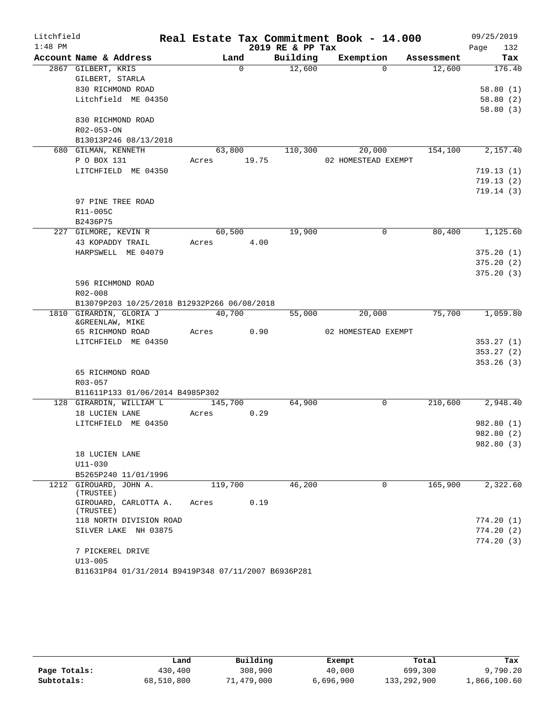| Litchfield |                                                |         |          |                  | Real Estate Tax Commitment Book - 14.000 |            | 09/25/2019  |
|------------|------------------------------------------------|---------|----------|------------------|------------------------------------------|------------|-------------|
| $1:48$ PM  |                                                |         |          | 2019 RE & PP Tax |                                          |            | Page<br>132 |
|            | Account Name & Address                         |         | Land     | Building         | Exemption                                | Assessment | Tax         |
|            | 2867 GILBERT, KRIS                             |         | $\Omega$ | 12,600           | $\Omega$                                 | 12,600     | 176.40      |
|            | GILBERT, STARLA                                |         |          |                  |                                          |            |             |
|            | 830 RICHMOND ROAD                              |         |          |                  |                                          |            | 58.80(1)    |
|            | Litchfield ME 04350                            |         |          |                  |                                          |            | 58.80(2)    |
|            |                                                |         |          |                  |                                          |            | 58.80(3)    |
|            | 830 RICHMOND ROAD<br>R02-053-ON                |         |          |                  |                                          |            |             |
|            | B13013P246 08/13/2018                          |         |          |                  |                                          |            |             |
|            | 680 GILMAN, KENNETH                            | 63,800  |          | 110,300          | 20,000                                   | 154,100    | 2,157.40    |
|            | P O BOX 131                                    | Acres   | 19.75    |                  | 02 HOMESTEAD EXEMPT                      |            |             |
|            | LITCHFIELD ME 04350                            |         |          |                  |                                          |            | 719.13(1)   |
|            |                                                |         |          |                  |                                          |            | 719.13(2)   |
|            |                                                |         |          |                  |                                          |            | 719.14(3)   |
|            | 97 PINE TREE ROAD                              |         |          |                  |                                          |            |             |
|            | R11-005C                                       |         |          |                  |                                          |            |             |
|            | B2436P75                                       |         |          |                  |                                          |            |             |
|            | 227 GILMORE, KEVIN R                           | 60,500  |          | 19,900           | $\mathbf 0$                              | 80,400     | 1,125.60    |
|            | 43 KOPADDY TRAIL                               | Acres   | 4.00     |                  |                                          |            |             |
|            | HARPSWELL ME 04079                             |         |          |                  |                                          |            | 375.20(1)   |
|            |                                                |         |          |                  |                                          |            | 375.20(2)   |
|            |                                                |         |          |                  |                                          |            | 375.20(3)   |
|            | 596 RICHMOND ROAD                              |         |          |                  |                                          |            |             |
|            | R02-008                                        |         |          |                  |                                          |            |             |
|            | B13079P203 10/25/2018 B12932P266 06/08/2018    |         |          |                  |                                          |            |             |
|            | 1810 GIRARDIN, GLORIA J<br>&GREENLAW, MIKE     | 40,700  |          | 55,000           | 20,000                                   | 75,700     | 1,059.80    |
|            | 65 RICHMOND ROAD                               | Acres   | 0.90     |                  | 02 HOMESTEAD EXEMPT                      |            |             |
|            | LITCHFIELD ME 04350                            |         |          |                  |                                          |            | 353.27(1)   |
|            |                                                |         |          |                  |                                          |            | 353.27(2)   |
|            |                                                |         |          |                  |                                          |            | 353.26(3)   |
|            | 65 RICHMOND ROAD                               |         |          |                  |                                          |            |             |
|            | R03-057                                        |         |          |                  |                                          |            |             |
|            | B11611P133 01/06/2014 B4985P302                |         |          |                  |                                          |            |             |
|            | 128 GIRARDIN, WILLIAM L                        | 145,700 |          | 64,900           | 0                                        | 210,600    | 2,948.40    |
|            | 18 LUCIEN LANE                                 | Acres   | 0.29     |                  |                                          |            |             |
|            | LITCHFIELD ME 04350                            |         |          |                  |                                          |            | 982.80 (1)  |
|            |                                                |         |          |                  |                                          |            | 982.80 (2)  |
|            |                                                |         |          |                  |                                          |            | 982.80 (3)  |
|            | 18 LUCIEN LANE                                 |         |          |                  |                                          |            |             |
|            | $U11 - 030$                                    |         |          |                  |                                          |            |             |
|            | B5265P240 11/01/1996<br>1212 GIROUARD, JOHN A. | 119,700 |          | 46,200           | 0                                        | 165,900    | 2,322.60    |
|            | (TRUSTEE)                                      |         |          |                  |                                          |            |             |
|            | GIROUARD, CARLOTTA A.<br>(TRUSTEE)             | Acres   | 0.19     |                  |                                          |            |             |
|            | 118 NORTH DIVISION ROAD                        |         |          |                  |                                          |            | 774.20 (1)  |
|            | SILVER LAKE NH 03875                           |         |          |                  |                                          |            | 774.20(2)   |
|            |                                                |         |          |                  |                                          |            | 774.20(3)   |
|            | 7 PICKEREL DRIVE                               |         |          |                  |                                          |            |             |
|            | $U13 - 005$                                    |         |          |                  |                                          |            |             |
|            |                                                |         |          |                  |                                          |            |             |

|  | B11631P84 01/31/2014 B9419P348 07/11/2007 B6936P281 |  |  |  |
|--|-----------------------------------------------------|--|--|--|
|--|-----------------------------------------------------|--|--|--|

|              | Land       | Building   | Exempt    | Total       | Tax          |
|--------------|------------|------------|-----------|-------------|--------------|
| Page Totals: | 430,400    | 308,900    | 40,000    | 699,300     | 9.790.20     |
| Subtotals:   | 68,510,800 | 71,479,000 | 6,696,900 | 133,292,900 | 1,866,100.60 |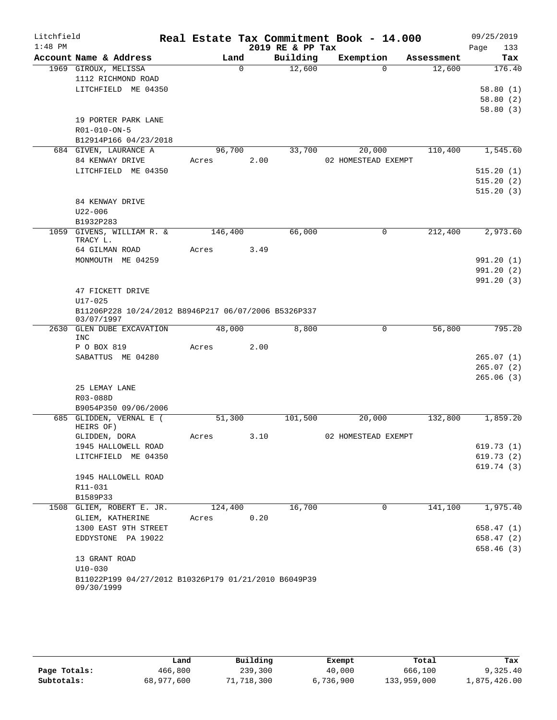| Litchfield |                                                                    |         |          |                  | Real Estate Tax Commitment Book - 14.000 |            | 09/25/2019  |
|------------|--------------------------------------------------------------------|---------|----------|------------------|------------------------------------------|------------|-------------|
| $1:48$ PM  |                                                                    |         |          | 2019 RE & PP Tax |                                          |            | 133<br>Page |
|            | Account Name & Address                                             | Land    |          | Building         | Exemption                                | Assessment | Tax         |
|            | 1969 GIROUX, MELISSA                                               |         | $\Omega$ | 12,600           | $\Omega$                                 | 12,600     | 176.40      |
|            | 1112 RICHMOND ROAD                                                 |         |          |                  |                                          |            |             |
|            | LITCHFIELD ME 04350                                                |         |          |                  |                                          |            | 58.80(1)    |
|            |                                                                    |         |          |                  |                                          |            | 58.80(2)    |
|            |                                                                    |         |          |                  |                                          |            | 58.80(3)    |
|            | 19 PORTER PARK LANE<br>R01-010-ON-5                                |         |          |                  |                                          |            |             |
|            | B12914P166 04/23/2018                                              |         |          |                  |                                          |            |             |
|            | 684 GIVEN, LAURANCE A                                              | 96,700  |          | 33,700           | 20,000                                   | 110,400    | 1,545.60    |
|            | 84 KENWAY DRIVE                                                    | Acres   | 2.00     |                  | 02 HOMESTEAD EXEMPT                      |            |             |
|            | LITCHFIELD ME 04350                                                |         |          |                  |                                          |            | 515.20(1)   |
|            |                                                                    |         |          |                  |                                          |            | 515.20(2)   |
|            |                                                                    |         |          |                  |                                          |            | 515.20(3)   |
|            | 84 KENWAY DRIVE                                                    |         |          |                  |                                          |            |             |
|            | $U22 - 006$                                                        |         |          |                  |                                          |            |             |
|            | B1932P283                                                          |         |          |                  |                                          |            |             |
|            | 1059 GIVENS, WILLIAM R. &<br>TRACY L.                              | 146,400 |          | 66,000           | $\Omega$                                 | 212,400    | 2,973.60    |
|            | 64 GILMAN ROAD                                                     | Acres   | 3.49     |                  |                                          |            |             |
|            | MONMOUTH ME 04259                                                  |         |          |                  |                                          |            | 991.20(1)   |
|            |                                                                    |         |          |                  |                                          |            | 991.20(2)   |
|            |                                                                    |         |          |                  |                                          |            | 991.20(3)   |
|            | 47 FICKETT DRIVE<br>$U17 - 025$                                    |         |          |                  |                                          |            |             |
|            | B11206P228 10/24/2012 B8946P217 06/07/2006 B5326P337<br>03/07/1997 |         |          |                  |                                          |            |             |
| 2630       | GLEN DUBE EXCAVATION<br>INC                                        | 48,000  |          | 8,800            | 0                                        | 56,800     | 795.20      |
|            | P O BOX 819                                                        | Acres   | 2.00     |                  |                                          |            |             |
|            | SABATTUS ME 04280                                                  |         |          |                  |                                          |            | 265.07(1)   |
|            |                                                                    |         |          |                  |                                          |            | 265.07(2)   |
|            |                                                                    |         |          |                  |                                          |            | 265.06(3)   |
|            | 25 LEMAY LANE                                                      |         |          |                  |                                          |            |             |
|            | R03-088D                                                           |         |          |                  |                                          |            |             |
|            | B9054P350 09/06/2006                                               |         |          |                  |                                          |            |             |
|            | 685 GLIDDEN, VERNAL E (<br>HEIRS OF)                               | 51,300  | 3.10     | 101,500          | 20,000                                   | 132,800    | 1,859.20    |
|            | GLIDDEN, DORA<br>1945 HALLOWELL ROAD                               | Acres   |          |                  | 02 HOMESTEAD EXEMPT                      |            | 619.73(1)   |
|            | LITCHFIELD ME 04350                                                |         |          |                  |                                          |            | 619.73(2)   |
|            |                                                                    |         |          |                  |                                          |            | 619.74(3)   |
|            | 1945 HALLOWELL ROAD                                                |         |          |                  |                                          |            |             |
|            | R11-031                                                            |         |          |                  |                                          |            |             |
|            | B1589P33                                                           |         |          |                  |                                          |            |             |
|            | 1508 GLIEM, ROBERT E. JR.                                          | 124,400 |          | 16,700           | 0                                        | 141,100    | 1,975.40    |
|            | GLIEM, KATHERINE                                                   | Acres   | 0.20     |                  |                                          |            |             |
|            | 1300 EAST 9TH STREET                                               |         |          |                  |                                          |            | 658.47(1)   |
|            | EDDYSTONE PA 19022                                                 |         |          |                  |                                          |            | 658.47 (2)  |
|            |                                                                    |         |          |                  |                                          |            | 658.46(3)   |
|            | 13 GRANT ROAD                                                      |         |          |                  |                                          |            |             |
|            | $U10 - 030$                                                        |         |          |                  |                                          |            |             |
|            | B11022P199 04/27/2012 B10326P179 01/21/2010 B6049P39<br>09/30/1999 |         |          |                  |                                          |            |             |

|              | Land       | Building   | Exempt    | Total       | Tax          |  |  |
|--------------|------------|------------|-----------|-------------|--------------|--|--|
| Page Totals: | 466,800    | 239,300    | 40,000    | 666,100     | 9,325.40     |  |  |
| Subtotals:   | 68,977,600 | 71,718,300 | 6,736,900 | 133,959,000 | 1,875,426.00 |  |  |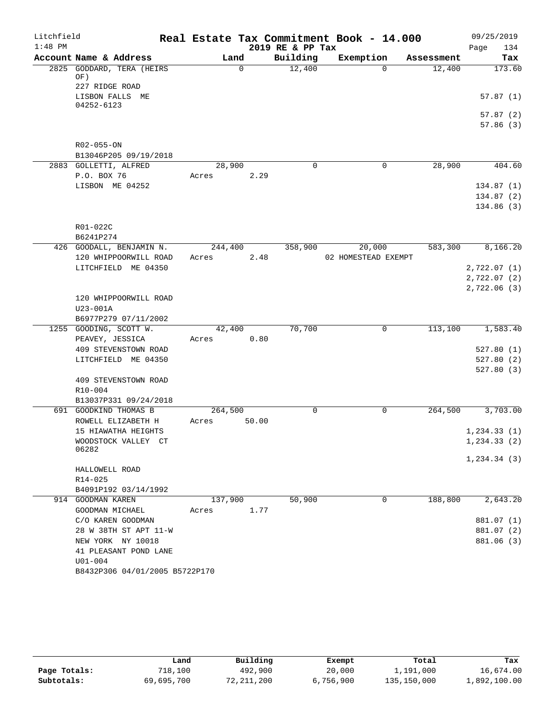| Litchfield<br>$1:48$ PM |                                            |         |          | 2019 RE & PP Tax | Real Estate Tax Commitment Book - 14.000 |            | 09/25/2019<br>134<br>Page |
|-------------------------|--------------------------------------------|---------|----------|------------------|------------------------------------------|------------|---------------------------|
|                         | Account Name & Address                     | Land    |          | Building         | Exemption                                | Assessment | Tax                       |
|                         | 2825 GODDARD, TERA (HEIRS<br>OF)           |         | $\Omega$ | 12,400           | $\Omega$                                 | 12,400     | 173.60                    |
|                         | 227 RIDGE ROAD<br>LISBON FALLS ME          |         |          |                  |                                          |            | 57.87(1)                  |
|                         | 04252-6123                                 |         |          |                  |                                          |            |                           |
|                         |                                            |         |          |                  |                                          |            | 57.87(2)<br>57.86(3)      |
|                         | R02-055-ON<br>B13046P205 09/19/2018        |         |          |                  |                                          |            |                           |
|                         | 2883 GOLLETTI, ALFRED                      | 28,900  |          | $\mathbf 0$      | $\mathbf 0$                              | 28,900     | 404.60                    |
|                         | P.O. BOX 76                                | Acres   | 2.29     |                  |                                          |            |                           |
|                         | LISBON ME 04252                            |         |          |                  |                                          |            | 134.87(1)                 |
|                         |                                            |         |          |                  |                                          |            | 134.87(2)                 |
|                         |                                            |         |          |                  |                                          |            | 134.86(3)                 |
|                         | R01-022C                                   |         |          |                  |                                          |            |                           |
|                         | B6241P274                                  |         |          |                  |                                          |            |                           |
|                         | 426 GOODALL, BENJAMIN N.                   | 244,400 |          | 358,900          | 20,000                                   | 583,300    | 8,166.20                  |
|                         | 120 WHIPPOORWILL ROAD                      | Acres   | 2.48     |                  | 02 HOMESTEAD EXEMPT                      |            |                           |
|                         | LITCHFIELD ME 04350                        |         |          |                  |                                          |            | 2,722.07 (1)              |
|                         |                                            |         |          |                  |                                          |            | 2,722.07 (2)              |
|                         |                                            |         |          |                  |                                          |            | 2,722.06(3)               |
|                         | 120 WHIPPOORWILL ROAD<br>U23-001A          |         |          |                  |                                          |            |                           |
|                         | B6977P279 07/11/2002                       |         |          |                  |                                          |            |                           |
|                         | 1255 GOODING, SCOTT W.                     | 42,400  |          | 70,700           | $\mathbf 0$                              | 113,100    | 1,583.40                  |
|                         | PEAVEY, JESSICA                            | Acres   | 0.80     |                  |                                          |            |                           |
|                         | 409 STEVENSTOWN ROAD                       |         |          |                  |                                          |            | 527.80(1)                 |
|                         | LITCHFIELD ME 04350                        |         |          |                  |                                          |            | 527.80(2)                 |
|                         |                                            |         |          |                  |                                          |            | 527.80(3)                 |
|                         | 409 STEVENSTOWN ROAD                       |         |          |                  |                                          |            |                           |
|                         | R10-004<br>B13037P331 09/24/2018           |         |          |                  |                                          |            |                           |
|                         | 691 GOODKIND THOMAS B                      | 264,500 |          | $\mathbf 0$      | 0                                        | 264,500    | 3,703.00                  |
|                         | ROWELL ELIZABETH H                         | Acres   | 50.00    |                  |                                          |            |                           |
|                         | 15 HIAWATHA HEIGHTS                        |         |          |                  |                                          |            | 1, 234.33(1)              |
|                         | WOODSTOCK VALLEY CT                        |         |          |                  |                                          |            | 1, 234.33(2)              |
|                         | 06282                                      |         |          |                  |                                          |            | 1, 234.34(3)              |
|                         | HALLOWELL ROAD                             |         |          |                  |                                          |            |                           |
|                         | R14-025                                    |         |          |                  |                                          |            |                           |
|                         | B4091P192 03/14/1992                       |         |          |                  |                                          |            |                           |
|                         | 914 GOODMAN KAREN                          | 137,900 |          | 50,900           | 0                                        | 188,800    | 2,643.20                  |
|                         | GOODMAN MICHAEL                            | Acres   | 1.77     |                  |                                          |            |                           |
|                         | C/O KAREN GOODMAN                          |         |          |                  |                                          |            | 881.07 (1)                |
|                         | 28 W 38TH ST APT 11-W<br>NEW YORK NY 10018 |         |          |                  |                                          |            | 881.07 (2)<br>881.06 (3)  |
|                         | 41 PLEASANT POND LANE                      |         |          |                  |                                          |            |                           |
|                         | $U01 - 004$                                |         |          |                  |                                          |            |                           |
|                         | B8432P306 04/01/2005 B5722P170             |         |          |                  |                                          |            |                           |

|              | Land       | Building   | Exempt    | Total       | Tax          |
|--------------|------------|------------|-----------|-------------|--------------|
| Page Totals: | 718,100    | 492,900    | 20,000    | 1,191,000   | 16,674.00    |
| Subtotals:   | 69,695,700 | 72,211,200 | 6,756,900 | 135,150,000 | 1,892,100.00 |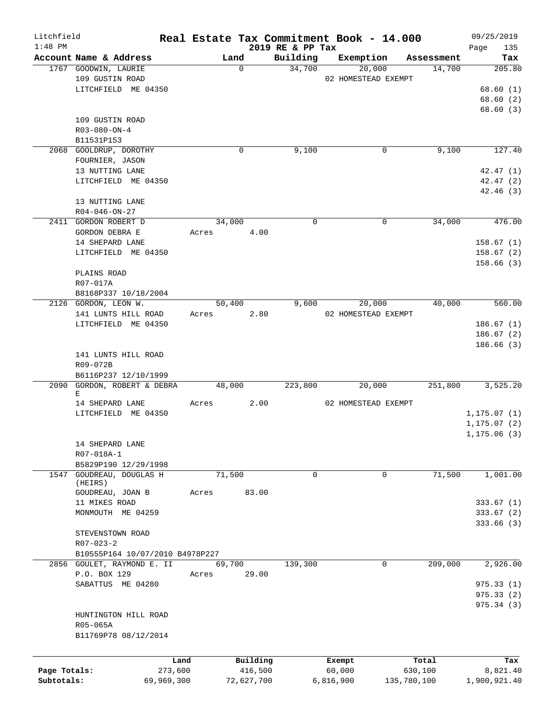| Litchfield   |                                                     |        |                  |                    | Real Estate Tax Commitment Book - 14.000 |                      | 09/25/2019             |
|--------------|-----------------------------------------------------|--------|------------------|--------------------|------------------------------------------|----------------------|------------------------|
| $1:48$ PM    |                                                     |        |                  | 2019 RE & PP Tax   |                                          |                      | 135<br>Page            |
|              | Account Name & Address<br>1767 GOODWIN, LAURIE      |        | Land<br>$\Omega$ | Building<br>34,700 | Exemption<br>20,000                      | Assessment<br>14,700 | Tax<br>205.80          |
|              | 109 GUSTIN ROAD                                     |        |                  |                    | 02 HOMESTEAD EXEMPT                      |                      |                        |
|              | LITCHFIELD ME 04350                                 |        |                  |                    |                                          |                      | 68.60(1)               |
|              |                                                     |        |                  |                    |                                          |                      | 68.60(2)               |
|              |                                                     |        |                  |                    |                                          |                      | 68.60 (3)              |
|              | 109 GUSTIN ROAD                                     |        |                  |                    |                                          |                      |                        |
|              | $R03 - 080 - ON - 4$                                |        |                  |                    |                                          |                      |                        |
|              | B11531P153                                          |        |                  |                    |                                          |                      |                        |
|              | 2068 GOOLDRUP, DOROTHY                              |        | 0                | 9,100              | 0                                        | 9,100                | 127.40                 |
|              | FOURNIER, JASON                                     |        |                  |                    |                                          |                      |                        |
|              | 13 NUTTING LANE                                     |        |                  |                    |                                          |                      | 42.47(1)               |
|              | LITCHFIELD ME 04350                                 |        |                  |                    |                                          |                      | 42.47(2)               |
|              |                                                     |        |                  |                    |                                          |                      | 42.46(3)               |
|              | 13 NUTTING LANE                                     |        |                  |                    |                                          |                      |                        |
|              | $R04 - 046 - ON - 27$                               |        |                  |                    |                                          |                      |                        |
|              | 2411 GORDON ROBERT D                                |        | 34,000           | $\Omega$           | 0                                        | 34,000               | 476.00                 |
|              | GORDON DEBRA E                                      | Acres  | 4.00             |                    |                                          |                      |                        |
|              | 14 SHEPARD LANE                                     |        |                  |                    |                                          |                      | 158.67(1)              |
|              | LITCHFIELD ME 04350                                 |        |                  |                    |                                          |                      | 158.67(2)              |
|              |                                                     |        |                  |                    |                                          |                      | 158.66(3)              |
|              | PLAINS ROAD                                         |        |                  |                    |                                          |                      |                        |
|              | R07-017A                                            |        |                  |                    |                                          |                      |                        |
|              | B8168P337 10/18/2004                                |        |                  |                    |                                          |                      |                        |
|              | 2126 GORDON, LEON W.                                |        | 50,400           | 9,600              | 20,000                                   | 40,000               | $\overline{560}$ .00   |
|              | 141 LUNTS HILL ROAD                                 | Acres  | 2.80             |                    | 02 HOMESTEAD EXEMPT                      |                      |                        |
|              | LITCHFIELD ME 04350                                 |        |                  |                    |                                          |                      | 186.67(1)              |
|              |                                                     |        |                  |                    |                                          |                      | 186.67(2)              |
|              |                                                     |        |                  |                    |                                          |                      | 186.66(3)              |
|              | 141 LUNTS HILL ROAD                                 |        |                  |                    |                                          |                      |                        |
|              | R09-072B                                            |        |                  |                    |                                          |                      |                        |
|              | B6116P237 12/10/1999<br>2090 GORDON, ROBERT & DEBRA |        | 48,000           | 223,800            | 20,000                                   | 251,800              | 3,525.20               |
|              | Е                                                   |        |                  |                    |                                          |                      |                        |
|              | 14 SHEPARD LANE                                     | Acres  | 2.00             |                    | 02 HOMESTEAD EXEMPT                      |                      |                        |
|              | LITCHFIELD ME 04350                                 |        |                  |                    |                                          |                      | 1, 175.07(1)           |
|              |                                                     |        |                  |                    |                                          |                      | 1, 175.07(2)           |
|              |                                                     |        |                  |                    |                                          |                      | 1, 175.06(3)           |
|              | 14 SHEPARD LANE                                     |        |                  |                    |                                          |                      |                        |
|              | R07-018A-1                                          |        |                  |                    |                                          |                      |                        |
|              | B5829P190 12/29/1998                                |        |                  |                    |                                          |                      |                        |
| 1547         | GOUDREAU, DOUGLAS H                                 | 71,500 |                  | 0                  | $\mathbf 0$                              | 71,500               | 1,001.00               |
|              | (HEIRS)                                             |        |                  |                    |                                          |                      |                        |
|              | GOUDREAU, JOAN B                                    | Acres  | 83.00            |                    |                                          |                      |                        |
|              | 11 MIKES ROAD                                       |        |                  |                    |                                          |                      | 333.67(1)              |
|              | MONMOUTH ME 04259                                   |        |                  |                    |                                          |                      | 333.67(2)              |
|              |                                                     |        |                  |                    |                                          |                      | 333.66(3)              |
|              | STEVENSTOWN ROAD                                    |        |                  |                    |                                          |                      |                        |
|              | $R07 - 023 - 2$                                     |        |                  |                    |                                          |                      |                        |
|              | B10555P164 10/07/2010 B4978P227                     |        |                  |                    | $\mathbf 0$                              |                      |                        |
|              | 2856 GOULET, RAYMOND E. II<br>P.O. BOX 129          | 69,700 |                  | 139,300            |                                          | 209,000              | 2,926.00               |
|              |                                                     | Acres  | 29.00            |                    |                                          |                      |                        |
|              | SABATTUS ME 04280                                   |        |                  |                    |                                          |                      | 975.33(1)<br>975.33(2) |
|              |                                                     |        |                  |                    |                                          |                      | 975.34(3)              |
|              | HUNTINGTON HILL ROAD                                |        |                  |                    |                                          |                      |                        |
|              | R05-065A                                            |        |                  |                    |                                          |                      |                        |
|              | B11769P78 08/12/2014                                |        |                  |                    |                                          |                      |                        |
|              |                                                     |        |                  |                    |                                          |                      |                        |
|              |                                                     |        |                  |                    |                                          |                      |                        |
|              |                                                     | Land   | Building         |                    | Exempt                                   | Total                | Tax                    |
| Page Totals: | 273,600                                             |        | 416,500          |                    | 60,000                                   | 630,100              | 8,821.40               |
| Subtotals:   | 69,969,300                                          |        | 72,627,700       |                    | 6,816,900                                | 135,780,100          | 1,900,921.40           |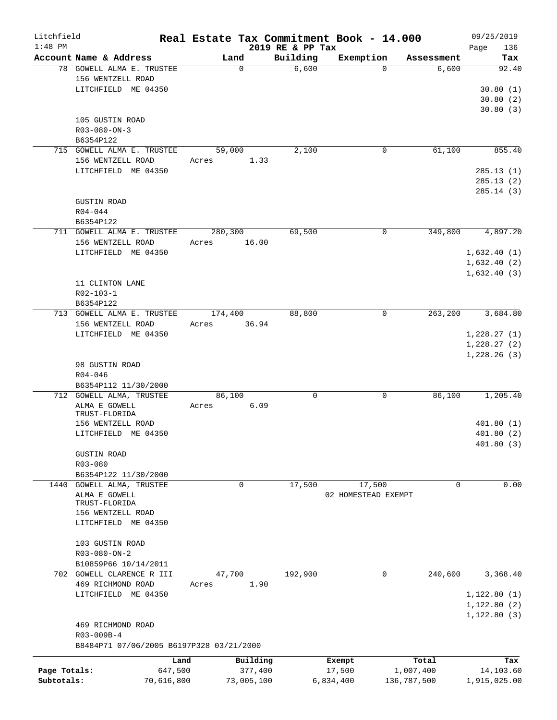| Litchfield   |                                          |             |                              | Real Estate Tax Commitment Book - 14.000 |                     | 09/25/2019         |
|--------------|------------------------------------------|-------------|------------------------------|------------------------------------------|---------------------|--------------------|
| $1:48$ PM    | Account Name & Address                   | Land        | 2019 RE & PP Tax<br>Building | Exemption                                |                     | 136<br>Page<br>Tax |
|              | 78 GOWELL ALMA E. TRUSTEE                | $\mathbf 0$ | 6,600                        | $\Omega$                                 | Assessment<br>6,600 | 92.40              |
|              | 156 WENTZELL ROAD                        |             |                              |                                          |                     |                    |
|              | LITCHFIELD ME 04350                      |             |                              |                                          |                     | 30.80(1)           |
|              |                                          |             |                              |                                          |                     | 30.80(2)           |
|              |                                          |             |                              |                                          |                     | 30.80(3)           |
|              | 105 GUSTIN ROAD                          |             |                              |                                          |                     |                    |
|              | $R03 - 080 - ON - 3$                     |             |                              |                                          |                     |                    |
|              | B6354P122                                |             |                              |                                          |                     |                    |
|              | 715 GOWELL ALMA E. TRUSTEE               | 59,000      | 2,100                        | 0                                        | 61,100              | 855.40             |
|              | 156 WENTZELL ROAD                        | Acres       | 1.33                         |                                          |                     |                    |
|              | LITCHFIELD ME 04350                      |             |                              |                                          |                     | 285.13(1)          |
|              |                                          |             |                              |                                          |                     | 285.13(2)          |
|              |                                          |             |                              |                                          |                     | 285.14(3)          |
|              | <b>GUSTIN ROAD</b>                       |             |                              |                                          |                     |                    |
|              | $R04 - 044$                              |             |                              |                                          |                     |                    |
|              | B6354P122                                |             |                              |                                          |                     |                    |
|              | 711 GOWELL ALMA E. TRUSTEE               | 280,300     | 69,500                       | 0                                        | 349,800             | 4,897.20           |
|              | 156 WENTZELL ROAD                        | Acres       | 16.00                        |                                          |                     |                    |
|              | LITCHFIELD ME 04350                      |             |                              |                                          |                     | 1,632.40(1)        |
|              |                                          |             |                              |                                          |                     | 1,632.40(2)        |
|              |                                          |             |                              |                                          |                     | 1,632.40(3)        |
|              | 11 CLINTON LANE                          |             |                              |                                          |                     |                    |
|              | R02-103-1                                |             |                              |                                          |                     |                    |
|              | B6354P122                                |             |                              |                                          |                     |                    |
|              | 713 GOWELL ALMA E. TRUSTEE               | 174,400     | 88,800                       | 0                                        | 263, 200            | 3,684.80           |
|              | 156 WENTZELL ROAD                        | Acres       | 36.94                        |                                          |                     |                    |
|              | LITCHFIELD ME 04350                      |             |                              |                                          |                     | 1,228.27(1)        |
|              |                                          |             |                              |                                          |                     |                    |
|              |                                          |             |                              |                                          |                     | 1,228.27(2)        |
|              | 98 GUSTIN ROAD                           |             |                              |                                          |                     | 1,228.26(3)        |
|              | $R04 - 046$                              |             |                              |                                          |                     |                    |
|              | B6354P112 11/30/2000                     |             |                              |                                          |                     |                    |
|              | 712 GOWELL ALMA, TRUSTEE                 | 86,100      | $\mathbf 0$                  | 0                                        | 86,100              | 1,205.40           |
|              | ALMA E GOWELL                            | Acres       | 6.09                         |                                          |                     |                    |
|              | TRUST-FLORIDA                            |             |                              |                                          |                     |                    |
|              | 156 WENTZELL ROAD                        |             |                              |                                          |                     | 401.80(1)          |
|              | LITCHFIELD ME 04350                      |             |                              |                                          |                     | 401.80(2)          |
|              |                                          |             |                              |                                          |                     | 401.80 (3)         |
|              | <b>GUSTIN ROAD</b>                       |             |                              |                                          |                     |                    |
|              | R03-080                                  |             |                              |                                          |                     |                    |
|              | B6354P122 11/30/2000                     |             |                              |                                          |                     |                    |
| 1440         | <b>GOWELL ALMA, TRUSTEE</b>              | 0           | 17,500                       | 17,500                                   | 0                   | 0.00               |
|              | ALMA E GOWELL                            |             |                              | 02 HOMESTEAD EXEMPT                      |                     |                    |
|              | TRUST-FLORIDA                            |             |                              |                                          |                     |                    |
|              | 156 WENTZELL ROAD                        |             |                              |                                          |                     |                    |
|              | LITCHFIELD ME 04350                      |             |                              |                                          |                     |                    |
|              |                                          |             |                              |                                          |                     |                    |
|              | 103 GUSTIN ROAD                          |             |                              |                                          |                     |                    |
|              | $R03 - 080 - ON - 2$                     |             |                              |                                          |                     |                    |
|              | B10859P66 10/14/2011                     |             |                              |                                          |                     |                    |
|              | 702 GOWELL CLARENCE R III                | 47,700      | 192,900                      | 0                                        | 240,600             | 3,368.40           |
|              | 469 RICHMOND ROAD                        | Acres       | 1.90                         |                                          |                     |                    |
|              | LITCHFIELD ME 04350                      |             |                              |                                          |                     | 1,122.80(1)        |
|              |                                          |             |                              |                                          |                     | 1,122.80(2)        |
|              |                                          |             |                              |                                          |                     | 1, 122.80(3)       |
|              | 469 RICHMOND ROAD                        |             |                              |                                          |                     |                    |
|              | R03-009B-4                               |             |                              |                                          |                     |                    |
|              | B8484P71 07/06/2005 B6197P328 03/21/2000 |             |                              |                                          |                     |                    |
|              | Land                                     |             | Building                     | Exempt                                   | Total               | Tax                |
| Page Totals: | 647,500                                  |             | 377,400                      | 17,500                                   | 1,007,400           | 14,103.60          |
| Subtotals:   | 70,616,800                               | 73,005,100  |                              | 6,834,400                                | 136,787,500         | 1,915,025.00       |
|              |                                          |             |                              |                                          |                     |                    |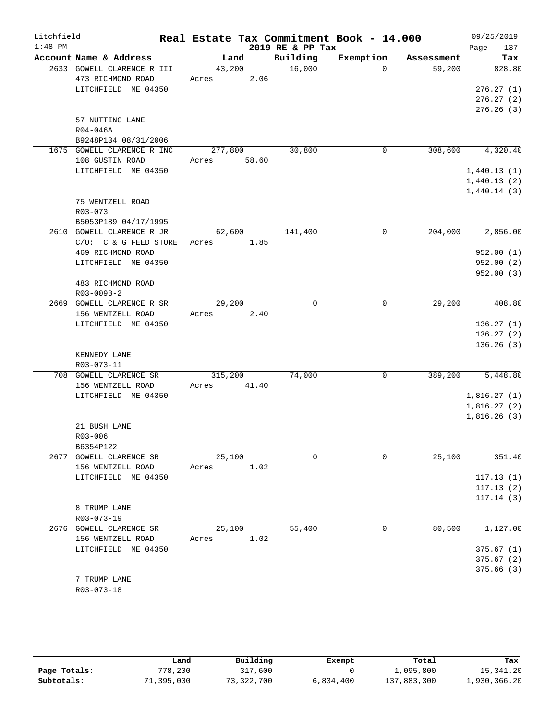| Litchfield<br>$1:48$ PM |                                                                        |                  |       | 2019 RE & PP Tax | Real Estate Tax Commitment Book - 14.000 |            | 09/25/2019<br>Page<br>137                             |
|-------------------------|------------------------------------------------------------------------|------------------|-------|------------------|------------------------------------------|------------|-------------------------------------------------------|
|                         | Account Name & Address                                                 | Land             |       | Building         | Exemption                                | Assessment | Tax                                                   |
|                         | 2633 GOWELL CLARENCE R III<br>473 RICHMOND ROAD<br>LITCHFIELD ME 04350 | 43,200<br>Acres  | 2.06  | 16,000           | $\Omega$                                 | 59,200     | 828.80<br>276.27(1)<br>276.27(2)                      |
|                         | 57 NUTTING LANE<br>R04-046A<br>B9248P134 08/31/2006                    |                  |       |                  |                                          |            | 276.26(3)                                             |
|                         | 1675 GOWELL CLARENCE R INC                                             | 277,800          |       | 30,800           | $\mathbf 0$                              | 308,600    | 4,320.40                                              |
|                         | 108 GUSTIN ROAD<br>LITCHFIELD ME 04350                                 | Acres            | 58.60 |                  |                                          |            | 1,440.13(1)<br>1,440.13(2)<br>1,440.14(3)             |
|                         | 75 WENTZELL ROAD<br>$R03 - 073$<br>B5053P189 04/17/1995                |                  |       |                  |                                          |            |                                                       |
|                         | 2610 GOWELL CLARENCE R JR                                              | 62,600           |       | 141,400          | 0                                        | 204,000    | 2,856.00                                              |
|                         | $C/O:$ $C & G$ FEED STORE<br>469 RICHMOND ROAD<br>LITCHFIELD ME 04350  | Acres            | 1.85  |                  |                                          |            | 952.00(1)<br>952.00(2)<br>952.00 (3)                  |
|                         | 483 RICHMOND ROAD<br>R03-009B-2                                        |                  |       |                  |                                          |            |                                                       |
|                         | 2669 GOWELL CLARENCE R SR<br>156 WENTZELL ROAD<br>LITCHFIELD ME 04350  | 29,200<br>Acres  | 2.40  | 0                | 0                                        | 29,200     | 408.80<br>136.27(1)<br>136.27(2)<br>136.26(3)         |
|                         | KENNEDY LANE<br>R03-073-11                                             |                  |       |                  |                                          |            |                                                       |
|                         | 708 GOWELL CLARENCE SR<br>156 WENTZELL ROAD<br>LITCHFIELD ME 04350     | 315,200<br>Acres | 41.40 | 74,000           | 0                                        | 389,200    | 5,448.80<br>1,816.27(1)<br>1,816.27(2)<br>1,816.26(3) |
|                         | 21 BUSH LANE<br>R03-006<br>B6354P122                                   |                  |       |                  |                                          |            |                                                       |
|                         | 2677 GOWELL CLARENCE SR<br>156 WENTZELL ROAD<br>LITCHFIELD ME 04350    | 25,100<br>Acres  | 1.02  | $\Omega$         | $\Omega$                                 | 25,100     | 351.40<br>117.13(1)<br>117.13(2)<br>117.14(3)         |
|                         | 8 TRUMP LANE<br>R03-073-19                                             |                  |       |                  |                                          |            |                                                       |
|                         | 2676 GOWELL CLARENCE SR<br>156 WENTZELL ROAD<br>LITCHFIELD ME 04350    | 25,100<br>Acres  | 1.02  | 55,400           | 0                                        | 80,500     | 1,127.00<br>375.67(1)<br>375.67(2)<br>375.66(3)       |
|                         | 7 TRUMP LANE<br>$R03 - 073 - 18$                                       |                  |       |                  |                                          |            |                                                       |

|              | Land       | Building   | Exempt    | Total       | Tax          |
|--------------|------------|------------|-----------|-------------|--------------|
| Page Totals: | 778,200    | 317,600    |           | 1,095,800   | 15,341.20    |
| Subtotals:   | 71,395,000 | 73,322,700 | 6,834,400 | 137,883,300 | 1,930,366.20 |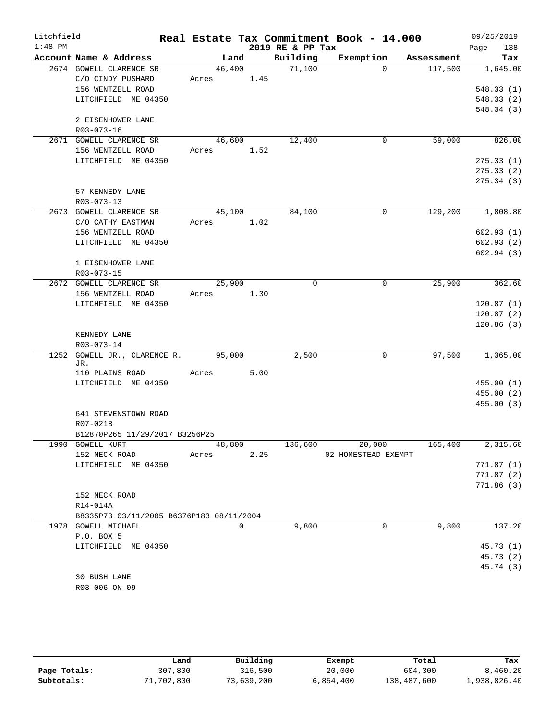| Litchfield |                                          |                     |      |                     | Real Estate Tax Commitment Book - 14.000 |                      | 09/25/2019       |
|------------|------------------------------------------|---------------------|------|---------------------|------------------------------------------|----------------------|------------------|
| $1:48$ PM  |                                          |                     |      | 2019 RE & PP Tax    |                                          |                      | Page<br>138      |
|            | Account Name & Address                   | Land                |      | Building            |                                          | Exemption Assessment | Tax              |
|            | 2674 GOWELL CLARENCE SR                  | 46,400              |      | $\overline{71,100}$ | $\Omega$                                 | 117,500              | 1,645.00         |
|            | C/O CINDY PUSHARD                        | Acres 1.45          |      |                     |                                          |                      |                  |
|            | 156 WENTZELL ROAD                        |                     |      |                     |                                          |                      | 548.33(1)        |
|            | LITCHFIELD ME 04350                      |                     |      |                     |                                          |                      | 548.33(2)        |
|            |                                          |                     |      |                     |                                          |                      | 548.34(3)        |
|            | 2 EISENHOWER LANE                        |                     |      |                     |                                          |                      |                  |
|            | R03-073-16                               |                     |      |                     |                                          |                      |                  |
|            | 2671 GOWELL CLARENCE SR                  | 46,600              |      | 12,400              | 0                                        | 59,000               | 826.00           |
|            | 156 WENTZELL ROAD                        | Acres 1.52          |      |                     |                                          |                      |                  |
|            | LITCHFIELD ME 04350                      |                     |      |                     |                                          |                      | 275.33(1)        |
|            |                                          |                     |      |                     |                                          |                      | 275.33(2)        |
|            |                                          |                     |      |                     |                                          |                      | 275.34(3)        |
|            | 57 KENNEDY LANE                          |                     |      |                     |                                          |                      |                  |
|            | R03-073-13<br>2673 GOWELL CLARENCE SR    | $4\overline{5,100}$ |      | 84,100              | 0                                        |                      | 129,200 1,808.80 |
|            | C/O CATHY EASTMAN                        | Acres 1.02          |      |                     |                                          |                      |                  |
|            | 156 WENTZELL ROAD                        |                     |      |                     |                                          |                      | 602.93(1)        |
|            | LITCHFIELD ME 04350                      |                     |      |                     |                                          |                      | 602.93(2)        |
|            |                                          |                     |      |                     |                                          |                      | 602.94(3)        |
|            | 1 EISENHOWER LANE                        |                     |      |                     |                                          |                      |                  |
|            | $R03 - 073 - 15$                         |                     |      |                     |                                          |                      |                  |
|            | 2672 GOWELL CLARENCE SR                  | 25,900              |      | 0                   | 0                                        | 25,900               | 362.60           |
|            | 156 WENTZELL ROAD                        | Acres 1.30          |      |                     |                                          |                      |                  |
|            | LITCHFIELD ME 04350                      |                     |      |                     |                                          |                      | 120.87(1)        |
|            |                                          |                     |      |                     |                                          |                      | 120.87(2)        |
|            |                                          |                     |      |                     |                                          |                      | 120.86(3)        |
|            | KENNEDY LANE                             |                     |      |                     |                                          |                      |                  |
|            | R03-073-14                               |                     |      |                     |                                          |                      |                  |
| 1252       | GOWELL JR., CLARENCE R. 95,000           |                     |      | 2,500               | 0                                        | 97,500               | 1,365.00         |
|            | JR.                                      |                     |      |                     |                                          |                      |                  |
|            | 110 PLAINS ROAD                          | Acres               | 5.00 |                     |                                          |                      |                  |
|            | LITCHFIELD ME 04350                      |                     |      |                     |                                          |                      | 455.00(1)        |
|            |                                          |                     |      |                     |                                          |                      | 455.00(2)        |
|            |                                          |                     |      |                     |                                          |                      | 455.00(3)        |
|            | 641 STEVENSTOWN ROAD                     |                     |      |                     |                                          |                      |                  |
|            | R07-021B                                 |                     |      |                     |                                          |                      |                  |
|            | B12870P265 11/29/2017 B3256P25           |                     |      |                     |                                          |                      |                  |
|            | 1990 GOWELL KURT                         | 48,800              |      | 136,600             | 20,000                                   | 165,400              | 2,315.60         |
|            | 152 NECK ROAD                            | Acres               | 2.25 |                     | 02 HOMESTEAD EXEMPT                      |                      |                  |
|            | LITCHFIELD ME 04350                      |                     |      |                     |                                          |                      | 771.87(1)        |
|            |                                          |                     |      |                     |                                          |                      | 771.87(2)        |
|            |                                          |                     |      |                     |                                          |                      | 771.86(3)        |
|            | 152 NECK ROAD                            |                     |      |                     |                                          |                      |                  |
|            | R14-014A                                 |                     |      |                     |                                          |                      |                  |
|            | B8335P73 03/11/2005 B6376P183 08/11/2004 |                     | 0    | 9,800               | 0                                        | 9,800                | 137.20           |
|            | 1978 GOWELL MICHAEL                      |                     |      |                     |                                          |                      |                  |
|            | P.O. BOX 5<br>LITCHFIELD ME 04350        |                     |      |                     |                                          |                      | 45.73(1)         |
|            |                                          |                     |      |                     |                                          |                      | 45.73 (2)        |
|            |                                          |                     |      |                     |                                          |                      | 45.74 (3)        |
|            | 30 BUSH LANE                             |                     |      |                     |                                          |                      |                  |
|            | R03-006-ON-09                            |                     |      |                     |                                          |                      |                  |
|            |                                          |                     |      |                     |                                          |                      |                  |

|              | Land       | Building   | Exempt    | Total       | Tax          |  |  |
|--------------|------------|------------|-----------|-------------|--------------|--|--|
| Page Totals: | 307,800    | 316,500    | 20,000    | 604,300     | 8,460.20     |  |  |
| Subtotals:   | 71,702,800 | 73,639,200 | 6,854,400 | 138,487,600 | 1,938,826.40 |  |  |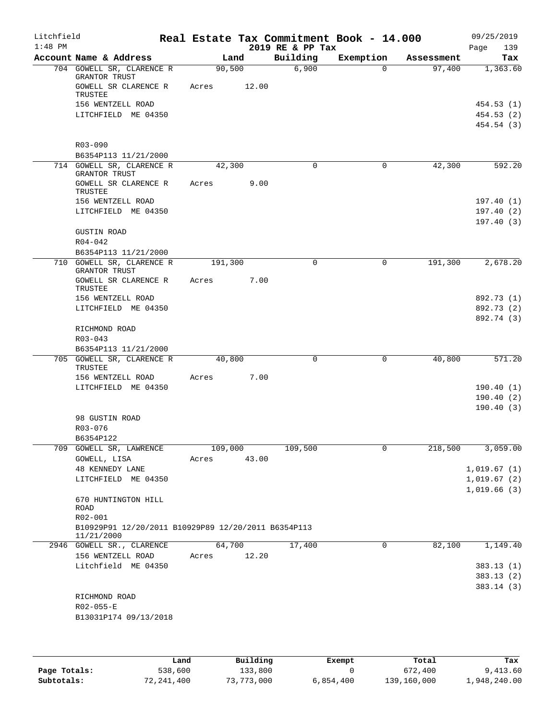| Litchfield<br>$1:48$ PM |                                                     |       |         | 2019 RE & PP Tax | Real Estate Tax Commitment Book - 14.000 |            | 09/25/2019<br>Page<br>139 |
|-------------------------|-----------------------------------------------------|-------|---------|------------------|------------------------------------------|------------|---------------------------|
|                         | Account Name & Address                              |       | Land    | Building         | Exemption                                | Assessment | Tax                       |
|                         | 704 GOWELL SR, CLARENCE R<br>GRANTOR TRUST          |       | 90,500  | 6,900            | $\Omega$                                 | 97,400     | 1,363.60                  |
|                         | GOWELL SR CLARENCE R<br><b>TRUSTEE</b>              | Acres | 12.00   |                  |                                          |            |                           |
|                         | 156 WENTZELL ROAD                                   |       |         |                  |                                          |            | 454.53 (1)                |
|                         | LITCHFIELD ME 04350                                 |       |         |                  |                                          |            | 454.53 (2)                |
|                         |                                                     |       |         |                  |                                          |            | 454.54 (3)                |
|                         | R03-090                                             |       |         |                  |                                          |            |                           |
|                         | B6354P113 11/21/2000                                |       |         |                  |                                          |            |                           |
|                         | 714 GOWELL SR, CLARENCE R<br>GRANTOR TRUST          |       | 42,300  | $\mathbf 0$      | 0                                        | 42,300     | 592.20                    |
|                         | GOWELL SR CLARENCE R<br>TRUSTEE                     | Acres | 9.00    |                  |                                          |            |                           |
|                         | 156 WENTZELL ROAD                                   |       |         |                  |                                          |            | 197.40(1)                 |
|                         | LITCHFIELD ME 04350                                 |       |         |                  |                                          |            | 197.40(2)                 |
|                         |                                                     |       |         |                  |                                          |            | 197.40(3)                 |
|                         | <b>GUSTIN ROAD</b><br>$R04 - 042$                   |       |         |                  |                                          |            |                           |
|                         | B6354P113 11/21/2000                                |       |         |                  |                                          |            |                           |
|                         | 710 GOWELL SR, CLARENCE R<br>GRANTOR TRUST          |       | 191,300 | $\mathbf 0$      | $\mathbf 0$                              | 191,300    | 2,678.20                  |
|                         | GOWELL SR CLARENCE R<br>TRUSTEE                     | Acres | 7.00    |                  |                                          |            |                           |
|                         | 156 WENTZELL ROAD                                   |       |         |                  |                                          |            | 892.73 (1)                |
|                         | LITCHFIELD ME 04350                                 |       |         |                  |                                          |            | 892.73 (2)                |
|                         | RICHMOND ROAD                                       |       |         |                  |                                          |            | 892.74 (3)                |
|                         | $R03 - 043$                                         |       |         |                  |                                          |            |                           |
|                         | B6354P113 11/21/2000                                |       |         |                  |                                          |            |                           |
|                         | 705 GOWELL SR, CLARENCE R                           |       | 40,800  | 0                | $\mathbf 0$                              | 40,800     | 571.20                    |
|                         | TRUSTEE                                             |       | 7.00    |                  |                                          |            |                           |
|                         | 156 WENTZELL ROAD<br>LITCHFIELD ME 04350            | Acres |         |                  |                                          |            | 190.40(1)                 |
|                         |                                                     |       |         |                  |                                          |            | 190.40(2)                 |
|                         |                                                     |       |         |                  |                                          |            | 190.40(3)                 |
|                         | 98 GUSTIN ROAD                                      |       |         |                  |                                          |            |                           |
|                         | R03-076                                             |       |         |                  |                                          |            |                           |
|                         | B6354P122                                           |       |         |                  |                                          |            |                           |
|                         | 709 GOWELL SR, LAWRENCE                             |       | 109,000 | 109,500          | 0                                        | 218,500    | 3,059.00                  |
|                         | GOWELL, LISA                                        | Acres | 43.00   |                  |                                          |            |                           |
|                         | <b>48 KENNEDY LANE</b>                              |       |         |                  |                                          |            | 1,019.67(1)               |
|                         | LITCHFIELD ME 04350                                 |       |         |                  |                                          |            | 1,019.67(2)               |
|                         | 670 HUNTINGTON HILL                                 |       |         |                  |                                          |            | 1,019.66(3)               |
|                         | ROAD                                                |       |         |                  |                                          |            |                           |
|                         | R02-001                                             |       |         |                  |                                          |            |                           |
|                         | B10929P91 12/20/2011 B10929P89 12/20/2011 B6354P113 |       |         |                  |                                          |            |                           |
|                         | 11/21/2000                                          |       |         |                  |                                          |            |                           |
|                         | 2946 GOWELL SR., CLARENCE                           |       | 64,700  | 17,400           | 0                                        | 82,100     | 1,149.40                  |
|                         | 156 WENTZELL ROAD                                   | Acres | 12.20   |                  |                                          |            |                           |
|                         | Litchfield ME 04350                                 |       |         |                  |                                          |            | 383.13 (1)                |
|                         |                                                     |       |         |                  |                                          |            | 383.13 (2)<br>383.14(3)   |
|                         | RICHMOND ROAD                                       |       |         |                  |                                          |            |                           |
|                         | R02-055-E                                           |       |         |                  |                                          |            |                           |
|                         | B13031P174 09/13/2018                               |       |         |                  |                                          |            |                           |
|                         |                                                     |       |         |                  |                                          |            |                           |
|                         |                                                     |       |         |                  |                                          |            |                           |
|                         |                                                     |       |         |                  |                                          |            |                           |

|              | Land       | Building   | Exempt    | Total       | Tax          |
|--------------|------------|------------|-----------|-------------|--------------|
| Page Totals: | 538,600    | 133,800    |           | 672,400     | 9,413.60     |
| Subtotals:   | 72,241,400 | 73,773,000 | 6,854,400 | 139,160,000 | 1,948,240.00 |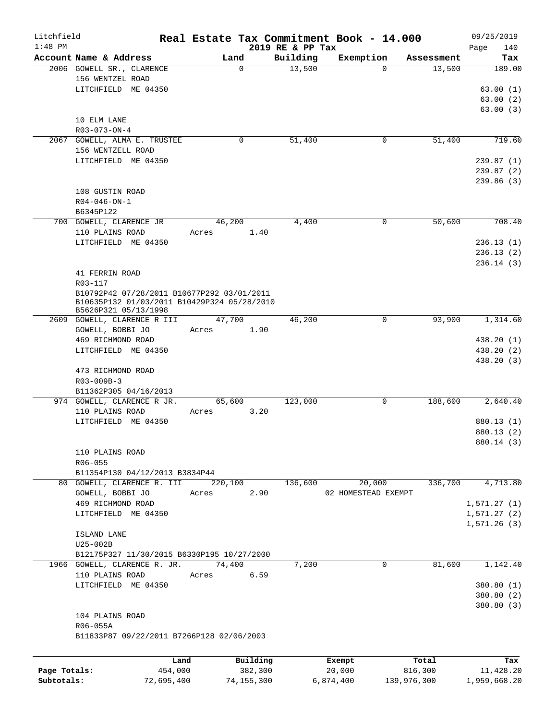| Litchfield   |                                                     |         |                  |          |                    | Real Estate Tax Commitment Book - 14.000 |                                  | 09/25/2019    |
|--------------|-----------------------------------------------------|---------|------------------|----------|--------------------|------------------------------------------|----------------------------------|---------------|
| $1:48$ PM    | Account Name & Address                              |         |                  |          | 2019 RE & PP Tax   |                                          |                                  | 140<br>Page   |
|              | 2006 GOWELL SR., CLARENCE                           |         | Land<br>$\Omega$ |          | Building<br>13,500 | Exemption                                | Assessment<br>$\Omega$<br>13,500 | Tax<br>189.00 |
|              | 156 WENTZEL ROAD                                    |         |                  |          |                    |                                          |                                  |               |
|              | LITCHFIELD ME 04350                                 |         |                  |          |                    |                                          |                                  | 63.00(1)      |
|              |                                                     |         |                  |          |                    |                                          |                                  | 63.00(2)      |
|              |                                                     |         |                  |          |                    |                                          |                                  | 63.00(3)      |
|              | 10 ELM LANE                                         |         |                  |          |                    |                                          |                                  |               |
|              | R03-073-ON-4                                        |         |                  |          |                    |                                          |                                  |               |
|              | 2067 GOWELL, ALMA E. TRUSTEE                        |         | 0                |          | 51,400             |                                          | 0<br>51,400                      | 719.60        |
|              | 156 WENTZELL ROAD                                   |         |                  |          |                    |                                          |                                  |               |
|              | LITCHFIELD ME 04350                                 |         |                  |          |                    |                                          |                                  | 239.87(1)     |
|              |                                                     |         |                  |          |                    |                                          |                                  | 239.87 (2)    |
|              |                                                     |         |                  |          |                    |                                          |                                  | 239.86 (3)    |
|              | 108 GUSTIN ROAD                                     |         |                  |          |                    |                                          |                                  |               |
|              | $R04 - 046 - ON - 1$<br>B6345P122                   |         |                  |          |                    |                                          |                                  |               |
|              | 700 GOWELL, CLARENCE JR                             |         | 46,200           |          | 4,400              |                                          | 50,600<br>0                      | 708.40        |
|              | 110 PLAINS ROAD                                     | Acres   |                  | 1.40     |                    |                                          |                                  |               |
|              | LITCHFIELD ME 04350                                 |         |                  |          |                    |                                          |                                  | 236.13(1)     |
|              |                                                     |         |                  |          |                    |                                          |                                  | 236.13(2)     |
|              |                                                     |         |                  |          |                    |                                          |                                  | 236.14(3)     |
|              | 41 FERRIN ROAD                                      |         |                  |          |                    |                                          |                                  |               |
|              | R03-117                                             |         |                  |          |                    |                                          |                                  |               |
|              | B10792P42 07/28/2011 B10677P292 03/01/2011          |         |                  |          |                    |                                          |                                  |               |
|              | B10635P132 01/03/2011 B10429P324 05/28/2010         |         |                  |          |                    |                                          |                                  |               |
|              | B5626P321 05/13/1998<br>2609 GOWELL, CLARENCE R III |         | 47,700           |          | 46,200             |                                          | $\Omega$<br>93,900               | 1,314.60      |
|              | GOWELL, BOBBI JO                                    | Acres   |                  | 1.90     |                    |                                          |                                  |               |
|              | 469 RICHMOND ROAD                                   |         |                  |          |                    |                                          |                                  | 438.20 (1)    |
|              | LITCHFIELD ME 04350                                 |         |                  |          |                    |                                          |                                  | 438.20 (2)    |
|              |                                                     |         |                  |          |                    |                                          |                                  | 438.20 (3)    |
|              | 473 RICHMOND ROAD                                   |         |                  |          |                    |                                          |                                  |               |
|              | R03-009B-3                                          |         |                  |          |                    |                                          |                                  |               |
|              | B11362P305 04/16/2013                               |         |                  |          |                    |                                          |                                  |               |
|              | 974 GOWELL, CLARENCE R JR.                          |         | 65,600           |          | 123,000            |                                          | 188,600<br>0                     | 2,640.40      |
|              | 110 PLAINS ROAD                                     | Acres   |                  | 3.20     |                    |                                          |                                  |               |
|              | LITCHFIELD ME 04350                                 |         |                  |          |                    |                                          |                                  | 880.13 (1)    |
|              |                                                     |         |                  |          |                    |                                          |                                  | 880.13 (2)    |
|              |                                                     |         |                  |          |                    |                                          |                                  | 880.14 (3)    |
|              | 110 PLAINS ROAD                                     |         |                  |          |                    |                                          |                                  |               |
|              | R06-055<br>B11354P130 04/12/2013 B3834P44           |         |                  |          |                    |                                          |                                  |               |
|              | 80 GOWELL, CLARENCE R. III                          |         | 220,100          |          | 136,600            | 20,000                                   | 336,700                          | 4,713.80      |
|              | GOWELL, BOBBI JO                                    | Acres   |                  | 2.90     |                    | 02 HOMESTEAD EXEMPT                      |                                  |               |
|              | 469 RICHMOND ROAD                                   |         |                  |          |                    |                                          |                                  | 1,571.27(1)   |
|              | LITCHFIELD ME 04350                                 |         |                  |          |                    |                                          |                                  | 1,571.27(2)   |
|              |                                                     |         |                  |          |                    |                                          |                                  | 1,571.26(3)   |
|              | ISLAND LANE                                         |         |                  |          |                    |                                          |                                  |               |
|              | U25-002B                                            |         |                  |          |                    |                                          |                                  |               |
|              | B12175P327 11/30/2015 B6330P195 10/27/2000          |         |                  |          |                    |                                          |                                  |               |
|              | 1966 GOWELL, CLARENCE R. JR. 74,400                 |         |                  |          | 7,200              |                                          | $\mathbf 0$<br>81,600            | 1,142.40      |
|              | 110 PLAINS ROAD                                     | Acres   |                  | 6.59     |                    |                                          |                                  |               |
|              | LITCHFIELD ME 04350                                 |         |                  |          |                    |                                          |                                  | 380.80(1)     |
|              |                                                     |         |                  |          |                    |                                          |                                  | 380.80 (2)    |
|              |                                                     |         |                  |          |                    |                                          |                                  | 380.80 (3)    |
|              | 104 PLAINS ROAD                                     |         |                  |          |                    |                                          |                                  |               |
|              | R06-055A                                            |         |                  |          |                    |                                          |                                  |               |
|              | B11833P87 09/22/2011 B7266P128 02/06/2003           |         |                  |          |                    |                                          |                                  |               |
|              |                                                     |         |                  |          |                    |                                          |                                  |               |
|              |                                                     | Land    |                  | Building |                    | Exempt                                   | Total                            | Tax           |
| Page Totals: |                                                     | 454,000 |                  | 382,300  |                    | 20,000                                   | 816,300                          | 11,428.20     |

**Subtotals:** 72,695,400 74,155,300 6,874,400 139,976,300 1,959,668.20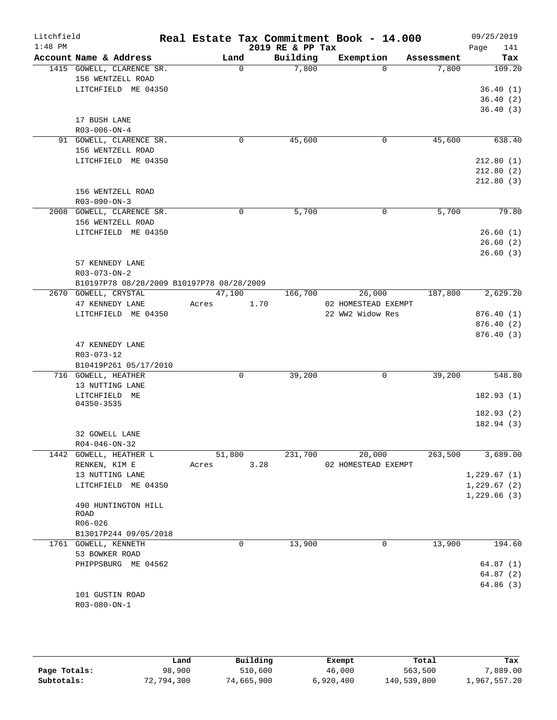| Litchfield<br>$1:48$ PM |                                                                                                                                                               |                 |          | 2019 RE & PP Tax | Real Estate Tax Commitment Book - 14.000          |             |            | 09/25/2019<br>Page<br>141                             |
|-------------------------|---------------------------------------------------------------------------------------------------------------------------------------------------------------|-----------------|----------|------------------|---------------------------------------------------|-------------|------------|-------------------------------------------------------|
|                         | Account Name & Address                                                                                                                                        |                 | Land     | Building         | Exemption                                         |             | Assessment | Tax                                                   |
|                         | 1415 GOWELL, CLARENCE SR.<br>156 WENTZELL ROAD<br>LITCHFIELD ME 04350                                                                                         |                 | $\Omega$ | 7,800            |                                                   | $\Omega$    | 7,800      | 109.20<br>36.40(1)<br>36.40(2)                        |
|                         | 17 BUSH LANE<br>$R03 - 006 - ON - 4$                                                                                                                          |                 |          |                  |                                                   |             |            | 36.40(3)                                              |
|                         | 91 GOWELL, CLARENCE SR.<br>156 WENTZELL ROAD<br>LITCHFIELD ME 04350                                                                                           |                 | 0        | 45,600           |                                                   | 0           | 45,600     | 638.40<br>212.80(1)<br>212.80(2)                      |
|                         | 156 WENTZELL ROAD<br>$R03 - 090 - ON - 3$                                                                                                                     |                 |          |                  |                                                   |             |            | 212.80(3)                                             |
|                         | 2008 GOWELL, CLARENCE SR.<br>156 WENTZELL ROAD<br>LITCHFIELD ME 04350<br>57 KENNEDY LANE<br>$R03 - 073 - ON - 2$<br>B10197P78 08/28/2009 B10197P78 08/28/2009 |                 | 0        | 5,700            |                                                   | 0           | 5,700      | 79.80<br>26.60(1)<br>26.60(2)<br>26.60(3)             |
|                         | 2670 GOWELL, CRYSTAL<br>47 KENNEDY LANE<br>LITCHFIELD ME 04350<br>47 KENNEDY LANE<br>R03-073-12                                                               | 47,100<br>Acres | 1.70     | 166,700          | 26,000<br>02 HOMESTEAD EXEMPT<br>22 WW2 Widow Res |             | 187,800    | 2,629.20<br>876.40 (1)<br>876.40 (2)<br>876.40(3)     |
|                         | B10419P261 05/17/2010<br>716 GOWELL, HEATHER<br>13 NUTTING LANE<br>LITCHFIELD ME<br>04350-3535<br>32 GOWELL LANE                                              |                 | 0        | 39,200           |                                                   | $\mathbf 0$ | 39,200     | 548.80<br>182.93(1)<br>182.93(2)<br>182.94(3)         |
| 1442                    | $R04 - 046 - ON - 32$<br>GOWELL, HEATHER L<br>RENKEN, KIM E<br>13 NUTTING LANE<br>LITCHFIELD ME 04350<br>490 HUNTINGTON HILL<br>ROAD<br>R06-026               | 51,800<br>Acres | 3.28     | 231,700          | 20,000<br>02 HOMESTEAD EXEMPT                     |             | 263,500    | 3,689.00<br>1,229.67(1)<br>1,229.67(2)<br>1,229.66(3) |
|                         | B13017P244 09/05/2018<br>1761 GOWELL, KENNETH<br>53 BOWKER ROAD<br>PHIPPSBURG ME 04562<br>101 GUSTIN ROAD<br>R03-080-ON-1                                     |                 | 0        | 13,900           |                                                   | 0           | 13,900     | 194.60<br>64.87(1)<br>64.87(2)<br>64.86 (3)           |

|              | Land       | Building   | Exempt    | Total       | Tax          |
|--------------|------------|------------|-----------|-------------|--------------|
| Page Totals: | 98,900     | 510,600    | 46,000    | 563,500     | ,889.00      |
| Subtotals:   | 72,794,300 | 74,665,900 | 6,920,400 | 140,539,800 | l,967,557.20 |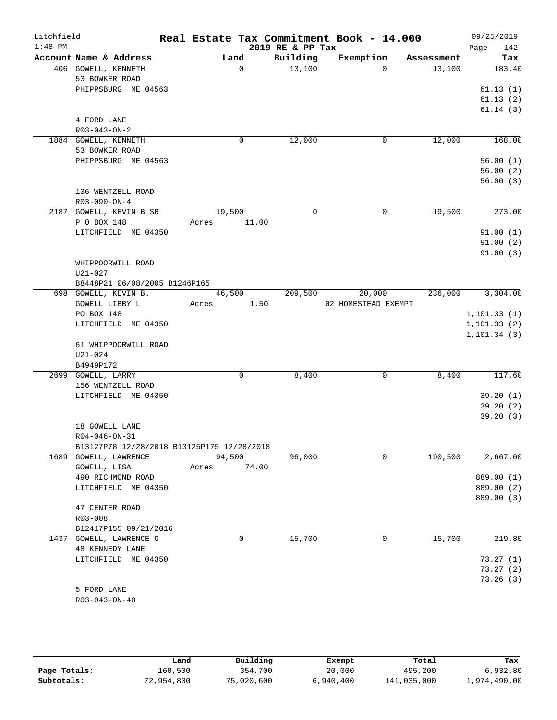| Litchfield<br>$1:48$ PM |                                            | Real Estate Tax Commitment Book - 14.000 |                              |                       |            | 09/25/2019           |
|-------------------------|--------------------------------------------|------------------------------------------|------------------------------|-----------------------|------------|----------------------|
|                         | Account Name & Address                     |                                          | 2019 RE & PP Tax<br>Building |                       |            | 142<br>Page          |
|                         |                                            | Land<br>$\Omega$                         |                              | Exemption<br>$\Omega$ | Assessment | Tax                  |
|                         | 406 GOWELL, KENNETH                        |                                          | 13,100                       |                       | 13,100     | 183.40               |
|                         | 53 BOWKER ROAD                             |                                          |                              |                       |            |                      |
|                         | PHIPPSBURG ME 04563                        |                                          |                              |                       |            | 61.13(1)             |
|                         |                                            |                                          |                              |                       |            | 61.13(2)<br>61.14(3) |
|                         | 4 FORD LANE                                |                                          |                              |                       |            |                      |
|                         | $R03 - 043 - ON - 2$                       |                                          |                              |                       |            |                      |
|                         | 1884 GOWELL, KENNETH                       | 0                                        | 12,000                       | $\mathbf 0$           | 12,000     | 168.00               |
|                         | 53 BOWKER ROAD                             |                                          |                              |                       |            |                      |
|                         | PHIPPSBURG ME 04563                        |                                          |                              |                       |            | 56.00(1)             |
|                         |                                            |                                          |                              |                       |            | 56.00(2)             |
|                         |                                            |                                          |                              |                       |            | 56.00(3)             |
|                         | 136 WENTZELL ROAD                          |                                          |                              |                       |            |                      |
|                         | $R03-090-ON-4$                             |                                          |                              |                       |            |                      |
|                         | 2187 GOWELL, KEVIN B SR                    | 19,500                                   | $\Omega$                     | 0                     | 19,500     | 273.00               |
|                         | P O BOX 148                                | 11.00<br>Acres                           |                              |                       |            |                      |
|                         | LITCHFIELD ME 04350                        |                                          |                              |                       |            | 91.00(1)             |
|                         |                                            |                                          |                              |                       |            | 91.00(2)             |
|                         |                                            |                                          |                              |                       |            | 91.00(3)             |
|                         | WHIPPOORWILL ROAD                          |                                          |                              |                       |            |                      |
|                         | U21-027                                    |                                          |                              |                       |            |                      |
|                         | B8448P21 06/08/2005 B1246P165              |                                          |                              |                       |            |                      |
|                         | 698 GOWELL, KEVIN B.                       | 46,500                                   | 209,500                      | 20,000                | 236,000    | 3,304.00             |
|                         | GOWELL LIBBY L                             | 1.50<br>Acres                            |                              | 02 HOMESTEAD EXEMPT   |            |                      |
|                         | PO BOX 148                                 |                                          |                              |                       |            | 1, 101.33(1)         |
|                         | LITCHFIELD ME 04350                        |                                          |                              |                       |            | 1, 101.33(2)         |
|                         |                                            |                                          |                              |                       |            | 1, 101.34(3)         |
|                         | 61 WHIPPOORWILL ROAD                       |                                          |                              |                       |            |                      |
|                         | $U21 - 024$                                |                                          |                              |                       |            |                      |
|                         | B4949P172                                  |                                          |                              |                       |            |                      |
|                         | 2699 GOWELL, LARRY                         | $\mathbf 0$                              | 8,400                        | $\mathbf 0$           | 8,400      | 117.60               |
|                         | 156 WENTZELL ROAD                          |                                          |                              |                       |            |                      |
|                         | LITCHFIELD ME 04350                        |                                          |                              |                       |            | 39.20(1)             |
|                         |                                            |                                          |                              |                       |            | 39.20(2)             |
|                         |                                            |                                          |                              |                       |            | 39.20(3)             |
|                         | 18 GOWELL LANE                             |                                          |                              |                       |            |                      |
|                         | $R04 - 046 - ON - 31$                      |                                          |                              |                       |            |                      |
|                         | B13127P78 12/28/2018 B13125P175 12/28/2018 |                                          |                              |                       |            |                      |
|                         | 1689 GOWELL, LAWRENCE                      | 94,500                                   | 96,000                       | 0                     | 190,500    | 2,667.00             |
|                         | GOWELL, LISA                               | 74.00<br>Acres                           |                              |                       |            |                      |
|                         | 490 RICHMOND ROAD                          |                                          |                              |                       |            | 889.00 (1)           |
|                         | LITCHFIELD ME 04350                        |                                          |                              |                       |            | 889.00 (2)           |
|                         |                                            |                                          |                              |                       |            | 889.00 (3)           |
|                         | 47 CENTER ROAD                             |                                          |                              |                       |            |                      |
|                         | R03-008                                    |                                          |                              |                       |            |                      |
|                         | B12417P155 09/21/2016                      |                                          |                              |                       |            |                      |
|                         | 1437 GOWELL, LAWRENCE G                    | 0                                        | 15,700                       | 0                     | 15,700     | 219.80               |
|                         | 48 KENNEDY LANE                            |                                          |                              |                       |            |                      |
|                         | LITCHFIELD ME 04350                        |                                          |                              |                       |            | 73.27(1)             |
|                         |                                            |                                          |                              |                       |            | 73.27(2)             |
|                         |                                            |                                          |                              |                       |            | 73.26(3)             |
|                         | 5 FORD LANE                                |                                          |                              |                       |            |                      |
|                         | R03-043-ON-40                              |                                          |                              |                       |            |                      |
|                         |                                            |                                          |                              |                       |            |                      |

|              | Land       | Building   | Exempt    | Total       | Tax          |
|--------------|------------|------------|-----------|-------------|--------------|
| Page Totals: | 160,500    | 354,700    | 20,000    | 495,200     | 6,932.80     |
| Subtotals:   | 72,954,800 | 75,020,600 | 6,940,400 | 141,035,000 | 1,974,490.00 |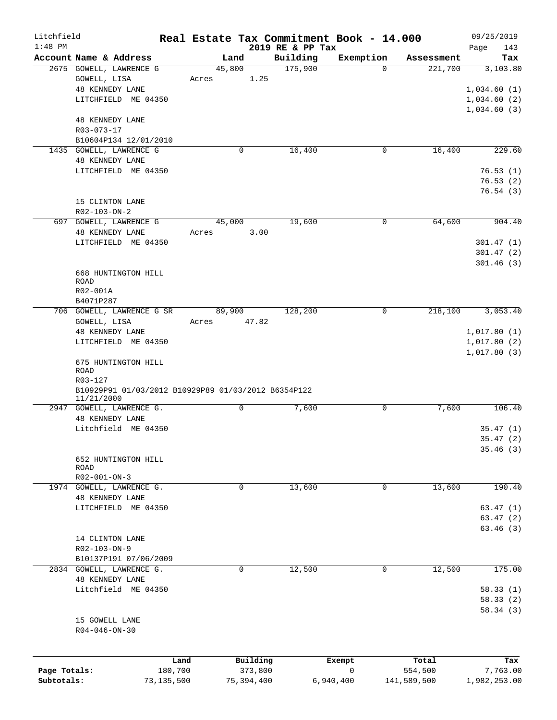| Litchfield   |                                                                   |         |                |                     | Real Estate Tax Commitment Book - 14.000 |                       | 09/25/2019      |
|--------------|-------------------------------------------------------------------|---------|----------------|---------------------|------------------------------------------|-----------------------|-----------------|
| $1:48$ PM    | Account Name & Address                                            |         |                | 2019 RE & PP Tax    |                                          |                       | 143<br>Page     |
|              | 2675 GOWELL, LAWRENCE G                                           |         | Land<br>45,800 | Building<br>175,900 | Exemption<br>$\Omega$                    | Assessment<br>221,700 | Tax<br>3,103.80 |
|              | GOWELL, LISA                                                      | Acres   | 1.25           |                     |                                          |                       |                 |
|              | <b>48 KENNEDY LANE</b>                                            |         |                |                     |                                          |                       | 1,034.60(1)     |
|              | LITCHFIELD ME 04350                                               |         |                |                     |                                          |                       | 1,034.60(2)     |
|              |                                                                   |         |                |                     |                                          |                       | 1,034.60(3)     |
|              | <b>48 KENNEDY LANE</b>                                            |         |                |                     |                                          |                       |                 |
|              | R03-073-17                                                        |         |                |                     |                                          |                       |                 |
|              | B10604P134 12/01/2010                                             |         |                |                     |                                          |                       |                 |
|              | 1435 GOWELL, LAWRENCE G                                           |         | $\mathbf 0$    | 16,400              | 0                                        | 16,400                | 229.60          |
|              | <b>48 KENNEDY LANE</b>                                            |         |                |                     |                                          |                       |                 |
|              | LITCHFIELD ME 04350                                               |         |                |                     |                                          |                       | 76.53(1)        |
|              |                                                                   |         |                |                     |                                          |                       | 76.53(2)        |
|              |                                                                   |         |                |                     |                                          |                       | 76.54(3)        |
|              | 15 CLINTON LANE                                                   |         |                |                     |                                          |                       |                 |
|              | $R02 - 103 - ON - 2$                                              |         |                |                     |                                          |                       |                 |
|              | 697 GOWELL, LAWRENCE G                                            |         | 45,000         | 19,600              | 0                                        | 64,600                | 904.40          |
|              | <b>48 KENNEDY LANE</b>                                            | Acres   | 3.00           |                     |                                          |                       |                 |
|              | LITCHFIELD ME 04350                                               |         |                |                     |                                          |                       | 301.47(1)       |
|              |                                                                   |         |                |                     |                                          |                       | 301.47(2)       |
|              |                                                                   |         |                |                     |                                          |                       | 301.46(3)       |
|              | 668 HUNTINGTON HILL<br>ROAD                                       |         |                |                     |                                          |                       |                 |
|              | R02-001A                                                          |         |                |                     |                                          |                       |                 |
|              | B4071P287                                                         |         |                |                     |                                          |                       |                 |
|              | 706 GOWELL, LAWRENCE G SR                                         |         | 89,900         | 128,200             | $\mathbf 0$                              | 218,100               | 3,053.40        |
|              | GOWELL, LISA                                                      | Acres   | 47.82          |                     |                                          |                       |                 |
|              | 48 KENNEDY LANE                                                   |         |                |                     |                                          |                       | 1,017.80(1)     |
|              | LITCHFIELD ME 04350                                               |         |                |                     |                                          |                       | 1,017.80(2)     |
|              |                                                                   |         |                |                     |                                          |                       | 1,017.80(3)     |
|              | 675 HUNTINGTON HILL                                               |         |                |                     |                                          |                       |                 |
|              | ROAD                                                              |         |                |                     |                                          |                       |                 |
|              | R03-127                                                           |         |                |                     |                                          |                       |                 |
|              | B10929P91 01/03/2012 B10929P89 01/03/2012 B6354P122<br>11/21/2000 |         |                |                     |                                          |                       |                 |
|              | 2947 GOWELL, LAWRENCE G.                                          |         | $\mathbf 0$    | 7,600               | 0                                        | 7,600                 | 106.40          |
|              | <b>48 KENNEDY LANE</b>                                            |         |                |                     |                                          |                       |                 |
|              | Litchfield ME 04350                                               |         |                |                     |                                          |                       | 35.47(1)        |
|              |                                                                   |         |                |                     |                                          |                       | 35.47(2)        |
|              |                                                                   |         |                |                     |                                          |                       | 35.46(3)        |
|              | 652 HUNTINGTON HILL                                               |         |                |                     |                                          |                       |                 |
|              | ROAD                                                              |         |                |                     |                                          |                       |                 |
|              | $R02 - 001 - ON - 3$                                              |         |                |                     |                                          |                       |                 |
|              | 1974 GOWELL, LAWRENCE G.                                          |         | 0              | 13,600              | 0                                        | 13,600                | 190.40          |
|              | <b>48 KENNEDY LANE</b>                                            |         |                |                     |                                          |                       |                 |
|              | LITCHFIELD ME 04350                                               |         |                |                     |                                          |                       | 63.47(1)        |
|              |                                                                   |         |                |                     |                                          |                       | 63.47(2)        |
|              | 14 CLINTON LANE                                                   |         |                |                     |                                          |                       | 63.46(3)        |
|              | R02-103-ON-9                                                      |         |                |                     |                                          |                       |                 |
|              | B10137P191 07/06/2009                                             |         |                |                     |                                          |                       |                 |
|              | 2834 GOWELL, LAWRENCE G.                                          |         | 0              | 12,500              | 0                                        | 12,500                | 175.00          |
|              | <b>48 KENNEDY LANE</b>                                            |         |                |                     |                                          |                       |                 |
|              | Litchfield ME 04350                                               |         |                |                     |                                          |                       | 58.33(1)        |
|              |                                                                   |         |                |                     |                                          |                       | 58.33(2)        |
|              |                                                                   |         |                |                     |                                          |                       | 58.34(3)        |
|              | 15 GOWELL LANE                                                    |         |                |                     |                                          |                       |                 |
|              | $R04 - 046 - ON - 30$                                             |         |                |                     |                                          |                       |                 |
|              |                                                                   |         |                |                     |                                          |                       |                 |
|              |                                                                   |         |                |                     |                                          |                       |                 |
|              |                                                                   | Land    | Building       |                     | Exempt                                   | Total                 | Tax             |
| Page Totals: |                                                                   | 180,700 | 373,800        |                     | 0                                        | 554,500               | 7,763.00        |
| Subtotals:   | 73,135,500                                                        |         | 75,394,400     |                     | 6,940,400                                | 141,589,500           | 1,982,253.00    |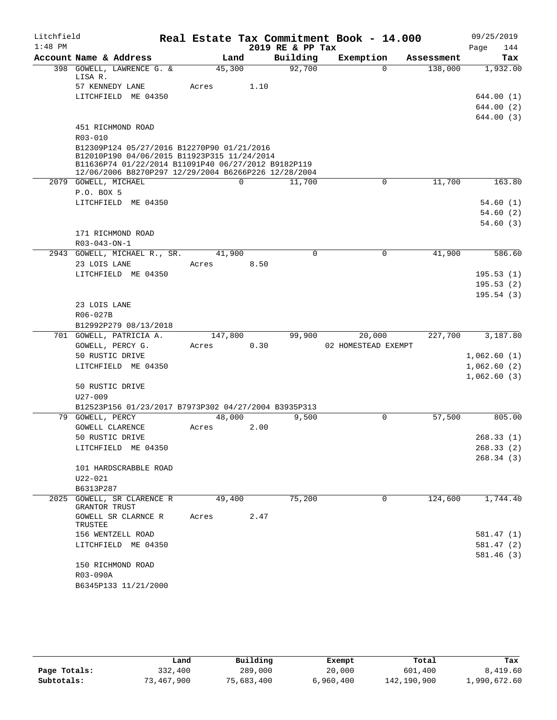| Litchfield |                                                                                           |         |             | Real Estate Tax Commitment Book - 14.000 |                     |             |            | 09/25/2019  |
|------------|-------------------------------------------------------------------------------------------|---------|-------------|------------------------------------------|---------------------|-------------|------------|-------------|
| $1:48$ PM  |                                                                                           |         |             | 2019 RE & PP Tax                         |                     |             |            | 144<br>Page |
|            | Account Name & Address                                                                    | Land    |             | Building                                 | Exemption           |             | Assessment | Tax         |
|            | 398 GOWELL, LAWRENCE G. &<br>LISA R.                                                      | 45,300  |             | 92,700                                   |                     | $\Omega$    | 138,000    | 1,932.00    |
|            | 57 KENNEDY LANE                                                                           | Acres   | 1.10        |                                          |                     |             |            |             |
|            | LITCHFIELD ME 04350                                                                       |         |             |                                          |                     |             |            | 644.00 (1)  |
|            |                                                                                           |         |             |                                          |                     |             |            | 644.00 (2)  |
|            |                                                                                           |         |             |                                          |                     |             |            | 644.00 (3)  |
|            | 451 RICHMOND ROAD                                                                         |         |             |                                          |                     |             |            |             |
|            | R03-010                                                                                   |         |             |                                          |                     |             |            |             |
|            | B12309P124 05/27/2016 B12270P90 01/21/2016<br>B12010P190 04/06/2015 B11923P315 11/24/2014 |         |             |                                          |                     |             |            |             |
|            | B11636P74 01/22/2014 B11091P40 06/27/2012 B9182P119                                       |         |             |                                          |                     |             |            |             |
|            | 12/06/2006 B8270P297 12/29/2004 B6266P226 12/28/2004                                      |         |             |                                          |                     |             |            |             |
|            | 2079 GOWELL, MICHAEL<br>P.O. BOX 5                                                        |         | $\mathbf 0$ | 11,700                                   |                     | 0           | 11,700     | 163.80      |
|            | LITCHFIELD ME 04350                                                                       |         |             |                                          |                     |             |            | 54.60(1)    |
|            |                                                                                           |         |             |                                          |                     |             |            | 54.60(2)    |
|            |                                                                                           |         |             |                                          |                     |             |            | 54.60(3)    |
|            | 171 RICHMOND ROAD                                                                         |         |             |                                          |                     |             |            |             |
|            | R03-043-ON-1                                                                              |         |             |                                          |                     |             |            |             |
|            | 2943 GOWELL, MICHAEL R., SR.                                                              | 41,900  |             | $\Omega$                                 |                     | $\Omega$    | 41,900     | 586.60      |
|            | 23 LOIS LANE                                                                              | Acres   | 8.50        |                                          |                     |             |            |             |
|            | LITCHFIELD ME 04350                                                                       |         |             |                                          |                     |             |            | 195.53(1)   |
|            |                                                                                           |         |             |                                          |                     |             |            | 195.53(2)   |
|            |                                                                                           |         |             |                                          |                     |             |            | 195.54(3)   |
|            | 23 LOIS LANE<br>R06-027B                                                                  |         |             |                                          |                     |             |            |             |
|            | B12992P279 08/13/2018                                                                     |         |             |                                          |                     |             |            |             |
|            | 701 GOWELL, PATRICIA A.                                                                   | 147,800 |             | 99,900                                   | 20,000              |             | 227,700    | 3,187.80    |
|            | GOWELL, PERCY G.                                                                          | Acres   | 0.30        |                                          | 02 HOMESTEAD EXEMPT |             |            |             |
|            | 50 RUSTIC DRIVE                                                                           |         |             |                                          |                     |             |            | 1,062.60(1) |
|            | LITCHFIELD ME 04350                                                                       |         |             |                                          |                     |             |            | 1,062.60(2) |
|            |                                                                                           |         |             |                                          |                     |             |            | 1,062.60(3) |
|            | 50 RUSTIC DRIVE                                                                           |         |             |                                          |                     |             |            |             |
|            | $U27 - 009$<br>B12523P156 01/23/2017 B7973P302 04/27/2004 B3935P313                       |         |             |                                          |                     |             |            |             |
|            | 79 GOWELL, PERCY                                                                          | 48,000  |             | 9,500                                    |                     | 0           | 57,500     | 805.00      |
|            | <b>GOWELL CLARENCE</b>                                                                    | Acres   | 2.00        |                                          |                     |             |            |             |
|            | 50 RUSTIC DRIVE                                                                           |         |             |                                          |                     |             |            | 268.33(1)   |
|            | LITCHFIELD ME 04350                                                                       |         |             |                                          |                     |             |            | 268.33 (2)  |
|            |                                                                                           |         |             |                                          |                     |             |            | 268.34(3)   |
|            | 101 HARDSCRABBLE ROAD                                                                     |         |             |                                          |                     |             |            |             |
|            | $U22 - 021$                                                                               |         |             |                                          |                     |             |            |             |
|            | B6313P287                                                                                 |         |             |                                          |                     |             |            |             |
| 2025       | GOWELL, SR CLARENCE R<br>GRANTOR TRUST                                                    | 49,400  |             | 75,200                                   |                     | $\mathbf 0$ | 124,600    | 1,744.40    |
|            | GOWELL SR CLARNCE R<br>TRUSTEE                                                            | Acres   | 2.47        |                                          |                     |             |            |             |
|            | 156 WENTZELL ROAD                                                                         |         |             |                                          |                     |             |            | 581.47 (1)  |
|            | LITCHFIELD ME 04350                                                                       |         |             |                                          |                     |             |            | 581.47 (2)  |
|            |                                                                                           |         |             |                                          |                     |             |            | 581.46(3)   |
|            | 150 RICHMOND ROAD                                                                         |         |             |                                          |                     |             |            |             |
|            | R03-090A                                                                                  |         |             |                                          |                     |             |            |             |
|            | B6345P133 11/21/2000                                                                      |         |             |                                          |                     |             |            |             |

|              | Land       | Building   | Exempt    | Total       | Tax          |
|--------------|------------|------------|-----------|-------------|--------------|
| Page Totals: | 332,400    | 289,000    | 20,000    | 601,400     | 8,419.60     |
| Subtotals:   | 73,467,900 | 75,683,400 | 6,960,400 | 142,190,900 | 1,990,672.60 |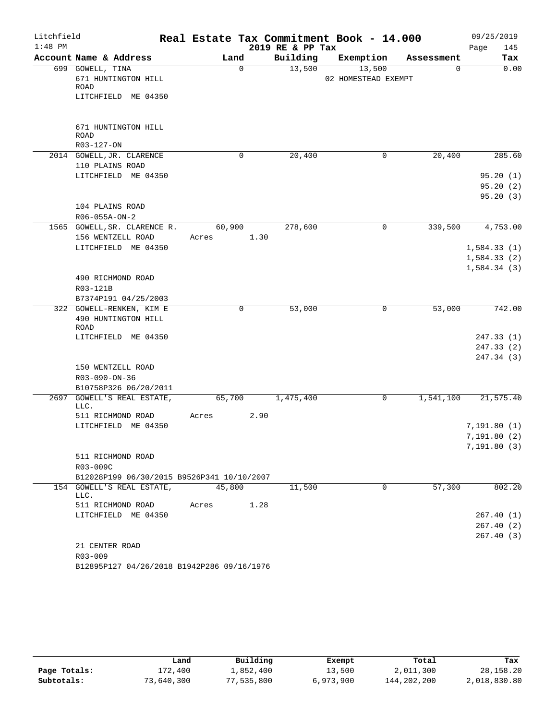| Litchfield |                                                         |       |             |      |                  | Real Estate Tax Commitment Book - 14.000 |            | 09/25/2019  |
|------------|---------------------------------------------------------|-------|-------------|------|------------------|------------------------------------------|------------|-------------|
| $1:48$ PM  |                                                         |       |             |      | 2019 RE & PP Tax |                                          |            | 145<br>Page |
|            | Account Name & Address                                  |       | Land        |      | Building         | Exemption                                | Assessment | Tax         |
|            | 699 GOWELL, TINA<br>671 HUNTINGTON HILL                 |       | $\mathbf 0$ |      | 13,500           | 13,500<br>02 HOMESTEAD EXEMPT            | 0          | 0.00        |
|            | ROAD<br>LITCHFIELD ME 04350                             |       |             |      |                  |                                          |            |             |
|            |                                                         |       |             |      |                  |                                          |            |             |
|            | 671 HUNTINGTON HILL<br><b>ROAD</b>                      |       |             |      |                  |                                          |            |             |
|            | R03-127-ON                                              |       |             |      |                  |                                          |            |             |
|            | 2014 GOWELL, JR. CLARENCE                               |       | 0           |      | 20,400           | 0                                        | 20,400     | 285.60      |
|            | 110 PLAINS ROAD                                         |       |             |      |                  |                                          |            |             |
|            | LITCHFIELD ME 04350                                     |       |             |      |                  |                                          |            | 95.20(1)    |
|            |                                                         |       |             |      |                  |                                          |            | 95.20(2)    |
|            |                                                         |       |             |      |                  |                                          |            | 95.20(3)    |
|            | 104 PLAINS ROAD                                         |       |             |      |                  |                                          |            |             |
|            | R06-055A-ON-2                                           |       |             |      |                  |                                          |            |             |
|            | 1565 GOWELL, SR. CLARENCE R.                            |       | 60,900      |      | 278,600          | 0                                        | 339,500    | 4,753.00    |
|            | 156 WENTZELL ROAD                                       | Acres |             | 1.30 |                  |                                          |            |             |
|            | LITCHFIELD ME 04350                                     |       |             |      |                  |                                          |            | 1,584.33(1) |
|            |                                                         |       |             |      |                  |                                          |            | 1,584.33(2) |
|            |                                                         |       |             |      |                  |                                          |            | 1,584.34(3) |
|            | 490 RICHMOND ROAD                                       |       |             |      |                  |                                          |            |             |
|            | R03-121B                                                |       |             |      |                  |                                          |            |             |
|            | B7374P191 04/25/2003                                    |       |             |      |                  |                                          |            |             |
|            | 322 GOWELL-RENKEN, KIM E<br>490 HUNTINGTON HILL<br>ROAD |       | 0           |      | 53,000           | 0                                        | 53,000     | 742.00      |
|            | LITCHFIELD ME 04350                                     |       |             |      |                  |                                          |            | 247.33 (1)  |
|            |                                                         |       |             |      |                  |                                          |            | 247.33(2)   |
|            |                                                         |       |             |      |                  |                                          |            | 247.34 (3)  |
|            | 150 WENTZELL ROAD                                       |       |             |      |                  |                                          |            |             |
|            | R03-090-ON-36                                           |       |             |      |                  |                                          |            |             |
|            | B10758P326 06/20/2011                                   |       |             |      |                  |                                          |            |             |
|            | 2697 GOWELL'S REAL ESTATE,<br>LLC.                      |       | 65,700      |      | 1,475,400        | 0                                        | 1,541,100  | 21,575.40   |
|            | 511 RICHMOND ROAD                                       | Acres |             | 2.90 |                  |                                          |            |             |
|            | LITCHFIELD ME 04350                                     |       |             |      |                  |                                          |            | 7,191.80(1) |
|            |                                                         |       |             |      |                  |                                          |            | 7,191.80(2) |
|            |                                                         |       |             |      |                  |                                          |            | 7,191.80(3) |
|            | 511 RICHMOND ROAD                                       |       |             |      |                  |                                          |            |             |
|            | R03-009C                                                |       |             |      |                  |                                          |            |             |
|            | B12028P199 06/30/2015 B9526P341 10/10/2007              |       |             |      |                  |                                          |            |             |
|            | 154 GOWELL'S REAL ESTATE,<br>LLC.                       |       | 45,800      |      | 11,500           | 0                                        | 57,300     | 802.20      |
|            | 511 RICHMOND ROAD                                       | Acres |             | 1.28 |                  |                                          |            |             |
|            | LITCHFIELD ME 04350                                     |       |             |      |                  |                                          |            | 267.40 (1)  |
|            |                                                         |       |             |      |                  |                                          |            | 267.40(2)   |
|            |                                                         |       |             |      |                  |                                          |            | 267.40(3)   |
|            | 21 CENTER ROAD                                          |       |             |      |                  |                                          |            |             |
|            | R03-009                                                 |       |             |      |                  |                                          |            |             |
|            | B12895P127 04/26/2018 B1942P286 09/16/1976              |       |             |      |                  |                                          |            |             |

|              | Land       | Building   | Exempt    | Total       | Tax          |
|--------------|------------|------------|-----------|-------------|--------------|
| Page Totals: | 172,400    | 1,852,400  | 13,500    | 2,011,300   | 28, 158. 20  |
| Subtotals:   | 73,640,300 | 77,535,800 | 6,973,900 | 144,202,200 | 2,018,830.80 |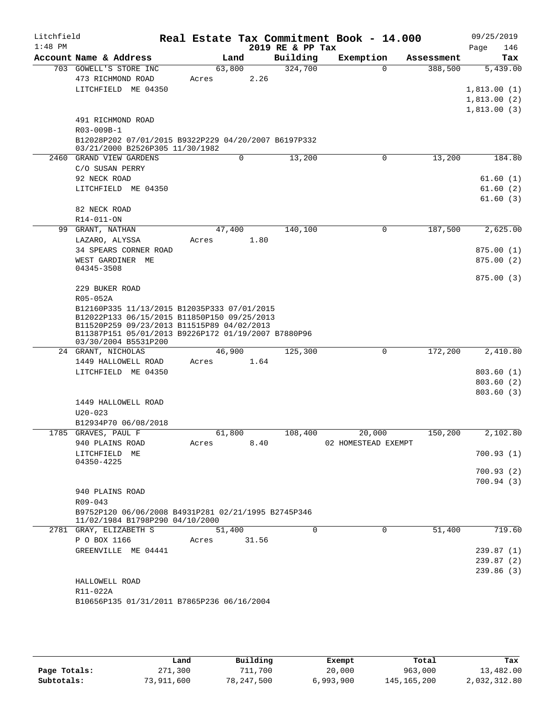| Litchfield |                                                                                            |        |       |                  | Real Estate Tax Commitment Book - 14.000 |            | 09/25/2019  |
|------------|--------------------------------------------------------------------------------------------|--------|-------|------------------|------------------------------------------|------------|-------------|
| $1:48$ PM  |                                                                                            |        |       | 2019 RE & PP Tax |                                          |            | Page<br>146 |
|            | Account Name & Address                                                                     | Land   |       | Building         | Exemption                                | Assessment | Tax         |
|            | 703 GOWELL'S STORE INC                                                                     | 63,800 |       | 324,700          | $\Omega$                                 | 388,500    | 5,439.00    |
|            | 473 RICHMOND ROAD                                                                          | Acres  | 2.26  |                  |                                          |            |             |
|            | LITCHFIELD ME 04350                                                                        |        |       |                  |                                          |            | 1,813.00(1) |
|            |                                                                                            |        |       |                  |                                          |            | 1,813.00(2) |
|            |                                                                                            |        |       |                  |                                          |            | 1,813.00(3) |
|            | 491 RICHMOND ROAD                                                                          |        |       |                  |                                          |            |             |
|            | R03-009B-1                                                                                 |        |       |                  |                                          |            |             |
|            | B12028P202 07/01/2015 B9322P229 04/20/2007 B6197P332                                       |        |       |                  |                                          |            |             |
|            | 03/21/2000 B2526P305 11/30/1982<br>2460 GRAND VIEW GARDENS                                 |        | 0     | 13,200           | 0                                        | 13,200     | 184.80      |
|            |                                                                                            |        |       |                  |                                          |            |             |
|            | C/O SUSAN PERRY                                                                            |        |       |                  |                                          |            |             |
|            | 92 NECK ROAD                                                                               |        |       |                  |                                          |            | 61.60(1)    |
|            | LITCHFIELD ME 04350                                                                        |        |       |                  |                                          |            | 61.60(2)    |
|            |                                                                                            |        |       |                  |                                          |            | 61.60(3)    |
|            | 82 NECK ROAD                                                                               |        |       |                  |                                          |            |             |
|            | R14-011-ON                                                                                 |        |       |                  |                                          |            |             |
| 99         | GRANT, NATHAN                                                                              | 47,400 |       | 140,100          | 0                                        | 187,500    | 2,625.00    |
|            | LAZARO, ALYSSA                                                                             | Acres  | 1.80  |                  |                                          |            |             |
|            | 34 SPEARS CORNER ROAD                                                                      |        |       |                  |                                          |            | 875.00(1)   |
|            | WEST GARDINER ME                                                                           |        |       |                  |                                          |            | 875.00(2)   |
|            | 04345-3508                                                                                 |        |       |                  |                                          |            |             |
|            |                                                                                            |        |       |                  |                                          |            | 875.00(3)   |
|            | 229 BUKER ROAD                                                                             |        |       |                  |                                          |            |             |
|            | R05-052A                                                                                   |        |       |                  |                                          |            |             |
|            | B12160P335 11/13/2015 B12035P333 07/01/2015<br>B12022P133 06/15/2015 B11850P150 09/25/2013 |        |       |                  |                                          |            |             |
|            | B11520P259 09/23/2013 B11515P89 04/02/2013                                                 |        |       |                  |                                          |            |             |
|            | B11387P151 05/01/2013 B9226P172 01/19/2007 B7880P96                                        |        |       |                  |                                          |            |             |
|            | 03/30/2004 B5531P200                                                                       |        |       |                  |                                          |            |             |
|            | 24 GRANT, NICHOLAS                                                                         | 46,900 |       | 125,300          | $\mathbf 0$                              | 172,200    | 2,410.80    |
|            | 1449 HALLOWELL ROAD                                                                        | Acres  | 1.64  |                  |                                          |            |             |
|            | LITCHFIELD ME 04350                                                                        |        |       |                  |                                          |            | 803.60(1)   |
|            |                                                                                            |        |       |                  |                                          |            | 803.60(2)   |
|            |                                                                                            |        |       |                  |                                          |            | 803.60(3)   |
|            | 1449 HALLOWELL ROAD                                                                        |        |       |                  |                                          |            |             |
|            | $U20 - 023$                                                                                |        |       |                  |                                          |            |             |
|            | B12934P70 06/08/2018                                                                       |        |       |                  |                                          |            |             |
|            | 1785 GRAVES, PAUL F                                                                        | 61,800 |       | 108,400          | 20,000                                   | 150,200    | 2,102.80    |
|            | 940 PLAINS ROAD                                                                            | Acres  | 8.40  |                  | 02 HOMESTEAD EXEMPT                      |            |             |
|            | LITCHFIELD ME                                                                              |        |       |                  |                                          |            | 700.93(1)   |
|            | 04350-4225                                                                                 |        |       |                  |                                          |            | 700.93(2)   |
|            |                                                                                            |        |       |                  |                                          |            |             |
|            |                                                                                            |        |       |                  |                                          |            | 700.94(3)   |
|            | 940 PLAINS ROAD<br>$R09 - 043$                                                             |        |       |                  |                                          |            |             |
|            |                                                                                            |        |       |                  |                                          |            |             |
|            | B9752P120 06/06/2008 B4931P281 02/21/1995 B2745P346<br>11/02/1984 B1798P290 04/10/2000     |        |       |                  |                                          |            |             |
|            | 2781 GRAY, ELIZABETH S                                                                     | 51,400 |       | 0                | 0                                        | 51,400     | 719.60      |
|            | P O BOX 1166                                                                               | Acres  | 31.56 |                  |                                          |            |             |
|            | GREENVILLE ME 04441                                                                        |        |       |                  |                                          |            | 239.87(1)   |
|            |                                                                                            |        |       |                  |                                          |            | 239.87(2)   |
|            |                                                                                            |        |       |                  |                                          |            | 239.86(3)   |
|            | HALLOWELL ROAD                                                                             |        |       |                  |                                          |            |             |
|            | R11-022A                                                                                   |        |       |                  |                                          |            |             |
|            | B10656P135 01/31/2011 B7865P236 06/16/2004                                                 |        |       |                  |                                          |            |             |
|            |                                                                                            |        |       |                  |                                          |            |             |
|            |                                                                                            |        |       |                  |                                          |            |             |

|              | Land       | Building   | Exempt    | Total         | Tax          |
|--------------|------------|------------|-----------|---------------|--------------|
| Page Totals: | 271,300    | 711,700    | 20,000    | 963,000       | 13,482.00    |
| Subtotals:   | 73,911,600 | 78,247,500 | 6,993,900 | 145, 165, 200 | 2,032,312.80 |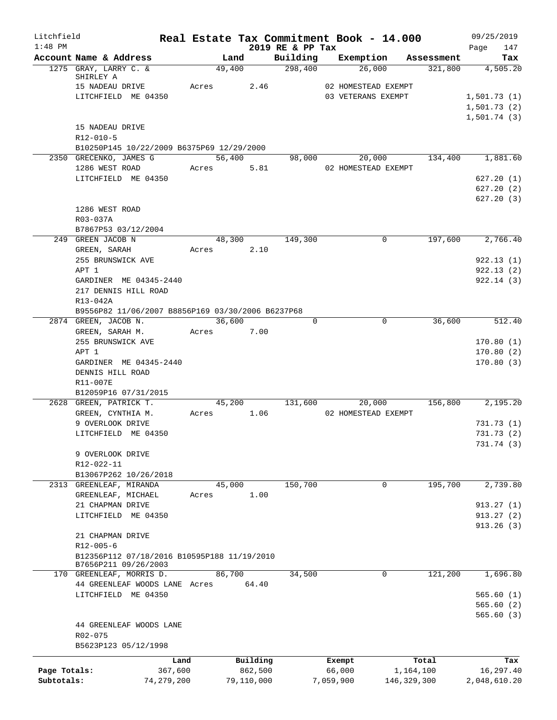| Litchfield<br>$1:48$ PM |                        |                                                   |            |                     | 2019 RE & PP Tax    | Real Estate Tax Commitment Book - 14.000  |                    | 09/25/2019             |
|-------------------------|------------------------|---------------------------------------------------|------------|---------------------|---------------------|-------------------------------------------|--------------------|------------------------|
|                         | Account Name & Address |                                                   | Land       |                     | Building            | Exemption Assessment                      |                    | 147<br>Page<br>Tax     |
|                         | 1275 GRAY, LARRY C. &  |                                                   | 49,400     |                     | $\frac{298,400}{ }$ | 26,000                                    |                    | $321,800$ $4,505.20$   |
|                         | SHIRLEY A              |                                                   | Acres      | 2.46                |                     |                                           |                    |                        |
|                         |                        | 15 NADEAU DRIVE<br>LITCHFIELD ME 04350            |            |                     |                     | 02 HOMESTEAD EXEMPT<br>03 VETERANS EXEMPT |                    | 1,501.73(1)            |
|                         |                        |                                                   |            |                     |                     |                                           |                    | 1,501.73(2)            |
|                         |                        |                                                   |            |                     |                     |                                           |                    | 1,501.74(3)            |
|                         | 15 NADEAU DRIVE        |                                                   |            |                     |                     |                                           |                    |                        |
|                         | R12-010-5              |                                                   |            |                     |                     |                                           |                    |                        |
|                         |                        | B10250P145 10/22/2009 B6375P69 12/29/2000         |            |                     |                     |                                           |                    |                        |
|                         | 2350 GRECENKO, JAMES G |                                                   | 56,400     |                     |                     | 98,000 20,000 134,400 1,881.60            |                    |                        |
|                         |                        | 1286 WEST ROAD                                    | Acres      | 5.81                |                     | 02 HOMESTEAD EXEMPT                       |                    |                        |
|                         |                        | LITCHFIELD ME 04350                               |            |                     |                     |                                           |                    | 627.20(1)<br>627.20(2) |
|                         |                        |                                                   |            |                     |                     |                                           |                    | 627.20(3)              |
|                         | 1286 WEST ROAD         |                                                   |            |                     |                     |                                           |                    |                        |
|                         | R03-037A               |                                                   |            |                     |                     |                                           |                    |                        |
|                         |                        | B7867P53 03/12/2004                               |            |                     |                     |                                           |                    |                        |
|                         | 249 GREEN JACOB N      |                                                   | 48,300     |                     | 149,300             | 0                                         | 197,600            | 2,766.40               |
|                         | GREEN, SARAH           |                                                   | Acres 2.10 |                     |                     |                                           |                    |                        |
|                         | 255 BRUNSWICK AVE      |                                                   |            |                     |                     |                                           |                    | 922.13(1)              |
|                         | APT 1                  |                                                   |            |                     |                     |                                           |                    | 922.13(2)              |
|                         |                        | GARDINER ME 04345-2440                            |            |                     |                     |                                           |                    | 922.14(3)              |
|                         |                        | 217 DENNIS HILL ROAD                              |            |                     |                     |                                           |                    |                        |
|                         | R13-042A               | B9556P82 11/06/2007 B8856P169 03/30/2006 B6237P68 |            |                     |                     |                                           |                    |                        |
|                         | 2874 GREEN, JACOB N.   |                                                   | 36,600     |                     | $\Omega$            | $\Omega$                                  | 36,600             | 512.40                 |
|                         | GREEN, SARAH M.        |                                                   | Acres      | 7.00                |                     |                                           |                    |                        |
|                         |                        | 255 BRUNSWICK AVE                                 |            |                     |                     |                                           |                    | 170.80(1)              |
|                         | APT 1                  |                                                   |            |                     |                     |                                           |                    | 170.80(2)              |
|                         |                        | GARDINER ME 04345-2440                            |            |                     |                     |                                           |                    | 170.80(3)              |
|                         | DENNIS HILL ROAD       |                                                   |            |                     |                     |                                           |                    |                        |
|                         | R11-007E               |                                                   |            |                     |                     |                                           |                    |                        |
|                         |                        | B12059P16 07/31/2015                              |            |                     |                     |                                           |                    |                        |
|                         | 2628 GREEN, PATRICK T. |                                                   |            | 45,200              | 131,600             | 20,000                                    | 156,800            | 2,195.20               |
|                         |                        | GREEN, CYNTHIA M.                                 | Acres 1.06 |                     |                     | 02 HOMESTEAD EXEMPT                       |                    |                        |
|                         | 9 OVERLOOK DRIVE       | LITCHFIELD ME 04350                               |            |                     |                     |                                           |                    | 731.73(1)<br>731.73(2) |
|                         |                        |                                                   |            |                     |                     |                                           |                    | 731.74 (3)             |
|                         | 9 OVERLOOK DRIVE       |                                                   |            |                     |                     |                                           |                    |                        |
|                         | R12-022-11             |                                                   |            |                     |                     |                                           |                    |                        |
|                         |                        | B13067P262 10/26/2018                             |            |                     |                     |                                           |                    |                        |
|                         |                        | 2313 GREENLEAF, MIRANDA                           | 45,000     |                     | 150,700             | 0                                         | 195,700            | 2,739.80               |
|                         |                        | GREENLEAF, MICHAEL                                | Acres      | 1.00                |                     |                                           |                    |                        |
|                         | 21 CHAPMAN DRIVE       |                                                   |            |                     |                     |                                           |                    | 913.27(1)              |
|                         |                        | LITCHFIELD ME 04350                               |            |                     |                     |                                           |                    | 913.27(2)              |
|                         | 21 CHAPMAN DRIVE       |                                                   |            |                     |                     |                                           |                    | 913.26(3)              |
|                         | $R12 - 005 - 6$        |                                                   |            |                     |                     |                                           |                    |                        |
|                         |                        | B12356P112 07/18/2016 B10595P188 11/19/2010       |            |                     |                     |                                           |                    |                        |
|                         |                        | B7656P211 09/26/2003                              |            |                     |                     |                                           |                    |                        |
|                         |                        | 170 GREENLEAF, MORRIS D.                          | 86,700     |                     | 34,500              | 0                                         | 121,200            | 1,696.80               |
|                         |                        | 44 GREENLEAF WOODS LANE Acres                     |            | 64.40               |                     |                                           |                    |                        |
|                         |                        | LITCHFIELD ME 04350                               |            |                     |                     |                                           |                    | 565.60(1)              |
|                         |                        |                                                   |            |                     |                     |                                           |                    | 565.60(2)              |
|                         |                        | 44 GREENLEAF WOODS LANE                           |            |                     |                     |                                           |                    | 565.60(3)              |
|                         | R02-075                |                                                   |            |                     |                     |                                           |                    |                        |
|                         |                        | B5623P123 05/12/1998                              |            |                     |                     |                                           |                    |                        |
|                         |                        |                                                   |            |                     |                     |                                           |                    |                        |
| Page Totals:            |                        | Land<br>367,600                                   |            | Building<br>862,500 |                     | Exempt<br>66,000                          | Total<br>1,164,100 | Tax<br>16,297.40       |
| Subtotals:              |                        | 74, 279, 200                                      |            | 79,110,000          |                     | 7,059,900<br>146,329,300                  |                    | 2,048,610.20           |
|                         |                        |                                                   |            |                     |                     |                                           |                    |                        |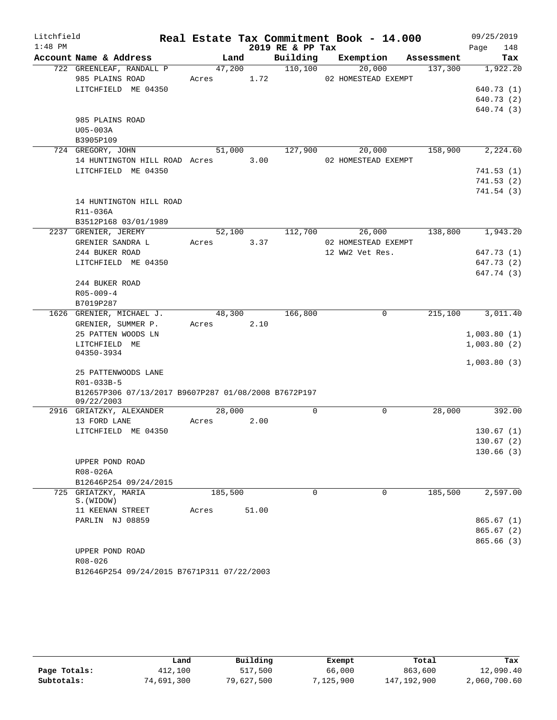| Litchfield |                                                      |         |       |                  | Real Estate Tax Commitment Book - 14.000 |            | 09/25/2019  |
|------------|------------------------------------------------------|---------|-------|------------------|------------------------------------------|------------|-------------|
| $1:48$ PM  |                                                      |         |       | 2019 RE & PP Tax |                                          |            | Page<br>148 |
|            | Account Name & Address                               | Land    |       | Building         | Exemption                                | Assessment | Tax         |
|            | 722 GREENLEAF, RANDALL P                             | 47,200  |       | 110,100          | 20,000                                   | 137,300    | 1,922.20    |
|            | 985 PLAINS ROAD                                      | Acres   | 1.72  |                  | 02 HOMESTEAD EXEMPT                      |            |             |
|            | LITCHFIELD ME 04350                                  |         |       |                  |                                          |            | 640.73 (1)  |
|            |                                                      |         |       |                  |                                          |            | 640.73 (2)  |
|            |                                                      |         |       |                  |                                          |            | 640.74 (3)  |
|            | 985 PLAINS ROAD                                      |         |       |                  |                                          |            |             |
|            | U05-003A                                             |         |       |                  |                                          |            |             |
|            | B3905P109<br>724 GREGORY, JOHN                       | 51,000  |       | 127,900          | 20,000                                   | 158,900    | 2,224.60    |
|            | 14 HUNTINGTON HILL ROAD Acres 3.00                   |         |       |                  | 02 HOMESTEAD EXEMPT                      |            |             |
|            | LITCHFIELD ME 04350                                  |         |       |                  |                                          |            | 741.53(1)   |
|            |                                                      |         |       |                  |                                          |            | 741.53(2)   |
|            |                                                      |         |       |                  |                                          |            | 741.54(3)   |
|            | 14 HUNTINGTON HILL ROAD                              |         |       |                  |                                          |            |             |
|            | R11-036A                                             |         |       |                  |                                          |            |             |
|            | B3512P168 03/01/1989                                 |         |       |                  |                                          |            |             |
|            | 2237 GRENIER, JEREMY                                 | 52,100  |       | 112,700          | 26,000                                   | 138,800    | 1,943.20    |
|            | GRENIER SANDRA L                                     | Acres   | 3.37  |                  | 02 HOMESTEAD EXEMPT                      |            |             |
|            | 244 BUKER ROAD                                       |         |       |                  | 12 WW2 Vet Res.                          |            | 647.73 (1)  |
|            | LITCHFIELD ME 04350                                  |         |       |                  |                                          |            | 647.73 (2)  |
|            |                                                      |         |       |                  |                                          |            | 647.74 (3)  |
|            | 244 BUKER ROAD                                       |         |       |                  |                                          |            |             |
|            | $R05 - 009 - 4$                                      |         |       |                  |                                          |            |             |
|            | B7019P287                                            |         |       |                  |                                          |            |             |
|            | 1626 GRENIER, MICHAEL J.                             | 48,300  |       | 166,800          | 0                                        | 215,100    | 3,011.40    |
|            | GRENIER, SUMMER P.                                   | Acres   | 2.10  |                  |                                          |            |             |
|            | 25 PATTEN WOODS LN                                   |         |       |                  |                                          |            | 1,003.80(1) |
|            | LITCHFIELD ME<br>04350-3934                          |         |       |                  |                                          |            | 1,003.80(2) |
|            |                                                      |         |       |                  |                                          |            | 1,003.80(3) |
|            | 25 PATTENWOODS LANE                                  |         |       |                  |                                          |            |             |
|            | R01-033B-5                                           |         |       |                  |                                          |            |             |
|            | B12657P306 07/13/2017 B9607P287 01/08/2008 B7672P197 |         |       |                  |                                          |            |             |
|            | 09/22/2003                                           |         |       |                  |                                          |            |             |
|            | 2916 GRIATZKY, ALEXANDER                             | 28,000  |       | $\mathbf 0$      | 0                                        | 28,000     | 392.00      |
|            | 13 FORD LANE                                         | Acres   | 2.00  |                  |                                          |            |             |
|            | LITCHFIELD ME 04350                                  |         |       |                  |                                          |            | 130.67(1)   |
|            |                                                      |         |       |                  |                                          |            | 130.67(2)   |
|            |                                                      |         |       |                  |                                          |            | 130.66(3)   |
|            | UPPER POND ROAD                                      |         |       |                  |                                          |            |             |
|            | R08-026A                                             |         |       |                  |                                          |            |             |
| 725        | B12646P254 09/24/2015<br>GRIATZKY, MARIA             | 185,500 |       | $\Omega$         | 0                                        | 185,500    | 2,597.00    |
|            | S. (WIDOW)                                           |         |       |                  |                                          |            |             |
|            | 11 KEENAN STREET                                     | Acres   | 51.00 |                  |                                          |            |             |
|            | PARLIN NJ 08859                                      |         |       |                  |                                          |            | 865.67(1)   |
|            |                                                      |         |       |                  |                                          |            | 865.67(2)   |
|            |                                                      |         |       |                  |                                          |            | 865.66(3)   |
|            | UPPER POND ROAD                                      |         |       |                  |                                          |            |             |
|            | R08-026                                              |         |       |                  |                                          |            |             |

B12646P254 09/24/2015 B7671P311 07/22/2003

|              | Land       | Building   | Exempt    | Total       | Tax          |
|--------------|------------|------------|-----------|-------------|--------------|
| Page Totals: | 412,100    | 517,500    | 66,000    | 863,600     | 12,090.40    |
| Subtotals:   | 74,691,300 | 79,627,500 | 7,125,900 | 147,192,900 | 2,060,700.60 |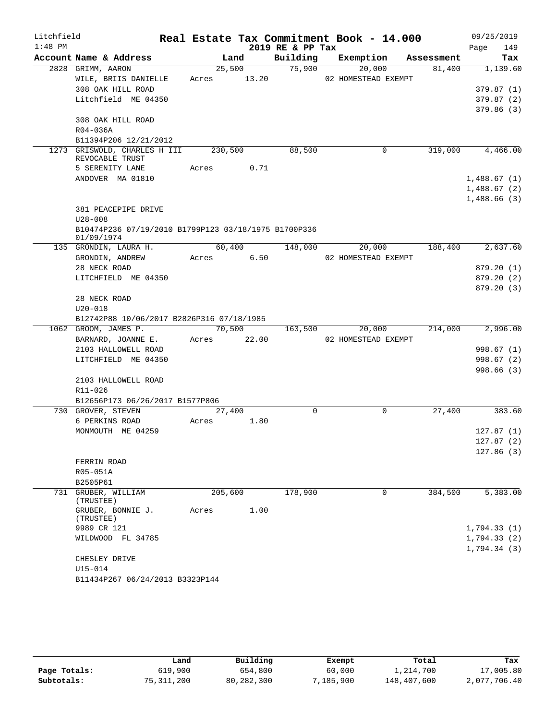| Litchfield |                                                                    |             |      |       |                  | Real Estate Tax Commitment Book - 14.000 |            | 09/25/2019  |
|------------|--------------------------------------------------------------------|-------------|------|-------|------------------|------------------------------------------|------------|-------------|
| $1:48$ PM  |                                                                    |             |      |       | 2019 RE & PP Tax |                                          |            | Page<br>149 |
|            | Account Name & Address                                             |             | Land |       | Building         | Exemption                                | Assessment | Tax         |
|            | 2828 GRIMM, AARON                                                  | 25,500      |      |       | 75,900           | 20,000                                   | 81,400     | 1,139.60    |
|            | WILE, BRIIS DANIELLE                                               | Acres       |      | 13.20 |                  | 02 HOMESTEAD EXEMPT                      |            |             |
|            | 308 OAK HILL ROAD                                                  |             |      |       |                  |                                          |            | 379.87(1)   |
|            | Litchfield ME 04350                                                |             |      |       |                  |                                          |            | 379.87(2)   |
|            | 308 OAK HILL ROAD                                                  |             |      |       |                  |                                          |            | 379.86(3)   |
|            | R04-036A                                                           |             |      |       |                  |                                          |            |             |
|            | B11394P206 12/21/2012                                              |             |      |       |                  |                                          |            |             |
| 1273       | GRISWOLD, CHARLES H III<br>REVOCABLE TRUST                         | 230,500     |      |       | 88,500           | 0                                        | 319,000    | 4,466.00    |
|            | 5 SERENITY LANE                                                    | Acres       |      | 0.71  |                  |                                          |            |             |
|            | ANDOVER MA 01810                                                   |             |      |       |                  |                                          |            | 1,488.67(1) |
|            |                                                                    |             |      |       |                  |                                          |            | 1,488.67(2) |
|            |                                                                    |             |      |       |                  |                                          |            | 1,488.66(3) |
|            | 381 PEACEPIPE DRIVE                                                |             |      |       |                  |                                          |            |             |
|            | $U28 - 008$                                                        |             |      |       |                  |                                          |            |             |
|            | B10474P236 07/19/2010 B1799P123 03/18/1975 B1700P336<br>01/09/1974 |             |      |       |                  |                                          |            |             |
|            | 135 GRONDIN, LAURA H.                                              | 60,400      |      |       | 148,000          | 20,000                                   | 188,400    | 2,637.60    |
|            | GRONDIN, ANDREW                                                    | Acres       |      | 6.50  |                  | 02 HOMESTEAD EXEMPT                      |            |             |
|            | 28 NECK ROAD                                                       |             |      |       |                  |                                          |            | 879.20 (1)  |
|            | LITCHFIELD ME 04350                                                |             |      |       |                  |                                          |            | 879.20 (2)  |
|            |                                                                    |             |      |       |                  |                                          |            | 879.20 (3)  |
|            | 28 NECK ROAD                                                       |             |      |       |                  |                                          |            |             |
|            | $U20 - 018$                                                        |             |      |       |                  |                                          |            |             |
|            | B12742P88 10/06/2017 B2826P316 07/18/1985                          |             |      |       |                  |                                          |            |             |
|            | 1062 GROOM, JAMES P.                                               | 70,500      |      |       | 163,500          | 20,000                                   | 214,000    | 2,996.00    |
|            | BARNARD, JOANNE E.                                                 | Acres 22.00 |      |       |                  | 02 HOMESTEAD EXEMPT                      |            |             |
|            | 2103 HALLOWELL ROAD                                                |             |      |       |                  |                                          |            | 998.67 (1)  |
|            | LITCHFIELD ME 04350                                                |             |      |       |                  |                                          |            | 998.67(2)   |
|            |                                                                    |             |      |       |                  |                                          |            | 998.66(3)   |
|            | 2103 HALLOWELL ROAD<br>R11-026                                     |             |      |       |                  |                                          |            |             |
|            | B12656P173 06/26/2017 B1577P806                                    |             |      |       |                  |                                          |            |             |
|            | 730 GROVER, STEVEN                                                 | 27,400      |      |       | $\Omega$         | 0                                        | 27,400     | 383.60      |
|            | 6 PERKINS ROAD                                                     | Acres       |      | 1.80  |                  |                                          |            |             |
|            | MONMOUTH ME 04259                                                  |             |      |       |                  |                                          |            | 127.87(1)   |
|            |                                                                    |             |      |       |                  |                                          |            | 127.87(2)   |
|            |                                                                    |             |      |       |                  |                                          |            | 127.86(3)   |
|            | FERRIN ROAD                                                        |             |      |       |                  |                                          |            |             |
|            | R05-051A                                                           |             |      |       |                  |                                          |            |             |
|            | B2505P61                                                           |             |      |       |                  |                                          |            |             |
|            | 731 GRUBER, WILLIAM<br>(TRUSTEE)                                   | 205,600     |      |       | 178,900          | 0                                        | 384,500    | 5,383.00    |
|            | GRUBER, BONNIE J.<br>(TRUSTEE)                                     | Acres       |      | 1.00  |                  |                                          |            |             |
|            | 9989 CR 121                                                        |             |      |       |                  |                                          |            | 1,794.33(1) |
|            | WILDWOOD FL 34785                                                  |             |      |       |                  |                                          |            | 1,794.33(2) |
|            |                                                                    |             |      |       |                  |                                          |            | 1,794.34(3) |
|            | CHESLEY DRIVE                                                      |             |      |       |                  |                                          |            |             |
|            | U15-014                                                            |             |      |       |                  |                                          |            |             |
|            | B11434P267 06/24/2013 B3323P144                                    |             |      |       |                  |                                          |            |             |

|              | Land       | Building   | Exempt    | Total       | Tax          |
|--------------|------------|------------|-----------|-------------|--------------|
| Page Totals: | 619,900    | 654,800    | 60,000    | 1,214,700   | 17,005.80    |
| Subtotals:   | 75,311,200 | 80,282,300 | 7,185,900 | 148,407,600 | 2,077,706.40 |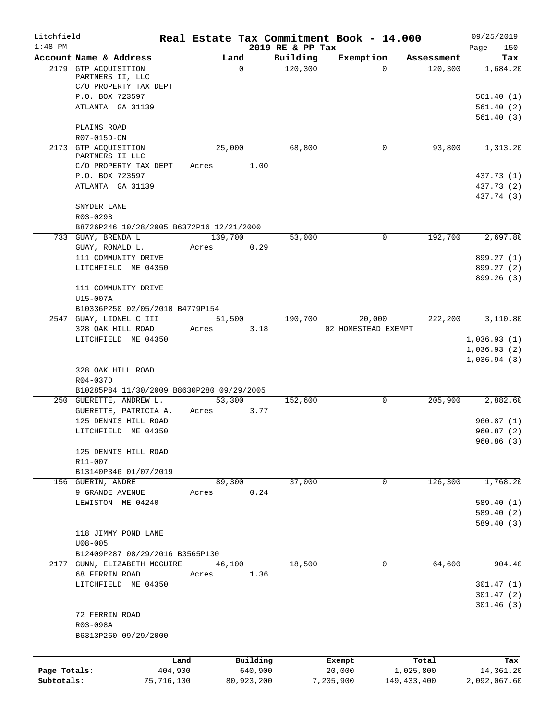| Litchfield   |                                                                   |         |             |                  |          | Real Estate Tax Commitment Book - 14.000 |               | 09/25/2019              |
|--------------|-------------------------------------------------------------------|---------|-------------|------------------|----------|------------------------------------------|---------------|-------------------------|
| $1:48$ PM    |                                                                   |         |             | 2019 RE & PP Tax |          |                                          |               | 150<br>Page             |
|              | Account Name & Address                                            |         | Land        | Building         | 120, 300 | Exemption                                | Assessment    | Tax                     |
|              | 2179 GTP ACQUISITION<br>PARTNERS II, LLC<br>C/O PROPERTY TAX DEPT |         | $\mathbf 0$ |                  |          | $\Omega$                                 | 120, 300      | 1,684.20                |
|              | P.O. BOX 723597                                                   |         |             |                  |          |                                          |               | 561.40(1)               |
|              | ATLANTA GA 31139                                                  |         |             |                  |          |                                          |               | 561.40(2)               |
|              |                                                                   |         |             |                  |          |                                          |               | 561.40(3)               |
|              | PLAINS ROAD                                                       |         |             |                  |          |                                          |               |                         |
|              | R07-015D-ON                                                       |         |             |                  |          |                                          |               |                         |
|              | 2173 GTP ACOUISITION                                              |         | 25,000      |                  | 68,800   | 0                                        | 93,800        | 1,313.20                |
|              | PARTNERS II LLC                                                   |         |             |                  |          |                                          |               |                         |
|              | C/O PROPERTY TAX DEPT                                             | Acres   |             | 1.00             |          |                                          |               |                         |
|              | P.O. BOX 723597                                                   |         |             |                  |          |                                          |               | 437.73 (1)              |
|              | ATLANTA GA 31139                                                  |         |             |                  |          |                                          |               | 437.73 (2)              |
|              |                                                                   |         |             |                  |          |                                          |               | 437.74 (3)              |
|              | SNYDER LANE                                                       |         |             |                  |          |                                          |               |                         |
|              | R03-029B                                                          |         |             |                  |          |                                          |               |                         |
|              | B8726P246 10/28/2005 B6372P16 12/21/2000<br>733 GUAY, BRENDA L    |         | 139,700     |                  | 53,000   | 0                                        | 192,700       | 2,697.80                |
|              | GUAY, RONALD L.                                                   | Acres   |             | 0.29             |          |                                          |               |                         |
|              | 111 COMMUNITY DRIVE                                               |         |             |                  |          |                                          |               | 899.27 (1)              |
|              | LITCHFIELD ME 04350                                               |         |             |                  |          |                                          |               | 899.27 (2)              |
|              |                                                                   |         |             |                  |          |                                          |               | 899.26 (3)              |
|              | 111 COMMUNITY DRIVE                                               |         |             |                  |          |                                          |               |                         |
|              | U15-007A                                                          |         |             |                  |          |                                          |               |                         |
|              | B10336P250 02/05/2010 B4779P154                                   |         |             |                  |          |                                          |               |                         |
|              | 2547 GUAY, LIONEL C III                                           |         | 51,500      |                  | 190,700  | 20,000                                   | 222,200       | 3,110.80                |
|              | 328 OAK HILL ROAD                                                 | Acres   |             | 3.18             |          | 02 HOMESTEAD EXEMPT                      |               |                         |
|              | LITCHFIELD ME 04350                                               |         |             |                  |          |                                          |               | 1,036.93(1)             |
|              |                                                                   |         |             |                  |          |                                          |               | 1,036.93(2)             |
|              |                                                                   |         |             |                  |          |                                          |               | 1,036.94(3)             |
|              | 328 OAK HILL ROAD                                                 |         |             |                  |          |                                          |               |                         |
|              | R04-037D                                                          |         |             |                  |          |                                          |               |                         |
|              | B10285P84 11/30/2009 B8630P280 09/29/2005                         |         |             |                  |          |                                          |               |                         |
|              | 250 GUERETTE, ANDREW L.                                           |         | 53,300      |                  | 152,600  | 0                                        | 205,900       | 2,882.60                |
|              | GUERETTE, PATRICIA A.                                             | Acres   |             | 3.77             |          |                                          |               |                         |
|              | 125 DENNIS HILL ROAD                                              |         |             |                  |          |                                          |               | 960.87(1)               |
|              | LITCHFIELD ME 04350                                               |         |             |                  |          |                                          |               | 960.87(2)               |
|              |                                                                   |         |             |                  |          |                                          |               | 960.86 (3)              |
|              | 125 DENNIS HILL ROAD                                              |         |             |                  |          |                                          |               |                         |
|              | R11-007                                                           |         |             |                  |          |                                          |               |                         |
|              | B13140P346 01/07/2019                                             |         |             |                  |          |                                          |               |                         |
|              | 156 GUERIN, ANDRE                                                 |         | 89,300      |                  | 37,000   | 0                                        | 126,300       | 1,768.20                |
|              | 9 GRANDE AVENUE<br>LEWISTON ME 04240                              | Acres   |             | 0.24             |          |                                          |               |                         |
|              |                                                                   |         |             |                  |          |                                          |               | 589.40(1)<br>589.40 (2) |
|              |                                                                   |         |             |                  |          |                                          |               | 589.40 (3)              |
|              | 118 JIMMY POND LANE                                               |         |             |                  |          |                                          |               |                         |
|              | $U08 - 005$                                                       |         |             |                  |          |                                          |               |                         |
|              | B12409P287 08/29/2016 B3565P130                                   |         |             |                  |          |                                          |               |                         |
|              | 2177 GUNN, ELIZABETH MCGUIRE                                      |         | 46,100      |                  | 18,500   | 0                                        | 64,600        | 904.40                  |
|              | 68 FERRIN ROAD                                                    | Acres   |             | 1.36             |          |                                          |               |                         |
|              | LITCHFIELD ME 04350                                               |         |             |                  |          |                                          |               | 301.47(1)               |
|              |                                                                   |         |             |                  |          |                                          |               | 301.47(2)               |
|              |                                                                   |         |             |                  |          |                                          |               | 301.46(3)               |
|              | 72 FERRIN ROAD                                                    |         |             |                  |          |                                          |               |                         |
|              | R03-098A                                                          |         |             |                  |          |                                          |               |                         |
|              | B6313P260 09/29/2000                                              |         |             |                  |          |                                          |               |                         |
|              |                                                                   |         |             |                  |          |                                          |               |                         |
|              |                                                                   | Land    | Building    |                  |          | Exempt                                   | Total         | Tax                     |
| Page Totals: |                                                                   | 404,900 |             | 640,900          |          | 20,000                                   | 1,025,800     | 14,361.20               |
| Subtotals:   | 75,716,100                                                        |         | 80,923,200  |                  |          | 7,205,900                                | 149, 433, 400 | 2,092,067.60            |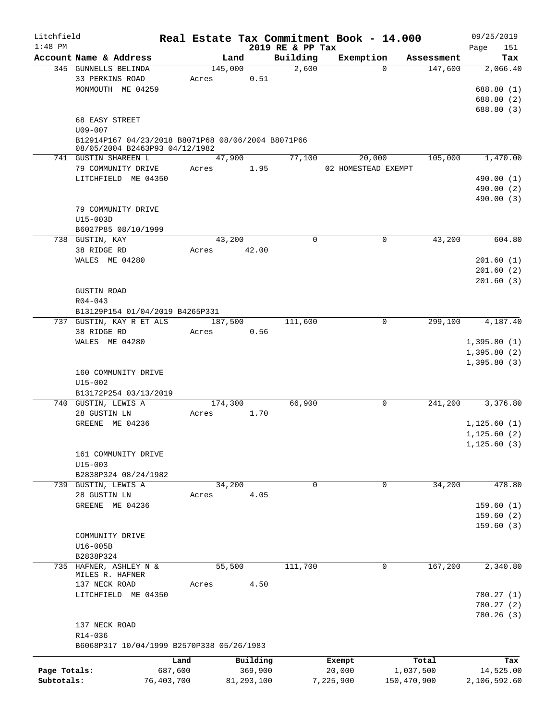| Litchfield   |                                                        |            |         |            |                              |           | Real Estate Tax Commitment Book - 14.000 |             | 09/25/2019         |
|--------------|--------------------------------------------------------|------------|---------|------------|------------------------------|-----------|------------------------------------------|-------------|--------------------|
| $1:48$ PM    | Account Name & Address                                 |            | Land    |            | 2019 RE & PP Tax<br>Building |           | Exemption                                | Assessment  | 151<br>Page<br>Tax |
|              | 345 GUNNELLS BELINDA                                   |            | 145,000 |            | 2,600                        |           | $\Omega$                                 | 147,600     | 2,066.40           |
|              | 33 PERKINS ROAD                                        |            | Acres   | 0.51       |                              |           |                                          |             |                    |
|              | MONMOUTH ME 04259                                      |            |         |            |                              |           |                                          |             | 688.80 (1)         |
|              |                                                        |            |         |            |                              |           |                                          |             | 688.80 (2)         |
|              |                                                        |            |         |            |                              |           |                                          |             | 688.80 (3)         |
|              | 68 EASY STREET                                         |            |         |            |                              |           |                                          |             |                    |
|              | $U09 - 007$                                            |            |         |            |                              |           |                                          |             |                    |
|              | B12914P167 04/23/2018 B8071P68 08/06/2004 B8071P66     |            |         |            |                              |           |                                          |             |                    |
|              | 08/05/2004 B2463P93 04/12/1982<br>741 GUSTIN SHAREEN L |            | 47,900  |            | 77,100                       |           | 20,000                                   | 105,000     | 1,470.00           |
|              | 79 COMMUNITY DRIVE                                     |            | Acres   | 1.95       |                              |           | 02 HOMESTEAD EXEMPT                      |             |                    |
|              | LITCHFIELD ME 04350                                    |            |         |            |                              |           |                                          |             | 490.00 (1)         |
|              |                                                        |            |         |            |                              |           |                                          |             | 490.00 (2)         |
|              |                                                        |            |         |            |                              |           |                                          |             | 490.00 (3)         |
|              |                                                        |            |         |            |                              |           |                                          |             |                    |
|              | 79 COMMUNITY DRIVE                                     |            |         |            |                              |           |                                          |             |                    |
|              | U15-003D                                               |            |         |            |                              |           |                                          |             |                    |
|              | B6027P85 08/10/1999                                    |            |         |            |                              |           |                                          |             |                    |
|              | 738 GUSTIN, KAY                                        |            | 43,200  |            | $\mathbf 0$                  |           | 0                                        | 43,200      | 604.80             |
|              | 38 RIDGE RD                                            |            | Acres   | 42.00      |                              |           |                                          |             |                    |
|              | WALES ME 04280                                         |            |         |            |                              |           |                                          |             | 201.60(1)          |
|              |                                                        |            |         |            |                              |           |                                          |             | 201.60(2)          |
|              |                                                        |            |         |            |                              |           |                                          |             | 201.60(3)          |
|              | <b>GUSTIN ROAD</b>                                     |            |         |            |                              |           |                                          |             |                    |
|              | $R04 - 043$                                            |            |         |            |                              |           |                                          |             |                    |
|              | B13129P154 01/04/2019 B4265P331                        |            |         |            |                              |           |                                          |             |                    |
|              | 737 GUSTIN, KAY R ET ALS                               |            | 187,500 |            | 111,600                      |           | $\mathbf 0$                              | 299,100     | 4,187.40           |
|              | 38 RIDGE RD                                            |            | Acres   | 0.56       |                              |           |                                          |             |                    |
|              | WALES ME 04280                                         |            |         |            |                              |           |                                          |             | 1,395.80(1)        |
|              |                                                        |            |         |            |                              |           |                                          |             | 1,395.80(2)        |
|              |                                                        |            |         |            |                              |           |                                          |             | 1,395.80(3)        |
|              | 160 COMMUNITY DRIVE                                    |            |         |            |                              |           |                                          |             |                    |
|              | U15-002                                                |            |         |            |                              |           |                                          |             |                    |
|              | B13172P254 03/13/2019                                  |            |         |            |                              |           |                                          |             |                    |
|              | 740 GUSTIN, LEWIS A                                    |            | 174,300 |            | 66,900                       |           | 0                                        | 241,200     | 3,376.80           |
|              | 28 GUSTIN LN                                           |            | Acres   | 1.70       |                              |           |                                          |             |                    |
|              | GREENE ME 04236                                        |            |         |            |                              |           |                                          |             | 1, 125.60(1)       |
|              |                                                        |            |         |            |                              |           |                                          |             | 1, 125.60(2)       |
|              |                                                        |            |         |            |                              |           |                                          |             | 1, 125.60(3)       |
|              | 161 COMMUNITY DRIVE                                    |            |         |            |                              |           |                                          |             |                    |
|              | $U15 - 003$                                            |            |         |            |                              |           |                                          |             |                    |
|              | B2838P324 08/24/1982                                   |            |         |            |                              |           |                                          |             |                    |
|              | 739 GUSTIN, LEWIS A                                    |            | 34,200  |            | 0                            |           | 0                                        | 34,200      | 478.80             |
|              | 28 GUSTIN LN                                           |            | Acres   | 4.05       |                              |           |                                          |             |                    |
|              | GREENE ME 04236                                        |            |         |            |                              |           |                                          |             | 159.60(1)          |
|              |                                                        |            |         |            |                              |           |                                          |             | 159.60(2)          |
|              |                                                        |            |         |            |                              |           |                                          |             | 159.60(3)          |
|              | COMMUNITY DRIVE                                        |            |         |            |                              |           |                                          |             |                    |
|              | U16-005B                                               |            |         |            |                              |           |                                          |             |                    |
|              | B2838P324                                              |            |         |            |                              |           |                                          |             |                    |
|              | 735 HAFNER, ASHLEY N &                                 |            | 55,500  |            | 111,700                      |           | 0                                        | 167,200     | 2,340.80           |
|              | MILES R. HAFNER                                        |            |         |            |                              |           |                                          |             |                    |
|              | 137 NECK ROAD                                          |            | Acres   | 4.50       |                              |           |                                          |             |                    |
|              | LITCHFIELD ME 04350                                    |            |         |            |                              |           |                                          |             | 780.27 (1)         |
|              |                                                        |            |         |            |                              |           |                                          |             | 780.27 (2)         |
|              |                                                        |            |         |            |                              |           |                                          |             | 780.26(3)          |
|              | 137 NECK ROAD                                          |            |         |            |                              |           |                                          |             |                    |
|              | R14-036                                                |            |         |            |                              |           |                                          |             |                    |
|              | B6068P317 10/04/1999 B2570P338 05/26/1983              |            |         |            |                              |           |                                          |             |                    |
|              |                                                        | Land       |         | Building   |                              | Exempt    |                                          | Total       | Tax                |
| Page Totals: |                                                        | 687,600    |         | 369,900    |                              | 20,000    |                                          | 1,037,500   | 14,525.00          |
| Subtotals:   |                                                        | 76,403,700 |         | 81,293,100 |                              | 7,225,900 |                                          | 150,470,900 | 2,106,592.60       |
|              |                                                        |            |         |            |                              |           |                                          |             |                    |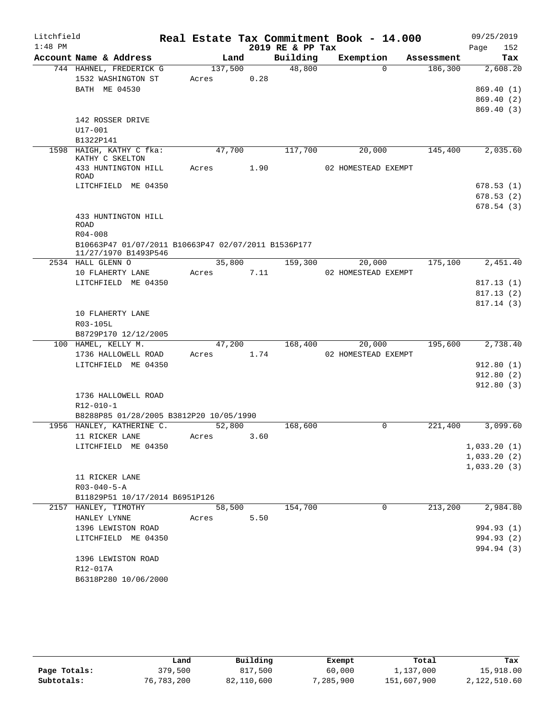| $1:48$ PM<br>2019 RE & PP Tax<br>152<br>Page<br>Building<br>Account Name & Address<br>Exemption<br>Land<br>Tax<br>Assessment<br>744 HAHNEL, FREDERICK G<br>137,500<br>48,800<br>$\Omega$<br>186,300<br>2,608.20<br>0.28<br>1532 WASHINGTON ST<br>Acres<br>BATH ME 04530<br>869.40(1)<br>869.40 (2)<br>869.40(3)<br>142 ROSSER DRIVE<br>U17-001<br>B1322P141<br>1598 HAIGH, KATHY C fka:<br>47,700<br>117,700<br>20,000<br>145,400<br>2,035.60<br>KATHY C SKELTON<br>433 HUNTINGTON HILL<br>Acres 1.90<br>02 HOMESTEAD EXEMPT<br>ROAD<br>LITCHFIELD ME 04350<br>678.53(1)<br>678.53(2)<br>678.54(3)<br>433 HUNTINGTON HILL<br>ROAD<br>$R04 - 008$<br>B10663P47 01/07/2011 B10663P47 02/07/2011 B1536P177<br>11/27/1970 B1493P546<br>35,800<br>2534 HALL GLENN O<br>159,300<br>175,100<br>2,451.40<br>20,000<br>Acres 7.11<br>10 FLAHERTY LANE<br>02 HOMESTEAD EXEMPT<br>LITCHFIELD ME 04350<br>817.13(1)<br>817.13(2)<br>817.14 (3)<br>10 FLAHERTY LANE<br>R03-105L<br>B8729P170 12/12/2005<br>100 HAMEL, KELLY M.<br>47,200<br>168,400<br>195,600<br>2,738.40<br>20,000<br>1736 HALLOWELL ROAD<br>1.74<br>02 HOMESTEAD EXEMPT<br>Acres<br>LITCHFIELD ME 04350<br>912.80(1)<br>912.80(2)<br>912.80(3)<br>1736 HALLOWELL ROAD<br>$R12 - 010 - 1$<br>B8288P85 01/28/2005 B3812P20 10/05/1990<br>1956 HANLEY, KATHERINE C.<br>52,800<br>168,600<br>221,400<br>3,099.60<br>0<br>11 RICKER LANE<br>3.60<br>Acres<br>1,033.20(1)<br>LITCHFIELD ME 04350<br>1,033.20(2)<br>1,033.20(3)<br>11 RICKER LANE<br>$R03 - 040 - 5 - A$<br>B11829P51 10/17/2014 B6951P126<br>154,700<br>213,200<br>2,984.80<br>2157 HANLEY, TIMOTHY<br>58,500<br>0<br>5.50<br>HANLEY LYNNE<br>Acres<br>994.93 (1)<br>1396 LEWISTON ROAD<br>LITCHFIELD ME 04350<br>994.93 (2)<br>994.94 (3)<br>1396 LEWISTON ROAD<br>R12-017A<br>B6318P280 10/06/2000 | Litchfield |  |  | Real Estate Tax Commitment Book - 14.000 |  | 09/25/2019 |
|----------------------------------------------------------------------------------------------------------------------------------------------------------------------------------------------------------------------------------------------------------------------------------------------------------------------------------------------------------------------------------------------------------------------------------------------------------------------------------------------------------------------------------------------------------------------------------------------------------------------------------------------------------------------------------------------------------------------------------------------------------------------------------------------------------------------------------------------------------------------------------------------------------------------------------------------------------------------------------------------------------------------------------------------------------------------------------------------------------------------------------------------------------------------------------------------------------------------------------------------------------------------------------------------------------------------------------------------------------------------------------------------------------------------------------------------------------------------------------------------------------------------------------------------------------------------------------------------------------------------------------------------------------------------------------------------------------------------------------------------------------------------------------------------------------------------|------------|--|--|------------------------------------------|--|------------|
|                                                                                                                                                                                                                                                                                                                                                                                                                                                                                                                                                                                                                                                                                                                                                                                                                                                                                                                                                                                                                                                                                                                                                                                                                                                                                                                                                                                                                                                                                                                                                                                                                                                                                                                                                                                                                      |            |  |  |                                          |  |            |
|                                                                                                                                                                                                                                                                                                                                                                                                                                                                                                                                                                                                                                                                                                                                                                                                                                                                                                                                                                                                                                                                                                                                                                                                                                                                                                                                                                                                                                                                                                                                                                                                                                                                                                                                                                                                                      |            |  |  |                                          |  |            |
|                                                                                                                                                                                                                                                                                                                                                                                                                                                                                                                                                                                                                                                                                                                                                                                                                                                                                                                                                                                                                                                                                                                                                                                                                                                                                                                                                                                                                                                                                                                                                                                                                                                                                                                                                                                                                      |            |  |  |                                          |  |            |
|                                                                                                                                                                                                                                                                                                                                                                                                                                                                                                                                                                                                                                                                                                                                                                                                                                                                                                                                                                                                                                                                                                                                                                                                                                                                                                                                                                                                                                                                                                                                                                                                                                                                                                                                                                                                                      |            |  |  |                                          |  |            |
|                                                                                                                                                                                                                                                                                                                                                                                                                                                                                                                                                                                                                                                                                                                                                                                                                                                                                                                                                                                                                                                                                                                                                                                                                                                                                                                                                                                                                                                                                                                                                                                                                                                                                                                                                                                                                      |            |  |  |                                          |  |            |
|                                                                                                                                                                                                                                                                                                                                                                                                                                                                                                                                                                                                                                                                                                                                                                                                                                                                                                                                                                                                                                                                                                                                                                                                                                                                                                                                                                                                                                                                                                                                                                                                                                                                                                                                                                                                                      |            |  |  |                                          |  |            |
|                                                                                                                                                                                                                                                                                                                                                                                                                                                                                                                                                                                                                                                                                                                                                                                                                                                                                                                                                                                                                                                                                                                                                                                                                                                                                                                                                                                                                                                                                                                                                                                                                                                                                                                                                                                                                      |            |  |  |                                          |  |            |
|                                                                                                                                                                                                                                                                                                                                                                                                                                                                                                                                                                                                                                                                                                                                                                                                                                                                                                                                                                                                                                                                                                                                                                                                                                                                                                                                                                                                                                                                                                                                                                                                                                                                                                                                                                                                                      |            |  |  |                                          |  |            |
|                                                                                                                                                                                                                                                                                                                                                                                                                                                                                                                                                                                                                                                                                                                                                                                                                                                                                                                                                                                                                                                                                                                                                                                                                                                                                                                                                                                                                                                                                                                                                                                                                                                                                                                                                                                                                      |            |  |  |                                          |  |            |
|                                                                                                                                                                                                                                                                                                                                                                                                                                                                                                                                                                                                                                                                                                                                                                                                                                                                                                                                                                                                                                                                                                                                                                                                                                                                                                                                                                                                                                                                                                                                                                                                                                                                                                                                                                                                                      |            |  |  |                                          |  |            |
|                                                                                                                                                                                                                                                                                                                                                                                                                                                                                                                                                                                                                                                                                                                                                                                                                                                                                                                                                                                                                                                                                                                                                                                                                                                                                                                                                                                                                                                                                                                                                                                                                                                                                                                                                                                                                      |            |  |  |                                          |  |            |
|                                                                                                                                                                                                                                                                                                                                                                                                                                                                                                                                                                                                                                                                                                                                                                                                                                                                                                                                                                                                                                                                                                                                                                                                                                                                                                                                                                                                                                                                                                                                                                                                                                                                                                                                                                                                                      |            |  |  |                                          |  |            |
|                                                                                                                                                                                                                                                                                                                                                                                                                                                                                                                                                                                                                                                                                                                                                                                                                                                                                                                                                                                                                                                                                                                                                                                                                                                                                                                                                                                                                                                                                                                                                                                                                                                                                                                                                                                                                      |            |  |  |                                          |  |            |
|                                                                                                                                                                                                                                                                                                                                                                                                                                                                                                                                                                                                                                                                                                                                                                                                                                                                                                                                                                                                                                                                                                                                                                                                                                                                                                                                                                                                                                                                                                                                                                                                                                                                                                                                                                                                                      |            |  |  |                                          |  |            |
|                                                                                                                                                                                                                                                                                                                                                                                                                                                                                                                                                                                                                                                                                                                                                                                                                                                                                                                                                                                                                                                                                                                                                                                                                                                                                                                                                                                                                                                                                                                                                                                                                                                                                                                                                                                                                      |            |  |  |                                          |  |            |
|                                                                                                                                                                                                                                                                                                                                                                                                                                                                                                                                                                                                                                                                                                                                                                                                                                                                                                                                                                                                                                                                                                                                                                                                                                                                                                                                                                                                                                                                                                                                                                                                                                                                                                                                                                                                                      |            |  |  |                                          |  |            |
|                                                                                                                                                                                                                                                                                                                                                                                                                                                                                                                                                                                                                                                                                                                                                                                                                                                                                                                                                                                                                                                                                                                                                                                                                                                                                                                                                                                                                                                                                                                                                                                                                                                                                                                                                                                                                      |            |  |  |                                          |  |            |
|                                                                                                                                                                                                                                                                                                                                                                                                                                                                                                                                                                                                                                                                                                                                                                                                                                                                                                                                                                                                                                                                                                                                                                                                                                                                                                                                                                                                                                                                                                                                                                                                                                                                                                                                                                                                                      |            |  |  |                                          |  |            |
|                                                                                                                                                                                                                                                                                                                                                                                                                                                                                                                                                                                                                                                                                                                                                                                                                                                                                                                                                                                                                                                                                                                                                                                                                                                                                                                                                                                                                                                                                                                                                                                                                                                                                                                                                                                                                      |            |  |  |                                          |  |            |
|                                                                                                                                                                                                                                                                                                                                                                                                                                                                                                                                                                                                                                                                                                                                                                                                                                                                                                                                                                                                                                                                                                                                                                                                                                                                                                                                                                                                                                                                                                                                                                                                                                                                                                                                                                                                                      |            |  |  |                                          |  |            |
|                                                                                                                                                                                                                                                                                                                                                                                                                                                                                                                                                                                                                                                                                                                                                                                                                                                                                                                                                                                                                                                                                                                                                                                                                                                                                                                                                                                                                                                                                                                                                                                                                                                                                                                                                                                                                      |            |  |  |                                          |  |            |
|                                                                                                                                                                                                                                                                                                                                                                                                                                                                                                                                                                                                                                                                                                                                                                                                                                                                                                                                                                                                                                                                                                                                                                                                                                                                                                                                                                                                                                                                                                                                                                                                                                                                                                                                                                                                                      |            |  |  |                                          |  |            |
|                                                                                                                                                                                                                                                                                                                                                                                                                                                                                                                                                                                                                                                                                                                                                                                                                                                                                                                                                                                                                                                                                                                                                                                                                                                                                                                                                                                                                                                                                                                                                                                                                                                                                                                                                                                                                      |            |  |  |                                          |  |            |
|                                                                                                                                                                                                                                                                                                                                                                                                                                                                                                                                                                                                                                                                                                                                                                                                                                                                                                                                                                                                                                                                                                                                                                                                                                                                                                                                                                                                                                                                                                                                                                                                                                                                                                                                                                                                                      |            |  |  |                                          |  |            |
|                                                                                                                                                                                                                                                                                                                                                                                                                                                                                                                                                                                                                                                                                                                                                                                                                                                                                                                                                                                                                                                                                                                                                                                                                                                                                                                                                                                                                                                                                                                                                                                                                                                                                                                                                                                                                      |            |  |  |                                          |  |            |
|                                                                                                                                                                                                                                                                                                                                                                                                                                                                                                                                                                                                                                                                                                                                                                                                                                                                                                                                                                                                                                                                                                                                                                                                                                                                                                                                                                                                                                                                                                                                                                                                                                                                                                                                                                                                                      |            |  |  |                                          |  |            |
|                                                                                                                                                                                                                                                                                                                                                                                                                                                                                                                                                                                                                                                                                                                                                                                                                                                                                                                                                                                                                                                                                                                                                                                                                                                                                                                                                                                                                                                                                                                                                                                                                                                                                                                                                                                                                      |            |  |  |                                          |  |            |
|                                                                                                                                                                                                                                                                                                                                                                                                                                                                                                                                                                                                                                                                                                                                                                                                                                                                                                                                                                                                                                                                                                                                                                                                                                                                                                                                                                                                                                                                                                                                                                                                                                                                                                                                                                                                                      |            |  |  |                                          |  |            |
|                                                                                                                                                                                                                                                                                                                                                                                                                                                                                                                                                                                                                                                                                                                                                                                                                                                                                                                                                                                                                                                                                                                                                                                                                                                                                                                                                                                                                                                                                                                                                                                                                                                                                                                                                                                                                      |            |  |  |                                          |  |            |
|                                                                                                                                                                                                                                                                                                                                                                                                                                                                                                                                                                                                                                                                                                                                                                                                                                                                                                                                                                                                                                                                                                                                                                                                                                                                                                                                                                                                                                                                                                                                                                                                                                                                                                                                                                                                                      |            |  |  |                                          |  |            |
|                                                                                                                                                                                                                                                                                                                                                                                                                                                                                                                                                                                                                                                                                                                                                                                                                                                                                                                                                                                                                                                                                                                                                                                                                                                                                                                                                                                                                                                                                                                                                                                                                                                                                                                                                                                                                      |            |  |  |                                          |  |            |
|                                                                                                                                                                                                                                                                                                                                                                                                                                                                                                                                                                                                                                                                                                                                                                                                                                                                                                                                                                                                                                                                                                                                                                                                                                                                                                                                                                                                                                                                                                                                                                                                                                                                                                                                                                                                                      |            |  |  |                                          |  |            |
|                                                                                                                                                                                                                                                                                                                                                                                                                                                                                                                                                                                                                                                                                                                                                                                                                                                                                                                                                                                                                                                                                                                                                                                                                                                                                                                                                                                                                                                                                                                                                                                                                                                                                                                                                                                                                      |            |  |  |                                          |  |            |
|                                                                                                                                                                                                                                                                                                                                                                                                                                                                                                                                                                                                                                                                                                                                                                                                                                                                                                                                                                                                                                                                                                                                                                                                                                                                                                                                                                                                                                                                                                                                                                                                                                                                                                                                                                                                                      |            |  |  |                                          |  |            |
|                                                                                                                                                                                                                                                                                                                                                                                                                                                                                                                                                                                                                                                                                                                                                                                                                                                                                                                                                                                                                                                                                                                                                                                                                                                                                                                                                                                                                                                                                                                                                                                                                                                                                                                                                                                                                      |            |  |  |                                          |  |            |
|                                                                                                                                                                                                                                                                                                                                                                                                                                                                                                                                                                                                                                                                                                                                                                                                                                                                                                                                                                                                                                                                                                                                                                                                                                                                                                                                                                                                                                                                                                                                                                                                                                                                                                                                                                                                                      |            |  |  |                                          |  |            |
|                                                                                                                                                                                                                                                                                                                                                                                                                                                                                                                                                                                                                                                                                                                                                                                                                                                                                                                                                                                                                                                                                                                                                                                                                                                                                                                                                                                                                                                                                                                                                                                                                                                                                                                                                                                                                      |            |  |  |                                          |  |            |
|                                                                                                                                                                                                                                                                                                                                                                                                                                                                                                                                                                                                                                                                                                                                                                                                                                                                                                                                                                                                                                                                                                                                                                                                                                                                                                                                                                                                                                                                                                                                                                                                                                                                                                                                                                                                                      |            |  |  |                                          |  |            |
|                                                                                                                                                                                                                                                                                                                                                                                                                                                                                                                                                                                                                                                                                                                                                                                                                                                                                                                                                                                                                                                                                                                                                                                                                                                                                                                                                                                                                                                                                                                                                                                                                                                                                                                                                                                                                      |            |  |  |                                          |  |            |
|                                                                                                                                                                                                                                                                                                                                                                                                                                                                                                                                                                                                                                                                                                                                                                                                                                                                                                                                                                                                                                                                                                                                                                                                                                                                                                                                                                                                                                                                                                                                                                                                                                                                                                                                                                                                                      |            |  |  |                                          |  |            |
|                                                                                                                                                                                                                                                                                                                                                                                                                                                                                                                                                                                                                                                                                                                                                                                                                                                                                                                                                                                                                                                                                                                                                                                                                                                                                                                                                                                                                                                                                                                                                                                                                                                                                                                                                                                                                      |            |  |  |                                          |  |            |
|                                                                                                                                                                                                                                                                                                                                                                                                                                                                                                                                                                                                                                                                                                                                                                                                                                                                                                                                                                                                                                                                                                                                                                                                                                                                                                                                                                                                                                                                                                                                                                                                                                                                                                                                                                                                                      |            |  |  |                                          |  |            |
|                                                                                                                                                                                                                                                                                                                                                                                                                                                                                                                                                                                                                                                                                                                                                                                                                                                                                                                                                                                                                                                                                                                                                                                                                                                                                                                                                                                                                                                                                                                                                                                                                                                                                                                                                                                                                      |            |  |  |                                          |  |            |
|                                                                                                                                                                                                                                                                                                                                                                                                                                                                                                                                                                                                                                                                                                                                                                                                                                                                                                                                                                                                                                                                                                                                                                                                                                                                                                                                                                                                                                                                                                                                                                                                                                                                                                                                                                                                                      |            |  |  |                                          |  |            |
|                                                                                                                                                                                                                                                                                                                                                                                                                                                                                                                                                                                                                                                                                                                                                                                                                                                                                                                                                                                                                                                                                                                                                                                                                                                                                                                                                                                                                                                                                                                                                                                                                                                                                                                                                                                                                      |            |  |  |                                          |  |            |
|                                                                                                                                                                                                                                                                                                                                                                                                                                                                                                                                                                                                                                                                                                                                                                                                                                                                                                                                                                                                                                                                                                                                                                                                                                                                                                                                                                                                                                                                                                                                                                                                                                                                                                                                                                                                                      |            |  |  |                                          |  |            |
|                                                                                                                                                                                                                                                                                                                                                                                                                                                                                                                                                                                                                                                                                                                                                                                                                                                                                                                                                                                                                                                                                                                                                                                                                                                                                                                                                                                                                                                                                                                                                                                                                                                                                                                                                                                                                      |            |  |  |                                          |  |            |
|                                                                                                                                                                                                                                                                                                                                                                                                                                                                                                                                                                                                                                                                                                                                                                                                                                                                                                                                                                                                                                                                                                                                                                                                                                                                                                                                                                                                                                                                                                                                                                                                                                                                                                                                                                                                                      |            |  |  |                                          |  |            |
|                                                                                                                                                                                                                                                                                                                                                                                                                                                                                                                                                                                                                                                                                                                                                                                                                                                                                                                                                                                                                                                                                                                                                                                                                                                                                                                                                                                                                                                                                                                                                                                                                                                                                                                                                                                                                      |            |  |  |                                          |  |            |
|                                                                                                                                                                                                                                                                                                                                                                                                                                                                                                                                                                                                                                                                                                                                                                                                                                                                                                                                                                                                                                                                                                                                                                                                                                                                                                                                                                                                                                                                                                                                                                                                                                                                                                                                                                                                                      |            |  |  |                                          |  |            |

|              | Land       | Building   | Exempt    | Total       | Tax          |
|--------------|------------|------------|-----------|-------------|--------------|
| Page Totals: | 379,500    | 817,500    | 60,000    | 1,137,000   | 15,918.00    |
| Subtotals:   | 76,783,200 | 82,110,600 | 7,285,900 | 151,607,900 | 2,122,510.60 |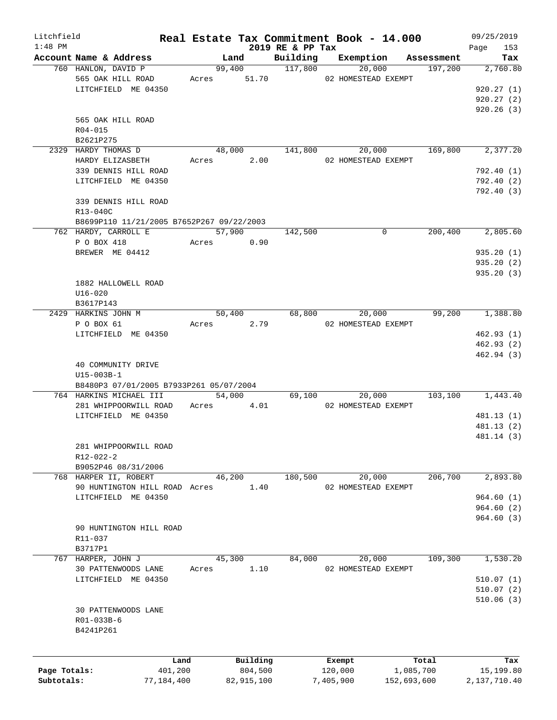| Litchfield   |                                           |       |                        |                  | Real Estate Tax Commitment Book - 14.000 |                       | 09/25/2019      |
|--------------|-------------------------------------------|-------|------------------------|------------------|------------------------------------------|-----------------------|-----------------|
| $1:48$ PM    | Account Name & Address                    |       |                        | 2019 RE & PP Tax |                                          |                       | Page<br>153     |
|              | 760 HANLON, DAVID P                       |       | Land<br>99,400 117,800 | Building         | Exemption<br>20,000                      | Assessment<br>197,200 | Tax<br>2,760.80 |
|              | 565 OAK HILL ROAD                         |       |                        |                  | Acres 51.70 02 HOMESTEAD EXEMPT          |                       |                 |
|              |                                           |       |                        |                  |                                          |                       |                 |
|              | LITCHFIELD ME 04350                       |       |                        |                  |                                          |                       | 920.27(1)       |
|              |                                           |       |                        |                  |                                          |                       | 920.27 (2)      |
|              |                                           |       |                        |                  |                                          |                       | 920.26(3)       |
|              | 565 OAK HILL ROAD                         |       |                        |                  |                                          |                       |                 |
|              | R04-015                                   |       |                        |                  |                                          |                       |                 |
|              | B2621P275                                 |       |                        |                  |                                          |                       |                 |
|              | 2329 HARDY THOMAS D                       |       | 48,000                 |                  | 141,800<br>20,000                        | 169,800               | 2,377.20        |
|              | HARDY ELIZASBETH                          |       | 2.00<br>Acres          |                  | 02 HOMESTEAD EXEMPT                      |                       |                 |
|              | 339 DENNIS HILL ROAD                      |       |                        |                  |                                          |                       | 792.40 (1)      |
|              | LITCHFIELD ME 04350                       |       |                        |                  |                                          |                       | 792.40 (2)      |
|              |                                           |       |                        |                  |                                          |                       | 792.40 (3)      |
|              | 339 DENNIS HILL ROAD                      |       |                        |                  |                                          |                       |                 |
|              | R13-040C                                  |       |                        |                  |                                          |                       |                 |
|              | B8699P110 11/21/2005 B7652P267 09/22/2003 |       |                        |                  |                                          |                       |                 |
|              |                                           |       |                        |                  | $\mathbf 0$                              |                       |                 |
|              | 762 HARDY, CARROLL E                      |       | 57,900                 | 142,500          |                                          | 200,400               | 2,805.60        |
|              | P O BOX 418                               |       | Acres 0.90             |                  |                                          |                       |                 |
|              | BREWER ME 04412                           |       |                        |                  |                                          |                       | 935.20(1)       |
|              |                                           |       |                        |                  |                                          |                       | 935.20(2)       |
|              |                                           |       |                        |                  |                                          |                       | 935.20(3)       |
|              | 1882 HALLOWELL ROAD                       |       |                        |                  |                                          |                       |                 |
|              | $U16 - 020$                               |       |                        |                  |                                          |                       |                 |
|              | B3617P143                                 |       |                        |                  |                                          |                       |                 |
|              | 2429 HARKINS JOHN M                       |       | 50,400                 |                  | 68,800<br>20,000                         | 99,200                | 1,388.80        |
|              | P O BOX 61                                |       | Acres 2.79             |                  | 02 HOMESTEAD EXEMPT                      |                       |                 |
|              | LITCHFIELD ME 04350                       |       |                        |                  |                                          |                       | 462.93(1)       |
|              |                                           |       |                        |                  |                                          |                       | 462.93(2)       |
|              |                                           |       |                        |                  |                                          |                       | 462.94(3)       |
|              | 40 COMMUNITY DRIVE                        |       |                        |                  |                                          |                       |                 |
|              | $U15 - 003B - 1$                          |       |                        |                  |                                          |                       |                 |
|              | B8480P3 07/01/2005 B7933P261 05/07/2004   |       |                        |                  |                                          |                       |                 |
|              | 764 HARKINS MICHAEL III                   |       | 54,000                 |                  | 69,100<br>20,000                         | 103,100               | 1,443.40        |
|              | 281 WHIPPOORWILL ROAD                     |       | 4.01<br>Acres          |                  | 02 HOMESTEAD EXEMPT                      |                       |                 |
|              | LITCHFIELD ME 04350                       |       |                        |                  |                                          |                       | 481.13 (1)      |
|              |                                           |       |                        |                  |                                          |                       | 481.13 (2)      |
|              |                                           |       |                        |                  |                                          |                       | 481.14 (3)      |
|              |                                           |       |                        |                  |                                          |                       |                 |
|              | 281 WHIPPOORWILL ROAD                     |       |                        |                  |                                          |                       |                 |
|              | R12-022-2                                 |       |                        |                  |                                          |                       |                 |
|              | B9052P46 08/31/2006                       |       |                        |                  |                                          |                       |                 |
|              | 768 HARPER II, ROBERT                     |       | 46,200                 | 180,500          | 20,000                                   | 206,700               | 2,893.80        |
|              | 90 HUNTINGTON HILL ROAD Acres             |       | 1.40                   |                  | 02 HOMESTEAD EXEMPT                      |                       |                 |
|              | LITCHFIELD ME 04350                       |       |                        |                  |                                          |                       | 964.60(1)       |
|              |                                           |       |                        |                  |                                          |                       | 964.60(2)       |
|              |                                           |       |                        |                  |                                          |                       | 964.60(3)       |
|              | 90 HUNTINGTON HILL ROAD                   |       |                        |                  |                                          |                       |                 |
|              | R11-037                                   |       |                        |                  |                                          |                       |                 |
|              | B3717P1                                   |       |                        |                  |                                          |                       |                 |
|              | 767 HARPER, JOHN J                        |       | 45,300                 | 84,000           | 20,000                                   | 109,300               | 1,530.20        |
|              | 30 PATTENWOODS LANE                       | Acres | 1.10                   |                  | 02 HOMESTEAD EXEMPT                      |                       |                 |
|              |                                           |       |                        |                  |                                          |                       |                 |
|              | LITCHFIELD ME 04350                       |       |                        |                  |                                          |                       | 510.07(1)       |
|              |                                           |       |                        |                  |                                          |                       | 510.07(2)       |
|              |                                           |       |                        |                  |                                          |                       | 510.06(3)       |
|              | 30 PATTENWOODS LANE                       |       |                        |                  |                                          |                       |                 |
|              | R01-033B-6                                |       |                        |                  |                                          |                       |                 |
|              | B4241P261                                 |       |                        |                  |                                          |                       |                 |
|              |                                           |       |                        |                  |                                          |                       |                 |
|              |                                           | Land  | Building               |                  | Exempt                                   | Total                 | Tax             |
| Page Totals: | 401,200                                   |       | 804,500                |                  | 120,000                                  | 1,085,700             | 15,199.80       |
| Subtotals:   | 77,184,400                                |       | 82,915,100             |                  | 7,405,900                                | 152,693,600           | 2,137,710.40    |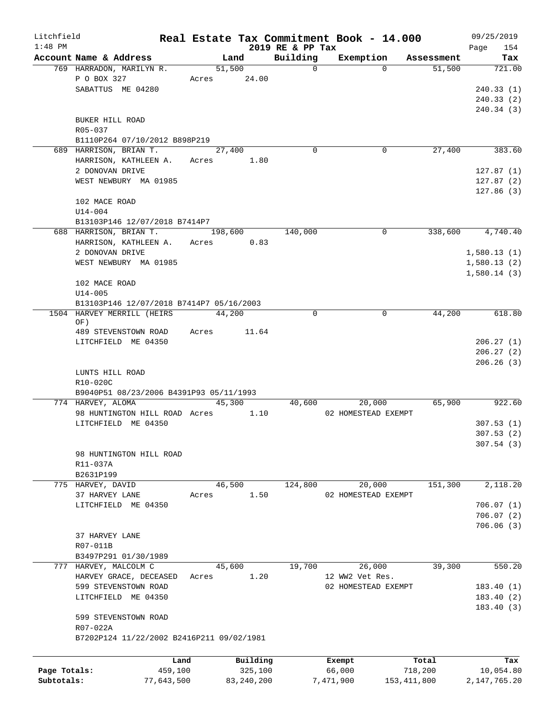| Litchfield   |                                           | Real Estate Tax Commitment Book - 14.000 |              |                  |                     |               |            | 09/25/2019      |
|--------------|-------------------------------------------|------------------------------------------|--------------|------------------|---------------------|---------------|------------|-----------------|
| $1:48$ PM    |                                           |                                          |              | 2019 RE & PP Tax |                     |               |            | 154<br>Page     |
|              | Account Name & Address                    |                                          | Land         | Building         | Exemption           |               | Assessment | Tax             |
|              | 769 HARRADON, MARILYN R.                  |                                          | 51,500       | 0                |                     | $\Omega$      | 51,500     | 721.00          |
|              | P O BOX 327                               |                                          | Acres 24.00  |                  |                     |               |            |                 |
|              | SABATTUS ME 04280                         |                                          |              |                  |                     |               |            | 240.33(1)       |
|              |                                           |                                          |              |                  |                     |               |            | 240.33(2)       |
|              |                                           |                                          |              |                  |                     |               |            | 240.34(3)       |
|              | BUKER HILL ROAD                           |                                          |              |                  |                     |               |            |                 |
|              | R05-037                                   |                                          |              |                  |                     |               |            |                 |
|              | B1110P264 07/10/2012 B898P219             |                                          |              |                  |                     |               |            |                 |
|              | 689 HARRISON, BRIAN T.                    |                                          | 27,400       | $\Omega$         |                     | 0             | 27,400     | 383.60          |
|              | HARRISON, KATHLEEN A. Acres               |                                          | 1.80         |                  |                     |               |            |                 |
|              | 2 DONOVAN DRIVE                           |                                          |              |                  |                     |               |            | 127.87(1)       |
|              | WEST NEWBURY MA 01985                     |                                          |              |                  |                     |               |            | 127.87(2)       |
|              |                                           |                                          |              |                  |                     |               |            | 127.86(3)       |
|              | 102 MACE ROAD                             |                                          |              |                  |                     |               |            |                 |
|              | $U14 - 004$                               |                                          |              |                  |                     |               |            |                 |
|              | B13103P146 12/07/2018 B7414P7             |                                          |              |                  |                     |               |            |                 |
|              | 688 HARRISON, BRIAN T.                    |                                          | 198,600      | 140,000          |                     | 0             | 338,600    | 4,740.40        |
|              | HARRISON, KATHLEEN A.                     |                                          | Acres 0.83   |                  |                     |               |            |                 |
|              | 2 DONOVAN DRIVE                           |                                          |              |                  |                     |               |            | 1,580.13(1)     |
|              | WEST NEWBURY MA 01985                     |                                          |              |                  |                     |               |            | 1,580.13(2)     |
|              |                                           |                                          |              |                  |                     |               |            | 1,580.14(3)     |
|              | 102 MACE ROAD                             |                                          |              |                  |                     |               |            |                 |
|              | $U14 - 005$                               |                                          |              |                  |                     |               |            |                 |
|              | B13103P146 12/07/2018 B7414P7 05/16/2003  |                                          |              |                  |                     |               |            |                 |
|              | 1504 HARVEY MERRILL (HEIRS                |                                          | 44,200       | $\mathbf 0$      |                     | $\mathbf 0$   | 44,200     | 618.80          |
|              | OF)                                       |                                          |              |                  |                     |               |            |                 |
|              | 489 STEVENSTOWN ROAD                      | Acres                                    | 11.64        |                  |                     |               |            |                 |
|              | LITCHFIELD ME 04350                       |                                          |              |                  |                     |               |            | 206.27(1)       |
|              |                                           |                                          |              |                  |                     |               |            | 206.27(2)       |
|              |                                           |                                          |              |                  |                     |               |            | 206.26(3)       |
|              | LUNTS HILL ROAD                           |                                          |              |                  |                     |               |            |                 |
|              | R10-020C                                  |                                          |              |                  |                     |               |            |                 |
|              | B9040P51 08/23/2006 B4391P93 05/11/1993   |                                          |              |                  |                     |               |            |                 |
|              | 774 HARVEY, ALOMA                         |                                          | 45,300       |                  | 40,600<br>20,000    |               | 65,900     | 922.60          |
|              | 98 HUNTINGTON HILL ROAD Acres             |                                          | 1.10         |                  | 02 HOMESTEAD EXEMPT |               |            |                 |
|              | LITCHFIELD ME 04350                       |                                          |              |                  |                     |               |            | 307.53(1)       |
|              |                                           |                                          |              |                  |                     |               |            | 307.53(2)       |
|              |                                           |                                          |              |                  |                     |               |            | 307.54 (3)      |
|              | 98 HUNTINGTON HILL ROAD                   |                                          |              |                  |                     |               |            |                 |
|              | R11-037A                                  |                                          |              |                  |                     |               |            |                 |
|              | B2631P199                                 |                                          |              |                  |                     |               |            |                 |
|              | 775 HARVEY, DAVID                         |                                          | 46,500       | 124,800          | 20,000              |               | 151,300    | 2,118.20        |
|              | 37 HARVEY LANE                            | Acres                                    | 1.50         |                  | 02 HOMESTEAD EXEMPT |               |            |                 |
|              | LITCHFIELD ME 04350                       |                                          |              |                  |                     |               |            | 706.07(1)       |
|              |                                           |                                          |              |                  |                     |               |            | 706.07(2)       |
|              |                                           |                                          |              |                  |                     |               |            |                 |
|              |                                           |                                          |              |                  |                     |               |            | 706.06(3)       |
|              | 37 HARVEY LANE                            |                                          |              |                  |                     |               |            |                 |
|              | R07-011B                                  |                                          |              |                  |                     |               |            |                 |
|              | B3497P291 01/30/1989                      |                                          |              |                  |                     |               |            |                 |
|              | 777 HARVEY, MALCOLM C                     |                                          | 45,600       | 19,700           | 26,000              |               | 39,300     | 550.20          |
|              | HARVEY GRACE, DECEASED                    | Acres                                    | 1.20         |                  | 12 WW2 Vet Res.     |               |            |                 |
|              | 599 STEVENSTOWN ROAD                      |                                          |              |                  | 02 HOMESTEAD EXEMPT |               |            | 183.40(1)       |
|              | LITCHFIELD ME 04350                       |                                          |              |                  |                     |               |            | 183.40(2)       |
|              |                                           |                                          |              |                  |                     |               |            | 183.40(3)       |
|              | 599 STEVENSTOWN ROAD                      |                                          |              |                  |                     |               |            |                 |
|              | R07-022A                                  |                                          |              |                  |                     |               |            |                 |
|              | B7202P124 11/22/2002 B2416P211 09/02/1981 |                                          |              |                  |                     |               |            |                 |
|              |                                           |                                          |              |                  |                     |               |            |                 |
|              |                                           | Land                                     | Building     |                  | Exempt              |               | Total      | Tax             |
| Page Totals: |                                           | 459,100                                  | 325,100      |                  | 66,000              |               | 718,200    | 10,054.80       |
| Subtotals:   |                                           | 77,643,500                               | 83, 240, 200 |                  | 7,471,900           | 153, 411, 800 |            | 2, 147, 765. 20 |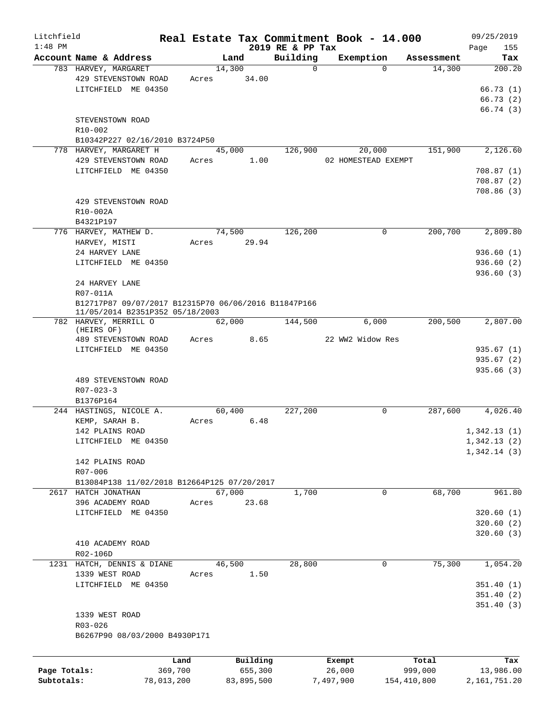| Litchfield   |                                                      |            |        |             |                      | Real Estate Tax Commitment Book - 14.000 |                      | 09/25/2019    |
|--------------|------------------------------------------------------|------------|--------|-------------|----------------------|------------------------------------------|----------------------|---------------|
| $1:48$ PM    |                                                      |            |        |             | 2019 RE & PP Tax     |                                          |                      | Page<br>155   |
|              | Account Name & Address<br>783 HARVEY, MARGARET       |            | 14,300 | Land        | Building<br>$\Omega$ | Exemption<br>$\Omega$                    | Assessment<br>14,300 | Tax<br>200.20 |
|              | 429 STEVENSTOWN ROAD                                 | Acres      |        | 34.00       |                      |                                          |                      |               |
|              | LITCHFIELD ME 04350                                  |            |        |             |                      |                                          |                      | 66.73(1)      |
|              |                                                      |            |        |             |                      |                                          |                      | 66.73(2)      |
|              |                                                      |            |        |             |                      |                                          |                      | 66.74(3)      |
|              | STEVENSTOWN ROAD                                     |            |        |             |                      |                                          |                      |               |
|              | R10-002                                              |            |        |             |                      |                                          |                      |               |
|              | B10342P227 02/16/2010 B3724P50                       |            |        |             |                      |                                          |                      |               |
|              | 778 HARVEY, MARGARET H                               |            | 45,000 |             | 126,900              | 20,000                                   | 151,900              | 2,126.60      |
|              | 429 STEVENSTOWN ROAD                                 |            | Acres  | 1.00        |                      | 02 HOMESTEAD EXEMPT                      |                      |               |
|              | LITCHFIELD ME 04350                                  |            |        |             |                      |                                          |                      | 708.87(1)     |
|              |                                                      |            |        |             |                      |                                          |                      | 708.87(2)     |
|              |                                                      |            |        |             |                      |                                          |                      | 708.86(3)     |
|              | 429 STEVENSTOWN ROAD                                 |            |        |             |                      |                                          |                      |               |
|              | R10-002A                                             |            |        |             |                      |                                          |                      |               |
|              | B4321P197                                            |            |        |             |                      |                                          |                      |               |
|              | 776 HARVEY, MATHEW D.                                |            |        | 74,500      | 126,200              | 0                                        | 200,700              | 2,809.80      |
|              | HARVEY, MISTI                                        |            |        | Acres 29.94 |                      |                                          |                      |               |
|              | 24 HARVEY LANE                                       |            |        |             |                      |                                          |                      | 936.60(1)     |
|              | LITCHFIELD ME 04350                                  |            |        |             |                      |                                          |                      | 936.60(2)     |
|              |                                                      |            |        |             |                      |                                          |                      | 936.60(3)     |
|              | 24 HARVEY LANE                                       |            |        |             |                      |                                          |                      |               |
|              | R07-011A                                             |            |        |             |                      |                                          |                      |               |
|              | B12717P87 09/07/2017 B12315P70 06/06/2016 B11847P166 |            |        |             |                      |                                          |                      |               |
|              | 11/05/2014 B2351P352 05/18/2003                      |            |        |             |                      |                                          |                      |               |
|              | 782 HARVEY, MERRILL O<br>(HEIRS OF)                  |            | 62,000 |             | 144,500              | 6,000                                    | 200,500              | 2,807.00      |
|              | 489 STEVENSTOWN ROAD                                 |            |        | Acres 8.65  |                      | 22 WW2 Widow Res                         |                      |               |
|              | LITCHFIELD ME 04350                                  |            |        |             |                      |                                          |                      | 935.67(1)     |
|              |                                                      |            |        |             |                      |                                          |                      | 935.67(2)     |
|              |                                                      |            |        |             |                      |                                          |                      | 935.66(3)     |
|              | 489 STEVENSTOWN ROAD                                 |            |        |             |                      |                                          |                      |               |
|              | $R07 - 023 - 3$                                      |            |        |             |                      |                                          |                      |               |
|              | B1376P164                                            |            |        |             |                      |                                          |                      |               |
|              | 244 HASTINGS, NICOLE A.                              |            | 60,400 |             | 227,200              | 0                                        | 287,600              | 4,026.40      |
|              | KEMP, SARAH B.                                       |            | Acres  | 6.48        |                      |                                          |                      |               |
|              | 142 PLAINS ROAD                                      |            |        |             |                      |                                          |                      | 1,342.13(1)   |
|              | LITCHFIELD ME 04350                                  |            |        |             |                      |                                          |                      | 1,342.13(2)   |
|              |                                                      |            |        |             |                      |                                          |                      | 1,342.14(3)   |
|              | 142 PLAINS ROAD                                      |            |        |             |                      |                                          |                      |               |
|              | R07-006                                              |            |        |             |                      |                                          |                      |               |
|              | B13084P138 11/02/2018 B12664P125 07/20/2017          |            |        |             |                      |                                          |                      |               |
|              | 2617 HATCH JONATHAN                                  |            | 67,000 |             | 1,700                | 0                                        | 68,700               | 961.80        |
|              | 396 ACADEMY ROAD                                     | Acres      |        | 23.68       |                      |                                          |                      |               |
|              | LITCHFIELD ME 04350                                  |            |        |             |                      |                                          |                      | 320.60(1)     |
|              |                                                      |            |        |             |                      |                                          |                      | 320.60(2)     |
|              |                                                      |            |        |             |                      |                                          |                      | 320.60(3)     |
|              | 410 ACADEMY ROAD                                     |            |        |             |                      |                                          |                      |               |
|              | R02-106D                                             |            |        |             |                      |                                          |                      |               |
|              | 1231 HATCH, DENNIS & DIANE                           |            | 46,500 |             | 28,800               | 0                                        | 75,300               | 1,054.20      |
|              | 1339 WEST ROAD                                       | Acres      |        | 1.50        |                      |                                          |                      |               |
|              | LITCHFIELD ME 04350                                  |            |        |             |                      |                                          |                      | 351.40(1)     |
|              |                                                      |            |        |             |                      |                                          |                      | 351.40(2)     |
|              |                                                      |            |        |             |                      |                                          |                      | 351.40(3)     |
|              | 1339 WEST ROAD                                       |            |        |             |                      |                                          |                      |               |
|              | R03-026                                              |            |        |             |                      |                                          |                      |               |
|              | B6267P90 08/03/2000 B4930P171                        |            |        |             |                      |                                          |                      |               |
|              |                                                      |            |        |             |                      |                                          |                      |               |
|              |                                                      | Land       |        | Building    |                      | Exempt                                   | Total                | Tax           |
| Page Totals: |                                                      | 369,700    |        | 655,300     |                      | 26,000                                   | 999,000              | 13,986.00     |
| Subtotals:   |                                                      | 78,013,200 |        | 83,895,500  |                      | 7,497,900                                | 154,410,800          | 2,161,751.20  |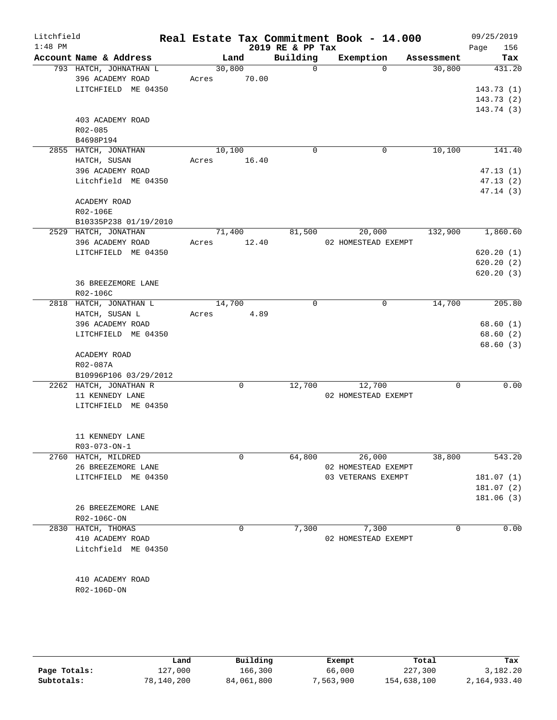| Litchfield<br>$1:48$ PM |                                                                   |                 |             | 2019 RE & PP Tax | Real Estate Tax Commitment Book - 14.000 |            | 09/25/2019<br>156<br>Page          |
|-------------------------|-------------------------------------------------------------------|-----------------|-------------|------------------|------------------------------------------|------------|------------------------------------|
|                         | Account Name & Address                                            |                 | Land        | Building         | Exemption                                | Assessment | Tax                                |
|                         | 793 HATCH, JOHNATHAN L<br>396 ACADEMY ROAD<br>LITCHFIELD ME 04350 | 30,800<br>Acres | 70.00       | $\Omega$         | $\Omega$                                 | 30,800     | 431.20<br>143.73(1)<br>143.73(2)   |
|                         | 403 ACADEMY ROAD<br>R02-085<br>B4698P194                          |                 |             |                  |                                          |            | 143.74 (3)                         |
|                         | 2855 HATCH, JONATHAN                                              | 10,100          |             | $\mathbf 0$      | $\mathbf 0$                              | 10,100     | 141.40                             |
|                         | HATCH, SUSAN                                                      | Acres           | 16.40       |                  |                                          |            |                                    |
|                         | 396 ACADEMY ROAD<br>Litchfield ME 04350                           |                 |             |                  |                                          |            | 47.13(1)<br>47.13 (2)<br>47.14 (3) |
|                         | ACADEMY ROAD<br>R02-106E<br>B10335P238 01/19/2010                 |                 |             |                  |                                          |            |                                    |
|                         | 2529 HATCH, JONATHAN                                              | 71,400          |             | 81,500           | 20,000                                   | 132,900    | 1,860.60                           |
|                         | 396 ACADEMY ROAD                                                  | Acres           | 12.40       |                  | 02 HOMESTEAD EXEMPT                      |            |                                    |
|                         | LITCHFIELD ME 04350                                               |                 |             |                  |                                          |            | 620.20(1)                          |
|                         |                                                                   |                 |             |                  |                                          |            | 620.20(2)                          |
|                         | 36 BREEZEMORE LANE<br>R02-106C                                    |                 |             |                  |                                          |            | 620.20(3)                          |
|                         | 2818 HATCH, JONATHAN L                                            | 14,700          |             | 0                | $\mathbf 0$                              | 14,700     | 205.80                             |
|                         | HATCH, SUSAN L                                                    | Acres           | 4.89        |                  |                                          |            |                                    |
|                         | 396 ACADEMY ROAD                                                  |                 |             |                  |                                          |            | 68.60(1)                           |
|                         | LITCHFIELD ME 04350                                               |                 |             |                  |                                          |            | 68.60 (2)                          |
|                         | ACADEMY ROAD<br>R02-087A                                          |                 |             |                  |                                          |            | 68.60 (3)                          |
|                         | B10996P106 03/29/2012                                             |                 |             |                  |                                          |            |                                    |
|                         | 2262 HATCH, JONATHAN R                                            |                 | 0           | 12,700           | 12,700                                   | $\Omega$   | 0.00                               |
|                         | 11 KENNEDY LANE<br>LITCHFIELD ME 04350                            |                 |             |                  | 02 HOMESTEAD EXEMPT                      |            |                                    |
|                         | 11 KENNEDY LANE<br>R03-073-ON-1                                   |                 |             |                  |                                          |            |                                    |
|                         | 2760 HATCH, MILDRED                                               |                 | $\mathbf 0$ | 64,800           | 26,000                                   | 38,800     | 543.20                             |
|                         | 26 BREEZEMORE LANE                                                |                 |             |                  | 02 HOMESTEAD EXEMPT                      |            |                                    |
|                         | LITCHFIELD ME 04350                                               |                 |             |                  | 03 VETERANS EXEMPT                       |            | 181.07 (1)                         |
|                         |                                                                   |                 |             |                  |                                          |            | 181.07(2)                          |
|                         | 26 BREEZEMORE LANE                                                |                 |             |                  |                                          |            | 181.06(3)                          |
|                         | R02-106C-ON                                                       |                 |             |                  |                                          |            |                                    |
|                         | 2830 HATCH, THOMAS                                                |                 | 0           | 7,300            | 7,300                                    | 0          | 0.00                               |
|                         | 410 ACADEMY ROAD                                                  |                 |             |                  | 02 HOMESTEAD EXEMPT                      |            |                                    |
|                         | Litchfield ME 04350                                               |                 |             |                  |                                          |            |                                    |
|                         |                                                                   |                 |             |                  |                                          |            |                                    |
|                         | 410 ACADEMY ROAD                                                  |                 |             |                  |                                          |            |                                    |
|                         | R02-106D-ON                                                       |                 |             |                  |                                          |            |                                    |
|                         |                                                                   |                 |             |                  |                                          |            |                                    |
|                         |                                                                   |                 |             |                  |                                          |            |                                    |
|                         |                                                                   |                 |             |                  |                                          |            |                                    |

|              | Land       | Building   | Exempt   | Total       | Tax          |
|--------------|------------|------------|----------|-------------|--------------|
| Page Totals: | 127,000    | 166,300    | 66,000   | 227,300     | 3,182.20     |
| Subtotals:   | 78,140,200 | 84,061,800 | ,563,900 | 154,638,100 | 2,164,933.40 |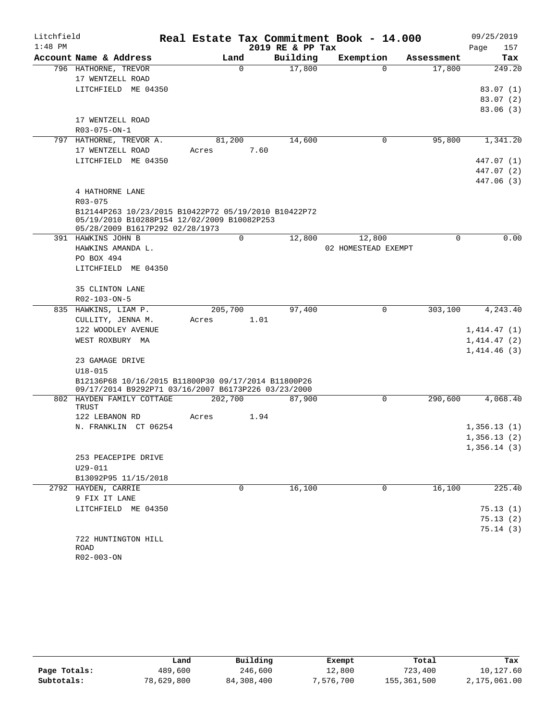| Litchfield |                                                      |         |             |                  | Real Estate Tax Commitment Book - 14.000 |            | 09/25/2019               |
|------------|------------------------------------------------------|---------|-------------|------------------|------------------------------------------|------------|--------------------------|
| $1:48$ PM  |                                                      |         |             | 2019 RE & PP Tax |                                          |            | 157<br>Page              |
|            | Account Name & Address                               |         | Land        | Building         | Exemption                                | Assessment | Tax                      |
|            | 796 HATHORNE, TREVOR                                 |         | $\Omega$    | 17,800           | $\Omega$                                 | 17,800     | 249.20                   |
|            | 17 WENTZELL ROAD                                     |         |             |                  |                                          |            |                          |
|            | LITCHFIELD ME 04350                                  |         |             |                  |                                          |            | 83.07(1)                 |
|            |                                                      |         |             |                  |                                          |            | 83.07(2)                 |
|            |                                                      |         |             |                  |                                          |            | 83.06(3)                 |
|            | 17 WENTZELL ROAD                                     |         |             |                  |                                          |            |                          |
|            | $R03 - 075 - ON - 1$                                 |         |             |                  |                                          |            |                          |
|            | 797 HATHORNE, TREVOR A.                              | 81,200  |             | 14,600           | 0                                        | 95,800     | 1,341.20                 |
|            | 17 WENTZELL ROAD                                     | Acres   | 7.60        |                  |                                          |            |                          |
|            | LITCHFIELD ME 04350                                  |         |             |                  |                                          |            | 447.07 (1)               |
|            |                                                      |         |             |                  |                                          |            | 447.07 (2)<br>447.06 (3) |
|            | 4 HATHORNE LANE                                      |         |             |                  |                                          |            |                          |
|            | R03-075                                              |         |             |                  |                                          |            |                          |
|            | B12144P263 10/23/2015 B10422P72 05/19/2010 B10422P72 |         |             |                  |                                          |            |                          |
|            | 05/19/2010 B10288P154 12/02/2009 B10082P253          |         |             |                  |                                          |            |                          |
|            | 05/28/2009 B1617P292 02/28/1973                      |         |             |                  |                                          |            |                          |
|            | 391 HAWKINS JOHN B                                   |         | $\mathbf 0$ | 12,800           | 12,800                                   | 0          | 0.00                     |
|            | HAWKINS AMANDA L.                                    |         |             |                  | 02 HOMESTEAD EXEMPT                      |            |                          |
|            | PO BOX 494                                           |         |             |                  |                                          |            |                          |
|            | LITCHFIELD ME 04350                                  |         |             |                  |                                          |            |                          |
|            |                                                      |         |             |                  |                                          |            |                          |
|            | 35 CLINTON LANE                                      |         |             |                  |                                          |            |                          |
|            | R02-103-ON-5                                         |         |             |                  |                                          |            |                          |
|            | 835 HAWKINS, LIAM P.                                 | 205,700 |             | 97,400           | $\Omega$                                 | 303,100    | 4,243.40                 |
|            | CULLITY, JENNA M.                                    | Acres   | 1.01        |                  |                                          |            |                          |
|            | 122 WOODLEY AVENUE                                   |         |             |                  |                                          |            | 1,414.47(1)              |
|            | WEST ROXBURY MA                                      |         |             |                  |                                          |            | 1,414.47(2)              |
|            |                                                      |         |             |                  |                                          |            | 1,414.46(3)              |
|            | 23 GAMAGE DRIVE<br>$U18 - 015$                       |         |             |                  |                                          |            |                          |
|            | B12136P68 10/16/2015 B11800P30 09/17/2014 B11800P26  |         |             |                  |                                          |            |                          |
|            | 09/17/2014 B9292P71 03/16/2007 B6173P226 03/23/2000  |         |             |                  |                                          |            |                          |
|            | 802 HAYDEN FAMILY COTTAGE                            | 202,700 |             | 87,900           | 0                                        | 290,600    | 4,068.40                 |
|            | TRUST                                                |         |             |                  |                                          |            |                          |
|            | 122 LEBANON RD                                       | Acres   | 1.94        |                  |                                          |            |                          |
|            | N. FRANKLIN CT 06254                                 |         |             |                  |                                          |            | 1,356.13(1)              |
|            |                                                      |         |             |                  |                                          |            | 1,356.13(2)              |
|            |                                                      |         |             |                  |                                          |            | 1,356.14(3)              |
|            | 253 PEACEPIPE DRIVE                                  |         |             |                  |                                          |            |                          |
|            | $U29 - 011$                                          |         |             |                  |                                          |            |                          |
|            | B13092P95 11/15/2018                                 |         |             |                  |                                          |            |                          |
|            | 2792 HAYDEN, CARRIE                                  |         | $\mathbf 0$ | 16,100           | $\mathbf 0$                              | 16,100     | 225.40                   |
|            | 9 FIX IT LANE                                        |         |             |                  |                                          |            |                          |
|            | LITCHFIELD ME 04350                                  |         |             |                  |                                          |            | 75.13(1)                 |
|            |                                                      |         |             |                  |                                          |            | 75.13(2)                 |
|            |                                                      |         |             |                  |                                          |            | 75.14(3)                 |
|            | 722 HUNTINGTON HILL<br>ROAD                          |         |             |                  |                                          |            |                          |
|            | R02-003-ON                                           |         |             |                  |                                          |            |                          |

|              | Land       | Building   | Exempt    | Total       | Tax          |
|--------------|------------|------------|-----------|-------------|--------------|
| Page Totals: | 489,600    | 246,600    | 12,800    | 723,400     | 10,127.60    |
| Subtotals:   | 78,629,800 | 84,308,400 | 7,576,700 | 155,361,500 | 2,175,061.00 |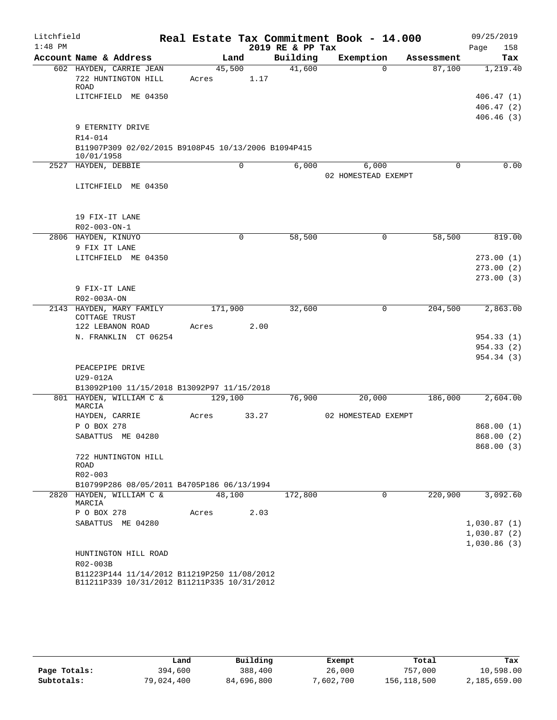| Litchfield |                                                                                            |             |       |                  | Real Estate Tax Commitment Book - 14.000 |            | 09/25/2019               |
|------------|--------------------------------------------------------------------------------------------|-------------|-------|------------------|------------------------------------------|------------|--------------------------|
| $1:48$ PM  |                                                                                            |             |       | 2019 RE & PP Tax |                                          |            | 158<br>Page              |
|            | Account Name & Address                                                                     | Land        |       | Building         | Exemption                                | Assessment | Tax                      |
|            | 602 HAYDEN, CARRIE JEAN                                                                    | 45,500      |       | 41,600           | $\Omega$                                 | 87,100     | 1,219.40                 |
|            | 722 HUNTINGTON HILL<br><b>ROAD</b>                                                         | Acres       | 1.17  |                  |                                          |            |                          |
|            | LITCHFIELD ME 04350                                                                        |             |       |                  |                                          |            | 406.47(1)                |
|            |                                                                                            |             |       |                  |                                          |            | 406.47(2)                |
|            |                                                                                            |             |       |                  |                                          |            | 406.46(3)                |
|            | 9 ETERNITY DRIVE                                                                           |             |       |                  |                                          |            |                          |
|            | R14-014                                                                                    |             |       |                  |                                          |            |                          |
|            | B11907P309 02/02/2015 B9108P45 10/13/2006 B1094P415                                        |             |       |                  |                                          |            |                          |
|            | 10/01/1958<br>2527 HAYDEN, DEBBIE                                                          | 0           |       | 6,000            | 6,000                                    | 0          | 0.00                     |
|            |                                                                                            |             |       |                  | 02 HOMESTEAD EXEMPT                      |            |                          |
|            | LITCHFIELD ME 04350                                                                        |             |       |                  |                                          |            |                          |
|            |                                                                                            |             |       |                  |                                          |            |                          |
|            |                                                                                            |             |       |                  |                                          |            |                          |
|            | 19 FIX-IT LANE                                                                             |             |       |                  |                                          |            |                          |
|            | R02-003-ON-1                                                                               |             |       |                  |                                          |            |                          |
|            | 2806 HAYDEN, KINUYO                                                                        | $\mathbf 0$ |       | 58,500           | 0                                        | 58,500     | 819.00                   |
|            | 9 FIX IT LANE                                                                              |             |       |                  |                                          |            |                          |
|            | LITCHFIELD ME 04350                                                                        |             |       |                  |                                          |            | 273.00(1)                |
|            |                                                                                            |             |       |                  |                                          |            | 273.00(2)<br>273.00(3)   |
|            | 9 FIX-IT LANE                                                                              |             |       |                  |                                          |            |                          |
|            | R02-003A-ON                                                                                |             |       |                  |                                          |            |                          |
|            | 2143 HAYDEN, MARY FAMILY                                                                   | 171,900     |       | 32,600           | 0                                        | 204,500    | 2,863.00                 |
|            | COTTAGE TRUST                                                                              |             |       |                  |                                          |            |                          |
|            | 122 LEBANON ROAD                                                                           | Acres       | 2.00  |                  |                                          |            |                          |
|            | N. FRANKLIN CT 06254                                                                       |             |       |                  |                                          |            | 954.33 (1)               |
|            |                                                                                            |             |       |                  |                                          |            | 954.33 (2)<br>954.34 (3) |
|            | PEACEPIPE DRIVE                                                                            |             |       |                  |                                          |            |                          |
|            | U29-012A                                                                                   |             |       |                  |                                          |            |                          |
|            | B13092P100 11/15/2018 B13092P97 11/15/2018                                                 |             |       |                  |                                          |            |                          |
|            | 801 HAYDEN, WILLIAM C &                                                                    | 129,100     |       | 76,900           | 20,000                                   | 186,000    | 2,604.00                 |
|            | MARCIA                                                                                     |             |       |                  |                                          |            |                          |
|            | HAYDEN, CARRIE                                                                             | Acres       | 33.27 |                  | 02 HOMESTEAD EXEMPT                      |            |                          |
|            | P O BOX 278<br>SABATTUS ME 04280                                                           |             |       |                  |                                          |            | 868.00(1)<br>868.00 (2)  |
|            |                                                                                            |             |       |                  |                                          |            | 868.00 (3)               |
|            | 722 HUNTINGTON HILL                                                                        |             |       |                  |                                          |            |                          |
|            | ROAD                                                                                       |             |       |                  |                                          |            |                          |
|            | $R02 - 003$                                                                                |             |       |                  |                                          |            |                          |
|            | B10799P286 08/05/2011 B4705P186 06/13/1994                                                 |             |       |                  |                                          |            |                          |
|            | 2820 HAYDEN, WILLIAM C &<br>MARCIA                                                         | 48,100      |       | 172,800          | $\Omega$                                 | 220,900    | 3,092.60                 |
|            | P O BOX 278                                                                                | Acres       | 2.03  |                  |                                          |            |                          |
|            | SABATTUS ME 04280                                                                          |             |       |                  |                                          |            | 1,030.87(1)              |
|            |                                                                                            |             |       |                  |                                          |            | 1,030.87(2)              |
|            |                                                                                            |             |       |                  |                                          |            | 1,030.86(3)              |
|            | HUNTINGTON HILL ROAD                                                                       |             |       |                  |                                          |            |                          |
|            | R02-003B                                                                                   |             |       |                  |                                          |            |                          |
|            | B11223P144 11/14/2012 B11219P250 11/08/2012<br>B11211P339 10/31/2012 B11211P335 10/31/2012 |             |       |                  |                                          |            |                          |

|              | Land       | Building   | Exempt    | Total       | Tax          |
|--------------|------------|------------|-----------|-------------|--------------|
| Page Totals: | 394,600    | 388,400    | 26,000    | 757,000     | 10,598.00    |
| Subtotals:   | 79,024,400 | 84,696,800 | 7,602,700 | 156,118,500 | 2,185,659.00 |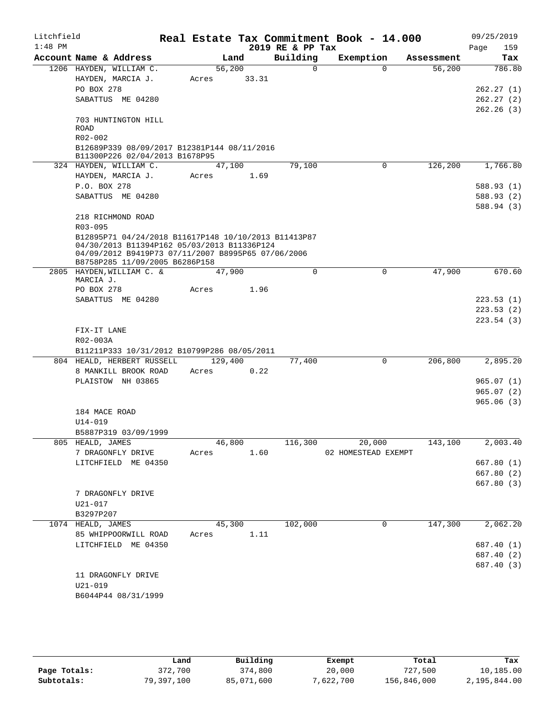| Litchfield |                              |                                                                                      |                 |       |                  | Real Estate Tax Commitment Book - 14.000 |          |            | 09/25/2019               |
|------------|------------------------------|--------------------------------------------------------------------------------------|-----------------|-------|------------------|------------------------------------------|----------|------------|--------------------------|
| $1:48$ PM  |                              |                                                                                      |                 |       | 2019 RE & PP Tax |                                          |          |            | 159<br>Page              |
|            |                              | Account Name & Address                                                               | Land            |       | Building         | Exemption                                |          | Assessment | Tax                      |
|            |                              | 1206 HAYDEN, WILLIAM C.<br>HAYDEN, MARCIA J.                                         | 56,200<br>Acres | 33.31 | $\Omega$         |                                          | $\Omega$ | 56,200     | 786.80                   |
|            | PO BOX 278                   |                                                                                      |                 |       |                  |                                          |          |            | 262.27(1)                |
|            |                              | SABATTUS ME 04280                                                                    |                 |       |                  |                                          |          |            | 262.27(2)<br>262.26(3)   |
|            | <b>ROAD</b>                  | 703 HUNTINGTON HILL                                                                  |                 |       |                  |                                          |          |            |                          |
|            | R02-002                      |                                                                                      |                 |       |                  |                                          |          |            |                          |
|            |                              | B12689P339 08/09/2017 B12381P144 08/11/2016<br>B11300P226 02/04/2013 B1678P95        |                 |       |                  |                                          |          |            |                          |
|            |                              | 324 HAYDEN, WILLIAM C.                                                               | 47,100          |       | 79,100           |                                          | 0        | 126,200    | 1,766.80                 |
|            |                              | HAYDEN, MARCIA J.                                                                    | Acres 1.69      |       |                  |                                          |          |            |                          |
|            | P.O. BOX 278                 |                                                                                      |                 |       |                  |                                          |          |            | 588.93 (1)               |
|            |                              | SABATTUS ME 04280                                                                    |                 |       |                  |                                          |          |            | 588.93 (2)               |
|            |                              | 218 RICHMOND ROAD                                                                    |                 |       |                  |                                          |          |            | 588.94 (3)               |
|            | R03-095                      |                                                                                      |                 |       |                  |                                          |          |            |                          |
|            |                              | B12895P71 04/24/2018 B11617P148 10/10/2013 B11413P87                                 |                 |       |                  |                                          |          |            |                          |
|            |                              | 04/30/2013 B11394P162 05/03/2013 B11336P124                                          |                 |       |                  |                                          |          |            |                          |
|            |                              | 04/09/2012 B9419P73 07/11/2007 B8995P65 07/06/2006<br>B8758P285 11/09/2005 B6286P158 |                 |       |                  |                                          |          |            |                          |
|            |                              | 2805 HAYDEN, WILLIAM C. &                                                            | 47,900          |       | 0                |                                          | 0        | 47,900     | 670.60                   |
|            | MARCIA J.                    |                                                                                      |                 |       |                  |                                          |          |            |                          |
|            | PO BOX 278                   |                                                                                      | Acres           | 1.96  |                  |                                          |          |            |                          |
|            |                              | SABATTUS ME 04280                                                                    |                 |       |                  |                                          |          |            | 223.53(1)                |
|            |                              |                                                                                      |                 |       |                  |                                          |          |            | 223.53(2)<br>223.54(3)   |
|            | FIX-IT LANE                  |                                                                                      |                 |       |                  |                                          |          |            |                          |
|            | R02-003A                     |                                                                                      |                 |       |                  |                                          |          |            |                          |
|            |                              | B11211P333 10/31/2012 B10799P286 08/05/2011                                          |                 |       |                  |                                          |          |            |                          |
|            |                              | 804 HEALD, HERBERT RUSSELL                                                           | 129,400         |       | 77,400           |                                          | 0        | 206,800    | 2,895.20                 |
|            |                              | 8 MANKILL BROOK ROAD                                                                 | Acres           | 0.22  |                  |                                          |          |            |                          |
|            |                              | PLAISTOW NH 03865                                                                    |                 |       |                  |                                          |          |            | 965.07(1)                |
|            |                              |                                                                                      |                 |       |                  |                                          |          |            | 965.07(2)                |
|            |                              |                                                                                      |                 |       |                  |                                          |          |            | 965.06(3)                |
|            | 184 MACE ROAD<br>$U14 - 019$ |                                                                                      |                 |       |                  |                                          |          |            |                          |
|            |                              | B5887P319 03/09/1999                                                                 |                 |       |                  |                                          |          |            |                          |
|            | 805 HEALD, JAMES             |                                                                                      | 46,800          |       | 116,300          |                                          | 20,000   | 143,100    | 2,003.40                 |
|            |                              | 7 DRAGONFLY DRIVE                                                                    | Acres           | 1.60  |                  | 02 HOMESTEAD EXEMPT                      |          |            |                          |
|            |                              | LITCHFIELD ME 04350                                                                  |                 |       |                  |                                          |          |            | 667.80(1)                |
|            |                              |                                                                                      |                 |       |                  |                                          |          |            | 667.80(2)                |
|            |                              |                                                                                      |                 |       |                  |                                          |          |            | 667.80(3)                |
|            |                              | 7 DRAGONFLY DRIVE                                                                    |                 |       |                  |                                          |          |            |                          |
|            | U21-017                      |                                                                                      |                 |       |                  |                                          |          |            |                          |
|            | B3297P207                    |                                                                                      |                 |       |                  |                                          |          |            |                          |
|            | 1074 HEALD, JAMES            |                                                                                      | 45,300          |       | 102,000          |                                          | 0        | 147,300    | 2,062.20                 |
|            |                              | 85 WHIPPOORWILL ROAD                                                                 | Acres           | 1.11  |                  |                                          |          |            |                          |
|            |                              | LITCHFIELD ME 04350                                                                  |                 |       |                  |                                          |          |            | 687.40 (1)               |
|            |                              |                                                                                      |                 |       |                  |                                          |          |            | 687.40 (2)<br>687.40 (3) |
|            |                              | 11 DRAGONFLY DRIVE                                                                   |                 |       |                  |                                          |          |            |                          |
|            | $U21 - 019$                  |                                                                                      |                 |       |                  |                                          |          |            |                          |
|            |                              | B6044P44 08/31/1999                                                                  |                 |       |                  |                                          |          |            |                          |
|            |                              |                                                                                      |                 |       |                  |                                          |          |            |                          |

|              | Land       | Building   | Exempt    | Total       | Tax          |
|--------------|------------|------------|-----------|-------------|--------------|
| Page Totals: | 372,700    | 374,800    | 20,000    | 727,500     | 10,185.00    |
| Subtotals:   | 79,397,100 | 85,071,600 | 7,622,700 | 156,846,000 | 2,195,844.00 |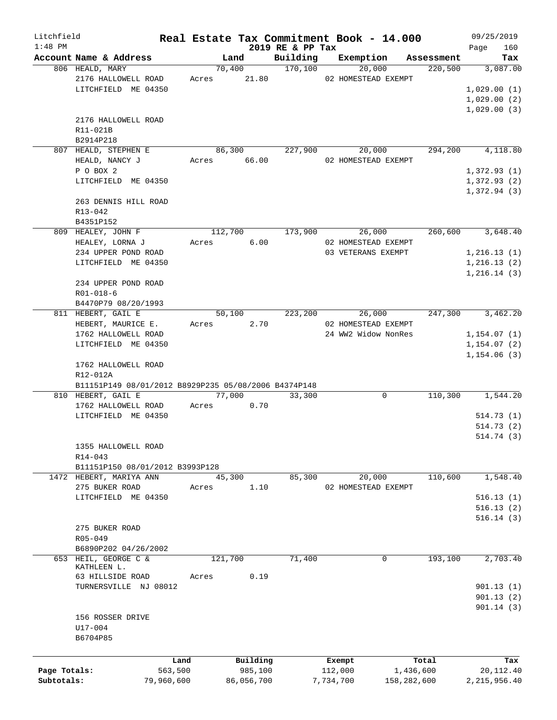| Litchfield   |                                                                                         |            |                |                     | Real Estate Tax Commitment Book - 14.000 |                       | 09/25/2019      |
|--------------|-----------------------------------------------------------------------------------------|------------|----------------|---------------------|------------------------------------------|-----------------------|-----------------|
| $1:48$ PM    |                                                                                         |            |                | 2019 RE & PP Tax    |                                          |                       | 160<br>Page     |
|              | Account Name & Address<br>806 HEALD, MARY                                               |            | Land<br>70,400 | Building<br>170,100 | Exemption<br>20,000                      | Assessment<br>220,500 | Tax<br>3,087.00 |
|              | 2176 HALLOWELL ROAD                                                                     |            | Acres 21.80    |                     | 02 HOMESTEAD EXEMPT                      |                       |                 |
|              | LITCHFIELD ME 04350                                                                     |            |                |                     |                                          |                       | 1,029.00(1)     |
|              |                                                                                         |            |                |                     |                                          |                       | 1,029.00(2)     |
|              |                                                                                         |            |                |                     |                                          |                       | 1,029.00(3)     |
|              | 2176 HALLOWELL ROAD                                                                     |            |                |                     |                                          |                       |                 |
|              | R11-021B                                                                                |            |                |                     |                                          |                       |                 |
|              | B2914P218                                                                               |            |                |                     |                                          |                       |                 |
|              | 807 HEALD, STEPHEN E                                                                    |            | 86,300         | 227,900             | 20,000                                   | 294,200               | 4,118.80        |
|              | HEALD, NANCY J                                                                          |            | Acres 66.00    |                     | 02 HOMESTEAD EXEMPT                      |                       |                 |
|              | P O BOX 2                                                                               |            |                |                     |                                          |                       | 1,372.93(1)     |
|              | LITCHFIELD ME 04350                                                                     |            |                |                     |                                          |                       | 1,372.93(2)     |
|              |                                                                                         |            |                |                     |                                          |                       | 1,372.94(3)     |
|              | 263 DENNIS HILL ROAD                                                                    |            |                |                     |                                          |                       |                 |
|              | R13-042                                                                                 |            |                |                     |                                          |                       |                 |
|              | B4351P152                                                                               |            |                |                     |                                          |                       |                 |
|              | 809 HEALEY, JOHN F                                                                      |            | 112,700        | 173,900             | 26,000                                   | 260,600               | 3,648.40        |
|              | HEALEY, LORNA J                                                                         | Acres      | 6.00           |                     | 02 HOMESTEAD EXEMPT                      |                       |                 |
|              | 234 UPPER POND ROAD                                                                     |            |                |                     | 03 VETERANS EXEMPT                       |                       | 1,216.13(1)     |
|              | LITCHFIELD ME 04350                                                                     |            |                |                     |                                          |                       | 1,216.13(2)     |
|              |                                                                                         |            |                |                     |                                          |                       | 1,216.14(3)     |
|              | 234 UPPER POND ROAD                                                                     |            |                |                     |                                          |                       |                 |
|              | $R01 - 018 - 6$                                                                         |            |                |                     |                                          |                       |                 |
|              | B4470P79 08/20/1993                                                                     |            |                |                     |                                          |                       |                 |
|              | 811 HEBERT, GAIL E                                                                      |            | 50,100         | 223,200             | 26,000                                   | 247,300               | 3,462.20        |
|              | HEBERT, MAURICE E.                                                                      |            | 2.70<br>Acres  |                     | 02 HOMESTEAD EXEMPT                      |                       |                 |
|              | 1762 HALLOWELL ROAD                                                                     |            |                |                     | 24 WW2 Widow NonRes                      |                       | 1,154.07(1)     |
|              | LITCHFIELD ME 04350                                                                     |            |                |                     |                                          |                       | 1,154.07(2)     |
|              | 1762 HALLOWELL ROAD<br>R12-012A<br>B11151P149 08/01/2012 B8929P235 05/08/2006 B4374P148 |            |                |                     |                                          |                       | 1,154.06(3)     |
|              | 810 HEBERT, GAIL E                                                                      |            | 77,000         | 33,300              | 0                                        | 110,300               | 1,544.20        |
|              | 1762 HALLOWELL ROAD                                                                     |            | Acres<br>0.70  |                     |                                          |                       |                 |
|              | LITCHFIELD ME 04350                                                                     |            |                |                     |                                          |                       | 514.73(1)       |
|              |                                                                                         |            |                |                     |                                          |                       | 514.73(2)       |
|              |                                                                                         |            |                |                     |                                          |                       | 514.74(3)       |
|              | 1355 HALLOWELL ROAD                                                                     |            |                |                     |                                          |                       |                 |
|              | R14-043                                                                                 |            |                |                     |                                          |                       |                 |
|              | B11151P150 08/01/2012 B3993P128                                                         |            |                |                     |                                          |                       |                 |
|              | 1472 HEBERT, MARIYA ANN                                                                 |            | 45,300         | 85,300              | 20,000                                   | 110,600               | 1,548.40        |
|              | 275 BUKER ROAD                                                                          | Acres      | 1.10           |                     | 02 HOMESTEAD EXEMPT                      |                       |                 |
|              | LITCHFIELD ME 04350                                                                     |            |                |                     |                                          |                       | 516.13(1)       |
|              |                                                                                         |            |                |                     |                                          |                       | 516.13(2)       |
|              |                                                                                         |            |                |                     |                                          |                       | 516.14(3)       |
|              | 275 BUKER ROAD                                                                          |            |                |                     |                                          |                       |                 |
|              | R05-049                                                                                 |            |                |                     |                                          |                       |                 |
|              | B6890P202 04/26/2002                                                                    |            |                |                     |                                          |                       |                 |
|              | 653 HEIL, GEORGE C &<br>KATHLEEN L.                                                     |            | 121,700        | 71,400              | 0                                        | 193,100               | 2,703.40        |
|              | 63 HILLSIDE ROAD                                                                        | Acres      | 0.19           |                     |                                          |                       |                 |
|              | TURNERSVILLE NJ 08012                                                                   |            |                |                     |                                          |                       | 901.13(1)       |
|              |                                                                                         |            |                |                     |                                          |                       | 901.13(2)       |
|              |                                                                                         |            |                |                     |                                          |                       | 901.14(3)       |
|              | 156 ROSSER DRIVE                                                                        |            |                |                     |                                          |                       |                 |
|              | U17-004                                                                                 |            |                |                     |                                          |                       |                 |
|              | B6704P85                                                                                |            |                |                     |                                          |                       |                 |
|              |                                                                                         |            |                |                     |                                          |                       |                 |
|              |                                                                                         | Land       | Building       |                     | Exempt                                   | Total                 | Tax             |
| Page Totals: |                                                                                         | 563,500    | 985,100        |                     | 112,000                                  | 1,436,600             | 20,112.40       |
| Subtotals:   |                                                                                         | 79,960,600 | 86,056,700     |                     | 7,734,700<br>158,282,600                 |                       | 2, 215, 956.40  |
|              |                                                                                         |            |                |                     |                                          |                       |                 |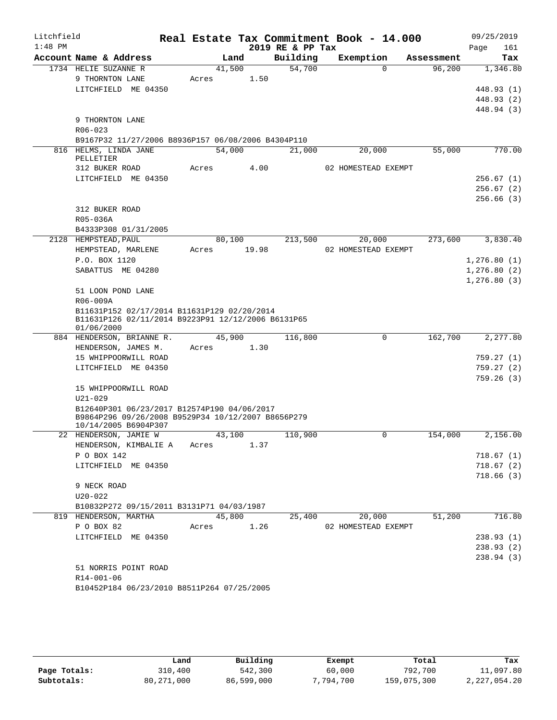| Litchfield |                                                    |       |        |       | Real Estate Tax Commitment Book - 14.000 |                     |          |            | 09/25/2019  |
|------------|----------------------------------------------------|-------|--------|-------|------------------------------------------|---------------------|----------|------------|-------------|
| $1:48$ PM  |                                                    |       |        |       | 2019 RE & PP Tax                         |                     |          |            | Page<br>161 |
|            | Account Name & Address                             |       | Land   |       | Building                                 | Exemption           |          | Assessment | Tax         |
|            | 1734 HELIE SUZANNE R                               |       | 41,500 |       | 54,700                                   |                     | $\Omega$ | 96,200     | 1,346.80    |
|            | 9 THORNTON LANE                                    | Acres |        | 1.50  |                                          |                     |          |            |             |
|            | LITCHFIELD ME 04350                                |       |        |       |                                          |                     |          |            | 448.93 (1)  |
|            |                                                    |       |        |       |                                          |                     |          |            | 448.93 (2)  |
|            | 9 THORNTON LANE                                    |       |        |       |                                          |                     |          |            | 448.94 (3)  |
|            | R06-023                                            |       |        |       |                                          |                     |          |            |             |
|            | B9167P32 11/27/2006 B8936P157 06/08/2006 B4304P110 |       |        |       |                                          |                     |          |            |             |
|            | 816 HELMS, LINDA JANE                              |       | 54,000 |       | 21,000                                   |                     | 20,000   | 55,000     | 770.00      |
|            | PELLETIER                                          |       |        |       |                                          |                     |          |            |             |
|            | 312 BUKER ROAD                                     | Acres |        | 4.00  |                                          | 02 HOMESTEAD EXEMPT |          |            |             |
|            | LITCHFIELD ME 04350                                |       |        |       |                                          |                     |          |            | 256.67(1)   |
|            |                                                    |       |        |       |                                          |                     |          |            | 256.67(2)   |
|            |                                                    |       |        |       |                                          |                     |          |            | 256.66(3)   |
|            | 312 BUKER ROAD                                     |       |        |       |                                          |                     |          |            |             |
|            | R05-036A                                           |       |        |       |                                          |                     |          |            |             |
|            | B4333P308 01/31/2005                               |       |        |       |                                          |                     |          |            |             |
|            | 2128 HEMPSTEAD, PAUL                               |       | 80,100 |       | 213,500                                  |                     | 20,000   | 273,600    | 3,830.40    |
|            | HEMPSTEAD, MARLENE                                 | Acres |        | 19.98 |                                          | 02 HOMESTEAD EXEMPT |          |            |             |
|            | P.O. BOX 1120                                      |       |        |       |                                          |                     |          |            | 1,276.80(1) |
|            | SABATTUS ME 04280                                  |       |        |       |                                          |                     |          |            | 1,276.80(2) |
|            |                                                    |       |        |       |                                          |                     |          |            | 1,276.80(3) |
|            | 51 LOON POND LANE                                  |       |        |       |                                          |                     |          |            |             |
|            | R06-009A                                           |       |        |       |                                          |                     |          |            |             |
|            | B11631P152 02/17/2014 B11631P129 02/20/2014        |       |        |       |                                          |                     |          |            |             |
|            | B11631P126 02/11/2014 B9223P91 12/12/2006 B6131P65 |       |        |       |                                          |                     |          |            |             |
|            | 01/06/2000<br>884 HENDERSON, BRIANNE R.            |       | 45,900 |       | 116,800                                  |                     | 0        | 162,700    | 2,277.80    |
|            | HENDERSON, JAMES M.                                | Acres |        | 1.30  |                                          |                     |          |            |             |
|            | 15 WHIPPOORWILL ROAD                               |       |        |       |                                          |                     |          |            | 759.27 (1)  |
|            | LITCHFIELD ME 04350                                |       |        |       |                                          |                     |          |            | 759.27 (2)  |
|            |                                                    |       |        |       |                                          |                     |          |            | 759.26(3)   |
|            | 15 WHIPPOORWILL ROAD                               |       |        |       |                                          |                     |          |            |             |
|            | $U21 - 029$                                        |       |        |       |                                          |                     |          |            |             |
|            | B12640P301 06/23/2017 B12574P190 04/06/2017        |       |        |       |                                          |                     |          |            |             |
|            | B9864P296 09/26/2008 B9529P34 10/12/2007 B8656P279 |       |        |       |                                          |                     |          |            |             |
|            | 10/14/2005 B6904P307                               |       |        |       |                                          |                     |          |            |             |
|            | 22 HENDERSON, JAMIE W                              |       | 43,100 |       | 110,900                                  |                     | 0        | 154,000    | 2,156.00    |
|            | HENDERSON, KIMBALIE A                              | Acres |        | 1.37  |                                          |                     |          |            |             |
|            | P O BOX 142                                        |       |        |       |                                          |                     |          |            | 718.67(1)   |
|            | LITCHFIELD ME 04350                                |       |        |       |                                          |                     |          |            | 718.67(2)   |
|            |                                                    |       |        |       |                                          |                     |          |            | 718.66(3)   |
|            | 9 NECK ROAD                                        |       |        |       |                                          |                     |          |            |             |
|            | $U20 - 022$                                        |       |        |       |                                          |                     |          |            |             |
|            | B10832P272 09/15/2011 B3131P71 04/03/1987          |       |        |       |                                          |                     |          |            |             |
|            | 819 HENDERSON, MARTHA                              |       | 45,800 |       | 25,400                                   |                     | 20,000   | 51,200     | 716.80      |
|            | P O BOX 82                                         | Acres |        | 1.26  |                                          | 02 HOMESTEAD EXEMPT |          |            |             |
|            | LITCHFIELD ME 04350                                |       |        |       |                                          |                     |          |            | 238.93(1)   |
|            |                                                    |       |        |       |                                          |                     |          |            | 238.93 (2)  |
|            |                                                    |       |        |       |                                          |                     |          |            | 238.94(3)   |
|            | 51 NORRIS POINT ROAD                               |       |        |       |                                          |                     |          |            |             |
|            | R14-001-06                                         |       |        |       |                                          |                     |          |            |             |
|            | B10452P184 06/23/2010 B8511P264 07/25/2005         |       |        |       |                                          |                     |          |            |             |

|              | Land         | Building   | Exempt   | Total       | Tax          |
|--------------|--------------|------------|----------|-------------|--------------|
| Page Totals: | 310,400      | 542,300    | 60,000   | 792,700     | 11,097.80    |
| Subtotals:   | 80, 271, 000 | 86,599,000 | .794.700 | 159,075,300 | 2,227,054.20 |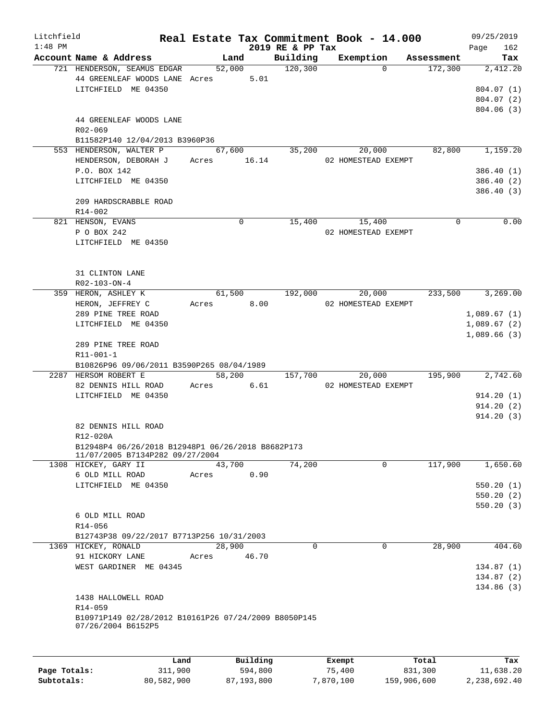| Litchfield<br>$1:48$ PM |                                                                                          |            |                           | 2019 RE & PP Tax    | Real Estate Tax Commitment Book - 14.000 |            | 09/25/2019<br>162<br>Page |
|-------------------------|------------------------------------------------------------------------------------------|------------|---------------------------|---------------------|------------------------------------------|------------|---------------------------|
|                         | Account Name & Address                                                                   |            | Land                      | Building            | Exemption                                | Assessment | Tax                       |
|                         | 721 HENDERSON, SEAMUS EDGAR<br>44 GREENLEAF WOODS LANE Acres 5.01<br>LITCHFIELD ME 04350 |            | 52,000                    | $\frac{120,300}{ }$ | $\Omega$                                 | 172,300    | 2,412.20<br>804.07 (1)    |
|                         |                                                                                          |            |                           |                     |                                          |            | 804.07 (2)<br>804.06 (3)  |
|                         | 44 GREENLEAF WOODS LANE<br>R02-069<br>B11582P140 12/04/2013 B3960P36                     |            |                           |                     |                                          |            |                           |
|                         | 553 HENDERSON, WALTER P                                                                  |            | 67,600                    | 35,200              | 20,000                                   | 82,800     | 1,159.20                  |
|                         | HENDERSON, DEBORAH J Acres 16.14                                                         |            |                           |                     | 02 HOMESTEAD EXEMPT                      |            |                           |
|                         | P.O. BOX 142<br>LITCHFIELD ME 04350                                                      |            |                           |                     |                                          |            | 386.40(1)<br>386.40 (2)   |
|                         |                                                                                          |            |                           |                     |                                          |            | 386.40 (3)                |
|                         | 209 HARDSCRABBLE ROAD<br>$R14 - 002$                                                     |            |                           |                     |                                          |            |                           |
|                         | 821 HENSON, EVANS                                                                        |            | 0                         | 15,400              | 15,400                                   | $\Omega$   | 0.00                      |
|                         | P O BOX 242                                                                              |            |                           |                     | 02 HOMESTEAD EXEMPT                      |            |                           |
|                         | LITCHFIELD ME 04350                                                                      |            |                           |                     |                                          |            |                           |
|                         | 31 CLINTON LANE                                                                          |            |                           |                     |                                          |            |                           |
|                         | R02-103-ON-4<br>359 HERON, ASHLEY K                                                      |            | 61,500                    | 192,000             | 20,000                                   | 233,500    | 3,269.00                  |
|                         | HERON, JEFFREY C                                                                         | Acres 8.00 |                           |                     | 02 HOMESTEAD EXEMPT                      |            |                           |
|                         | 289 PINE TREE ROAD                                                                       |            |                           |                     |                                          |            | 1,089.67(1)               |
|                         | LITCHFIELD ME 04350                                                                      |            |                           |                     |                                          |            | 1,089.67(2)               |
|                         | 289 PINE TREE ROAD                                                                       |            |                           |                     |                                          |            | 1,089.66(3)               |
|                         | R11-001-1<br>B10826P96 09/06/2011 B3590P265 08/04/1989                                   |            |                           |                     |                                          |            |                           |
|                         | 2287 HERSOM ROBERT E                                                                     |            | 58,200                    | 157,700             | 20,000                                   | 195,900    | 2,742.60                  |
|                         | 82 DENNIS HILL ROAD                                                                      | Acres      | 6.61                      |                     | 02 HOMESTEAD EXEMPT                      |            |                           |
|                         | LITCHFIELD ME 04350                                                                      |            |                           |                     |                                          |            | 914.20(1)                 |
|                         |                                                                                          |            |                           |                     |                                          |            | 914.20(2)                 |
|                         | 82 DENNIS HILL ROAD                                                                      |            |                           |                     |                                          |            | 914.20(3)                 |
|                         | R12-020A<br>B12948P4 06/26/2018 B12948P1 06/26/2018 B8682P173                            |            |                           |                     |                                          |            |                           |
|                         | 11/07/2005 B7134P282 09/27/2004                                                          |            |                           |                     |                                          |            |                           |
|                         | 1308 HICKEY, GARY II                                                                     | 43,700     |                           | 74,200              | 0                                        | 117,900    | 1,650.60                  |
|                         | 6 OLD MILL ROAD                                                                          | Acres      | 0.90                      |                     |                                          |            |                           |
|                         | LITCHFIELD ME 04350                                                                      |            |                           |                     |                                          |            | 550.20(1)                 |
|                         |                                                                                          |            |                           |                     |                                          |            | 550.20(2)<br>550.20(3)    |
|                         | 6 OLD MILL ROAD                                                                          |            |                           |                     |                                          |            |                           |
|                         | R14-056                                                                                  |            |                           |                     |                                          |            |                           |
|                         | B12743P38 09/22/2017 B7713P256 10/31/2003                                                |            |                           |                     |                                          |            |                           |
|                         | 1369 HICKEY, RONALD                                                                      | 28,900     |                           | $\Omega$            | $\Omega$                                 | 28,900     | 404.60                    |
|                         | 91 HICKORY LANE                                                                          | Acres      | 46.70                     |                     |                                          |            |                           |
|                         | WEST GARDINER ME 04345                                                                   |            |                           |                     |                                          |            | 134.87(1)                 |
|                         |                                                                                          |            |                           |                     |                                          |            | 134.87 (2)                |
|                         | 1438 HALLOWELL ROAD                                                                      |            |                           |                     |                                          |            | 134.86(3)                 |
|                         | R14-059<br>B10971P149 02/28/2012 B10161P26 07/24/2009 B8050P145                          |            |                           |                     |                                          |            |                           |
|                         | 07/26/2004 B6152P5                                                                       |            |                           |                     |                                          |            |                           |
|                         |                                                                                          |            |                           |                     |                                          |            |                           |
|                         |                                                                                          |            | $D_{11}$ in $I$ in $\sim$ |                     | $P$ -- $\sim$ mm $+$                     |            |                           |

|              | Land       | Building   | Exempt    | Total       | Tax          |
|--------------|------------|------------|-----------|-------------|--------------|
| Page Totals: | 311,900    | 594,800    | 75,400    | 831,300     | 11,638.20    |
| Subtotals:   | 80,582,900 | 87,193,800 | 7,870,100 | 159,906,600 | 2,238,692.40 |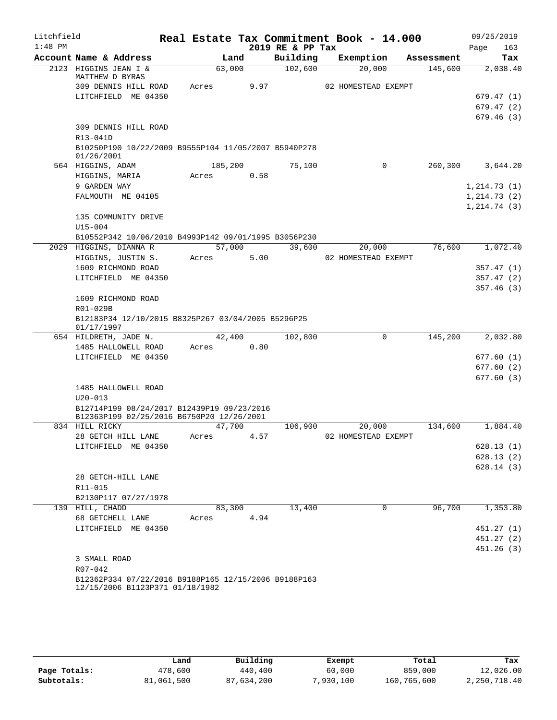| Litchfield |                                                                                         |         |      |                  | Real Estate Tax Commitment Book - 14.000 |            | 09/25/2019   |
|------------|-----------------------------------------------------------------------------------------|---------|------|------------------|------------------------------------------|------------|--------------|
| $1:48$ PM  |                                                                                         |         |      | 2019 RE & PP Tax |                                          |            | 163<br>Page  |
|            | Account Name & Address                                                                  |         | Land | Building         | Exemption                                | Assessment | Tax          |
|            | 2123 HIGGINS JEAN I &<br>MATTHEW D BYRAS                                                | 63,000  |      | 102,600          | 20,000                                   | 145,600    | 2,038.40     |
|            | 309 DENNIS HILL ROAD                                                                    | Acres   | 9.97 |                  | 02 HOMESTEAD EXEMPT                      |            |              |
|            | LITCHFIELD ME 04350                                                                     |         |      |                  |                                          |            | 679.47(1)    |
|            |                                                                                         |         |      |                  |                                          |            | 679.47(2)    |
|            |                                                                                         |         |      |                  |                                          |            | 679.46(3)    |
|            | 309 DENNIS HILL ROAD                                                                    |         |      |                  |                                          |            |              |
|            | R13-041D                                                                                |         |      |                  |                                          |            |              |
|            | B10250P190 10/22/2009 B9555P104 11/05/2007 B5940P278<br>01/26/2001                      |         |      |                  |                                          |            |              |
|            | 564 HIGGINS, ADAM                                                                       | 185,200 |      | 75,100           | $\mathbf 0$                              | 260,300    | 3,644.20     |
|            | HIGGINS, MARIA                                                                          | Acres   | 0.58 |                  |                                          |            |              |
|            | 9 GARDEN WAY                                                                            |         |      |                  |                                          |            | 1, 214.73(1) |
|            | FALMOUTH ME 04105                                                                       |         |      |                  |                                          |            | 1, 214.73(2) |
|            |                                                                                         |         |      |                  |                                          |            | 1, 214.74(3) |
|            | 135 COMMUNITY DRIVE                                                                     |         |      |                  |                                          |            |              |
|            | $U15 - 004$                                                                             |         |      |                  |                                          |            |              |
|            | B10552P342 10/06/2010 B4993P142 09/01/1995 B3056P230                                    |         |      |                  |                                          |            |              |
|            | 2029 HIGGINS, DIANNA R                                                                  | 57,000  |      | 39,600           | 20,000                                   | 76,600     | 1,072.40     |
|            | HIGGINS, JUSTIN S.                                                                      | Acres   | 5.00 |                  | 02 HOMESTEAD EXEMPT                      |            |              |
|            | 1609 RICHMOND ROAD                                                                      |         |      |                  |                                          |            | 357.47(1)    |
|            | LITCHFIELD ME 04350                                                                     |         |      |                  |                                          |            | 357.47(2)    |
|            |                                                                                         |         |      |                  |                                          |            | 357.46(3)    |
|            | 1609 RICHMOND ROAD                                                                      |         |      |                  |                                          |            |              |
|            | R01-029B                                                                                |         |      |                  |                                          |            |              |
|            | B12183P34 12/10/2015 B8325P267 03/04/2005 B5296P25                                      |         |      |                  |                                          |            |              |
|            | 01/17/1997<br>654 HILDRETH, JADE N.                                                     | 42,400  |      | 102,800          | 0                                        | 145,200    | 2,032.80     |
|            | 1485 HALLOWELL ROAD                                                                     | Acres   | 0.80 |                  |                                          |            |              |
|            | LITCHFIELD ME 04350                                                                     |         |      |                  |                                          |            | 677.60(1)    |
|            |                                                                                         |         |      |                  |                                          |            | 677.60 (2)   |
|            |                                                                                         |         |      |                  |                                          |            | 677.60(3)    |
|            | 1485 HALLOWELL ROAD                                                                     |         |      |                  |                                          |            |              |
|            | $U20 - 013$                                                                             |         |      |                  |                                          |            |              |
|            | B12714P199 08/24/2017 B12439P19 09/23/2016                                              |         |      |                  |                                          |            |              |
|            | B12363P199 02/25/2016 B6750P20 12/26/2001                                               |         |      |                  |                                          |            |              |
|            | 834 HILL RICKY                                                                          | 47,700  |      | 106,900          | 20,000                                   | 134,600    | 1,884.40     |
|            | 28 GETCH HILL LANE                                                                      | Acres   | 4.57 |                  | 02 HOMESTEAD EXEMPT                      |            |              |
|            | LITCHFIELD ME 04350                                                                     |         |      |                  |                                          |            | 628.13(1)    |
|            |                                                                                         |         |      |                  |                                          |            | 628.13(2)    |
|            |                                                                                         |         |      |                  |                                          |            | 628.14(3)    |
|            | 28 GETCH-HILL LANE                                                                      |         |      |                  |                                          |            |              |
|            | R11-015                                                                                 |         |      |                  |                                          |            |              |
|            | B2130P117 07/27/1978                                                                    |         |      |                  |                                          |            |              |
|            | 139 HILL, CHADD                                                                         | 83,300  |      | 13,400           | $\mathbf 0$                              | 96,700     | 1,353.80     |
|            | 68 GETCHELL LANE                                                                        | Acres   | 4.94 |                  |                                          |            |              |
|            | LITCHFIELD ME 04350                                                                     |         |      |                  |                                          |            | 451.27(1)    |
|            |                                                                                         |         |      |                  |                                          |            | 451.27(2)    |
|            |                                                                                         |         |      |                  |                                          |            | 451.26(3)    |
|            | 3 SMALL ROAD                                                                            |         |      |                  |                                          |            |              |
|            | R07-042                                                                                 |         |      |                  |                                          |            |              |
|            | B12362P334 07/22/2016 B9188P165 12/15/2006 B9188P163<br>12/15/2006 B1123P371 01/18/1982 |         |      |                  |                                          |            |              |

|              | Land       | Building   | Exempt   | Total       | Tax          |
|--------------|------------|------------|----------|-------------|--------------|
| Page Totals: | 478,600    | 440,400    | 60,000   | 859,000     | 12,026.00    |
| Subtotals:   | 81,061,500 | 87,634,200 | ,930,100 | 160,765,600 | 2,250,718.40 |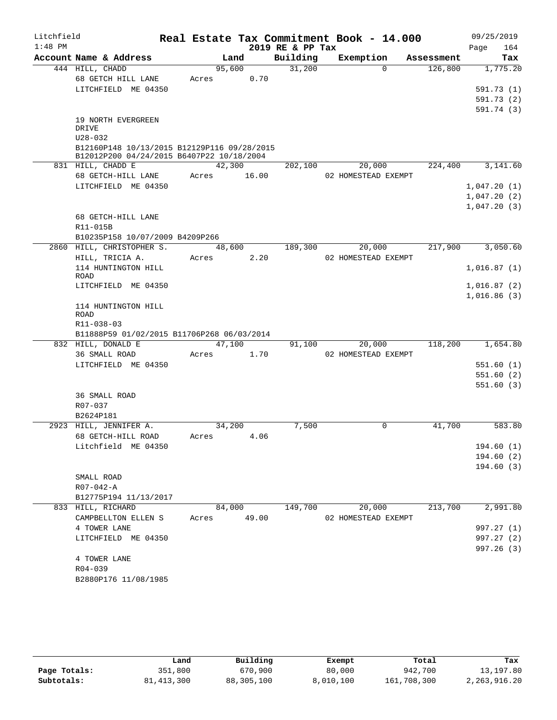| Litchfield |                                                              |       |        |       | Real Estate Tax Commitment Book - 14.000 |                     |        |            |      | 09/25/2019  |
|------------|--------------------------------------------------------------|-------|--------|-------|------------------------------------------|---------------------|--------|------------|------|-------------|
| $1:48$ PM  |                                                              |       |        |       | 2019 RE & PP Tax                         |                     |        |            | Page | 164         |
|            | Account Name & Address                                       |       | Land   |       | Building                                 | Exemption           |        | Assessment |      | Tax         |
|            | 444 HILL, CHADD                                              |       | 95,600 |       | 31,200                                   |                     | 0      | 126,800    |      | 1,775.20    |
|            | 68 GETCH HILL LANE                                           | Acres |        | 0.70  |                                          |                     |        |            |      |             |
|            | LITCHFIELD ME 04350                                          |       |        |       |                                          |                     |        |            |      | 591.73 (1)  |
|            |                                                              |       |        |       |                                          |                     |        |            |      | 591.73 (2)  |
|            | 19 NORTH EVERGREEN                                           |       |        |       |                                          |                     |        |            |      | 591.74 (3)  |
|            | DRIVE                                                        |       |        |       |                                          |                     |        |            |      |             |
|            | $U28 - 032$                                                  |       |        |       |                                          |                     |        |            |      |             |
|            | B12160P148 10/13/2015 B12129P116 09/28/2015                  |       |        |       |                                          |                     |        |            |      |             |
|            | B12012P200 04/24/2015 B6407P22 10/18/2004                    |       |        |       |                                          |                     |        |            |      |             |
|            | 831 HILL, CHADD E                                            |       | 42,300 |       | 202,100                                  |                     | 20,000 | 224,400    |      | 3,141.60    |
|            | 68 GETCH-HILL LANE                                           | Acres |        | 16.00 |                                          | 02 HOMESTEAD EXEMPT |        |            |      |             |
|            | LITCHFIELD ME 04350                                          |       |        |       |                                          |                     |        |            |      | 1,047.20(1) |
|            |                                                              |       |        |       |                                          |                     |        |            |      | 1,047.20(2) |
|            |                                                              |       |        |       |                                          |                     |        |            |      | 1,047.20(3) |
|            | 68 GETCH-HILL LANE                                           |       |        |       |                                          |                     |        |            |      |             |
|            | R11-015B                                                     |       |        |       |                                          |                     |        |            |      |             |
|            | B10235P158 10/07/2009 B4209P266<br>2860 HILL, CHRISTOPHER S. |       |        |       |                                          |                     |        | 217,900    |      | 3,050.60    |
|            | HILL, TRICIA A.                                              | Acres | 48,600 | 2.20  | 189,300                                  | 02 HOMESTEAD EXEMPT | 20,000 |            |      |             |
|            | 114 HUNTINGTON HILL                                          |       |        |       |                                          |                     |        |            |      | 1,016.87(1) |
|            | <b>ROAD</b>                                                  |       |        |       |                                          |                     |        |            |      |             |
|            | LITCHFIELD ME 04350                                          |       |        |       |                                          |                     |        |            |      | 1,016.87(2) |
|            |                                                              |       |        |       |                                          |                     |        |            |      | 1,016.86(3) |
|            | 114 HUNTINGTON HILL                                          |       |        |       |                                          |                     |        |            |      |             |
|            | ROAD                                                         |       |        |       |                                          |                     |        |            |      |             |
|            | R11-038-03                                                   |       |        |       |                                          |                     |        |            |      |             |
|            | B11888P59 01/02/2015 B11706P268 06/03/2014                   |       |        |       |                                          |                     |        |            |      |             |
|            | 832 HILL, DONALD E                                           |       | 47,100 |       | 91,100                                   |                     | 20,000 | 118,200    |      | 1,654.80    |
|            | 36 SMALL ROAD<br>LITCHFIELD ME 04350                         | Acres |        | 1.70  |                                          | 02 HOMESTEAD EXEMPT |        |            |      | 551.60(1)   |
|            |                                                              |       |        |       |                                          |                     |        |            |      | 551.60(2)   |
|            |                                                              |       |        |       |                                          |                     |        |            |      | 551.60(3)   |
|            | 36 SMALL ROAD                                                |       |        |       |                                          |                     |        |            |      |             |
|            | $R07 - 037$                                                  |       |        |       |                                          |                     |        |            |      |             |
|            | B2624P181                                                    |       |        |       |                                          |                     |        |            |      |             |
|            | 2923 HILL, JENNIFER A.                                       |       | 34,200 |       | 7,500                                    |                     | 0      | 41,700     |      | 583.80      |
|            | 68 GETCH-HILL ROAD                                           | Acres |        | 4.06  |                                          |                     |        |            |      |             |
|            | Litchfield ME 04350                                          |       |        |       |                                          |                     |        |            |      | 194.60(1)   |
|            |                                                              |       |        |       |                                          |                     |        |            |      | 194.60(2)   |
|            |                                                              |       |        |       |                                          |                     |        |            |      | 194.60(3)   |
|            | SMALL ROAD                                                   |       |        |       |                                          |                     |        |            |      |             |
|            | $R07 - 042 - A$                                              |       |        |       |                                          |                     |        |            |      |             |
|            | B12775P194 11/13/2017                                        |       |        |       |                                          |                     |        |            |      |             |
|            | 833 HILL, RICHARD                                            |       | 84,000 |       | 149,700                                  |                     | 20,000 | 213,700    |      | 2,991.80    |
|            | CAMPBELLTON ELLEN S                                          | Acres |        | 49.00 |                                          | 02 HOMESTEAD EXEMPT |        |            |      |             |
|            | 4 TOWER LANE                                                 |       |        |       |                                          |                     |        |            |      | 997.27 (1)  |
|            | LITCHFIELD ME 04350                                          |       |        |       |                                          |                     |        |            |      | 997.27 (2)  |
|            |                                                              |       |        |       |                                          |                     |        |            |      | 997.26 (3)  |
|            | 4 TOWER LANE                                                 |       |        |       |                                          |                     |        |            |      |             |
|            | R04-039                                                      |       |        |       |                                          |                     |        |            |      |             |
|            | B2880P176 11/08/1985                                         |       |        |       |                                          |                     |        |            |      |             |

|              | Land       | Building   | Exempt    | Total       | Tax          |
|--------------|------------|------------|-----------|-------------|--------------|
| Page Totals: | 351,800    | 670,900    | 80,000    | 942,700     | 13,197.80    |
| Subtotals:   | 81,413,300 | 88,305,100 | 8,010,100 | 161,708,300 | 2,263,916.20 |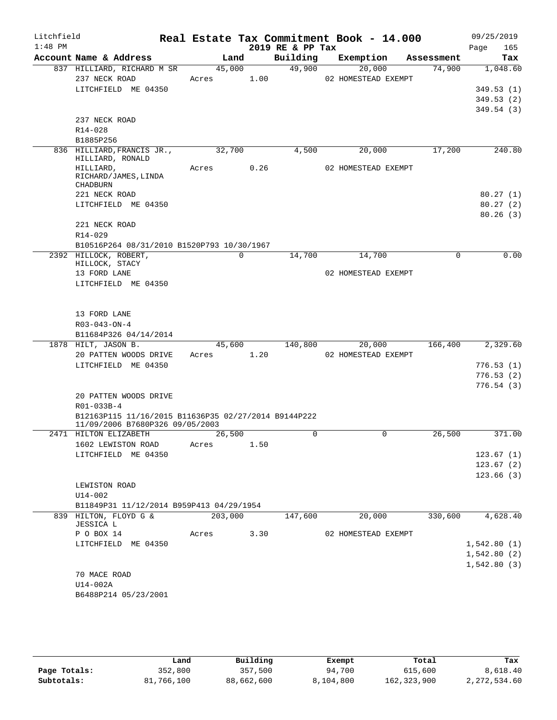| Litchfield<br>$1:48$ PM |                                                                                         |       |             |      | Real Estate Tax Commitment Book - 14.000<br>2019 RE & PP Tax |                     |            | 09/25/2019<br>Page<br>165 |
|-------------------------|-----------------------------------------------------------------------------------------|-------|-------------|------|--------------------------------------------------------------|---------------------|------------|---------------------------|
|                         | Account Name & Address                                                                  |       | Land        |      | Building                                                     | Exemption           | Assessment | Tax                       |
|                         | 837 HILLIARD, RICHARD M SR                                                              |       | 45,000      |      | 49,900                                                       | 20,000              | 74,900     | 1,048.60                  |
|                         | 237 NECK ROAD                                                                           | Acres |             | 1.00 |                                                              | 02 HOMESTEAD EXEMPT |            |                           |
|                         | LITCHFIELD ME 04350                                                                     |       |             |      |                                                              |                     |            | 349.53(1)                 |
|                         |                                                                                         |       |             |      |                                                              |                     |            | 349.53(2)                 |
|                         |                                                                                         |       |             |      |                                                              |                     |            | 349.54(3)                 |
|                         | 237 NECK ROAD                                                                           |       |             |      |                                                              |                     |            |                           |
|                         | R14-028<br>B1885P256                                                                    |       |             |      |                                                              |                     |            |                           |
|                         | 836 HILLIARD, FRANCIS JR.,                                                              |       | 32,700      |      | 4,500                                                        | 20,000              | 17,200     | 240.80                    |
|                         | HILLIARD, RONALD                                                                        |       |             |      |                                                              |                     |            |                           |
|                         | HILLIARD,                                                                               | Acres |             | 0.26 |                                                              | 02 HOMESTEAD EXEMPT |            |                           |
|                         | RICHARD/JAMES, LINDA<br>CHADBURN                                                        |       |             |      |                                                              |                     |            |                           |
|                         | 221 NECK ROAD                                                                           |       |             |      |                                                              |                     |            | 80.27(1)                  |
|                         | LITCHFIELD ME 04350                                                                     |       |             |      |                                                              |                     |            | 80.27(2)                  |
|                         |                                                                                         |       |             |      |                                                              |                     |            | 80.26(3)                  |
|                         | 221 NECK ROAD                                                                           |       |             |      |                                                              |                     |            |                           |
|                         | R14-029                                                                                 |       |             |      |                                                              |                     |            |                           |
|                         | B10516P264 08/31/2010 B1520P793 10/30/1967                                              |       |             |      |                                                              |                     |            |                           |
|                         | 2392 HILLOCK, ROBERT,                                                                   |       | $\mathbf 0$ |      | 14,700                                                       | 14,700              | 0          | 0.00                      |
|                         | HILLOCK, STACY                                                                          |       |             |      |                                                              |                     |            |                           |
|                         | 13 FORD LANE<br>LITCHFIELD ME 04350                                                     |       |             |      |                                                              | 02 HOMESTEAD EXEMPT |            |                           |
|                         |                                                                                         |       |             |      |                                                              |                     |            |                           |
|                         |                                                                                         |       |             |      |                                                              |                     |            |                           |
|                         | 13 FORD LANE                                                                            |       |             |      |                                                              |                     |            |                           |
|                         | $R03 - 043 - ON - 4$                                                                    |       |             |      |                                                              |                     |            |                           |
|                         | B11684P326 04/14/2014                                                                   |       |             |      |                                                              |                     |            |                           |
|                         | 1878 HILT, JASON B.                                                                     |       | 45,600      |      | 140,800                                                      | 20,000              | 166,400    | 2,329.60                  |
|                         | 20 PATTEN WOODS DRIVE                                                                   | Acres |             | 1.20 |                                                              | 02 HOMESTEAD EXEMPT |            |                           |
|                         | LITCHFIELD ME 04350                                                                     |       |             |      |                                                              |                     |            | 776.53(1)                 |
|                         |                                                                                         |       |             |      |                                                              |                     |            | 776.53(2)                 |
|                         |                                                                                         |       |             |      |                                                              |                     |            | 776.54(3)                 |
|                         | 20 PATTEN WOODS DRIVE                                                                   |       |             |      |                                                              |                     |            |                           |
|                         | R01-033B-4                                                                              |       |             |      |                                                              |                     |            |                           |
|                         | B12163P115 11/16/2015 B11636P35 02/27/2014 B9144P222<br>11/09/2006 B7680P326 09/05/2003 |       |             |      |                                                              |                     |            |                           |
|                         | 2471 HILTON ELIZABETH                                                                   |       | 26,500      |      | 0                                                            | $\mathbf 0$         | 26,500     | 371.00                    |
|                         | 1602 LEWISTON ROAD                                                                      | Acres |             | 1.50 |                                                              |                     |            |                           |
|                         | LITCHFIELD ME 04350                                                                     |       |             |      |                                                              |                     |            | 123.67(1)                 |
|                         |                                                                                         |       |             |      |                                                              |                     |            | 123.67(2)                 |
|                         |                                                                                         |       |             |      |                                                              |                     |            | 123.66(3)                 |
|                         | LEWISTON ROAD                                                                           |       |             |      |                                                              |                     |            |                           |
|                         | $U14-002$                                                                               |       |             |      |                                                              |                     |            |                           |
|                         | B11849P31 11/12/2014 B959P413 04/29/1954                                                |       |             |      |                                                              |                     |            |                           |
|                         | 839 HILTON, FLOYD G &<br>JESSICA L                                                      |       | 203,000     |      | 147,600                                                      | 20,000              | 330,600    | 4,628.40                  |
|                         | P O BOX 14                                                                              | Acres |             | 3.30 |                                                              | 02 HOMESTEAD EXEMPT |            |                           |
|                         | LITCHFIELD ME 04350                                                                     |       |             |      |                                                              |                     |            | 1,542.80(1)               |
|                         |                                                                                         |       |             |      |                                                              |                     |            | 1,542.80(2)               |
|                         |                                                                                         |       |             |      |                                                              |                     |            | 1,542.80(3)               |
|                         | 70 MACE ROAD                                                                            |       |             |      |                                                              |                     |            |                           |
|                         | U14-002A                                                                                |       |             |      |                                                              |                     |            |                           |
|                         | B6488P214 05/23/2001                                                                    |       |             |      |                                                              |                     |            |                           |

|              | Land       | Building   | Exempt    | Total         | Tax          |
|--------------|------------|------------|-----------|---------------|--------------|
| Page Totals: | 352,800    | 357,500    | 94,700    | 615,600       | 8,618.40     |
| Subtotals:   | 81,766,100 | 88,662,600 | 8,104,800 | 162, 323, 900 | 2,272,534.60 |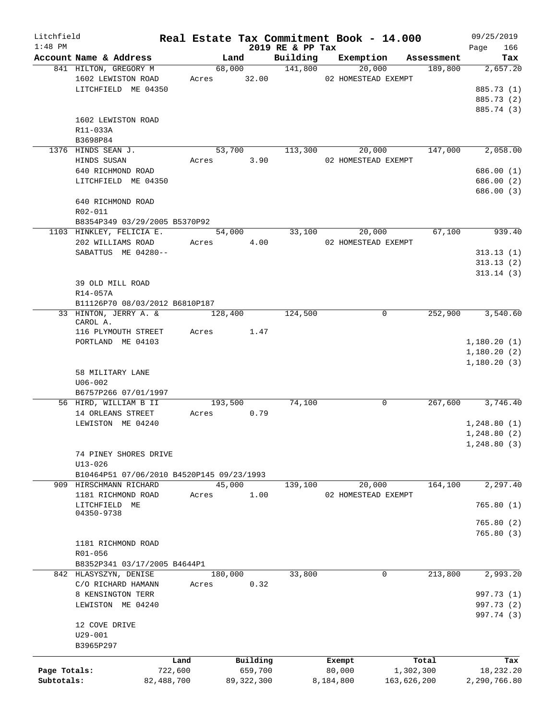| Litchfield   |                                                 |            |                       |                     | Real Estate Tax Commitment Book - 14.000 |              | 09/25/2019   |
|--------------|-------------------------------------------------|------------|-----------------------|---------------------|------------------------------------------|--------------|--------------|
| $1:48$ PM    |                                                 |            |                       | 2019 RE & PP Tax    |                                          |              | 166<br>Page  |
|              | Account Name & Address<br>841 HILTON, GREGORY M |            | Land                  | Building<br>141,800 | Exemption                                | Assessment   | Tax          |
|              | 1602 LEWISTON ROAD                              |            | 68,000<br>Acres 32.00 |                     | 20,000<br>02 HOMESTEAD EXEMPT            | 189,800      | 2,657.20     |
|              | LITCHFIELD ME 04350                             |            |                       |                     |                                          |              | 885.73 (1)   |
|              |                                                 |            |                       |                     |                                          |              | 885.73 (2)   |
|              |                                                 |            |                       |                     |                                          |              | 885.74 (3)   |
|              | 1602 LEWISTON ROAD                              |            |                       |                     |                                          |              |              |
|              | R11-033A                                        |            |                       |                     |                                          |              |              |
|              | B3698P84                                        |            |                       |                     |                                          |              |              |
|              | 1376 HINDS SEAN J.                              |            | 53,700                | 113,300             | 20,000                                   | 147,000      | 2,058.00     |
|              | HINDS SUSAN                                     | Acres      |                       | 3.90                | 02 HOMESTEAD EXEMPT                      |              |              |
|              | 640 RICHMOND ROAD                               |            |                       |                     |                                          |              | 686.00 (1)   |
|              | LITCHFIELD ME 04350                             |            |                       |                     |                                          |              | 686.00 (2)   |
|              |                                                 |            |                       |                     |                                          |              | 686.00 (3)   |
|              | 640 RICHMOND ROAD                               |            |                       |                     |                                          |              |              |
|              | R02-011                                         |            |                       |                     |                                          |              |              |
|              |                                                 |            |                       |                     |                                          |              |              |
|              | B8354P349 03/29/2005 B5370P92                   |            |                       |                     |                                          |              |              |
|              | 1103 HINKLEY, FELICIA E.                        |            | 54,000                | 33,100              | 20,000                                   | 67,100       | 939.40       |
|              | 202 WILLIAMS ROAD                               |            | Acres 4.00            |                     | 02 HOMESTEAD EXEMPT                      |              |              |
|              | SABATTUS ME 04280--                             |            |                       |                     |                                          |              | 313.13(1)    |
|              |                                                 |            |                       |                     |                                          |              | 313.13(2)    |
|              |                                                 |            |                       |                     |                                          |              | 313.14(3)    |
|              | 39 OLD MILL ROAD                                |            |                       |                     |                                          |              |              |
|              | R14-057A                                        |            |                       |                     |                                          |              |              |
|              | B11126P70 08/03/2012 B6810P187                  |            |                       |                     |                                          |              |              |
|              | 33 HINTON, JERRY A. &                           |            | 128,400               | 124,500             |                                          | 252,900<br>0 | 3,540.60     |
|              | CAROL A.<br>116 PLYMOUTH STREET                 | Acres      |                       | 1.47                |                                          |              |              |
|              | PORTLAND ME 04103                               |            |                       |                     |                                          |              | 1,180.20(1)  |
|              |                                                 |            |                       |                     |                                          |              | 1,180.20(2)  |
|              |                                                 |            |                       |                     |                                          |              |              |
|              | 58 MILITARY LANE                                |            |                       |                     |                                          |              | 1,180.20(3)  |
|              | $U06 - 002$                                     |            |                       |                     |                                          |              |              |
|              | B6757P266 07/01/1997                            |            |                       |                     |                                          |              |              |
|              | 56 HIRD, WILLIAM B II                           |            | 193,500               | 74,100              |                                          | 0<br>267,600 | 3,746.40     |
|              | 14 ORLEANS STREET                               | Acres      | 0.79                  |                     |                                          |              |              |
|              | LEWISTON ME 04240                               |            |                       |                     |                                          |              |              |
|              |                                                 |            |                       |                     |                                          |              | 1,248.80(1)  |
|              |                                                 |            |                       |                     |                                          |              | 1, 248.80(2) |
|              |                                                 |            |                       |                     |                                          |              | 1, 248.80(3) |
|              | 74 PINEY SHORES DRIVE                           |            |                       |                     |                                          |              |              |
|              | $U13 - 026$                                     |            |                       |                     |                                          |              |              |
|              | B10464P51 07/06/2010 B4520P145 09/23/1993       |            |                       |                     |                                          |              |              |
|              | 909 HIRSCHMANN RICHARD                          |            | 45,000                | 139,100             | 20,000                                   | 164,100      | 2,297.40     |
|              | 1181 RICHMOND ROAD                              | Acres      |                       | 1.00                | 02 HOMESTEAD EXEMPT                      |              |              |
|              | LITCHFIELD ME<br>04350-9738                     |            |                       |                     |                                          |              | 765.80(1)    |
|              |                                                 |            |                       |                     |                                          |              | 765.80 (2)   |
|              |                                                 |            |                       |                     |                                          |              | 765.80(3)    |
|              | 1181 RICHMOND ROAD                              |            |                       |                     |                                          |              |              |
|              | R01-056                                         |            |                       |                     |                                          |              |              |
|              | B8352P341 03/17/2005 B4644P1                    |            |                       |                     |                                          |              |              |
|              | 842 HLASYSZYN, DENISE                           |            | 180,000               | 33,800              |                                          | 213,800<br>0 | 2,993.20     |
|              | C/O RICHARD HAMANN                              | Acres      |                       | 0.32                |                                          |              |              |
|              | 8 KENSINGTON TERR                               |            |                       |                     |                                          |              | 997.73 (1)   |
|              | LEWISTON ME 04240                               |            |                       |                     |                                          |              | 997.73 (2)   |
|              |                                                 |            |                       |                     |                                          |              | 997.74 (3)   |
|              | 12 COVE DRIVE                                   |            |                       |                     |                                          |              |              |
|              | $U29 - 001$                                     |            |                       |                     |                                          |              |              |
|              | B3965P297                                       |            |                       |                     |                                          |              |              |
|              |                                                 |            |                       |                     |                                          |              |              |
|              |                                                 | Land       | Building              |                     | Exempt                                   | Total        | Tax          |
| Page Totals: |                                                 | 722,600    | 659,700               |                     | 80,000                                   | 1,302,300    | 18,232.20    |
| Subtotals:   |                                                 | 82,488,700 | 89, 322, 300          |                     | 8,184,800                                | 163,626,200  | 2,290,766.80 |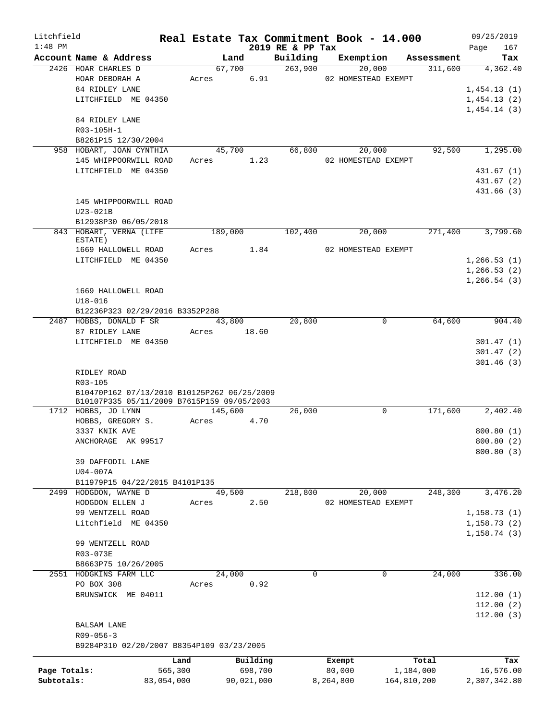| Litchfield   |                                                                   | Real Estate Tax Commitment Book - 14.000 |               |                  |                     |                |            | 09/25/2019   |            |
|--------------|-------------------------------------------------------------------|------------------------------------------|---------------|------------------|---------------------|----------------|------------|--------------|------------|
| $1:48$ PM    | Account Name & Address                                            |                                          | Land          | 2019 RE & PP Tax | Building Exemption  |                | Assessment | Page         | 167<br>Tax |
|              | 2426 HOAR CHARLES D                                               |                                          | 67,700        | 263,900          | 20,000              |                | 311,600    | 4,362.40     |            |
|              | HOAR DEBORAH A                                                    |                                          | 6.91<br>Acres |                  | 02 HOMESTEAD EXEMPT |                |            |              |            |
|              | 84 RIDLEY LANE                                                    |                                          |               |                  |                     |                |            | 1,454.13(1)  |            |
|              | LITCHFIELD ME 04350                                               |                                          |               |                  |                     |                |            | 1,454.13(2)  |            |
|              |                                                                   |                                          |               |                  |                     |                |            | 1,454.14(3)  |            |
|              | 84 RIDLEY LANE                                                    |                                          |               |                  |                     |                |            |              |            |
|              | R03-105H-1                                                        |                                          |               |                  |                     |                |            |              |            |
|              | B8261P15 12/30/2004                                               |                                          |               |                  |                     |                |            |              |            |
|              | 958 HOBART, JOAN CYNTHIA                                          |                                          | 45,700        | 66,800           |                     | 20,000         | 92,500     | 1,295.00     |            |
|              | 145 WHIPPOORWILL ROAD                                             |                                          | Acres 1.23    |                  | 02 HOMESTEAD EXEMPT |                |            |              |            |
|              | LITCHFIELD ME 04350                                               |                                          |               |                  |                     |                |            | 431.67 (1)   |            |
|              |                                                                   |                                          |               |                  |                     |                |            | 431.67 (2)   |            |
|              |                                                                   |                                          |               |                  |                     |                |            | 431.66 (3)   |            |
|              | 145 WHIPPOORWILL ROAD                                             |                                          |               |                  |                     |                |            |              |            |
|              | $U23-021B$                                                        |                                          |               |                  |                     |                |            |              |            |
|              | B12938P30 06/05/2018                                              |                                          |               |                  |                     |                |            |              |            |
|              | 843 HOBART, VERNA (LIFE                                           |                                          | 189,000       | 102,400          | 20,000              |                | 271,400    | 3,799.60     |            |
|              | ESTATE)                                                           |                                          |               |                  |                     |                |            |              |            |
|              | 1669 HALLOWELL ROAD                                               |                                          | Acres 1.84    |                  | 02 HOMESTEAD EXEMPT |                |            |              |            |
|              | LITCHFIELD ME 04350                                               |                                          |               |                  |                     |                |            | 1,266.53(1)  |            |
|              |                                                                   |                                          |               |                  |                     |                |            | 1,266.53(2)  |            |
|              |                                                                   |                                          |               |                  |                     |                |            | 1,266.54(3)  |            |
|              | 1669 HALLOWELL ROAD                                               |                                          |               |                  |                     |                |            |              |            |
|              | $U18 - 016$                                                       |                                          |               |                  |                     |                |            |              |            |
|              | B12236P323 02/29/2016 B3352P288                                   |                                          |               |                  |                     |                |            |              |            |
|              | 2487 HOBBS, DONALD F SR                                           |                                          | 43,800        | 20,800           |                     | $\overline{0}$ | 64,600     | 904.40       |            |
|              | 87 RIDLEY LANE                                                    | Acres                                    | 18.60         |                  |                     |                |            |              |            |
|              | LITCHFIELD ME 04350                                               |                                          |               |                  |                     |                |            | 301.47(1)    |            |
|              |                                                                   |                                          |               |                  |                     |                |            | 301.47(2)    |            |
|              |                                                                   |                                          |               |                  |                     |                |            | 301.46(3)    |            |
|              | RIDLEY ROAD                                                       |                                          |               |                  |                     |                |            |              |            |
|              | R03-105                                                           |                                          |               |                  |                     |                |            |              |            |
|              | B10470P162 07/13/2010 B10125P262 06/25/2009                       |                                          |               |                  |                     |                |            |              |            |
|              | B10107P335 05/11/2009 B7615P159 09/05/2003<br>1712 HOBBS, JO LYNN |                                          | 145,600       | 26,000           |                     | $\mathbf 0$    | 171,600    | 2,402.40     |            |
|              | HOBBS, GREGORY S.                                                 |                                          | Acres<br>4.70 |                  |                     |                |            |              |            |
|              | 3337 KNIK AVE                                                     |                                          |               |                  |                     |                |            | 800.80(1)    |            |
|              | ANCHORAGE AK 99517                                                |                                          |               |                  |                     |                |            | 800.80(2)    |            |
|              |                                                                   |                                          |               |                  |                     |                |            | 800.80 (3)   |            |
|              | 39 DAFFODIL LANE                                                  |                                          |               |                  |                     |                |            |              |            |
|              | $U04-007A$                                                        |                                          |               |                  |                     |                |            |              |            |
|              | B11979P15 04/22/2015 B4101P135                                    |                                          |               |                  |                     |                |            |              |            |
| 2499         | HODGDON, WAYNE D                                                  |                                          | 49,500        | 218,800          | 20,000              |                | 248,300    | 3,476.20     |            |
|              | HODGDON ELLEN J                                                   | Acres                                    | 2.50          |                  | 02 HOMESTEAD EXEMPT |                |            |              |            |
|              | 99 WENTZELL ROAD                                                  |                                          |               |                  |                     |                |            | 1,158.73(1)  |            |
|              | Litchfield ME 04350                                               |                                          |               |                  |                     |                |            | 1, 158.73(2) |            |
|              |                                                                   |                                          |               |                  |                     |                |            | 1, 158.74(3) |            |
|              | 99 WENTZELL ROAD                                                  |                                          |               |                  |                     |                |            |              |            |
|              | R03-073E                                                          |                                          |               |                  |                     |                |            |              |            |
|              | B8663P75 10/26/2005                                               |                                          |               |                  |                     |                |            |              |            |
|              | 2551 HODGKINS FARM LLC                                            |                                          | 24,000        | $\mathbf 0$      |                     | 0              | 24,000     | 336.00       |            |
|              | PO BOX 308                                                        | Acres                                    | 0.92          |                  |                     |                |            |              |            |
|              | BRUNSWICK ME 04011                                                |                                          |               |                  |                     |                |            | 112.00(1)    |            |
|              |                                                                   |                                          |               |                  |                     |                |            | 112.00(2)    |            |
|              |                                                                   |                                          |               |                  |                     |                |            | 112.00(3)    |            |
|              | BALSAM LANE                                                       |                                          |               |                  |                     |                |            |              |            |
|              | $R09 - 056 - 3$                                                   |                                          |               |                  |                     |                |            |              |            |
|              | B9284P310 02/20/2007 B8354P109 03/23/2005                         |                                          |               |                  |                     |                |            |              |            |
|              |                                                                   |                                          |               |                  |                     |                |            |              |            |
|              |                                                                   | Land                                     | Building      |                  | Exempt              |                | Total      |              | Tax        |
| Page Totals: |                                                                   | 565,300                                  | 698,700       |                  | 80,000              | 1,184,000      |            | 16,576.00    |            |
| Subtotals:   |                                                                   | 83,054,000                               | 90,021,000    |                  | 8,264,800           | 164,810,200    |            | 2,307,342.80 |            |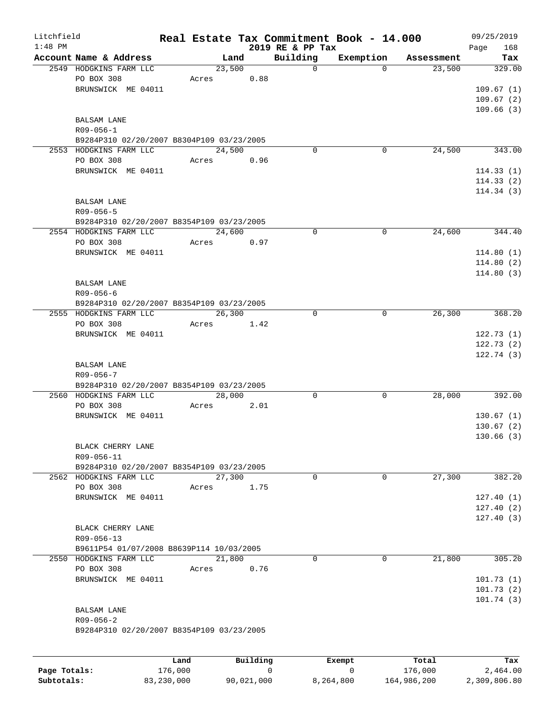| Litchfield<br>$1:48$ PM |                                           |       |          |      | Real Estate Tax Commitment Book - 14.000<br>2019 RE & PP Tax |             |            | 09/25/2019<br>168<br>Page |
|-------------------------|-------------------------------------------|-------|----------|------|--------------------------------------------------------------|-------------|------------|---------------------------|
|                         | Account Name & Address                    |       | Land     |      | Building                                                     | Exemption   | Assessment | Tax                       |
|                         | 2549 HODGKINS FARM LLC                    |       | 23,500   |      | $\mathbf 0$                                                  | $\Omega$    | 23,500     | 329.00                    |
|                         | PO BOX 308                                | Acres |          | 0.88 |                                                              |             |            |                           |
|                         | BRUNSWICK ME 04011                        |       |          |      |                                                              |             |            | 109.67(1)                 |
|                         |                                           |       |          |      |                                                              |             |            | 109.67(2)                 |
|                         |                                           |       |          |      |                                                              |             |            | 109.66(3)                 |
|                         | BALSAM LANE                               |       |          |      |                                                              |             |            |                           |
|                         | $R09 - 056 - 1$                           |       |          |      |                                                              |             |            |                           |
|                         | B9284P310 02/20/2007 B8304P109 03/23/2005 |       |          |      |                                                              |             |            |                           |
|                         | 2553 HODGKINS FARM LLC                    |       | 24,500   |      | 0                                                            | 0           | 24,500     | 343.00                    |
|                         | PO BOX 308                                | Acres |          | 0.96 |                                                              |             |            |                           |
|                         | BRUNSWICK ME 04011                        |       |          |      |                                                              |             |            | 114.33(1)                 |
|                         |                                           |       |          |      |                                                              |             |            | 114.33(2)                 |
|                         |                                           |       |          |      |                                                              |             |            | 114.34(3)                 |
|                         | BALSAM LANE                               |       |          |      |                                                              |             |            |                           |
|                         | R09-056-5                                 |       |          |      |                                                              |             |            |                           |
|                         | B9284P310 02/20/2007 B8354P109 03/23/2005 |       |          |      |                                                              |             |            |                           |
|                         | 2554 HODGKINS FARM LLC                    |       | 24,600   |      | 0                                                            | $\mathbf 0$ | 24,600     | 344.40                    |
|                         | PO BOX 308                                | Acres |          | 0.97 |                                                              |             |            |                           |
|                         | BRUNSWICK ME 04011                        |       |          |      |                                                              |             |            | 114.80(1)                 |
|                         |                                           |       |          |      |                                                              |             |            | 114.80(2)                 |
|                         |                                           |       |          |      |                                                              |             |            | 114.80(3)                 |
|                         | <b>BALSAM LANE</b>                        |       |          |      |                                                              |             |            |                           |
|                         | $R09 - 056 - 6$                           |       |          |      |                                                              |             |            |                           |
|                         | B9284P310 02/20/2007 B8354P109 03/23/2005 |       |          |      |                                                              |             |            |                           |
|                         | 2555 HODGKINS FARM LLC                    |       | 26,300   |      | $\mathbf 0$                                                  | $\mathbf 0$ | 26,300     | 368.20                    |
|                         | PO BOX 308                                | Acres |          | 1.42 |                                                              |             |            |                           |
|                         | BRUNSWICK ME 04011                        |       |          |      |                                                              |             |            | 122.73(1)                 |
|                         |                                           |       |          |      |                                                              |             |            | 122.73(2)                 |
|                         |                                           |       |          |      |                                                              |             |            | 122.74(3)                 |
|                         | <b>BALSAM LANE</b>                        |       |          |      |                                                              |             |            |                           |
|                         | $R09 - 056 - 7$                           |       |          |      |                                                              |             |            |                           |
|                         | B9284P310 02/20/2007 B8354P109 03/23/2005 |       |          |      |                                                              |             |            |                           |
|                         | 2560 HODGKINS FARM LLC                    |       | 28,000   |      | 0                                                            | 0           | 28,000     | 392.00                    |
|                         | PO BOX 308                                | Acres |          | 2.01 |                                                              |             |            |                           |
|                         | BRUNSWICK ME 04011                        |       |          |      |                                                              |             |            | 130.67(1)                 |
|                         |                                           |       |          |      |                                                              |             |            | 130.67(2)                 |
|                         |                                           |       |          |      |                                                              |             |            | 130.66(3)                 |
|                         | BLACK CHERRY LANE                         |       |          |      |                                                              |             |            |                           |
|                         | R09-056-11                                |       |          |      |                                                              |             |            |                           |
|                         | B9284P310 02/20/2007 B8354P109 03/23/2005 |       |          |      |                                                              |             |            |                           |
|                         | 2562 HODGKINS FARM LLC                    |       | 27,300   |      | 0                                                            | 0           | 27,300     | 382.20                    |
|                         | PO BOX 308                                | Acres |          | 1.75 |                                                              |             |            |                           |
|                         | BRUNSWICK ME 04011                        |       |          |      |                                                              |             |            | 127.40(1)                 |
|                         |                                           |       |          |      |                                                              |             |            | 127.40(2)                 |
|                         |                                           |       |          |      |                                                              |             |            | 127.40(3)                 |
|                         | BLACK CHERRY LANE                         |       |          |      |                                                              |             |            |                           |
|                         | R09-056-13                                |       |          |      |                                                              |             |            |                           |
|                         | B9611P54 01/07/2008 B8639P114 10/03/2005  |       |          |      |                                                              |             |            |                           |
|                         | 2550 HODGKINS FARM LLC                    |       | 21,800   |      | 0                                                            | $\Omega$    | 21,800     | 305.20                    |
|                         | PO BOX 308                                | Acres |          | 0.76 |                                                              |             |            |                           |
|                         | BRUNSWICK ME 04011                        |       |          |      |                                                              |             |            | 101.73(1)                 |
|                         |                                           |       |          |      |                                                              |             |            | 101.73(2)                 |
|                         |                                           |       |          |      |                                                              |             |            | 101.74(3)                 |
|                         | BALSAM LANE                               |       |          |      |                                                              |             |            |                           |
|                         | $R09 - 056 - 2$                           |       |          |      |                                                              |             |            |                           |
|                         | B9284P310 02/20/2007 B8354P109 03/23/2005 |       |          |      |                                                              |             |            |                           |
|                         |                                           |       |          |      |                                                              |             |            |                           |
|                         |                                           |       |          |      |                                                              |             |            |                           |
|                         |                                           | Land  | Building |      | Exempt                                                       |             | Total      | Tax                       |

|              | Land       | Building   | Exempt    | Total       | Tax          |
|--------------|------------|------------|-----------|-------------|--------------|
| Page Totals: | 176.000    |            |           | 176,000     | 2,464.00     |
| Subtotals:   | 83,230,000 | 90,021,000 | 8,264,800 | 164,986,200 | 2,309,806.80 |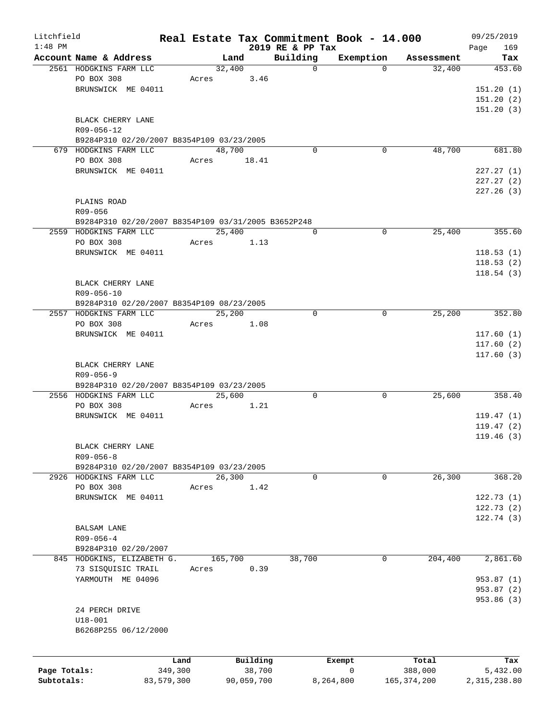| Litchfield   |                                                     |            |         |            | Real Estate Tax Commitment Book - 14.000 |             |               | 09/25/2019         |
|--------------|-----------------------------------------------------|------------|---------|------------|------------------------------------------|-------------|---------------|--------------------|
| $1:48$ PM    | Account Name & Address                              |            | Land    |            | 2019 RE & PP Tax<br>Building             | Exemption   | Assessment    | 169<br>Page<br>Tax |
|              | 2561 HODGKINS FARM LLC                              |            | 32,400  |            | $\mathbf 0$                              | $\Omega$    | 32,400        | 453.60             |
|              | PO BOX 308                                          |            | Acres   | 3.46       |                                          |             |               |                    |
|              | BRUNSWICK ME 04011                                  |            |         |            |                                          |             |               | 151.20(1)          |
|              |                                                     |            |         |            |                                          |             |               | 151.20(2)          |
|              |                                                     |            |         |            |                                          |             |               | 151.20(3)          |
|              | BLACK CHERRY LANE                                   |            |         |            |                                          |             |               |                    |
|              | R09-056-12                                          |            |         |            |                                          |             |               |                    |
|              | B9284P310 02/20/2007 B8354P109 03/23/2005           |            |         |            |                                          |             |               |                    |
|              | 679 HODGKINS FARM LLC                               |            | 48,700  |            | $\Omega$                                 | 0           | 48,700        | 681.80             |
|              | PO BOX 308                                          | Acres      |         | 18.41      |                                          |             |               |                    |
|              | BRUNSWICK ME 04011                                  |            |         |            |                                          |             |               | 227.27(1)          |
|              |                                                     |            |         |            |                                          |             |               | 227.27(2)          |
|              |                                                     |            |         |            |                                          |             |               | 227.26 (3)         |
|              | PLAINS ROAD                                         |            |         |            |                                          |             |               |                    |
|              |                                                     |            |         |            |                                          |             |               |                    |
|              | R09-056                                             |            |         |            |                                          |             |               |                    |
|              | B9284P310 02/20/2007 B8354P109 03/31/2005 B3652P248 |            |         |            |                                          |             |               |                    |
|              | 2559 HODGKINS FARM LLC                              |            | 25,400  |            | 0                                        | 0           | 25,400        | 355.60             |
|              | PO BOX 308                                          |            | Acres   | 1.13       |                                          |             |               |                    |
|              | BRUNSWICK ME 04011                                  |            |         |            |                                          |             |               | 118.53(1)          |
|              |                                                     |            |         |            |                                          |             |               | 118.53(2)          |
|              |                                                     |            |         |            |                                          |             |               | 118.54(3)          |
|              | BLACK CHERRY LANE                                   |            |         |            |                                          |             |               |                    |
|              | R09-056-10                                          |            |         |            |                                          |             |               |                    |
|              | B9284P310 02/20/2007 B8354P109 08/23/2005           |            |         |            |                                          |             |               |                    |
|              | 2557 HODGKINS FARM LLC                              |            | 25,200  |            | $\Omega$                                 | 0           | 25,200        | 352.80             |
|              | PO BOX 308                                          | Acres      |         | 1.08       |                                          |             |               |                    |
|              | BRUNSWICK ME 04011                                  |            |         |            |                                          |             |               | 117.60(1)          |
|              |                                                     |            |         |            |                                          |             |               | 117.60(2)          |
|              |                                                     |            |         |            |                                          |             |               | 117.60(3)          |
|              | BLACK CHERRY LANE                                   |            |         |            |                                          |             |               |                    |
|              | $R09 - 056 - 9$                                     |            |         |            |                                          |             |               |                    |
|              | B9284P310 02/20/2007 B8354P109 03/23/2005           |            |         |            |                                          |             |               |                    |
|              | 2556 HODGKINS FARM LLC                              |            | 25,600  |            | 0                                        | 0           | 25,600        | 358.40             |
|              | PO BOX 308                                          | Acres      |         | 1.21       |                                          |             |               |                    |
|              | BRUNSWICK ME 04011                                  |            |         |            |                                          |             |               | 119.47(1)          |
|              |                                                     |            |         |            |                                          |             |               | 119.47(2)          |
|              |                                                     |            |         |            |                                          |             |               | 119.46(3)          |
|              | BLACK CHERRY LANE                                   |            |         |            |                                          |             |               |                    |
|              | $R09 - 056 - 8$                                     |            |         |            |                                          |             |               |                    |
|              | B9284P310 02/20/2007 B8354P109 03/23/2005           |            |         |            |                                          |             |               |                    |
|              | 2926 HODGKINS FARM LLC                              |            | 26,300  |            | 0                                        | 0           | 26,300        | 368.20             |
|              | PO BOX 308                                          | Acres      |         | 1.42       |                                          |             |               |                    |
|              | BRUNSWICK ME 04011                                  |            |         |            |                                          |             |               | 122.73(1)          |
|              |                                                     |            |         |            |                                          |             |               | 122.73(2)          |
|              |                                                     |            |         |            |                                          |             |               | 122.74(3)          |
|              | BALSAM LANE                                         |            |         |            |                                          |             |               |                    |
|              | $R09 - 056 - 4$                                     |            |         |            |                                          |             |               |                    |
|              | B9284P310 02/20/2007                                |            |         |            |                                          |             |               |                    |
|              | 845 HODGKINS, ELIZABETH G.                          |            | 165,700 |            | 38,700                                   | 0           | 204,400       | 2,861.60           |
|              | 73 SISQUISIC TRAIL                                  | Acres      |         | 0.39       |                                          |             |               |                    |
|              | YARMOUTH ME 04096                                   |            |         |            |                                          |             |               | 953.87 (1)         |
|              |                                                     |            |         |            |                                          |             |               | 953.87 (2)         |
|              |                                                     |            |         |            |                                          |             |               | 953.86 (3)         |
|              | 24 PERCH DRIVE                                      |            |         |            |                                          |             |               |                    |
|              | $U18 - 001$                                         |            |         |            |                                          |             |               |                    |
|              | B6268P255 06/12/2000                                |            |         |            |                                          |             |               |                    |
|              |                                                     |            |         |            |                                          |             |               |                    |
|              |                                                     | Land       |         | Building   | Exempt                                   |             | Total         | Tax                |
| Page Totals: |                                                     | 349,300    |         | 38,700     |                                          | $\mathbf 0$ | 388,000       | 5,432.00           |
| Subtotals:   |                                                     | 83,579,300 |         | 90,059,700 | 8,264,800                                |             | 165, 374, 200 | 2,315,238.80       |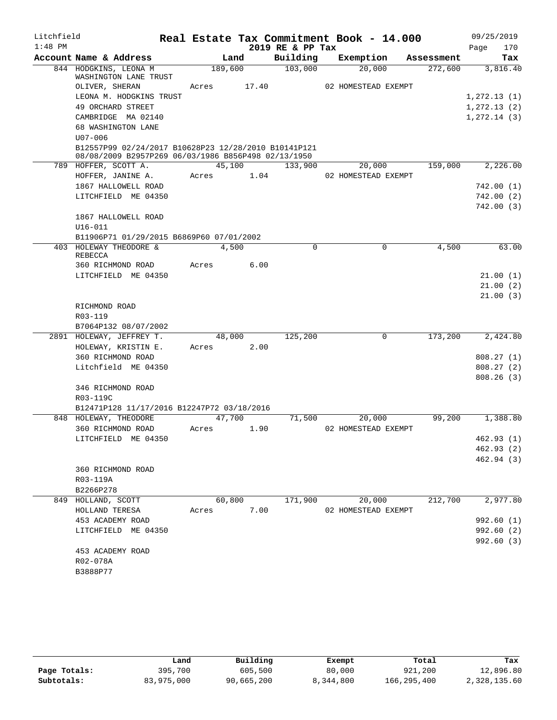| 2019 RE & PP Tax<br>170<br>Page<br>Account Name & Address<br>Building<br>Exemption<br>Land<br>Tax<br>Assessment<br>189,600<br>103,000<br>844 HODGKINS, LEONA M<br>20,000<br>272,600<br>3,816.40<br>WASHINGTON LANE TRUST<br>OLIVER, SHERAN<br>17.40<br>02 HOMESTEAD EXEMPT<br>Acres<br>LEONA M. HODGKINS TRUST<br>49 ORCHARD STREET<br>CAMBRIDGE MA 02140<br>68 WASHINGTON LANE<br>$U07 - 006$<br>B12557P99 02/24/2017 B10628P23 12/28/2010 B10141P121<br>08/08/2009 B2957P269 06/03/1986 B856P498 02/13/1950<br>45,100<br>133,900<br>159,000<br>789 HOFFER, SCOTT A.<br>20,000<br>1.04<br>HOFFER, JANINE A.<br>Acres<br>02 HOMESTEAD EXEMPT<br>1867 HALLOWELL ROAD<br>LITCHFIELD ME 04350<br>1867 HALLOWELL ROAD<br>$U16 - 011$<br>B11906P71 01/29/2015 B6869P60 07/01/2002<br>4,500<br>403 HOLEWAY THEODORE &<br>4,500<br>$\Omega$<br>$\mathbf 0$<br>REBECCA<br>6.00<br>360 RICHMOND ROAD<br>Acres<br>LITCHFIELD ME 04350<br>RICHMOND ROAD<br>R03-119<br>B7064P132 08/07/2002<br>$\mathsf{O}$<br>173,200<br>2891 HOLEWAY, JEFFREY T.<br>48,000<br>125,200<br>HOLEWAY, KRISTIN E.<br>2.00<br>Acres<br>360 RICHMOND ROAD<br>Litchfield ME 04350<br>346 RICHMOND ROAD<br>R03-119C<br>B12471P128 11/17/2016 B12247P72 03/18/2016<br>848 HOLEWAY, THEODORE<br>47,700<br>71,500<br>20,000<br>99,200<br>360 RICHMOND ROAD<br>1.90<br>02 HOMESTEAD EXEMPT<br>Acres<br>LITCHFIELD ME 04350<br>360 RICHMOND ROAD<br>R03-119A<br>B2266P278<br>60,800<br>171,900<br>212,700<br>849 HOLLAND, SCOTT<br>20,000<br>7.00<br>HOLLAND TERESA<br>02 HOMESTEAD EXEMPT<br>Acres<br>453 ACADEMY ROAD<br>LITCHFIELD ME 04350<br>453 ACADEMY ROAD<br>R02-078A<br>B3888P77 | Litchfield |  |  | Real Estate Tax Commitment Book - 14.000 | 09/25/2019 |
|----------------------------------------------------------------------------------------------------------------------------------------------------------------------------------------------------------------------------------------------------------------------------------------------------------------------------------------------------------------------------------------------------------------------------------------------------------------------------------------------------------------------------------------------------------------------------------------------------------------------------------------------------------------------------------------------------------------------------------------------------------------------------------------------------------------------------------------------------------------------------------------------------------------------------------------------------------------------------------------------------------------------------------------------------------------------------------------------------------------------------------------------------------------------------------------------------------------------------------------------------------------------------------------------------------------------------------------------------------------------------------------------------------------------------------------------------------------------------------------------------------------------------------------------------------------------------------------------------------------------------------------------------|------------|--|--|------------------------------------------|------------|
|                                                                                                                                                                                                                                                                                                                                                                                                                                                                                                                                                                                                                                                                                                                                                                                                                                                                                                                                                                                                                                                                                                                                                                                                                                                                                                                                                                                                                                                                                                                                                                                                                                                    | $1:48$ PM  |  |  |                                          |            |
| 1, 272.13(1)<br>1, 272.13(2)<br>1, 272.14(3)<br>2,226.00<br>742.00 (1)<br>742.00 (2)<br>742.00 (3)<br>63.00<br>21.00(1)<br>21.00(2)<br>21.00(3)<br>2,424.80<br>808.27(1)<br>808.27(2)<br>808.26(3)<br>1,388.80<br>462.93 (1)<br>462.93(2)<br>462.94 (3)<br>2,977.80<br>992.60 (1)<br>992.60 (2)<br>992.60 (3)                                                                                                                                                                                                                                                                                                                                                                                                                                                                                                                                                                                                                                                                                                                                                                                                                                                                                                                                                                                                                                                                                                                                                                                                                                                                                                                                      |            |  |  |                                          |            |
|                                                                                                                                                                                                                                                                                                                                                                                                                                                                                                                                                                                                                                                                                                                                                                                                                                                                                                                                                                                                                                                                                                                                                                                                                                                                                                                                                                                                                                                                                                                                                                                                                                                    |            |  |  |                                          |            |
|                                                                                                                                                                                                                                                                                                                                                                                                                                                                                                                                                                                                                                                                                                                                                                                                                                                                                                                                                                                                                                                                                                                                                                                                                                                                                                                                                                                                                                                                                                                                                                                                                                                    |            |  |  |                                          |            |
|                                                                                                                                                                                                                                                                                                                                                                                                                                                                                                                                                                                                                                                                                                                                                                                                                                                                                                                                                                                                                                                                                                                                                                                                                                                                                                                                                                                                                                                                                                                                                                                                                                                    |            |  |  |                                          |            |
|                                                                                                                                                                                                                                                                                                                                                                                                                                                                                                                                                                                                                                                                                                                                                                                                                                                                                                                                                                                                                                                                                                                                                                                                                                                                                                                                                                                                                                                                                                                                                                                                                                                    |            |  |  |                                          |            |
|                                                                                                                                                                                                                                                                                                                                                                                                                                                                                                                                                                                                                                                                                                                                                                                                                                                                                                                                                                                                                                                                                                                                                                                                                                                                                                                                                                                                                                                                                                                                                                                                                                                    |            |  |  |                                          |            |
|                                                                                                                                                                                                                                                                                                                                                                                                                                                                                                                                                                                                                                                                                                                                                                                                                                                                                                                                                                                                                                                                                                                                                                                                                                                                                                                                                                                                                                                                                                                                                                                                                                                    |            |  |  |                                          |            |
|                                                                                                                                                                                                                                                                                                                                                                                                                                                                                                                                                                                                                                                                                                                                                                                                                                                                                                                                                                                                                                                                                                                                                                                                                                                                                                                                                                                                                                                                                                                                                                                                                                                    |            |  |  |                                          |            |
|                                                                                                                                                                                                                                                                                                                                                                                                                                                                                                                                                                                                                                                                                                                                                                                                                                                                                                                                                                                                                                                                                                                                                                                                                                                                                                                                                                                                                                                                                                                                                                                                                                                    |            |  |  |                                          |            |
|                                                                                                                                                                                                                                                                                                                                                                                                                                                                                                                                                                                                                                                                                                                                                                                                                                                                                                                                                                                                                                                                                                                                                                                                                                                                                                                                                                                                                                                                                                                                                                                                                                                    |            |  |  |                                          |            |
|                                                                                                                                                                                                                                                                                                                                                                                                                                                                                                                                                                                                                                                                                                                                                                                                                                                                                                                                                                                                                                                                                                                                                                                                                                                                                                                                                                                                                                                                                                                                                                                                                                                    |            |  |  |                                          |            |
|                                                                                                                                                                                                                                                                                                                                                                                                                                                                                                                                                                                                                                                                                                                                                                                                                                                                                                                                                                                                                                                                                                                                                                                                                                                                                                                                                                                                                                                                                                                                                                                                                                                    |            |  |  |                                          |            |
|                                                                                                                                                                                                                                                                                                                                                                                                                                                                                                                                                                                                                                                                                                                                                                                                                                                                                                                                                                                                                                                                                                                                                                                                                                                                                                                                                                                                                                                                                                                                                                                                                                                    |            |  |  |                                          |            |
|                                                                                                                                                                                                                                                                                                                                                                                                                                                                                                                                                                                                                                                                                                                                                                                                                                                                                                                                                                                                                                                                                                                                                                                                                                                                                                                                                                                                                                                                                                                                                                                                                                                    |            |  |  |                                          |            |
|                                                                                                                                                                                                                                                                                                                                                                                                                                                                                                                                                                                                                                                                                                                                                                                                                                                                                                                                                                                                                                                                                                                                                                                                                                                                                                                                                                                                                                                                                                                                                                                                                                                    |            |  |  |                                          |            |
|                                                                                                                                                                                                                                                                                                                                                                                                                                                                                                                                                                                                                                                                                                                                                                                                                                                                                                                                                                                                                                                                                                                                                                                                                                                                                                                                                                                                                                                                                                                                                                                                                                                    |            |  |  |                                          |            |
|                                                                                                                                                                                                                                                                                                                                                                                                                                                                                                                                                                                                                                                                                                                                                                                                                                                                                                                                                                                                                                                                                                                                                                                                                                                                                                                                                                                                                                                                                                                                                                                                                                                    |            |  |  |                                          |            |
|                                                                                                                                                                                                                                                                                                                                                                                                                                                                                                                                                                                                                                                                                                                                                                                                                                                                                                                                                                                                                                                                                                                                                                                                                                                                                                                                                                                                                                                                                                                                                                                                                                                    |            |  |  |                                          |            |
|                                                                                                                                                                                                                                                                                                                                                                                                                                                                                                                                                                                                                                                                                                                                                                                                                                                                                                                                                                                                                                                                                                                                                                                                                                                                                                                                                                                                                                                                                                                                                                                                                                                    |            |  |  |                                          |            |
|                                                                                                                                                                                                                                                                                                                                                                                                                                                                                                                                                                                                                                                                                                                                                                                                                                                                                                                                                                                                                                                                                                                                                                                                                                                                                                                                                                                                                                                                                                                                                                                                                                                    |            |  |  |                                          |            |
|                                                                                                                                                                                                                                                                                                                                                                                                                                                                                                                                                                                                                                                                                                                                                                                                                                                                                                                                                                                                                                                                                                                                                                                                                                                                                                                                                                                                                                                                                                                                                                                                                                                    |            |  |  |                                          |            |
|                                                                                                                                                                                                                                                                                                                                                                                                                                                                                                                                                                                                                                                                                                                                                                                                                                                                                                                                                                                                                                                                                                                                                                                                                                                                                                                                                                                                                                                                                                                                                                                                                                                    |            |  |  |                                          |            |
|                                                                                                                                                                                                                                                                                                                                                                                                                                                                                                                                                                                                                                                                                                                                                                                                                                                                                                                                                                                                                                                                                                                                                                                                                                                                                                                                                                                                                                                                                                                                                                                                                                                    |            |  |  |                                          |            |
|                                                                                                                                                                                                                                                                                                                                                                                                                                                                                                                                                                                                                                                                                                                                                                                                                                                                                                                                                                                                                                                                                                                                                                                                                                                                                                                                                                                                                                                                                                                                                                                                                                                    |            |  |  |                                          |            |
|                                                                                                                                                                                                                                                                                                                                                                                                                                                                                                                                                                                                                                                                                                                                                                                                                                                                                                                                                                                                                                                                                                                                                                                                                                                                                                                                                                                                                                                                                                                                                                                                                                                    |            |  |  |                                          |            |
|                                                                                                                                                                                                                                                                                                                                                                                                                                                                                                                                                                                                                                                                                                                                                                                                                                                                                                                                                                                                                                                                                                                                                                                                                                                                                                                                                                                                                                                                                                                                                                                                                                                    |            |  |  |                                          |            |
|                                                                                                                                                                                                                                                                                                                                                                                                                                                                                                                                                                                                                                                                                                                                                                                                                                                                                                                                                                                                                                                                                                                                                                                                                                                                                                                                                                                                                                                                                                                                                                                                                                                    |            |  |  |                                          |            |
|                                                                                                                                                                                                                                                                                                                                                                                                                                                                                                                                                                                                                                                                                                                                                                                                                                                                                                                                                                                                                                                                                                                                                                                                                                                                                                                                                                                                                                                                                                                                                                                                                                                    |            |  |  |                                          |            |
|                                                                                                                                                                                                                                                                                                                                                                                                                                                                                                                                                                                                                                                                                                                                                                                                                                                                                                                                                                                                                                                                                                                                                                                                                                                                                                                                                                                                                                                                                                                                                                                                                                                    |            |  |  |                                          |            |
|                                                                                                                                                                                                                                                                                                                                                                                                                                                                                                                                                                                                                                                                                                                                                                                                                                                                                                                                                                                                                                                                                                                                                                                                                                                                                                                                                                                                                                                                                                                                                                                                                                                    |            |  |  |                                          |            |
|                                                                                                                                                                                                                                                                                                                                                                                                                                                                                                                                                                                                                                                                                                                                                                                                                                                                                                                                                                                                                                                                                                                                                                                                                                                                                                                                                                                                                                                                                                                                                                                                                                                    |            |  |  |                                          |            |
|                                                                                                                                                                                                                                                                                                                                                                                                                                                                                                                                                                                                                                                                                                                                                                                                                                                                                                                                                                                                                                                                                                                                                                                                                                                                                                                                                                                                                                                                                                                                                                                                                                                    |            |  |  |                                          |            |
|                                                                                                                                                                                                                                                                                                                                                                                                                                                                                                                                                                                                                                                                                                                                                                                                                                                                                                                                                                                                                                                                                                                                                                                                                                                                                                                                                                                                                                                                                                                                                                                                                                                    |            |  |  |                                          |            |
|                                                                                                                                                                                                                                                                                                                                                                                                                                                                                                                                                                                                                                                                                                                                                                                                                                                                                                                                                                                                                                                                                                                                                                                                                                                                                                                                                                                                                                                                                                                                                                                                                                                    |            |  |  |                                          |            |
|                                                                                                                                                                                                                                                                                                                                                                                                                                                                                                                                                                                                                                                                                                                                                                                                                                                                                                                                                                                                                                                                                                                                                                                                                                                                                                                                                                                                                                                                                                                                                                                                                                                    |            |  |  |                                          |            |
|                                                                                                                                                                                                                                                                                                                                                                                                                                                                                                                                                                                                                                                                                                                                                                                                                                                                                                                                                                                                                                                                                                                                                                                                                                                                                                                                                                                                                                                                                                                                                                                                                                                    |            |  |  |                                          |            |
|                                                                                                                                                                                                                                                                                                                                                                                                                                                                                                                                                                                                                                                                                                                                                                                                                                                                                                                                                                                                                                                                                                                                                                                                                                                                                                                                                                                                                                                                                                                                                                                                                                                    |            |  |  |                                          |            |
|                                                                                                                                                                                                                                                                                                                                                                                                                                                                                                                                                                                                                                                                                                                                                                                                                                                                                                                                                                                                                                                                                                                                                                                                                                                                                                                                                                                                                                                                                                                                                                                                                                                    |            |  |  |                                          |            |
|                                                                                                                                                                                                                                                                                                                                                                                                                                                                                                                                                                                                                                                                                                                                                                                                                                                                                                                                                                                                                                                                                                                                                                                                                                                                                                                                                                                                                                                                                                                                                                                                                                                    |            |  |  |                                          |            |
|                                                                                                                                                                                                                                                                                                                                                                                                                                                                                                                                                                                                                                                                                                                                                                                                                                                                                                                                                                                                                                                                                                                                                                                                                                                                                                                                                                                                                                                                                                                                                                                                                                                    |            |  |  |                                          |            |
|                                                                                                                                                                                                                                                                                                                                                                                                                                                                                                                                                                                                                                                                                                                                                                                                                                                                                                                                                                                                                                                                                                                                                                                                                                                                                                                                                                                                                                                                                                                                                                                                                                                    |            |  |  |                                          |            |
|                                                                                                                                                                                                                                                                                                                                                                                                                                                                                                                                                                                                                                                                                                                                                                                                                                                                                                                                                                                                                                                                                                                                                                                                                                                                                                                                                                                                                                                                                                                                                                                                                                                    |            |  |  |                                          |            |
|                                                                                                                                                                                                                                                                                                                                                                                                                                                                                                                                                                                                                                                                                                                                                                                                                                                                                                                                                                                                                                                                                                                                                                                                                                                                                                                                                                                                                                                                                                                                                                                                                                                    |            |  |  |                                          |            |
|                                                                                                                                                                                                                                                                                                                                                                                                                                                                                                                                                                                                                                                                                                                                                                                                                                                                                                                                                                                                                                                                                                                                                                                                                                                                                                                                                                                                                                                                                                                                                                                                                                                    |            |  |  |                                          |            |
|                                                                                                                                                                                                                                                                                                                                                                                                                                                                                                                                                                                                                                                                                                                                                                                                                                                                                                                                                                                                                                                                                                                                                                                                                                                                                                                                                                                                                                                                                                                                                                                                                                                    |            |  |  |                                          |            |
|                                                                                                                                                                                                                                                                                                                                                                                                                                                                                                                                                                                                                                                                                                                                                                                                                                                                                                                                                                                                                                                                                                                                                                                                                                                                                                                                                                                                                                                                                                                                                                                                                                                    |            |  |  |                                          |            |
|                                                                                                                                                                                                                                                                                                                                                                                                                                                                                                                                                                                                                                                                                                                                                                                                                                                                                                                                                                                                                                                                                                                                                                                                                                                                                                                                                                                                                                                                                                                                                                                                                                                    |            |  |  |                                          |            |
|                                                                                                                                                                                                                                                                                                                                                                                                                                                                                                                                                                                                                                                                                                                                                                                                                                                                                                                                                                                                                                                                                                                                                                                                                                                                                                                                                                                                                                                                                                                                                                                                                                                    |            |  |  |                                          |            |

|              | Land       | Building   | Exempt    | Total       | Tax          |
|--------------|------------|------------|-----------|-------------|--------------|
| Page Totals: | 395,700    | 605,500    | 80,000    | 921,200     | 12,896.80    |
| Subtotals:   | 83,975,000 | 90,665,200 | 8,344,800 | 166,295,400 | 2,328,135.60 |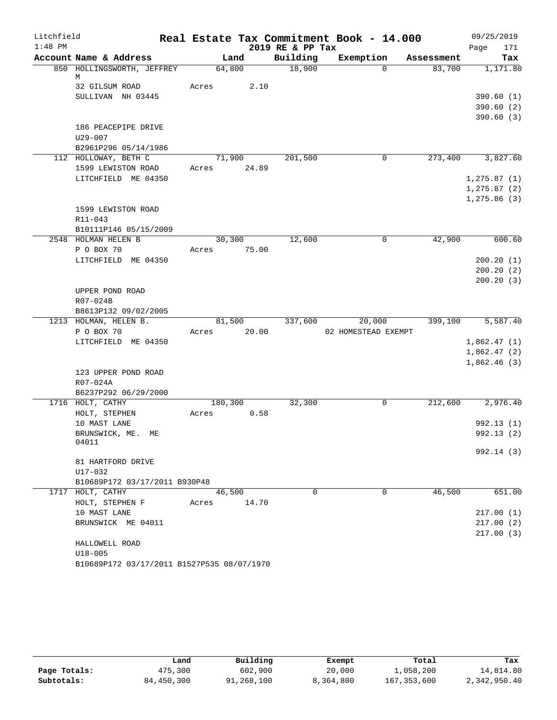| Litchfield |                                               |             |        |                  | Real Estate Tax Commitment Book - 14.000 |            | 09/25/2019   |
|------------|-----------------------------------------------|-------------|--------|------------------|------------------------------------------|------------|--------------|
| $1:48$ PM  |                                               |             |        | 2019 RE & PP Tax |                                          |            | 171<br>Page  |
|            | Account Name & Address                        |             | Land   | Building         | Exemption                                | Assessment | Tax          |
|            | 850 HOLLINGSWORTH, JEFFREY                    | 64,800      |        | 18,900           | $\Omega$                                 | 83,700     | 1,171.80     |
|            | М<br>32 GILSUM ROAD                           | Acres       | 2.10   |                  |                                          |            |              |
|            | SULLIVAN NH 03445                             |             |        |                  |                                          |            | 390.60(1)    |
|            |                                               |             |        |                  |                                          |            | 390.60 (2)   |
|            |                                               |             |        |                  |                                          |            | 390.60(3)    |
|            | 186 PEACEPIPE DRIVE                           |             |        |                  |                                          |            |              |
|            | $U29 - 007$                                   |             |        |                  |                                          |            |              |
|            | B2961P296 05/14/1986                          |             |        |                  |                                          |            |              |
|            | 112 HOLLOWAY, BETH C                          |             | 71,900 | 201,500          | 0                                        | 273,400    | 3,827.60     |
|            | 1599 LEWISTON ROAD                            | Acres 24.89 |        |                  |                                          |            |              |
|            | LITCHFIELD ME 04350                           |             |        |                  |                                          |            | 1, 275.87(1) |
|            |                                               |             |        |                  |                                          |            | 1, 275.87(2) |
|            |                                               |             |        |                  |                                          |            | 1, 275.86(3) |
|            | 1599 LEWISTON ROAD                            |             |        |                  |                                          |            |              |
|            | $R11 - 043$                                   |             |        |                  |                                          |            |              |
|            | B10111P146 05/15/2009                         |             |        |                  |                                          |            |              |
|            | 2548 HOLMAN HELEN B                           | 30,300      |        | 12,600           | 0                                        | 42,900     | 600.60       |
|            | P O BOX 70                                    | Acres       | 75.00  |                  |                                          |            |              |
|            | LITCHFIELD ME 04350                           |             |        |                  |                                          |            | 200.20(1)    |
|            |                                               |             |        |                  |                                          |            | 200.20(2)    |
|            |                                               |             |        |                  |                                          |            | 200.20(3)    |
|            | UPPER POND ROAD                               |             |        |                  |                                          |            |              |
|            | R07-024B                                      |             |        |                  |                                          |            |              |
|            | B8613P132 09/02/2005<br>1213 HOLMAN, HELEN B. | 81,500      |        | 337,600          | 20,000                                   | 399,100    | 5,587.40     |
|            | P O BOX 70                                    | Acres       | 20.00  |                  | 02 HOMESTEAD EXEMPT                      |            |              |
|            | LITCHFIELD ME 04350                           |             |        |                  |                                          |            | 1,862.47(1)  |
|            |                                               |             |        |                  |                                          |            | 1,862.47(2)  |
|            |                                               |             |        |                  |                                          |            | 1,862.46(3)  |
|            | 123 UPPER POND ROAD                           |             |        |                  |                                          |            |              |
|            | R07-024A                                      |             |        |                  |                                          |            |              |
|            | B6237P292 06/29/2000                          |             |        |                  |                                          |            |              |
|            | 1716 HOLT, CATHY                              | 180,300     |        | 32,300           | 0                                        | 212,600    | 2,976.40     |
|            | HOLT, STEPHEN                                 | Acres       | 0.58   |                  |                                          |            |              |
|            | 10 MAST LANE                                  |             |        |                  |                                          |            | 992.13(1)    |
|            | BRUNSWICK, ME.<br>MЕ                          |             |        |                  |                                          |            | 992.13 (2)   |
|            | 04011                                         |             |        |                  |                                          |            |              |
|            |                                               |             |        |                  |                                          |            | 992.14 (3)   |
|            | 81 HARTFORD DRIVE                             |             |        |                  |                                          |            |              |
|            | U17-032                                       |             |        |                  |                                          |            |              |
|            | B10689P172 03/17/2011 B930P48                 |             |        | $\Omega$         |                                          |            |              |
|            | 1717 HOLT, CATHY                              | 46,500      |        |                  | 0                                        | 46,500     | 651.00       |
|            | HOLT, STEPHEN F<br>10 MAST LANE               | Acres       | 14.70  |                  |                                          |            | 217.00(1)    |
|            | BRUNSWICK ME 04011                            |             |        |                  |                                          |            | 217.00(2)    |
|            |                                               |             |        |                  |                                          |            | 217.00(3)    |
|            | HALLOWELL ROAD                                |             |        |                  |                                          |            |              |
|            | $U18 - 005$                                   |             |        |                  |                                          |            |              |
|            | B10689P172 03/17/2011 B1527P535 08/07/1970    |             |        |                  |                                          |            |              |

|              | Land       | Building   | Exempt    | Total         | Tax          |
|--------------|------------|------------|-----------|---------------|--------------|
| Page Totals: | 475,300    | 602,900    | 20,000    | 1,058,200     | 14,814.80    |
| Subtotals:   | 84,450,300 | 91,268,100 | 8,364,800 | 167, 353, 600 | 2,342,950.40 |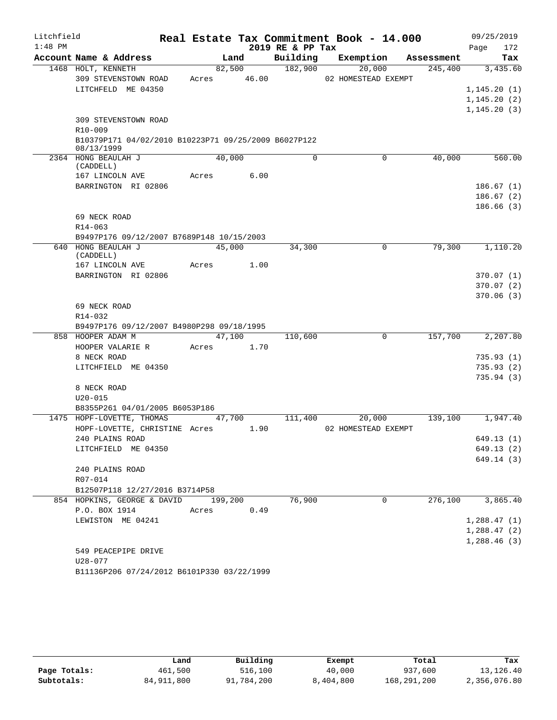| Litchfield |                                                      |       |         |            |                  | Real Estate Tax Commitment Book - 14.000 |            |              | 09/25/2019             |
|------------|------------------------------------------------------|-------|---------|------------|------------------|------------------------------------------|------------|--------------|------------------------|
| $1:48$ PM  |                                                      |       |         |            | 2019 RE & PP Tax |                                          |            | Page         | 172                    |
|            | Account Name & Address                               |       | Land    |            | Building         | Exemption                                | Assessment |              | Tax                    |
|            | 1468 HOLT, KENNETH                                   |       | 82,500  |            | 182,900          | 20,000                                   | 245,400    |              | 3,435.60               |
|            | 309 STEVENSTOWN ROAD                                 | Acres |         | 46.00      |                  | 02 HOMESTEAD EXEMPT                      |            |              |                        |
|            | LITCHFELD ME 04350                                   |       |         |            |                  |                                          |            | 1,145.20(1)  |                        |
|            |                                                      |       |         |            |                  |                                          |            | 1, 145.20(2) |                        |
|            |                                                      |       |         |            |                  |                                          |            | 1, 145.20(3) |                        |
|            | 309 STEVENSTOWN ROAD<br>R10-009                      |       |         |            |                  |                                          |            |              |                        |
|            | B10379P171 04/02/2010 B10223P71 09/25/2009 B6027P122 |       |         |            |                  |                                          |            |              |                        |
|            | 08/13/1999                                           |       |         |            |                  |                                          |            |              |                        |
|            | 2364 HONG BEAULAH J                                  |       | 40,000  |            | $\Omega$         | 0                                        | 40,000     |              | 560.00                 |
|            | (CADDELL)                                            |       |         |            |                  |                                          |            |              |                        |
|            | 167 LINCOLN AVE                                      | Acres |         | 6.00       |                  |                                          |            |              |                        |
|            | BARRINGTON RI 02806                                  |       |         |            |                  |                                          |            |              | 186.67(1)              |
|            |                                                      |       |         |            |                  |                                          |            |              | 186.67(2)<br>186.66(3) |
|            | 69 NECK ROAD                                         |       |         |            |                  |                                          |            |              |                        |
|            | R14-063                                              |       |         |            |                  |                                          |            |              |                        |
|            | B9497P176 09/12/2007 B7689P148 10/15/2003            |       |         |            |                  |                                          |            |              |                        |
|            | 640 HONG BEAULAH J                                   |       | 45,000  |            | 34,300           | 0                                        | 79,300     |              | 1,110.20               |
|            | (CADDELL)                                            |       |         |            |                  |                                          |            |              |                        |
|            | 167 LINCOLN AVE                                      | Acres |         | 1.00       |                  |                                          |            |              |                        |
|            | BARRINGTON RI 02806                                  |       |         |            |                  |                                          |            |              | 370.07(1)              |
|            |                                                      |       |         |            |                  |                                          |            |              | 370.07(2)              |
|            |                                                      |       |         |            |                  |                                          |            |              | 370.06(3)              |
|            | 69 NECK ROAD<br>R14-032                              |       |         |            |                  |                                          |            |              |                        |
|            | B9497P176 09/12/2007 B4980P298 09/18/1995            |       |         |            |                  |                                          |            |              |                        |
|            | 858 HOOPER ADAM M                                    |       | 47,100  |            | 110,600          | 0                                        | 157,700    |              | 2,207.80               |
|            | HOOPER VALARIE R                                     |       |         | Acres 1.70 |                  |                                          |            |              |                        |
|            | 8 NECK ROAD                                          |       |         |            |                  |                                          |            |              | 735.93(1)              |
|            | LITCHFIELD ME 04350                                  |       |         |            |                  |                                          |            |              | 735.93(2)              |
|            |                                                      |       |         |            |                  |                                          |            |              | 735.94(3)              |
|            | 8 NECK ROAD                                          |       |         |            |                  |                                          |            |              |                        |
|            | $U20 - 015$                                          |       |         |            |                  |                                          |            |              |                        |
|            | B8355P261 04/01/2005 B6053P186                       |       |         |            |                  |                                          |            |              |                        |
|            | 1475 HOPF-LOVETTE, THOMAS                            |       | 47,700  |            | 111,400          | 20,000                                   | 139,100    |              | 1,947.40               |
|            | HOPF-LOVETTE, CHRISTINE Acres                        |       |         | 1.90       |                  | 02 HOMESTEAD EXEMPT                      |            |              |                        |
|            | 240 PLAINS ROAD                                      |       |         |            |                  |                                          |            |              | 649.13 (1)             |
|            | LITCHFIELD ME 04350                                  |       |         |            |                  |                                          |            |              | 649.13 (2)             |
|            | 240 PLAINS ROAD                                      |       |         |            |                  |                                          |            |              | 649.14(3)              |
|            | R07-014                                              |       |         |            |                  |                                          |            |              |                        |
|            | B12507P118 12/27/2016 B3714P58                       |       |         |            |                  |                                          |            |              |                        |
|            | 854 HOPKINS, GEORGE & DAVID                          |       | 199,200 |            | 76,900           | $\Omega$                                 | 276,100    |              | 3,865.40               |
|            | P.O. BOX 1914                                        | Acres |         | 0.49       |                  |                                          |            |              |                        |
|            | LEWISTON ME 04241                                    |       |         |            |                  |                                          |            | 1,288.47(1)  |                        |
|            |                                                      |       |         |            |                  |                                          |            | 1,288.47(2)  |                        |
|            |                                                      |       |         |            |                  |                                          |            | 1,288.46(3)  |                        |
|            | 549 PEACEPIPE DRIVE                                  |       |         |            |                  |                                          |            |              |                        |
|            | U28-077                                              |       |         |            |                  |                                          |            |              |                        |
|            | B11136P206 07/24/2012 B6101P330 03/22/1999           |       |         |            |                  |                                          |            |              |                        |

|              | Land         | Building   | Exempt    | Total       | Tax          |
|--------------|--------------|------------|-----------|-------------|--------------|
| Page Totals: | 461,500      | 516,100    | 40,000    | 937,600     | 13,126.40    |
| Subtotals:   | 84, 911, 800 | 91,784,200 | 8,404,800 | 168,291,200 | 2,356,076.80 |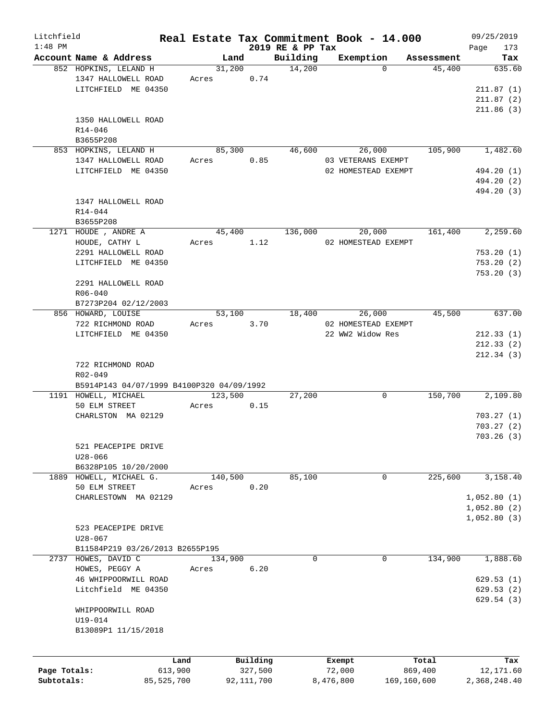| Litchfield   |                                                                           |            |         |              |                  | Real Estate Tax Commitment Book - 14.000 |            | 09/25/2019             |
|--------------|---------------------------------------------------------------------------|------------|---------|--------------|------------------|------------------------------------------|------------|------------------------|
| $1:48$ PM    |                                                                           |            |         |              | 2019 RE & PP Tax |                                          |            | Page<br>173            |
|              | Account Name & Address                                                    |            | Land    |              | Building         | Exemption                                | Assessment | Tax                    |
|              | 852 HOPKINS, LELAND H                                                     |            | 31,200  |              | 14,200           | $\Omega$                                 | 45,400     | 635.60                 |
|              | 1347 HALLOWELL ROAD                                                       | Acres      |         | 0.74         |                  |                                          |            |                        |
|              | LITCHFIELD ME 04350                                                       |            |         |              |                  |                                          |            | 211.87(1)              |
|              |                                                                           |            |         |              |                  |                                          |            | 211.87(2)              |
|              |                                                                           |            |         |              |                  |                                          |            | 211.86(3)              |
|              | 1350 HALLOWELL ROAD                                                       |            |         |              |                  |                                          |            |                        |
|              | R14-046                                                                   |            |         |              |                  |                                          |            |                        |
|              | B3655P208                                                                 |            |         |              |                  |                                          |            |                        |
|              | 853 HOPKINS, LELAND H                                                     |            | 85,300  |              | 46,600           | 26,000                                   | 105,900    | 1,482.60               |
|              | 1347 HALLOWELL ROAD                                                       | Acres      |         | 0.85         |                  | 03 VETERANS EXEMPT                       |            |                        |
|              | LITCHFIELD ME 04350                                                       |            |         |              |                  | 02 HOMESTEAD EXEMPT                      |            | 494.20 (1)             |
|              |                                                                           |            |         |              |                  |                                          |            | 494.20 (2)             |
|              |                                                                           |            |         |              |                  |                                          |            | 494.20 (3)             |
|              | 1347 HALLOWELL ROAD                                                       |            |         |              |                  |                                          |            |                        |
|              | R14-044                                                                   |            |         |              |                  |                                          |            |                        |
|              |                                                                           |            |         |              |                  |                                          |            |                        |
|              | B3655P208                                                                 |            |         |              |                  |                                          |            |                        |
|              | 1271 HOUDE, ANDRE A                                                       |            | 45,400  |              | 136,000          | 20,000                                   | 161,400    | 2,259.60               |
|              | HOUDE, CATHY L                                                            |            | Acres   | 1.12         |                  | 02 HOMESTEAD EXEMPT                      |            |                        |
|              | 2291 HALLOWELL ROAD                                                       |            |         |              |                  |                                          |            | 753.20(1)              |
|              | LITCHFIELD ME 04350                                                       |            |         |              |                  |                                          |            | 753.20(2)              |
|              |                                                                           |            |         |              |                  |                                          |            | 753.20(3)              |
|              | 2291 HALLOWELL ROAD                                                       |            |         |              |                  |                                          |            |                        |
|              | $R06 - 040$                                                               |            |         |              |                  |                                          |            |                        |
|              | B7273P204 02/12/2003                                                      |            |         |              |                  |                                          |            |                        |
|              | 856 HOWARD, LOUISE                                                        |            | 53,100  |              | 18,400           | 26,000                                   | 45,500     | 637.00                 |
|              | 722 RICHMOND ROAD                                                         | Acres      |         | 3.70         |                  | 02 HOMESTEAD EXEMPT                      |            |                        |
|              |                                                                           |            |         |              |                  |                                          |            |                        |
|              | LITCHFIELD ME 04350                                                       |            |         |              |                  | 22 WW2 Widow Res                         |            | 212.33(1)              |
|              |                                                                           |            |         |              |                  |                                          |            | 212.33(2)<br>212.34(3) |
|              | 722 RICHMOND ROAD<br>R02-049<br>B5914P143 04/07/1999 B4100P320 04/09/1992 |            |         |              |                  |                                          |            |                        |
|              | 1191 HOWELL, MICHAEL                                                      |            | 123,500 |              | 27,200           | 0                                        | 150,700    | 2,109.80               |
|              | 50 ELM STREET                                                             | Acres      |         | 0.15         |                  |                                          |            |                        |
|              | CHARLSTON MA 02129                                                        |            |         |              |                  |                                          |            | 703.27(1)              |
|              |                                                                           |            |         |              |                  |                                          |            | 703.27(2)              |
|              |                                                                           |            |         |              |                  |                                          |            | 703.26(3)              |
|              | 521 PEACEPIPE DRIVE                                                       |            |         |              |                  |                                          |            |                        |
|              | $U28 - 066$                                                               |            |         |              |                  |                                          |            |                        |
|              | B6328P105 10/20/2000                                                      |            |         |              |                  |                                          |            |                        |
|              | 1889 HOWELL, MICHAEL G.                                                   |            |         |              | 85,100           |                                          | 225,600    |                        |
|              |                                                                           |            | 140,500 |              |                  | 0                                        |            | 3,158.40               |
|              | 50 ELM STREET                                                             | Acres      |         | 0.20         |                  |                                          |            |                        |
|              | CHARLESTOWN MA 02129                                                      |            |         |              |                  |                                          |            | 1,052.80(1)            |
|              |                                                                           |            |         |              |                  |                                          |            | 1,052.80(2)            |
|              |                                                                           |            |         |              |                  |                                          |            | 1,052.80(3)            |
|              | 523 PEACEPIPE DRIVE                                                       |            |         |              |                  |                                          |            |                        |
|              | $U28 - 067$                                                               |            |         |              |                  |                                          |            |                        |
|              | B11584P219 03/26/2013 B2655P195                                           |            |         |              |                  |                                          |            |                        |
| 2737         | HOWES, DAVID C                                                            |            | 134,900 |              | $\mathbf 0$      | $\mathbf 0$                              | 134,900    | 1,888.60               |
|              | HOWES, PEGGY A                                                            | Acres      |         | 6.20         |                  |                                          |            |                        |
|              | 46 WHIPPOORWILL ROAD                                                      |            |         |              |                  |                                          |            | 629.53(1)              |
|              | Litchfield ME 04350                                                       |            |         |              |                  |                                          |            | 629.53(2)              |
|              |                                                                           |            |         |              |                  |                                          |            |                        |
|              |                                                                           |            |         |              |                  |                                          |            | 629.54(3)              |
|              | WHIPPOORWILL ROAD                                                         |            |         |              |                  |                                          |            |                        |
|              | U19-014                                                                   |            |         |              |                  |                                          |            |                        |
|              | B13089P1 11/15/2018                                                       |            |         |              |                  |                                          |            |                        |
|              |                                                                           |            |         |              |                  |                                          |            |                        |
|              |                                                                           | Land       |         | Building     |                  | Exempt                                   | Total      | Tax                    |
| Page Totals: |                                                                           | 613,900    |         | 327,500      |                  | 72,000                                   | 869,400    | 12,171.60              |
| Subtotals:   |                                                                           | 85,525,700 |         | 92, 111, 700 |                  | 8,476,800<br>169,160,600                 |            | 2,368,248.40           |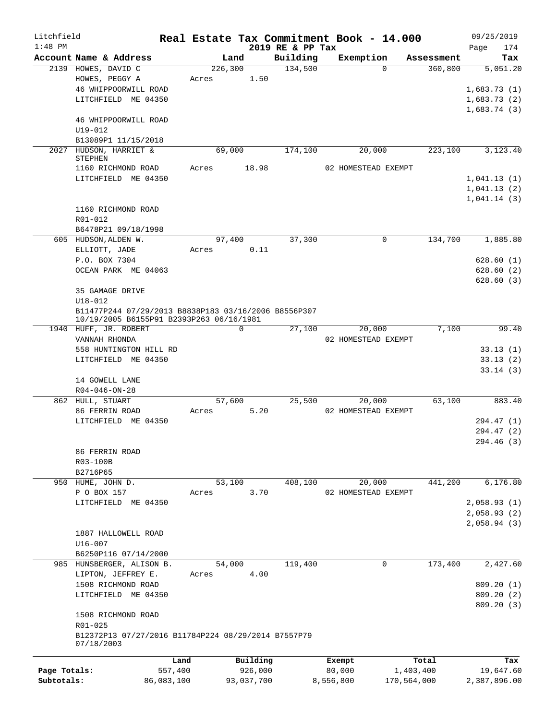| Litchfield   |                                                                                                  |         |            |                  | Real Estate Tax Commitment Book - 14.000 |             | 09/25/2019   |
|--------------|--------------------------------------------------------------------------------------------------|---------|------------|------------------|------------------------------------------|-------------|--------------|
| $1:48$ PM    |                                                                                                  |         |            | 2019 RE & PP Tax |                                          |             | 174<br>Page  |
|              | Account Name & Address                                                                           |         | Land       | Building         | Exemption                                | Assessment  | Tax          |
|              | 2139 HOWES, DAVID C                                                                              |         | 226,300    | 134,500          | $\Omega$                                 | 360,800     | 5,051.20     |
|              | HOWES, PEGGY A                                                                                   | Acres   | 1.50       |                  |                                          |             |              |
|              | 46 WHIPPOORWILL ROAD                                                                             |         |            |                  |                                          |             | 1,683.73(1)  |
|              | LITCHFIELD ME 04350                                                                              |         |            |                  |                                          |             | 1,683.73(2)  |
|              |                                                                                                  |         |            |                  |                                          |             | 1,683.74(3)  |
|              | 46 WHIPPOORWILL ROAD                                                                             |         |            |                  |                                          |             |              |
|              | $U19 - 012$                                                                                      |         |            |                  |                                          |             |              |
|              | B13089P1 11/15/2018                                                                              |         |            |                  |                                          |             |              |
| 2027         | HUDSON, HARRIET &<br><b>STEPHEN</b>                                                              |         | 69,000     | 174,100          | 20,000                                   | 223,100     | 3,123.40     |
|              | 1160 RICHMOND ROAD                                                                               | Acres   | 18.98      |                  | 02 HOMESTEAD EXEMPT                      |             |              |
|              | LITCHFIELD ME 04350                                                                              |         |            |                  |                                          |             | 1,041.13(1)  |
|              |                                                                                                  |         |            |                  |                                          |             | 1,041.13(2)  |
|              |                                                                                                  |         |            |                  |                                          |             | 1,041.14(3)  |
|              | 1160 RICHMOND ROAD                                                                               |         |            |                  |                                          |             |              |
|              | R01-012                                                                                          |         |            |                  |                                          |             |              |
|              | B6478P21 09/18/1998                                                                              |         |            |                  |                                          |             |              |
|              | 605 HUDSON, ALDEN W.                                                                             |         | 97,400     | 37,300           | $\mathbf 0$                              | 134,700     | 1,885.80     |
|              | ELLIOTT, JADE                                                                                    | Acres   | 0.11       |                  |                                          |             |              |
|              | P.O. BOX 7304                                                                                    |         |            |                  |                                          |             | 628.60(1)    |
|              | OCEAN PARK ME 04063                                                                              |         |            |                  |                                          |             | 628.60(2)    |
|              |                                                                                                  |         |            |                  |                                          |             |              |
|              | 35 GAMAGE DRIVE                                                                                  |         |            |                  |                                          |             | 628.60(3)    |
|              |                                                                                                  |         |            |                  |                                          |             |              |
|              | $U18 - 012$                                                                                      |         |            |                  |                                          |             |              |
|              | B11477P244 07/29/2013 B8838P183 03/16/2006 B8556P307<br>10/19/2005 B6155P91 B2393P263 06/16/1981 |         |            |                  |                                          |             |              |
|              | 1940 HUFF, JR. ROBERT                                                                            |         | 0          | 27,100           | 20,000                                   | 7,100       | 99.40        |
|              | VANNAH RHONDA                                                                                    |         |            |                  | 02 HOMESTEAD EXEMPT                      |             |              |
|              | 558 HUNTINGTON HILL RD                                                                           |         |            |                  |                                          |             | 33.13(1)     |
|              | LITCHFIELD ME 04350                                                                              |         |            |                  |                                          |             | 33.13(2)     |
|              |                                                                                                  |         |            |                  |                                          |             | 33.14(3)     |
|              | 14 GOWELL LANE                                                                                   |         |            |                  |                                          |             |              |
|              | $R04 - 046 - ON - 28$                                                                            |         |            |                  |                                          |             |              |
|              | 862 HULL, STUART                                                                                 |         | 57,600     | 25,500           | 20,000                                   | 63,100      | 883.40       |
|              | 86 FERRIN ROAD                                                                                   | Acres   | 5.20       |                  | 02 HOMESTEAD EXEMPT                      |             |              |
|              | LITCHFIELD ME 04350                                                                              |         |            |                  |                                          |             | 294.47 (1)   |
|              |                                                                                                  |         |            |                  |                                          |             | 294.47 (2)   |
|              |                                                                                                  |         |            |                  |                                          |             | 294.46 (3)   |
|              | 86 FERRIN ROAD                                                                                   |         |            |                  |                                          |             |              |
|              | R03-100B                                                                                         |         |            |                  |                                          |             |              |
|              | B2716P65                                                                                         |         |            |                  |                                          |             |              |
|              | 950 HUME, JOHN D.                                                                                |         | 53,100     | 408,100          | 20,000                                   | 441,200     | 6,176.80     |
|              | P O BOX 157                                                                                      | Acres   | 3.70       |                  | 02 HOMESTEAD EXEMPT                      |             |              |
|              | LITCHFIELD ME 04350                                                                              |         |            |                  |                                          |             | 2,058.93(1)  |
|              |                                                                                                  |         |            |                  |                                          |             | 2,058.93(2)  |
|              |                                                                                                  |         |            |                  |                                          |             | 2,058.94(3)  |
|              | 1887 HALLOWELL ROAD                                                                              |         |            |                  |                                          |             |              |
|              | $U16 - 007$                                                                                      |         |            |                  |                                          |             |              |
|              | B6250P116 07/14/2000                                                                             |         |            |                  |                                          |             |              |
|              | 985 HUNSBERGER, ALISON B.                                                                        |         | 54,000     | 119,400          | 0                                        | 173,400     | 2,427.60     |
|              | LIPTON, JEFFREY E.                                                                               | Acres   | 4.00       |                  |                                          |             |              |
|              | 1508 RICHMOND ROAD                                                                               |         |            |                  |                                          |             | 809.20(1)    |
|              | LITCHFIELD ME 04350                                                                              |         |            |                  |                                          |             | 809.20(2)    |
|              |                                                                                                  |         |            |                  |                                          |             | 809.20 (3)   |
|              | 1508 RICHMOND ROAD                                                                               |         |            |                  |                                          |             |              |
|              | R01-025                                                                                          |         |            |                  |                                          |             |              |
|              | B12372P13 07/27/2016 B11784P224 08/29/2014 B7557P79                                              |         |            |                  |                                          |             |              |
|              | 07/18/2003                                                                                       |         |            |                  |                                          |             |              |
|              |                                                                                                  |         |            |                  |                                          |             |              |
|              |                                                                                                  | Land    | Building   |                  | Exempt                                   | Total       | Tax          |
| Page Totals: |                                                                                                  | 557,400 | 926,000    |                  | 80,000                                   | 1,403,400   | 19,647.60    |
| Subtotals:   | 86,083,100                                                                                       |         | 93,037,700 |                  | 8,556,800                                | 170,564,000 | 2,387,896.00 |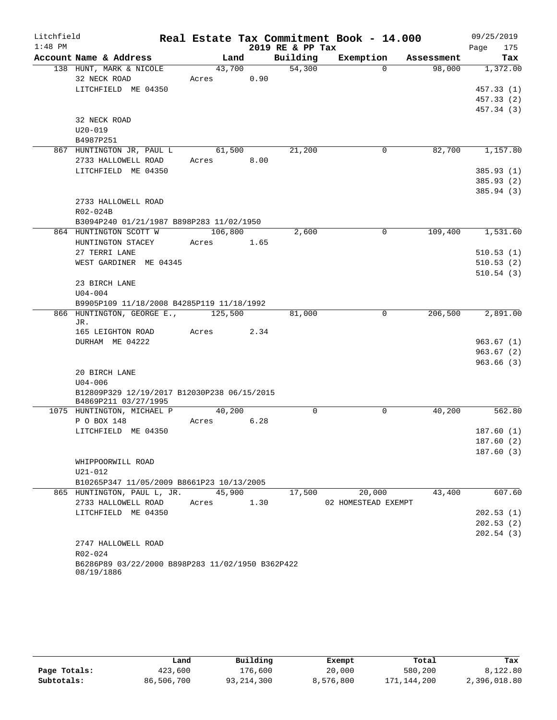| Litchfield |             |                                                                     |         |      |                  | Real Estate Tax Commitment Book - 14.000 |            | 09/25/2019  |
|------------|-------------|---------------------------------------------------------------------|---------|------|------------------|------------------------------------------|------------|-------------|
| $1:48$ PM  |             |                                                                     |         |      | 2019 RE & PP Tax |                                          |            | 175<br>Page |
|            |             | Account Name & Address                                              | Land    |      | Building         | Exemption                                | Assessment | Tax         |
|            |             | 138 HUNT, MARK & NICOLE                                             | 43,700  |      | 54,300           | $\Omega$                                 | 98,000     | 1,372.00    |
|            |             | 32 NECK ROAD                                                        | Acres   | 0.90 |                  |                                          |            |             |
|            |             | LITCHFIELD ME 04350                                                 |         |      |                  |                                          |            | 457.33(1)   |
|            |             |                                                                     |         |      |                  |                                          |            | 457.33 (2)  |
|            |             |                                                                     |         |      |                  |                                          |            | 457.34 (3)  |
|            |             | 32 NECK ROAD                                                        |         |      |                  |                                          |            |             |
|            | $U20 - 019$ |                                                                     |         |      |                  |                                          |            |             |
|            | B4987P251   |                                                                     |         |      |                  |                                          |            |             |
|            |             | 867 HUNTINGTON JR, PAUL L                                           | 61,500  |      | 21,200           | 0                                        | 82,700     | 1,157.80    |
|            |             | 2733 HALLOWELL ROAD                                                 | Acres   | 8.00 |                  |                                          |            |             |
|            |             | LITCHFIELD ME 04350                                                 |         |      |                  |                                          |            | 385.93(1)   |
|            |             |                                                                     |         |      |                  |                                          |            | 385.93 (2)  |
|            |             |                                                                     |         |      |                  |                                          |            | 385.94(3)   |
|            |             | 2733 HALLOWELL ROAD                                                 |         |      |                  |                                          |            |             |
|            | R02-024B    |                                                                     |         |      |                  |                                          |            |             |
|            |             | B3094P240 01/21/1987 B898P283 11/02/1950                            |         |      |                  |                                          |            |             |
|            |             | 864 HUNTINGTON SCOTT W                                              | 106,800 |      | 2,600            | $\Omega$                                 | 109,400    | 1,531.60    |
|            |             | HUNTINGTON STACEY                                                   | Acres   | 1.65 |                  |                                          |            |             |
|            |             | 27 TERRI LANE                                                       |         |      |                  |                                          |            | 510.53(1)   |
|            |             | WEST GARDINER ME 04345                                              |         |      |                  |                                          |            | 510.53(2)   |
|            |             | 23 BIRCH LANE                                                       |         |      |                  |                                          |            | 510.54(3)   |
|            |             |                                                                     |         |      |                  |                                          |            |             |
|            | $U04 - 004$ | B9905P109 11/18/2008 B4285P119 11/18/1992                           |         |      |                  |                                          |            |             |
|            |             | 866 HUNTINGTON, GEORGE E.,                                          | 125,500 |      | 81,000           | 0                                        | 206,500    | 2,891.00    |
|            | JR.         |                                                                     |         |      |                  |                                          |            |             |
|            |             | 165 LEIGHTON ROAD                                                   | Acres   | 2.34 |                  |                                          |            |             |
|            |             | DURHAM ME 04222                                                     |         |      |                  |                                          |            | 963.67(1)   |
|            |             |                                                                     |         |      |                  |                                          |            | 963.67(2)   |
|            |             |                                                                     |         |      |                  |                                          |            | 963.66(3)   |
|            |             | 20 BIRCH LANE                                                       |         |      |                  |                                          |            |             |
|            | $U04 - 006$ |                                                                     |         |      |                  |                                          |            |             |
|            |             | B12809P329 12/19/2017 B12030P238 06/15/2015<br>B4869P211 03/27/1995 |         |      |                  |                                          |            |             |
|            |             | 1075 HUNTINGTON, MICHAEL P                                          | 40,200  |      | $\mathbf 0$      | $\mathbf 0$                              | 40,200     | 562.80      |
|            |             | P O BOX 148                                                         | Acres   | 6.28 |                  |                                          |            |             |
|            |             | LITCHFIELD ME 04350                                                 |         |      |                  |                                          |            | 187.60(1)   |
|            |             |                                                                     |         |      |                  |                                          |            | 187.60(2)   |
|            |             |                                                                     |         |      |                  |                                          |            | 187.60(3)   |
|            |             | WHIPPOORWILL ROAD                                                   |         |      |                  |                                          |            |             |
|            | U21-012     |                                                                     |         |      |                  |                                          |            |             |
|            |             | B10265P347 11/05/2009 B8661P23 10/13/2005                           |         |      |                  |                                          |            |             |
|            |             | 865 HUNTINGTON, PAUL L, JR.                                         | 45,900  |      | 17,500           | 20,000                                   | 43,400     | 607.60      |
|            |             | 2733 HALLOWELL ROAD                                                 | Acres   | 1.30 |                  | 02 HOMESTEAD EXEMPT                      |            |             |
|            |             | LITCHFIELD ME 04350                                                 |         |      |                  |                                          |            | 202.53(1)   |
|            |             |                                                                     |         |      |                  |                                          |            | 202.53(2)   |
|            |             |                                                                     |         |      |                  |                                          |            | 202.54(3)   |
|            |             | 2747 HALLOWELL ROAD                                                 |         |      |                  |                                          |            |             |
|            | $R02 - 024$ |                                                                     |         |      |                  |                                          |            |             |
|            | 08/19/1886  | B6286P89 03/22/2000 B898P283 11/02/1950 B362P422                    |         |      |                  |                                          |            |             |

|              | ⊥and       | Building     | Exempt    | Total         | Tax          |
|--------------|------------|--------------|-----------|---------------|--------------|
| Page Totals: | 423,600    | 176,600      | 20,000    | 580,200       | 8,122.80     |
| Subtotals:   | 86,506,700 | 93, 214, 300 | 8,576,800 | 171, 144, 200 | 2,396,018.80 |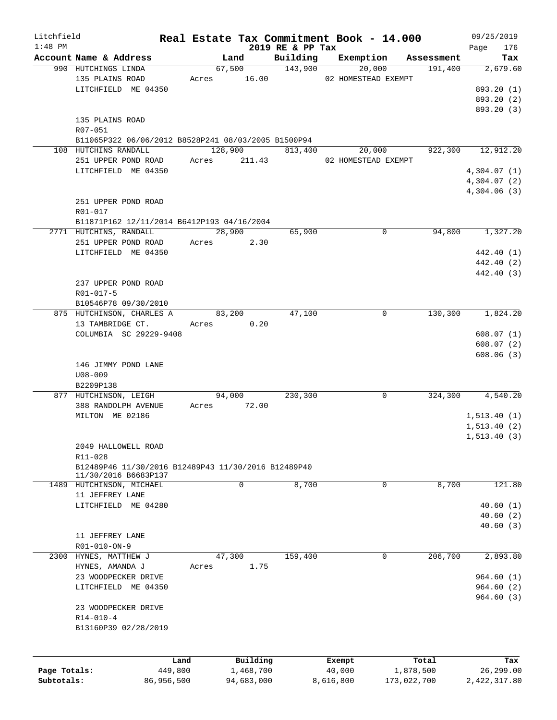| Litchfield<br>$1:48$ PM |                                                     |       |              |                              | Real Estate Tax Commitment Book - 14.000 |             | 09/25/2019         |
|-------------------------|-----------------------------------------------------|-------|--------------|------------------------------|------------------------------------------|-------------|--------------------|
|                         | Account Name & Address                              |       | Land         | 2019 RE & PP Tax<br>Building | Exemption                                | Assessment  | 176<br>Page<br>Tax |
|                         | 990 HUTCHINGS LINDA                                 |       |              | 67,500 143,900               | 20,000                                   | 191,400     | 2,679.60           |
|                         | 135 PLAINS ROAD                                     |       | Acres 16.00  |                              | 02 HOMESTEAD EXEMPT                      |             |                    |
|                         | LITCHFIELD ME 04350                                 |       |              |                              |                                          |             | 893.20 (1)         |
|                         |                                                     |       |              |                              |                                          |             | 893.20 (2)         |
|                         |                                                     |       |              |                              |                                          |             | 893.20 (3)         |
|                         | 135 PLAINS ROAD                                     |       |              |                              |                                          |             |                    |
|                         | R07-051                                             |       |              |                              |                                          |             |                    |
|                         | B11065P322 06/06/2012 B8528P241 08/03/2005 B1500P94 |       |              |                              |                                          |             |                    |
|                         | 108 HUTCHINS RANDALL                                |       | 128,900      | 813,400                      | 20,000                                   | 922,300     | 12,912.20          |
|                         | 251 UPPER POND ROAD                                 |       | Acres 211.43 |                              | 02 HOMESTEAD EXEMPT                      |             |                    |
|                         | LITCHFIELD ME 04350                                 |       |              |                              |                                          |             | 4,304.07(1)        |
|                         |                                                     |       |              |                              |                                          |             | 4,304.07(2)        |
|                         |                                                     |       |              |                              |                                          |             | 4,304.06(3)        |
|                         | 251 UPPER POND ROAD                                 |       |              |                              |                                          |             |                    |
|                         | R01-017                                             |       |              |                              |                                          |             |                    |
|                         | B11871P162 12/11/2014 B6412P193 04/16/2004          |       |              |                              |                                          |             |                    |
|                         | 2771 HUTCHINS, RANDALL                              |       | 28,900       | 65,900                       | 0                                        | 94,800      | 1,327.20           |
|                         | 251 UPPER POND ROAD                                 |       | Acres 2.30   |                              |                                          |             |                    |
|                         | LITCHFIELD ME 04350                                 |       |              |                              |                                          |             | 442.40 (1)         |
|                         |                                                     |       |              |                              |                                          |             | 442.40 (2)         |
|                         |                                                     |       |              |                              |                                          |             | 442.40 (3)         |
|                         | 237 UPPER POND ROAD                                 |       |              |                              |                                          |             |                    |
|                         | R01-017-5                                           |       |              |                              |                                          |             |                    |
|                         | B10546P78 09/30/2010                                |       |              |                              |                                          |             |                    |
|                         | 875 HUTCHINSON, CHARLES A                           |       | 83,200       | 47,100                       | 0                                        | 130,300     | 1,824.20           |
|                         | 13 TAMBRIDGE CT.                                    | Acres | 0.20         |                              |                                          |             |                    |
|                         | COLUMBIA SC 29229-9408                              |       |              |                              |                                          |             | 608.07(1)          |
|                         |                                                     |       |              |                              |                                          |             | 608.07(2)          |
|                         |                                                     |       |              |                              |                                          |             | 608.06(3)          |
|                         | 146 JIMMY POND LANE                                 |       |              |                              |                                          |             |                    |
|                         | $U08 - 009$                                         |       |              |                              |                                          |             |                    |
|                         | B2209P138                                           |       |              |                              |                                          |             |                    |
|                         | 877 HUTCHINSON, LEIGH                               |       | 94,000       | 230,300                      | 0                                        | 324,300     | 4,540.20           |
|                         | 388 RANDOLPH AVENUE                                 |       | Acres 72.00  |                              |                                          |             |                    |
|                         | MILTON ME 02186                                     |       |              |                              |                                          |             | 1, 513.40(1)       |
|                         |                                                     |       |              |                              |                                          |             | 1, 513.40(2)       |
|                         |                                                     |       |              |                              |                                          |             | 1, 513.40(3)       |
|                         | 2049 HALLOWELL ROAD                                 |       |              |                              |                                          |             |                    |
|                         | R11-028                                             |       |              |                              |                                          |             |                    |
|                         | B12489P46 11/30/2016 B12489P43 11/30/2016 B12489P40 |       |              |                              |                                          |             |                    |
|                         | 11/30/2016 B6683P137                                |       |              |                              |                                          |             |                    |
|                         | 1489 HUTCHINSON, MICHAEL                            |       | 0            | 8,700                        | 0                                        | 8,700       | 121.80             |
|                         | 11 JEFFREY LANE                                     |       |              |                              |                                          |             |                    |
|                         | LITCHFIELD ME 04280                                 |       |              |                              |                                          |             | 40.60(1)           |
|                         |                                                     |       |              |                              |                                          |             | 40.60(2)           |
|                         |                                                     |       |              |                              |                                          |             | 40.60(3)           |
|                         | 11 JEFFREY LANE                                     |       |              |                              |                                          |             |                    |
|                         | R01-010-ON-9                                        |       |              |                              |                                          |             |                    |
|                         | 2300 HYNES, MATTHEW J                               |       | 47,300       | 159,400                      | 0                                        | 206,700     | 2,893.80           |
|                         | HYNES, AMANDA J                                     | Acres | 1.75         |                              |                                          |             |                    |
|                         | 23 WOODPECKER DRIVE                                 |       |              |                              |                                          |             | 964.60(1)          |
|                         | LITCHFIELD ME 04350                                 |       |              |                              |                                          |             | 964.60(2)          |
|                         |                                                     |       |              |                              |                                          |             | 964.60(3)          |
|                         | 23 WOODPECKER DRIVE                                 |       |              |                              |                                          |             |                    |
|                         | $R14 - 010 - 4$                                     |       |              |                              |                                          |             |                    |
|                         | B13160P39 02/28/2019                                |       |              |                              |                                          |             |                    |
|                         |                                                     |       |              |                              |                                          |             |                    |
|                         | Land                                                |       | Building     |                              | Exempt                                   | Total       | Tax                |
| Page Totals:            | 449,800                                             |       | 1,468,700    |                              | 40,000                                   | 1,878,500   | 26,299.00          |
| Subtotals:              | 86,956,500                                          |       | 94,683,000   |                              | 8,616,800                                | 173,022,700 | 2,422,317.80       |
|                         |                                                     |       |              |                              |                                          |             |                    |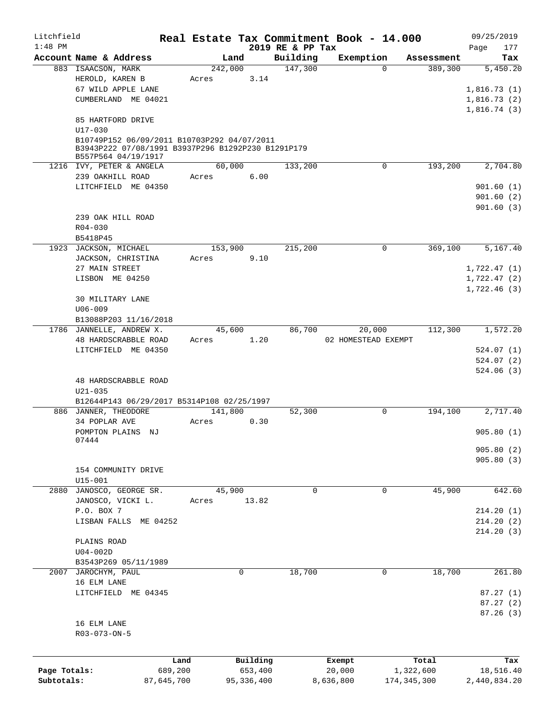| Litchfield   |                                                                                                                          |         |          |                              | Real Estate Tax Commitment Book - 14.000 |            | 09/25/2019           |
|--------------|--------------------------------------------------------------------------------------------------------------------------|---------|----------|------------------------------|------------------------------------------|------------|----------------------|
| $1:48$ PM    | Account Name & Address                                                                                                   |         | Land     | 2019 RE & PP Tax<br>Building | Exemption                                | Assessment | Page<br>177<br>Tax   |
|              | 883 ISAACSON, MARK                                                                                                       |         | 242,000  | 147,300                      | $\Omega$                                 | 389,300    | 5,450.20             |
|              | HEROLD, KAREN B                                                                                                          | Acres   | 3.14     |                              |                                          |            |                      |
|              | 67 WILD APPLE LANE                                                                                                       |         |          |                              |                                          |            | 1,816.73(1)          |
|              | CUMBERLAND ME 04021                                                                                                      |         |          |                              |                                          |            | 1,816.73(2)          |
|              |                                                                                                                          |         |          |                              |                                          |            | 1,816.74(3)          |
|              | 85 HARTFORD DRIVE<br>U17-030                                                                                             |         |          |                              |                                          |            |                      |
|              | B10749P152 06/09/2011 B10703P292 04/07/2011<br>B3943P222 07/08/1991 B3937P296 B1292P230 B1291P179<br>B557P564 04/19/1917 |         |          |                              |                                          |            |                      |
|              | 1216 IVY, PETER & ANGELA                                                                                                 |         | 60,000   | 133,200                      | 0                                        | 193,200    | 2,704.80             |
|              | 239 OAKHILL ROAD                                                                                                         | Acres   | 6.00     |                              |                                          |            |                      |
|              | LITCHFIELD ME 04350                                                                                                      |         |          |                              |                                          |            | 901.60(1)            |
|              |                                                                                                                          |         |          |                              |                                          |            | 901.60(2)            |
|              |                                                                                                                          |         |          |                              |                                          |            | 901.60(3)            |
|              | 239 OAK HILL ROAD                                                                                                        |         |          |                              |                                          |            |                      |
|              | $R04 - 030$                                                                                                              |         |          |                              |                                          |            |                      |
|              | B5418P45                                                                                                                 |         |          |                              |                                          |            |                      |
| 1923         | JACKSON, MICHAEL                                                                                                         |         | 153,900  | 215,200                      | 0                                        | 369,100    | 5,167.40             |
|              | JACKSON, CHRISTINA                                                                                                       | Acres   | 9.10     |                              |                                          |            |                      |
|              | 27 MAIN STREET                                                                                                           |         |          |                              |                                          |            | 1,722.47(1)          |
|              | LISBON ME 04250                                                                                                          |         |          |                              |                                          |            | 1,722.47(2)          |
|              |                                                                                                                          |         |          |                              |                                          |            | 1,722.46(3)          |
|              | 30 MILITARY LANE                                                                                                         |         |          |                              |                                          |            |                      |
|              | $U06 - 009$                                                                                                              |         |          |                              |                                          |            |                      |
|              | B13088P203 11/16/2018                                                                                                    |         |          |                              |                                          |            |                      |
|              | 1786 JANNELLE, ANDREW X.                                                                                                 |         | 45,600   | 86,700                       | 20,000                                   | 112,300    | 1,572.20             |
|              | 48 HARDSCRABBLE ROAD                                                                                                     | Acres   | 1.20     |                              | 02 HOMESTEAD EXEMPT                      |            |                      |
|              | LITCHFIELD ME 04350                                                                                                      |         |          |                              |                                          |            | 524.07(1)            |
|              |                                                                                                                          |         |          |                              |                                          |            | 524.07(2)            |
|              |                                                                                                                          |         |          |                              |                                          |            | 524.06(3)            |
|              | 48 HARDSCRABBLE ROAD<br>$U21 - 035$                                                                                      |         |          |                              |                                          |            |                      |
|              | B12644P143 06/29/2017 B5314P108 02/25/1997                                                                               |         |          |                              |                                          |            |                      |
|              | 886 JANNER, THEODORE                                                                                                     |         | 141,800  | 52,300                       | 0                                        | 194,100    | 2,717.40             |
|              | 34 POPLAR AVE                                                                                                            | Acres   | 0.30     |                              |                                          |            |                      |
|              | POMPTON PLAINS NJ                                                                                                        |         |          |                              |                                          |            | 905.80(1)            |
|              | 07444                                                                                                                    |         |          |                              |                                          |            |                      |
|              |                                                                                                                          |         |          |                              |                                          |            | 905.80(2)            |
|              |                                                                                                                          |         |          |                              |                                          |            | 905.80(3)            |
|              | 154 COMMUNITY DRIVE                                                                                                      |         |          |                              |                                          |            |                      |
|              | $U15 - 001$                                                                                                              |         |          |                              |                                          |            |                      |
|              | 2880 JANOSCO, GEORGE SR.                                                                                                 |         | 45,900   | $\Omega$                     | 0                                        | 45,900     | 642.60               |
|              | JANOSCO, VICKI L.                                                                                                        | Acres   | 13.82    |                              |                                          |            |                      |
|              | P.O. BOX 7                                                                                                               |         |          |                              |                                          |            | 214.20(1)            |
|              | LISBAN FALLS ME 04252                                                                                                    |         |          |                              |                                          |            | 214.20(2)            |
|              |                                                                                                                          |         |          |                              |                                          |            | 214.20(3)            |
|              | PLAINS ROAD                                                                                                              |         |          |                              |                                          |            |                      |
|              | $U04-002D$                                                                                                               |         |          |                              |                                          |            |                      |
|              | B3543P269 05/11/1989                                                                                                     |         | 0        |                              | 0                                        |            |                      |
|              | 2007 JAROCHYM, PAUL                                                                                                      |         |          | 18,700                       |                                          | 18,700     | 261.80               |
|              | 16 ELM LANE<br>LITCHFIELD ME 04345                                                                                       |         |          |                              |                                          |            |                      |
|              |                                                                                                                          |         |          |                              |                                          |            | 87.27(1)             |
|              |                                                                                                                          |         |          |                              |                                          |            | 87.27(2)<br>87.26(3) |
|              | 16 ELM LANE                                                                                                              |         |          |                              |                                          |            |                      |
|              | R03-073-ON-5                                                                                                             |         |          |                              |                                          |            |                      |
|              |                                                                                                                          |         |          |                              |                                          |            |                      |
|              |                                                                                                                          |         |          |                              |                                          |            |                      |
|              |                                                                                                                          | Land    | Building |                              | Exempt                                   | Total      | Tax                  |
| Page Totals: |                                                                                                                          | 689,200 | 653,400  |                              | 20,000                                   | 1,322,600  | 18,516.40            |

**Subtotals:** 87,645,700 95,336,400 8,636,800 174,345,300 2,440,834.20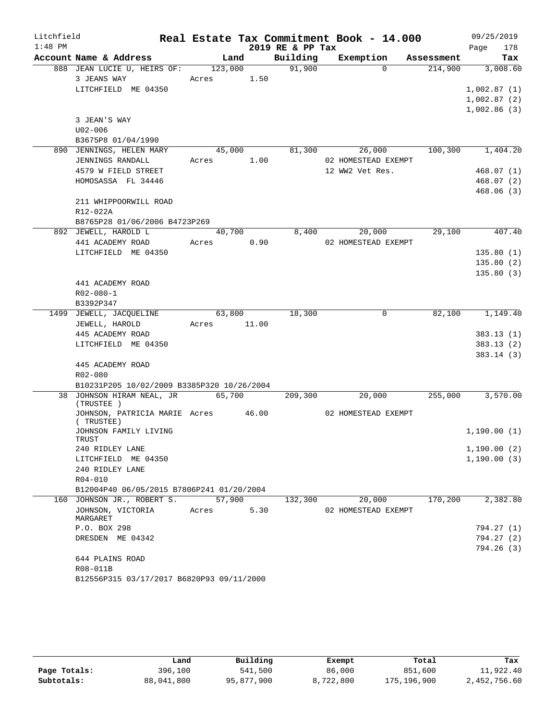| Litchfield |                                                  |       |         |       | Real Estate Tax Commitment Book - 14.000 |                     |            | 09/25/2019  |        |
|------------|--------------------------------------------------|-------|---------|-------|------------------------------------------|---------------------|------------|-------------|--------|
| $1:48$ PM  |                                                  |       |         |       | 2019 RE & PP Tax                         |                     |            | Page        | 178    |
|            | Account Name & Address                           |       | Land    |       | Building                                 | Exemption           | Assessment |             | Tax    |
|            | 888 JEAN LUCIE U, HEIRS OF:                      |       | 123,000 |       | 91,900                                   | $\Omega$            | 214,900    | 3,008.60    |        |
|            | 3 JEANS WAY                                      | Acres |         | 1.50  |                                          |                     |            |             |        |
|            | LITCHFIELD ME 04350                              |       |         |       |                                          |                     |            | 1,002.87(1) |        |
|            |                                                  |       |         |       |                                          |                     |            | 1,002.87(2) |        |
|            |                                                  |       |         |       |                                          |                     |            | 1,002.86(3) |        |
|            | 3 JEAN'S WAY                                     |       |         |       |                                          |                     |            |             |        |
|            | $U02 - 006$                                      |       |         |       |                                          |                     |            |             |        |
|            | B3675P8 01/04/1990                               |       |         |       |                                          |                     |            |             |        |
|            | 890 JENNINGS, HELEN MARY                         |       | 45,000  |       | 81,300                                   | 26,000              | 100,300    | 1,404.20    |        |
|            | JENNINGS RANDALL                                 | Acres |         | 1.00  |                                          | 02 HOMESTEAD EXEMPT |            |             |        |
|            | 4579 W FIELD STREET                              |       |         |       |                                          | 12 WW2 Vet Res.     |            | 468.07(1)   |        |
|            | HOMOSASSA FL 34446                               |       |         |       |                                          |                     |            | 468.07(2)   |        |
|            | 211 WHIPPOORWILL ROAD                            |       |         |       |                                          |                     |            | 468.06(3)   |        |
|            | R12-022A                                         |       |         |       |                                          |                     |            |             |        |
|            | B8765P28 01/06/2006 B4723P269                    |       |         |       |                                          |                     |            |             |        |
|            | 892 JEWELL, HAROLD L                             |       | 40,700  |       | 8,400                                    | 20,000              | 29,100     |             | 407.40 |
|            | 441 ACADEMY ROAD                                 | Acres |         | 0.90  |                                          | 02 HOMESTEAD EXEMPT |            |             |        |
|            | LITCHFIELD ME 04350                              |       |         |       |                                          |                     |            | 135.80(1)   |        |
|            |                                                  |       |         |       |                                          |                     |            | 135.80(2)   |        |
|            |                                                  |       |         |       |                                          |                     |            | 135.80(3)   |        |
|            | 441 ACADEMY ROAD                                 |       |         |       |                                          |                     |            |             |        |
|            | $R02 - 080 - 1$                                  |       |         |       |                                          |                     |            |             |        |
|            | B3392P347                                        |       |         |       |                                          |                     |            |             |        |
|            | 1499 JEWELL, JACQUELINE                          |       | 63,800  |       | 18,300                                   | 0                   | 82,100     | 1,149.40    |        |
|            | JEWELL, HAROLD                                   | Acres |         | 11.00 |                                          |                     |            |             |        |
|            | 445 ACADEMY ROAD                                 |       |         |       |                                          |                     |            | 383.13 (1)  |        |
|            | LITCHFIELD ME 04350                              |       |         |       |                                          |                     |            | 383.13(2)   |        |
|            |                                                  |       |         |       |                                          |                     |            | 383.14 (3)  |        |
|            | 445 ACADEMY ROAD                                 |       |         |       |                                          |                     |            |             |        |
|            | R02-080                                          |       |         |       |                                          |                     |            |             |        |
|            | B10231P205 10/02/2009 B3385P320 10/26/2004       |       |         |       |                                          |                     |            |             |        |
|            | 38 JOHNSON HIRAM NEAL, JR                        |       | 65,700  |       | 209,300                                  | 20,000              | 255,000    | 3,570.00    |        |
|            | (TRUSTEE)                                        |       |         |       |                                          |                     |            |             |        |
|            | JOHNSON, PATRICIA MARIE Acres 46.00<br>(TRUSTEE) |       |         |       |                                          | 02 HOMESTEAD EXEMPT |            |             |        |
|            | JOHNSON FAMILY LIVING                            |       |         |       |                                          |                     |            | 1,190.00(1) |        |
|            | TRUST                                            |       |         |       |                                          |                     |            |             |        |
|            | 240 RIDLEY LANE                                  |       |         |       |                                          |                     |            | 1,190.00(2) |        |
|            | LITCHFIELD ME 04350                              |       |         |       |                                          |                     |            | 1,190.00(3) |        |
|            | 240 RIDLEY LANE                                  |       |         |       |                                          |                     |            |             |        |
|            | $R04 - 010$                                      |       |         |       |                                          |                     |            |             |        |
|            | B12004P40 06/05/2015 B7806P241 01/20/2004        |       |         |       |                                          |                     |            |             |        |
|            | 160 JOHNSON JR., ROBERT S.                       |       | 57,900  |       | 132,300                                  | 20,000              | 170,200    | 2,382.80    |        |
|            | JOHNSON, VICTORIA                                |       | Acres   | 5.30  |                                          | 02 HOMESTEAD EXEMPT |            |             |        |
|            | MARGARET<br>P.O. BOX 298                         |       |         |       |                                          |                     |            | 794.27 (1)  |        |
|            | DRESDEN ME 04342                                 |       |         |       |                                          |                     |            | 794.27(2)   |        |
|            |                                                  |       |         |       |                                          |                     |            | 794.26 (3)  |        |
|            | 644 PLAINS ROAD                                  |       |         |       |                                          |                     |            |             |        |
|            | R08-011B                                         |       |         |       |                                          |                     |            |             |        |
|            | B12556P315 03/17/2017 B6820P93 09/11/2000        |       |         |       |                                          |                     |            |             |        |

|              | Land       | Building   | Exempt    | Total       | Tax          |
|--------------|------------|------------|-----------|-------------|--------------|
| Page Totals: | 396,100    | 541,500    | 86,000    | 851,600     | 11,922.40    |
| Subtotals:   | 88,041,800 | 95,877,900 | 8,722,800 | 175,196,900 | 2,452,756.60 |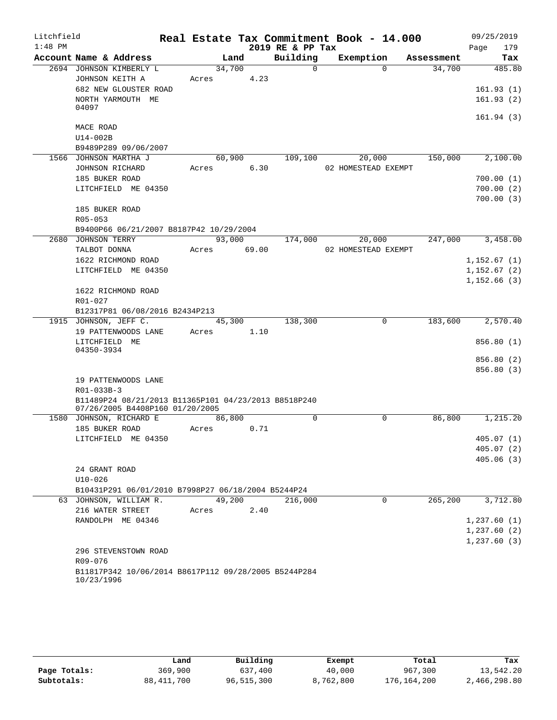| Litchfield |                    |                                                      |       |        |       | Real Estate Tax Commitment Book - 14.000 |                     |             |            |      | 09/25/2019                   |
|------------|--------------------|------------------------------------------------------|-------|--------|-------|------------------------------------------|---------------------|-------------|------------|------|------------------------------|
| $1:48$ PM  |                    |                                                      |       |        |       | 2019 RE & PP Tax                         |                     |             |            | Page | 179                          |
|            |                    | Account Name & Address                               |       | Land   |       | Building                                 | Exemption           |             | Assessment |      | Tax                          |
|            |                    | 2694 JOHNSON KIMBERLY L                              |       | 34,700 |       | $\Omega$                                 |                     | $\Omega$    | 34,700     |      | 485.80                       |
|            |                    | JOHNSON KEITH A                                      | Acres |        | 4.23  |                                          |                     |             |            |      |                              |
|            |                    | 682 NEW GLOUSTER ROAD                                |       |        |       |                                          |                     |             |            |      | 161.93(1)                    |
|            |                    | NORTH YARMOUTH ME                                    |       |        |       |                                          |                     |             |            |      | 161.93(2)                    |
|            | 04097              |                                                      |       |        |       |                                          |                     |             |            |      |                              |
|            | MACE ROAD          |                                                      |       |        |       |                                          |                     |             |            |      | 161.94(3)                    |
|            | $U14-002B$         |                                                      |       |        |       |                                          |                     |             |            |      |                              |
|            |                    | B9489P289 09/06/2007                                 |       |        |       |                                          |                     |             |            |      |                              |
|            |                    | 1566 JOHNSON MARTHA J                                |       | 60,900 |       | 109,100                                  | 20,000              |             | 150,000    |      | 2,100.00                     |
|            |                    | JOHNSON RICHARD                                      | Acres |        | 6.30  |                                          | 02 HOMESTEAD EXEMPT |             |            |      |                              |
|            | 185 BUKER ROAD     |                                                      |       |        |       |                                          |                     |             |            |      | 700.00(1)                    |
|            |                    | LITCHFIELD ME 04350                                  |       |        |       |                                          |                     |             |            |      | 700.00(2)                    |
|            |                    |                                                      |       |        |       |                                          |                     |             |            |      | 700.00(3)                    |
|            | 185 BUKER ROAD     |                                                      |       |        |       |                                          |                     |             |            |      |                              |
|            | R05-053            |                                                      |       |        |       |                                          |                     |             |            |      |                              |
|            |                    | B9400P66 06/21/2007 B8187P42 10/29/2004              |       |        |       |                                          |                     |             |            |      |                              |
|            | 2680 JOHNSON TERRY |                                                      |       | 93,000 |       | 174,000                                  | 20,000              |             | 247,000    |      | 3,458.00                     |
|            | TALBOT DONNA       |                                                      | Acres |        | 69.00 |                                          | 02 HOMESTEAD EXEMPT |             |            |      |                              |
|            |                    | 1622 RICHMOND ROAD                                   |       |        |       |                                          |                     |             |            |      | 1,152.67(1)                  |
|            |                    | LITCHFIELD ME 04350                                  |       |        |       |                                          |                     |             |            |      | 1,152.67(2)                  |
|            |                    |                                                      |       |        |       |                                          |                     |             |            |      | 1,152.66(3)                  |
|            |                    | 1622 RICHMOND ROAD                                   |       |        |       |                                          |                     |             |            |      |                              |
|            | R01-027            |                                                      |       |        |       |                                          |                     |             |            |      |                              |
|            |                    | B12317P81 06/08/2016 B2434P213                       |       |        |       |                                          |                     |             |            |      |                              |
|            |                    | 1915 JOHNSON, JEFF C.                                |       | 45,300 |       | 138,300                                  |                     | $\mathbf 0$ | 183,600    |      | 2,570.40                     |
|            |                    | 19 PATTENWOODS LANE                                  | Acres |        | 1.10  |                                          |                     |             |            |      |                              |
|            | LITCHFIELD ME      |                                                      |       |        |       |                                          |                     |             |            |      | 856.80 (1)                   |
|            | 04350-3934         |                                                      |       |        |       |                                          |                     |             |            |      | 856.80 (2)                   |
|            |                    |                                                      |       |        |       |                                          |                     |             |            |      | 856.80 (3)                   |
|            |                    | 19 PATTENWOODS LANE                                  |       |        |       |                                          |                     |             |            |      |                              |
|            | R01-033B-3         |                                                      |       |        |       |                                          |                     |             |            |      |                              |
|            |                    | B11489P24 08/21/2013 B11365P101 04/23/2013 B8518P240 |       |        |       |                                          |                     |             |            |      |                              |
|            |                    | 07/26/2005 B4408P160 01/20/2005                      |       |        |       |                                          |                     |             |            |      |                              |
|            |                    | 1580 JOHNSON, RICHARD E                              |       | 86,800 |       | $\Omega$                                 |                     | $\Omega$    | 86,800     |      | 1, 215.20                    |
|            | 185 BUKER ROAD     |                                                      | Acres |        | 0.71  |                                          |                     |             |            |      |                              |
|            |                    | LITCHFIELD ME 04350                                  |       |        |       |                                          |                     |             |            |      | 405.07(1)                    |
|            |                    |                                                      |       |        |       |                                          |                     |             |            |      | 405.07(2)                    |
|            |                    |                                                      |       |        |       |                                          |                     |             |            |      | 405.06(3)                    |
|            | 24 GRANT ROAD      |                                                      |       |        |       |                                          |                     |             |            |      |                              |
|            | $U10 - 026$        |                                                      |       |        |       |                                          |                     |             |            |      |                              |
|            |                    | B10431P291 06/01/2010 B7998P27 06/18/2004 B5244P24   |       |        |       |                                          |                     |             |            |      |                              |
|            |                    | 63 JOHNSON, WILLIAM R.                               |       | 49,200 |       | 216,000                                  |                     | $\Omega$    | 265,200    |      | 3,712.80                     |
|            |                    | 216 WATER STREET                                     | Acres |        | 2.40  |                                          |                     |             |            |      |                              |
|            |                    | RANDOLPH ME 04346                                    |       |        |       |                                          |                     |             |            |      | 1, 237.60(1)                 |
|            |                    |                                                      |       |        |       |                                          |                     |             |            |      | 1, 237.60(2)<br>1, 237.60(3) |
|            |                    | 296 STEVENSTOWN ROAD                                 |       |        |       |                                          |                     |             |            |      |                              |
|            | R09-076            |                                                      |       |        |       |                                          |                     |             |            |      |                              |
|            |                    | B11817P342 10/06/2014 B8617P112 09/28/2005 B5244P284 |       |        |       |                                          |                     |             |            |      |                              |
|            | 10/23/1996         |                                                      |       |        |       |                                          |                     |             |            |      |                              |

|              | Land         | Building   | Exempt    | Total       | Tax          |
|--------------|--------------|------------|-----------|-------------|--------------|
| Page Totals: | 369,900      | 637,400    | 40,000    | 967,300     | 13,542.20    |
| Subtotals:   | 88, 411, 700 | 96,515,300 | 8,762,800 | 176,164,200 | 2,466,298.80 |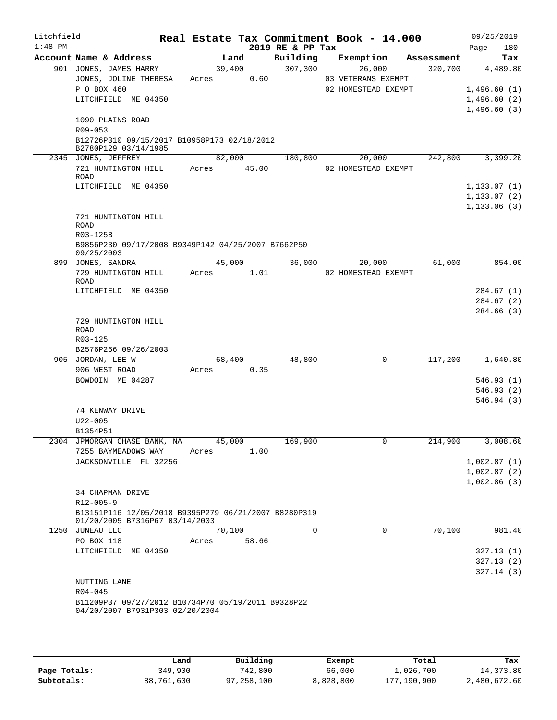| Litchfield<br>$1:48$ PM |                                                                                        |        |        |      | 2019 RE & PP Tax | Real Estate Tax Commitment Book - 14.000 |            | 09/25/2019<br>Page<br>180 |
|-------------------------|----------------------------------------------------------------------------------------|--------|--------|------|------------------|------------------------------------------|------------|---------------------------|
|                         | Account Name & Address                                                                 |        | Land   |      | Building         | Exemption                                | Assessment | Tax                       |
|                         | 901 JONES, JAMES HARRY                                                                 |        | 39,400 |      | 307,300          | 26,000                                   | 320,700    | 4,489.80                  |
|                         | JONES, JOLINE THERESA                                                                  | Acres  |        | 0.60 |                  | 03 VETERANS EXEMPT                       |            |                           |
|                         | P O BOX 460                                                                            |        |        |      |                  | 02 HOMESTEAD EXEMPT                      |            | 1,496.60(1)               |
|                         | LITCHFIELD ME 04350                                                                    |        |        |      |                  |                                          |            | 1,496.60(2)               |
|                         |                                                                                        |        |        |      |                  |                                          |            | 1,496.60(3)               |
|                         | 1090 PLAINS ROAD<br>$R09 - 053$                                                        |        |        |      |                  |                                          |            |                           |
|                         | B12726P310 09/15/2017 B10958P173 02/18/2012                                            |        |        |      |                  |                                          |            |                           |
|                         | B2780P129 03/14/1985                                                                   |        |        |      |                  |                                          |            |                           |
|                         | 2345 JONES, JEFFREY                                                                    |        | 82,000 |      | 180,800          | 20,000                                   | 242,800    | 3,399.20                  |
|                         | 721 HUNTINGTON HILL                                                                    | Acres  | 45.00  |      |                  | 02 HOMESTEAD EXEMPT                      |            |                           |
|                         | ROAD                                                                                   |        |        |      |                  |                                          |            |                           |
|                         | LITCHFIELD ME 04350                                                                    |        |        |      |                  |                                          |            | 1, 133.07(1)              |
|                         |                                                                                        |        |        |      |                  |                                          |            | 1,133.07(2)               |
|                         | 721 HUNTINGTON HILL                                                                    |        |        |      |                  |                                          |            | 1, 133.06(3)              |
|                         | ROAD                                                                                   |        |        |      |                  |                                          |            |                           |
|                         | R03-125B                                                                               |        |        |      |                  |                                          |            |                           |
|                         | B9856P230 09/17/2008 B9349P142 04/25/2007 B7662P50                                     |        |        |      |                  |                                          |            |                           |
|                         | 09/25/2003                                                                             |        |        |      |                  |                                          |            |                           |
|                         | 899 JONES, SANDRA                                                                      |        | 45,000 |      | 36,000           | 20,000                                   | 61,000     | 854.00                    |
|                         | 729 HUNTINGTON HILL<br>ROAD                                                            | Acres  |        | 1.01 |                  | 02 HOMESTEAD EXEMPT                      |            |                           |
|                         | LITCHFIELD ME 04350                                                                    |        |        |      |                  |                                          |            | 284.67 (1)                |
|                         |                                                                                        |        |        |      |                  |                                          |            | 284.67(2)                 |
|                         |                                                                                        |        |        |      |                  |                                          |            | 284.66 (3)                |
|                         | 729 HUNTINGTON HILL                                                                    |        |        |      |                  |                                          |            |                           |
|                         | <b>ROAD</b>                                                                            |        |        |      |                  |                                          |            |                           |
|                         | R03-125                                                                                |        |        |      |                  |                                          |            |                           |
|                         | B2576P266 09/26/2003                                                                   |        |        |      |                  |                                          |            |                           |
|                         | 905 JORDAN, LEE W                                                                      |        | 68,400 |      | 48,800           | $\mathbf 0$                              | 117,200    | 1,640.80                  |
|                         | 906 WEST ROAD<br>BOWDOIN ME 04287                                                      | Acres  | 0.35   |      |                  |                                          |            | 546.93(1)                 |
|                         |                                                                                        |        |        |      |                  |                                          |            | 546.93 (2)                |
|                         |                                                                                        |        |        |      |                  |                                          |            | 546.94 (3)                |
|                         | 74 KENWAY DRIVE                                                                        |        |        |      |                  |                                          |            |                           |
|                         | $U22 - 005$                                                                            |        |        |      |                  |                                          |            |                           |
|                         | B1354P51                                                                               |        |        |      |                  |                                          |            |                           |
|                         | 2304 JPMORGAN CHASE BANK, NA                                                           | 45,000 |        |      | 169,900          | 0                                        | 214,900    | 3,008.60                  |
|                         | 7255 BAYMEADOWS WAY                                                                    | Acres  |        | 1.00 |                  |                                          |            |                           |
|                         | JACKSONVILLE FL 32256                                                                  |        |        |      |                  |                                          |            | 1,002.87(1)               |
|                         |                                                                                        |        |        |      |                  |                                          |            | 1,002.87(2)               |
|                         |                                                                                        |        |        |      |                  |                                          |            | 1,002.86(3)               |
|                         | 34 CHAPMAN DRIVE                                                                       |        |        |      |                  |                                          |            |                           |
|                         | $R12 - 005 - 9$                                                                        |        |        |      |                  |                                          |            |                           |
|                         | B13151P116 12/05/2018 B9395P279 06/21/2007 B8280P319<br>01/20/2005 B7316P67 03/14/2003 |        |        |      |                  |                                          |            |                           |
|                         | 1250 JUNEAU LLC                                                                        |        | 70,100 |      | $\Omega$         | $\mathbf 0$                              | 70,100     | 981.40                    |
|                         | PO BOX 118                                                                             | Acres  | 58.66  |      |                  |                                          |            |                           |
|                         | LITCHFIELD ME 04350                                                                    |        |        |      |                  |                                          |            | 327.13(1)                 |
|                         |                                                                                        |        |        |      |                  |                                          |            | 327.13(2)                 |
|                         |                                                                                        |        |        |      |                  |                                          |            | 327.14(3)                 |
|                         | NUTTING LANE                                                                           |        |        |      |                  |                                          |            |                           |
|                         | $R04 - 045$                                                                            |        |        |      |                  |                                          |            |                           |
|                         | B11209P37 09/27/2012 B10734P70 05/19/2011 B9328P22                                     |        |        |      |                  |                                          |            |                           |
|                         | 04/20/2007 B7931P303 02/20/2004                                                        |        |        |      |                  |                                          |            |                           |
|                         |                                                                                        |        |        |      |                  |                                          |            |                           |

|              | Land       | Building   | Exempt    | Total       | Tax          |
|--------------|------------|------------|-----------|-------------|--------------|
| Page Totals: | 349,900    | 742,800    | 66,000    | l,026,700   | 14,373.80    |
| Subtotals:   | 88,761,600 | 97,258,100 | 8,828,800 | 177,190,900 | 2,480,672.60 |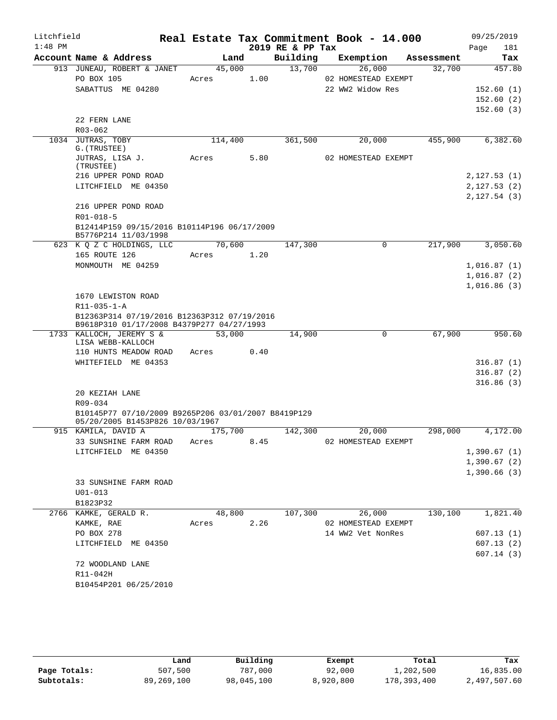| Litchfield<br>$1:48$ PM |                                                                                          |         |      | 2019 RE & PP Tax | Real Estate Tax Commitment Book - 14.000 |            | 09/25/2019<br>Page<br>181 |
|-------------------------|------------------------------------------------------------------------------------------|---------|------|------------------|------------------------------------------|------------|---------------------------|
|                         | Account Name & Address                                                                   | Land    |      | Building         | Exemption                                | Assessment | Tax                       |
|                         | 913 JUNEAU, ROBERT & JANET                                                               | 45,000  |      | 13,700           | 26,000                                   | 32,700     | 457.80                    |
|                         | PO BOX 105                                                                               | Acres   | 1.00 |                  | 02 HOMESTEAD EXEMPT                      |            |                           |
|                         | SABATTUS ME 04280                                                                        |         |      |                  | 22 WW2 Widow Res                         |            | 152.60(1)                 |
|                         |                                                                                          |         |      |                  |                                          |            | 152.60(2)                 |
|                         |                                                                                          |         |      |                  |                                          |            | 152.60(3)                 |
|                         | 22 FERN LANE                                                                             |         |      |                  |                                          |            |                           |
|                         | R03-062                                                                                  |         |      |                  |                                          |            |                           |
|                         | 1034 JUTRAS, TOBY<br>G. (TRUSTEE)                                                        | 114,400 |      | 361,500          | 20,000                                   | 455,900    | 6,382.60                  |
|                         | JUTRAS, LISA J.                                                                          | Acres   | 5.80 |                  | 02 HOMESTEAD EXEMPT                      |            |                           |
|                         | (TRUSTEE)                                                                                |         |      |                  |                                          |            |                           |
|                         | 216 UPPER POND ROAD                                                                      |         |      |                  |                                          |            | 2,127.53(1)               |
|                         | LITCHFIELD ME 04350                                                                      |         |      |                  |                                          |            | 2,127.53(2)               |
|                         |                                                                                          |         |      |                  |                                          |            | 2,127.54(3)               |
|                         | 216 UPPER POND ROAD                                                                      |         |      |                  |                                          |            |                           |
|                         | R01-018-5                                                                                |         |      |                  |                                          |            |                           |
|                         | B12414P159 09/15/2016 B10114P196 06/17/2009                                              |         |      |                  |                                          |            |                           |
|                         | B5776P214 11/03/1998<br>623 K Q Z C HOLDINGS, LLC                                        | 70,600  |      | 147,300          | 0                                        | 217,900    | 3,050.60                  |
|                         | 165 ROUTE 126                                                                            | Acres   | 1.20 |                  |                                          |            |                           |
|                         | MONMOUTH ME 04259                                                                        |         |      |                  |                                          |            | 1,016.87(1)               |
|                         |                                                                                          |         |      |                  |                                          |            | 1,016.87(2)               |
|                         |                                                                                          |         |      |                  |                                          |            | 1,016.86(3)               |
|                         | 1670 LEWISTON ROAD                                                                       |         |      |                  |                                          |            |                           |
|                         | $R11 - 035 - 1 - A$                                                                      |         |      |                  |                                          |            |                           |
|                         | B12363P314 07/19/2016 B12363P312 07/19/2016<br>B9618P310 01/17/2008 B4379P277 04/27/1993 |         |      |                  |                                          |            |                           |
|                         | 1733 KALLOCH, JEREMY S &                                                                 | 53,000  |      | 14,900           | 0                                        | 67,900     | 950.60                    |
|                         | LISA WEBB-KALLOCH                                                                        |         |      |                  |                                          |            |                           |
|                         | 110 HUNTS MEADOW ROAD                                                                    | Acres   | 0.40 |                  |                                          |            |                           |
|                         | WHITEFIELD ME 04353                                                                      |         |      |                  |                                          |            | 316.87(1)<br>316.87(2)    |
|                         |                                                                                          |         |      |                  |                                          |            | 316.86(3)                 |
|                         | 20 KEZIAH LANE                                                                           |         |      |                  |                                          |            |                           |
|                         | R09-034                                                                                  |         |      |                  |                                          |            |                           |
|                         | B10145P77 07/10/2009 B9265P206 03/01/2007 B8419P129                                      |         |      |                  |                                          |            |                           |
|                         | 05/20/2005 B1453P826 10/03/1967                                                          |         |      |                  |                                          |            |                           |
|                         | 915 KAMILA, DAVID A                                                                      | 175,700 |      | 142,300          | 20,000                                   | 298,000    | 4,172.00                  |
|                         | 33 SUNSHINE FARM ROAD                                                                    | Acres   | 8.45 |                  | 02 HOMESTEAD EXEMPT                      |            |                           |
|                         | LITCHFIELD ME 04350                                                                      |         |      |                  |                                          |            | 1,390.67(1)               |
|                         |                                                                                          |         |      |                  |                                          |            | 1,390.67(2)               |
|                         |                                                                                          |         |      |                  |                                          |            | 1,390.66(3)               |
|                         | 33 SUNSHINE FARM ROAD                                                                    |         |      |                  |                                          |            |                           |
|                         | $U01 - 013$                                                                              |         |      |                  |                                          |            |                           |
|                         | B1823P32<br>2766 KAMKE, GERALD R.                                                        | 48,800  |      | 107,300          | 26,000                                   | 130,100    | 1,821.40                  |
|                         | KAMKE, RAE                                                                               | Acres   | 2.26 |                  | 02 HOMESTEAD EXEMPT                      |            |                           |
|                         | PO BOX 278                                                                               |         |      |                  | 14 WW2 Vet NonRes                        |            | 607.13(1)                 |
|                         | LITCHFIELD ME 04350                                                                      |         |      |                  |                                          |            | 607.13(2)                 |
|                         |                                                                                          |         |      |                  |                                          |            | 607.14(3)                 |
|                         | 72 WOODLAND LANE                                                                         |         |      |                  |                                          |            |                           |
|                         | R11-042H                                                                                 |         |      |                  |                                          |            |                           |
|                         | B10454P201 06/25/2010                                                                    |         |      |                  |                                          |            |                           |
|                         |                                                                                          |         |      |                  |                                          |            |                           |
|                         |                                                                                          |         |      |                  |                                          |            |                           |

|              | Land       | Building   | Exempt    | Total       | Tax          |
|--------------|------------|------------|-----------|-------------|--------------|
| Page Totals: | 507,500    | 787,000    | 92,000    | 1,202,500   | 16,835.00    |
| Subtotals:   | 89,269,100 | 98,045,100 | 8,920,800 | 178,393,400 | 2,497,507.60 |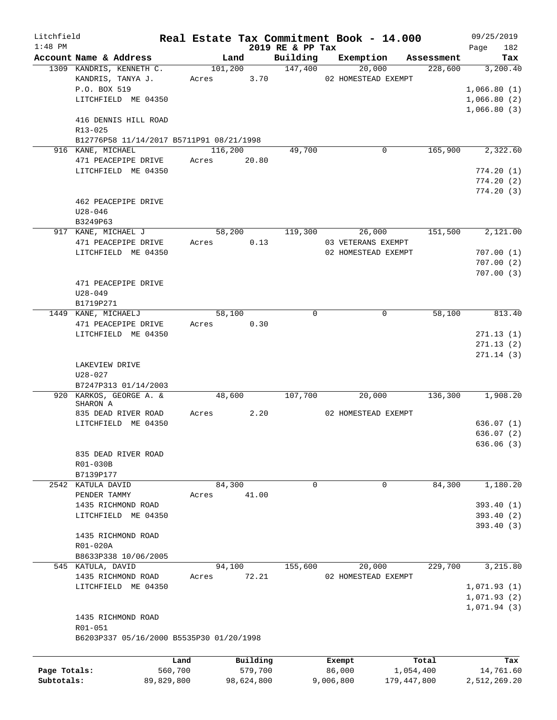| Litchfield   |                                                    |            |         |                 |                     | Real Estate Tax Commitment Book - 14.000 |                       | 09/25/2019      |
|--------------|----------------------------------------------------|------------|---------|-----------------|---------------------|------------------------------------------|-----------------------|-----------------|
| $1:48$ PM    |                                                    |            |         |                 | 2019 RE & PP Tax    |                                          |                       | 182<br>Page     |
|              | Account Name & Address<br>1309 KANDRIS, KENNETH C. |            |         | Land<br>101,200 | Building<br>147,400 | Exemption<br>20,000                      | Assessment<br>228,600 | Tax<br>3,200.40 |
|              | KANDRIS, TANYA J.                                  |            | Acres   | 3.70            |                     | 02 HOMESTEAD EXEMPT                      |                       |                 |
|              | P.O. BOX 519                                       |            |         |                 |                     |                                          |                       | 1,066.80(1)     |
|              | LITCHFIELD ME 04350                                |            |         |                 |                     |                                          |                       | 1,066.80(2)     |
|              |                                                    |            |         |                 |                     |                                          |                       | 1,066.80(3)     |
|              | 416 DENNIS HILL ROAD                               |            |         |                 |                     |                                          |                       |                 |
|              | $R13 - 025$                                        |            |         |                 |                     |                                          |                       |                 |
|              | B12776P58 11/14/2017 B5711P91 08/21/1998           |            |         |                 |                     |                                          |                       |                 |
|              | 916 KANE, MICHAEL                                  |            | 116,200 |                 | 49,700              | 0                                        | 165,900               | 2,322.60        |
|              | 471 PEACEPIPE DRIVE                                |            | Acres   | 20.80           |                     |                                          |                       |                 |
|              | LITCHFIELD ME 04350                                |            |         |                 |                     |                                          |                       | 774.20(1)       |
|              |                                                    |            |         |                 |                     |                                          |                       | 774.20(2)       |
|              |                                                    |            |         |                 |                     |                                          |                       | 774.20(3)       |
|              | 462 PEACEPIPE DRIVE                                |            |         |                 |                     |                                          |                       |                 |
|              | $U28 - 046$                                        |            |         |                 |                     |                                          |                       |                 |
|              |                                                    |            |         |                 |                     |                                          |                       |                 |
|              | B3249P63                                           |            |         |                 |                     |                                          |                       |                 |
|              | 917 KANE, MICHAEL J                                |            |         | 58,200          | 119,300             | 26,000                                   | 151,500               | 2,121.00        |
|              | 471 PEACEPIPE DRIVE                                |            | Acres   | 0.13            |                     | 03 VETERANS EXEMPT                       |                       |                 |
|              | LITCHFIELD ME 04350                                |            |         |                 |                     | 02 HOMESTEAD EXEMPT                      |                       | 707.00(1)       |
|              |                                                    |            |         |                 |                     |                                          |                       | 707.00(2)       |
|              |                                                    |            |         |                 |                     |                                          |                       | 707.00(3)       |
|              | 471 PEACEPIPE DRIVE                                |            |         |                 |                     |                                          |                       |                 |
|              | $U28 - 049$                                        |            |         |                 |                     |                                          |                       |                 |
|              | B1719P271                                          |            |         |                 |                     |                                          |                       |                 |
|              | 1449 KANE, MICHAELJ                                |            |         | 58,100          | $\mathbf 0$         | $\mathbf 0$                              | 58,100                | 813.40          |
|              | 471 PEACEPIPE DRIVE                                |            | Acres   | 0.30            |                     |                                          |                       |                 |
|              | LITCHFIELD ME 04350                                |            |         |                 |                     |                                          |                       | 271.13(1)       |
|              |                                                    |            |         |                 |                     |                                          |                       | 271.13(2)       |
|              |                                                    |            |         |                 |                     |                                          |                       | 271.14(3)       |
|              | LAKEVIEW DRIVE                                     |            |         |                 |                     |                                          |                       |                 |
|              | $U28 - 027$                                        |            |         |                 |                     |                                          |                       |                 |
|              | B7247P313 01/14/2003                               |            |         |                 |                     |                                          |                       |                 |
|              | 920 KARKOS, GEORGE A. &                            |            |         | 48,600          | 107,700             | 20,000                                   | 136,300               | 1,908.20        |
|              | SHARON A                                           |            |         |                 |                     |                                          |                       |                 |
|              | 835 DEAD RIVER ROAD                                |            | Acres   | 2.20            |                     | 02 HOMESTEAD EXEMPT                      |                       |                 |
|              | LITCHFIELD ME 04350                                |            |         |                 |                     |                                          |                       | 636.07(1)       |
|              |                                                    |            |         |                 |                     |                                          |                       | 636.07(2)       |
|              |                                                    |            |         |                 |                     |                                          |                       | 636.06 (3)      |
|              | 835 DEAD RIVER ROAD                                |            |         |                 |                     |                                          |                       |                 |
|              | R01-030B                                           |            |         |                 |                     |                                          |                       |                 |
|              | B7139P177                                          |            |         |                 |                     |                                          |                       |                 |
|              | 2542 KATULA DAVID                                  |            |         | 84,300          | 0                   | 0                                        | 84,300                | 1,180.20        |
|              | PENDER TAMMY                                       |            | Acres   | 41.00           |                     |                                          |                       |                 |
|              | 1435 RICHMOND ROAD                                 |            |         |                 |                     |                                          |                       | 393.40(1)       |
|              | LITCHFIELD ME 04350                                |            |         |                 |                     |                                          |                       | 393.40 (2)      |
|              |                                                    |            |         |                 |                     |                                          |                       | 393.40(3)       |
|              | 1435 RICHMOND ROAD                                 |            |         |                 |                     |                                          |                       |                 |
|              | R01-020A                                           |            |         |                 |                     |                                          |                       |                 |
|              | B8633P338 10/06/2005                               |            |         |                 |                     |                                          |                       |                 |
|              | 545 KATULA, DAVID                                  |            |         | 94,100          | 155,600             | 20,000                                   | 229,700               | 3,215.80        |
|              | 1435 RICHMOND ROAD                                 |            | Acres   | 72.21           |                     | 02 HOMESTEAD EXEMPT                      |                       |                 |
|              | LITCHFIELD ME 04350                                |            |         |                 |                     |                                          |                       | 1,071.93(1)     |
|              |                                                    |            |         |                 |                     |                                          |                       | 1,071.93(2)     |
|              |                                                    |            |         |                 |                     |                                          |                       |                 |
|              |                                                    |            |         |                 |                     |                                          |                       | 1,071.94(3)     |
|              | 1435 RICHMOND ROAD                                 |            |         |                 |                     |                                          |                       |                 |
|              | R01-051                                            |            |         |                 |                     |                                          |                       |                 |
|              | B6203P337 05/16/2000 B5535P30 01/20/1998           |            |         |                 |                     |                                          |                       |                 |
|              |                                                    |            |         |                 |                     |                                          |                       |                 |
|              |                                                    | Land       |         | Building        |                     | Exempt                                   | Total                 | Tax             |
| Page Totals: |                                                    | 560,700    |         | 579,700         |                     | 86,000                                   | 1,054,400             | 14,761.60       |
| Subtotals:   |                                                    | 89,829,800 |         | 98,624,800      |                     | 9,006,800<br>179,447,800                 |                       | 2,512,269.20    |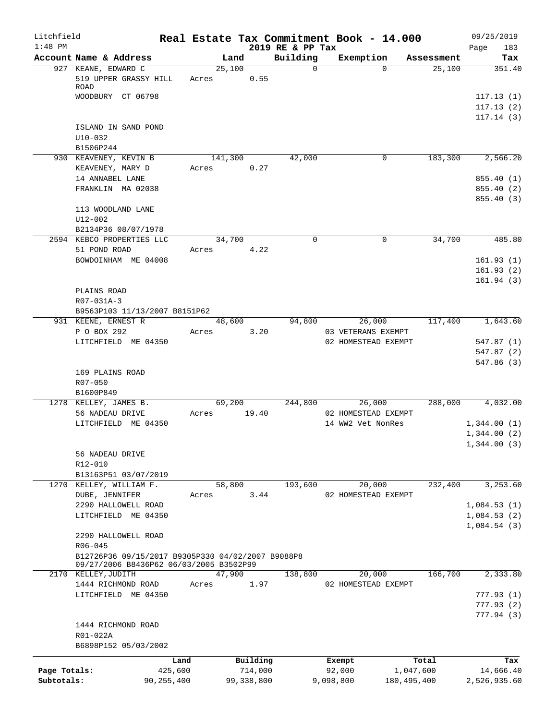| Litchfield<br>$1:48$ PM |                                                                                                                                    |       |         |                     | Real Estate Tax Commitment Book - 14.000<br>2019 RE & PP Tax |                  |                               |                    | 09/25/2019<br>183<br>Page                 |
|-------------------------|------------------------------------------------------------------------------------------------------------------------------------|-------|---------|---------------------|--------------------------------------------------------------|------------------|-------------------------------|--------------------|-------------------------------------------|
|                         | Account Name & Address                                                                                                             |       |         | Land                | Building                                                     |                  | Exemption                     | Assessment         | Tax                                       |
|                         | 927 KEANE, EDWARD C<br>519 UPPER GRASSY HILL Acres 0.55<br>ROAD<br>WOODBURY CT 06798                                               |       | 25,100  |                     | $\Omega$                                                     |                  | $\Omega$                      | 25,100             | 351.40<br>117.13(1)                       |
|                         | ISLAND IN SAND POND                                                                                                                |       |         |                     |                                                              |                  |                               |                    | 117.13(2)<br>117.14(3)                    |
|                         | $U10 - 032$<br>B1506P244                                                                                                           |       |         |                     |                                                              |                  |                               |                    |                                           |
|                         | 930 KEAVENEY, KEVIN B<br>KEAVENEY, MARY D                                                                                          | Acres | 141,300 | 0.27                | 42,000                                                       |                  | 0                             |                    | 183,300 2,566.20                          |
|                         | 14 ANNABEL LANE<br>FRANKLIN MA 02038                                                                                               |       |         |                     |                                                              |                  |                               |                    | 855.40 (1)<br>855.40 (2)<br>855.40 (3)    |
|                         | 113 WOODLAND LANE<br>$U12 - 002$                                                                                                   |       |         |                     |                                                              |                  |                               |                    |                                           |
|                         | B2134P36 08/07/1978<br>2594 KEBCO PROPERTIES LLC                                                                                   |       | 34,700  |                     | $\mathbf 0$                                                  |                  | $\mathbf 0$                   | 34,700             | 485.80                                    |
|                         | 51 POND ROAD<br>BOWDOINHAM ME 04008                                                                                                | Acres |         | 4.22                |                                                              |                  |                               |                    | 161.93(1)<br>161.93(2)<br>161.94(3)       |
|                         | PLAINS ROAD<br>R07-031A-3<br>B9563P103 11/13/2007 B8151P62                                                                         |       |         |                     |                                                              |                  |                               |                    |                                           |
|                         | 931 KEENE, ERNEST R<br>P O BOX 292                                                                                                 | Acres | 48,600  | 3.20                | 94,800                                                       |                  | 26,000<br>03 VETERANS EXEMPT  | 117,400            | 1,643.60                                  |
|                         | LITCHFIELD ME 04350                                                                                                                |       |         |                     |                                                              |                  | 02 HOMESTEAD EXEMPT           |                    | 547.87(1)<br>547.87 (2)<br>547.86(3)      |
|                         | 169 PLAINS ROAD<br>R07-050<br>B1600P849                                                                                            |       |         |                     |                                                              |                  |                               |                    |                                           |
|                         | 1278 KELLEY, JAMES B.<br>56 NADEAU DRIVE                                                                                           | Acres | 69,200  | 19.40               |                                                              | 244,800          | 26,000<br>02 HOMESTEAD EXEMPT |                    | 288,000 4,032.00                          |
|                         | LITCHFIELD ME 04350                                                                                                                |       |         |                     |                                                              |                  | 14 WW2 Vet NonRes             |                    | 1,344.00(1)<br>1,344.00(2)<br>1,344.00(3) |
|                         | 56 NADEAU DRIVE<br>R12-010                                                                                                         |       |         |                     |                                                              |                  |                               |                    |                                           |
|                         | B13163P51 03/07/2019<br>1270 KELLEY, WILLIAM F.<br>DUBE, JENNIFER                                                                  | Acres | 58,800  | 3.44                | 193,600                                                      |                  | 20,000<br>02 HOMESTEAD EXEMPT | 232,400            | 3,253.60                                  |
|                         | 2290 HALLOWELL ROAD                                                                                                                |       |         |                     |                                                              |                  |                               |                    | 1,084.53(1)                               |
|                         | LITCHFIELD ME 04350                                                                                                                |       |         |                     |                                                              |                  |                               |                    | 1,084.53(2)<br>1,084.54(3)                |
|                         | 2290 HALLOWELL ROAD<br>$R06 - 045$<br>B12726P36 09/15/2017 B9305P330 04/02/2007 B9088P8<br>09/27/2006 B8436P62 06/03/2005 B3502P99 |       |         |                     |                                                              |                  |                               |                    |                                           |
|                         | 2170 KELLEY, JUDITH                                                                                                                |       | 47,900  |                     | 138,800                                                      |                  | 20,000                        | 166,700            | 2,333.80                                  |
|                         | 1444 RICHMOND ROAD<br>LITCHFIELD ME 04350                                                                                          | Acres |         | 1.97                |                                                              |                  | 02 HOMESTEAD EXEMPT           |                    | 777.93(1)<br>777.93(2)                    |
|                         | 1444 RICHMOND ROAD<br>R01-022A                                                                                                     |       |         |                     |                                                              |                  |                               |                    | 777.94(3)                                 |
|                         | B6898P152 05/03/2002                                                                                                               |       |         |                     |                                                              |                  |                               |                    |                                           |
| Page Totals:            | 425,600                                                                                                                            | Land  |         | Building<br>714,000 |                                                              | Exempt<br>92,000 |                               | Total<br>1,047,600 | Tax<br>14,666.40                          |
| Subtotals:              | 90, 255, 400                                                                                                                       |       |         | 99,338,800          |                                                              | 9,098,800        | 180, 495, 400                 |                    | 2,526,935.60                              |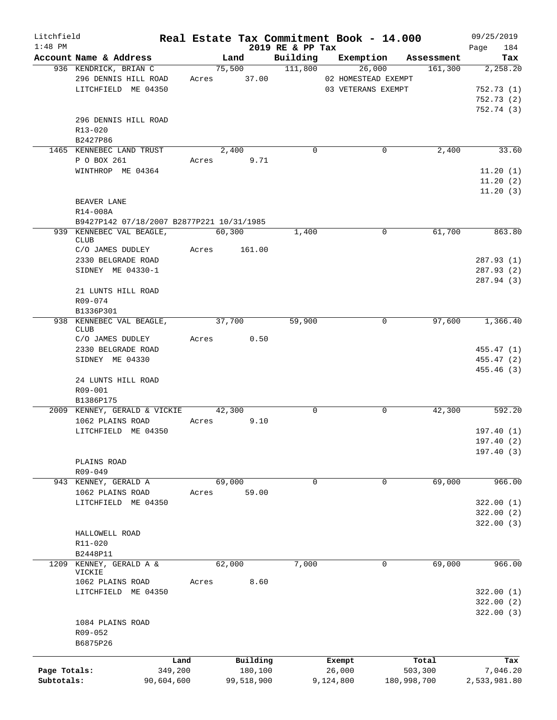| Litchfield<br>$1:48$ PM |                                           |       |             | 2019 RE & PP Tax     | Real Estate Tax Commitment Book - 14.000 |             | 09/25/2019<br>184<br>Page |
|-------------------------|-------------------------------------------|-------|-------------|----------------------|------------------------------------------|-------------|---------------------------|
|                         | Account Name & Address                    |       | Land        |                      | Building Exemption Assessment            |             | Tax                       |
|                         | 936 KENDRICK, BRIAN C                     |       | 75,500      | $\overline{111,800}$ | 26,000                                   | 161,300     | 2,258.20                  |
|                         | 296 DENNIS HILL ROAD                      |       | Acres 37.00 |                      | 02 HOMESTEAD EXEMPT                      |             |                           |
|                         | LITCHFIELD ME 04350                       |       |             |                      | 03 VETERANS EXEMPT                       |             | 752.73(1)                 |
|                         |                                           |       |             |                      |                                          |             | 752.73(2)                 |
|                         |                                           |       |             |                      |                                          |             | 752.74 (3)                |
|                         | 296 DENNIS HILL ROAD                      |       |             |                      |                                          |             |                           |
|                         | $R13 - 020$                               |       |             |                      |                                          |             |                           |
|                         |                                           |       |             |                      |                                          |             |                           |
|                         | B2427P86                                  |       |             |                      |                                          |             |                           |
|                         | 1465 KENNEBEC LAND TRUST                  |       | 2,400       | $\mathbf 0$          | $\mathbf 0$                              | 2,400       | 33.60                     |
|                         | P O BOX 261                               |       | Acres 9.71  |                      |                                          |             |                           |
|                         | WINTHROP ME 04364                         |       |             |                      |                                          |             | 11.20(1)                  |
|                         |                                           |       |             |                      |                                          |             | 11.20(2)                  |
|                         |                                           |       |             |                      |                                          |             | 11.20(3)                  |
|                         | BEAVER LANE                               |       |             |                      |                                          |             |                           |
|                         | R14-008A                                  |       |             |                      |                                          |             |                           |
|                         | B9427P142 07/18/2007 B2877P221 10/31/1985 |       |             |                      |                                          |             |                           |
|                         | 939 KENNEBEC VAL BEAGLE,                  |       | 60,300      | 1,400                | $\mathbf 0$                              | 61,700      | 863.80                    |
|                         | <b>CLUB</b>                               |       |             |                      |                                          |             |                           |
|                         | C/O JAMES DUDLEY                          | Acres | 161.00      |                      |                                          |             |                           |
|                         | 2330 BELGRADE ROAD                        |       |             |                      |                                          |             | 287.93 (1)                |
|                         | SIDNEY ME 04330-1                         |       |             |                      |                                          |             | 287.93 (2)                |
|                         |                                           |       |             |                      |                                          |             | 287.94 (3)                |
|                         | 21 LUNTS HILL ROAD                        |       |             |                      |                                          |             |                           |
|                         | R09-074                                   |       |             |                      |                                          |             |                           |
|                         |                                           |       |             |                      |                                          |             |                           |
|                         | B1336P301                                 |       |             |                      |                                          |             |                           |
|                         | 938 KENNEBEC VAL BEAGLE,<br><b>CLUB</b>   |       | 37,700      | 59,900               | 0                                        | 97,600      | 1,366.40                  |
|                         | C/O JAMES DUDLEY                          |       | Acres 0.50  |                      |                                          |             |                           |
|                         | 2330 BELGRADE ROAD                        |       |             |                      |                                          |             | 455.47 (1)                |
|                         | SIDNEY ME 04330                           |       |             |                      |                                          |             | 455.47 (2)                |
|                         |                                           |       |             |                      |                                          |             |                           |
|                         |                                           |       |             |                      |                                          |             | 455.46 (3)                |
|                         | 24 LUNTS HILL ROAD                        |       |             |                      |                                          |             |                           |
|                         | R09-001                                   |       |             |                      |                                          |             |                           |
|                         | B1386P175                                 |       |             |                      |                                          |             |                           |
|                         | 2009 KENNEY, GERALD & VICKIE              |       | 42,300      | $\mathbf 0$          | 0                                        | 42,300      | 592.20                    |
|                         | 1062 PLAINS ROAD                          |       | Acres 9.10  |                      |                                          |             |                           |
|                         | LITCHFIELD ME 04350                       |       |             |                      |                                          |             | 197.40(1)                 |
|                         |                                           |       |             |                      |                                          |             | 197.40 (2)                |
|                         |                                           |       |             |                      |                                          |             | 197.40(3)                 |
|                         | PLAINS ROAD                               |       |             |                      |                                          |             |                           |
|                         | R09-049                                   |       |             |                      |                                          |             |                           |
| 943                     | KENNEY, GERALD A                          |       | 69,000      | $\mathbf 0$          | 0                                        | 69,000      | 966.00                    |
|                         | 1062 PLAINS ROAD                          | Acres | 59.00       |                      |                                          |             |                           |
|                         | LITCHFIELD ME 04350                       |       |             |                      |                                          |             | 322.00(1)                 |
|                         |                                           |       |             |                      |                                          |             | 322.00 (2)                |
|                         |                                           |       |             |                      |                                          |             |                           |
|                         |                                           |       |             |                      |                                          |             | 322.00(3)                 |
|                         | HALLOWELL ROAD                            |       |             |                      |                                          |             |                           |
|                         | R11-020                                   |       |             |                      |                                          |             |                           |
|                         | B2448P11                                  |       |             |                      |                                          |             |                           |
| 1209                    | KENNEY, GERALD A &                        |       | 62,000      | 7,000                | 0                                        | 69,000      | 966.00                    |
|                         | VICKIE                                    |       |             |                      |                                          |             |                           |
|                         | 1062 PLAINS ROAD                          | Acres | 8.60        |                      |                                          |             |                           |
|                         | LITCHFIELD ME 04350                       |       |             |                      |                                          |             | 322.00(1)                 |
|                         |                                           |       |             |                      |                                          |             | 322.00 (2)                |
|                         |                                           |       |             |                      |                                          |             | 322.00(3)                 |
|                         | 1084 PLAINS ROAD                          |       |             |                      |                                          |             |                           |
|                         | R09-052                                   |       |             |                      |                                          |             |                           |
|                         | B6875P26                                  |       |             |                      |                                          |             |                           |
|                         |                                           |       |             |                      |                                          |             |                           |
|                         | Land                                      |       | Building    |                      | Exempt                                   | Total       | Tax                       |
| Page Totals:            | 349,200                                   |       | 180,100     |                      | 26,000                                   | 503,300     | 7,046.20                  |
| Subtotals:              | 90,604,600                                |       | 99,518,900  |                      | 9,124,800                                | 180,998,700 | 2,533,981.80              |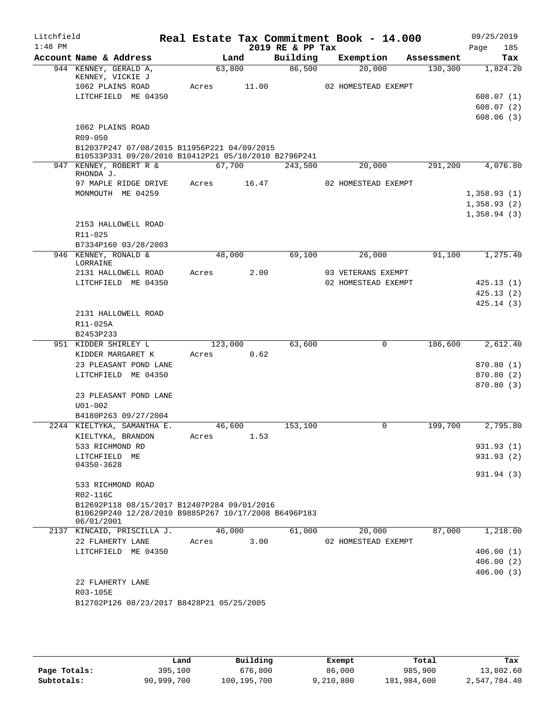| Litchfield<br>$1:48$ PM |                                                                    |       |             | 2019 RE & PP Tax | Real Estate Tax Commitment Book - 14.000  |            | 09/25/2019<br>185<br>Page |
|-------------------------|--------------------------------------------------------------------|-------|-------------|------------------|-------------------------------------------|------------|---------------------------|
|                         | Account Name & Address                                             |       | Land        | Building         | Exemption                                 | Assessment | Tax                       |
|                         | 944 KENNEY, GERALD A,<br>KENNEY, VICKIE J                          |       | 63,800      | 86,500           | 20,000                                    | 130, 300   | 1,824.20                  |
|                         | 1062 PLAINS ROAD                                                   | Acres | 11.00       |                  | 02 HOMESTEAD EXEMPT                       |            |                           |
|                         | LITCHFIELD ME 04350                                                |       |             |                  |                                           |            | 608.07(1)                 |
|                         |                                                                    |       |             |                  |                                           |            | 608.07(2)                 |
|                         |                                                                    |       |             |                  |                                           |            | 608.06(3)                 |
|                         | 1062 PLAINS ROAD                                                   |       |             |                  |                                           |            |                           |
|                         | R09-050<br>B12037P247 07/08/2015 B11956P221 04/09/2015             |       |             |                  |                                           |            |                           |
|                         | B10533P331 09/20/2010 B10412P21 05/10/2010 B2796P241               |       |             |                  |                                           |            |                           |
|                         | 947 KENNEY, ROBERT R &<br>RHONDA J.                                |       | 67,700      | 243,500          | 20,000                                    | 291,200    | 4,076.80                  |
|                         | 97 MAPLE RIDGE DRIVE                                               |       | Acres 16.47 |                  | 02 HOMESTEAD EXEMPT                       |            |                           |
|                         | MONMOUTH ME 04259                                                  |       |             |                  |                                           |            | 1,358.93(1)               |
|                         |                                                                    |       |             |                  |                                           |            | 1,358.93(2)               |
|                         | 2153 HALLOWELL ROAD                                                |       |             |                  |                                           |            | 1,358.94(3)               |
|                         | R11-025                                                            |       |             |                  |                                           |            |                           |
|                         | B7334P160 03/28/2003                                               |       |             |                  |                                           |            |                           |
|                         | 946 KENNEY, RONALD &                                               |       | 48,000      | 69,100           | 26,000                                    | 91,100     | 1,275.40                  |
|                         | LORRAINE                                                           |       |             |                  |                                           |            |                           |
|                         | 2131 HALLOWELL ROAD<br>LITCHFIELD ME 04350                         | Acres | 2.00        |                  | 03 VETERANS EXEMPT<br>02 HOMESTEAD EXEMPT |            | 425.13(1)                 |
|                         |                                                                    |       |             |                  |                                           |            | 425.13(2)                 |
|                         |                                                                    |       |             |                  |                                           |            | 425.14(3)                 |
|                         | 2131 HALLOWELL ROAD                                                |       |             |                  |                                           |            |                           |
|                         | R11-025A                                                           |       |             |                  |                                           |            |                           |
|                         | B2453P233                                                          |       |             |                  |                                           |            |                           |
|                         | 951 KIDDER SHIRLEY L                                               |       | 123,000     | 63,600           | $\mathbf 0$                               | 186,600    | 2,612.40                  |
|                         | KIDDER MARGARET K                                                  | Acres | 0.62        |                  |                                           |            |                           |
|                         | 23 PLEASANT POND LANE<br>LITCHFIELD ME 04350                       |       |             |                  |                                           |            | 870.80(1)<br>870.80(2)    |
|                         |                                                                    |       |             |                  |                                           |            | 870.80 (3)                |
|                         | 23 PLEASANT POND LANE                                              |       |             |                  |                                           |            |                           |
|                         | $U01 - 002$                                                        |       |             |                  |                                           |            |                           |
|                         | B4180P263 09/27/2004                                               |       |             |                  |                                           |            |                           |
|                         | 2244 KIELTYKA, SAMANTHA E.                                         |       | 46,600      | 153,100          | 0                                         | 199,700    | 2,795.80                  |
|                         | KIELTYKA, BRANDON                                                  | Acres | 1.53        |                  |                                           |            |                           |
|                         | 533 RICHMOND RD                                                    |       |             |                  |                                           |            | 931.93 (1)<br>931.93 (2)  |
|                         | LITCHFIELD ME<br>04350-3628                                        |       |             |                  |                                           |            |                           |
|                         |                                                                    |       |             |                  |                                           |            | 931.94(3)                 |
|                         | 533 RICHMOND ROAD<br>R02-116C                                      |       |             |                  |                                           |            |                           |
|                         | B12692P118 08/15/2017 B12407P284 09/01/2016                        |       |             |                  |                                           |            |                           |
|                         | B10629P240 12/28/2010 B9885P267 10/17/2008 B6496P183<br>06/01/2001 |       |             |                  |                                           |            |                           |
|                         | 2137 KINCAID, PRISCILLA J.                                         |       | 46,000      | 61,000           | 20,000                                    | 87,000     | 1,218.00                  |
|                         | 22 FLAHERTY LANE                                                   | Acres | 3.00        |                  | 02 HOMESTEAD EXEMPT                       |            |                           |
|                         | LITCHFIELD ME 04350                                                |       |             |                  |                                           |            | 406.00(1)                 |
|                         |                                                                    |       |             |                  |                                           |            | 406.00(2)<br>406.00(3)    |
|                         | 22 FLAHERTY LANE                                                   |       |             |                  |                                           |            |                           |
|                         | R03-105E                                                           |       |             |                  |                                           |            |                           |
|                         | B12702P126 08/23/2017 B8428P21 05/25/2005                          |       |             |                  |                                           |            |                           |
|                         |                                                                    |       |             |                  |                                           |            |                           |

|              | Land       | Building    | Exempt    | Total       | Tax          |
|--------------|------------|-------------|-----------|-------------|--------------|
| Page Totals: | 395,100    | 676,800     | 86,000    | 985,900     | 13,802.60    |
| Subtotals:   | 90,999,700 | 100,195,700 | 9,210,800 | 181,984,600 | 2,547,784.40 |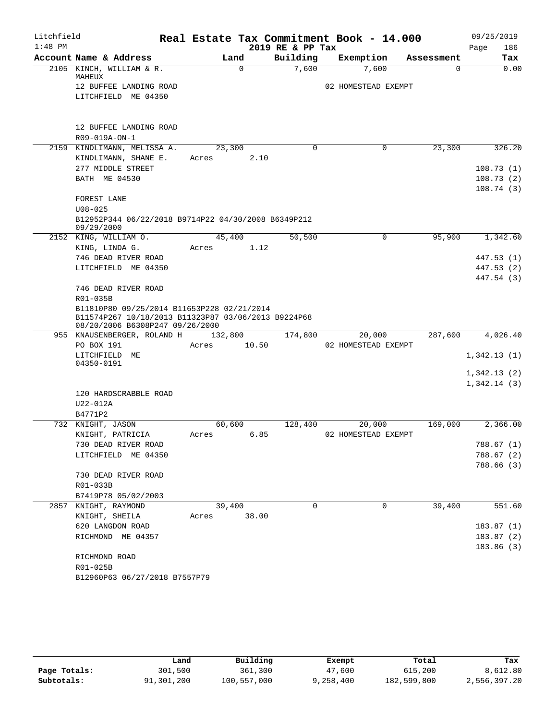| Litchfield |                                                                                                   |                 |       |                  | Real Estate Tax Commitment Book - 14.000 |            | 09/25/2019                 |
|------------|---------------------------------------------------------------------------------------------------|-----------------|-------|------------------|------------------------------------------|------------|----------------------------|
| $1:48$ PM  |                                                                                                   |                 |       | 2019 RE & PP Tax |                                          |            | Page<br>186                |
|            | Account Name & Address                                                                            | Land            |       | Building         | Exemption                                | Assessment | Tax                        |
|            | 2105 KINCH, WILLIAM & R.                                                                          | $\Omega$        |       | 7,600            | 7,600                                    | $\Omega$   | 0.00                       |
|            | MAHEUX<br>12 BUFFEE LANDING ROAD                                                                  |                 |       |                  | 02 HOMESTEAD EXEMPT                      |            |                            |
|            | LITCHFIELD ME 04350                                                                               |                 |       |                  |                                          |            |                            |
|            |                                                                                                   |                 |       |                  |                                          |            |                            |
|            |                                                                                                   |                 |       |                  |                                          |            |                            |
|            | 12 BUFFEE LANDING ROAD                                                                            |                 |       |                  |                                          |            |                            |
|            | R09-019A-ON-1<br>2159 KINDLIMANN, MELISSA A.                                                      |                 |       | $\Omega$         | 0                                        | 23,300     | 326.20                     |
|            | KINDLIMANN, SHANE E.                                                                              | 23,300<br>Acres | 2.10  |                  |                                          |            |                            |
|            | 277 MIDDLE STREET                                                                                 |                 |       |                  |                                          |            | 108.73(1)                  |
|            | BATH ME 04530                                                                                     |                 |       |                  |                                          |            | 108.73(2)                  |
|            |                                                                                                   |                 |       |                  |                                          |            | 108.74(3)                  |
|            | FOREST LANE                                                                                       |                 |       |                  |                                          |            |                            |
|            | $U08 - 025$                                                                                       |                 |       |                  |                                          |            |                            |
|            | B12952P344 06/22/2018 B9714P22 04/30/2008 B6349P212                                               |                 |       |                  |                                          |            |                            |
|            | 09/29/2000                                                                                        |                 |       |                  |                                          |            |                            |
|            | 2152 KING, WILLIAM O.                                                                             | 45,400          |       | 50,500           | $\mathbf 0$                              | 95,900     | 1,342.60                   |
|            | KING, LINDA G.                                                                                    | Acres           | 1.12  |                  |                                          |            |                            |
|            | 746 DEAD RIVER ROAD                                                                               |                 |       |                  |                                          |            | 447.53 (1)                 |
|            | LITCHFIELD ME 04350                                                                               |                 |       |                  |                                          |            | 447.53 (2)                 |
|            |                                                                                                   |                 |       |                  |                                          |            | 447.54 (3)                 |
|            | 746 DEAD RIVER ROAD                                                                               |                 |       |                  |                                          |            |                            |
|            | R01-035B                                                                                          |                 |       |                  |                                          |            |                            |
|            | B11810P80 09/25/2014 B11653P228 02/21/2014<br>B11574P267 10/18/2013 B11323P87 03/06/2013 B9224P68 |                 |       |                  |                                          |            |                            |
|            | 08/20/2006 B6308P247 09/26/2000                                                                   |                 |       |                  |                                          |            |                            |
|            | 955 KNAUSENBERGER, ROLAND H                                                                       | 132,800         |       | 174,800          | 20,000                                   | 287,600    | 4,026.40                   |
|            | PO BOX 191                                                                                        | Acres           | 10.50 |                  | 02 HOMESTEAD EXEMPT                      |            |                            |
|            | LITCHFIELD ME                                                                                     |                 |       |                  |                                          |            | 1,342.13(1)                |
|            | 04350-0191                                                                                        |                 |       |                  |                                          |            |                            |
|            |                                                                                                   |                 |       |                  |                                          |            | 1,342.13(2)<br>1,342.14(3) |
|            | 120 HARDSCRABBLE ROAD                                                                             |                 |       |                  |                                          |            |                            |
|            | U22-012A                                                                                          |                 |       |                  |                                          |            |                            |
|            | B4771P2                                                                                           |                 |       |                  |                                          |            |                            |
|            | 732 KNIGHT, JASON                                                                                 | 60,600          |       | 128,400          | 20,000                                   | 169,000    | 2,366.00                   |
|            | KNIGHT, PATRICIA                                                                                  | Acres           | 6.85  |                  | 02 HOMESTEAD EXEMPT                      |            |                            |
|            | 730 DEAD RIVER ROAD                                                                               |                 |       |                  |                                          |            | 788.67 (1)                 |
|            | LITCHFIELD ME 04350                                                                               |                 |       |                  |                                          |            | 788.67 (2)                 |
|            |                                                                                                   |                 |       |                  |                                          |            | 788.66 (3)                 |
|            | 730 DEAD RIVER ROAD                                                                               |                 |       |                  |                                          |            |                            |
|            | R01-033B                                                                                          |                 |       |                  |                                          |            |                            |
|            | B7419P78 05/02/2003                                                                               |                 |       |                  |                                          |            |                            |
|            | 2857 KNIGHT, RAYMOND                                                                              | 39,400          |       | $\Omega$         | 0                                        | 39,400     | 551.60                     |
|            | KNIGHT, SHEILA                                                                                    | Acres           | 38.00 |                  |                                          |            |                            |
|            | 620 LANGDON ROAD                                                                                  |                 |       |                  |                                          |            | 183.87(1)                  |
|            | RICHMOND ME 04357                                                                                 |                 |       |                  |                                          |            | 183.87(2)                  |
|            |                                                                                                   |                 |       |                  |                                          |            | 183.86 (3)                 |
|            | RICHMOND ROAD                                                                                     |                 |       |                  |                                          |            |                            |
|            | R01-025B                                                                                          |                 |       |                  |                                          |            |                            |
|            | B12960P63 06/27/2018 B7557P79                                                                     |                 |       |                  |                                          |            |                            |

|              | Land       | Building    | Exempt    | Total       | Tax          |
|--------------|------------|-------------|-----------|-------------|--------------|
| Page Totals: | 301,500    | 361,300     | 47,600    | 615,200     | 8,612.80     |
| Subtotals:   | 91,301,200 | 100,557,000 | 9,258,400 | 182,599,800 | 2,556,397.20 |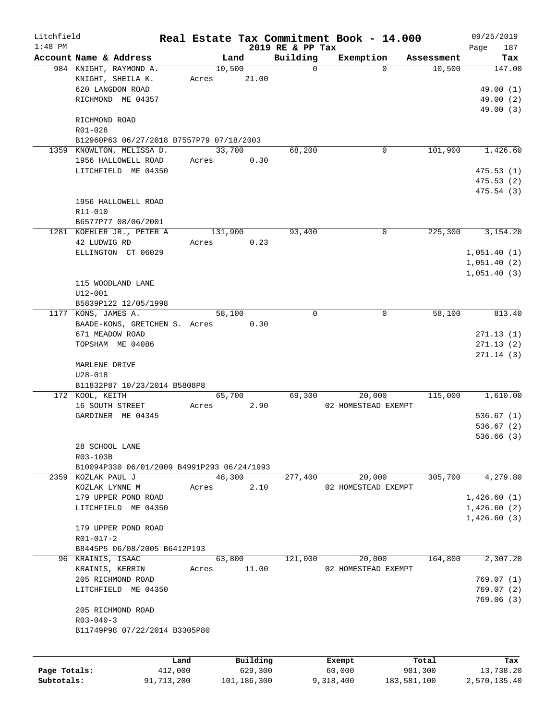| Litchfield   |                                                   |         |                |                              | Real Estate Tax Commitment Book - 14.000 |            | 09/25/2019             |
|--------------|---------------------------------------------------|---------|----------------|------------------------------|------------------------------------------|------------|------------------------|
| $1:48$ PM    | Account Name & Address                            |         | Land           | 2019 RE & PP Tax<br>Building | Exemption                                | Assessment | 187<br>Page<br>Tax     |
|              | 984 KNIGHT, RAYMOND A.                            |         | 10,500         | $\mathbf 0$                  | $\Omega$                                 | 10,500     | 147.00                 |
|              | KNIGHT, SHEILA K.                                 | Acres   | 21.00          |                              |                                          |            |                        |
|              | 620 LANGDON ROAD                                  |         |                |                              |                                          |            | 49.00 (1)              |
|              | RICHMOND ME 04357                                 |         |                |                              |                                          |            | 49.00 (2)              |
|              |                                                   |         |                |                              |                                          |            | 49.00 (3)              |
|              | RICHMOND ROAD                                     |         |                |                              |                                          |            |                        |
|              | R01-028                                           |         |                |                              |                                          |            |                        |
|              | B12960P63 06/27/2018 B7557P79 07/18/2003          |         |                |                              |                                          |            |                        |
|              | 1359 KNOWLTON, MELISSA D.<br>1956 HALLOWELL ROAD  | Acres   | 33,700<br>0.30 | 68,200                       | 0                                        | 101,900    | 1,426.60               |
|              | LITCHFIELD ME 04350                               |         |                |                              |                                          |            | 475.53(1)              |
|              |                                                   |         |                |                              |                                          |            | 475.53(2)              |
|              |                                                   |         |                |                              |                                          |            | 475.54 (3)             |
|              | 1956 HALLOWELL ROAD                               |         |                |                              |                                          |            |                        |
|              | R11-010                                           |         |                |                              |                                          |            |                        |
|              | B6577P77 08/06/2001                               |         |                |                              |                                          |            |                        |
|              | 1281 KOEHLER JR., PETER A                         |         | 131,900        | 93,400                       | 0                                        | 225,300    | 3,154.20               |
|              | 42 LUDWIG RD                                      | Acres   | 0.23           |                              |                                          |            |                        |
|              | ELLINGTON CT 06029                                |         |                |                              |                                          |            | 1,051.40(1)            |
|              |                                                   |         |                |                              |                                          |            | 1,051.40(2)            |
|              |                                                   |         |                |                              |                                          |            | 1,051.40(3)            |
|              | 115 WOODLAND LANE<br>$U12 - 001$                  |         |                |                              |                                          |            |                        |
|              | B5839P122 12/05/1998                              |         |                |                              |                                          |            |                        |
|              | 1177 KONS, JAMES A.                               |         | 58,100         | $\mathbf 0$                  | 0                                        | 58,100     | 813.40                 |
|              | BAADE-KONS, GRETCHEN S. Acres                     |         | 0.30           |                              |                                          |            |                        |
|              | 671 MEADOW ROAD                                   |         |                |                              |                                          |            | 271.13(1)              |
|              | TOPSHAM ME 04086                                  |         |                |                              |                                          |            | 271.13(2)              |
|              |                                                   |         |                |                              |                                          |            | 271.14(3)              |
|              | MARLENE DRIVE                                     |         |                |                              |                                          |            |                        |
|              | $U28 - 018$                                       |         |                |                              |                                          |            |                        |
|              | B11832P87 10/23/2014 B5808P8                      |         |                |                              |                                          |            |                        |
|              | 172 KOOL, KEITH                                   |         | 65,700         | 69,300                       | 20,000                                   | 115,000    | 1,610.00               |
|              | 16 SOUTH STREET                                   | Acres   | 2.90           |                              | 02 HOMESTEAD EXEMPT                      |            |                        |
|              | GARDINER ME 04345                                 |         |                |                              |                                          |            | 536.67(1)<br>536.67(2) |
|              |                                                   |         |                |                              |                                          |            | 536.66(3)              |
|              | 28 SCHOOL LANE                                    |         |                |                              |                                          |            |                        |
|              | R03-103B                                          |         |                |                              |                                          |            |                        |
|              | B10094P330 06/01/2009 B4991P293 06/24/1993        |         |                |                              |                                          |            |                        |
|              | 2359 KOZLAK PAUL J                                |         | 48,300         | 277,400                      | 20,000                                   | 305,700    | 4,279.80               |
|              | KOZLAK LYNNE M                                    | Acres   | 2.10           |                              | 02 HOMESTEAD EXEMPT                      |            |                        |
|              | 179 UPPER POND ROAD                               |         |                |                              |                                          |            | 1,426.60(1)            |
|              | LITCHFIELD ME 04350                               |         |                |                              |                                          |            | 1,426.60(2)            |
|              |                                                   |         |                |                              |                                          |            | 1,426.60(3)            |
|              | 179 UPPER POND ROAD                               |         |                |                              |                                          |            |                        |
|              | R01-017-2                                         |         |                |                              |                                          |            |                        |
|              | B8445P5 06/08/2005 B6412P193<br>96 KRAINIS, ISAAC |         | 63,800         | 121,000                      | 20,000                                   | 164,800    | 2,307.20               |
|              | KRAINIS, KERRIN                                   | Acres   | 11.00          |                              | 02 HOMESTEAD EXEMPT                      |            |                        |
|              | 205 RICHMOND ROAD                                 |         |                |                              |                                          |            | 769.07(1)              |
|              | LITCHFIELD ME 04350                               |         |                |                              |                                          |            | 769.07(2)              |
|              |                                                   |         |                |                              |                                          |            | 769.06(3)              |
|              | 205 RICHMOND ROAD                                 |         |                |                              |                                          |            |                        |
|              | $R03 - 040 - 3$                                   |         |                |                              |                                          |            |                        |
|              | B11749P98 07/22/2014 B3305P80                     |         |                |                              |                                          |            |                        |
|              |                                                   |         |                |                              |                                          |            |                        |
|              |                                                   | Land    | Building       |                              | Exempt                                   | Total      | Tax                    |
| Page Totals: |                                                   | 412,000 | 629,300        |                              | 60,000                                   | 981,300    | 13,738.20              |
|              |                                                   |         |                |                              |                                          |            |                        |

**Subtotals:** 91,713,200 101,186,300 9,318,400 183,581,100 2,570,135.40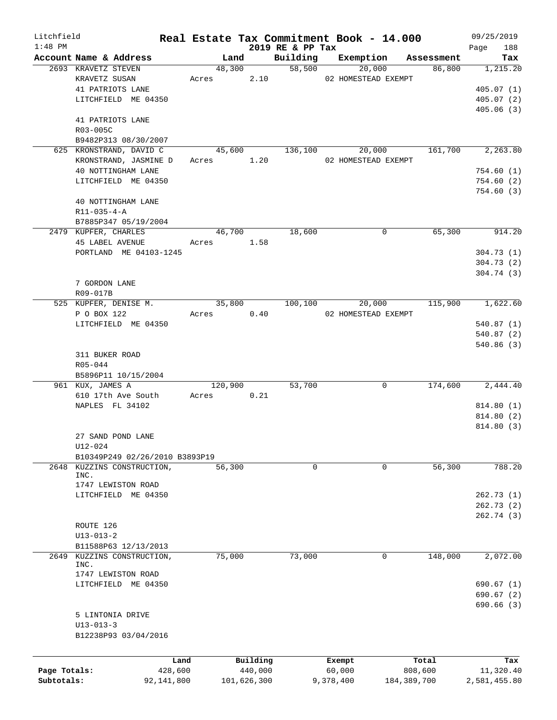| Litchfield   |                                      |            |                     |                  | Real Estate Tax Commitment Book - 14.000 |                  | 09/25/2019             |
|--------------|--------------------------------------|------------|---------------------|------------------|------------------------------------------|------------------|------------------------|
| $1:48$ PM    |                                      |            |                     | 2019 RE & PP Tax |                                          |                  | Page<br>188            |
|              | Account Name & Address               | Land       |                     | Building         | Exemption                                | Assessment       | Tax                    |
|              | 2693 KRAVETZ STEVEN<br>KRAVETZ SUSAN |            | 48,300<br>2.10      |                  | 58,500<br>20,000<br>02 HOMESTEAD EXEMPT  | 86,800           | 1,215.20               |
|              |                                      | Acres      |                     |                  |                                          |                  |                        |
|              | 41 PATRIOTS LANE                     |            |                     |                  |                                          |                  | 405.07(1)              |
|              | LITCHFIELD ME 04350                  |            |                     |                  |                                          |                  | 405.07(2)<br>405.06(3) |
|              | 41 PATRIOTS LANE                     |            |                     |                  |                                          |                  |                        |
|              | R03-005C                             |            |                     |                  |                                          |                  |                        |
|              | B9482P313 08/30/2007                 |            |                     |                  |                                          |                  |                        |
|              | 625 KRONSTRAND, DAVID C              | 45,600     |                     | 136,100          | 20,000                                   | 161,700          | 2, 263.80              |
|              | KRONSTRAND, JASMINE D                | Acres 1.20 |                     |                  | 02 HOMESTEAD EXEMPT                      |                  |                        |
|              | 40 NOTTINGHAM LANE                   |            |                     |                  |                                          |                  | 754.60(1)              |
|              | LITCHFIELD ME 04350                  |            |                     |                  |                                          |                  | 754.60(2)              |
|              |                                      |            |                     |                  |                                          |                  | 754.60(3)              |
|              | 40 NOTTINGHAM LANE                   |            |                     |                  |                                          |                  |                        |
|              | $R11 - 035 - 4 - A$                  |            |                     |                  |                                          |                  |                        |
|              | B7885P347 05/19/2004                 |            |                     |                  |                                          |                  |                        |
|              | 2479 KUPFER, CHARLES                 | 46,700     |                     | 18,600           | 0                                        | 65,300           | 914.20                 |
|              | <b>45 LABEL AVENUE</b>               | Acres 1.58 |                     |                  |                                          |                  |                        |
|              | PORTLAND ME 04103-1245               |            |                     |                  |                                          |                  | 304.73(1)              |
|              |                                      |            |                     |                  |                                          |                  | 304.73(2)              |
|              |                                      |            |                     |                  |                                          |                  | 304.74(3)              |
|              | 7 GORDON LANE                        |            |                     |                  |                                          |                  |                        |
|              | R09-017B                             |            |                     |                  |                                          |                  |                        |
|              | 525 KUPFER, DENISE M.                | 35,800     |                     | 100,100          | 20,000                                   | 115,900          | 1,622.60               |
|              | P O BOX 122                          | Acres      | 0.40                |                  | 02 HOMESTEAD EXEMPT                      |                  |                        |
|              | LITCHFIELD ME 04350                  |            |                     |                  |                                          |                  | 540.87(1)              |
|              |                                      |            |                     |                  |                                          |                  | 540.87(2)              |
|              |                                      |            |                     |                  |                                          |                  | 540.86(3)              |
|              | 311 BUKER ROAD                       |            |                     |                  |                                          |                  |                        |
|              | R05-044                              |            |                     |                  |                                          |                  |                        |
|              | B5896P11 10/15/2004                  |            |                     |                  |                                          |                  |                        |
|              | 961 KUX, JAMES A                     | 120,900    |                     | 53,700           | 0                                        | 174,600          | 2,444.40               |
|              | 610 17th Ave South                   | Acres      | 0.21                |                  |                                          |                  |                        |
|              | NAPLES FL 34102                      |            |                     |                  |                                          |                  | 814.80 (1)             |
|              |                                      |            |                     |                  |                                          |                  | 814.80 (2)             |
|              |                                      |            |                     |                  |                                          |                  | 814.80 (3)             |
|              | 27 SAND POND LANE                    |            |                     |                  |                                          |                  |                        |
|              | $U12 - 024$                          |            |                     |                  |                                          |                  |                        |
|              | B10349P249 02/26/2010 B3893P19       |            |                     |                  |                                          |                  |                        |
| 2648         | KUZZINS CONSTRUCTION,                | 56,300     |                     | $\mathbf 0$      | $\mathbf 0$                              | 56,300           | 788.20                 |
|              | INC.                                 |            |                     |                  |                                          |                  |                        |
|              | 1747 LEWISTON ROAD                   |            |                     |                  |                                          |                  |                        |
|              | LITCHFIELD ME 04350                  |            |                     |                  |                                          |                  | 262.73(1)              |
|              |                                      |            |                     |                  |                                          |                  | 262.73(2)              |
|              |                                      |            |                     |                  |                                          |                  | 262.74 (3)             |
|              | ROUTE 126                            |            |                     |                  |                                          |                  |                        |
|              | $U13 - 013 - 2$                      |            |                     |                  |                                          |                  |                        |
|              | B11588P63 12/13/2013                 |            |                     |                  |                                          |                  |                        |
| 2649         | KUZZINS CONSTRUCTION,<br>INC.        | 75,000     |                     | 73,000           | 0                                        | 148,000          | 2,072.00               |
|              | 1747 LEWISTON ROAD                   |            |                     |                  |                                          |                  |                        |
|              | LITCHFIELD ME 04350                  |            |                     |                  |                                          |                  | 690.67(1)              |
|              |                                      |            |                     |                  |                                          |                  | 690.67(2)              |
|              |                                      |            |                     |                  |                                          |                  | 690.66 (3)             |
|              | 5 LINTONIA DRIVE                     |            |                     |                  |                                          |                  |                        |
|              | $U13 - 013 - 3$                      |            |                     |                  |                                          |                  |                        |
|              | B12238P93 03/04/2016                 |            |                     |                  |                                          |                  |                        |
|              |                                      |            |                     |                  |                                          |                  |                        |
|              |                                      |            |                     |                  |                                          |                  |                        |
| Page Totals: | Land<br>428,600                      |            | Building<br>440,000 |                  | Exempt<br>60,000                         | Total<br>808,600 | Tax<br>11,320.40       |
| Subtotals:   | 92,141,800                           |            | 101,626,300         |                  | 9,378,400                                | 184, 389, 700    | 2,581,455.80           |
|              |                                      |            |                     |                  |                                          |                  |                        |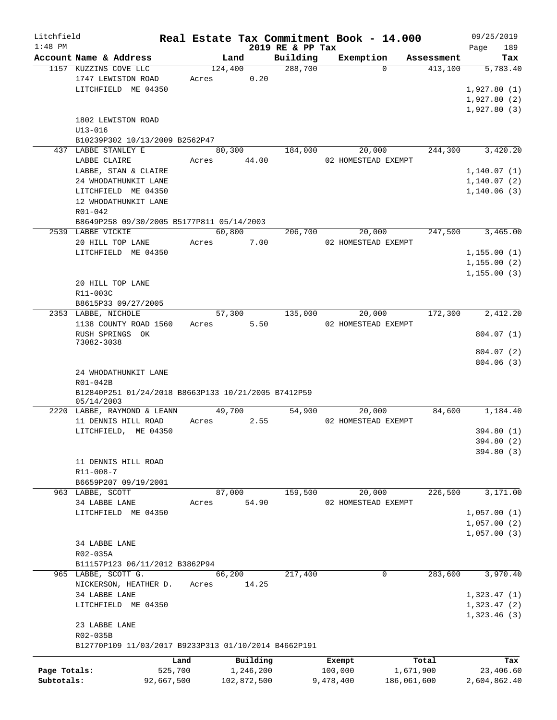| Litchfield   |                                                                   |            |         |                       |                  | Real Estate Tax Commitment Book - 14.000 |                    | 09/25/2019                 |
|--------------|-------------------------------------------------------------------|------------|---------|-----------------------|------------------|------------------------------------------|--------------------|----------------------------|
| $1:48$ PM    |                                                                   |            |         |                       | 2019 RE & PP Tax |                                          |                    | 189<br>Page                |
|              | Account Name & Address                                            |            | Land    |                       | Building         | Exemption                                | Assessment         | Tax                        |
|              | 1157 KUZZINS COVE LLC                                             |            | 124,400 |                       | 288,700          | $\Omega$                                 | 413,100            | 5,783.40                   |
|              | 1747 LEWISTON ROAD<br>LITCHFIELD ME 04350                         | Acres      |         | 0.20                  |                  |                                          |                    |                            |
|              |                                                                   |            |         |                       |                  |                                          |                    | 1,927.80(1)<br>1,927.80(2) |
|              |                                                                   |            |         |                       |                  |                                          |                    | 1,927.80(3)                |
|              | 1802 LEWISTON ROAD                                                |            |         |                       |                  |                                          |                    |                            |
|              | $U13 - 016$                                                       |            |         |                       |                  |                                          |                    |                            |
|              | B10239P302 10/13/2009 B2562P47                                    |            |         |                       |                  |                                          |                    |                            |
|              | 437 LABBE STANLEY E                                               |            | 80,300  |                       | 184,000          | 20,000                                   | 244,300            | 3,420.20                   |
|              | LABBE CLAIRE                                                      | Acres      |         | 44.00                 |                  | 02 HOMESTEAD EXEMPT                      |                    |                            |
|              | LABBE, STAN & CLAIRE                                              |            |         |                       |                  |                                          |                    | 1, 140.07(1)               |
|              | 24 WHODATHUNKIT LANE                                              |            |         |                       |                  |                                          |                    | 1,140.07(2)                |
|              | LITCHFIELD ME 04350                                               |            |         |                       |                  |                                          |                    | 1,140.06(3)                |
|              | 12 WHODATHUNKIT LANE                                              |            |         |                       |                  |                                          |                    |                            |
|              | $R01 - 042$                                                       |            |         |                       |                  |                                          |                    |                            |
|              | B8649P258 09/30/2005 B5177P811 05/14/2003                         |            |         |                       |                  |                                          |                    |                            |
|              | 2539 LABBE VICKIE                                                 |            | 60,800  |                       | 206,700          | 20,000                                   | 247,500            | 3,465.00                   |
|              | 20 HILL TOP LANE                                                  | Acres      |         | 7.00                  |                  | 02 HOMESTEAD EXEMPT                      |                    |                            |
|              | LITCHFIELD ME 04350                                               |            |         |                       |                  |                                          |                    | 1,155.00(1)                |
|              |                                                                   |            |         |                       |                  |                                          |                    | 1,155.00(2)                |
|              |                                                                   |            |         |                       |                  |                                          |                    | 1, 155.00(3)               |
|              | 20 HILL TOP LANE                                                  |            |         |                       |                  |                                          |                    |                            |
|              | R11-003C                                                          |            |         |                       |                  |                                          |                    |                            |
|              | B8615P33 09/27/2005                                               |            |         |                       |                  |                                          |                    |                            |
|              | 2353 LABBE, NICHOLE                                               |            | 57,300  |                       | 135,000          | 20,000                                   | 172,300            | 2,412.20                   |
|              | 1138 COUNTY ROAD 1560                                             | Acres      |         | 5.50                  |                  | 02 HOMESTEAD EXEMPT                      |                    |                            |
|              | RUSH SPRINGS OK                                                   |            |         |                       |                  |                                          |                    | 804.07 (1)                 |
|              | 73082-3038                                                        |            |         |                       |                  |                                          |                    |                            |
|              |                                                                   |            |         |                       |                  |                                          |                    | 804.07(2)                  |
|              |                                                                   |            |         |                       |                  |                                          |                    | 804.06(3)                  |
|              | 24 WHODATHUNKIT LANE                                              |            |         |                       |                  |                                          |                    |                            |
|              | R01-042B                                                          |            |         |                       |                  |                                          |                    |                            |
|              | B12840P251 01/24/2018 B8663P133 10/21/2005 B7412P59<br>05/14/2003 |            |         |                       |                  |                                          |                    |                            |
|              | 2220 LABBE, RAYMOND & LEANN                                       |            | 49,700  |                       | 54,900           | 20,000                                   | 84,600             | 1,184.40                   |
|              | 11 DENNIS HILL ROAD                                               | Acres      |         | 2.55                  |                  | 02 HOMESTEAD EXEMPT                      |                    |                            |
|              | LITCHFIELD, ME 04350                                              |            |         |                       |                  |                                          |                    | 394.80 (1)                 |
|              |                                                                   |            |         |                       |                  |                                          |                    | 394.80 (2)                 |
|              |                                                                   |            |         |                       |                  |                                          |                    | 394.80 (3)                 |
|              | 11 DENNIS HILL ROAD                                               |            |         |                       |                  |                                          |                    |                            |
|              | R11-008-7                                                         |            |         |                       |                  |                                          |                    |                            |
|              | B6659P207 09/19/2001                                              |            |         |                       |                  |                                          |                    |                            |
|              | 963 LABBE, SCOTT                                                  |            | 87,000  |                       | 159,500          | 20,000                                   | 226,500            | 3,171.00                   |
|              | 34 LABBE LANE                                                     | Acres      |         | 54.90                 |                  | 02 HOMESTEAD EXEMPT                      |                    |                            |
|              | LITCHFIELD ME 04350                                               |            |         |                       |                  |                                          |                    | 1,057.00(1)                |
|              |                                                                   |            |         |                       |                  |                                          |                    | 1,057.00(2)                |
|              |                                                                   |            |         |                       |                  |                                          |                    | 1,057.00(3)                |
|              | 34 LABBE LANE                                                     |            |         |                       |                  |                                          |                    |                            |
|              | R02-035A                                                          |            |         |                       |                  |                                          |                    |                            |
|              | B11157P123 06/11/2012 B3862P94                                    |            |         |                       |                  |                                          |                    |                            |
|              | 965 LABBE, SCOTT G.                                               |            | 66,200  |                       | 217,400          | 0                                        | 283,600            | 3,970.40                   |
|              | NICKERSON, HEATHER D.                                             | Acres      |         | 14.25                 |                  |                                          |                    |                            |
|              | 34 LABBE LANE                                                     |            |         |                       |                  |                                          |                    | 1,323.47(1)                |
|              | LITCHFIELD ME 04350                                               |            |         |                       |                  |                                          |                    | 1,323.47(2)                |
|              |                                                                   |            |         |                       |                  |                                          |                    | 1,323.46(3)                |
|              | 23 LABBE LANE                                                     |            |         |                       |                  |                                          |                    |                            |
|              | R02-035B                                                          |            |         |                       |                  |                                          |                    |                            |
|              | B12770P109 11/03/2017 B9233P313 01/10/2014 B4662P191              |            |         |                       |                  |                                          |                    |                            |
|              |                                                                   | Land       |         |                       |                  |                                          |                    |                            |
| Page Totals: |                                                                   | 525,700    |         | Building<br>1,246,200 |                  | Exempt<br>100,000                        | Total<br>1,671,900 | Tax<br>23,406.60           |
| Subtotals:   |                                                                   | 92,667,500 |         | 102,872,500           |                  | 9,478,400                                | 186,061,600        | 2,604,862.40               |
|              |                                                                   |            |         |                       |                  |                                          |                    |                            |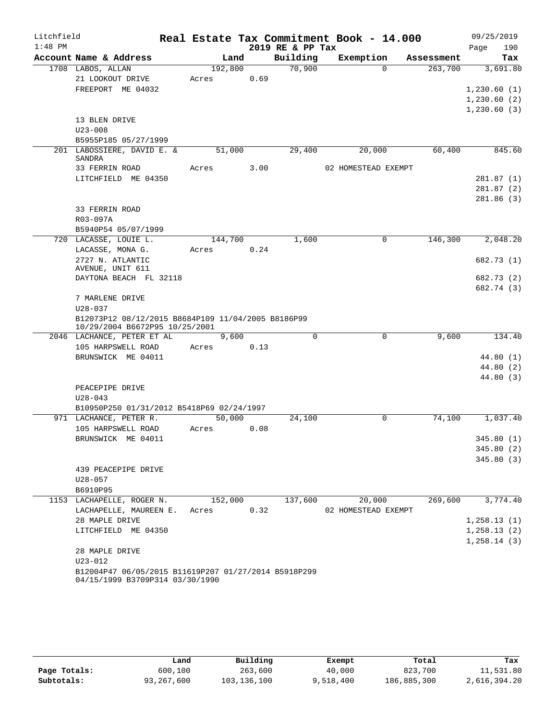| Litchfield |                                                      |  |       |         |      |                  | Real Estate Tax Commitment Book - 14.000 |            | 09/25/2019   |
|------------|------------------------------------------------------|--|-------|---------|------|------------------|------------------------------------------|------------|--------------|
| $1:48$ PM  |                                                      |  |       |         |      | 2019 RE & PP Tax |                                          |            | 190<br>Page  |
|            | Account Name & Address                               |  |       | Land    |      | Building         | Exemption                                | Assessment | Tax          |
|            | 1708 LABOS, ALLAN                                    |  |       | 192,800 |      | 70,900           | $\Omega$                                 | 263,700    | 3,691.80     |
|            | 21 LOOKOUT DRIVE                                     |  | Acres |         | 0.69 |                  |                                          |            |              |
|            | FREEPORT ME 04032                                    |  |       |         |      |                  |                                          |            | 1,230.60(1)  |
|            |                                                      |  |       |         |      |                  |                                          |            | 1,230.60(2)  |
|            |                                                      |  |       |         |      |                  |                                          |            | 1,230.60(3)  |
|            | 13 BLEN DRIVE                                        |  |       |         |      |                  |                                          |            |              |
|            | $U23 - 008$                                          |  |       |         |      |                  |                                          |            |              |
|            | B5955P185 05/27/1999                                 |  |       |         |      |                  |                                          |            |              |
|            | 201 LABOSSIERE, DAVID E. &<br>SANDRA                 |  |       | 51,000  |      | 29,400           | 20,000                                   | 60,400     | 845.60       |
|            | 33 FERRIN ROAD                                       |  | Acres |         | 3.00 |                  | 02 HOMESTEAD EXEMPT                      |            |              |
|            | LITCHFIELD ME 04350                                  |  |       |         |      |                  |                                          |            | 281.87(1)    |
|            |                                                      |  |       |         |      |                  |                                          |            | 281.87(2)    |
|            |                                                      |  |       |         |      |                  |                                          |            | 281.86(3)    |
|            | 33 FERRIN ROAD                                       |  |       |         |      |                  |                                          |            |              |
|            | R03-097A                                             |  |       |         |      |                  |                                          |            |              |
|            | B5940P54 05/07/1999                                  |  |       |         |      |                  |                                          |            |              |
|            | 720 LACASSE, LOUIE L.                                |  |       | 144,700 |      | 1,600            | $\mathbf 0$                              | 146,300    | 2,048.20     |
|            | LACASSE, MONA G.                                     |  | Acres |         | 0.24 |                  |                                          |            |              |
|            | 2727 N. ATLANTIC                                     |  |       |         |      |                  |                                          |            | 682.73 (1)   |
|            | AVENUE, UNIT 611<br>DAYTONA BEACH FL 32118           |  |       |         |      |                  |                                          |            | 682.73 (2)   |
|            |                                                      |  |       |         |      |                  |                                          |            | 682.74 (3)   |
|            | 7 MARLENE DRIVE                                      |  |       |         |      |                  |                                          |            |              |
|            | $U28 - 037$                                          |  |       |         |      |                  |                                          |            |              |
|            | B12073P12 08/12/2015 B8684P109 11/04/2005 B8186P99   |  |       |         |      |                  |                                          |            |              |
|            | 10/29/2004 B6672P95 10/25/2001                       |  |       |         |      |                  |                                          |            |              |
|            | 2046 LACHANCE, PETER ET AL                           |  | 9,600 |         |      | $\Omega$         | 0                                        | 9,600      | 134.40       |
|            | 105 HARPSWELL ROAD                                   |  | Acres |         | 0.13 |                  |                                          |            |              |
|            | BRUNSWICK ME 04011                                   |  |       |         |      |                  |                                          |            | 44.80(1)     |
|            |                                                      |  |       |         |      |                  |                                          |            | 44.80 (2)    |
|            |                                                      |  |       |         |      |                  |                                          |            | 44.80 (3)    |
|            | PEACEPIPE DRIVE                                      |  |       |         |      |                  |                                          |            |              |
|            | $U28 - 043$                                          |  |       |         |      |                  |                                          |            |              |
|            | B10950P250 01/31/2012 B5418P69 02/24/1997            |  |       |         |      |                  | $\Omega$                                 | 74,100     |              |
|            | 971 LACHANCE, PETER R.<br>105 HARPSWELL ROAD         |  | Acres | 50,000  | 0.08 | 24,100           |                                          |            | 1,037.40     |
|            | BRUNSWICK ME 04011                                   |  |       |         |      |                  |                                          |            | 345.80(1)    |
|            |                                                      |  |       |         |      |                  |                                          |            | 345.80(2)    |
|            |                                                      |  |       |         |      |                  |                                          |            | 345.80(3)    |
|            | 439 PEACEPIPE DRIVE                                  |  |       |         |      |                  |                                          |            |              |
|            | $U28 - 057$                                          |  |       |         |      |                  |                                          |            |              |
|            | B6910P95                                             |  |       |         |      |                  |                                          |            |              |
|            | 1153 LACHAPELLE, ROGER N.                            |  |       | 152,000 |      | 137,600          | 20,000                                   | 269,600    | 3,774.40     |
|            | LACHAPELLE, MAUREEN E.                               |  | Acres |         | 0.32 |                  | 02 HOMESTEAD EXEMPT                      |            |              |
|            | 28 MAPLE DRIVE                                       |  |       |         |      |                  |                                          |            | 1, 258.13(1) |
|            | LITCHFIELD ME 04350                                  |  |       |         |      |                  |                                          |            | 1, 258.13(2) |
|            |                                                      |  |       |         |      |                  |                                          |            | 1, 258.14(3) |
|            | 28 MAPLE DRIVE                                       |  |       |         |      |                  |                                          |            |              |
|            | $U23 - 012$                                          |  |       |         |      |                  |                                          |            |              |
|            | B12004P47 06/05/2015 B11619P207 01/27/2014 B5918P299 |  |       |         |      |                  |                                          |            |              |
|            | 04/15/1999 B3709P314 03/30/1990                      |  |       |         |      |                  |                                          |            |              |

|              | Land       | Building    | Exempt    | Total       | Tax          |
|--------------|------------|-------------|-----------|-------------|--------------|
| Page Totals: | 600,100    | 263,600     | 40,000    | 823,700     | 11,531.80    |
| Subtotals:   | 93,267,600 | 103,136,100 | 9,518,400 | 186,885,300 | 2,616,394.20 |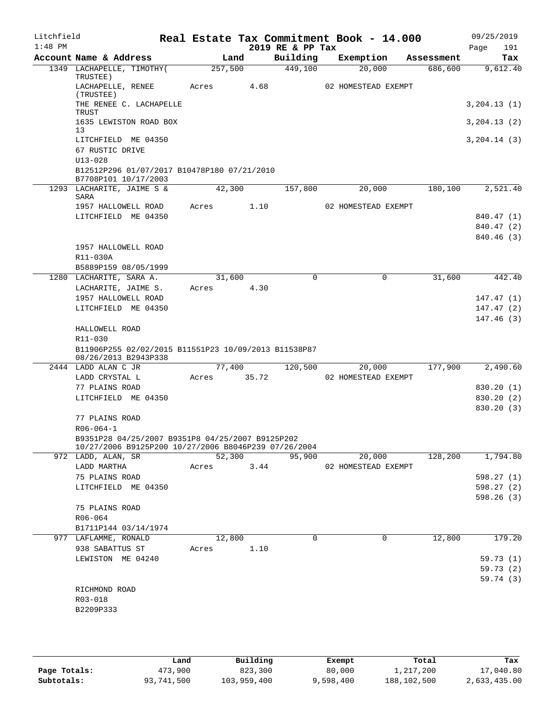| Litchfield<br>$1:48$ PM |                                                                              |         |        | 2019 RE & PP Tax | Real Estate Tax Commitment Book - 14.000 |            | 09/25/2019<br>191<br>Page |
|-------------------------|------------------------------------------------------------------------------|---------|--------|------------------|------------------------------------------|------------|---------------------------|
|                         | Account Name & Address                                                       |         | Land   | Building         | Exemption                                | Assessment | Tax                       |
|                         | 1349 LACHAPELLE, TIMOTHY(<br>TRUSTEE)                                        | 257,500 |        | 449,100          | 20,000                                   | 686,600    | 9,612.40                  |
|                         | LACHAPELLE, RENEE<br>(TRUSTEE)                                               | Acres   | 4.68   |                  | 02 HOMESTEAD EXEMPT                      |            |                           |
|                         | THE RENEE C. LACHAPELLE<br>TRUST                                             |         |        |                  |                                          |            | 3, 204.13(1)              |
|                         | 1635 LEWISTON ROAD BOX<br>13                                                 |         |        |                  |                                          |            | 3, 204.13(2)              |
|                         | LITCHFIELD ME 04350<br>67 RUSTIC DRIVE                                       |         |        |                  |                                          |            | 3, 204.14 (3)             |
|                         | $U13 - 028$<br>B12512P296 01/07/2017 B10478P180 07/21/2010                   |         |        |                  |                                          |            |                           |
|                         | B7708P101 10/17/2003<br>1293 LACHARITE, JAIME S &                            | 42,300  |        | 157,800          | 20,000                                   | 180,100    | 2,521.40                  |
|                         | SARA<br>1957 HALLOWELL ROAD                                                  | Acres   | 1.10   |                  | 02 HOMESTEAD EXEMPT                      |            |                           |
|                         | LITCHFIELD ME 04350                                                          |         |        |                  |                                          |            | 840.47 (1)                |
|                         |                                                                              |         |        |                  |                                          |            | 840.47 (2)                |
|                         |                                                                              |         |        |                  |                                          |            | 840.46 (3)                |
|                         | 1957 HALLOWELL ROAD                                                          |         |        |                  |                                          |            |                           |
|                         | R11-030A                                                                     |         |        |                  |                                          |            |                           |
|                         | B5889P159 08/05/1999                                                         |         |        |                  |                                          |            |                           |
|                         | 1280 LACHARITE, SARA A.                                                      | 31,600  |        | $\Omega$         | 0                                        | 31,600     | 442.40                    |
|                         | LACHARITE, JAIME S.                                                          | Acres   | 4.30   |                  |                                          |            |                           |
|                         | 1957 HALLOWELL ROAD<br>LITCHFIELD ME 04350                                   |         |        |                  |                                          |            | 147.47(1)                 |
|                         |                                                                              |         |        |                  |                                          |            | 147.47(2)<br>147.46(3)    |
|                         | HALLOWELL ROAD                                                               |         |        |                  |                                          |            |                           |
|                         | R11-030                                                                      |         |        |                  |                                          |            |                           |
|                         | B11906P255 02/02/2015 B11551P23 10/09/2013 B11538P87<br>08/26/2013 B2943P338 |         |        |                  |                                          |            |                           |
|                         | 2444 LADD ALAN C JR                                                          | 77,400  |        | 120,500          | 20,000                                   | 177,900    | 2,490.60                  |
|                         | LADD CRYSTAL L                                                               | Acres   | 35.72  |                  | 02 HOMESTEAD EXEMPT                      |            |                           |
|                         | 77 PLAINS ROAD                                                               |         |        |                  |                                          |            | 830.20 (1)                |
|                         | LITCHFIELD ME 04350                                                          |         |        |                  |                                          |            | 830.20 (2)<br>830.20(3)   |
|                         | 77 PLAINS ROAD                                                               |         |        |                  |                                          |            |                           |
|                         | $R06 - 064 - 1$                                                              |         |        |                  |                                          |            |                           |
|                         | B9351P28 04/25/2007 B9351P8 04/25/2007 B9125P202                             |         |        |                  |                                          |            |                           |
|                         | 10/27/2006 B9125P200 10/27/2006 B8046P239 07/26/2004                         |         |        |                  |                                          |            |                           |
|                         | 972 LADD, ALAN, SR                                                           |         | 52,300 | 95,900           | 20,000                                   | 128,200    | 1,794.80                  |
|                         | LADD MARTHA                                                                  | Acres   | 3.44   |                  | 02 HOMESTEAD EXEMPT                      |            |                           |
|                         | 75 PLAINS ROAD                                                               |         |        |                  |                                          |            | 598.27 (1)                |
|                         | LITCHFIELD ME 04350                                                          |         |        |                  |                                          |            | 598.27(2)<br>598.26(3)    |
|                         | 75 PLAINS ROAD                                                               |         |        |                  |                                          |            |                           |
|                         | R06-064                                                                      |         |        |                  |                                          |            |                           |
|                         | B1711P144 03/14/1974                                                         |         |        |                  |                                          |            |                           |
|                         | 977 LAFLAMME, RONALD                                                         | 12,800  |        | $\Omega$         | 0                                        | 12,800     | 179.20                    |
|                         | 938 SABATTUS ST                                                              | Acres   | 1.10   |                  |                                          |            |                           |
|                         | LEWISTON ME 04240                                                            |         |        |                  |                                          |            | 59.73(1)                  |
|                         |                                                                              |         |        |                  |                                          |            | 59.73(2)                  |
|                         |                                                                              |         |        |                  |                                          |            | 59.74 (3)                 |
|                         | RICHMOND ROAD                                                                |         |        |                  |                                          |            |                           |
|                         | R03-018<br>B2209P333                                                         |         |        |                  |                                          |            |                           |
|                         |                                                                              |         |        |                  |                                          |            |                           |
|                         |                                                                              |         |        |                  |                                          |            |                           |

|              | úand       | Building    | Exempt    | Total       | Tax          |
|--------------|------------|-------------|-----------|-------------|--------------|
| Page Totals: | 473,900    | 823,300     | 80,000    | l,217,200   | 17,040.80    |
| Subtotals:   | 93,741,500 | 103,959,400 | 9,598,400 | 188,102,500 | 2,633,435.00 |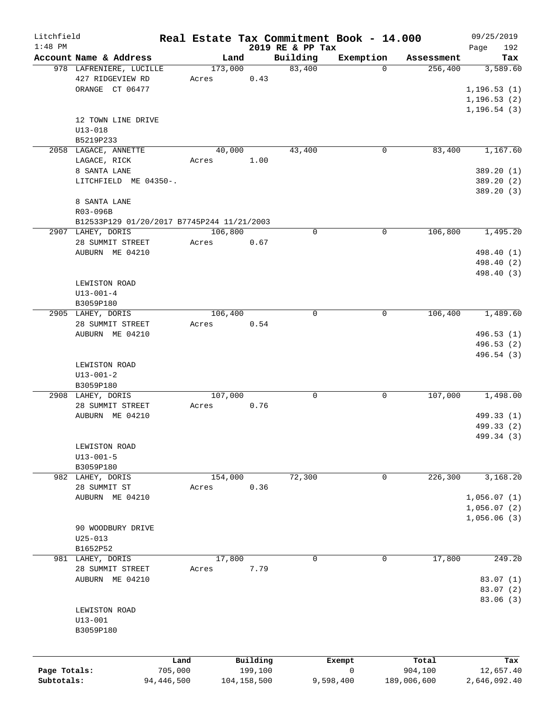| Litchfield   |                                            |            |         |             |                              | Real Estate Tax Commitment Book - 14.000 |             |             | 09/25/2019      |
|--------------|--------------------------------------------|------------|---------|-------------|------------------------------|------------------------------------------|-------------|-------------|-----------------|
| $1:48$ PM    | Account Name & Address                     |            | Land    |             | 2019 RE & PP Tax<br>Building | Exemption                                |             | Assessment  | 192<br>Page     |
|              | 978 LAFRENIERE, LUCILLE                    |            | 173,000 |             | 83,400                       |                                          | $\Omega$    | 256,400     | Tax<br>3,589.60 |
|              | 427 RIDGEVIEW RD                           | Acres      |         | 0.43        |                              |                                          |             |             |                 |
|              | ORANGE CT 06477                            |            |         |             |                              |                                          |             |             | 1, 196.53(1)    |
|              |                                            |            |         |             |                              |                                          |             |             |                 |
|              |                                            |            |         |             |                              |                                          |             |             | 1, 196.53(2)    |
|              |                                            |            |         |             |                              |                                          |             |             | 1, 196.54(3)    |
|              | 12 TOWN LINE DRIVE                         |            |         |             |                              |                                          |             |             |                 |
|              | $U13 - 018$                                |            |         |             |                              |                                          |             |             |                 |
|              | B5219P233                                  |            |         |             |                              |                                          |             |             |                 |
|              | 2058 LAGACE, ANNETTE                       |            | 40,000  |             | 43,400                       |                                          | $\mathbf 0$ | 83,400      | 1,167.60        |
|              | LAGACE, RICK                               | Acres      |         | 1.00        |                              |                                          |             |             |                 |
|              | 8 SANTA LANE                               |            |         |             |                              |                                          |             |             | 389.20 (1)      |
|              | LITCHFIELD ME 04350-.                      |            |         |             |                              |                                          |             |             | 389.20 (2)      |
|              |                                            |            |         |             |                              |                                          |             |             | 389.20 (3)      |
|              | 8 SANTA LANE                               |            |         |             |                              |                                          |             |             |                 |
|              | R03-096B                                   |            |         |             |                              |                                          |             |             |                 |
|              | B12533P129 01/20/2017 B7745P244 11/21/2003 |            |         |             |                              |                                          |             |             |                 |
|              | 2907 LAHEY, DORIS                          |            | 106,800 |             | $\mathbf 0$                  |                                          | $\mathbf 0$ | 106,800     | 1,495.20        |
|              | 28 SUMMIT STREET                           | Acres      |         | 0.67        |                              |                                          |             |             |                 |
|              | AUBURN ME 04210                            |            |         |             |                              |                                          |             |             | 498.40 (1)      |
|              |                                            |            |         |             |                              |                                          |             |             | 498.40 (2)      |
|              |                                            |            |         |             |                              |                                          |             |             | 498.40 (3)      |
|              | LEWISTON ROAD                              |            |         |             |                              |                                          |             |             |                 |
|              | $U13 - 001 - 4$                            |            |         |             |                              |                                          |             |             |                 |
|              | B3059P180                                  |            |         |             |                              |                                          |             |             |                 |
|              | 2905 LAHEY, DORIS                          |            | 106,400 |             | $\mathbf 0$                  |                                          | 0           | 106,400     | 1,489.60        |
|              | 28 SUMMIT STREET                           | Acres      |         | 0.54        |                              |                                          |             |             |                 |
|              | AUBURN ME 04210                            |            |         |             |                              |                                          |             |             | 496.53 (1)      |
|              |                                            |            |         |             |                              |                                          |             |             | 496.53 (2)      |
|              |                                            |            |         |             |                              |                                          |             |             | 496.54 (3)      |
|              | LEWISTON ROAD                              |            |         |             |                              |                                          |             |             |                 |
|              | $U13 - 001 - 2$                            |            |         |             |                              |                                          |             |             |                 |
|              | B3059P180                                  |            |         |             |                              |                                          |             |             |                 |
|              | 2908 LAHEY, DORIS                          |            | 107,000 |             | $\mathbf 0$                  |                                          | 0           | 107,000     | 1,498.00        |
|              |                                            | Acres      |         | 0.76        |                              |                                          |             |             |                 |
|              | 28 SUMMIT STREET                           |            |         |             |                              |                                          |             |             | 499.33 (1)      |
|              | AUBURN ME 04210                            |            |         |             |                              |                                          |             |             |                 |
|              |                                            |            |         |             |                              |                                          |             |             | 499.33 (2)      |
|              |                                            |            |         |             |                              |                                          |             |             | 499.34 (3)      |
|              | LEWISTON ROAD                              |            |         |             |                              |                                          |             |             |                 |
|              | $U13 - 001 - 5$                            |            |         |             |                              |                                          |             |             |                 |
|              | B3059P180                                  |            |         |             |                              |                                          |             |             |                 |
|              | 982 LAHEY, DORIS                           |            | 154,000 |             | 72,300                       |                                          | 0           | 226,300     | 3,168.20        |
|              | 28 SUMMIT ST                               | Acres      |         | 0.36        |                              |                                          |             |             |                 |
|              | AUBURN ME 04210                            |            |         |             |                              |                                          |             |             | 1,056.07(1)     |
|              |                                            |            |         |             |                              |                                          |             |             | 1,056.07(2)     |
|              |                                            |            |         |             |                              |                                          |             |             | 1,056.06(3)     |
|              | 90 WOODBURY DRIVE                          |            |         |             |                              |                                          |             |             |                 |
|              | $U25 - 013$                                |            |         |             |                              |                                          |             |             |                 |
|              | B1652P52                                   |            |         |             |                              |                                          |             |             |                 |
|              | 981 LAHEY, DORIS                           |            | 17,800  |             | 0                            |                                          | 0           | 17,800      | 249.20          |
|              | 28 SUMMIT STREET                           | Acres      |         | 7.79        |                              |                                          |             |             |                 |
|              | AUBURN ME 04210                            |            |         |             |                              |                                          |             |             | 83.07(1)        |
|              |                                            |            |         |             |                              |                                          |             |             | 83.07 (2)       |
|              |                                            |            |         |             |                              |                                          |             |             | 83.06 (3)       |
|              | LEWISTON ROAD                              |            |         |             |                              |                                          |             |             |                 |
|              | $U13 - 001$                                |            |         |             |                              |                                          |             |             |                 |
|              | B3059P180                                  |            |         |             |                              |                                          |             |             |                 |
|              |                                            |            |         |             |                              |                                          |             |             |                 |
|              |                                            |            |         |             |                              |                                          |             |             |                 |
|              |                                            | Land       |         | Building    |                              | Exempt                                   |             | Total       | Tax             |
| Page Totals: |                                            | 705,000    |         | 199,100     |                              | 0                                        |             | 904,100     | 12,657.40       |
| Subtotals:   |                                            | 94,446,500 |         | 104,158,500 |                              | 9,598,400                                |             | 189,006,600 | 2,646,092.40    |
|              |                                            |            |         |             |                              |                                          |             |             |                 |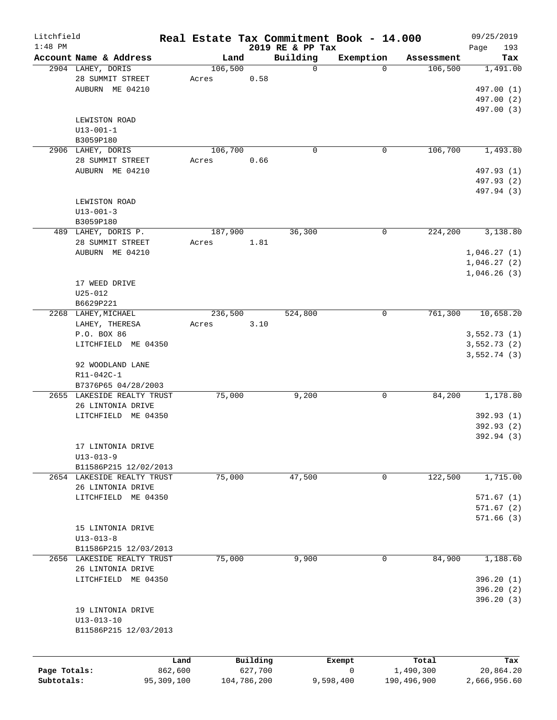| Litchfield   |                            |            |         |             |                  | Real Estate Tax Commitment Book - 14.000 |             | 09/25/2019   |
|--------------|----------------------------|------------|---------|-------------|------------------|------------------------------------------|-------------|--------------|
| $1:48$ PM    |                            |            |         |             | 2019 RE & PP Tax |                                          |             | Page<br>193  |
|              | Account Name & Address     |            | Land    |             | Building         | Exemption                                | Assessment  | Tax          |
|              | 2904 LAHEY, DORIS          |            | 106,500 |             | $\mathbf 0$      | $\Omega$                                 | 106,500     | 1,491.00     |
|              | 28 SUMMIT STREET           |            | Acres   | 0.58        |                  |                                          |             |              |
|              | AUBURN ME 04210            |            |         |             |                  |                                          |             | 497.00 (1)   |
|              |                            |            |         |             |                  |                                          |             | 497.00 (2)   |
|              |                            |            |         |             |                  |                                          |             | 497.00 (3)   |
|              | LEWISTON ROAD              |            |         |             |                  |                                          |             |              |
|              | $U13 - 001 - 1$            |            |         |             |                  |                                          |             |              |
|              | B3059P180                  |            |         |             |                  |                                          |             |              |
|              | 2906 LAHEY, DORIS          |            | 106,700 |             | $\mathbf 0$      | 0                                        | 106,700     | 1,493.80     |
|              | 28 SUMMIT STREET           |            | Acres   | 0.66        |                  |                                          |             |              |
|              | AUBURN ME 04210            |            |         |             |                  |                                          |             | 497.93 (1)   |
|              |                            |            |         |             |                  |                                          |             | 497.93 (2)   |
|              |                            |            |         |             |                  |                                          |             | 497.94 (3)   |
|              | LEWISTON ROAD              |            |         |             |                  |                                          |             |              |
|              | $U13 - 001 - 3$            |            |         |             |                  |                                          |             |              |
|              | B3059P180                  |            |         |             |                  |                                          |             |              |
|              | 489 LAHEY, DORIS P.        |            | 187,900 |             | 36,300           | 0                                        | 224,200     | 3,138.80     |
|              | 28 SUMMIT STREET           |            | Acres   | 1.81        |                  |                                          |             |              |
|              |                            |            |         |             |                  |                                          |             |              |
|              | AUBURN ME 04210            |            |         |             |                  |                                          |             | 1,046.27(1)  |
|              |                            |            |         |             |                  |                                          |             | 1,046.27(2)  |
|              |                            |            |         |             |                  |                                          |             | 1,046.26(3)  |
|              | 17 WEED DRIVE              |            |         |             |                  |                                          |             |              |
|              | $U25 - 012$                |            |         |             |                  |                                          |             |              |
|              | B6629P221                  |            |         |             |                  |                                          |             |              |
|              | 2268 LAHEY, MICHAEL        |            | 236,500 |             | 524,800          | 0                                        | 761,300     | 10,658.20    |
|              | LAHEY, THERESA             |            | Acres   | 3.10        |                  |                                          |             |              |
|              | P.O. BOX 86                |            |         |             |                  |                                          |             | 3,552.73(1)  |
|              | LITCHFIELD ME 04350        |            |         |             |                  |                                          |             | 3,552.73(2)  |
|              |                            |            |         |             |                  |                                          |             | 3,552.74(3)  |
|              | 92 WOODLAND LANE           |            |         |             |                  |                                          |             |              |
|              | R11-042C-1                 |            |         |             |                  |                                          |             |              |
|              | B7376P65 04/28/2003        |            |         |             |                  |                                          |             |              |
|              | 2655 LAKESIDE REALTY TRUST |            | 75,000  |             | 9,200            | 0                                        | 84,200      | 1,178.80     |
|              | 26 LINTONIA DRIVE          |            |         |             |                  |                                          |             |              |
|              | LITCHFIELD ME 04350        |            |         |             |                  |                                          |             | 392.93 (1)   |
|              |                            |            |         |             |                  |                                          |             | 392.93(2)    |
|              |                            |            |         |             |                  |                                          |             | 392.94 (3)   |
|              | 17 LINTONIA DRIVE          |            |         |             |                  |                                          |             |              |
|              | $U13 - 013 - 9$            |            |         |             |                  |                                          |             |              |
|              |                            |            |         |             |                  |                                          |             |              |
|              | B11586P215 12/02/2013      |            |         |             |                  |                                          |             |              |
|              | 2654 LAKESIDE REALTY TRUST |            | 75,000  |             | 47,500           | 0                                        | 122,500     | 1,715.00     |
|              | 26 LINTONIA DRIVE          |            |         |             |                  |                                          |             |              |
|              | LITCHFIELD ME 04350        |            |         |             |                  |                                          |             | 571.67(1)    |
|              |                            |            |         |             |                  |                                          |             | 571.67(2)    |
|              |                            |            |         |             |                  |                                          |             | 571.66(3)    |
|              | 15 LINTONIA DRIVE          |            |         |             |                  |                                          |             |              |
|              | $U13 - 013 - 8$            |            |         |             |                  |                                          |             |              |
|              | B11586P215 12/03/2013      |            |         |             |                  |                                          |             |              |
|              | 2656 LAKESIDE REALTY TRUST |            | 75,000  |             | 9,900            | 0                                        | 84,900      | 1,188.60     |
|              | 26 LINTONIA DRIVE          |            |         |             |                  |                                          |             |              |
|              | LITCHFIELD ME 04350        |            |         |             |                  |                                          |             | 396.20 (1)   |
|              |                            |            |         |             |                  |                                          |             | 396.20(2)    |
|              |                            |            |         |             |                  |                                          |             | 396.20(3)    |
|              | 19 LINTONIA DRIVE          |            |         |             |                  |                                          |             |              |
|              | $U13 - 013 - 10$           |            |         |             |                  |                                          |             |              |
|              |                            |            |         |             |                  |                                          |             |              |
|              | B11586P215 12/03/2013      |            |         |             |                  |                                          |             |              |
|              |                            |            |         |             |                  |                                          |             |              |
|              |                            | Land       |         | Building    |                  |                                          | Total       | Tax          |
| Page Totals: |                            | 862,600    |         | 627,700     |                  | Exempt<br>0                              | 1,490,300   | 20,864.20    |
| Subtotals:   |                            | 95,309,100 |         | 104,786,200 |                  | 9,598,400                                | 190,496,900 | 2,666,956.60 |
|              |                            |            |         |             |                  |                                          |             |              |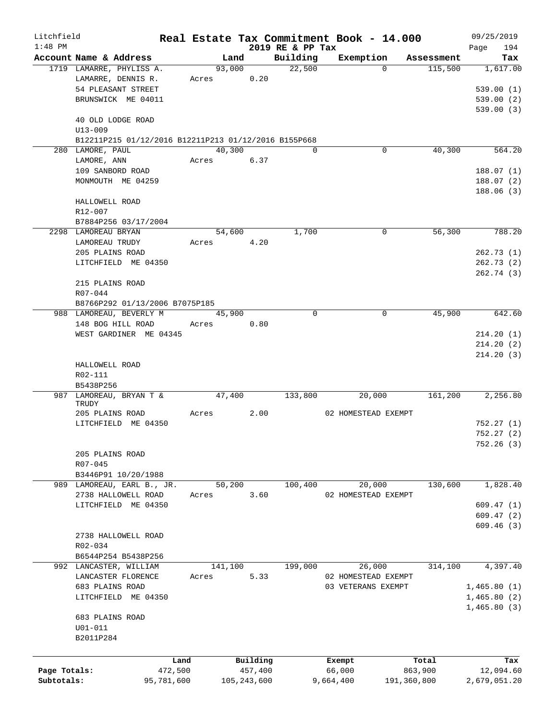| Litchfield   |                                                      |         |               |                  | Real Estate Tax Commitment Book - 14.000 |            | 09/25/2019   |
|--------------|------------------------------------------------------|---------|---------------|------------------|------------------------------------------|------------|--------------|
| $1:48$ PM    |                                                      |         |               | 2019 RE & PP Tax |                                          |            | 194<br>Page  |
|              | Account Name & Address                               | Land    |               | Building         | Exemption                                | Assessment | Tax          |
|              | 1719 LAMARRE, PHYLISS A.                             | 93,000  |               | 22,500           | $\Omega$                                 | 115,500    | 1,617.00     |
|              | LAMARRE, DENNIS R.                                   | Acres   | 0.20          |                  |                                          |            |              |
|              | 54 PLEASANT STREET                                   |         |               |                  |                                          |            | 539.00(1)    |
|              | BRUNSWICK ME 04011                                   |         |               |                  |                                          |            | 539.00(2)    |
|              |                                                      |         |               |                  |                                          |            | 539.00(3)    |
|              | 40 OLD LODGE ROAD                                    |         |               |                  |                                          |            |              |
|              | $U13 - 009$                                          |         |               |                  |                                          |            |              |
|              | B12211P215 01/12/2016 B12211P213 01/12/2016 B155P668 |         |               |                  |                                          |            |              |
|              | 280 LAMORE, PAUL                                     | 40,300  |               | $\Omega$         | $\mathbf 0$                              | 40,300     | 564.20       |
|              | LAMORE, ANN                                          | Acres   | 6.37          |                  |                                          |            |              |
|              | 109 SANBORD ROAD                                     |         |               |                  |                                          |            | 188.07(1)    |
|              | MONMOUTH ME 04259                                    |         |               |                  |                                          |            | 188.07(2)    |
|              |                                                      |         |               |                  |                                          |            | 188.06(3)    |
|              | HALLOWELL ROAD                                       |         |               |                  |                                          |            |              |
|              | $R12 - 007$                                          |         |               |                  |                                          |            |              |
|              | B7884P256 03/17/2004                                 |         |               |                  |                                          |            |              |
|              | 2298 LAMOREAU BRYAN                                  | 54,600  |               | 1,700            | $\mathbf 0$                              | 56,300     | 788.20       |
|              | LAMOREAU TRUDY                                       | Acres   | 4.20          |                  |                                          |            |              |
|              | 205 PLAINS ROAD                                      |         |               |                  |                                          |            | 262.73(1)    |
|              | LITCHFIELD ME 04350                                  |         |               |                  |                                          |            | 262.73 (2)   |
|              |                                                      |         |               |                  |                                          |            | 262.74 (3)   |
|              | 215 PLAINS ROAD                                      |         |               |                  |                                          |            |              |
|              | $R07 - 044$                                          |         |               |                  |                                          |            |              |
|              | B8766P292 01/13/2006 B7075P185                       |         |               |                  |                                          |            |              |
|              | 988 LAMOREAU, BEVERLY M                              | 45,900  |               | $\mathbf 0$      | $\mathbf 0$                              | 45,900     | 642.60       |
|              | 148 BOG HILL ROAD                                    | Acres   | 0.80          |                  |                                          |            |              |
|              | WEST GARDINER ME 04345                               |         |               |                  |                                          |            | 214.20(1)    |
|              |                                                      |         |               |                  |                                          |            | 214.20(2)    |
|              |                                                      |         |               |                  |                                          |            |              |
|              |                                                      |         |               |                  |                                          |            | 214.20(3)    |
|              | HALLOWELL ROAD                                       |         |               |                  |                                          |            |              |
|              | R02-111                                              |         |               |                  |                                          |            |              |
|              | B5438P256                                            |         |               |                  |                                          |            |              |
|              | 987 LAMOREAU, BRYAN T &<br>TRUDY                     | 47,400  |               | 133,800          | 20,000                                   | 161,200    | 2,256.80     |
|              | 205 PLAINS ROAD                                      | Acres   | 2.00          |                  | 02 HOMESTEAD EXEMPT                      |            |              |
|              | LITCHFIELD ME 04350                                  |         |               |                  |                                          |            | 752.27(1)    |
|              |                                                      |         |               |                  |                                          |            | 752.27(2)    |
|              |                                                      |         |               |                  |                                          |            | 752.26 (3)   |
|              | 205 PLAINS ROAD                                      |         |               |                  |                                          |            |              |
|              | R07-045                                              |         |               |                  |                                          |            |              |
|              |                                                      |         |               |                  |                                          |            |              |
|              | B3446P91 10/20/1988<br>989 LAMOREAU, EARL B., JR.    |         |               |                  |                                          | 130,600    | 1,828.40     |
|              |                                                      | 50,200  |               | 100,400          | 20,000                                   |            |              |
|              | 2738 HALLOWELL ROAD                                  | Acres   | 3.60          |                  | 02 HOMESTEAD EXEMPT                      |            |              |
|              | LITCHFIELD ME 04350                                  |         |               |                  |                                          |            | 609.47(1)    |
|              |                                                      |         |               |                  |                                          |            | 609.47(2)    |
|              |                                                      |         |               |                  |                                          |            | 609.46(3)    |
|              | 2738 HALLOWELL ROAD                                  |         |               |                  |                                          |            |              |
|              | R02-034                                              |         |               |                  |                                          |            |              |
|              | B6544P254 B5438P256                                  |         |               |                  |                                          |            |              |
|              | 992 LANCASTER, WILLIAM                               | 141,100 |               | 199,000          | 26,000                                   | 314,100    | 4,397.40     |
|              | LANCASTER FLORENCE                                   | Acres   | 5.33          |                  | 02 HOMESTEAD EXEMPT                      |            |              |
|              | 683 PLAINS ROAD                                      |         |               |                  | 03 VETERANS EXEMPT                       |            | 1,465.80(1)  |
|              | LITCHFIELD ME 04350                                  |         |               |                  |                                          |            | 1,465.80(2)  |
|              |                                                      |         |               |                  |                                          |            | 1,465.80(3)  |
|              | 683 PLAINS ROAD                                      |         |               |                  |                                          |            |              |
|              | $U01 - 011$                                          |         |               |                  |                                          |            |              |
|              | B2011P284                                            |         |               |                  |                                          |            |              |
|              |                                                      |         |               |                  |                                          |            |              |
|              | Land                                                 |         | Building      |                  | Exempt                                   | Total      | Tax          |
| Page Totals: | 472,500                                              |         | 457,400       |                  | 66,000                                   | 863,900    | 12,094.60    |
| Subtotals:   | 95,781,600                                           |         | 105, 243, 600 |                  | 9,664,400<br>191,360,800                 |            | 2,679,051.20 |
|              |                                                      |         |               |                  |                                          |            |              |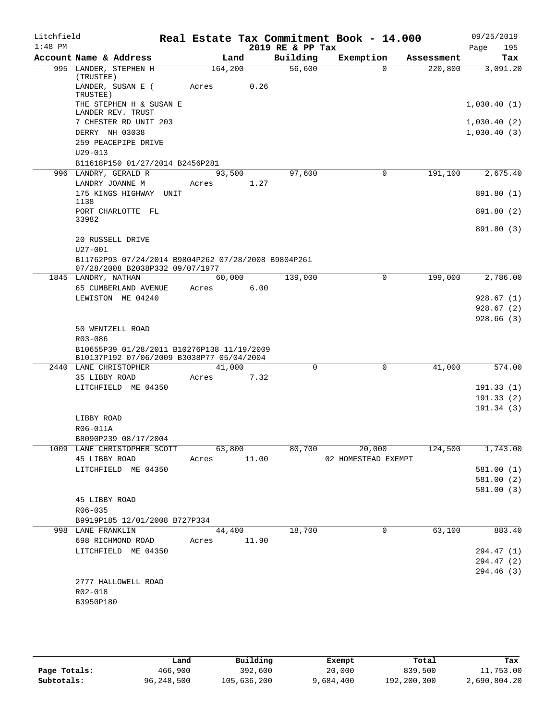| Litchfield<br>$1:48$ PM |                                                                                         |                       |      |      | Real Estate Tax Commitment Book - 14.000<br>2019 RE & PP Tax |                     |             |            | 09/25/2019<br>Page<br>195 |
|-------------------------|-----------------------------------------------------------------------------------------|-----------------------|------|------|--------------------------------------------------------------|---------------------|-------------|------------|---------------------------|
|                         | Account Name & Address                                                                  |                       | Land |      | Building                                                     | Exemption           |             | Assessment | Tax                       |
|                         | 995 LANDER, STEPHEN H<br>(TRUSTEE)                                                      | 164,200               |      |      | 56,600                                                       |                     | $\Omega$    | 220,800    | 3,091.20                  |
|                         | LANDER, SUSAN E (<br>TRUSTEE)                                                           | Acres                 |      | 0.26 |                                                              |                     |             |            |                           |
|                         | THE STEPHEN H & SUSAN E<br>LANDER REV. TRUST                                            |                       |      |      |                                                              |                     |             |            | 1,030.40(1)               |
|                         | 7 CHESTER RD UNIT 203                                                                   |                       |      |      |                                                              |                     |             |            | 1,030.40(2)               |
|                         | DERRY NH 03038                                                                          |                       |      |      |                                                              |                     |             |            | 1,030.40(3)               |
|                         | 259 PEACEPIPE DRIVE<br>$U29 - 013$                                                      |                       |      |      |                                                              |                     |             |            |                           |
|                         | B11618P150 01/27/2014 B2456P281                                                         |                       |      |      |                                                              |                     |             |            |                           |
|                         | 996 LANDRY, GERALD R                                                                    | 93,500                |      |      | 97,600                                                       |                     | 0           | 191,100    | 2,675.40                  |
|                         | LANDRY JOANNE M<br>175 KINGS HIGHWAY UNIT<br>1138                                       | Acres                 |      | 1.27 |                                                              |                     |             |            | 891.80 (1)                |
|                         | PORT CHARLOTTE FL<br>33982                                                              |                       |      |      |                                                              |                     |             |            | 891.80 (2)                |
|                         |                                                                                         |                       |      |      |                                                              |                     |             |            | 891.80 (3)                |
|                         | 20 RUSSELL DRIVE<br>U27-001                                                             |                       |      |      |                                                              |                     |             |            |                           |
|                         | B11762P93 07/24/2014 B9804P262 07/28/2008 B9804P261<br>07/28/2008 B2038P332 09/07/1977  |                       |      |      |                                                              |                     |             |            |                           |
|                         | 1845 LANDRY, NATHAN                                                                     | 60,000                |      |      | 139,000                                                      |                     | 0           | 199,000    | 2,786.00                  |
|                         | 65 CUMBERLAND AVENUE                                                                    | Acres                 |      | 6.00 |                                                              |                     |             |            |                           |
|                         | LEWISTON ME 04240                                                                       |                       |      |      |                                                              |                     |             |            | 928.67(1)                 |
|                         |                                                                                         |                       |      |      |                                                              |                     |             |            | 928.67(2)                 |
|                         | 50 WENTZELL ROAD                                                                        |                       |      |      |                                                              |                     |             |            | 928.66(3)                 |
|                         | R03-086                                                                                 |                       |      |      |                                                              |                     |             |            |                           |
|                         | B10655P39 01/28/2011 B10276P138 11/19/2009<br>B10137P192 07/06/2009 B3038P77 05/04/2004 |                       |      |      |                                                              |                     |             |            |                           |
|                         | 2440 LANE CHRISTOPHER                                                                   | 41,000                |      |      | $\mathbf 0$                                                  |                     | $\mathbf 0$ | 41,000     | 574.00                    |
|                         | 35 LIBBY ROAD                                                                           | Acres                 |      | 7.32 |                                                              |                     |             |            |                           |
|                         | LITCHFIELD ME 04350                                                                     |                       |      |      |                                                              |                     |             |            | 191.33(1)                 |
|                         |                                                                                         |                       |      |      |                                                              |                     |             |            | 191.33(2)<br>191.34(3)    |
|                         | LIBBY ROAD                                                                              |                       |      |      |                                                              |                     |             |            |                           |
|                         | R06-011A                                                                                |                       |      |      |                                                              |                     |             |            |                           |
|                         | B8090P239 08/17/2004                                                                    |                       |      |      |                                                              |                     |             |            |                           |
|                         | 1009 LANE CHRISTOPHER SCOTT 63,800                                                      |                       |      |      | 80,700                                                       |                     | 20,000      | 124,500    | 1,743.00                  |
|                         | 45 LIBBY ROAD                                                                           | Acres 11.00           |      |      |                                                              | 02 HOMESTEAD EXEMPT |             |            |                           |
|                         | LITCHFIELD ME 04350                                                                     |                       |      |      |                                                              |                     |             |            | 581.00 (1)<br>581.00 (2)  |
|                         |                                                                                         |                       |      |      |                                                              |                     |             |            | 581.00(3)                 |
|                         | 45 LIBBY ROAD                                                                           |                       |      |      |                                                              |                     |             |            |                           |
|                         | R06-035                                                                                 |                       |      |      |                                                              |                     |             |            |                           |
|                         | B9919P185 12/01/2008 B727P334                                                           |                       |      |      |                                                              |                     |             |            |                           |
|                         | 998 LANE FRANKLIN<br>698 RICHMOND ROAD                                                  | 44,400<br>Acres 11.90 |      |      | 18,700                                                       |                     | $\mathbf 0$ | 63,100     | 883.40                    |
|                         | LITCHFIELD ME 04350                                                                     |                       |      |      |                                                              |                     |             |            | 294.47 (1)                |
|                         |                                                                                         |                       |      |      |                                                              |                     |             |            | 294.47 (2)                |
|                         |                                                                                         |                       |      |      |                                                              |                     |             |            | 294.46 (3)                |
|                         | 2777 HALLOWELL ROAD                                                                     |                       |      |      |                                                              |                     |             |            |                           |
|                         | R02-018                                                                                 |                       |      |      |                                                              |                     |             |            |                           |
|                         | B3950P180                                                                               |                       |      |      |                                                              |                     |             |            |                           |
|                         |                                                                                         |                       |      |      |                                                              |                     |             |            |                           |

|              | Land       | Building    | Exempt    | Total       | Tax          |
|--------------|------------|-------------|-----------|-------------|--------------|
| Page Totals: | 466,900    | 392,600     | 20,000    | 839,500     | 11,753.00    |
| Subtotals:   | 96,248,500 | 105,636,200 | 9,684,400 | 192,200,300 | 2,690,804.20 |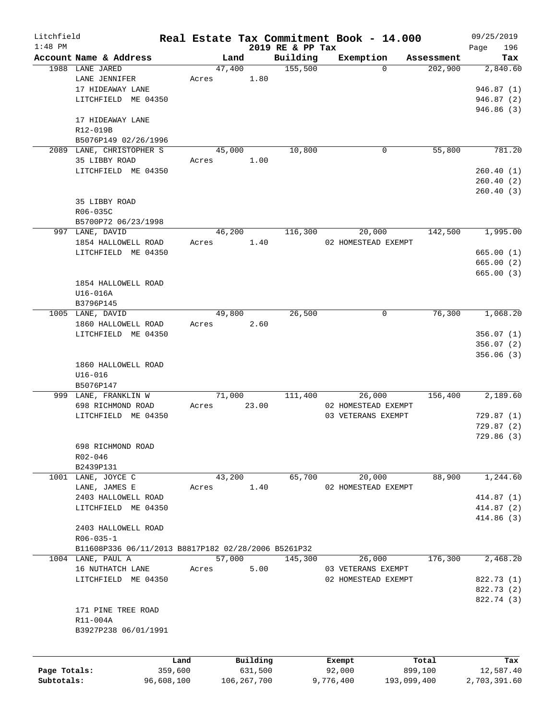| Litchfield   |                                                     |        |          |                     | Real Estate Tax Commitment Book - 14.000 |                       | 09/25/2019       |
|--------------|-----------------------------------------------------|--------|----------|---------------------|------------------------------------------|-----------------------|------------------|
| $1:48$ PM    |                                                     | Land   |          | 2019 RE & PP Tax    |                                          |                       | 196<br>Page      |
|              | Account Name & Address<br>1988 LANE JARED           | 47,400 |          | Building<br>155,500 | Exemption<br>$\Omega$                    | Assessment<br>202,900 | Tax<br>2,840.60  |
|              | LANE JENNIFER                                       | Acres  | 1.80     |                     |                                          |                       |                  |
|              | 17 HIDEAWAY LANE                                    |        |          |                     |                                          |                       | 946.87(1)        |
|              | LITCHFIELD ME 04350                                 |        |          |                     |                                          |                       | 946.87 (2)       |
|              |                                                     |        |          |                     |                                          |                       | 946.86(3)        |
|              | 17 HIDEAWAY LANE                                    |        |          |                     |                                          |                       |                  |
|              | R12-019B                                            |        |          |                     |                                          |                       |                  |
|              | B5076P149 02/26/1996                                |        |          |                     |                                          |                       |                  |
|              | 2089 LANE, CHRISTOPHER S                            | 45,000 |          | 10,800              | 0                                        | 55,800                | 781.20           |
|              | 35 LIBBY ROAD                                       | Acres  | 1.00     |                     |                                          |                       |                  |
|              | LITCHFIELD ME 04350                                 |        |          |                     |                                          |                       | 260.40(1)        |
|              |                                                     |        |          |                     |                                          |                       | 260.40(2)        |
|              |                                                     |        |          |                     |                                          |                       | 260.40(3)        |
|              | 35 LIBBY ROAD                                       |        |          |                     |                                          |                       |                  |
|              | R06-035C                                            |        |          |                     |                                          |                       |                  |
|              | B5700P72 06/23/1998                                 |        |          |                     |                                          |                       |                  |
|              | 997 LANE, DAVID                                     | 46,200 |          | 116,300             | 20,000                                   | 142,500               | 1,995.00         |
|              | 1854 HALLOWELL ROAD                                 | Acres  | 1.40     |                     | 02 HOMESTEAD EXEMPT                      |                       |                  |
|              | LITCHFIELD ME 04350                                 |        |          |                     |                                          |                       | 665.00(1)        |
|              |                                                     |        |          |                     |                                          |                       | 665.00(2)        |
|              |                                                     |        |          |                     |                                          |                       | 665.00(3)        |
|              | 1854 HALLOWELL ROAD                                 |        |          |                     |                                          |                       |                  |
|              | U16-016A                                            |        |          |                     |                                          |                       |                  |
|              | B3796P145                                           |        |          |                     |                                          |                       |                  |
|              | 1005 LANE, DAVID                                    | 49,800 |          | 26,500              | 0                                        | 76,300                | 1,068.20         |
|              | 1860 HALLOWELL ROAD                                 | Acres  | 2.60     |                     |                                          |                       |                  |
|              | LITCHFIELD ME 04350                                 |        |          |                     |                                          |                       | 356.07(1)        |
|              |                                                     |        |          |                     |                                          |                       | 356.07(2)        |
|              |                                                     |        |          |                     |                                          |                       | 356.06(3)        |
|              | 1860 HALLOWELL ROAD                                 |        |          |                     |                                          |                       |                  |
|              | $U16 - 016$<br>B5076P147                            |        |          |                     |                                          |                       |                  |
|              | 999 LANE, FRANKLIN W                                | 71,000 |          | 111,400             | 26,000                                   | 156,400               | 2,189.60         |
|              | 698 RICHMOND ROAD                                   | Acres  | 23.00    |                     | 02 HOMESTEAD EXEMPT                      |                       |                  |
|              | LITCHFIELD ME 04350                                 |        |          |                     | 03 VETERANS EXEMPT                       |                       | 729.87(1)        |
|              |                                                     |        |          |                     |                                          |                       | 729.87(2)        |
|              |                                                     |        |          |                     |                                          |                       | 729.86(3)        |
|              | 698 RICHMOND ROAD                                   |        |          |                     |                                          |                       |                  |
|              | R02-046                                             |        |          |                     |                                          |                       |                  |
|              | B2439P131                                           |        |          |                     |                                          |                       |                  |
|              | 1001 LANE, JOYCE C                                  | 43,200 |          | 65,700              | 20,000                                   | 88,900                | 1,244.60         |
|              | LANE, JAMES E                                       | Acres  | 1.40     |                     | 02 HOMESTEAD EXEMPT                      |                       |                  |
|              | 2403 HALLOWELL ROAD                                 |        |          |                     |                                          |                       | 414.87 (1)       |
|              | LITCHFIELD ME 04350                                 |        |          |                     |                                          |                       | 414.87 (2)       |
|              |                                                     |        |          |                     |                                          |                       | 414.86(3)        |
|              | 2403 HALLOWELL ROAD                                 |        |          |                     |                                          |                       |                  |
|              | $R06 - 035 - 1$                                     |        |          |                     |                                          |                       |                  |
|              | B11608P336 06/11/2013 B8817P182 02/28/2006 B5261P32 |        |          |                     |                                          |                       |                  |
|              | 1004 LANE, PAUL A                                   | 57,000 |          | 145,300             | 26,000                                   | 176,300               | 2,468.20         |
|              | 16 NUTHATCH LANE                                    | Acres  | 5.00     |                     | 03 VETERANS EXEMPT                       |                       |                  |
|              | LITCHFIELD ME 04350                                 |        |          |                     | 02 HOMESTEAD EXEMPT                      |                       | 822.73 (1)       |
|              |                                                     |        |          |                     |                                          |                       | 822.73 (2)       |
|              |                                                     |        |          |                     |                                          |                       | 822.74 (3)       |
|              | 171 PINE TREE ROAD                                  |        |          |                     |                                          |                       |                  |
|              | R11-004A                                            |        |          |                     |                                          |                       |                  |
|              | B3927P238 06/01/1991                                |        |          |                     |                                          |                       |                  |
|              |                                                     |        |          |                     |                                          |                       |                  |
|              |                                                     | Land   | Building |                     | Exempt                                   | Total                 |                  |
| Page Totals: | 359,600                                             |        | 631,500  |                     | 92,000                                   | 899,100               | Tax<br>12,587.40 |
|              |                                                     |        |          |                     |                                          |                       |                  |

**Subtotals:** 96,608,100 106,267,700 9,776,400 193,099,400 2,703,391.60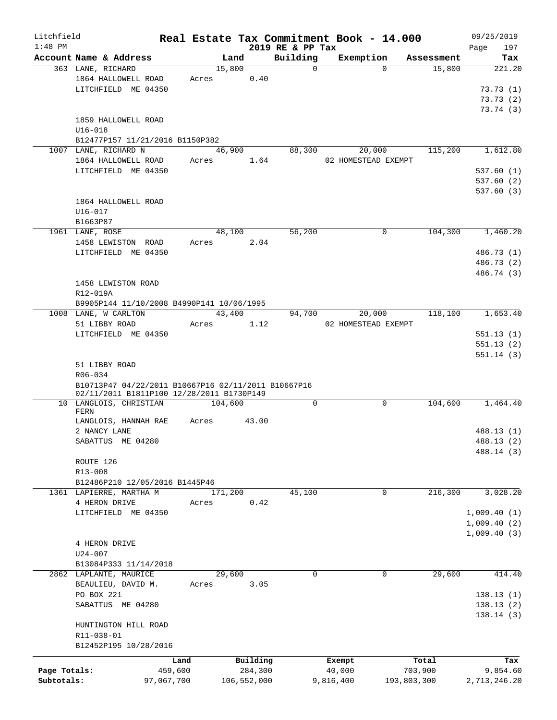| Litchfield   |                                                                                                  |                                           |       |                |             |                         | Real Estate Tax Commitment Book - 14.000 |                      | 09/25/2019    |
|--------------|--------------------------------------------------------------------------------------------------|-------------------------------------------|-------|----------------|-------------|-------------------------|------------------------------------------|----------------------|---------------|
| $1:48$ PM    |                                                                                                  |                                           |       |                |             | 2019 RE & PP Tax        |                                          |                      | 197<br>Page   |
|              | Account Name & Address<br>363 LANE, RICHARD                                                      |                                           |       | Land<br>15,800 |             | Building<br>$\mathbf 0$ | Exemption<br>$\Omega$                    | Assessment<br>15,800 | Tax<br>221.20 |
|              | 1864 HALLOWELL ROAD                                                                              |                                           | Acres |                | 0.40        |                         |                                          |                      |               |
|              |                                                                                                  | LITCHFIELD ME 04350                       |       |                |             |                         |                                          |                      | 73.73(1)      |
|              |                                                                                                  |                                           |       |                |             |                         |                                          |                      | 73.73(2)      |
|              |                                                                                                  |                                           |       |                |             |                         |                                          |                      | 73.74(3)      |
|              | 1859 HALLOWELL ROAD                                                                              |                                           |       |                |             |                         |                                          |                      |               |
|              | $U16 - 018$                                                                                      |                                           |       |                |             |                         |                                          |                      |               |
|              |                                                                                                  | B12477P157 11/21/2016 B1150P382           |       |                |             |                         |                                          |                      |               |
|              | 1007 LANE, RICHARD N                                                                             |                                           |       | 46,900         |             | 88,300                  | 20,000                                   | 115,200              | 1,612.80      |
|              | 1864 HALLOWELL ROAD                                                                              |                                           | Acres |                | 1.64        |                         | 02 HOMESTEAD EXEMPT                      |                      |               |
|              |                                                                                                  | LITCHFIELD ME 04350                       |       |                |             |                         |                                          |                      | 537.60 (1)    |
|              |                                                                                                  |                                           |       |                |             |                         |                                          |                      | 537.60(2)     |
|              |                                                                                                  |                                           |       |                |             |                         |                                          |                      | 537.60(3)     |
|              | 1864 HALLOWELL ROAD                                                                              |                                           |       |                |             |                         |                                          |                      |               |
|              | U16-017                                                                                          |                                           |       |                |             |                         |                                          |                      |               |
|              | B1663P87                                                                                         |                                           |       |                |             |                         |                                          |                      |               |
|              | 1961 LANE, ROSE                                                                                  |                                           |       | 48,100         |             | 56,200                  | 0                                        | 104,300              | 1,460.20      |
|              | 1458 LEWISTON ROAD                                                                               |                                           | Acres |                | 2.04        |                         |                                          |                      |               |
|              |                                                                                                  | LITCHFIELD ME 04350                       |       |                |             |                         |                                          |                      | 486.73 (1)    |
|              |                                                                                                  |                                           |       |                |             |                         |                                          |                      | 486.73 (2)    |
|              |                                                                                                  |                                           |       |                |             |                         |                                          |                      | 486.74 (3)    |
|              | 1458 LEWISTON ROAD                                                                               |                                           |       |                |             |                         |                                          |                      |               |
|              | R12-019A                                                                                         |                                           |       |                |             |                         |                                          |                      |               |
|              |                                                                                                  | B9905P144 11/10/2008 B4990P141 10/06/1995 |       |                |             |                         |                                          |                      |               |
|              | 1008 LANE, W CARLTON                                                                             |                                           |       | 43,400         |             | 94,700                  | 20,000                                   | 118,100              | 1,653.40      |
|              | 51 LIBBY ROAD                                                                                    |                                           | Acres |                | 1.12        |                         | 02 HOMESTEAD EXEMPT                      |                      |               |
|              |                                                                                                  | LITCHFIELD ME 04350                       |       |                |             |                         |                                          |                      | 551.13(1)     |
|              |                                                                                                  |                                           |       |                |             |                         |                                          |                      | 551.13(2)     |
|              |                                                                                                  |                                           |       |                |             |                         |                                          |                      | 551.14(3)     |
|              | 51 LIBBY ROAD                                                                                    |                                           |       |                |             |                         |                                          |                      |               |
|              | R06-034                                                                                          |                                           |       |                |             |                         |                                          |                      |               |
|              | B10713P47 04/22/2011 B10667P16 02/11/2011 B10667P16<br>02/11/2011 B1811P100 12/28/2011 B1730P149 |                                           |       |                |             |                         |                                          |                      |               |
|              | 10 LANGLOIS, CHRISTIAN                                                                           |                                           |       | 104,600        |             | $\mathbf 0$             | $\mathbf 0$                              | 104,600              | 1,464.40      |
|              | FERN                                                                                             |                                           |       |                |             |                         |                                          |                      |               |
|              |                                                                                                  | LANGLOIS, HANNAH RAE                      | Acres |                | 43.00       |                         |                                          |                      |               |
|              | 2 NANCY LANE                                                                                     |                                           |       |                |             |                         |                                          |                      | 488.13 (1)    |
|              | SABATTUS ME 04280                                                                                |                                           |       |                |             |                         |                                          |                      | 488.13 (2)    |
|              |                                                                                                  |                                           |       |                |             |                         |                                          |                      | 488.14 (3)    |
|              | ROUTE 126                                                                                        |                                           |       |                |             |                         |                                          |                      |               |
|              | R13-008                                                                                          |                                           |       |                |             |                         |                                          |                      |               |
|              |                                                                                                  | B12486P210 12/05/2016 B1445P46            |       |                |             |                         |                                          |                      |               |
|              | 1361 LAPIERRE, MARTHA M                                                                          |                                           |       | 171,200        |             | 45,100                  | 0                                        | 216,300              | 3,028.20      |
|              | 4 HERON DRIVE                                                                                    |                                           | Acres |                | 0.42        |                         |                                          |                      |               |
|              |                                                                                                  | LITCHFIELD ME 04350                       |       |                |             |                         |                                          |                      | 1,009.40(1)   |
|              |                                                                                                  |                                           |       |                |             |                         |                                          |                      | 1,009.40(2)   |
|              |                                                                                                  |                                           |       |                |             |                         |                                          |                      | 1,009.40(3)   |
|              | 4 HERON DRIVE                                                                                    |                                           |       |                |             |                         |                                          |                      |               |
|              | $U24 - 007$                                                                                      |                                           |       |                |             |                         |                                          |                      |               |
|              |                                                                                                  | B13084P333 11/14/2018                     |       |                |             |                         |                                          |                      |               |
|              | 2862 LAPLANTE, MAURICE                                                                           |                                           |       | 29,600         |             | 0                       | 0                                        | 29,600               | 414.40        |
|              | BEAULIEU, DAVID M.                                                                               |                                           | Acres |                | 3.05        |                         |                                          |                      |               |
|              | PO BOX 221                                                                                       |                                           |       |                |             |                         |                                          |                      | 138.13(1)     |
|              | SABATTUS ME 04280                                                                                |                                           |       |                |             |                         |                                          |                      | 138.13(2)     |
|              |                                                                                                  |                                           |       |                |             |                         |                                          |                      | 138.14(3)     |
|              |                                                                                                  | HUNTINGTON HILL ROAD                      |       |                |             |                         |                                          |                      |               |
|              | R11-038-01                                                                                       |                                           |       |                |             |                         |                                          |                      |               |
|              |                                                                                                  | B12452P195 10/28/2016                     |       |                |             |                         |                                          |                      |               |
|              |                                                                                                  | Land                                      |       |                | Building    |                         | Exempt                                   | Total                | Tax           |
| Page Totals: |                                                                                                  | 459,600                                   |       |                | 284,300     |                         | 40,000                                   | 703,900              | 9,854.60      |
| Subtotals:   |                                                                                                  | 97,067,700                                |       |                | 106,552,000 |                         | 9,816,400                                | 193,803,300          | 2,713,246.20  |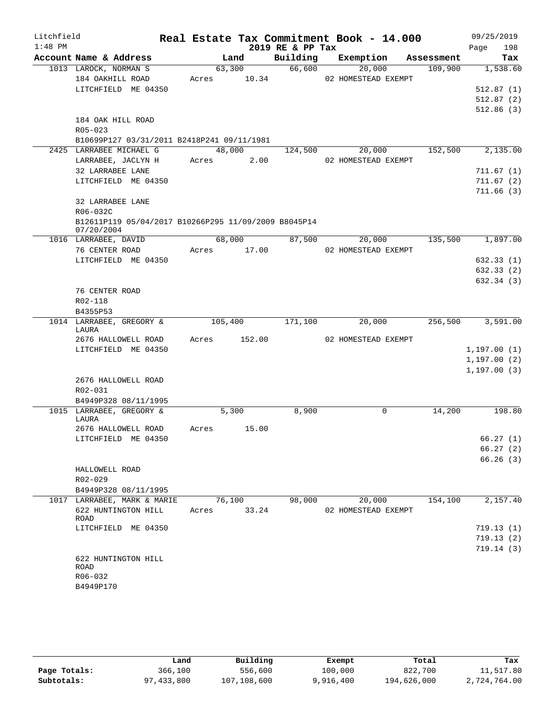| Litchfield |                                                      |             |        |        |                  | Real Estate Tax Commitment Book - 14.000 |            | 09/25/2019       |
|------------|------------------------------------------------------|-------------|--------|--------|------------------|------------------------------------------|------------|------------------|
| $1:48$ PM  |                                                      |             |        |        | 2019 RE & PP Tax |                                          |            | 198<br>Page      |
|            | Account Name & Address                               |             | Land   |        |                  | Building Exemption                       | Assessment | Tax              |
|            | 1013 LAROCK, NORMAN S                                |             | 63,300 |        | 66,600           | 20,000                                   | 109,900    | 1,538.60         |
|            | 184 OAKHILL ROAD                                     | Acres 10.34 |        |        |                  | 02 HOMESTEAD EXEMPT                      |            |                  |
|            | LITCHFIELD ME 04350                                  |             |        |        |                  |                                          |            | 512.87(1)        |
|            |                                                      |             |        |        |                  |                                          |            | 512.87(2)        |
|            |                                                      |             |        |        |                  |                                          |            | 512.86(3)        |
|            | 184 OAK HILL ROAD<br>$R05 - 023$                     |             |        |        |                  |                                          |            |                  |
|            | B10699P127 03/31/2011 B2418P241 09/11/1981           |             |        |        |                  |                                          |            |                  |
|            | 2425 LARRABEE MICHAEL G                              |             |        |        | 48,000 124,500   | 20,000                                   | 152,500    | 2,135.00         |
|            | LARRABEE, JACLYN H                                   | Acres 2.00  |        |        |                  | 02 HOMESTEAD EXEMPT                      |            |                  |
|            | 32 LARRABEE LANE                                     |             |        |        |                  |                                          |            | 711.67(1)        |
|            | LITCHFIELD ME 04350                                  |             |        |        |                  |                                          |            | 711.67(2)        |
|            |                                                      |             |        |        |                  |                                          |            | 711.66(3)        |
|            | 32 LARRABEE LANE                                     |             |        |        |                  |                                          |            |                  |
|            | R06-032C                                             |             |        |        |                  |                                          |            |                  |
|            | B12611P119 05/04/2017 B10266P295 11/09/2009 B8045P14 |             |        |        |                  |                                          |            |                  |
|            | 07/20/2004                                           |             |        |        |                  |                                          |            |                  |
|            | 1016 LARRABEE, DAVID                                 |             | 68,000 |        | 87,500           | 20,000                                   | 135,500    | 1,897.00         |
|            | 76 CENTER ROAD<br>LITCHFIELD ME 04350                | Acres 17.00 |        |        |                  | 02 HOMESTEAD EXEMPT                      |            | 632.33(1)        |
|            |                                                      |             |        |        |                  |                                          |            | 632.33(2)        |
|            |                                                      |             |        |        |                  |                                          |            | 632.34(3)        |
|            | 76 CENTER ROAD                                       |             |        |        |                  |                                          |            |                  |
|            | R02-118                                              |             |        |        |                  |                                          |            |                  |
|            | B4355P53                                             |             |        |        |                  |                                          |            |                  |
|            | 1014 LARRABEE, GREGORY &                             | 105,400     |        |        | 171,100          | 20,000                                   |            | 256,500 3,591.00 |
|            | LAURA                                                |             |        |        |                  |                                          |            |                  |
|            | 2676 HALLOWELL ROAD                                  | Acres       |        | 152.00 |                  | 02 HOMESTEAD EXEMPT                      |            |                  |
|            | LITCHFIELD ME 04350                                  |             |        |        |                  |                                          |            | 1,197.00(1)      |
|            |                                                      |             |        |        |                  |                                          |            | 1,197.00(2)      |
|            | 2676 HALLOWELL ROAD                                  |             |        |        |                  |                                          |            | 1,197.00(3)      |
|            | R02-031                                              |             |        |        |                  |                                          |            |                  |
|            | B4949P328 08/11/1995                                 |             |        |        |                  |                                          |            |                  |
|            | 1015 LARRABEE, GREGORY &                             |             | 5,300  |        | 8,900            | $\mathbf 0$                              | 14,200     | 198.80           |
|            | LAURA                                                |             |        |        |                  |                                          |            |                  |
|            | 2676 HALLOWELL ROAD                                  | Acres       |        | 15.00  |                  |                                          |            |                  |
|            | LITCHFIELD ME 04350                                  |             |        |        |                  |                                          |            | 66.27(1)         |
|            |                                                      |             |        |        |                  |                                          |            | 66.27 (2)        |
|            |                                                      |             |        |        |                  |                                          |            | 66.26(3)         |
|            | HALLOWELL ROAD                                       |             |        |        |                  |                                          |            |                  |
|            | R02-029<br>B4949P328 08/11/1995                      |             |        |        |                  |                                          |            |                  |
|            | 1017 LARRABEE, MARK & MARIE                          |             | 76,100 |        | 98,000           | 20,000                                   | 154,100    | 2,157.40         |
|            | 622 HUNTINGTON HILL                                  | Acres 33.24 |        |        |                  | 02 HOMESTEAD EXEMPT                      |            |                  |
|            | ROAD                                                 |             |        |        |                  |                                          |            |                  |
|            | LITCHFIELD ME 04350                                  |             |        |        |                  |                                          |            | 719.13(1)        |
|            |                                                      |             |        |        |                  |                                          |            | 719.13(2)        |
|            |                                                      |             |        |        |                  |                                          |            | 719.14(3)        |
|            | 622 HUNTINGTON HILL                                  |             |        |        |                  |                                          |            |                  |
|            | ROAD<br>R06-032                                      |             |        |        |                  |                                          |            |                  |
|            | B4949P170                                            |             |        |        |                  |                                          |            |                  |
|            |                                                      |             |        |        |                  |                                          |            |                  |

|              | Land         | Building    | Exempt    | Total       | Tax          |
|--------------|--------------|-------------|-----------|-------------|--------------|
| Page Totals: | 366,100      | 556,600     | 100,000   | 822,700     | 11,517.80    |
| Subtotals:   | 97, 433, 800 | 107,108,600 | 9,916,400 | 194,626,000 | 2,724,764.00 |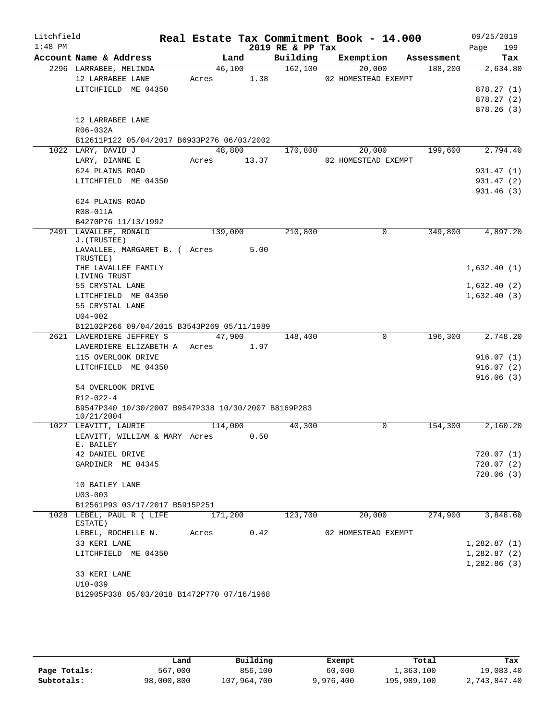| Litchfield |                                                                         |                      |        |                       | Real Estate Tax Commitment Book - 14.000 |            | 09/25/2019  |
|------------|-------------------------------------------------------------------------|----------------------|--------|-----------------------|------------------------------------------|------------|-------------|
| $1:48$ PM  |                                                                         |                      |        | 2019 RE & PP Tax      |                                          |            | 199<br>Page |
|            | Account Name & Address                                                  |                      | Land   | Building              | Exemption                                | Assessment | Tax         |
|            | 2296 LARRABEE, MELINDA<br>12 LARRABEE LANE                              | 46,100<br>Acres 1.38 |        | 162,100               | 20,000<br>02 HOMESTEAD EXEMPT            | 188,200    | 2,634.80    |
|            | LITCHFIELD ME 04350                                                     |                      |        |                       |                                          |            | 878.27(1)   |
|            |                                                                         |                      |        |                       |                                          |            | 878.27(2)   |
|            |                                                                         |                      |        |                       |                                          |            | 878.26(3)   |
|            | 12 LARRABEE LANE                                                        |                      |        |                       |                                          |            |             |
|            | R06-032A                                                                |                      |        |                       |                                          |            |             |
|            | B12611P122 05/04/2017 B6933P276 06/03/2002                              |                      |        |                       |                                          |            |             |
|            | 1022 LARY, DAVID J                                                      |                      | 48,800 | 170,800               | 20,000                                   | 199,600    | 2,794.40    |
|            | LARY, DIANNE E                                                          | Acres 13.37          |        |                       | 02 HOMESTEAD EXEMPT                      |            |             |
|            | 624 PLAINS ROAD                                                         |                      |        |                       |                                          |            | 931.47 (1)  |
|            | LITCHFIELD ME 04350                                                     |                      |        |                       |                                          |            | 931.47 (2)  |
|            |                                                                         |                      |        |                       |                                          |            | 931.46(3)   |
|            | 624 PLAINS ROAD                                                         |                      |        |                       |                                          |            |             |
|            | R08-011A                                                                |                      |        |                       |                                          |            |             |
|            | B4270P76 11/13/1992                                                     |                      |        |                       |                                          |            |             |
|            | 2491 LAVALLEE, RONALD<br>J. (TRUSTEE)                                   | 139,000              |        | 210,800               | $\Omega$                                 | 349,800    | 4,897.20    |
|            | LAVALLEE, MARGARET B. ( Acres 5.00<br>TRUSTEE)                          |                      |        |                       |                                          |            |             |
|            | THE LAVALLEE FAMILY                                                     |                      |        |                       |                                          |            | 1,632.40(1) |
|            | LIVING TRUST                                                            |                      |        |                       |                                          |            |             |
|            | 55 CRYSTAL LANE                                                         |                      |        |                       |                                          |            | 1,632.40(2) |
|            | LITCHFIELD ME 04350                                                     |                      |        |                       |                                          |            | 1,632.40(3) |
|            | 55 CRYSTAL LANE                                                         |                      |        |                       |                                          |            |             |
|            | $U04 - 002$                                                             |                      |        |                       |                                          |            |             |
|            | B12102P266 09/04/2015 B3543P269 05/11/1989<br>2621 LAVERDIERE JEFFREY S |                      | 47,900 |                       | $\mathbf 0$                              | 196,300    | 2,748.20    |
|            | LAVERDIERE ELIZABETH A Acres 1.97                                       |                      |        | 148,400               |                                          |            |             |
|            | 115 OVERLOOK DRIVE                                                      |                      |        |                       |                                          |            | 916.07(1)   |
|            | LITCHFIELD ME 04350                                                     |                      |        |                       |                                          |            | 916.07(2)   |
|            |                                                                         |                      |        |                       |                                          |            | 916.06(3)   |
|            | 54 OVERLOOK DRIVE                                                       |                      |        |                       |                                          |            |             |
|            | R12-022-4                                                               |                      |        |                       |                                          |            |             |
|            | B9547P340 10/30/2007 B9547P338 10/30/2007 B8169P283                     |                      |        |                       |                                          |            |             |
|            | 10/21/2004                                                              |                      |        |                       |                                          |            |             |
|            | 1027 LEAVITT, LAURIE                                                    | 114,000              |        | $\overline{40}$ , 300 | 0                                        | 154,300    | 2,160.20    |
|            | LEAVITT, WILLIAM & MARY Acres<br>E. BAILEY                              |                      | 0.50   |                       |                                          |            |             |
|            | 42 DANIEL DRIVE                                                         |                      |        |                       |                                          |            | 720.07(1)   |
|            | GARDINER ME 04345                                                       |                      |        |                       |                                          |            | 720.07(2)   |
|            |                                                                         |                      |        |                       |                                          |            | 720.06(3)   |
|            | 10 BAILEY LANE                                                          |                      |        |                       |                                          |            |             |
|            | $U03 - 003$                                                             |                      |        |                       |                                          |            |             |
|            | B12561P93 03/17/2017 B5915P251                                          |                      |        |                       |                                          |            |             |
|            | 1028 LEBEL, PAUL R ( LIFE<br>ESTATE)                                    | 171,200              |        | 123,700               | 20,000                                   | 274,900    | 3,848.60    |
|            | LEBEL, ROCHELLE N.                                                      | Acres                | 0.42   |                       | 02 HOMESTEAD EXEMPT                      |            |             |
|            | 33 KERI LANE                                                            |                      |        |                       |                                          |            | 1,282.87(1) |
|            | LITCHFIELD ME 04350                                                     |                      |        |                       |                                          |            | 1,282.87(2) |
|            |                                                                         |                      |        |                       |                                          |            | 1,282.86(3) |
|            | 33 KERI LANE                                                            |                      |        |                       |                                          |            |             |
|            | $U10-039$                                                               |                      |        |                       |                                          |            |             |
|            | B12905P338 05/03/2018 B1472P770 07/16/1968                              |                      |        |                       |                                          |            |             |

|              | Land       | Building    | Exempt    | Total       | Tax          |
|--------------|------------|-------------|-----------|-------------|--------------|
| Page Totals: | 567,000    | 856,100     | 60,000    | 1,363,100   | 19,083.40    |
| Subtotals:   | 98,000,800 | 107,964,700 | 9,976,400 | 195,989,100 | 2,743,847.40 |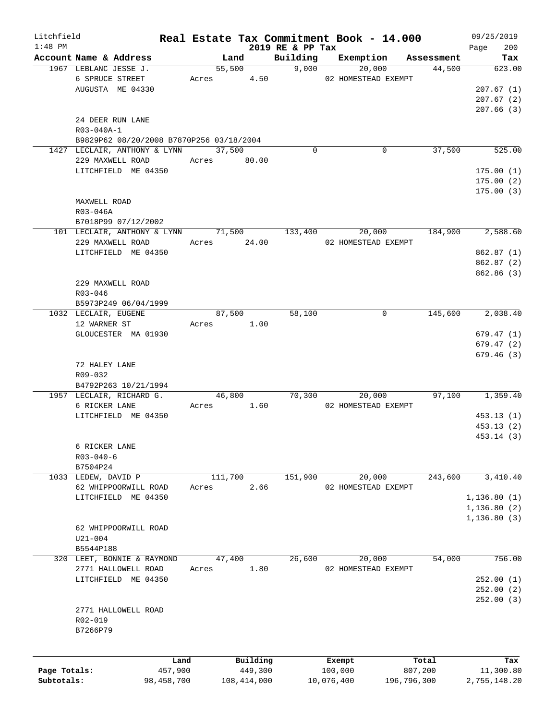| Litchfield   |                                                 |            |       |                             |                   | Real Estate Tax Commitment Book - 14.000 |                      | 09/25/2019    |
|--------------|-------------------------------------------------|------------|-------|-----------------------------|-------------------|------------------------------------------|----------------------|---------------|
| $1:48$ PM    |                                                 |            |       |                             | 2019 RE & PP Tax  |                                          |                      | 200<br>Page   |
|              | Account Name & Address<br>1967 LEBLANC JESSE J. |            |       | Land<br>$\overline{55,500}$ | Building<br>9,000 | Exemption<br>20,000                      | Assessment<br>44,500 | Tax<br>623.00 |
|              | 6 SPRUCE STREET                                 |            |       | Acres 4.50                  |                   | 02 HOMESTEAD EXEMPT                      |                      |               |
|              | AUGUSTA ME 04330                                |            |       |                             |                   |                                          |                      | 207.67(1)     |
|              |                                                 |            |       |                             |                   |                                          |                      | 207.67(2)     |
|              |                                                 |            |       |                             |                   |                                          |                      | 207.66(3)     |
|              | 24 DEER RUN LANE                                |            |       |                             |                   |                                          |                      |               |
|              | R03-040A-1                                      |            |       |                             |                   |                                          |                      |               |
|              | B9829P62 08/20/2008 B7870P256 03/18/2004        |            |       |                             |                   |                                          |                      |               |
|              | 1427 LECLAIR, ANTHONY & LYNN                    |            |       | 37,500                      | $\Omega$          | 0                                        | 37,500               | 525.00        |
|              | 229 MAXWELL ROAD                                |            |       | Acres 80.00                 |                   |                                          |                      |               |
|              | LITCHFIELD ME 04350                             |            |       |                             |                   |                                          |                      | 175.00(1)     |
|              |                                                 |            |       |                             |                   |                                          |                      | 175.00(2)     |
|              |                                                 |            |       |                             |                   |                                          |                      | 175.00(3)     |
|              | MAXWELL ROAD                                    |            |       |                             |                   |                                          |                      |               |
|              | R03-046A                                        |            |       |                             |                   |                                          |                      |               |
|              | B7018P99 07/12/2002                             |            |       |                             |                   |                                          |                      |               |
|              | 101 LECLAIR, ANTHONY & LYNN 71,500              |            |       |                             | 133,400           | 20,000                                   | 184,900              | 2,588.60      |
|              | 229 MAXWELL ROAD                                |            |       | Acres 24.00                 |                   | 02 HOMESTEAD EXEMPT                      |                      |               |
|              | LITCHFIELD ME 04350                             |            |       |                             |                   |                                          |                      |               |
|              |                                                 |            |       |                             |                   |                                          |                      | 862.87(1)     |
|              |                                                 |            |       |                             |                   |                                          |                      | 862.87 (2)    |
|              |                                                 |            |       |                             |                   |                                          |                      | 862.86 (3)    |
|              | 229 MAXWELL ROAD                                |            |       |                             |                   |                                          |                      |               |
|              | $R03 - 046$                                     |            |       |                             |                   |                                          |                      |               |
|              | B5973P249 06/04/1999                            |            |       |                             |                   |                                          |                      |               |
|              | 1032 LECLAIR, EUGENE                            |            |       | 87,500                      | 58,100            | 0                                        | 145,600              | 2,038.40      |
|              | 12 WARNER ST                                    |            | Acres | 1.00                        |                   |                                          |                      |               |
|              | GLOUCESTER MA 01930                             |            |       |                             |                   |                                          |                      | 679.47(1)     |
|              |                                                 |            |       |                             |                   |                                          |                      | 679.47(2)     |
|              |                                                 |            |       |                             |                   |                                          |                      | 679.46(3)     |
|              | 72 HALEY LANE                                   |            |       |                             |                   |                                          |                      |               |
|              | R09-032                                         |            |       |                             |                   |                                          |                      |               |
|              | B4792P263 10/21/1994                            |            |       |                             |                   |                                          |                      |               |
|              | 1957 LECLAIR, RICHARD G.                        |            |       | 46,800                      | 70,300            | 20,000                                   | 97,100               | 1,359.40      |
|              | 6 RICKER LANE                                   |            | Acres | 1.60                        |                   | 02 HOMESTEAD EXEMPT                      |                      |               |
|              | LITCHFIELD ME 04350                             |            |       |                             |                   |                                          |                      | 453.13(1)     |
|              |                                                 |            |       |                             |                   |                                          |                      | 453.13(2)     |
|              |                                                 |            |       |                             |                   |                                          |                      | 453.14 (3)    |
|              | 6 RICKER LANE                                   |            |       |                             |                   |                                          |                      |               |
|              | $R03 - 040 - 6$                                 |            |       |                             |                   |                                          |                      |               |
|              | B7504P24                                        |            |       |                             |                   |                                          |                      |               |
|              | 1033 LEDEW, DAVID P                             |            |       | 111,700                     | 151,900           | 20,000                                   | 243,600              | 3,410.40      |
|              | 62 WHIPPOORWILL ROAD                            |            | Acres | 2.66                        |                   | 02 HOMESTEAD EXEMPT                      |                      |               |
|              | LITCHFIELD ME 04350                             |            |       |                             |                   |                                          |                      | 1, 136.80(1)  |
|              |                                                 |            |       |                             |                   |                                          |                      | 1, 136.80(2)  |
|              |                                                 |            |       |                             |                   |                                          |                      | 1,136.80(3)   |
|              | 62 WHIPPOORWILL ROAD                            |            |       |                             |                   |                                          |                      |               |
|              | $U21 - 004$                                     |            |       |                             |                   |                                          |                      |               |
|              | B5544P188                                       |            |       |                             |                   |                                          |                      |               |
|              | 320 LEET, BONNIE & RAYMOND                      |            |       | 47,400                      | 26,600            | 20,000                                   | 54,000               | 756.00        |
|              | 2771 HALLOWELL ROAD                             |            | Acres | 1.80                        |                   | 02 HOMESTEAD EXEMPT                      |                      |               |
|              | LITCHFIELD ME 04350                             |            |       |                             |                   |                                          |                      | 252.00(1)     |
|              |                                                 |            |       |                             |                   |                                          |                      | 252.00(2)     |
|              |                                                 |            |       |                             |                   |                                          |                      | 252.00(3)     |
|              | 2771 HALLOWELL ROAD                             |            |       |                             |                   |                                          |                      |               |
|              | $R02 - 019$                                     |            |       |                             |                   |                                          |                      |               |
|              | B7266P79                                        |            |       |                             |                   |                                          |                      |               |
|              |                                                 |            |       |                             |                   |                                          |                      |               |
|              |                                                 | Land       |       | Building                    |                   | Exempt                                   | Total                | Tax           |
| Page Totals: |                                                 | 457,900    |       | 449,300                     |                   | 100,000                                  | 807,200              | 11,300.80     |
| Subtotals:   |                                                 | 98,458,700 |       | 108, 414, 000               |                   | 10,076,400                               | 196,796,300          | 2,755,148.20  |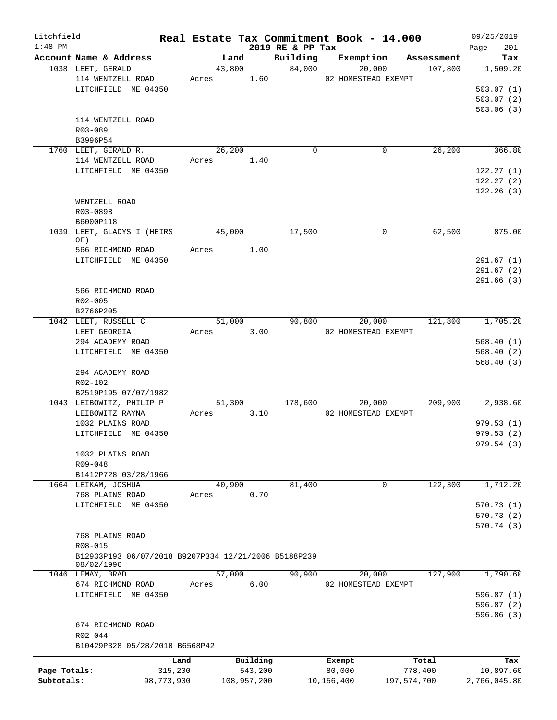| Litchfield   |                                                                    |            |                |             |                    | Real Estate Tax Commitment Book - 14.000 |                       | 09/25/2019      |
|--------------|--------------------------------------------------------------------|------------|----------------|-------------|--------------------|------------------------------------------|-----------------------|-----------------|
| $1:48$ PM    |                                                                    |            |                |             | 2019 RE & PP Tax   |                                          |                       | 201<br>Page     |
|              | Account Name & Address<br>1038 LEET, GERALD                        |            | Land<br>43,800 |             | Building<br>84,000 | Exemption<br>20,000                      | Assessment<br>107,800 | Tax<br>1,509.20 |
|              | 114 WENTZELL ROAD                                                  |            | Acres          | 1.60        |                    | 02 HOMESTEAD EXEMPT                      |                       |                 |
|              | LITCHFIELD ME 04350                                                |            |                |             |                    |                                          |                       | 503.07(1)       |
|              |                                                                    |            |                |             |                    |                                          |                       | 503.07(2)       |
|              |                                                                    |            |                |             |                    |                                          |                       | 503.06(3)       |
|              | 114 WENTZELL ROAD                                                  |            |                |             |                    |                                          |                       |                 |
|              | R03-089                                                            |            |                |             |                    |                                          |                       |                 |
|              | B3996P54                                                           |            |                |             |                    |                                          |                       |                 |
|              | 1760 LEET, GERALD R.                                               |            | 26, 200        |             | $\mathbf 0$        |                                          | 26, 200<br>0          | 366.80          |
|              | 114 WENTZELL ROAD                                                  |            | Acres          | 1.40        |                    |                                          |                       |                 |
|              | LITCHFIELD ME 04350                                                |            |                |             |                    |                                          |                       | 122.27(1)       |
|              |                                                                    |            |                |             |                    |                                          |                       | 122.27(2)       |
|              |                                                                    |            |                |             |                    |                                          |                       | 122.26(3)       |
|              | WENTZELL ROAD                                                      |            |                |             |                    |                                          |                       |                 |
|              | R03-089B                                                           |            |                |             |                    |                                          |                       |                 |
|              | B6000P118                                                          |            |                |             |                    |                                          |                       |                 |
| 1039         | LEET, GLADYS I (HEIRS                                              |            | 45,000         |             | 17,500             |                                          | 62,500<br>0           | 875.00          |
|              | OF)                                                                |            |                |             |                    |                                          |                       |                 |
|              | 566 RICHMOND ROAD                                                  |            | Acres          | 1.00        |                    |                                          |                       |                 |
|              | LITCHFIELD ME 04350                                                |            |                |             |                    |                                          |                       | 291.67(1)       |
|              |                                                                    |            |                |             |                    |                                          |                       | 291.67(2)       |
|              | 566 RICHMOND ROAD                                                  |            |                |             |                    |                                          |                       | 291.66(3)       |
|              | R02-005                                                            |            |                |             |                    |                                          |                       |                 |
|              | B2766P205                                                          |            |                |             |                    |                                          |                       |                 |
|              | 1042 LEET, RUSSELL C                                               |            | 51,000         |             | 90,800             | 20,000                                   | 121,800               | 1,705.20        |
|              | LEET GEORGIA                                                       |            | Acres          | 3.00        |                    | 02 HOMESTEAD EXEMPT                      |                       |                 |
|              | 294 ACADEMY ROAD                                                   |            |                |             |                    |                                          |                       | 568.40(1)       |
|              | LITCHFIELD ME 04350                                                |            |                |             |                    |                                          |                       | 568.40(2)       |
|              |                                                                    |            |                |             |                    |                                          |                       | 568.40(3)       |
|              | 294 ACADEMY ROAD                                                   |            |                |             |                    |                                          |                       |                 |
|              | R02-102                                                            |            |                |             |                    |                                          |                       |                 |
|              | B2519P195 07/07/1982                                               |            |                |             |                    |                                          |                       |                 |
|              | 1043 LEIBOWITZ, PHILIP P                                           |            | 51,300         |             | 178,600            | 20,000                                   | 209,900               | 2,938.60        |
|              | LEIBOWITZ RAYNA                                                    |            | Acres          | 3.10        |                    | 02 HOMESTEAD EXEMPT                      |                       |                 |
|              | 1032 PLAINS ROAD                                                   |            |                |             |                    |                                          |                       | 979.53(1)       |
|              | LITCHFIELD ME 04350                                                |            |                |             |                    |                                          |                       | 979.53(2)       |
|              |                                                                    |            |                |             |                    |                                          |                       | 979.54 (3)      |
|              | 1032 PLAINS ROAD                                                   |            |                |             |                    |                                          |                       |                 |
|              | R09-048                                                            |            |                |             |                    |                                          |                       |                 |
|              | B1412P728 03/28/1966                                               |            |                |             |                    |                                          |                       |                 |
|              | 1664 LEIKAM, JOSHUA                                                |            | 40,900         |             | 81,400             |                                          | 122,300<br>0          | 1,712.20        |
|              | 768 PLAINS ROAD                                                    |            | Acres          | 0.70        |                    |                                          |                       |                 |
|              | LITCHFIELD ME 04350                                                |            |                |             |                    |                                          |                       | 570.73(1)       |
|              |                                                                    |            |                |             |                    |                                          |                       | 570.73(2)       |
|              |                                                                    |            |                |             |                    |                                          |                       | 570.74(3)       |
|              | 768 PLAINS ROAD                                                    |            |                |             |                    |                                          |                       |                 |
|              | $R08 - 015$                                                        |            |                |             |                    |                                          |                       |                 |
|              | B12933P193 06/07/2018 B9207P334 12/21/2006 B5188P239<br>08/02/1996 |            |                |             |                    |                                          |                       |                 |
|              | 1046 LEMAY, BRAD                                                   |            | 57,000         |             | 90,900             | 20,000                                   | 127,900               | 1,790.60        |
|              | 674 RICHMOND ROAD                                                  |            | Acres          | 6.00        |                    | 02 HOMESTEAD EXEMPT                      |                       |                 |
|              | LITCHFIELD ME 04350                                                |            |                |             |                    |                                          |                       | 596.87(1)       |
|              |                                                                    |            |                |             |                    |                                          |                       | 596.87 (2)      |
|              |                                                                    |            |                |             |                    |                                          |                       | 596.86(3)       |
|              | 674 RICHMOND ROAD                                                  |            |                |             |                    |                                          |                       |                 |
|              | R02-044                                                            |            |                |             |                    |                                          |                       |                 |
|              | B10429P328 05/28/2010 B6568P42                                     |            |                |             |                    |                                          |                       |                 |
|              |                                                                    | Land       |                | Building    |                    | Exempt                                   | Total                 | Tax             |
| Page Totals: |                                                                    | 315,200    |                | 543,200     |                    | 80,000                                   | 778,400               | 10,897.60       |
| Subtotals:   |                                                                    | 98,773,900 |                | 108,957,200 |                    | 10,156,400                               | 197,574,700           | 2,766,045.80    |
|              |                                                                    |            |                |             |                    |                                          |                       |                 |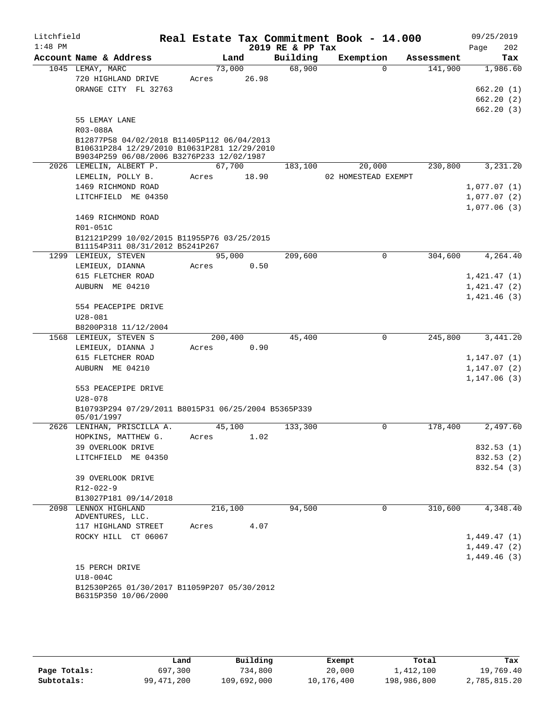| Litchfield<br>$1:48$ PM |                                                                                                                                        |                 |       | 2019 RE & PP Tax | Real Estate Tax Commitment Book - 14.000 |            | 09/25/2019<br>202<br>Page           |
|-------------------------|----------------------------------------------------------------------------------------------------------------------------------------|-----------------|-------|------------------|------------------------------------------|------------|-------------------------------------|
|                         | Account Name & Address                                                                                                                 | Land            |       | Building         | Exemption                                | Assessment | Tax                                 |
|                         | 1045 LEMAY, MARC<br>720 HIGHLAND DRIVE                                                                                                 | 73,000<br>Acres | 26.98 | 68,900           | $\Omega$                                 | 141,900    | 1,986.60                            |
|                         | ORANGE CITY FL 32763                                                                                                                   |                 |       |                  |                                          |            | 662.20(1)<br>662.20(2)<br>662.20(3) |
|                         | 55 LEMAY LANE<br>R03-088A                                                                                                              |                 |       |                  |                                          |            |                                     |
|                         | B12877P58 04/02/2018 B11405P112 06/04/2013<br>B10631P284 12/29/2010 B10631P281 12/29/2010<br>B9034P259 06/08/2006 B3276P233 12/02/1987 |                 |       |                  |                                          |            |                                     |
|                         | 2026 LEMELIN, ALBERT P.                                                                                                                | 67,700          |       | 183,100          | 20,000                                   | 230,800    | 3,231.20                            |
|                         | LEMELIN, POLLY B.                                                                                                                      | Acres           | 18.90 |                  | 02 HOMESTEAD EXEMPT                      |            |                                     |
|                         | 1469 RICHMOND ROAD                                                                                                                     |                 |       |                  |                                          |            | 1,077.07(1)                         |
|                         | LITCHFIELD ME 04350                                                                                                                    |                 |       |                  |                                          |            | 1,077.07(2)<br>1,077.06(3)          |
|                         | 1469 RICHMOND ROAD<br>R01-051C                                                                                                         |                 |       |                  |                                          |            |                                     |
|                         | B12121P299 10/02/2015 B11955P76 03/25/2015<br>B11154P311 08/31/2012 B5241P267                                                          |                 |       |                  |                                          |            |                                     |
|                         | 1299 LEMIEUX, STEVEN                                                                                                                   | 95,000          |       | 209,600          | 0                                        | 304,600    | 4,264.40                            |
|                         | LEMIEUX, DIANNA                                                                                                                        | Acres           | 0.50  |                  |                                          |            |                                     |
|                         | 615 FLETCHER ROAD                                                                                                                      |                 |       |                  |                                          |            | 1,421.47(1)                         |
|                         | AUBURN ME 04210                                                                                                                        |                 |       |                  |                                          |            | 1,421.47(2)<br>1,421.46(3)          |
|                         | 554 PEACEPIPE DRIVE<br>$U28 - 081$                                                                                                     |                 |       |                  |                                          |            |                                     |
|                         | B8200P318 11/12/2004                                                                                                                   |                 |       |                  |                                          |            |                                     |
|                         | 1568 LEMIEUX, STEVEN S                                                                                                                 | 200,400         |       | 45,400           | 0                                        | 245,800    | 3,441.20                            |
|                         | LEMIEUX, DIANNA J                                                                                                                      | Acres           | 0.90  |                  |                                          |            |                                     |
|                         | 615 FLETCHER ROAD                                                                                                                      |                 |       |                  |                                          |            | 1,147.07(1)                         |
|                         | AUBURN ME 04210                                                                                                                        |                 |       |                  |                                          |            | 1,147.07(2)                         |
|                         |                                                                                                                                        |                 |       |                  |                                          |            | 1,147.06(3)                         |
|                         | 553 PEACEPIPE DRIVE<br>$U28 - 078$                                                                                                     |                 |       |                  |                                          |            |                                     |
|                         | B10793P294 07/29/2011 B8015P31 06/25/2004 B5365P339<br>05/01/1997                                                                      |                 |       |                  |                                          |            |                                     |
|                         | 2626 LENIHAN, PRISCILLA A.                                                                                                             | 45,100          |       | 133,300          | 0                                        | 178,400    | 2,497.60                            |
|                         | HOPKINS, MATTHEW G.                                                                                                                    | Acres           | 1.02  |                  |                                          |            |                                     |
|                         | 39 OVERLOOK DRIVE                                                                                                                      |                 |       |                  |                                          |            | 832.53 (1)                          |
|                         | LITCHFIELD ME 04350                                                                                                                    |                 |       |                  |                                          |            | 832.53 (2)                          |
|                         |                                                                                                                                        |                 |       |                  |                                          |            | 832.54 (3)                          |
|                         | 39 OVERLOOK DRIVE                                                                                                                      |                 |       |                  |                                          |            |                                     |
|                         | R12-022-9                                                                                                                              |                 |       |                  |                                          |            |                                     |
|                         | B13027P181 09/14/2018                                                                                                                  |                 |       |                  |                                          |            |                                     |
|                         | 2098 LENNOX HIGHLAND<br>ADVENTURES, LLC.                                                                                               | 216,100         |       | 94,500           | 0                                        | 310,600    | 4,348.40                            |
|                         | 117 HIGHLAND STREET                                                                                                                    | Acres           | 4.07  |                  |                                          |            |                                     |
|                         | ROCKY HILL CT 06067                                                                                                                    |                 |       |                  |                                          |            | 1,449.47(1)                         |
|                         |                                                                                                                                        |                 |       |                  |                                          |            | 1,449.47(2)                         |
|                         |                                                                                                                                        |                 |       |                  |                                          |            | 1,449.46(3)                         |
|                         | 15 PERCH DRIVE                                                                                                                         |                 |       |                  |                                          |            |                                     |
|                         | U18-004C<br>B12530P265 01/30/2017 B11059P207 05/30/2012                                                                                |                 |       |                  |                                          |            |                                     |
|                         | B6315P350 10/06/2000                                                                                                                   |                 |       |                  |                                          |            |                                     |

|              | Land         | Building    | Exempt     | Total       | Tax          |
|--------------|--------------|-------------|------------|-------------|--------------|
| Page Totals: | 697,300      | 734,800     | 20,000     | 1,412,100   | 19,769.40    |
| Subtotals:   | 99, 471, 200 | 109,692,000 | 10,176,400 | 198,986,800 | 2,785,815.20 |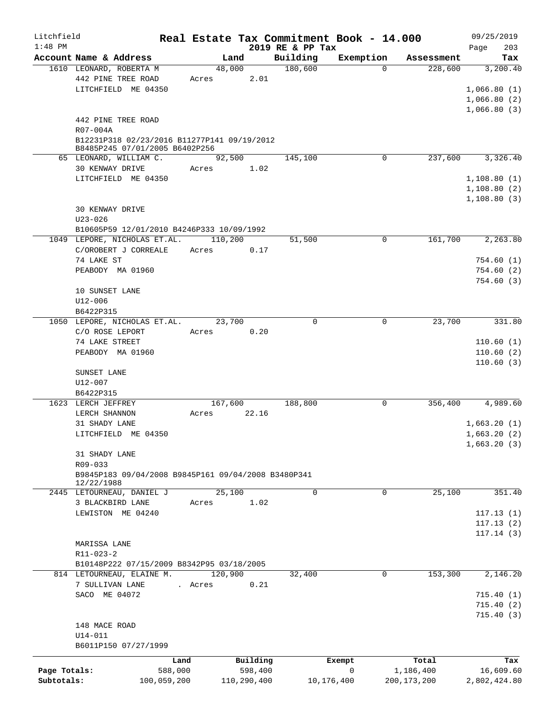| Litchfield                 |                                                          |         |                        |                              | Real Estate Tax Commitment Book - 14.000 |                            | 09/25/2019                 |
|----------------------------|----------------------------------------------------------|---------|------------------------|------------------------------|------------------------------------------|----------------------------|----------------------------|
| $1:48$ PM                  | Account Name & Address                                   |         | Land                   | 2019 RE & PP Tax<br>Building | Exemption                                | Assessment                 | 203<br>Page                |
|                            | 1610 LEONARD, ROBERTA M                                  | 48,000  |                        | 180,600                      | $\Omega$                                 | 228,600                    | Tax<br>3,200.40            |
|                            | 442 PINE TREE ROAD                                       | Acres   | 2.01                   |                              |                                          |                            |                            |
|                            | LITCHFIELD ME 04350                                      |         |                        |                              |                                          |                            | 1,066.80(1)                |
|                            |                                                          |         |                        |                              |                                          |                            | 1,066.80(2)                |
|                            |                                                          |         |                        |                              |                                          |                            | 1,066.80(3)                |
|                            | 442 PINE TREE ROAD                                       |         |                        |                              |                                          |                            |                            |
|                            | R07-004A                                                 |         |                        |                              |                                          |                            |                            |
|                            | B12231P318 02/23/2016 B11277P141 09/19/2012              |         |                        |                              |                                          |                            |                            |
|                            | B8485P245 07/01/2005 B6402P256<br>65 LEONARD, WILLIAM C. |         | 92,500                 | 145,100                      | 0                                        | 237,600                    | 3,326.40                   |
|                            | 30 KENWAY DRIVE                                          | Acres   | 1.02                   |                              |                                          |                            |                            |
|                            | LITCHFIELD ME 04350                                      |         |                        |                              |                                          |                            | 1,108.80(1)                |
|                            |                                                          |         |                        |                              |                                          |                            | 1,108.80(2)                |
|                            |                                                          |         |                        |                              |                                          |                            | 1,108.80(3)                |
|                            | 30 KENWAY DRIVE                                          |         |                        |                              |                                          |                            |                            |
|                            | $U23 - 026$                                              |         |                        |                              |                                          |                            |                            |
|                            | B10605P59 12/01/2010 B4246P333 10/09/1992                |         |                        |                              |                                          |                            |                            |
|                            | 1049 LEPORE, NICHOLAS ET.AL.                             | 110,200 |                        | 51,500                       | $\mathbf 0$                              | 161,700                    | 2,263.80                   |
|                            | C/OROBERT J CORREALE                                     | Acres   | 0.17                   |                              |                                          |                            |                            |
|                            | 74 LAKE ST                                               |         |                        |                              |                                          |                            | 754.60(1)                  |
|                            | PEABODY MA 01960                                         |         |                        |                              |                                          |                            | 754.60(2)                  |
|                            |                                                          |         |                        |                              |                                          |                            | 754.60(3)                  |
|                            | 10 SUNSET LANE<br>U12-006                                |         |                        |                              |                                          |                            |                            |
|                            | B6422P315                                                |         |                        |                              |                                          |                            |                            |
|                            | 1050 LEPORE, NICHOLAS ET.AL.                             | 23,700  |                        | $\Omega$                     | $\mathbf 0$                              | 23,700                     | 331.80                     |
|                            | C/O ROSE LEPORT                                          | Acres   | 0.20                   |                              |                                          |                            |                            |
|                            | 74 LAKE STREET                                           |         |                        |                              |                                          |                            | 110.60(1)                  |
|                            | PEABODY MA 01960                                         |         |                        |                              |                                          |                            | 110.60(2)                  |
|                            |                                                          |         |                        |                              |                                          |                            | 110.60(3)                  |
|                            | SUNSET LANE                                              |         |                        |                              |                                          |                            |                            |
|                            | U12-007                                                  |         |                        |                              |                                          |                            |                            |
|                            | B6422P315                                                |         |                        |                              |                                          |                            |                            |
|                            | 1623 LERCH JEFFREY                                       |         | 167,600                | 188,800                      | 0                                        | 356,400                    | 4,989.60                   |
|                            | LERCH SHANNON                                            | Acres   | 22.16                  |                              |                                          |                            |                            |
|                            | 31 SHADY LANE<br>LITCHFIELD ME 04350                     |         |                        |                              |                                          |                            | 1,663.20(1)<br>1,663.20(2) |
|                            |                                                          |         |                        |                              |                                          |                            | 1,663.20(3)                |
|                            | 31 SHADY LANE                                            |         |                        |                              |                                          |                            |                            |
|                            | R09-033                                                  |         |                        |                              |                                          |                            |                            |
|                            | B9845P183 09/04/2008 B9845P161 09/04/2008 B3480P341      |         |                        |                              |                                          |                            |                            |
|                            | 12/22/1988                                               |         |                        |                              |                                          |                            |                            |
|                            | 2445 LETOURNEAU, DANIEL J                                | 25,100  |                        | $\Omega$                     | $\Omega$                                 | 25,100                     | 351.40                     |
|                            | 3 BLACKBIRD LANE<br>LEWISTON ME 04240                    | Acres   | 1.02                   |                              |                                          |                            | 117.13(1)                  |
|                            |                                                          |         |                        |                              |                                          |                            | 117.13(2)                  |
|                            |                                                          |         |                        |                              |                                          |                            | 117.14(3)                  |
|                            | MARISSA LANE                                             |         |                        |                              |                                          |                            |                            |
|                            | R11-023-2                                                |         |                        |                              |                                          |                            |                            |
|                            | B10148P222 07/15/2009 B8342P95 03/18/2005                |         |                        |                              |                                          |                            |                            |
|                            | 814 LETOURNEAU, ELAINE M.                                | 120,900 |                        | 32,400                       | $\mathbf 0$                              | 153,300                    | 2,146.20                   |
|                            | 7 SULLIVAN LANE                                          | . Acres | 0.21                   |                              |                                          |                            |                            |
|                            | SACO ME 04072                                            |         |                        |                              |                                          |                            | 715.40(1)                  |
|                            |                                                          |         |                        |                              |                                          |                            | 715.40(2)                  |
|                            |                                                          |         |                        |                              |                                          |                            | 715.40(3)                  |
|                            | 148 MACE ROAD<br>U14-011                                 |         |                        |                              |                                          |                            |                            |
|                            | B6011P150 07/27/1999                                     |         |                        |                              |                                          |                            |                            |
|                            |                                                          |         |                        |                              |                                          |                            |                            |
|                            |                                                          | Land    | Building               |                              | Exempt                                   | Total                      | Tax                        |
| Page Totals:<br>Subtotals: | 588,000<br>100,059,200                                   |         | 598,400<br>110,290,400 |                              | 0<br>10,176,400                          | 1,186,400<br>200, 173, 200 | 16,609.60<br>2,802,424.80  |
|                            |                                                          |         |                        |                              |                                          |                            |                            |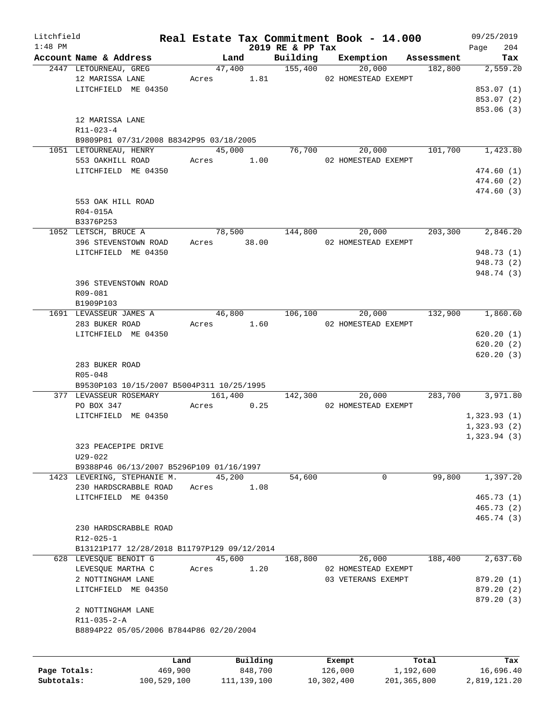| Litchfield   |                                             |             |          |                  | Real Estate Tax Commitment Book - 14.000 |            | 09/25/2019  |
|--------------|---------------------------------------------|-------------|----------|------------------|------------------------------------------|------------|-------------|
| $1:48$ PM    |                                             |             |          | 2019 RE & PP Tax |                                          |            | Page<br>204 |
|              | Account Name & Address                      | Land        |          | Building         | Exemption                                | Assessment | Tax         |
|              | 2447 LETOURNEAU, GREG                       |             |          | 47,400 155,400   | 20,000                                   | 182,800    | 2,559.20    |
|              | 12 MARISSA LANE                             |             |          |                  | Acres 1.81 02 HOMESTEAD EXEMPT           |            |             |
|              | LITCHFIELD ME 04350                         |             |          |                  |                                          |            | 853.07 (1)  |
|              |                                             |             |          |                  |                                          |            | 853.07 (2)  |
|              |                                             |             |          |                  |                                          |            | 853.06 (3)  |
|              | 12 MARISSA LANE                             |             |          |                  |                                          |            |             |
|              | R11-023-4                                   |             |          |                  |                                          |            |             |
|              | B9809P81 07/31/2008 B8342P95 03/18/2005     |             |          |                  |                                          |            |             |
|              | 1051 LETOURNEAU, HENRY                      | 45,000      |          |                  | 76,700<br>20,000                         | 101,700    | 1,423.80    |
|              | 553 OAKHILL ROAD                            | Acres 1.00  |          |                  | 02 HOMESTEAD EXEMPT                      |            |             |
|              | LITCHFIELD ME 04350                         |             |          |                  |                                          |            | 474.60 (1)  |
|              |                                             |             |          |                  |                                          |            | 474.60(2)   |
|              |                                             |             |          |                  |                                          |            | 474.60 (3)  |
|              | 553 OAK HILL ROAD                           |             |          |                  |                                          |            |             |
|              | R04-015A                                    |             |          |                  |                                          |            |             |
|              | B3376P253                                   |             |          |                  |                                          |            |             |
|              | 1052 LETSCH, BRUCE A                        |             | 78,500   |                  | 144,800<br>20,000                        | 203,300    | 2,846.20    |
|              | 396 STEVENSTOWN ROAD                        | Acres 38.00 |          |                  | 02 HOMESTEAD EXEMPT                      |            |             |
|              |                                             |             |          |                  |                                          |            |             |
|              | LITCHFIELD ME 04350                         |             |          |                  |                                          |            | 948.73 (1)  |
|              |                                             |             |          |                  |                                          |            | 948.73 (2)  |
|              |                                             |             |          |                  |                                          |            | 948.74 (3)  |
|              | 396 STEVENSTOWN ROAD                        |             |          |                  |                                          |            |             |
|              | R09-081                                     |             |          |                  |                                          |            |             |
|              | B1909P103                                   |             |          |                  |                                          |            |             |
|              | 1691 LEVASSEUR JAMES A                      | 46,800      |          | 106,100          | 20,000                                   | 132,900    | 1,860.60    |
|              | 283 BUKER ROAD                              | Acres 1.60  |          |                  | 02 HOMESTEAD EXEMPT                      |            |             |
|              | LITCHFIELD ME 04350                         |             |          |                  |                                          |            | 620.20(1)   |
|              |                                             |             |          |                  |                                          |            | 620.20(2)   |
|              |                                             |             |          |                  |                                          |            | 620.20(3)   |
|              | 283 BUKER ROAD                              |             |          |                  |                                          |            |             |
|              | R05-048                                     |             |          |                  |                                          |            |             |
|              | B9530P103 10/15/2007 B5004P311 10/25/1995   |             |          |                  |                                          |            |             |
|              | 377 LEVASSEUR ROSEMARY                      | 161,400     |          |                  | 142,300<br>20,000                        | 283,700    | 3,971.80    |
|              | PO BOX 347                                  | Acres       | 0.25     |                  | 02 HOMESTEAD EXEMPT                      |            |             |
|              | LITCHFIELD ME 04350                         |             |          |                  |                                          |            | 1,323.93(1) |
|              |                                             |             |          |                  |                                          |            | 1,323.93(2) |
|              |                                             |             |          |                  |                                          |            | 1,323.94(3) |
|              | 323 PEACEPIPE DRIVE                         |             |          |                  |                                          |            |             |
|              |                                             |             |          |                  |                                          |            |             |
|              | $U29 - 022$                                 |             |          |                  |                                          |            |             |
|              | B9388P46 06/13/2007 B5296P109 01/16/1997    |             |          |                  |                                          |            |             |
|              | 1423 LEVERING, STEPHANIE M.                 | 45,200      |          | 54,600           | 0                                        | 99,800     | 1,397.20    |
|              | 230 HARDSCRABBLE ROAD                       | Acres       | 1.08     |                  |                                          |            |             |
|              | LITCHFIELD ME 04350                         |             |          |                  |                                          |            | 465.73(1)   |
|              |                                             |             |          |                  |                                          |            | 465.73(2)   |
|              |                                             |             |          |                  |                                          |            | 465.74 (3)  |
|              | 230 HARDSCRABBLE ROAD                       |             |          |                  |                                          |            |             |
|              | $R12 - 025 - 1$                             |             |          |                  |                                          |            |             |
|              | B13121P177 12/28/2018 B11797P129 09/12/2014 |             |          |                  |                                          |            |             |
|              | 628 LEVESOUE BENOIT G                       | 45,600      |          | 168,800          | 26,000                                   | 188,400    | 2,637.60    |
|              | LEVESQUE MARTHA C                           | Acres       | 1.20     |                  | 02 HOMESTEAD EXEMPT                      |            |             |
|              | 2 NOTTINGHAM LANE                           |             |          |                  | 03 VETERANS EXEMPT                       |            | 879.20 (1)  |
|              | LITCHFIELD ME 04350                         |             |          |                  |                                          |            | 879.20 (2)  |
|              |                                             |             |          |                  |                                          |            | 879.20 (3)  |
|              | 2 NOTTINGHAM LANE                           |             |          |                  |                                          |            |             |
|              | $R11 - 035 - 2 - A$                         |             |          |                  |                                          |            |             |
|              | B8894P22 05/05/2006 B7844P86 02/20/2004     |             |          |                  |                                          |            |             |
|              |                                             |             |          |                  |                                          |            |             |
|              |                                             |             |          |                  |                                          |            |             |
|              |                                             | Land        | Building |                  | Exempt                                   | Total      | Tax         |
| Page Totals: | 469,900                                     |             | 848,700  |                  | 126,000                                  | 1,192,600  | 16,696.40   |
|              |                                             |             |          |                  |                                          |            |             |

**Subtotals:** 100,529,100 111,139,100 10,302,400 201,365,800 2,819,121.20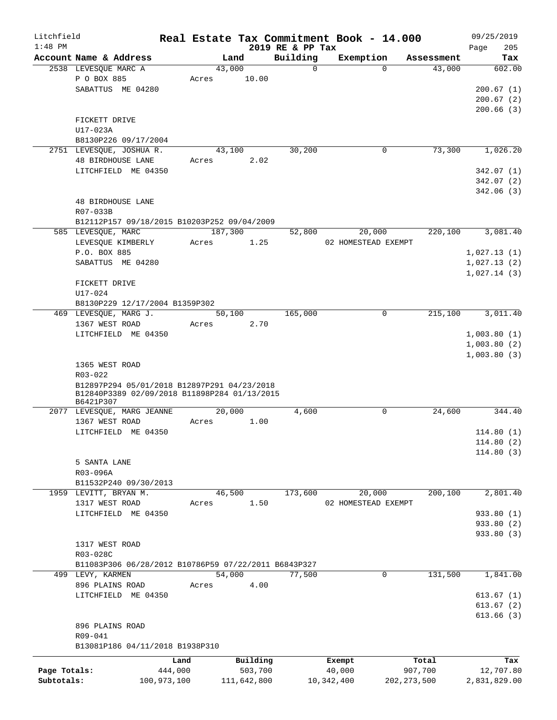| Litchfield   |                                                           |       |                |                         | Real Estate Tax Commitment Book - 14.000 |                      | 09/25/2019    |
|--------------|-----------------------------------------------------------|-------|----------------|-------------------------|------------------------------------------|----------------------|---------------|
| $1:48$ PM    |                                                           |       |                | 2019 RE & PP Tax        |                                          |                      | 205<br>Page   |
|              | Account Name & Address<br>2538 LEVESQUE MARC A            |       | Land<br>43,000 | Building<br>$\mathbf 0$ | Exemption<br>$\Omega$                    | Assessment<br>43,000 | Tax<br>602.00 |
|              | P O BOX 885                                               | Acres | 10.00          |                         |                                          |                      |               |
|              |                                                           |       |                |                         |                                          |                      |               |
|              | SABATTUS ME 04280                                         |       |                |                         |                                          |                      | 200.67(1)     |
|              |                                                           |       |                |                         |                                          |                      | 200.67(2)     |
|              |                                                           |       |                |                         |                                          |                      | 200.66(3)     |
|              | FICKETT DRIVE                                             |       |                |                         |                                          |                      |               |
|              | $U17-023A$                                                |       |                |                         |                                          |                      |               |
|              | B8130P226 09/17/2004                                      |       |                |                         |                                          |                      |               |
|              | 2751 LEVESQUE, JOSHUA R.                                  |       | 43,100         | 30,200                  | 0                                        | 73,300               | 1,026.20      |
|              | <b>48 BIRDHOUSE LANE</b>                                  | Acres | 2.02           |                         |                                          |                      |               |
|              | LITCHFIELD ME 04350                                       |       |                |                         |                                          |                      | 342.07(1)     |
|              |                                                           |       |                |                         |                                          |                      | 342.07(2)     |
|              |                                                           |       |                |                         |                                          |                      | 342.06(3)     |
|              | 48 BIRDHOUSE LANE                                         |       |                |                         |                                          |                      |               |
|              | R07-033B                                                  |       |                |                         |                                          |                      |               |
|              | B12112P157 09/18/2015 B10203P252 09/04/2009               |       |                |                         |                                          |                      |               |
|              | 585 LEVESQUE, MARC                                        |       | 187,300        | 52,800                  | 20,000                                   | 220,100              | 3,081.40      |
|              | LEVESQUE KIMBERLY                                         | Acres | 1.25           |                         | 02 HOMESTEAD EXEMPT                      |                      |               |
|              | P.O. BOX 885                                              |       |                |                         |                                          |                      | 1,027.13(1)   |
|              | SABATTUS ME 04280                                         |       |                |                         |                                          |                      | 1,027.13(2)   |
|              |                                                           |       |                |                         |                                          |                      | 1,027.14(3)   |
|              | FICKETT DRIVE                                             |       |                |                         |                                          |                      |               |
|              | U17-024                                                   |       |                |                         |                                          |                      |               |
|              |                                                           |       |                |                         |                                          |                      |               |
|              | B8130P229 12/17/2004 B1359P302                            |       |                |                         |                                          |                      |               |
|              | 469 LEVESQUE, MARG J.                                     |       | 50,100         | 165,000                 | 0                                        | 215,100              | 3,011.40      |
|              | 1367 WEST ROAD                                            | Acres | 2.70           |                         |                                          |                      |               |
|              | LITCHFIELD ME 04350                                       |       |                |                         |                                          |                      | 1,003.80(1)   |
|              |                                                           |       |                |                         |                                          |                      | 1,003.80(2)   |
|              |                                                           |       |                |                         |                                          |                      | 1,003.80(3)   |
|              | 1365 WEST ROAD                                            |       |                |                         |                                          |                      |               |
|              | R03-022                                                   |       |                |                         |                                          |                      |               |
|              | B12897P294 05/01/2018 B12897P291 04/23/2018               |       |                |                         |                                          |                      |               |
|              | B12840P3389 02/09/2018 B11898P284 01/13/2015<br>B6421P307 |       |                |                         |                                          |                      |               |
|              | 2077 LEVESQUE, MARG JEANNE                                |       | 20,000         | 4,600                   | 0                                        | 24,600               | 344.40        |
|              | 1367 WEST ROAD                                            | Acres | 1.00           |                         |                                          |                      |               |
|              |                                                           |       |                |                         |                                          |                      |               |
|              | LITCHFIELD ME 04350                                       |       |                |                         |                                          |                      | 114.80(1)     |
|              |                                                           |       |                |                         |                                          |                      | 114.80(2)     |
|              |                                                           |       |                |                         |                                          |                      | 114.80(3)     |
|              | 5 SANTA LANE                                              |       |                |                         |                                          |                      |               |
|              | R03-096A                                                  |       |                |                         |                                          |                      |               |
|              | B11532P240 09/30/2013                                     |       |                |                         |                                          |                      |               |
|              | 1959 LEVITT, BRYAN M.                                     |       | 46,500         | 173,600                 | 20,000                                   | 200,100              | 2,801.40      |
|              | 1317 WEST ROAD                                            | Acres | 1.50           |                         | 02 HOMESTEAD EXEMPT                      |                      |               |
|              | LITCHFIELD ME 04350                                       |       |                |                         |                                          |                      | 933.80 (1)    |
|              |                                                           |       |                |                         |                                          |                      | 933.80 (2)    |
|              |                                                           |       |                |                         |                                          |                      | 933.80 (3)    |
|              | 1317 WEST ROAD                                            |       |                |                         |                                          |                      |               |
|              | R03-028C                                                  |       |                |                         |                                          |                      |               |
|              | B11083P306 06/28/2012 B10786P59 07/22/2011 B6843P327      |       |                |                         |                                          |                      |               |
|              | 499 LEVY, KARMEN                                          |       | 54,000         | 77,500                  | 0                                        | 131,500              | 1,841.00      |
|              | 896 PLAINS ROAD                                           | Acres | 4.00           |                         |                                          |                      |               |
|              | LITCHFIELD ME 04350                                       |       |                |                         |                                          |                      | 613.67(1)     |
|              |                                                           |       |                |                         |                                          |                      |               |
|              |                                                           |       |                |                         |                                          |                      | 613.67(2)     |
|              |                                                           |       |                |                         |                                          |                      | 613.66(3)     |
|              | 896 PLAINS ROAD                                           |       |                |                         |                                          |                      |               |
|              | R09-041                                                   |       |                |                         |                                          |                      |               |
|              | B13081P186 04/11/2018 B1938P310                           |       |                |                         |                                          |                      |               |
|              |                                                           | Land  | Building       |                         | Exempt                                   | Total                | Tax           |
| Page Totals: | 444,000                                                   |       | 503,700        |                         | 40,000                                   | 907,700              | 12,707.80     |
| Subtotals:   | 100,973,100                                               |       | 111,642,800    |                         | 10,342,400                               | 202, 273, 500        | 2,831,829.00  |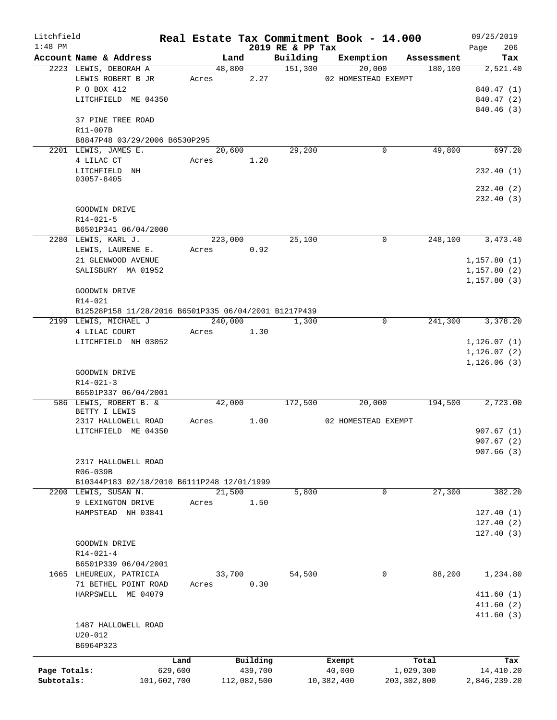| Litchfield   |                                                                               |        |             |                              | Real Estate Tax Commitment Book - 14.000 |               | 09/25/2019         |
|--------------|-------------------------------------------------------------------------------|--------|-------------|------------------------------|------------------------------------------|---------------|--------------------|
| $1:48$ PM    | Account Name & Address                                                        |        | Land        | 2019 RE & PP Tax<br>Building | Exemption                                | Assessment    | 206<br>Page<br>Tax |
|              | 2223 LEWIS, DEBORAH A                                                         |        | 48,800      | 151,300                      | 20,000                                   | 180,100       | 2,521.40           |
|              | LEWIS ROBERT B JR                                                             | Acres  | 2.27        |                              | 02 HOMESTEAD EXEMPT                      |               |                    |
|              | P O BOX 412                                                                   |        |             |                              |                                          |               | 840.47 (1)         |
|              | LITCHFIELD ME 04350                                                           |        |             |                              |                                          |               | 840.47 (2)         |
|              |                                                                               |        |             |                              |                                          |               | 840.46 (3)         |
|              | 37 PINE TREE ROAD                                                             |        |             |                              |                                          |               |                    |
|              | R11-007B                                                                      |        |             |                              |                                          |               |                    |
|              | B8847P48 03/29/2006 B6530P295                                                 |        |             |                              |                                          |               |                    |
|              | 2201 LEWIS, JAMES E.                                                          |        | 20,600      | 29,200                       | 0                                        | 49,800        | 697.20             |
|              | 4 LILAC CT                                                                    | Acres  | 1.20        |                              |                                          |               |                    |
|              | LITCHFIELD NH                                                                 |        |             |                              |                                          |               | 232.40 (1)         |
|              | 03057-8405                                                                    |        |             |                              |                                          |               |                    |
|              |                                                                               |        |             |                              |                                          |               | 232.40(2)          |
|              |                                                                               |        |             |                              |                                          |               | 232.40(3)          |
|              | GOODWIN DRIVE                                                                 |        |             |                              |                                          |               |                    |
|              | $R14 - 021 - 5$                                                               |        |             |                              |                                          |               |                    |
|              | B6501P341 06/04/2000                                                          |        |             |                              |                                          |               |                    |
|              | 2280 LEWIS, KARL J.                                                           |        | 223,000     | 25,100                       | $\mathbf 0$                              | 248,100       | 3,473.40           |
|              | LEWIS, LAURENE E.                                                             | Acres  | 0.92        |                              |                                          |               |                    |
|              | 21 GLENWOOD AVENUE                                                            |        |             |                              |                                          |               | 1, 157.80(1)       |
|              | SALISBURY MA 01952                                                            |        |             |                              |                                          |               | 1,157.80(2)        |
|              |                                                                               |        |             |                              |                                          |               | 1,157.80(3)        |
|              | GOODWIN DRIVE<br>R14-021                                                      |        |             |                              |                                          |               |                    |
|              |                                                                               |        |             |                              |                                          |               |                    |
|              | B12528P158 11/28/2016 B6501P335 06/04/2001 B1217P439<br>2199 LEWIS, MICHAEL J |        | 240,000     | 1,300                        | $\mathbf 0$                              | 241,300       | 3,378.20           |
|              | 4 LILAC COURT                                                                 | Acres  | 1.30        |                              |                                          |               |                    |
|              | LITCHFIELD NH 03052                                                           |        |             |                              |                                          |               | 1, 126.07(1)       |
|              |                                                                               |        |             |                              |                                          |               | 1, 126.07(2)       |
|              |                                                                               |        |             |                              |                                          |               | 1,126.06(3)        |
|              | GOODWIN DRIVE                                                                 |        |             |                              |                                          |               |                    |
|              | $R14 - 021 - 3$                                                               |        |             |                              |                                          |               |                    |
|              | B6501P337 06/04/2001                                                          |        |             |                              |                                          |               |                    |
|              | 586 LEWIS, ROBERT B. &                                                        |        | 42,000      | 172,500                      | 20,000                                   | 194,500       | 2,723.00           |
|              | BETTY I LEWIS                                                                 |        |             |                              |                                          |               |                    |
|              | 2317 HALLOWELL ROAD                                                           | Acres  | 1.00        |                              | 02 HOMESTEAD EXEMPT                      |               |                    |
|              | LITCHFIELD ME 04350                                                           |        |             |                              |                                          |               | 907.67(1)          |
|              |                                                                               |        |             |                              |                                          |               | 907.67(2)          |
|              |                                                                               |        |             |                              |                                          |               | 907.66(3)          |
|              | 2317 HALLOWELL ROAD                                                           |        |             |                              |                                          |               |                    |
|              | R06-039B                                                                      |        |             |                              |                                          |               |                    |
|              | B10344P183 02/18/2010 B6111P248 12/01/1999                                    |        |             |                              |                                          |               |                    |
| 2200         | LEWIS, SUSAN N.                                                               | 21,500 |             | 5,800                        | 0                                        | 27,300        | 382.20             |
|              | 9 LEXINGTON DRIVE                                                             | Acres  | 1.50        |                              |                                          |               |                    |
|              | HAMPSTEAD NH 03841                                                            |        |             |                              |                                          |               | 127.40(1)          |
|              |                                                                               |        |             |                              |                                          |               | 127.40(2)          |
|              |                                                                               |        |             |                              |                                          |               | 127.40(3)          |
|              | GOODWIN DRIVE<br>$R14 - 021 - 4$                                              |        |             |                              |                                          |               |                    |
|              | B6501P339 06/04/2001                                                          |        |             |                              |                                          |               |                    |
|              | 1665 LHEUREUX, PATRICIA                                                       | 33,700 |             | 54,500                       | 0                                        | 88,200        | 1,234.80           |
|              | 71 BETHEL POINT ROAD                                                          | Acres  | 0.30        |                              |                                          |               |                    |
|              | HARPSWELL ME 04079                                                            |        |             |                              |                                          |               | 411.60(1)          |
|              |                                                                               |        |             |                              |                                          |               | 411.60(2)          |
|              |                                                                               |        |             |                              |                                          |               | 411.60(3)          |
|              | 1487 HALLOWELL ROAD                                                           |        |             |                              |                                          |               |                    |
|              | $U20 - 012$                                                                   |        |             |                              |                                          |               |                    |
|              | B6964P323                                                                     |        |             |                              |                                          |               |                    |
|              |                                                                               |        |             |                              |                                          |               |                    |
|              |                                                                               | Land   | Building    |                              | Exempt                                   | Total         | Tax                |
| Page Totals: | 629,600                                                                       |        | 439,700     |                              | 40,000                                   | 1,029,300     | 14,410.20          |
| Subtotals:   | 101,602,700                                                                   |        | 112,082,500 |                              | 10,382,400                               | 203, 302, 800 | 2,846,239.20       |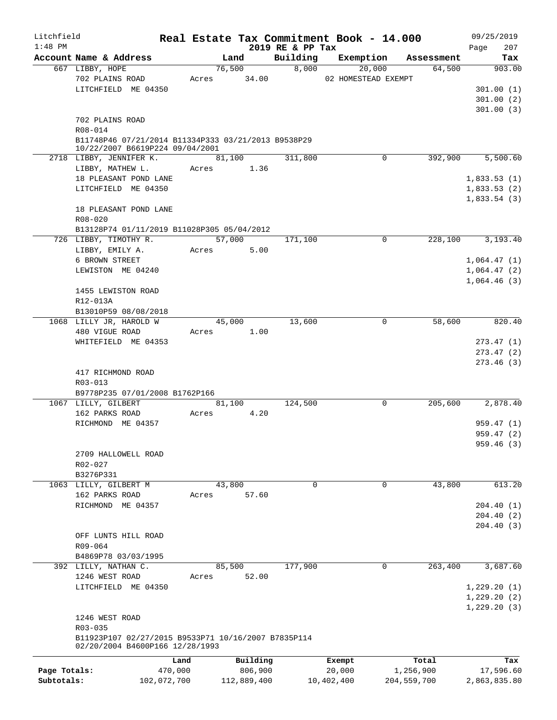| Litchfield   |                                                                                        |         |             |                              | Real Estate Tax Commitment Book - 14.000 |             | 09/25/2019         |
|--------------|----------------------------------------------------------------------------------------|---------|-------------|------------------------------|------------------------------------------|-------------|--------------------|
| $1:48$ PM    | Account Name & Address                                                                 |         | Land        | 2019 RE & PP Tax<br>Building | Exemption                                | Assessment  | 207<br>Page<br>Tax |
|              | 667 LIBBY, HOPE                                                                        |         | 76,500      | 8,000                        | 20,000                                   | 64,500      | 903.00             |
|              | 702 PLAINS ROAD                                                                        |         | Acres 34.00 |                              | 02 HOMESTEAD EXEMPT                      |             |                    |
|              | LITCHFIELD ME 04350                                                                    |         |             |                              |                                          |             | 301.00(1)          |
|              |                                                                                        |         |             |                              |                                          |             | 301.00(2)          |
|              |                                                                                        |         |             |                              |                                          |             | 301.00(3)          |
|              | 702 PLAINS ROAD                                                                        |         |             |                              |                                          |             |                    |
|              | R08-014                                                                                |         |             |                              |                                          |             |                    |
|              | B11748P46 07/21/2014 B11334P333 03/21/2013 B9538P29                                    |         |             |                              |                                          |             |                    |
|              | 10/22/2007 B6619P224 09/04/2001                                                        |         |             |                              |                                          |             |                    |
|              | 2718 LIBBY, JENNIFER K.                                                                |         | 81,100      | 311,800                      | $\Omega$                                 | 392,900     | 5,500.60           |
|              | LIBBY, MATHEW L.                                                                       |         | Acres 1.36  |                              |                                          |             |                    |
|              | 18 PLEASANT POND LANE                                                                  |         |             |                              |                                          |             | 1,833.53(1)        |
|              | LITCHFIELD ME 04350                                                                    |         |             |                              |                                          |             | 1,833.53(2)        |
|              |                                                                                        |         |             |                              |                                          |             | 1,833.54(3)        |
|              | 18 PLEASANT POND LANE                                                                  |         |             |                              |                                          |             |                    |
|              | $R08 - 020$                                                                            |         |             |                              |                                          |             |                    |
|              | B13128P74 01/11/2019 B11028P305 05/04/2012                                             |         |             |                              |                                          |             |                    |
|              | 726 LIBBY, TIMOTHY R.                                                                  |         | 57,000      | 171,100                      | 0                                        | 228,100     | 3,193.40           |
|              | LIBBY, EMILY A.                                                                        | Acres   | 5.00        |                              |                                          |             |                    |
|              | 6 BROWN STREET                                                                         |         |             |                              |                                          |             | 1,064.47(1)        |
|              | LEWISTON ME 04240                                                                      |         |             |                              |                                          |             | 1,064.47(2)        |
|              |                                                                                        |         |             |                              |                                          |             | 1,064.46(3)        |
|              | 1455 LEWISTON ROAD                                                                     |         |             |                              |                                          |             |                    |
|              | R12-013A                                                                               |         |             |                              |                                          |             |                    |
|              | B13010P59 08/08/2018                                                                   |         |             |                              |                                          |             |                    |
|              | 1068 LILLY JR, HAROLD W                                                                |         | 45,000      | 13,600                       | 0                                        | 58,600      | 820.40             |
|              | 480 VIGUE ROAD                                                                         | Acres   | 1.00        |                              |                                          |             |                    |
|              | WHITEFIELD ME 04353                                                                    |         |             |                              |                                          |             | 273.47(1)          |
|              |                                                                                        |         |             |                              |                                          |             | 273.47(2)          |
|              |                                                                                        |         |             |                              |                                          |             | 273.46(3)          |
|              | 417 RICHMOND ROAD                                                                      |         |             |                              |                                          |             |                    |
|              | R03-013                                                                                |         |             |                              |                                          |             |                    |
|              | B9778P235 07/01/2008 B1762P166                                                         |         |             |                              |                                          |             |                    |
|              | 1067 LILLY, GILBERT                                                                    |         | 81,100      | 124,500                      | 0                                        | 205,600     | 2,878.40           |
|              | 162 PARKS ROAD                                                                         | Acres   | 4.20        |                              |                                          |             |                    |
|              | RICHMOND ME 04357                                                                      |         |             |                              |                                          |             | 959.47(1)          |
|              |                                                                                        |         |             |                              |                                          |             | 959.47(2)          |
|              |                                                                                        |         |             |                              |                                          |             | 959.46 (3)         |
|              | 2709 HALLOWELL ROAD                                                                    |         |             |                              |                                          |             |                    |
|              | $R02 - 027$                                                                            |         |             |                              |                                          |             |                    |
|              | B3276P331                                                                              |         |             |                              |                                          |             |                    |
|              | 1063 LILLY, GILBERT M                                                                  |         | 43,800      | 0                            | $\Omega$                                 | 43,800      | 613.20             |
|              | 162 PARKS ROAD                                                                         | Acres   | 57.60       |                              |                                          |             |                    |
|              | RICHMOND ME 04357                                                                      |         |             |                              |                                          |             | 204.40(1)          |
|              |                                                                                        |         |             |                              |                                          |             | 204.40(2)          |
|              |                                                                                        |         |             |                              |                                          |             | 204.40 (3)         |
|              | OFF LUNTS HILL ROAD                                                                    |         |             |                              |                                          |             |                    |
|              | R09-064                                                                                |         |             |                              |                                          |             |                    |
|              | B4869P78 03/03/1995                                                                    |         |             |                              |                                          |             |                    |
|              | 392 LILLY, NATHAN C.                                                                   |         | 85,500      | 177,900                      | $\Omega$                                 | 263,400     | 3,687.60           |
|              | 1246 WEST ROAD                                                                         | Acres   | 52.00       |                              |                                          |             |                    |
|              | LITCHFIELD ME 04350                                                                    |         |             |                              |                                          |             | 1,229.20(1)        |
|              |                                                                                        |         |             |                              |                                          |             | 1,229.20(2)        |
|              |                                                                                        |         |             |                              |                                          |             | 1,229.20(3)        |
|              | 1246 WEST ROAD                                                                         |         |             |                              |                                          |             |                    |
|              |                                                                                        |         |             |                              |                                          |             |                    |
|              | R03-035                                                                                |         |             |                              |                                          |             |                    |
|              | B11923P107 02/27/2015 B9533P71 10/16/2007 B7835P114<br>02/20/2004 B4600P166 12/28/1993 |         |             |                              |                                          |             |                    |
|              |                                                                                        |         |             |                              |                                          |             |                    |
|              |                                                                                        | Land    | Building    |                              | Exempt                                   | Total       | Tax                |
| Page Totals: |                                                                                        | 470,000 | 806,900     |                              | 20,000                                   | 1,256,900   | 17,596.60          |
| Subtotals:   | 102,072,700                                                                            |         | 112,889,400 |                              | 10,402,400                               | 204,559,700 | 2,863,835.80       |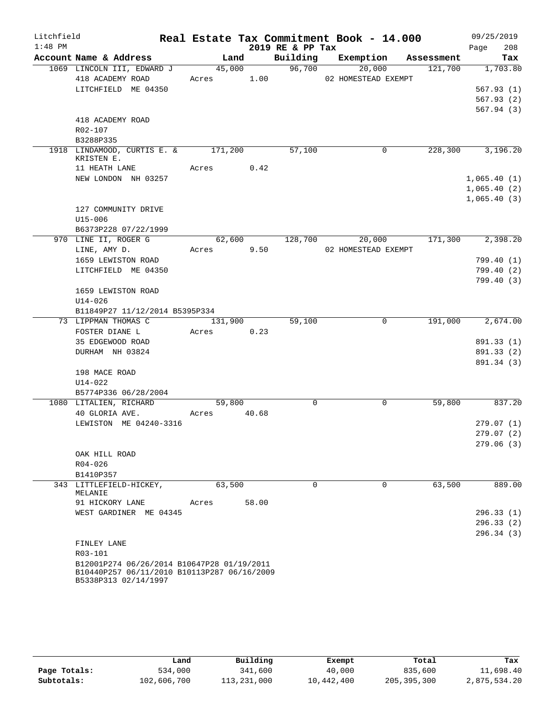| Litchfield |                                                                                           |             |         |       |                  | Real Estate Tax Commitment Book - 14.000 |                               | 09/25/2019       |            |
|------------|-------------------------------------------------------------------------------------------|-------------|---------|-------|------------------|------------------------------------------|-------------------------------|------------------|------------|
| $1:48$ PM  |                                                                                           |             |         |       | 2019 RE & PP Tax |                                          |                               | Page             | 208        |
|            | Account Name & Address                                                                    |             |         | Land  |                  |                                          | Building Exemption Assessment |                  | Tax        |
|            | 1069 LINCOLN III, EDWARD J                                                                | 45,000      |         |       | 96,700           | 20,000                                   | 121,700                       |                  | 1,703.80   |
|            | 418 ACADEMY ROAD                                                                          | Acres 1.00  |         |       |                  | 02 HOMESTEAD EXEMPT                      |                               |                  |            |
|            | LITCHFIELD ME 04350                                                                       |             |         |       |                  |                                          |                               |                  | 567.93(1)  |
|            |                                                                                           |             |         |       |                  |                                          |                               |                  | 567.93(2)  |
|            |                                                                                           |             |         |       |                  |                                          |                               |                  | 567.94(3)  |
|            | 418 ACADEMY ROAD<br>R02-107                                                               |             |         |       |                  |                                          |                               |                  |            |
|            | B3288P335                                                                                 |             |         |       |                  |                                          |                               |                  |            |
|            | 1918 LINDAMOOD, CURTIS E. & 171,200                                                       |             |         |       | 57,100           | 0                                        | 228,300                       |                  | 3,196.20   |
|            | KRISTEN E.                                                                                |             |         |       |                  |                                          |                               |                  |            |
|            | 11 HEATH LANE                                                                             | Acres 0.42  |         |       |                  |                                          |                               |                  |            |
|            | NEW LONDON NH 03257                                                                       |             |         |       |                  |                                          |                               | 1,065.40(1)      |            |
|            |                                                                                           |             |         |       |                  |                                          |                               | 1,065.40(2)      |            |
|            |                                                                                           |             |         |       |                  |                                          |                               | 1,065.40(3)      |            |
|            | 127 COMMUNITY DRIVE                                                                       |             |         |       |                  |                                          |                               |                  |            |
|            | $U15 - 006$                                                                               |             |         |       |                  |                                          |                               |                  |            |
|            | B6373P228 07/22/1999                                                                      |             |         |       |                  |                                          |                               |                  |            |
|            | 970 LINE II, ROGER G                                                                      |             |         |       |                  | 62,600 128,700 20,000                    | 171,300                       |                  | 2,398.20   |
|            | LINE, AMY D.                                                                              | Acres 9.50  |         |       |                  | 02 HOMESTEAD EXEMPT                      |                               |                  |            |
|            | 1659 LEWISTON ROAD                                                                        |             |         |       |                  |                                          |                               |                  | 799.40 (1) |
|            | LITCHFIELD ME 04350                                                                       |             |         |       |                  |                                          |                               |                  | 799.40 (2) |
|            | 1659 LEWISTON ROAD                                                                        |             |         |       |                  |                                          |                               |                  | 799.40(3)  |
|            | $U14 - 026$                                                                               |             |         |       |                  |                                          |                               |                  |            |
|            | B11849P27 11/12/2014 B5395P334                                                            |             |         |       |                  |                                          |                               |                  |            |
|            | 73 LIPPMAN THOMAS C                                                                       |             | 131,900 |       | 59,100           | $\mathbf 0$                              |                               | 191,000 2,674.00 |            |
|            | FOSTER DIANE L                                                                            | Acres       |         | 0.23  |                  |                                          |                               |                  |            |
|            | 35 EDGEWOOD ROAD                                                                          |             |         |       |                  |                                          |                               |                  | 891.33 (1) |
|            | DURHAM NH 03824                                                                           |             |         |       |                  |                                          |                               |                  | 891.33 (2) |
|            |                                                                                           |             |         |       |                  |                                          |                               |                  | 891.34 (3) |
|            | 198 MACE ROAD                                                                             |             |         |       |                  |                                          |                               |                  |            |
|            | $U14 - 022$                                                                               |             |         |       |                  |                                          |                               |                  |            |
|            | B5774P336 06/28/2004                                                                      |             |         |       |                  |                                          |                               |                  |            |
|            | 1080 LITALIEN, RICHARD                                                                    | 59,800      |         |       | 0                | $\mathbf 0$                              | 59,800                        |                  | 837.20     |
|            | 40 GLORIA AVE.                                                                            | Acres 40.68 |         |       |                  |                                          |                               |                  |            |
|            | LEWISTON ME 04240-3316                                                                    |             |         |       |                  |                                          |                               |                  | 279.07(1)  |
|            |                                                                                           |             |         |       |                  |                                          |                               |                  | 279.07(2)  |
|            |                                                                                           |             |         |       |                  |                                          |                               |                  | 279.06(3)  |
|            | OAK HILL ROAD                                                                             |             |         |       |                  |                                          |                               |                  |            |
|            | $R04 - 026$                                                                               |             |         |       |                  |                                          |                               |                  |            |
|            | B1410P357<br>343 LITTLEFIELD-HICKEY,                                                      |             | 63,500  |       | 0                | 0                                        | 63,500                        |                  | 889.00     |
|            | MELANIE                                                                                   |             |         |       |                  |                                          |                               |                  |            |
|            | 91 HICKORY LANE                                                                           | Acres       |         | 58.00 |                  |                                          |                               |                  |            |
|            | WEST GARDINER ME 04345                                                                    |             |         |       |                  |                                          |                               |                  | 296.33(1)  |
|            |                                                                                           |             |         |       |                  |                                          |                               |                  | 296.33(2)  |
|            |                                                                                           |             |         |       |                  |                                          |                               |                  | 296.34(3)  |
|            | FINLEY LANE                                                                               |             |         |       |                  |                                          |                               |                  |            |
|            | R03-101                                                                                   |             |         |       |                  |                                          |                               |                  |            |
|            | B12001P274 06/26/2014 B10647P28 01/19/2011<br>B10440P257 06/11/2010 B10113P287 06/16/2009 |             |         |       |                  |                                          |                               |                  |            |
|            | B5338P313 02/14/1997                                                                      |             |         |       |                  |                                          |                               |                  |            |
|            |                                                                                           |             |         |       |                  |                                          |                               |                  |            |

|              | Land        | Building    | Exempt     | Total       | Tax          |
|--------------|-------------|-------------|------------|-------------|--------------|
| Page Totals: | 534,000     | 341,600     | 40,000     | 835,600     | 11,698.40    |
| Subtotals:   | 102,606,700 | 113,231,000 | 10,442,400 | 205,395,300 | 2,875,534.20 |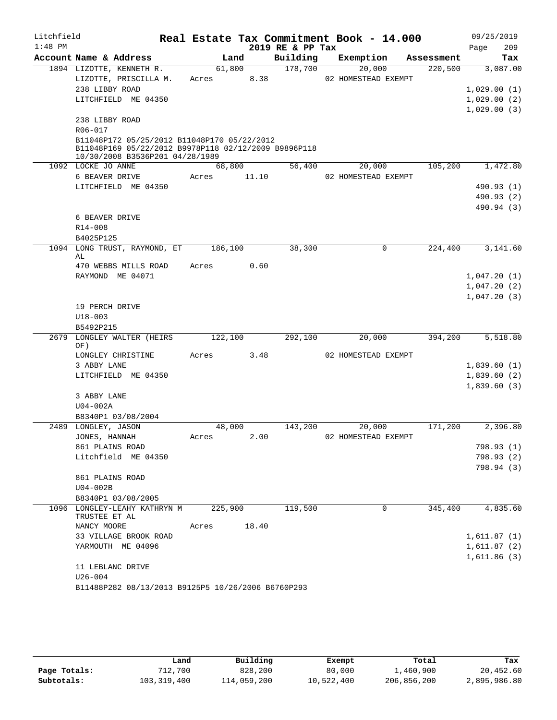| Litchfield |                                                        |         |      |       |                  | Real Estate Tax Commitment Book - 14.000 |            |             | 09/25/2019                 |
|------------|--------------------------------------------------------|---------|------|-------|------------------|------------------------------------------|------------|-------------|----------------------------|
| $1:48$ PM  |                                                        |         |      |       | 2019 RE & PP Tax |                                          |            | Page        | 209                        |
|            | Account Name & Address                                 |         | Land |       | Building         | Exemption                                | Assessment |             | Tax                        |
|            | 1894 LIZOTTE, KENNETH R.                               | 61,800  |      |       | 178,700          | 20,000                                   | 220,500    |             | 3,087.00                   |
|            | LIZOTTE, PRISCILLA M.                                  | Acres   |      | 8.38  |                  | 02 HOMESTEAD EXEMPT                      |            |             |                            |
|            | 238 LIBBY ROAD                                         |         |      |       |                  |                                          |            | 1,029.00(1) |                            |
|            | LITCHFIELD ME 04350                                    |         |      |       |                  |                                          |            |             | 1,029.00(2)                |
|            |                                                        |         |      |       |                  |                                          |            |             | 1,029.00(3)                |
|            | 238 LIBBY ROAD                                         |         |      |       |                  |                                          |            |             |                            |
|            | R06-017<br>B11048P172 05/25/2012 B11048P170 05/22/2012 |         |      |       |                  |                                          |            |             |                            |
|            | B11048P169 05/22/2012 B9978P118 02/12/2009 B9896P118   |         |      |       |                  |                                          |            |             |                            |
|            | 10/30/2008 B3536P201 04/28/1989                        |         |      |       |                  |                                          |            |             |                            |
|            | 1092 LOCKE JO ANNE                                     | 68,800  |      |       | 56,400           | 20,000                                   | 105,200    |             | 1,472.80                   |
|            | 6 BEAVER DRIVE                                         | Acres   |      | 11.10 |                  | 02 HOMESTEAD EXEMPT                      |            |             |                            |
|            | LITCHFIELD ME 04350                                    |         |      |       |                  |                                          |            |             | 490.93 (1)                 |
|            |                                                        |         |      |       |                  |                                          |            |             | 490.93 (2)                 |
|            |                                                        |         |      |       |                  |                                          |            |             | 490.94 (3)                 |
|            | 6 BEAVER DRIVE                                         |         |      |       |                  |                                          |            |             |                            |
|            | R14-008                                                |         |      |       |                  |                                          |            |             |                            |
|            | B4025P125                                              |         |      |       |                  |                                          |            |             |                            |
| 1094       | LONG TRUST, RAYMOND, ET<br>AL                          | 186,100 |      |       | 38,300           | 0                                        | 224,400    |             | 3,141.60                   |
|            | 470 WEBBS MILLS ROAD                                   | Acres   |      | 0.60  |                  |                                          |            |             |                            |
|            | RAYMOND ME 04071                                       |         |      |       |                  |                                          |            |             | 1,047.20(1)                |
|            |                                                        |         |      |       |                  |                                          |            | 1,047.20(2) |                            |
|            |                                                        |         |      |       |                  |                                          |            |             | 1,047.20(3)                |
|            | 19 PERCH DRIVE                                         |         |      |       |                  |                                          |            |             |                            |
|            | $U18 - 003$                                            |         |      |       |                  |                                          |            |             |                            |
|            | B5492P215                                              |         |      |       |                  |                                          |            |             |                            |
| 2679       | LONGLEY WALTER (HEIRS                                  | 122,100 |      |       | 292,100          | 20,000                                   | 394,200    |             | 5,518.80                   |
|            | OF)                                                    |         |      |       |                  |                                          |            |             |                            |
|            | LONGLEY CHRISTINE<br>3 ABBY LANE                       | Acres   |      | 3.48  |                  | 02 HOMESTEAD EXEMPT                      |            |             | 1,839.60(1)                |
|            | LITCHFIELD ME 04350                                    |         |      |       |                  |                                          |            | 1,839.60(2) |                            |
|            |                                                        |         |      |       |                  |                                          |            |             | 1,839.60(3)                |
|            | 3 ABBY LANE                                            |         |      |       |                  |                                          |            |             |                            |
|            | U04-002A                                               |         |      |       |                  |                                          |            |             |                            |
|            | B8340P1 03/08/2004                                     |         |      |       |                  |                                          |            |             |                            |
|            | 2489 LONGLEY, JASON                                    | 48,000  |      |       | 143,200          | 20,000                                   | 171,200    |             | 2,396.80                   |
|            | JONES, HANNAH                                          | Acres   |      | 2.00  |                  | 02 HOMESTEAD EXEMPT                      |            |             |                            |
|            | 861 PLAINS ROAD                                        |         |      |       |                  |                                          |            |             | 798.93 (1)                 |
|            | Litchfield ME 04350                                    |         |      |       |                  |                                          |            |             | 798.93 (2)                 |
|            |                                                        |         |      |       |                  |                                          |            |             | 798.94 (3)                 |
|            | 861 PLAINS ROAD                                        |         |      |       |                  |                                          |            |             |                            |
|            | $U04-002B$                                             |         |      |       |                  |                                          |            |             |                            |
|            | B8340P1 03/08/2005                                     |         |      |       |                  |                                          |            |             |                            |
|            | 1096 LONGLEY-LEAHY KATHRYN M                           | 225,900 |      |       | 119,500          | 0                                        | 345,400    |             | 4,835.60                   |
|            | TRUSTEE ET AL                                          |         |      |       |                  |                                          |            |             |                            |
|            | NANCY MOORE                                            | Acres   |      | 18.40 |                  |                                          |            |             |                            |
|            | 33 VILLAGE BROOK ROAD<br>YARMOUTH ME 04096             |         |      |       |                  |                                          |            |             | 1,611.87(1)<br>1,611.87(2) |
|            |                                                        |         |      |       |                  |                                          |            |             | 1,611.86(3)                |
|            | 11 LEBLANC DRIVE                                       |         |      |       |                  |                                          |            |             |                            |
|            | $U26 - 004$                                            |         |      |       |                  |                                          |            |             |                            |
|            | B11488P282 08/13/2013 B9125P5 10/26/2006 B6760P293     |         |      |       |                  |                                          |            |             |                            |

|              | Land        | Building    | Exempt     | Total       | Tax          |
|--------------|-------------|-------------|------------|-------------|--------------|
| Page Totals: | 712,700     | 828,200     | 80,000     | 1,460,900   | 20,452.60    |
| Subtotals:   | 103,319,400 | 114,059,200 | 10,522,400 | 206,856,200 | 2,895,986.80 |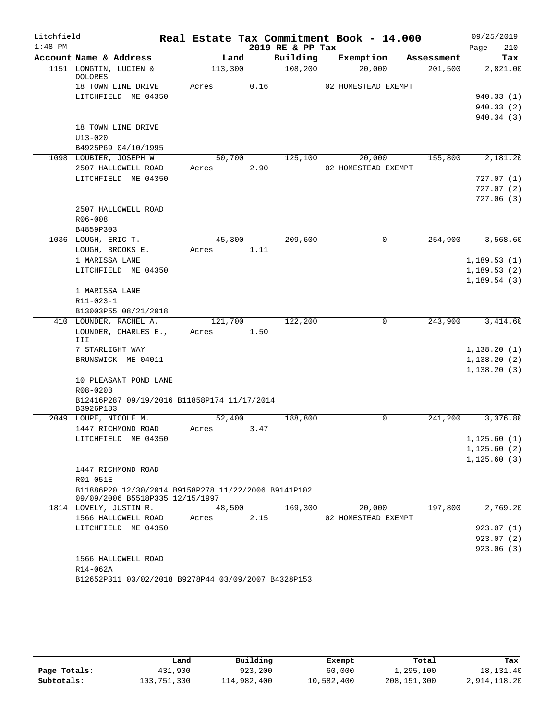| Litchfield |                                                                                        |                 |      |                  | Real Estate Tax Commitment Book - 14.000 |            | 09/25/2019   |
|------------|----------------------------------------------------------------------------------------|-----------------|------|------------------|------------------------------------------|------------|--------------|
| $1:48$ PM  |                                                                                        |                 |      | 2019 RE & PP Tax |                                          |            | 210<br>Page  |
|            | Account Name & Address                                                                 | Land            |      | Building         | Exemption                                | Assessment | Tax          |
|            | 1151 LONGTIN, LUCIEN &<br><b>DOLORES</b>                                               | 113,300         |      | 108,200          | 20,000                                   | 201,500    | 2,821.00     |
|            | 18 TOWN LINE DRIVE                                                                     | Acres           | 0.16 |                  | 02 HOMESTEAD EXEMPT                      |            |              |
|            | LITCHFIELD ME 04350                                                                    |                 |      |                  |                                          |            | 940.33 (1)   |
|            |                                                                                        |                 |      |                  |                                          |            | 940.33 (2)   |
|            |                                                                                        |                 |      |                  |                                          |            | 940.34 (3)   |
|            | 18 TOWN LINE DRIVE                                                                     |                 |      |                  |                                          |            |              |
|            | $U13 - 020$                                                                            |                 |      |                  |                                          |            |              |
|            | B4925P69 04/10/1995                                                                    |                 |      |                  | 20,000                                   |            |              |
|            | 1098 LOUBIER, JOSEPH W                                                                 | 50,700<br>Acres |      | 125,100          |                                          | 155,800    | 2,181.20     |
|            | 2507 HALLOWELL ROAD<br>LITCHFIELD ME 04350                                             |                 | 2.90 |                  | 02 HOMESTEAD EXEMPT                      |            | 727.07(1)    |
|            |                                                                                        |                 |      |                  |                                          |            | 727.07(2)    |
|            |                                                                                        |                 |      |                  |                                          |            | 727.06(3)    |
|            | 2507 HALLOWELL ROAD                                                                    |                 |      |                  |                                          |            |              |
|            | R06-008                                                                                |                 |      |                  |                                          |            |              |
|            | B4859P303                                                                              |                 |      |                  |                                          |            |              |
|            | 1036 LOUGH, ERIC T.                                                                    | 45,300          |      | 209,600          | $\mathbf 0$                              | 254,900    | 3,568.60     |
|            | LOUGH, BROOKS E.                                                                       | Acres           | 1.11 |                  |                                          |            |              |
|            | 1 MARISSA LANE                                                                         |                 |      |                  |                                          |            | 1,189.53(1)  |
|            | LITCHFIELD ME 04350                                                                    |                 |      |                  |                                          |            | 1, 189.53(2) |
|            |                                                                                        |                 |      |                  |                                          |            | 1, 189.54(3) |
|            | 1 MARISSA LANE                                                                         |                 |      |                  |                                          |            |              |
|            | $R11 - 023 - 1$                                                                        |                 |      |                  |                                          |            |              |
|            | B13003P55 08/21/2018                                                                   |                 |      |                  |                                          |            |              |
|            | 410 LOUNDER, RACHEL A.                                                                 | 121,700         |      | 122,200          | $\overline{0}$                           | 243,900    | 3,414.60     |
|            | LOUNDER, CHARLES E.,<br>III                                                            | Acres           | 1.50 |                  |                                          |            |              |
|            | 7 STARLIGHT WAY                                                                        |                 |      |                  |                                          |            | 1,138.20(1)  |
|            | BRUNSWICK ME 04011                                                                     |                 |      |                  |                                          |            | 1,138.20(2)  |
|            |                                                                                        |                 |      |                  |                                          |            | 1,138.20(3)  |
|            | 10 PLEASANT POND LANE                                                                  |                 |      |                  |                                          |            |              |
|            | R08-020B                                                                               |                 |      |                  |                                          |            |              |
|            | B12416P287 09/19/2016 B11858P174 11/17/2014<br>B3926P183                               |                 |      |                  |                                          |            |              |
|            | 2049 LOUPE, NICOLE M.                                                                  | 52,400          |      | 188,800          | $\Omega$                                 | 241,200    | 3,376.80     |
|            | 1447 RICHMOND ROAD                                                                     | Acres           | 3.47 |                  |                                          |            |              |
|            | LITCHFIELD ME 04350                                                                    |                 |      |                  |                                          |            | 1,125.60(1)  |
|            |                                                                                        |                 |      |                  |                                          |            | 1,125.60(2)  |
|            |                                                                                        |                 |      |                  |                                          |            | 1, 125.60(3) |
|            | 1447 RICHMOND ROAD                                                                     |                 |      |                  |                                          |            |              |
|            | R01-051E                                                                               |                 |      |                  |                                          |            |              |
|            | B11886P20 12/30/2014 B9158P278 11/22/2006 B9141P102<br>09/09/2006 B5518P335 12/15/1997 |                 |      |                  |                                          |            |              |
|            | 1814 LOVELY, JUSTIN R.                                                                 | 48,500          |      | 169,300          | 20,000                                   | 197,800    | 2,769.20     |
|            | 1566 HALLOWELL ROAD                                                                    | Acres           | 2.15 |                  | 02 HOMESTEAD EXEMPT                      |            |              |
|            | LITCHFIELD ME 04350                                                                    |                 |      |                  |                                          |            | 923.07(1)    |
|            |                                                                                        |                 |      |                  |                                          |            | 923.07(2)    |
|            |                                                                                        |                 |      |                  |                                          |            | 923.06 (3)   |
|            | 1566 HALLOWELL ROAD                                                                    |                 |      |                  |                                          |            |              |
|            | R14-062A                                                                               |                 |      |                  |                                          |            |              |
|            | B12652P311 03/02/2018 B9278P44 03/09/2007 B4328P153                                    |                 |      |                  |                                          |            |              |

|              | Land        | Building    | Exempt     | Total       | Tax          |
|--------------|-------------|-------------|------------|-------------|--------------|
| Page Totals: | 431,900     | 923,200     | 60,000     | 1,295,100   | 18,131.40    |
| Subtotals:   | 103,751,300 | 114,982,400 | 10,582,400 | 208,151,300 | 2,914,118.20 |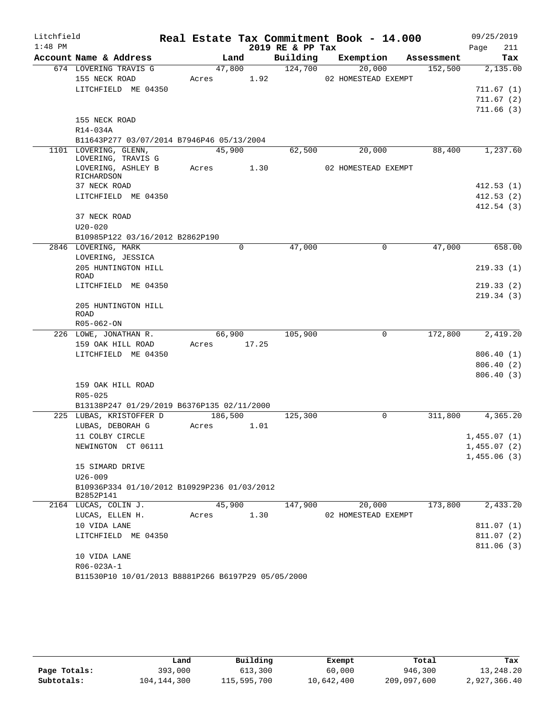| Litchfield |                                                          |       |         |             | Real Estate Tax Commitment Book - 14.000 |                     |             |            |             | 09/25/2019  |
|------------|----------------------------------------------------------|-------|---------|-------------|------------------------------------------|---------------------|-------------|------------|-------------|-------------|
| $1:48$ PM  |                                                          |       |         |             | 2019 RE & PP Tax                         |                     |             |            | Page        | 211         |
|            | Account Name & Address                                   |       | Land    |             | Building                                 | Exemption           |             | Assessment |             | Tax         |
|            | 674 LOVERING TRAVIS G                                    |       | 47,800  |             | 124,700                                  | 20,000              |             | 152,500    |             | 2,135.00    |
|            | 155 NECK ROAD                                            | Acres |         | 1.92        |                                          | 02 HOMESTEAD EXEMPT |             |            |             |             |
|            | LITCHFIELD ME 04350                                      |       |         |             |                                          |                     |             |            |             | 711.67(1)   |
|            |                                                          |       |         |             |                                          |                     |             |            |             | 711.67(2)   |
|            |                                                          |       |         |             |                                          |                     |             |            |             | 711.66(3)   |
|            | 155 NECK ROAD<br>R14-034A                                |       |         |             |                                          |                     |             |            |             |             |
|            | B11643P277 03/07/2014 B7946P46 05/13/2004                |       |         |             |                                          |                     |             |            |             |             |
|            | 1101 LOVERING, GLENN,                                    |       | 45,900  |             | 62,500                                   | 20,000              |             | 88,400     |             | 1,237.60    |
|            | LOVERING, TRAVIS G                                       |       |         |             |                                          |                     |             |            |             |             |
|            | LOVERING, ASHLEY B                                       |       |         | Acres 1.30  |                                          | 02 HOMESTEAD EXEMPT |             |            |             |             |
|            | RICHARDSON                                               |       |         |             |                                          |                     |             |            |             |             |
|            | 37 NECK ROAD                                             |       |         |             |                                          |                     |             |            |             | 412.53(1)   |
|            | LITCHFIELD ME 04350                                      |       |         |             |                                          |                     |             |            |             | 412.53(2)   |
|            | 37 NECK ROAD                                             |       |         |             |                                          |                     |             |            |             | 412.54(3)   |
|            | $U20 - 020$                                              |       |         |             |                                          |                     |             |            |             |             |
|            | B10985P122 03/16/2012 B2862P190                          |       |         |             |                                          |                     |             |            |             |             |
|            | 2846 LOVERING, MARK                                      |       |         | 0           | 47,000                                   |                     | $\mathbf 0$ | 47,000     |             | 658.00      |
|            | LOVERING, JESSICA                                        |       |         |             |                                          |                     |             |            |             |             |
|            | 205 HUNTINGTON HILL                                      |       |         |             |                                          |                     |             |            |             | 219.33(1)   |
|            | <b>ROAD</b>                                              |       |         |             |                                          |                     |             |            |             |             |
|            | LITCHFIELD ME 04350                                      |       |         |             |                                          |                     |             |            |             | 219.33(2)   |
|            |                                                          |       |         |             |                                          |                     |             |            |             | 219.34(3)   |
|            | 205 HUNTINGTON HILL                                      |       |         |             |                                          |                     |             |            |             |             |
|            | ROAD<br>R05-062-ON                                       |       |         |             |                                          |                     |             |            |             |             |
|            | 226 LOWE, JONATHAN R.                                    |       | 66,900  |             | 105,900                                  |                     | 0           | 172,800    |             | 2,419.20    |
|            | 159 OAK HILL ROAD                                        |       |         | Acres 17.25 |                                          |                     |             |            |             |             |
|            | LITCHFIELD ME 04350                                      |       |         |             |                                          |                     |             |            |             | 806.40(1)   |
|            |                                                          |       |         |             |                                          |                     |             |            |             | 806.40(2)   |
|            |                                                          |       |         |             |                                          |                     |             |            |             | 806.40(3)   |
|            | 159 OAK HILL ROAD                                        |       |         |             |                                          |                     |             |            |             |             |
|            | R05-025                                                  |       |         |             |                                          |                     |             |            |             |             |
|            | B13138P247 01/29/2019 B6376P135 02/11/2000               |       |         |             |                                          |                     |             |            |             |             |
|            | 225 LUBAS, KRISTOFFER D                                  |       | 186,500 |             | 125,300                                  |                     | 0           | 311,800    |             | 4,365.20    |
|            | LUBAS, DEBORAH G                                         | Acres |         | 1.01        |                                          |                     |             |            |             |             |
|            | 11 COLBY CIRCLE                                          |       |         |             |                                          |                     |             |            | 1,455.07(1) |             |
|            | NEWINGTON CT 06111                                       |       |         |             |                                          |                     |             |            |             | 1,455.07(2) |
|            |                                                          |       |         |             |                                          |                     |             |            |             | 1,455.06(3) |
|            | 15 SIMARD DRIVE                                          |       |         |             |                                          |                     |             |            |             |             |
|            | $U26 - 009$                                              |       |         |             |                                          |                     |             |            |             |             |
|            | B10936P334 01/10/2012 B10929P236 01/03/2012<br>B2852P141 |       |         |             |                                          |                     |             |            |             |             |
|            | 2164 LUCAS, COLIN J.                                     |       | 45,900  |             | 147,900                                  | 20,000              |             | 173,800    |             | 2,433.20    |
|            | LUCAS, ELLEN H.                                          | Acres |         | 1.30        |                                          | 02 HOMESTEAD EXEMPT |             |            |             |             |
|            | 10 VIDA LANE                                             |       |         |             |                                          |                     |             |            |             | 811.07 (1)  |
|            | LITCHFIELD ME 04350                                      |       |         |             |                                          |                     |             |            |             | 811.07 (2)  |
|            |                                                          |       |         |             |                                          |                     |             |            |             | 811.06(3)   |
|            | 10 VIDA LANE                                             |       |         |             |                                          |                     |             |            |             |             |
|            | R06-023A-1                                               |       |         |             |                                          |                     |             |            |             |             |
|            | B11530P10 10/01/2013 B8881P266 B6197P29 05/05/2000       |       |         |             |                                          |                     |             |            |             |             |

|              | Land        | Building    | Exempt     | Total       | Tax          |
|--------------|-------------|-------------|------------|-------------|--------------|
| Page Totals: | 393,000     | 613,300     | 60,000     | 946,300     | 13,248.20    |
| Subtotals:   | 104,144,300 | 115,595,700 | 10,642,400 | 209,097,600 | 2,927,366.40 |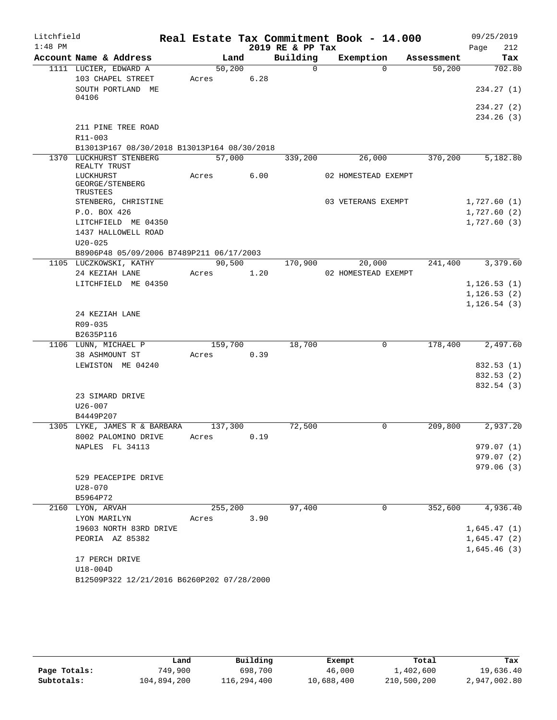| Litchfield |                                             |         |      |                  | Real Estate Tax Commitment Book - 14.000 |            | 09/25/2019   |
|------------|---------------------------------------------|---------|------|------------------|------------------------------------------|------------|--------------|
| $1:48$ PM  |                                             |         |      | 2019 RE & PP Tax |                                          |            | 212<br>Page  |
|            | Account Name & Address                      | Land    |      | Building         | Exemption                                | Assessment | Tax          |
|            | 1111 LUCIER, EDWARD A                       | 50,200  |      | $\Omega$         | $\Omega$                                 | 50,200     | 702.80       |
|            | 103 CHAPEL STREET                           | Acres   | 6.28 |                  |                                          |            |              |
|            | SOUTH PORTLAND ME<br>04106                  |         |      |                  |                                          |            | 234.27(1)    |
|            |                                             |         |      |                  |                                          |            | 234.27 (2)   |
|            |                                             |         |      |                  |                                          |            | 234.26(3)    |
|            | 211 PINE TREE ROAD                          |         |      |                  |                                          |            |              |
|            | R11-003                                     |         |      |                  |                                          |            |              |
|            | B13013P167 08/30/2018 B13013P164 08/30/2018 |         |      |                  |                                          |            |              |
|            | 1370 LUCKHURST STENBERG<br>REALTY TRUST     | 57,000  |      | 339,200          | 26,000                                   | 370,200    | 5,182.80     |
|            | LUCKHURST<br>GEORGE/STENBERG<br>TRUSTEES    | Acres   | 6.00 |                  | 02 HOMESTEAD EXEMPT                      |            |              |
|            | STENBERG, CHRISTINE                         |         |      |                  | 03 VETERANS EXEMPT                       |            | 1,727.60(1)  |
|            | P.O. BOX 426                                |         |      |                  |                                          |            | 1,727.60(2)  |
|            | LITCHFIELD ME 04350                         |         |      |                  |                                          |            | 1,727.60(3)  |
|            | 1437 HALLOWELL ROAD                         |         |      |                  |                                          |            |              |
|            | $U20 - 025$                                 |         |      |                  |                                          |            |              |
|            | B8906P48 05/09/2006 B7489P211 06/17/2003    |         |      |                  |                                          |            |              |
|            | 1105 LUCZKOWSKI, KATHY                      | 90,500  |      | 170,900          | 20,000                                   | 241,400    | 3,379.60     |
|            | 24 KEZIAH LANE                              | Acres   | 1.20 |                  | 02 HOMESTEAD EXEMPT                      |            |              |
|            | LITCHFIELD ME 04350                         |         |      |                  |                                          |            | 1, 126.53(1) |
|            |                                             |         |      |                  |                                          |            | 1, 126.53(2) |
|            |                                             |         |      |                  |                                          |            | 1, 126.54(3) |
|            | 24 KEZIAH LANE                              |         |      |                  |                                          |            |              |
|            | R09-035<br>B2635P116                        |         |      |                  |                                          |            |              |
|            | 1106 LUNN, MICHAEL P                        | 159,700 |      | 18,700           | $\mathbf 0$                              | 178,400    | 2,497.60     |
|            | 38 ASHMOUNT ST                              | Acres   | 0.39 |                  |                                          |            |              |
|            | LEWISTON ME 04240                           |         |      |                  |                                          |            | 832.53 (1)   |
|            |                                             |         |      |                  |                                          |            | 832.53 (2)   |
|            |                                             |         |      |                  |                                          |            | 832.54 (3)   |
|            | 23 SIMARD DRIVE                             |         |      |                  |                                          |            |              |
|            | $U26 - 007$                                 |         |      |                  |                                          |            |              |
|            | B4449P207                                   |         |      |                  |                                          |            |              |
|            | 1305 LYKE, JAMES R & BARBARA                | 137,300 |      | 72,500           | 0                                        | 209,800    | 2,937.20     |
|            | 8002 PALOMINO DRIVE                         | Acres   | 0.19 |                  |                                          |            |              |
|            | NAPLES FL 34113                             |         |      |                  |                                          |            | 979.07 (1)   |
|            |                                             |         |      |                  |                                          |            | 979.07 (2)   |
|            |                                             |         |      |                  |                                          |            | 979.06(3)    |
|            | 529 PEACEPIPE DRIVE<br>$U28 - 070$          |         |      |                  |                                          |            |              |
|            | B5964P72                                    |         |      |                  |                                          |            |              |
|            | 2160 LYON, ARVAH                            | 255,200 |      | 97,400           | 0                                        | 352,600    | 4,936.40     |
|            | LYON MARILYN                                | Acres   | 3.90 |                  |                                          |            |              |
|            | 19603 NORTH 83RD DRIVE                      |         |      |                  |                                          |            | 1,645.47(1)  |
|            | PEORIA AZ 85382                             |         |      |                  |                                          |            | 1,645.47(2)  |
|            |                                             |         |      |                  |                                          |            | 1,645.46(3)  |
|            | 17 PERCH DRIVE                              |         |      |                  |                                          |            |              |
|            | $U18-004D$                                  |         |      |                  |                                          |            |              |
|            | B12509P322 12/21/2016 B6260P202 07/28/2000  |         |      |                  |                                          |            |              |

|              | Land        | Building    | Exempt     | Total       | Tax          |
|--------------|-------------|-------------|------------|-------------|--------------|
| Page Totals: | 749,900     | 698,700     | 46,000     | 1,402,600   | 19,636.40    |
| Subtotals:   | 104,894,200 | 116,294,400 | 10,688,400 | 210,500,200 | 2,947,002.80 |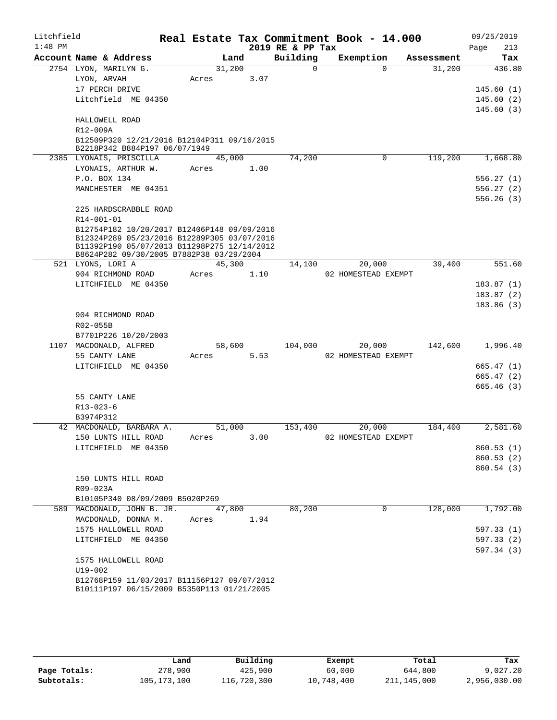| Litchfield |             |                                                                                            |            |      | Real Estate Tax Commitment Book - 14.000 |                     |             |            |      | 09/25/2019 |
|------------|-------------|--------------------------------------------------------------------------------------------|------------|------|------------------------------------------|---------------------|-------------|------------|------|------------|
| $1:48$ PM  |             |                                                                                            |            |      | 2019 RE & PP Tax                         |                     |             |            | Page | 213        |
|            |             | Account Name & Address                                                                     | Land       |      | Building                                 |                     | Exemption   | Assessment |      | Tax        |
|            |             | 2754 LYON, MARILYN G.                                                                      | 31,200     |      | $\Omega$                                 |                     | 0           | 31,200     |      | 436.80     |
|            |             | LYON, ARVAH                                                                                | Acres      | 3.07 |                                          |                     |             |            |      |            |
|            |             | 17 PERCH DRIVE                                                                             |            |      |                                          |                     |             |            |      | 145.60(1)  |
|            |             | Litchfield ME 04350                                                                        |            |      |                                          |                     |             |            |      | 145.60(2)  |
|            |             |                                                                                            |            |      |                                          |                     |             |            |      | 145.60(3)  |
|            | R12-009A    | HALLOWELL ROAD                                                                             |            |      |                                          |                     |             |            |      |            |
|            |             | B12509P320 12/21/2016 B12104P311 09/16/2015                                                |            |      |                                          |                     |             |            |      |            |
|            |             | B2218P342 B884P197 06/07/1949                                                              |            |      |                                          |                     |             |            |      |            |
|            |             | 2385 LYONAIS, PRISCILLA                                                                    | 45,000     |      | 74,200                                   |                     | 0           | 119,200    |      | 1,668.80   |
|            |             | LYONAIS, ARTHUR W.                                                                         | Acres      | 1.00 |                                          |                     |             |            |      |            |
|            |             | P.O. BOX 134                                                                               |            |      |                                          |                     |             |            |      | 556.27(1)  |
|            |             | MANCHESTER ME 04351                                                                        |            |      |                                          |                     |             |            |      | 556.27(2)  |
|            |             |                                                                                            |            |      |                                          |                     |             |            |      | 556.26(3)  |
|            |             | 225 HARDSCRABBLE ROAD                                                                      |            |      |                                          |                     |             |            |      |            |
|            | R14-001-01  |                                                                                            |            |      |                                          |                     |             |            |      |            |
|            |             | B12754P182 10/20/2017 B12406P148 09/09/2016                                                |            |      |                                          |                     |             |            |      |            |
|            |             | B12324P289 05/23/2016 B12289P305 03/07/2016<br>B11392P190 05/07/2013 B11298P275 12/14/2012 |            |      |                                          |                     |             |            |      |            |
|            |             | B8624P282 09/30/2005 B7882P38 03/29/2004                                                   |            |      |                                          |                     |             |            |      |            |
|            |             | 521 LYONS, LORI A                                                                          | 45,300     |      | 14,100                                   |                     | 20,000      | 39,400     |      | 551.60     |
|            |             | 904 RICHMOND ROAD                                                                          | Acres      | 1.10 |                                          | 02 HOMESTEAD EXEMPT |             |            |      |            |
|            |             | LITCHFIELD ME 04350                                                                        |            |      |                                          |                     |             |            |      | 183.87(1)  |
|            |             |                                                                                            |            |      |                                          |                     |             |            |      | 183.87(2)  |
|            |             |                                                                                            |            |      |                                          |                     |             |            |      | 183.86(3)  |
|            |             | 904 RICHMOND ROAD                                                                          |            |      |                                          |                     |             |            |      |            |
|            | R02-055B    |                                                                                            |            |      |                                          |                     |             |            |      |            |
|            |             | B7701P226 10/20/2003                                                                       |            |      |                                          |                     |             |            |      |            |
| 1107       |             | MACDONALD, ALFRED                                                                          | 58,600     |      | 104,000                                  |                     | 20,000      | 142,600    |      | 1,996.40   |
|            |             | 55 CANTY LANE                                                                              | Acres      | 5.53 |                                          | 02 HOMESTEAD EXEMPT |             |            |      |            |
|            |             | LITCHFIELD ME 04350                                                                        |            |      |                                          |                     |             |            |      | 665.47(1)  |
|            |             |                                                                                            |            |      |                                          |                     |             |            |      | 665.47(2)  |
|            |             |                                                                                            |            |      |                                          |                     |             |            |      | 665.46(3)  |
|            | R13-023-6   | 55 CANTY LANE                                                                              |            |      |                                          |                     |             |            |      |            |
|            | B3974P312   |                                                                                            |            |      |                                          |                     |             |            |      |            |
|            |             | 42 MACDONALD, BARBARA A.                                                                   | 51,000     |      | 153,400                                  |                     | 20,000      | 184,400    |      | 2,581.60   |
|            |             | 150 LUNTS HILL ROAD                                                                        | Acres 3.00 |      |                                          | 02 HOMESTEAD EXEMPT |             |            |      |            |
|            |             | LITCHFIELD ME 04350                                                                        |            |      |                                          |                     |             |            |      | 860.53(1)  |
|            |             |                                                                                            |            |      |                                          |                     |             |            |      | 860.53 (2) |
|            |             |                                                                                            |            |      |                                          |                     |             |            |      | 860.54(3)  |
|            |             | 150 LUNTS HILL ROAD                                                                        |            |      |                                          |                     |             |            |      |            |
|            | R09-023A    |                                                                                            |            |      |                                          |                     |             |            |      |            |
|            |             | B10105P340 08/09/2009 B5020P269                                                            |            |      |                                          |                     |             |            |      |            |
| 589        |             | MACDONALD, JOHN B. JR.                                                                     | 47,800     |      | 80,200                                   |                     | $\mathbf 0$ | 128,000    |      | 1,792.00   |
|            |             | MACDONALD, DONNA M.                                                                        | Acres      | 1.94 |                                          |                     |             |            |      |            |
|            |             | 1575 HALLOWELL ROAD                                                                        |            |      |                                          |                     |             |            |      | 597.33(1)  |
|            |             | LITCHFIELD ME 04350                                                                        |            |      |                                          |                     |             |            |      | 597.33(2)  |
|            |             |                                                                                            |            |      |                                          |                     |             |            |      | 597.34(3)  |
|            |             | 1575 HALLOWELL ROAD                                                                        |            |      |                                          |                     |             |            |      |            |
|            | $U19 - 002$ |                                                                                            |            |      |                                          |                     |             |            |      |            |
|            |             | B12768P159 11/03/2017 B11156P127 09/07/2012<br>B10111P197 06/15/2009 B5350P113 01/21/2005  |            |      |                                          |                     |             |            |      |            |

|              | Land          | Building    | Exempt     | Total       | Tax          |
|--------------|---------------|-------------|------------|-------------|--------------|
| Page Totals: | 278,900       | 425,900     | 60,000     | 644,800     | 9,027.20     |
| Subtotals:   | 105, 173, 100 | 116,720,300 | 10,748,400 | 211,145,000 | 2,956,030.00 |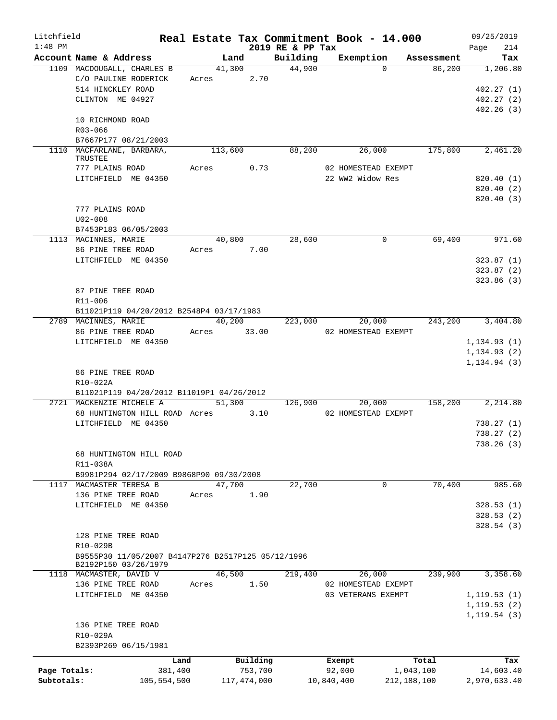| Litchfield   |                                                                            |         |             |             | Real Estate Tax Commitment Book - 14.000 |                  |                     |            | 09/25/2019              |
|--------------|----------------------------------------------------------------------------|---------|-------------|-------------|------------------------------------------|------------------|---------------------|------------|-------------------------|
| $1:48$ PM    | Account Name & Address                                                     |         | Land        |             | 2019 RE & PP Tax<br>Building             |                  | Exemption           | Assessment | 214<br>Page<br>Tax      |
|              | 1109 MACDOUGALL, CHARLES B                                                 |         | 41,300      |             | 44,900                                   |                  | $\Omega$            | 86,200     | 1,206.80                |
|              | C/O PAULINE RODERICK                                                       |         | Acres 2.70  |             |                                          |                  |                     |            |                         |
|              | 514 HINCKLEY ROAD                                                          |         |             |             |                                          |                  |                     |            | 402.27(1)               |
|              | CLINTON ME 04927                                                           |         |             |             |                                          |                  |                     |            | 402.27(2)               |
|              |                                                                            |         |             |             |                                          |                  |                     |            | 402.26(3)               |
|              | 10 RICHMOND ROAD                                                           |         |             |             |                                          |                  |                     |            |                         |
|              | R03-066                                                                    |         |             |             |                                          |                  |                     |            |                         |
|              | B7667P177 08/21/2003                                                       |         |             |             |                                          |                  |                     |            |                         |
|              | 1110 MACFARLANE, BARBARA,                                                  |         | 113,600     |             | 88,200                                   |                  | 26,000              | 175,800    | $\overline{2,}461.20$   |
|              | TRUSTEE                                                                    |         |             |             |                                          |                  |                     |            |                         |
|              | 777 PLAINS ROAD<br>LITCHFIELD ME 04350                                     | Acres   |             | 0.73        |                                          | 22 WW2 Widow Res | 02 HOMESTEAD EXEMPT |            |                         |
|              |                                                                            |         |             |             |                                          |                  |                     |            | 820.40 (1)<br>820.40(2) |
|              |                                                                            |         |             |             |                                          |                  |                     |            | 820.40 (3)              |
|              | 777 PLAINS ROAD                                                            |         |             |             |                                          |                  |                     |            |                         |
|              | $U02 - 008$                                                                |         |             |             |                                          |                  |                     |            |                         |
|              | B7453P183 06/05/2003                                                       |         |             |             |                                          |                  |                     |            |                         |
|              | 1113 MACINNES, MARIE                                                       |         |             | 40,800      | 28,600                                   |                  | $\mathbf 0$         | 69,400     | 971.60                  |
|              | 86 PINE TREE ROAD                                                          |         | Acres 7.00  |             |                                          |                  |                     |            |                         |
|              | LITCHFIELD ME 04350                                                        |         |             |             |                                          |                  |                     |            | 323.87(1)               |
|              |                                                                            |         |             |             |                                          |                  |                     |            | 323.87(2)               |
|              |                                                                            |         |             |             |                                          |                  |                     |            | 323.86(3)               |
|              | 87 PINE TREE ROAD                                                          |         |             |             |                                          |                  |                     |            |                         |
|              | R11-006                                                                    |         |             |             |                                          |                  |                     |            |                         |
|              | B11021P119 04/20/2012 B2548P4 03/17/1983                                   |         |             |             |                                          |                  |                     |            |                         |
|              | 2789 MACINNES, MARIE                                                       |         | 40,200      |             | 223,000                                  |                  | 20,000              |            | 243,200 3,404.80        |
|              | 86 PINE TREE ROAD                                                          |         | Acres 33.00 |             |                                          |                  | 02 HOMESTEAD EXEMPT |            |                         |
|              | LITCHFIELD ME 04350                                                        |         |             |             |                                          |                  |                     |            | 1, 134.93(1)            |
|              |                                                                            |         |             |             |                                          |                  |                     |            | 1, 134.93(2)            |
|              |                                                                            |         |             |             |                                          |                  |                     |            | 1, 134.94(3)            |
|              | 86 PINE TREE ROAD                                                          |         |             |             |                                          |                  |                     |            |                         |
|              | R10-022A                                                                   |         |             |             |                                          |                  |                     |            |                         |
|              | B11021P119 04/20/2012 B11019P1 04/26/2012                                  |         |             |             |                                          |                  |                     |            |                         |
|              | 2721 MACKENZIE MICHELE A                                                   |         |             | 51,300      | 126,900                                  |                  | 20,000              | 158,200    | 2,214.80                |
|              | 68 HUNTINGTON HILL ROAD Acres 3.10                                         |         |             |             |                                          |                  | 02 HOMESTEAD EXEMPT |            |                         |
|              | LITCHFIELD ME 04350                                                        |         |             |             |                                          |                  |                     |            | 738.27(1)               |
|              |                                                                            |         |             |             |                                          |                  |                     |            | 738.27(2)               |
|              |                                                                            |         |             |             |                                          |                  |                     |            | 738.26(3)               |
|              | 68 HUNTINGTON HILL ROAD                                                    |         |             |             |                                          |                  |                     |            |                         |
|              | R11-038A                                                                   |         |             |             |                                          |                  |                     |            |                         |
|              | B9981P294 02/17/2009 B9868P90 09/30/2008                                   |         |             |             |                                          |                  |                     |            |                         |
|              | 1117 MACMASTER TERESA B                                                    |         | 47,700      |             | 22,700                                   |                  | 0                   | 70,400     | 985.60                  |
|              | 136 PINE TREE ROAD                                                         | Acres   |             | 1.90        |                                          |                  |                     |            |                         |
|              | LITCHFIELD ME 04350                                                        |         |             |             |                                          |                  |                     |            | 328.53(1)               |
|              |                                                                            |         |             |             |                                          |                  |                     |            | 328.53(2)               |
|              |                                                                            |         |             |             |                                          |                  |                     |            | 328.54(3)               |
|              | 128 PINE TREE ROAD                                                         |         |             |             |                                          |                  |                     |            |                         |
|              | R10-029B                                                                   |         |             |             |                                          |                  |                     |            |                         |
|              | B9555P30 11/05/2007 B4147P276 B2517P125 05/12/1996<br>B2192P150 03/26/1979 |         |             |             |                                          |                  |                     |            |                         |
|              | 1118 MACMASTER, DAVID V                                                    |         | 46,500      |             | 219,400                                  |                  | 26,000              | 239,900    | 3,358.60                |
|              | 136 PINE TREE ROAD                                                         | Acres   |             | 1.50        |                                          |                  | 02 HOMESTEAD EXEMPT |            |                         |
|              | LITCHFIELD ME 04350                                                        |         |             |             |                                          |                  | 03 VETERANS EXEMPT  |            | 1, 119.53(1)            |
|              |                                                                            |         |             |             |                                          |                  |                     |            | 1, 119.53(2)            |
|              |                                                                            |         |             |             |                                          |                  |                     |            | 1, 119.54(3)            |
|              | 136 PINE TREE ROAD                                                         |         |             |             |                                          |                  |                     |            |                         |
|              | R10-029A                                                                   |         |             |             |                                          |                  |                     |            |                         |
|              | B2393P269 06/15/1981                                                       |         |             |             |                                          |                  |                     |            |                         |
|              |                                                                            |         |             |             |                                          |                  |                     |            |                         |
|              |                                                                            | Land    |             | Building    |                                          | Exempt           |                     | Total      | Tax                     |
| Page Totals: |                                                                            | 381,400 |             | 753,700     |                                          | 92,000           |                     | 1,043,100  | 14,603.40               |
| Subtotals:   | 105,554,500                                                                |         |             | 117,474,000 |                                          | 10,840,400       | 212, 188, 100       |            | 2,970,633.40            |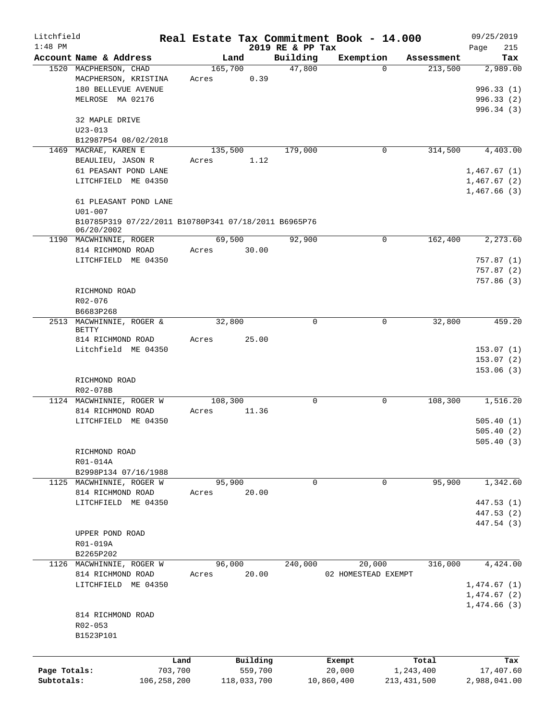| Litchfield   |                                                      |         |             |                  | Real Estate Tax Commitment Book - 14.000 |               | 09/25/2019   |
|--------------|------------------------------------------------------|---------|-------------|------------------|------------------------------------------|---------------|--------------|
| $1:48$ PM    |                                                      |         |             | 2019 RE & PP Tax |                                          |               | 215<br>Page  |
|              | Account Name & Address                               |         | Land        | Building         | Exemption                                | Assessment    | Tax          |
|              | 1520 MACPHERSON, CHAD                                |         | 165,700     | 47,800           | 0                                        | 213,500       | 2,989.00     |
|              | MACPHERSON, KRISTINA                                 | Acres   | 0.39        |                  |                                          |               |              |
|              | 180 BELLEVUE AVENUE                                  |         |             |                  |                                          |               | 996.33(1)    |
|              | MELROSE MA 02176                                     |         |             |                  |                                          |               | 996.33(2)    |
|              |                                                      |         |             |                  |                                          |               | 996.34(3)    |
|              | 32 MAPLE DRIVE                                       |         |             |                  |                                          |               |              |
|              | $U23 - 013$<br>B12987P54 08/02/2018                  |         |             |                  |                                          |               |              |
| 1469         | MACRAE, KAREN E                                      |         | 135,500     | 179,000          | 0                                        | 314,500       | 4,403.00     |
|              | BEAULIEU, JASON R                                    | Acres   | 1.12        |                  |                                          |               |              |
|              | 61 PEASANT POND LANE                                 |         |             |                  |                                          |               | 1,467.67(1)  |
|              | LITCHFIELD ME 04350                                  |         |             |                  |                                          |               | 1,467.67(2)  |
|              |                                                      |         |             |                  |                                          |               | 1,467.66(3)  |
|              | 61 PLEASANT POND LANE                                |         |             |                  |                                          |               |              |
|              | $U01 - 007$                                          |         |             |                  |                                          |               |              |
|              | B10785P319 07/22/2011 B10780P341 07/18/2011 B6965P76 |         |             |                  |                                          |               |              |
|              | 06/20/2002                                           |         |             |                  |                                          |               |              |
|              | 1190 MACWHINNIE, ROGER                               |         | 69,500      | 92,900           | $\mathbf 0$                              | 162,400       | 2,273.60     |
|              | 814 RICHMOND ROAD                                    | Acres   | 30.00       |                  |                                          |               |              |
|              | LITCHFIELD ME 04350                                  |         |             |                  |                                          |               | 757.87(1)    |
|              |                                                      |         |             |                  |                                          |               | 757.87(2)    |
|              |                                                      |         |             |                  |                                          |               | 757.86(3)    |
|              | RICHMOND ROAD                                        |         |             |                  |                                          |               |              |
|              | $R02 - 076$                                          |         |             |                  |                                          |               |              |
|              | B6683P268                                            |         |             |                  |                                          |               |              |
|              | 2513 MACWHINNIE, ROGER &                             |         | 32,800      | $\Omega$         | $\Omega$                                 | 32,800        | 459.20       |
|              | <b>BETTY</b>                                         |         |             |                  |                                          |               |              |
|              | 814 RICHMOND ROAD                                    | Acres   | 25.00       |                  |                                          |               |              |
|              | Litchfield ME 04350                                  |         |             |                  |                                          |               | 153.07(1)    |
|              |                                                      |         |             |                  |                                          |               | 153.07(2)    |
|              |                                                      |         |             |                  |                                          |               | 153.06(3)    |
|              | RICHMOND ROAD                                        |         |             |                  |                                          |               |              |
|              | R02-078B                                             |         |             |                  |                                          |               |              |
|              | 1124 MACWHINNIE, ROGER W                             |         | 108,300     | 0                | $\mathbf 0$                              | 108,300       | 1,516.20     |
|              | 814 RICHMOND ROAD                                    | Acres   | 11.36       |                  |                                          |               |              |
|              | LITCHFIELD ME 04350                                  |         |             |                  |                                          |               | 505.40(1)    |
|              |                                                      |         |             |                  |                                          |               | 505.40(2)    |
|              |                                                      |         |             |                  |                                          |               | 505.40(3)    |
|              | RICHMOND ROAD                                        |         |             |                  |                                          |               |              |
|              | R01-014A                                             |         |             |                  |                                          |               |              |
|              | B2998P134 07/16/1988<br>MACWHINNIE, ROGER W          |         | 95,900      | 0                | 0                                        | 95,900        | 1,342.60     |
| 1125         | 814 RICHMOND ROAD                                    | Acres   | 20.00       |                  |                                          |               |              |
|              | LITCHFIELD ME 04350                                  |         |             |                  |                                          |               | 447.53 (1)   |
|              |                                                      |         |             |                  |                                          |               | 447.53 (2)   |
|              |                                                      |         |             |                  |                                          |               | 447.54 (3)   |
|              | UPPER POND ROAD                                      |         |             |                  |                                          |               |              |
|              | R01-019A                                             |         |             |                  |                                          |               |              |
|              | B2265P202                                            |         |             |                  |                                          |               |              |
|              | 1126 MACWHINNIE, ROGER W                             |         | 96,000      | 240,000          | 20,000                                   | 316,000       | 4,424.00     |
|              | 814 RICHMOND ROAD                                    | Acres   | 20.00       |                  | 02 HOMESTEAD EXEMPT                      |               |              |
|              | LITCHFIELD ME 04350                                  |         |             |                  |                                          |               | 1,474.67(1)  |
|              |                                                      |         |             |                  |                                          |               | 1,474.67(2)  |
|              |                                                      |         |             |                  |                                          |               | 1,474.66(3)  |
|              | 814 RICHMOND ROAD                                    |         |             |                  |                                          |               |              |
|              | R02-053                                              |         |             |                  |                                          |               |              |
|              | B1523P101                                            |         |             |                  |                                          |               |              |
|              |                                                      |         |             |                  |                                          |               |              |
|              |                                                      |         |             |                  |                                          |               |              |
|              |                                                      | Land    | Building    |                  | Exempt                                   | Total         | Tax          |
| Page Totals: |                                                      | 703,700 | 559,700     |                  | 20,000                                   | 1,243,400     | 17,407.60    |
| Subtotals:   | 106, 258, 200                                        |         | 118,033,700 |                  | 10,860,400                               | 213, 431, 500 | 2,988,041.00 |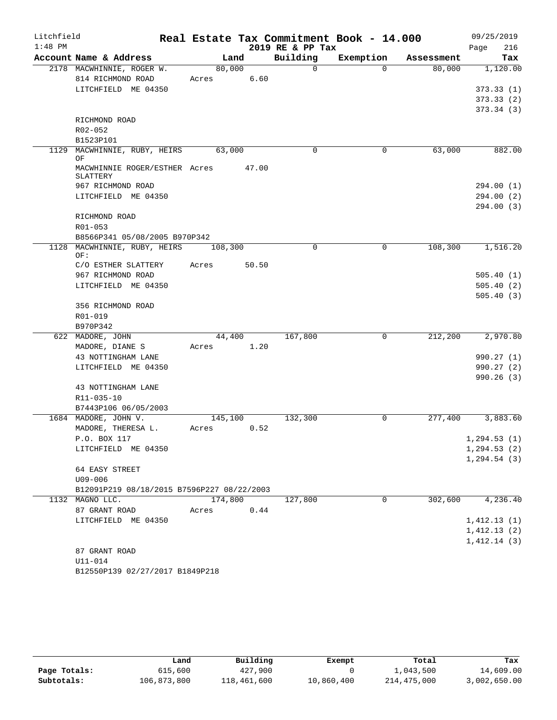| Litchfield |                                            | Real Estate Tax Commitment Book - 14.000 |                  |           |            | 09/25/2019   |
|------------|--------------------------------------------|------------------------------------------|------------------|-----------|------------|--------------|
| $1:48$ PM  |                                            |                                          | 2019 RE & PP Tax |           |            | 216<br>Page  |
|            | Account Name & Address                     | Land                                     | Building         | Exemption | Assessment | Tax          |
|            | 2178 MACWHINNIE, ROGER W.                  | 80,000                                   | $\Omega$         | $\Omega$  | 80,000     | 1,120.00     |
|            | 814 RICHMOND ROAD                          | 6.60<br>Acres                            |                  |           |            |              |
|            | LITCHFIELD ME 04350                        |                                          |                  |           |            | 373.33(1)    |
|            |                                            |                                          |                  |           |            | 373.33(2)    |
|            |                                            |                                          |                  |           |            | 373.34(3)    |
|            | RICHMOND ROAD<br>$R02 - 052$               |                                          |                  |           |            |              |
|            | B1523P101                                  |                                          |                  |           |            |              |
|            | 1129 MACWHINNIE, RUBY, HEIRS               | 63,000                                   | $\Omega$         | 0         | 63,000     | 882.00       |
|            | ΟF                                         |                                          |                  |           |            |              |
|            | MACWHINNIE ROGER/ESTHER Acres              | 47.00                                    |                  |           |            |              |
|            | SLATTERY                                   |                                          |                  |           |            |              |
|            | 967 RICHMOND ROAD                          |                                          |                  |           |            | 294.00(1)    |
|            | LITCHFIELD ME 04350                        |                                          |                  |           |            | 294.00(2)    |
|            |                                            |                                          |                  |           |            | 294.00(3)    |
|            | RICHMOND ROAD                              |                                          |                  |           |            |              |
|            | R01-053<br>B8566P341 05/08/2005 B970P342   |                                          |                  |           |            |              |
|            | 1128 MACWHINNIE, RUBY, HEIRS 108,300       |                                          | $\mathbf 0$      | 0         | 108,300    | 1,516.20     |
|            | OF:                                        |                                          |                  |           |            |              |
|            | C/O ESTHER SLATTERY                        | 50.50<br>Acres                           |                  |           |            |              |
|            | 967 RICHMOND ROAD                          |                                          |                  |           |            | 505.40(1)    |
|            | LITCHFIELD ME 04350                        |                                          |                  |           |            | 505.40(2)    |
|            |                                            |                                          |                  |           |            | 505.40(3)    |
|            | 356 RICHMOND ROAD                          |                                          |                  |           |            |              |
|            | R01-019                                    |                                          |                  |           |            |              |
|            | B970P342                                   |                                          |                  |           |            |              |
|            | 622 MADORE, JOHN                           | 44,400                                   | 167,800          | 0         | 212,200    | 2,970.80     |
|            | MADORE, DIANE S                            | Acres 1.20                               |                  |           |            |              |
|            | 43 NOTTINGHAM LANE                         |                                          |                  |           |            | 990.27(1)    |
|            | LITCHFIELD ME 04350                        |                                          |                  |           |            | 990.27(2)    |
|            |                                            |                                          |                  |           |            | 990.26(3)    |
|            | 43 NOTTINGHAM LANE                         |                                          |                  |           |            |              |
|            | R11-035-10<br>B7443P106 06/05/2003         |                                          |                  |           |            |              |
|            | 1684 MADORE, JOHN V.                       | 145,100                                  | 132,300          | 0         | 277,400    | 3,883.60     |
|            | MADORE, THERESA L.                         | 0.52<br>Acres                            |                  |           |            |              |
|            | P.O. BOX 117                               |                                          |                  |           |            | 1, 294.53(1) |
|            | LITCHFIELD ME 04350                        |                                          |                  |           |            | 1, 294.53(2) |
|            |                                            |                                          |                  |           |            | 1, 294.54(3) |
|            | 64 EASY STREET                             |                                          |                  |           |            |              |
|            | U09-006                                    |                                          |                  |           |            |              |
|            | B12091P219 08/18/2015 B7596P227 08/22/2003 |                                          |                  |           |            |              |
|            | 1132 MAGNO LLC.                            | 174,800                                  | 127,800          | 0         | 302,600    | 4,236.40     |
|            | 87 GRANT ROAD                              | 0.44<br>Acres                            |                  |           |            |              |
|            | LITCHFIELD ME 04350                        |                                          |                  |           |            | 1,412.13(1)  |
|            |                                            |                                          |                  |           |            | 1,412.13(2)  |
|            |                                            |                                          |                  |           |            | 1,412.14(3)  |
|            | 87 GRANT ROAD                              |                                          |                  |           |            |              |
|            | $U11 - 014$                                |                                          |                  |           |            |              |
|            | B12550P139 02/27/2017 B1849P218            |                                          |                  |           |            |              |

|              | Land        | Building    | Exempt     | Total       | Tax          |
|--------------|-------------|-------------|------------|-------------|--------------|
| Page Totals: | 615,600     | 427,900     |            | 1,043,500   | 14,609.00    |
| Subtotals:   | 106,873,800 | 118,461,600 | 10,860,400 | 214,475,000 | 3,002,650.00 |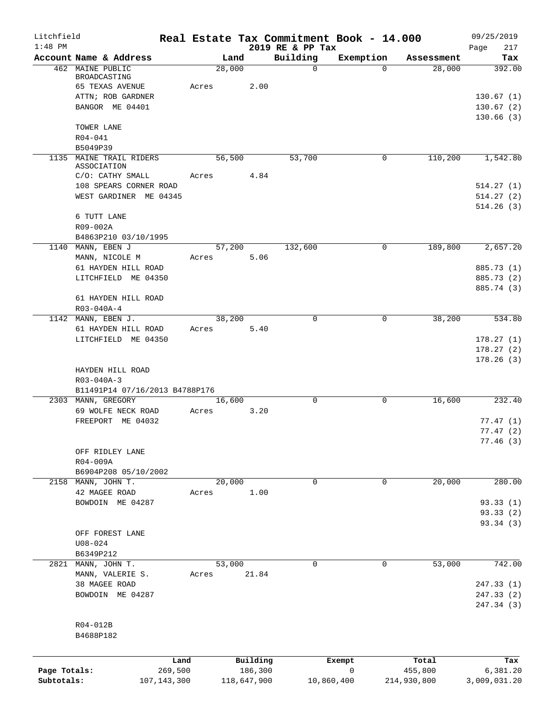| Litchfield   |                                                    |       |             |                              | Real Estate Tax Commitment Book - 14.000 |             | 09/25/2019               |
|--------------|----------------------------------------------------|-------|-------------|------------------------------|------------------------------------------|-------------|--------------------------|
| $1:48$ PM    | Account Name & Address                             |       | Land        | 2019 RE & PP Tax<br>Building | Exemption                                | Assessment  | Page<br>217<br>Tax       |
|              | 462 MAINE PUBLIC                                   |       | 28,000      | $\mathsf{O}$                 | $\Omega$                                 | 28,000      | 392.00                   |
|              | BROADCASTING                                       |       |             |                              |                                          |             |                          |
|              | <b>65 TEXAS AVENUE</b>                             | Acres | 2.00        |                              |                                          |             |                          |
|              | ATTN; ROB GARDNER<br>BANGOR ME 04401               |       |             |                              |                                          |             | 130.67(1)                |
|              |                                                    |       |             |                              |                                          |             | 130.67(2)<br>130.66(3)   |
|              | TOWER LANE                                         |       |             |                              |                                          |             |                          |
|              | $R04 - 041$                                        |       |             |                              |                                          |             |                          |
|              | B5049P39                                           |       |             |                              |                                          |             |                          |
|              | 1135 MAINE TRAIL RIDERS<br>ASSOCIATION             |       | 56,500      | 53,700                       | 0                                        | 110,200     | 1,542.80                 |
|              | C/O: CATHY SMALL                                   | Acres | 4.84        |                              |                                          |             |                          |
|              | 108 SPEARS CORNER ROAD                             |       |             |                              |                                          |             | 514.27(1)                |
|              | WEST GARDINER ME 04345                             |       |             |                              |                                          |             | 514.27(2)                |
|              |                                                    |       |             |                              |                                          |             | 514.26(3)                |
|              | 6 TUTT LANE                                        |       |             |                              |                                          |             |                          |
|              | R09-002A<br>B4863P210 03/10/1995                   |       |             |                              |                                          |             |                          |
|              | 1140 MANN, EBEN J                                  |       | 57,200      | 132,600                      | $\mathbf 0$                              | 189,800     | 2,657.20                 |
|              | MANN, NICOLE M                                     | Acres | 5.06        |                              |                                          |             |                          |
|              | 61 HAYDEN HILL ROAD                                |       |             |                              |                                          |             | 885.73 (1)               |
|              | LITCHFIELD ME 04350                                |       |             |                              |                                          |             | 885.73 (2)               |
|              |                                                    |       |             |                              |                                          |             | 885.74 (3)               |
|              | 61 HAYDEN HILL ROAD<br>$R03 - 040A - 4$            |       |             |                              |                                          |             |                          |
|              | 1142 MANN, EBEN J.                                 |       | 38,200      | $\Omega$                     | 0                                        | 38,200      | 534.80                   |
|              | 61 HAYDEN HILL ROAD                                | Acres | 5.40        |                              |                                          |             |                          |
|              | LITCHFIELD ME 04350                                |       |             |                              |                                          |             | 178.27(1)                |
|              |                                                    |       |             |                              |                                          |             | 178.27(2)                |
|              |                                                    |       |             |                              |                                          |             | 178.26(3)                |
|              | HAYDEN HILL ROAD                                   |       |             |                              |                                          |             |                          |
|              | $R03 - 040A - 3$<br>B11491P14 07/16/2013 B4788P176 |       |             |                              |                                          |             |                          |
|              | 2303 MANN, GREGORY                                 |       | 16,600      | $\Omega$                     | $\mathbf 0$                              | 16,600      | 232.40                   |
|              | 69 WOLFE NECK ROAD                                 | Acres | 3.20        |                              |                                          |             |                          |
|              | FREEPORT ME 04032                                  |       |             |                              |                                          |             | 77.47(1)                 |
|              |                                                    |       |             |                              |                                          |             | 77.47(2)                 |
|              |                                                    |       |             |                              |                                          |             | 77.46 (3)                |
|              | OFF RIDLEY LANE<br>R04-009A                        |       |             |                              |                                          |             |                          |
|              | B6904P208 05/10/2002                               |       |             |                              |                                          |             |                          |
| 2158         | MANN, JOHN T.                                      |       | 20,000      | 0                            | 0                                        | 20,000      | 280.00                   |
|              | 42 MAGEE ROAD                                      | Acres | 1.00        |                              |                                          |             |                          |
|              | BOWDOIN ME 04287                                   |       |             |                              |                                          |             | 93.33(1)                 |
|              |                                                    |       |             |                              |                                          |             | 93.33 (2)                |
|              | OFF FOREST LANE                                    |       |             |                              |                                          |             | 93.34 (3)                |
|              | $U08 - 024$                                        |       |             |                              |                                          |             |                          |
|              | B6349P212                                          |       |             |                              |                                          |             |                          |
| 2821         | MANN, JOHN T.                                      |       | 53,000      | 0                            | 0                                        | 53,000      | 742.00                   |
|              | MANN, VALERIE S.                                   | Acres | 21.84       |                              |                                          |             |                          |
|              | 38 MAGEE ROAD                                      |       |             |                              |                                          |             | 247.33(1)                |
|              | BOWDOIN ME 04287                                   |       |             |                              |                                          |             | 247.33 (2)<br>247.34 (3) |
|              |                                                    |       |             |                              |                                          |             |                          |
|              | R04-012B                                           |       |             |                              |                                          |             |                          |
|              | B4688P182                                          |       |             |                              |                                          |             |                          |
|              |                                                    |       |             |                              |                                          |             |                          |
|              | Land                                               |       | Building    |                              | Exempt                                   | Total       | Tax                      |
| Page Totals: | 269,500                                            |       | 186,300     |                              | 0                                        | 455,800     | 6,381.20                 |
| Subtotals:   | 107, 143, 300                                      |       | 118,647,900 |                              | 10,860,400                               | 214,930,800 | 3,009,031.20             |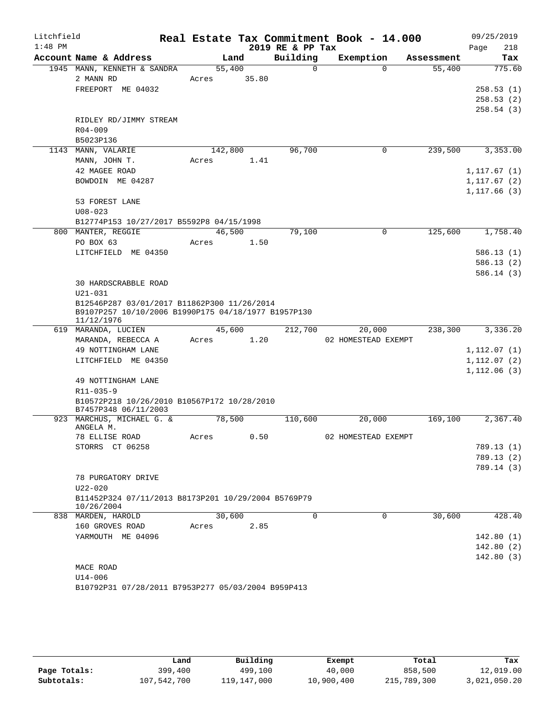| Litchfield<br>$1:48$ PM |                                                                                                                                                         |                 |       | 2019 RE & PP Tax | Real Estate Tax Commitment Book - 14.000 |            | 09/25/2019<br>218<br>Page                    |
|-------------------------|---------------------------------------------------------------------------------------------------------------------------------------------------------|-----------------|-------|------------------|------------------------------------------|------------|----------------------------------------------|
|                         | Account Name & Address                                                                                                                                  | Land            |       | Building         | Exemption                                | Assessment | Tax                                          |
|                         | 1945 MANN, KENNETH & SANDRA<br>2 MANN RD<br>FREEPORT ME 04032                                                                                           | 55,400<br>Acres | 35.80 | 0                | $\Omega$                                 | 55,400     | 775.60<br>258.53(1)<br>258.53(2)             |
|                         | RIDLEY RD/JIMMY STREAM<br>$R04 - 009$<br>B5023P136                                                                                                      |                 |       |                  |                                          |            | 258.54(3)                                    |
|                         | 1143 MANN, VALARIE                                                                                                                                      | 142,800         |       | 96,700           | $\mathbf 0$                              | 239,500    | 3,353.00                                     |
|                         | MANN, JOHN T.<br>42 MAGEE ROAD<br>BOWDOIN ME 04287                                                                                                      | Acres           | 1.41  |                  |                                          |            | 1, 117.67(1)<br>1, 117.67(2)<br>1, 117.66(3) |
|                         | 53 FOREST LANE<br>$U08 - 023$<br>B12774P153 10/27/2017 B5592P8 04/15/1998                                                                               |                 |       |                  |                                          |            |                                              |
|                         | 800 MANTER, REGGIE                                                                                                                                      | 46,500          |       | 79,100           | $\mathbf 0$                              | 125,600    | 1,758.40                                     |
|                         | PO BOX 63                                                                                                                                               | Acres           | 1.50  |                  |                                          |            |                                              |
|                         | LITCHFIELD ME 04350                                                                                                                                     |                 |       |                  |                                          |            | 586.13(1)                                    |
|                         |                                                                                                                                                         |                 |       |                  |                                          |            | 586.13(2)                                    |
|                         | 30 HARDSCRABBLE ROAD<br>$U21 - 031$<br>B12546P287 03/01/2017 B11862P300 11/26/2014<br>B9107P257 10/10/2006 B1990P175 04/18/1977 B1957P130<br>11/12/1976 |                 |       |                  |                                          |            | 586.14(3)                                    |
|                         | 619 MARANDA, LUCIEN                                                                                                                                     | 45,600          |       | 212,700          | 20,000                                   | 238,300    | 3,336.20                                     |
|                         | MARANDA, REBECCA A                                                                                                                                      | Acres           | 1.20  |                  | 02 HOMESTEAD EXEMPT                      |            |                                              |
|                         | 49 NOTTINGHAM LANE                                                                                                                                      |                 |       |                  |                                          |            | 1, 112.07(1)                                 |
|                         | LITCHFIELD ME 04350                                                                                                                                     |                 |       |                  |                                          |            | 1,112.07(2)<br>1,112.06(3)                   |
|                         | 49 NOTTINGHAM LANE<br>$R11 - 035 - 9$                                                                                                                   |                 |       |                  |                                          |            |                                              |
|                         | B10572P218 10/26/2010 B10567P172 10/28/2010<br>B7457P348 06/11/2003                                                                                     |                 |       |                  |                                          |            |                                              |
|                         | 923 MARCHUS, MICHAEL G. &<br>ANGELA M.                                                                                                                  | 78,500          |       | 110,600          | 20,000                                   | 169,100    | 2,367.40                                     |
|                         | 78 ELLISE ROAD                                                                                                                                          | Acres           | 0.50  |                  | 02 HOMESTEAD EXEMPT                      |            |                                              |
|                         | STORRS CT 06258                                                                                                                                         |                 |       |                  |                                          |            | 789.13 (1)                                   |
|                         |                                                                                                                                                         |                 |       |                  |                                          |            | 789.13 (2)                                   |
|                         |                                                                                                                                                         |                 |       |                  |                                          |            | 789.14 (3)                                   |
|                         | 78 PURGATORY DRIVE<br>$U22 - 020$                                                                                                                       |                 |       |                  |                                          |            |                                              |
|                         | B11452P324 07/11/2013 B8173P201 10/29/2004 B5769P79<br>10/26/2004                                                                                       |                 |       |                  |                                          |            |                                              |
|                         | 838 MARDEN, HAROLD                                                                                                                                      | 30,600          |       | $\Omega$         | $\Omega$                                 | 30,600     | 428.40                                       |
|                         | 160 GROVES ROAD                                                                                                                                         | Acres           | 2.85  |                  |                                          |            |                                              |
|                         | YARMOUTH ME 04096                                                                                                                                       |                 |       |                  |                                          |            | 142.80(1)                                    |
|                         |                                                                                                                                                         |                 |       |                  |                                          |            | 142.80(2)                                    |
|                         | MACE ROAD                                                                                                                                               |                 |       |                  |                                          |            | 142.80(3)                                    |
|                         | $U14 - 006$                                                                                                                                             |                 |       |                  |                                          |            |                                              |
|                         | B10792P31 07/28/2011 B7953P277 05/03/2004 B959P413                                                                                                      |                 |       |                  |                                          |            |                                              |

|              | Land        | Building    | Exempt     | Total       | Tax          |
|--------------|-------------|-------------|------------|-------------|--------------|
| Page Totals: | 399,400     | 499,100     | 40,000     | 858,500     | 12,019.00    |
| Subtotals:   | 107,542,700 | 119,147,000 | 10,900,400 | 215,789,300 | 3,021,050.20 |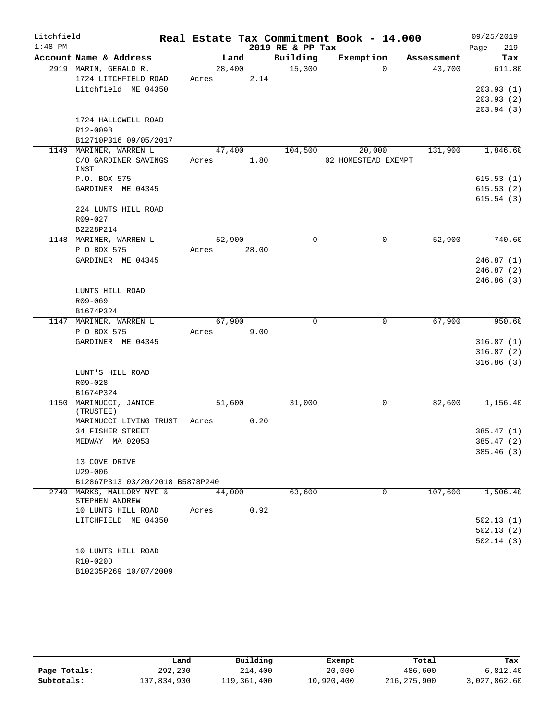| Litchfield |                                                |       |        |       |                  | Real Estate Tax Commitment Book - 14.000 |            | 09/25/2019             |
|------------|------------------------------------------------|-------|--------|-------|------------------|------------------------------------------|------------|------------------------|
| $1:48$ PM  |                                                |       |        |       | 2019 RE & PP Tax |                                          |            | 219<br>Page            |
|            | Account Name & Address                         |       | Land   |       | Building         | Exemption                                | Assessment | Tax                    |
|            | 2919 MARIN, GERALD R.                          |       | 28,400 |       | 15,300           | $\Omega$                                 | 43,700     | 611.80                 |
|            | 1724 LITCHFIELD ROAD                           | Acres |        | 2.14  |                  |                                          |            |                        |
|            | Litchfield ME 04350                            |       |        |       |                  |                                          |            | 203.93(1)              |
|            |                                                |       |        |       |                  |                                          |            | 203.93(2)<br>203.94(3) |
|            | 1724 HALLOWELL ROAD                            |       |        |       |                  |                                          |            |                        |
|            | R12-009B                                       |       |        |       |                  |                                          |            |                        |
|            | B12710P316 09/05/2017                          |       |        |       |                  |                                          |            |                        |
|            | 1149 MARINER, WARREN L                         |       | 47,400 |       | 104,500          | 20,000                                   | 131,900    | 1,846.60               |
|            | C/O GARDINER SAVINGS                           | Acres |        | 1.80  |                  | 02 HOMESTEAD EXEMPT                      |            |                        |
|            | INST                                           |       |        |       |                  |                                          |            |                        |
|            | P.O. BOX 575                                   |       |        |       |                  |                                          |            | 615.53(1)              |
|            | GARDINER ME 04345                              |       |        |       |                  |                                          |            | 615.53(2)<br>615.54(3) |
|            | 224 LUNTS HILL ROAD                            |       |        |       |                  |                                          |            |                        |
|            | $R09 - 027$                                    |       |        |       |                  |                                          |            |                        |
|            | B2228P214                                      |       |        |       |                  |                                          |            |                        |
|            | 1148 MARINER, WARREN L                         |       | 52,900 |       | $\mathbf 0$      | $\mathbf 0$                              | 52,900     | 740.60                 |
|            | P O BOX 575                                    | Acres |        | 28.00 |                  |                                          |            |                        |
|            | GARDINER ME 04345                              |       |        |       |                  |                                          |            | 246.87(1)              |
|            |                                                |       |        |       |                  |                                          |            | 246.87(2)              |
|            |                                                |       |        |       |                  |                                          |            | 246.86(3)              |
|            | LUNTS HILL ROAD                                |       |        |       |                  |                                          |            |                        |
|            | R09-069                                        |       |        |       |                  |                                          |            |                        |
|            | B1674P324<br>1147 MARINER, WARREN L            |       | 67,900 |       | $\Omega$         | $\mathbf 0$                              | 67,900     | 950.60                 |
|            | P O BOX 575                                    | Acres |        | 9.00  |                  |                                          |            |                        |
|            | GARDINER ME 04345                              |       |        |       |                  |                                          |            | 316.87(1)              |
|            |                                                |       |        |       |                  |                                          |            | 316.87(2)              |
|            |                                                |       |        |       |                  |                                          |            | 316.86(3)              |
|            | LUNT'S HILL ROAD                               |       |        |       |                  |                                          |            |                        |
|            | R09-028                                        |       |        |       |                  |                                          |            |                        |
|            | B1674P324                                      |       |        |       |                  |                                          |            |                        |
|            | 1150 MARINUCCI, JANICE<br>(TRUSTEE)            |       | 51,600 |       | 31,000           | 0                                        | 82,600     | 1,156.40               |
|            | MARINUCCI LIVING TRUST                         | Acres |        | 0.20  |                  |                                          |            |                        |
|            | 34 FISHER STREET                               |       |        |       |                  |                                          |            | 385.47(1)              |
|            | MEDWAY MA 02053                                |       |        |       |                  |                                          |            | 385.47 (2)             |
|            |                                                |       |        |       |                  |                                          |            | 385.46(3)              |
|            | 13 COVE DRIVE                                  |       |        |       |                  |                                          |            |                        |
|            | $U29 - 006$<br>B12867P313 03/20/2018 B5878P240 |       |        |       |                  |                                          |            |                        |
|            | 2749 MARKS, MALLORY NYE &                      |       | 44,000 |       | 63,600           | $\Omega$                                 | 107,600    | 1,506.40               |
|            | STEPHEN ANDREW                                 |       |        |       |                  |                                          |            |                        |
|            | 10 LUNTS HILL ROAD                             | Acres |        | 0.92  |                  |                                          |            |                        |
|            | LITCHFIELD ME 04350                            |       |        |       |                  |                                          |            | 502.13(1)              |
|            |                                                |       |        |       |                  |                                          |            | 502.13(2)              |
|            |                                                |       |        |       |                  |                                          |            | 502.14(3)              |
|            | 10 LUNTS HILL ROAD                             |       |        |       |                  |                                          |            |                        |
|            | R10-020D<br>B10235P269 10/07/2009              |       |        |       |                  |                                          |            |                        |
|            |                                                |       |        |       |                  |                                          |            |                        |

|              | Land        | Building    | Exempt     | Total       | Tax          |  |
|--------------|-------------|-------------|------------|-------------|--------------|--|
| Page Totals: | 292,200     | 214,400     | 20,000     | 486,600     | 6,812.40     |  |
| Subtotals:   | 107,834,900 | 119,361,400 | 10,920,400 | 216,275,900 | 3,027,862.60 |  |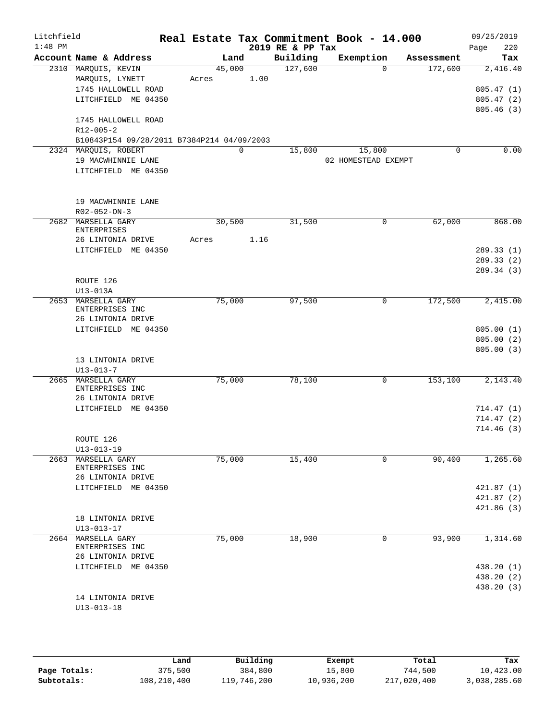| Litchfield<br>$1:48$ PM |                                                                                      |                                            |                 |      | 2019 RE & PP Tax | Real Estate Tax Commitment Book - 14.000 |                        | 09/25/2019<br>220<br>Page              |
|-------------------------|--------------------------------------------------------------------------------------|--------------------------------------------|-----------------|------|------------------|------------------------------------------|------------------------|----------------------------------------|
|                         | Account Name & Address                                                               |                                            |                 | Land | Building         | Exemption                                | Assessment             | Tax                                    |
|                         | 2310 MARQUIS, KEVIN<br>MARQUIS, LYNETT<br>1745 HALLOWELL ROAD<br>LITCHFIELD ME 04350 |                                            | 45,000<br>Acres | 1.00 | 127,600          |                                          | $\Omega$<br>172,600    | 2,416.40<br>805.47(1)<br>805.47(2)     |
|                         | 1745 HALLOWELL ROAD<br>R12-005-2                                                     |                                            |                 |      |                  |                                          |                        | 805.46(3)                              |
|                         | 2324 MAROUIS, ROBERT                                                                 | B10843P154 09/28/2011 B7384P214 04/09/2003 |                 | 0    | 15,800           | 15,800                                   | 0                      | 0.00                                   |
|                         | 19 MACWHINNIE LANE<br>LITCHFIELD ME 04350                                            |                                            |                 |      |                  | 02 HOMESTEAD EXEMPT                      |                        |                                        |
|                         | 19 MACWHINNIE LANE<br>R02-052-ON-3                                                   |                                            |                 |      |                  |                                          |                        |                                        |
|                         | 2682 MARSELLA GARY<br><b>ENTERPRISES</b>                                             |                                            | 30,500          |      | 31,500           |                                          | $\mathbf 0$<br>62,000  | 868.00                                 |
|                         | 26 LINTONIA DRIVE<br>LITCHFIELD ME 04350                                             |                                            | Acres           | 1.16 |                  |                                          |                        | 289.33(1)<br>289.33(2)<br>289.34(3)    |
|                         | ROUTE 126<br>$U13-013A$                                                              |                                            |                 |      |                  |                                          |                        |                                        |
|                         | 2653 MARSELLA GARY<br>ENTERPRISES INC<br>26 LINTONIA DRIVE                           |                                            | 75,000          |      | 97,500           |                                          | $\mathbf 0$<br>172,500 | 2,415.00                               |
|                         | LITCHFIELD ME 04350                                                                  |                                            |                 |      |                  |                                          |                        | 805.00(1)<br>805.00(2)<br>805.00(3)    |
|                         | 13 LINTONIA DRIVE<br>$U13 - 013 - 7$                                                 |                                            |                 |      |                  |                                          |                        |                                        |
|                         | 2665 MARSELLA GARY<br>ENTERPRISES INC<br>26 LINTONIA DRIVE                           |                                            | 75,000          |      | 78,100           |                                          | 0<br>153,100           | 2,143.40                               |
|                         | LITCHFIELD ME 04350                                                                  |                                            |                 |      |                  |                                          |                        | 714.47(1)<br>714.47 (2)<br>714.46(3)   |
|                         | ROUTE 126<br>$U13 - 013 - 19$                                                        |                                            |                 |      |                  |                                          |                        |                                        |
|                         | 2663 MARSELLA GARY<br>ENTERPRISES INC<br>26 LINTONIA DRIVE                           |                                            | 75,000          |      | 15,400           |                                          | 90,400<br>0            | 1,265.60                               |
|                         | LITCHFIELD ME 04350                                                                  |                                            |                 |      |                  |                                          |                        | 421.87(1)<br>421.87(2)                 |
|                         | 18 LINTONIA DRIVE<br>$U13 - 013 - 17$                                                |                                            |                 |      |                  |                                          |                        | 421.86(3)                              |
|                         | 2664 MARSELLA GARY<br>ENTERPRISES INC<br>26 LINTONIA DRIVE                           |                                            | 75,000          |      | 18,900           |                                          | 93,900<br>0            | 1,314.60                               |
|                         | LITCHFIELD ME 04350                                                                  |                                            |                 |      |                  |                                          |                        | 438.20 (1)<br>438.20 (2)<br>438.20 (3) |
|                         | 14 LINTONIA DRIVE<br>$U13 - 013 - 18$                                                |                                            |                 |      |                  |                                          |                        |                                        |

|              | Land        | Building    | Exempt     | Total       | Tax          |
|--------------|-------------|-------------|------------|-------------|--------------|
| Page Totals: | 375,500     | 384,800     | 15,800     | 744,500     | 10,423.00    |
| Subtotals:   | 108,210,400 | 119,746,200 | 10,936,200 | 217,020,400 | 3,038,285.60 |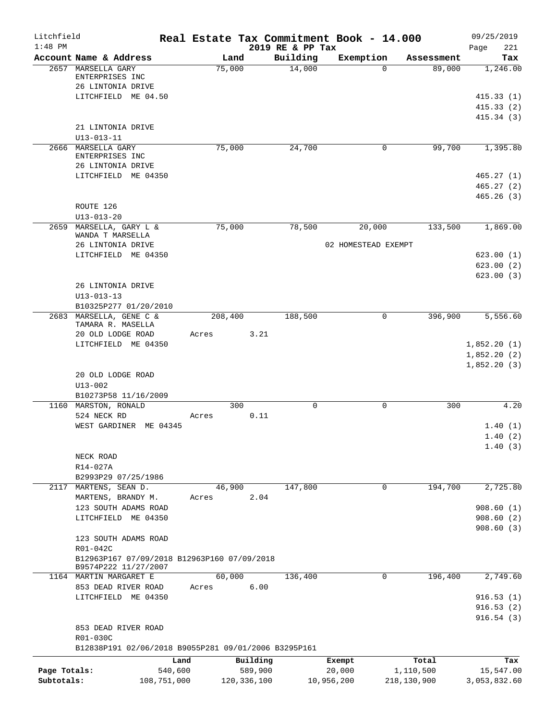| Litchfield                 |                                                                                          | Real Estate Tax Commitment Book - 14.000 |                              |                                |                                   | 09/25/2019                             |
|----------------------------|------------------------------------------------------------------------------------------|------------------------------------------|------------------------------|--------------------------------|-----------------------------------|----------------------------------------|
| $1:48$ PM                  | Account Name & Address                                                                   | Land                                     | 2019 RE & PP Tax<br>Building | Exemption                      | Assessment                        | 221<br>Page<br>Tax                     |
|                            | 2657 MARSELLA GARY<br>ENTERPRISES INC<br>26 LINTONIA DRIVE                               | 75,000                                   | 14,000                       | $\Omega$                       | 89,000                            | 1,246.00                               |
|                            | LITCHFIELD ME 04.50                                                                      |                                          |                              |                                |                                   | 415.33(1)<br>415.33(2)<br>415.34 (3)   |
|                            | 21 LINTONIA DRIVE<br>$U13 - 013 - 11$                                                    |                                          |                              |                                |                                   |                                        |
|                            | 2666 MARSELLA GARY<br>ENTERPRISES INC<br>26 LINTONIA DRIVE                               | 75,000                                   | 24,700                       | 0                              | 99,700                            | 1,395.80                               |
|                            | LITCHFIELD ME 04350                                                                      |                                          |                              |                                |                                   | 465.27(1)<br>465.27(2)<br>465.26(3)    |
|                            | ROUTE 126<br>$U13 - 013 - 20$                                                            |                                          |                              |                                |                                   |                                        |
| 2659                       | MARSELLA, GARY L &<br>WANDA T MARSELLA                                                   | 75,000                                   | 78,500                       | 20,000                         | 133,500                           | 1,869.00                               |
|                            | 26 LINTONIA DRIVE<br>LITCHFIELD ME 04350                                                 |                                          |                              | 02 HOMESTEAD EXEMPT            |                                   | 623.00(1)<br>623.00(2)<br>623.00(3)    |
|                            | 26 LINTONIA DRIVE<br>$U13 - 013 - 13$<br>B10325P277 01/20/2010                           |                                          |                              |                                |                                   |                                        |
|                            | 2683 MARSELLA, GENE C &<br>TAMARA R. MASELLA<br>20 OLD LODGE ROAD<br>LITCHFIELD ME 04350 | 208,400<br>Acres                         | 188,500<br>3.21              | 0                              | 396,900                           | 5,556.60<br>1,852.20(1)<br>1,852.20(2) |
|                            | 20 OLD LODGE ROAD<br>$U13 - 002$                                                         |                                          |                              |                                |                                   | 1,852.20(3)                            |
|                            | B10273P58 11/16/2009<br>1160 MARSTON, RONALD<br>524 NECK RD<br>WEST GARDINER ME 04345    | 300<br>Acres                             | $\mathbf 0$<br>0.11          | $\mathbf 0$                    | 300                               | 4.20<br>1.40(1)<br>1.40(2)             |
|                            | NECK ROAD<br>R14-027A                                                                    |                                          |                              |                                |                                   | 1.40(3)                                |
| 2117                       | B2993P29 07/25/1986<br>MARTENS, SEAN D.                                                  | 46,900                                   | 147,800                      | 0                              | 194,700                           | 2,725.80                               |
|                            | MARTENS, BRANDY M.<br>123 SOUTH ADAMS ROAD<br>LITCHFIELD ME 04350                        | Acres                                    | 2.04                         |                                |                                   | 908.60(1)<br>908.60(2)<br>908.60(3)    |
|                            | 123 SOUTH ADAMS ROAD<br>R01-042C<br>B12963P167 07/09/2018 B12963P160 07/09/2018          |                                          |                              |                                |                                   |                                        |
|                            | B9574P222 11/27/2007<br>1164 MARTIN MARGARET E                                           | 60,000                                   | 136,400                      | 0                              | 196,400                           | 2,749.60                               |
|                            | 853 DEAD RIVER ROAD<br>LITCHFIELD ME 04350                                               | Acres                                    | 6.00                         |                                |                                   | 916.53(1)<br>916.53(2)                 |
|                            | 853 DEAD RIVER ROAD<br>R01-030C                                                          |                                          |                              |                                |                                   | 916.54(3)                              |
|                            | B12838P191 02/06/2018 B9055P281 09/01/2006 B3295P161                                     |                                          |                              |                                |                                   |                                        |
| Page Totals:<br>Subtotals: | Land<br>540,600<br>108,751,000                                                           | Building<br>589,900<br>120, 336, 100     |                              | Exempt<br>20,000<br>10,956,200 | Total<br>1,110,500<br>218,130,900 | Tax<br>15,547.00<br>3,053,832.60       |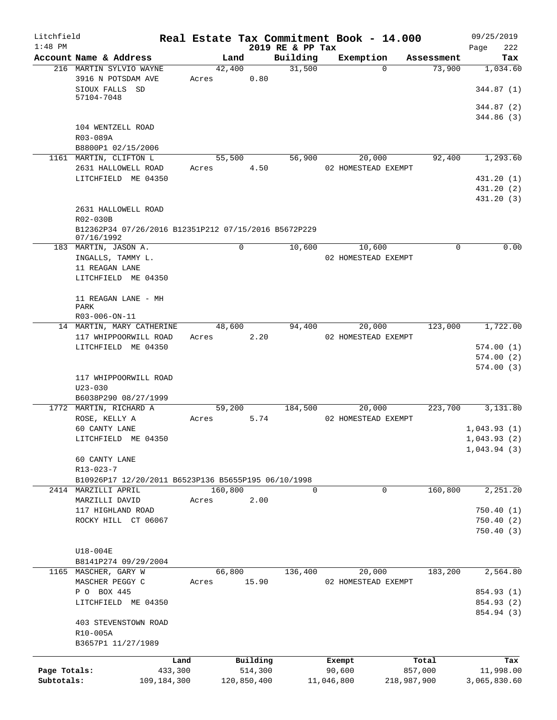| Litchfield<br>$1:48$ PM |                                                                            |         |         |                     | 2019 RE & PP Tax | Real Estate Tax Commitment Book - 14.000 |             |            | 09/25/2019<br>222<br>Page |
|-------------------------|----------------------------------------------------------------------------|---------|---------|---------------------|------------------|------------------------------------------|-------------|------------|---------------------------|
|                         | Account Name & Address                                                     |         | Land    |                     | Building         | Exemption                                |             | Assessment | Tax                       |
|                         | 216 MARTIN SYLVIO WAYNE                                                    |         | 42,400  |                     | 31,500           |                                          | $\Omega$    | 73,900     | 1,034.60                  |
|                         | 3916 N POTSDAM AVE<br>SIOUX FALLS SD                                       | Acres   |         | 0.80                |                  |                                          |             |            | 344.87(1)                 |
|                         | 57104-7048                                                                 |         |         |                     |                  |                                          |             |            |                           |
|                         |                                                                            |         |         |                     |                  |                                          |             |            | 344.87(2)<br>344.86(3)    |
|                         | 104 WENTZELL ROAD                                                          |         |         |                     |                  |                                          |             |            |                           |
|                         | R03-089A                                                                   |         |         |                     |                  |                                          |             |            |                           |
|                         | B8800P1 02/15/2006                                                         |         |         |                     |                  |                                          |             |            |                           |
|                         | 1161 MARTIN, CLIFTON L                                                     |         | 55,500  |                     | 56,900           | 20,000                                   |             | 92,400     | 1,293.60                  |
|                         | 2631 HALLOWELL ROAD<br>LITCHFIELD ME 04350                                 | Acres   |         | 4.50                |                  | 02 HOMESTEAD EXEMPT                      |             |            | 431.20 (1)                |
|                         |                                                                            |         |         |                     |                  |                                          |             |            | 431.20 (2)                |
|                         |                                                                            |         |         |                     |                  |                                          |             |            | 431.20 (3)                |
|                         | 2631 HALLOWELL ROAD                                                        |         |         |                     |                  |                                          |             |            |                           |
|                         | R02-030B                                                                   |         |         |                     |                  |                                          |             |            |                           |
|                         | B12362P34 07/26/2016 B12351P212 07/15/2016 B5672P229<br>07/16/1992         |         |         |                     |                  |                                          |             |            |                           |
|                         | 183 MARTIN, JASON A.                                                       |         | 0       |                     | 10,600           | 10,600                                   |             | 0          | 0.00                      |
|                         | INGALLS, TAMMY L.                                                          |         |         |                     |                  | 02 HOMESTEAD EXEMPT                      |             |            |                           |
|                         | 11 REAGAN LANE                                                             |         |         |                     |                  |                                          |             |            |                           |
|                         | LITCHFIELD ME 04350                                                        |         |         |                     |                  |                                          |             |            |                           |
|                         | 11 REAGAN LANE - MH                                                        |         |         |                     |                  |                                          |             |            |                           |
|                         | PARK                                                                       |         |         |                     |                  |                                          |             |            |                           |
|                         | R03-006-ON-11                                                              |         |         |                     |                  |                                          |             |            |                           |
|                         | 14 MARTIN, MARY CATHERINE                                                  |         | 48,600  |                     | 94,400           | 20,000                                   |             | 123,000    | 1,722.00                  |
|                         | 117 WHIPPOORWILL ROAD                                                      | Acres   |         | 2.20                |                  | 02 HOMESTEAD EXEMPT                      |             |            |                           |
|                         | LITCHFIELD ME 04350                                                        |         |         |                     |                  |                                          |             |            | 574.00(1)<br>574.00(2)    |
|                         |                                                                            |         |         |                     |                  |                                          |             |            | 574.00(3)                 |
|                         | 117 WHIPPOORWILL ROAD                                                      |         |         |                     |                  |                                          |             |            |                           |
|                         | $U23 - 030$                                                                |         |         |                     |                  |                                          |             |            |                           |
|                         | B6038P290 08/27/1999                                                       |         |         |                     |                  |                                          |             |            |                           |
|                         | 1772 MARTIN, RICHARD A<br>ROSE, KELLY A                                    | Acres   | 59,200  | 5.74                | 184,500          | 20,000<br>02 HOMESTEAD EXEMPT            |             | 223,700    | 3,131.80                  |
|                         | 60 CANTY LANE                                                              |         |         |                     |                  |                                          |             |            | 1,043.93(1)               |
|                         | LITCHFIELD ME 04350                                                        |         |         |                     |                  |                                          |             |            | 1.043.93(2)               |
|                         |                                                                            |         |         |                     |                  |                                          |             |            | 1,043.94(3)               |
|                         | 60 CANTY LANE                                                              |         |         |                     |                  |                                          |             |            |                           |
|                         | R13-023-7                                                                  |         |         |                     |                  |                                          |             |            |                           |
|                         | B10926P17 12/20/2011 B6523P136 B5655P195 06/10/1998<br>2414 MARZILLI APRIL |         |         |                     | $\Omega$         |                                          |             |            |                           |
|                         | MARZILLI DAVID                                                             | Acres   | 160,800 | 2.00                |                  |                                          | 0           | 160,800    | 2,251.20                  |
|                         | 117 HIGHLAND ROAD                                                          |         |         |                     |                  |                                          |             |            | 750.40(1)                 |
|                         | ROCKY HILL CT 06067                                                        |         |         |                     |                  |                                          |             |            | 750.40(2)                 |
|                         |                                                                            |         |         |                     |                  |                                          |             |            | 750.40(3)                 |
|                         |                                                                            |         |         |                     |                  |                                          |             |            |                           |
|                         | U18-004E                                                                   |         |         |                     |                  |                                          |             |            |                           |
|                         | B8141P274 09/29/2004<br>1165 MASCHER, GARY W                               |         | 66,800  |                     | 136,400          | 20,000                                   |             | 183,200    | 2,564.80                  |
|                         | MASCHER PEGGY C                                                            | Acres   |         | 15.90               |                  | 02 HOMESTEAD EXEMPT                      |             |            |                           |
|                         | P O BOX 445                                                                |         |         |                     |                  |                                          |             |            | 854.93 (1)                |
|                         | LITCHFIELD ME 04350                                                        |         |         |                     |                  |                                          |             |            | 854.93 (2)                |
|                         |                                                                            |         |         |                     |                  |                                          |             |            | 854.94 (3)                |
|                         | 403 STEVENSTOWN ROAD                                                       |         |         |                     |                  |                                          |             |            |                           |
|                         | R10-005A<br>B3657P1 11/27/1989                                             |         |         |                     |                  |                                          |             |            |                           |
|                         |                                                                            |         |         |                     |                  |                                          |             |            |                           |
| Page Totals:            |                                                                            | Land    |         | Building<br>514,300 |                  | Exempt<br>90,600                         |             | Total      | Tax                       |
| Subtotals:              | 109,184,300                                                                | 433,300 |         | 120,850,400         |                  | 11,046,800                               | 218,987,900 | 857,000    | 11,998.00<br>3,065,830.60 |
|                         |                                                                            |         |         |                     |                  |                                          |             |            |                           |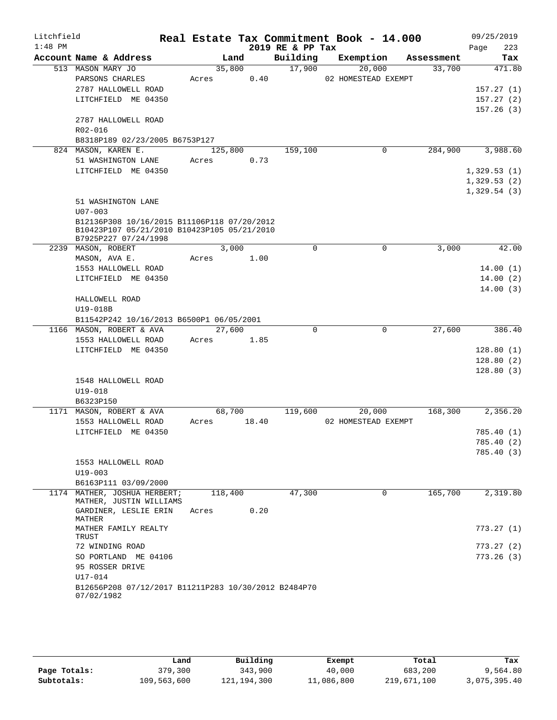| Litchfield |                                                                                            |         |       |                  | Real Estate Tax Commitment Book - 14.000 |            | 09/25/2019  |
|------------|--------------------------------------------------------------------------------------------|---------|-------|------------------|------------------------------------------|------------|-------------|
| $1:48$ PM  |                                                                                            |         |       | 2019 RE & PP Tax |                                          |            | 223<br>Page |
|            | Account Name & Address                                                                     | Land    |       | Building         | Exemption                                | Assessment | Tax         |
|            | 513 MASON MARY JO                                                                          | 35,800  |       | 17,900           | 20,000                                   | 33,700     | 471.80      |
|            | PARSONS CHARLES                                                                            | Acres   | 0.40  |                  | 02 HOMESTEAD EXEMPT                      |            |             |
|            | 2787 HALLOWELL ROAD                                                                        |         |       |                  |                                          |            | 157.27(1)   |
|            | LITCHFIELD ME 04350                                                                        |         |       |                  |                                          |            | 157.27(2)   |
|            |                                                                                            |         |       |                  |                                          |            | 157.26(3)   |
|            | 2787 HALLOWELL ROAD                                                                        |         |       |                  |                                          |            |             |
|            | R02-016                                                                                    |         |       |                  |                                          |            |             |
|            | B8318P189 02/23/2005 B6753P127                                                             |         |       |                  |                                          |            |             |
|            | 824 MASON, KAREN E.                                                                        | 125,800 |       | 159,100          | 0                                        | 284,900    | 3,988.60    |
|            | 51 WASHINGTON LANE                                                                         | Acres   | 0.73  |                  |                                          |            |             |
|            | LITCHFIELD ME 04350                                                                        |         |       |                  |                                          |            | 1,329.53(1) |
|            |                                                                                            |         |       |                  |                                          |            | 1,329.53(2) |
|            |                                                                                            |         |       |                  |                                          |            | 1,329.54(3) |
|            | 51 WASHINGTON LANE                                                                         |         |       |                  |                                          |            |             |
|            | $U07 - 003$                                                                                |         |       |                  |                                          |            |             |
|            | B12136P308 10/16/2015 B11106P118 07/20/2012<br>B10423P107 05/21/2010 B10423P105 05/21/2010 |         |       |                  |                                          |            |             |
|            | B7925P227 07/24/1998                                                                       |         |       |                  |                                          |            |             |
|            | 2239 MASON, ROBERT                                                                         | 3,000   |       | $\mathbf 0$      | 0                                        | 3,000      | 42.00       |
|            | MASON, AVA E.                                                                              | Acres   | 1.00  |                  |                                          |            |             |
|            | 1553 HALLOWELL ROAD                                                                        |         |       |                  |                                          |            | 14.00(1)    |
|            | LITCHFIELD ME 04350                                                                        |         |       |                  |                                          |            | 14.00(2)    |
|            |                                                                                            |         |       |                  |                                          |            | 14.00(3)    |
|            | HALLOWELL ROAD                                                                             |         |       |                  |                                          |            |             |
|            | U19-018B                                                                                   |         |       |                  |                                          |            |             |
|            | B11542P242 10/16/2013 B6500P1 06/05/2001                                                   |         |       |                  |                                          |            |             |
|            | 1166 MASON, ROBERT & AVA                                                                   | 27,600  |       | 0                | 0                                        | 27,600     | 386.40      |
|            | 1553 HALLOWELL ROAD                                                                        | Acres   | 1.85  |                  |                                          |            |             |
|            | LITCHFIELD ME 04350                                                                        |         |       |                  |                                          |            | 128.80(1)   |
|            |                                                                                            |         |       |                  |                                          |            | 128.80(2)   |
|            |                                                                                            |         |       |                  |                                          |            | 128.80(3)   |
|            | 1548 HALLOWELL ROAD                                                                        |         |       |                  |                                          |            |             |
|            | $U19 - 018$                                                                                |         |       |                  |                                          |            |             |
|            | B6323P150                                                                                  |         |       |                  |                                          |            |             |
|            | 1171 MASON, ROBERT & AVA                                                                   | 68,700  |       | 119,600          | 20,000                                   | 168,300    | 2,356.20    |
|            | 1553 HALLOWELL ROAD                                                                        | Acres   | 18.40 |                  | 02 HOMESTEAD EXEMPT                      |            |             |
|            | LITCHFIELD ME 04350                                                                        |         |       |                  |                                          |            | 785.40 (1)  |
|            |                                                                                            |         |       |                  |                                          |            | 785.40 (2)  |
|            |                                                                                            |         |       |                  |                                          |            | 785.40(3)   |
|            | 1553 HALLOWELL ROAD                                                                        |         |       |                  |                                          |            |             |
|            | $U19 - 003$                                                                                |         |       |                  |                                          |            |             |
|            | B6163P111 03/09/2000                                                                       |         |       |                  |                                          |            |             |
|            | 1174 MATHER, JOSHUA HERBERT;                                                               | 118,400 |       | 47,300           | $\mathbf 0$                              | 165,700    | 2,319.80    |
|            | MATHER, JUSTIN WILLIAMS                                                                    |         |       |                  |                                          |            |             |
|            | GARDINER, LESLIE ERIN<br>MATHER                                                            | Acres   | 0.20  |                  |                                          |            |             |
|            | MATHER FAMILY REALTY                                                                       |         |       |                  |                                          |            | 773.27(1)   |
|            | TRUST                                                                                      |         |       |                  |                                          |            |             |
|            | 72 WINDING ROAD                                                                            |         |       |                  |                                          |            | 773.27(2)   |
|            | SO PORTLAND ME 04106                                                                       |         |       |                  |                                          |            | 773.26(3)   |
|            | 95 ROSSER DRIVE                                                                            |         |       |                  |                                          |            |             |
|            | U17-014                                                                                    |         |       |                  |                                          |            |             |
|            | B12656P208 07/12/2017 B11211P283 10/30/2012 B2484P70                                       |         |       |                  |                                          |            |             |
|            | 07/02/1982                                                                                 |         |       |                  |                                          |            |             |

|              | Land        | Building      | Exempt     | Total       | Tax          |
|--------------|-------------|---------------|------------|-------------|--------------|
| Page Totals: | 379,300     | 343,900       | 40,000     | 683,200     | 9,564.80     |
| Subtotals:   | 109,563,600 | 121, 194, 300 | 11,086,800 | 219,671,100 | 3,075,395.40 |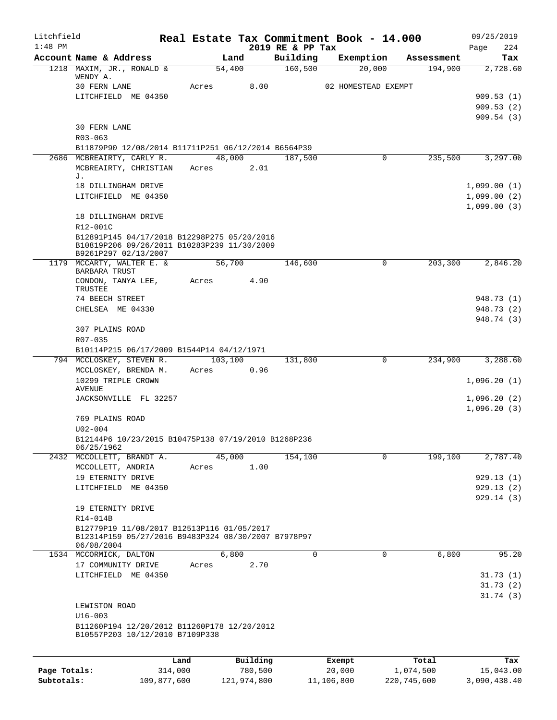| Litchfield<br>$1:48$ PM |                                                                                                                    |            |                | 2019 RE & PP Tax | Real Estate Tax Commitment Book - 14.000 |            | 09/25/2019<br>224<br>Page                 |
|-------------------------|--------------------------------------------------------------------------------------------------------------------|------------|----------------|------------------|------------------------------------------|------------|-------------------------------------------|
|                         | Account Name & Address                                                                                             |            | Land           | Building         | Exemption                                | Assessment | Tax                                       |
|                         | 1218 MAXIM, JR., RONALD &<br>WENDY A.<br>30 FERN LANE                                                              | Acres      | 54,400<br>8.00 | 160, 500         | 20,000<br>02 HOMESTEAD EXEMPT            | 194,900    | 2,728.60                                  |
|                         | LITCHFIELD ME 04350                                                                                                |            |                |                  |                                          |            | 909.53(1)<br>909.53(2)<br>909.54(3)       |
|                         | <b>30 FERN LANE</b><br>$R03 - 063$                                                                                 |            |                |                  |                                          |            |                                           |
|                         | B11879P90 12/08/2014 B11711P251 06/12/2014 B6564P39                                                                |            |                |                  |                                          |            |                                           |
|                         | 2686 MCBREAIRTY, CARLY R.<br>MCBREAIRTY, CHRISTIAN<br>J.                                                           | Acres      | 48,000<br>2.01 | 187,500          | $\Omega$                                 | 235,500    | 3,297.00                                  |
|                         | 18 DILLINGHAM DRIVE<br>LITCHFIELD ME 04350                                                                         |            |                |                  |                                          |            | 1,099.00(1)<br>1,099.00(2)<br>1,099.00(3) |
|                         | 18 DILLINGHAM DRIVE<br>R12-001C                                                                                    |            |                |                  |                                          |            |                                           |
|                         | B12891P145 04/17/2018 B12298P275 05/20/2016<br>B10819P206 09/26/2011 B10283P239 11/30/2009<br>B9261P297 02/13/2007 |            |                |                  |                                          |            |                                           |
|                         | 1179 MCCARTY, WALTER E. &<br>BARBARA TRUST<br>CONDON, TANYA LEE,                                                   | Acres      | 56,700<br>4.90 | 146,600          | 0                                        | 203,300    | 2,846.20                                  |
|                         | TRUSTEE<br>74 BEECH STREET                                                                                         |            |                |                  |                                          |            | 948.73 (1)                                |
|                         | CHELSEA ME 04330                                                                                                   |            |                |                  |                                          |            | 948.73 (2)<br>948.74 (3)                  |
|                         | 307 PLAINS ROAD<br>R07-035<br>B10114P215 06/17/2009 B1544P14 04/12/1971                                            |            |                |                  |                                          |            |                                           |
|                         | 794 MCCLOSKEY, STEVEN R.                                                                                           |            | 103,100        | 131,800          | $\mathbf 0$                              | 234,900    | 3,288.60                                  |
|                         | MCCLOSKEY, BRENDA M.<br>10299 TRIPLE CROWN                                                                         | Acres 0.96 |                |                  |                                          |            | 1,096.20(1)                               |
|                         | AVENUE<br>JACKSONVILLE FL 32257                                                                                    |            |                |                  |                                          |            | 1,096.20(2)<br>1,096.20(3)                |
|                         | 769 PLAINS ROAD<br>$U102 - 004$                                                                                    |            |                |                  |                                          |            |                                           |
|                         | B12144P6 10/23/2015 B10475P138 07/19/2010 B1268P236<br>06/25/1962                                                  |            |                |                  |                                          |            |                                           |
|                         | 2432 MCCOLLETT, BRANDT A.<br>MCCOLLETT, ANDRIA<br>19 ETERNITY DRIVE                                                | Acres      | 45,000<br>1.00 | 154,100          | $\Omega$                                 | 199,100    | 2,787.40<br>929.13(1)                     |
|                         | LITCHFIELD ME 04350                                                                                                |            |                |                  |                                          |            | 929.13(2)<br>929.14(3)                    |
|                         | 19 ETERNITY DRIVE<br>R14-014B                                                                                      |            |                |                  |                                          |            |                                           |
|                         | B12779P19 11/08/2017 B12513P116 01/05/2017<br>B12314P159 05/27/2016 B9483P324 08/30/2007 B7978P97<br>06/08/2004    |            |                |                  |                                          |            |                                           |
|                         | 1534 MCCORMICK, DALTON                                                                                             |            | 6,800          | $\mathbf 0$      | $\Omega$                                 | 6,800      | 95.20                                     |
|                         | 17 COMMUNITY DRIVE<br>LITCHFIELD ME 04350                                                                          | Acres      | 2.70           |                  |                                          |            | 31.73(1)                                  |
|                         |                                                                                                                    |            |                |                  |                                          |            | 31.73(2)<br>31.74(3)                      |
|                         | LEWISTON ROAD<br>$U16 - 003$                                                                                       |            |                |                  |                                          |            |                                           |
|                         | B11260P194 12/20/2012 B11260P178 12/20/2012<br>B10557P203 10/12/2010 B7109P338                                     |            |                |                  |                                          |            |                                           |
|                         | Land                                                                                                               |            | Building       |                  | Exempt                                   | Total      | Tax                                       |

|              | Land        | Building    | Exempt     | Total       | Tax          |
|--------------|-------------|-------------|------------|-------------|--------------|
| Page Totals: | 314,000     | 780,500     | 20,000     | 1,074,500   | 15,043.00    |
| Subtotals:   | 109,877,600 | 121,974,800 | 11,106,800 | 220,745,600 | 3,090,438.40 |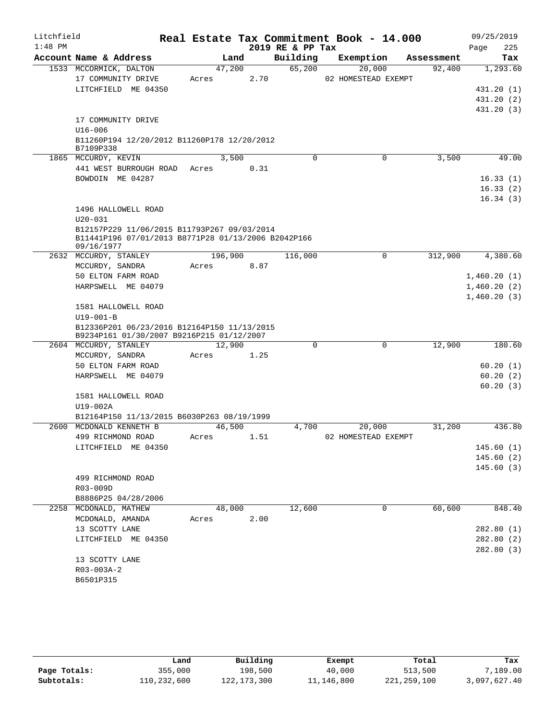| Litchfield |                                                                                          |         |      |                  | Real Estate Tax Commitment Book - 14.000 |            | 09/25/2019  |
|------------|------------------------------------------------------------------------------------------|---------|------|------------------|------------------------------------------|------------|-------------|
| $1:48$ PM  |                                                                                          |         |      | 2019 RE & PP Tax |                                          |            | 225<br>Page |
|            | Account Name & Address                                                                   | Land    |      | Building         | Exemption                                | Assessment | Tax         |
|            | 1533 MCCORMICK, DALTON                                                                   | 47,200  |      | 65,200           | 20,000                                   | 92,400     | 1,293.60    |
|            | 17 COMMUNITY DRIVE                                                                       | Acres   | 2.70 |                  | 02 HOMESTEAD EXEMPT                      |            |             |
|            | LITCHFIELD ME 04350                                                                      |         |      |                  |                                          |            | 431.20 (1)  |
|            |                                                                                          |         |      |                  |                                          |            | 431.20 (2)  |
|            |                                                                                          |         |      |                  |                                          |            | 431.20 (3)  |
|            | 17 COMMUNITY DRIVE<br>$U16 - 006$                                                        |         |      |                  |                                          |            |             |
|            | B11260P194 12/20/2012 B11260P178 12/20/2012                                              |         |      |                  |                                          |            |             |
|            | B7109P338                                                                                |         |      |                  |                                          |            |             |
|            | 1865 MCCURDY, KEVIN                                                                      | 3,500   |      | $\Omega$         | 0                                        | 3,500      | 49.00       |
|            | 441 WEST BURROUGH ROAD                                                                   | Acres   | 0.31 |                  |                                          |            |             |
|            | BOWDOIN ME 04287                                                                         |         |      |                  |                                          |            | 16.33(1)    |
|            |                                                                                          |         |      |                  |                                          |            | 16.33(2)    |
|            |                                                                                          |         |      |                  |                                          |            | 16.34(3)    |
|            | 1496 HALLOWELL ROAD                                                                      |         |      |                  |                                          |            |             |
|            | $U20 - 031$                                                                              |         |      |                  |                                          |            |             |
|            | B12157P229 11/06/2015 B11793P267 09/03/2014                                              |         |      |                  |                                          |            |             |
|            | B11441P196 07/01/2013 B8771P28 01/13/2006 B2042P166<br>09/16/1977                        |         |      |                  |                                          |            |             |
|            | 2632 MCCURDY, STANLEY                                                                    | 196,900 |      | 116,000          | 0                                        | 312,900    | 4,380.60    |
|            | MCCURDY, SANDRA                                                                          | Acres   | 8.87 |                  |                                          |            |             |
|            | 50 ELTON FARM ROAD                                                                       |         |      |                  |                                          |            | 1,460.20(1) |
|            | HARPSWELL ME 04079                                                                       |         |      |                  |                                          |            | 1,460.20(2) |
|            |                                                                                          |         |      |                  |                                          |            | 1,460.20(3) |
|            | 1581 HALLOWELL ROAD                                                                      |         |      |                  |                                          |            |             |
|            | $U19 - 001 - B$                                                                          |         |      |                  |                                          |            |             |
|            | B12336P201 06/23/2016 B12164P150 11/13/2015<br>B9234P161 01/30/2007 B9216P215 01/12/2007 |         |      |                  |                                          |            |             |
|            | 2604 MCCURDY, STANLEY                                                                    | 12,900  |      | $\Omega$         | 0                                        | 12,900     | 180.60      |
|            | MCCURDY, SANDRA                                                                          | Acres   | 1.25 |                  |                                          |            |             |
|            | 50 ELTON FARM ROAD                                                                       |         |      |                  |                                          |            | 60.20(1)    |
|            | HARPSWELL ME 04079                                                                       |         |      |                  |                                          |            | 60.20(2)    |
|            |                                                                                          |         |      |                  |                                          |            | 60.20(3)    |
|            | 1581 HALLOWELL ROAD                                                                      |         |      |                  |                                          |            |             |
|            | $U19-002A$                                                                               |         |      |                  |                                          |            |             |
|            | B12164P150 11/13/2015 B6030P263 08/19/1999                                               |         |      |                  |                                          |            |             |
| 2600       | MCDONALD KENNETH B                                                                       | 46,500  |      | 4,700            | 20,000                                   | 31,200     | 436.80      |
|            | 499 RICHMOND ROAD                                                                        | Acres   | 1.51 |                  | 02 HOMESTEAD EXEMPT                      |            | 145.60(1)   |
|            | LITCHFIELD ME 04350                                                                      |         |      |                  |                                          |            | 145.60(2)   |
|            |                                                                                          |         |      |                  |                                          |            | 145.60(3)   |
|            | 499 RICHMOND ROAD                                                                        |         |      |                  |                                          |            |             |
|            | R03-009D                                                                                 |         |      |                  |                                          |            |             |
|            | B8886P25 04/28/2006                                                                      |         |      |                  |                                          |            |             |
|            | 2258 MCDONALD, MATHEW                                                                    | 48,000  |      | 12,600           | 0                                        | 60,600     | 848.40      |
|            | MCDONALD, AMANDA                                                                         | Acres   | 2.00 |                  |                                          |            |             |
|            | 13 SCOTTY LANE                                                                           |         |      |                  |                                          |            | 282.80 (1)  |
|            | LITCHFIELD ME 04350                                                                      |         |      |                  |                                          |            | 282.80(2)   |
|            |                                                                                          |         |      |                  |                                          |            | 282.80 (3)  |
|            | 13 SCOTTY LANE                                                                           |         |      |                  |                                          |            |             |
|            | R03-003A-2                                                                               |         |      |                  |                                          |            |             |
|            | B6501P315                                                                                |         |      |                  |                                          |            |             |

|              | Land        | Building      | Exempt     | Total       | Tax          |
|--------------|-------------|---------------|------------|-------------|--------------|
| Page Totals: | 355,000     | 198,500       | 40,000     | 513,500     | 7,189.00     |
| Subtotals:   | 110,232,600 | 122, 173, 300 | 11,146,800 | 221,259,100 | 3,097,627.40 |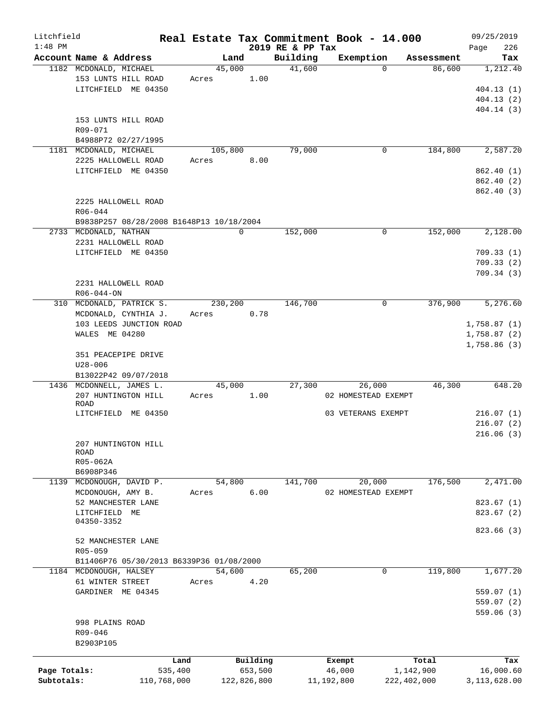| Litchfield   |                                                  |       |                |                    | Real Estate Tax Commitment Book - 14.000 |                      | 09/25/2019      |
|--------------|--------------------------------------------------|-------|----------------|--------------------|------------------------------------------|----------------------|-----------------|
| $1:48$ PM    |                                                  |       |                | 2019 RE & PP Tax   |                                          |                      | 226<br>Page     |
|              | Account Name & Address<br>1182 MCDONALD, MICHAEL |       | Land<br>45,000 | Building<br>41,600 | Exemption<br>$\Omega$                    | Assessment<br>86,600 | Tax<br>1,212.40 |
|              | 153 LUNTS HILL ROAD                              | Acres | 1.00           |                    |                                          |                      |                 |
|              | LITCHFIELD ME 04350                              |       |                |                    |                                          |                      | 404.13(1)       |
|              |                                                  |       |                |                    |                                          |                      | 404.13(2)       |
|              |                                                  |       |                |                    |                                          |                      | 404.14(3)       |
|              | 153 LUNTS HILL ROAD                              |       |                |                    |                                          |                      |                 |
|              | R09-071                                          |       |                |                    |                                          |                      |                 |
|              | B4988P72 02/27/1995                              |       |                |                    |                                          |                      |                 |
|              | 1181 MCDONALD, MICHAEL                           |       | 105,800        | 79,000             | 0                                        | 184,800              | 2,587.20        |
|              | 2225 HALLOWELL ROAD                              | Acres | 8.00           |                    |                                          |                      |                 |
|              | LITCHFIELD ME 04350                              |       |                |                    |                                          |                      | 862.40(1)       |
|              |                                                  |       |                |                    |                                          |                      | 862.40 (2)      |
|              |                                                  |       |                |                    |                                          |                      | 862.40 (3)      |
|              | 2225 HALLOWELL ROAD                              |       |                |                    |                                          |                      |                 |
|              | R06-044                                          |       |                |                    |                                          |                      |                 |
|              | B9838P257 08/28/2008 B1648P13 10/18/2004         |       |                |                    |                                          |                      |                 |
|              | 2733 MCDONALD, NATHAN                            |       | 0              | 152,000            | 0                                        | 152,000              | 2,128.00        |
|              | 2231 HALLOWELL ROAD                              |       |                |                    |                                          |                      |                 |
|              | LITCHFIELD ME 04350                              |       |                |                    |                                          |                      | 709.33(1)       |
|              |                                                  |       |                |                    |                                          |                      | 709.33(2)       |
|              |                                                  |       |                |                    |                                          |                      | 709.34(3)       |
|              | 2231 HALLOWELL ROAD                              |       |                |                    |                                          |                      |                 |
|              | $R06 - 044 - ON$                                 |       |                |                    |                                          |                      |                 |
|              | 310 MCDONALD, PATRICK S.                         |       | 230,200        | 146,700            | $\mathbf 0$                              | 376,900              | 5,276.60        |
|              | MCDONALD, CYNTHIA J.                             | Acres | 0.78           |                    |                                          |                      |                 |
|              | 103 LEEDS JUNCTION ROAD                          |       |                |                    |                                          |                      | 1,758.87(1)     |
|              | WALES ME 04280                                   |       |                |                    |                                          |                      | 1,758.87(2)     |
|              |                                                  |       |                |                    |                                          |                      | 1,758.86(3)     |
|              | 351 PEACEPIPE DRIVE                              |       |                |                    |                                          |                      |                 |
|              | $U28 - 006$                                      |       |                |                    |                                          |                      |                 |
|              | B13022P42 09/07/2018                             |       |                |                    |                                          |                      |                 |
|              | 1436 MCDONNELL, JAMES L.                         |       | 45,000         | 27,300             | 26,000                                   | 46,300               | 648.20          |
|              | 207 HUNTINGTON HILL                              | Acres | 1.00           |                    | 02 HOMESTEAD EXEMPT                      |                      |                 |
|              | ROAD                                             |       |                |                    |                                          |                      |                 |
|              | LITCHFIELD ME 04350                              |       |                |                    | 03 VETERANS EXEMPT                       |                      | 216.07(1)       |
|              |                                                  |       |                |                    |                                          |                      | 216.07(2)       |
|              | 207 HUNTINGTON HILL                              |       |                |                    |                                          |                      | 216.06(3)       |
|              | ROAD                                             |       |                |                    |                                          |                      |                 |
|              | R05-062A                                         |       |                |                    |                                          |                      |                 |
|              | B6908P346                                        |       |                |                    |                                          |                      |                 |
| 1139         | MCDONOUGH, DAVID P.                              |       | 54,800         | 141,700            | 20,000                                   | 176,500              | 2,471.00        |
|              | MCDONOUGH, AMY B.                                | Acres | 6.00           |                    | 02 HOMESTEAD EXEMPT                      |                      |                 |
|              | 52 MANCHESTER LANE                               |       |                |                    |                                          |                      | 823.67(1)       |
|              | LITCHFIELD ME                                    |       |                |                    |                                          |                      | 823.67(2)       |
|              | 04350-3352                                       |       |                |                    |                                          |                      |                 |
|              |                                                  |       |                |                    |                                          |                      | 823.66 (3)      |
|              | 52 MANCHESTER LANE                               |       |                |                    |                                          |                      |                 |
|              | R05-059                                          |       |                |                    |                                          |                      |                 |
|              | B11406P76 05/30/2013 B6339P36 01/08/2000         |       |                |                    |                                          |                      |                 |
|              | 1184 MCDONOUGH, HALSEY                           |       | 54,600         | 65,200             | 0                                        | 119,800              | 1,677.20        |
|              | 61 WINTER STREET                                 | Acres | 4.20           |                    |                                          |                      |                 |
|              | GARDINER ME 04345                                |       |                |                    |                                          |                      | 559.07(1)       |
|              |                                                  |       |                |                    |                                          |                      | 559.07(2)       |
|              |                                                  |       |                |                    |                                          |                      | 559.06(3)       |
|              | 998 PLAINS ROAD                                  |       |                |                    |                                          |                      |                 |
|              | R09-046                                          |       |                |                    |                                          |                      |                 |
|              | B2903P105                                        |       |                |                    |                                          |                      |                 |
|              |                                                  | Land  | Building       |                    | Exempt                                   | Total                | Tax             |
| Page Totals: | 535,400                                          |       | 653,500        |                    | 46,000                                   | 1,142,900            | 16,000.60       |
| Subtotals:   | 110,768,000                                      |       | 122,826,800    |                    | 11,192,800                               | 222,402,000          | 3,113,628.00    |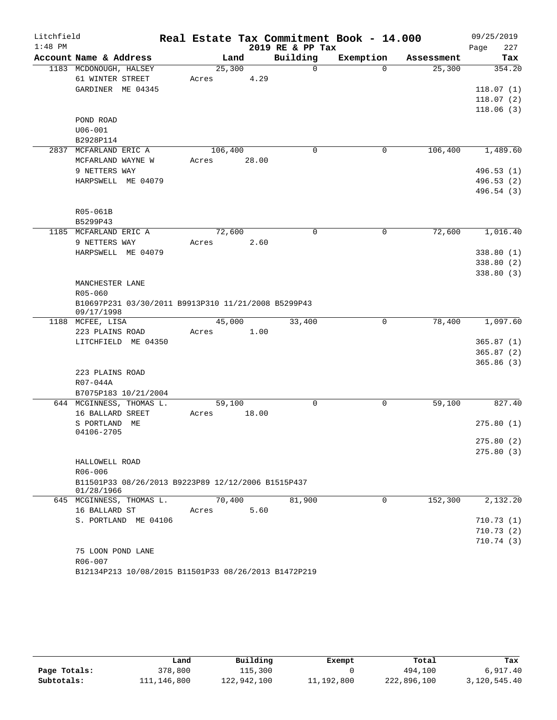| Litchfield<br>$1:48$ PM |                                                                   |         |       |                              | Real Estate Tax Commitment Book - 14.000 |            | 09/25/2019         |
|-------------------------|-------------------------------------------------------------------|---------|-------|------------------------------|------------------------------------------|------------|--------------------|
|                         | Account Name & Address                                            | Land    |       | 2019 RE & PP Tax<br>Building | Exemption                                | Assessment | 227<br>Page<br>Tax |
|                         | 1183 MCDONOUGH, HALSEY                                            | 25,300  |       | $\Omega$                     | $\Omega$                                 | 25,300     | 354.20             |
|                         | 61 WINTER STREET                                                  | Acres   | 4.29  |                              |                                          |            |                    |
|                         | GARDINER ME 04345                                                 |         |       |                              |                                          |            | 118.07(1)          |
|                         |                                                                   |         |       |                              |                                          |            | 118.07(2)          |
|                         |                                                                   |         |       |                              |                                          |            | 118.06(3)          |
|                         | POND ROAD                                                         |         |       |                              |                                          |            |                    |
|                         | $U06 - 001$                                                       |         |       |                              |                                          |            |                    |
|                         | B2928P114                                                         |         |       |                              |                                          |            |                    |
|                         | 2837 MCFARLAND ERIC A                                             | 106,400 |       | $\Omega$                     | 0                                        | 106,400    | 1,489.60           |
|                         | MCFARLAND WAYNE W                                                 | Acres   | 28.00 |                              |                                          |            |                    |
|                         | 9 NETTERS WAY                                                     |         |       |                              |                                          |            | 496.53(1)          |
|                         | HARPSWELL ME 04079                                                |         |       |                              |                                          |            | 496.53(2)          |
|                         |                                                                   |         |       |                              |                                          |            | 496.54 (3)         |
|                         |                                                                   |         |       |                              |                                          |            |                    |
|                         | R05-061B                                                          |         |       |                              |                                          |            |                    |
|                         | B5299P43                                                          |         |       |                              |                                          |            |                    |
|                         | 1185 MCFARLAND ERIC A                                             | 72,600  |       | $\Omega$                     | 0                                        | 72,600     | 1,016.40           |
|                         | 9 NETTERS WAY                                                     | Acres   | 2.60  |                              |                                          |            |                    |
|                         | HARPSWELL ME 04079                                                |         |       |                              |                                          |            | 338.80(1)          |
|                         |                                                                   |         |       |                              |                                          |            | 338.80(2)          |
|                         |                                                                   |         |       |                              |                                          |            | 338.80(3)          |
|                         | MANCHESTER LANE                                                   |         |       |                              |                                          |            |                    |
|                         | $R05 - 060$                                                       |         |       |                              |                                          |            |                    |
|                         | B10697P231 03/30/2011 B9913P310 11/21/2008 B5299P43<br>09/17/1998 |         |       |                              |                                          |            |                    |
|                         | 1188 MCFEE, LISA                                                  | 45,000  |       | 33,400                       | 0                                        | 78,400     | 1,097.60           |
|                         | 223 PLAINS ROAD                                                   | Acres   | 1.00  |                              |                                          |            |                    |
|                         | LITCHFIELD ME 04350                                               |         |       |                              |                                          |            | 365.87(1)          |
|                         |                                                                   |         |       |                              |                                          |            | 365.87(2)          |
|                         |                                                                   |         |       |                              |                                          |            | 365.86(3)          |
|                         | 223 PLAINS ROAD                                                   |         |       |                              |                                          |            |                    |
|                         | R07-044A                                                          |         |       |                              |                                          |            |                    |
|                         | B7075P183 10/21/2004                                              |         |       |                              |                                          |            |                    |
|                         | 644 MCGINNESS, THOMAS L.                                          | 59,100  |       | $\mathbf 0$                  | $\mathbf 0$                              | 59,100     | 827.40             |
|                         | 16 BALLARD SREET                                                  | Acres   | 18.00 |                              |                                          |            |                    |
|                         | S PORTLAND<br>ME                                                  |         |       |                              |                                          |            | 275.80(1)          |
|                         | 04106-2705                                                        |         |       |                              |                                          |            |                    |
|                         |                                                                   |         |       |                              |                                          |            | 275.80(2)          |
|                         |                                                                   |         |       |                              |                                          |            | 275.80(3)          |
|                         | HALLOWELL ROAD<br>R06-006                                         |         |       |                              |                                          |            |                    |
|                         | B11501P33 08/26/2013 B9223P89 12/12/2006 B1515P437                |         |       |                              |                                          |            |                    |
|                         | 01/28/1966                                                        |         |       |                              |                                          |            |                    |
|                         | 645 MCGINNESS, THOMAS L.                                          | 70,400  |       | 81,900                       | $\Omega$                                 | 152,300    | 2,132.20           |
|                         | 16 BALLARD ST                                                     | Acres   | 5.60  |                              |                                          |            |                    |
|                         | S. PORTLAND ME 04106                                              |         |       |                              |                                          |            | 710.73(1)          |
|                         |                                                                   |         |       |                              |                                          |            | 710.73(2)          |
|                         |                                                                   |         |       |                              |                                          |            | 710.74(3)          |
|                         | 75 LOON POND LANE                                                 |         |       |                              |                                          |            |                    |
|                         | R06-007                                                           |         |       |                              |                                          |            |                    |
|                         | B12134P213 10/08/2015 B11501P33 08/26/2013 B1472P219              |         |       |                              |                                          |            |                    |

|              | Land        | Building    | Exempt     | Total       | Tax          |
|--------------|-------------|-------------|------------|-------------|--------------|
| Page Totals: | 378,800     | 115,300     |            | 494,100     | 6.917.40     |
| Subtotals:   | 111,146,800 | 122,942,100 | 11,192,800 | 222,896,100 | 3,120,545.40 |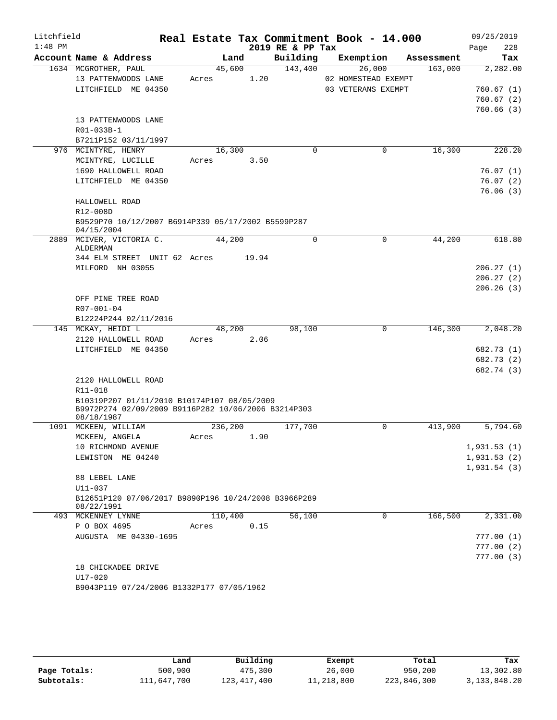| Litchfield |                                                                  |       |         |       |                  | Real Estate Tax Commitment Book - 14.000 |            | 09/25/2019  |
|------------|------------------------------------------------------------------|-------|---------|-------|------------------|------------------------------------------|------------|-------------|
| $1:48$ PM  |                                                                  |       |         |       | 2019 RE & PP Tax |                                          |            | 228<br>Page |
|            | Account Name & Address                                           |       | Land    |       | Building         | Exemption                                | Assessment | Tax         |
|            | 1634 MCGROTHER, PAUL                                             |       | 45,600  |       | 143,400          | 26,000                                   | 163,000    | 2,282.00    |
|            | 13 PATTENWOODS LANE                                              | Acres |         | 1.20  |                  | 02 HOMESTEAD EXEMPT                      |            |             |
|            | LITCHFIELD ME 04350                                              |       |         |       |                  | 03 VETERANS EXEMPT                       |            | 760.67(1)   |
|            |                                                                  |       |         |       |                  |                                          |            | 760.67(2)   |
|            |                                                                  |       |         |       |                  |                                          |            | 760.66(3)   |
|            | 13 PATTENWOODS LANE                                              |       |         |       |                  |                                          |            |             |
|            | R01-033B-1                                                       |       |         |       |                  |                                          |            |             |
|            | B7211P152 03/11/1997                                             |       |         |       |                  |                                          |            |             |
|            | 976 MCINTYRE, HENRY                                              |       | 16,300  |       | $\mathbf 0$      | $\mathbf 0$                              | 16,300     | 228.20      |
|            | MCINTYRE, LUCILLE                                                | Acres |         | 3.50  |                  |                                          |            |             |
|            | 1690 HALLOWELL ROAD                                              |       |         |       |                  |                                          |            | 76.07(1)    |
|            | LITCHFIELD ME 04350                                              |       |         |       |                  |                                          |            | 76.07(2)    |
|            |                                                                  |       |         |       |                  |                                          |            | 76.06(3)    |
|            | HALLOWELL ROAD                                                   |       |         |       |                  |                                          |            |             |
|            | R12-008D                                                         |       |         |       |                  |                                          |            |             |
|            | B9529P70 10/12/2007 B6914P339 05/17/2002 B5599P287<br>04/15/2004 |       |         |       |                  |                                          |            |             |
|            | 2889 MCIVER, VICTORIA C.                                         |       | 44,200  |       | 0                | $\mathbf 0$                              | 44,200     | 618.80      |
|            | ALDERMAN                                                         |       |         |       |                  |                                          |            |             |
|            | 344 ELM STREET UNIT 62 Acres                                     |       |         | 19.94 |                  |                                          |            |             |
|            | MILFORD NH 03055                                                 |       |         |       |                  |                                          |            | 206.27(1)   |
|            |                                                                  |       |         |       |                  |                                          |            | 206.27(2)   |
|            |                                                                  |       |         |       |                  |                                          |            | 206.26(3)   |
|            | OFF PINE TREE ROAD                                               |       |         |       |                  |                                          |            |             |
|            | R07-001-04                                                       |       |         |       |                  |                                          |            |             |
|            | B12224P244 02/11/2016                                            |       |         |       |                  |                                          |            |             |
|            | 145 MCKAY, HEIDI L                                               |       | 48,200  |       | 98,100           | $\mathbf 0$                              | 146,300    | 2,048.20    |
|            | 2120 HALLOWELL ROAD                                              | Acres |         | 2.06  |                  |                                          |            |             |
|            | LITCHFIELD ME 04350                                              |       |         |       |                  |                                          |            | 682.73 (1)  |
|            |                                                                  |       |         |       |                  |                                          |            | 682.73 (2)  |
|            |                                                                  |       |         |       |                  |                                          |            | 682.74 (3)  |
|            | 2120 HALLOWELL ROAD                                              |       |         |       |                  |                                          |            |             |
|            | R11-018                                                          |       |         |       |                  |                                          |            |             |
|            | B10319P207 01/11/2010 B10174P107 08/05/2009                      |       |         |       |                  |                                          |            |             |
|            | B9972P274 02/09/2009 B9116P282 10/06/2006 B3214P303              |       |         |       |                  |                                          |            |             |
|            | 08/18/1987<br>1091 MCKEEN, WILLIAM                               |       | 236,200 |       | 177,700          | 0                                        | 413,900    | 5,794.60    |
|            | MCKEEN, ANGELA                                                   | Acres |         | 1.90  |                  |                                          |            |             |
|            | 10 RICHMOND AVENUE                                               |       |         |       |                  |                                          |            | 1,931.53(1) |
|            | LEWISTON ME 04240                                                |       |         |       |                  |                                          |            | 1,931.53(2) |
|            |                                                                  |       |         |       |                  |                                          |            | 1,931.54(3) |
|            | 88 LEBEL LANE                                                    |       |         |       |                  |                                          |            |             |
|            | $U11 - 037$                                                      |       |         |       |                  |                                          |            |             |
|            | B12651P120 07/06/2017 B9890P196 10/24/2008 B3966P289             |       |         |       |                  |                                          |            |             |
|            | 08/22/1991                                                       |       |         |       |                  |                                          |            |             |
|            | 493 MCKENNEY LYNNE                                               |       | 110,400 |       | 56,100           | $\Omega$                                 | 166,500    | 2,331.00    |
|            | P O BOX 4695                                                     | Acres |         | 0.15  |                  |                                          |            |             |
|            | AUGUSTA ME 04330-1695                                            |       |         |       |                  |                                          |            | 777.00(1)   |
|            |                                                                  |       |         |       |                  |                                          |            | 777.00(2)   |
|            |                                                                  |       |         |       |                  |                                          |            | 777.00(3)   |
|            | 18 CHICKADEE DRIVE                                               |       |         |       |                  |                                          |            |             |
|            | $U17 - 020$                                                      |       |         |       |                  |                                          |            |             |
|            | B9043P119 07/24/2006 B1332P177 07/05/1962                        |       |         |       |                  |                                          |            |             |

|              | Land        | Building      | Exempt     | Total       | Tax             |
|--------------|-------------|---------------|------------|-------------|-----------------|
| Page Totals: | 500,900     | 475,300       | 26,000     | 950,200     | 13,302.80       |
| Subtotals:   | 111,647,700 | 123, 417, 400 | 11,218,800 | 223,846,300 | 3, 133, 848. 20 |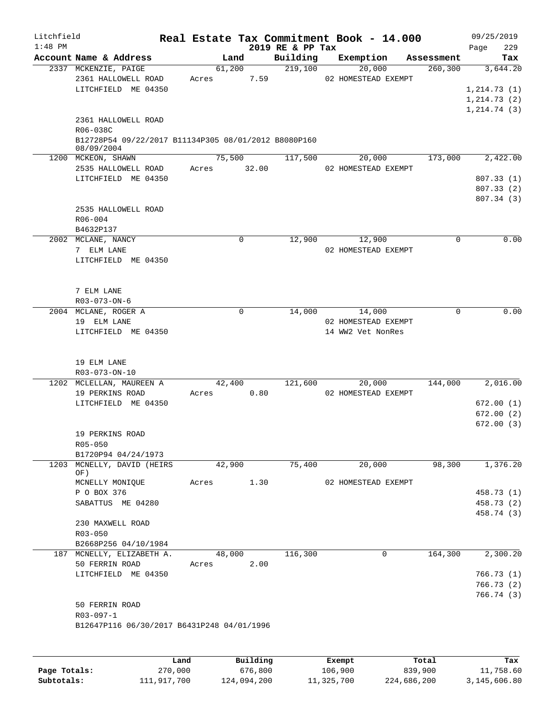| Litchfield |                                                                    |        |             |                  | Real Estate Tax Commitment Book - 14.000 |            | 09/25/2019   |      |
|------------|--------------------------------------------------------------------|--------|-------------|------------------|------------------------------------------|------------|--------------|------|
| $1:48$ PM  |                                                                    |        |             | 2019 RE & PP Tax |                                          |            | Page         | 229  |
|            | Account Name & Address                                             |        | Land        | Building         | Exemption                                | Assessment |              | Tax  |
|            | 2337 MCKENZIE, PAIGE                                               |        | 61,200      | 219,100          | 20,000                                   | 260, 300   | 3,644.20     |      |
|            | 2361 HALLOWELL ROAD                                                | Acres  | 7.59        |                  | 02 HOMESTEAD EXEMPT                      |            |              |      |
|            | LITCHFIELD ME 04350                                                |        |             |                  |                                          |            | 1, 214.73(1) |      |
|            |                                                                    |        |             |                  |                                          |            | 1, 214.73(2) |      |
|            |                                                                    |        |             |                  |                                          |            | 1, 214.74(3) |      |
|            | 2361 HALLOWELL ROAD                                                |        |             |                  |                                          |            |              |      |
|            | R06-038C                                                           |        |             |                  |                                          |            |              |      |
|            | B12728P54 09/22/2017 B11134P305 08/01/2012 B8080P160<br>08/09/2004 |        |             |                  |                                          |            |              |      |
|            | 1200 MCKEON, SHAWN                                                 |        | 75,500      | 117,500          | 20,000                                   | 173,000    | 2,422.00     |      |
|            | 2535 HALLOWELL ROAD                                                | Acres  | 32.00       |                  | 02 HOMESTEAD EXEMPT                      |            |              |      |
|            | LITCHFIELD ME 04350                                                |        |             |                  |                                          |            | 807.33 (1)   |      |
|            |                                                                    |        |             |                  |                                          |            | 807.33(2)    |      |
|            |                                                                    |        |             |                  |                                          |            | 807.34 (3)   |      |
|            | 2535 HALLOWELL ROAD                                                |        |             |                  |                                          |            |              |      |
|            | $R06 - 004$                                                        |        |             |                  |                                          |            |              |      |
|            | B4632P137                                                          |        |             |                  |                                          |            |              |      |
|            | 2002 MCLANE, NANCY                                                 |        | $\mathbf 0$ | 12,900           | 12,900                                   | 0          |              | 0.00 |
|            | 7 ELM LANE                                                         |        |             |                  | 02 HOMESTEAD EXEMPT                      |            |              |      |
|            | LITCHFIELD ME 04350                                                |        |             |                  |                                          |            |              |      |
|            |                                                                    |        |             |                  |                                          |            |              |      |
|            |                                                                    |        |             |                  |                                          |            |              |      |
|            | 7 ELM LANE                                                         |        |             |                  |                                          |            |              |      |
|            | R03-073-ON-6                                                       |        |             |                  |                                          |            |              |      |
|            | 2004 MCLANE, ROGER A                                               |        | $\mathbf 0$ | 14,000           | 14,000                                   | 0          |              | 0.00 |
|            | 19 ELM LANE                                                        |        |             |                  | 02 HOMESTEAD EXEMPT                      |            |              |      |
|            | LITCHFIELD ME 04350                                                |        |             |                  | 14 WW2 Vet NonRes                        |            |              |      |
|            |                                                                    |        |             |                  |                                          |            |              |      |
|            |                                                                    |        |             |                  |                                          |            |              |      |
|            | 19 ELM LANE                                                        |        |             |                  |                                          |            |              |      |
|            | R03-073-ON-10                                                      |        |             |                  |                                          |            |              |      |
|            | 1202 MCLELLAN, MAUREEN A                                           |        | 42,400      | 121,600          | 20,000                                   | 144,000    | 2,016.00     |      |
|            | 19 PERKINS ROAD                                                    | Acres  | 0.80        |                  | 02 HOMESTEAD EXEMPT                      |            |              |      |
|            | LITCHFIELD ME 04350                                                |        |             |                  |                                          |            | 672.00(1)    |      |
|            |                                                                    |        |             |                  |                                          |            | 672.00(2)    |      |
|            |                                                                    |        |             |                  |                                          |            | 672.00(3)    |      |
|            | 19 PERKINS ROAD                                                    |        |             |                  |                                          |            |              |      |
|            | R05-050                                                            |        |             |                  |                                          |            |              |      |
|            | B1720P94 04/24/1973                                                |        |             |                  |                                          |            |              |      |
| 1203       | MCNELLY, DAVID (HEIRS                                              |        | 42,900      | 75,400           | 20,000                                   | 98,300     | 1,376.20     |      |
|            | OF)<br>MCNELLY MONIQUE                                             | Acres  | 1.30        |                  | 02 HOMESTEAD EXEMPT                      |            |              |      |
|            | P O BOX 376                                                        |        |             |                  |                                          |            | 458.73 (1)   |      |
|            | SABATTUS ME 04280                                                  |        |             |                  |                                          |            | 458.73 (2)   |      |
|            |                                                                    |        |             |                  |                                          |            | 458.74 (3)   |      |
|            | 230 MAXWELL ROAD                                                   |        |             |                  |                                          |            |              |      |
|            | R03-050                                                            |        |             |                  |                                          |            |              |      |
|            | B2668P256 04/10/1984                                               |        |             |                  |                                          |            |              |      |
|            | 187 MCNELLY, ELIZABETH A.                                          | 48,000 |             | 116,300          | $\mathbf 0$                              | 164,300    | 2,300.20     |      |
|            | 50 FERRIN ROAD                                                     | Acres  | 2.00        |                  |                                          |            |              |      |
|            | LITCHFIELD ME 04350                                                |        |             |                  |                                          |            | 766.73(1)    |      |
|            |                                                                    |        |             |                  |                                          |            | 766.73 (2)   |      |
|            |                                                                    |        |             |                  |                                          |            | 766.74 (3)   |      |
|            | 50 FERRIN ROAD                                                     |        |             |                  |                                          |            |              |      |
|            | R03-097-1                                                          |        |             |                  |                                          |            |              |      |
|            | B12647P116 06/30/2017 B6431P248 04/01/1996                         |        |             |                  |                                          |            |              |      |
|            |                                                                    |        |             |                  |                                          |            |              |      |
|            |                                                                    |        |             |                  |                                          |            |              |      |
|            |                                                                    |        |             |                  |                                          |            |              |      |

|              | Land        | Building    | Exempt     | Total       | Tax          |
|--------------|-------------|-------------|------------|-------------|--------------|
| Page Totals: | 270,000     | 676,800     | 106,900    | 839,900     | 11,758.60    |
| Subtotals:   | 111,917,700 | 124,094,200 | 11,325,700 | 224,686,200 | 3,145,606.80 |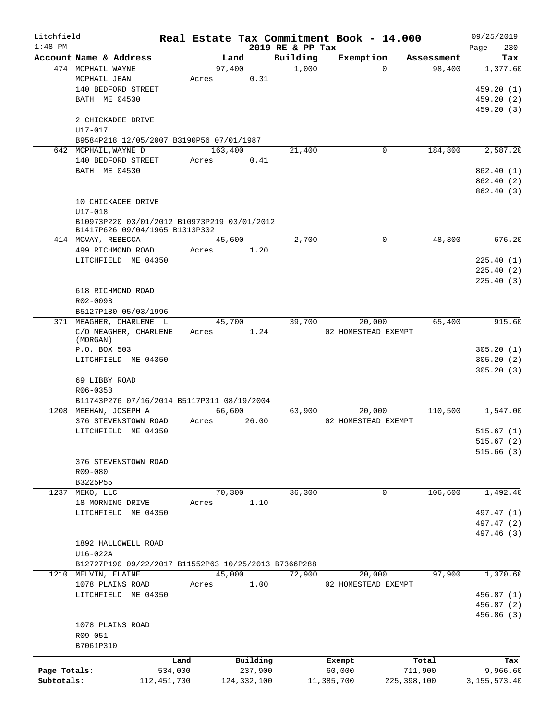| Litchfield   |                                                      |         |                |               |                  | Real Estate Tax Commitment Book - 14.000 |               |            | 09/25/2019   |          |
|--------------|------------------------------------------------------|---------|----------------|---------------|------------------|------------------------------------------|---------------|------------|--------------|----------|
| $1:48$ PM    |                                                      |         |                |               | 2019 RE & PP Tax |                                          |               |            | Page         | 230      |
|              | Account Name & Address                               |         | Land<br>97,400 |               | Building         | Exemption                                | $\Omega$      | Assessment |              | Tax      |
|              | 474 MCPHAIL WAYNE<br>MCPHAIL JEAN                    |         |                |               | 1,000            |                                          |               | 98,400     | 1,377.60     |          |
|              |                                                      | Acres   |                | 0.31          |                  |                                          |               |            |              |          |
|              | 140 BEDFORD STREET                                   |         |                |               |                  |                                          |               |            | 459.20(1)    |          |
|              | BATH ME 04530                                        |         |                |               |                  |                                          |               |            | 459.20 (2)   |          |
|              |                                                      |         |                |               |                  |                                          |               |            | 459.20 (3)   |          |
|              | 2 CHICKADEE DRIVE                                    |         |                |               |                  |                                          |               |            |              |          |
|              | U17-017                                              |         |                |               |                  |                                          |               |            |              |          |
|              | B9584P218 12/05/2007 B3190P56 07/01/1987             |         |                |               |                  |                                          |               |            |              |          |
|              | 642 MCPHAIL, WAYNE D                                 |         | 163,400        |               | 21,400           |                                          | 0             | 184,800    |              | 2,587.20 |
|              | 140 BEDFORD STREET                                   | Acres   |                | 0.41          |                  |                                          |               |            |              |          |
|              | BATH ME 04530                                        |         |                |               |                  |                                          |               |            | 862.40(1)    |          |
|              |                                                      |         |                |               |                  |                                          |               |            | 862.40 (2)   |          |
|              |                                                      |         |                |               |                  |                                          |               |            | 862.40 (3)   |          |
|              | 10 CHICKADEE DRIVE                                   |         |                |               |                  |                                          |               |            |              |          |
|              | $U17 - 018$                                          |         |                |               |                  |                                          |               |            |              |          |
|              | B10973P220 03/01/2012 B10973P219 03/01/2012          |         |                |               |                  |                                          |               |            |              |          |
|              | B1417P626 09/04/1965 B1313P302                       |         |                |               |                  |                                          |               |            |              | 676.20   |
|              | 414 MCVAY, REBECCA                                   |         | 45,600         |               | 2,700            |                                          | 0             | 48,300     |              |          |
|              | 499 RICHMOND ROAD                                    | Acres   |                | 1.20          |                  |                                          |               |            |              |          |
|              | LITCHFIELD ME 04350                                  |         |                |               |                  |                                          |               |            | 225.40(1)    |          |
|              |                                                      |         |                |               |                  |                                          |               |            | 225.40(2)    |          |
|              |                                                      |         |                |               |                  |                                          |               |            | 225.40(3)    |          |
|              | 618 RICHMOND ROAD                                    |         |                |               |                  |                                          |               |            |              |          |
|              | R02-009B                                             |         |                |               |                  |                                          |               |            |              |          |
|              | B5127P180 05/03/1996                                 |         |                |               |                  |                                          |               |            |              |          |
|              | 371 MEAGHER, CHARLENE L                              |         | 45,700         |               | 39,700           | 20,000                                   |               | 65,400     |              | 915.60   |
|              | C/O MEAGHER, CHARLENE                                | Acres   |                | 1.24          |                  | 02 HOMESTEAD EXEMPT                      |               |            |              |          |
|              | (MORGAN)                                             |         |                |               |                  |                                          |               |            |              |          |
|              | P.O. BOX 503                                         |         |                |               |                  |                                          |               |            | 305.20(1)    |          |
|              | LITCHFIELD ME 04350                                  |         |                |               |                  |                                          |               |            | 305.20(2)    |          |
|              |                                                      |         |                |               |                  |                                          |               |            | 305.20(3)    |          |
|              | 69 LIBBY ROAD                                        |         |                |               |                  |                                          |               |            |              |          |
|              | R06-035B                                             |         |                |               |                  |                                          |               |            |              |          |
|              | B11743P276 07/16/2014 B5117P311 08/19/2004           |         |                |               |                  |                                          |               |            |              |          |
|              | 1208 MEEHAN, JOSEPH A                                |         | 66,600         |               | 63,900           | 20,000                                   |               | 110,500    |              | 1,547.00 |
|              | 376 STEVENSTOWN ROAD                                 | Acres   |                | 26.00         |                  | 02 HOMESTEAD EXEMPT                      |               |            |              |          |
|              | LITCHFIELD ME 04350                                  |         |                |               |                  |                                          |               |            | 515.67(1)    |          |
|              |                                                      |         |                |               |                  |                                          |               |            | 515.67(2)    |          |
|              |                                                      |         |                |               |                  |                                          |               |            | 515.66(3)    |          |
|              | 376 STEVENSTOWN ROAD                                 |         |                |               |                  |                                          |               |            |              |          |
|              | R09-080                                              |         |                |               |                  |                                          |               |            |              |          |
|              | B3225P55                                             |         |                |               |                  |                                          |               |            |              |          |
| 1237         | MEKO, LLC                                            |         | 70,300         |               | 36,300           |                                          | 0             | 106,600    |              | 1,492.40 |
|              | 18 MORNING DRIVE                                     | Acres   |                | 1.10          |                  |                                          |               |            |              |          |
|              | ME 04350<br>LITCHFIELD                               |         |                |               |                  |                                          |               |            | 497.47 (1)   |          |
|              |                                                      |         |                |               |                  |                                          |               |            | 497.47 (2)   |          |
|              |                                                      |         |                |               |                  |                                          |               |            | 497.46 (3)   |          |
|              | 1892 HALLOWELL ROAD                                  |         |                |               |                  |                                          |               |            |              |          |
|              | U16-022A                                             |         |                |               |                  |                                          |               |            |              |          |
|              | B12727P190 09/22/2017 B11552P63 10/25/2013 B7366P288 |         |                |               |                  |                                          |               |            |              |          |
|              | 1210 MELVIN, ELAINE                                  |         | 45,000         |               | 72,900           | 20,000                                   |               | 97,900     |              | 1,370.60 |
|              | 1078 PLAINS ROAD                                     | Acres   |                | 1.00          |                  | 02 HOMESTEAD EXEMPT                      |               |            |              |          |
|              | LITCHFIELD ME 04350                                  |         |                |               |                  |                                          |               |            | 456.87 (1)   |          |
|              |                                                      |         |                |               |                  |                                          |               |            | 456.87 (2)   |          |
|              |                                                      |         |                |               |                  |                                          |               |            | 456.86 (3)   |          |
|              | 1078 PLAINS ROAD                                     |         |                |               |                  |                                          |               |            |              |          |
|              | R09-051                                              |         |                |               |                  |                                          |               |            |              |          |
|              | B7061P310                                            |         |                |               |                  |                                          |               |            |              |          |
|              |                                                      | Land    |                | Building      |                  | Exempt                                   |               | Total      |              | Tax      |
| Page Totals: |                                                      | 534,000 |                | 237,900       |                  | 60,000                                   | 711,900       |            |              | 9,966.60 |
| Subtotals:   | 112, 451, 700                                        |         |                | 124, 332, 100 |                  | 11,385,700                               | 225, 398, 100 |            |              |          |
|              |                                                      |         |                |               |                  |                                          |               |            | 3,155,573.40 |          |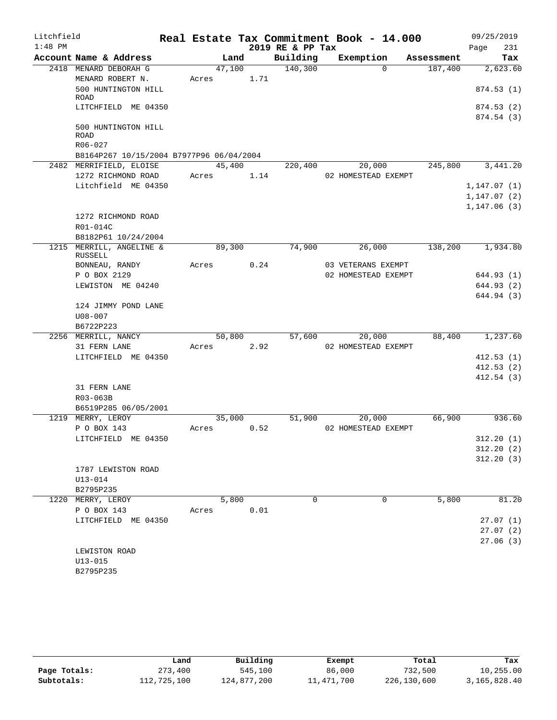| Litchfield |                                                 |        |      |                  | Real Estate Tax Commitment Book - 14.000 |            | 09/25/2019           |
|------------|-------------------------------------------------|--------|------|------------------|------------------------------------------|------------|----------------------|
| $1:48$ PM  |                                                 |        |      | 2019 RE & PP Tax |                                          |            | 231<br>Page          |
|            | Account Name & Address                          | Land   |      | Building         | Exemption                                | Assessment | Tax                  |
|            | 2418 MENARD DEBORAH G                           | 47,100 |      | 140,300          | $\Omega$                                 | 187,400    | 2,623.60             |
|            | MENARD ROBERT N.                                | Acres  | 1.71 |                  |                                          |            |                      |
|            | 500 HUNTINGTON HILL<br>ROAD                     |        |      |                  |                                          |            | 874.53(1)            |
|            | LITCHFIELD ME 04350                             |        |      |                  |                                          |            | 874.53(2)            |
|            |                                                 |        |      |                  |                                          |            | 874.54 (3)           |
|            | 500 HUNTINGTON HILL                             |        |      |                  |                                          |            |                      |
|            | <b>ROAD</b><br>R06-027                          |        |      |                  |                                          |            |                      |
|            | B8164P267 10/15/2004 B7977P96 06/04/2004        |        |      |                  |                                          |            |                      |
|            | 2482 MERRIFIELD, ELOISE                         | 45,400 |      | 220,400          | 20,000                                   | 245,800    | 3,441.20             |
|            | 1272 RICHMOND ROAD                              | Acres  | 1.14 |                  | 02 HOMESTEAD EXEMPT                      |            |                      |
|            | Litchfield ME 04350                             |        |      |                  |                                          |            | 1, 147.07(1)         |
|            |                                                 |        |      |                  |                                          |            | 1, 147.07(2)         |
|            |                                                 |        |      |                  |                                          |            | 1, 147.06(3)         |
|            | 1272 RICHMOND ROAD                              |        |      |                  |                                          |            |                      |
|            | R01-014C                                        |        |      |                  |                                          |            |                      |
|            | B8182P61 10/24/2004<br>1215 MERRILL, ANGELINE & | 89,300 |      | 74,900           | 26,000                                   | 138,200    | 1,934.80             |
|            | RUSSELL                                         |        |      |                  |                                          |            |                      |
|            | BONNEAU, RANDY                                  | Acres  | 0.24 |                  | 03 VETERANS EXEMPT                       |            |                      |
|            | P O BOX 2129                                    |        |      |                  | 02 HOMESTEAD EXEMPT                      |            | 644.93 (1)           |
|            | LEWISTON ME 04240                               |        |      |                  |                                          |            | 644.93 (2)           |
|            |                                                 |        |      |                  |                                          |            | 644.94 (3)           |
|            | 124 JIMMY POND LANE                             |        |      |                  |                                          |            |                      |
|            | $U08 - 007$<br>B6722P223                        |        |      |                  |                                          |            |                      |
|            | 2256 MERRILL, NANCY                             | 50,800 |      | 57,600           | 20,000                                   | 88,400     | 1,237.60             |
|            | 31 FERN LANE                                    | Acres  | 2.92 |                  | 02 HOMESTEAD EXEMPT                      |            |                      |
|            | LITCHFIELD ME 04350                             |        |      |                  |                                          |            | 412.53(1)            |
|            |                                                 |        |      |                  |                                          |            | 412.53(2)            |
|            |                                                 |        |      |                  |                                          |            | 412.54(3)            |
|            | 31 FERN LANE                                    |        |      |                  |                                          |            |                      |
|            | R03-063B                                        |        |      |                  |                                          |            |                      |
|            | B6519P285 06/05/2001                            | 35,000 |      |                  |                                          | 66,900     | 936.60               |
|            | 1219 MERRY, LEROY<br>P O BOX 143                | Acres  | 0.52 | 51,900           | 20,000<br>02 HOMESTEAD EXEMPT            |            |                      |
|            | LITCHFIELD ME 04350                             |        |      |                  |                                          |            | 312.20(1)            |
|            |                                                 |        |      |                  |                                          |            | 312.20(2)            |
|            |                                                 |        |      |                  |                                          |            | 312.20(3)            |
|            | 1787 LEWISTON ROAD                              |        |      |                  |                                          |            |                      |
|            | $U13 - 014$                                     |        |      |                  |                                          |            |                      |
|            | B2795P235                                       |        |      |                  |                                          |            |                      |
|            | 1220 MERRY, LEROY                               | 5,800  |      | $\Omega$         | $\mathbf 0$                              | 5,800      | 81.20                |
|            | P O BOX 143                                     | Acres  | 0.01 |                  |                                          |            |                      |
|            | LITCHFIELD ME 04350                             |        |      |                  |                                          |            | 27.07(1)<br>27.07(2) |
|            |                                                 |        |      |                  |                                          |            | 27.06(3)             |
|            | LEWISTON ROAD                                   |        |      |                  |                                          |            |                      |
|            | $U13 - 015$                                     |        |      |                  |                                          |            |                      |
|            | B2795P235                                       |        |      |                  |                                          |            |                      |

|              | Land        | Building    | Exempt     | Total       | Tax          |
|--------------|-------------|-------------|------------|-------------|--------------|
| Page Totals: | 273,400     | 545,100     | 86,000     | 732,500     | 10,255.00    |
| Subtotals:   | 112,725,100 | 124,877,200 | 11,471,700 | 226,130,600 | 3,165,828.40 |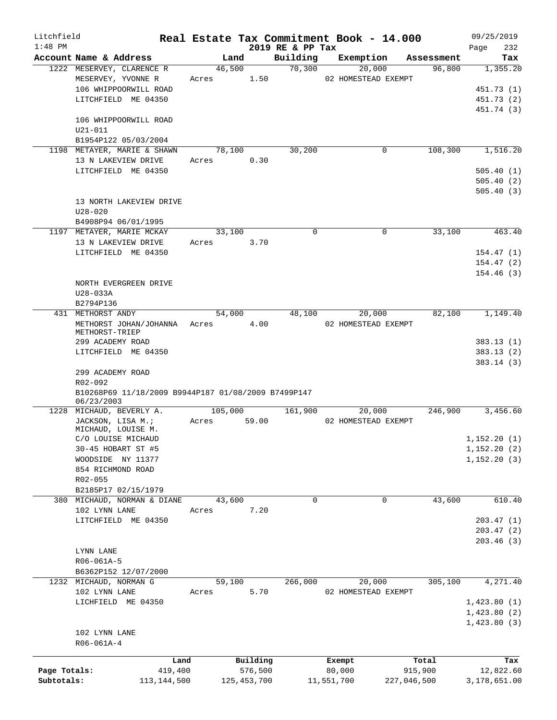| Litchfield   |                                                     |       |         |               |                              |            | Real Estate Tax Commitment Book - 14.000 |            | 09/25/2019             |
|--------------|-----------------------------------------------------|-------|---------|---------------|------------------------------|------------|------------------------------------------|------------|------------------------|
| $1:48$ PM    | Account Name & Address                              |       | Land    |               | 2019 RE & PP Tax<br>Building |            | Exemption                                | Assessment | 232<br>Page<br>Tax     |
|              | 1222 MESERVEY, CLARENCE R                           |       | 46,500  |               | 70,300                       |            | 20,000                                   | 96,800     | 1,355.20               |
|              | MESERVEY, YVONNE R                                  | Acres |         | 1.50          |                              |            | 02 HOMESTEAD EXEMPT                      |            |                        |
|              | 106 WHIPPOORWILL ROAD                               |       |         |               |                              |            |                                          |            | 451.73 (1)             |
|              | LITCHFIELD ME 04350                                 |       |         |               |                              |            |                                          |            | 451.73 (2)             |
|              |                                                     |       |         |               |                              |            |                                          |            | 451.74 (3)             |
|              | 106 WHIPPOORWILL ROAD                               |       |         |               |                              |            |                                          |            |                        |
|              | $U21 - 011$                                         |       |         |               |                              |            |                                          |            |                        |
|              | B1954P122 05/03/2004                                |       |         |               |                              |            |                                          |            |                        |
|              | 1198 METAYER, MARIE & SHAWN                         |       | 78,100  |               | 30,200                       |            | 0                                        | 108,300    | 1,516.20               |
|              | 13 N LAKEVIEW DRIVE                                 | Acres |         | 0.30          |                              |            |                                          |            |                        |
|              | LITCHFIELD ME 04350                                 |       |         |               |                              |            |                                          |            | 505.40(1)              |
|              |                                                     |       |         |               |                              |            |                                          |            | 505.40(2)              |
|              |                                                     |       |         |               |                              |            |                                          |            | 505.40(3)              |
|              | 13 NORTH LAKEVIEW DRIVE                             |       |         |               |                              |            |                                          |            |                        |
|              | $U28 - 020$                                         |       |         |               |                              |            |                                          |            |                        |
|              | B4908P94 06/01/1995                                 |       |         |               |                              |            |                                          |            |                        |
|              | 1197 METAYER, MARIE MCKAY                           |       | 33,100  |               | $\Omega$                     |            | $\Omega$                                 | 33,100     | 463.40                 |
|              | 13 N LAKEVIEW DRIVE                                 | Acres |         | 3.70          |                              |            |                                          |            |                        |
|              | LITCHFIELD ME 04350                                 |       |         |               |                              |            |                                          |            | 154.47(1)              |
|              |                                                     |       |         |               |                              |            |                                          |            | 154.47(2)<br>154.46(3) |
|              | NORTH EVERGREEN DRIVE                               |       |         |               |                              |            |                                          |            |                        |
|              | U28-033A                                            |       |         |               |                              |            |                                          |            |                        |
|              | B2794P136                                           |       |         |               |                              |            |                                          |            |                        |
|              | 431 METHORST ANDY                                   |       | 54,000  |               | 48,100                       |            | 20,000                                   | 82,100     | 1,149.40               |
|              | METHORST JOHAN/JOHANNA                              | Acres |         | 4.00          |                              |            | 02 HOMESTEAD EXEMPT                      |            |                        |
|              | METHORST-TRIEP                                      |       |         |               |                              |            |                                          |            |                        |
|              | 299 ACADEMY ROAD                                    |       |         |               |                              |            |                                          |            | 383.13(1)              |
|              | LITCHFIELD ME 04350                                 |       |         |               |                              |            |                                          |            | 383.13(2)              |
|              |                                                     |       |         |               |                              |            |                                          |            | 383.14(3)              |
|              | 299 ACADEMY ROAD                                    |       |         |               |                              |            |                                          |            |                        |
|              | R02-092                                             |       |         |               |                              |            |                                          |            |                        |
|              | B10268P69 11/18/2009 B9944P187 01/08/2009 B7499P147 |       |         |               |                              |            |                                          |            |                        |
|              | 06/23/2003<br>1228 MICHAUD, BEVERLY A.              |       | 105,000 |               | 161,900                      |            | 20,000                                   | 246,900    | 3,456.60               |
|              | JACKSON, LISA M.;                                   | Acres |         | 59.00         |                              |            | 02 HOMESTEAD EXEMPT                      |            |                        |
|              | MICHAUD, LOUISE M.                                  |       |         |               |                              |            |                                          |            |                        |
|              | C/O LOUISE MICHAUD                                  |       |         |               |                              |            |                                          |            | 1,152.20(1)            |
|              | 30-45 HOBART ST #5                                  |       |         |               |                              |            |                                          |            | 1,152.20(2)            |
|              | WOODSIDE NY 11377                                   |       |         |               |                              |            |                                          |            | 1, 152.20(3)           |
|              | 854 RICHMOND ROAD                                   |       |         |               |                              |            |                                          |            |                        |
|              | R02-055                                             |       |         |               |                              |            |                                          |            |                        |
|              | B2185P17 02/15/1979                                 |       |         |               |                              |            |                                          |            |                        |
|              | 380 MICHAUD, NORMAN & DIANE                         |       | 43,600  |               | $\Omega$                     |            | 0                                        | 43,600     | 610.40                 |
|              | 102 LYNN LANE                                       | Acres |         | 7.20          |                              |            |                                          |            |                        |
|              | LITCHFIELD ME 04350                                 |       |         |               |                              |            |                                          |            | 203.47(1)              |
|              |                                                     |       |         |               |                              |            |                                          |            | 203.47(2)              |
|              |                                                     |       |         |               |                              |            |                                          |            | 203.46(3)              |
|              | LYNN LANE                                           |       |         |               |                              |            |                                          |            |                        |
|              | R06-061A-5                                          |       |         |               |                              |            |                                          |            |                        |
|              | B6362P152 12/07/2000                                |       |         |               |                              |            |                                          |            |                        |
|              | 1232 MICHAUD, NORMAN G                              |       | 59,100  |               | 266,000                      |            | 20,000                                   | 305,100    | 4,271.40               |
|              | 102 LYNN LANE                                       | Acres |         | 5.70          |                              |            | 02 HOMESTEAD EXEMPT                      |            |                        |
|              | LICHFIELD ME 04350                                  |       |         |               |                              |            |                                          |            | 1,423.80(1)            |
|              |                                                     |       |         |               |                              |            |                                          |            | 1,423.80(2)            |
|              |                                                     |       |         |               |                              |            |                                          |            | 1,423.80(3)            |
|              | 102 LYNN LANE                                       |       |         |               |                              |            |                                          |            |                        |
|              | R06-061A-4                                          |       |         |               |                              |            |                                          |            |                        |
|              | Land                                                |       |         | Building      |                              | Exempt     |                                          | Total      | Tax                    |
| Page Totals: | 419,400                                             |       |         | 576,500       |                              | 80,000     |                                          | 915,900    | 12,822.60              |
| Subtotals:   | 113, 144, 500                                       |       |         | 125, 453, 700 |                              | 11,551,700 | 227,046,500                              |            | 3,178,651.00           |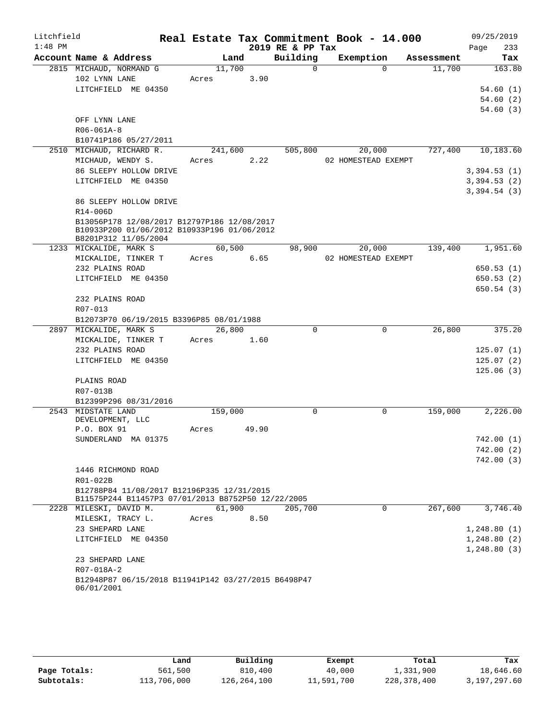| 2019 RE & PP Tax<br>233<br>Page<br>Building<br>Exemption<br>Account Name & Address<br>Land<br>Assessment<br>Tax<br>11,700<br>2815 MICHAUD, NORMAND G<br>$\Omega$<br>$\Omega$<br>11,700<br>163.80<br>102 LYNN LANE<br>3.90<br>Acres<br>LITCHFIELD ME 04350<br>54.60(1)<br>54.60(2)<br>54.60(3)<br>OFF LYNN LANE<br>$R06 - 061A - 8$<br>B10741P186 05/27/2011<br>727,400<br>2510 MICHAUD, RICHARD R.<br>241,600<br>505,800<br>20,000<br>10,183.60<br>MICHAUD, WENDY S.<br>2.22<br>02 HOMESTEAD EXEMPT<br>Acres<br>86 SLEEPY HOLLOW DRIVE<br>3,394.53(1)<br>LITCHFIELD ME 04350<br>3,394.53(2)<br>3,394.54(3)<br>86 SLEEPY HOLLOW DRIVE<br>R14-006D<br>B13056P178 12/08/2017 B12797P186 12/08/2017<br>B10933P200 01/06/2012 B10933P196 01/06/2012<br>B8201P312 11/05/2004<br>60,500<br>98,900<br>20,000<br>139,400<br>1,951.60<br>1233 MICKALIDE, MARK S<br>MICKALIDE, TINKER T<br>6.65<br>02 HOMESTEAD EXEMPT<br>Acres<br>232 PLAINS ROAD<br>650.53(1)<br>LITCHFIELD ME 04350<br>650.53(2)<br>650.54(3)<br>232 PLAINS ROAD<br>R07-013<br>B12073P70 06/19/2015 B3396P85 08/01/1988<br>2897 MICKALIDE, MARK S<br>26,800<br>$\Omega$<br>26,800<br>375.20<br>0<br>MICKALIDE, TINKER T<br>Acres<br>1.60<br>232 PLAINS ROAD<br>125.07(1)<br>LITCHFIELD ME 04350<br>125.07(2)<br>125.06(3)<br>PLAINS ROAD<br>R07-013B<br>B12399P296 08/31/2016<br>2543 MIDSTATE LAND<br>159,000<br>$\mathbf 0$<br>159,000<br>2,226.00<br>0<br>DEVELOPMENT, LLC<br>P.O. BOX 91<br>49.90<br>Acres<br>SUNDERLAND MA 01375<br>742.00(1)<br>742.00(2)<br>742.00(3)<br>1446 RICHMOND ROAD<br>R01-022B<br>B12788P84 11/08/2017 B12196P335 12/31/2015<br>B11575P244 B11457P3 07/01/2013 B8752P50 12/22/2005<br>61,900<br>267,600<br>3,746.40<br>2228 MILESKI, DAVID M.<br>205,700<br>0<br>MILESKI, TRACY L.<br>8.50<br>Acres<br>23 SHEPARD LANE<br>1, 248.80(1)<br>LITCHFIELD ME 04350<br>1,248.80(2)<br>1,248.80(3)<br>23 SHEPARD LANE<br>R07-018A-2<br>B12948P87 06/15/2018 B11941P142 03/27/2015 B6498P47 | Litchfield |            |  |  | Real Estate Tax Commitment Book - 14.000 | 09/25/2019 |
|-----------------------------------------------------------------------------------------------------------------------------------------------------------------------------------------------------------------------------------------------------------------------------------------------------------------------------------------------------------------------------------------------------------------------------------------------------------------------------------------------------------------------------------------------------------------------------------------------------------------------------------------------------------------------------------------------------------------------------------------------------------------------------------------------------------------------------------------------------------------------------------------------------------------------------------------------------------------------------------------------------------------------------------------------------------------------------------------------------------------------------------------------------------------------------------------------------------------------------------------------------------------------------------------------------------------------------------------------------------------------------------------------------------------------------------------------------------------------------------------------------------------------------------------------------------------------------------------------------------------------------------------------------------------------------------------------------------------------------------------------------------------------------------------------------------------------------------------------------------------------------------------------------------------------------------------------------------------------------|------------|------------|--|--|------------------------------------------|------------|
|                                                                                                                                                                                                                                                                                                                                                                                                                                                                                                                                                                                                                                                                                                                                                                                                                                                                                                                                                                                                                                                                                                                                                                                                                                                                                                                                                                                                                                                                                                                                                                                                                                                                                                                                                                                                                                                                                                                                                                             | $1:48$ PM  |            |  |  |                                          |            |
|                                                                                                                                                                                                                                                                                                                                                                                                                                                                                                                                                                                                                                                                                                                                                                                                                                                                                                                                                                                                                                                                                                                                                                                                                                                                                                                                                                                                                                                                                                                                                                                                                                                                                                                                                                                                                                                                                                                                                                             |            |            |  |  |                                          |            |
|                                                                                                                                                                                                                                                                                                                                                                                                                                                                                                                                                                                                                                                                                                                                                                                                                                                                                                                                                                                                                                                                                                                                                                                                                                                                                                                                                                                                                                                                                                                                                                                                                                                                                                                                                                                                                                                                                                                                                                             |            |            |  |  |                                          |            |
|                                                                                                                                                                                                                                                                                                                                                                                                                                                                                                                                                                                                                                                                                                                                                                                                                                                                                                                                                                                                                                                                                                                                                                                                                                                                                                                                                                                                                                                                                                                                                                                                                                                                                                                                                                                                                                                                                                                                                                             |            |            |  |  |                                          |            |
|                                                                                                                                                                                                                                                                                                                                                                                                                                                                                                                                                                                                                                                                                                                                                                                                                                                                                                                                                                                                                                                                                                                                                                                                                                                                                                                                                                                                                                                                                                                                                                                                                                                                                                                                                                                                                                                                                                                                                                             |            |            |  |  |                                          |            |
|                                                                                                                                                                                                                                                                                                                                                                                                                                                                                                                                                                                                                                                                                                                                                                                                                                                                                                                                                                                                                                                                                                                                                                                                                                                                                                                                                                                                                                                                                                                                                                                                                                                                                                                                                                                                                                                                                                                                                                             |            |            |  |  |                                          |            |
|                                                                                                                                                                                                                                                                                                                                                                                                                                                                                                                                                                                                                                                                                                                                                                                                                                                                                                                                                                                                                                                                                                                                                                                                                                                                                                                                                                                                                                                                                                                                                                                                                                                                                                                                                                                                                                                                                                                                                                             |            |            |  |  |                                          |            |
|                                                                                                                                                                                                                                                                                                                                                                                                                                                                                                                                                                                                                                                                                                                                                                                                                                                                                                                                                                                                                                                                                                                                                                                                                                                                                                                                                                                                                                                                                                                                                                                                                                                                                                                                                                                                                                                                                                                                                                             |            |            |  |  |                                          |            |
|                                                                                                                                                                                                                                                                                                                                                                                                                                                                                                                                                                                                                                                                                                                                                                                                                                                                                                                                                                                                                                                                                                                                                                                                                                                                                                                                                                                                                                                                                                                                                                                                                                                                                                                                                                                                                                                                                                                                                                             |            |            |  |  |                                          |            |
|                                                                                                                                                                                                                                                                                                                                                                                                                                                                                                                                                                                                                                                                                                                                                                                                                                                                                                                                                                                                                                                                                                                                                                                                                                                                                                                                                                                                                                                                                                                                                                                                                                                                                                                                                                                                                                                                                                                                                                             |            |            |  |  |                                          |            |
|                                                                                                                                                                                                                                                                                                                                                                                                                                                                                                                                                                                                                                                                                                                                                                                                                                                                                                                                                                                                                                                                                                                                                                                                                                                                                                                                                                                                                                                                                                                                                                                                                                                                                                                                                                                                                                                                                                                                                                             |            |            |  |  |                                          |            |
|                                                                                                                                                                                                                                                                                                                                                                                                                                                                                                                                                                                                                                                                                                                                                                                                                                                                                                                                                                                                                                                                                                                                                                                                                                                                                                                                                                                                                                                                                                                                                                                                                                                                                                                                                                                                                                                                                                                                                                             |            |            |  |  |                                          |            |
|                                                                                                                                                                                                                                                                                                                                                                                                                                                                                                                                                                                                                                                                                                                                                                                                                                                                                                                                                                                                                                                                                                                                                                                                                                                                                                                                                                                                                                                                                                                                                                                                                                                                                                                                                                                                                                                                                                                                                                             |            |            |  |  |                                          |            |
|                                                                                                                                                                                                                                                                                                                                                                                                                                                                                                                                                                                                                                                                                                                                                                                                                                                                                                                                                                                                                                                                                                                                                                                                                                                                                                                                                                                                                                                                                                                                                                                                                                                                                                                                                                                                                                                                                                                                                                             |            |            |  |  |                                          |            |
|                                                                                                                                                                                                                                                                                                                                                                                                                                                                                                                                                                                                                                                                                                                                                                                                                                                                                                                                                                                                                                                                                                                                                                                                                                                                                                                                                                                                                                                                                                                                                                                                                                                                                                                                                                                                                                                                                                                                                                             |            |            |  |  |                                          |            |
|                                                                                                                                                                                                                                                                                                                                                                                                                                                                                                                                                                                                                                                                                                                                                                                                                                                                                                                                                                                                                                                                                                                                                                                                                                                                                                                                                                                                                                                                                                                                                                                                                                                                                                                                                                                                                                                                                                                                                                             |            |            |  |  |                                          |            |
|                                                                                                                                                                                                                                                                                                                                                                                                                                                                                                                                                                                                                                                                                                                                                                                                                                                                                                                                                                                                                                                                                                                                                                                                                                                                                                                                                                                                                                                                                                                                                                                                                                                                                                                                                                                                                                                                                                                                                                             |            |            |  |  |                                          |            |
|                                                                                                                                                                                                                                                                                                                                                                                                                                                                                                                                                                                                                                                                                                                                                                                                                                                                                                                                                                                                                                                                                                                                                                                                                                                                                                                                                                                                                                                                                                                                                                                                                                                                                                                                                                                                                                                                                                                                                                             |            |            |  |  |                                          |            |
|                                                                                                                                                                                                                                                                                                                                                                                                                                                                                                                                                                                                                                                                                                                                                                                                                                                                                                                                                                                                                                                                                                                                                                                                                                                                                                                                                                                                                                                                                                                                                                                                                                                                                                                                                                                                                                                                                                                                                                             |            |            |  |  |                                          |            |
|                                                                                                                                                                                                                                                                                                                                                                                                                                                                                                                                                                                                                                                                                                                                                                                                                                                                                                                                                                                                                                                                                                                                                                                                                                                                                                                                                                                                                                                                                                                                                                                                                                                                                                                                                                                                                                                                                                                                                                             |            |            |  |  |                                          |            |
|                                                                                                                                                                                                                                                                                                                                                                                                                                                                                                                                                                                                                                                                                                                                                                                                                                                                                                                                                                                                                                                                                                                                                                                                                                                                                                                                                                                                                                                                                                                                                                                                                                                                                                                                                                                                                                                                                                                                                                             |            |            |  |  |                                          |            |
|                                                                                                                                                                                                                                                                                                                                                                                                                                                                                                                                                                                                                                                                                                                                                                                                                                                                                                                                                                                                                                                                                                                                                                                                                                                                                                                                                                                                                                                                                                                                                                                                                                                                                                                                                                                                                                                                                                                                                                             |            |            |  |  |                                          |            |
|                                                                                                                                                                                                                                                                                                                                                                                                                                                                                                                                                                                                                                                                                                                                                                                                                                                                                                                                                                                                                                                                                                                                                                                                                                                                                                                                                                                                                                                                                                                                                                                                                                                                                                                                                                                                                                                                                                                                                                             |            |            |  |  |                                          |            |
|                                                                                                                                                                                                                                                                                                                                                                                                                                                                                                                                                                                                                                                                                                                                                                                                                                                                                                                                                                                                                                                                                                                                                                                                                                                                                                                                                                                                                                                                                                                                                                                                                                                                                                                                                                                                                                                                                                                                                                             |            |            |  |  |                                          |            |
|                                                                                                                                                                                                                                                                                                                                                                                                                                                                                                                                                                                                                                                                                                                                                                                                                                                                                                                                                                                                                                                                                                                                                                                                                                                                                                                                                                                                                                                                                                                                                                                                                                                                                                                                                                                                                                                                                                                                                                             |            |            |  |  |                                          |            |
|                                                                                                                                                                                                                                                                                                                                                                                                                                                                                                                                                                                                                                                                                                                                                                                                                                                                                                                                                                                                                                                                                                                                                                                                                                                                                                                                                                                                                                                                                                                                                                                                                                                                                                                                                                                                                                                                                                                                                                             |            |            |  |  |                                          |            |
|                                                                                                                                                                                                                                                                                                                                                                                                                                                                                                                                                                                                                                                                                                                                                                                                                                                                                                                                                                                                                                                                                                                                                                                                                                                                                                                                                                                                                                                                                                                                                                                                                                                                                                                                                                                                                                                                                                                                                                             |            |            |  |  |                                          |            |
|                                                                                                                                                                                                                                                                                                                                                                                                                                                                                                                                                                                                                                                                                                                                                                                                                                                                                                                                                                                                                                                                                                                                                                                                                                                                                                                                                                                                                                                                                                                                                                                                                                                                                                                                                                                                                                                                                                                                                                             |            |            |  |  |                                          |            |
|                                                                                                                                                                                                                                                                                                                                                                                                                                                                                                                                                                                                                                                                                                                                                                                                                                                                                                                                                                                                                                                                                                                                                                                                                                                                                                                                                                                                                                                                                                                                                                                                                                                                                                                                                                                                                                                                                                                                                                             |            |            |  |  |                                          |            |
|                                                                                                                                                                                                                                                                                                                                                                                                                                                                                                                                                                                                                                                                                                                                                                                                                                                                                                                                                                                                                                                                                                                                                                                                                                                                                                                                                                                                                                                                                                                                                                                                                                                                                                                                                                                                                                                                                                                                                                             |            |            |  |  |                                          |            |
|                                                                                                                                                                                                                                                                                                                                                                                                                                                                                                                                                                                                                                                                                                                                                                                                                                                                                                                                                                                                                                                                                                                                                                                                                                                                                                                                                                                                                                                                                                                                                                                                                                                                                                                                                                                                                                                                                                                                                                             |            |            |  |  |                                          |            |
|                                                                                                                                                                                                                                                                                                                                                                                                                                                                                                                                                                                                                                                                                                                                                                                                                                                                                                                                                                                                                                                                                                                                                                                                                                                                                                                                                                                                                                                                                                                                                                                                                                                                                                                                                                                                                                                                                                                                                                             |            |            |  |  |                                          |            |
|                                                                                                                                                                                                                                                                                                                                                                                                                                                                                                                                                                                                                                                                                                                                                                                                                                                                                                                                                                                                                                                                                                                                                                                                                                                                                                                                                                                                                                                                                                                                                                                                                                                                                                                                                                                                                                                                                                                                                                             |            |            |  |  |                                          |            |
|                                                                                                                                                                                                                                                                                                                                                                                                                                                                                                                                                                                                                                                                                                                                                                                                                                                                                                                                                                                                                                                                                                                                                                                                                                                                                                                                                                                                                                                                                                                                                                                                                                                                                                                                                                                                                                                                                                                                                                             |            |            |  |  |                                          |            |
|                                                                                                                                                                                                                                                                                                                                                                                                                                                                                                                                                                                                                                                                                                                                                                                                                                                                                                                                                                                                                                                                                                                                                                                                                                                                                                                                                                                                                                                                                                                                                                                                                                                                                                                                                                                                                                                                                                                                                                             |            |            |  |  |                                          |            |
|                                                                                                                                                                                                                                                                                                                                                                                                                                                                                                                                                                                                                                                                                                                                                                                                                                                                                                                                                                                                                                                                                                                                                                                                                                                                                                                                                                                                                                                                                                                                                                                                                                                                                                                                                                                                                                                                                                                                                                             |            |            |  |  |                                          |            |
|                                                                                                                                                                                                                                                                                                                                                                                                                                                                                                                                                                                                                                                                                                                                                                                                                                                                                                                                                                                                                                                                                                                                                                                                                                                                                                                                                                                                                                                                                                                                                                                                                                                                                                                                                                                                                                                                                                                                                                             |            |            |  |  |                                          |            |
|                                                                                                                                                                                                                                                                                                                                                                                                                                                                                                                                                                                                                                                                                                                                                                                                                                                                                                                                                                                                                                                                                                                                                                                                                                                                                                                                                                                                                                                                                                                                                                                                                                                                                                                                                                                                                                                                                                                                                                             |            |            |  |  |                                          |            |
|                                                                                                                                                                                                                                                                                                                                                                                                                                                                                                                                                                                                                                                                                                                                                                                                                                                                                                                                                                                                                                                                                                                                                                                                                                                                                                                                                                                                                                                                                                                                                                                                                                                                                                                                                                                                                                                                                                                                                                             |            |            |  |  |                                          |            |
|                                                                                                                                                                                                                                                                                                                                                                                                                                                                                                                                                                                                                                                                                                                                                                                                                                                                                                                                                                                                                                                                                                                                                                                                                                                                                                                                                                                                                                                                                                                                                                                                                                                                                                                                                                                                                                                                                                                                                                             |            |            |  |  |                                          |            |
|                                                                                                                                                                                                                                                                                                                                                                                                                                                                                                                                                                                                                                                                                                                                                                                                                                                                                                                                                                                                                                                                                                                                                                                                                                                                                                                                                                                                                                                                                                                                                                                                                                                                                                                                                                                                                                                                                                                                                                             |            |            |  |  |                                          |            |
|                                                                                                                                                                                                                                                                                                                                                                                                                                                                                                                                                                                                                                                                                                                                                                                                                                                                                                                                                                                                                                                                                                                                                                                                                                                                                                                                                                                                                                                                                                                                                                                                                                                                                                                                                                                                                                                                                                                                                                             |            |            |  |  |                                          |            |
|                                                                                                                                                                                                                                                                                                                                                                                                                                                                                                                                                                                                                                                                                                                                                                                                                                                                                                                                                                                                                                                                                                                                                                                                                                                                                                                                                                                                                                                                                                                                                                                                                                                                                                                                                                                                                                                                                                                                                                             |            |            |  |  |                                          |            |
|                                                                                                                                                                                                                                                                                                                                                                                                                                                                                                                                                                                                                                                                                                                                                                                                                                                                                                                                                                                                                                                                                                                                                                                                                                                                                                                                                                                                                                                                                                                                                                                                                                                                                                                                                                                                                                                                                                                                                                             |            |            |  |  |                                          |            |
|                                                                                                                                                                                                                                                                                                                                                                                                                                                                                                                                                                                                                                                                                                                                                                                                                                                                                                                                                                                                                                                                                                                                                                                                                                                                                                                                                                                                                                                                                                                                                                                                                                                                                                                                                                                                                                                                                                                                                                             |            |            |  |  |                                          |            |
|                                                                                                                                                                                                                                                                                                                                                                                                                                                                                                                                                                                                                                                                                                                                                                                                                                                                                                                                                                                                                                                                                                                                                                                                                                                                                                                                                                                                                                                                                                                                                                                                                                                                                                                                                                                                                                                                                                                                                                             |            |            |  |  |                                          |            |
|                                                                                                                                                                                                                                                                                                                                                                                                                                                                                                                                                                                                                                                                                                                                                                                                                                                                                                                                                                                                                                                                                                                                                                                                                                                                                                                                                                                                                                                                                                                                                                                                                                                                                                                                                                                                                                                                                                                                                                             |            |            |  |  |                                          |            |
|                                                                                                                                                                                                                                                                                                                                                                                                                                                                                                                                                                                                                                                                                                                                                                                                                                                                                                                                                                                                                                                                                                                                                                                                                                                                                                                                                                                                                                                                                                                                                                                                                                                                                                                                                                                                                                                                                                                                                                             |            |            |  |  |                                          |            |
|                                                                                                                                                                                                                                                                                                                                                                                                                                                                                                                                                                                                                                                                                                                                                                                                                                                                                                                                                                                                                                                                                                                                                                                                                                                                                                                                                                                                                                                                                                                                                                                                                                                                                                                                                                                                                                                                                                                                                                             |            |            |  |  |                                          |            |
|                                                                                                                                                                                                                                                                                                                                                                                                                                                                                                                                                                                                                                                                                                                                                                                                                                                                                                                                                                                                                                                                                                                                                                                                                                                                                                                                                                                                                                                                                                                                                                                                                                                                                                                                                                                                                                                                                                                                                                             |            |            |  |  |                                          |            |
|                                                                                                                                                                                                                                                                                                                                                                                                                                                                                                                                                                                                                                                                                                                                                                                                                                                                                                                                                                                                                                                                                                                                                                                                                                                                                                                                                                                                                                                                                                                                                                                                                                                                                                                                                                                                                                                                                                                                                                             |            |            |  |  |                                          |            |
|                                                                                                                                                                                                                                                                                                                                                                                                                                                                                                                                                                                                                                                                                                                                                                                                                                                                                                                                                                                                                                                                                                                                                                                                                                                                                                                                                                                                                                                                                                                                                                                                                                                                                                                                                                                                                                                                                                                                                                             |            |            |  |  |                                          |            |
|                                                                                                                                                                                                                                                                                                                                                                                                                                                                                                                                                                                                                                                                                                                                                                                                                                                                                                                                                                                                                                                                                                                                                                                                                                                                                                                                                                                                                                                                                                                                                                                                                                                                                                                                                                                                                                                                                                                                                                             |            | 06/01/2001 |  |  |                                          |            |

|              | Land        | Building      | Exempt     | Total       | Tax          |
|--------------|-------------|---------------|------------|-------------|--------------|
| Page Totals: | 561,500     | 810,400       | 40,000     | 1,331,900   | 18,646.60    |
| Subtotals:   | 113,706,000 | 126, 264, 100 | 11,591,700 | 228,378,400 | 3,197,297.60 |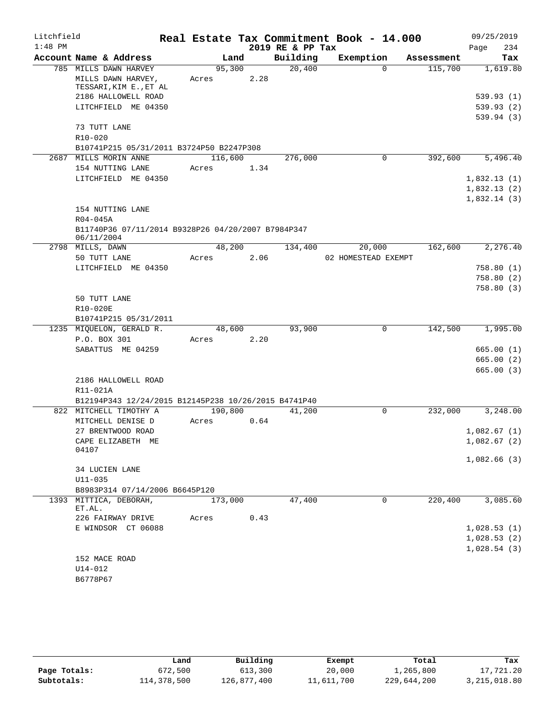| Litchfield |             |                                                          |         |         |      |                  | Real Estate Tax Commitment Book - 14.000 |              |            |             | 09/25/2019 |
|------------|-------------|----------------------------------------------------------|---------|---------|------|------------------|------------------------------------------|--------------|------------|-------------|------------|
| $1:48$ PM  |             |                                                          |         |         |      | 2019 RE & PP Tax |                                          |              |            | Page        | 234        |
|            |             | Account Name & Address                                   |         | Land    |      | Building         | Exemption                                |              | Assessment |             | Tax        |
|            |             | 785 MILLS DAWN HARVEY                                    |         | 95,300  |      | 20,400           |                                          | $\Omega$     | 115,700    |             | 1,619.80   |
|            |             | MILLS DAWN HARVEY,                                       | Acres   |         | 2.28 |                  |                                          |              |            |             |            |
|            |             | TESSARI, KIM E., ET AL                                   |         |         |      |                  |                                          |              |            |             |            |
|            |             | 2186 HALLOWELL ROAD                                      |         |         |      |                  |                                          |              |            |             | 539.93 (1) |
|            |             | LITCHFIELD ME 04350                                      |         |         |      |                  |                                          |              |            |             | 539.93(2)  |
|            |             | 73 TUTT LANE                                             |         |         |      |                  |                                          |              |            |             | 539.94(3)  |
|            | $R10 - 020$ |                                                          |         |         |      |                  |                                          |              |            |             |            |
|            |             | B10741P215 05/31/2011 B3724P50 B2247P308                 |         |         |      |                  |                                          |              |            |             |            |
|            |             | 2687 MILLS MORIN ANNE                                    | 116,600 |         |      | 276,000          |                                          | $\mathbf{0}$ | 392,600    |             | 5,496.40   |
|            |             | 154 NUTTING LANE                                         | Acres   |         | 1.34 |                  |                                          |              |            |             |            |
|            |             | LITCHFIELD ME 04350                                      |         |         |      |                  |                                          |              |            | 1,832.13(1) |            |
|            |             |                                                          |         |         |      |                  |                                          |              |            | 1,832.13(2) |            |
|            |             |                                                          |         |         |      |                  |                                          |              |            | 1,832.14(3) |            |
|            |             | 154 NUTTING LANE                                         |         |         |      |                  |                                          |              |            |             |            |
|            | R04-045A    |                                                          |         |         |      |                  |                                          |              |            |             |            |
|            |             | B11740P36 07/11/2014 B9328P26 04/20/2007 B7984P347       |         |         |      |                  |                                          |              |            |             |            |
|            | 06/11/2004  |                                                          |         |         |      |                  |                                          |              |            |             |            |
|            |             | 2798 MILLS, DAWN                                         |         | 48,200  |      | 134,400          | 20,000                                   |              | 162,600    |             | 2,276.40   |
|            |             | 50 TUTT LANE                                             | Acres   |         | 2.06 |                  | 02 HOMESTEAD EXEMPT                      |              |            |             |            |
|            |             | LITCHFIELD ME 04350                                      |         |         |      |                  |                                          |              |            |             | 758.80 (1) |
|            |             |                                                          |         |         |      |                  |                                          |              |            |             | 758.80(2)  |
|            |             |                                                          |         |         |      |                  |                                          |              |            |             | 758.80(3)  |
|            |             | 50 TUTT LANE                                             |         |         |      |                  |                                          |              |            |             |            |
|            | R10-020E    |                                                          |         |         |      |                  |                                          |              |            |             |            |
|            |             | B10741P215 05/31/2011                                    |         |         |      |                  |                                          |              |            |             |            |
|            |             | 1235 MIQUELON, GERALD R.                                 |         | 48,600  |      | 93,900           |                                          | 0            | 142,500    |             | 1,995.00   |
|            |             | P.O. BOX 301                                             | Acres   |         | 2.20 |                  |                                          |              |            |             |            |
|            |             | SABATTUS ME 04259                                        |         |         |      |                  |                                          |              |            |             | 665.00(1)  |
|            |             |                                                          |         |         |      |                  |                                          |              |            |             | 665.00(2)  |
|            |             |                                                          |         |         |      |                  |                                          |              |            |             | 665.00(3)  |
|            |             | 2186 HALLOWELL ROAD                                      |         |         |      |                  |                                          |              |            |             |            |
|            | R11-021A    |                                                          |         |         |      |                  |                                          |              |            |             |            |
|            |             | B12194P343 12/24/2015 B12145P238 10/26/2015 B4741P40     |         |         |      |                  |                                          |              |            |             |            |
|            |             | 822 MITCHELL TIMOTHY A                                   |         | 190,800 |      | 41,200           |                                          | $\mathbf 0$  | 232,000    |             | 3,248.00   |
|            |             | MITCHELL DENISE D                                        | Acres   |         | 0.64 |                  |                                          |              |            |             |            |
|            |             | 27 BRENTWOOD ROAD                                        |         |         |      |                  |                                          |              |            | 1,082.67(1) |            |
|            |             | CAPE ELIZABETH ME                                        |         |         |      |                  |                                          |              |            | 1,082.67(2) |            |
|            | 04107       |                                                          |         |         |      |                  |                                          |              |            |             |            |
|            |             |                                                          |         |         |      |                  |                                          |              |            | 1,082.66(3) |            |
|            |             | 34 LUCIEN LANE                                           |         |         |      |                  |                                          |              |            |             |            |
|            | $U11 - 035$ |                                                          |         |         |      |                  |                                          |              |            |             |            |
|            |             | B8983P314 07/14/2006 B6645P120<br>1393 MITTICA, DEBORAH, |         |         |      | 47,400           |                                          | 0            | 220,400    |             | 3,085.60   |
|            | ET.AL.      |                                                          |         | 173,000 |      |                  |                                          |              |            |             |            |
|            |             | 226 FAIRWAY DRIVE                                        | Acres   |         | 0.43 |                  |                                          |              |            |             |            |
|            |             | E WINDSOR CT 06088                                       |         |         |      |                  |                                          |              |            | 1,028.53(1) |            |
|            |             |                                                          |         |         |      |                  |                                          |              |            | 1,028.53(2) |            |
|            |             |                                                          |         |         |      |                  |                                          |              |            | 1,028.54(3) |            |
|            |             | 152 MACE ROAD                                            |         |         |      |                  |                                          |              |            |             |            |
|            | U14-012     |                                                          |         |         |      |                  |                                          |              |            |             |            |
|            | B6778P67    |                                                          |         |         |      |                  |                                          |              |            |             |            |

|              | Land        | Building    | Exempt     | Total       | Tax          |
|--------------|-------------|-------------|------------|-------------|--------------|
| Page Totals: | 672,500     | 613,300     | 20,000     | 1,265,800   | 17,721.20    |
| Subtotals:   | 114,378,500 | 126,877,400 | 11,611,700 | 229,644,200 | 3,215,018.80 |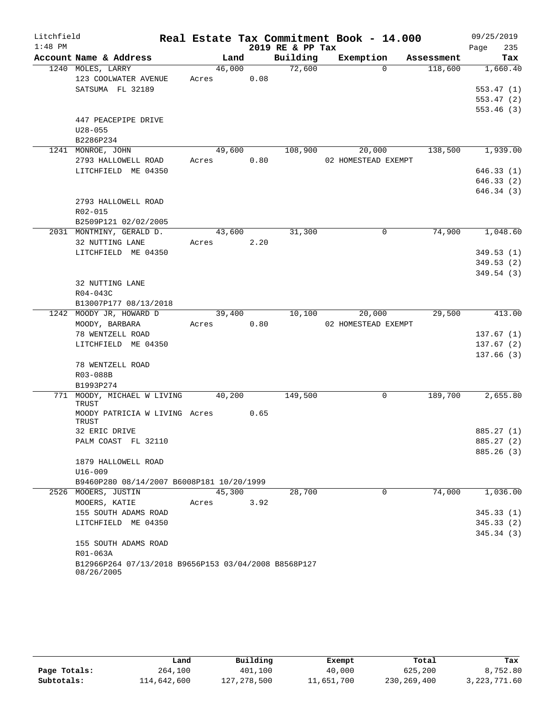| Litchfield |                                                                    |       |        |      |                  | Real Estate Tax Commitment Book - 14.000 |            | 09/25/2019  |
|------------|--------------------------------------------------------------------|-------|--------|------|------------------|------------------------------------------|------------|-------------|
| $1:48$ PM  |                                                                    |       |        |      | 2019 RE & PP Tax |                                          |            | 235<br>Page |
|            | Account Name & Address                                             |       | Land   |      | Building         | Exemption                                | Assessment | Tax         |
|            | 1240 MOLES, LARRY                                                  |       | 46,000 |      | 72,600           | $\Omega$                                 | 118,600    | 1,660.40    |
|            | 123 COOLWATER AVENUE                                               |       | Acres  | 0.08 |                  |                                          |            |             |
|            | SATSUMA FL 32189                                                   |       |        |      |                  |                                          |            | 553.47(1)   |
|            |                                                                    |       |        |      |                  |                                          |            | 553.47(2)   |
|            |                                                                    |       |        |      |                  |                                          |            | 553.46(3)   |
|            | 447 PEACEPIPE DRIVE                                                |       |        |      |                  |                                          |            |             |
|            | $U28 - 055$                                                        |       |        |      |                  |                                          |            |             |
|            | B2286P234                                                          |       |        |      |                  |                                          |            |             |
|            | 1241 MONROE, JOHN                                                  |       | 49,600 |      | 108,900          | 20,000                                   | 138,500    | 1,939.00    |
|            | 2793 HALLOWELL ROAD                                                |       | Acres  | 0.80 |                  | 02 HOMESTEAD EXEMPT                      |            |             |
|            | LITCHFIELD ME 04350                                                |       |        |      |                  |                                          |            | 646.33(1)   |
|            |                                                                    |       |        |      |                  |                                          |            | 646.33(2)   |
|            |                                                                    |       |        |      |                  |                                          |            | 646.34(3)   |
|            | 2793 HALLOWELL ROAD                                                |       |        |      |                  |                                          |            |             |
|            | R02-015<br>B2509P121 02/02/2005                                    |       |        |      |                  |                                          |            |             |
|            | 2031 MONTMINY, GERALD D.                                           |       | 43,600 |      | 31,300           | $\Omega$                                 | 74,900     | 1,048.60    |
|            | 32 NUTTING LANE                                                    |       | Acres  | 2.20 |                  |                                          |            |             |
|            | LITCHFIELD ME 04350                                                |       |        |      |                  |                                          |            | 349.53(1)   |
|            |                                                                    |       |        |      |                  |                                          |            | 349.53(2)   |
|            |                                                                    |       |        |      |                  |                                          |            | 349.54 (3)  |
|            | 32 NUTTING LANE                                                    |       |        |      |                  |                                          |            |             |
|            | R04-043C                                                           |       |        |      |                  |                                          |            |             |
|            | B13007P177 08/13/2018                                              |       |        |      |                  |                                          |            |             |
|            | 1242 MOODY JR, HOWARD D                                            |       | 39,400 |      | 10,100           | 20,000                                   | 29,500     | 413.00      |
|            | MOODY, BARBARA                                                     |       | Acres  | 0.80 |                  | 02 HOMESTEAD EXEMPT                      |            |             |
|            | 78 WENTZELL ROAD                                                   |       |        |      |                  |                                          |            | 137.67(1)   |
|            | LITCHFIELD ME 04350                                                |       |        |      |                  |                                          |            | 137.67(2)   |
|            |                                                                    |       |        |      |                  |                                          |            | 137.66(3)   |
|            | 78 WENTZELL ROAD                                                   |       |        |      |                  |                                          |            |             |
|            | R03-088B                                                           |       |        |      |                  |                                          |            |             |
|            | B1993P274                                                          |       |        |      |                  |                                          |            |             |
|            | 771 MOODY, MICHAEL W LIVING 40,200                                 |       |        |      | 149,500          | 0                                        | 189,700    | 2,655.80    |
|            | TRUST                                                              |       |        |      |                  |                                          |            |             |
|            | MOODY PATRICIA W LIVING Acres<br>TRUST                             |       |        | 0.65 |                  |                                          |            |             |
|            | 32 ERIC DRIVE                                                      |       |        |      |                  |                                          |            | 885.27 (1)  |
|            | PALM COAST FL 32110                                                |       |        |      |                  |                                          |            | 885.27 (2)  |
|            |                                                                    |       |        |      |                  |                                          |            | 885.26 (3)  |
|            | 1879 HALLOWELL ROAD                                                |       |        |      |                  |                                          |            |             |
|            | $U16 - 009$                                                        |       |        |      |                  |                                          |            |             |
|            | B9460P280 08/14/2007 B6008P181 10/20/1999                          |       |        |      |                  |                                          |            |             |
|            | 2526 MOOERS, JUSTIN                                                |       | 45,300 |      | 28,700           | $\Omega$                                 | 74,000     | 1,036.00    |
|            | MOOERS, KATIE                                                      | Acres |        | 3.92 |                  |                                          |            |             |
|            | 155 SOUTH ADAMS ROAD                                               |       |        |      |                  |                                          |            | 345.33(1)   |
|            | LITCHFIELD ME 04350                                                |       |        |      |                  |                                          |            | 345.33(2)   |
|            |                                                                    |       |        |      |                  |                                          |            | 345.34(3)   |
|            | 155 SOUTH ADAMS ROAD                                               |       |        |      |                  |                                          |            |             |
|            | R01-063A                                                           |       |        |      |                  |                                          |            |             |
|            | B12966P264 07/13/2018 B9656P153 03/04/2008 B8568P127<br>08/26/2005 |       |        |      |                  |                                          |            |             |

|              | Land        | Building    | Exempt     | Total       | Tax          |
|--------------|-------------|-------------|------------|-------------|--------------|
| Page Totals: | 264,100     | 401,100     | 40,000     | 625,200     | 8,752.80     |
| Subtotals:   | 114,642,600 | 127,278,500 | 11,651,700 | 230,269,400 | 3,223,771.60 |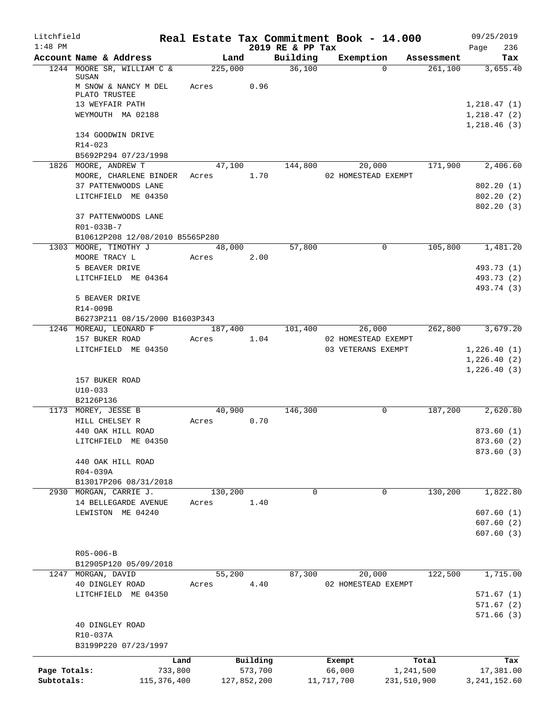| Litchfield   |                                                          |            |             |                              | Real Estate Tax Commitment Book - 14.000 |             | 09/25/2019               |
|--------------|----------------------------------------------------------|------------|-------------|------------------------------|------------------------------------------|-------------|--------------------------|
| $1:48$ PM    | Account Name & Address                                   | Land       |             | 2019 RE & PP Tax<br>Building | Exemption                                | Assessment  | 236<br>Page<br>Tax       |
|              | 1244 MOORE SR, WILLIAM C &                               | 225,000    |             | 36,100                       | $\Omega$                                 | 261,100     | 3,655.40                 |
|              | SUSAN<br>M SNOW & NANCY M DEL<br>PLATO TRUSTEE           | Acres      | 0.96        |                              |                                          |             |                          |
|              | 13 WEYFAIR PATH                                          |            |             |                              |                                          |             | 1,218.47(1)              |
|              | WEYMOUTH MA 02188                                        |            |             |                              |                                          |             | 1,218.47(2)              |
|              | 134 GOODWIN DRIVE<br>R14-023                             |            |             |                              |                                          |             | 1,218.46(3)              |
|              | B5692P294 07/23/1998                                     |            |             |                              |                                          |             |                          |
|              | 1826 MOORE, ANDREW T                                     |            | 47,100      | 144,800                      | 20,000                                   | 171,900     | 2,406.60                 |
|              | MOORE, CHARLENE BINDER                                   | Acres 1.70 |             |                              | 02 HOMESTEAD EXEMPT                      |             |                          |
|              | 37 PATTENWOODS LANE                                      |            |             |                              |                                          |             | 802.20(1)                |
|              | LITCHFIELD ME 04350                                      |            |             |                              |                                          |             | 802.20(2)<br>802.20(3)   |
|              | 37 PATTENWOODS LANE<br>R01-033B-7                        |            |             |                              |                                          |             |                          |
|              | B10612P208 12/08/2010 B5565P280                          |            |             |                              |                                          |             |                          |
|              | 1303 MOORE, TIMOTHY J                                    | 48,000     |             | 57,800                       | $\mathbf 0$                              | 105,800     | 1,481.20                 |
|              | MOORE TRACY L<br>5 BEAVER DRIVE                          | Acres      | 2.00        |                              |                                          |             | 493.73 (1)               |
|              | LITCHFIELD ME 04364                                      |            |             |                              |                                          |             | 493.73 (2)               |
|              |                                                          |            |             |                              |                                          |             | 493.74 (3)               |
|              | 5 BEAVER DRIVE                                           |            |             |                              |                                          |             |                          |
|              | R14-009B                                                 |            |             |                              |                                          |             |                          |
|              | B6273P211 08/15/2000 B1603P343<br>1246 MOREAU, LEONARD F | 187,400    |             | 101,400                      | 26,000                                   | 262,800     | 3,679.20                 |
|              | 157 BUKER ROAD                                           | Acres      | 1.04        |                              | 02 HOMESTEAD EXEMPT                      |             |                          |
|              | LITCHFIELD ME 04350                                      |            |             |                              | 03 VETERANS EXEMPT                       |             | 1,226.40(1)              |
|              |                                                          |            |             |                              |                                          |             | 1,226.40(2)              |
|              |                                                          |            |             |                              |                                          |             | 1,226.40(3)              |
|              | 157 BUKER ROAD<br>$U10 - 033$                            |            |             |                              |                                          |             |                          |
|              | B2126P136                                                |            |             |                              |                                          |             |                          |
|              | 1173 MOREY, JESSE B                                      | 40,900     |             | 146,300                      | $\mathbf{0}$                             | 187,200     | 2,620.80                 |
|              | HILL CHELSEY R                                           | Acres      | 0.70        |                              |                                          |             |                          |
|              | 440 OAK HILL ROAD                                        |            |             |                              |                                          |             | 873.60(1)                |
|              | LITCHFIELD ME 04350                                      |            |             |                              |                                          |             | 873.60 (2)<br>873.60 (3) |
|              | 440 OAK HILL ROAD                                        |            |             |                              |                                          |             |                          |
|              | R04-039A                                                 |            |             |                              |                                          |             |                          |
|              | B13017P206 08/31/2018                                    |            |             |                              |                                          |             |                          |
| 2930         | MORGAN, CARRIE J.                                        | 130,200    |             | 0                            | $\mathbf 0$                              | 130,200     | 1,822.80                 |
|              | 14 BELLEGARDE AVENUE<br>LEWISTON ME 04240                | Acres      | 1.40        |                              |                                          |             | 607.60(1)                |
|              |                                                          |            |             |                              |                                          |             | 607.60(2)                |
|              |                                                          |            |             |                              |                                          |             | 607.60(3)                |
|              |                                                          |            |             |                              |                                          |             |                          |
|              | $R05 - 006 - B$                                          |            |             |                              |                                          |             |                          |
| 1247         | B12905P120 05/09/2018<br>MORGAN, DAVID                   | 55,200     |             | 87,300                       | 20,000                                   | 122,500     | 1,715.00                 |
|              | 40 DINGLEY ROAD                                          | Acres      | 4.40        |                              | 02 HOMESTEAD EXEMPT                      |             |                          |
|              | LITCHFIELD ME 04350                                      |            |             |                              |                                          |             | 571.67(1)                |
|              |                                                          |            |             |                              |                                          |             | 571.67(2)                |
|              | 40 DINGLEY ROAD<br>R10-037A                              |            |             |                              |                                          |             | 571.66(3)                |
|              | B3199P220 07/23/1997                                     |            |             |                              |                                          |             |                          |
|              |                                                          | Land       | Building    |                              | Exempt                                   | Total       | Tax                      |
| Page Totals: | 733,800                                                  |            | 573,700     |                              | 66,000                                   | 1,241,500   | 17,381.00                |
| Subtotals:   | 115, 376, 400                                            |            | 127,852,200 |                              | 11,717,700                               | 231,510,900 | 3, 241, 152.60           |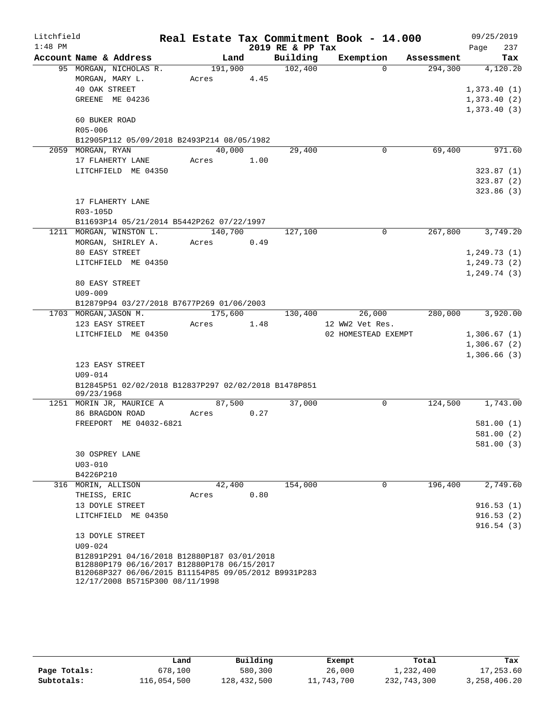| Litchfield |                                                                                            |            |      |      | Real Estate Tax Commitment Book - 14.000 |                     |             |                  |              | 09/25/2019             |
|------------|--------------------------------------------------------------------------------------------|------------|------|------|------------------------------------------|---------------------|-------------|------------------|--------------|------------------------|
| $1:48$ PM  |                                                                                            |            |      |      | 2019 RE & PP Tax                         |                     |             |                  | Page         | 237                    |
|            | Account Name & Address                                                                     |            | Land |      | Building                                 | Exemption           |             | Assessment       |              | Tax                    |
|            | 95 MORGAN, NICHOLAS R.                                                                     |            |      |      | 191,900 102,400                          |                     | $\Omega$    | 294,300          |              | 4,120.20               |
|            | MORGAN, MARY L.                                                                            | Acres 4.45 |      |      |                                          |                     |             |                  |              |                        |
|            | 40 OAK STREET                                                                              |            |      |      |                                          |                     |             |                  | 1,373.40(1)  |                        |
|            | GREENE ME 04236                                                                            |            |      |      |                                          |                     |             |                  | 1,373.40(2)  |                        |
|            |                                                                                            |            |      |      |                                          |                     |             |                  | 1,373.40(3)  |                        |
|            | 60 BUKER ROAD                                                                              |            |      |      |                                          |                     |             |                  |              |                        |
|            | R05-006                                                                                    |            |      |      |                                          |                     |             |                  |              |                        |
|            | B12905P112 05/09/2018 B2493P214 08/05/1982                                                 |            |      |      |                                          |                     |             |                  |              |                        |
|            | 2059 MORGAN, RYAN                                                                          | 40,000     |      |      | 29,400                                   |                     | $\mathbf 0$ | 69,400           |              | 971.60                 |
|            | 17 FLAHERTY LANE                                                                           | Acres 1.00 |      |      |                                          |                     |             |                  |              |                        |
|            | LITCHFIELD ME 04350                                                                        |            |      |      |                                          |                     |             |                  |              | 323.87(1)              |
|            |                                                                                            |            |      |      |                                          |                     |             |                  |              | 323.87(2)<br>323.86(3) |
|            | 17 FLAHERTY LANE                                                                           |            |      |      |                                          |                     |             |                  |              |                        |
|            | R03-105D                                                                                   |            |      |      |                                          |                     |             |                  |              |                        |
|            | B11693P14 05/21/2014 B5442P262 07/22/1997                                                  |            |      |      |                                          |                     |             |                  |              |                        |
|            | 1211 MORGAN, WINSTON L.                                                                    | 140,700    |      |      | 127,100                                  |                     | $\Omega$    | 267,800          |              | 3,749.20               |
|            | MORGAN, SHIRLEY A.                                                                         | Acres 0.49 |      |      |                                          |                     |             |                  |              |                        |
|            | 80 EASY STREET                                                                             |            |      |      |                                          |                     |             |                  | 1, 249.73(1) |                        |
|            | LITCHFIELD ME 04350                                                                        |            |      |      |                                          |                     |             |                  | 1, 249.73(2) |                        |
|            |                                                                                            |            |      |      |                                          |                     |             |                  | 1, 249.74(3) |                        |
|            | 80 EASY STREET                                                                             |            |      |      |                                          |                     |             |                  |              |                        |
|            | $U09 - 009$                                                                                |            |      |      |                                          |                     |             |                  |              |                        |
|            | B12879P94 03/27/2018 B7677P269 01/06/2003                                                  |            |      |      |                                          |                     |             |                  |              |                        |
|            | 1703 MORGAN, JASON M.                                                                      |            |      |      | 175,600 130,400                          |                     | 26,000      | 280,000          |              | 3,920.00               |
|            | 123 EASY STREET                                                                            | Acres      |      | 1.48 |                                          | 12 WW2 Vet Res.     |             |                  |              |                        |
|            | LITCHFIELD ME 04350                                                                        |            |      |      |                                          | 02 HOMESTEAD EXEMPT |             |                  | 1,306.67(1)  |                        |
|            |                                                                                            |            |      |      |                                          |                     |             |                  | 1,306.67(2)  |                        |
|            |                                                                                            |            |      |      |                                          |                     |             |                  | 1,306.66(3)  |                        |
|            | 123 EASY STREET                                                                            |            |      |      |                                          |                     |             |                  |              |                        |
|            | $U09 - 014$                                                                                |            |      |      |                                          |                     |             |                  |              |                        |
|            | B12845P51 02/02/2018 B12837P297 02/02/2018 B1478P851<br>09/23/1968                         |            |      |      |                                          |                     |             |                  |              |                        |
|            | 1251 MORIN JR, MAURICE A                                                                   | 87,500     |      |      | 37,000                                   |                     | $\mathbf 0$ | 124,500 1,743.00 |              |                        |
|            | 86 BRAGDON ROAD                                                                            | Acres 0.27 |      |      |                                          |                     |             |                  |              |                        |
|            | FREEPORT ME 04032-6821                                                                     |            |      |      |                                          |                     |             |                  |              | 581.00(1)              |
|            |                                                                                            |            |      |      |                                          |                     |             |                  |              | 581.00(2)              |
|            |                                                                                            |            |      |      |                                          |                     |             |                  |              | 581.00 (3)             |
|            | 30 OSPREY LANE                                                                             |            |      |      |                                          |                     |             |                  |              |                        |
|            | $U03 - 010$                                                                                |            |      |      |                                          |                     |             |                  |              |                        |
|            | B4226P210                                                                                  |            |      |      |                                          |                     |             |                  |              |                        |
|            | 316 MORIN, ALLISON                                                                         | 42,400     |      |      | 154,000                                  |                     | $\mathbf 0$ | 196,400          |              | 2,749.60               |
|            | THEISS, ERIC                                                                               | Acres      |      | 0.80 |                                          |                     |             |                  |              |                        |
|            | 13 DOYLE STREET                                                                            |            |      |      |                                          |                     |             |                  |              | 916.53(1)              |
|            | LITCHFIELD ME 04350                                                                        |            |      |      |                                          |                     |             |                  |              | 916.53(2)              |
|            |                                                                                            |            |      |      |                                          |                     |             |                  |              | 916.54(3)              |
|            | 13 DOYLE STREET                                                                            |            |      |      |                                          |                     |             |                  |              |                        |
|            | $U09 - 024$                                                                                |            |      |      |                                          |                     |             |                  |              |                        |
|            | B12891P291 04/16/2018 B12880P187 03/01/2018<br>B12880P179 06/16/2017 B12880P178 06/15/2017 |            |      |      |                                          |                     |             |                  |              |                        |
|            | B12068P327 06/06/2015 B11154P85 09/05/2012 B9931P283                                       |            |      |      |                                          |                     |             |                  |              |                        |
|            | 12/17/2008 B5715P300 08/11/1998                                                            |            |      |      |                                          |                     |             |                  |              |                        |

|              | Land        | Building    | Exempt     | Total       | Tax             |
|--------------|-------------|-------------|------------|-------------|-----------------|
| Page Totals: | 678,100     | 580,300     | 26,000     | 1,232,400   | 17,253.60       |
| Subtotals:   | 116,054,500 | 128,432,500 | 11,743,700 | 232,743,300 | 3, 258, 406. 20 |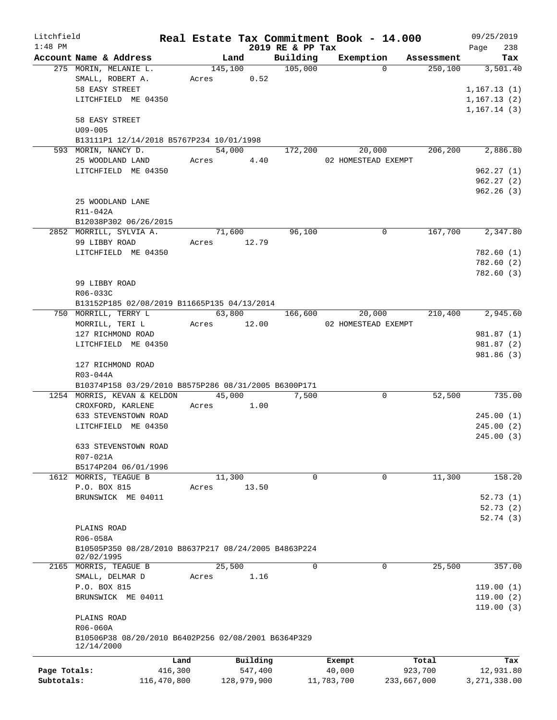| Litchfield   |                                                                    |             |       |             |                     | Real Estate Tax Commitment Book - 14.000 |             |                            | 09/25/2019               |
|--------------|--------------------------------------------------------------------|-------------|-------|-------------|---------------------|------------------------------------------|-------------|----------------------------|--------------------------|
| $1:48$ PM    |                                                                    |             |       |             | 2019 RE & PP Tax    |                                          |             | Page                       | 238                      |
|              | Account Name & Address                                             |             |       | Land        | Building            | Exemption                                | Assessment  |                            | Tax                      |
|              | 275 MORIN, MELANIE L.                                              |             |       | 145,100     | $\frac{105,000}{ }$ | $\Omega$                                 | 250, 100    |                            | 3,501.40                 |
|              | SMALL, ROBERT A.<br>58 EASY STREET                                 |             |       | Acres 0.52  |                     |                                          |             |                            |                          |
|              |                                                                    |             |       |             |                     |                                          |             | 1,167.13(1)                |                          |
|              | LITCHFIELD ME 04350                                                |             |       |             |                     |                                          |             | 1,167.13(2)<br>1,167.14(3) |                          |
|              | 58 EASY STREET                                                     |             |       |             |                     |                                          |             |                            |                          |
|              | $U09 - 005$                                                        |             |       |             |                     |                                          |             |                            |                          |
|              | B13111P1 12/14/2018 B5767P234 10/01/1998                           |             |       |             |                     |                                          |             |                            |                          |
|              | 593 MORIN, NANCY D.                                                |             |       | 54,000      | 172,200             | 20,000                                   | 206, 200    |                            | 2,886.80                 |
|              | 25 WOODLAND LAND                                                   |             |       | Acres 4.40  |                     | 02 HOMESTEAD EXEMPT                      |             |                            |                          |
|              | LITCHFIELD ME 04350                                                |             |       |             |                     |                                          |             |                            | 962.27(1)                |
|              |                                                                    |             |       |             |                     |                                          |             |                            | 962.27(2)                |
|              |                                                                    |             |       |             |                     |                                          |             |                            | 962.26(3)                |
|              | 25 WOODLAND LANE                                                   |             |       |             |                     |                                          |             |                            |                          |
|              | R11-042A                                                           |             |       |             |                     |                                          |             |                            |                          |
|              | B12038P302 06/26/2015                                              |             |       |             |                     |                                          |             |                            |                          |
|              | 2852 MORRILL, SYLVIA A.                                            |             |       | 71,600      | 96,100              | $\mathbf 0$                              | 167,700     |                            | 2,347.80                 |
|              | 99 LIBBY ROAD                                                      |             |       | Acres 12.79 |                     |                                          |             |                            |                          |
|              | LITCHFIELD ME 04350                                                |             |       |             |                     |                                          |             |                            | 782.60 (1)               |
|              |                                                                    |             |       |             |                     |                                          |             |                            | 782.60 (2)               |
|              |                                                                    |             |       |             |                     |                                          |             |                            | 782.60 (3)               |
|              | 99 LIBBY ROAD                                                      |             |       |             |                     |                                          |             |                            |                          |
|              | R06-033C                                                           |             |       |             |                     |                                          |             |                            |                          |
|              | B13152P185 02/08/2019 B11665P135 04/13/2014                        |             |       |             |                     |                                          |             |                            |                          |
|              | 750 MORRILL, TERRY L                                               |             |       | 63,800      | 166,600             | 20,000                                   | 210,400     |                            | 2,945.60                 |
|              | MORRILL, TERI L                                                    |             |       | Acres 12.00 |                     | 02 HOMESTEAD EXEMPT                      |             |                            |                          |
|              | 127 RICHMOND ROAD<br>LITCHFIELD ME 04350                           |             |       |             |                     |                                          |             |                            | 981.87 (1)<br>981.87 (2) |
|              |                                                                    |             |       |             |                     |                                          |             |                            | 981.86 (3)               |
|              | 127 RICHMOND ROAD                                                  |             |       |             |                     |                                          |             |                            |                          |
|              | R03-044A                                                           |             |       |             |                     |                                          |             |                            |                          |
|              | B10374P158 03/29/2010 B8575P286 08/31/2005 B6300P171               |             |       |             |                     |                                          |             |                            |                          |
|              | 1254 MORRIS, KEVAN & KELDON 45,000                                 |             |       |             | 7,500               | 0                                        | 52,500      |                            | 735.00                   |
|              | CROXFORD, KARLENE                                                  |             |       | Acres 1.00  |                     |                                          |             |                            |                          |
|              | 633 STEVENSTOWN ROAD                                               |             |       |             |                     |                                          |             |                            | 245.00(1)                |
|              | LITCHFIELD ME 04350                                                |             |       |             |                     |                                          |             |                            | 245.00(2)                |
|              |                                                                    |             |       |             |                     |                                          |             |                            | 245.00 (3)               |
|              | 633 STEVENSTOWN ROAD                                               |             |       |             |                     |                                          |             |                            |                          |
|              | R07-021A                                                           |             |       |             |                     |                                          |             |                            |                          |
|              | B5174P204 06/01/1996                                               |             |       |             |                     |                                          |             |                            |                          |
|              | 1612 MORRIS, TEAGUE B                                              |             |       | 11,300      | 0                   | $\mathbf 0$                              | 11,300      |                            | 158.20                   |
|              | P.O. BOX 815                                                       |             | Acres | 13.50       |                     |                                          |             |                            |                          |
|              | BRUNSWICK ME 04011                                                 |             |       |             |                     |                                          |             |                            | 52.73(1)                 |
|              |                                                                    |             |       |             |                     |                                          |             |                            | 52.73(2)                 |
|              |                                                                    |             |       |             |                     |                                          |             |                            | 52.74(3)                 |
|              | PLAINS ROAD                                                        |             |       |             |                     |                                          |             |                            |                          |
|              | R06-058A                                                           |             |       |             |                     |                                          |             |                            |                          |
|              | B10505P350 08/28/2010 B8637P217 08/24/2005 B4863P224<br>02/02/1995 |             |       |             |                     |                                          |             |                            |                          |
|              | 2165 MORRIS, TEAGUE B                                              |             |       | 25,500      | $\Omega$            | $\Omega$                                 | 25,500      |                            | 357.00                   |
|              | SMALL, DELMAR D                                                    |             | Acres | 1.16        |                     |                                          |             |                            |                          |
|              | P.O. BOX 815                                                       |             |       |             |                     |                                          |             |                            | 119.00(1)                |
|              | BRUNSWICK ME 04011                                                 |             |       |             |                     |                                          |             |                            | 119.00(2)                |
|              |                                                                    |             |       |             |                     |                                          |             |                            | 119.00(3)                |
|              | PLAINS ROAD                                                        |             |       |             |                     |                                          |             |                            |                          |
|              | R06-060A                                                           |             |       |             |                     |                                          |             |                            |                          |
|              | B10506P38 08/20/2010 B6402P256 02/08/2001 B6364P329                |             |       |             |                     |                                          |             |                            |                          |
|              | 12/14/2000                                                         |             |       |             |                     |                                          |             |                            |                          |
|              |                                                                    | Land        |       | Building    |                     | Exempt                                   | Total       |                            | Tax                      |
| Page Totals: |                                                                    | 416,300     |       | 547,400     |                     | 40,000                                   | 923,700     |                            | 12,931.80                |
| Subtotals:   |                                                                    | 116,470,800 |       | 128,979,900 |                     | 11,783,700                               | 233,667,000 |                            | 3, 271, 338.00           |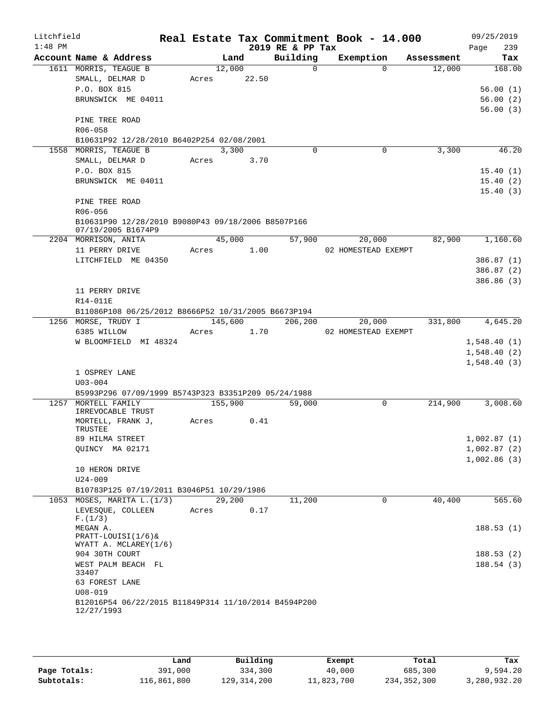| Litchfield<br>$1:48$ PM |                                                                    |       |         |             | 2019 RE & PP Tax | Real Estate Tax Commitment Book - 14.000 |            | 09/25/2019<br>239<br>Page |
|-------------------------|--------------------------------------------------------------------|-------|---------|-------------|------------------|------------------------------------------|------------|---------------------------|
|                         | Account Name & Address                                             |       | Land    |             | Building         | Exemption                                | Assessment | Tax                       |
|                         | 1611 MORRIS, TEAGUE B                                              |       | 12,000  |             | $\Omega$         | $\Omega$                                 | 12,000     | 168.00                    |
|                         | SMALL, DELMAR D                                                    |       |         | Acres 22.50 |                  |                                          |            |                           |
|                         | P.O. BOX 815                                                       |       |         |             |                  |                                          |            | 56.00(1)                  |
|                         | BRUNSWICK ME 04011                                                 |       |         |             |                  |                                          |            | 56.00(2)                  |
|                         | PINE TREE ROAD                                                     |       |         |             |                  |                                          |            | 56.00(3)                  |
|                         | R06-058                                                            |       |         |             |                  |                                          |            |                           |
|                         | B10631P92 12/28/2010 B6402P254 02/08/2001                          |       |         |             |                  |                                          |            |                           |
|                         | 1558 MORRIS, TEAGUE B                                              |       | 3,300   |             | $\Omega$         | $\mathbf 0$                              | 3,300      | 46.20                     |
|                         | SMALL, DELMAR D                                                    |       |         | Acres 3.70  |                  |                                          |            |                           |
|                         | P.O. BOX 815                                                       |       |         |             |                  |                                          |            | 15.40(1)                  |
|                         | BRUNSWICK ME 04011                                                 |       |         |             |                  |                                          |            | 15.40(2)                  |
|                         | PINE TREE ROAD                                                     |       |         |             |                  |                                          |            | 15.40(3)                  |
|                         | R06-056<br>B10631P90 12/28/2010 B9080P43 09/18/2006 B8507P166      |       |         |             |                  |                                          |            |                           |
|                         | 07/19/2005 B1674P9<br>2204 MORRISON, ANITA                         |       | 45,000  |             | 57,900           | 20,000                                   | 82,900     | 1,160.60                  |
|                         | 11 PERRY DRIVE                                                     |       |         | Acres 1.00  |                  | 02 HOMESTEAD EXEMPT                      |            |                           |
|                         | LITCHFIELD ME 04350                                                |       |         |             |                  |                                          |            | 386.87 (1)                |
|                         |                                                                    |       |         |             |                  |                                          |            | 386.87(2)                 |
|                         |                                                                    |       |         |             |                  |                                          |            | 386.86(3)                 |
|                         | 11 PERRY DRIVE                                                     |       |         |             |                  |                                          |            |                           |
|                         | R14-011E                                                           |       |         |             |                  |                                          |            |                           |
|                         | B11086P108 06/25/2012 B8666P52 10/31/2005 B6673P194                |       |         |             |                  |                                          |            |                           |
|                         | 1256 MORSE, TRUDY I                                                |       |         | 145,600     | 206,200          | 20,000                                   |            | 331,800 4,645.20          |
|                         | 6385 WILLOW                                                        | Acres |         | 1.70        |                  | 02 HOMESTEAD EXEMPT                      |            |                           |
|                         | W BLOOMFIELD MI 48324                                              |       |         |             |                  |                                          |            | 1,548.40(1)               |
|                         |                                                                    |       |         |             |                  |                                          |            | 1,548.40(2)               |
|                         |                                                                    |       |         |             |                  |                                          |            | 1,548.40(3)               |
|                         | 1 OSPREY LANE                                                      |       |         |             |                  |                                          |            |                           |
|                         | $U03 - 004$                                                        |       |         |             |                  |                                          |            |                           |
|                         | B5993P296 07/09/1999 B5743P323 B3351P209 05/24/1988                |       |         |             |                  |                                          |            |                           |
|                         | 1257 MORTELL FAMILY<br>IRREVOCABLE TRUST                           |       | 155,900 |             | 59,000           | 0                                        | 214,900    | 3,008.60                  |
|                         | MORTELL, FRANK J,                                                  | Acres |         | 0.41        |                  |                                          |            |                           |
|                         | TRUSTEE                                                            |       |         |             |                  |                                          |            |                           |
|                         | 89 HILMA STREET                                                    |       |         |             |                  |                                          |            | 1,002.87(1)               |
|                         | QUINCY MA 02171                                                    |       |         |             |                  |                                          |            | 1,002.87(2)               |
|                         |                                                                    |       |         |             |                  |                                          |            | 1,002.86(3)               |
|                         | 10 HERON DRIVE                                                     |       |         |             |                  |                                          |            |                           |
|                         | $U24 - 009$                                                        |       |         |             |                  |                                          |            |                           |
|                         | B10783P125 07/19/2011 B3046P51 10/29/1986                          |       |         |             |                  |                                          |            |                           |
|                         | 1053 MOSES, MARITA L. (1/3)<br>LEVESQUE, COLLEEN                   | Acres | 29,200  | 0.17        | 11,200           | 0                                        | 40,400     | 565.60                    |
|                         | F.(1/3)                                                            |       |         |             |                  |                                          |            |                           |
|                         | MEGAN A.                                                           |       |         |             |                  |                                          |            | 188.53(1)                 |
|                         | $PRACTT-LOUISI(1/6)$                                               |       |         |             |                  |                                          |            |                           |
|                         | WYATT A. MCLAREY(1/6)                                              |       |         |             |                  |                                          |            |                           |
|                         | 904 30TH COURT<br>WEST PALM BEACH FL                               |       |         |             |                  |                                          |            | 188.53(2)<br>188.54 (3)   |
|                         | 33407                                                              |       |         |             |                  |                                          |            |                           |
|                         | 63 FOREST LANE                                                     |       |         |             |                  |                                          |            |                           |
|                         | $U08 - 019$                                                        |       |         |             |                  |                                          |            |                           |
|                         | B12016P54 06/22/2015 B11849P314 11/10/2014 B4594P200<br>12/27/1993 |       |         |             |                  |                                          |            |                           |
|                         |                                                                    |       |         |             |                  |                                          |            |                           |

|              | Land        | Building    | Exempt     | Total       | Tax          |
|--------------|-------------|-------------|------------|-------------|--------------|
| Page Totals: | 391,000     | 334,300     | 40,000     | 685,300     | 9,594.20     |
| Subtotals:   | 116,861,800 | 129,314,200 | 11,823,700 | 234,352,300 | 3,280,932.20 |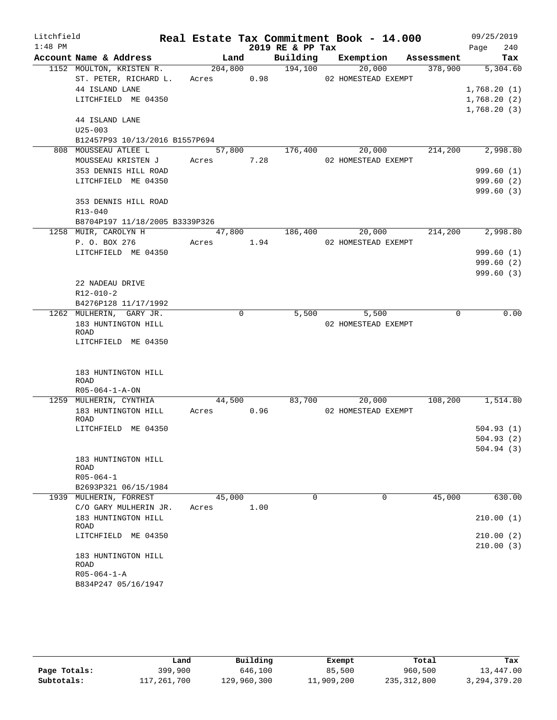| Litchfield |                                                      |        |            |      |                  | Real Estate Tax Commitment Book - 14.000 |                | 09/25/2019       |
|------------|------------------------------------------------------|--------|------------|------|------------------|------------------------------------------|----------------|------------------|
| $1:48$ PM  |                                                      |        |            |      | 2019 RE & PP Tax |                                          |                | 240<br>Page      |
|            | Account Name & Address                               |        |            | Land |                  | Building Exemption Assessment            |                | Tax              |
|            | 1152 MOULTON, KRISTEN R.                             |        |            |      | 204,800 194,100  | 20,000                                   |                | 378,900 5,304.60 |
|            | ST. PETER, RICHARD L. Acres 0.98 02 HOMESTEAD EXEMPT |        |            |      |                  |                                          |                |                  |
|            | 44 ISLAND LANE                                       |        |            |      |                  |                                          |                | 1,768.20(1)      |
|            | LITCHFIELD ME 04350                                  |        |            |      |                  |                                          |                | 1,768.20(2)      |
|            |                                                      |        |            |      |                  |                                          |                | 1,768.20(3)      |
|            | 44 ISLAND LANE                                       |        |            |      |                  |                                          |                |                  |
|            | $U25 - 003$                                          |        |            |      |                  |                                          |                |                  |
|            | B12457P93 10/13/2016 B1557P694                       |        |            |      |                  |                                          |                |                  |
|            | 808 MOUSSEAU ATLEE L                                 |        |            |      | 57,800 176,400   |                                          | 20,000 214,200 | 2,998.80         |
|            | MOUSSEAU KRISTEN J                                   |        | Acres 7.28 |      |                  | 02 HOMESTEAD EXEMPT                      |                |                  |
|            | 353 DENNIS HILL ROAD                                 |        |            |      |                  |                                          |                | 999.60(1)        |
|            | LITCHFIELD ME 04350                                  |        |            |      |                  |                                          |                | 999.60(2)        |
|            |                                                      |        |            |      |                  |                                          |                | 999.60(3)        |
|            | 353 DENNIS HILL ROAD                                 |        |            |      |                  |                                          |                |                  |
|            | R13-040                                              |        |            |      |                  |                                          |                |                  |
|            | B8704P197 11/18/2005 B3339P326                       |        |            |      |                  |                                          |                |                  |
|            | 1258 MUIR, CAROLYN H                                 |        |            |      | 47,800 186,400   | 20,000                                   | 214,200        | 2,998.80         |
|            | P. O. BOX 276                                        |        | Acres 1.94 |      |                  | 02 HOMESTEAD EXEMPT                      |                |                  |
|            | LITCHFIELD ME 04350                                  |        |            |      |                  |                                          |                | 999.60(1)        |
|            |                                                      |        |            |      |                  |                                          |                | 999.60(2)        |
|            |                                                      |        |            |      |                  |                                          |                | 999.60(3)        |
|            | 22 NADEAU DRIVE                                      |        |            |      |                  |                                          |                |                  |
|            | R12-010-2                                            |        |            |      |                  |                                          |                |                  |
|            | B4276P128 11/17/1992                                 |        | 0          |      | 5,500            | 5,500                                    | 0              | 0.00             |
|            | 1262 MULHERIN, GARY JR.<br>183 HUNTINGTON HILL       |        |            |      |                  | 02 HOMESTEAD EXEMPT                      |                |                  |
|            | ROAD                                                 |        |            |      |                  |                                          |                |                  |
|            | LITCHFIELD ME 04350                                  |        |            |      |                  |                                          |                |                  |
|            |                                                      |        |            |      |                  |                                          |                |                  |
|            |                                                      |        |            |      |                  |                                          |                |                  |
|            | 183 HUNTINGTON HILL                                  |        |            |      |                  |                                          |                |                  |
|            | ROAD                                                 |        |            |      |                  |                                          |                |                  |
|            | $R05 - 064 - 1 - A - ON$                             |        |            |      |                  |                                          |                |                  |
|            | 1259 MULHERIN, CYNTHIA                               | 44,500 |            |      | 83,700           |                                          | 20,000 108,200 | 1,514.80         |
|            | 183 HUNTINGTON HILL Acres 0.96                       |        |            |      |                  | 02 HOMESTEAD EXEMPT                      |                |                  |
|            | ROAD<br>LITCHFIELD ME 04350                          |        |            |      |                  |                                          |                | 504.93(1)        |
|            |                                                      |        |            |      |                  |                                          |                | 504.93(2)        |
|            |                                                      |        |            |      |                  |                                          |                | 504.94(3)        |
|            | 183 HUNTINGTON HILL                                  |        |            |      |                  |                                          |                |                  |
|            | ROAD                                                 |        |            |      |                  |                                          |                |                  |
|            | $R05 - 064 - 1$                                      |        |            |      |                  |                                          |                |                  |
|            | B2693P321 06/15/1984                                 |        |            |      |                  |                                          |                |                  |
|            | 1939 MULHERIN, FORREST                               |        | 45,000     |      | 0                | 0                                        | 45,000         | 630.00           |
|            | C/O GARY MULHERIN JR.                                | Acres  |            | 1.00 |                  |                                          |                |                  |
|            | 183 HUNTINGTON HILL                                  |        |            |      |                  |                                          |                | 210.00(1)        |
|            | ROAD                                                 |        |            |      |                  |                                          |                |                  |
|            | LITCHFIELD ME 04350                                  |        |            |      |                  |                                          |                | 210.00(2)        |
|            |                                                      |        |            |      |                  |                                          |                | 210.00(3)        |
|            | 183 HUNTINGTON HILL                                  |        |            |      |                  |                                          |                |                  |
|            | ROAD<br>$R05 - 064 - 1 - A$                          |        |            |      |                  |                                          |                |                  |
|            | B834P247 05/16/1947                                  |        |            |      |                  |                                          |                |                  |
|            |                                                      |        |            |      |                  |                                          |                |                  |

|              | Land        | Building    | Exempt     | Total       | Tax             |
|--------------|-------------|-------------|------------|-------------|-----------------|
| Page Totals: | 399,900     | 646,100     | 85,500     | 960,500     | 13,447.00       |
| Subtotals:   | 117,261,700 | 129,960,300 | 11,909,200 | 235,312,800 | 3, 294, 379. 20 |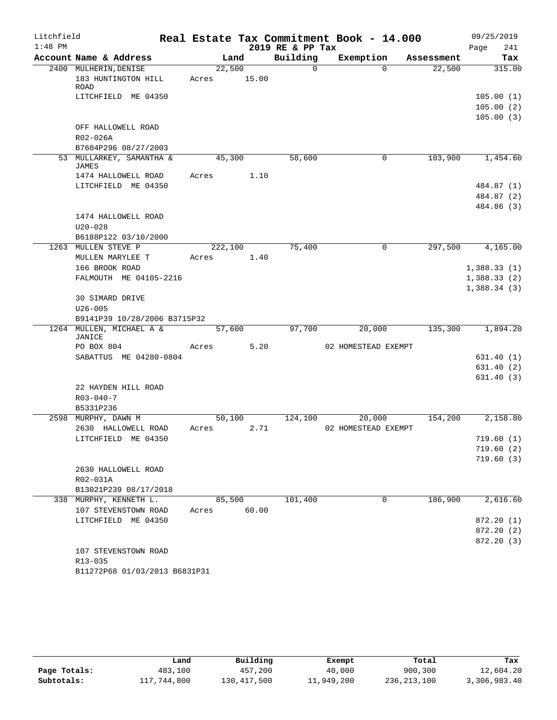| Litchfield |                                              |                 |       |                  | Real Estate Tax Commitment Book - 14.000 |            | 09/25/2019                 |
|------------|----------------------------------------------|-----------------|-------|------------------|------------------------------------------|------------|----------------------------|
| $1:48$ PM  |                                              |                 |       | 2019 RE & PP Tax |                                          |            | 241<br>Page                |
|            | Account Name & Address                       |                 | Land  | Building         | Exemption                                | Assessment | Tax                        |
|            | 2400 MULHERIN, DENISE<br>183 HUNTINGTON HILL | 22,500<br>Acres | 15.00 | $\Omega$         | $\Omega$                                 | 22,500     | 315.00                     |
|            | ROAD                                         |                 |       |                  |                                          |            |                            |
|            | LITCHFIELD ME 04350                          |                 |       |                  |                                          |            | 105.00(1)                  |
|            |                                              |                 |       |                  |                                          |            | 105.00(2)                  |
|            |                                              |                 |       |                  |                                          |            | 105.00(3)                  |
|            | OFF HALLOWELL ROAD                           |                 |       |                  |                                          |            |                            |
|            | R02-026A                                     |                 |       |                  |                                          |            |                            |
|            | B7604P296 08/27/2003                         |                 |       |                  |                                          |            |                            |
|            | 53 MULLARKEY, SAMANTHA &<br><b>JAMES</b>     | 45,300          |       | 58,600           | $\mathbf{0}$                             | 103,900    | 1,454.60                   |
|            | 1474 HALLOWELL ROAD                          | Acres           | 1.10  |                  |                                          |            |                            |
|            | LITCHFIELD ME 04350                          |                 |       |                  |                                          |            | 484.87 (1)                 |
|            |                                              |                 |       |                  |                                          |            | 484.87 (2)                 |
|            |                                              |                 |       |                  |                                          |            | 484.86 (3)                 |
|            | 1474 HALLOWELL ROAD                          |                 |       |                  |                                          |            |                            |
|            | $U20 - 028$                                  |                 |       |                  |                                          |            |                            |
|            | B6188P122 03/10/2000                         |                 |       |                  |                                          |            |                            |
|            | 1263 MULLEN STEVE P                          | 222,100         |       | 75,400           | $\mathbf 0$                              | 297,500    | 4,165.00                   |
|            | MULLEN MARYLEE T                             | Acres           | 1.40  |                  |                                          |            |                            |
|            | 166 BROOK ROAD<br>FALMOUTH ME 04105-2216     |                 |       |                  |                                          |            | 1,388.33(1)                |
|            |                                              |                 |       |                  |                                          |            | 1,388.33(2)<br>1,388.34(3) |
|            | 30 SIMARD DRIVE                              |                 |       |                  |                                          |            |                            |
|            | $U26 - 005$                                  |                 |       |                  |                                          |            |                            |
|            | B9141P39 10/28/2006 B3715P32                 |                 |       |                  |                                          |            |                            |
|            | 1264 MULLEN, MICHAEL A &                     | 57,600          |       | 97,700           | 20,000                                   | 135,300    | 1,894.20                   |
|            | JANICE                                       |                 |       |                  |                                          |            |                            |
|            | PO BOX 804                                   | Acres           | 5.20  |                  | 02 HOMESTEAD EXEMPT                      |            |                            |
|            | SABATTUS ME 04280-0804                       |                 |       |                  |                                          |            | 631.40(1)                  |
|            |                                              |                 |       |                  |                                          |            | 631.40(2)                  |
|            |                                              |                 |       |                  |                                          |            | 631.40(3)                  |
|            | 22 HAYDEN HILL ROAD<br>$R03 - 040 - 7$       |                 |       |                  |                                          |            |                            |
|            | B5331P236                                    |                 |       |                  |                                          |            |                            |
|            | 2598 MURPHY, DAWN M                          | 50,100          |       | 124,100          | 20,000                                   | 154,200    | 2,158.80                   |
|            | 2630 HALLOWELL ROAD                          | Acres           | 2.71  |                  | 02 HOMESTEAD EXEMPT                      |            |                            |
|            | LITCHFIELD ME 04350                          |                 |       |                  |                                          |            | 719.60(1)                  |
|            |                                              |                 |       |                  |                                          |            | 719.60(2)                  |
|            |                                              |                 |       |                  |                                          |            | 719.60(3)                  |
|            | 2630 HALLOWELL ROAD                          |                 |       |                  |                                          |            |                            |
|            | R02-031A                                     |                 |       |                  |                                          |            |                            |
|            | B13021P239 08/17/2018                        |                 |       |                  |                                          |            |                            |
|            | 338 MURPHY, KENNETH L.                       | 85,500          |       | 101,400          | 0                                        | 186,900    | 2,616.60                   |
|            | 107 STEVENSTOWN ROAD                         | Acres           | 60.00 |                  |                                          |            |                            |
|            | LITCHFIELD ME 04350                          |                 |       |                  |                                          |            | 872.20 (1)                 |
|            |                                              |                 |       |                  |                                          |            | 872.20 (2)                 |
|            |                                              |                 |       |                  |                                          |            | 872.20 (3)                 |
|            | 107 STEVENSTOWN ROAD                         |                 |       |                  |                                          |            |                            |
|            | R13-035                                      |                 |       |                  |                                          |            |                            |
|            | B11272P68 01/03/2013 B6831P31                |                 |       |                  |                                          |            |                            |

|              | Land        | Building    | Exempt     | Total       | Tax          |
|--------------|-------------|-------------|------------|-------------|--------------|
| Page Totals: | 483,100     | 457,200     | 40,000     | 900,300     | 12,604.20    |
| Subtotals:   | 117,744,800 | 130,417,500 | 11,949,200 | 236,213,100 | 3,306,983.40 |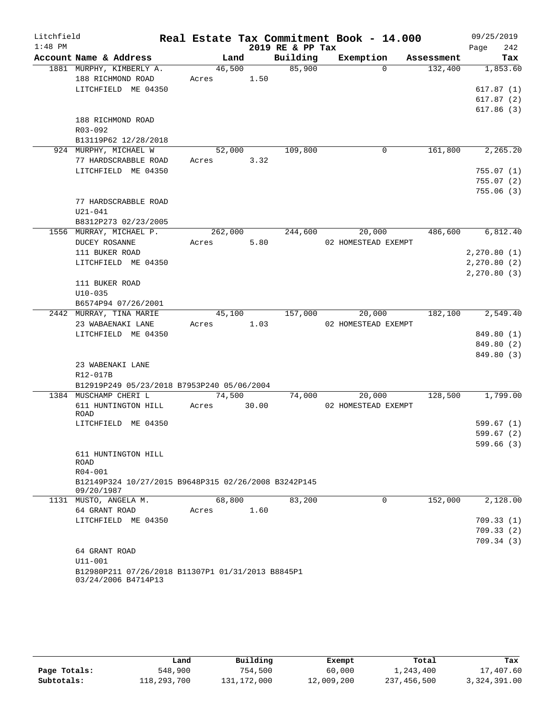| Litchfield |                                                                          |            |         |       |                  | Real Estate Tax Commitment Book - 14.000 |          |            |      | 09/25/2019   |
|------------|--------------------------------------------------------------------------|------------|---------|-------|------------------|------------------------------------------|----------|------------|------|--------------|
| $1:48$ PM  |                                                                          |            |         |       | 2019 RE & PP Tax |                                          |          |            | Page | 242          |
|            | Account Name & Address                                                   |            | Land    |       | Building         | Exemption                                |          | Assessment |      | Tax          |
|            | 1881 MURPHY, KIMBERLY A.                                                 |            | 46,500  |       | 85,900           |                                          | $\Omega$ | 132,400    |      | 1,853.60     |
|            | 188 RICHMOND ROAD                                                        | Acres 1.50 |         |       |                  |                                          |          |            |      |              |
|            | LITCHFIELD ME 04350                                                      |            |         |       |                  |                                          |          |            |      | 617.87(1)    |
|            |                                                                          |            |         |       |                  |                                          |          |            |      | 617.87(2)    |
|            |                                                                          |            |         |       |                  |                                          |          |            |      | 617.86(3)    |
|            | 188 RICHMOND ROAD                                                        |            |         |       |                  |                                          |          |            |      |              |
|            | R03-092                                                                  |            |         |       |                  |                                          |          |            |      |              |
|            | B13119P62 12/28/2018                                                     |            |         |       |                  |                                          |          |            |      |              |
|            | 924 MURPHY, MICHAEL W                                                    |            | 52,000  |       | 109,800          |                                          | 0        | 161,800    |      | 2,265.20     |
|            | 77 HARDSCRABBLE ROAD                                                     | Acres      |         | 3.32  |                  |                                          |          |            |      |              |
|            | LITCHFIELD ME 04350                                                      |            |         |       |                  |                                          |          |            |      | 755.07(1)    |
|            |                                                                          |            |         |       |                  |                                          |          |            |      | 755.07(2)    |
|            |                                                                          |            |         |       |                  |                                          |          |            |      | 755.06(3)    |
|            | 77 HARDSCRABBLE ROAD                                                     |            |         |       |                  |                                          |          |            |      |              |
|            | $U21 - 041$                                                              |            |         |       |                  |                                          |          |            |      |              |
|            | B8312P273 02/23/2005                                                     |            |         |       |                  |                                          |          |            |      |              |
|            | 1556 MURRAY, MICHAEL P.                                                  |            | 262,000 |       | 244,600          |                                          | 20,000   | 486,600    |      | 6,812.40     |
|            | DUCEY ROSANNE                                                            | Acres      |         | 5.80  |                  | 02 HOMESTEAD EXEMPT                      |          |            |      |              |
|            | 111 BUKER ROAD                                                           |            |         |       |                  |                                          |          |            |      | 2, 270.80(1) |
|            | LITCHFIELD ME 04350                                                      |            |         |       |                  |                                          |          |            |      | 2, 270.80(2) |
|            |                                                                          |            |         |       |                  |                                          |          |            |      | 2, 270.80(3) |
|            | 111 BUKER ROAD                                                           |            |         |       |                  |                                          |          |            |      |              |
|            | $U10-035$                                                                |            |         |       |                  |                                          |          |            |      |              |
|            | B6574P94 07/26/2001                                                      |            |         |       |                  |                                          |          |            |      |              |
|            | 2442 MURRAY, TINA MARIE                                                  |            | 45,100  |       | 157,000          |                                          | 20,000   | 182,100    |      | 2,549.40     |
|            | 23 WABAENAKI LANE                                                        | Acres      |         | 1.03  |                  | 02 HOMESTEAD EXEMPT                      |          |            |      |              |
|            | LITCHFIELD ME 04350                                                      |            |         |       |                  |                                          |          |            |      | 849.80 (1)   |
|            |                                                                          |            |         |       |                  |                                          |          |            |      | 849.80 (2)   |
|            |                                                                          |            |         |       |                  |                                          |          |            |      | 849.80 (3)   |
|            | 23 WABENAKI LANE                                                         |            |         |       |                  |                                          |          |            |      |              |
|            | R12-017B                                                                 |            |         |       |                  |                                          |          |            |      |              |
|            | B12919P249 05/23/2018 B7953P240 05/06/2004                               |            |         |       |                  |                                          |          |            |      |              |
|            | 1384 MUSCHAMP CHERI L                                                    |            | 74,500  |       | 74,000           |                                          | 20,000   | 128,500    |      | 1,799.00     |
|            | 611 HUNTINGTON HILL                                                      | Acres      |         | 30.00 |                  | 02 HOMESTEAD EXEMPT                      |          |            |      |              |
|            | ROAD                                                                     |            |         |       |                  |                                          |          |            |      |              |
|            | LITCHFIELD ME 04350                                                      |            |         |       |                  |                                          |          |            |      | 599.67 (1)   |
|            |                                                                          |            |         |       |                  |                                          |          |            |      | 599.67(2)    |
|            |                                                                          |            |         |       |                  |                                          |          |            |      | 599.66(3)    |
|            | 611 HUNTINGTON HILL                                                      |            |         |       |                  |                                          |          |            |      |              |
|            | ROAD                                                                     |            |         |       |                  |                                          |          |            |      |              |
|            | R04-001                                                                  |            |         |       |                  |                                          |          |            |      |              |
|            | B12149P324 10/27/2015 B9648P315 02/26/2008 B3242P145<br>09/20/1987       |            |         |       |                  |                                          |          |            |      |              |
|            | 1131 MUSTO, ANGELA M.                                                    |            | 68,800  |       | 83,200           |                                          | $\Omega$ | 152,000    |      | 2,128.00     |
|            | 64 GRANT ROAD                                                            | Acres      |         | 1.60  |                  |                                          |          |            |      |              |
|            | LITCHFIELD ME 04350                                                      |            |         |       |                  |                                          |          |            |      | 709.33(1)    |
|            |                                                                          |            |         |       |                  |                                          |          |            |      | 709.33(2)    |
|            |                                                                          |            |         |       |                  |                                          |          |            |      | 709.34(3)    |
|            | 64 GRANT ROAD                                                            |            |         |       |                  |                                          |          |            |      |              |
|            | $U11 - 001$                                                              |            |         |       |                  |                                          |          |            |      |              |
|            | B12980P211 07/26/2018 B11307P1 01/31/2013 B8845P1<br>03/24/2006 B4714P13 |            |         |       |                  |                                          |          |            |      |              |

|              | Land        | Building    | Exempt     | Total       | Tax          |
|--------------|-------------|-------------|------------|-------------|--------------|
| Page Totals: | 548,900     | 754,500     | 60,000     | 1,243,400   | 17,407.60    |
| Subtotals:   | 118,293,700 | 131,172,000 | 12,009,200 | 237,456,500 | 3,324,391.00 |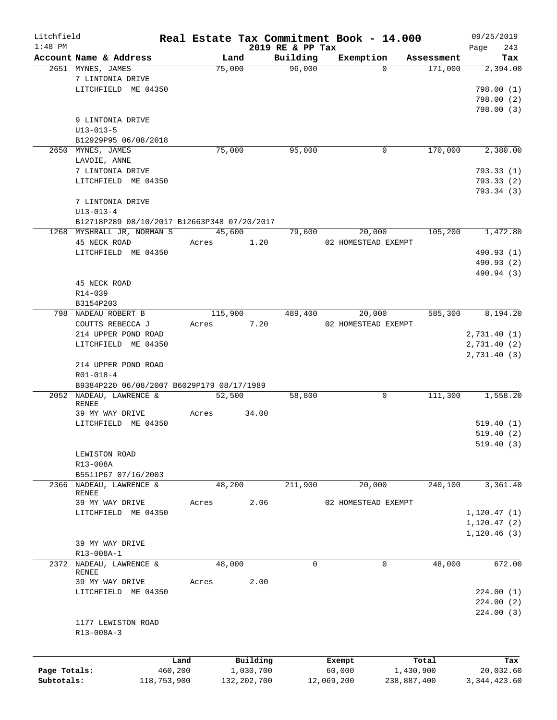| Litchfield   |                                             |         |               |                  | Real Estate Tax Commitment Book - 14.000 |             | 09/25/2019     |
|--------------|---------------------------------------------|---------|---------------|------------------|------------------------------------------|-------------|----------------|
| $1:48$ PM    |                                             |         |               | 2019 RE & PP Tax |                                          |             | 243<br>Page    |
|              | Account Name & Address                      |         | Land          | Building         | Exemption                                | Assessment  | Tax            |
|              | 2651 MYNES, JAMES                           |         | 75,000        | 96,000           | $\Omega$                                 | 171,000     | 2,394.00       |
|              | 7 LINTONIA DRIVE                            |         |               |                  |                                          |             |                |
|              | LITCHFIELD ME 04350                         |         |               |                  |                                          |             | 798.00(1)      |
|              |                                             |         |               |                  |                                          |             | 798.00 (2)     |
|              |                                             |         |               |                  |                                          |             | 798.00(3)      |
|              | 9 LINTONIA DRIVE                            |         |               |                  |                                          |             |                |
|              | $U13 - 013 - 5$                             |         |               |                  |                                          |             |                |
|              | B12929P95 06/08/2018                        |         |               |                  |                                          |             |                |
|              | 2650 MYNES, JAMES                           |         | 75,000        | 95,000           | 0                                        | 170,000     | 2,380.00       |
|              | LAVOIE, ANNE                                |         |               |                  |                                          |             |                |
|              | 7 LINTONIA DRIVE                            |         |               |                  |                                          |             | 793.33(1)      |
|              | LITCHFIELD ME 04350                         |         |               |                  |                                          |             | 793.33(2)      |
|              |                                             |         |               |                  |                                          |             | 793.34 (3)     |
|              | 7 LINTONIA DRIVE                            |         |               |                  |                                          |             |                |
|              | $U13 - 013 - 4$                             |         |               |                  |                                          |             |                |
|              | B12718P289 08/10/2017 B12663P348 07/20/2017 |         |               |                  |                                          |             |                |
|              | 1268 MYSHRALL JR, NORMAN S                  |         | 45,600        | 79,600           | 20,000                                   | 105,200     | 1,472.80       |
|              | 45 NECK ROAD                                | Acres   | 1.20          |                  | 02 HOMESTEAD EXEMPT                      |             |                |
|              | LITCHFIELD ME 04350                         |         |               |                  |                                          |             | 490.93 (1)     |
|              |                                             |         |               |                  |                                          |             | 490.93 (2)     |
|              |                                             |         |               |                  |                                          |             | 490.94 (3)     |
|              | 45 NECK ROAD                                |         |               |                  |                                          |             |                |
|              |                                             |         |               |                  |                                          |             |                |
|              | R14-039                                     |         |               |                  |                                          |             |                |
|              | B3154P203                                   |         |               |                  |                                          |             |                |
|              | 798 NADEAU ROBERT B                         |         | 115,900       | 489,400          | 20,000                                   | 585,300     | 8,194.20       |
|              | COUTTS REBECCA J                            | Acres   | 7.20          |                  | 02 HOMESTEAD EXEMPT                      |             |                |
|              | 214 UPPER POND ROAD                         |         |               |                  |                                          |             | 2,731.40 (1)   |
|              | LITCHFIELD ME 04350                         |         |               |                  |                                          |             | 2,731.40 (2)   |
|              |                                             |         |               |                  |                                          |             | 2,731.40 (3)   |
|              | 214 UPPER POND ROAD                         |         |               |                  |                                          |             |                |
|              | $R01 - 018 - 4$                             |         |               |                  |                                          |             |                |
|              | B9384P220 06/08/2007 B6029P179 08/17/1989   |         |               |                  |                                          |             |                |
| 2052         | NADEAU, LAWRENCE &                          |         | 52,500        | 58,800           | 0                                        | 111,300     | 1,558.20       |
|              | RENEE                                       |         |               |                  |                                          |             |                |
|              | 39 MY WAY DRIVE                             | Acres   | 34.00         |                  |                                          |             |                |
|              | LITCHFIELD ME 04350                         |         |               |                  |                                          |             | 519.40 (1)     |
|              |                                             |         |               |                  |                                          |             | 519.40(2)      |
|              |                                             |         |               |                  |                                          |             | 519.40(3)      |
|              | LEWISTON ROAD                               |         |               |                  |                                          |             |                |
|              | R13-008A                                    |         |               |                  |                                          |             |                |
|              | B5511P67 07/16/2003                         |         |               |                  |                                          |             |                |
|              | 2366 NADEAU, LAWRENCE &                     |         | 48,200        | 211,900          | 20,000                                   | 240,100     | 3,361.40       |
|              | RENEE                                       |         |               |                  |                                          |             |                |
|              | 39 MY WAY DRIVE                             | Acres   | 2.06          |                  | 02 HOMESTEAD EXEMPT                      |             |                |
|              | LITCHFIELD ME 04350                         |         |               |                  |                                          |             | 1, 120.47(1)   |
|              |                                             |         |               |                  |                                          |             | 1, 120.47(2)   |
|              |                                             |         |               |                  |                                          |             | 1, 120.46(3)   |
|              | 39 MY WAY DRIVE                             |         |               |                  |                                          |             |                |
|              | R13-008A-1                                  |         |               |                  |                                          |             |                |
| 2372         | NADEAU, LAWRENCE &                          |         | 48,000        | 0                | 0                                        | 48,000      | 672.00         |
|              | RENEE                                       |         |               |                  |                                          |             |                |
|              | 39 MY WAY DRIVE                             | Acres   | 2.00          |                  |                                          |             |                |
|              | LITCHFIELD ME 04350                         |         |               |                  |                                          |             | 224.00(1)      |
|              |                                             |         |               |                  |                                          |             | 224.00(2)      |
|              |                                             |         |               |                  |                                          |             | 224.00(3)      |
|              | 1177 LEWISTON ROAD                          |         |               |                  |                                          |             |                |
|              | R13-008A-3                                  |         |               |                  |                                          |             |                |
|              |                                             |         |               |                  |                                          |             |                |
|              |                                             |         |               |                  |                                          |             |                |
|              |                                             | Land    | Building      |                  | Exempt                                   | Total       | Tax            |
| Page Totals: |                                             | 460,200 | 1,030,700     |                  | 60,000                                   | 1,430,900   | 20,032.60      |
| Subtotals:   | 118,753,900                                 |         | 132, 202, 700 |                  | 12,069,200                               | 238,887,400 | 3, 344, 423.60 |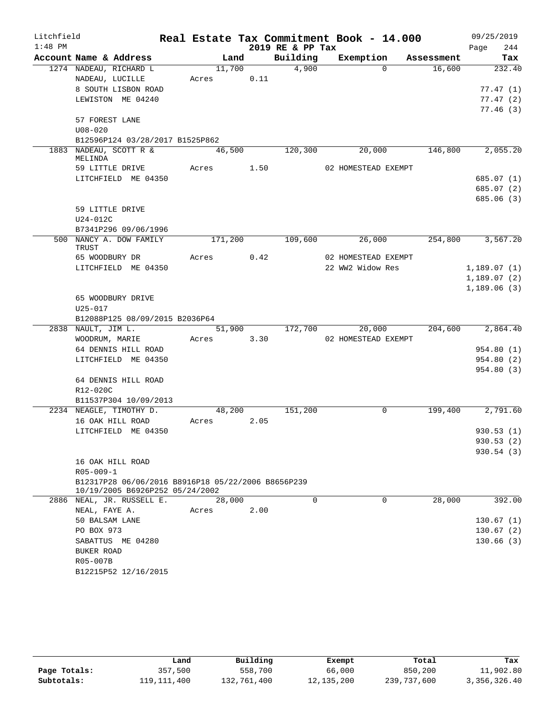| Litchfield |                        |                                                    |         |      |      |                  | Real Estate Tax Commitment Book - 14.000 |            |      | 09/25/2019  |
|------------|------------------------|----------------------------------------------------|---------|------|------|------------------|------------------------------------------|------------|------|-------------|
| $1:48$ PM  |                        |                                                    |         |      |      | 2019 RE & PP Tax |                                          |            | Page | 244         |
|            | Account Name & Address |                                                    |         | Land |      | Building         | Exemption                                | Assessment |      | Tax         |
|            |                        | 1274 NADEAU, RICHARD L                             | 11,700  |      |      | 4,900            | $\Omega$                                 | 16,600     |      | 232.40      |
|            | NADEAU, LUCILLE        |                                                    | Acres   |      | 0.11 |                  |                                          |            |      |             |
|            |                        | 8 SOUTH LISBON ROAD                                |         |      |      |                  |                                          |            |      | 77.47(1)    |
|            |                        | LEWISTON ME 04240                                  |         |      |      |                  |                                          |            |      | 77.47(2)    |
|            |                        |                                                    |         |      |      |                  |                                          |            |      | 77.46(3)    |
|            | 57 FOREST LANE         |                                                    |         |      |      |                  |                                          |            |      |             |
|            | $U08 - 020$            |                                                    |         |      |      |                  |                                          |            |      |             |
|            |                        | B12596P124 03/28/2017 B1525P862                    |         |      |      |                  |                                          |            |      |             |
|            | MELINDA                | 1883 NADEAU, SCOTT R &                             | 46,500  |      |      | 120,300          | 20,000                                   | 146,800    |      | 2,055.20    |
|            |                        | 59 LITTLE DRIVE                                    | Acres   |      | 1.50 |                  | 02 HOMESTEAD EXEMPT                      |            |      |             |
|            |                        | LITCHFIELD ME 04350                                |         |      |      |                  |                                          |            |      | 685.07 (1)  |
|            |                        |                                                    |         |      |      |                  |                                          |            |      | 685.07 (2)  |
|            |                        |                                                    |         |      |      |                  |                                          |            |      | 685.06 (3)  |
|            | 59 LITTLE DRIVE        |                                                    |         |      |      |                  |                                          |            |      |             |
|            | U24-012C               |                                                    |         |      |      |                  |                                          |            |      |             |
|            |                        | B7341P296 09/06/1996                               |         |      |      |                  |                                          |            |      |             |
| 500        | TRUST                  | NANCY A. DOW FAMILY                                | 171,200 |      |      | 109,600          | 26,000                                   | 254,800    |      | 3,567.20    |
|            | 65 WOODBURY DR         |                                                    | Acres   |      | 0.42 |                  | 02 HOMESTEAD EXEMPT                      |            |      |             |
|            |                        | LITCHFIELD ME 04350                                |         |      |      |                  | 22 WW2 Widow Res                         |            |      | 1,189.07(1) |
|            |                        |                                                    |         |      |      |                  |                                          |            |      | 1,189.07(2) |
|            |                        |                                                    |         |      |      |                  |                                          |            |      | 1,189.06(3) |
|            |                        | 65 WOODBURY DRIVE                                  |         |      |      |                  |                                          |            |      |             |
|            | $U25 - 017$            |                                                    |         |      |      |                  |                                          |            |      |             |
|            |                        | B12088P125 08/09/2015 B2036P64                     |         |      |      |                  |                                          |            |      |             |
|            |                        | 2838 NAULT, JIM L.                                 | 51,900  |      |      | 172,700          | 20,000                                   | 204,600    |      | 2,864.40    |
|            | WOODRUM, MARIE         |                                                    | Acres   |      | 3.30 |                  | 02 HOMESTEAD EXEMPT                      |            |      |             |
|            |                        | 64 DENNIS HILL ROAD                                |         |      |      |                  |                                          |            |      | 954.80 (1)  |
|            |                        | LITCHFIELD ME 04350                                |         |      |      |                  |                                          |            |      | 954.80 (2)  |
|            |                        |                                                    |         |      |      |                  |                                          |            |      | 954.80 (3)  |
|            |                        | 64 DENNIS HILL ROAD                                |         |      |      |                  |                                          |            |      |             |
|            | R12-020C               |                                                    |         |      |      |                  |                                          |            |      |             |
|            |                        | B11537P304 10/09/2013                              |         |      |      |                  |                                          |            |      |             |
|            |                        | 2234 NEAGLE, TIMOTHY D.                            | 48,200  |      | 2.05 | 151,200          | $\mathbf 0$                              | 199,400    |      | 2,791.60    |
|            | 16 OAK HILL ROAD       | LITCHFIELD ME 04350                                | Acres   |      |      |                  |                                          |            |      | 930.53(1)   |
|            |                        |                                                    |         |      |      |                  |                                          |            |      | 930.53 (2)  |
|            |                        |                                                    |         |      |      |                  |                                          |            |      | 930.54(3)   |
|            | 16 OAK HILL ROAD       |                                                    |         |      |      |                  |                                          |            |      |             |
|            | $R05 - 009 - 1$        |                                                    |         |      |      |                  |                                          |            |      |             |
|            |                        | B12317P28 06/06/2016 B8916P18 05/22/2006 B8656P239 |         |      |      |                  |                                          |            |      |             |
|            |                        | 10/19/2005 B6926P252 05/24/2002                    |         |      |      |                  |                                          |            |      |             |
|            |                        | 2886 NEAL, JR. RUSSELL E.                          | 28,000  |      |      | $\Omega$         | $\Omega$                                 | 28,000     |      | 392.00      |
|            | NEAL, FAYE A.          |                                                    | Acres   |      | 2.00 |                  |                                          |            |      |             |
|            | 50 BALSAM LANE         |                                                    |         |      |      |                  |                                          |            |      | 130.67(1)   |
|            | PO BOX 973             |                                                    |         |      |      |                  |                                          |            |      | 130.67(2)   |
|            |                        | SABATTUS ME 04280                                  |         |      |      |                  |                                          |            |      | 130.66(3)   |
|            | BUKER ROAD             |                                                    |         |      |      |                  |                                          |            |      |             |
|            | R05-007B               |                                                    |         |      |      |                  |                                          |            |      |             |
|            |                        | B12215P52 12/16/2015                               |         |      |      |                  |                                          |            |      |             |

|              | Land        | Building    | Exempt       | Total       | Tax          |
|--------------|-------------|-------------|--------------|-------------|--------------|
| Page Totals: | 357,500     | 558,700     | 66,000       | 850,200     | 11,902.80    |
| Subtotals:   | 119,111,400 | 132,761,400 | 12, 135, 200 | 239,737,600 | 3,356,326.40 |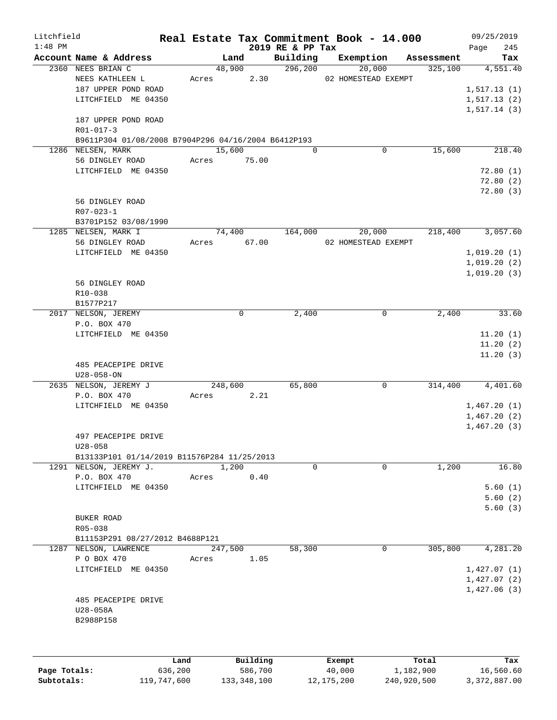| Litchfield |                                                                          |             |         |             |                              | Real Estate Tax Commitment Book - 14.000 |             |            | 09/25/2019                 |
|------------|--------------------------------------------------------------------------|-------------|---------|-------------|------------------------------|------------------------------------------|-------------|------------|----------------------------|
| $1:48$ PM  | Account Name & Address                                                   |             | Land    |             | 2019 RE & PP Tax<br>Building | Exemption                                |             | Assessment | 245<br>Page<br>Tax         |
|            | 2360 NEES BRIAN C                                                        |             | 48,900  |             | 296,200                      | 20,000                                   |             | 325,100    | 4,551.40                   |
|            | NEES KATHLEEN L                                                          | Acres       |         | 2.30        |                              | 02 HOMESTEAD EXEMPT                      |             |            |                            |
|            | 187 UPPER POND ROAD                                                      |             |         |             |                              |                                          |             |            | 1, 517.13(1)               |
|            | LITCHFIELD ME 04350                                                      |             |         |             |                              |                                          |             |            | 1, 517.13(2)               |
|            |                                                                          |             |         |             |                              |                                          |             |            | 1,517.14(3)                |
|            | 187 UPPER POND ROAD                                                      |             |         |             |                              |                                          |             |            |                            |
|            | $R01 - 017 - 3$                                                          |             |         |             |                              |                                          |             |            |                            |
|            | B9611P304 01/08/2008 B7904P296 04/16/2004 B6412P193<br>1286 NELSEN, MARK |             | 15,600  |             | $\Omega$                     |                                          | $\mathbf 0$ | 15,600     | 218.40                     |
|            | 56 DINGLEY ROAD                                                          |             |         | Acres 75.00 |                              |                                          |             |            |                            |
|            | LITCHFIELD ME 04350                                                      |             |         |             |                              |                                          |             |            | 72.80(1)                   |
|            |                                                                          |             |         |             |                              |                                          |             |            | 72.80(2)                   |
|            |                                                                          |             |         |             |                              |                                          |             |            | 72.80(3)                   |
|            | 56 DINGLEY ROAD                                                          |             |         |             |                              |                                          |             |            |                            |
|            | $R07 - 023 - 1$                                                          |             |         |             |                              |                                          |             |            |                            |
|            | B3701P152 03/08/1990                                                     |             |         |             |                              |                                          |             |            |                            |
|            | 1285 NELSEN, MARK I                                                      |             | 74,400  |             | 164,000                      |                                          | 20,000      | 218,400    | 3,057.60                   |
|            | 56 DINGLEY ROAD                                                          | Acres 67.00 |         |             |                              | 02 HOMESTEAD EXEMPT                      |             |            |                            |
|            | LITCHFIELD ME 04350                                                      |             |         |             |                              |                                          |             |            | 1,019.20(1)<br>1,019.20(2) |
|            |                                                                          |             |         |             |                              |                                          |             |            | 1,019.20(3)                |
|            | 56 DINGLEY ROAD                                                          |             |         |             |                              |                                          |             |            |                            |
|            | R10-038                                                                  |             |         |             |                              |                                          |             |            |                            |
|            | B1577P217                                                                |             |         |             |                              |                                          |             |            |                            |
|            | 2017 NELSON, JEREMY                                                      |             |         | $\mathbf 0$ | 2,400                        |                                          | 0           | 2,400      | 33.60                      |
|            | P.O. BOX 470                                                             |             |         |             |                              |                                          |             |            |                            |
|            | LITCHFIELD ME 04350                                                      |             |         |             |                              |                                          |             |            | 11.20(1)                   |
|            |                                                                          |             |         |             |                              |                                          |             |            | 11.20(2)                   |
|            |                                                                          |             |         |             |                              |                                          |             |            | 11.20(3)                   |
|            | 485 PEACEPIPE DRIVE<br>$U28 - 058 - ON$                                  |             |         |             |                              |                                          |             |            |                            |
|            | 2635 NELSON, JEREMY J                                                    |             | 248,600 |             | 65,800                       |                                          | $\mathbf 0$ | 314,400    | 4,401.60                   |
|            | P.O. BOX 470                                                             | Acres       |         | 2.21        |                              |                                          |             |            |                            |
|            | LITCHFIELD ME 04350                                                      |             |         |             |                              |                                          |             |            | 1,467.20(1)                |
|            |                                                                          |             |         |             |                              |                                          |             |            | 1,467.20(2)                |
|            |                                                                          |             |         |             |                              |                                          |             |            | 1,467.20(3)                |
|            | 497 PEACEPIPE DRIVE                                                      |             |         |             |                              |                                          |             |            |                            |
|            | $U28 - 058$                                                              |             |         |             |                              |                                          |             |            |                            |
|            | B13133P101 01/14/2019 B11576P284 11/25/2013                              |             | 1,200   |             | $\Omega$                     |                                          | $\Omega$    | 1,200      | 16.80                      |
|            | 1291 NELSON, JEREMY J.<br>P.O. BOX 470                                   | Acres       |         | 0.40        |                              |                                          |             |            |                            |
|            | LITCHFIELD ME 04350                                                      |             |         |             |                              |                                          |             |            | 5.60(1)                    |
|            |                                                                          |             |         |             |                              |                                          |             |            | 5.60(2)                    |
|            |                                                                          |             |         |             |                              |                                          |             |            | 5.60(3)                    |
|            | BUKER ROAD                                                               |             |         |             |                              |                                          |             |            |                            |
|            | R05-038                                                                  |             |         |             |                              |                                          |             |            |                            |
|            | B11153P291 08/27/2012 B4688P121                                          |             |         |             |                              |                                          |             |            |                            |
|            | 1287 NELSON, LAWRENCE                                                    |             | 247,500 |             | 58,300                       |                                          | 0           | 305,800    | 4,281.20                   |
|            | P O BOX 470                                                              | Acres       |         | 1.05        |                              |                                          |             |            |                            |
|            | LITCHFIELD ME 04350                                                      |             |         |             |                              |                                          |             |            | 1,427.07(1)<br>1,427.07(2) |
|            |                                                                          |             |         |             |                              |                                          |             |            | 1,427.06(3)                |
|            | 485 PEACEPIPE DRIVE                                                      |             |         |             |                              |                                          |             |            |                            |
|            | U28-058A                                                                 |             |         |             |                              |                                          |             |            |                            |
|            | B2988P158                                                                |             |         |             |                              |                                          |             |            |                            |
|            |                                                                          |             |         |             |                              |                                          |             |            |                            |
|            |                                                                          |             |         |             |                              |                                          |             |            |                            |
|            |                                                                          | Land        |         | Building    |                              | Exempt                                   |             | Total      | Tax                        |

|              | Land        | Building    | Exempt     | Total       | Tax          |
|--------------|-------------|-------------|------------|-------------|--------------|
| Page Totals: | 636,200     | 586,700     | 40,000     | 1,182,900   | 16,560.60    |
| Subtotals:   | 119,747,600 | 133,348,100 | 12,175,200 | 240,920,500 | 3,372,887.00 |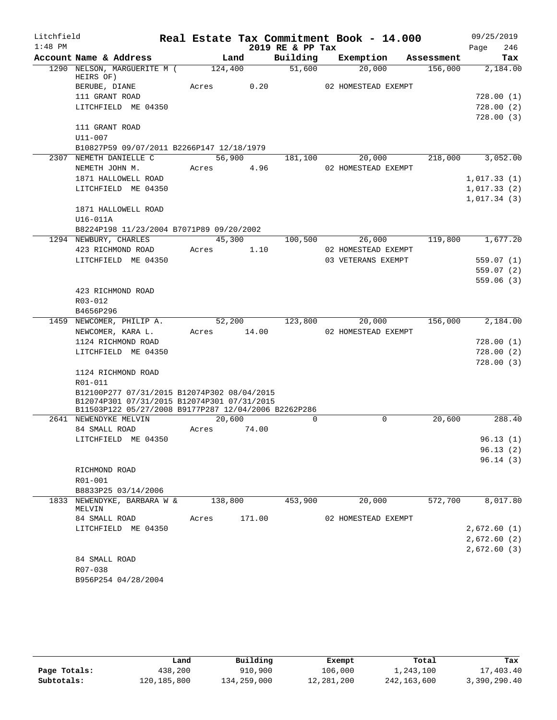| Litchfield |                                                      |             |        |                  | Real Estate Tax Commitment Book - 14.000 |         |                  | 09/25/2019             |
|------------|------------------------------------------------------|-------------|--------|------------------|------------------------------------------|---------|------------------|------------------------|
| $1:48$ PM  |                                                      |             |        | 2019 RE & PP Tax |                                          |         | Page             | 246                    |
|            | Account Name & Address                               | Land        |        |                  | Building Exemption Assessment            |         |                  | Tax                    |
|            | 1290 NELSON, MARGUERITE M (124,400<br>HEIRS OF)      |             |        | 51,600           | 20,000                                   | 156,000 |                  | 2,184.00               |
|            | BERUBE, DIANE                                        | Acres       | 0.20   |                  | 02 HOMESTEAD EXEMPT                      |         |                  |                        |
|            | 111 GRANT ROAD                                       |             |        |                  |                                          |         |                  | 728.00(1)              |
|            | LITCHFIELD ME 04350                                  |             |        |                  |                                          |         |                  | 728.00(2)              |
|            |                                                      |             |        |                  |                                          |         |                  | 728.00(3)              |
|            | 111 GRANT ROAD                                       |             |        |                  |                                          |         |                  |                        |
|            | U11-007                                              |             |        |                  |                                          |         |                  |                        |
|            | B10827P59 09/07/2011 B2266P147 12/18/1979            |             |        |                  |                                          |         |                  |                        |
|            | 2307 NEMETH DANIELLE C                               | 56,900      |        | 181,100          | 20,000                                   |         | 218,000 3,052.00 |                        |
|            | NEMETH JOHN M.                                       | Acres 4.96  |        |                  | 02 HOMESTEAD EXEMPT                      |         |                  |                        |
|            | 1871 HALLOWELL ROAD                                  |             |        |                  |                                          |         | 1,017.33(1)      |                        |
|            | LITCHFIELD ME 04350                                  |             |        |                  |                                          |         | 1,017.33(2)      |                        |
|            |                                                      |             |        |                  |                                          |         | 1,017.34(3)      |                        |
|            | 1871 HALLOWELL ROAD                                  |             |        |                  |                                          |         |                  |                        |
|            | U16-011A                                             |             |        |                  |                                          |         |                  |                        |
|            | B8224P198 11/23/2004 B7071P89 09/20/2002             |             |        |                  |                                          |         |                  |                        |
|            | 1294 NEWBURY, CHARLES                                |             | 45,300 |                  | 100,500 26,000                           | 119,800 |                  | 1,677.20               |
|            | 423 RICHMOND ROAD                                    | Acres 1.10  |        |                  | 02 HOMESTEAD EXEMPT                      |         |                  |                        |
|            | LITCHFIELD ME 04350                                  |             |        |                  | 03 VETERANS EXEMPT                       |         |                  | 559.07(1)              |
|            |                                                      |             |        |                  |                                          |         |                  | 559.07(2)<br>559.06(3) |
|            | 423 RICHMOND ROAD                                    |             |        |                  |                                          |         |                  |                        |
|            | R03-012                                              |             |        |                  |                                          |         |                  |                        |
|            | B4656P296                                            |             |        |                  |                                          |         |                  |                        |
|            | 1459 NEWCOMER, PHILIP A.                             |             |        |                  | 52,200 123,800 20,000                    |         | 156,000 2,184.00 |                        |
|            | NEWCOMER, KARA L.                                    | Acres 14.00 |        |                  | 02 HOMESTEAD EXEMPT                      |         |                  |                        |
|            | 1124 RICHMOND ROAD                                   |             |        |                  |                                          |         |                  | 728.00(1)              |
|            | LITCHFIELD ME 04350                                  |             |        |                  |                                          |         |                  | 728.00(2)              |
|            |                                                      |             |        |                  |                                          |         |                  | 728.00(3)              |
|            | 1124 RICHMOND ROAD                                   |             |        |                  |                                          |         |                  |                        |
|            | R01-011                                              |             |        |                  |                                          |         |                  |                        |
|            | B12100P277 07/31/2015 B12074P302 08/04/2015          |             |        |                  |                                          |         |                  |                        |
|            | B12074P301 07/31/2015 B12074P301 07/31/2015          |             |        |                  |                                          |         |                  |                        |
|            | B11503P122 05/27/2008 B9177P287 12/04/2006 B2262P286 |             |        |                  | $\Omega$                                 |         |                  |                        |
|            | 2641 NEWENDYKE MELVIN<br>84 SMALL ROAD               | 20,600      |        | $\Omega$         |                                          | 20,600  |                  | 288.40                 |
|            |                                                      | Acres       | 74.00  |                  |                                          |         |                  |                        |
|            | LITCHFIELD ME 04350                                  |             |        |                  |                                          |         |                  | 96.13(1)<br>96.13(2)   |
|            |                                                      |             |        |                  |                                          |         |                  | 96.14(3)               |
|            | RICHMOND ROAD                                        |             |        |                  |                                          |         |                  |                        |
|            | R01-001                                              |             |        |                  |                                          |         |                  |                        |
|            | B8833P25 03/14/2006                                  |             |        |                  |                                          |         |                  |                        |
|            | 1833 NEWENDYKE, BARBARA W &                          | 138,800     |        | 453,900          | 20,000                                   | 572,700 |                  | 8,017.80               |
|            | MELVIN                                               |             |        |                  |                                          |         |                  |                        |
|            | 84 SMALL ROAD                                        | Acres       | 171.00 |                  | 02 HOMESTEAD EXEMPT                      |         |                  |                        |
|            | LITCHFIELD ME 04350                                  |             |        |                  |                                          |         | 2,672.60(1)      |                        |
|            |                                                      |             |        |                  |                                          |         | 2,672.60(2)      |                        |
|            |                                                      |             |        |                  |                                          |         | 2,672.60(3)      |                        |
|            | 84 SMALL ROAD                                        |             |        |                  |                                          |         |                  |                        |
|            | R07-038                                              |             |        |                  |                                          |         |                  |                        |
|            | B956P254 04/28/2004                                  |             |        |                  |                                          |         |                  |                        |

|              | Land          | Building    | Exempt     | Total       | Tax          |
|--------------|---------------|-------------|------------|-------------|--------------|
| Page Totals: | 438,200       | 910,900     | 106,000    | 1,243,100   | 17,403.40    |
| Subtotals:   | 120, 185, 800 | 134,259,000 | 12,281,200 | 242,163,600 | 3,390,290.40 |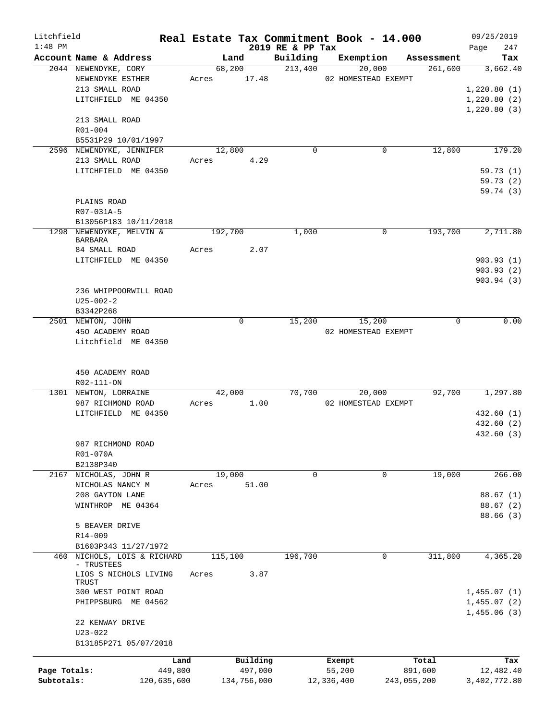| Litchfield                 |                                     |       |         |                        |                              |            | Real Estate Tax Commitment Book - 14.000 |                        | 09/25/2019                |
|----------------------------|-------------------------------------|-------|---------|------------------------|------------------------------|------------|------------------------------------------|------------------------|---------------------------|
| $1:48$ PM                  | Account Name & Address              |       | Land    |                        | 2019 RE & PP Tax<br>Building |            | Exemption                                | Assessment             | 247<br>Page<br>Tax        |
|                            | 2044 NEWENDYKE, CORY                |       | 68,200  |                        | 213,400                      |            | 20,000                                   | 261,600                | 3,662.40                  |
|                            | NEWENDYKE ESTHER                    |       |         | Acres 17.48            |                              |            | 02 HOMESTEAD EXEMPT                      |                        |                           |
|                            | 213 SMALL ROAD                      |       |         |                        |                              |            |                                          |                        | 1,220.80(1)               |
|                            | LITCHFIELD ME 04350                 |       |         |                        |                              |            |                                          |                        | 1,220.80(2)               |
|                            |                                     |       |         |                        |                              |            |                                          |                        | 1,220.80(3)               |
|                            | 213 SMALL ROAD                      |       |         |                        |                              |            |                                          |                        |                           |
|                            | R01-004                             |       |         |                        |                              |            |                                          |                        |                           |
|                            | B5531P29 10/01/1997                 |       |         |                        |                              |            |                                          |                        |                           |
|                            | 2596 NEWENDYKE, JENNIFER            |       | 12,800  |                        | $\Omega$                     |            | 0                                        | 12,800                 | 179.20                    |
|                            | 213 SMALL ROAD                      |       |         | Acres 4.29             |                              |            |                                          |                        |                           |
|                            | LITCHFIELD ME 04350                 |       |         |                        |                              |            |                                          |                        | 59.73(1)                  |
|                            |                                     |       |         |                        |                              |            |                                          |                        | 59.73(2)                  |
|                            |                                     |       |         |                        |                              |            |                                          |                        | 59.74 (3)                 |
|                            | PLAINS ROAD<br>R07-031A-5           |       |         |                        |                              |            |                                          |                        |                           |
|                            | B13056P183 10/11/2018               |       |         |                        |                              |            |                                          |                        |                           |
|                            | 1298 NEWENDYKE, MELVIN &            |       | 192,700 |                        | 1,000                        |            | $\Omega$                                 | 193,700                | 2,711.80                  |
|                            | <b>BARBARA</b>                      |       |         |                        |                              |            |                                          |                        |                           |
|                            | 84 SMALL ROAD                       | Acres |         | 2.07                   |                              |            |                                          |                        |                           |
|                            | LITCHFIELD ME 04350                 |       |         |                        |                              |            |                                          |                        | 903.93(1)                 |
|                            |                                     |       |         |                        |                              |            |                                          |                        | 903.93(2)                 |
|                            |                                     |       |         |                        |                              |            |                                          |                        | 903.94 (3)                |
|                            | 236 WHIPPOORWILL ROAD               |       |         |                        |                              |            |                                          |                        |                           |
|                            | $U25 - 002 - 2$                     |       |         |                        |                              |            |                                          |                        |                           |
|                            | B3342P268                           |       |         |                        |                              |            |                                          |                        |                           |
|                            | 2501 NEWTON, JOHN                   |       |         | $\mathbf 0$            | 15,200                       |            | 15,200                                   | $\Omega$               | 0.00                      |
|                            | 450 ACADEMY ROAD                    |       |         |                        |                              |            | 02 HOMESTEAD EXEMPT                      |                        |                           |
|                            | Litchfield ME 04350                 |       |         |                        |                              |            |                                          |                        |                           |
|                            | 450 ACADEMY ROAD                    |       |         |                        |                              |            |                                          |                        |                           |
|                            | R02-111-ON                          |       |         |                        |                              |            |                                          |                        |                           |
|                            | 1301 NEWTON, LORRAINE               |       | 42,000  |                        | 70,700                       |            | 20,000                                   | 92,700                 | 1,297.80                  |
|                            | 987 RICHMOND ROAD                   | Acres |         | 1.00                   |                              |            | 02 HOMESTEAD EXEMPT                      |                        |                           |
|                            | LITCHFIELD ME 04350                 |       |         |                        |                              |            |                                          |                        | 432.60 (1)                |
|                            |                                     |       |         |                        |                              |            |                                          |                        | 432.60(2)                 |
|                            |                                     |       |         |                        |                              |            |                                          |                        | 432.60 (3)                |
|                            | 987 RICHMOND ROAD                   |       |         |                        |                              |            |                                          |                        |                           |
|                            | R01-070A                            |       |         |                        |                              |            |                                          |                        |                           |
|                            | B2138P340                           |       |         |                        |                              |            |                                          |                        |                           |
|                            | 2167 NICHOLAS, JOHN R               |       | 19,000  |                        | 0                            |            | 0                                        | 19,000                 | 266.00                    |
|                            | NICHOLAS NANCY M<br>208 GAYTON LANE | Acres |         | 51.00                  |                              |            |                                          |                        | 88.67(1)                  |
|                            | WINTHROP ME 04364                   |       |         |                        |                              |            |                                          |                        | 88.67(2)                  |
|                            |                                     |       |         |                        |                              |            |                                          |                        | 88.66(3)                  |
|                            | 5 BEAVER DRIVE                      |       |         |                        |                              |            |                                          |                        |                           |
|                            | R14-009                             |       |         |                        |                              |            |                                          |                        |                           |
|                            | B1603P343 11/27/1972                |       |         |                        |                              |            |                                          |                        |                           |
| 460                        | NICHOLS, LOIS & RICHARD             |       | 115,100 |                        | 196,700                      |            | 0                                        | 311,800                | 4,365.20                  |
|                            | - TRUSTEES                          |       |         |                        |                              |            |                                          |                        |                           |
|                            | LIOS S NICHOLS LIVING               | Acres |         | 3.87                   |                              |            |                                          |                        |                           |
|                            | TRUST<br>300 WEST POINT ROAD        |       |         |                        |                              |            |                                          |                        | 1,455.07(1)               |
|                            | PHIPPSBURG ME 04562                 |       |         |                        |                              |            |                                          |                        | 1,455.07(2)               |
|                            |                                     |       |         |                        |                              |            |                                          |                        | 1,455.06(3)               |
|                            | 22 KENWAY DRIVE                     |       |         |                        |                              |            |                                          |                        |                           |
|                            | $U23 - 022$                         |       |         |                        |                              |            |                                          |                        |                           |
|                            | B13185P271 05/07/2018               |       |         |                        |                              |            |                                          |                        |                           |
|                            | Land                                |       |         | Building               |                              |            | Exempt                                   | Total                  | Tax                       |
| Page Totals:<br>Subtotals: | 449,800<br>120,635,600              |       |         | 497,000<br>134,756,000 |                              | 12,336,400 | 55,200                                   | 891,600<br>243,055,200 | 12,482.40<br>3,402,772.80 |
|                            |                                     |       |         |                        |                              |            |                                          |                        |                           |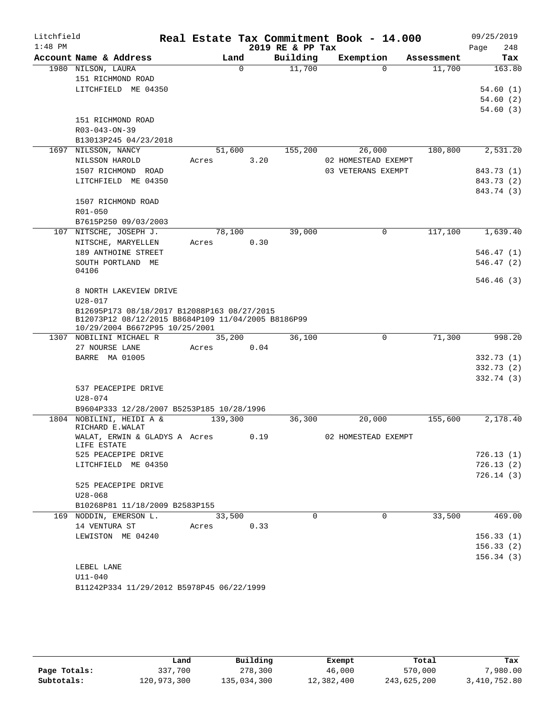| Litchfield |                                                           |         |          |                  | Real Estate Tax Commitment Book - 14.000 |            | 09/25/2019           |
|------------|-----------------------------------------------------------|---------|----------|------------------|------------------------------------------|------------|----------------------|
| $1:48$ PM  |                                                           |         |          | 2019 RE & PP Tax |                                          |            | 248<br>Page          |
|            | Account Name & Address                                    | Land    |          | Building         | Exemption                                | Assessment | Tax                  |
|            | 1980 NILSON, LAURA                                        |         | $\Omega$ | 11,700           | $\Omega$                                 | 11,700     | 163.80               |
|            | 151 RICHMOND ROAD                                         |         |          |                  |                                          |            |                      |
|            | LITCHFIELD ME 04350                                       |         |          |                  |                                          |            | 54.60(1)             |
|            |                                                           |         |          |                  |                                          |            | 54.60(2)<br>54.60(3) |
|            | 151 RICHMOND ROAD                                         |         |          |                  |                                          |            |                      |
|            | R03-043-ON-39                                             |         |          |                  |                                          |            |                      |
|            | B13013P245 04/23/2018                                     |         |          |                  |                                          |            |                      |
|            | 1697 NILSSON, NANCY                                       | 51,600  |          | 155,200          | 26,000                                   | 180,800    | 2,531.20             |
|            | NILSSON HAROLD                                            | Acres   | 3.20     |                  | 02 HOMESTEAD EXEMPT                      |            |                      |
|            | 1507 RICHMOND ROAD                                        |         |          |                  | 03 VETERANS EXEMPT                       |            | 843.73 (1)           |
|            | LITCHFIELD ME 04350                                       |         |          |                  |                                          |            | 843.73 (2)           |
|            |                                                           |         |          |                  |                                          |            | 843.74 (3)           |
|            | 1507 RICHMOND ROAD                                        |         |          |                  |                                          |            |                      |
|            | R01-050                                                   |         |          |                  |                                          |            |                      |
|            | B7615P250 09/03/2003                                      |         |          |                  |                                          |            |                      |
|            | 107 NITSCHE, JOSEPH J.                                    | 78,100  |          | 39,000           | $\Omega$                                 | 117,100    | 1,639.40             |
|            | NITSCHE, MARYELLEN                                        | Acres   | 0.30     |                  |                                          |            |                      |
|            | 189 ANTHOINE STREET                                       |         |          |                  |                                          |            | 546.47 (1)           |
|            | SOUTH PORTLAND ME<br>04106                                |         |          |                  |                                          |            | 546.47(2)            |
|            |                                                           |         |          |                  |                                          |            | 546.46(3)            |
|            | 8 NORTH LAKEVIEW DRIVE                                    |         |          |                  |                                          |            |                      |
|            | $U28 - 017$                                               |         |          |                  |                                          |            |                      |
|            | B12695P173 08/18/2017 B12088P163 08/27/2015               |         |          |                  |                                          |            |                      |
|            | B12073P12 08/12/2015 B8684P109 11/04/2005 B8186P99        |         |          |                  |                                          |            |                      |
|            | 10/29/2004 B6672P95 10/25/2001<br>1307 NOBILINI MICHAEL R | 35,200  |          | 36,100           | $\mathbf 0$                              | 71,300     | 998.20               |
|            | 27 NOURSE LANE                                            | Acres   | 0.04     |                  |                                          |            |                      |
|            | <b>BARRE MA 01005</b>                                     |         |          |                  |                                          |            | 332.73(1)            |
|            |                                                           |         |          |                  |                                          |            | 332.73(2)            |
|            |                                                           |         |          |                  |                                          |            | 332.74(3)            |
|            | 537 PEACEPIPE DRIVE                                       |         |          |                  |                                          |            |                      |
|            | U28-074                                                   |         |          |                  |                                          |            |                      |
|            | B9604P333 12/28/2007 B5253P185 10/28/1996                 |         |          |                  |                                          |            |                      |
|            | 1804 NOBILINI, HEIDI A &                                  | 139,300 |          | 36,300           | 20,000                                   | 155,600    | 2,178.40             |
|            | RICHARD E.WALAT<br>WALAT, ERWIN & GLADYS A Acres          |         | 0.19     |                  | 02 HOMESTEAD EXEMPT                      |            |                      |
|            | LIFE ESTATE                                               |         |          |                  |                                          |            |                      |
|            | 525 PEACEPIPE DRIVE                                       |         |          |                  |                                          |            | 726.13(1)            |
|            | LITCHFIELD ME 04350                                       |         |          |                  |                                          |            | 726.13(2)            |
|            |                                                           |         |          |                  |                                          |            | 726.14(3)            |
|            | 525 PEACEPIPE DRIVE                                       |         |          |                  |                                          |            |                      |
|            | $U28 - 068$                                               |         |          |                  |                                          |            |                      |
|            | B10268P81 11/18/2009 B2583P155                            |         |          |                  |                                          |            |                      |
|            | 169 NODDIN, EMERSON L.                                    | 33,500  |          | $\Omega$         | $\Omega$                                 | 33,500     | 469.00               |
|            | 14 VENTURA ST                                             | Acres   | 0.33     |                  |                                          |            |                      |
|            | LEWISTON ME 04240                                         |         |          |                  |                                          |            | 156.33(1)            |
|            |                                                           |         |          |                  |                                          |            | 156.33(2)            |
|            | LEBEL LANE                                                |         |          |                  |                                          |            | 156.34(3)            |
|            | $U11 - 040$                                               |         |          |                  |                                          |            |                      |
|            | B11242P334 11/29/2012 B5978P45 06/22/1999                 |         |          |                  |                                          |            |                      |
|            |                                                           |         |          |                  |                                          |            |                      |

|              | Land        | Building    | Exempt     | Total       | Tax          |
|--------------|-------------|-------------|------------|-------------|--------------|
| Page Totals: | 337,700     | 278,300     | 46,000     | 570,000     | ,980.00      |
| Subtotals:   | 120,973,300 | 135,034,300 | 12,382,400 | 243,625,200 | 3,410,752.80 |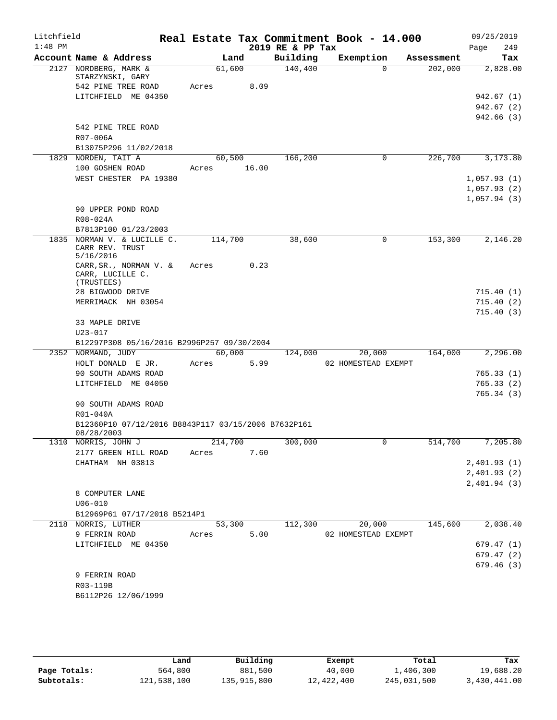| Litchfield |                                                                         |       |                 |       | Real Estate Tax Commitment Book - 14.000 |                               |          |            | 09/25/2019                 |                                      |
|------------|-------------------------------------------------------------------------|-------|-----------------|-------|------------------------------------------|-------------------------------|----------|------------|----------------------------|--------------------------------------|
| $1:48$ PM  |                                                                         |       |                 |       | 2019 RE & PP Tax                         |                               |          |            | Page                       | 249                                  |
|            | Account Name & Address                                                  |       |                 | Land  | Building                                 | Exemption                     |          | Assessment |                            | Tax                                  |
|            | 2127 NORDBERG, MARK &<br>STARZYNSKI, GARY<br>542 PINE TREE ROAD         | Acres | 61,600          | 8.09  | 140,400                                  |                               | $\Omega$ | 202,000    |                            | 2,828.00                             |
|            | LITCHFIELD ME 04350                                                     |       |                 |       |                                          |                               |          |            |                            | 942.67(1)<br>942.67 (2)<br>942.66(3) |
|            | 542 PINE TREE ROAD<br>R07-006A                                          |       |                 |       |                                          |                               |          |            |                            |                                      |
|            | B13075P296 11/02/2018<br>1829 NORDEN, TAIT A                            |       | 60,500          |       | 166,200                                  |                               | 0        | 226,700    |                            | 3,173.80                             |
|            | 100 GOSHEN ROAD<br>WEST CHESTER PA 19380                                | Acres |                 | 16.00 |                                          |                               |          |            | 1,057.93(1)<br>1,057.93(2) |                                      |
|            | 90 UPPER POND ROAD<br>R08-024A                                          |       |                 |       |                                          |                               |          |            | 1,057.94(3)                |                                      |
|            | B7813P100 01/23/2003                                                    |       |                 |       |                                          |                               |          |            |                            |                                      |
|            | 1835 NORMAN V. & LUCILLE C.<br>CARR REV. TRUST<br>5/16/2016             |       | 114,700         |       | 38,600                                   |                               | 0        | 153,300    |                            | 2,146.20                             |
|            | CARR, SR., NORMAN V. &<br>CARR, LUCILLE C.<br>(TRUSTEES)                | Acres |                 | 0.23  |                                          |                               |          |            |                            |                                      |
|            | 28 BIGWOOD DRIVE                                                        |       |                 |       |                                          |                               |          |            |                            | 715.40 (1)                           |
|            | MERRIMACK NH 03054                                                      |       |                 |       |                                          |                               |          |            |                            | 715.40 (2)                           |
|            | 33 MAPLE DRIVE<br>U23-017<br>B12297P308 05/16/2016 B2996P257 09/30/2004 |       |                 |       |                                          |                               |          |            |                            | 715.40 (3)                           |
|            | 2352 NORMAND, JUDY                                                      |       | 60,000          |       | 124,000                                  | 20,000                        |          | 164,000    |                            | 2,296.00                             |
|            | HOLT DONALD E JR.                                                       | Acres |                 | 5.99  |                                          | 02 HOMESTEAD EXEMPT           |          |            |                            |                                      |
|            | 90 SOUTH ADAMS ROAD                                                     |       |                 |       |                                          |                               |          |            |                            | 765.33(1)                            |
|            | LITCHFIELD ME 04050<br>90 SOUTH ADAMS ROAD                              |       |                 |       |                                          |                               |          |            |                            | 765.33(2)<br>765.34(3)               |
|            | R01-040A                                                                |       |                 |       |                                          |                               |          |            |                            |                                      |
|            | B12360P10 07/12/2016 B8843P117 03/15/2006 B7632P161<br>08/28/2003       |       |                 |       |                                          |                               |          |            |                            |                                      |
|            | 1310 NORRIS, JOHN J                                                     |       | 214,700         |       | 300,000                                  |                               | 0        | 514,700    |                            | 7,205.80                             |
|            | 2177 GREEN HILL ROAD                                                    | Acres |                 | 7.60  |                                          |                               |          |            |                            |                                      |
|            | CHATHAM NH 03813                                                        |       |                 |       |                                          |                               |          |            | 2,401.93(1)                |                                      |
|            |                                                                         |       |                 |       |                                          |                               |          |            | 2,401.93(2)<br>2,401.94(3) |                                      |
|            | 8 COMPUTER LANE                                                         |       |                 |       |                                          |                               |          |            |                            |                                      |
|            | $U06 - 010$                                                             |       |                 |       |                                          |                               |          |            |                            |                                      |
|            | B12969P61 07/17/2018 B5214P1                                            |       |                 |       |                                          |                               |          |            |                            |                                      |
|            | 2118 NORRIS, LUTHER<br>9 FERRIN ROAD                                    |       | 53,300<br>Acres | 5.00  | 112,300                                  | 20,000<br>02 HOMESTEAD EXEMPT |          | 145,600    |                            | 2,038.40                             |
|            | LITCHFIELD ME 04350                                                     |       |                 |       |                                          |                               |          |            |                            | 679.47(1)                            |
|            |                                                                         |       |                 |       |                                          |                               |          |            |                            | 679.47(2)                            |
|            |                                                                         |       |                 |       |                                          |                               |          |            |                            | 679.46(3)                            |
|            | 9 FERRIN ROAD                                                           |       |                 |       |                                          |                               |          |            |                            |                                      |
|            | R03-119B                                                                |       |                 |       |                                          |                               |          |            |                            |                                      |
|            | B6112P26 12/06/1999                                                     |       |                 |       |                                          |                               |          |            |                            |                                      |

|              | Land        | Building    | Exempt     | Total       | Tax          |
|--------------|-------------|-------------|------------|-------------|--------------|
| Page Totals: | 564,800     | 881,500     | 40,000     | 1,406,300   | 19,688.20    |
| Subtotals:   | 121,538,100 | 135,915,800 | 12,422,400 | 245,031,500 | 3,430,441.00 |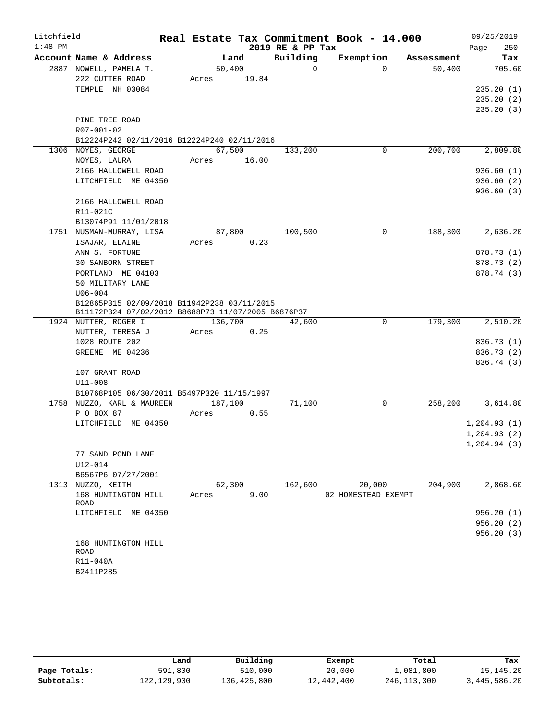| Litchfield |                                                    |             |         |       |                  | Real Estate Tax Commitment Book - 14.000 |            | 09/25/2019   |
|------------|----------------------------------------------------|-------------|---------|-------|------------------|------------------------------------------|------------|--------------|
| $1:48$ PM  |                                                    |             |         |       | 2019 RE & PP Tax |                                          |            | 250<br>Page  |
|            | Account Name & Address                             |             | Land    |       | Building         | Exemption                                | Assessment | Tax          |
|            | 2887 NOWELL, PAMELA T.                             |             | 50,400  |       | $\Omega$         | $\Omega$                                 | 50,400     | 705.60       |
|            | 222 CUTTER ROAD                                    | Acres       |         | 19.84 |                  |                                          |            |              |
|            | TEMPLE NH 03084                                    |             |         |       |                  |                                          |            | 235.20(1)    |
|            |                                                    |             |         |       |                  |                                          |            | 235.20(2)    |
|            |                                                    |             |         |       |                  |                                          |            | 235.20(3)    |
|            | PINE TREE ROAD                                     |             |         |       |                  |                                          |            |              |
|            | R07-001-02                                         |             |         |       |                  |                                          |            |              |
|            | B12224P242 02/11/2016 B12224P240 02/11/2016        |             |         |       |                  |                                          |            |              |
|            | 1306 NOYES, GEORGE                                 |             | 67,500  |       | 133,200          | 0                                        | 200,700    | 2,809.80     |
|            | NOYES, LAURA                                       | Acres 16.00 |         |       |                  |                                          |            |              |
|            | 2166 HALLOWELL ROAD                                |             |         |       |                  |                                          |            | 936.60(1)    |
|            | LITCHFIELD ME 04350                                |             |         |       |                  |                                          |            | 936.60(2)    |
|            |                                                    |             |         |       |                  |                                          |            | 936.60(3)    |
|            | 2166 HALLOWELL ROAD                                |             |         |       |                  |                                          |            |              |
|            | R11-021C                                           |             |         |       |                  |                                          |            |              |
|            | B13074P91 11/01/2018<br>1751 NUSMAN-MURRAY, LISA   |             | 87,800  |       | 100,500          | 0                                        | 188,300    | 2,636.20     |
|            | ISAJAR, ELAINE                                     | Acres       |         | 0.23  |                  |                                          |            |              |
|            | ANN S. FORTUNE                                     |             |         |       |                  |                                          |            | 878.73 (1)   |
|            | <b>30 SANBORN STREET</b>                           |             |         |       |                  |                                          |            | 878.73 (2)   |
|            | PORTLAND ME 04103                                  |             |         |       |                  |                                          |            | 878.74 (3)   |
|            | 50 MILITARY LANE                                   |             |         |       |                  |                                          |            |              |
|            | $U06 - 004$                                        |             |         |       |                  |                                          |            |              |
|            | B12865P315 02/09/2018 B11942P238 03/11/2015        |             |         |       |                  |                                          |            |              |
|            | B11172P324 07/02/2012 B8688P73 11/07/2005 B6876P37 |             |         |       |                  |                                          |            |              |
|            | 1924 NUTTER, ROGER I                               |             | 136,700 |       | 42,600           | $\mathbf 0$                              | 179,300    | 2,510.20     |
|            | NUTTER, TERESA J                                   | Acres       |         | 0.25  |                  |                                          |            |              |
|            | 1028 ROUTE 202                                     |             |         |       |                  |                                          |            | 836.73 (1)   |
|            | GREENE ME 04236                                    |             |         |       |                  |                                          |            | 836.73 (2)   |
|            |                                                    |             |         |       |                  |                                          |            | 836.74 (3)   |
|            | 107 GRANT ROAD                                     |             |         |       |                  |                                          |            |              |
|            | $U11 - 008$                                        |             |         |       |                  |                                          |            |              |
|            | B10768P105 06/30/2011 B5497P320 11/15/1997         |             |         |       |                  |                                          |            |              |
|            | 1758 NUZZO, KARL & MAUREEN                         |             | 187,100 |       | 71,100           | $\mathbf 0$                              | 258,200    | 3,614.80     |
|            | P O BOX 87                                         | Acres       |         | 0.55  |                  |                                          |            |              |
|            | LITCHFIELD ME 04350                                |             |         |       |                  |                                          |            | 1,204.93(1)  |
|            |                                                    |             |         |       |                  |                                          |            | 1, 204.93(2) |
|            | 77 SAND POND LANE                                  |             |         |       |                  |                                          |            | 1,204.94(3)  |
|            | U12-014                                            |             |         |       |                  |                                          |            |              |
|            | B6567P6 07/27/2001                                 |             |         |       |                  |                                          |            |              |
|            | 1313 NUZZO, KEITH                                  |             | 62,300  |       | 162,600          | 20,000                                   | 204,900    | 2,868.60     |
|            | 168 HUNTINGTON HILL                                | Acres       |         | 9.00  |                  | 02 HOMESTEAD EXEMPT                      |            |              |
|            | ROAD                                               |             |         |       |                  |                                          |            |              |
|            | LITCHFIELD ME 04350                                |             |         |       |                  |                                          |            | 956.20(1)    |
|            |                                                    |             |         |       |                  |                                          |            | 956.20(2)    |
|            |                                                    |             |         |       |                  |                                          |            | 956.20(3)    |
|            | 168 HUNTINGTON HILL                                |             |         |       |                  |                                          |            |              |
|            | ROAD                                               |             |         |       |                  |                                          |            |              |
|            | R11-040A<br>B2411P285                              |             |         |       |                  |                                          |            |              |
|            |                                                    |             |         |       |                  |                                          |            |              |

|              | Land          | Building    | Exempt     | Total       | Tax          |
|--------------|---------------|-------------|------------|-------------|--------------|
| Page Totals: | 591,800       | 510,000     | 20,000     | 1,081,800   | 15, 145, 20  |
| Subtotals:   | 122, 129, 900 | 136,425,800 | 12,442,400 | 246,113,300 | 3,445,586.20 |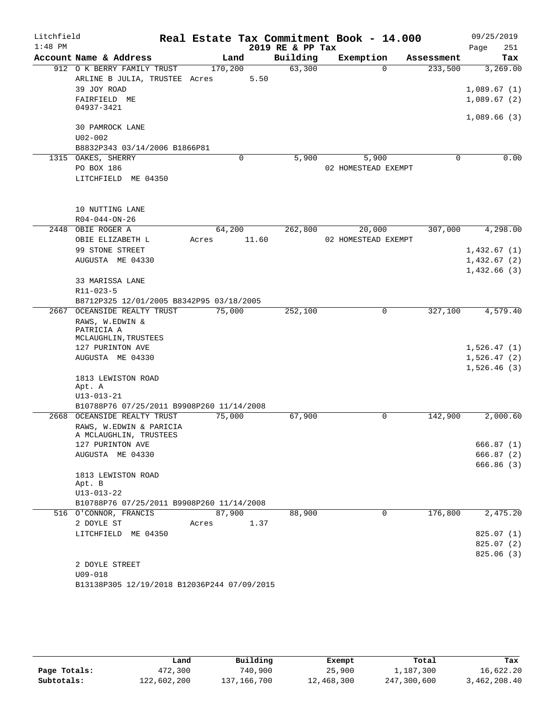| Litchfield |                                                       |       |         |       | Real Estate Tax Commitment Book - 14.000 |                     |             |            | 09/25/2019  |            |
|------------|-------------------------------------------------------|-------|---------|-------|------------------------------------------|---------------------|-------------|------------|-------------|------------|
| $1:48$ PM  |                                                       |       |         |       | 2019 RE & PP Tax                         |                     |             |            | Page        | 251        |
|            | Account Name & Address                                |       | Land    |       | Building                                 | Exemption           |             | Assessment |             | Tax        |
|            | 912 O K BERRY FAMILY TRUST                            |       | 170,200 |       | 63,300                                   |                     | $\Omega$    | 233,500    |             | 3,269.00   |
|            | ARLINE B JULIA, TRUSTEE Acres                         |       |         | 5.50  |                                          |                     |             |            |             |            |
|            | 39 JOY ROAD                                           |       |         |       |                                          |                     |             |            | 1,089.67(1) |            |
|            | FAIRFIELD ME                                          |       |         |       |                                          |                     |             |            | 1,089.67(2) |            |
|            | 04937-3421                                            |       |         |       |                                          |                     |             |            |             |            |
|            | 30 PAMROCK LANE                                       |       |         |       |                                          |                     |             |            | 1,089.66(3) |            |
|            | $U02 - 002$                                           |       |         |       |                                          |                     |             |            |             |            |
|            | B8832P343 03/14/2006 B1866P81                         |       |         |       |                                          |                     |             |            |             |            |
|            | 1315 OAKES, SHERRY                                    |       | 0       |       | 5,900                                    | 5,900               |             | 0          |             | 0.00       |
|            | PO BOX 186                                            |       |         |       |                                          | 02 HOMESTEAD EXEMPT |             |            |             |            |
|            | LITCHFIELD ME 04350                                   |       |         |       |                                          |                     |             |            |             |            |
|            |                                                       |       |         |       |                                          |                     |             |            |             |            |
|            |                                                       |       |         |       |                                          |                     |             |            |             |            |
|            | 10 NUTTING LANE                                       |       |         |       |                                          |                     |             |            |             |            |
|            | $R04 - 044 - ON - 26$                                 |       |         |       |                                          |                     |             |            |             |            |
| 2448       | OBIE ROGER A                                          |       | 64,200  |       | 262,800                                  | 20,000              |             | 307,000    |             | 4,298.00   |
|            | OBIE ELIZABETH L                                      | Acres |         | 11.60 |                                          | 02 HOMESTEAD EXEMPT |             |            |             |            |
|            | 99 STONE STREET                                       |       |         |       |                                          |                     |             |            | 1,432.67(1) |            |
|            | AUGUSTA ME 04330                                      |       |         |       |                                          |                     |             |            | 1,432.67(2) |            |
|            |                                                       |       |         |       |                                          |                     |             |            | 1,432.66(3) |            |
|            | 33 MARISSA LANE                                       |       |         |       |                                          |                     |             |            |             |            |
|            | R11-023-5<br>B8712P325 12/01/2005 B8342P95 03/18/2005 |       |         |       |                                          |                     |             |            |             |            |
|            | 2667 OCEANSIDE REALTY TRUST                           |       | 75,000  |       | 252,100                                  |                     | 0           | 327,100    |             | 4,579.40   |
|            | RAWS, W.EDWIN &                                       |       |         |       |                                          |                     |             |            |             |            |
|            | PATRICIA A                                            |       |         |       |                                          |                     |             |            |             |            |
|            | MCLAUGHLIN, TRUSTEES                                  |       |         |       |                                          |                     |             |            |             |            |
|            | 127 PURINTON AVE                                      |       |         |       |                                          |                     |             |            | 1,526.47(1) |            |
|            | AUGUSTA ME 04330                                      |       |         |       |                                          |                     |             |            | 1,526.47(2) |            |
|            |                                                       |       |         |       |                                          |                     |             |            | 1,526.46(3) |            |
|            | 1813 LEWISTON ROAD<br>Apt. A                          |       |         |       |                                          |                     |             |            |             |            |
|            | $U13 - 013 - 21$                                      |       |         |       |                                          |                     |             |            |             |            |
|            | B10788P76 07/25/2011 B9908P260 11/14/2008             |       |         |       |                                          |                     |             |            |             |            |
| 2668       | OCEANSIDE REALTY TRUST                                |       | 75,000  |       | 67,900                                   |                     | 0           | 142,900    |             | 2,000.60   |
|            | RAWS, W.EDWIN & PARICIA                               |       |         |       |                                          |                     |             |            |             |            |
|            | A MCLAUGHLIN, TRUSTEES                                |       |         |       |                                          |                     |             |            |             |            |
|            | 127 PURINTON AVE                                      |       |         |       |                                          |                     |             |            |             | 666.87 (1) |
|            | AUGUSTA ME 04330                                      |       |         |       |                                          |                     |             |            |             | 666.87(2)  |
|            |                                                       |       |         |       |                                          |                     |             |            |             | 666.86(3)  |
|            | 1813 LEWISTON ROAD<br>Apt. B                          |       |         |       |                                          |                     |             |            |             |            |
|            | $U13 - 013 - 22$                                      |       |         |       |                                          |                     |             |            |             |            |
|            | B10788P76 07/25/2011 B9908P260 11/14/2008             |       |         |       |                                          |                     |             |            |             |            |
|            | 516 O'CONNOR, FRANCIS                                 |       | 87,900  |       | 88,900                                   |                     | $\mathbf 0$ | 176,800    |             | 2,475.20   |
|            | 2 DOYLE ST                                            | Acres |         | 1.37  |                                          |                     |             |            |             |            |
|            | LITCHFIELD ME 04350                                   |       |         |       |                                          |                     |             |            |             | 825.07 (1) |
|            |                                                       |       |         |       |                                          |                     |             |            |             | 825.07(2)  |
|            |                                                       |       |         |       |                                          |                     |             |            |             | 825.06(3)  |
|            | 2 DOYLE STREET                                        |       |         |       |                                          |                     |             |            |             |            |
|            | $U09 - 018$                                           |       |         |       |                                          |                     |             |            |             |            |
|            | B13138P305 12/19/2018 B12036P244 07/09/2015           |       |         |       |                                          |                     |             |            |             |            |

|              | Land        | Building    | Exempt     | Total       | Tax          |
|--------------|-------------|-------------|------------|-------------|--------------|
| Page Totals: | 472,300     | 740,900     | 25,900     | 1,187,300   | 16,622.20    |
| Subtotals:   | 122,602,200 | 137,166,700 | 12,468,300 | 247,300,600 | 3,462,208.40 |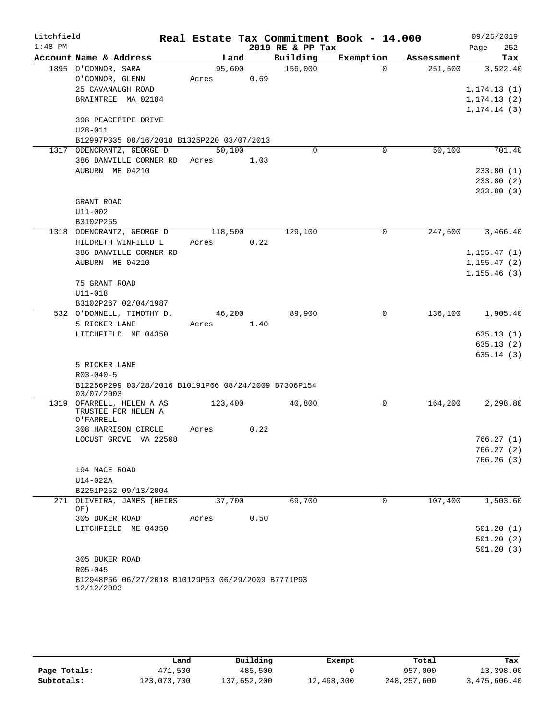| Litchfield |                                                       |  |         |      |                  | Real Estate Tax Commitment Book - 14.000 |            | 09/25/2019             |
|------------|-------------------------------------------------------|--|---------|------|------------------|------------------------------------------|------------|------------------------|
| $1:48$ PM  |                                                       |  |         |      | 2019 RE & PP Tax |                                          |            | 252<br>Page            |
|            | Account Name & Address                                |  | Land    |      | Building         | Exemption                                | Assessment | Tax                    |
|            | 1895 O'CONNOR, SARA                                   |  | 95,600  |      | 156,000          | $\Omega$                                 | 251,600    | 3,522.40               |
|            | O'CONNOR, GLENN                                       |  | Acres   | 0.69 |                  |                                          |            |                        |
|            | 25 CAVANAUGH ROAD                                     |  |         |      |                  |                                          |            | 1, 174.13(1)           |
|            | BRAINTREE MA 02184                                    |  |         |      |                  |                                          |            | 1, 174.13(2)           |
|            |                                                       |  |         |      |                  |                                          |            | 1, 174.14(3)           |
|            | 398 PEACEPIPE DRIVE                                   |  |         |      |                  |                                          |            |                        |
|            | U28-011<br>B12997P335 08/16/2018 B1325P220 03/07/2013 |  |         |      |                  |                                          |            |                        |
|            | 1317 ODENCRANTZ, GEORGE D                             |  | 50,100  |      | $\Omega$         | 0                                        | 50,100     | 701.40                 |
|            | 386 DANVILLE CORNER RD Acres 1.03                     |  |         |      |                  |                                          |            |                        |
|            | AUBURN ME 04210                                       |  |         |      |                  |                                          |            | 233.80(1)              |
|            |                                                       |  |         |      |                  |                                          |            | 233.80(2)              |
|            |                                                       |  |         |      |                  |                                          |            | 233.80(3)              |
|            | GRANT ROAD                                            |  |         |      |                  |                                          |            |                        |
|            | U11-002                                               |  |         |      |                  |                                          |            |                        |
|            | B3102P265                                             |  |         |      |                  |                                          |            |                        |
|            | 1318 ODENCRANTZ, GEORGE D                             |  | 118,500 |      | 129,100          | $\Omega$                                 | 247,600    | 3,466.40               |
|            | HILDRETH WINFIELD L                                   |  | Acres   | 0.22 |                  |                                          |            |                        |
|            | 386 DANVILLE CORNER RD                                |  |         |      |                  |                                          |            | 1, 155.47(1)           |
|            | AUBURN ME 04210                                       |  |         |      |                  |                                          |            | 1, 155.47(2)           |
|            |                                                       |  |         |      |                  |                                          |            | 1, 155.46(3)           |
|            | 75 GRANT ROAD                                         |  |         |      |                  |                                          |            |                        |
|            | $U11 - 018$                                           |  |         |      |                  |                                          |            |                        |
|            | B3102P267 02/04/1987                                  |  |         |      |                  |                                          |            |                        |
|            | 532 O'DONNELL, TIMOTHY D.                             |  | 46,200  |      | 89,900           | 0                                        | 136,100    | 1,905.40               |
|            | 5 RICKER LANE                                         |  | Acres   | 1.40 |                  |                                          |            |                        |
|            | LITCHFIELD ME 04350                                   |  |         |      |                  |                                          |            | 635.13(1)<br>635.13(2) |
|            |                                                       |  |         |      |                  |                                          |            | 635.14 (3)             |
|            | 5 RICKER LANE                                         |  |         |      |                  |                                          |            |                        |
|            | $R03 - 040 - 5$                                       |  |         |      |                  |                                          |            |                        |
|            | B12256P299 03/28/2016 B10191P66 08/24/2009 B7306P154  |  |         |      |                  |                                          |            |                        |
|            | 03/07/2003                                            |  |         |      |                  |                                          |            |                        |
|            | 1319 OFARRELL, HELEN A AS                             |  | 123,400 |      | 40,800           | 0                                        | 164,200    | 2,298.80               |
|            | TRUSTEE FOR HELEN A<br>O'FARRELL                      |  |         |      |                  |                                          |            |                        |
|            | 308 HARRISON CIRCLE                                   |  | Acres   | 0.22 |                  |                                          |            |                        |
|            | LOCUST GROVE VA 22508                                 |  |         |      |                  |                                          |            | 766.27 (1)             |
|            |                                                       |  |         |      |                  |                                          |            | 766.27(2)              |
|            |                                                       |  |         |      |                  |                                          |            | 766.26(3)              |
|            | 194 MACE ROAD                                         |  |         |      |                  |                                          |            |                        |
|            | $U14-022A$                                            |  |         |      |                  |                                          |            |                        |
|            | B2251P252 09/13/2004                                  |  |         |      |                  |                                          |            |                        |
|            | 271 OLIVEIRA, JAMES (HEIRS                            |  | 37,700  |      | 69,700           | $\mathbf 0$                              | 107,400    | 1,503.60               |
|            | OF)                                                   |  |         |      |                  |                                          |            |                        |
|            | 305 BUKER ROAD                                        |  | Acres   | 0.50 |                  |                                          |            |                        |
|            | LITCHFIELD ME 04350                                   |  |         |      |                  |                                          |            | 501.20(1)<br>501.20(2) |
|            |                                                       |  |         |      |                  |                                          |            | 501.20(3)              |
|            | 305 BUKER ROAD                                        |  |         |      |                  |                                          |            |                        |
|            | R05-045                                               |  |         |      |                  |                                          |            |                        |
|            | B12948P56 06/27/2018 B10129P53 06/29/2009 B7771P93    |  |         |      |                  |                                          |            |                        |
|            | 12/12/2003                                            |  |         |      |                  |                                          |            |                        |

|              | Land        | Building    | Exempt     | Total       | Tax          |
|--------------|-------------|-------------|------------|-------------|--------------|
| Page Totals: | 471,500     | 485,500     |            | 957,000     | 13,398.00    |
| Subtotals:   | 123,073,700 | 137,652,200 | 12,468,300 | 248,257,600 | 3,475,606.40 |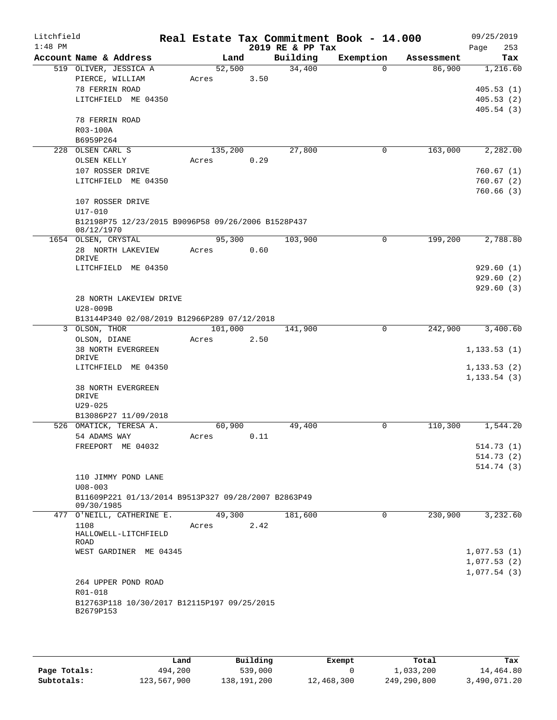| Litchfield<br>$1:48$ PM |                                                                   |         |      | 2019 RE & PP Tax | Real Estate Tax Commitment Book - 14.000 |            | 09/25/2019<br>253 |
|-------------------------|-------------------------------------------------------------------|---------|------|------------------|------------------------------------------|------------|-------------------|
|                         | Account Name & Address                                            | Land    |      | Building         | Exemption                                | Assessment | Page<br>Tax       |
|                         | 519 OLIVER, JESSICA A                                             | 52,500  |      | 34,400           | $\Omega$                                 | 86,900     | 1,216.60          |
|                         | PIERCE, WILLIAM                                                   | Acres   | 3.50 |                  |                                          |            |                   |
|                         | 78 FERRIN ROAD                                                    |         |      |                  |                                          |            | 405.53(1)         |
|                         | LITCHFIELD ME 04350                                               |         |      |                  |                                          |            | 405.53(2)         |
|                         |                                                                   |         |      |                  |                                          |            | 405.54(3)         |
|                         | 78 FERRIN ROAD                                                    |         |      |                  |                                          |            |                   |
|                         | R03-100A                                                          |         |      |                  |                                          |            |                   |
|                         | B6959P264                                                         |         |      |                  |                                          |            |                   |
|                         | 228 OLSEN CARL S                                                  | 135,200 |      | 27,800           | 0                                        | 163,000    | 2,282.00          |
|                         | OLSEN KELLY                                                       | Acres   | 0.29 |                  |                                          |            |                   |
|                         | 107 ROSSER DRIVE                                                  |         |      |                  |                                          |            | 760.67(1)         |
|                         | LITCHFIELD ME 04350                                               |         |      |                  |                                          |            | 760.67(2)         |
|                         |                                                                   |         |      |                  |                                          |            | 760.66(3)         |
|                         | 107 ROSSER DRIVE                                                  |         |      |                  |                                          |            |                   |
|                         | U17-010                                                           |         |      |                  |                                          |            |                   |
|                         | B12198P75 12/23/2015 B9096P58 09/26/2006 B1528P437                |         |      |                  |                                          |            |                   |
|                         | 08/12/1970<br>1654 OLSEN, CRYSTAL                                 | 95,300  |      | 103,900          | 0                                        | 199,200    | 2,788.80          |
|                         | 28 NORTH LAKEVIEW                                                 | Acres   | 0.60 |                  |                                          |            |                   |
|                         | DRIVE                                                             |         |      |                  |                                          |            |                   |
|                         | LITCHFIELD ME 04350                                               |         |      |                  |                                          |            | 929.60(1)         |
|                         |                                                                   |         |      |                  |                                          |            | 929.60(2)         |
|                         |                                                                   |         |      |                  |                                          |            | 929.60(3)         |
|                         | 28 NORTH LAKEVIEW DRIVE                                           |         |      |                  |                                          |            |                   |
|                         | U28-009B                                                          |         |      |                  |                                          |            |                   |
|                         | B13144P340 02/08/2019 B12966P289 07/12/2018                       |         |      |                  |                                          |            |                   |
|                         | 3 OLSON, THOR                                                     | 101,000 |      | 141,900          | $\mathbf 0$                              | 242,900    | 3,400.60          |
|                         | OLSON, DIANE                                                      | Acres   | 2.50 |                  |                                          |            |                   |
|                         | 38 NORTH EVERGREEN                                                |         |      |                  |                                          |            | 1, 133.53(1)      |
|                         | DRIVE<br>LITCHFIELD ME 04350                                      |         |      |                  |                                          |            | 1, 133.53(2)      |
|                         |                                                                   |         |      |                  |                                          |            | 1, 133.54(3)      |
|                         | 38 NORTH EVERGREEN                                                |         |      |                  |                                          |            |                   |
|                         | DRIVE                                                             |         |      |                  |                                          |            |                   |
|                         | $U29 - 025$                                                       |         |      |                  |                                          |            |                   |
|                         | B13086P27 11/09/2018                                              |         |      |                  |                                          |            |                   |
|                         | 526 OMATICK, TERESA A.                                            | 60,900  |      | 49,400           | 0                                        | 110,300    | 1,544.20          |
|                         | 54 ADAMS WAY                                                      | Acres   | 0.11 |                  |                                          |            |                   |
|                         | FREEPORT ME 04032                                                 |         |      |                  |                                          |            | 514.73(1)         |
|                         |                                                                   |         |      |                  |                                          |            | 514.73(2)         |
|                         |                                                                   |         |      |                  |                                          |            | 514.74(3)         |
|                         | 110 JIMMY POND LANE                                               |         |      |                  |                                          |            |                   |
|                         | $U08 - 003$                                                       |         |      |                  |                                          |            |                   |
|                         | B11609P221 01/13/2014 B9513P327 09/28/2007 B2863P49<br>09/30/1985 |         |      |                  |                                          |            |                   |
|                         | 477 O'NEILL, CATHERINE E.                                         | 49,300  |      | 181,600          | 0                                        | 230,900    | 3,232.60          |
|                         | 1108                                                              | Acres   | 2.42 |                  |                                          |            |                   |
|                         | HALLOWELL-LITCHFIELD                                              |         |      |                  |                                          |            |                   |
|                         | ROAD                                                              |         |      |                  |                                          |            |                   |
|                         | WEST GARDINER ME 04345                                            |         |      |                  |                                          |            | 1,077.53(1)       |
|                         |                                                                   |         |      |                  |                                          |            | 1,077.53(2)       |
|                         |                                                                   |         |      |                  |                                          |            | 1,077.54(3)       |
|                         | 264 UPPER POND ROAD                                               |         |      |                  |                                          |            |                   |
|                         | R01-018                                                           |         |      |                  |                                          |            |                   |
|                         | B12763P118 10/30/2017 B12115P197 09/25/2015<br>B2679P153          |         |      |                  |                                          |            |                   |
|                         |                                                                   |         |      |                  |                                          |            |                   |

|              | Land        | Building    | Exempt     | Total       | Tax          |
|--------------|-------------|-------------|------------|-------------|--------------|
| Page Totals: | 494,200     | 539,000     |            | L,033,200   | 14,464.80    |
| Subtotals:   | 123,567,900 | 138,191,200 | 12,468,300 | 249,290,800 | 3,490,071.20 |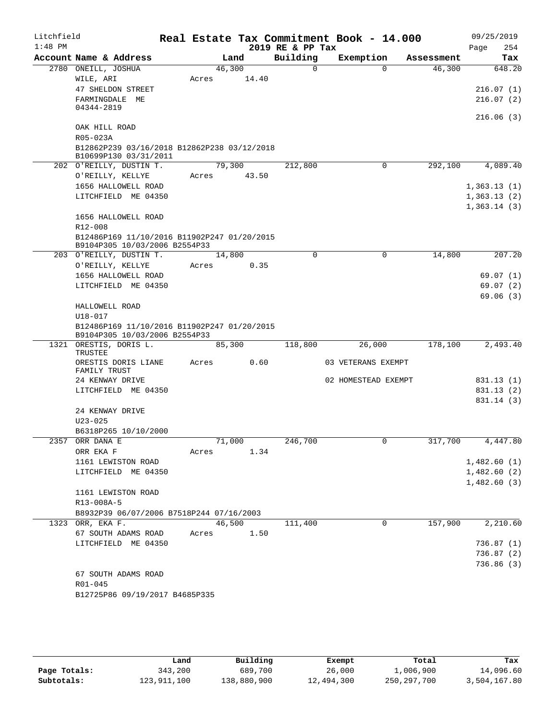| Litchfield<br>$1:48$ PM |                                                                              |        |        | 2019 RE & PP Tax | Real Estate Tax Commitment Book - 14.000 |            | 09/25/2019<br>254<br>Page |
|-------------------------|------------------------------------------------------------------------------|--------|--------|------------------|------------------------------------------|------------|---------------------------|
|                         | Account Name & Address                                                       |        | Land   | Building         | Exemption                                | Assessment | Tax                       |
|                         | 2780 ONEILL, JOSHUA                                                          | 46,300 |        | $\mathbf 0$      |                                          | $\Omega$   | 46,300<br>648.20          |
|                         | WILE, ARI                                                                    | Acres  | 14.40  |                  |                                          |            |                           |
|                         | 47 SHELDON STREET                                                            |        |        |                  |                                          |            | 216.07(1)                 |
|                         | FARMINGDALE ME                                                               |        |        |                  |                                          |            | 216.07(2)                 |
|                         | 04344-2819                                                                   |        |        |                  |                                          |            | 216.06(3)                 |
|                         | OAK HILL ROAD                                                                |        |        |                  |                                          |            |                           |
|                         | R05-023A                                                                     |        |        |                  |                                          |            |                           |
|                         | B12862P239 03/16/2018 B12862P238 03/12/2018                                  |        |        |                  |                                          |            |                           |
|                         | B10699P130 03/31/2011                                                        |        |        |                  |                                          |            |                           |
|                         | 202 O'REILLY, DUSTIN T.                                                      | 79,300 |        | 212,800          |                                          | 0          | 4,089.40<br>292,100       |
|                         | O'REILLY, KELLYE                                                             | Acres  | 43.50  |                  |                                          |            |                           |
|                         | 1656 HALLOWELL ROAD                                                          |        |        |                  |                                          |            | 1,363.13(1)               |
|                         | LITCHFIELD ME 04350                                                          |        |        |                  |                                          |            | 1,363.13(2)               |
|                         |                                                                              |        |        |                  |                                          |            | 1,363.14(3)               |
|                         | 1656 HALLOWELL ROAD<br>R12-008                                               |        |        |                  |                                          |            |                           |
|                         | B12486P169 11/10/2016 B11902P247 01/20/2015                                  |        |        |                  |                                          |            |                           |
|                         | B9104P305 10/03/2006 B2554P33                                                |        |        |                  |                                          |            |                           |
|                         | 203 O'REILLY, DUSTIN T.                                                      | 14,800 |        | $\Omega$         |                                          | 0          | 207.20<br>14,800          |
|                         | O'REILLY, KELLYE                                                             | Acres  | 0.35   |                  |                                          |            |                           |
|                         | 1656 HALLOWELL ROAD                                                          |        |        |                  |                                          |            | 69.07(1)                  |
|                         | LITCHFIELD ME 04350                                                          |        |        |                  |                                          |            | 69.07(2)                  |
|                         |                                                                              |        |        |                  |                                          |            | 69.06(3)                  |
|                         | HALLOWELL ROAD                                                               |        |        |                  |                                          |            |                           |
|                         | $U18 - 017$                                                                  |        |        |                  |                                          |            |                           |
|                         | B12486P169 11/10/2016 B11902P247 01/20/2015<br>B9104P305 10/03/2006 B2554P33 |        |        |                  |                                          |            |                           |
|                         | 1321 ORESTIS, DORIS L.<br>TRUSTEE                                            | 85,300 |        | 118,800          | 26,000                                   | 178,100    | 2,493.40                  |
|                         | ORESTIS DORIS LIANE                                                          | Acres  | 0.60   |                  | 03 VETERANS EXEMPT                       |            |                           |
|                         | FAMILY TRUST                                                                 |        |        |                  |                                          |            |                           |
|                         | 24 KENWAY DRIVE                                                              |        |        |                  | 02 HOMESTEAD EXEMPT                      |            | 831.13 (1)                |
|                         | LITCHFIELD ME 04350                                                          |        |        |                  |                                          |            | 831.13 (2)                |
|                         |                                                                              |        |        |                  |                                          |            | 831.14 (3)                |
|                         | 24 KENWAY DRIVE                                                              |        |        |                  |                                          |            |                           |
|                         | $U23 - 025$<br>B6318P265 10/10/2000                                          |        |        |                  |                                          |            |                           |
|                         | 2357 ORR DANA E                                                              |        | 71,000 | 246,700          |                                          |            | 317,700<br>4,447.80       |
|                         | ORR EKA F                                                                    | Acres  | 1.34   |                  |                                          |            |                           |
|                         | 1161 LEWISTON ROAD                                                           |        |        |                  |                                          |            | 1,482.60(1)               |
|                         | LITCHFIELD ME 04350                                                          |        |        |                  |                                          |            | 1,482.60(2)               |
|                         |                                                                              |        |        |                  |                                          |            | 1,482.60(3)               |
|                         | 1161 LEWISTON ROAD                                                           |        |        |                  |                                          |            |                           |
|                         | R13-008A-5                                                                   |        |        |                  |                                          |            |                           |
|                         | B8932P39 06/07/2006 B7518P244 07/16/2003                                     |        |        |                  |                                          |            |                           |
|                         | 1323 ORR, EKA F.                                                             |        | 46,500 | 111,400          |                                          | 0          | 157,900<br>2,210.60       |
|                         | 67 SOUTH ADAMS ROAD<br>LITCHFIELD ME 04350                                   | Acres  | 1.50   |                  |                                          |            | 736.87(1)                 |
|                         |                                                                              |        |        |                  |                                          |            | 736.87(2)                 |
|                         |                                                                              |        |        |                  |                                          |            | 736.86(3)                 |
|                         | 67 SOUTH ADAMS ROAD                                                          |        |        |                  |                                          |            |                           |
|                         | R01-045                                                                      |        |        |                  |                                          |            |                           |
|                         | B12725P86 09/19/2017 B4685P335                                               |        |        |                  |                                          |            |                           |
|                         |                                                                              |        |        |                  |                                          |            |                           |

|              | Land        | Building    | Exempt     | Total       | Tax          |
|--------------|-------------|-------------|------------|-------------|--------------|
| Page Totals: | 343,200     | 689,700     | 26,000     | 1,006,900   | 14,096.60    |
| Subtotals:   | 123,911,100 | 138,880,900 | 12,494,300 | 250,297,700 | 3,504,167.80 |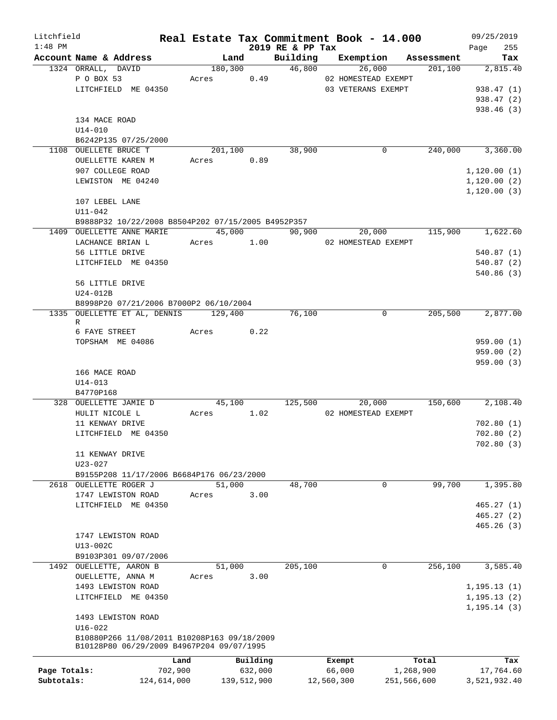| Litchfield   |                                                                | Real Estate Tax Commitment Book - 14.000 |             |                              |                                |             |            | 09/25/2019         |
|--------------|----------------------------------------------------------------|------------------------------------------|-------------|------------------------------|--------------------------------|-------------|------------|--------------------|
| $1:48$ PM    | Account Name & Address                                         | Land                                     |             | 2019 RE & PP Tax<br>Building | Exemption                      |             | Assessment | 255<br>Page<br>Tax |
|              | 1324 ORRALL, DAVID                                             | 180,300                                  |             |                              | 46,800                         | 26,000      | 201, 100   | 2,815.40           |
|              | P O BOX 53                                                     | Acres 0.49                               |             |                              | 02 HOMESTEAD EXEMPT            |             |            |                    |
|              |                                                                |                                          |             |                              |                                |             |            |                    |
|              | LITCHFIELD ME 04350                                            |                                          |             |                              | 03 VETERANS EXEMPT             |             |            | 938.47 (1)         |
|              |                                                                |                                          |             |                              |                                |             |            | 938.47 (2)         |
|              |                                                                |                                          |             |                              |                                |             |            | 938.46 (3)         |
|              | 134 MACE ROAD                                                  |                                          |             |                              |                                |             |            |                    |
|              | $U14 - 010$                                                    |                                          |             |                              |                                |             |            |                    |
|              | B6242P135 07/25/2000                                           |                                          |             |                              |                                |             |            |                    |
|              | 1108 OUELLETE BRUCE T                                          | 201,100                                  |             | 38,900                       |                                | 0           | 240,000    | 3,360.00           |
|              | OUELLETTE KAREN M                                              | Acres 0.89                               |             |                              |                                |             |            |                    |
|              | 907 COLLEGE ROAD                                               |                                          |             |                              |                                |             |            | 1, 120.00(1)       |
|              | LEWISTON ME 04240                                              |                                          |             |                              |                                |             |            | 1, 120.00(2)       |
|              |                                                                |                                          |             |                              |                                |             |            | 1, 120.00(3)       |
|              | 107 LEBEL LANE                                                 |                                          |             |                              |                                |             |            |                    |
|              | $U11 - 042$                                                    |                                          |             |                              |                                |             |            |                    |
|              | B9888P32 10/22/2008 B8504P202 07/15/2005 B4952P357             |                                          |             |                              |                                |             |            |                    |
|              | 1409 OUELLETTE ANNE MARIE                                      |                                          | 45,000      |                              | 90,900                         | 20,000      | 115,900    | 1,622.60           |
|              | LACHANCE BRIAN L                                               |                                          |             |                              | Acres 1.00 02 HOMESTEAD EXEMPT |             |            |                    |
|              | 56 LITTLE DRIVE                                                |                                          |             |                              |                                |             |            | 540.87(1)          |
|              | LITCHFIELD ME 04350                                            |                                          |             |                              |                                |             |            | 540.87(2)          |
|              |                                                                |                                          |             |                              |                                |             |            | 540.86(3)          |
|              | 56 LITTLE DRIVE                                                |                                          |             |                              |                                |             |            |                    |
|              | $U24-012B$                                                     |                                          |             |                              |                                |             |            |                    |
|              | B8998P20 07/21/2006 B7000P2 06/10/2004                         |                                          |             |                              |                                |             |            |                    |
|              | 1335 OUELLETTE ET AL, DENNIS 129,400                           |                                          |             | 76,100                       |                                | 0           | 205,500    | 2,877.00           |
|              | R                                                              |                                          |             |                              |                                |             |            |                    |
|              | 6 FAYE STREET                                                  | Acres                                    | 0.22        |                              |                                |             |            |                    |
|              | TOPSHAM ME 04086                                               |                                          |             |                              |                                |             |            | 959.00(1)          |
|              |                                                                |                                          |             |                              |                                |             |            | 959.00(2)          |
|              |                                                                |                                          |             |                              |                                |             |            | 959.00(3)          |
|              | 166 MACE ROAD                                                  |                                          |             |                              |                                |             |            |                    |
|              | $U14 - 013$                                                    |                                          |             |                              |                                |             |            |                    |
|              | B4770P168                                                      |                                          |             |                              |                                |             |            |                    |
|              | 328 OUELLETTE JAMIE D                                          |                                          |             | 45,100 125,500               |                                | 20,000      | 150,600    | 2,108.40           |
|              | HULIT NICOLE L                                                 | Acres 1.02                               |             |                              | 02 HOMESTEAD EXEMPT            |             |            |                    |
|              | 11 KENWAY DRIVE                                                |                                          |             |                              |                                |             |            | 702.80(1)          |
|              | LITCHFIELD ME 04350                                            |                                          |             |                              |                                |             |            | 702.80(2)          |
|              |                                                                |                                          |             |                              |                                |             |            | 702.80(3)          |
|              | 11 KENWAY DRIVE                                                |                                          |             |                              |                                |             |            |                    |
|              | U23-027                                                        |                                          |             |                              |                                |             |            |                    |
|              |                                                                |                                          |             |                              |                                |             |            |                    |
| 2618         | B9155P208 11/17/2006 B6684P176 06/23/2000<br>OUELLETTE ROGER J | 51,000                                   |             | 48,700                       |                                | $\mathbf 0$ | 99,700     | 1,395.80           |
|              |                                                                |                                          |             |                              |                                |             |            |                    |
|              | 1747 LEWISTON ROAD                                             | Acres                                    | 3.00        |                              |                                |             |            |                    |
|              | LITCHFIELD ME 04350                                            |                                          |             |                              |                                |             |            | 465.27(1)          |
|              |                                                                |                                          |             |                              |                                |             |            | 465.27(2)          |
|              |                                                                |                                          |             |                              |                                |             |            | 465.26(3)          |
|              | 1747 LEWISTON ROAD                                             |                                          |             |                              |                                |             |            |                    |
|              | $U13-002C$                                                     |                                          |             |                              |                                |             |            |                    |
|              | B9103P301 09/07/2006                                           |                                          |             |                              |                                |             |            |                    |
|              | 1492 OUELLETTE, AARON B                                        | 51,000                                   |             | 205,100                      |                                | $\mathbf 0$ | 256,100    | 3,585.40           |
|              | OUELLETTE, ANNA M                                              | Acres                                    | 3.00        |                              |                                |             |            |                    |
|              | 1493 LEWISTON ROAD                                             |                                          |             |                              |                                |             |            | 1, 195.13(1)       |
|              | LITCHFIELD ME 04350                                            |                                          |             |                              |                                |             |            | 1, 195.13(2)       |
|              |                                                                |                                          |             |                              |                                |             |            | 1, 195.14(3)       |
|              | 1493 LEWISTON ROAD                                             |                                          |             |                              |                                |             |            |                    |
|              | $U16 - 022$                                                    |                                          |             |                              |                                |             |            |                    |
|              | B10880P266 11/08/2011 B10208P163 09/18/2009                    |                                          |             |                              |                                |             |            |                    |
|              | B10128P80 06/29/2009 B4967P204 09/07/1995                      |                                          |             |                              |                                |             |            |                    |
|              |                                                                | Land                                     | Building    |                              | Exempt                         |             | Total      | Tax                |
| Page Totals: | 702,900                                                        |                                          | 632,000     |                              | 66,000                         |             | 1,268,900  | 17,764.60          |
| Subtotals:   | 124,614,000                                                    |                                          | 139,512,900 |                              | 12,560,300                     | 251,566,600 |            | 3,521,932.40       |
|              |                                                                |                                          |             |                              |                                |             |            |                    |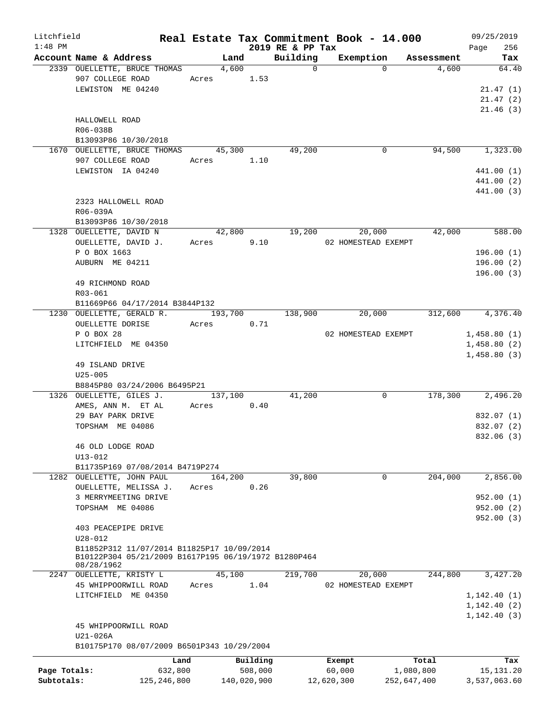| Litchfield   |                                                      |         |             |                  | Real Estate Tax Commitment Book - 14.000 |             | 09/25/2019   |
|--------------|------------------------------------------------------|---------|-------------|------------------|------------------------------------------|-------------|--------------|
| $1:48$ PM    |                                                      |         |             | 2019 RE & PP Tax |                                          |             | 256<br>Page  |
|              | Account Name & Address                               |         | Land        | Building         | Exemption                                | Assessment  | Tax          |
|              | 2339 OUELLETTE, BRUCE THOMAS                         |         | 4,600       | $\Omega$         | $\Omega$                                 | 4,600       | 64.40        |
|              | 907 COLLEGE ROAD                                     |         | Acres 1.53  |                  |                                          |             |              |
|              | LEWISTON ME 04240                                    |         |             |                  |                                          |             | 21.47(1)     |
|              |                                                      |         |             |                  |                                          |             | 21.47(2)     |
|              |                                                      |         |             |                  |                                          |             | 21.46(3)     |
|              | HALLOWELL ROAD                                       |         |             |                  |                                          |             |              |
|              | R06-038B                                             |         |             |                  |                                          |             |              |
|              | B13093P86 10/30/2018                                 |         |             |                  |                                          |             |              |
|              | 1670 OUELLETTE, BRUCE THOMAS                         |         | 45,300      | 49,200           | 0                                        | 94,500      | 1,323.00     |
|              | 907 COLLEGE ROAD                                     | Acres   | 1.10        |                  |                                          |             |              |
|              | LEWISTON IA 04240                                    |         |             |                  |                                          |             | 441.00 (1)   |
|              |                                                      |         |             |                  |                                          |             | 441.00 (2)   |
|              |                                                      |         |             |                  |                                          |             | 441.00 (3)   |
|              | 2323 HALLOWELL ROAD                                  |         |             |                  |                                          |             |              |
|              | R06-039A                                             |         |             |                  |                                          |             |              |
|              | B13093P86 10/30/2018                                 |         |             |                  |                                          |             |              |
|              | 1328 OUELLETTE, DAVID N                              |         | 42,800      | 19,200           | 20,000                                   | 42,000      | 588.00       |
|              | OUELLETTE, DAVID J.                                  | Acres   | 9.10        |                  | 02 HOMESTEAD EXEMPT                      |             |              |
|              | P O BOX 1663                                         |         |             |                  |                                          |             | 196.00(1)    |
|              | AUBURN ME 04211                                      |         |             |                  |                                          |             | 196.00(2)    |
|              |                                                      |         |             |                  |                                          |             | 196.00(3)    |
|              | 49 RICHMOND ROAD                                     |         |             |                  |                                          |             |              |
|              |                                                      |         |             |                  |                                          |             |              |
|              | R03-061                                              |         |             |                  |                                          |             |              |
|              | B11669P66 04/17/2014 B3844P132                       |         |             |                  |                                          |             |              |
|              | 1230 OUELLETTE, GERALD R.                            | 193,700 |             | 138,900          | 20,000                                   | 312,600     | 4,376.40     |
|              | OUELLETTE DORISE                                     | Acres   | 0.71        |                  |                                          |             |              |
|              | P O BOX 28                                           |         |             |                  | 02 HOMESTEAD EXEMPT                      |             | 1,458.80(1)  |
|              | LITCHFIELD ME 04350                                  |         |             |                  |                                          |             | 1,458.80(2)  |
|              |                                                      |         |             |                  |                                          |             | 1,458.80(3)  |
|              | 49 ISLAND DRIVE                                      |         |             |                  |                                          |             |              |
|              | $U25 - 005$                                          |         |             |                  |                                          |             |              |
|              | B8845P80 03/24/2006 B6495P21                         |         |             |                  |                                          |             |              |
|              | 1326 OUELLETTE, GILES J.                             |         | 137,100     | 41,200           | 0                                        | 178,300     | 2,496.20     |
|              | AMES, ANN M. ET AL                                   | Acres   | 0.40        |                  |                                          |             |              |
|              | 29 BAY PARK DRIVE                                    |         |             |                  |                                          |             | 832.07 (1)   |
|              | TOPSHAM ME 04086                                     |         |             |                  |                                          |             | 832.07 (2)   |
|              |                                                      |         |             |                  |                                          |             | 832.06 (3)   |
|              | 46 OLD LODGE ROAD                                    |         |             |                  |                                          |             |              |
|              | $U13 - 012$                                          |         |             |                  |                                          |             |              |
|              | B11735P169 07/08/2014 B4719P274                      |         |             |                  |                                          |             |              |
|              | 1282 OUELLETTE, JOHN PAUL                            | 164,200 |             | 39,800           | $\mathbf 0$                              | 204,000     | 2,856.00     |
|              | OUELLETTE, MELISSA J.                                | Acres   | 0.26        |                  |                                          |             |              |
|              | 3 MERRYMEETING DRIVE                                 |         |             |                  |                                          |             | 952.00(1)    |
|              | TOPSHAM ME 04086                                     |         |             |                  |                                          |             | 952.00(2)    |
|              |                                                      |         |             |                  |                                          |             | 952.00(3)    |
|              | 403 PEACEPIPE DRIVE                                  |         |             |                  |                                          |             |              |
|              | $U28 - 012$                                          |         |             |                  |                                          |             |              |
|              | B11852P312 11/07/2014 B11825P17 10/09/2014           |         |             |                  |                                          |             |              |
|              | B10122P304 05/21/2009 B1617P195 06/19/1972 B1280P464 |         |             |                  |                                          |             |              |
|              | 08/28/1962                                           |         |             |                  |                                          |             |              |
|              | 2247 OUELLETTE, KRISTY L                             |         | 45,100      | 219,700          | 20,000                                   | 244,800     | 3,427.20     |
|              | 45 WHIPPOORWILL ROAD                                 | Acres   | 1.04        |                  | 02 HOMESTEAD EXEMPT                      |             |              |
|              | LITCHFIELD ME 04350                                  |         |             |                  |                                          |             | 1,142.40(1)  |
|              |                                                      |         |             |                  |                                          |             | 1,142.40(2)  |
|              |                                                      |         |             |                  |                                          |             | 1,142.40(3)  |
|              | 45 WHIPPOORWILL ROAD                                 |         |             |                  |                                          |             |              |
|              | U21-026A                                             |         |             |                  |                                          |             |              |
|              | B10175P170 08/07/2009 B6501P343 10/29/2004           |         |             |                  |                                          |             |              |
|              |                                                      |         |             |                  |                                          |             |              |
|              |                                                      | Land    | Building    |                  | Exempt                                   | Total       | Tax          |
| Page Totals: | 632,800                                              |         | 508,000     |                  | 60,000                                   | 1,080,800   | 15, 131. 20  |
| Subtotals:   | 125, 246, 800                                        |         | 140,020,900 |                  | 12,620,300                               | 252,647,400 | 3,537,063.60 |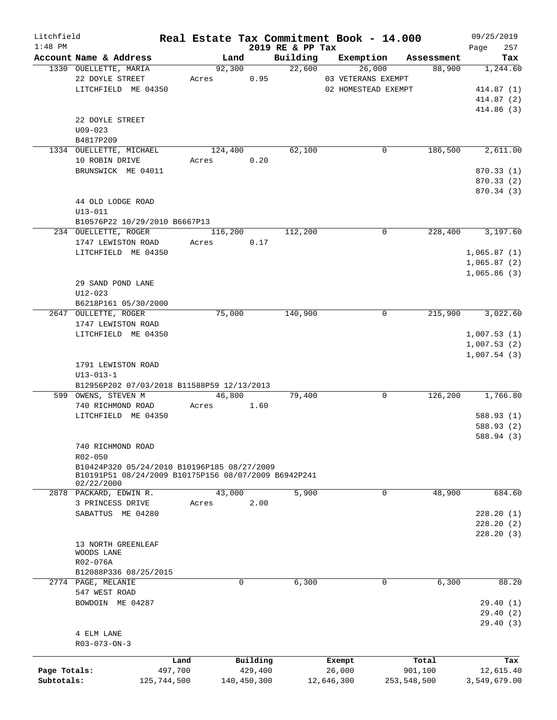| Litchfield   |                                                      |             |                |             |                              | Real Estate Tax Commitment Book - 14.000 |             |                      | 09/25/2019      |
|--------------|------------------------------------------------------|-------------|----------------|-------------|------------------------------|------------------------------------------|-------------|----------------------|-----------------|
| $1:48$ PM    | Account Name & Address                               |             |                |             | 2019 RE & PP Tax<br>Building |                                          |             |                      | 257<br>Page     |
|              |                                                      |             | Land<br>92,300 |             | 22,600                       | Exemption<br>26,000                      |             | Assessment<br>88,900 | Tax<br>1,244.60 |
|              | 1330 OUELLETTE, MARIA<br>22 DOYLE STREET             |             | Acres          | 0.95        |                              | 03 VETERANS EXEMPT                       |             |                      |                 |
|              |                                                      |             |                |             |                              |                                          |             |                      |                 |
|              | LITCHFIELD ME 04350                                  |             |                |             |                              | 02 HOMESTEAD EXEMPT                      |             |                      | 414.87(1)       |
|              |                                                      |             |                |             |                              |                                          |             |                      | 414.87 (2)      |
|              |                                                      |             |                |             |                              |                                          |             |                      | 414.86 (3)      |
|              | 22 DOYLE STREET                                      |             |                |             |                              |                                          |             |                      |                 |
|              | $U09 - 023$                                          |             |                |             |                              |                                          |             |                      |                 |
|              | B4817P209                                            |             |                |             |                              |                                          |             |                      |                 |
|              | 1334 OUELLETTE, MICHAEL                              |             | 124,400        |             | 62,100                       |                                          | 0           | 186,500              | 2,611.00        |
|              | 10 ROBIN DRIVE                                       |             | Acres          | 0.20        |                              |                                          |             |                      |                 |
|              | BRUNSWICK ME 04011                                   |             |                |             |                              |                                          |             |                      | 870.33(1)       |
|              |                                                      |             |                |             |                              |                                          |             |                      | 870.33 (2)      |
|              |                                                      |             |                |             |                              |                                          |             |                      | 870.34 (3)      |
|              | 44 OLD LODGE ROAD                                    |             |                |             |                              |                                          |             |                      |                 |
|              | U13-011                                              |             |                |             |                              |                                          |             |                      |                 |
|              | B10576P22 10/29/2010 B6667P13                        |             |                |             |                              |                                          |             |                      |                 |
|              | 234 OUELLETTE, ROGER                                 |             | 116,200        |             | 112,200                      |                                          | $\mathbf 0$ | 228,400              | 3,197.60        |
|              | 1747 LEWISTON ROAD                                   |             | Acres          | 0.17        |                              |                                          |             |                      |                 |
|              | LITCHFIELD ME 04350                                  |             |                |             |                              |                                          |             |                      | 1,065.87(1)     |
|              |                                                      |             |                |             |                              |                                          |             |                      | 1,065.87(2)     |
|              |                                                      |             |                |             |                              |                                          |             |                      | 1,065.86(3)     |
|              |                                                      |             |                |             |                              |                                          |             |                      |                 |
|              | 29 SAND POND LANE                                    |             |                |             |                              |                                          |             |                      |                 |
|              | $U12 - 023$                                          |             |                |             |                              |                                          |             |                      |                 |
|              | B6218P161 05/30/2000                                 |             |                |             |                              |                                          |             |                      |                 |
|              | 2647 OULLETTE, ROGER                                 |             | 75,000         |             | 140,900                      |                                          | $\mathbf 0$ | 215,900              | 3,022.60        |
|              | 1747 LEWISTON ROAD                                   |             |                |             |                              |                                          |             |                      |                 |
|              | LITCHFIELD ME 04350                                  |             |                |             |                              |                                          |             |                      | 1,007.53(1)     |
|              |                                                      |             |                |             |                              |                                          |             |                      | 1,007.53(2)     |
|              |                                                      |             |                |             |                              |                                          |             |                      | 1,007.54(3)     |
|              | 1791 LEWISTON ROAD                                   |             |                |             |                              |                                          |             |                      |                 |
|              | $U13 - 013 - 1$                                      |             |                |             |                              |                                          |             |                      |                 |
|              | B12956P202 07/03/2018 B11588P59 12/13/2013           |             |                |             |                              |                                          |             |                      |                 |
|              | 599 OWENS, STEVEN M                                  |             | 46,800         |             | 79,400                       |                                          | $\mathbf 0$ | 126,200              | 1,766.80        |
|              | 740 RICHMOND ROAD                                    |             | Acres          | 1.60        |                              |                                          |             |                      |                 |
|              | LITCHFIELD ME 04350                                  |             |                |             |                              |                                          |             |                      | 588.93 (1)      |
|              |                                                      |             |                |             |                              |                                          |             |                      | 588.93 (2)      |
|              |                                                      |             |                |             |                              |                                          |             |                      | 588.94 (3)      |
|              | 740 RICHMOND ROAD                                    |             |                |             |                              |                                          |             |                      |                 |
|              | R02-050                                              |             |                |             |                              |                                          |             |                      |                 |
|              | B10424P320 05/24/2010 B10196P185 08/27/2009          |             |                |             |                              |                                          |             |                      |                 |
|              | B10191P51 08/24/2009 B10175P156 08/07/2009 B6942P241 |             |                |             |                              |                                          |             |                      |                 |
|              | 02/22/2000                                           |             |                |             |                              |                                          |             |                      |                 |
|              | 2878 PACKARD, EDWIN R.                               |             | 43,000         |             | 5,900                        |                                          | 0           | 48,900               | 684.60          |
|              | 3 PRINCESS DRIVE                                     |             | Acres          | 2.00        |                              |                                          |             |                      |                 |
|              | SABATTUS ME 04280                                    |             |                |             |                              |                                          |             |                      | 228.20(1)       |
|              |                                                      |             |                |             |                              |                                          |             |                      | 228.20(2)       |
|              |                                                      |             |                |             |                              |                                          |             |                      | 228.20(3)       |
|              | 13 NORTH GREENLEAF                                   |             |                |             |                              |                                          |             |                      |                 |
|              | WOODS LANE                                           |             |                |             |                              |                                          |             |                      |                 |
|              | R02-076A                                             |             |                |             |                              |                                          |             |                      |                 |
|              | B12088P336 08/25/2015                                |             |                |             |                              |                                          |             |                      |                 |
|              | 2774 PAGE, MELANIE                                   |             |                | 0           | 6,300                        |                                          | 0           | 6,300                | 88.20           |
|              | 547 WEST ROAD                                        |             |                |             |                              |                                          |             |                      |                 |
|              | BOWDOIN ME 04287                                     |             |                |             |                              |                                          |             |                      | 29.40(1)        |
|              |                                                      |             |                |             |                              |                                          |             |                      |                 |
|              |                                                      |             |                |             |                              |                                          |             |                      | 29.40(2)        |
|              |                                                      |             |                |             |                              |                                          |             |                      | 29.40(3)        |
|              | 4 ELM LANE                                           |             |                |             |                              |                                          |             |                      |                 |
|              | $R03 - 073 - ON - 3$                                 |             |                |             |                              |                                          |             |                      |                 |
|              |                                                      | Land        |                | Building    |                              | Exempt                                   |             | Total                | Tax             |
| Page Totals: |                                                      | 497,700     |                | 429,400     |                              | 26,000                                   |             | 901,100              | 12,615.40       |
| Subtotals:   |                                                      | 125,744,500 |                | 140,450,300 |                              | 12,646,300                               | 253,548,500 |                      | 3,549,679.00    |
|              |                                                      |             |                |             |                              |                                          |             |                      |                 |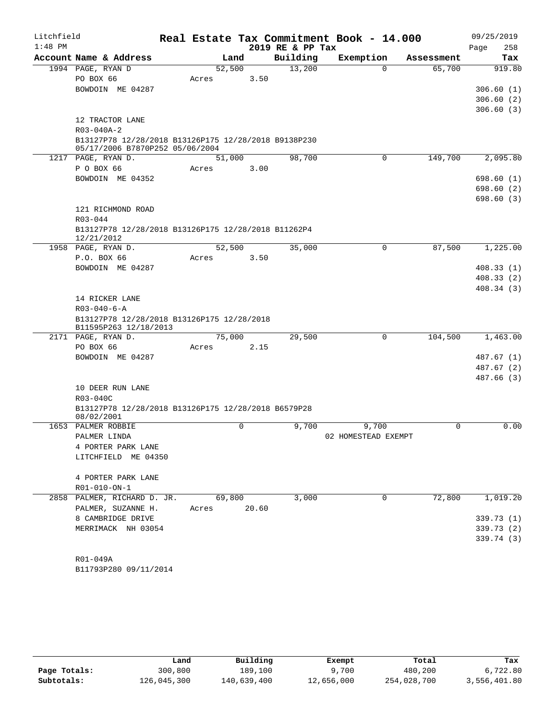| $1:48$ PM<br>2019 RE & PP Tax<br>258<br>Page<br>Account Name & Address<br>Building<br>Exemption<br>Land<br>Tax<br>Assessment<br>13,200<br>1994 PAGE, RYAN D<br>52,500<br>65,700<br>919.80<br>$\Omega$<br>PO BOX 66<br>3.50<br>Acres<br>BOWDOIN ME 04287<br>306.60(1)<br>306.60(2)<br>306.60(3)<br>12 TRACTOR LANE<br>$R03 - 040A - 2$<br>B13127P78 12/28/2018 B13126P175 12/28/2018 B9138P230<br>05/17/2006 B7870P252 05/06/2004<br>1217 PAGE, RYAN D.<br>98,700<br>0<br>149,700<br>2,095.80<br>51,000<br>P O BOX 66<br>3.00<br>Acres<br>BOWDOIN ME 04352<br>698.60 (1)<br>698.60 (2)<br>698.60(3)<br>121 RICHMOND ROAD<br>R03-044<br>B13127P78 12/28/2018 B13126P175 12/28/2018 B11262P4<br>12/21/2012<br>1958 PAGE, RYAN D.<br>52,500<br>35,000<br>87,500<br>1,225.00<br>0<br>P.O. BOX 66<br>3.50<br>Acres<br>BOWDOIN ME 04287<br>408.33(1)<br>408.33(2)<br>408.34(3)<br>14 RICKER LANE<br>$R03 - 040 - 6 - A$<br>B13127P78 12/28/2018 B13126P175 12/28/2018<br>B11595P263 12/18/2013<br>75,000<br>29,500<br>104,500<br>1,463.00<br>2171 PAGE, RYAN D.<br>0<br>PO BOX 66<br>2.15<br>Acres<br>BOWDOIN ME 04287<br>487.67 (1)<br>487.67 (2)<br>487.66(3)<br>10 DEER RUN LANE<br>R03-040C<br>B13127P78 12/28/2018 B13126P175 12/28/2018 B6579P28<br>08/02/2001<br>0.00<br>9,700<br>PALMER ROBBIE<br>0<br>9,700<br>0<br>1653<br>02 HOMESTEAD EXEMPT<br>PALMER LINDA<br>4 PORTER PARK LANE<br>LITCHFIELD ME 04350<br>4 PORTER PARK LANE<br>R01-010-ON-1<br>3,000<br>72,800<br>1,019.20<br>PALMER, RICHARD D. JR.<br>69,800<br>0<br>2858<br>PALMER, SUZANNE H.<br>20.60<br>Acres<br>8 CAMBRIDGE DRIVE<br>339.73 (1)<br>MERRIMACK NH 03054<br>339.73 (2)<br>R01-049A<br>B11793P280 09/11/2014 | Litchfield |  |  | Real Estate Tax Commitment Book - 14.000 | 09/25/2019 |
|------------------------------------------------------------------------------------------------------------------------------------------------------------------------------------------------------------------------------------------------------------------------------------------------------------------------------------------------------------------------------------------------------------------------------------------------------------------------------------------------------------------------------------------------------------------------------------------------------------------------------------------------------------------------------------------------------------------------------------------------------------------------------------------------------------------------------------------------------------------------------------------------------------------------------------------------------------------------------------------------------------------------------------------------------------------------------------------------------------------------------------------------------------------------------------------------------------------------------------------------------------------------------------------------------------------------------------------------------------------------------------------------------------------------------------------------------------------------------------------------------------------------------------------------------------------------------------------------------------------------------------------------------------------------------------------|------------|--|--|------------------------------------------|------------|
|                                                                                                                                                                                                                                                                                                                                                                                                                                                                                                                                                                                                                                                                                                                                                                                                                                                                                                                                                                                                                                                                                                                                                                                                                                                                                                                                                                                                                                                                                                                                                                                                                                                                                          |            |  |  |                                          |            |
|                                                                                                                                                                                                                                                                                                                                                                                                                                                                                                                                                                                                                                                                                                                                                                                                                                                                                                                                                                                                                                                                                                                                                                                                                                                                                                                                                                                                                                                                                                                                                                                                                                                                                          |            |  |  |                                          |            |
|                                                                                                                                                                                                                                                                                                                                                                                                                                                                                                                                                                                                                                                                                                                                                                                                                                                                                                                                                                                                                                                                                                                                                                                                                                                                                                                                                                                                                                                                                                                                                                                                                                                                                          |            |  |  |                                          |            |
|                                                                                                                                                                                                                                                                                                                                                                                                                                                                                                                                                                                                                                                                                                                                                                                                                                                                                                                                                                                                                                                                                                                                                                                                                                                                                                                                                                                                                                                                                                                                                                                                                                                                                          |            |  |  |                                          |            |
|                                                                                                                                                                                                                                                                                                                                                                                                                                                                                                                                                                                                                                                                                                                                                                                                                                                                                                                                                                                                                                                                                                                                                                                                                                                                                                                                                                                                                                                                                                                                                                                                                                                                                          |            |  |  |                                          |            |
|                                                                                                                                                                                                                                                                                                                                                                                                                                                                                                                                                                                                                                                                                                                                                                                                                                                                                                                                                                                                                                                                                                                                                                                                                                                                                                                                                                                                                                                                                                                                                                                                                                                                                          |            |  |  |                                          |            |
|                                                                                                                                                                                                                                                                                                                                                                                                                                                                                                                                                                                                                                                                                                                                                                                                                                                                                                                                                                                                                                                                                                                                                                                                                                                                                                                                                                                                                                                                                                                                                                                                                                                                                          |            |  |  |                                          |            |
|                                                                                                                                                                                                                                                                                                                                                                                                                                                                                                                                                                                                                                                                                                                                                                                                                                                                                                                                                                                                                                                                                                                                                                                                                                                                                                                                                                                                                                                                                                                                                                                                                                                                                          |            |  |  |                                          |            |
|                                                                                                                                                                                                                                                                                                                                                                                                                                                                                                                                                                                                                                                                                                                                                                                                                                                                                                                                                                                                                                                                                                                                                                                                                                                                                                                                                                                                                                                                                                                                                                                                                                                                                          |            |  |  |                                          |            |
|                                                                                                                                                                                                                                                                                                                                                                                                                                                                                                                                                                                                                                                                                                                                                                                                                                                                                                                                                                                                                                                                                                                                                                                                                                                                                                                                                                                                                                                                                                                                                                                                                                                                                          |            |  |  |                                          |            |
|                                                                                                                                                                                                                                                                                                                                                                                                                                                                                                                                                                                                                                                                                                                                                                                                                                                                                                                                                                                                                                                                                                                                                                                                                                                                                                                                                                                                                                                                                                                                                                                                                                                                                          |            |  |  |                                          |            |
|                                                                                                                                                                                                                                                                                                                                                                                                                                                                                                                                                                                                                                                                                                                                                                                                                                                                                                                                                                                                                                                                                                                                                                                                                                                                                                                                                                                                                                                                                                                                                                                                                                                                                          |            |  |  |                                          |            |
|                                                                                                                                                                                                                                                                                                                                                                                                                                                                                                                                                                                                                                                                                                                                                                                                                                                                                                                                                                                                                                                                                                                                                                                                                                                                                                                                                                                                                                                                                                                                                                                                                                                                                          |            |  |  |                                          |            |
|                                                                                                                                                                                                                                                                                                                                                                                                                                                                                                                                                                                                                                                                                                                                                                                                                                                                                                                                                                                                                                                                                                                                                                                                                                                                                                                                                                                                                                                                                                                                                                                                                                                                                          |            |  |  |                                          |            |
|                                                                                                                                                                                                                                                                                                                                                                                                                                                                                                                                                                                                                                                                                                                                                                                                                                                                                                                                                                                                                                                                                                                                                                                                                                                                                                                                                                                                                                                                                                                                                                                                                                                                                          |            |  |  |                                          |            |
|                                                                                                                                                                                                                                                                                                                                                                                                                                                                                                                                                                                                                                                                                                                                                                                                                                                                                                                                                                                                                                                                                                                                                                                                                                                                                                                                                                                                                                                                                                                                                                                                                                                                                          |            |  |  |                                          |            |
|                                                                                                                                                                                                                                                                                                                                                                                                                                                                                                                                                                                                                                                                                                                                                                                                                                                                                                                                                                                                                                                                                                                                                                                                                                                                                                                                                                                                                                                                                                                                                                                                                                                                                          |            |  |  |                                          |            |
|                                                                                                                                                                                                                                                                                                                                                                                                                                                                                                                                                                                                                                                                                                                                                                                                                                                                                                                                                                                                                                                                                                                                                                                                                                                                                                                                                                                                                                                                                                                                                                                                                                                                                          |            |  |  |                                          |            |
|                                                                                                                                                                                                                                                                                                                                                                                                                                                                                                                                                                                                                                                                                                                                                                                                                                                                                                                                                                                                                                                                                                                                                                                                                                                                                                                                                                                                                                                                                                                                                                                                                                                                                          |            |  |  |                                          |            |
|                                                                                                                                                                                                                                                                                                                                                                                                                                                                                                                                                                                                                                                                                                                                                                                                                                                                                                                                                                                                                                                                                                                                                                                                                                                                                                                                                                                                                                                                                                                                                                                                                                                                                          |            |  |  |                                          |            |
|                                                                                                                                                                                                                                                                                                                                                                                                                                                                                                                                                                                                                                                                                                                                                                                                                                                                                                                                                                                                                                                                                                                                                                                                                                                                                                                                                                                                                                                                                                                                                                                                                                                                                          |            |  |  |                                          |            |
|                                                                                                                                                                                                                                                                                                                                                                                                                                                                                                                                                                                                                                                                                                                                                                                                                                                                                                                                                                                                                                                                                                                                                                                                                                                                                                                                                                                                                                                                                                                                                                                                                                                                                          |            |  |  |                                          |            |
|                                                                                                                                                                                                                                                                                                                                                                                                                                                                                                                                                                                                                                                                                                                                                                                                                                                                                                                                                                                                                                                                                                                                                                                                                                                                                                                                                                                                                                                                                                                                                                                                                                                                                          |            |  |  |                                          |            |
|                                                                                                                                                                                                                                                                                                                                                                                                                                                                                                                                                                                                                                                                                                                                                                                                                                                                                                                                                                                                                                                                                                                                                                                                                                                                                                                                                                                                                                                                                                                                                                                                                                                                                          |            |  |  |                                          |            |
|                                                                                                                                                                                                                                                                                                                                                                                                                                                                                                                                                                                                                                                                                                                                                                                                                                                                                                                                                                                                                                                                                                                                                                                                                                                                                                                                                                                                                                                                                                                                                                                                                                                                                          |            |  |  |                                          |            |
|                                                                                                                                                                                                                                                                                                                                                                                                                                                                                                                                                                                                                                                                                                                                                                                                                                                                                                                                                                                                                                                                                                                                                                                                                                                                                                                                                                                                                                                                                                                                                                                                                                                                                          |            |  |  |                                          |            |
|                                                                                                                                                                                                                                                                                                                                                                                                                                                                                                                                                                                                                                                                                                                                                                                                                                                                                                                                                                                                                                                                                                                                                                                                                                                                                                                                                                                                                                                                                                                                                                                                                                                                                          |            |  |  |                                          |            |
|                                                                                                                                                                                                                                                                                                                                                                                                                                                                                                                                                                                                                                                                                                                                                                                                                                                                                                                                                                                                                                                                                                                                                                                                                                                                                                                                                                                                                                                                                                                                                                                                                                                                                          |            |  |  |                                          |            |
|                                                                                                                                                                                                                                                                                                                                                                                                                                                                                                                                                                                                                                                                                                                                                                                                                                                                                                                                                                                                                                                                                                                                                                                                                                                                                                                                                                                                                                                                                                                                                                                                                                                                                          |            |  |  |                                          |            |
|                                                                                                                                                                                                                                                                                                                                                                                                                                                                                                                                                                                                                                                                                                                                                                                                                                                                                                                                                                                                                                                                                                                                                                                                                                                                                                                                                                                                                                                                                                                                                                                                                                                                                          |            |  |  |                                          |            |
|                                                                                                                                                                                                                                                                                                                                                                                                                                                                                                                                                                                                                                                                                                                                                                                                                                                                                                                                                                                                                                                                                                                                                                                                                                                                                                                                                                                                                                                                                                                                                                                                                                                                                          |            |  |  |                                          |            |
|                                                                                                                                                                                                                                                                                                                                                                                                                                                                                                                                                                                                                                                                                                                                                                                                                                                                                                                                                                                                                                                                                                                                                                                                                                                                                                                                                                                                                                                                                                                                                                                                                                                                                          |            |  |  |                                          |            |
|                                                                                                                                                                                                                                                                                                                                                                                                                                                                                                                                                                                                                                                                                                                                                                                                                                                                                                                                                                                                                                                                                                                                                                                                                                                                                                                                                                                                                                                                                                                                                                                                                                                                                          |            |  |  |                                          |            |
|                                                                                                                                                                                                                                                                                                                                                                                                                                                                                                                                                                                                                                                                                                                                                                                                                                                                                                                                                                                                                                                                                                                                                                                                                                                                                                                                                                                                                                                                                                                                                                                                                                                                                          |            |  |  |                                          |            |
|                                                                                                                                                                                                                                                                                                                                                                                                                                                                                                                                                                                                                                                                                                                                                                                                                                                                                                                                                                                                                                                                                                                                                                                                                                                                                                                                                                                                                                                                                                                                                                                                                                                                                          |            |  |  |                                          |            |
|                                                                                                                                                                                                                                                                                                                                                                                                                                                                                                                                                                                                                                                                                                                                                                                                                                                                                                                                                                                                                                                                                                                                                                                                                                                                                                                                                                                                                                                                                                                                                                                                                                                                                          |            |  |  |                                          |            |
|                                                                                                                                                                                                                                                                                                                                                                                                                                                                                                                                                                                                                                                                                                                                                                                                                                                                                                                                                                                                                                                                                                                                                                                                                                                                                                                                                                                                                                                                                                                                                                                                                                                                                          |            |  |  |                                          |            |
|                                                                                                                                                                                                                                                                                                                                                                                                                                                                                                                                                                                                                                                                                                                                                                                                                                                                                                                                                                                                                                                                                                                                                                                                                                                                                                                                                                                                                                                                                                                                                                                                                                                                                          |            |  |  |                                          |            |
|                                                                                                                                                                                                                                                                                                                                                                                                                                                                                                                                                                                                                                                                                                                                                                                                                                                                                                                                                                                                                                                                                                                                                                                                                                                                                                                                                                                                                                                                                                                                                                                                                                                                                          |            |  |  |                                          |            |
|                                                                                                                                                                                                                                                                                                                                                                                                                                                                                                                                                                                                                                                                                                                                                                                                                                                                                                                                                                                                                                                                                                                                                                                                                                                                                                                                                                                                                                                                                                                                                                                                                                                                                          |            |  |  |                                          |            |
|                                                                                                                                                                                                                                                                                                                                                                                                                                                                                                                                                                                                                                                                                                                                                                                                                                                                                                                                                                                                                                                                                                                                                                                                                                                                                                                                                                                                                                                                                                                                                                                                                                                                                          |            |  |  |                                          |            |
|                                                                                                                                                                                                                                                                                                                                                                                                                                                                                                                                                                                                                                                                                                                                                                                                                                                                                                                                                                                                                                                                                                                                                                                                                                                                                                                                                                                                                                                                                                                                                                                                                                                                                          |            |  |  |                                          |            |
|                                                                                                                                                                                                                                                                                                                                                                                                                                                                                                                                                                                                                                                                                                                                                                                                                                                                                                                                                                                                                                                                                                                                                                                                                                                                                                                                                                                                                                                                                                                                                                                                                                                                                          |            |  |  |                                          |            |
|                                                                                                                                                                                                                                                                                                                                                                                                                                                                                                                                                                                                                                                                                                                                                                                                                                                                                                                                                                                                                                                                                                                                                                                                                                                                                                                                                                                                                                                                                                                                                                                                                                                                                          |            |  |  |                                          |            |
|                                                                                                                                                                                                                                                                                                                                                                                                                                                                                                                                                                                                                                                                                                                                                                                                                                                                                                                                                                                                                                                                                                                                                                                                                                                                                                                                                                                                                                                                                                                                                                                                                                                                                          |            |  |  |                                          |            |
|                                                                                                                                                                                                                                                                                                                                                                                                                                                                                                                                                                                                                                                                                                                                                                                                                                                                                                                                                                                                                                                                                                                                                                                                                                                                                                                                                                                                                                                                                                                                                                                                                                                                                          |            |  |  |                                          |            |
|                                                                                                                                                                                                                                                                                                                                                                                                                                                                                                                                                                                                                                                                                                                                                                                                                                                                                                                                                                                                                                                                                                                                                                                                                                                                                                                                                                                                                                                                                                                                                                                                                                                                                          |            |  |  |                                          | 339.74 (3) |
|                                                                                                                                                                                                                                                                                                                                                                                                                                                                                                                                                                                                                                                                                                                                                                                                                                                                                                                                                                                                                                                                                                                                                                                                                                                                                                                                                                                                                                                                                                                                                                                                                                                                                          |            |  |  |                                          |            |
|                                                                                                                                                                                                                                                                                                                                                                                                                                                                                                                                                                                                                                                                                                                                                                                                                                                                                                                                                                                                                                                                                                                                                                                                                                                                                                                                                                                                                                                                                                                                                                                                                                                                                          |            |  |  |                                          |            |
|                                                                                                                                                                                                                                                                                                                                                                                                                                                                                                                                                                                                                                                                                                                                                                                                                                                                                                                                                                                                                                                                                                                                                                                                                                                                                                                                                                                                                                                                                                                                                                                                                                                                                          |            |  |  |                                          |            |

|              | úand        | Building    | Exempt     | Total       | Tax          |
|--------------|-------------|-------------|------------|-------------|--------------|
| Page Totals: | 300,800     | 189,100     | 9,700      | 480,200     | 6,722.80     |
| Subtotals:   | 126,045,300 | 140,639,400 | 12,656,000 | 254,028,700 | 3,556,401.80 |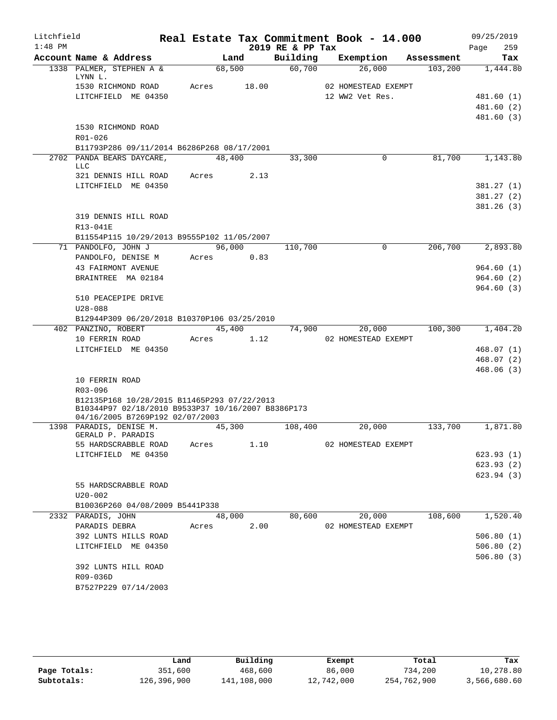| Litchfield |                                                                                       |        |        |       |                  | Real Estate Tax Commitment Book - 14.000 |            |      | 09/25/2019             |
|------------|---------------------------------------------------------------------------------------|--------|--------|-------|------------------|------------------------------------------|------------|------|------------------------|
| $1:48$ PM  |                                                                                       |        |        |       | 2019 RE & PP Tax |                                          |            | Page | 259                    |
|            | Account Name & Address                                                                |        | Land   |       | Building         | Exemption                                | Assessment |      | Tax                    |
|            | 1338 PALMER, STEPHEN A &<br>LYNN L.                                                   | 68,500 |        |       | 60,700           | 26,000                                   | 103,200    |      | 1,444.80               |
|            | 1530 RICHMOND ROAD                                                                    | Acres  |        | 18.00 |                  | 02 HOMESTEAD EXEMPT                      |            |      |                        |
|            | LITCHFIELD ME 04350                                                                   |        |        |       |                  | 12 WW2 Vet Res.                          |            |      | 481.60(1)              |
|            |                                                                                       |        |        |       |                  |                                          |            |      | 481.60 (2)             |
|            |                                                                                       |        |        |       |                  |                                          |            |      | 481.60(3)              |
|            | 1530 RICHMOND ROAD<br>R01-026                                                         |        |        |       |                  |                                          |            |      |                        |
|            | B11793P286 09/11/2014 B6286P268 08/17/2001                                            |        |        |       |                  |                                          |            |      |                        |
|            | 2702 PANDA BEARS DAYCARE,<br><b>LLC</b>                                               | 48,400 |        |       | 33,300           | 0                                        | 81,700     |      | 1,143.80               |
|            | 321 DENNIS HILL ROAD                                                                  | Acres  |        | 2.13  |                  |                                          |            |      |                        |
|            | LITCHFIELD ME 04350                                                                   |        |        |       |                  |                                          |            |      | 381.27(1)              |
|            |                                                                                       |        |        |       |                  |                                          |            |      | 381.27(2)              |
|            |                                                                                       |        |        |       |                  |                                          |            |      | 381.26(3)              |
|            | 319 DENNIS HILL ROAD                                                                  |        |        |       |                  |                                          |            |      |                        |
|            | R13-041E<br>B11554P115 10/29/2013 B9555P102 11/05/2007                                |        |        |       |                  |                                          |            |      |                        |
|            | 71 PANDOLFO, JOHN J                                                                   |        | 96,000 |       | 110,700          | $\mathbf 0$                              | 206,700    |      | 2,893.80               |
|            | PANDOLFO, DENISE M                                                                    | Acres  |        | 0.83  |                  |                                          |            |      |                        |
|            | <b>43 FAIRMONT AVENUE</b>                                                             |        |        |       |                  |                                          |            |      | 964.60(1)              |
|            | BRAINTREE MA 02184                                                                    |        |        |       |                  |                                          |            |      | 964.60(2)              |
|            |                                                                                       |        |        |       |                  |                                          |            |      | 964.60(3)              |
|            | 510 PEACEPIPE DRIVE                                                                   |        |        |       |                  |                                          |            |      |                        |
|            | $U28 - 088$                                                                           |        |        |       |                  |                                          |            |      |                        |
|            | B12944P309 06/20/2018 B10370P106 03/25/2010                                           |        |        |       |                  |                                          |            |      |                        |
|            | 402 PANZINO, ROBERT                                                                   |        | 45,400 |       | 74,900           | 20,000                                   | 100,300    |      | 1,404.20               |
|            | 10 FERRIN ROAD<br>LITCHFIELD ME 04350                                                 | Acres  |        | 1.12  |                  | 02 HOMESTEAD EXEMPT                      |            |      | 468.07(1)              |
|            |                                                                                       |        |        |       |                  |                                          |            |      | 468.07(2)              |
|            |                                                                                       |        |        |       |                  |                                          |            |      | 468.06(3)              |
|            | 10 FERRIN ROAD                                                                        |        |        |       |                  |                                          |            |      |                        |
|            | R03-096                                                                               |        |        |       |                  |                                          |            |      |                        |
|            | B12135P168 10/28/2015 B11465P293 07/22/2013                                           |        |        |       |                  |                                          |            |      |                        |
|            | B10344P97 02/18/2010 B9533P37 10/16/2007 B8386P173<br>04/16/2005 B7269P192 02/07/2003 |        |        |       |                  |                                          |            |      |                        |
|            | 1398 PARADIS, DENISE M.<br>GERALD P. PARADIS                                          | 45,300 |        |       | 108,400          | 20,000                                   | 133,700    |      | 1,871.80               |
|            | 55 HARDSCRABBLE ROAD                                                                  | Acres  |        | 1.10  |                  | 02 HOMESTEAD EXEMPT                      |            |      |                        |
|            | LITCHFIELD ME 04350                                                                   |        |        |       |                  |                                          |            |      | 623.93(1)              |
|            |                                                                                       |        |        |       |                  |                                          |            |      | 623.93(2)              |
|            |                                                                                       |        |        |       |                  |                                          |            |      | 623.94(3)              |
|            | 55 HARDSCRABBLE ROAD                                                                  |        |        |       |                  |                                          |            |      |                        |
|            | $U20 - 002$                                                                           |        |        |       |                  |                                          |            |      |                        |
|            | B10036P260 04/08/2009 B5441P338                                                       |        |        |       |                  |                                          |            |      |                        |
|            | 2332 PARADIS, JOHN                                                                    |        | 48,000 |       | 80,600           | 20,000                                   | 108,600    |      | 1,520.40               |
|            | PARADIS DEBRA<br>392 LUNTS HILLS ROAD                                                 | Acres  |        | 2.00  |                  | 02 HOMESTEAD EXEMPT                      |            |      |                        |
|            |                                                                                       |        |        |       |                  |                                          |            |      | 506.80(1)              |
|            | LITCHFIELD ME 04350                                                                   |        |        |       |                  |                                          |            |      | 506.80(2)<br>506.80(3) |
|            | 392 LUNTS HILL ROAD                                                                   |        |        |       |                  |                                          |            |      |                        |
|            | R09-036D                                                                              |        |        |       |                  |                                          |            |      |                        |
|            | B7527P229 07/14/2003                                                                  |        |        |       |                  |                                          |            |      |                        |
|            |                                                                                       |        |        |       |                  |                                          |            |      |                        |

|              | Land        | Building    | Exempt     | Total       | Tax          |
|--------------|-------------|-------------|------------|-------------|--------------|
| Page Totals: | 351,600     | 468,600     | 86,000     | 734,200     | 10,278.80    |
| Subtotals:   | 126,396,900 | 141,108,000 | 12,742,000 | 254,762,900 | 3,566,680.60 |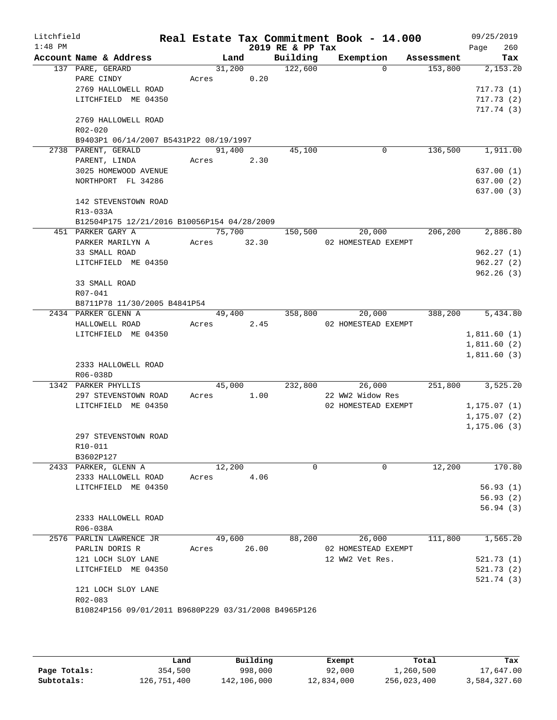| Litchfield<br>$1:48$ PM |                                                      |        |        | 2019 RE & PP Tax | Real Estate Tax Commitment Book - 14.000 |            | 09/25/2019<br>260<br>Page |
|-------------------------|------------------------------------------------------|--------|--------|------------------|------------------------------------------|------------|---------------------------|
|                         | Account Name & Address                               | Land   |        | Building         | Exemption                                | Assessment | Tax                       |
|                         | 137 PARE, GERARD                                     | 31,200 |        | 122,600          | $\Omega$                                 | 153,800    | 2,153.20                  |
|                         | PARE CINDY                                           | Acres  | 0.20   |                  |                                          |            |                           |
|                         | 2769 HALLOWELL ROAD                                  |        |        |                  |                                          |            | 717.73(1)                 |
|                         | LITCHFIELD ME 04350                                  |        |        |                  |                                          |            | 717.73(2)                 |
|                         |                                                      |        |        |                  |                                          |            | 717.74(3)                 |
|                         | 2769 HALLOWELL ROAD                                  |        |        |                  |                                          |            |                           |
|                         | R02-020                                              |        |        |                  |                                          |            |                           |
|                         | B9403P1 06/14/2007 B5431P22 08/19/1997               |        |        |                  |                                          |            |                           |
|                         | 2738 PARENT, GERALD                                  | 91,400 |        | 45,100           | 0                                        | 136,500    | 1,911.00                  |
|                         | PARENT, LINDA                                        | Acres  | 2.30   |                  |                                          |            |                           |
|                         | 3025 HOMEWOOD AVENUE                                 |        |        |                  |                                          |            | 637.00 (1)                |
|                         | NORTHPORT FL 34286                                   |        |        |                  |                                          |            | 637.00 (2)                |
|                         |                                                      |        |        |                  |                                          |            | 637.00 (3)                |
|                         | 142 STEVENSTOWN ROAD                                 |        |        |                  |                                          |            |                           |
|                         | R13-033A                                             |        |        |                  |                                          |            |                           |
|                         | B12504P175 12/21/2016 B10056P154 04/28/2009          |        |        |                  |                                          |            |                           |
|                         | 451 PARKER GARY A                                    |        | 75,700 | 150,500          | 20,000                                   | 206,200    | 2,886.80                  |
|                         | PARKER MARILYN A                                     | Acres  | 32.30  |                  | 02 HOMESTEAD EXEMPT                      |            |                           |
|                         | 33 SMALL ROAD                                        |        |        |                  |                                          |            | 962.27(1)                 |
|                         | LITCHFIELD ME 04350                                  |        |        |                  |                                          |            | 962.27(2)                 |
|                         |                                                      |        |        |                  |                                          |            | 962.26(3)                 |
|                         | 33 SMALL ROAD                                        |        |        |                  |                                          |            |                           |
|                         | R07-041                                              |        |        |                  |                                          |            |                           |
|                         | B8711P78 11/30/2005 B4841P54                         |        |        |                  |                                          |            |                           |
|                         | 2434 PARKER GLENN A                                  | 49,400 |        | 358,800          | 20,000                                   | 388,200    | 5,434.80                  |
|                         | HALLOWELL ROAD                                       | Acres  | 2.45   |                  | 02 HOMESTEAD EXEMPT                      |            |                           |
|                         | LITCHFIELD ME 04350                                  |        |        |                  |                                          |            | 1,811.60(1)               |
|                         |                                                      |        |        |                  |                                          |            | 1,811.60(2)               |
|                         |                                                      |        |        |                  |                                          |            | 1,811.60(3)               |
|                         | 2333 HALLOWELL ROAD                                  |        |        |                  |                                          |            |                           |
|                         | R06-038D                                             |        |        |                  |                                          |            |                           |
|                         | 1342 PARKER PHYLLIS                                  | 45,000 |        | 232,800          | 26,000                                   | 251,800    | 3,525.20                  |
|                         | 297 STEVENSTOWN ROAD                                 | Acres  | 1.00   |                  | 22 WW2 Widow Res                         |            |                           |
|                         | LITCHFIELD ME 04350                                  |        |        |                  | 02 HOMESTEAD EXEMPT                      |            | 1, 175.07(1)              |
|                         |                                                      |        |        |                  |                                          |            | 1, 175.07(2)              |
|                         |                                                      |        |        |                  |                                          |            | 1, 175.06(3)              |
|                         | 297 STEVENSTOWN ROAD                                 |        |        |                  |                                          |            |                           |
|                         | R10-011                                              |        |        |                  |                                          |            |                           |
|                         | B3602P127                                            |        |        |                  |                                          |            |                           |
|                         | 2433 PARKER, GLENN A                                 | 12,200 |        | $\mathbf 0$      | $\mathbf 0$                              | 12,200     | 170.80                    |
|                         | 2333 HALLOWELL ROAD                                  | Acres  | 4.06   |                  |                                          |            |                           |
|                         | LITCHFIELD ME 04350                                  |        |        |                  |                                          |            | 56.93(1)                  |
|                         |                                                      |        |        |                  |                                          |            | 56.93(2)                  |
|                         |                                                      |        |        |                  |                                          |            | 56.94(3)                  |
|                         | 2333 HALLOWELL ROAD                                  |        |        |                  |                                          |            |                           |
|                         | R06-038A                                             |        |        |                  |                                          |            |                           |
|                         | 2576 PARLIN LAWRENCE JR                              | 49,600 |        | 88,200           | 26,000                                   | 111,800    | 1,565.20                  |
|                         | PARLIN DORIS R                                       | Acres  | 26.00  |                  | 02 HOMESTEAD EXEMPT                      |            |                           |
|                         | 121 LOCH SLOY LANE                                   |        |        |                  | 12 WW2 Vet Res.                          |            | 521.73 (1)                |
|                         | LITCHFIELD ME 04350                                  |        |        |                  |                                          |            | 521.73 (2)                |
|                         |                                                      |        |        |                  |                                          |            | 521.74 (3)                |
|                         | 121 LOCH SLOY LANE                                   |        |        |                  |                                          |            |                           |
|                         | R02-083                                              |        |        |                  |                                          |            |                           |
|                         | B10824P156 09/01/2011 B9680P229 03/31/2008 B4965P126 |        |        |                  |                                          |            |                           |
|                         |                                                      |        |        |                  |                                          |            |                           |

|              | Land        | Building    | Exempt     | Total       | Tax          |
|--------------|-------------|-------------|------------|-------------|--------------|
| Page Totals: | 354,500     | 998,000     | 92,000     | 1,260,500   | 17,647.00    |
| Subtotals:   | 126,751,400 | 142,106,000 | 12,834,000 | 256,023,400 | 3,584,327.60 |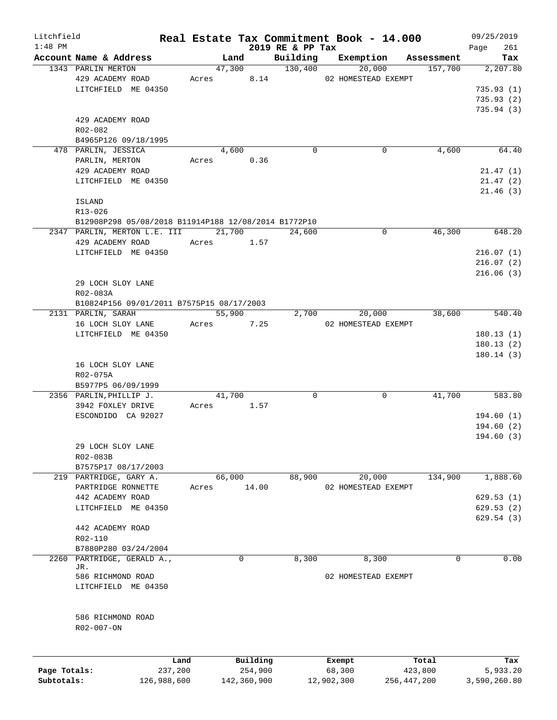| Litchfield   |                                                      |         |                |                              | Real Estate Tax Commitment Book - 14.000 |             | 09/25/2019         |
|--------------|------------------------------------------------------|---------|----------------|------------------------------|------------------------------------------|-------------|--------------------|
| $1:48$ PM    | Account Name & Address                               |         | Land           | 2019 RE & PP Tax<br>Building | Exemption                                | Assessment  | 261<br>Page<br>Tax |
|              | 1343 PARLIN MERTON                                   |         | 47,300 130,400 |                              | 20,000                                   | 157,700     | 2, 207.80          |
|              | 429 ACADEMY ROAD                                     |         | Acres 8.14     |                              | 02 HOMESTEAD EXEMPT                      |             |                    |
|              | LITCHFIELD ME 04350                                  |         |                |                              |                                          |             | 735.93(1)          |
|              |                                                      |         |                |                              |                                          |             | 735.93(2)          |
|              |                                                      |         |                |                              |                                          |             | 735.94 (3)         |
|              | 429 ACADEMY ROAD                                     |         |                |                              |                                          |             |                    |
|              | R02-082                                              |         |                |                              |                                          |             |                    |
|              | B4965P126 09/18/1995                                 |         |                |                              |                                          |             |                    |
|              | 478 PARLIN, JESSICA                                  |         | 4,600          | $\Omega$                     | $\Omega$                                 | 4,600       | 64.40              |
|              | PARLIN, MERTON                                       |         | Acres 0.36     |                              |                                          |             |                    |
|              | 429 ACADEMY ROAD                                     |         |                |                              |                                          |             | 21.47(1)           |
|              | LITCHFIELD ME 04350                                  |         |                |                              |                                          |             | 21.47(2)           |
|              |                                                      |         |                |                              |                                          |             | 21.46(3)           |
|              | ISLAND                                               |         |                |                              |                                          |             |                    |
|              | R13-026                                              |         |                |                              |                                          |             |                    |
|              | B12908P298 05/08/2018 B11914P188 12/08/2014 B1772P10 |         |                |                              |                                          |             |                    |
|              | 2347 PARLIN, MERTON L.E. III 21,700                  |         |                | 24,600                       | $\mathbf 0$                              | 46,300      | 648.20             |
|              | 429 ACADEMY ROAD                                     |         | Acres 1.57     |                              |                                          |             |                    |
|              | LITCHFIELD ME 04350                                  |         |                |                              |                                          |             | 216.07(1)          |
|              |                                                      |         |                |                              |                                          |             | 216.07(2)          |
|              |                                                      |         |                |                              |                                          |             | 216.06(3)          |
|              | 29 LOCH SLOY LANE                                    |         |                |                              |                                          |             |                    |
|              | R02-083A                                             |         |                |                              |                                          |             |                    |
|              | B10824P156 09/01/2011 B7575P15 08/17/2003            |         |                |                              |                                          |             |                    |
|              | 2131 PARLIN, SARAH                                   |         | 55,900         | 2,700                        | 20,000                                   | 38,600      | 540.40             |
|              | 16 LOCH SLOY LANE                                    |         | Acres 7.25     |                              | 02 HOMESTEAD EXEMPT                      |             |                    |
|              | LITCHFIELD ME 04350                                  |         |                |                              |                                          |             | 180.13(1)          |
|              |                                                      |         |                |                              |                                          |             | 180.13(2)          |
|              |                                                      |         |                |                              |                                          |             | 180.14(3)          |
|              | 16 LOCH SLOY LANE                                    |         |                |                              |                                          |             |                    |
|              | R02-075A                                             |         |                |                              |                                          |             |                    |
|              | B5977P5 06/09/1999                                   |         |                |                              |                                          |             |                    |
|              | 2356 PARLIN, PHILLIP J.                              |         | 41,700         | 0                            | $\mathbf 0$                              | 41,700      | 583.80             |
|              | 3942 FOXLEY DRIVE                                    | Acres   | 1.57           |                              |                                          |             |                    |
|              | ESCONDIDO CA 92027                                   |         |                |                              |                                          |             | 194.60(1)          |
|              |                                                      |         |                |                              |                                          |             | 194.60(2)          |
|              |                                                      |         |                |                              |                                          |             | 194.60(3)          |
|              | 29 LOCH SLOY LANE                                    |         |                |                              |                                          |             |                    |
|              | R02-083B                                             |         |                |                              |                                          |             |                    |
|              | B7575P17 08/17/2003                                  |         |                |                              |                                          |             |                    |
|              | 219 PARTRIDGE, GARY A.                               |         | 66,000         | 88,900                       | 20,000                                   | 134,900     | 1,888.60           |
|              | PARTRIDGE RONNETTE                                   | Acres   | 14.00          |                              | 02 HOMESTEAD EXEMPT                      |             |                    |
|              | 442 ACADEMY ROAD                                     |         |                |                              |                                          |             | 629.53(1)          |
|              | LITCHFIELD ME 04350                                  |         |                |                              |                                          |             | 629.53(2)          |
|              |                                                      |         |                |                              |                                          |             | 629.54(3)          |
|              | 442 ACADEMY ROAD                                     |         |                |                              |                                          |             |                    |
|              | R02-110                                              |         |                |                              |                                          |             |                    |
|              | B7880P280 03/24/2004                                 |         |                |                              |                                          |             |                    |
| 2260         | PARTRIDGE, GERALD A.,                                |         | 0              | 8,300                        | 8,300                                    | 0           | 0.00               |
|              | JR.                                                  |         |                |                              |                                          |             |                    |
|              | 586 RICHMOND ROAD                                    |         |                |                              | 02 HOMESTEAD EXEMPT                      |             |                    |
|              | LITCHFIELD ME 04350                                  |         |                |                              |                                          |             |                    |
|              |                                                      |         |                |                              |                                          |             |                    |
|              |                                                      |         |                |                              |                                          |             |                    |
|              | 586 RICHMOND ROAD                                    |         |                |                              |                                          |             |                    |
|              | R02-007-ON                                           |         |                |                              |                                          |             |                    |
|              |                                                      |         |                |                              |                                          |             |                    |
|              |                                                      | Land    | Building       |                              | Exempt                                   | Total       | Tax                |
| Page Totals: |                                                      | 237,200 | 254,900        |                              | 68,300                                   | 423,800     | 5,933.20           |
| Subtotals:   | 126,988,600                                          |         | 142,360,900    |                              | 12,902,300                               | 256,447,200 | 3,590,260.80       |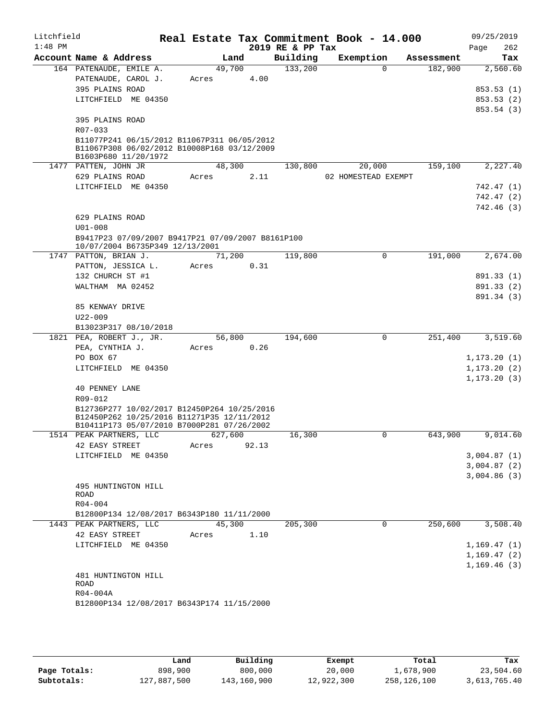| Litchfield |                                                                                          |         |      |       |                  | Real Estate Tax Commitment Book - 14.000 |          |            | 09/25/2019   |
|------------|------------------------------------------------------------------------------------------|---------|------|-------|------------------|------------------------------------------|----------|------------|--------------|
| $1:48$ PM  |                                                                                          |         |      |       | 2019 RE & PP Tax |                                          |          |            | 262<br>Page  |
|            | Account Name & Address                                                                   |         | Land |       | Building         | Exemption                                |          | Assessment | Tax          |
|            | 164 PATENAUDE, EMILE A.                                                                  | 49,700  |      |       | 133,200          |                                          | $\Omega$ | 182,900    | 2,560.60     |
|            | PATENAUDE, CAROL J.                                                                      | Acres   |      | 4.00  |                  |                                          |          |            |              |
|            | 395 PLAINS ROAD                                                                          |         |      |       |                  |                                          |          |            | 853.53(1)    |
|            | LITCHFIELD ME 04350                                                                      |         |      |       |                  |                                          |          |            | 853.53(2)    |
|            |                                                                                          |         |      |       |                  |                                          |          |            | 853.54 (3)   |
|            | 395 PLAINS ROAD                                                                          |         |      |       |                  |                                          |          |            |              |
|            | R07-033<br>B11077P241 06/15/2012 B11067P311 06/05/2012                                   |         |      |       |                  |                                          |          |            |              |
|            | B11067P308 06/02/2012 B10008P168 03/12/2009                                              |         |      |       |                  |                                          |          |            |              |
|            | B1603P680 11/20/1972                                                                     |         |      |       |                  |                                          |          |            |              |
|            | 1477 PATTEN, JOHN JR                                                                     | 48,300  |      |       | 130,800          | 20,000                                   |          | 159,100    | 2,227.40     |
|            | 629 PLAINS ROAD                                                                          | Acres   |      | 2.11  |                  | 02 HOMESTEAD EXEMPT                      |          |            |              |
|            | LITCHFIELD ME 04350                                                                      |         |      |       |                  |                                          |          |            | 742.47 (1)   |
|            |                                                                                          |         |      |       |                  |                                          |          |            | 742.47(2)    |
|            |                                                                                          |         |      |       |                  |                                          |          |            | 742.46(3)    |
|            | 629 PLAINS ROAD                                                                          |         |      |       |                  |                                          |          |            |              |
|            | $U01 - 008$                                                                              |         |      |       |                  |                                          |          |            |              |
|            | B9417P23 07/09/2007 B9417P21 07/09/2007 B8161P100                                        |         |      |       |                  |                                          |          |            |              |
|            | 10/07/2004 B6735P349 12/13/2001<br>1747 PATTON, BRIAN J.                                 | 71,200  |      |       | 119,800          |                                          | $\Omega$ | 191,000    | 2,674.00     |
|            | PATTON, JESSICA L.                                                                       | Acres   |      | 0.31  |                  |                                          |          |            |              |
|            | 132 CHURCH ST #1                                                                         |         |      |       |                  |                                          |          |            | 891.33 (1)   |
|            | WALTHAM MA 02452                                                                         |         |      |       |                  |                                          |          |            | 891.33 (2)   |
|            |                                                                                          |         |      |       |                  |                                          |          |            | 891.34 (3)   |
|            | 85 KENWAY DRIVE                                                                          |         |      |       |                  |                                          |          |            |              |
|            | $U22 - 009$                                                                              |         |      |       |                  |                                          |          |            |              |
|            | B13023P317 08/10/2018                                                                    |         |      |       |                  |                                          |          |            |              |
|            | 1821 PEA, ROBERT J., JR.                                                                 | 56,800  |      |       | 194,600          |                                          | 0        | 251,400    | 3,519.60     |
|            | PEA, CYNTHIA J.                                                                          | Acres   |      | 0.26  |                  |                                          |          |            |              |
|            | PO BOX 67                                                                                |         |      |       |                  |                                          |          |            | 1, 173.20(1) |
|            | LITCHFIELD ME 04350                                                                      |         |      |       |                  |                                          |          |            | 1, 173.20(2) |
|            |                                                                                          |         |      |       |                  |                                          |          |            | 1, 173.20(3) |
|            | 40 PENNEY LANE                                                                           |         |      |       |                  |                                          |          |            |              |
|            | R09-012                                                                                  |         |      |       |                  |                                          |          |            |              |
|            | B12736P277 10/02/2017 B12450P264 10/25/2016                                              |         |      |       |                  |                                          |          |            |              |
|            | B12450P262 10/25/2016 B11271P35 12/11/2012<br>B10411P173 05/07/2010 B7000P281 07/26/2002 |         |      |       |                  |                                          |          |            |              |
|            | 1514 PEAK PARTNERS, LLC                                                                  | 627,600 |      |       | 16,300           |                                          | 0        | 643,900    | 9,014.60     |
|            | 42 EASY STREET                                                                           | Acres   |      | 92.13 |                  |                                          |          |            |              |
|            | LITCHFIELD ME 04350                                                                      |         |      |       |                  |                                          |          |            | 3,004.87(1)  |
|            |                                                                                          |         |      |       |                  |                                          |          |            | 3,004.87(2)  |
|            |                                                                                          |         |      |       |                  |                                          |          |            | 3,004.86(3)  |
|            | 495 HUNTINGTON HILL                                                                      |         |      |       |                  |                                          |          |            |              |
|            | ROAD                                                                                     |         |      |       |                  |                                          |          |            |              |
|            | $R04 - 004$                                                                              |         |      |       |                  |                                          |          |            |              |
|            | B12800P134 12/08/2017 B6343P180 11/11/2000                                               |         |      |       |                  |                                          |          |            |              |
|            | 1443 PEAK PARTNERS, LLC                                                                  | 45,300  |      |       | 205,300          |                                          | $\Omega$ | 250,600    | 3,508.40     |
|            | 42 EASY STREET                                                                           | Acres   |      | 1.10  |                  |                                          |          |            |              |
|            | LITCHFIELD ME 04350                                                                      |         |      |       |                  |                                          |          |            | 1,169.47(1)  |
|            |                                                                                          |         |      |       |                  |                                          |          |            | 1, 169.47(2) |
|            |                                                                                          |         |      |       |                  |                                          |          |            | 1, 169.46(3) |
|            | 481 HUNTINGTON HILL<br>ROAD                                                              |         |      |       |                  |                                          |          |            |              |
|            | R04-004A                                                                                 |         |      |       |                  |                                          |          |            |              |
|            | B12800P134 12/08/2017 B6343P174 11/15/2000                                               |         |      |       |                  |                                          |          |            |              |
|            |                                                                                          |         |      |       |                  |                                          |          |            |              |

|              | Land        | Building    | Exempt     | Total       | Tax          |
|--------------|-------------|-------------|------------|-------------|--------------|
| Page Totals: | 898,900     | 800,000     | 20,000     | 1,678,900   | 23,504.60    |
| Subtotals:   | 127,887,500 | 143,160,900 | 12,922,300 | 258,126,100 | 3,613,765.40 |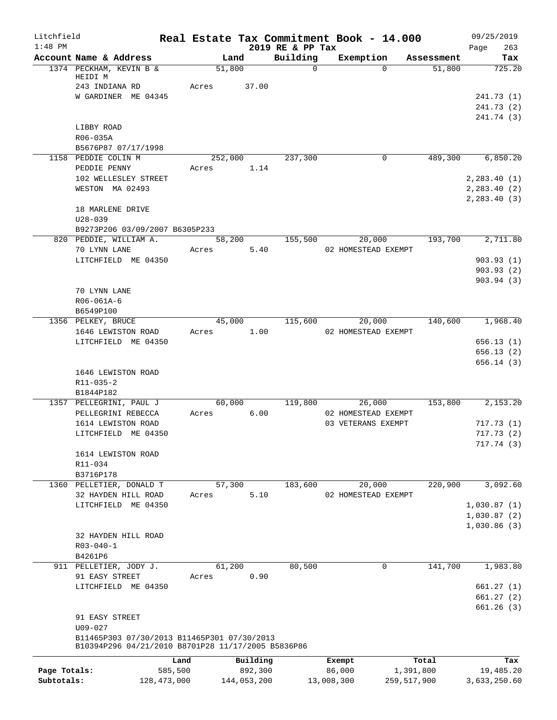| Litchfield   |                                                                                                   |         |                 |                              |            | Real Estate Tax Commitment Book - 14.000 |            | 09/25/2019                 |
|--------------|---------------------------------------------------------------------------------------------------|---------|-----------------|------------------------------|------------|------------------------------------------|------------|----------------------------|
| $1:48$ PM    | Account Name & Address                                                                            |         | Land            | 2019 RE & PP Tax<br>Building |            | Exemption                                | Assessment | 263<br>Page<br>Tax         |
|              | 1374 PECKHAM, KEVIN B &                                                                           |         | 51,800          | $\mathbf 0$                  |            | $\Omega$                                 | 51,800     | 725.20                     |
|              | HEIDI M                                                                                           |         |                 |                              |            |                                          |            |                            |
|              | 243 INDIANA RD<br>W GARDINER ME 04345                                                             | Acres   | 37.00           |                              |            |                                          |            | 241.73 (1)                 |
|              |                                                                                                   |         |                 |                              |            |                                          |            | 241.73(2)                  |
|              |                                                                                                   |         |                 |                              |            |                                          |            | 241.74 (3)                 |
|              | LIBBY ROAD                                                                                        |         |                 |                              |            |                                          |            |                            |
|              | R06-035A                                                                                          |         |                 |                              |            |                                          |            |                            |
|              | B5676P87 07/17/1998                                                                               |         |                 |                              |            |                                          |            |                            |
|              | 1158 PEDDIE COLIN M<br>PEDDIE PENNY                                                               | Acres   | 252,000<br>1.14 | 237,300                      |            | 0                                        | 489,300    | 6,850.20                   |
|              | 102 WELLESLEY STREET                                                                              |         |                 |                              |            |                                          |            | 2, 283.40(1)               |
|              | WESTON MA 02493                                                                                   |         |                 |                              |            |                                          |            | 2, 283.40 (2)              |
|              |                                                                                                   |         |                 |                              |            |                                          |            | 2, 283.40(3)               |
|              | 18 MARLENE DRIVE                                                                                  |         |                 |                              |            |                                          |            |                            |
|              | $U28 - 039$                                                                                       |         |                 |                              |            |                                          |            |                            |
|              | B9273P206 03/09/2007 B6305P233<br>820 PEDDIE, WILLIAM A.                                          |         | 58,200          | 155,500                      |            | 20,000                                   | 193,700    | 2,711.80                   |
|              | 70 LYNN LANE                                                                                      | Acres   | 5.40            |                              |            | 02 HOMESTEAD EXEMPT                      |            |                            |
|              | LITCHFIELD ME 04350                                                                               |         |                 |                              |            |                                          |            | 903.93(1)                  |
|              |                                                                                                   |         |                 |                              |            |                                          |            | 903.93(2)                  |
|              |                                                                                                   |         |                 |                              |            |                                          |            | 903.94(3)                  |
|              | 70 LYNN LANE                                                                                      |         |                 |                              |            |                                          |            |                            |
|              | R06-061A-6                                                                                        |         |                 |                              |            |                                          |            |                            |
|              | B6549P100<br>1356 PELKEY, BRUCE                                                                   |         | 45,000          | 115,600                      |            | 20,000                                   | 140,600    | 1,968.40                   |
|              | 1646 LEWISTON ROAD                                                                                | Acres   | 1.00            |                              |            | 02 HOMESTEAD EXEMPT                      |            |                            |
|              | LITCHFIELD ME 04350                                                                               |         |                 |                              |            |                                          |            | 656.13(1)                  |
|              |                                                                                                   |         |                 |                              |            |                                          |            | 656.13(2)                  |
|              |                                                                                                   |         |                 |                              |            |                                          |            | 656.14 (3)                 |
|              | 1646 LEWISTON ROAD<br>R11-035-2                                                                   |         |                 |                              |            |                                          |            |                            |
|              | B1844P182                                                                                         |         |                 |                              |            |                                          |            |                            |
|              | 1357 PELLEGRINI, PAUL J                                                                           |         | 60,000          | 119,800                      |            | 26,000                                   | 153,800    | 2,153.20                   |
|              | PELLEGRINI REBECCA                                                                                | Acres   | 6.00            |                              |            | 02 HOMESTEAD EXEMPT                      |            |                            |
|              | 1614 LEWISTON ROAD                                                                                |         |                 |                              |            | 03 VETERANS EXEMPT                       |            | 717.73(1)                  |
|              | LITCHFIELD ME 04350                                                                               |         |                 |                              |            |                                          |            | 717.73(2)                  |
|              | 1614 LEWISTON ROAD                                                                                |         |                 |                              |            |                                          |            | 717.74 (3)                 |
|              | R11-034                                                                                           |         |                 |                              |            |                                          |            |                            |
|              | B3716P178                                                                                         |         |                 |                              |            |                                          |            |                            |
|              | 1360 PELLETIER, DONALD T                                                                          |         | 57,300          | 183,600                      |            | 20,000                                   | 220,900    | 3,092.60                   |
|              | 32 HAYDEN HILL ROAD                                                                               | Acres   | 5.10            |                              |            | 02 HOMESTEAD EXEMPT                      |            |                            |
|              | LITCHFIELD ME 04350                                                                               |         |                 |                              |            |                                          |            | 1,030.87(1)<br>1,030.87(2) |
|              |                                                                                                   |         |                 |                              |            |                                          |            | 1,030.86(3)                |
|              | 32 HAYDEN HILL ROAD                                                                               |         |                 |                              |            |                                          |            |                            |
|              | $R03 - 040 - 1$                                                                                   |         |                 |                              |            |                                          |            |                            |
|              | B4261P6                                                                                           |         |                 |                              |            |                                          |            |                            |
|              | 911 PELLETIER, JODY J.                                                                            |         | 61,200          | 80,500                       |            | $\mathbf 0$                              | 141,700    | 1,983.80                   |
|              | 91 EASY STREET<br>LITCHFIELD ME 04350                                                             | Acres   | 0.90            |                              |            |                                          |            | 661.27(1)                  |
|              |                                                                                                   |         |                 |                              |            |                                          |            | 661.27(2)                  |
|              |                                                                                                   |         |                 |                              |            |                                          |            | 661.26(3)                  |
|              | 91 EASY STREET                                                                                    |         |                 |                              |            |                                          |            |                            |
|              | $U09 - 027$                                                                                       |         |                 |                              |            |                                          |            |                            |
|              | B11465P303 07/30/2013 B11465P301 07/30/2013<br>B10394P296 04/21/2010 B8701P28 11/17/2005 B5836P86 |         |                 |                              |            |                                          |            |                            |
|              |                                                                                                   | Land    | Building        |                              |            | Exempt                                   | Total      | Tax                        |
| Page Totals: |                                                                                                   | 585,500 | 892,300         |                              |            | 86,000                                   | 1,391,800  | 19,485.20                  |
| Subtotals:   | 128,473,000                                                                                       |         | 144,053,200     |                              | 13,008,300 | 259,517,900                              |            | 3,633,250.60               |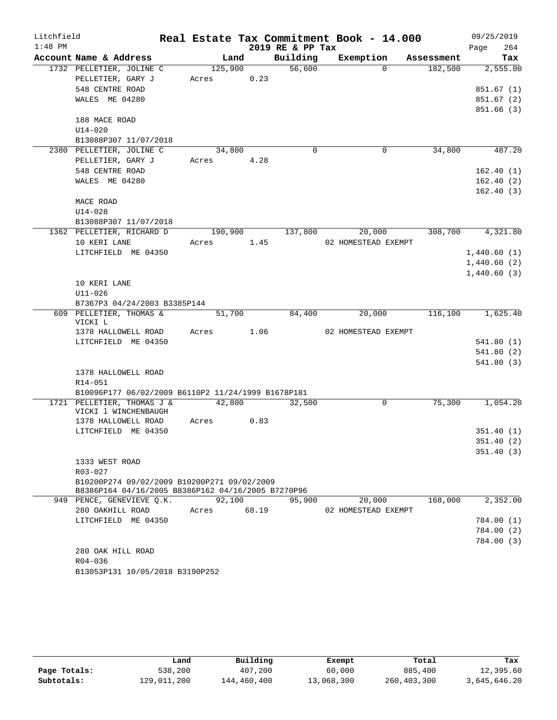| Litchfield |                                                    |         |       |                  | Real Estate Tax Commitment Book - 14.000 |            | 09/25/2019  |
|------------|----------------------------------------------------|---------|-------|------------------|------------------------------------------|------------|-------------|
| $1:48$ PM  |                                                    |         |       | 2019 RE & PP Tax |                                          |            | 264<br>Page |
|            | Account Name & Address                             | Land    |       | Building         | Exemption                                | Assessment | Tax         |
|            | 1732 PELLETIER, JOLINE C                           | 125,900 |       | 56,600           | $\Omega$                                 | 182,500    | 2,555.00    |
|            | PELLETIER, GARY J                                  | Acres   | 0.23  |                  |                                          |            |             |
|            | 548 CENTRE ROAD                                    |         |       |                  |                                          |            | 851.67(1)   |
|            | WALES ME 04280                                     |         |       |                  |                                          |            | 851.67 (2)  |
|            |                                                    |         |       |                  |                                          |            | 851.66(3)   |
|            | 188 MACE ROAD                                      |         |       |                  |                                          |            |             |
|            | $U14 - 020$                                        |         |       |                  |                                          |            |             |
|            | B13088P307 11/07/2018                              |         |       |                  |                                          |            |             |
|            | 2380 PELLETIER, JOLINE C                           | 34,800  |       | $\Omega$         | $\mathbf 0$                              | 34,800     | 487.20      |
|            | PELLETIER, GARY J                                  | Acres   | 4.28  |                  |                                          |            |             |
|            | 548 CENTRE ROAD                                    |         |       |                  |                                          |            | 162.40(1)   |
|            | WALES ME 04280                                     |         |       |                  |                                          |            | 162.40(2)   |
|            |                                                    |         |       |                  |                                          |            | 162.40(3)   |
|            | MACE ROAD                                          |         |       |                  |                                          |            |             |
|            | $U14 - 028$                                        |         |       |                  |                                          |            |             |
|            | B13088P307 11/07/2018                              |         |       |                  |                                          |            |             |
|            | 1362 PELLETIER, RICHARD D                          | 190,900 |       | 137,800          | 20,000                                   | 308,700    | 4,321.80    |
|            | 10 KERI LANE                                       | Acres   | 1.45  |                  | 02 HOMESTEAD EXEMPT                      |            |             |
|            | LITCHFIELD ME 04350                                |         |       |                  |                                          |            | 1,440.60(1) |
|            |                                                    |         |       |                  |                                          |            | 1,440.60(2) |
|            |                                                    |         |       |                  |                                          |            | 1,440.60(3) |
|            | 10 KERI LANE                                       |         |       |                  |                                          |            |             |
|            | $U11 - 026$                                        |         |       |                  |                                          |            |             |
|            | B7367P3 04/24/2003 B3385P144                       |         |       |                  |                                          |            |             |
|            | 609 PELLETIER, THOMAS &                            | 51,700  |       | 84,400           | 20,000                                   | 116,100    | 1,625.40    |
|            | VICKI L                                            |         |       |                  |                                          |            |             |
|            | 1378 HALLOWELL ROAD                                | Acres   | 1.06  |                  | 02 HOMESTEAD EXEMPT                      |            |             |
|            | LITCHFIELD ME 04350                                |         |       |                  |                                          |            | 541.80(1)   |
|            |                                                    |         |       |                  |                                          |            | 541.80(2)   |
|            |                                                    |         |       |                  |                                          |            | 541.80(3)   |
|            | 1378 HALLOWELL ROAD                                |         |       |                  |                                          |            |             |
|            | R14-051                                            |         |       |                  |                                          |            |             |
|            | B10096P177 06/02/2009 B6110P2 11/24/1999 B1678P181 |         |       |                  |                                          |            |             |
|            | 1721 PELLETIER, THOMAS J &                         | 42,800  |       | 32,500           | $\mathsf{O}$                             | 75,300     | 1,054.20    |
|            | VICKI 1 WINCHENBAUGH<br>1378 HALLOWELL ROAD        | Acres   | 0.83  |                  |                                          |            |             |
|            | LITCHFIELD ME 04350                                |         |       |                  |                                          |            | 351.40 (1)  |
|            |                                                    |         |       |                  |                                          |            | 351.40(2)   |
|            |                                                    |         |       |                  |                                          |            | 351.40(3)   |
|            | 1333 WEST ROAD                                     |         |       |                  |                                          |            |             |
|            | R03-027                                            |         |       |                  |                                          |            |             |
|            | B10200P274 09/02/2009 B10200P271 09/02/2009        |         |       |                  |                                          |            |             |
|            | B8386P164 04/16/2005 B8386P162 04/16/2005 B7270P96 |         |       |                  |                                          |            |             |
|            | 949 PENCE, GENEVIEVE Q.K.                          | 92,100  |       | 95,900           | 20,000                                   | 168,000    | 2,352.00    |
|            | 280 OAKHILL ROAD                                   | Acres   | 68.19 |                  | 02 HOMESTEAD EXEMPT                      |            |             |
|            | LITCHFIELD ME 04350                                |         |       |                  |                                          |            | 784.00 (1)  |
|            |                                                    |         |       |                  |                                          |            | 784.00 (2)  |
|            |                                                    |         |       |                  |                                          |            | 784.00 (3)  |
|            | 280 OAK HILL ROAD                                  |         |       |                  |                                          |            |             |
|            | R04-036                                            |         |       |                  |                                          |            |             |
|            | B13053P131 10/05/2018 B3190P252                    |         |       |                  |                                          |            |             |
|            |                                                    |         |       |                  |                                          |            |             |

|              | Land        | Building    | Exempt     | Total       | Tax          |
|--------------|-------------|-------------|------------|-------------|--------------|
| Page Totals: | 538,200     | 407,200     | 60,000     | 885,400     | 12,395.60    |
| Subtotals:   | 129,011,200 | 144,460,400 | 13,068,300 | 260,403,300 | 3,645,646.20 |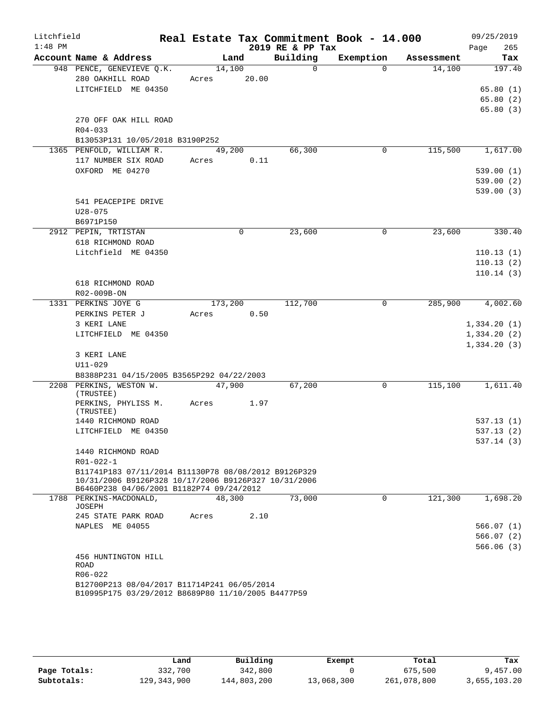| Litchfield |                                                                                                                                                          |         |       |                  | Real Estate Tax Commitment Book - 14.000 |            | 09/25/2019           |
|------------|----------------------------------------------------------------------------------------------------------------------------------------------------------|---------|-------|------------------|------------------------------------------|------------|----------------------|
| $1:48$ PM  |                                                                                                                                                          |         |       | 2019 RE & PP Tax |                                          |            | 265<br>Page          |
|            | Account Name & Address                                                                                                                                   |         | Land  | Building         | Exemption                                | Assessment | Tax                  |
|            | 948 PENCE, GENEVIEVE Q.K.                                                                                                                                | 14,100  |       | $\mathbf 0$      | $\Omega$                                 | 14,100     | 197.40               |
|            | 280 OAKHILL ROAD                                                                                                                                         | Acres   | 20.00 |                  |                                          |            |                      |
|            | LITCHFIELD ME 04350                                                                                                                                      |         |       |                  |                                          |            | 65.80(1)<br>65.80(2) |
|            |                                                                                                                                                          |         |       |                  |                                          |            | 65.80(3)             |
|            | 270 OFF OAK HILL ROAD                                                                                                                                    |         |       |                  |                                          |            |                      |
|            | $R04 - 033$                                                                                                                                              |         |       |                  |                                          |            |                      |
|            | B13053P131 10/05/2018 B3190P252                                                                                                                          |         |       |                  |                                          |            |                      |
|            | 1365 PENFOLD, WILLIAM R.                                                                                                                                 | 49,200  |       | 66,300           | 0                                        | 115,500    | 1,617.00             |
|            | 117 NUMBER SIX ROAD                                                                                                                                      | Acres   | 0.11  |                  |                                          |            |                      |
|            | OXFORD ME 04270                                                                                                                                          |         |       |                  |                                          |            | 539.00(1)            |
|            |                                                                                                                                                          |         |       |                  |                                          |            | 539.00(2)            |
|            |                                                                                                                                                          |         |       |                  |                                          |            | 539.00(3)            |
|            | 541 PEACEPIPE DRIVE                                                                                                                                      |         |       |                  |                                          |            |                      |
|            | $U28 - 075$                                                                                                                                              |         |       |                  |                                          |            |                      |
|            | B6971P150                                                                                                                                                |         |       |                  |                                          |            |                      |
|            | 2912 PEPIN, TRTISTAN<br>618 RICHMOND ROAD                                                                                                                |         | 0     | 23,600           | 0                                        | 23,600     | 330.40               |
|            | Litchfield ME 04350                                                                                                                                      |         |       |                  |                                          |            | 110.13(1)            |
|            |                                                                                                                                                          |         |       |                  |                                          |            | 110.13(2)            |
|            |                                                                                                                                                          |         |       |                  |                                          |            | 110.14(3)            |
|            | 618 RICHMOND ROAD                                                                                                                                        |         |       |                  |                                          |            |                      |
|            | R02-009B-ON                                                                                                                                              |         |       |                  |                                          |            |                      |
|            | 1331 PERKINS JOYE G                                                                                                                                      | 173,200 |       | 112,700          | 0                                        | 285,900    | 4,002.60             |
|            | PERKINS PETER J                                                                                                                                          | Acres   | 0.50  |                  |                                          |            |                      |
|            | 3 KERI LANE                                                                                                                                              |         |       |                  |                                          |            | 1,334.20(1)          |
|            | LITCHFIELD ME 04350                                                                                                                                      |         |       |                  |                                          |            | 1,334.20(2)          |
|            |                                                                                                                                                          |         |       |                  |                                          |            | 1,334.20(3)          |
|            | 3 KERI LANE                                                                                                                                              |         |       |                  |                                          |            |                      |
|            | $U11 - 029$<br>B8388P231 04/15/2005 B3565P292 04/22/2003                                                                                                 |         |       |                  |                                          |            |                      |
|            | 2208 PERKINS, WESTON W.                                                                                                                                  | 47,900  |       | 67,200           | 0                                        | 115,100    | 1,611.40             |
|            | (TRUSTEE)                                                                                                                                                |         |       |                  |                                          |            |                      |
|            | PERKINS, PHYLISS M.<br>(TRUSTEE)                                                                                                                         | Acres   | 1.97  |                  |                                          |            |                      |
|            | 1440 RICHMOND ROAD                                                                                                                                       |         |       |                  |                                          |            | 537.13(1)            |
|            | LITCHFIELD ME 04350                                                                                                                                      |         |       |                  |                                          |            | 537.13(2)            |
|            |                                                                                                                                                          |         |       |                  |                                          |            | 537.14(3)            |
|            | 1440 RICHMOND ROAD                                                                                                                                       |         |       |                  |                                          |            |                      |
|            | R01-022-1                                                                                                                                                |         |       |                  |                                          |            |                      |
|            | B11741P183 07/11/2014 B11130P78 08/08/2012 B9126P329<br>10/31/2006 B9126P328 10/17/2006 B9126P327 10/31/2006<br>B6460P238 04/06/2001 B1182P74 09/24/2012 |         |       |                  |                                          |            |                      |
|            | 1788 PERKINS-MACDONALD.<br>JOSEPH                                                                                                                        | 48,300  |       | 73,000           | $\mathbf 0$                              | 121,300    | 1,698.20             |
|            | 245 STATE PARK ROAD                                                                                                                                      | Acres   | 2.10  |                  |                                          |            |                      |
|            | NAPLES ME 04055                                                                                                                                          |         |       |                  |                                          |            | 566.07(1)            |
|            |                                                                                                                                                          |         |       |                  |                                          |            | 566.07(2)            |
|            |                                                                                                                                                          |         |       |                  |                                          |            | 566.06(3)            |
|            | 456 HUNTINGTON HILL                                                                                                                                      |         |       |                  |                                          |            |                      |
|            | ROAD                                                                                                                                                     |         |       |                  |                                          |            |                      |
|            | $R06 - 022$                                                                                                                                              |         |       |                  |                                          |            |                      |
|            | B12700P213 08/04/2017 B11714P241 06/05/2014<br>B10995P175 03/29/2012 B8689P80 11/10/2005 B4477P59                                                        |         |       |                  |                                          |            |                      |

|              | Land          | Building    | Exempt     | Total       | Tax          |
|--------------|---------------|-------------|------------|-------------|--------------|
| Page Totals: | 332,700       | 342,800     |            | 675,500     | 9,457.00     |
| Subtotals:   | 129, 343, 900 | 144,803,200 | 13,068,300 | 261,078,800 | 3,655,103.20 |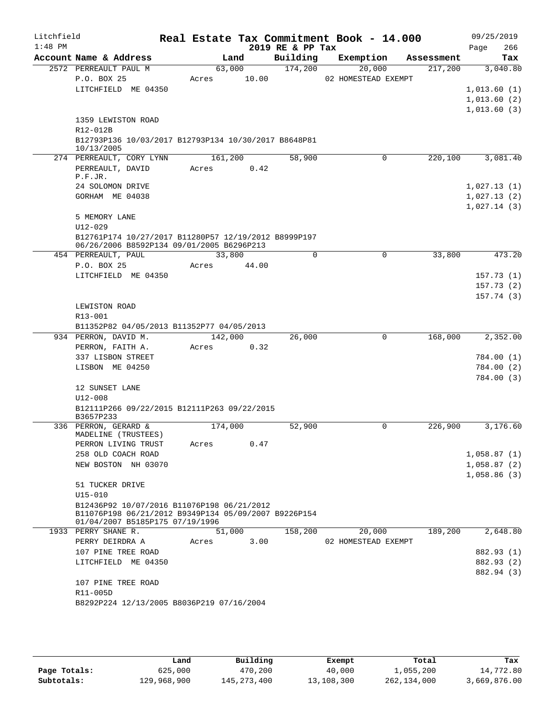| Litchfield<br>$1:48$ PM |                                                                    |         |       | 2019 RE & PP Tax | Real Estate Tax Commitment Book - 14.000 |            | 09/25/2019<br>266<br>Page |
|-------------------------|--------------------------------------------------------------------|---------|-------|------------------|------------------------------------------|------------|---------------------------|
|                         | Account Name & Address                                             |         | Land  | Building         | Exemption                                | Assessment | Tax                       |
|                         | 2572 PERREAULT PAUL M                                              | 63,000  |       | 174,200          | 20,000                                   | 217,200    | 3,040.80                  |
|                         | P.O. BOX 25                                                        | Acres   | 10.00 |                  | 02 HOMESTEAD EXEMPT                      |            |                           |
|                         | LITCHFIELD ME 04350                                                |         |       |                  |                                          |            | 1,013.60(1)               |
|                         |                                                                    |         |       |                  |                                          |            | 1,013.60(2)               |
|                         |                                                                    |         |       |                  |                                          |            | 1,013.60(3)               |
|                         | 1359 LEWISTON ROAD                                                 |         |       |                  |                                          |            |                           |
|                         | R12-012B                                                           |         |       |                  |                                          |            |                           |
|                         | B12793P136 10/03/2017 B12793P134 10/30/2017 B8648P81<br>10/13/2005 |         |       |                  |                                          |            |                           |
|                         | 274 PERREAULT, CORY LYNN                                           | 161,200 |       | 58,900           | 0                                        | 220,100    | 3,081.40                  |
|                         | PERREAULT, DAVID                                                   | Acres   | 0.42  |                  |                                          |            |                           |
|                         | P.F.JR.                                                            |         |       |                  |                                          |            |                           |
|                         | 24 SOLOMON DRIVE                                                   |         |       |                  |                                          |            | 1,027.13(1)               |
|                         | GORHAM ME 04038                                                    |         |       |                  |                                          |            | 1,027.13(2)               |
|                         |                                                                    |         |       |                  |                                          |            | 1,027.14(3)               |
|                         | 5 MEMORY LANE                                                      |         |       |                  |                                          |            |                           |
|                         | $U12 - 029$                                                        |         |       |                  |                                          |            |                           |
|                         | B12761P174 10/27/2017 B11280P57 12/19/2012 B8999P197               |         |       |                  |                                          |            |                           |
|                         | 06/26/2006 B8592P134 09/01/2005 B6296P213                          |         |       |                  |                                          |            |                           |
|                         | 454 PERREAULT, PAUL                                                | 33,800  |       | 0                | $\Omega$                                 | 33,800     | 473.20                    |
|                         | P.O. BOX 25                                                        | Acres   | 44.00 |                  |                                          |            |                           |
|                         | LITCHFIELD ME 04350                                                |         |       |                  |                                          |            | 157.73(1)                 |
|                         |                                                                    |         |       |                  |                                          |            | 157.73(2)<br>157.74(3)    |
|                         | LEWISTON ROAD                                                      |         |       |                  |                                          |            |                           |
|                         | R13-001                                                            |         |       |                  |                                          |            |                           |
|                         | B11352P82 04/05/2013 B11352P77 04/05/2013                          |         |       |                  |                                          |            |                           |
|                         | 934 PERRON, DAVID M.                                               | 142,000 |       | 26,000           | $\mathbf 0$                              | 168,000    | 2,352.00                  |
|                         | PERRON, FAITH A.                                                   | Acres   | 0.32  |                  |                                          |            |                           |
|                         | 337 LISBON STREET                                                  |         |       |                  |                                          |            | 784.00 (1)                |
|                         | LISBON ME 04250                                                    |         |       |                  |                                          |            | 784.00 (2)                |
|                         |                                                                    |         |       |                  |                                          |            | 784.00 (3)                |
|                         | 12 SUNSET LANE                                                     |         |       |                  |                                          |            |                           |
|                         | $U12 - 008$                                                        |         |       |                  |                                          |            |                           |
|                         | B12111P266 09/22/2015 B12111P263 09/22/2015                        |         |       |                  |                                          |            |                           |
|                         | B3657P233                                                          |         |       |                  |                                          |            |                           |
|                         | 336 PERRON, GERARD &                                               | 174,000 |       | 52,900           | 0                                        | 226,900    | 3,176.60                  |
|                         | MADELINE (TRUSTEES)<br>PERRON LIVING TRUST                         | Acres   | 0.47  |                  |                                          |            |                           |
|                         | 258 OLD COACH ROAD                                                 |         |       |                  |                                          |            | 1,058.87(1)               |
|                         | NEW BOSTON NH 03070                                                |         |       |                  |                                          |            | 1,058.87(2)               |
|                         |                                                                    |         |       |                  |                                          |            | 1,058.86(3)               |
|                         | 51 TUCKER DRIVE                                                    |         |       |                  |                                          |            |                           |
|                         | $U15 - 010$                                                        |         |       |                  |                                          |            |                           |
|                         | B12436P92 10/07/2016 B11076P198 06/21/2012                         |         |       |                  |                                          |            |                           |
|                         | B11076P198 06/21/2012 B9349P134 05/09/2007 B9226P154               |         |       |                  |                                          |            |                           |
|                         | 01/04/2007 B5185P175 07/19/1996                                    |         |       |                  |                                          |            |                           |
|                         | 1933 PERRY SHANE R.                                                | 51,000  |       | 158,200          | 20,000                                   | 189,200    | 2,648.80                  |
|                         | PERRY DEIRDRA A                                                    | Acres   | 3.00  |                  | 02 HOMESTEAD EXEMPT                      |            |                           |
|                         | 107 PINE TREE ROAD                                                 |         |       |                  |                                          |            | 882.93 (1)                |
|                         | LITCHFIELD ME 04350                                                |         |       |                  |                                          |            | 882.93 (2)                |
|                         |                                                                    |         |       |                  |                                          |            | 882.94 (3)                |
|                         | 107 PINE TREE ROAD<br>R11-005D                                     |         |       |                  |                                          |            |                           |
|                         | B8292P224 12/13/2005 B8036P219 07/16/2004                          |         |       |                  |                                          |            |                           |
|                         |                                                                    |         |       |                  |                                          |            |                           |
|                         |                                                                    |         |       |                  |                                          |            |                           |

|              | Land        | Building      | Exempt     | Total       | Tax          |
|--------------|-------------|---------------|------------|-------------|--------------|
| Page Totals: | 625,000     | 470,200       | 40,000     | 1,055,200   | 14,772.80    |
| Subtotals:   | 129,968,900 | 145, 273, 400 | 13,108,300 | 262,134,000 | 3,669,876.00 |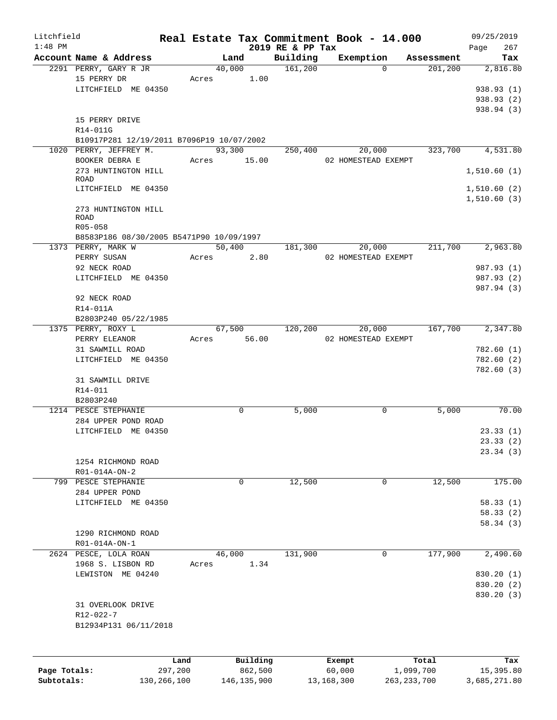| Litchfield                 |                                           |         |               |                              | Real Estate Tax Commitment Book - 14.000 |               | 09/25/2019         |
|----------------------------|-------------------------------------------|---------|---------------|------------------------------|------------------------------------------|---------------|--------------------|
| $1:48$ PM                  | Account Name & Address                    |         | Land          | 2019 RE & PP Tax<br>Building | Exemption                                | Assessment    | Page<br>267<br>Tax |
|                            | 2291 PERRY, GARY R JR                     |         | 40,000        | 161,200                      | $\Omega$                                 | 201, 200      | 2,816.80           |
|                            | 15 PERRY DR                               |         | Acres 1.00    |                              |                                          |               |                    |
|                            | LITCHFIELD ME 04350                       |         |               |                              |                                          |               | 938.93 (1)         |
|                            |                                           |         |               |                              |                                          |               | 938.93 (2)         |
|                            |                                           |         |               |                              |                                          |               | 938.94 (3)         |
|                            | 15 PERRY DRIVE                            |         |               |                              |                                          |               |                    |
|                            |                                           |         |               |                              |                                          |               |                    |
|                            | R14-011G                                  |         |               |                              |                                          |               |                    |
|                            | B10917P281 12/19/2011 B7096P19 10/07/2002 |         | 93,300        |                              |                                          |               |                    |
|                            | 1020 PERRY, JEFFREY M.                    |         |               | 250,400                      | 20,000                                   | 323,700       | 4,531.80           |
|                            | BOOKER DEBRA E                            |         | Acres 15.00   |                              | 02 HOMESTEAD EXEMPT                      |               |                    |
|                            | 273 HUNTINGTON HILL<br>ROAD               |         |               |                              |                                          |               | 1,510.60(1)        |
|                            | LITCHFIELD ME 04350                       |         |               |                              |                                          |               | 1,510.60(2)        |
|                            |                                           |         |               |                              |                                          |               | 1,510.60(3)        |
|                            | 273 HUNTINGTON HILL                       |         |               |                              |                                          |               |                    |
|                            | ROAD                                      |         |               |                              |                                          |               |                    |
|                            | R05-058                                   |         |               |                              |                                          |               |                    |
|                            | B8583P186 08/30/2005 B5471P90 10/09/1997  |         |               |                              |                                          |               |                    |
|                            | 1373 PERRY, MARK W                        |         | 50,400        | 181,300                      | 20,000                                   | 211,700       | 2,963.80           |
|                            | PERRY SUSAN                               |         | 2.80<br>Acres |                              | 02 HOMESTEAD EXEMPT                      |               |                    |
|                            | 92 NECK ROAD                              |         |               |                              |                                          |               | 987.93 (1)         |
|                            | LITCHFIELD ME 04350                       |         |               |                              |                                          |               | 987.93 (2)         |
|                            |                                           |         |               |                              |                                          |               | 987.94 (3)         |
|                            | 92 NECK ROAD                              |         |               |                              |                                          |               |                    |
|                            | R14-011A                                  |         |               |                              |                                          |               |                    |
|                            |                                           |         |               |                              |                                          |               |                    |
|                            | B2803P240 05/22/1985                      |         | 67,500        | 120,200                      | 20,000                                   | 167,700       | 2,347.80           |
|                            | 1375 PERRY, ROXY L                        |         |               |                              |                                          |               |                    |
|                            | PERRY ELEANOR                             | Acres   | 56.00         |                              | 02 HOMESTEAD EXEMPT                      |               |                    |
|                            | 31 SAWMILL ROAD                           |         |               |                              |                                          |               | 782.60(1)          |
|                            | LITCHFIELD ME 04350                       |         |               |                              |                                          |               | 782.60 (2)         |
|                            |                                           |         |               |                              |                                          |               | 782.60(3)          |
|                            | 31 SAWMILL DRIVE                          |         |               |                              |                                          |               |                    |
|                            | R14-011                                   |         |               |                              |                                          |               |                    |
|                            | B2803P240                                 |         |               |                              |                                          |               |                    |
|                            | 1214 PESCE STEPHANIE                      |         | 0             | 5,000                        | 0                                        | 5,000         | 70.00              |
|                            | 284 UPPER POND ROAD                       |         |               |                              |                                          |               |                    |
|                            | LITCHFIELD ME 04350                       |         |               |                              |                                          |               | 23.33(1)           |
|                            |                                           |         |               |                              |                                          |               | 23.33(2)           |
|                            |                                           |         |               |                              |                                          |               | 23.34(3)           |
|                            | 1254 RICHMOND ROAD                        |         |               |                              |                                          |               |                    |
|                            | R01-014A-ON-2                             |         |               |                              |                                          |               |                    |
|                            | 799 PESCE STEPHANIE                       |         | 0             | 12,500                       | 0                                        | 12,500        | 175.00             |
|                            | 284 UPPER POND                            |         |               |                              |                                          |               |                    |
|                            | LITCHFIELD ME 04350                       |         |               |                              |                                          |               | 58.33(1)           |
|                            |                                           |         |               |                              |                                          |               | 58.33 (2)          |
|                            |                                           |         |               |                              |                                          |               | 58.34(3)           |
|                            | 1290 RICHMOND ROAD                        |         |               |                              |                                          |               |                    |
|                            | R01-014A-ON-1                             |         |               |                              |                                          |               |                    |
|                            | 2624 PESCE, LOLA ROAN                     |         | 46,000        | 131,900                      | 0                                        | 177,900       | 2,490.60           |
|                            | 1968 S. LISBON RD                         | Acres   | 1.34          |                              |                                          |               |                    |
|                            | LEWISTON ME 04240                         |         |               |                              |                                          |               | 830.20 (1)         |
|                            |                                           |         |               |                              |                                          |               | 830.20 (2)         |
|                            |                                           |         |               |                              |                                          |               | 830.20 (3)         |
|                            | 31 OVERLOOK DRIVE                         |         |               |                              |                                          |               |                    |
|                            | R12-022-7                                 |         |               |                              |                                          |               |                    |
|                            | B12934P131 06/11/2018                     |         |               |                              |                                          |               |                    |
|                            |                                           |         |               |                              |                                          |               |                    |
|                            |                                           |         |               |                              |                                          |               |                    |
|                            |                                           |         |               |                              |                                          |               |                    |
|                            |                                           | Land    | Building      |                              | Exempt                                   | Total         | Tax                |
| Page Totals:<br>Subtotals: |                                           | 297,200 | 862,500       |                              | 60,000                                   | 1,099,700     | 15,395.80          |
|                            | 130,266,100                               |         | 146, 135, 900 |                              | 13,168,300                               | 263, 233, 700 | 3,685,271.80       |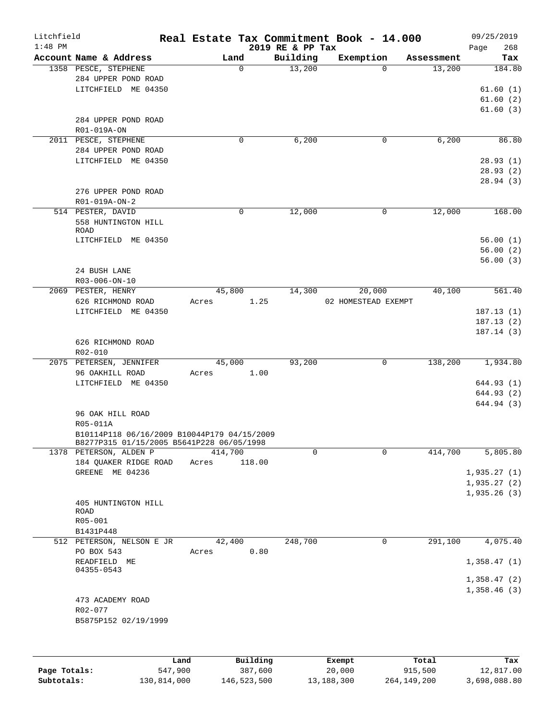| Litchfield   |                                             |         |             |                  | Real Estate Tax Commitment Book - 14.000 |            | 09/25/2019  |
|--------------|---------------------------------------------|---------|-------------|------------------|------------------------------------------|------------|-------------|
| $1:48$ PM    |                                             |         |             | 2019 RE & PP Tax |                                          |            | 268<br>Page |
|              | Account Name & Address                      |         | Land        | Building         | Exemption                                | Assessment | Tax         |
|              | 1358 PESCE, STEPHENE                        |         | $\mathbf 0$ | 13,200           | $\Omega$                                 | 13,200     | 184.80      |
|              | 284 UPPER POND ROAD                         |         |             |                  |                                          |            |             |
|              | LITCHFIELD ME 04350                         |         |             |                  |                                          |            | 61.60(1)    |
|              |                                             |         |             |                  |                                          |            | 61.60(2)    |
|              |                                             |         |             |                  |                                          |            | 61.60(3)    |
|              | 284 UPPER POND ROAD                         |         |             |                  |                                          |            |             |
|              | R01-019A-ON                                 |         |             |                  |                                          |            |             |
|              | 2011 PESCE, STEPHENE                        |         | $\mathbf 0$ | 6,200            | 0                                        | 6,200      | 86.80       |
|              | 284 UPPER POND ROAD                         |         |             |                  |                                          |            |             |
|              | LITCHFIELD ME 04350                         |         |             |                  |                                          |            | 28.93(1)    |
|              |                                             |         |             |                  |                                          |            | 28.93(2)    |
|              |                                             |         |             |                  |                                          |            | 28.94(3)    |
|              | 276 UPPER POND ROAD                         |         |             |                  |                                          |            |             |
|              | R01-019A-ON-2                               |         |             |                  |                                          |            |             |
|              | 514 PESTER, DAVID                           |         | $\mathbf 0$ | 12,000           | 0                                        | 12,000     | 168.00      |
|              | 558 HUNTINGTON HILL                         |         |             |                  |                                          |            |             |
|              | ROAD                                        |         |             |                  |                                          |            |             |
|              | LITCHFIELD ME 04350                         |         |             |                  |                                          |            | 56.00(1)    |
|              |                                             |         |             |                  |                                          |            | 56.00(2)    |
|              |                                             |         |             |                  |                                          |            | 56.00(3)    |
|              | 24 BUSH LANE                                |         |             |                  |                                          |            |             |
|              | R03-006-ON-10                               |         |             |                  |                                          |            |             |
|              | 2069 PESTER, HENRY                          |         | 45,800      | 14,300           | 20,000                                   | 40,100     | 561.40      |
|              | 626 RICHMOND ROAD                           | Acres   | 1.25        |                  | 02 HOMESTEAD EXEMPT                      |            |             |
|              | LITCHFIELD ME 04350                         |         |             |                  |                                          |            | 187.13(1)   |
|              |                                             |         |             |                  |                                          |            | 187.13(2)   |
|              |                                             |         |             |                  |                                          |            |             |
|              |                                             |         |             |                  |                                          |            | 187.14(3)   |
|              | 626 RICHMOND ROAD                           |         |             |                  |                                          |            |             |
|              | R02-010                                     |         |             |                  |                                          |            |             |
|              | 2075 PETERSEN, JENNIFER                     |         | 45,000      | 93,200           | 0                                        | 138,200    | 1,934.80    |
|              | 96 OAKHILL ROAD                             | Acres   | 1.00        |                  |                                          |            |             |
|              | LITCHFIELD ME 04350                         |         |             |                  |                                          |            | 644.93 (1)  |
|              |                                             |         |             |                  |                                          |            | 644.93(2)   |
|              |                                             |         |             |                  |                                          |            | 644.94 (3)  |
|              | 96 OAK HILL ROAD                            |         |             |                  |                                          |            |             |
|              | R05-011A                                    |         |             |                  |                                          |            |             |
|              | B10114P118 06/16/2009 B10044P179 04/15/2009 |         |             |                  |                                          |            |             |
|              | B8277P315 01/15/2005 B5641P228 06/05/1998   |         |             |                  |                                          |            |             |
|              | 1378 PETERSON, ALDEN P                      | 414,700 |             | 0                | 0                                        | 414,700    | 5,805.80    |
|              | 184 QUAKER RIDGE ROAD                       | Acres   | 118.00      |                  |                                          |            |             |
|              | GREENE ME 04236                             |         |             |                  |                                          |            | 1,935.27(1) |
|              |                                             |         |             |                  |                                          |            | 1,935.27(2) |
|              |                                             |         |             |                  |                                          |            | 1,935.26(3) |
|              | 405 HUNTINGTON HILL                         |         |             |                  |                                          |            |             |
|              | ROAD                                        |         |             |                  |                                          |            |             |
|              | $R05 - 001$                                 |         |             |                  |                                          |            |             |
|              | B1431P448                                   |         |             |                  |                                          |            |             |
|              | 512 PETERSON, NELSON E JR                   |         | 42,400      | 248,700          | 0                                        | 291,100    | 4,075.40    |
|              | PO BOX 543                                  | Acres   | 0.80        |                  |                                          |            |             |
|              | READFIELD ME                                |         |             |                  |                                          |            | 1,358.47(1) |
|              | 04355-0543                                  |         |             |                  |                                          |            |             |
|              |                                             |         |             |                  |                                          |            | 1,358.47(2) |
|              |                                             |         |             |                  |                                          |            | 1,358.46(3) |
|              | 473 ACADEMY ROAD                            |         |             |                  |                                          |            |             |
|              | R02-077                                     |         |             |                  |                                          |            |             |
|              | B5875P152 02/19/1999                        |         |             |                  |                                          |            |             |
|              |                                             |         |             |                  |                                          |            |             |
|              |                                             |         |             |                  |                                          |            |             |
|              |                                             |         |             |                  |                                          |            |             |
|              |                                             | Land    | Building    |                  | Exempt                                   | Total      | Tax         |
| Page Totals: |                                             | 547,900 | 387,600     |                  | 20,000                                   | 915,500    | 12,817.00   |

**Subtotals:** 130,814,000 146,523,500 13,188,300 264,149,200 3,698,088.80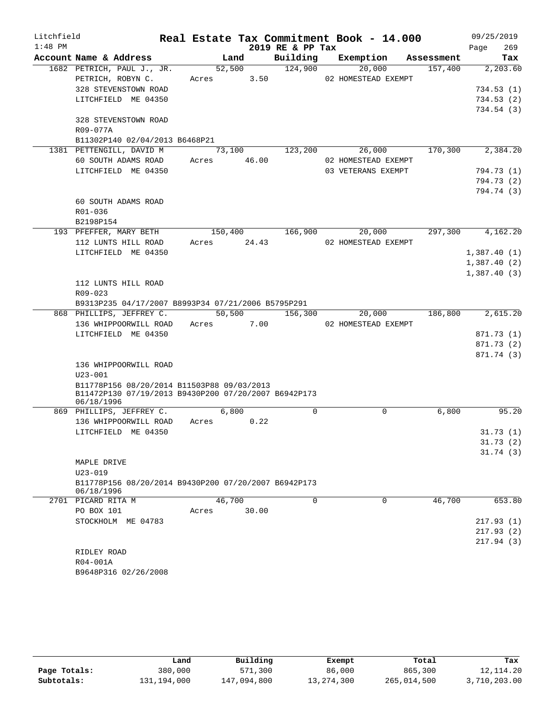| Litchfield |                                                                    |             |        |                    | Real Estate Tax Commitment Book - 14.000 |          | 09/25/2019                 |
|------------|--------------------------------------------------------------------|-------------|--------|--------------------|------------------------------------------|----------|----------------------------|
| $1:48$ PM  |                                                                    |             |        | 2019 RE & PP Tax   |                                          |          | Page<br>269                |
|            | Account Name & Address                                             |             | Land   |                    | Building Exemption Assessment            |          | Tax                        |
|            | 1682 PETRICH, PAUL J., JR.                                         | 52,500      |        | 124,900            | 20,000                                   | 157,400  | 2,203.60                   |
|            | PETRICH, ROBYN C.                                                  | Acres 3.50  |        |                    | 02 HOMESTEAD EXEMPT                      |          |                            |
|            | 328 STEVENSTOWN ROAD                                               |             |        |                    |                                          |          | 734.53(1)                  |
|            | LITCHFIELD ME 04350                                                |             |        |                    |                                          |          | 734.53(2)                  |
|            |                                                                    |             |        |                    |                                          |          | 734.54(3)                  |
|            | 328 STEVENSTOWN ROAD                                               |             |        |                    |                                          |          |                            |
|            | R09-077A                                                           |             |        |                    |                                          |          |                            |
|            | B11302P140 02/04/2013 B6468P21                                     |             |        |                    |                                          |          |                            |
|            | 1381 PETTENGILL, DAVID M                                           |             | 73,100 | 123,200            | 26,000                                   | 170, 300 | 2,384.20                   |
|            | 60 SOUTH ADAMS ROAD                                                | Acres 46.00 |        |                    | 02 HOMESTEAD EXEMPT                      |          |                            |
|            | LITCHFIELD ME 04350                                                |             |        |                    | 03 VETERANS EXEMPT                       |          | 794.73 (1)                 |
|            |                                                                    |             |        |                    |                                          |          | 794.73 (2)                 |
|            |                                                                    |             |        |                    |                                          |          | 794.74 (3)                 |
|            | 60 SOUTH ADAMS ROAD                                                |             |        |                    |                                          |          |                            |
|            | R01-036                                                            |             |        |                    |                                          |          |                            |
|            | B2198P154                                                          |             |        |                    |                                          |          | 4,162.20                   |
|            | 193 PFEFFER, MARY BETH<br>112 LUNTS HILL ROAD                      | Acres 24.43 |        | 150,400 166,900    | 20,000<br>02 HOMESTEAD EXEMPT            | 297,300  |                            |
|            | LITCHFIELD ME 04350                                                |             |        |                    |                                          |          |                            |
|            |                                                                    |             |        |                    |                                          |          | 1,387.40(1)<br>1,387.40(2) |
|            |                                                                    |             |        |                    |                                          |          | 1,387.40(3)                |
|            | 112 LUNTS HILL ROAD                                                |             |        |                    |                                          |          |                            |
|            | R09-023                                                            |             |        |                    |                                          |          |                            |
|            | B9313P235 04/17/2007 B8993P34 07/21/2006 B5795P291                 |             |        |                    |                                          |          |                            |
|            | 868 PHILLIPS, JEFFREY C.                                           |             |        | $50,500$ $156,300$ | 20,000                                   | 186,800  | 2,615.20                   |
|            | 136 WHIPPOORWILL ROAD                                              | Acres 7.00  |        |                    | 02 HOMESTEAD EXEMPT                      |          |                            |
|            | LITCHFIELD ME 04350                                                |             |        |                    |                                          |          | 871.73 (1)                 |
|            |                                                                    |             |        |                    |                                          |          | 871.73 (2)                 |
|            |                                                                    |             |        |                    |                                          |          | 871.74 (3)                 |
|            | 136 WHIPPOORWILL ROAD                                              |             |        |                    |                                          |          |                            |
|            | $U23 - 001$                                                        |             |        |                    |                                          |          |                            |
|            | B11778P156 08/20/2014 B11503P88 09/03/2013                         |             |        |                    |                                          |          |                            |
|            | B11472P130 07/19/2013 B9430P200 07/20/2007 B6942P173               |             |        |                    |                                          |          |                            |
|            | 06/18/1996                                                         |             |        |                    |                                          |          |                            |
|            | 869 PHILLIPS, JEFFREY C.                                           | 6,800       |        | 0                  | $\mathbf 0$                              | 6,800    | 95.20                      |
|            | 136 WHIPPOORWILL ROAD                                              | Acres 0.22  |        |                    |                                          |          |                            |
|            | LITCHFIELD ME 04350                                                |             |        |                    |                                          |          | 31.73(1)                   |
|            |                                                                    |             |        |                    |                                          |          | 31.73(2)                   |
|            |                                                                    |             |        |                    |                                          |          | 31.74(3)                   |
|            | MAPLE DRIVE                                                        |             |        |                    |                                          |          |                            |
|            | $U23 - 019$                                                        |             |        |                    |                                          |          |                            |
|            | B11778P156 08/20/2014 B9430P200 07/20/2007 B6942P173<br>06/18/1996 |             |        |                    |                                          |          |                            |
|            | 2701 PICARD RITA M                                                 | 46,700      |        | $\Omega$           | $\Omega$                                 | 46,700   | 653.80                     |
|            | PO BOX 101                                                         | Acres       | 30.00  |                    |                                          |          |                            |
|            | STOCKHOLM ME 04783                                                 |             |        |                    |                                          |          | 217.93(1)                  |
|            |                                                                    |             |        |                    |                                          |          | 217.93(2)                  |
|            |                                                                    |             |        |                    |                                          |          | 217.94(3)                  |
|            | RIDLEY ROAD                                                        |             |        |                    |                                          |          |                            |
|            | R04-001A                                                           |             |        |                    |                                          |          |                            |
|            | B9648P316 02/26/2008                                               |             |        |                    |                                          |          |                            |

|              | Land        | Building    | Exempt       | Total       | Tax          |
|--------------|-------------|-------------|--------------|-------------|--------------|
| Page Totals: | 380,000     | 571,300     | 86,000       | 865,300     | 12, 114, 20  |
| Subtotals:   | 131,194,000 | 147,094,800 | 13, 274, 300 | 265,014,500 | 3,710,203.00 |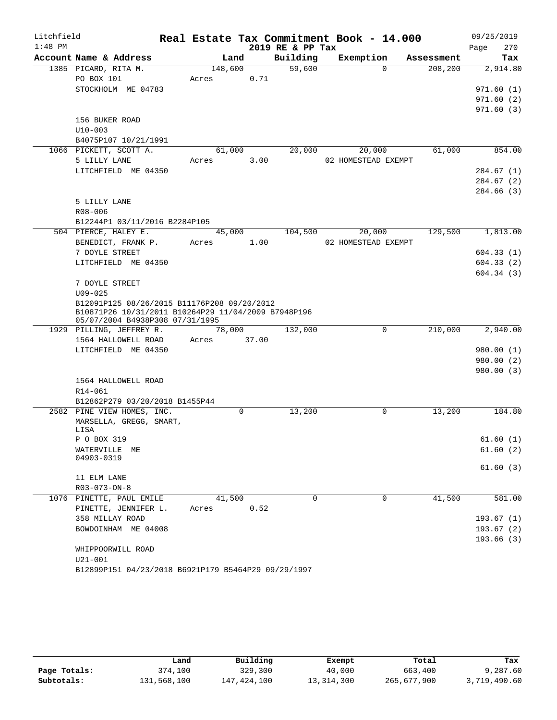| Litchfield |                                                                                                    |         |             |      |                  | Real Estate Tax Commitment Book - 14.000 |            |      | 09/25/2019 |
|------------|----------------------------------------------------------------------------------------------------|---------|-------------|------|------------------|------------------------------------------|------------|------|------------|
| $1:48$ PM  |                                                                                                    |         |             |      | 2019 RE & PP Tax |                                          |            | Page | 270        |
|            | Account Name & Address                                                                             | Land    |             |      | Building         | Exemption                                | Assessment |      | Tax        |
|            | 1385 PICARD, RITA M.                                                                               | 148,600 |             |      | 59,600           | $\Omega$                                 | 208,200    |      | 2,914.80   |
|            | PO BOX 101                                                                                         | Acres   |             | 0.71 |                  |                                          |            |      |            |
|            | STOCKHOLM ME 04783                                                                                 |         |             |      |                  |                                          |            |      | 971.60(1)  |
|            |                                                                                                    |         |             |      |                  |                                          |            |      | 971.60(2)  |
|            | 156 BUKER ROAD                                                                                     |         |             |      |                  |                                          |            |      | 971.60(3)  |
|            | $U10 - 003$                                                                                        |         |             |      |                  |                                          |            |      |            |
|            | B4075P107 10/21/1991                                                                               |         |             |      |                  |                                          |            |      |            |
|            | 1066 PICKETT, SCOTT A.                                                                             | 61,000  |             |      | 20,000           | 20,000                                   | 61,000     |      | 854.00     |
|            | 5 LILLY LANE                                                                                       | Acres   |             | 3.00 |                  | 02 HOMESTEAD EXEMPT                      |            |      |            |
|            | LITCHFIELD ME 04350                                                                                |         |             |      |                  |                                          |            |      | 284.67 (1) |
|            |                                                                                                    |         |             |      |                  |                                          |            |      | 284.67(2)  |
|            |                                                                                                    |         |             |      |                  |                                          |            |      | 284.66 (3) |
|            | 5 LILLY LANE                                                                                       |         |             |      |                  |                                          |            |      |            |
|            | $R08 - 006$                                                                                        |         |             |      |                  |                                          |            |      |            |
|            | B12244P1 03/11/2016 B2284P105                                                                      |         |             |      |                  |                                          |            |      |            |
|            | 504 PIERCE, HALEY E.                                                                               | 45,000  |             |      | 104,500          | 20,000                                   | 129,500    |      | 1,813.00   |
|            | BENEDICT, FRANK P.                                                                                 | Acres   |             | 1.00 |                  | 02 HOMESTEAD EXEMPT                      |            |      |            |
|            | 7 DOYLE STREET                                                                                     |         |             |      |                  |                                          |            |      | 604.33(1)  |
|            | LITCHFIELD ME 04350                                                                                |         |             |      |                  |                                          |            |      | 604.33(2)  |
|            |                                                                                                    |         |             |      |                  |                                          |            |      | 604.34(3)  |
|            | 7 DOYLE STREET                                                                                     |         |             |      |                  |                                          |            |      |            |
|            | $U09 - 025$                                                                                        |         |             |      |                  |                                          |            |      |            |
|            | B12091P125 08/26/2015 B11176P208 09/20/2012<br>B10871P26 10/31/2011 B10264P29 11/04/2009 B7948P196 |         |             |      |                  |                                          |            |      |            |
|            | 05/07/2004 B4938P308 07/31/1995                                                                    |         |             |      |                  |                                          |            |      |            |
|            | 1929 PILLING, JEFFREY R.                                                                           | 78,000  |             |      | 132,000          | $\Omega$                                 | 210,000    |      | 2,940.00   |
|            | 1564 HALLOWELL ROAD                                                                                | Acres   | 37.00       |      |                  |                                          |            |      |            |
|            | LITCHFIELD ME 04350                                                                                |         |             |      |                  |                                          |            |      | 980.00 (1) |
|            |                                                                                                    |         |             |      |                  |                                          |            |      | 980.00 (2) |
|            |                                                                                                    |         |             |      |                  |                                          |            |      | 980.00 (3) |
|            | 1564 HALLOWELL ROAD<br>R14-061                                                                     |         |             |      |                  |                                          |            |      |            |
|            | B12862P279 03/20/2018 B1455P44                                                                     |         |             |      |                  |                                          |            |      |            |
|            | 2582 PINE VIEW HOMES, INC.                                                                         |         | $\mathbf 0$ |      | 13,200           | 0                                        | 13,200     |      | 184.80     |
|            | MARSELLA, GREGG, SMART,                                                                            |         |             |      |                  |                                          |            |      |            |
|            | LISA                                                                                               |         |             |      |                  |                                          |            |      |            |
|            | P O BOX 319                                                                                        |         |             |      |                  |                                          |            |      | 61.60(1)   |
|            | WATERVILLE ME                                                                                      |         |             |      |                  |                                          |            |      | 61.60(2)   |
|            | 04903-0319                                                                                         |         |             |      |                  |                                          |            |      |            |
|            | 11 ELM LANE                                                                                        |         |             |      |                  |                                          |            |      | 61.60(3)   |
|            | $R03 - 073 - ON - 8$                                                                               |         |             |      |                  |                                          |            |      |            |
|            | 1076 PINETTE, PAUL EMILE                                                                           | 41,500  |             |      | $\mathbf 0$      | $\mathbf 0$                              | 41,500     |      | 581.00     |
|            | PINETTE, JENNIFER L.                                                                               | Acres   |             | 0.52 |                  |                                          |            |      |            |
|            | 358 MILLAY ROAD                                                                                    |         |             |      |                  |                                          |            |      | 193.67(1)  |
|            | BOWDOINHAM ME 04008                                                                                |         |             |      |                  |                                          |            |      | 193.67(2)  |
|            |                                                                                                    |         |             |      |                  |                                          |            |      | 193.66(3)  |
|            | WHIPPOORWILL ROAD                                                                                  |         |             |      |                  |                                          |            |      |            |
|            | $U21 - 001$                                                                                        |         |             |      |                  |                                          |            |      |            |
|            |                                                                                                    |         |             |      |                  |                                          |            |      |            |

| B12899P151 04/23/2018 B6921P179 B5464P29 09/29/1997 |  |  |  |  |
|-----------------------------------------------------|--|--|--|--|
|-----------------------------------------------------|--|--|--|--|

|              | Land        | Building    | Exempt     | Total       | Tax          |
|--------------|-------------|-------------|------------|-------------|--------------|
| Page Totals: | 374,100     | 329,300     | 40,000     | 663,400     | 9,287.60     |
| Subtotals:   | 131,568,100 | 147,424,100 | 13,314,300 | 265,677,900 | 3,719,490.60 |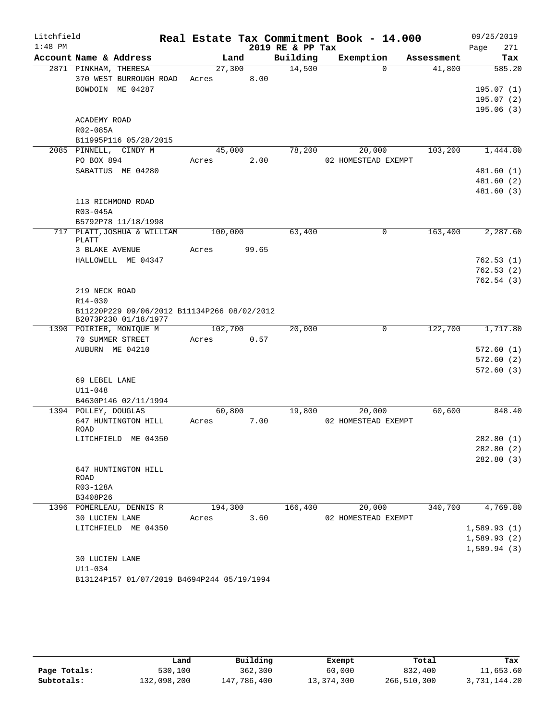| Litchfield |                                                 |         |       |                  | Real Estate Tax Commitment Book - 14.000 |                    | 09/25/2019  |
|------------|-------------------------------------------------|---------|-------|------------------|------------------------------------------|--------------------|-------------|
| $1:48$ PM  |                                                 |         |       | 2019 RE & PP Tax |                                          |                    | 271<br>Page |
|            | Account Name & Address                          | Land    |       | Building         | Exemption                                | Assessment         | Tax         |
|            | 2871 PINKHAM, THERESA                           | 27,300  |       | 14,500           |                                          | $\Omega$<br>41,800 | 585.20      |
|            | 370 WEST BURROUGH ROAD                          | Acres   | 8.00  |                  |                                          |                    |             |
|            | BOWDOIN ME 04287                                |         |       |                  |                                          |                    | 195.07(1)   |
|            |                                                 |         |       |                  |                                          |                    | 195.07(2)   |
|            |                                                 |         |       |                  |                                          |                    | 195.06(3)   |
|            | ACADEMY ROAD                                    |         |       |                  |                                          |                    |             |
|            | R02-085A                                        |         |       |                  |                                          |                    |             |
|            | B11995P116 05/28/2015                           |         |       |                  |                                          |                    |             |
|            | 2085 PINNELL, CINDY M                           | 45,000  |       | 78,200           | 20,000                                   | 103,200            | 1,444.80    |
|            | PO BOX 894                                      | Acres   | 2.00  |                  | 02 HOMESTEAD EXEMPT                      |                    |             |
|            | SABATTUS ME 04280                               |         |       |                  |                                          |                    | 481.60(1)   |
|            |                                                 |         |       |                  |                                          |                    | 481.60(2)   |
|            |                                                 |         |       |                  |                                          |                    | 481.60 (3)  |
|            | 113 RICHMOND ROAD                               |         |       |                  |                                          |                    |             |
|            | R03-045A                                        |         |       |                  |                                          |                    |             |
|            | B5792P78 11/18/1998                             |         |       |                  |                                          |                    |             |
|            | 717 PLATT, JOSHUA & WILLIAM                     | 100,000 |       | 63,400           |                                          | 0<br>163,400       | 2,287.60    |
|            | PLATT                                           |         |       |                  |                                          |                    |             |
|            | 3 BLAKE AVENUE                                  | Acres   | 99.65 |                  |                                          |                    |             |
|            | HALLOWELL ME 04347                              |         |       |                  |                                          |                    | 762.53(1)   |
|            |                                                 |         |       |                  |                                          |                    | 762.53(2)   |
|            |                                                 |         |       |                  |                                          |                    | 762.54(3)   |
|            | 219 NECK ROAD                                   |         |       |                  |                                          |                    |             |
|            | R14-030                                         |         |       |                  |                                          |                    |             |
|            | B11220P229 09/06/2012 B11134P266 08/02/2012     |         |       |                  |                                          |                    |             |
|            | B2073P230 01/18/1977<br>1390 POIRIER, MONIQUE M | 102,700 |       | 20,000           |                                          | 122,700<br>0       | 1,717.80    |
|            | 70 SUMMER STREET                                | Acres   | 0.57  |                  |                                          |                    |             |
|            | AUBURN ME 04210                                 |         |       |                  |                                          |                    | 572.60(1)   |
|            |                                                 |         |       |                  |                                          |                    | 572.60(2)   |
|            |                                                 |         |       |                  |                                          |                    | 572.60(3)   |
|            | 69 LEBEL LANE                                   |         |       |                  |                                          |                    |             |
|            | $U11 - 048$                                     |         |       |                  |                                          |                    |             |
|            | B4630P146 02/11/1994                            |         |       |                  |                                          |                    |             |
|            | 1394 POLLEY, DOUGLAS                            | 60,800  |       | 19,800           | 20,000                                   | 60,600             | 848.40      |
|            | 647 HUNTINGTON HILL                             | Acres   | 7.00  |                  | 02 HOMESTEAD EXEMPT                      |                    |             |
|            | ROAD                                            |         |       |                  |                                          |                    |             |
|            | LITCHFIELD ME 04350                             |         |       |                  |                                          |                    | 282.80(1)   |
|            |                                                 |         |       |                  |                                          |                    | 282.80(2)   |
|            |                                                 |         |       |                  |                                          |                    | 282.80 (3)  |
|            | 647 HUNTINGTON HILL                             |         |       |                  |                                          |                    |             |
|            | ROAD                                            |         |       |                  |                                          |                    |             |
|            | R03-128A                                        |         |       |                  |                                          |                    |             |
|            | B3408P26                                        |         |       |                  |                                          |                    |             |
|            | 1396 POMERLEAU, DENNIS R                        | 194,300 |       | 166,400          | 20,000                                   | 340,700            | 4,769.80    |
|            | 30 LUCIEN LANE                                  | Acres   | 3.60  |                  | 02 HOMESTEAD EXEMPT                      |                    |             |
|            | LITCHFIELD ME 04350                             |         |       |                  |                                          |                    | 1,589.93(1) |
|            |                                                 |         |       |                  |                                          |                    | 1,589.93(2) |
|            |                                                 |         |       |                  |                                          |                    | 1,589.94(3) |
|            | 30 LUCIEN LANE                                  |         |       |                  |                                          |                    |             |
|            | U11-034                                         |         |       |                  |                                          |                    |             |
|            | B13124P157 01/07/2019 B4694P244 05/19/1994      |         |       |                  |                                          |                    |             |

|              | Land        | Building    | Exempt     | Total       | Tax          |
|--------------|-------------|-------------|------------|-------------|--------------|
| Page Totals: | 530,100     | 362,300     | 60,000     | 832,400     | 11,653.60    |
| Subtotals:   | 132,098,200 | 147,786,400 | 13,374,300 | 266,510,300 | 3,731,144.20 |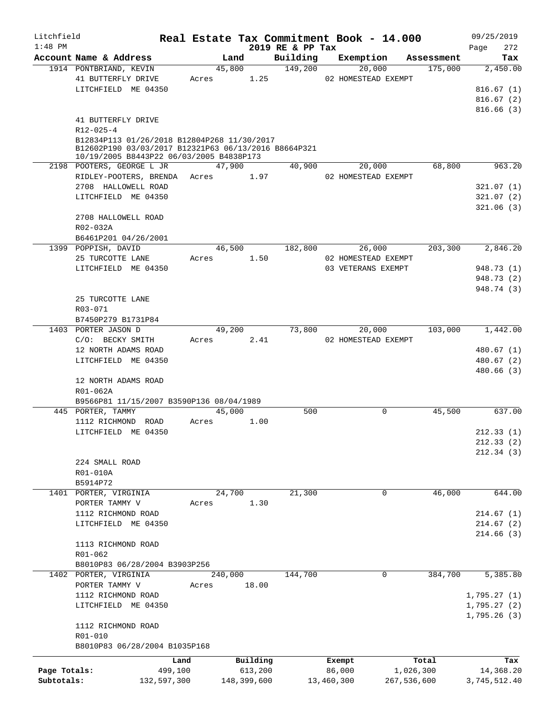| Litchfield   |                                                      |             |         |             |                              | Real Estate Tax Commitment Book - 14.000 |            | 09/25/2019               |
|--------------|------------------------------------------------------|-------------|---------|-------------|------------------------------|------------------------------------------|------------|--------------------------|
| $1:48$ PM    | Account Name & Address                               |             | Land    |             | 2019 RE & PP Tax<br>Building | Exemption                                | Assessment | 272<br>Page<br>Tax       |
|              | 1914 PONTBRIAND, KEVIN                               |             | 45,800  |             | 149,200                      | 20,000                                   | 175,000    | 2,450.00                 |
|              | 41 BUTTERFLY DRIVE                                   |             | Acres   | 1.25        |                              | 02 HOMESTEAD EXEMPT                      |            |                          |
|              | LITCHFIELD ME 04350                                  |             |         |             |                              |                                          |            | 816.67(1)                |
|              |                                                      |             |         |             |                              |                                          |            | 816.67(2)                |
|              |                                                      |             |         |             |                              |                                          |            | 816.66(3)                |
|              | 41 BUTTERFLY DRIVE                                   |             |         |             |                              |                                          |            |                          |
|              | $R12 - 025 - 4$                                      |             |         |             |                              |                                          |            |                          |
|              | B12834P113 01/26/2018 B12804P268 11/30/2017          |             |         |             |                              |                                          |            |                          |
|              | B12602P190 03/03/2017 B12321P63 06/13/2016 B8664P321 |             |         |             |                              |                                          |            |                          |
|              | 10/19/2005 B8443P22 06/03/2005 B4838P173             |             |         |             |                              |                                          |            |                          |
|              | 2198 POOTERS, GEORGE L JR                            |             | 47,900  |             | 40,900                       | 20,000                                   | 68,800     | 963.20                   |
|              | RIDLEY-POOTERS, BRENDA                               |             | Acres   | 1.97        |                              | 02 HOMESTEAD EXEMPT                      |            |                          |
|              | 2708 HALLOWELL ROAD                                  |             |         |             |                              |                                          |            | 321.07(1)                |
|              | LITCHFIELD ME 04350                                  |             |         |             |                              |                                          |            | 321.07(2)                |
|              |                                                      |             |         |             |                              |                                          |            | 321.06(3)                |
|              | 2708 HALLOWELL ROAD                                  |             |         |             |                              |                                          |            |                          |
|              | R02-032A                                             |             |         |             |                              |                                          |            |                          |
|              | B6461P201 04/26/2001                                 |             |         |             |                              |                                          |            |                          |
|              | 1399 POPPISH, DAVID                                  |             | 46,500  |             | 182,800                      | 26,000                                   | 203,300    | 2,846.20                 |
|              | 25 TURCOTTE LANE                                     |             | Acres   | 1.50        |                              | 02 HOMESTEAD EXEMPT                      |            |                          |
|              | LITCHFIELD ME 04350                                  |             |         |             |                              | 03 VETERANS EXEMPT                       |            | 948.73 (1)               |
|              |                                                      |             |         |             |                              |                                          |            | 948.73 (2)<br>948.74 (3) |
|              | 25 TURCOTTE LANE                                     |             |         |             |                              |                                          |            |                          |
|              | R03-071                                              |             |         |             |                              |                                          |            |                          |
|              | B7450P279 B1731P84                                   |             |         |             |                              |                                          |            |                          |
|              | 1403 PORTER JASON D                                  |             | 49,200  |             | 73,800                       | 20,000                                   | 103,000    | 1,442.00                 |
|              | C/O: BECKY SMITH                                     |             | Acres   | 2.41        |                              | 02 HOMESTEAD EXEMPT                      |            |                          |
|              | 12 NORTH ADAMS ROAD                                  |             |         |             |                              |                                          |            | 480.67 (1)               |
|              | LITCHFIELD ME 04350                                  |             |         |             |                              |                                          |            | 480.67 (2)               |
|              |                                                      |             |         |             |                              |                                          |            | 480.66(3)                |
|              | 12 NORTH ADAMS ROAD                                  |             |         |             |                              |                                          |            |                          |
|              | R01-062A                                             |             |         |             |                              |                                          |            |                          |
|              | B9566P81 11/15/2007 B3590P136 08/04/1989             |             |         |             |                              |                                          |            |                          |
|              | 445 PORTER, TAMMY                                    |             | 45,000  |             | 500                          | $\Omega$                                 | 45,500     | 637.00                   |
|              | 1112 RICHMOND ROAD                                   |             | Acres   | 1.00        |                              |                                          |            |                          |
|              | LITCHFIELD ME 04350                                  |             |         |             |                              |                                          |            | 212.33(1)                |
|              |                                                      |             |         |             |                              |                                          |            | 212.33(2)                |
|              |                                                      |             |         |             |                              |                                          |            | 212.34(3)                |
|              | 224 SMALL ROAD                                       |             |         |             |                              |                                          |            |                          |
|              | R01-010A                                             |             |         |             |                              |                                          |            |                          |
|              | B5914P72                                             |             |         |             |                              |                                          |            |                          |
|              | 1401 PORTER, VIRGINIA                                |             | 24,700  |             | 21,300                       | 0                                        | 46,000     | 644.00                   |
|              | PORTER TAMMY V                                       |             | Acres   | 1.30        |                              |                                          |            |                          |
|              | 1112 RICHMOND ROAD                                   |             |         |             |                              |                                          |            | 214.67(1)                |
|              | LITCHFIELD ME 04350                                  |             |         |             |                              |                                          |            | 214.67(2)                |
|              |                                                      |             |         |             |                              |                                          |            | 214.66(3)                |
|              | 1113 RICHMOND ROAD                                   |             |         |             |                              |                                          |            |                          |
|              | R01-062                                              |             |         |             |                              |                                          |            |                          |
|              | B8010P83 06/28/2004 B3903P256                        |             |         |             |                              |                                          |            |                          |
|              | 1402 PORTER, VIRGINIA                                |             | 240,000 |             | 144,700                      | 0                                        | 384,700    | 5,385.80                 |
|              | PORTER TAMMY V                                       |             | Acres   | 18.00       |                              |                                          |            |                          |
|              | 1112 RICHMOND ROAD                                   |             |         |             |                              |                                          |            | 1,795.27(1)              |
|              | LITCHFIELD ME 04350                                  |             |         |             |                              |                                          |            | 1,795.27(2)              |
|              |                                                      |             |         |             |                              |                                          |            | 1,795.26(3)              |
|              | 1112 RICHMOND ROAD                                   |             |         |             |                              |                                          |            |                          |
|              | R01-010<br>B8010P83 06/28/2004 B1035P168             |             |         |             |                              |                                          |            |                          |
|              |                                                      |             |         |             |                              |                                          |            |                          |
|              |                                                      | Land        |         | Building    |                              | Exempt                                   | Total      | Tax                      |
| Page Totals: |                                                      | 499,100     |         | 613,200     |                              | 86,000                                   | 1,026,300  | 14,368.20                |
| Subtotals:   |                                                      | 132,597,300 |         | 148,399,600 |                              | 13,460,300<br>267,536,600                |            | 3,745,512.40             |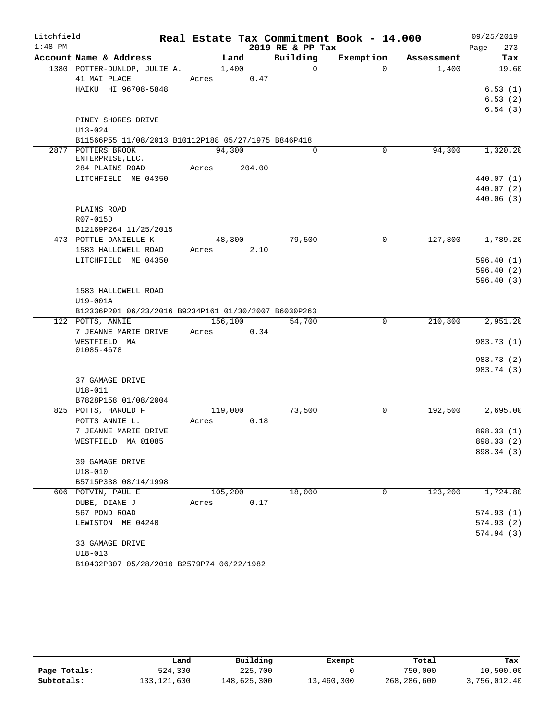| Litchfield |                                                      |            |         |        |                  | Real Estate Tax Commitment Book - 14.000 |            | 09/25/2019  |
|------------|------------------------------------------------------|------------|---------|--------|------------------|------------------------------------------|------------|-------------|
| $1:48$ PM  |                                                      |            |         |        | 2019 RE & PP Tax |                                          |            | 273<br>Page |
|            | Account Name & Address                               |            | Land    |        | Building         | Exemption                                | Assessment | Tax         |
|            | 1380 POTTER-DUNLOP, JULIE A.<br>41 MAI PLACE         | Acres      | 1,400   | 0.47   | $\Omega$         | $\Omega$                                 | 1,400      | 19.60       |
|            | HAIKU HI 96708-5848                                  |            |         |        |                  |                                          |            | 6.53(1)     |
|            |                                                      |            |         |        |                  |                                          |            | 6.53(2)     |
|            |                                                      |            |         |        |                  |                                          |            | 6.54(3)     |
|            | PINEY SHORES DRIVE                                   |            |         |        |                  |                                          |            |             |
|            | $U13 - 024$                                          |            |         |        |                  |                                          |            |             |
|            | B11566P55 11/08/2013 B10112P188 05/27/1975 B846P418  |            |         |        |                  |                                          |            |             |
|            | 2877 POTTERS BROOK                                   |            | 94,300  |        | $\Omega$         | $\mathbf 0$                              | 94,300     | 1,320.20    |
|            | ENTERPRISE, LLC.                                     |            |         |        |                  |                                          |            |             |
|            | 284 PLAINS ROAD                                      | Acres      |         | 204.00 |                  |                                          |            |             |
|            | LITCHFIELD ME 04350                                  |            |         |        |                  |                                          |            | 440.07 (1)  |
|            |                                                      |            |         |        |                  |                                          |            | 440.07 (2)  |
|            |                                                      |            |         |        |                  |                                          |            | 440.06(3)   |
|            | PLAINS ROAD                                          |            |         |        |                  |                                          |            |             |
|            | R07-015D                                             |            |         |        |                  |                                          |            |             |
|            | B12169P264 11/25/2015                                |            |         |        |                  |                                          |            |             |
|            | 473 POTTLE DANIELLE K                                |            | 48,300  |        | 79,500           | $\mathbf 0$                              | 127,800    | 1,789.20    |
|            | 1583 HALLOWELL ROAD                                  | Acres 2.10 |         |        |                  |                                          |            |             |
|            | LITCHFIELD ME 04350                                  |            |         |        |                  |                                          |            | 596.40(1)   |
|            |                                                      |            |         |        |                  |                                          |            | 596.40(2)   |
|            |                                                      |            |         |        |                  |                                          |            | 596.40(3)   |
|            | 1583 HALLOWELL ROAD                                  |            |         |        |                  |                                          |            |             |
|            | U19-001A                                             |            |         |        |                  |                                          |            |             |
|            | B12336P201 06/23/2016 B9234P161 01/30/2007 B6030P263 |            |         |        |                  |                                          |            |             |
|            | 122 POTTS, ANNIE                                     |            | 156,100 |        | 54,700           | $\overline{0}$                           | 210,800    | 2,951.20    |
|            | 7 JEANNE MARIE DRIVE                                 | Acres      |         | 0.34   |                  |                                          |            |             |
|            | WESTFIELD MA<br>01085-4678                           |            |         |        |                  |                                          |            | 983.73 (1)  |
|            |                                                      |            |         |        |                  |                                          |            | 983.73 (2)  |
|            |                                                      |            |         |        |                  |                                          |            | 983.74 (3)  |
|            | 37 GAMAGE DRIVE                                      |            |         |        |                  |                                          |            |             |
|            | $U18 - 011$                                          |            |         |        |                  |                                          |            |             |
|            | B7828P158 01/08/2004                                 |            |         |        |                  |                                          |            |             |
|            | 825 POTTS, HAROLD F                                  |            | 119,000 |        | 73,500           | $\mathbf 0$                              | 192,500    | 2,695.00    |
|            | POTTS ANNIE L.                                       | Acres      |         | 0.18   |                  |                                          |            |             |
|            | 7 JEANNE MARIE DRIVE                                 |            |         |        |                  |                                          |            | 898.33 (1)  |
|            | WESTFIELD MA 01085                                   |            |         |        |                  |                                          |            | 898.33 (2)  |
|            |                                                      |            |         |        |                  |                                          |            | 898.34 (3)  |
|            | 39 GAMAGE DRIVE                                      |            |         |        |                  |                                          |            |             |
|            | $U18 - 010$                                          |            |         |        |                  |                                          |            |             |
|            | B5715P338 08/14/1998                                 |            |         |        |                  |                                          |            |             |
|            | 606 POTVIN, PAUL E                                   |            | 105,200 |        | 18,000           | $\Omega$                                 | 123,200    | 1,724.80    |
|            | DUBE, DIANE J                                        | Acres      |         | 0.17   |                  |                                          |            |             |
|            | 567 POND ROAD                                        |            |         |        |                  |                                          |            | 574.93(1)   |
|            | LEWISTON ME 04240                                    |            |         |        |                  |                                          |            | 574.93(2)   |
|            |                                                      |            |         |        |                  |                                          |            | 574.94 (3)  |
|            | 33 GAMAGE DRIVE                                      |            |         |        |                  |                                          |            |             |
|            | $U18 - 013$                                          |            |         |        |                  |                                          |            |             |
|            | B10432P307 05/28/2010 B2579P74 06/22/1982            |            |         |        |                  |                                          |            |             |

|              | Land        | Building    | Exempt     | Total       | Tax          |
|--------------|-------------|-------------|------------|-------------|--------------|
| Page Totals: | 524,300     | 225,700     |            | 750,000     | 10,500.00    |
| Subtotals:   | 133,121,600 | 148,625,300 | 13,460,300 | 268,286,600 | 3,756,012.40 |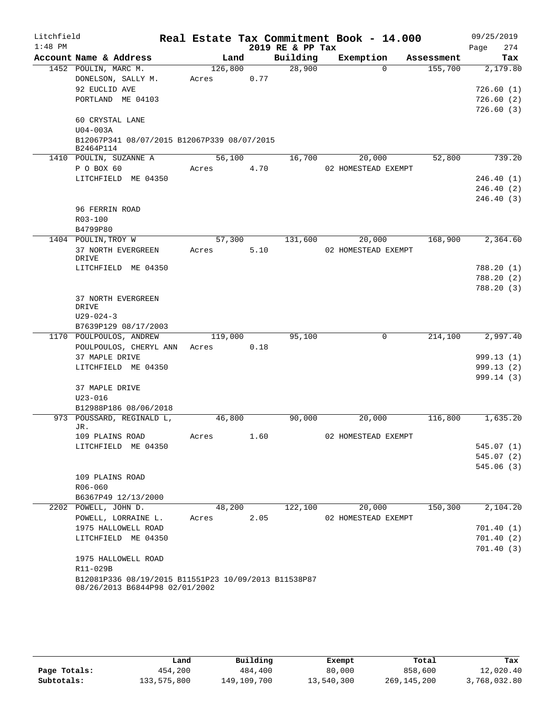| Litchfield |                                                      |         |      |                  | Real Estate Tax Commitment Book - 14.000 |            | 09/25/2019             |
|------------|------------------------------------------------------|---------|------|------------------|------------------------------------------|------------|------------------------|
| $1:48$ PM  |                                                      |         |      | 2019 RE & PP Tax |                                          |            | 274<br>Page            |
|            | Account Name & Address                               | Land    |      | Building         | Exemption                                | Assessment | Tax                    |
|            | 1452 POULIN, MARC M.                                 | 126,800 |      | 28,900           | $\Omega$                                 | 155,700    | 2,179.80               |
|            | DONELSON, SALLY M.                                   | Acres   | 0.77 |                  |                                          |            |                        |
|            | 92 EUCLID AVE                                        |         |      |                  |                                          |            | 726.60(1)              |
|            | PORTLAND ME 04103                                    |         |      |                  |                                          |            | 726.60(2)<br>726.60(3) |
|            | 60 CRYSTAL LANE                                      |         |      |                  |                                          |            |                        |
|            | $U04 - 003A$                                         |         |      |                  |                                          |            |                        |
|            | B12067P341 08/07/2015 B12067P339 08/07/2015          |         |      |                  |                                          |            |                        |
|            | B2464P114                                            |         |      |                  |                                          |            |                        |
|            | 1410 POULIN, SUZANNE A                               | 56,100  |      | 16,700           | 20,000                                   | 52,800     | 739.20                 |
|            | P O BOX 60                                           | Acres   | 4.70 |                  | 02 HOMESTEAD EXEMPT                      |            |                        |
|            | LITCHFIELD ME 04350                                  |         |      |                  |                                          |            | 246.40(1)              |
|            |                                                      |         |      |                  |                                          |            | 246.40(2)<br>246.40(3) |
|            | 96 FERRIN ROAD                                       |         |      |                  |                                          |            |                        |
|            | R03-100                                              |         |      |                  |                                          |            |                        |
|            | B4799P80                                             |         |      |                  |                                          |            |                        |
|            | 1404 POULIN, TROY W                                  | 57,300  |      | 131,600          | 20,000                                   | 168,900    | 2,364.60               |
|            | 37 NORTH EVERGREEN                                   | Acres   | 5.10 |                  | 02 HOMESTEAD EXEMPT                      |            |                        |
|            | DRIVE                                                |         |      |                  |                                          |            |                        |
|            | LITCHFIELD ME 04350                                  |         |      |                  |                                          |            | 788.20(1)<br>788.20(2) |
|            |                                                      |         |      |                  |                                          |            | 788.20(3)              |
|            | 37 NORTH EVERGREEN                                   |         |      |                  |                                          |            |                        |
|            | DRIVE                                                |         |      |                  |                                          |            |                        |
|            | $U29 - 024 - 3$                                      |         |      |                  |                                          |            |                        |
|            | B7639P129 08/17/2003                                 |         |      |                  |                                          |            |                        |
|            | 1170 POULPOULOS, ANDREW                              | 119,000 |      | 95,100           | $\mathbf 0$                              | 214,100    | 2,997.40               |
|            | POULPOULOS, CHERYL ANN<br>37 MAPLE DRIVE             | Acres   | 0.18 |                  |                                          |            | 999.13(1)              |
|            | LITCHFIELD ME 04350                                  |         |      |                  |                                          |            | 999.13(2)              |
|            |                                                      |         |      |                  |                                          |            | 999.14(3)              |
|            | 37 MAPLE DRIVE                                       |         |      |                  |                                          |            |                        |
|            | $U23 - 016$                                          |         |      |                  |                                          |            |                        |
|            | B12988P186 08/06/2018                                |         |      |                  |                                          |            |                        |
|            | 973 POUSSARD, REGINALD L,                            | 46,800  |      | 90,000           | 20,000                                   | 116,800    | 1,635.20               |
|            | JR.<br>109 PLAINS ROAD                               | Acres   | 1.60 |                  | 02 HOMESTEAD EXEMPT                      |            |                        |
|            | LITCHFIELD ME 04350                                  |         |      |                  |                                          |            | 545.07 (1)             |
|            |                                                      |         |      |                  |                                          |            | 545.07(2)              |
|            |                                                      |         |      |                  |                                          |            | 545.06(3)              |
|            | 109 PLAINS ROAD                                      |         |      |                  |                                          |            |                        |
|            | R06-060                                              |         |      |                  |                                          |            |                        |
|            | B6367P49 12/13/2000                                  |         |      |                  |                                          |            |                        |
|            | 2202 POWELL, JOHN D.                                 | 48,200  |      | 122,100          | 20,000                                   | 150,300    | 2,104.20               |
|            | POWELL, LORRAINE L.                                  | Acres   | 2.05 |                  | 02 HOMESTEAD EXEMPT                      |            |                        |
|            | 1975 HALLOWELL ROAD                                  |         |      |                  |                                          |            | 701.40(1)<br>701.40(2) |
|            | LITCHFIELD ME 04350                                  |         |      |                  |                                          |            | 701.40(3)              |
|            | 1975 HALLOWELL ROAD                                  |         |      |                  |                                          |            |                        |
|            | R11-029B                                             |         |      |                  |                                          |            |                        |
|            | B12081P336 08/19/2015 B11551P23 10/09/2013 B11538P87 |         |      |                  |                                          |            |                        |
|            | 08/26/2013 B6844P98 02/01/2002                       |         |      |                  |                                          |            |                        |

|              | Land        | Building    | Exempt     | Total       | Tax          |
|--------------|-------------|-------------|------------|-------------|--------------|
| Page Totals: | 454,200     | 484,400     | 80,000     | 858,600     | 12,020.40    |
| Subtotals:   | 133,575,800 | 149,109,700 | 13,540,300 | 269,145,200 | 3,768,032.80 |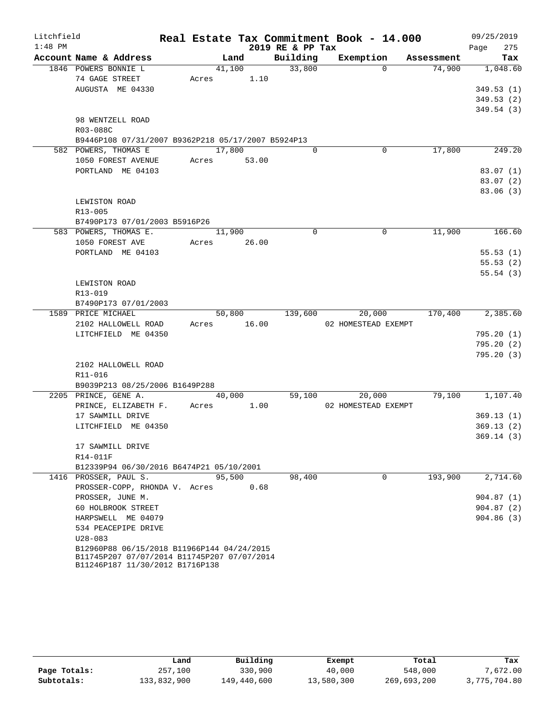| Litchfield |                                                    |       |        |             |                  | Real Estate Tax Commitment Book - 14.000 |            | 09/25/2019             |
|------------|----------------------------------------------------|-------|--------|-------------|------------------|------------------------------------------|------------|------------------------|
| $1:48$ PM  |                                                    |       |        |             | 2019 RE & PP Tax |                                          |            | 275<br>Page            |
|            | Account Name & Address                             |       | Land   |             | Building         | Exemption                                | Assessment | Tax                    |
|            | 1846 POWERS BONNIE L                               |       | 41,100 |             | 33,800           | $\Omega$                                 | 74,900     | 1,048.60               |
|            | 74 GAGE STREET                                     | Acres |        | 1.10        |                  |                                          |            |                        |
|            | AUGUSTA ME 04330                                   |       |        |             |                  |                                          |            | 349.53(1)              |
|            |                                                    |       |        |             |                  |                                          |            | 349.53(2)              |
|            | 98 WENTZELL ROAD                                   |       |        |             |                  |                                          |            | 349.54(3)              |
|            | R03-088C                                           |       |        |             |                  |                                          |            |                        |
|            | B9446P108 07/31/2007 B9362P218 05/17/2007 B5924P13 |       |        |             |                  |                                          |            |                        |
|            | 582 POWERS, THOMAS E                               |       | 17,800 |             | $\Omega$         | $\mathbf 0$                              | 17,800     | 249.20                 |
|            | 1050 FOREST AVENUE                                 |       |        | Acres 53.00 |                  |                                          |            |                        |
|            | PORTLAND ME 04103                                  |       |        |             |                  |                                          |            | 83.07(1)               |
|            |                                                    |       |        |             |                  |                                          |            | 83.07(2)               |
|            |                                                    |       |        |             |                  |                                          |            | 83.06(3)               |
|            | LEWISTON ROAD                                      |       |        |             |                  |                                          |            |                        |
|            | R13-005                                            |       |        |             |                  |                                          |            |                        |
|            | B7490P173 07/01/2003 B5916P26                      |       |        |             |                  |                                          |            |                        |
|            | 583 POWERS, THOMAS E.                              |       | 11,900 |             | $\Omega$         | $\Omega$                                 | 11,900     | 166.60                 |
|            | 1050 FOREST AVE<br>PORTLAND ME 04103               | Acres |        | 26.00       |                  |                                          |            | 55.53(1)               |
|            |                                                    |       |        |             |                  |                                          |            | 55.53(2)               |
|            |                                                    |       |        |             |                  |                                          |            | 55.54(3)               |
|            | LEWISTON ROAD                                      |       |        |             |                  |                                          |            |                        |
|            | R13-019                                            |       |        |             |                  |                                          |            |                        |
|            | B7490P173 07/01/2003                               |       |        |             |                  |                                          |            |                        |
|            | 1589 PRICE MICHAEL                                 |       | 50,800 |             | 139,600          | 20,000                                   | 170,400    | 2,385.60               |
|            | 2102 HALLOWELL ROAD                                |       |        | Acres 16.00 |                  | 02 HOMESTEAD EXEMPT                      |            |                        |
|            | LITCHFIELD ME 04350                                |       |        |             |                  |                                          |            | 795.20(1)              |
|            |                                                    |       |        |             |                  |                                          |            | 795.20(2)              |
|            |                                                    |       |        |             |                  |                                          |            | 795.20(3)              |
|            | 2102 HALLOWELL ROAD                                |       |        |             |                  |                                          |            |                        |
|            | R11-016<br>B9039P213 08/25/2006 B1649P288          |       |        |             |                  |                                          |            |                        |
|            | 2205 PRINCE, GENE A.                               |       | 40,000 |             | 59,100           | 20,000                                   | 79,100     | 1,107.40               |
|            | PRINCE, ELIZABETH F.                               |       |        | Acres 1.00  |                  | 02 HOMESTEAD EXEMPT                      |            |                        |
|            | 17 SAWMILL DRIVE                                   |       |        |             |                  |                                          |            | 369.13(1)              |
|            | LITCHFIELD ME 04350                                |       |        |             |                  |                                          |            | 369.13(2)              |
|            |                                                    |       |        |             |                  |                                          |            | 369.14(3)              |
|            | 17 SAWMILL DRIVE                                   |       |        |             |                  |                                          |            |                        |
|            | R14-011F                                           |       |        |             |                  |                                          |            |                        |
|            | B12339P94 06/30/2016 B6474P21 05/10/2001           |       |        |             |                  |                                          |            |                        |
|            | 1416 PROSSER, PAUL S.                              |       | 95,500 |             | 98,400           | $\mathbf 0$                              | 193,900    | 2,714.60               |
|            | PROSSER-COPP, RHONDA V. Acres                      |       |        | 0.68        |                  |                                          |            |                        |
|            | PROSSER, JUNE M.                                   |       |        |             |                  |                                          |            | 904.87(1)              |
|            | 60 HOLBROOK STREET<br>HARPSWELL ME 04079           |       |        |             |                  |                                          |            | 904.87(2)<br>904.86(3) |
|            | 534 PEACEPIPE DRIVE                                |       |        |             |                  |                                          |            |                        |
|            | $U28 - 083$                                        |       |        |             |                  |                                          |            |                        |
|            | B12960P88 06/15/2018 B11966P144 04/24/2015         |       |        |             |                  |                                          |            |                        |
|            | B11745P207 07/07/2014 B11745P207 07/07/2014        |       |        |             |                  |                                          |            |                        |
|            | B11246P187 11/30/2012 B1716P138                    |       |        |             |                  |                                          |            |                        |

|              | Land        | Building    | Exempt     | Total       | Tax          |
|--------------|-------------|-------------|------------|-------------|--------------|
| Page Totals: | 257,100     | 330,900     | 40,000     | 548,000     | 7,672.00     |
| Subtotals:   | 133,832,900 | 149,440,600 | 13,580,300 | 269,693,200 | 3,775,704.80 |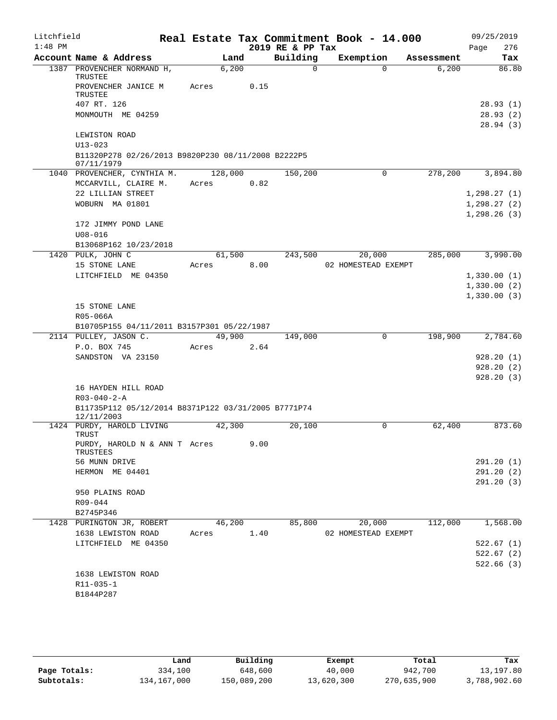| Litchfield<br>$1:48$ PM |                                                                   |       |         |      | Real Estate Tax Commitment Book - 14.000<br>2019 RE & PP Tax |                     |             |            | 09/25/2019<br>276<br>Page |
|-------------------------|-------------------------------------------------------------------|-------|---------|------|--------------------------------------------------------------|---------------------|-------------|------------|---------------------------|
|                         | Account Name & Address                                            |       | Land    |      | Building                                                     | Exemption           |             | Assessment | Tax                       |
|                         | 1387 PROVENCHER NORMAND H,<br>TRUSTEE                             |       | 6,200   |      | $\Omega$                                                     |                     | $\Omega$    | 6,200      | 86.80                     |
|                         | PROVENCHER JANICE M<br>TRUSTEE                                    | Acres |         | 0.15 |                                                              |                     |             |            |                           |
|                         | 407 RT. 126                                                       |       |         |      |                                                              |                     |             |            | 28.93(1)                  |
|                         | MONMOUTH ME 04259                                                 |       |         |      |                                                              |                     |             |            | 28.93(2)                  |
|                         |                                                                   |       |         |      |                                                              |                     |             |            | 28.94(3)                  |
|                         | LEWISTON ROAD                                                     |       |         |      |                                                              |                     |             |            |                           |
|                         | $U13 - 023$                                                       |       |         |      |                                                              |                     |             |            |                           |
|                         | B11320P278 02/26/2013 B9820P230 08/11/2008 B2222P5<br>07/11/1979  |       |         |      |                                                              |                     |             |            |                           |
|                         | 1040 PROVENCHER, CYNTHIA M.                                       |       | 128,000 |      | 150,200                                                      |                     | 0           | 278,200    | 3,894.80                  |
|                         | MCCARVILL, CLAIRE M.                                              | Acres |         | 0.82 |                                                              |                     |             |            |                           |
|                         | 22 LILLIAN STREET                                                 |       |         |      |                                                              |                     |             |            | 1, 298.27(1)              |
|                         | WOBURN MA 01801                                                   |       |         |      |                                                              |                     |             |            | 1, 298.27(2)              |
|                         |                                                                   |       |         |      |                                                              |                     |             |            | 1, 298.26(3)              |
|                         | 172 JIMMY POND LANE                                               |       |         |      |                                                              |                     |             |            |                           |
|                         | $U08 - 016$                                                       |       |         |      |                                                              |                     |             |            |                           |
|                         | B13068P162 10/23/2018                                             |       |         |      |                                                              |                     |             |            |                           |
|                         | 1420 PULK, JOHN C                                                 |       | 61,500  |      | 243,500                                                      |                     | 20,000      | 285,000    | 3,990.00                  |
|                         | 15 STONE LANE                                                     | Acres |         | 8.00 |                                                              | 02 HOMESTEAD EXEMPT |             |            |                           |
|                         | LITCHFIELD ME 04350                                               |       |         |      |                                                              |                     |             |            | 1,330.00(1)               |
|                         |                                                                   |       |         |      |                                                              |                     |             |            | 1,330.00(2)               |
|                         |                                                                   |       |         |      |                                                              |                     |             |            | 1,330.00(3)               |
|                         | 15 STONE LANE                                                     |       |         |      |                                                              |                     |             |            |                           |
|                         | R05-066A<br>B10705P155 04/11/2011 B3157P301 05/22/1987            |       |         |      |                                                              |                     |             |            |                           |
|                         | 2114 PULLEY, JASON C.                                             |       | 49,900  |      | 149,000                                                      |                     | $\mathbf 0$ | 198,900    | 2,784.60                  |
|                         | P.O. BOX 745                                                      | Acres |         | 2.64 |                                                              |                     |             |            |                           |
|                         | SANDSTON VA 23150                                                 |       |         |      |                                                              |                     |             |            | 928.20(1)                 |
|                         |                                                                   |       |         |      |                                                              |                     |             |            | 928.20(2)                 |
|                         |                                                                   |       |         |      |                                                              |                     |             |            | 928.20(3)                 |
|                         | 16 HAYDEN HILL ROAD                                               |       |         |      |                                                              |                     |             |            |                           |
|                         | $R03 - 040 - 2 - A$                                               |       |         |      |                                                              |                     |             |            |                           |
|                         | B11735P112 05/12/2014 B8371P122 03/31/2005 B7771P74<br>12/11/2003 |       |         |      |                                                              |                     |             |            |                           |
|                         | 1424 PURDY, HAROLD LIVING<br>TRUST                                |       | 42,300  |      | 20,100                                                       |                     | 0           | 62,400     | 873.60                    |
|                         | PURDY, HAROLD N & ANN T Acres<br>TRUSTEES                         |       |         | 9.00 |                                                              |                     |             |            |                           |
|                         | 56 MUNN DRIVE                                                     |       |         |      |                                                              |                     |             |            | 291.20(1)                 |
|                         | HERMON ME 04401                                                   |       |         |      |                                                              |                     |             |            | 291.20(2)                 |
|                         | 950 PLAINS ROAD                                                   |       |         |      |                                                              |                     |             |            | 291.20(3)                 |
|                         | R09-044                                                           |       |         |      |                                                              |                     |             |            |                           |
|                         | B2745P346                                                         |       |         |      |                                                              |                     |             |            |                           |
|                         | 1428 PURINGTON JR, ROBERT                                         |       | 46,200  |      | 85,800                                                       |                     | 20,000      | 112,000    | 1,568.00                  |
|                         | 1638 LEWISTON ROAD                                                | Acres |         | 1.40 |                                                              | 02 HOMESTEAD EXEMPT |             |            |                           |
|                         | LITCHFIELD ME 04350                                               |       |         |      |                                                              |                     |             |            | 522.67(1)                 |
|                         |                                                                   |       |         |      |                                                              |                     |             |            | 522.67(2)                 |
|                         | 1638 LEWISTON ROAD                                                |       |         |      |                                                              |                     |             |            | 522.66(3)                 |
|                         | R11-035-1                                                         |       |         |      |                                                              |                     |             |            |                           |
|                         | B1844P287                                                         |       |         |      |                                                              |                     |             |            |                           |
|                         |                                                                   |       |         |      |                                                              |                     |             |            |                           |
|                         |                                                                   |       |         |      |                                                              |                     |             |            |                           |

|              | Land        | Building    | Exempt     | Total       | Tax          |
|--------------|-------------|-------------|------------|-------------|--------------|
| Page Totals: | 334,100     | 648,600     | 40,000     | 942,700     | 13,197.80    |
| Subtotals:   | 134,167,000 | 150,089,200 | 13,620,300 | 270,635,900 | 3,788,902.60 |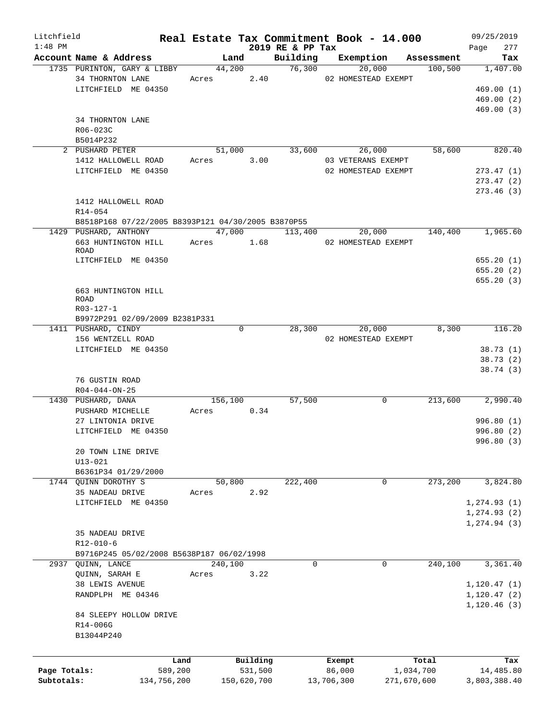| Litchfield   |                                                    |       |            |             |                  | Real Estate Tax Commitment Book - 14.000 |             | 09/25/2019             |
|--------------|----------------------------------------------------|-------|------------|-------------|------------------|------------------------------------------|-------------|------------------------|
| $1:48$ PM    |                                                    |       |            |             | 2019 RE & PP Tax |                                          |             | 277<br>Page            |
|              | Account Name & Address                             |       | Land       |             | Building         | Exemption                                | Assessment  | Tax                    |
|              | 1735 PURINTON, GARY & LIBBY                        |       | 44,200     | Acres 2.40  | 76,300           | 20,000                                   | 100,500     | 1,407.00               |
|              | 34 THORNTON LANE<br>LITCHFIELD ME 04350            |       |            |             |                  | 02 HOMESTEAD EXEMPT                      |             | 469.00(1)              |
|              |                                                    |       |            |             |                  |                                          |             |                        |
|              |                                                    |       |            |             |                  |                                          |             | 469.00(2)<br>469.00(3) |
|              | 34 THORNTON LANE                                   |       |            |             |                  |                                          |             |                        |
|              | R06-023C                                           |       |            |             |                  |                                          |             |                        |
|              | B5014P232                                          |       |            |             |                  |                                          |             |                        |
|              | 2 PUSHARD PETER                                    |       | 51,000     |             | 33,600           | 26,000                                   | 58,600      | 820.40                 |
|              | 1412 HALLOWELL ROAD                                |       | Acres      | 3.00        |                  | 03 VETERANS EXEMPT                       |             |                        |
|              | LITCHFIELD ME 04350                                |       |            |             |                  | 02 HOMESTEAD EXEMPT                      |             | 273.47(1)              |
|              |                                                    |       |            |             |                  |                                          |             | 273.47(2)              |
|              |                                                    |       |            |             |                  |                                          |             | 273.46(3)              |
|              | 1412 HALLOWELL ROAD                                |       |            |             |                  |                                          |             |                        |
|              | R14-054                                            |       |            |             |                  |                                          |             |                        |
|              | B8518P168 07/22/2005 B8393P121 04/30/2005 B3870P55 |       |            |             |                  |                                          |             |                        |
|              | 1429 PUSHARD, ANTHONY                              |       |            | 47,000      | 113,400          | 20,000                                   | 140,400     | 1,965.60               |
|              | 663 HUNTINGTON HILL                                |       | Acres 1.68 |             |                  | 02 HOMESTEAD EXEMPT                      |             |                        |
|              | ROAD                                               |       |            |             |                  |                                          |             |                        |
|              | LITCHFIELD ME 04350                                |       |            |             |                  |                                          |             | 655.20(1)              |
|              |                                                    |       |            |             |                  |                                          |             | 655.20(2)              |
|              |                                                    |       |            |             |                  |                                          |             | 655.20(3)              |
|              | 663 HUNTINGTON HILL                                |       |            |             |                  |                                          |             |                        |
|              | <b>ROAD</b>                                        |       |            |             |                  |                                          |             |                        |
|              | R03-127-1                                          |       |            |             |                  |                                          |             |                        |
|              | B9972P291 02/09/2009 B2381P331                     |       |            |             |                  |                                          |             |                        |
|              | 1411 PUSHARD, CINDY                                |       | 0          |             | 28,300           | 20,000                                   | 8,300       | 116.20                 |
|              | 156 WENTZELL ROAD                                  |       |            |             |                  | 02 HOMESTEAD EXEMPT                      |             |                        |
|              | LITCHFIELD ME 04350                                |       |            |             |                  |                                          |             | 38.73(1)               |
|              |                                                    |       |            |             |                  |                                          |             | 38.73(2)               |
|              |                                                    |       |            |             |                  |                                          |             | 38.74(3)               |
|              | 76 GUSTIN ROAD                                     |       |            |             |                  |                                          |             |                        |
|              | $R04 - 044 - ON - 25$                              |       |            |             |                  |                                          |             |                        |
|              | 1430 PUSHARD, DANA                                 |       | 156,100    |             | 57,500           | $\mathbf 0$                              | 213,600     | 2,990.40               |
|              | PUSHARD MICHELLE                                   |       | Acres      | 0.34        |                  |                                          |             |                        |
|              | 27 LINTONIA DRIVE                                  |       |            |             |                  |                                          |             | 996.80(1)              |
|              | LITCHFIELD ME 04350                                |       |            |             |                  |                                          |             | 996.80(2)              |
|              |                                                    |       |            |             |                  |                                          |             | 996.80 (3)             |
|              | 20 TOWN LINE DRIVE                                 |       |            |             |                  |                                          |             |                        |
|              | $U13 - 021$                                        |       |            |             |                  |                                          |             |                        |
|              | B6361P34 01/29/2000                                |       |            |             |                  |                                          |             |                        |
|              | 1744 OUINN DOROTHY S                               |       | 50,800     |             | 222,400          | 0                                        | 273,200     | 3,824.80               |
|              | 35 NADEAU DRIVE                                    | Acres |            | 2.92        |                  |                                          |             |                        |
|              | LITCHFIELD ME 04350                                |       |            |             |                  |                                          |             | 1, 274.93(1)           |
|              |                                                    |       |            |             |                  |                                          |             | 1, 274.93(2)           |
|              |                                                    |       |            |             |                  |                                          |             | 1, 274.94(3)           |
|              | 35 NADEAU DRIVE                                    |       |            |             |                  |                                          |             |                        |
|              | $R12 - 010 - 6$                                    |       |            |             |                  |                                          |             |                        |
|              | B9716P245 05/02/2008 B5638P187 06/02/1998          |       |            |             |                  |                                          |             |                        |
| 2937         | QUINN, LANCE                                       |       | 240,100    |             | 0                | $\mathbf 0$                              | 240,100     | 3,361.40               |
|              | QUINN, SARAH E                                     | Acres |            | 3.22        |                  |                                          |             |                        |
|              | 38 LEWIS AVENUE                                    |       |            |             |                  |                                          |             | 1, 120.47(1)           |
|              | RANDPLPH ME 04346                                  |       |            |             |                  |                                          |             | 1, 120.47(2)           |
|              |                                                    |       |            |             |                  |                                          |             | 1,120.46(3)            |
|              | 84 SLEEPY HOLLOW DRIVE                             |       |            |             |                  |                                          |             |                        |
|              | R14-006G                                           |       |            |             |                  |                                          |             |                        |
|              | B13044P240                                         |       |            |             |                  |                                          |             |                        |
|              |                                                    |       |            |             |                  |                                          |             |                        |
|              |                                                    |       |            |             |                  |                                          |             |                        |
|              | Land                                               |       |            | Building    |                  | Exempt                                   | Total       | Tax                    |
| Page Totals: | 589,200                                            |       |            | 531,500     |                  | 86,000                                   | 1,034,700   | 14,485.80              |
| Subtotals:   | 134,756,200                                        |       |            | 150,620,700 |                  | 13,706,300                               | 271,670,600 | 3,803,388.40           |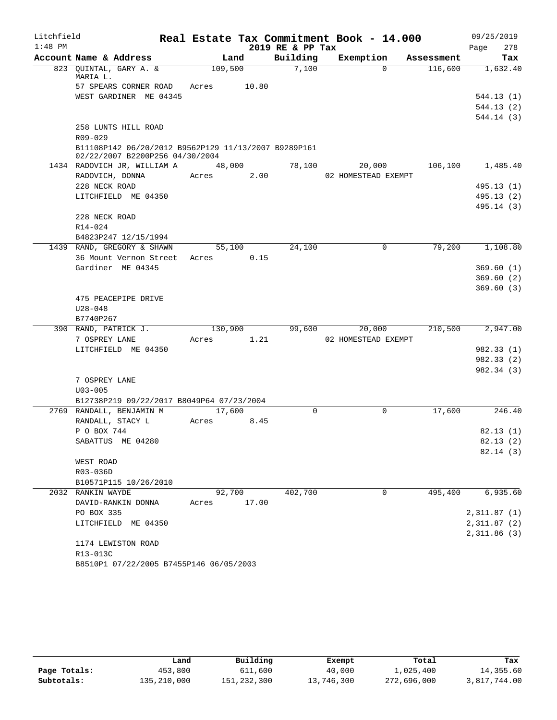| Litchfield |                                                                                         |            |         |                  | Real Estate Tax Commitment Book - 14.000 |            | 09/25/2019  |
|------------|-----------------------------------------------------------------------------------------|------------|---------|------------------|------------------------------------------|------------|-------------|
| $1:48$ PM  |                                                                                         |            |         | 2019 RE & PP Tax |                                          |            | Page<br>278 |
|            | Account Name & Address                                                                  | Land       |         | Building         | Exemption                                | Assessment | Tax         |
|            | 823 QUINTAL, GARY A. &<br>MARIA L.                                                      | 109,500    |         | 7,100            | $\Omega$                                 | 116,600    | 1,632.40    |
|            | 57 SPEARS CORNER ROAD                                                                   | Acres      | 10.80   |                  |                                          |            |             |
|            | WEST GARDINER ME 04345                                                                  |            |         |                  |                                          |            | 544.13 (1)  |
|            |                                                                                         |            |         |                  |                                          |            | 544.13 (2)  |
|            |                                                                                         |            |         |                  |                                          |            | 544.14 (3)  |
|            | 258 LUNTS HILL ROAD                                                                     |            |         |                  |                                          |            |             |
|            | $R09 - 029$                                                                             |            |         |                  |                                          |            |             |
|            | B11108P142 06/20/2012 B9562P129 11/13/2007 B9289P161<br>02/22/2007 B2200P256 04/30/2004 |            |         |                  |                                          |            |             |
|            | 1434 RADOVICH JR, WILLIAM A 48,000                                                      |            |         | 78,100           | 20,000                                   | 106,100    | 1,485.40    |
|            | RADOVICH, DONNA                                                                         | Acres 2.00 |         |                  | 02 HOMESTEAD EXEMPT                      |            |             |
|            | 228 NECK ROAD                                                                           |            |         |                  |                                          |            | 495.13 (1)  |
|            | LITCHFIELD ME 04350                                                                     |            |         |                  |                                          |            | 495.13(2)   |
|            |                                                                                         |            |         |                  |                                          |            | 495.14 (3)  |
|            | 228 NECK ROAD                                                                           |            |         |                  |                                          |            |             |
|            | R14-024                                                                                 |            |         |                  |                                          |            |             |
|            | B4823P247 12/15/1994                                                                    |            |         |                  |                                          |            |             |
|            | 1439 RAND, GREGORY & SHAWN                                                              | 55,100     |         | 24,100           | 0                                        | 79,200     | 1,108.80    |
|            | 36 Mount Vernon Street Acres                                                            |            | 0.15    |                  |                                          |            |             |
|            | Gardiner ME 04345                                                                       |            |         |                  |                                          |            | 369.60(1)   |
|            |                                                                                         |            |         |                  |                                          |            | 369.60(2)   |
|            |                                                                                         |            |         |                  |                                          |            | 369.60(3)   |
|            | 475 PEACEPIPE DRIVE                                                                     |            |         |                  |                                          |            |             |
|            | $U28 - 048$                                                                             |            |         |                  |                                          |            |             |
|            | B7740P267                                                                               |            |         |                  |                                          |            |             |
|            | 390 RAND, PATRICK J.                                                                    |            | 130,900 | 99,600           | 20,000                                   | 210,500    | 2,947.00    |
|            | 7 OSPREY LANE                                                                           | Acres      | 1.21    |                  | 02 HOMESTEAD EXEMPT                      |            |             |
|            | LITCHFIELD ME 04350                                                                     |            |         |                  |                                          |            | 982.33 (1)  |
|            |                                                                                         |            |         |                  |                                          |            | 982.33 (2)  |
|            |                                                                                         |            |         |                  |                                          |            | 982.34 (3)  |
|            | 7 OSPREY LANE                                                                           |            |         |                  |                                          |            |             |
|            | $U03 - 005$                                                                             |            |         |                  |                                          |            |             |
|            | B12738P219 09/22/2017 B8049P64 07/23/2004                                               |            |         |                  |                                          |            |             |
|            | 2769 RANDALL, BENJAMIN M                                                                | 17,600     |         | $\Omega$         | $\mathbf 0$                              | 17,600     | 246.40      |
|            | RANDALL, STACY L                                                                        | Acres      | 8.45    |                  |                                          |            |             |
|            | P O BOX 744                                                                             |            |         |                  |                                          |            | 82.13(1)    |
|            | SABATTUS ME 04280                                                                       |            |         |                  |                                          |            | 82.13(2)    |
|            |                                                                                         |            |         |                  |                                          |            | 82.14(3)    |
|            | WEST ROAD                                                                               |            |         |                  |                                          |            |             |
|            | R03-036D                                                                                |            |         |                  |                                          |            |             |
|            | B10571P115 10/26/2010                                                                   |            |         |                  |                                          |            |             |
|            | 2032 RANKIN WAYDE                                                                       | 92,700     |         | 402,700          | 0                                        | 495,400    | 6,935.60    |
|            | DAVID-RANKIN DONNA                                                                      | Acres      | 17.00   |                  |                                          |            |             |
|            | PO BOX 335                                                                              |            |         |                  |                                          |            | 2,311.87(1) |
|            | LITCHFIELD ME 04350                                                                     |            |         |                  |                                          |            | 2,311.87(2) |
|            |                                                                                         |            |         |                  |                                          |            | 2,311.86(3) |
|            | 1174 LEWISTON ROAD                                                                      |            |         |                  |                                          |            |             |
|            | R13-013C                                                                                |            |         |                  |                                          |            |             |
|            | B8510P1 07/22/2005 B7455P146 06/05/2003                                                 |            |         |                  |                                          |            |             |

|              | Land        | Building    |                  | Total       | Tax          |
|--------------|-------------|-------------|------------------|-------------|--------------|
| Page Totals: | 453,800     | 611,600     | Exempt<br>40,000 | 1,025,400   | 14,355.60    |
| Subtotals:   | 135,210,000 | 151,232,300 | 13,746,300       | 272,696,000 | 3,817,744.00 |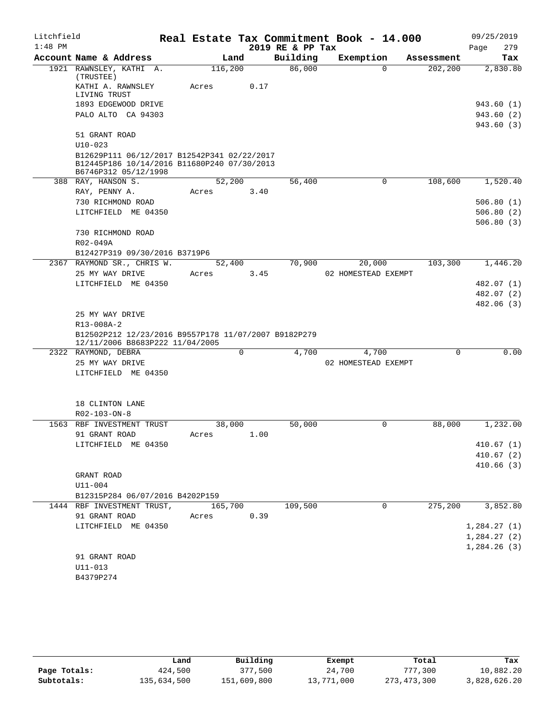| Litchfield |                                                                                                                    |                  |      |      | Real Estate Tax Commitment Book - 14.000 |                     |            |      | 09/25/2019  |
|------------|--------------------------------------------------------------------------------------------------------------------|------------------|------|------|------------------------------------------|---------------------|------------|------|-------------|
| $1:48$ PM  |                                                                                                                    |                  |      |      | 2019 RE & PP Tax                         |                     |            | Page | 279         |
|            | Account Name & Address                                                                                             |                  | Land |      | Building                                 | Exemption           | Assessment |      | Tax         |
|            | 1921 RAWNSLEY, KATHI A.<br>(TRUSTEE)                                                                               | 116,200          |      |      | 86,000                                   | $\Omega$            | 202,200    |      | 2,830.80    |
|            | KATHI A. RAWNSLEY<br>LIVING TRUST                                                                                  | Acres            |      | 0.17 |                                          |                     |            |      |             |
|            | 1893 EDGEWOOD DRIVE                                                                                                |                  |      |      |                                          |                     |            |      | 943.60 (1)  |
|            | PALO ALTO CA 94303                                                                                                 |                  |      |      |                                          |                     |            |      | 943.60 (2)  |
|            |                                                                                                                    |                  |      |      |                                          |                     |            |      | 943.60 (3)  |
|            | 51 GRANT ROAD<br>$U10 - 023$                                                                                       |                  |      |      |                                          |                     |            |      |             |
|            | B12629P111 06/12/2017 B12542P341 02/22/2017<br>B12445P186 10/14/2016 B11680P240 07/30/2013<br>B6746P312 05/12/1998 |                  |      |      |                                          |                     |            |      |             |
|            | 388 RAY, HANSON S.                                                                                                 | 52,200           |      |      | 56,400                                   | $\mathbf 0$         | 108,600    |      | 1,520.40    |
|            | RAY, PENNY A.                                                                                                      | Acres            |      | 3.40 |                                          |                     |            |      |             |
|            | 730 RICHMOND ROAD                                                                                                  |                  |      |      |                                          |                     |            |      | 506.80(1)   |
|            | LITCHFIELD ME 04350                                                                                                |                  |      |      |                                          |                     |            |      | 506.80(2)   |
|            |                                                                                                                    |                  |      |      |                                          |                     |            |      | 506.80(3)   |
|            | 730 RICHMOND ROAD                                                                                                  |                  |      |      |                                          |                     |            |      |             |
|            | R02-049A                                                                                                           |                  |      |      |                                          |                     |            |      |             |
|            | B12427P319 09/30/2016 B3719P6                                                                                      |                  |      |      |                                          |                     |            |      |             |
|            | 2367 RAYMOND SR., CHRIS W.                                                                                         | 52,400           |      |      | 70,900                                   | 20,000              | 103,300    |      | 1,446.20    |
|            | 25 MY WAY DRIVE                                                                                                    | Acres            |      | 3.45 |                                          | 02 HOMESTEAD EXEMPT |            |      |             |
|            | LITCHFIELD ME 04350                                                                                                |                  |      |      |                                          |                     |            |      | 482.07 (1)  |
|            |                                                                                                                    |                  |      |      |                                          |                     |            |      | 482.07 (2)  |
|            |                                                                                                                    |                  |      |      |                                          |                     |            |      | 482.06 (3)  |
|            | 25 MY WAY DRIVE                                                                                                    |                  |      |      |                                          |                     |            |      |             |
|            | R13-008A-2                                                                                                         |                  |      |      |                                          |                     |            |      |             |
|            | B12502P212 12/23/2016 B9557P178 11/07/2007 B9182P279                                                               |                  |      |      |                                          |                     |            |      |             |
|            | 12/11/2006 B8683P222 11/04/2005                                                                                    |                  | 0    |      |                                          |                     | 0          |      | 0.00        |
|            | 2322 RAYMOND, DEBRA<br>25 MY WAY DRIVE                                                                             |                  |      |      | 4,700                                    | 4,700               |            |      |             |
|            | LITCHFIELD ME 04350                                                                                                |                  |      |      |                                          | 02 HOMESTEAD EXEMPT |            |      |             |
|            |                                                                                                                    |                  |      |      |                                          |                     |            |      |             |
|            | 18 CLINTON LANE                                                                                                    |                  |      |      |                                          |                     |            |      |             |
|            | R02-103-ON-8                                                                                                       |                  |      |      |                                          |                     |            |      |             |
|            | 1563 RBF INVESTMENT TRUST                                                                                          | 38,000           |      |      | 50,000                                   | $\mathbf 0$         | 88,000     |      | 1,232.00    |
|            | 91 GRANT ROAD                                                                                                      | Acres            |      | 1.00 |                                          |                     |            |      |             |
|            | LITCHFIELD ME 04350                                                                                                |                  |      |      |                                          |                     |            |      | 410.67(1)   |
|            |                                                                                                                    |                  |      |      |                                          |                     |            |      | 410.67(2)   |
|            |                                                                                                                    |                  |      |      |                                          |                     |            |      | 410.66(3)   |
|            | GRANT ROAD                                                                                                         |                  |      |      |                                          |                     |            |      |             |
|            | $U11 - 004$                                                                                                        |                  |      |      |                                          |                     |            |      |             |
|            | B12315P284 06/07/2016 B4202P159                                                                                    |                  |      |      |                                          | 0                   |            |      |             |
|            | 1444 RBF INVESTMENT TRUST,<br>91 GRANT ROAD                                                                        | 165,700<br>Acres |      | 0.39 | 109,500                                  |                     | 275,200    |      | 3,852.80    |
|            | LITCHFIELD ME 04350                                                                                                |                  |      |      |                                          |                     |            |      | 1,284.27(1) |
|            |                                                                                                                    |                  |      |      |                                          |                     |            |      | 1,284.27(2) |
|            |                                                                                                                    |                  |      |      |                                          |                     |            |      | 1,284.26(3) |
|            | 91 GRANT ROAD                                                                                                      |                  |      |      |                                          |                     |            |      |             |
|            | $U11 - 013$                                                                                                        |                  |      |      |                                          |                     |            |      |             |
|            | B4379P274                                                                                                          |                  |      |      |                                          |                     |            |      |             |

|              | Land        | Building    | Exempt     | Total       | Tax          |
|--------------|-------------|-------------|------------|-------------|--------------|
| Page Totals: | 424,500     | 377,500     | 24,700     | 777,300     | 10,882.20    |
| Subtotals:   | 135,634,500 | 151,609,800 | 13,771,000 | 273,473,300 | 3,828,626.20 |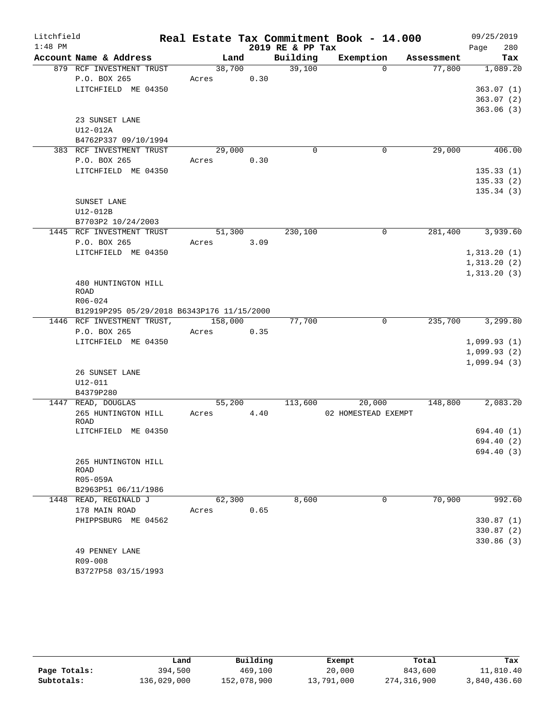| Litchfield |                                            |         |      |                  | Real Estate Tax Commitment Book - 14.000 |            | 09/25/2019                  |
|------------|--------------------------------------------|---------|------|------------------|------------------------------------------|------------|-----------------------------|
| $1:48$ PM  |                                            |         |      | 2019 RE & PP Tax |                                          |            | 280<br>Page                 |
|            | Account Name & Address                     | Land    |      | Building         | Exemption                                | Assessment | Tax                         |
|            | 879 RCF INVESTMENT TRUST                   | 38,700  |      | 39,100           | $\Omega$                                 | 77,800     | 1,089.20                    |
|            | P.O. BOX 265                               | Acres   | 0.30 |                  |                                          |            |                             |
|            | LITCHFIELD ME 04350                        |         |      |                  |                                          |            | 363.07(1)                   |
|            |                                            |         |      |                  |                                          |            | 363.07(2)                   |
|            | 23 SUNSET LANE                             |         |      |                  |                                          |            | 363.06(3)                   |
|            | U12-012A                                   |         |      |                  |                                          |            |                             |
|            | B4762P337 09/10/1994                       |         |      |                  |                                          |            |                             |
|            | 383 RCF INVESTMENT TRUST                   | 29,000  |      | $\Omega$         | 0                                        | 29,000     | 406.00                      |
|            | P.O. BOX 265                               | Acres   | 0.30 |                  |                                          |            |                             |
|            | LITCHFIELD ME 04350                        |         |      |                  |                                          |            | 135.33(1)                   |
|            |                                            |         |      |                  |                                          |            | 135.33(2)                   |
|            |                                            |         |      |                  |                                          |            | 135.34 (3)                  |
|            | SUNSET LANE                                |         |      |                  |                                          |            |                             |
|            | U12-012B                                   |         |      |                  |                                          |            |                             |
|            | B7703P2 10/24/2003                         |         |      |                  |                                          |            |                             |
|            | 1445 RCF INVESTMENT TRUST                  | 51,300  |      | 230,100          | $\Omega$                                 | 281,400    | 3,939.60                    |
|            | P.O. BOX 265                               | Acres   | 3.09 |                  |                                          |            |                             |
|            | LITCHFIELD ME 04350                        |         |      |                  |                                          |            | 1,313.20(1)                 |
|            |                                            |         |      |                  |                                          |            | 1,313.20(2)<br>1, 313.20(3) |
|            | 480 HUNTINGTON HILL                        |         |      |                  |                                          |            |                             |
|            | ROAD                                       |         |      |                  |                                          |            |                             |
|            | R06-024                                    |         |      |                  |                                          |            |                             |
|            | B12919P295 05/29/2018 B6343P176 11/15/2000 |         |      |                  |                                          |            |                             |
|            | 1446 RCF INVESTMENT TRUST,                 | 158,000 |      | 77,700           | 0                                        | 235,700    | 3,299.80                    |
|            | P.O. BOX 265                               | Acres   | 0.35 |                  |                                          |            |                             |
|            | LITCHFIELD ME 04350                        |         |      |                  |                                          |            | 1,099.93(1)                 |
|            |                                            |         |      |                  |                                          |            | 1,099.93(2)                 |
|            |                                            |         |      |                  |                                          |            | 1,099.94(3)                 |
|            | 26 SUNSET LANE<br>$U12 - 011$              |         |      |                  |                                          |            |                             |
|            | B4379P280                                  |         |      |                  |                                          |            |                             |
|            | 1447 READ, DOUGLAS                         | 55,200  |      | 113,600          | 20,000                                   | 148,800    | 2,083.20                    |
|            | 265 HUNTINGTON HILL                        | Acres   | 4.40 |                  | 02 HOMESTEAD EXEMPT                      |            |                             |
|            | ROAD                                       |         |      |                  |                                          |            |                             |
|            | LITCHFIELD ME 04350                        |         |      |                  |                                          |            | 694.40 (1)                  |
|            |                                            |         |      |                  |                                          |            | 694.40 (2)                  |
|            |                                            |         |      |                  |                                          |            | 694.40 (3)                  |
|            | 265 HUNTINGTON HILL<br>ROAD                |         |      |                  |                                          |            |                             |
|            | R05-059A                                   |         |      |                  |                                          |            |                             |
|            | B2963P51 06/11/1986                        |         |      |                  |                                          |            |                             |
|            | 1448 READ, REGINALD J                      | 62,300  |      | 8,600            | 0                                        | 70,900     | 992.60                      |
|            | 178 MAIN ROAD                              | Acres   | 0.65 |                  |                                          |            |                             |
|            | PHIPPSBURG ME 04562                        |         |      |                  |                                          |            | 330.87(1)                   |
|            |                                            |         |      |                  |                                          |            | 330.87(2)                   |
|            |                                            |         |      |                  |                                          |            | 330.86(3)                   |
|            | 49 PENNEY LANE                             |         |      |                  |                                          |            |                             |
|            | R09-008                                    |         |      |                  |                                          |            |                             |
|            | B3727P58 03/15/1993                        |         |      |                  |                                          |            |                             |

|              | Land        | Building    | Exempt     | Total       | Tax          |
|--------------|-------------|-------------|------------|-------------|--------------|
| Page Totals: | 394,500     | 469,100     | 20,000     | 843,600     | 11,810.40    |
| Subtotals:   | 136,029,000 | 152,078,900 | 13,791,000 | 274,316,900 | 3,840,436.60 |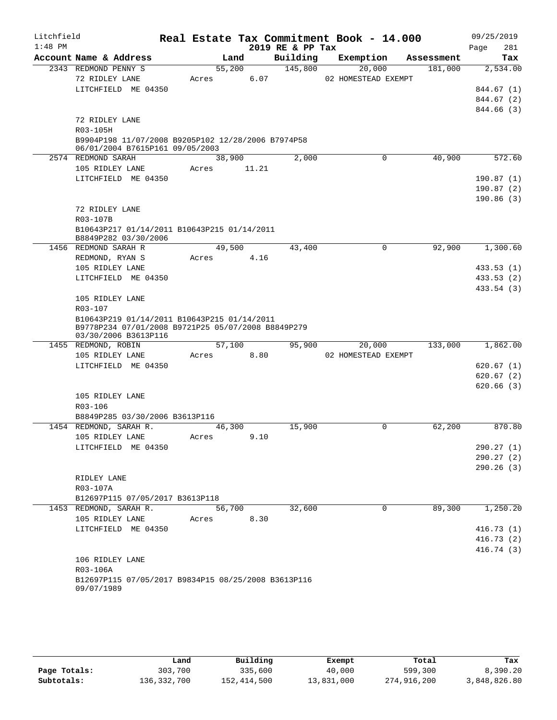| Litchfield |                                                                            |  |        |       |                  | Real Estate Tax Commitment Book - 14.000 |            | 09/25/2019               |  |
|------------|----------------------------------------------------------------------------|--|--------|-------|------------------|------------------------------------------|------------|--------------------------|--|
| $1:48$ PM  |                                                                            |  |        |       | 2019 RE & PP Tax |                                          |            | 281<br>Page              |  |
|            | Account Name & Address                                                     |  | Land   |       | Building         | Exemption                                | Assessment | Tax                      |  |
|            | 2343 REDMOND PENNY S                                                       |  | 55,200 |       | 145,800          | 20,000                                   | 181,000    | 2,534.00                 |  |
|            | 72 RIDLEY LANE<br>LITCHFIELD ME 04350                                      |  | Acres  | 6.07  |                  | 02 HOMESTEAD EXEMPT                      |            |                          |  |
|            |                                                                            |  |        |       |                  |                                          |            | 844.67 (1)<br>844.67 (2) |  |
|            |                                                                            |  |        |       |                  |                                          |            | 844.66 (3)               |  |
|            | 72 RIDLEY LANE                                                             |  |        |       |                  |                                          |            |                          |  |
|            | R03-105H                                                                   |  |        |       |                  |                                          |            |                          |  |
|            | B9904P198 11/07/2008 B9205P102 12/28/2006 B7974P58                         |  |        |       |                  |                                          |            |                          |  |
|            | 06/01/2004 B7615P161 09/05/2003                                            |  |        |       |                  |                                          |            |                          |  |
|            | 2574 REDMOND SARAH                                                         |  | 38,900 |       | 2,000            | 0                                        | 40,900     | 572.60                   |  |
|            | 105 RIDLEY LANE                                                            |  | Acres  | 11.21 |                  |                                          |            |                          |  |
|            | LITCHFIELD ME 04350                                                        |  |        |       |                  |                                          |            | 190.87(1)                |  |
|            |                                                                            |  |        |       |                  |                                          |            | 190.87(2)                |  |
|            |                                                                            |  |        |       |                  |                                          |            | 190.86(3)                |  |
|            | 72 RIDLEY LANE                                                             |  |        |       |                  |                                          |            |                          |  |
|            | R03-107B                                                                   |  |        |       |                  |                                          |            |                          |  |
|            | B10643P217 01/14/2011 B10643P215 01/14/2011<br>B8849P282 03/30/2006        |  |        |       |                  |                                          |            |                          |  |
|            | 1456 REDMOND SARAH R                                                       |  | 49,500 |       | 43,400           | $\mathbf 0$                              | 92,900     | 1,300.60                 |  |
|            | REDMOND, RYAN S                                                            |  | Acres  | 4.16  |                  |                                          |            |                          |  |
|            | 105 RIDLEY LANE                                                            |  |        |       |                  |                                          |            | 433.53(1)                |  |
|            | LITCHFIELD ME 04350                                                        |  |        |       |                  |                                          |            | 433.53 (2)               |  |
|            |                                                                            |  |        |       |                  |                                          |            | 433.54 (3)               |  |
|            | 105 RIDLEY LANE<br>R03-107                                                 |  |        |       |                  |                                          |            |                          |  |
|            | B10643P219 01/14/2011 B10643P215 01/14/2011                                |  |        |       |                  |                                          |            |                          |  |
|            | B9778P234 07/01/2008 B9721P25 05/07/2008 B8849P279<br>03/30/2006 B3613P116 |  |        |       |                  |                                          |            |                          |  |
|            | 1455 REDMOND, ROBIN                                                        |  | 57,100 |       | 95,900           | 20,000                                   | 133,000    | 1,862.00                 |  |
|            | 105 RIDLEY LANE                                                            |  | Acres  | 8.80  |                  | 02 HOMESTEAD EXEMPT                      |            |                          |  |
|            | LITCHFIELD ME 04350                                                        |  |        |       |                  |                                          |            | 620.67(1)                |  |
|            |                                                                            |  |        |       |                  |                                          |            | 620.67(2)                |  |
|            |                                                                            |  |        |       |                  |                                          |            | 620.66(3)                |  |
|            | 105 RIDLEY LANE                                                            |  |        |       |                  |                                          |            |                          |  |
|            | R03-106                                                                    |  |        |       |                  |                                          |            |                          |  |
|            | B8849P285 03/30/2006 B3613P116                                             |  |        |       |                  |                                          |            |                          |  |
|            | 1454 REDMOND, SARAH R.                                                     |  | 46,300 |       | 15,900           | 0                                        | 62,200     | 870.80                   |  |
|            | 105 RIDLEY LANE                                                            |  | Acres  | 9.10  |                  |                                          |            |                          |  |
|            | LITCHFIELD ME 04350                                                        |  |        |       |                  |                                          |            | 290.27(1)                |  |
|            |                                                                            |  |        |       |                  |                                          |            | 290.27(2)                |  |
|            |                                                                            |  |        |       |                  |                                          |            | 290.26(3)                |  |
|            | RIDLEY LANE<br>R03-107A                                                    |  |        |       |                  |                                          |            |                          |  |
|            | B12697P115 07/05/2017 B3613P118                                            |  |        |       |                  |                                          |            |                          |  |
|            | 1453 REDMOND, SARAH R.                                                     |  | 56,700 |       | 32,600           | $\mathbf 0$                              | 89,300     | 1,250.20                 |  |
|            | 105 RIDLEY LANE                                                            |  | Acres  | 8.30  |                  |                                          |            |                          |  |
|            | LITCHFIELD ME 04350                                                        |  |        |       |                  |                                          |            | 416.73(1)                |  |
|            |                                                                            |  |        |       |                  |                                          |            | 416.73(2)                |  |
|            |                                                                            |  |        |       |                  |                                          |            | 416.74(3)                |  |
|            | 106 RIDLEY LANE                                                            |  |        |       |                  |                                          |            |                          |  |
|            | R03-106A                                                                   |  |        |       |                  |                                          |            |                          |  |
|            | B12697P115 07/05/2017 B9834P15 08/25/2008 B3613P116                        |  |        |       |                  |                                          |            |                          |  |
|            | 09/07/1989                                                                 |  |        |       |                  |                                          |            |                          |  |

|              | Land        | Building    | Exempt     | Total       | Tax          |
|--------------|-------------|-------------|------------|-------------|--------------|
| Page Totals: | 303,700     | 335,600     | 40,000     | 599,300     | 8,390.20     |
| Subtotals:   | 136,332,700 | 152,414,500 | 13,831,000 | 274,916,200 | 3,848,826.80 |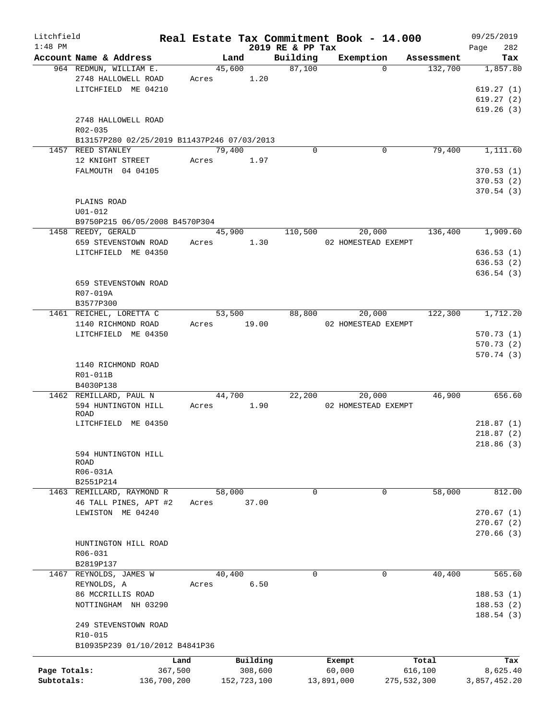| Litchfield   |                                             |             |       |                |             |                    | Real Estate Tax Commitment Book - 14.000 |                     |                       | 09/25/2019      |
|--------------|---------------------------------------------|-------------|-------|----------------|-------------|--------------------|------------------------------------------|---------------------|-----------------------|-----------------|
| $1:48$ PM    | Account Name & Address                      |             |       |                |             | 2019 RE & PP Tax   |                                          |                     |                       | 282<br>Page     |
|              | 964 REDMUN, WILLIAM E.                      |             |       | Land<br>45,600 |             | Building<br>87,100 | Exemption                                | $\Omega$            | Assessment<br>132,700 | Tax<br>1,857.80 |
|              | 2748 HALLOWELL ROAD                         |             | Acres |                | 1.20        |                    |                                          |                     |                       |                 |
|              | LITCHFIELD ME 04210                         |             |       |                |             |                    |                                          |                     |                       | 619.27(1)       |
|              |                                             |             |       |                |             |                    |                                          |                     |                       | 619.27(2)       |
|              |                                             |             |       |                |             |                    |                                          |                     |                       | 619.26(3)       |
|              | 2748 HALLOWELL ROAD                         |             |       |                |             |                    |                                          |                     |                       |                 |
|              | R02-035                                     |             |       |                |             |                    |                                          |                     |                       |                 |
|              | B13157P280 02/25/2019 B11437P246 07/03/2013 |             |       |                |             |                    |                                          |                     |                       |                 |
|              | 1457 REED STANLEY                           |             |       | 79,400         |             | $\Omega$           |                                          | $\mathbf 0$         | 79,400                | 1,111.60        |
|              | 12 KNIGHT STREET                            |             | Acres |                | 1.97        |                    |                                          |                     |                       |                 |
|              |                                             |             |       |                |             |                    |                                          |                     |                       |                 |
|              | FALMOUTH 04 04105                           |             |       |                |             |                    |                                          |                     |                       | 370.53(1)       |
|              |                                             |             |       |                |             |                    |                                          |                     |                       | 370.53(2)       |
|              |                                             |             |       |                |             |                    |                                          |                     |                       | 370.54(3)       |
|              | PLAINS ROAD                                 |             |       |                |             |                    |                                          |                     |                       |                 |
|              | $U01 - 012$                                 |             |       |                |             |                    |                                          |                     |                       |                 |
|              | B9750P215 06/05/2008 B4570P304              |             |       |                |             |                    |                                          |                     |                       |                 |
|              | 1458 REEDY, GERALD                          |             |       | 45,900         |             | 110,500            |                                          | 20,000              | 136,400               | 1,909.60        |
|              | 659 STEVENSTOWN ROAD                        |             | Acres |                | 1.30        |                    |                                          | 02 HOMESTEAD EXEMPT |                       |                 |
|              | LITCHFIELD ME 04350                         |             |       |                |             |                    |                                          |                     |                       | 636.53(1)       |
|              |                                             |             |       |                |             |                    |                                          |                     |                       | 636.53(2)       |
|              |                                             |             |       |                |             |                    |                                          |                     |                       | 636.54(3)       |
|              | 659 STEVENSTOWN ROAD                        |             |       |                |             |                    |                                          |                     |                       |                 |
|              | R07-019A                                    |             |       |                |             |                    |                                          |                     |                       |                 |
|              | B3577P300                                   |             |       |                |             |                    |                                          |                     |                       |                 |
|              | 1461 REICHEL, LORETTA C                     |             |       | 53,500         |             | 88,800             |                                          | 20,000              | 122,300               | 1,712.20        |
|              | 1140 RICHMOND ROAD                          |             | Acres |                | 19.00       |                    |                                          | 02 HOMESTEAD EXEMPT |                       |                 |
|              | LITCHFIELD ME 04350                         |             |       |                |             |                    |                                          |                     |                       | 570.73(1)       |
|              |                                             |             |       |                |             |                    |                                          |                     |                       | 570.73 (2)      |
|              |                                             |             |       |                |             |                    |                                          |                     |                       | 570.74(3)       |
|              | 1140 RICHMOND ROAD                          |             |       |                |             |                    |                                          |                     |                       |                 |
|              | R01-011B                                    |             |       |                |             |                    |                                          |                     |                       |                 |
|              | B4030P138                                   |             |       |                |             |                    |                                          |                     |                       |                 |
|              | 1462 REMILLARD, PAUL N                      |             |       | 44,700         |             | 22,200             |                                          | 20,000              | 46,900                | 656.60          |
|              | 594 HUNTINGTON HILL                         |             | Acres |                | 1.90        |                    |                                          | 02 HOMESTEAD EXEMPT |                       |                 |
|              | ROAD                                        |             |       |                |             |                    |                                          |                     |                       |                 |
|              | LITCHFIELD ME 04350                         |             |       |                |             |                    |                                          |                     |                       | 218.87(1)       |
|              |                                             |             |       |                |             |                    |                                          |                     |                       | 218.87(2)       |
|              |                                             |             |       |                |             |                    |                                          |                     |                       | 218.86(3)       |
|              | 594 HUNTINGTON HILL                         |             |       |                |             |                    |                                          |                     |                       |                 |
|              | ROAD                                        |             |       |                |             |                    |                                          |                     |                       |                 |
|              | R06-031A                                    |             |       |                |             |                    |                                          |                     |                       |                 |
|              | B2551P214                                   |             |       |                |             |                    |                                          |                     |                       |                 |
|              | 1463 REMILLARD, RAYMOND R                   |             |       | 58,000         |             | 0                  |                                          | 0                   | 58,000                | 812.00          |
|              | 46 TALL PINES, APT #2                       |             | Acres |                | 37.00       |                    |                                          |                     |                       |                 |
|              | LEWISTON ME 04240                           |             |       |                |             |                    |                                          |                     |                       | 270.67(1)       |
|              |                                             |             |       |                |             |                    |                                          |                     |                       | 270.67(2)       |
|              |                                             |             |       |                |             |                    |                                          |                     |                       | 270.66(3)       |
|              | HUNTINGTON HILL ROAD                        |             |       |                |             |                    |                                          |                     |                       |                 |
|              | R06-031                                     |             |       |                |             |                    |                                          |                     |                       |                 |
|              | B2819P137                                   |             |       |                |             |                    |                                          |                     |                       |                 |
|              | 1467 REYNOLDS, JAMES W                      |             |       | 40,400         |             | 0                  |                                          | 0                   | 40,400                | 565.60          |
|              |                                             |             |       |                |             |                    |                                          |                     |                       |                 |
|              | REYNOLDS, A                                 |             | Acres |                | 6.50        |                    |                                          |                     |                       |                 |
|              | 86 MCCRILLIS ROAD                           |             |       |                |             |                    |                                          |                     |                       | 188.53(1)       |
|              | NOTTINGHAM NH 03290                         |             |       |                |             |                    |                                          |                     |                       | 188.53(2)       |
|              |                                             |             |       |                |             |                    |                                          |                     |                       | 188.54 (3)      |
|              | 249 STEVENSTOWN ROAD                        |             |       |                |             |                    |                                          |                     |                       |                 |
|              | R10-015                                     |             |       |                |             |                    |                                          |                     |                       |                 |
|              | B10935P239 01/10/2012 B4841P36              |             |       |                |             |                    |                                          |                     |                       |                 |
|              |                                             | Land        |       |                | Building    |                    | Exempt                                   |                     | Total                 | Tax             |
| Page Totals: |                                             | 367,500     |       |                | 308,600     |                    | 60,000                                   |                     | 616,100               | 8,625.40        |
| Subtotals:   |                                             | 136,700,200 |       |                | 152,723,100 |                    | 13,891,000                               |                     | 275,532,300           | 3,857,452.20    |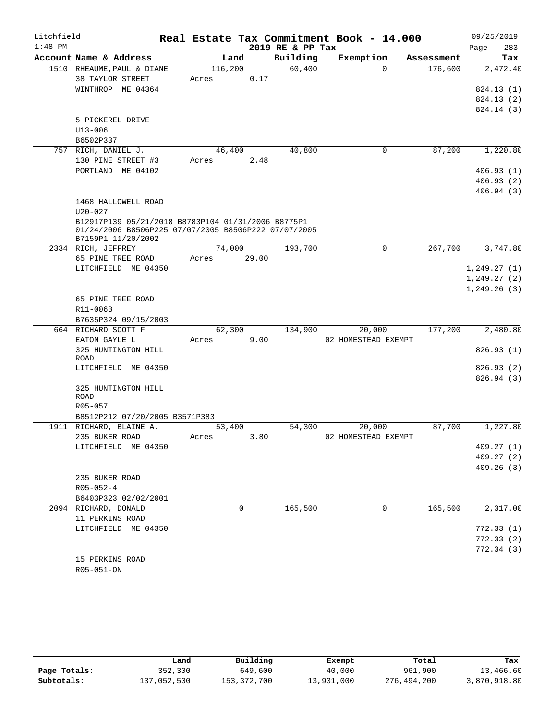| Litchfield |                                                                                                                                  |         |       |                  | Real Estate Tax Commitment Book - 14.000 |            | 09/25/2019   |
|------------|----------------------------------------------------------------------------------------------------------------------------------|---------|-------|------------------|------------------------------------------|------------|--------------|
| $1:48$ PM  |                                                                                                                                  |         |       | 2019 RE & PP Tax |                                          |            | 283<br>Page  |
|            | Account Name & Address                                                                                                           | Land    |       | Building         | Exemption                                | Assessment | Tax          |
|            | 1510 RHEAUME, PAUL & DIANE                                                                                                       | 116,200 |       | 60,400           | $\Omega$                                 | 176,600    | 2,472.40     |
|            | 38 TAYLOR STREET                                                                                                                 | Acres   | 0.17  |                  |                                          |            |              |
|            | WINTHROP ME 04364                                                                                                                |         |       |                  |                                          |            | 824.13 (1)   |
|            |                                                                                                                                  |         |       |                  |                                          |            | 824.13 (2)   |
|            |                                                                                                                                  |         |       |                  |                                          |            | 824.14 (3)   |
|            | 5 PICKEREL DRIVE                                                                                                                 |         |       |                  |                                          |            |              |
|            | $U13 - 006$                                                                                                                      |         |       |                  |                                          |            |              |
|            | B6502P337                                                                                                                        |         |       |                  |                                          |            |              |
|            | 757 RICH, DANIEL J.                                                                                                              | 46,400  |       | 40,800           | 0                                        | 87,200     | 1,220.80     |
|            | 130 PINE STREET #3                                                                                                               | Acres   | 2.48  |                  |                                          |            |              |
|            | PORTLAND ME 04102                                                                                                                |         |       |                  |                                          |            | 406.93(1)    |
|            |                                                                                                                                  |         |       |                  |                                          |            | 406.93 (2)   |
|            |                                                                                                                                  |         |       |                  |                                          |            | 406.94(3)    |
|            | 1468 HALLOWELL ROAD                                                                                                              |         |       |                  |                                          |            |              |
|            | $U20 - 027$                                                                                                                      |         |       |                  |                                          |            |              |
|            | B12917P139 05/21/2018 B8783P104 01/31/2006 B8775P1<br>01/24/2006 B8506P225 07/07/2005 B8506P222 07/07/2005<br>B7159P1 11/20/2002 |         |       |                  |                                          |            |              |
|            | 2334 RICH, JEFFREY                                                                                                               | 74,000  |       | 193,700          | 0                                        | 267,700    | 3,747.80     |
|            | 65 PINE TREE ROAD                                                                                                                | Acres   | 29.00 |                  |                                          |            |              |
|            | LITCHFIELD ME 04350                                                                                                              |         |       |                  |                                          |            | 1,249.27(1)  |
|            |                                                                                                                                  |         |       |                  |                                          |            | 1,249.27(2)  |
|            |                                                                                                                                  |         |       |                  |                                          |            | 1, 249.26(3) |
|            | 65 PINE TREE ROAD                                                                                                                |         |       |                  |                                          |            |              |
|            | R11-006B                                                                                                                         |         |       |                  |                                          |            |              |
|            | B7635P324 09/15/2003                                                                                                             |         |       |                  |                                          |            |              |
|            | 664 RICHARD SCOTT F                                                                                                              | 62,300  |       | 134,900          | 20,000                                   | 177,200    | 2,480.80     |
|            | EATON GAYLE L                                                                                                                    | Acres   | 9.00  |                  | 02 HOMESTEAD EXEMPT                      |            |              |
|            | 325 HUNTINGTON HILL                                                                                                              |         |       |                  |                                          |            | 826.93(1)    |
|            | ROAD<br>LITCHFIELD ME 04350                                                                                                      |         |       |                  |                                          |            | 826.93(2)    |
|            |                                                                                                                                  |         |       |                  |                                          |            | 826.94(3)    |
|            | 325 HUNTINGTON HILL                                                                                                              |         |       |                  |                                          |            |              |
|            | <b>ROAD</b>                                                                                                                      |         |       |                  |                                          |            |              |
|            | $R05 - 057$                                                                                                                      |         |       |                  |                                          |            |              |
|            | B8512P212 07/20/2005 B3571P383                                                                                                   |         |       |                  |                                          |            |              |
|            | 1911 RICHARD, BLAINE A.                                                                                                          | 53,400  |       | 54,300           | 20,000                                   | 87,700     | 1,227.80     |
|            | 235 BUKER ROAD                                                                                                                   | Acres   | 3.80  |                  | 02 HOMESTEAD EXEMPT                      |            |              |
|            | LITCHFIELD ME 04350                                                                                                              |         |       |                  |                                          |            | 409.27(1)    |
|            |                                                                                                                                  |         |       |                  |                                          |            | 409.27 (2)   |
|            |                                                                                                                                  |         |       |                  |                                          |            | 409.26(3)    |
|            | 235 BUKER ROAD                                                                                                                   |         |       |                  |                                          |            |              |
|            | $R05 - 052 - 4$                                                                                                                  |         |       |                  |                                          |            |              |
|            | B6403P323 02/02/2001                                                                                                             |         |       |                  |                                          |            |              |
|            | 2094 RICHARD, DONALD                                                                                                             | 0       |       | 165,500          | 0                                        | 165,500    | 2,317.00     |
|            | 11 PERKINS ROAD                                                                                                                  |         |       |                  |                                          |            |              |
|            | LITCHFIELD ME 04350                                                                                                              |         |       |                  |                                          |            | 772.33(1)    |
|            |                                                                                                                                  |         |       |                  |                                          |            | 772.33(2)    |
|            |                                                                                                                                  |         |       |                  |                                          |            | 772.34(3)    |
|            | 15 PERKINS ROAD                                                                                                                  |         |       |                  |                                          |            |              |
|            | R05-051-ON                                                                                                                       |         |       |                  |                                          |            |              |

|              | Land        | Building    | Exempt     | Total       | Tax          |
|--------------|-------------|-------------|------------|-------------|--------------|
| Page Totals: | 352,300     | 649,600     | 40,000     | 961,900     | 13,466.60    |
| Subtotals:   | 137,052,500 | 153,372,700 | 13,931,000 | 276,494,200 | 3,870,918.80 |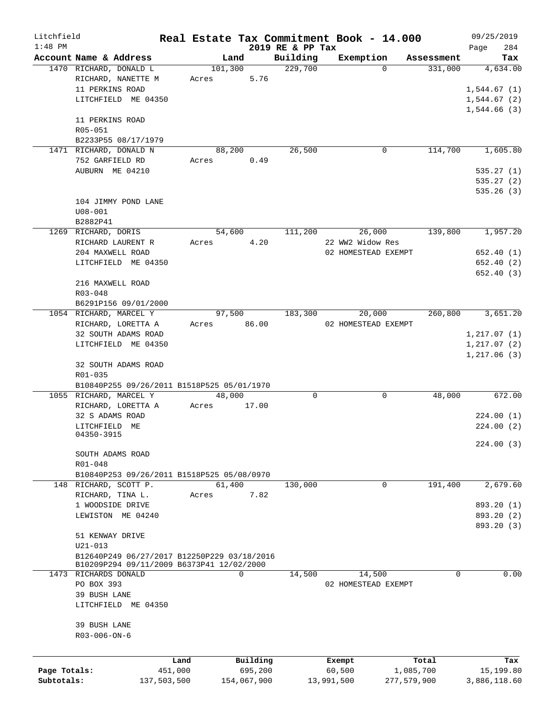| Litchfield   |                                                                                          |             |       |                 |                  | Real Estate Tax Commitment Book - 14.000 |                     | 09/25/2019                 |
|--------------|------------------------------------------------------------------------------------------|-------------|-------|-----------------|------------------|------------------------------------------|---------------------|----------------------------|
| $1:48$ PM    |                                                                                          |             |       |                 | 2019 RE & PP Tax |                                          |                     | 284<br>Page                |
|              | Account Name & Address                                                                   |             |       | Land            | Building         | Exemption                                | Assessment          | Tax                        |
|              | 1470 RICHARD, DONALD L                                                                   |             | Acres | 101,300<br>5.76 | 229,700          |                                          | $\Omega$<br>331,000 | 4,634.00                   |
|              | RICHARD, NANETTE M<br>11 PERKINS ROAD                                                    |             |       |                 |                  |                                          |                     |                            |
|              | LITCHFIELD ME 04350                                                                      |             |       |                 |                  |                                          |                     | 1,544.67(1)<br>1,544.67(2) |
|              |                                                                                          |             |       |                 |                  |                                          |                     | 1,544.66(3)                |
|              | 11 PERKINS ROAD                                                                          |             |       |                 |                  |                                          |                     |                            |
|              | R05-051                                                                                  |             |       |                 |                  |                                          |                     |                            |
|              | B2233P55 08/17/1979                                                                      |             |       |                 |                  |                                          |                     |                            |
|              | 1471 RICHARD, DONALD N                                                                   |             |       | 88,200          | 26,500           |                                          | 114,700<br>0        | 1,605.80                   |
|              | 752 GARFIELD RD                                                                          |             | Acres | 0.49            |                  |                                          |                     |                            |
|              | AUBURN ME 04210                                                                          |             |       |                 |                  |                                          |                     | 535.27(1)                  |
|              |                                                                                          |             |       |                 |                  |                                          |                     | 535.27(2)                  |
|              |                                                                                          |             |       |                 |                  |                                          |                     | 535.26(3)                  |
|              | 104 JIMMY POND LANE                                                                      |             |       |                 |                  |                                          |                     |                            |
|              | $U08 - 001$                                                                              |             |       |                 |                  |                                          |                     |                            |
|              | B2882P41                                                                                 |             |       |                 |                  |                                          |                     |                            |
|              | 1269 RICHARD, DORIS                                                                      |             |       | 54,600          | 111,200          | 26,000                                   | 139,800             | 1,957.20                   |
|              | RICHARD LAURENT R                                                                        |             | Acres | 4.20            |                  | 22 WW2 Widow Res                         |                     |                            |
|              | 204 MAXWELL ROAD                                                                         |             |       |                 |                  | 02 HOMESTEAD EXEMPT                      |                     | 652.40 (1)                 |
|              | LITCHFIELD ME 04350                                                                      |             |       |                 |                  |                                          |                     | 652.40 (2)                 |
|              |                                                                                          |             |       |                 |                  |                                          |                     | 652.40 (3)                 |
|              | 216 MAXWELL ROAD                                                                         |             |       |                 |                  |                                          |                     |                            |
|              | R03-048                                                                                  |             |       |                 |                  |                                          |                     |                            |
|              | B6291P156 09/01/2000                                                                     |             |       |                 |                  |                                          |                     |                            |
|              | 1054 RICHARD, MARCEL Y                                                                   |             |       | 97,500          | 183,300          | 20,000                                   | 260,800             | 3,651.20                   |
|              | RICHARD, LORETTA A                                                                       |             |       | Acres 86.00     |                  | 02 HOMESTEAD EXEMPT                      |                     |                            |
|              | 32 SOUTH ADAMS ROAD                                                                      |             |       |                 |                  |                                          |                     | 1, 217.07(1)               |
|              | LITCHFIELD ME 04350                                                                      |             |       |                 |                  |                                          |                     | 1, 217.07(2)               |
|              |                                                                                          |             |       |                 |                  |                                          |                     | 1, 217.06(3)               |
|              | 32 SOUTH ADAMS ROAD                                                                      |             |       |                 |                  |                                          |                     |                            |
|              | R01-035                                                                                  |             |       |                 |                  |                                          |                     |                            |
|              | B10840P255 09/26/2011 B1518P525 05/01/1970                                               |             |       |                 |                  |                                          |                     |                            |
|              | 1055 RICHARD, MARCEL Y                                                                   |             |       | 48,000          | 0                |                                          | 48,000<br>0         | 672.00                     |
|              | RICHARD, LORETTA A                                                                       |             | Acres | 17.00           |                  |                                          |                     |                            |
|              | 32 S ADAMS ROAD                                                                          |             |       |                 |                  |                                          |                     | 224.00(1)                  |
|              | LITCHFIELD ME                                                                            |             |       |                 |                  |                                          |                     | 224.00 (2)                 |
|              | 04350-3915                                                                               |             |       |                 |                  |                                          |                     |                            |
|              |                                                                                          |             |       |                 |                  |                                          |                     | 224.00(3)                  |
|              | SOUTH ADAMS ROAD                                                                         |             |       |                 |                  |                                          |                     |                            |
|              | R01-048                                                                                  |             |       |                 |                  |                                          |                     |                            |
|              | B10840P253 09/26/2011 B1518P525 05/08/0970                                               |             |       |                 |                  |                                          |                     |                            |
|              | 148 RICHARD, SCOTT P.                                                                    |             |       | 61,400          | 130,000          |                                          | 0<br>191,400        | 2,679.60                   |
|              | RICHARD, TINA L.                                                                         |             | Acres | 7.82            |                  |                                          |                     |                            |
|              | 1 WOODSIDE DRIVE                                                                         |             |       |                 |                  |                                          |                     | 893.20 (1)                 |
|              | LEWISTON ME 04240                                                                        |             |       |                 |                  |                                          |                     | 893.20 (2)                 |
|              |                                                                                          |             |       |                 |                  |                                          |                     | 893.20 (3)                 |
|              | 51 KENWAY DRIVE                                                                          |             |       |                 |                  |                                          |                     |                            |
|              | $U21 - 013$                                                                              |             |       |                 |                  |                                          |                     |                            |
|              | B12640P249 06/27/2017 B12250P229 03/18/2016<br>B10209P294 09/11/2009 B6373P41 12/02/2000 |             |       |                 |                  |                                          |                     |                            |
|              | 1473 RICHARDS DONALD                                                                     |             |       | 0               | 14,500           | 14,500                                   | 0                   | 0.00                       |
|              | PO BOX 393                                                                               |             |       |                 |                  | 02 HOMESTEAD EXEMPT                      |                     |                            |
|              | 39 BUSH LANE                                                                             |             |       |                 |                  |                                          |                     |                            |
|              | LITCHFIELD ME 04350                                                                      |             |       |                 |                  |                                          |                     |                            |
|              |                                                                                          |             |       |                 |                  |                                          |                     |                            |
|              | 39 BUSH LANE                                                                             |             |       |                 |                  |                                          |                     |                            |
|              | $R03 - 006 - ON - 6$                                                                     |             |       |                 |                  |                                          |                     |                            |
|              |                                                                                          |             |       |                 |                  |                                          |                     |                            |
|              |                                                                                          | Land        |       | Building        |                  |                                          |                     |                            |
| Page Totals: |                                                                                          | 451,000     |       | 695,200         |                  | Exempt<br>60,500                         | Total<br>1,085,700  | Tax<br>15,199.80           |
| Subtotals:   |                                                                                          | 137,503,500 |       | 154,067,900     |                  | 13,991,500                               | 277,579,900         | 3,886,118.60               |
|              |                                                                                          |             |       |                 |                  |                                          |                     |                            |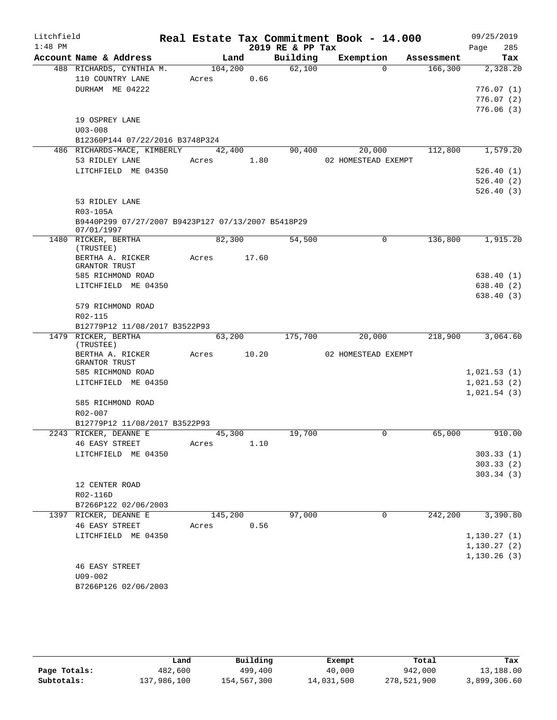| Litchfield |                                                    |       |             |       | Real Estate Tax Commitment Book - 14.000 |                     |             |            | 09/25/2019   |     |
|------------|----------------------------------------------------|-------|-------------|-------|------------------------------------------|---------------------|-------------|------------|--------------|-----|
| $1:48$ PM  |                                                    |       |             |       | 2019 RE & PP Tax                         |                     |             |            | Page         | 285 |
|            | Account Name & Address                             |       | Land        |       | Building                                 | Exemption           |             | Assessment |              | Tax |
|            | 488 RICHARDS, CYNTHIA M.                           |       | 104,200     |       | 62,100                                   |                     | $\Omega$    | 166,300    | 2,328.20     |     |
|            | 110 COUNTRY LANE                                   |       | Acres 0.66  |       |                                          |                     |             |            |              |     |
|            | DURHAM ME 04222                                    |       |             |       |                                          |                     |             |            | 776.07(1)    |     |
|            |                                                    |       |             |       |                                          |                     |             |            | 776.07(2)    |     |
|            | 19 OSPREY LANE                                     |       |             |       |                                          |                     |             |            | 776.06(3)    |     |
|            | $U03 - 008$                                        |       |             |       |                                          |                     |             |            |              |     |
|            | B12360P144 07/22/2016 B3748P324                    |       |             |       |                                          |                     |             |            |              |     |
|            | 486 RICHARDS-MACE, KIMBERLY                        |       | 42,400      |       | 90,400                                   |                     | 20,000      | 112,800    | 1,579.20     |     |
|            | 53 RIDLEY LANE                                     |       | Acres 1.80  |       |                                          | 02 HOMESTEAD EXEMPT |             |            |              |     |
|            | LITCHFIELD ME 04350                                |       |             |       |                                          |                     |             |            | 526.40(1)    |     |
|            |                                                    |       |             |       |                                          |                     |             |            | 526.40(2)    |     |
|            |                                                    |       |             |       |                                          |                     |             |            | 526.40(3)    |     |
|            | 53 RIDLEY LANE                                     |       |             |       |                                          |                     |             |            |              |     |
|            | R03-105A                                           |       |             |       |                                          |                     |             |            |              |     |
|            | B9440P299 07/27/2007 B9423P127 07/13/2007 B5418P29 |       |             |       |                                          |                     |             |            |              |     |
|            | 07/01/1997                                         |       |             |       |                                          |                     |             |            |              |     |
|            | 1480 RICKER, BERTHA<br>(TRUSTEE)                   |       | 82,300      |       | 54,500                                   |                     | $\mathbf 0$ | 136,800    | 1,915.20     |     |
|            | BERTHA A. RICKER                                   |       | Acres 17.60 |       |                                          |                     |             |            |              |     |
|            | GRANTOR TRUST                                      |       |             |       |                                          |                     |             |            |              |     |
|            | 585 RICHMOND ROAD                                  |       |             |       |                                          |                     |             |            | 638.40(1)    |     |
|            | LITCHFIELD ME 04350                                |       |             |       |                                          |                     |             |            | 638.40(2)    |     |
|            |                                                    |       |             |       |                                          |                     |             |            | 638.40(3)    |     |
|            | 579 RICHMOND ROAD                                  |       |             |       |                                          |                     |             |            |              |     |
|            | R02-115                                            |       |             |       |                                          |                     |             |            |              |     |
|            | B12779P12 11/08/2017 B3522P93                      |       |             |       |                                          |                     |             |            |              |     |
|            | 1479 RICKER, BERTHA<br>(TRUSTEE)                   |       | 63,200      |       | 175,700                                  |                     | 20,000      | 218,900    | 3,064.60     |     |
|            | BERTHA A. RICKER                                   | Acres |             | 10.20 |                                          | 02 HOMESTEAD EXEMPT |             |            |              |     |
|            | GRANTOR TRUST                                      |       |             |       |                                          |                     |             |            |              |     |
|            | 585 RICHMOND ROAD                                  |       |             |       |                                          |                     |             |            | 1,021.53(1)  |     |
|            | LITCHFIELD ME 04350                                |       |             |       |                                          |                     |             |            | 1,021.53(2)  |     |
|            |                                                    |       |             |       |                                          |                     |             |            | 1,021.54(3)  |     |
|            | 585 RICHMOND ROAD                                  |       |             |       |                                          |                     |             |            |              |     |
|            | $R02 - 007$                                        |       |             |       |                                          |                     |             |            |              |     |
|            | B12779P12 11/08/2017 B3522P93                      |       |             |       |                                          |                     |             |            | 910.00       |     |
|            | 2243 RICKER, DEANNE E                              |       | 45,300      |       | 19,700                                   |                     | 0           | 65,000     |              |     |
|            | 46 EASY STREET<br>LITCHFIELD ME 04350              | Acres |             | 1.10  |                                          |                     |             |            | 303.33(1)    |     |
|            |                                                    |       |             |       |                                          |                     |             |            | 303.33(2)    |     |
|            |                                                    |       |             |       |                                          |                     |             |            | 303.34(3)    |     |
|            | 12 CENTER ROAD                                     |       |             |       |                                          |                     |             |            |              |     |
|            | R02-116D                                           |       |             |       |                                          |                     |             |            |              |     |
|            | B7266P122 02/06/2003                               |       |             |       |                                          |                     |             |            |              |     |
|            | 1397 RICKER, DEANNE E                              |       | 145,200     |       | 97,000                                   |                     | 0           | 242,200    | 3,390.80     |     |
|            | <b>46 EASY STREET</b>                              | Acres |             | 0.56  |                                          |                     |             |            |              |     |
|            | LITCHFIELD ME 04350                                |       |             |       |                                          |                     |             |            | 1, 130.27(1) |     |
|            |                                                    |       |             |       |                                          |                     |             |            | 1, 130.27(2) |     |
|            |                                                    |       |             |       |                                          |                     |             |            | 1, 130.26(3) |     |
|            | <b>46 EASY STREET</b>                              |       |             |       |                                          |                     |             |            |              |     |
|            | $U09 - 002$                                        |       |             |       |                                          |                     |             |            |              |     |
|            | B7266P126 02/06/2003                               |       |             |       |                                          |                     |             |            |              |     |

|              | Land        | Building    | Exempt     | Total       | Tax          |
|--------------|-------------|-------------|------------|-------------|--------------|
| Page Totals: | 482,600     | 499,400     | 40,000     | 942,000     | 13,188.00    |
| Subtotals:   | 137,986,100 | 154,567,300 | 14,031,500 | 278,521,900 | 3,899,306.60 |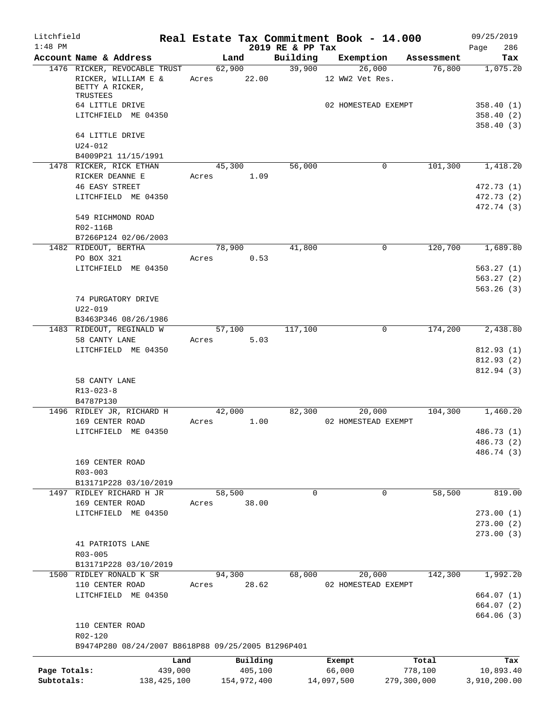| 2019 RE & PP Tax<br>Account Name & Address<br>Building<br>Exemption<br>Land<br>Tax<br>Assessment<br>62,900<br>39,900<br>26,000<br>76,800<br>1476 RICKER, REVOCABLE TRUST<br>1,075.20<br>22.00<br>RICKER, WILLIAM E &<br>Acres<br>12 WW2 Vet Res.<br>BETTY A RICKER,<br>TRUSTEES<br>64 LITTLE DRIVE<br>02 HOMESTEAD EXEMPT<br>LITCHFIELD ME 04350<br>64 LITTLE DRIVE<br>$U24 - 012$<br>B4009P21 11/15/1991<br>1478 RICKER, RICK ETHAN<br>56,000<br>101,300<br>45,300<br>0<br>RICKER DEANNE E<br>1.09<br>Acres<br><b>46 EASY STREET</b><br>472.73 (1)<br>LITCHFIELD ME 04350<br>472.73 (2)<br>472.74 (3)<br>549 RICHMOND ROAD<br>R02-116B<br>B7266P124 02/06/2003<br>41,800<br>120,700<br>1,689.80<br>1482 RIDEOUT, BERTHA<br>78,900<br>0<br>PO BOX 321<br>Acres<br>0.53<br>LITCHFIELD ME 04350<br>563.26(3)<br>74 PURGATORY DRIVE<br>$U22 - 019$<br>B3463P346 08/26/1986<br>2,438.80<br>1483 RIDEOUT, REGINALD W<br>117,100<br>0<br>174,200<br>57,100<br>58 CANTY LANE<br>5.03<br>Acres<br>LITCHFIELD ME 04350<br>812.93(1)<br>58 CANTY LANE<br>$R13 - 023 - 8$<br>B4787P130<br>104,300<br>1,460.20<br>1496 RIDLEY JR, RICHARD H<br>42,000<br>82,300<br>20,000<br>169 CENTER ROAD<br>1.00<br>02 HOMESTEAD EXEMPT<br>Acres<br>LITCHFIELD ME 04350<br>169 CENTER ROAD<br>$R03 - 003$<br>B13171P228 03/10/2019<br>1497 RIDLEY RICHARD H JR<br>58,500<br>58,500<br>$\mathbf 0$<br>0<br>169 CENTER ROAD<br>38.00<br>Acres<br>LITCHFIELD ME 04350<br>273.00(2)<br>273.00(3)<br>41 PATRIOTS LANE<br>R03-005<br>B13171P228 03/10/2019<br>1500 RIDLEY RONALD K SR<br>94,300<br>68,000<br>20,000<br>142,300<br>110 CENTER ROAD<br>28.62<br>Acres<br>02 HOMESTEAD EXEMPT<br>LITCHFIELD ME 04350<br>664.07(1)<br>664.07 (2)<br>110 CENTER ROAD<br>R02-120<br>B9474P280 08/24/2007 B8618P88 09/25/2005 B1296P401<br>Building<br>Total<br>Land<br>Exempt<br>Page Totals:<br>439,000<br>405,100<br>66,000<br>778,100<br>10,893.40<br>Subtotals:<br>138, 425, 100<br>154,972,400<br>14,097,500<br>279,300,000 | Litchfield |  |  | Real Estate Tax Commitment Book - 14.000 | 09/25/2019   |
|----------------------------------------------------------------------------------------------------------------------------------------------------------------------------------------------------------------------------------------------------------------------------------------------------------------------------------------------------------------------------------------------------------------------------------------------------------------------------------------------------------------------------------------------------------------------------------------------------------------------------------------------------------------------------------------------------------------------------------------------------------------------------------------------------------------------------------------------------------------------------------------------------------------------------------------------------------------------------------------------------------------------------------------------------------------------------------------------------------------------------------------------------------------------------------------------------------------------------------------------------------------------------------------------------------------------------------------------------------------------------------------------------------------------------------------------------------------------------------------------------------------------------------------------------------------------------------------------------------------------------------------------------------------------------------------------------------------------------------------------------------------------------------------------------------------------------------------------------------------------------------------------------------------------------------------------------------------------------------------------|------------|--|--|------------------------------------------|--------------|
|                                                                                                                                                                                                                                                                                                                                                                                                                                                                                                                                                                                                                                                                                                                                                                                                                                                                                                                                                                                                                                                                                                                                                                                                                                                                                                                                                                                                                                                                                                                                                                                                                                                                                                                                                                                                                                                                                                                                                                                              | $1:48$ PM  |  |  |                                          | 286<br>Page  |
|                                                                                                                                                                                                                                                                                                                                                                                                                                                                                                                                                                                                                                                                                                                                                                                                                                                                                                                                                                                                                                                                                                                                                                                                                                                                                                                                                                                                                                                                                                                                                                                                                                                                                                                                                                                                                                                                                                                                                                                              |            |  |  |                                          |              |
|                                                                                                                                                                                                                                                                                                                                                                                                                                                                                                                                                                                                                                                                                                                                                                                                                                                                                                                                                                                                                                                                                                                                                                                                                                                                                                                                                                                                                                                                                                                                                                                                                                                                                                                                                                                                                                                                                                                                                                                              |            |  |  |                                          |              |
|                                                                                                                                                                                                                                                                                                                                                                                                                                                                                                                                                                                                                                                                                                                                                                                                                                                                                                                                                                                                                                                                                                                                                                                                                                                                                                                                                                                                                                                                                                                                                                                                                                                                                                                                                                                                                                                                                                                                                                                              |            |  |  |                                          | 358.40(1)    |
|                                                                                                                                                                                                                                                                                                                                                                                                                                                                                                                                                                                                                                                                                                                                                                                                                                                                                                                                                                                                                                                                                                                                                                                                                                                                                                                                                                                                                                                                                                                                                                                                                                                                                                                                                                                                                                                                                                                                                                                              |            |  |  |                                          | 358.40(2)    |
|                                                                                                                                                                                                                                                                                                                                                                                                                                                                                                                                                                                                                                                                                                                                                                                                                                                                                                                                                                                                                                                                                                                                                                                                                                                                                                                                                                                                                                                                                                                                                                                                                                                                                                                                                                                                                                                                                                                                                                                              |            |  |  |                                          | 358.40(3)    |
|                                                                                                                                                                                                                                                                                                                                                                                                                                                                                                                                                                                                                                                                                                                                                                                                                                                                                                                                                                                                                                                                                                                                                                                                                                                                                                                                                                                                                                                                                                                                                                                                                                                                                                                                                                                                                                                                                                                                                                                              |            |  |  |                                          |              |
|                                                                                                                                                                                                                                                                                                                                                                                                                                                                                                                                                                                                                                                                                                                                                                                                                                                                                                                                                                                                                                                                                                                                                                                                                                                                                                                                                                                                                                                                                                                                                                                                                                                                                                                                                                                                                                                                                                                                                                                              |            |  |  |                                          | 1,418.20     |
|                                                                                                                                                                                                                                                                                                                                                                                                                                                                                                                                                                                                                                                                                                                                                                                                                                                                                                                                                                                                                                                                                                                                                                                                                                                                                                                                                                                                                                                                                                                                                                                                                                                                                                                                                                                                                                                                                                                                                                                              |            |  |  |                                          |              |
|                                                                                                                                                                                                                                                                                                                                                                                                                                                                                                                                                                                                                                                                                                                                                                                                                                                                                                                                                                                                                                                                                                                                                                                                                                                                                                                                                                                                                                                                                                                                                                                                                                                                                                                                                                                                                                                                                                                                                                                              |            |  |  |                                          |              |
|                                                                                                                                                                                                                                                                                                                                                                                                                                                                                                                                                                                                                                                                                                                                                                                                                                                                                                                                                                                                                                                                                                                                                                                                                                                                                                                                                                                                                                                                                                                                                                                                                                                                                                                                                                                                                                                                                                                                                                                              |            |  |  |                                          |              |
|                                                                                                                                                                                                                                                                                                                                                                                                                                                                                                                                                                                                                                                                                                                                                                                                                                                                                                                                                                                                                                                                                                                                                                                                                                                                                                                                                                                                                                                                                                                                                                                                                                                                                                                                                                                                                                                                                                                                                                                              |            |  |  |                                          |              |
|                                                                                                                                                                                                                                                                                                                                                                                                                                                                                                                                                                                                                                                                                                                                                                                                                                                                                                                                                                                                                                                                                                                                                                                                                                                                                                                                                                                                                                                                                                                                                                                                                                                                                                                                                                                                                                                                                                                                                                                              |            |  |  |                                          |              |
|                                                                                                                                                                                                                                                                                                                                                                                                                                                                                                                                                                                                                                                                                                                                                                                                                                                                                                                                                                                                                                                                                                                                                                                                                                                                                                                                                                                                                                                                                                                                                                                                                                                                                                                                                                                                                                                                                                                                                                                              |            |  |  |                                          |              |
|                                                                                                                                                                                                                                                                                                                                                                                                                                                                                                                                                                                                                                                                                                                                                                                                                                                                                                                                                                                                                                                                                                                                                                                                                                                                                                                                                                                                                                                                                                                                                                                                                                                                                                                                                                                                                                                                                                                                                                                              |            |  |  |                                          | 563.27(1)    |
|                                                                                                                                                                                                                                                                                                                                                                                                                                                                                                                                                                                                                                                                                                                                                                                                                                                                                                                                                                                                                                                                                                                                                                                                                                                                                                                                                                                                                                                                                                                                                                                                                                                                                                                                                                                                                                                                                                                                                                                              |            |  |  |                                          | 563.27(2)    |
|                                                                                                                                                                                                                                                                                                                                                                                                                                                                                                                                                                                                                                                                                                                                                                                                                                                                                                                                                                                                                                                                                                                                                                                                                                                                                                                                                                                                                                                                                                                                                                                                                                                                                                                                                                                                                                                                                                                                                                                              |            |  |  |                                          |              |
|                                                                                                                                                                                                                                                                                                                                                                                                                                                                                                                                                                                                                                                                                                                                                                                                                                                                                                                                                                                                                                                                                                                                                                                                                                                                                                                                                                                                                                                                                                                                                                                                                                                                                                                                                                                                                                                                                                                                                                                              |            |  |  |                                          |              |
|                                                                                                                                                                                                                                                                                                                                                                                                                                                                                                                                                                                                                                                                                                                                                                                                                                                                                                                                                                                                                                                                                                                                                                                                                                                                                                                                                                                                                                                                                                                                                                                                                                                                                                                                                                                                                                                                                                                                                                                              |            |  |  |                                          |              |
|                                                                                                                                                                                                                                                                                                                                                                                                                                                                                                                                                                                                                                                                                                                                                                                                                                                                                                                                                                                                                                                                                                                                                                                                                                                                                                                                                                                                                                                                                                                                                                                                                                                                                                                                                                                                                                                                                                                                                                                              |            |  |  |                                          |              |
|                                                                                                                                                                                                                                                                                                                                                                                                                                                                                                                                                                                                                                                                                                                                                                                                                                                                                                                                                                                                                                                                                                                                                                                                                                                                                                                                                                                                                                                                                                                                                                                                                                                                                                                                                                                                                                                                                                                                                                                              |            |  |  |                                          | 812.93(2)    |
|                                                                                                                                                                                                                                                                                                                                                                                                                                                                                                                                                                                                                                                                                                                                                                                                                                                                                                                                                                                                                                                                                                                                                                                                                                                                                                                                                                                                                                                                                                                                                                                                                                                                                                                                                                                                                                                                                                                                                                                              |            |  |  |                                          | 812.94 (3)   |
|                                                                                                                                                                                                                                                                                                                                                                                                                                                                                                                                                                                                                                                                                                                                                                                                                                                                                                                                                                                                                                                                                                                                                                                                                                                                                                                                                                                                                                                                                                                                                                                                                                                                                                                                                                                                                                                                                                                                                                                              |            |  |  |                                          |              |
|                                                                                                                                                                                                                                                                                                                                                                                                                                                                                                                                                                                                                                                                                                                                                                                                                                                                                                                                                                                                                                                                                                                                                                                                                                                                                                                                                                                                                                                                                                                                                                                                                                                                                                                                                                                                                                                                                                                                                                                              |            |  |  |                                          |              |
|                                                                                                                                                                                                                                                                                                                                                                                                                                                                                                                                                                                                                                                                                                                                                                                                                                                                                                                                                                                                                                                                                                                                                                                                                                                                                                                                                                                                                                                                                                                                                                                                                                                                                                                                                                                                                                                                                                                                                                                              |            |  |  |                                          | 486.73 (1)   |
|                                                                                                                                                                                                                                                                                                                                                                                                                                                                                                                                                                                                                                                                                                                                                                                                                                                                                                                                                                                                                                                                                                                                                                                                                                                                                                                                                                                                                                                                                                                                                                                                                                                                                                                                                                                                                                                                                                                                                                                              |            |  |  |                                          | 486.73 (2)   |
|                                                                                                                                                                                                                                                                                                                                                                                                                                                                                                                                                                                                                                                                                                                                                                                                                                                                                                                                                                                                                                                                                                                                                                                                                                                                                                                                                                                                                                                                                                                                                                                                                                                                                                                                                                                                                                                                                                                                                                                              |            |  |  |                                          | 486.74 (3)   |
|                                                                                                                                                                                                                                                                                                                                                                                                                                                                                                                                                                                                                                                                                                                                                                                                                                                                                                                                                                                                                                                                                                                                                                                                                                                                                                                                                                                                                                                                                                                                                                                                                                                                                                                                                                                                                                                                                                                                                                                              |            |  |  |                                          |              |
|                                                                                                                                                                                                                                                                                                                                                                                                                                                                                                                                                                                                                                                                                                                                                                                                                                                                                                                                                                                                                                                                                                                                                                                                                                                                                                                                                                                                                                                                                                                                                                                                                                                                                                                                                                                                                                                                                                                                                                                              |            |  |  |                                          |              |
|                                                                                                                                                                                                                                                                                                                                                                                                                                                                                                                                                                                                                                                                                                                                                                                                                                                                                                                                                                                                                                                                                                                                                                                                                                                                                                                                                                                                                                                                                                                                                                                                                                                                                                                                                                                                                                                                                                                                                                                              |            |  |  |                                          | 819.00       |
|                                                                                                                                                                                                                                                                                                                                                                                                                                                                                                                                                                                                                                                                                                                                                                                                                                                                                                                                                                                                                                                                                                                                                                                                                                                                                                                                                                                                                                                                                                                                                                                                                                                                                                                                                                                                                                                                                                                                                                                              |            |  |  |                                          |              |
|                                                                                                                                                                                                                                                                                                                                                                                                                                                                                                                                                                                                                                                                                                                                                                                                                                                                                                                                                                                                                                                                                                                                                                                                                                                                                                                                                                                                                                                                                                                                                                                                                                                                                                                                                                                                                                                                                                                                                                                              |            |  |  |                                          | 273.00(1)    |
|                                                                                                                                                                                                                                                                                                                                                                                                                                                                                                                                                                                                                                                                                                                                                                                                                                                                                                                                                                                                                                                                                                                                                                                                                                                                                                                                                                                                                                                                                                                                                                                                                                                                                                                                                                                                                                                                                                                                                                                              |            |  |  |                                          |              |
|                                                                                                                                                                                                                                                                                                                                                                                                                                                                                                                                                                                                                                                                                                                                                                                                                                                                                                                                                                                                                                                                                                                                                                                                                                                                                                                                                                                                                                                                                                                                                                                                                                                                                                                                                                                                                                                                                                                                                                                              |            |  |  |                                          |              |
|                                                                                                                                                                                                                                                                                                                                                                                                                                                                                                                                                                                                                                                                                                                                                                                                                                                                                                                                                                                                                                                                                                                                                                                                                                                                                                                                                                                                                                                                                                                                                                                                                                                                                                                                                                                                                                                                                                                                                                                              |            |  |  |                                          |              |
|                                                                                                                                                                                                                                                                                                                                                                                                                                                                                                                                                                                                                                                                                                                                                                                                                                                                                                                                                                                                                                                                                                                                                                                                                                                                                                                                                                                                                                                                                                                                                                                                                                                                                                                                                                                                                                                                                                                                                                                              |            |  |  |                                          |              |
|                                                                                                                                                                                                                                                                                                                                                                                                                                                                                                                                                                                                                                                                                                                                                                                                                                                                                                                                                                                                                                                                                                                                                                                                                                                                                                                                                                                                                                                                                                                                                                                                                                                                                                                                                                                                                                                                                                                                                                                              |            |  |  |                                          | 1,992.20     |
|                                                                                                                                                                                                                                                                                                                                                                                                                                                                                                                                                                                                                                                                                                                                                                                                                                                                                                                                                                                                                                                                                                                                                                                                                                                                                                                                                                                                                                                                                                                                                                                                                                                                                                                                                                                                                                                                                                                                                                                              |            |  |  |                                          |              |
|                                                                                                                                                                                                                                                                                                                                                                                                                                                                                                                                                                                                                                                                                                                                                                                                                                                                                                                                                                                                                                                                                                                                                                                                                                                                                                                                                                                                                                                                                                                                                                                                                                                                                                                                                                                                                                                                                                                                                                                              |            |  |  |                                          |              |
|                                                                                                                                                                                                                                                                                                                                                                                                                                                                                                                                                                                                                                                                                                                                                                                                                                                                                                                                                                                                                                                                                                                                                                                                                                                                                                                                                                                                                                                                                                                                                                                                                                                                                                                                                                                                                                                                                                                                                                                              |            |  |  |                                          | 664.06 (3)   |
|                                                                                                                                                                                                                                                                                                                                                                                                                                                                                                                                                                                                                                                                                                                                                                                                                                                                                                                                                                                                                                                                                                                                                                                                                                                                                                                                                                                                                                                                                                                                                                                                                                                                                                                                                                                                                                                                                                                                                                                              |            |  |  |                                          |              |
|                                                                                                                                                                                                                                                                                                                                                                                                                                                                                                                                                                                                                                                                                                                                                                                                                                                                                                                                                                                                                                                                                                                                                                                                                                                                                                                                                                                                                                                                                                                                                                                                                                                                                                                                                                                                                                                                                                                                                                                              |            |  |  |                                          |              |
|                                                                                                                                                                                                                                                                                                                                                                                                                                                                                                                                                                                                                                                                                                                                                                                                                                                                                                                                                                                                                                                                                                                                                                                                                                                                                                                                                                                                                                                                                                                                                                                                                                                                                                                                                                                                                                                                                                                                                                                              |            |  |  |                                          | Tax          |
|                                                                                                                                                                                                                                                                                                                                                                                                                                                                                                                                                                                                                                                                                                                                                                                                                                                                                                                                                                                                                                                                                                                                                                                                                                                                                                                                                                                                                                                                                                                                                                                                                                                                                                                                                                                                                                                                                                                                                                                              |            |  |  |                                          | 3,910,200.00 |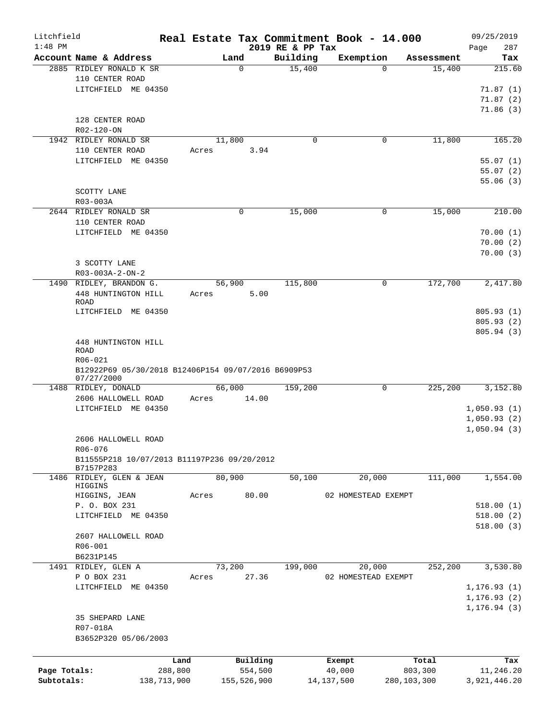| Litchfield<br>$1:48$ PM |                                                     |             |       |             |         | 2019 RE & PP Tax | Real Estate Tax Commitment Book - 14.000 |             |            | 09/25/2019<br>Page<br>287 |
|-------------------------|-----------------------------------------------------|-------------|-------|-------------|---------|------------------|------------------------------------------|-------------|------------|---------------------------|
|                         | Account Name & Address                              |             |       | Land        |         | Building         | Exemption                                |             | Assessment | Tax                       |
|                         | 2885 RIDLEY RONALD K SR                             |             |       | $\Omega$    |         | 15,400           |                                          | $\Omega$    | 15,400     | 215.60                    |
|                         | 110 CENTER ROAD                                     |             |       |             |         |                  |                                          |             |            |                           |
|                         | LITCHFIELD ME 04350                                 |             |       |             |         |                  |                                          |             |            | 71.87(1)                  |
|                         |                                                     |             |       |             |         |                  |                                          |             |            | 71.87(2)                  |
|                         |                                                     |             |       |             |         |                  |                                          |             |            | 71.86(3)                  |
|                         | 128 CENTER ROAD                                     |             |       |             |         |                  |                                          |             |            |                           |
|                         | R02-120-ON<br>1942 RIDLEY RONALD SR                 |             |       | 11,800      |         | 0                |                                          | 0           | 11,800     | 165.20                    |
|                         | 110 CENTER ROAD                                     |             | Acres |             | 3.94    |                  |                                          |             |            |                           |
|                         | LITCHFIELD ME 04350                                 |             |       |             |         |                  |                                          |             |            | 55.07(1)                  |
|                         |                                                     |             |       |             |         |                  |                                          |             |            | 55.07(2)                  |
|                         |                                                     |             |       |             |         |                  |                                          |             |            | 55.06(3)                  |
|                         | SCOTTY LANE                                         |             |       |             |         |                  |                                          |             |            |                           |
|                         | R03-003A                                            |             |       |             |         |                  |                                          |             |            |                           |
|                         | 2644 RIDLEY RONALD SR                               |             |       | 0           |         | 15,000           |                                          | 0           | 15,000     | 210.00                    |
|                         | 110 CENTER ROAD                                     |             |       |             |         |                  |                                          |             |            |                           |
|                         | LITCHFIELD ME 04350                                 |             |       |             |         |                  |                                          |             |            | 70.00(1)                  |
|                         |                                                     |             |       |             |         |                  |                                          |             |            | 70.00(2)                  |
|                         |                                                     |             |       |             |         |                  |                                          |             |            | 70.00(3)                  |
|                         | 3 SCOTTY LANE                                       |             |       |             |         |                  |                                          |             |            |                           |
|                         | $R03 - 003A - 2 - ON - 2$                           |             |       |             |         |                  |                                          |             |            |                           |
|                         | 1490 RIDLEY, BRANDON G.                             |             |       | 56,900      |         | 115,800          |                                          | 0           | 172,700    | 2,417.80                  |
|                         | 448 HUNTINGTON HILL                                 |             | Acres |             | 5.00    |                  |                                          |             |            |                           |
|                         | ROAD                                                |             |       |             |         |                  |                                          |             |            |                           |
|                         | LITCHFIELD ME 04350                                 |             |       |             |         |                  |                                          |             |            | 805.93(1)                 |
|                         |                                                     |             |       |             |         |                  |                                          |             |            | 805.93 (2)                |
|                         |                                                     |             |       |             |         |                  |                                          |             |            | 805.94 (3)                |
|                         | 448 HUNTINGTON HILL                                 |             |       |             |         |                  |                                          |             |            |                           |
|                         | <b>ROAD</b>                                         |             |       |             |         |                  |                                          |             |            |                           |
|                         | R06-021                                             |             |       |             |         |                  |                                          |             |            |                           |
|                         | B12922P69 05/30/2018 B12406P154 09/07/2016 B6909P53 |             |       |             |         |                  |                                          |             |            |                           |
|                         | 07/27/2000<br>1488 RIDLEY, DONALD                   |             |       | 66,000      |         | 159,200          |                                          | 0           | 225,200    | 3,152.80                  |
|                         | 2606 HALLOWELL ROAD                                 |             | Acres |             | 14.00   |                  |                                          |             |            |                           |
|                         | LITCHFIELD ME 04350                                 |             |       |             |         |                  |                                          |             |            | 1,050.93(1)               |
|                         |                                                     |             |       |             |         |                  |                                          |             |            | 1,050.93(2)               |
|                         |                                                     |             |       |             |         |                  |                                          |             |            | 1,050.94(3)               |
|                         | 2606 HALLOWELL ROAD                                 |             |       |             |         |                  |                                          |             |            |                           |
|                         | $R06 - 076$                                         |             |       |             |         |                  |                                          |             |            |                           |
|                         | B11555P218 10/07/2013 B11197P236 09/20/2012         |             |       |             |         |                  |                                          |             |            |                           |
|                         | B7157P283                                           |             |       |             |         |                  |                                          |             |            |                           |
|                         | 1486 RIDLEY, GLEN & JEAN                            |             |       | 80,900      |         | 50,100           | 20,000                                   |             | 111,000    | 1,554.00                  |
|                         | HIGGINS                                             |             |       |             |         |                  |                                          |             |            |                           |
|                         | HIGGINS, JEAN                                       |             | Acres |             | 80.00   |                  | 02 HOMESTEAD EXEMPT                      |             |            |                           |
|                         | P. O. BOX 231                                       |             |       |             |         |                  |                                          |             |            | 518.00(1)                 |
|                         | LITCHFIELD ME 04350                                 |             |       |             |         |                  |                                          |             |            | 518.00(2)                 |
|                         |                                                     |             |       |             |         |                  |                                          |             |            | 518.00(3)                 |
|                         | 2607 HALLOWELL ROAD                                 |             |       |             |         |                  |                                          |             |            |                           |
|                         | R06-001                                             |             |       |             |         |                  |                                          |             |            |                           |
|                         | B6231P145                                           |             |       |             |         |                  |                                          |             |            |                           |
|                         | 1491 RIDLEY, GLEN A                                 |             |       | 73,200      |         | 199,000          | 20,000                                   |             | 252,200    | 3,530.80                  |
|                         | P O BOX 231                                         |             | Acres |             | 27.36   |                  | 02 HOMESTEAD EXEMPT                      |             |            |                           |
|                         | LITCHFIELD ME 04350                                 |             |       |             |         |                  |                                          |             |            | 1, 176.93(1)              |
|                         |                                                     |             |       |             |         |                  |                                          |             |            | 1, 176.93(2)              |
|                         |                                                     |             |       |             |         |                  |                                          |             |            | 1, 176.94(3)              |
|                         | 35 SHEPARD LANE                                     |             |       |             |         |                  |                                          |             |            |                           |
|                         | R07-018A                                            |             |       |             |         |                  |                                          |             |            |                           |
|                         | B3652P320 05/06/2003                                |             |       |             |         |                  |                                          |             |            |                           |
|                         |                                                     |             |       |             |         |                  |                                          |             |            |                           |
|                         |                                                     | Land        |       | Building    |         |                  | Exempt                                   |             | Total      | Tax                       |
| Page Totals:            |                                                     | 288,800     |       |             | 554,500 |                  | 40,000                                   |             | 803,300    | 11,246.20                 |
| Subtotals:              |                                                     | 138,713,900 |       | 155,526,900 |         |                  | 14, 137, 500                             | 280,103,300 |            | 3,921,446.20              |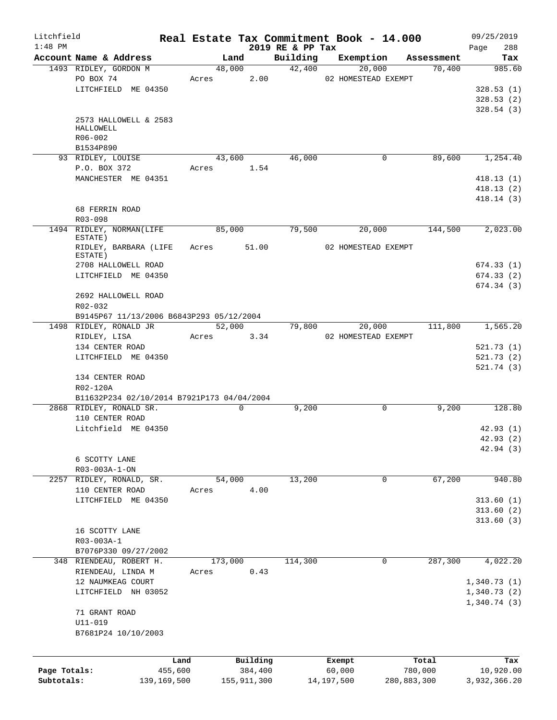| Litchfield   |                                                        |       |                |                              | Real Estate Tax Commitment Book - 14.000 |                        | 09/25/2019    |  |  |  |
|--------------|--------------------------------------------------------|-------|----------------|------------------------------|------------------------------------------|------------------------|---------------|--|--|--|
| $1:48$ PM    |                                                        |       |                | 2019 RE & PP Tax<br>Building |                                          |                        | 288<br>Page   |  |  |  |
|              | Account Name & Address<br>1493 RIDLEY, GORDON M        |       | Land<br>48,000 | 42,400                       | Exemption<br>20,000                      | Assessment<br>70,400   | Tax<br>985.60 |  |  |  |
|              |                                                        |       |                |                              |                                          |                        |               |  |  |  |
|              | PO BOX 74                                              | Acres | 2.00           |                              | 02 HOMESTEAD EXEMPT                      |                        |               |  |  |  |
|              | LITCHFIELD ME 04350                                    |       |                |                              |                                          |                        | 328.53(1)     |  |  |  |
|              |                                                        |       |                |                              |                                          |                        | 328.53(2)     |  |  |  |
|              |                                                        |       |                |                              |                                          |                        | 328.54(3)     |  |  |  |
|              | 2573 HALLOWELL & 2583                                  |       |                |                              |                                          |                        |               |  |  |  |
|              | HALLOWELL                                              |       |                |                              |                                          |                        |               |  |  |  |
|              | R06-002                                                |       |                |                              |                                          |                        |               |  |  |  |
|              | B1534P890                                              |       |                |                              |                                          |                        | 1,254.40      |  |  |  |
|              | 93 RIDLEY, LOUISE                                      |       | 43,600         | 46,000                       | 0                                        | 89,600                 |               |  |  |  |
|              | P.O. BOX 372                                           | Acres | 1.54           |                              |                                          |                        |               |  |  |  |
|              | MANCHESTER ME 04351                                    |       |                |                              |                                          |                        | 418.13(1)     |  |  |  |
|              |                                                        |       |                |                              |                                          |                        | 418.13(2)     |  |  |  |
|              |                                                        |       |                |                              |                                          |                        | 418.14(3)     |  |  |  |
|              | 68 FERRIN ROAD                                         |       |                |                              |                                          |                        |               |  |  |  |
|              | R03-098                                                |       |                |                              |                                          |                        |               |  |  |  |
|              | 1494 RIDLEY, NORMAN(LIFE                               |       | 85,000         | 79,500                       | 20,000                                   | 144,500                | 2,023.00      |  |  |  |
|              | ESTATE)<br>RIDLEY, BARBARA (LIFE                       |       | 51.00          |                              | 02 HOMESTEAD EXEMPT                      |                        |               |  |  |  |
|              | ESTATE)                                                | Acres |                |                              |                                          |                        |               |  |  |  |
|              | 2708 HALLOWELL ROAD                                    |       |                |                              |                                          |                        | 674.33(1)     |  |  |  |
|              | LITCHFIELD ME 04350                                    |       |                |                              |                                          |                        | 674.33(2)     |  |  |  |
|              |                                                        |       |                |                              |                                          |                        | 674.34(3)     |  |  |  |
|              | 2692 HALLOWELL ROAD                                    |       |                |                              |                                          |                        |               |  |  |  |
|              |                                                        |       |                |                              |                                          |                        |               |  |  |  |
|              | R02-032<br>B9145P67 11/13/2006 B6843P293 05/12/2004    |       |                |                              |                                          |                        |               |  |  |  |
|              | 1498 RIDLEY, RONALD JR                                 |       | 52,000         | 79,800                       | 20,000                                   | 111,800                | 1,565.20      |  |  |  |
|              | RIDLEY, LISA                                           | Acres | 3.34           |                              | 02 HOMESTEAD EXEMPT                      |                        |               |  |  |  |
|              | 134 CENTER ROAD                                        |       |                |                              |                                          |                        | 521.73(1)     |  |  |  |
|              | LITCHFIELD ME 04350                                    |       |                |                              |                                          |                        | 521.73(2)     |  |  |  |
|              |                                                        |       |                |                              |                                          |                        | 521.74(3)     |  |  |  |
|              | 134 CENTER ROAD                                        |       |                |                              |                                          |                        |               |  |  |  |
|              |                                                        |       |                |                              |                                          |                        |               |  |  |  |
|              | R02-120A<br>B11632P234 02/10/2014 B7921P173 04/04/2004 |       |                |                              |                                          |                        |               |  |  |  |
|              | 2868 RIDLEY, RONALD SR.                                |       | $\mathbf 0$    |                              | 0                                        |                        | 128.80        |  |  |  |
|              | 110 CENTER ROAD                                        |       |                | 9,200                        |                                          | 9,200                  |               |  |  |  |
|              |                                                        |       |                |                              |                                          |                        |               |  |  |  |
|              | Litchfield ME 04350                                    |       |                |                              |                                          |                        | 42.93(1)      |  |  |  |
|              |                                                        |       |                |                              |                                          |                        | 42.93(2)      |  |  |  |
|              |                                                        |       |                |                              |                                          |                        | 42.94 (3)     |  |  |  |
|              | 6 SCOTTY LANE                                          |       |                |                              |                                          |                        |               |  |  |  |
|              | R03-003A-1-ON                                          |       |                |                              |                                          |                        |               |  |  |  |
|              | 2257 RIDLEY, RONALD, SR.                               |       | 54,000         | 13,200                       | $\mathbf 0$                              | 67,200                 | 940.80        |  |  |  |
|              | 110 CENTER ROAD                                        | Acres | 4.00           |                              |                                          |                        |               |  |  |  |
|              | LITCHFIELD ME 04350                                    |       |                |                              |                                          |                        | 313.60(1)     |  |  |  |
|              |                                                        |       |                |                              |                                          |                        | 313.60(2)     |  |  |  |
|              |                                                        |       |                |                              |                                          |                        | 313.60(3)     |  |  |  |
|              | 16 SCOTTY LANE                                         |       |                |                              |                                          |                        |               |  |  |  |
|              | R03-003A-1                                             |       |                |                              |                                          |                        |               |  |  |  |
|              | B7076P330 09/27/2002                                   |       |                |                              |                                          |                        |               |  |  |  |
|              | 348 RIENDEAU, ROBERT H.                                |       | 173,000        | 114,300                      | 0                                        | 287,300                | 4,022.20      |  |  |  |
|              | RIENDEAU, LINDA M                                      | Acres | 0.43           |                              |                                          |                        |               |  |  |  |
|              | 12 NAUMKEAG COURT                                      |       |                |                              |                                          |                        | 1,340.73(1)   |  |  |  |
|              | LITCHFIELD NH 03052                                    |       |                |                              |                                          |                        | 1,340.73(2)   |  |  |  |
|              |                                                        |       |                |                              |                                          |                        | 1,340.74(3)   |  |  |  |
|              | 71 GRANT ROAD                                          |       |                |                              |                                          |                        |               |  |  |  |
|              | $U11 - 019$                                            |       |                |                              |                                          |                        |               |  |  |  |
|              | B7681P24 10/10/2003                                    |       |                |                              |                                          |                        |               |  |  |  |
|              |                                                        |       |                |                              |                                          |                        |               |  |  |  |
|              |                                                        |       |                |                              |                                          |                        |               |  |  |  |
|              |                                                        | Land  | Building       |                              | Exempt                                   | Total                  | Tax           |  |  |  |
| Page Totals: | 455,600                                                |       | 384,400        |                              | 60,000<br>14,197,500                     | 780,000<br>280,883,300 | 10,920.00     |  |  |  |
| Subtotals:   | 139,169,500                                            |       | 155, 911, 300  |                              |                                          |                        | 3,932,366.20  |  |  |  |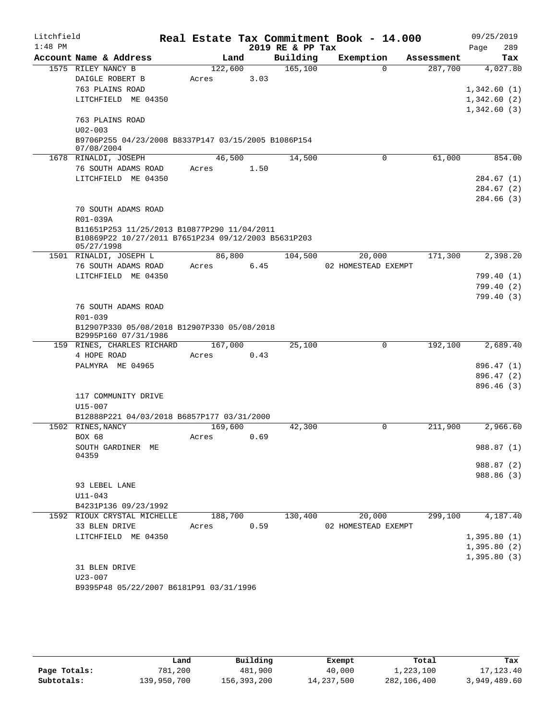| Account Name & Address<br>Building<br>Exemption<br>Land<br>Assessment<br>Tax<br>165, 100<br>1575 RILEY NANCY B<br>122,600<br>$\Omega$<br>287,700<br>4,027.80<br>DAIGLE ROBERT B<br>3.03<br>Acres<br>763 PLAINS ROAD<br>1,342.60(1)<br>LITCHFIELD ME 04350<br>1,342.60(2)<br>1,342.60(3)<br>763 PLAINS ROAD<br>$U02 - 003$<br>B9706P255 04/23/2008 B8337P147 03/15/2005 B1086P154<br>07/08/2004<br>61,000<br>1678 RINALDI, JOSEPH<br>46,500<br>14,500<br>854.00<br>0<br>76 SOUTH ADAMS ROAD<br>1.50<br>Acres<br>LITCHFIELD ME 04350<br>284.67(1)<br>284.67 (2)<br>284.66 (3)<br>70 SOUTH ADAMS ROAD<br>R01-039A<br>B11651P253 11/25/2013 B10877P290 11/04/2011<br>B10869P22 10/27/2011 B7651P234 09/12/2003 B5631P203<br>05/27/1998<br>171,300<br>1501 RINALDI, JOSEPH L<br>86,800<br>104,500<br>20,000<br>2,398.20<br>76 SOUTH ADAMS ROAD<br>6.45<br>02 HOMESTEAD EXEMPT<br>Acres<br>LITCHFIELD ME 04350<br>799.40 (1)<br>799.40 (2)<br>799.40(3)<br>76 SOUTH ADAMS ROAD<br>$R01 - 039$<br>B12907P330 05/08/2018 B12907P330 05/08/2018<br>B2995P160 07/31/1986<br>$\mathsf{O}$<br>192,100<br>2,689.40<br>159 RINES, CHARLES RICHARD<br>167,000<br>25,100<br>4 HOPE ROAD<br>0.43<br>Acres<br>PALMYRA ME 04965<br>896.47 (1)<br>896.47 (2)<br>896.46(3)<br>117 COMMUNITY DRIVE<br>U15-007<br>B12888P221 04/03/2018 B6857P177 03/31/2000<br>1502 RINES, NANCY<br>169,600<br>0<br>211,900<br>2,966.60<br>42,300<br>BOX 68<br>0.69<br>Acres<br>SOUTH GARDINER ME<br>04359<br>93 LEBEL LANE<br>$U11 - 043$<br>B4231P136 09/23/1992<br>130,400<br>20,000<br>299,100<br>1592 RIOUX CRYSTAL MICHELLE<br>188,700<br>33 BLEN DRIVE<br>0.59<br>02 HOMESTEAD EXEMPT<br>Acres<br>LITCHFIELD ME 04350<br>31 BLEN DRIVE<br>$U23 - 007$<br>B9395P48 05/22/2007 B6181P91 03/31/1996 | Litchfield<br>$1:48$ PM |  |  | Real Estate Tax Commitment Book - 14.000<br>2019 RE & PP Tax |  | Page | 09/25/2019<br>289 |
|-------------------------------------------------------------------------------------------------------------------------------------------------------------------------------------------------------------------------------------------------------------------------------------------------------------------------------------------------------------------------------------------------------------------------------------------------------------------------------------------------------------------------------------------------------------------------------------------------------------------------------------------------------------------------------------------------------------------------------------------------------------------------------------------------------------------------------------------------------------------------------------------------------------------------------------------------------------------------------------------------------------------------------------------------------------------------------------------------------------------------------------------------------------------------------------------------------------------------------------------------------------------------------------------------------------------------------------------------------------------------------------------------------------------------------------------------------------------------------------------------------------------------------------------------------------------------------------------------------------------------------------------------------------------------------------------------------------------------------------------------------------------|-------------------------|--|--|--------------------------------------------------------------|--|------|-------------------|
|                                                                                                                                                                                                                                                                                                                                                                                                                                                                                                                                                                                                                                                                                                                                                                                                                                                                                                                                                                                                                                                                                                                                                                                                                                                                                                                                                                                                                                                                                                                                                                                                                                                                                                                                                                   |                         |  |  |                                                              |  |      |                   |
|                                                                                                                                                                                                                                                                                                                                                                                                                                                                                                                                                                                                                                                                                                                                                                                                                                                                                                                                                                                                                                                                                                                                                                                                                                                                                                                                                                                                                                                                                                                                                                                                                                                                                                                                                                   |                         |  |  |                                                              |  |      |                   |
|                                                                                                                                                                                                                                                                                                                                                                                                                                                                                                                                                                                                                                                                                                                                                                                                                                                                                                                                                                                                                                                                                                                                                                                                                                                                                                                                                                                                                                                                                                                                                                                                                                                                                                                                                                   |                         |  |  |                                                              |  |      |                   |
|                                                                                                                                                                                                                                                                                                                                                                                                                                                                                                                                                                                                                                                                                                                                                                                                                                                                                                                                                                                                                                                                                                                                                                                                                                                                                                                                                                                                                                                                                                                                                                                                                                                                                                                                                                   |                         |  |  |                                                              |  |      |                   |
|                                                                                                                                                                                                                                                                                                                                                                                                                                                                                                                                                                                                                                                                                                                                                                                                                                                                                                                                                                                                                                                                                                                                                                                                                                                                                                                                                                                                                                                                                                                                                                                                                                                                                                                                                                   |                         |  |  |                                                              |  |      |                   |
|                                                                                                                                                                                                                                                                                                                                                                                                                                                                                                                                                                                                                                                                                                                                                                                                                                                                                                                                                                                                                                                                                                                                                                                                                                                                                                                                                                                                                                                                                                                                                                                                                                                                                                                                                                   |                         |  |  |                                                              |  |      |                   |
|                                                                                                                                                                                                                                                                                                                                                                                                                                                                                                                                                                                                                                                                                                                                                                                                                                                                                                                                                                                                                                                                                                                                                                                                                                                                                                                                                                                                                                                                                                                                                                                                                                                                                                                                                                   |                         |  |  |                                                              |  |      |                   |
|                                                                                                                                                                                                                                                                                                                                                                                                                                                                                                                                                                                                                                                                                                                                                                                                                                                                                                                                                                                                                                                                                                                                                                                                                                                                                                                                                                                                                                                                                                                                                                                                                                                                                                                                                                   |                         |  |  |                                                              |  |      |                   |
|                                                                                                                                                                                                                                                                                                                                                                                                                                                                                                                                                                                                                                                                                                                                                                                                                                                                                                                                                                                                                                                                                                                                                                                                                                                                                                                                                                                                                                                                                                                                                                                                                                                                                                                                                                   |                         |  |  |                                                              |  |      |                   |
|                                                                                                                                                                                                                                                                                                                                                                                                                                                                                                                                                                                                                                                                                                                                                                                                                                                                                                                                                                                                                                                                                                                                                                                                                                                                                                                                                                                                                                                                                                                                                                                                                                                                                                                                                                   |                         |  |  |                                                              |  |      |                   |
|                                                                                                                                                                                                                                                                                                                                                                                                                                                                                                                                                                                                                                                                                                                                                                                                                                                                                                                                                                                                                                                                                                                                                                                                                                                                                                                                                                                                                                                                                                                                                                                                                                                                                                                                                                   |                         |  |  |                                                              |  |      |                   |
|                                                                                                                                                                                                                                                                                                                                                                                                                                                                                                                                                                                                                                                                                                                                                                                                                                                                                                                                                                                                                                                                                                                                                                                                                                                                                                                                                                                                                                                                                                                                                                                                                                                                                                                                                                   |                         |  |  |                                                              |  |      |                   |
|                                                                                                                                                                                                                                                                                                                                                                                                                                                                                                                                                                                                                                                                                                                                                                                                                                                                                                                                                                                                                                                                                                                                                                                                                                                                                                                                                                                                                                                                                                                                                                                                                                                                                                                                                                   |                         |  |  |                                                              |  |      |                   |
|                                                                                                                                                                                                                                                                                                                                                                                                                                                                                                                                                                                                                                                                                                                                                                                                                                                                                                                                                                                                                                                                                                                                                                                                                                                                                                                                                                                                                                                                                                                                                                                                                                                                                                                                                                   |                         |  |  |                                                              |  |      |                   |
|                                                                                                                                                                                                                                                                                                                                                                                                                                                                                                                                                                                                                                                                                                                                                                                                                                                                                                                                                                                                                                                                                                                                                                                                                                                                                                                                                                                                                                                                                                                                                                                                                                                                                                                                                                   |                         |  |  |                                                              |  |      |                   |
|                                                                                                                                                                                                                                                                                                                                                                                                                                                                                                                                                                                                                                                                                                                                                                                                                                                                                                                                                                                                                                                                                                                                                                                                                                                                                                                                                                                                                                                                                                                                                                                                                                                                                                                                                                   |                         |  |  |                                                              |  |      |                   |
|                                                                                                                                                                                                                                                                                                                                                                                                                                                                                                                                                                                                                                                                                                                                                                                                                                                                                                                                                                                                                                                                                                                                                                                                                                                                                                                                                                                                                                                                                                                                                                                                                                                                                                                                                                   |                         |  |  |                                                              |  |      |                   |
|                                                                                                                                                                                                                                                                                                                                                                                                                                                                                                                                                                                                                                                                                                                                                                                                                                                                                                                                                                                                                                                                                                                                                                                                                                                                                                                                                                                                                                                                                                                                                                                                                                                                                                                                                                   |                         |  |  |                                                              |  |      |                   |
|                                                                                                                                                                                                                                                                                                                                                                                                                                                                                                                                                                                                                                                                                                                                                                                                                                                                                                                                                                                                                                                                                                                                                                                                                                                                                                                                                                                                                                                                                                                                                                                                                                                                                                                                                                   |                         |  |  |                                                              |  |      |                   |
|                                                                                                                                                                                                                                                                                                                                                                                                                                                                                                                                                                                                                                                                                                                                                                                                                                                                                                                                                                                                                                                                                                                                                                                                                                                                                                                                                                                                                                                                                                                                                                                                                                                                                                                                                                   |                         |  |  |                                                              |  |      |                   |
|                                                                                                                                                                                                                                                                                                                                                                                                                                                                                                                                                                                                                                                                                                                                                                                                                                                                                                                                                                                                                                                                                                                                                                                                                                                                                                                                                                                                                                                                                                                                                                                                                                                                                                                                                                   |                         |  |  |                                                              |  |      |                   |
|                                                                                                                                                                                                                                                                                                                                                                                                                                                                                                                                                                                                                                                                                                                                                                                                                                                                                                                                                                                                                                                                                                                                                                                                                                                                                                                                                                                                                                                                                                                                                                                                                                                                                                                                                                   |                         |  |  |                                                              |  |      |                   |
|                                                                                                                                                                                                                                                                                                                                                                                                                                                                                                                                                                                                                                                                                                                                                                                                                                                                                                                                                                                                                                                                                                                                                                                                                                                                                                                                                                                                                                                                                                                                                                                                                                                                                                                                                                   |                         |  |  |                                                              |  |      |                   |
|                                                                                                                                                                                                                                                                                                                                                                                                                                                                                                                                                                                                                                                                                                                                                                                                                                                                                                                                                                                                                                                                                                                                                                                                                                                                                                                                                                                                                                                                                                                                                                                                                                                                                                                                                                   |                         |  |  |                                                              |  |      |                   |
|                                                                                                                                                                                                                                                                                                                                                                                                                                                                                                                                                                                                                                                                                                                                                                                                                                                                                                                                                                                                                                                                                                                                                                                                                                                                                                                                                                                                                                                                                                                                                                                                                                                                                                                                                                   |                         |  |  |                                                              |  |      |                   |
|                                                                                                                                                                                                                                                                                                                                                                                                                                                                                                                                                                                                                                                                                                                                                                                                                                                                                                                                                                                                                                                                                                                                                                                                                                                                                                                                                                                                                                                                                                                                                                                                                                                                                                                                                                   |                         |  |  |                                                              |  |      |                   |
|                                                                                                                                                                                                                                                                                                                                                                                                                                                                                                                                                                                                                                                                                                                                                                                                                                                                                                                                                                                                                                                                                                                                                                                                                                                                                                                                                                                                                                                                                                                                                                                                                                                                                                                                                                   |                         |  |  |                                                              |  |      |                   |
|                                                                                                                                                                                                                                                                                                                                                                                                                                                                                                                                                                                                                                                                                                                                                                                                                                                                                                                                                                                                                                                                                                                                                                                                                                                                                                                                                                                                                                                                                                                                                                                                                                                                                                                                                                   |                         |  |  |                                                              |  |      |                   |
|                                                                                                                                                                                                                                                                                                                                                                                                                                                                                                                                                                                                                                                                                                                                                                                                                                                                                                                                                                                                                                                                                                                                                                                                                                                                                                                                                                                                                                                                                                                                                                                                                                                                                                                                                                   |                         |  |  |                                                              |  |      |                   |
|                                                                                                                                                                                                                                                                                                                                                                                                                                                                                                                                                                                                                                                                                                                                                                                                                                                                                                                                                                                                                                                                                                                                                                                                                                                                                                                                                                                                                                                                                                                                                                                                                                                                                                                                                                   |                         |  |  |                                                              |  |      |                   |
|                                                                                                                                                                                                                                                                                                                                                                                                                                                                                                                                                                                                                                                                                                                                                                                                                                                                                                                                                                                                                                                                                                                                                                                                                                                                                                                                                                                                                                                                                                                                                                                                                                                                                                                                                                   |                         |  |  |                                                              |  |      |                   |
|                                                                                                                                                                                                                                                                                                                                                                                                                                                                                                                                                                                                                                                                                                                                                                                                                                                                                                                                                                                                                                                                                                                                                                                                                                                                                                                                                                                                                                                                                                                                                                                                                                                                                                                                                                   |                         |  |  |                                                              |  |      |                   |
|                                                                                                                                                                                                                                                                                                                                                                                                                                                                                                                                                                                                                                                                                                                                                                                                                                                                                                                                                                                                                                                                                                                                                                                                                                                                                                                                                                                                                                                                                                                                                                                                                                                                                                                                                                   |                         |  |  |                                                              |  |      |                   |
|                                                                                                                                                                                                                                                                                                                                                                                                                                                                                                                                                                                                                                                                                                                                                                                                                                                                                                                                                                                                                                                                                                                                                                                                                                                                                                                                                                                                                                                                                                                                                                                                                                                                                                                                                                   |                         |  |  |                                                              |  |      |                   |
|                                                                                                                                                                                                                                                                                                                                                                                                                                                                                                                                                                                                                                                                                                                                                                                                                                                                                                                                                                                                                                                                                                                                                                                                                                                                                                                                                                                                                                                                                                                                                                                                                                                                                                                                                                   |                         |  |  |                                                              |  |      |                   |
| 988.87 (1)<br>988.87 (2)<br>988.86 (3)<br>4,187.40<br>1,395.80(1)<br>1,395.80(2)<br>1,395.80(3)                                                                                                                                                                                                                                                                                                                                                                                                                                                                                                                                                                                                                                                                                                                                                                                                                                                                                                                                                                                                                                                                                                                                                                                                                                                                                                                                                                                                                                                                                                                                                                                                                                                                   |                         |  |  |                                                              |  |      |                   |
|                                                                                                                                                                                                                                                                                                                                                                                                                                                                                                                                                                                                                                                                                                                                                                                                                                                                                                                                                                                                                                                                                                                                                                                                                                                                                                                                                                                                                                                                                                                                                                                                                                                                                                                                                                   |                         |  |  |                                                              |  |      |                   |
|                                                                                                                                                                                                                                                                                                                                                                                                                                                                                                                                                                                                                                                                                                                                                                                                                                                                                                                                                                                                                                                                                                                                                                                                                                                                                                                                                                                                                                                                                                                                                                                                                                                                                                                                                                   |                         |  |  |                                                              |  |      |                   |
|                                                                                                                                                                                                                                                                                                                                                                                                                                                                                                                                                                                                                                                                                                                                                                                                                                                                                                                                                                                                                                                                                                                                                                                                                                                                                                                                                                                                                                                                                                                                                                                                                                                                                                                                                                   |                         |  |  |                                                              |  |      |                   |
|                                                                                                                                                                                                                                                                                                                                                                                                                                                                                                                                                                                                                                                                                                                                                                                                                                                                                                                                                                                                                                                                                                                                                                                                                                                                                                                                                                                                                                                                                                                                                                                                                                                                                                                                                                   |                         |  |  |                                                              |  |      |                   |
|                                                                                                                                                                                                                                                                                                                                                                                                                                                                                                                                                                                                                                                                                                                                                                                                                                                                                                                                                                                                                                                                                                                                                                                                                                                                                                                                                                                                                                                                                                                                                                                                                                                                                                                                                                   |                         |  |  |                                                              |  |      |                   |
|                                                                                                                                                                                                                                                                                                                                                                                                                                                                                                                                                                                                                                                                                                                                                                                                                                                                                                                                                                                                                                                                                                                                                                                                                                                                                                                                                                                                                                                                                                                                                                                                                                                                                                                                                                   |                         |  |  |                                                              |  |      |                   |
|                                                                                                                                                                                                                                                                                                                                                                                                                                                                                                                                                                                                                                                                                                                                                                                                                                                                                                                                                                                                                                                                                                                                                                                                                                                                                                                                                                                                                                                                                                                                                                                                                                                                                                                                                                   |                         |  |  |                                                              |  |      |                   |
|                                                                                                                                                                                                                                                                                                                                                                                                                                                                                                                                                                                                                                                                                                                                                                                                                                                                                                                                                                                                                                                                                                                                                                                                                                                                                                                                                                                                                                                                                                                                                                                                                                                                                                                                                                   |                         |  |  |                                                              |  |      |                   |
|                                                                                                                                                                                                                                                                                                                                                                                                                                                                                                                                                                                                                                                                                                                                                                                                                                                                                                                                                                                                                                                                                                                                                                                                                                                                                                                                                                                                                                                                                                                                                                                                                                                                                                                                                                   |                         |  |  |                                                              |  |      |                   |
|                                                                                                                                                                                                                                                                                                                                                                                                                                                                                                                                                                                                                                                                                                                                                                                                                                                                                                                                                                                                                                                                                                                                                                                                                                                                                                                                                                                                                                                                                                                                                                                                                                                                                                                                                                   |                         |  |  |                                                              |  |      |                   |
|                                                                                                                                                                                                                                                                                                                                                                                                                                                                                                                                                                                                                                                                                                                                                                                                                                                                                                                                                                                                                                                                                                                                                                                                                                                                                                                                                                                                                                                                                                                                                                                                                                                                                                                                                                   |                         |  |  |                                                              |  |      |                   |
|                                                                                                                                                                                                                                                                                                                                                                                                                                                                                                                                                                                                                                                                                                                                                                                                                                                                                                                                                                                                                                                                                                                                                                                                                                                                                                                                                                                                                                                                                                                                                                                                                                                                                                                                                                   |                         |  |  |                                                              |  |      |                   |
|                                                                                                                                                                                                                                                                                                                                                                                                                                                                                                                                                                                                                                                                                                                                                                                                                                                                                                                                                                                                                                                                                                                                                                                                                                                                                                                                                                                                                                                                                                                                                                                                                                                                                                                                                                   |                         |  |  |                                                              |  |      |                   |
|                                                                                                                                                                                                                                                                                                                                                                                                                                                                                                                                                                                                                                                                                                                                                                                                                                                                                                                                                                                                                                                                                                                                                                                                                                                                                                                                                                                                                                                                                                                                                                                                                                                                                                                                                                   |                         |  |  |                                                              |  |      |                   |
|                                                                                                                                                                                                                                                                                                                                                                                                                                                                                                                                                                                                                                                                                                                                                                                                                                                                                                                                                                                                                                                                                                                                                                                                                                                                                                                                                                                                                                                                                                                                                                                                                                                                                                                                                                   |                         |  |  |                                                              |  |      |                   |
|                                                                                                                                                                                                                                                                                                                                                                                                                                                                                                                                                                                                                                                                                                                                                                                                                                                                                                                                                                                                                                                                                                                                                                                                                                                                                                                                                                                                                                                                                                                                                                                                                                                                                                                                                                   |                         |  |  |                                                              |  |      |                   |

|              | Land        | Building    | Exempt     | Total       | Tax          |
|--------------|-------------|-------------|------------|-------------|--------------|
| Page Totals: | 781,200     | 481,900     | 40,000     | 1,223,100   | 17, 123, 40  |
| Subtotals:   | 139,950,700 | 156,393,200 | 14,237,500 | 282,106,400 | 3,949,489.60 |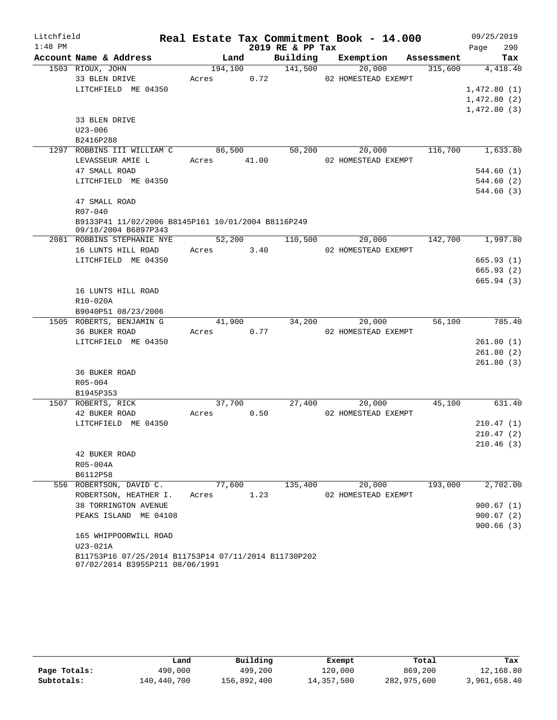| Litchfield |                                                                                         |             |         |                  | Real Estate Tax Commitment Book - 14.000 |            | 09/25/2019  |
|------------|-----------------------------------------------------------------------------------------|-------------|---------|------------------|------------------------------------------|------------|-------------|
| $1:48$ PM  |                                                                                         |             |         | 2019 RE & PP Tax |                                          |            | 290<br>Page |
|            | Account Name & Address                                                                  |             | Land    | Building         | Exemption                                | Assessment | Tax         |
|            | 1503 RIOUX, JOHN                                                                        |             | 194,100 | 141,500          | 20,000                                   | 315,600    | 4,418.40    |
|            | 33 BLEN DRIVE                                                                           | Acres       | 0.72    |                  | 02 HOMESTEAD EXEMPT                      |            |             |
|            | LITCHFIELD ME 04350                                                                     |             |         |                  |                                          |            | 1,472.80(1) |
|            |                                                                                         |             |         |                  |                                          |            | 1,472.80(2) |
|            |                                                                                         |             |         |                  |                                          |            | 1,472.80(3) |
|            | 33 BLEN DRIVE                                                                           |             |         |                  |                                          |            |             |
|            | $U23 - 006$                                                                             |             |         |                  |                                          |            |             |
|            | B2416P288                                                                               |             |         |                  |                                          |            |             |
|            | 1297 ROBBINS III WILLIAM C                                                              |             | 86,500  | 50,200           | 20,000                                   | 116,700    | 1,633.80    |
|            | LEVASSEUR AMIE L                                                                        | Acres 41.00 |         |                  | 02 HOMESTEAD EXEMPT                      |            |             |
|            | 47 SMALL ROAD                                                                           |             |         |                  |                                          |            | 544.60(1)   |
|            | LITCHFIELD ME 04350                                                                     |             |         |                  |                                          |            | 544.60(2)   |
|            |                                                                                         |             |         |                  |                                          |            | 544.60 (3)  |
|            | 47 SMALL ROAD                                                                           |             |         |                  |                                          |            |             |
|            | $R07 - 040$                                                                             |             |         |                  |                                          |            |             |
|            | B9133P41 11/02/2006 B8145P161 10/01/2004 B8116P249<br>09/18/2004 B6897P343              |             |         |                  |                                          |            |             |
|            | 2081 ROBBINS STEPHANIE NYE                                                              |             | 52,200  | 110,500          | 20,000                                   | 142,700    | 1,997.80    |
|            | 16 LUNTS HILL ROAD                                                                      | Acres 3.40  |         |                  | 02 HOMESTEAD EXEMPT                      |            |             |
|            | LITCHFIELD ME 04350                                                                     |             |         |                  |                                          |            | 665.93(1)   |
|            |                                                                                         |             |         |                  |                                          |            | 665.93(2)   |
|            |                                                                                         |             |         |                  |                                          |            | 665.94(3)   |
|            | 16 LUNTS HILL ROAD                                                                      |             |         |                  |                                          |            |             |
|            | R10-020A                                                                                |             |         |                  |                                          |            |             |
|            | B9040P51 08/23/2006                                                                     |             |         |                  |                                          |            |             |
|            | 1505 ROBERTS, BENJAMIN G                                                                |             | 41,900  | 34,200           | 20,000                                   | 56,100     | 785.40      |
|            | 36 BUKER ROAD                                                                           | Acres       | 0.77    |                  | 02 HOMESTEAD EXEMPT                      |            |             |
|            | LITCHFIELD ME 04350                                                                     |             |         |                  |                                          |            | 261.80(1)   |
|            |                                                                                         |             |         |                  |                                          |            | 261.80(2)   |
|            |                                                                                         |             |         |                  |                                          |            | 261.80(3)   |
|            | <b>36 BUKER ROAD</b>                                                                    |             |         |                  |                                          |            |             |
|            | R05-004                                                                                 |             |         |                  |                                          |            |             |
|            | B1945P353                                                                               |             |         |                  |                                          |            |             |
|            | 1507 ROBERTS, RICK                                                                      |             | 37,700  |                  | 27,400<br>20,000                         | 45,100     | 631.40      |
|            | 42 BUKER ROAD                                                                           | Acres       | 0.50    |                  | 02 HOMESTEAD EXEMPT                      |            |             |
|            | LITCHFIELD ME 04350                                                                     |             |         |                  |                                          |            | 210.47(1)   |
|            |                                                                                         |             |         |                  |                                          |            | 210.47(2)   |
|            |                                                                                         |             |         |                  |                                          |            | 210.46(3)   |
|            | 42 BUKER ROAD                                                                           |             |         |                  |                                          |            |             |
|            | R05-004A                                                                                |             |         |                  |                                          |            |             |
|            | B6112P58                                                                                |             |         |                  |                                          |            |             |
|            | 556 ROBERTSON, DAVID C.                                                                 |             | 77,600  | 135,400          | 20,000                                   | 193,000    | 2,702.00    |
|            | ROBERTSON, HEATHER I.                                                                   | Acres       | 1.23    |                  | 02 HOMESTEAD EXEMPT                      |            |             |
|            | 38 TORRINGTON AVENUE                                                                    |             |         |                  |                                          |            | 900.67(1)   |
|            | PEAKS ISLAND ME 04108                                                                   |             |         |                  |                                          |            | 900.67(2)   |
|            |                                                                                         |             |         |                  |                                          |            | 900.66(3)   |
|            | 165 WHIPPOORWILL ROAD                                                                   |             |         |                  |                                          |            |             |
|            | U23-021A                                                                                |             |         |                  |                                          |            |             |
|            | B11753P16 07/25/2014 B11753P14 07/11/2014 B11730P202<br>07/02/2014 B3955P211 08/06/1991 |             |         |                  |                                          |            |             |

|              | Land        | Building    | Exempt     | Total       | Tax          |
|--------------|-------------|-------------|------------|-------------|--------------|
| Page Totals: | 490,000     | 499,200     | 120,000    | 869,200     | 12,168.80    |
| Subtotals:   | 140,440,700 | 156,892,400 | 14,357,500 | 282,975,600 | 3,961,658.40 |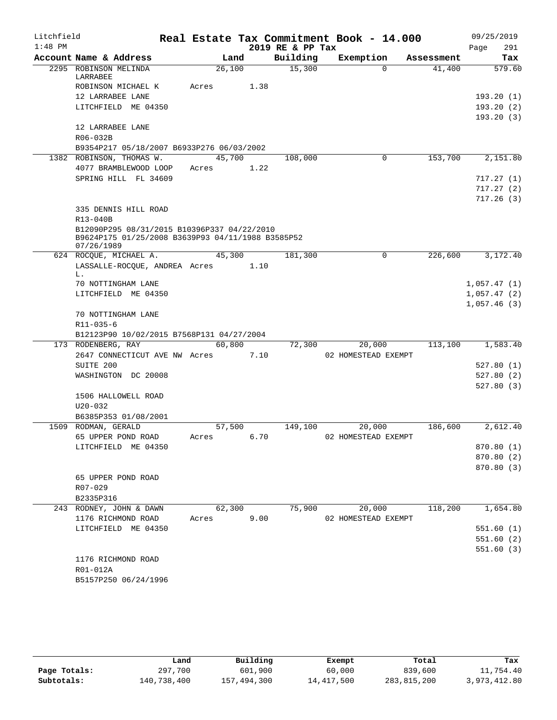| Litchfield |                                                   |        |      |                  | Real Estate Tax Commitment Book - 14.000 |            | 09/25/2019  |
|------------|---------------------------------------------------|--------|------|------------------|------------------------------------------|------------|-------------|
| $1:48$ PM  |                                                   |        |      | 2019 RE & PP Tax |                                          |            | 291<br>Page |
|            | Account Name & Address                            | Land   |      | Building         | Exemption                                | Assessment | Tax         |
|            | 2295 ROBINSON MELINDA<br>LARRABEE                 | 26,100 |      | 15,300           | $\Omega$                                 | 41,400     | 579.60      |
|            | ROBINSON MICHAEL K                                | Acres  | 1.38 |                  |                                          |            |             |
|            | 12 LARRABEE LANE                                  |        |      |                  |                                          |            | 193.20(1)   |
|            | LITCHFIELD ME 04350                               |        |      |                  |                                          |            | 193.20(2)   |
|            |                                                   |        |      |                  |                                          |            | 193.20(3)   |
|            | 12 LARRABEE LANE                                  |        |      |                  |                                          |            |             |
|            | R06-032B                                          |        |      |                  |                                          |            |             |
|            | B9354P217 05/18/2007 B6933P276 06/03/2002         |        |      |                  |                                          |            |             |
|            | 1382 ROBINSON, THOMAS W.                          | 45,700 |      | 108,000          | 0                                        | 153,700    | 2,151.80    |
|            | 4077 BRAMBLEWOOD LOOP                             | Acres  | 1.22 |                  |                                          |            |             |
|            | SPRING HILL FL 34609                              |        |      |                  |                                          |            | 717.27(1)   |
|            |                                                   |        |      |                  |                                          |            | 717.27(2)   |
|            |                                                   |        |      |                  |                                          |            | 717.26(3)   |
|            | 335 DENNIS HILL ROAD                              |        |      |                  |                                          |            |             |
|            | R13-040B                                          |        |      |                  |                                          |            |             |
|            | B12090P295 08/31/2015 B10396P337 04/22/2010       |        |      |                  |                                          |            |             |
|            | B9624P175 01/25/2008 B3639P93 04/11/1988 B3585P52 |        |      |                  |                                          |            |             |
|            | 07/26/1989<br>624 ROCQUE, MICHAEL A.              | 45,300 |      | 181,300          | 0                                        | 226,600    | 3,172.40    |
|            | LASSALLE-ROCQUE, ANDREA Acres                     |        | 1.10 |                  |                                          |            |             |
|            | L.                                                |        |      |                  |                                          |            |             |
|            | 70 NOTTINGHAM LANE                                |        |      |                  |                                          |            | 1,057.47(1) |
|            | LITCHFIELD ME 04350                               |        |      |                  |                                          |            | 1,057.47(2) |
|            |                                                   |        |      |                  |                                          |            | 1,057.46(3) |
|            | 70 NOTTINGHAM LANE                                |        |      |                  |                                          |            |             |
|            | R11-035-6                                         |        |      |                  |                                          |            |             |
|            | B12123P90 10/02/2015 B7568P131 04/27/2004         |        |      |                  |                                          |            |             |
|            | 173 RODENBERG, RAY                                | 60,800 |      | 72,300           | 20,000                                   | 113,100    | 1,583.40    |
|            | 2647 CONNECTICUT AVE NW Acres                     |        | 7.10 |                  | 02 HOMESTEAD EXEMPT                      |            |             |
|            | SUITE 200                                         |        |      |                  |                                          |            | 527.80(1)   |
|            | WASHINGTON DC 20008                               |        |      |                  |                                          |            | 527.80(2)   |
|            |                                                   |        |      |                  |                                          |            | 527.80(3)   |
|            | 1506 HALLOWELL ROAD                               |        |      |                  |                                          |            |             |
|            | $U20 - 032$                                       |        |      |                  |                                          |            |             |
|            | B6385P353 01/08/2001                              |        |      |                  |                                          |            |             |
|            | 1509 RODMAN, GERALD                               | 57,500 |      | 149,100          | 20,000                                   | 186,600    | 2,612.40    |
|            | 65 UPPER POND ROAD                                | Acres  | 6.70 |                  | 02 HOMESTEAD EXEMPT                      |            |             |
|            | LITCHFIELD ME 04350                               |        |      |                  |                                          |            | 870.80 (1)  |
|            |                                                   |        |      |                  |                                          |            | 870.80 (2)  |
|            |                                                   |        |      |                  |                                          |            | 870.80 (3)  |
|            | 65 UPPER POND ROAD                                |        |      |                  |                                          |            |             |
|            | R07-029                                           |        |      |                  |                                          |            |             |
|            | B2335P316                                         |        |      |                  |                                          |            |             |
|            | 243 RODNEY, JOHN & DAWN                           | 62,300 |      | 75,900           | 20,000                                   | 118,200    | 1,654.80    |
|            | 1176 RICHMOND ROAD                                | Acres  | 9.00 |                  | 02 HOMESTEAD EXEMPT                      |            | 551.60(1)   |
|            | LITCHFIELD ME 04350                               |        |      |                  |                                          |            |             |
|            |                                                   |        |      |                  |                                          |            | 551.60(2)   |
|            |                                                   |        |      |                  |                                          |            | 551.60(3)   |
|            | 1176 RICHMOND ROAD<br>R01-012A                    |        |      |                  |                                          |            |             |
|            | B5157P250 06/24/1996                              |        |      |                  |                                          |            |             |
|            |                                                   |        |      |                  |                                          |            |             |

|              | Land        | Building    | Exempt     | Total       | Tax          |
|--------------|-------------|-------------|------------|-------------|--------------|
| Page Totals: | 297,700     | 601,900     | 60,000     | 839,600     | 11,754.40    |
| Subtotals:   | 140,738,400 | 157,494,300 | 14,417,500 | 283,815,200 | 3,973,412.80 |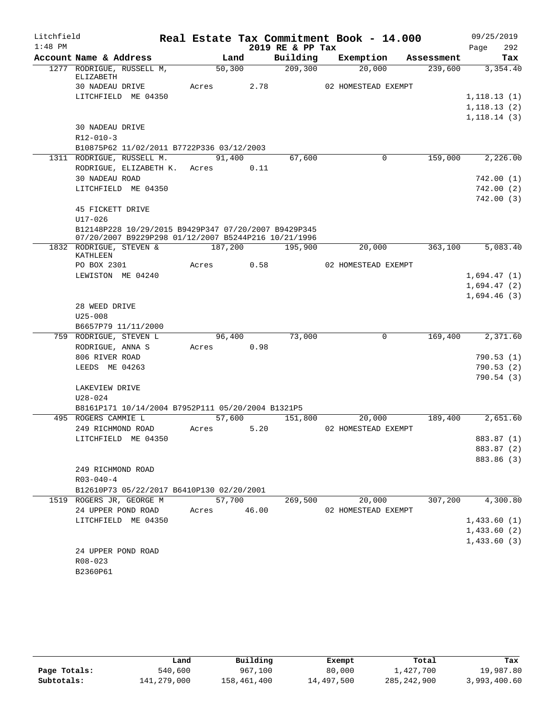| Litchfield |                                                                       |       |             |      | Real Estate Tax Commitment Book - 14.000 |                     |             |            |              | 09/25/2019 |
|------------|-----------------------------------------------------------------------|-------|-------------|------|------------------------------------------|---------------------|-------------|------------|--------------|------------|
| $1:48$ PM  |                                                                       |       |             |      | 2019 RE & PP Tax                         |                     |             |            | Page         | 292        |
|            | Account Name & Address                                                |       | Land        |      | Building                                 | Exemption           |             | Assessment |              | Tax        |
|            | 1277 RODRIGUE, RUSSELL M,                                             |       | 50, 300     |      | 209,300                                  |                     | 20,000      | 239,600    |              | 3,354.40   |
|            | ELIZABETH<br><b>30 NADEAU DRIVE</b>                                   | Acres |             | 2.78 |                                          | 02 HOMESTEAD EXEMPT |             |            |              |            |
|            | LITCHFIELD ME 04350                                                   |       |             |      |                                          |                     |             |            | 1,118.13(1)  |            |
|            |                                                                       |       |             |      |                                          |                     |             |            | 1,118.13(2)  |            |
|            |                                                                       |       |             |      |                                          |                     |             |            | 1, 118.14(3) |            |
|            | 30 NADEAU DRIVE                                                       |       |             |      |                                          |                     |             |            |              |            |
|            | $R12 - 010 - 3$                                                       |       |             |      |                                          |                     |             |            |              |            |
|            | B10875P62 11/02/2011 B7722P336 03/12/2003                             |       |             |      |                                          |                     |             |            |              |            |
|            | 1311 RODRIGUE, RUSSELL M.                                             |       | 91,400      |      | 67,600                                   |                     | $\mathbf 0$ | 159,000    |              | 2,226.00   |
|            | RODRIGUE, ELIZABETH K. Acres                                          |       |             | 0.11 |                                          |                     |             |            |              |            |
|            | 30 NADEAU ROAD                                                        |       |             |      |                                          |                     |             |            |              | 742.00(1)  |
|            | LITCHFIELD ME 04350                                                   |       |             |      |                                          |                     |             |            |              | 742.00(2)  |
|            |                                                                       |       |             |      |                                          |                     |             |            |              | 742.00(3)  |
|            | 45 FICKETT DRIVE                                                      |       |             |      |                                          |                     |             |            |              |            |
|            | $U17 - 026$                                                           |       |             |      |                                          |                     |             |            |              |            |
|            | B12148P228 10/29/2015 B9429P347 07/20/2007 B9429P345                  |       |             |      |                                          |                     |             |            |              |            |
|            | 07/20/2007 B9229P298 01/12/2007 B5244P216 10/21/1996                  |       |             |      |                                          |                     |             |            |              |            |
|            | 1832 RODRIGUE, STEVEN &<br>KATHLEEN                                   |       | 187,200     |      | 195,900                                  |                     | 20,000      | 363,100    |              | 5,083.40   |
|            | PO BOX 2301                                                           | Acres |             | 0.58 |                                          | 02 HOMESTEAD EXEMPT |             |            |              |            |
|            | LEWISTON ME 04240                                                     |       |             |      |                                          |                     |             |            | 1,694.47(1)  |            |
|            |                                                                       |       |             |      |                                          |                     |             |            | 1,694.47(2)  |            |
|            |                                                                       |       |             |      |                                          |                     |             |            | 1,694.46(3)  |            |
|            | 28 WEED DRIVE                                                         |       |             |      |                                          |                     |             |            |              |            |
|            | $U25 - 008$                                                           |       |             |      |                                          |                     |             |            |              |            |
|            | B6657P79 11/11/2000                                                   |       |             |      |                                          |                     |             |            |              |            |
|            | 759 RODRIGUE, STEVEN L                                                |       | 96,400      |      | 73,000                                   |                     | $\mathbf 0$ | 169,400    |              | 2,371.60   |
|            | RODRIGUE, ANNA S                                                      |       | Acres 0.98  |      |                                          |                     |             |            |              |            |
|            | 806 RIVER ROAD                                                        |       |             |      |                                          |                     |             |            |              | 790.53(1)  |
|            | LEEDS ME 04263                                                        |       |             |      |                                          |                     |             |            |              | 790.53(2)  |
|            |                                                                       |       |             |      |                                          |                     |             |            |              | 790.54(3)  |
|            | LAKEVIEW DRIVE                                                        |       |             |      |                                          |                     |             |            |              |            |
|            | U28-024                                                               |       |             |      |                                          |                     |             |            |              |            |
|            | B8161P171 10/14/2004 B7952P111 05/20/2004 B1321P5                     |       |             |      |                                          |                     |             |            |              |            |
|            | 495 ROGERS CAMMIE L                                                   |       | 57,600      |      | 151,800                                  |                     | 20,000      | 189,400    |              | 2,651.60   |
|            | 249 RICHMOND ROAD                                                     | Acres |             | 5.20 |                                          | 02 HOMESTEAD EXEMPT |             |            |              |            |
|            | LITCHFIELD ME 04350                                                   |       |             |      |                                          |                     |             |            |              | 883.87 (1) |
|            |                                                                       |       |             |      |                                          |                     |             |            |              | 883.87 (2) |
|            |                                                                       |       |             |      |                                          |                     |             |            |              | 883.86 (3) |
|            | 249 RICHMOND ROAD                                                     |       |             |      |                                          |                     |             |            |              |            |
|            | $R03 - 040 - 4$                                                       |       |             |      |                                          |                     |             |            |              |            |
|            | B12610P73 05/22/2017 B6410P130 02/20/2001<br>1519 ROGERS JR, GEORGE M |       | 57,700      |      | 269,500                                  |                     | 20,000      | 307,200    |              | 4,300.80   |
|            | 24 UPPER POND ROAD                                                    |       | Acres 46.00 |      |                                          | 02 HOMESTEAD EXEMPT |             |            |              |            |
|            | LITCHFIELD ME 04350                                                   |       |             |      |                                          |                     |             |            | 1,433.60(1)  |            |
|            |                                                                       |       |             |      |                                          |                     |             |            | 1,433.60(2)  |            |
|            |                                                                       |       |             |      |                                          |                     |             |            | 1,433.60(3)  |            |
|            | 24 UPPER POND ROAD                                                    |       |             |      |                                          |                     |             |            |              |            |
|            | R08-023                                                               |       |             |      |                                          |                     |             |            |              |            |
|            | B2360P61                                                              |       |             |      |                                          |                     |             |            |              |            |
|            |                                                                       |       |             |      |                                          |                     |             |            |              |            |

|              | Land        | Building    | Exempt     | Total         | Tax          |
|--------------|-------------|-------------|------------|---------------|--------------|
| Page Totals: | 540,600     | 967,100     | 80,000     | 1,427,700     | 19,987.80    |
| Subtotals:   | 141,279,000 | 158,461,400 | 14,497,500 | 285, 242, 900 | 3,993,400.60 |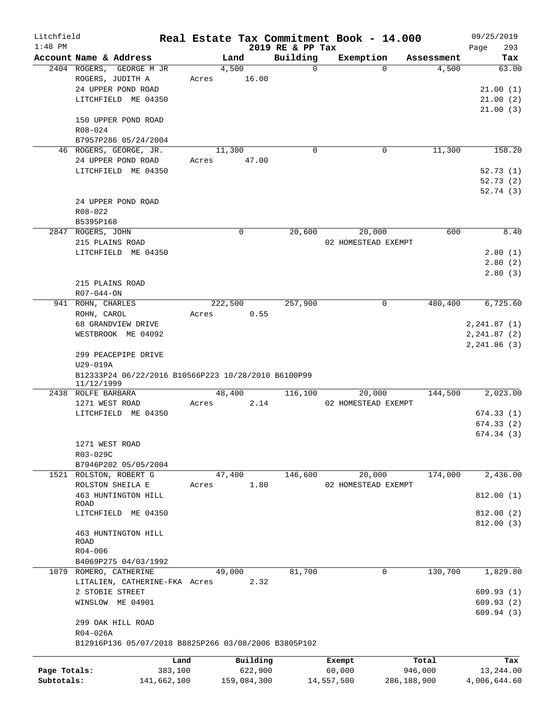| Litchfield<br>$1:48$ PM |                                                      |             |       |             | 2019 RE & PP Tax | Real Estate Tax Commitment Book - 14.000 |             | 09/25/2019<br>293<br>Page |
|-------------------------|------------------------------------------------------|-------------|-------|-------------|------------------|------------------------------------------|-------------|---------------------------|
|                         | Account Name & Address                               |             |       | Land        | Building         | Exemption                                | Assessment  | Tax                       |
|                         | 2404 ROGERS, GEORGE M JR                             |             |       | 4,500       | $\Omega$         | $\Omega$                                 | 4,500       | 63.00                     |
|                         | ROGERS, JUDITH A                                     |             | Acres | 16.00       |                  |                                          |             |                           |
|                         | 24 UPPER POND ROAD                                   |             |       |             |                  |                                          |             | 21.00(1)                  |
|                         | LITCHFIELD ME 04350                                  |             |       |             |                  |                                          |             | 21.00(2)                  |
|                         |                                                      |             |       |             |                  |                                          |             | 21.00(3)                  |
|                         | 150 UPPER POND ROAD                                  |             |       |             |                  |                                          |             |                           |
|                         | R08-024                                              |             |       |             |                  |                                          |             |                           |
|                         | B7957P286 05/24/2004                                 |             |       |             |                  |                                          |             |                           |
|                         | 46 ROGERS, GEORGE, JR.                               |             |       | 11,300      | 0                | $\mathbf 0$                              | 11,300      | 158.20                    |
|                         | 24 UPPER POND ROAD                                   |             | Acres | 47.00       |                  |                                          |             |                           |
|                         | LITCHFIELD ME 04350                                  |             |       |             |                  |                                          |             | 52.73(1)                  |
|                         |                                                      |             |       |             |                  |                                          |             | 52.73(2)                  |
|                         |                                                      |             |       |             |                  |                                          |             | 52.74(3)                  |
|                         | 24 UPPER POND ROAD                                   |             |       |             |                  |                                          |             |                           |
|                         | $R08 - 022$                                          |             |       |             |                  |                                          |             |                           |
|                         | B5395P168                                            |             |       |             |                  |                                          |             |                           |
|                         | 2847 ROGERS, JOHN                                    |             |       | $\mathbf 0$ | 20,600           | 20,000                                   | 600         | 8.40                      |
|                         | 215 PLAINS ROAD                                      |             |       |             |                  | 02 HOMESTEAD EXEMPT                      |             |                           |
|                         | LITCHFIELD ME 04350                                  |             |       |             |                  |                                          |             | 2.80(1)                   |
|                         |                                                      |             |       |             |                  |                                          |             | 2.80(2)                   |
|                         |                                                      |             |       |             |                  |                                          |             | 2.80(3)                   |
|                         | 215 PLAINS ROAD                                      |             |       |             |                  |                                          |             |                           |
|                         | $R07 - 044 - ON$                                     |             |       |             |                  |                                          |             |                           |
|                         | 941 ROHN, CHARLES                                    |             |       | 222,500     | 257,900          | 0                                        | 480,400     | 6,725.60                  |
|                         | ROHN, CAROL                                          |             | Acres | 0.55        |                  |                                          |             |                           |
|                         | 68 GRANDVIEW DRIVE                                   |             |       |             |                  |                                          |             | 2, 241.87(1)              |
|                         | WESTBROOK ME 04092                                   |             |       |             |                  |                                          |             | 2, 241.87 (2)             |
|                         |                                                      |             |       |             |                  |                                          |             | 2, 241.86(3)              |
|                         | 299 PEACEPIPE DRIVE                                  |             |       |             |                  |                                          |             |                           |
|                         | U29-019A                                             |             |       |             |                  |                                          |             |                           |
|                         | B12333P24 06/22/2016 B10566P223 10/28/2010 B6100P99  |             |       |             |                  |                                          |             |                           |
|                         | 11/12/1999                                           |             |       |             |                  |                                          |             |                           |
|                         | 2438 ROLFE BARBARA                                   |             |       | 48,400      | 116,100          | 20,000                                   | 144,500     | 2,023.00                  |
|                         | 1271 WEST ROAD                                       |             | Acres | 2.14        |                  | 02 HOMESTEAD EXEMPT                      |             |                           |
|                         | LITCHFIELD ME 04350                                  |             |       |             |                  |                                          |             | 674.33(1)                 |
|                         |                                                      |             |       |             |                  |                                          |             | 674.33 (2)                |
|                         |                                                      |             |       |             |                  |                                          |             | 674.34(3)                 |
|                         | 1271 WEST ROAD                                       |             |       |             |                  |                                          |             |                           |
|                         | R03-029C                                             |             |       |             |                  |                                          |             |                           |
|                         | B7946P202 05/05/2004                                 |             |       |             |                  |                                          |             |                           |
|                         | 1521 ROLSTON, ROBERT G                               |             |       | 47,400      | 146,600          | 20,000                                   | 174,000     | 2,436.00                  |
|                         | ROLSTON SHEILA E                                     |             | Acres | 1.80        |                  | 02 HOMESTEAD EXEMPT                      |             |                           |
|                         | 463 HUNTINGTON HILL                                  |             |       |             |                  |                                          |             | 812.00(1)                 |
|                         | ROAD                                                 |             |       |             |                  |                                          |             |                           |
|                         | LITCHFIELD ME 04350                                  |             |       |             |                  |                                          |             | 812.00 (2)                |
|                         |                                                      |             |       |             |                  |                                          |             | 812.00(3)                 |
|                         | 463 HUNTINGTON HILL<br><b>ROAD</b>                   |             |       |             |                  |                                          |             |                           |
|                         | $R04 - 006$                                          |             |       |             |                  |                                          |             |                           |
|                         | B4069P275 04/03/1992                                 |             |       |             |                  |                                          |             |                           |
|                         | 1079 ROMERO, CATHERINE                               |             |       | 49,000      | 81,700           | 0                                        | 130,700     | 1,829.80                  |
|                         | LITALIEN, CATHERINE-FKA Acres                        |             |       | 2.32        |                  |                                          |             |                           |
|                         | 2 STOBIE STREET                                      |             |       |             |                  |                                          |             | 609.93(1)                 |
|                         | WINSLOW ME 04901                                     |             |       |             |                  |                                          |             | 609.93(2)                 |
|                         |                                                      |             |       |             |                  |                                          |             | 609.94(3)                 |
|                         | 299 OAK HILL ROAD                                    |             |       |             |                  |                                          |             |                           |
|                         | R04-026A                                             |             |       |             |                  |                                          |             |                           |
|                         | B12916P136 05/07/2018 B8825P266 03/08/2006 B3805P102 |             |       |             |                  |                                          |             |                           |
|                         |                                                      |             |       |             |                  |                                          |             |                           |
|                         |                                                      | Land        |       | Building    |                  | Exempt                                   | Total       | Tax                       |
| Page Totals:            |                                                      | 383,100     |       | 622,900     |                  | 60,000                                   | 946,000     | 13,244.00                 |
| Subtotals:              |                                                      | 141,662,100 |       | 159,084,300 |                  | 14,557,500                               | 286,188,900 | 4,006,644.60              |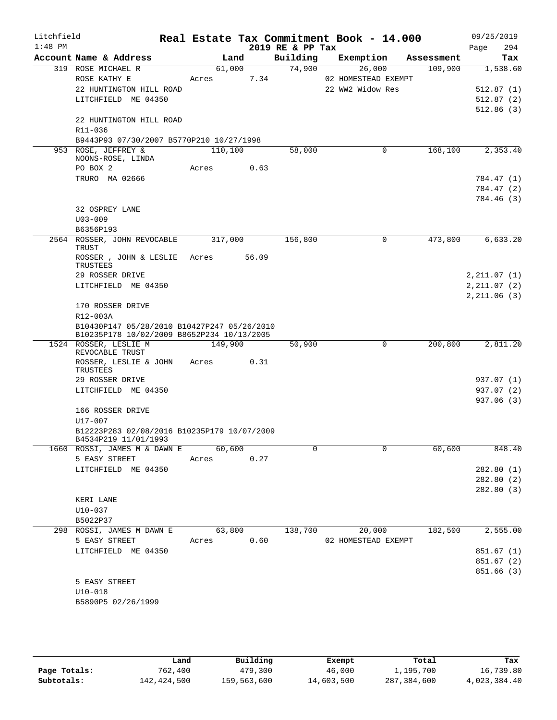| Litchfield |                                                                     |            |       |                  | Real Estate Tax Commitment Book - 14.000 |            | 09/25/2019   |
|------------|---------------------------------------------------------------------|------------|-------|------------------|------------------------------------------|------------|--------------|
| $1:48$ PM  |                                                                     |            |       | 2019 RE & PP Tax |                                          |            | Page<br>294  |
|            | Account Name & Address                                              | Land       |       | Building         | Exemption                                | Assessment | Tax          |
|            | 319 ROSE MICHAEL R                                                  | 61,000     |       | 74,900           | 26,000                                   | 109,900    | 1,538.60     |
|            | ROSE KATHY E                                                        | Acres      | 7.34  |                  | 02 HOMESTEAD EXEMPT                      |            |              |
|            | 22 HUNTINGTON HILL ROAD                                             |            |       |                  | 22 WW2 Widow Res                         |            | 512.87(1)    |
|            | LITCHFIELD ME 04350                                                 |            |       |                  |                                          |            | 512.87(2)    |
|            | 22 HUNTINGTON HILL ROAD                                             |            |       |                  |                                          |            | 512.86(3)    |
|            | R11-036                                                             |            |       |                  |                                          |            |              |
|            | B9443P93 07/30/2007 B5770P210 10/27/1998                            |            |       |                  |                                          |            |              |
|            | 953 ROSE, JEFFREY &                                                 | 110,100    |       | 58,000           | 0                                        | 168,100    | 2,353.40     |
|            | NOONS-ROSE, LINDA                                                   |            |       |                  |                                          |            |              |
|            | PO BOX 2                                                            | Acres      | 0.63  |                  |                                          |            |              |
|            | TRURO MA 02666                                                      |            |       |                  |                                          |            | 784.47 (1)   |
|            |                                                                     |            |       |                  |                                          |            | 784.47 (2)   |
|            |                                                                     |            |       |                  |                                          |            | 784.46 (3)   |
|            | 32 OSPREY LANE                                                      |            |       |                  |                                          |            |              |
|            | $U03 - 009$                                                         |            |       |                  |                                          |            |              |
|            | B6356P193                                                           |            |       |                  |                                          |            | 6,633.20     |
|            | 2564 ROSSER, JOHN REVOCABLE<br>TRUST                                | 317,000    |       | 156,800          | $\mathbf 0$                              | 473,800    |              |
|            | ROSSER, JOHN & LESLIE Acres                                         |            | 56.09 |                  |                                          |            |              |
|            | TRUSTEES                                                            |            |       |                  |                                          |            |              |
|            | 29 ROSSER DRIVE                                                     |            |       |                  |                                          |            | 2, 211.07(1) |
|            | LITCHFIELD ME 04350                                                 |            |       |                  |                                          |            | 2, 211.07(2) |
|            | 170 ROSSER DRIVE                                                    |            |       |                  |                                          |            | 2, 211.06(3) |
|            | R12-003A                                                            |            |       |                  |                                          |            |              |
|            | B10430P147 05/28/2010 B10427P247 05/26/2010                         |            |       |                  |                                          |            |              |
|            | B10235P178 10/02/2009 B8652P234 10/13/2005                          |            |       |                  |                                          |            |              |
|            | 1524 ROSSER, LESLIE M<br>REVOCABLE TRUST                            | 149,900    |       | 50,900           | 0                                        | 200,800    | 2,811.20     |
|            | ROSSER, LESLIE & JOHN                                               | Acres      | 0.31  |                  |                                          |            |              |
|            | TRUSTEES                                                            |            |       |                  |                                          |            |              |
|            | 29 ROSSER DRIVE                                                     |            |       |                  |                                          |            | 937.07 (1)   |
|            | LITCHFIELD ME 04350                                                 |            |       |                  |                                          |            | 937.07 (2)   |
|            |                                                                     |            |       |                  |                                          |            | 937.06 (3)   |
|            | 166 ROSSER DRIVE                                                    |            |       |                  |                                          |            |              |
|            | U17-007                                                             |            |       |                  |                                          |            |              |
|            | B12223P283 02/08/2016 B10235P179 10/07/2009<br>B4534P219 11/01/1993 |            |       |                  |                                          |            |              |
|            | 1660 ROSSI, JAMES M & DAWN E 60,600                                 |            |       | 0                | 0                                        | 60,600     | 848.40       |
|            | 5 EASY STREET                                                       | Acres 0.27 |       |                  |                                          |            |              |
|            | LITCHFIELD ME 04350                                                 |            |       |                  |                                          |            | 282.80(1)    |
|            |                                                                     |            |       |                  |                                          |            | 282.80 (2)   |
|            |                                                                     |            |       |                  |                                          |            | 282.80(3)    |
|            | KERI LANE                                                           |            |       |                  |                                          |            |              |
|            | $U10-037$                                                           |            |       |                  |                                          |            |              |
|            | B5022P37                                                            |            |       |                  |                                          |            |              |
|            | 298 ROSSI, JAMES M DAWN E                                           | 63,800     |       | 138,700          | 20,000                                   | 182,500    | 2,555.00     |
|            | 5 EASY STREET                                                       | Acres 0.60 |       |                  | 02 HOMESTEAD EXEMPT                      |            |              |
|            | LITCHFIELD ME 04350                                                 |            |       |                  |                                          |            | 851.67(1)    |
|            |                                                                     |            |       |                  |                                          |            | 851.67 (2)   |
|            |                                                                     |            |       |                  |                                          |            | 851.66(3)    |
|            | 5 EASY STREET                                                       |            |       |                  |                                          |            |              |
|            | $U10-018$<br>B5890P5 02/26/1999                                     |            |       |                  |                                          |            |              |
|            |                                                                     |            |       |                  |                                          |            |              |

|              | Land        | Building    | Exempt     | Total       | Tax          |
|--------------|-------------|-------------|------------|-------------|--------------|
| Page Totals: | 762,400     | 479,300     | 46,000     | 1,195,700   | 16,739.80    |
| Subtotals:   | 142,424,500 | 159,563,600 | 14,603,500 | 287,384,600 | 4,023,384.40 |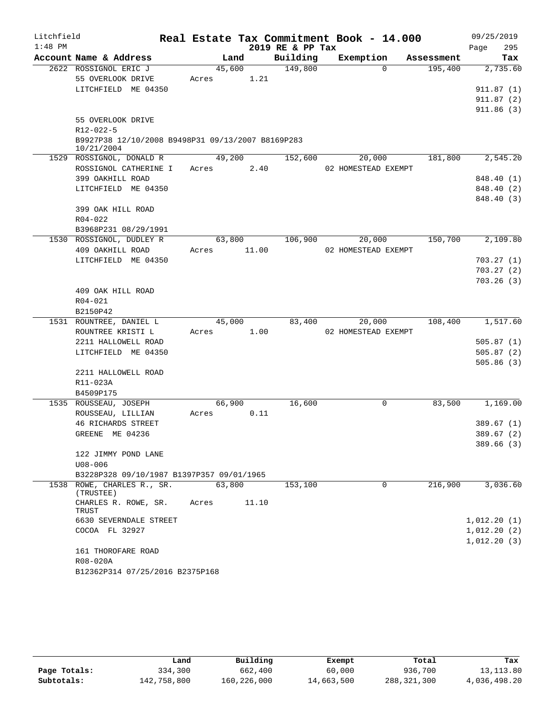| Litchfield |                                                   |        |        |                  | Real Estate Tax Commitment Book - 14.000 |            | 09/25/2019  |
|------------|---------------------------------------------------|--------|--------|------------------|------------------------------------------|------------|-------------|
| $1:48$ PM  |                                                   |        |        | 2019 RE & PP Tax |                                          |            | 295<br>Page |
|            | Account Name & Address                            | Land   |        | Building         | Exemption                                | Assessment | Tax         |
|            | 2622 ROSSIGNOL ERIC J                             | 45,600 |        | 149,800          | $\Omega$                                 | 195,400    | 2,735.60    |
|            | 55 OVERLOOK DRIVE                                 | Acres  | 1.21   |                  |                                          |            |             |
|            | LITCHFIELD ME 04350                               |        |        |                  |                                          |            | 911.87(1)   |
|            |                                                   |        |        |                  |                                          |            | 911.87(2)   |
|            | 55 OVERLOOK DRIVE                                 |        |        |                  |                                          |            | 911.86(3)   |
|            | R12-022-5                                         |        |        |                  |                                          |            |             |
|            | B9927P38 12/10/2008 B9498P31 09/13/2007 B8169P283 |        |        |                  |                                          |            |             |
|            | 10/21/2004                                        |        |        |                  |                                          |            |             |
|            | 1529 ROSSIGNOL, DONALD R                          | 49,200 |        | 152,600          | 20,000                                   | 181,800    | 2,545.20    |
|            | ROSSIGNOL CATHERINE I                             | Acres  | 2.40   |                  | 02 HOMESTEAD EXEMPT                      |            |             |
|            | 399 OAKHILL ROAD                                  |        |        |                  |                                          |            | 848.40 (1)  |
|            | LITCHFIELD ME 04350                               |        |        |                  |                                          |            | 848.40 (2)  |
|            |                                                   |        |        |                  |                                          |            | 848.40 (3)  |
|            | 399 OAK HILL ROAD                                 |        |        |                  |                                          |            |             |
|            | $R04 - 022$                                       |        |        |                  |                                          |            |             |
|            | B3968P231 08/29/1991<br>1530 ROSSIGNOL, DUDLEY R  |        | 63,800 | 106,900          | 20,000                                   | 150,700    | 2,109.80    |
|            | 409 OAKHILL ROAD                                  | Acres  | 11.00  |                  | 02 HOMESTEAD EXEMPT                      |            |             |
|            | LITCHFIELD ME 04350                               |        |        |                  |                                          |            | 703.27(1)   |
|            |                                                   |        |        |                  |                                          |            | 703.27(2)   |
|            |                                                   |        |        |                  |                                          |            | 703.26(3)   |
|            | 409 OAK HILL ROAD                                 |        |        |                  |                                          |            |             |
|            | R04-021                                           |        |        |                  |                                          |            |             |
|            | B2150P42                                          |        |        |                  |                                          |            |             |
|            | 1531 ROUNTREE, DANIEL L                           | 45,000 |        | 83,400           | 20,000                                   | 108,400    | 1,517.60    |
|            | ROUNTREE KRISTI L                                 | Acres  | 1.00   |                  | 02 HOMESTEAD EXEMPT                      |            |             |
|            | 2211 HALLOWELL ROAD                               |        |        |                  |                                          |            | 505.87(1)   |
|            | LITCHFIELD ME 04350                               |        |        |                  |                                          |            | 505.87(2)   |
|            |                                                   |        |        |                  |                                          |            | 505.86(3)   |
|            | 2211 HALLOWELL ROAD                               |        |        |                  |                                          |            |             |
|            | R11-023A<br>B4509P175                             |        |        |                  |                                          |            |             |
|            | 1535 ROUSSEAU, JOSEPH                             | 66,900 |        | 16,600           | 0                                        | 83,500     | 1,169.00    |
|            | ROUSSEAU, LILLIAN                                 | Acres  | 0.11   |                  |                                          |            |             |
|            | <b>46 RICHARDS STREET</b>                         |        |        |                  |                                          |            | 389.67(1)   |
|            | GREENE ME 04236                                   |        |        |                  |                                          |            | 389.67(2)   |
|            |                                                   |        |        |                  |                                          |            | 389.66(3)   |
|            | 122 JIMMY POND LANE                               |        |        |                  |                                          |            |             |
|            | $U08 - 006$                                       |        |        |                  |                                          |            |             |
|            | B3228P328 09/10/1987 B1397P357 09/01/1965         |        |        |                  |                                          |            |             |
|            | 1538 ROWE, CHARLES R., SR.<br>(TRUSTEE)           | 63,800 |        | 153,100          | 0                                        | 216,900    | 3,036.60    |
|            | CHARLES R. ROWE, SR.<br>TRUST                     | Acres  | 11.10  |                  |                                          |            |             |
|            | 6630 SEVERNDALE STREET                            |        |        |                  |                                          |            | 1,012.20(1) |
|            | COCOA FL 32927                                    |        |        |                  |                                          |            | 1,012.20(2) |
|            |                                                   |        |        |                  |                                          |            | 1,012.20(3) |
|            | 161 THOROFARE ROAD                                |        |        |                  |                                          |            |             |
|            | R08-020A                                          |        |        |                  |                                          |            |             |
|            | B12362P314 07/25/2016 B2375P168                   |        |        |                  |                                          |            |             |

|              | Land        | Building    | Exempt     | Total       | Tax          |
|--------------|-------------|-------------|------------|-------------|--------------|
| Page Totals: | 334,300     | 662,400     | 60,000     | 936,700     | 13, 113.80   |
| Subtotals:   | 142,758,800 | 160,226,000 | 14,663,500 | 288,321,300 | 4,036,498.20 |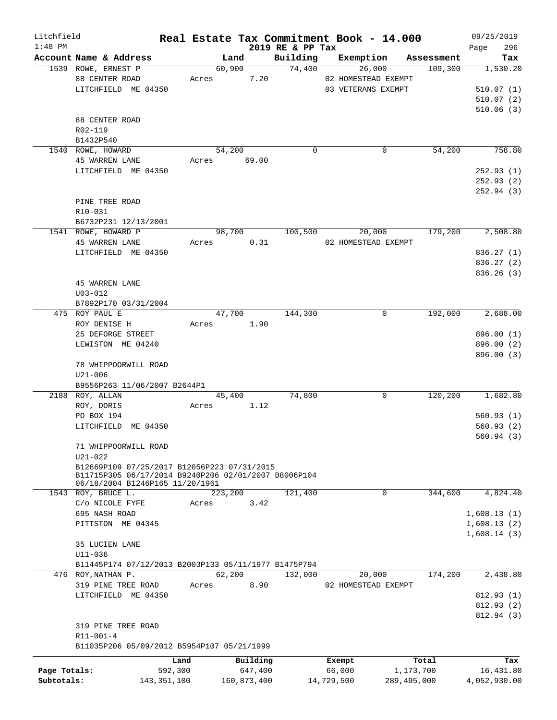| Litchfield   |                                                      |             |         |             |                              | Real Estate Tax Commitment Book - 14.000 |             |                       | 09/25/2019         |
|--------------|------------------------------------------------------|-------------|---------|-------------|------------------------------|------------------------------------------|-------------|-----------------------|--------------------|
| $1:48$ PM    | Account Name & Address                               |             | Land    |             | 2019 RE & PP Tax<br>Building | Exemption                                |             |                       | 296<br>Page<br>Tax |
|              | 1539 ROWE, ERNEST P                                  |             | 60,900  |             | 74,400                       | 26,000                                   |             | Assessment<br>109,300 | 1,530.20           |
|              | 88 CENTER ROAD                                       | Acres       |         | 7.20        |                              | 02 HOMESTEAD EXEMPT                      |             |                       |                    |
|              | LITCHFIELD ME 04350                                  |             |         |             |                              | 03 VETERANS EXEMPT                       |             |                       | 510.07(1)          |
|              |                                                      |             |         |             |                              |                                          |             |                       | 510.07(2)          |
|              |                                                      |             |         |             |                              |                                          |             |                       |                    |
|              |                                                      |             |         |             |                              |                                          |             |                       | 510.06(3)          |
|              | 88 CENTER ROAD                                       |             |         |             |                              |                                          |             |                       |                    |
|              | R02-119                                              |             |         |             |                              |                                          |             |                       |                    |
|              | B1432P540                                            |             |         |             |                              |                                          |             |                       |                    |
|              | 1540 ROWE, HOWARD                                    |             | 54,200  |             | $\Omega$                     |                                          | 0           | 54,200                | 758.80             |
|              | <b>45 WARREN LANE</b>                                |             |         | Acres 69.00 |                              |                                          |             |                       |                    |
|              | LITCHFIELD ME 04350                                  |             |         |             |                              |                                          |             |                       | 252.93(1)          |
|              |                                                      |             |         |             |                              |                                          |             |                       | 252.93(2)          |
|              |                                                      |             |         |             |                              |                                          |             |                       | 252.94 (3)         |
|              | PINE TREE ROAD                                       |             |         |             |                              |                                          |             |                       |                    |
|              | $R10-031$                                            |             |         |             |                              |                                          |             |                       |                    |
|              | B6732P231 12/13/2001                                 |             |         |             |                              |                                          |             |                       |                    |
|              | 1541 ROWE, HOWARD P                                  |             | 98,700  |             | 100,500                      | 20,000                                   |             | 179,200               | 2,508.80           |
|              | <b>45 WARREN LANE</b>                                |             | Acres   | 0.31        |                              | 02 HOMESTEAD EXEMPT                      |             |                       |                    |
|              | LITCHFIELD ME 04350                                  |             |         |             |                              |                                          |             |                       | 836.27 (1)         |
|              |                                                      |             |         |             |                              |                                          |             |                       | 836.27(2)          |
|              |                                                      |             |         |             |                              |                                          |             |                       | 836.26(3)          |
|              | 45 WARREN LANE                                       |             |         |             |                              |                                          |             |                       |                    |
|              | $U03 - 012$                                          |             |         |             |                              |                                          |             |                       |                    |
|              | B7892P170 03/31/2004                                 |             |         |             |                              |                                          |             |                       |                    |
|              | 475 ROY PAUL E                                       |             | 47,700  |             | 144,300                      |                                          | 0           | 192,000               | 2,688.00           |
|              | ROY DENISE H                                         | Acres       |         | 1.90        |                              |                                          |             |                       |                    |
|              | 25 DEFORGE STREET                                    |             |         |             |                              |                                          |             |                       | 896.00 (1)         |
|              | LEWISTON ME 04240                                    |             |         |             |                              |                                          |             |                       | 896.00 (2)         |
|              |                                                      |             |         |             |                              |                                          |             |                       | 896.00 (3)         |
|              | 78 WHIPPOORWILL ROAD                                 |             |         |             |                              |                                          |             |                       |                    |
|              | $U21 - 006$                                          |             |         |             |                              |                                          |             |                       |                    |
|              | B9556P263 11/06/2007 B2644P1                         |             |         |             |                              |                                          |             |                       |                    |
|              | 2188 ROY, ALLAN                                      |             | 45,400  |             | 74,800                       |                                          | 0           | 120,200               | 1,682.80           |
|              | ROY, DORIS                                           | Acres       |         | 1.12        |                              |                                          |             |                       |                    |
|              | PO BOX 194                                           |             |         |             |                              |                                          |             |                       | 560.93(1)          |
|              | LITCHFIELD ME 04350                                  |             |         |             |                              |                                          |             |                       | 560.93(2)          |
|              |                                                      |             |         |             |                              |                                          |             |                       | 560.94(3)          |
|              | 71 WHIPPOORWILL ROAD                                 |             |         |             |                              |                                          |             |                       |                    |
|              | $U21 - 022$                                          |             |         |             |                              |                                          |             |                       |                    |
|              | B12669P109 07/25/2017 B12056P223 07/31/2015          |             |         |             |                              |                                          |             |                       |                    |
|              | B11715P305 06/17/2014 B9240P206 02/01/2007 B8006P104 |             |         |             |                              |                                          |             |                       |                    |
|              | 06/18/2004 B1246P165 11/20/1961                      |             |         |             |                              |                                          |             |                       |                    |
|              | 1543 ROY, BRUCE L.                                   |             | 223,200 |             | 121,400                      |                                          | 0           | 344,600               | 4,824.40           |
|              | C/O NICOLE FYFE                                      | Acres       |         | 3.42        |                              |                                          |             |                       |                    |
|              | 695 NASH ROAD                                        |             |         |             |                              |                                          |             |                       | 1,608.13(1)        |
|              | PITTSTON ME 04345                                    |             |         |             |                              |                                          |             |                       | 1,608.13(2)        |
|              |                                                      |             |         |             |                              |                                          |             |                       | 1,608.14(3)        |
|              | 35 LUCIEN LANE                                       |             |         |             |                              |                                          |             |                       |                    |
|              | U11-036                                              |             |         |             |                              |                                          |             |                       |                    |
|              | B11445P174 07/12/2013 B2003P133 05/11/1977 B1475P794 |             |         |             |                              |                                          |             |                       |                    |
|              | 476 ROY, NATHAN P.                                   |             | 62,200  |             | 132,000                      | 20,000                                   |             | 174,200               | 2,438.80           |
|              | 319 PINE TREE ROAD                                   | Acres       |         | 8.90        |                              | 02 HOMESTEAD EXEMPT                      |             |                       |                    |
|              | LITCHFIELD ME 04350                                  |             |         |             |                              |                                          |             |                       | 812.93 (1)         |
|              |                                                      |             |         |             |                              |                                          |             |                       | 812.93 (2)         |
|              |                                                      |             |         |             |                              |                                          |             |                       | 812.94 (3)         |
|              | 319 PINE TREE ROAD                                   |             |         |             |                              |                                          |             |                       |                    |
|              | $R11 - 001 - 4$                                      |             |         |             |                              |                                          |             |                       |                    |
|              | B11035P206 05/09/2012 B5954P107 05/21/1999           |             |         |             |                              |                                          |             |                       |                    |
|              |                                                      |             |         |             |                              |                                          |             |                       |                    |
|              |                                                      | Land        |         | Building    |                              | Exempt                                   |             | Total                 | Tax                |
| Page Totals: |                                                      | 592,300     |         | 647,400     |                              | 66,000                                   |             | 1,173,700             | 16,431.80          |
| Subtotals:   |                                                      | 143,351,100 |         | 160,873,400 |                              | 14,729,500                               | 289,495,000 |                       | 4,052,930.00       |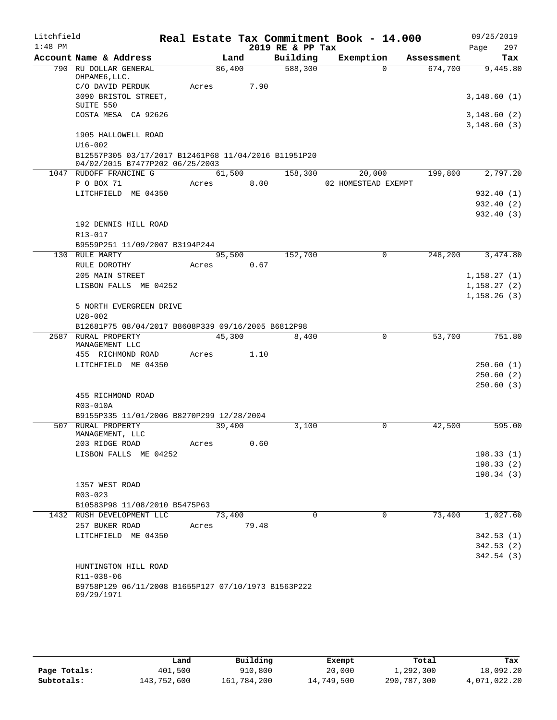| Litchfield |                                                      |       |        |       | Real Estate Tax Commitment Book - 14.000 |                     |          |            |              | 09/25/2019  |
|------------|------------------------------------------------------|-------|--------|-------|------------------------------------------|---------------------|----------|------------|--------------|-------------|
| $1:48$ PM  |                                                      |       |        |       | 2019 RE & PP Tax                         |                     |          |            | Page         | 297         |
|            | Account Name & Address                               |       | Land   |       | Building                                 | Exemption           |          | Assessment |              | Tax         |
|            | 790 RU DOLLAR GENERAL<br>OHPAME6, LLC.               |       | 86,400 |       | 588,300                                  |                     | $\Omega$ | 674,700    |              | 9,445.80    |
|            | C/O DAVID PERDUK                                     | Acres |        | 7.90  |                                          |                     |          |            |              |             |
|            | 3090 BRISTOL STREET,<br>SUITE 550                    |       |        |       |                                          |                     |          |            |              | 3,148.60(1) |
|            | COSTA MESA CA 92626                                  |       |        |       |                                          |                     |          |            |              | 3,148.60(2) |
|            |                                                      |       |        |       |                                          |                     |          |            | 3,148.60(3)  |             |
|            | 1905 HALLOWELL ROAD<br>$U16 - 002$                   |       |        |       |                                          |                     |          |            |              |             |
|            | B12557P305 03/17/2017 B12461P68 11/04/2016 B11951P20 |       |        |       |                                          |                     |          |            |              |             |
|            | 04/02/2015 B7477P202 06/25/2003                      |       |        |       |                                          |                     |          |            |              |             |
|            | 1047 RUDOFF FRANCINE G                               |       | 61,500 |       | 158,300                                  |                     | 20,000   | 199,800    |              | 2,797.20    |
|            | P O BOX 71                                           | Acres |        | 8.00  |                                          | 02 HOMESTEAD EXEMPT |          |            |              |             |
|            | LITCHFIELD ME 04350                                  |       |        |       |                                          |                     |          |            |              | 932.40(1)   |
|            |                                                      |       |        |       |                                          |                     |          |            |              | 932.40 (2)  |
|            |                                                      |       |        |       |                                          |                     |          |            |              | 932.40(3)   |
|            | 192 DENNIS HILL ROAD                                 |       |        |       |                                          |                     |          |            |              |             |
|            | R13-017                                              |       |        |       |                                          |                     |          |            |              |             |
|            | B9559P251 11/09/2007 B3194P244<br>130 RULE MARTY     |       | 95,500 |       | 152,700                                  |                     | $\Omega$ | 248,200    |              | 3,474.80    |
|            | RULE DOROTHY                                         | Acres |        | 0.67  |                                          |                     |          |            |              |             |
|            | 205 MAIN STREET                                      |       |        |       |                                          |                     |          |            | 1, 158.27(1) |             |
|            | LISBON FALLS ME 04252                                |       |        |       |                                          |                     |          |            | 1, 158.27(2) |             |
|            |                                                      |       |        |       |                                          |                     |          |            | 1,158.26(3)  |             |
|            | 5 NORTH EVERGREEN DRIVE                              |       |        |       |                                          |                     |          |            |              |             |
|            | $U28 - 002$                                          |       |        |       |                                          |                     |          |            |              |             |
|            | B12681P75 08/04/2017 B8608P339 09/16/2005 B6812P98   |       |        |       |                                          |                     |          |            |              |             |
|            | 2587 RURAL PROPERTY                                  |       | 45,300 |       | 8,400                                    |                     | 0        | 53,700     |              | 751.80      |
|            | MANAGEMENT LLC                                       |       |        |       |                                          |                     |          |            |              |             |
|            | 455 RICHMOND ROAD<br>LITCHFIELD ME 04350             | Acres |        | 1.10  |                                          |                     |          |            |              | 250.60(1)   |
|            |                                                      |       |        |       |                                          |                     |          |            |              | 250.60(2)   |
|            |                                                      |       |        |       |                                          |                     |          |            |              | 250.60(3)   |
|            | 455 RICHMOND ROAD                                    |       |        |       |                                          |                     |          |            |              |             |
|            | R03-010A                                             |       |        |       |                                          |                     |          |            |              |             |
|            | B9155P335 11/01/2006 B8270P299 12/28/2004            |       |        |       |                                          |                     |          |            |              |             |
|            | 507 RURAL PROPERTY<br>MANAGEMENT, LLC                |       | 39,400 |       | 3,100                                    |                     | 0        | 42,500     |              | 595.00      |
|            | 203 RIDGE ROAD                                       | Acres |        | 0.60  |                                          |                     |          |            |              |             |
|            | LISBON FALLS ME 04252                                |       |        |       |                                          |                     |          |            |              | 198.33(1)   |
|            |                                                      |       |        |       |                                          |                     |          |            |              | 198.33(2)   |
|            |                                                      |       |        |       |                                          |                     |          |            |              | 198.34(3)   |
|            | 1357 WEST ROAD                                       |       |        |       |                                          |                     |          |            |              |             |
|            | R03-023                                              |       |        |       |                                          |                     |          |            |              |             |
|            | B10583P98 11/08/2010 B5475P63                        |       |        |       |                                          |                     |          |            |              |             |
|            | 1432 RUSH DEVELOPMENT LLC                            |       | 73,400 |       | $\Omega$                                 |                     | $\Omega$ | 73,400     |              | 1,027.60    |
|            | 257 BUKER ROAD                                       | Acres |        | 79.48 |                                          |                     |          |            |              |             |
|            | LITCHFIELD ME 04350                                  |       |        |       |                                          |                     |          |            |              | 342.53(1)   |
|            |                                                      |       |        |       |                                          |                     |          |            |              | 342.53(2)   |
|            | HUNTINGTON HILL ROAD                                 |       |        |       |                                          |                     |          |            |              | 342.54(3)   |
|            | R11-038-06                                           |       |        |       |                                          |                     |          |            |              |             |
|            | B9758P129 06/11/2008 B1655P127 07/10/1973 B1563P222  |       |        |       |                                          |                     |          |            |              |             |
|            | 09/29/1971                                           |       |        |       |                                          |                     |          |            |              |             |

|              | Land        | Building    | Exempt     | Total       | Tax          |
|--------------|-------------|-------------|------------|-------------|--------------|
| Page Totals: | 401,500     | 910,800     | 20,000     | 1,292,300   | 18,092.20    |
| Subtotals:   | 143,752,600 | 161,784,200 | 14,749,500 | 290,787,300 | 4,071,022.20 |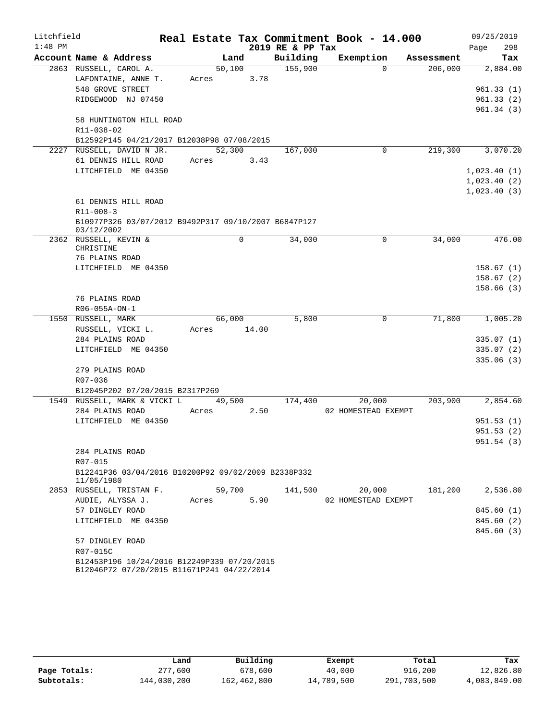| Litchfield |                                                                                           |       |        |       |                  | Real Estate Tax Commitment Book - 14.000 |            | 09/25/2019             |
|------------|-------------------------------------------------------------------------------------------|-------|--------|-------|------------------|------------------------------------------|------------|------------------------|
| $1:48$ PM  |                                                                                           |       |        |       | 2019 RE & PP Tax |                                          |            | 298<br>Page            |
|            | Account Name & Address                                                                    |       | Land   |       | Building         | Exemption                                | Assessment | Tax                    |
|            | 2863 RUSSELL, CAROL A.                                                                    |       | 50,100 |       | 155,900          | $\Omega$                                 | 206,000    | 2,884.00               |
|            | LAFONTAINE, ANNE T.                                                                       | Acres |        | 3.78  |                  |                                          |            |                        |
|            | 548 GROVE STREET                                                                          |       |        |       |                  |                                          |            | 961.33(1)              |
|            | RIDGEWOOD NJ 07450                                                                        |       |        |       |                  |                                          |            | 961.33(2)              |
|            | 58 HUNTINGTON HILL ROAD                                                                   |       |        |       |                  |                                          |            | 961.34(3)              |
|            | R11-038-02                                                                                |       |        |       |                  |                                          |            |                        |
|            | B12592P145 04/21/2017 B12038P98 07/08/2015                                                |       |        |       |                  |                                          |            |                        |
|            | 2227 RUSSELL, DAVID N JR.                                                                 |       | 52,300 |       | 167,000          | 0                                        | 219,300    | 3,070.20               |
|            | 61 DENNIS HILL ROAD                                                                       | Acres |        | 3.43  |                  |                                          |            |                        |
|            | LITCHFIELD ME 04350                                                                       |       |        |       |                  |                                          |            | 1,023.40(1)            |
|            |                                                                                           |       |        |       |                  |                                          |            | 1,023.40(2)            |
|            |                                                                                           |       |        |       |                  |                                          |            | 1,023.40(3)            |
|            | 61 DENNIS HILL ROAD                                                                       |       |        |       |                  |                                          |            |                        |
|            | $R11 - 008 - 3$                                                                           |       |        |       |                  |                                          |            |                        |
|            | B10977P326 03/07/2012 B9492P317 09/10/2007 B6847P127<br>03/12/2002                        |       |        |       |                  |                                          |            |                        |
|            | 2362 RUSSELL, KEVIN &                                                                     |       |        | 0     | 34,000           | 0                                        | 34,000     | 476.00                 |
|            | CHRISTINE                                                                                 |       |        |       |                  |                                          |            |                        |
|            | 76 PLAINS ROAD<br>LITCHFIELD ME 04350                                                     |       |        |       |                  |                                          |            | 158.67(1)              |
|            |                                                                                           |       |        |       |                  |                                          |            | 158.67(2)              |
|            |                                                                                           |       |        |       |                  |                                          |            | 158.66(3)              |
|            | 76 PLAINS ROAD                                                                            |       |        |       |                  |                                          |            |                        |
|            | R06-055A-ON-1                                                                             |       |        |       |                  |                                          |            |                        |
|            | 1550 RUSSELL, MARK                                                                        |       | 66,000 |       | 5,800            | 0                                        | 71,800     | 1,005.20               |
|            | RUSSELL, VICKI L.                                                                         | Acres |        | 14.00 |                  |                                          |            |                        |
|            | 284 PLAINS ROAD                                                                           |       |        |       |                  |                                          |            | 335.07 (1)             |
|            | LITCHFIELD ME 04350                                                                       |       |        |       |                  |                                          |            | 335.07(2)              |
|            |                                                                                           |       |        |       |                  |                                          |            | 335.06(3)              |
|            | 279 PLAINS ROAD                                                                           |       |        |       |                  |                                          |            |                        |
|            | R07-036                                                                                   |       |        |       |                  |                                          |            |                        |
|            | B12045P202 07/20/2015 B2317P269                                                           |       |        |       |                  |                                          |            |                        |
|            | 1549 RUSSELL, MARK & VICKI L                                                              |       | 49,500 |       | 174,400          | 20,000                                   | 203,900    | 2,854.60               |
|            | 284 PLAINS ROAD                                                                           | Acres |        | 2.50  |                  | 02 HOMESTEAD EXEMPT                      |            |                        |
|            | LITCHFIELD ME 04350                                                                       |       |        |       |                  |                                          |            | 951.53(1)<br>951.53(2) |
|            |                                                                                           |       |        |       |                  |                                          |            | 951.54 (3)             |
|            | 284 PLAINS ROAD                                                                           |       |        |       |                  |                                          |            |                        |
|            | R07-015                                                                                   |       |        |       |                  |                                          |            |                        |
|            | B12241P36 03/04/2016 B10200P92 09/02/2009 B2338P332<br>11/05/1980                         |       |        |       |                  |                                          |            |                        |
|            | 2853 RUSSELL, TRISTAN F.                                                                  |       | 59,700 |       | 141,500          | 20,000                                   | 181,200    | 2,536.80               |
|            | AUDIE, ALYSSA J.                                                                          | Acres |        | 5.90  |                  | 02 HOMESTEAD EXEMPT                      |            |                        |
|            | 57 DINGLEY ROAD                                                                           |       |        |       |                  |                                          |            | 845.60(1)              |
|            | LITCHFIELD ME 04350                                                                       |       |        |       |                  |                                          |            | 845.60 (2)             |
|            |                                                                                           |       |        |       |                  |                                          |            | 845.60 (3)             |
|            | 57 DINGLEY ROAD                                                                           |       |        |       |                  |                                          |            |                        |
|            | R07-015C                                                                                  |       |        |       |                  |                                          |            |                        |
|            | B12453P196 10/24/2016 B12249P339 07/20/2015<br>B12046P72 07/20/2015 B11671P241 04/22/2014 |       |        |       |                  |                                          |            |                        |

|              | Land        | Building    | Exempt     | Total       | Tax          |
|--------------|-------------|-------------|------------|-------------|--------------|
| Page Totals: | 277,600     | 678,600     | 40,000     | 916,200     | 12,826.80    |
| Subtotals:   | 144,030,200 | 162,462,800 | 14,789,500 | 291,703,500 | 4,083,849.00 |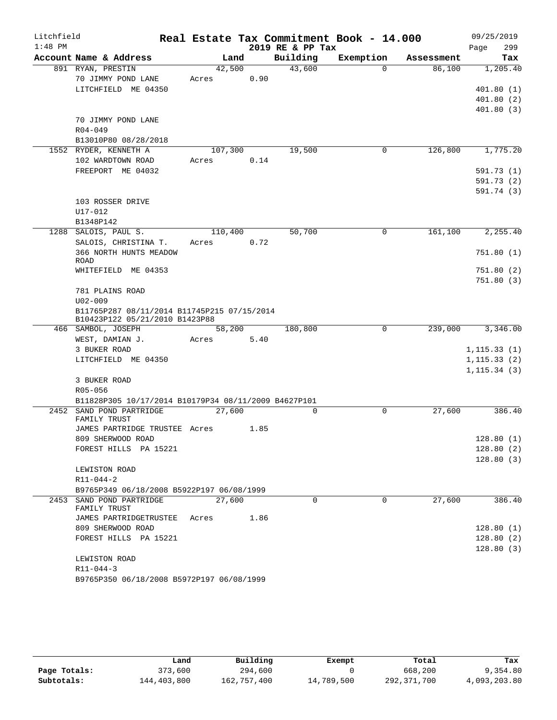| Litchfield |                                                                               |         |      |      |                  | Real Estate Tax Commitment Book - 14.000 |            | 09/25/2019   |
|------------|-------------------------------------------------------------------------------|---------|------|------|------------------|------------------------------------------|------------|--------------|
| $1:48$ PM  |                                                                               |         |      |      | 2019 RE & PP Tax |                                          |            | 299<br>Page  |
|            | Account Name & Address                                                        |         | Land |      | Building         | Exemption                                | Assessment | Tax          |
|            | 891 RYAN, PRESTIN                                                             | 42,500  |      |      | 43,600           | $\Omega$                                 | 86,100     | 1,205.40     |
|            | 70 JIMMY POND LANE                                                            | Acres   |      | 0.90 |                  |                                          |            |              |
|            | LITCHFIELD ME 04350                                                           |         |      |      |                  |                                          |            | 401.80(1)    |
|            |                                                                               |         |      |      |                  |                                          |            | 401.80(2)    |
|            |                                                                               |         |      |      |                  |                                          |            | 401.80(3)    |
|            | 70 JIMMY POND LANE                                                            |         |      |      |                  |                                          |            |              |
|            | $R04 - 049$                                                                   |         |      |      |                  |                                          |            |              |
|            | B13010P80 08/28/2018                                                          |         |      |      |                  |                                          |            |              |
|            | 1552 RYDER, KENNETH A                                                         | 107,300 |      |      | 19,500           | 0                                        | 126,800    | 1,775.20     |
|            | 102 WARDTOWN ROAD                                                             | Acres   |      | 0.14 |                  |                                          |            |              |
|            | FREEPORT ME 04032                                                             |         |      |      |                  |                                          |            | 591.73 (1)   |
|            |                                                                               |         |      |      |                  |                                          |            | 591.73 (2)   |
|            |                                                                               |         |      |      |                  |                                          |            | 591.74 (3)   |
|            | 103 ROSSER DRIVE                                                              |         |      |      |                  |                                          |            |              |
|            | U17-012                                                                       |         |      |      |                  |                                          |            |              |
|            | B1348P142                                                                     |         |      |      |                  |                                          |            |              |
|            | 1288 SALOIS, PAUL S.                                                          | 110,400 |      | 0.72 | 50,700           | 0                                        | 161,100    | 2,255.40     |
|            | SALOIS, CHRISTINA T.                                                          | Acres   |      |      |                  |                                          |            |              |
|            | 366 NORTH HUNTS MEADOW<br>ROAD                                                |         |      |      |                  |                                          |            | 751.80(1)    |
|            | WHITEFIELD ME 04353                                                           |         |      |      |                  |                                          |            | 751.80(2)    |
|            |                                                                               |         |      |      |                  |                                          |            | 751.80(3)    |
|            | 781 PLAINS ROAD                                                               |         |      |      |                  |                                          |            |              |
|            | $U02 - 009$                                                                   |         |      |      |                  |                                          |            |              |
|            | B11765P287 08/11/2014 B11745P215 07/15/2014<br>B10423P122 05/21/2010 B1423P88 |         |      |      |                  |                                          |            |              |
|            | 466 SAMBOL, JOSEPH                                                            | 58,200  |      |      | 180,800          | 0                                        | 239,000    | 3,346.00     |
|            | WEST, DAMIAN J.                                                               | Acres   |      | 5.40 |                  |                                          |            |              |
|            | 3 BUKER ROAD                                                                  |         |      |      |                  |                                          |            | 1, 115.33(1) |
|            | LITCHFIELD ME 04350                                                           |         |      |      |                  |                                          |            | 1, 115.33(2) |
|            |                                                                               |         |      |      |                  |                                          |            | 1, 115.34(3) |
|            | 3 BUKER ROAD                                                                  |         |      |      |                  |                                          |            |              |
|            | R05-056                                                                       |         |      |      |                  |                                          |            |              |
|            | B11828P305 10/17/2014 B10179P34 08/11/2009 B4627P101                          |         |      |      |                  |                                          |            |              |
|            | 2452 SAND POND PARTRIDGE                                                      | 27,600  |      |      | 0                | $\mathbf 0$                              | 27,600     | 386.40       |
|            | FAMILY TRUST                                                                  |         |      |      |                  |                                          |            |              |
|            | JAMES PARTRIDGE TRUSTEE Acres                                                 |         |      | 1.85 |                  |                                          |            |              |
|            | 809 SHERWOOD ROAD                                                             |         |      |      |                  |                                          |            | 128.80(1)    |
|            | FOREST HILLS PA 15221                                                         |         |      |      |                  |                                          |            | 128.80(2)    |
|            |                                                                               |         |      |      |                  |                                          |            | 128.80(3)    |
|            | LEWISTON ROAD                                                                 |         |      |      |                  |                                          |            |              |
|            | $R11 - 044 - 2$                                                               |         |      |      |                  |                                          |            |              |
|            | B9765P349 06/18/2008 B5922P197 06/08/1999<br>2453 SAND POND PARTRIDGE         | 27,600  |      |      | $\Omega$         | $\Omega$                                 | 27,600     | 386.40       |
|            | FAMILY TRUST                                                                  |         |      |      |                  |                                          |            |              |
|            | JAMES PARTRIDGETRUSTEE                                                        | Acres   |      | 1.86 |                  |                                          |            |              |
|            | 809 SHERWOOD ROAD                                                             |         |      |      |                  |                                          |            | 128.80(1)    |
|            | FOREST HILLS PA 15221                                                         |         |      |      |                  |                                          |            | 128.80(2)    |
|            |                                                                               |         |      |      |                  |                                          |            | 128.80(3)    |
|            | LEWISTON ROAD                                                                 |         |      |      |                  |                                          |            |              |
|            | $R11 - 044 - 3$                                                               |         |      |      |                  |                                          |            |              |
|            | B9765P350 06/18/2008 B5972P197 06/08/1999                                     |         |      |      |                  |                                          |            |              |

|              | Land        | Building    | Exempt     | Total       | Tax          |
|--------------|-------------|-------------|------------|-------------|--------------|
| Page Totals: | 373,600     | 294,600     |            | 668,200     | 9,354.80     |
| Subtotals:   | 144,403,800 | 162,757,400 | 14,789,500 | 292,371,700 | 4,093,203.80 |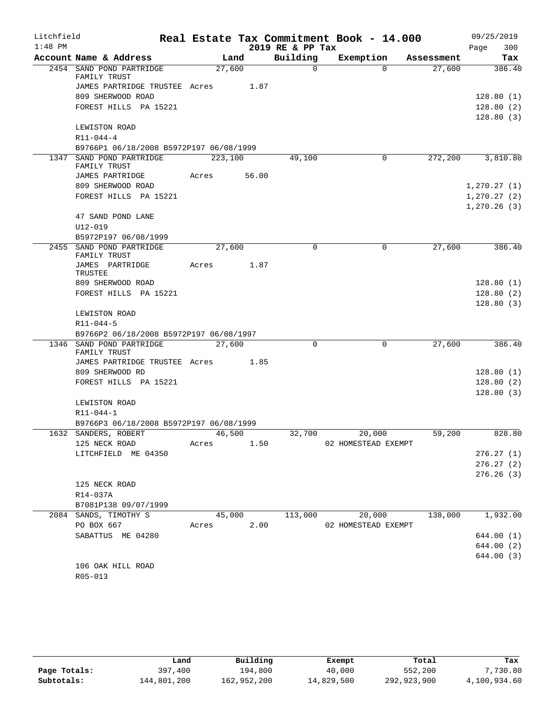| Litchfield |                                                                 |         |       |                  | Real Estate Tax Commitment Book - 14.000 |            | 09/25/2019                   |
|------------|-----------------------------------------------------------------|---------|-------|------------------|------------------------------------------|------------|------------------------------|
| $1:48$ PM  |                                                                 |         |       | 2019 RE & PP Tax |                                          |            | 300<br>Page                  |
|            | Account Name & Address                                          |         | Land  | Building         | Exemption                                | Assessment | Tax                          |
|            | 2454 SAND POND PARTRIDGE<br>FAMILY TRUST                        | 27,600  |       | $\Omega$         | $\Omega$                                 | 27,600     | 386.40                       |
|            | JAMES PARTRIDGE TRUSTEE Acres 1.87                              |         |       |                  |                                          |            |                              |
|            | 809 SHERWOOD ROAD                                               |         |       |                  |                                          |            | 128.80(1)                    |
|            | FOREST HILLS PA 15221                                           |         |       |                  |                                          |            | 128.80(2)<br>128.80(3)       |
|            | LEWISTON ROAD                                                   |         |       |                  |                                          |            |                              |
|            | $R11 - 044 - 4$                                                 |         |       |                  |                                          |            |                              |
|            | B9766P1 06/18/2008 B5972P197 06/08/1999                         |         |       |                  |                                          |            |                              |
|            | 1347 SAND POND PARTRIDGE<br>FAMILY TRUST                        | 223,100 |       | 49,100           | 0                                        | 272,200    | 3,810.80                     |
|            | JAMES PARTRIDGE                                                 | Acres   | 56.00 |                  |                                          |            |                              |
|            | 809 SHERWOOD ROAD                                               |         |       |                  |                                          |            | 1, 270.27(1)                 |
|            | FOREST HILLS PA 15221                                           |         |       |                  |                                          |            | 1, 270.27(2)<br>1, 270.26(3) |
|            | 47 SAND POND LANE                                               |         |       |                  |                                          |            |                              |
|            | $U12 - 019$                                                     |         |       |                  |                                          |            |                              |
|            | B5972P197 06/08/1999                                            |         |       |                  |                                          |            |                              |
|            | 2455 SAND POND PARTRIDGE<br>FAMILY TRUST                        | 27,600  |       | $\mathbf 0$      | 0                                        | 27,600     | 386.40                       |
|            | JAMES PARTRIDGE<br>TRUSTEE                                      | Acres   | 1.87  |                  |                                          |            |                              |
|            | 809 SHERWOOD ROAD                                               |         |       |                  |                                          |            | 128.80(1)                    |
|            | FOREST HILLS PA 15221                                           |         |       |                  |                                          |            | 128.80(2)                    |
|            |                                                                 |         |       |                  |                                          |            | 128.80(3)                    |
|            | LEWISTON ROAD                                                   |         |       |                  |                                          |            |                              |
|            | R11-044-5                                                       |         |       |                  |                                          |            |                              |
|            | B9766P2 06/18/2008 B5972P197 06/08/1997                         |         |       |                  |                                          |            |                              |
|            | 1346 SAND POND PARTRIDGE                                        | 27,600  |       | $\Omega$         | $\mathbf 0$                              | 27,600     | 386.40                       |
|            | FAMILY TRUST                                                    |         |       |                  |                                          |            |                              |
|            | JAMES PARTRIDGE TRUSTEE Acres 1.85                              |         |       |                  |                                          |            |                              |
|            | 809 SHERWOOD RD                                                 |         |       |                  |                                          |            | 128.80(1)                    |
|            | FOREST HILLS PA 15221                                           |         |       |                  |                                          |            | 128.80(2)                    |
|            |                                                                 |         |       |                  |                                          |            | 128.80(3)                    |
|            | LEWISTON ROAD                                                   |         |       |                  |                                          |            |                              |
|            | R11-044-1                                                       |         |       |                  |                                          |            |                              |
|            | B9766P3 06/18/2008 B5972P197 06/08/1999<br>1632 SANDERS, ROBERT | 46,500  |       | 32,700           | 20,000                                   | 59,200     | 828.80                       |
|            | 125 NECK ROAD                                                   | Acres   | 1.50  |                  | 02 HOMESTEAD EXEMPT                      |            |                              |
|            | LITCHFIELD ME 04350                                             |         |       |                  |                                          |            | 276.27(1)                    |
|            |                                                                 |         |       |                  |                                          |            | 276.27(2)                    |
|            |                                                                 |         |       |                  |                                          |            | 276.26(3)                    |
|            | 125 NECK ROAD                                                   |         |       |                  |                                          |            |                              |
|            | R14-037A                                                        |         |       |                  |                                          |            |                              |
|            | B7081P138 09/07/1999                                            |         |       |                  |                                          |            |                              |
|            | 2084 SANDS, TIMOTHY S                                           | 45,000  |       | 113,000          | 20,000                                   | 138,000    | 1,932.00                     |
|            | PO BOX 667                                                      | Acres   | 2.00  |                  | 02 HOMESTEAD EXEMPT                      |            |                              |
|            | SABATTUS ME 04280                                               |         |       |                  |                                          |            | 644.00(1)                    |
|            |                                                                 |         |       |                  |                                          |            | 644.00 (2)                   |
|            |                                                                 |         |       |                  |                                          |            | 644.00 (3)                   |
|            | 106 OAK HILL ROAD                                               |         |       |                  |                                          |            |                              |
|            | R05-013                                                         |         |       |                  |                                          |            |                              |

|              | Land        | Building    | Exempt     | Total       | Tax          |
|--------------|-------------|-------------|------------|-------------|--------------|
| Page Totals: | 397,400     | 194,800     | 40,000     | 552,200     | 7,730.80     |
| Subtotals:   | 144,801,200 | 162,952,200 | 14,829,500 | 292,923,900 | 4,100,934.60 |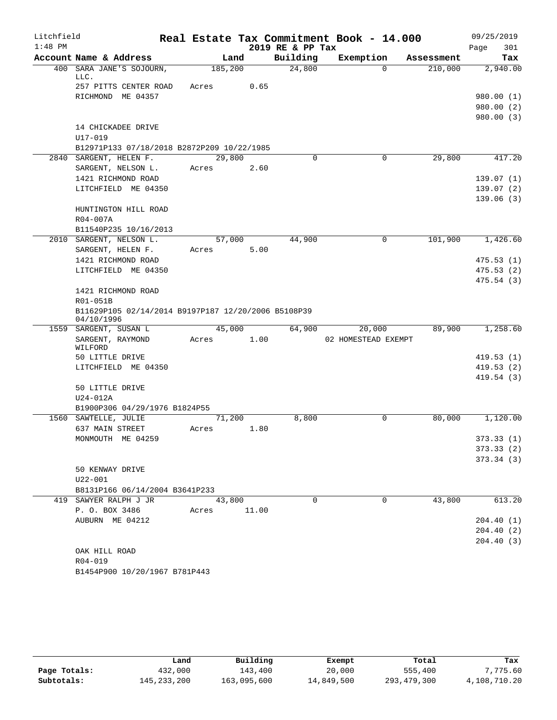| Litchfield<br>$1:48$ PM |                                                                   |             |         |      | 2019 RE & PP Tax | Real Estate Tax Commitment Book - 14.000 |            | 09/25/2019         |
|-------------------------|-------------------------------------------------------------------|-------------|---------|------|------------------|------------------------------------------|------------|--------------------|
|                         | Account Name & Address                                            |             | Land    |      | Building         | Exemption                                | Assessment | Page<br>301<br>Tax |
| 400                     | SARA JANE'S SOJOURN,                                              |             | 185,200 |      | 24,800           | $\Omega$                                 | 210,000    | 2,940.00           |
|                         | LLC.                                                              |             |         |      |                  |                                          |            |                    |
|                         | 257 PITTS CENTER ROAD                                             | Acres       |         | 0.65 |                  |                                          |            |                    |
|                         | RICHMOND ME 04357                                                 |             |         |      |                  |                                          |            | 980.00(1)          |
|                         |                                                                   |             |         |      |                  |                                          |            | 980.00 (2)         |
|                         |                                                                   |             |         |      |                  |                                          |            | 980.00(3)          |
|                         | 14 CHICKADEE DRIVE                                                |             |         |      |                  |                                          |            |                    |
|                         | U17-019                                                           |             |         |      |                  |                                          |            |                    |
|                         | B12971P133 07/18/2018 B2872P209 10/22/1985                        |             |         |      |                  |                                          |            |                    |
|                         | 2840 SARGENT, HELEN F.                                            |             | 29,800  |      | $\Omega$         | 0                                        | 29,800     | 417.20             |
|                         | SARGENT, NELSON L.                                                | Acres       |         | 2.60 |                  |                                          |            |                    |
|                         | 1421 RICHMOND ROAD                                                |             |         |      |                  |                                          |            | 139.07(1)          |
|                         | LITCHFIELD ME 04350                                               |             |         |      |                  |                                          |            | 139.07(2)          |
|                         |                                                                   |             |         |      |                  |                                          |            | 139.06(3)          |
|                         | HUNTINGTON HILL ROAD                                              |             |         |      |                  |                                          |            |                    |
|                         | R04-007A                                                          |             |         |      |                  |                                          |            |                    |
|                         | B11540P235 10/16/2013                                             |             |         |      |                  |                                          |            |                    |
|                         | 2010 SARGENT, NELSON L.                                           |             | 57,000  |      | 44,900           | 0                                        | 101,900    | 1,426.60           |
|                         | SARGENT, HELEN F.                                                 | Acres       |         | 5.00 |                  |                                          |            |                    |
|                         | 1421 RICHMOND ROAD                                                |             |         |      |                  |                                          |            | 475.53(1)          |
|                         | LITCHFIELD ME 04350                                               |             |         |      |                  |                                          |            | 475.53(2)          |
|                         |                                                                   |             |         |      |                  |                                          |            | 475.54 (3)         |
|                         | 1421 RICHMOND ROAD                                                |             |         |      |                  |                                          |            |                    |
|                         | R01-051B                                                          |             |         |      |                  |                                          |            |                    |
|                         | B11629P105 02/14/2014 B9197P187 12/20/2006 B5108P39<br>04/10/1996 |             |         |      |                  |                                          |            |                    |
| 1559                    | SARGENT, SUSAN L                                                  |             | 45,000  |      | 64,900           | 20,000                                   | 89,900     | 1,258.60           |
|                         | SARGENT, RAYMOND                                                  | Acres       |         | 1.00 |                  | 02 HOMESTEAD EXEMPT                      |            |                    |
|                         | WILFORD<br>50 LITTLE DRIVE                                        |             |         |      |                  |                                          |            | 419.53 (1)         |
|                         | LITCHFIELD ME 04350                                               |             |         |      |                  |                                          |            | 419.53(2)          |
|                         |                                                                   |             |         |      |                  |                                          |            | 419.54(3)          |
|                         | 50 LITTLE DRIVE                                                   |             |         |      |                  |                                          |            |                    |
|                         | U24-012A                                                          |             |         |      |                  |                                          |            |                    |
|                         | B1900P306 04/29/1976 B1824P55                                     |             |         |      |                  |                                          |            |                    |
|                         | 1560 SAWTELLE, JULIE                                              |             | 71,200  |      | 8,800            | 0                                        | 80,000     | 1,120.00           |
|                         | 637 MAIN STREET                                                   | Acres       |         | 1.80 |                  |                                          |            |                    |
|                         | MONMOUTH ME 04259                                                 |             |         |      |                  |                                          |            | 373.33(1)          |
|                         |                                                                   |             |         |      |                  |                                          |            | 373.33(2)          |
|                         |                                                                   |             |         |      |                  |                                          |            | 373.34(3)          |
|                         | 50 KENWAY DRIVE                                                   |             |         |      |                  |                                          |            |                    |
|                         | $U22 - 001$                                                       |             |         |      |                  |                                          |            |                    |
|                         | B8131P166 06/14/2004 B3641P233                                    |             |         |      |                  |                                          |            |                    |
|                         | 419 SAWYER RALPH J JR                                             |             | 43,800  |      | $\Omega$         | $\Omega$                                 | 43,800     | 613.20             |
|                         | P. O. BOX 3486                                                    | Acres 11.00 |         |      |                  |                                          |            |                    |
|                         | AUBURN ME 04212                                                   |             |         |      |                  |                                          |            | 204.40(1)          |
|                         |                                                                   |             |         |      |                  |                                          |            | 204.40(2)          |
|                         |                                                                   |             |         |      |                  |                                          |            | 204.40(3)          |
|                         | OAK HILL ROAD                                                     |             |         |      |                  |                                          |            |                    |
|                         | R04-019                                                           |             |         |      |                  |                                          |            |                    |
|                         | B1454P900 10/20/1967 B781P443                                     |             |         |      |                  |                                          |            |                    |

|              | Land          | Building    | Exempt     | Total       | Tax          |
|--------------|---------------|-------------|------------|-------------|--------------|
| Page Totals: | 432,000       | 143,400     | 20,000     | 555,400     | 7,775.60     |
| Subtotals:   | 145, 233, 200 | 163,095,600 | 14,849,500 | 293,479,300 | 4,108,710.20 |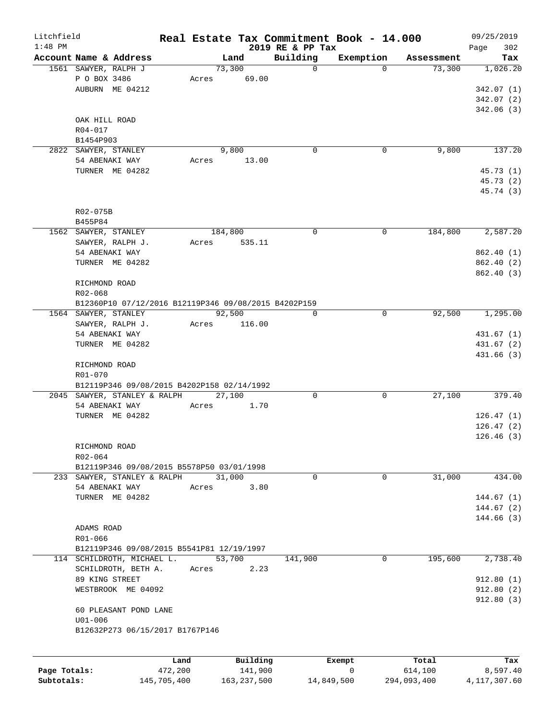| Litchfield   |                                                      | Real Estate Tax Commitment Book - 14.000 |                              |             |            | 09/25/2019         |
|--------------|------------------------------------------------------|------------------------------------------|------------------------------|-------------|------------|--------------------|
| $1:48$ PM    | Account Name & Address                               | Land                                     | 2019 RE & PP Tax<br>Building | Exemption   | Assessment | 302<br>Page<br>Tax |
|              | 1561 SAWYER, RALPH J                                 | 73,300                                   | $\mathbf 0$                  | $\Omega$    | 73,300     | 1,026.20           |
|              | P O BOX 3486                                         | 69.00<br>Acres                           |                              |             |            |                    |
|              | AUBURN ME 04212                                      |                                          |                              |             |            | 342.07(1)          |
|              |                                                      |                                          |                              |             |            | 342.07(2)          |
|              |                                                      |                                          |                              |             |            | 342.06(3)          |
|              | OAK HILL ROAD                                        |                                          |                              |             |            |                    |
|              | $R04 - 017$                                          |                                          |                              |             |            |                    |
|              | B1454P903                                            |                                          |                              |             |            |                    |
|              | 2822 SAWYER, STANLEY                                 | 9,800                                    | $\mathbf 0$                  | 0           | 9,800      | 137.20             |
|              | 54 ABENAKI WAY                                       | 13.00<br>Acres                           |                              |             |            |                    |
|              | TURNER ME 04282                                      |                                          |                              |             |            | 45.73(1)           |
|              |                                                      |                                          |                              |             |            | 45.73 (2)          |
|              |                                                      |                                          |                              |             |            | 45.74 (3)          |
|              |                                                      |                                          |                              |             |            |                    |
|              | R02-075B                                             |                                          |                              |             |            |                    |
|              | B455P84                                              |                                          |                              |             |            |                    |
|              | 1562 SAWYER, STANLEY                                 | 184,800                                  | $\mathbf 0$                  | 0           | 184,800    | 2,587.20           |
|              | SAWYER, RALPH J.                                     | 535.11<br>Acres                          |                              |             |            |                    |
|              | 54 ABENAKI WAY                                       |                                          |                              |             |            | 862.40 (1)         |
|              | TURNER ME 04282                                      |                                          |                              |             |            | 862.40(2)          |
|              |                                                      |                                          |                              |             |            | 862.40(3)          |
|              | RICHMOND ROAD                                        |                                          |                              |             |            |                    |
|              | R02-068                                              |                                          |                              |             |            |                    |
|              | B12360P10 07/12/2016 B12119P346 09/08/2015 B4202P159 |                                          |                              |             |            |                    |
|              | 1564 SAWYER, STANLEY                                 | 92,500                                   | $\Omega$                     | $\mathbf 0$ | 92,500     | 1,295.00           |
|              | SAWYER, RALPH J.                                     | Acres<br>116.00                          |                              |             |            |                    |
|              | 54 ABENAKI WAY                                       |                                          |                              |             |            | 431.67(1)          |
|              | TURNER ME 04282                                      |                                          |                              |             |            | 431.67 (2)         |
|              |                                                      |                                          |                              |             |            | 431.66(3)          |
|              | RICHMOND ROAD                                        |                                          |                              |             |            |                    |
|              | R01-070                                              |                                          |                              |             |            |                    |
|              | B12119P346 09/08/2015 B4202P158 02/14/1992           |                                          |                              |             |            |                    |
|              | 2045 SAWYER, STANLEY & RALPH                         | 27,100                                   | 0                            | 0           | 27,100     | 379.40             |
|              | 54 ABENAKI WAY                                       | Acres<br>1.70                            |                              |             |            |                    |
|              | TURNER ME 04282                                      |                                          |                              |             |            | 126.47(1)          |
|              |                                                      |                                          |                              |             |            | 126.47(2)          |
|              |                                                      |                                          |                              |             |            | 126.46(3)          |
|              | RICHMOND ROAD                                        |                                          |                              |             |            |                    |
|              | R02-064                                              |                                          |                              |             |            |                    |
|              | B12119P346 09/08/2015 B5578P50 03/01/1998            |                                          |                              |             |            |                    |
|              | 233 SAWYER, STANLEY & RALPH                          | 31,000                                   | $\mathbf 0$                  | $\mathbf 0$ | 31,000     | 434.00             |
|              | 54 ABENAKI WAY                                       | 3.80<br>Acres                            |                              |             |            |                    |
|              | TURNER ME 04282                                      |                                          |                              |             |            | 144.67(1)          |
|              |                                                      |                                          |                              |             |            | 144.67(2)          |
|              |                                                      |                                          |                              |             |            | 144.66(3)          |
|              | ADAMS ROAD                                           |                                          |                              |             |            |                    |
|              | R01-066                                              |                                          |                              |             |            |                    |
|              | B12119P346 09/08/2015 B5541P81 12/19/1997            |                                          |                              |             |            |                    |
|              | 114 SCHILDROTH, MICHAEL L.                           | 53,700                                   | 141,900                      | 0           | 195,600    | 2,738.40           |
|              | SCHILDROTH, BETH A.                                  | 2.23<br>Acres                            |                              |             |            |                    |
|              | 89 KING STREET                                       |                                          |                              |             |            | 912.80(1)          |
|              | WESTBROOK ME 04092                                   |                                          |                              |             |            | 912.80(2)          |
|              |                                                      |                                          |                              |             |            | 912.80(3)          |
|              | 60 PLEASANT POND LANE                                |                                          |                              |             |            |                    |
|              | $U01 - 006$                                          |                                          |                              |             |            |                    |
|              | B12632P273 06/15/2017 B1767P146                      |                                          |                              |             |            |                    |
|              |                                                      |                                          |                              |             |            |                    |
|              |                                                      |                                          |                              |             |            |                    |
|              |                                                      | Building<br>Land                         |                              | Exempt      | Total      | Tax                |
| Page Totals: | 472,200                                              | 141,900                                  |                              | 0           | 614,100    | 8,597.40           |

**Subtotals:** 145,705,400 163,237,500 14,849,500 294,093,400 4,117,307.60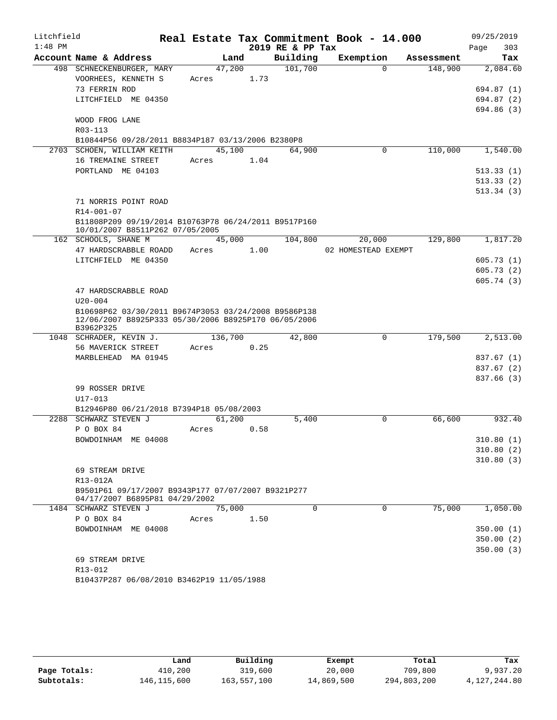| Litchfield |                                                                                                              |                 |      |                  | Real Estate Tax Commitment Book - 14.000 |            | 09/25/2019             |
|------------|--------------------------------------------------------------------------------------------------------------|-----------------|------|------------------|------------------------------------------|------------|------------------------|
| $1:48$ PM  |                                                                                                              |                 |      | 2019 RE & PP Tax |                                          |            | 303<br>Page            |
|            | Account Name & Address                                                                                       | Land            |      | Building         | Exemption                                | Assessment | Tax                    |
|            | 498 SCHNECKENBURGER, MARY                                                                                    | 47,200          |      | 101,700          | $\Omega$                                 | 148,900    | 2,084.60               |
|            | VOORHEES, KENNETH S                                                                                          | Acres           | 1.73 |                  |                                          |            |                        |
|            | 73 FERRIN ROD                                                                                                |                 |      |                  |                                          |            | 694.87 (1)             |
|            | LITCHFIELD ME 04350                                                                                          |                 |      |                  |                                          |            | 694.87 (2)             |
|            |                                                                                                              |                 |      |                  |                                          |            | 694.86 (3)             |
|            | WOOD FROG LANE                                                                                               |                 |      |                  |                                          |            |                        |
|            | R03-113                                                                                                      |                 |      |                  |                                          |            |                        |
|            | B10844P56 09/28/2011 B8834P187 03/13/2006 B2380P8<br>2703 SCHOEN, WILLIAM KEITH                              | 45,100          |      | 64,900           | 0                                        | 110,000    | 1,540.00               |
|            | 16 TREMAINE STREET                                                                                           | Acres 1.04      |      |                  |                                          |            |                        |
|            | PORTLAND ME 04103                                                                                            |                 |      |                  |                                          |            | 513.33(1)              |
|            |                                                                                                              |                 |      |                  |                                          |            | 513.33(2)              |
|            |                                                                                                              |                 |      |                  |                                          |            | 513.34(3)              |
|            | 71 NORRIS POINT ROAD                                                                                         |                 |      |                  |                                          |            |                        |
|            | R14-001-07                                                                                                   |                 |      |                  |                                          |            |                        |
|            | B11808P209 09/19/2014 B10763P78 06/24/2011 B9517P160                                                         |                 |      |                  |                                          |            |                        |
|            | 10/01/2007 B8511P262 07/05/2005                                                                              |                 |      |                  |                                          |            |                        |
|            | 162 SCHOOLS, SHANE M                                                                                         | 45,000          |      | 104,800          | 20,000                                   | 129,800    | 1,817.20               |
|            | 47 HARDSCRABBLE ROADD                                                                                        | Acres           | 1.00 |                  | 02 HOMESTEAD EXEMPT                      |            |                        |
|            | LITCHFIELD ME 04350                                                                                          |                 |      |                  |                                          |            | 605.73(1)              |
|            |                                                                                                              |                 |      |                  |                                          |            | 605.73(2)              |
|            |                                                                                                              |                 |      |                  |                                          |            | 605.74(3)              |
|            | 47 HARDSCRABBLE ROAD                                                                                         |                 |      |                  |                                          |            |                        |
|            | $U20 - 004$                                                                                                  |                 |      |                  |                                          |            |                        |
|            | B10698P62 03/30/2011 B9674P3053 03/24/2008 B9586P138<br>12/06/2007 B8925P333 05/30/2006 B8925P170 06/05/2006 |                 |      |                  |                                          |            |                        |
|            | B3962P325                                                                                                    |                 |      |                  |                                          |            |                        |
|            | 1048 SCHRADER, KEVIN J.                                                                                      | 136,700         |      | 42,800           | $\mathbf 0$                              | 179,500    | 2,513.00               |
|            | 56 MAVERICK STREET                                                                                           | Acres           | 0.25 |                  |                                          |            |                        |
|            | MARBLEHEAD MA 01945                                                                                          |                 |      |                  |                                          |            | 837.67 (1)             |
|            |                                                                                                              |                 |      |                  |                                          |            | 837.67 (2)             |
|            |                                                                                                              |                 |      |                  |                                          |            | 837.66 (3)             |
|            | 99 ROSSER DRIVE                                                                                              |                 |      |                  |                                          |            |                        |
|            | $U17 - 013$                                                                                                  |                 |      |                  |                                          |            |                        |
|            | B12946P80 06/21/2018 B7394P18 05/08/2003                                                                     |                 |      |                  | $\Omega$                                 |            |                        |
|            | 2288 SCHWARZ STEVEN J<br>P O BOX 84                                                                          | 61,200<br>Acres | 0.58 | 5,400            |                                          | 66,600     | 932.40                 |
|            | BOWDOINHAM ME 04008                                                                                          |                 |      |                  |                                          |            |                        |
|            |                                                                                                              |                 |      |                  |                                          |            | 310.80(1)<br>310.80(2) |
|            |                                                                                                              |                 |      |                  |                                          |            | 310.80(3)              |
|            | 69 STREAM DRIVE                                                                                              |                 |      |                  |                                          |            |                        |
|            | R13-012A                                                                                                     |                 |      |                  |                                          |            |                        |
|            | B9501P61 09/17/2007 B9343P177 07/07/2007 B9321P277                                                           |                 |      |                  |                                          |            |                        |
|            | 04/17/2007 B6895P81 04/29/2002                                                                               |                 |      |                  |                                          |            |                        |
|            | 1484 SCHWARZ STEVEN J                                                                                        | 75,000          |      | $\Omega$         | 0                                        | 75,000     | 1,050.00               |
|            | P O BOX 84                                                                                                   | Acres           | 1.50 |                  |                                          |            |                        |
|            | BOWDOINHAM ME 04008                                                                                          |                 |      |                  |                                          |            | 350.00(1)              |
|            |                                                                                                              |                 |      |                  |                                          |            | 350.00(2)              |
|            |                                                                                                              |                 |      |                  |                                          |            | 350.00(3)              |
|            | 69 STREAM DRIVE                                                                                              |                 |      |                  |                                          |            |                        |
|            | R13-012                                                                                                      |                 |      |                  |                                          |            |                        |
|            | B10437P287 06/08/2010 B3462P19 11/05/1988                                                                    |                 |      |                  |                                          |            |                        |

|              | Land        | Building    | Exempt     | Total       | Tax          |
|--------------|-------------|-------------|------------|-------------|--------------|
| Page Totals: | 410,200     | 319,600     | 20,000     | 709,800     | 9,937.20     |
| Subtotals:   | 146,115,600 | 163,557,100 | 14,869,500 | 294,803,200 | 4,127,244.80 |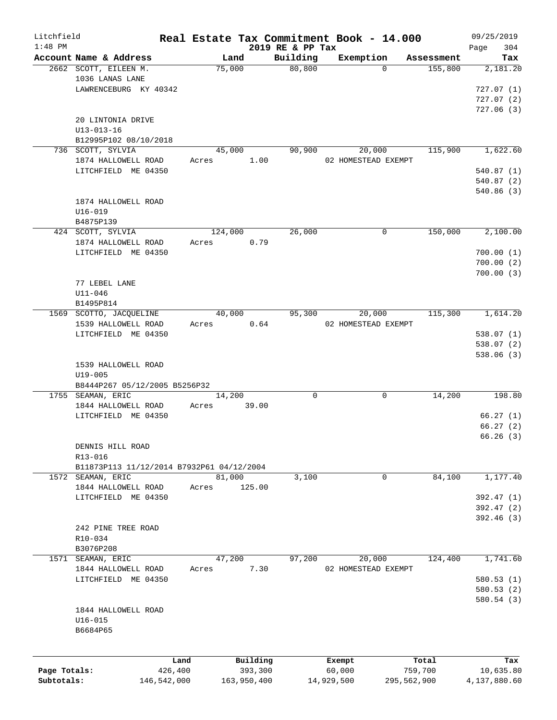| Litchfield   |                                           |             |                |             |                     | Real Estate Tax Commitment Book - 14.000 |                       | 09/25/2019      |
|--------------|-------------------------------------------|-------------|----------------|-------------|---------------------|------------------------------------------|-----------------------|-----------------|
| $1:48$ PM    |                                           |             |                |             | 2019 RE & PP Tax    |                                          |                       | Page<br>304     |
|              | Account Name & Address                    |             | Land<br>75,000 |             | Building<br>80, 800 | Exemption<br>$\Omega$                    | Assessment<br>155,800 | Tax<br>2,181.20 |
|              | 2662 SCOTT, EILEEN M.<br>1036 LANAS LANE  |             |                |             |                     |                                          |                       |                 |
|              |                                           |             |                |             |                     |                                          |                       |                 |
|              | LAWRENCEBURG KY 40342                     |             |                |             |                     |                                          |                       | 727.07(1)       |
|              |                                           |             |                |             |                     |                                          |                       | 727.07(2)       |
|              |                                           |             |                |             |                     |                                          |                       | 727.06(3)       |
|              | 20 LINTONIA DRIVE                         |             |                |             |                     |                                          |                       |                 |
|              | $U13 - 013 - 16$                          |             |                |             |                     |                                          |                       |                 |
|              | B12995P102 08/10/2018                     |             |                |             |                     |                                          |                       |                 |
|              | 736 SCOTT, SYLVIA                         |             | 45,000         |             | 90,900              | 20,000                                   | 115,900               | 1,622.60        |
|              | 1874 HALLOWELL ROAD                       | Acres       |                | 1.00        |                     | 02 HOMESTEAD EXEMPT                      |                       |                 |
|              | LITCHFIELD ME 04350                       |             |                |             |                     |                                          |                       | 540.87(1)       |
|              |                                           |             |                |             |                     |                                          |                       | 540.87(2)       |
|              |                                           |             |                |             |                     |                                          |                       | 540.86(3)       |
|              | 1874 HALLOWELL ROAD                       |             |                |             |                     |                                          |                       |                 |
|              | $U16 - 019$                               |             |                |             |                     |                                          |                       |                 |
|              | B4875P139                                 |             |                |             |                     |                                          |                       |                 |
|              | 424 SCOTT, SYLVIA                         |             | 124,000        |             | 26,000              | 0                                        | 150,000               | 2,100.00        |
|              | 1874 HALLOWELL ROAD                       | Acres       |                | 0.79        |                     |                                          |                       |                 |
|              | LITCHFIELD ME 04350                       |             |                |             |                     |                                          |                       | 700.00(1)       |
|              |                                           |             |                |             |                     |                                          |                       | 700.00(2)       |
|              |                                           |             |                |             |                     |                                          |                       |                 |
|              |                                           |             |                |             |                     |                                          |                       | 700.00(3)       |
|              | 77 LEBEL LANE                             |             |                |             |                     |                                          |                       |                 |
|              | $U11 - 046$                               |             |                |             |                     |                                          |                       |                 |
|              | B1495P814                                 |             |                |             |                     |                                          |                       |                 |
|              | 1569 SCOTTO, JACQUELINE                   |             | 40,000         |             | 95,300              | 20,000                                   | 115,300               | 1,614.20        |
|              | 1539 HALLOWELL ROAD                       | Acres       |                | 0.64        |                     | 02 HOMESTEAD EXEMPT                      |                       |                 |
|              | LITCHFIELD ME 04350                       |             |                |             |                     |                                          |                       | 538.07(1)       |
|              |                                           |             |                |             |                     |                                          |                       | 538.07(2)       |
|              |                                           |             |                |             |                     |                                          |                       | 538.06(3)       |
|              | 1539 HALLOWELL ROAD                       |             |                |             |                     |                                          |                       |                 |
|              | $U19 - 005$                               |             |                |             |                     |                                          |                       |                 |
|              | B8444P267 05/12/2005 B5256P32             |             |                |             |                     |                                          |                       |                 |
|              | 1755 SEAMAN, ERIC                         |             | 14,200         |             | $\mathbf 0$         | 0                                        | 14,200                | 198.80          |
|              | 1844 HALLOWELL ROAD                       | Acres       |                | 39.00       |                     |                                          |                       |                 |
|              | LITCHFIELD ME 04350                       |             |                |             |                     |                                          |                       | 66.27(1)        |
|              |                                           |             |                |             |                     |                                          |                       | 66.27(2)        |
|              |                                           |             |                |             |                     |                                          |                       | 66.26(3)        |
|              |                                           |             |                |             |                     |                                          |                       |                 |
|              | DENNIS HILL ROAD                          |             |                |             |                     |                                          |                       |                 |
|              | R13-016                                   |             |                |             |                     |                                          |                       |                 |
|              | B11873P113 11/12/2014 B7932P61 04/12/2004 |             |                |             |                     |                                          |                       |                 |
|              | 1572 SEAMAN, ERIC                         |             | 81,000         |             | 3,100               | 0                                        | 84,100                | 1,177.40        |
|              | 1844 HALLOWELL ROAD                       | Acres       |                | 125.00      |                     |                                          |                       |                 |
|              | LITCHFIELD ME 04350                       |             |                |             |                     |                                          |                       | 392.47 (1)      |
|              |                                           |             |                |             |                     |                                          |                       | 392.47 (2)      |
|              |                                           |             |                |             |                     |                                          |                       | 392.46 (3)      |
|              | 242 PINE TREE ROAD                        |             |                |             |                     |                                          |                       |                 |
|              | $R10 - 034$                               |             |                |             |                     |                                          |                       |                 |
|              | B3076P208                                 |             |                |             |                     |                                          |                       |                 |
|              | 1571 SEAMAN, ERIC                         |             | 47,200         |             | 97,200              | 20,000                                   | 124,400               | 1,741.60        |
|              | 1844 HALLOWELL ROAD                       | Acres       |                | 7.30        |                     | 02 HOMESTEAD EXEMPT                      |                       |                 |
|              | LITCHFIELD ME 04350                       |             |                |             |                     |                                          |                       | 580.53(1)       |
|              |                                           |             |                |             |                     |                                          |                       | 580.53(2)       |
|              |                                           |             |                |             |                     |                                          |                       | 580.54 (3)      |
|              |                                           |             |                |             |                     |                                          |                       |                 |
|              | 1844 HALLOWELL ROAD                       |             |                |             |                     |                                          |                       |                 |
|              | $U16 - 015$                               |             |                |             |                     |                                          |                       |                 |
|              | B6684P65                                  |             |                |             |                     |                                          |                       |                 |
|              |                                           |             |                |             |                     |                                          |                       |                 |
|              |                                           | Land        |                | Building    |                     | Exempt                                   | Total                 | Tax             |
| Page Totals: |                                           | 426,400     |                | 393,300     |                     | 60,000                                   | 759,700               | 10,635.80       |
| Subtotals:   |                                           | 146,542,000 |                | 163,950,400 |                     | 14,929,500                               | 295,562,900           | 4,137,880.60    |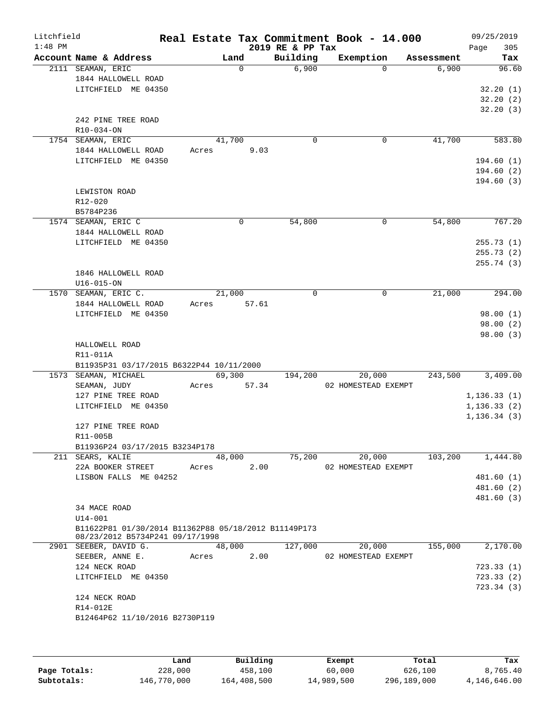| Litchfield<br>$1:48$ PM |                                                                                         |       |        |          | 2019 RE & PP Tax | Real Estate Tax Commitment Book - 14.000 |                   | 09/25/2019<br>305<br>Page |
|-------------------------|-----------------------------------------------------------------------------------------|-------|--------|----------|------------------|------------------------------------------|-------------------|---------------------------|
|                         | Account Name & Address                                                                  |       | Land   |          | Building         | Exemption                                | Assessment        | Tax                       |
|                         | 2111 SEAMAN, ERIC<br>1844 HALLOWELL ROAD                                                |       |        | $\Omega$ | 6,900            |                                          | 6,900<br>$\Omega$ | 96.60                     |
|                         | LITCHFIELD ME 04350                                                                     |       |        |          |                  |                                          |                   | 32.20(1)                  |
|                         |                                                                                         |       |        |          |                  |                                          |                   | 32.20(2)                  |
|                         |                                                                                         |       |        |          |                  |                                          |                   | 32.20(3)                  |
|                         | 242 PINE TREE ROAD<br>R10-034-ON                                                        |       |        |          |                  |                                          |                   |                           |
|                         | 1754 SEAMAN, ERIC                                                                       |       | 41,700 |          | 0                |                                          | 41,700<br>0       | 583.80                    |
|                         | 1844 HALLOWELL ROAD                                                                     | Acres |        | 9.03     |                  |                                          |                   |                           |
|                         | LITCHFIELD ME 04350                                                                     |       |        |          |                  |                                          |                   | 194.60(1)                 |
|                         |                                                                                         |       |        |          |                  |                                          |                   | 194.60(2)                 |
|                         |                                                                                         |       |        |          |                  |                                          |                   | 194.60(3)                 |
|                         | LEWISTON ROAD                                                                           |       |        |          |                  |                                          |                   |                           |
|                         | R12-020                                                                                 |       |        |          |                  |                                          |                   |                           |
|                         | B5784P236                                                                               |       |        |          |                  |                                          |                   |                           |
|                         | 1574 SEAMAN, ERIC C                                                                     |       |        | 0        | 54,800           |                                          | 54,800<br>0       | 767.20                    |
|                         | 1844 HALLOWELL ROAD                                                                     |       |        |          |                  |                                          |                   |                           |
|                         | LITCHFIELD ME 04350                                                                     |       |        |          |                  |                                          |                   | 255.73(1)                 |
|                         |                                                                                         |       |        |          |                  |                                          |                   | 255.73(2)                 |
|                         |                                                                                         |       |        |          |                  |                                          |                   | 255.74(3)                 |
|                         | 1846 HALLOWELL ROAD                                                                     |       |        |          |                  |                                          |                   |                           |
|                         |                                                                                         |       |        |          |                  |                                          |                   |                           |
|                         | $U16 - 015 - ON$                                                                        |       |        |          | 0                |                                          |                   |                           |
|                         | 1570 SEAMAN, ERIC C.                                                                    |       | 21,000 |          |                  |                                          | 0<br>21,000       | 294.00                    |
|                         | 1844 HALLOWELL ROAD                                                                     | Acres |        | 57.61    |                  |                                          |                   |                           |
|                         | LITCHFIELD ME 04350                                                                     |       |        |          |                  |                                          |                   | 98.00(1)                  |
|                         |                                                                                         |       |        |          |                  |                                          |                   | 98.00(2)<br>98.00 (3)     |
|                         | HALLOWELL ROAD<br>R11-011A<br>B11935P31 03/17/2015 B6322P44 10/11/2000                  |       |        |          |                  |                                          |                   |                           |
|                         | 1573 SEAMAN, MICHAEL                                                                    |       | 69,300 |          | 194,200          | 20,000                                   | 243,500           | 3,409.00                  |
|                         | SEAMAN, JUDY                                                                            | Acres |        | 57.34    |                  | 02 HOMESTEAD EXEMPT                      |                   |                           |
|                         | 127 PINE TREE ROAD                                                                      |       |        |          |                  |                                          |                   | 1, 136.33(1)              |
|                         | LITCHFIELD ME 04350                                                                     |       |        |          |                  |                                          |                   | 1, 136.33(2)              |
|                         |                                                                                         |       |        |          |                  |                                          |                   | 1, 136.34(3)              |
|                         | 127 PINE TREE ROAD<br>R11-005B                                                          |       |        |          |                  |                                          |                   |                           |
|                         | B11936P24 03/17/2015 B3234P178                                                          |       |        |          |                  |                                          |                   |                           |
|                         | 211 SEARS, KALIE                                                                        |       | 48,000 |          | 75,200           | 20,000                                   | 103,200           | 1,444.80                  |
|                         | 22A BOOKER STREET                                                                       | Acres |        | 2.00     |                  | 02 HOMESTEAD EXEMPT                      |                   |                           |
|                         | LISBON FALLS ME 04252                                                                   |       |        |          |                  |                                          |                   | 481.60 (1)                |
|                         |                                                                                         |       |        |          |                  |                                          |                   | 481.60 (2)                |
|                         |                                                                                         |       |        |          |                  |                                          |                   | 481.60 (3)                |
|                         | 34 MACE ROAD                                                                            |       |        |          |                  |                                          |                   |                           |
|                         | $U14 - 001$                                                                             |       |        |          |                  |                                          |                   |                           |
|                         | B11622P81 01/30/2014 B11362P88 05/18/2012 B11149P173<br>08/23/2012 B5734P241 09/17/1998 |       |        |          |                  |                                          |                   |                           |
|                         | 2901 SEEBER, DAVID G.                                                                   |       | 48,000 |          | 127,000          | 20,000                                   | 155,000           | 2,170.00                  |
|                         | SEEBER, ANNE E.                                                                         | Acres |        | 2.00     |                  | 02 HOMESTEAD EXEMPT                      |                   |                           |
|                         | 124 NECK ROAD                                                                           |       |        |          |                  |                                          |                   | 723.33 (1)                |
|                         | LITCHFIELD ME 04350                                                                     |       |        |          |                  |                                          |                   | 723.33(2)                 |
|                         |                                                                                         |       |        |          |                  |                                          |                   | 723.34 (3)                |
|                         | 124 NECK ROAD<br>R14-012E                                                               |       |        |          |                  |                                          |                   |                           |
|                         | B12464P62 11/10/2016 B2730P119                                                          |       |        |          |                  |                                          |                   |                           |
|                         |                                                                                         |       |        |          |                  |                                          |                   |                           |

|              | Land        | Building    | Exempt     | Total       | Tax          |
|--------------|-------------|-------------|------------|-------------|--------------|
| Page Totals: | 228,000     | 458,100     | 60,000     | 626,100     | 8,765.40     |
| Subtotals:   | 146,770,000 | 164,408,500 | 14,989,500 | 296,189,000 | 4,146,646.00 |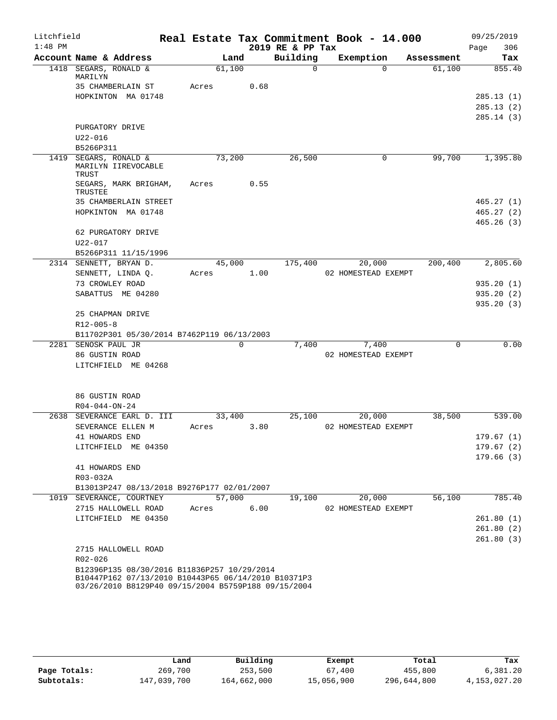| Litchfield |                                                     |       |        |      |                  | Real Estate Tax Commitment Book - 14.000 |          |            |      | 09/25/2019 |
|------------|-----------------------------------------------------|-------|--------|------|------------------|------------------------------------------|----------|------------|------|------------|
| $1:48$ PM  |                                                     |       |        |      | 2019 RE & PP Tax |                                          |          |            | Page | 306        |
|            | Account Name & Address                              |       | Land   |      | Building         | Exemption                                |          | Assessment |      | Tax        |
|            | 1418 SEGARS, RONALD &<br>MARILYN                    |       | 61,100 |      | $\Omega$         |                                          | $\Omega$ | 61,100     |      | 855.40     |
|            | 35 CHAMBERLAIN ST                                   | Acres |        | 0.68 |                  |                                          |          |            |      |            |
|            | HOPKINTON MA 01748                                  |       |        |      |                  |                                          |          |            |      | 285.13(1)  |
|            |                                                     |       |        |      |                  |                                          |          |            |      | 285.13(2)  |
|            |                                                     |       |        |      |                  |                                          |          |            |      | 285.14(3)  |
|            | PURGATORY DRIVE<br>$U22 - 016$                      |       |        |      |                  |                                          |          |            |      |            |
|            | B5266P311                                           |       |        |      |                  |                                          |          |            |      |            |
| 1419       | SEGARS, RONALD &                                    |       | 73,200 |      | 26,500           |                                          | 0        | 99,700     |      | 1,395.80   |
|            | MARILYN IIREVOCABLE<br>TRUST                        |       |        |      |                  |                                          |          |            |      |            |
|            | SEGARS, MARK BRIGHAM,<br>TRUSTEE                    | Acres |        | 0.55 |                  |                                          |          |            |      |            |
|            | 35 CHAMBERLAIN STREET                               |       |        |      |                  |                                          |          |            |      | 465.27(1)  |
|            | HOPKINTON MA 01748                                  |       |        |      |                  |                                          |          |            |      | 465.27(2)  |
|            |                                                     |       |        |      |                  |                                          |          |            |      | 465.26(3)  |
|            | 62 PURGATORY DRIVE<br>$U22 - 017$                   |       |        |      |                  |                                          |          |            |      |            |
|            | B5266P311 11/15/1996                                |       |        |      |                  |                                          |          |            |      |            |
|            | 2314 SENNETT, BRYAN D.                              |       | 45,000 |      | 175,400          | 20,000                                   |          | 200,400    |      | 2,805.60   |
|            | SENNETT, LINDA Q.                                   | Acres |        | 1.00 |                  | 02 HOMESTEAD EXEMPT                      |          |            |      |            |
|            | 73 CROWLEY ROAD                                     |       |        |      |                  |                                          |          |            |      | 935.20(1)  |
|            | SABATTUS ME 04280                                   |       |        |      |                  |                                          |          |            |      | 935.20(2)  |
|            |                                                     |       |        |      |                  |                                          |          |            |      | 935.20(3)  |
|            | 25 CHAPMAN DRIVE                                    |       |        |      |                  |                                          |          |            |      |            |
|            | $R12 - 005 - 8$                                     |       |        |      |                  |                                          |          |            |      |            |
|            | B11702P301 05/30/2014 B7462P119 06/13/2003          |       |        |      |                  |                                          |          | $\Omega$   |      |            |
| 2281       | SENOSK PAUL JR<br>86 GUSTIN ROAD                    |       |        | 0    | 7,400            | 7,400<br>02 HOMESTEAD EXEMPT             |          |            |      | 0.00       |
|            | LITCHFIELD ME 04268                                 |       |        |      |                  |                                          |          |            |      |            |
|            |                                                     |       |        |      |                  |                                          |          |            |      |            |
|            | 86 GUSTIN ROAD                                      |       |        |      |                  |                                          |          |            |      |            |
|            | $R04 - 044 - ON - 24$                               |       |        |      |                  |                                          |          |            |      |            |
| 2638       | SEVERANCE EARL D. III<br>SEVERANCE ELLEN M          | Acres | 33,400 | 3.80 | 25,100           | 20,000<br>02 HOMESTEAD EXEMPT            |          | 38,500     |      | 539.00     |
|            | 41 HOWARDS END                                      |       |        |      |                  |                                          |          |            |      | 179.67(1)  |
|            | LITCHFIELD ME 04350                                 |       |        |      |                  |                                          |          |            |      | 179.67(2)  |
|            |                                                     |       |        |      |                  |                                          |          |            |      | 179.66(3)  |
|            | 41 HOWARDS END                                      |       |        |      |                  |                                          |          |            |      |            |
|            | R03-032A                                            |       |        |      |                  |                                          |          |            |      |            |
|            | B13013P247 08/13/2018 B9276P177 02/01/2007          |       |        |      |                  |                                          |          |            |      |            |
|            | 1019 SEVERANCE, COURTNEY                            |       | 57,000 |      | 19,100           | 20,000                                   |          | 56,100     |      | 785.40     |
|            | 2715 HALLOWELL ROAD                                 | Acres |        | 6.00 |                  | 02 HOMESTEAD EXEMPT                      |          |            |      |            |
|            | LITCHFIELD ME 04350                                 |       |        |      |                  |                                          |          |            |      | 261.80(1)  |
|            |                                                     |       |        |      |                  |                                          |          |            |      | 261.80(2)  |
|            | 2715 HALLOWELL ROAD                                 |       |        |      |                  |                                          |          |            |      | 261.80(3)  |
|            | R02-026                                             |       |        |      |                  |                                          |          |            |      |            |
|            | B12396P135 08/30/2016 B11836P257 10/29/2014         |       |        |      |                  |                                          |          |            |      |            |
|            | B10447P162 07/13/2010 B10443P65 06/14/2010 B10371P3 |       |        |      |                  |                                          |          |            |      |            |
|            | 03/26/2010 B8129P40 09/15/2004 B5759P188 09/15/2004 |       |        |      |                  |                                          |          |            |      |            |

|              | Land        | Building    | Exempt     | Total       | Tax          |
|--------------|-------------|-------------|------------|-------------|--------------|
| Page Totals: | 269,700     | 253,500     | 67,400     | 455,800     | 6,381.20     |
| Subtotals:   | 147,039,700 | 164,662,000 | 15,056,900 | 296,644,800 | 4,153,027.20 |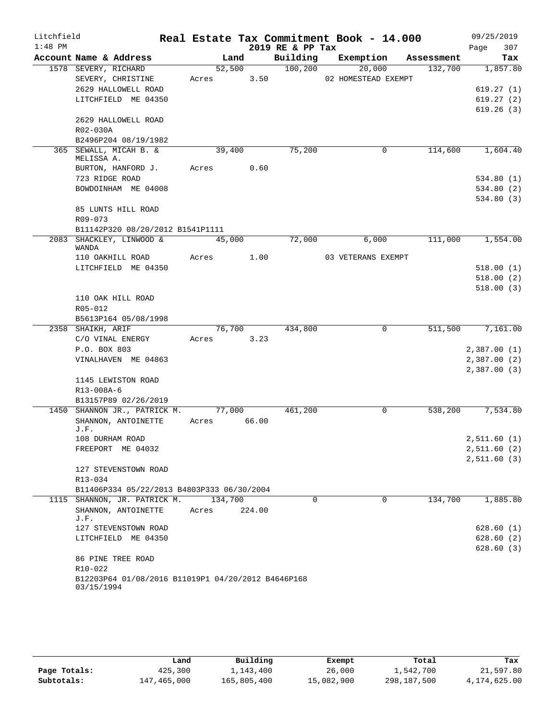| Litchfield |                                                               |             |         |        | Real Estate Tax Commitment Book - 14.000 |                     |          |            | 09/25/2019                 |
|------------|---------------------------------------------------------------|-------------|---------|--------|------------------------------------------|---------------------|----------|------------|----------------------------|
| $1:48$ PM  |                                                               |             |         |        | 2019 RE & PP Tax                         |                     |          |            | 307<br>Page                |
|            | Account Name & Address                                        |             | Land    |        | Building                                 | Exemption           |          | Assessment | Tax                        |
|            | 1578 SEVERY, RICHARD                                          |             | 52,500  |        | 100, 200                                 | 20,000              |          | 132,700    | 1,857.80                   |
|            | SEVERY, CHRISTINE                                             | Acres       |         | 3.50   |                                          | 02 HOMESTEAD EXEMPT |          |            |                            |
|            | 2629 HALLOWELL ROAD                                           |             |         |        |                                          |                     |          |            | 619.27(1)                  |
|            | LITCHFIELD ME 04350                                           |             |         |        |                                          |                     |          |            | 619.27(2)                  |
|            | 2629 HALLOWELL ROAD                                           |             |         |        |                                          |                     |          |            | 619.26(3)                  |
|            | R02-030A                                                      |             |         |        |                                          |                     |          |            |                            |
|            | B2496P204 08/19/1982                                          |             |         |        |                                          |                     |          |            |                            |
|            | 365 SEWALL, MICAH B. &                                        |             | 39,400  |        | 75,200                                   |                     | 0        | 114,600    | 1,604.40                   |
|            | MELISSA A.                                                    |             |         |        |                                          |                     |          |            |                            |
|            | BURTON, HANFORD J.                                            | Acres       |         | 0.60   |                                          |                     |          |            |                            |
|            | 723 RIDGE ROAD                                                |             |         |        |                                          |                     |          |            | 534.80(1)                  |
|            | BOWDOINHAM ME 04008                                           |             |         |        |                                          |                     |          |            | 534.80(2)                  |
|            |                                                               |             |         |        |                                          |                     |          |            | 534.80(3)                  |
|            | 85 LUNTS HILL ROAD                                            |             |         |        |                                          |                     |          |            |                            |
|            | $R09 - 073$                                                   |             |         |        |                                          |                     |          |            |                            |
|            | B11142P320 08/20/2012 B1541P1111<br>2083 SHACKLEY, LINWOOD &  |             | 45,000  |        | 72,000                                   | 6,000               |          | 111,000    | 1,554.00                   |
|            | WANDA                                                         |             |         |        |                                          |                     |          |            |                            |
|            | 110 OAKHILL ROAD                                              | Acres       |         | 1.00   |                                          | 03 VETERANS EXEMPT  |          |            |                            |
|            | LITCHFIELD ME 04350                                           |             |         |        |                                          |                     |          |            | 518.00(1)                  |
|            |                                                               |             |         |        |                                          |                     |          |            | 518.00(2)                  |
|            |                                                               |             |         |        |                                          |                     |          |            | 518.00(3)                  |
|            | 110 OAK HILL ROAD                                             |             |         |        |                                          |                     |          |            |                            |
|            | R05-012                                                       |             |         |        |                                          |                     |          |            |                            |
|            | B5613P164 05/08/1998                                          |             |         |        |                                          |                     |          |            |                            |
|            | 2358 SHAIKH, ARIF                                             |             | 76,700  |        | 434,800                                  |                     | 0        | 511,500    | 7,161.00                   |
|            | C/O VINAL ENERGY<br>P.O. BOX 803                              | Acres       |         | 3.23   |                                          |                     |          |            |                            |
|            | VINALHAVEN ME 04863                                           |             |         |        |                                          |                     |          |            | 2,387.00(1)<br>2,387.00(2) |
|            |                                                               |             |         |        |                                          |                     |          |            | 2,387.00(3)                |
|            | 1145 LEWISTON ROAD                                            |             |         |        |                                          |                     |          |            |                            |
|            | R13-008A-6                                                    |             |         |        |                                          |                     |          |            |                            |
|            | B13157P89 02/26/2019                                          |             |         |        |                                          |                     |          |            |                            |
|            | 1450 SHANNON JR., PATRICK M.                                  |             | 77,000  |        | 461,200                                  |                     | 0        | 538,200    | 7,534.80                   |
|            | SHANNON, ANTOINETTE                                           | Acres 66.00 |         |        |                                          |                     |          |            |                            |
|            | J.F.                                                          |             |         |        |                                          |                     |          |            |                            |
|            | 108 DURHAM ROAD                                               |             |         |        |                                          |                     |          |            | 2,511.60(1)                |
|            | FREEPORT ME 04032                                             |             |         |        |                                          |                     |          |            | 2,511.60(2)                |
|            | 127 STEVENSTOWN ROAD                                          |             |         |        |                                          |                     |          |            | 2,511.60(3)                |
|            | R13-034                                                       |             |         |        |                                          |                     |          |            |                            |
|            | B11406P334 05/22/2013 B4803P333 06/30/2004                    |             |         |        |                                          |                     |          |            |                            |
|            | 1115 SHANNON, JR. PATRICK M.                                  |             | 134,700 |        | $\Omega$                                 |                     | $\Omega$ | 134,700    | 1,885.80                   |
|            | SHANNON, ANTOINETTE                                           | Acres       |         | 224.00 |                                          |                     |          |            |                            |
|            | J.F.                                                          |             |         |        |                                          |                     |          |            |                            |
|            | 127 STEVENSTOWN ROAD                                          |             |         |        |                                          |                     |          |            | 628.60(1)                  |
|            | LITCHFIELD ME 04350                                           |             |         |        |                                          |                     |          |            | 628.60(2)                  |
|            |                                                               |             |         |        |                                          |                     |          |            | 628.60(3)                  |
|            | 86 PINE TREE ROAD                                             |             |         |        |                                          |                     |          |            |                            |
|            | R10-022<br>B12203P64 01/08/2016 B11019P1 04/20/2012 B4646P168 |             |         |        |                                          |                     |          |            |                            |
|            | 03/15/1994                                                    |             |         |        |                                          |                     |          |            |                            |
|            |                                                               |             |         |        |                                          |                     |          |            |                            |

|              | Land        | Building    | Exempt     | Total       | Tax          |
|--------------|-------------|-------------|------------|-------------|--------------|
| Page Totals: | 425,300     | 1,143,400   | 26,000     | 1,542,700   | 21,597.80    |
| Subtotals:   | 147,465,000 | 165,805,400 | 15,082,900 | 298,187,500 | 4,174,625.00 |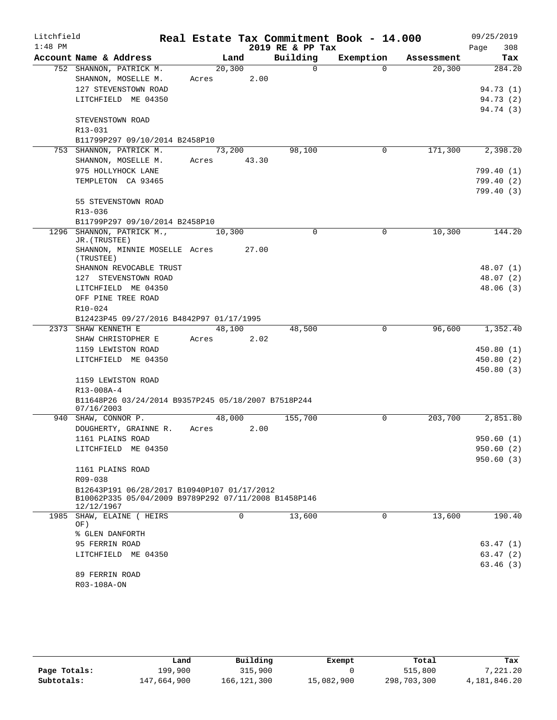| Litchfield |                                                                                                                   |       |          |       |                  | Real Estate Tax Commitment Book - 14.000 |            | 09/25/2019  |
|------------|-------------------------------------------------------------------------------------------------------------------|-------|----------|-------|------------------|------------------------------------------|------------|-------------|
| $1:48$ PM  |                                                                                                                   |       |          |       | 2019 RE & PP Tax |                                          |            | 308<br>Page |
|            | Account Name & Address                                                                                            |       | Land     |       | Building         | Exemption                                | Assessment | Tax         |
|            | 752 SHANNON, PATRICK M.                                                                                           |       | 20,300   |       | $\Omega$         | $\Omega$                                 | 20,300     | 284.20      |
|            | SHANNON, MOSELLE M.                                                                                               | Acres |          | 2.00  |                  |                                          |            |             |
|            | 127 STEVENSTOWN ROAD                                                                                              |       |          |       |                  |                                          |            | 94.73 (1)   |
|            | LITCHFIELD ME 04350                                                                                               |       |          |       |                  |                                          |            | 94.73 (2)   |
|            | STEVENSTOWN ROAD                                                                                                  |       |          |       |                  |                                          |            | 94.74 (3)   |
|            | R13-031                                                                                                           |       |          |       |                  |                                          |            |             |
|            | B11799P297 09/10/2014 B2458P10                                                                                    |       |          |       |                  |                                          |            |             |
|            | 753 SHANNON, PATRICK M.                                                                                           |       | 73,200   |       | 98,100           | 0                                        | 171,300    | 2,398.20    |
|            | SHANNON, MOSELLE M.                                                                                               | Acres |          | 43.30 |                  |                                          |            |             |
|            | 975 HOLLYHOCK LANE                                                                                                |       |          |       |                  |                                          |            | 799.40(1)   |
|            | TEMPLETON CA 93465                                                                                                |       |          |       |                  |                                          |            | 799.40(2)   |
|            |                                                                                                                   |       |          |       |                  |                                          |            | 799.40(3)   |
|            | 55 STEVENSTOWN ROAD                                                                                               |       |          |       |                  |                                          |            |             |
|            | R13-036                                                                                                           |       |          |       |                  |                                          |            |             |
|            | B11799P297 09/10/2014 B2458P10                                                                                    |       |          |       |                  |                                          |            |             |
|            | 1296 SHANNON, PATRICK M.,<br>JR. (TRUSTEE)                                                                        |       | 10,300   |       | $\Omega$         | $\Omega$                                 | 10,300     | 144.20      |
|            | SHANNON, MINNIE MOSELLE Acres<br>(TRUSTEE)                                                                        |       |          | 27.00 |                  |                                          |            |             |
|            | SHANNON REVOCABLE TRUST                                                                                           |       |          |       |                  |                                          |            | 48.07 (1)   |
|            | 127 STEVENSTOWN ROAD                                                                                              |       |          |       |                  |                                          |            | 48.07 (2)   |
|            | LITCHFIELD ME 04350                                                                                               |       |          |       |                  |                                          |            | 48.06(3)    |
|            | OFF PINE TREE ROAD                                                                                                |       |          |       |                  |                                          |            |             |
|            | $R10 - 024$                                                                                                       |       |          |       |                  |                                          |            |             |
|            | B12423P45 09/27/2016 B4842P97 01/17/1995                                                                          |       |          |       |                  |                                          |            |             |
|            | 2373 SHAW KENNETH E                                                                                               |       | 48,100   |       | 48,500           | 0                                        | 96,600     | 1,352.40    |
|            | SHAW CHRISTOPHER E                                                                                                | Acres |          | 2.02  |                  |                                          |            |             |
|            | 1159 LEWISTON ROAD                                                                                                |       |          |       |                  |                                          |            | 450.80(1)   |
|            | LITCHFIELD ME 04350                                                                                               |       |          |       |                  |                                          |            | 450.80(2)   |
|            | 1159 LEWISTON ROAD                                                                                                |       |          |       |                  |                                          |            | 450.80(3)   |
|            | R13-008A-4                                                                                                        |       |          |       |                  |                                          |            |             |
|            | B11648P26 03/24/2014 B9357P245 05/18/2007 B7518P244                                                               |       |          |       |                  |                                          |            |             |
|            | 07/16/2003                                                                                                        |       |          |       |                  |                                          |            |             |
|            | 940 SHAW, CONNOR P.                                                                                               |       | 48,000   |       | 155,700          | $\Omega$                                 | 203,700    | 2,851.80    |
|            | DOUGHERTY, GRAINNE R.                                                                                             | Acres |          | 2.00  |                  |                                          |            |             |
|            | 1161 PLAINS ROAD                                                                                                  |       |          |       |                  |                                          |            | 950.60 (1)  |
|            | LITCHFIELD ME 04350                                                                                               |       |          |       |                  |                                          |            | 950.60(2)   |
|            |                                                                                                                   |       |          |       |                  |                                          |            | 950.60(3)   |
|            | 1161 PLAINS ROAD                                                                                                  |       |          |       |                  |                                          |            |             |
|            | R09-038                                                                                                           |       |          |       |                  |                                          |            |             |
|            | B12643P191 06/28/2017 B10940P107 01/17/2012<br>B10062P335 05/04/2009 B9789P292 07/11/2008 B1458P146<br>12/12/1967 |       |          |       |                  |                                          |            |             |
|            | 1985 SHAW, ELAINE ( HEIRS<br>OF)                                                                                  |       | $\Omega$ |       | 13,600           | 0                                        | 13,600     | 190.40      |
|            | % GLEN DANFORTH                                                                                                   |       |          |       |                  |                                          |            |             |
|            | 95 FERRIN ROAD                                                                                                    |       |          |       |                  |                                          |            | 63.47(1)    |
|            | LITCHFIELD ME 04350                                                                                               |       |          |       |                  |                                          |            | 63.47(2)    |
|            |                                                                                                                   |       |          |       |                  |                                          |            | 63.46(3)    |
|            | 89 FERRIN ROAD                                                                                                    |       |          |       |                  |                                          |            |             |
|            | R03-108A-ON                                                                                                       |       |          |       |                  |                                          |            |             |

|              | Land        | Building      | Exempt     | Total       | Tax          |
|--------------|-------------|---------------|------------|-------------|--------------|
| Page Totals: | 199,900     | 315,900       |            | 515,800     | 7,221.20     |
| Subtotals:   | 147,664,900 | 166, 121, 300 | 15,082,900 | 298,703,300 | 4,181,846.20 |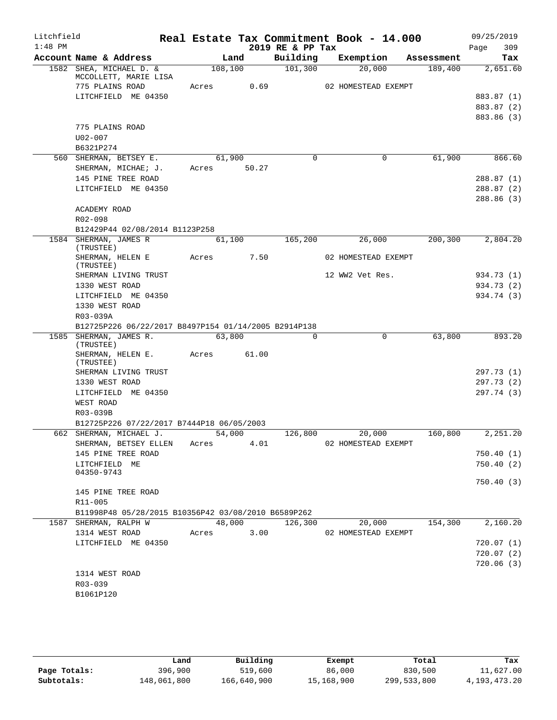| Litchfield |                                                      |       |         |        | Real Estate Tax Commitment Book - 14.000 |                     |            | 09/25/2019 |        |
|------------|------------------------------------------------------|-------|---------|--------|------------------------------------------|---------------------|------------|------------|--------|
| $1:48$ PM  |                                                      |       |         |        | 2019 RE & PP Tax                         |                     |            | Page       | 309    |
|            | Account Name & Address                               |       | Land    |        | Building                                 | Exemption           | Assessment |            | Tax    |
|            | 1582 SHEA, MICHAEL D. &<br>MCCOLLETT, MARIE LISA     |       | 108,100 |        | 101,300                                  | 20,000              | 189,400    | 2,651.60   |        |
|            | 775 PLAINS ROAD                                      | Acres |         | 0.69   |                                          | 02 HOMESTEAD EXEMPT |            |            |        |
|            | LITCHFIELD ME 04350                                  |       |         |        |                                          |                     |            | 883.87 (1) |        |
|            |                                                      |       |         |        |                                          |                     |            | 883.87 (2) |        |
|            |                                                      |       |         |        |                                          |                     |            | 883.86 (3) |        |
|            | 775 PLAINS ROAD                                      |       |         |        |                                          |                     |            |            |        |
|            | $U02 - 007$                                          |       |         |        |                                          |                     |            |            |        |
|            | B6321P274                                            |       |         |        |                                          |                     |            |            |        |
|            | 560 SHERMAN, BETSEY E.                               |       | 61,900  |        | $\Omega$                                 | 0                   | 61,900     |            | 866.60 |
|            | SHERMAN, MICHAE; J.                                  | Acres |         | 50.27  |                                          |                     |            |            |        |
|            | 145 PINE TREE ROAD                                   |       |         |        |                                          |                     |            | 288.87(1)  |        |
|            | LITCHFIELD ME 04350                                  |       |         |        |                                          |                     |            | 288.87 (2) |        |
|            |                                                      |       |         |        |                                          |                     |            | 288.86(3)  |        |
|            | ACADEMY ROAD                                         |       |         |        |                                          |                     |            |            |        |
|            | R02-098                                              |       |         |        |                                          |                     |            |            |        |
|            | B12429P44 02/08/2014 B1123P258                       |       |         |        |                                          |                     |            |            |        |
|            | 1584 SHERMAN, JAMES R                                |       | 61,100  |        | 165,200                                  | 26,000              | 200,300    | 2,804.20   |        |
|            | (TRUSTEE)<br>SHERMAN, HELEN E                        | Acres |         | 7.50   |                                          | 02 HOMESTEAD EXEMPT |            |            |        |
|            | (TRUSTEE)                                            |       |         |        |                                          |                     |            |            |        |
|            | SHERMAN LIVING TRUST                                 |       |         |        |                                          | 12 WW2 Vet Res.     |            | 934.73 (1) |        |
|            | 1330 WEST ROAD                                       |       |         |        |                                          |                     |            | 934.73 (2) |        |
|            | LITCHFIELD ME 04350                                  |       |         |        |                                          |                     |            | 934.74 (3) |        |
|            | 1330 WEST ROAD                                       |       |         |        |                                          |                     |            |            |        |
|            | R03-039A                                             |       |         |        |                                          |                     |            |            |        |
|            | B12725P226 06/22/2017 B8497P154 01/14/2005 B2914P138 |       |         |        |                                          |                     |            |            |        |
|            | 1585 SHERMAN, JAMES R.<br>(TRUSTEE)                  |       | 63,800  |        | $\mathbf 0$                              | 0                   | 63,800     |            | 893.20 |
|            | SHERMAN, HELEN E.<br>(TRUSTEE)                       | Acres |         | 61.00  |                                          |                     |            |            |        |
|            | SHERMAN LIVING TRUST                                 |       |         |        |                                          |                     |            | 297.73 (1) |        |
|            | 1330 WEST ROAD                                       |       |         |        |                                          |                     |            | 297.73 (2) |        |
|            | LITCHFIELD ME 04350                                  |       |         |        |                                          |                     |            | 297.74(3)  |        |
|            | WEST ROAD                                            |       |         |        |                                          |                     |            |            |        |
|            | R03-039B                                             |       |         |        |                                          |                     |            |            |        |
|            | B12725P226 07/22/2017 B7444P18 06/05/2003            |       |         |        |                                          |                     |            | 2,251.20   |        |
|            | 662 SHERMAN, MICHAEL J.                              |       | 54,000  |        | 126,800                                  | 20,000              | 160,800    |            |        |
|            | SHERMAN, BETSEY ELLEN<br>145 PINE TREE ROAD          | Acres |         | 4.01   |                                          | 02 HOMESTEAD EXEMPT |            | 750.40(1)  |        |
|            | LITCHFIELD ME                                        |       |         |        |                                          |                     |            | 750.40(2)  |        |
|            | 04350-9743                                           |       |         |        |                                          |                     |            |            |        |
|            |                                                      |       |         |        |                                          |                     |            | 750.40(3)  |        |
|            | 145 PINE TREE ROAD                                   |       |         |        |                                          |                     |            |            |        |
|            | R11-005                                              |       |         |        |                                          |                     |            |            |        |
|            | B11998P48 05/28/2015 B10356P42 03/08/2010 B6589P262  |       |         |        |                                          |                     |            |            |        |
|            | 1587 SHERMAN, RALPH W                                |       |         | 48,000 | 126,300                                  | 20,000              | 154,300    | 2,160.20   |        |
|            | 1314 WEST ROAD                                       | Acres |         | 3.00   |                                          | 02 HOMESTEAD EXEMPT |            |            |        |
|            | LITCHFIELD ME 04350                                  |       |         |        |                                          |                     |            | 720.07 (1) |        |
|            |                                                      |       |         |        |                                          |                     |            | 720.07(2)  |        |
|            |                                                      |       |         |        |                                          |                     |            | 720.06(3)  |        |
|            | 1314 WEST ROAD                                       |       |         |        |                                          |                     |            |            |        |
|            | R03-039                                              |       |         |        |                                          |                     |            |            |        |
|            | B1061P120                                            |       |         |        |                                          |                     |            |            |        |
|            |                                                      |       |         |        |                                          |                     |            |            |        |

|              | Land        | Building    | Exempt     | Total       | Tax             |
|--------------|-------------|-------------|------------|-------------|-----------------|
| Page Totals: | 396,900     | 519,600     | 86,000     | 830,500     | 11,627.00       |
| Subtotals:   | 148,061,800 | 166,640,900 | 15,168,900 | 299,533,800 | 4, 193, 473. 20 |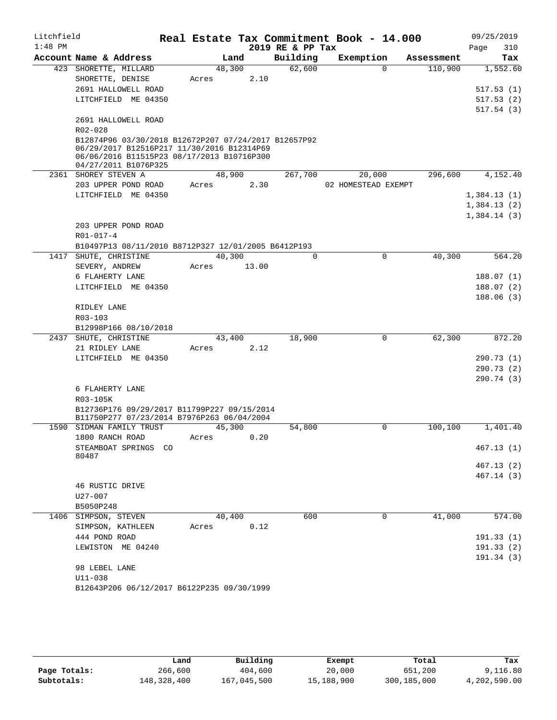| Litchfield |                                                      |            |       |                  | Real Estate Tax Commitment Book - 14.000 |            | 09/25/2019  |
|------------|------------------------------------------------------|------------|-------|------------------|------------------------------------------|------------|-------------|
| $1:48$ PM  |                                                      |            |       | 2019 RE & PP Tax |                                          |            | Page<br>310 |
|            | Account Name & Address                               | Land       |       | Building         | Exemption                                | Assessment | Tax         |
|            | 423 SHORETTE, MILLARD                                | 48,300     |       | 62,600           | $\Omega$                                 | 110,900    | 1,552.60    |
|            | SHORETTE, DENISE                                     | Acres      | 2.10  |                  |                                          |            |             |
|            | 2691 HALLOWELL ROAD                                  |            |       |                  |                                          |            | 517.53(1)   |
|            | LITCHFIELD ME 04350                                  |            |       |                  |                                          |            | 517.53(2)   |
|            | 2691 HALLOWELL ROAD                                  |            |       |                  |                                          |            | 517.54(3)   |
|            | R02-028                                              |            |       |                  |                                          |            |             |
|            | B12874P96 03/30/2018 B12672P207 07/24/2017 B12657P92 |            |       |                  |                                          |            |             |
|            | 06/29/2017 B12516P217 11/30/2016 B12314P69           |            |       |                  |                                          |            |             |
|            | 06/06/2016 B11515P23 08/17/2013 B10716P300           |            |       |                  |                                          |            |             |
|            | 04/27/2011 B1076P325                                 | 48,900     |       | 267,700          |                                          |            |             |
|            | 2361 SHOREY STEVEN A<br>203 UPPER POND ROAD          | Acres      | 2.30  |                  | 20,000<br>02 HOMESTEAD EXEMPT            | 296,600    | 4,152.40    |
|            | LITCHFIELD ME 04350                                  |            |       |                  |                                          |            | 1,384.13(1) |
|            |                                                      |            |       |                  |                                          |            | 1,384.13(2) |
|            |                                                      |            |       |                  |                                          |            | 1,384.14(3) |
|            | 203 UPPER POND ROAD                                  |            |       |                  |                                          |            |             |
|            | $R01 - 017 - 4$                                      |            |       |                  |                                          |            |             |
|            | B10497P13 08/11/2010 B8712P327 12/01/2005 B6412P193  |            |       |                  |                                          |            |             |
|            | 1417 SHUTE, CHRISTINE                                | 40,300     |       | $\Omega$         | $\Omega$                                 | 40,300     | 564.20      |
|            | SEVERY, ANDREW                                       | Acres      | 13.00 |                  |                                          |            |             |
|            | 6 FLAHERTY LANE                                      |            |       |                  |                                          |            | 188.07(1)   |
|            | LITCHFIELD ME 04350                                  |            |       |                  |                                          |            | 188.07(2)   |
|            |                                                      |            |       |                  |                                          |            | 188.06(3)   |
|            | RIDLEY LANE                                          |            |       |                  |                                          |            |             |
|            | R03-103                                              |            |       |                  |                                          |            |             |
|            | B12998P166 08/10/2018                                |            |       |                  |                                          |            |             |
|            | 2437 SHUTE, CHRISTINE                                | 43,400     |       | 18,900           | $\mathbf 0$                              | 62,300     | 872.20      |
|            | 21 RIDLEY LANE                                       | Acres      | 2.12  |                  |                                          |            |             |
|            | LITCHFIELD ME 04350                                  |            |       |                  |                                          |            | 290.73(1)   |
|            |                                                      |            |       |                  |                                          |            | 290.73(2)   |
|            |                                                      |            |       |                  |                                          |            | 290.74 (3)  |
|            | 6 FLAHERTY LANE<br>R03-105K                          |            |       |                  |                                          |            |             |
|            | B12736P176 09/29/2017 B11799P227 09/15/2014          |            |       |                  |                                          |            |             |
|            | B11750P277 07/23/2014 B7976P263 06/04/2004           |            |       |                  |                                          |            |             |
|            | 1590 SIDMAN FAMILY TRUST                             | 45,300     |       | 54,800           | 0                                        | 100,100    | 1,401.40    |
|            | 1800 RANCH ROAD                                      | Acres 0.20 |       |                  |                                          |            |             |
|            | STEAMBOAT SPRINGS CO                                 |            |       |                  |                                          |            | 467.13(1)   |
|            | 80487                                                |            |       |                  |                                          |            | 467.13(2)   |
|            |                                                      |            |       |                  |                                          |            | 467.14 (3)  |
|            | 46 RUSTIC DRIVE                                      |            |       |                  |                                          |            |             |
|            | U27-007                                              |            |       |                  |                                          |            |             |
|            | B5050P248                                            |            |       |                  |                                          |            |             |
|            | 1406 SIMPSON, STEVEN                                 | 40,400     |       | 600              | 0                                        | 41,000     | 574.00      |
|            | SIMPSON, KATHLEEN                                    | Acres      | 0.12  |                  |                                          |            |             |
|            | 444 POND ROAD                                        |            |       |                  |                                          |            | 191.33(1)   |
|            | LEWISTON ME 04240                                    |            |       |                  |                                          |            | 191.33(2)   |
|            |                                                      |            |       |                  |                                          |            | 191.34 (3)  |
|            | 98 LEBEL LANE                                        |            |       |                  |                                          |            |             |
|            | $U11 - 038$                                          |            |       |                  |                                          |            |             |
|            | B12643P206 06/12/2017 B6122P235 09/30/1999           |            |       |                  |                                          |            |             |

|              | Land        | Building    | Exempt     | Total       | Tax          |
|--------------|-------------|-------------|------------|-------------|--------------|
| Page Totals: | 266,600     | 404,600     | 20,000     | 651,200     | 9,116.80     |
| Subtotals:   | 148,328,400 | 167,045,500 | 15,188,900 | 300,185,000 | 4,202,590.00 |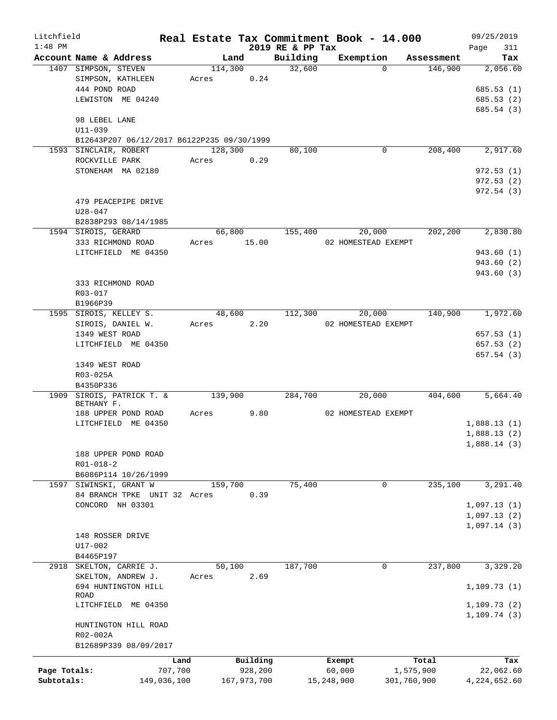| Litchfield   |                                            |         |             |                  | Real Estate Tax Commitment Book - 14.000 |             | 09/25/2019   |
|--------------|--------------------------------------------|---------|-------------|------------------|------------------------------------------|-------------|--------------|
| $1:48$ PM    |                                            |         |             | 2019 RE & PP Tax |                                          |             | 311<br>Page  |
|              | Account Name & Address                     | Land    |             | Building         | Exemption                                | Assessment  | Tax          |
|              | 1407 SIMPSON, STEVEN                       | 114,300 |             | 32,600           | $\Omega$                                 | 146,900     | 2,056.60     |
|              | SIMPSON, KATHLEEN                          | Acres   | 0.24        |                  |                                          |             |              |
|              | 444 POND ROAD                              |         |             |                  |                                          |             | 685.53(1)    |
|              | LEWISTON ME 04240                          |         |             |                  |                                          |             | 685.53(2)    |
|              |                                            |         |             |                  |                                          |             | 685.54 (3)   |
|              | 98 LEBEL LANE                              |         |             |                  |                                          |             |              |
|              | U11-039                                    |         |             |                  |                                          |             |              |
|              | B12643P207 06/12/2017 B6122P235 09/30/1999 |         |             |                  |                                          |             |              |
|              | 1593 SINCLAIR, ROBERT                      | 128,300 |             | 80,100           | 0                                        | 208,400     | 2,917.60     |
|              | ROCKVILLE PARK                             | Acres   | 0.29        |                  |                                          |             |              |
|              | STONEHAM MA 02180                          |         |             |                  |                                          |             | 972.53(1)    |
|              |                                            |         |             |                  |                                          |             | 972.53(2)    |
|              |                                            |         |             |                  |                                          |             | 972.54(3)    |
|              | 479 PEACEPIPE DRIVE                        |         |             |                  |                                          |             |              |
|              | $U28 - 047$                                |         |             |                  |                                          |             |              |
|              | B2838P293 08/14/1985                       |         |             |                  |                                          |             |              |
|              | 1594 SIROIS, GERARD                        | 66,800  |             | 155,400          | 20,000                                   | 202,200     | 2,830.80     |
|              | 333 RICHMOND ROAD                          | Acres   | 15.00       |                  | 02 HOMESTEAD EXEMPT                      |             |              |
|              | LITCHFIELD ME 04350                        |         |             |                  |                                          |             | 943.60(1)    |
|              |                                            |         |             |                  |                                          |             | 943.60(2)    |
|              |                                            |         |             |                  |                                          |             | 943.60 (3)   |
|              | 333 RICHMOND ROAD                          |         |             |                  |                                          |             |              |
|              | $R03 - 017$                                |         |             |                  |                                          |             |              |
|              | B1966P39                                   |         |             |                  |                                          |             |              |
|              | 1595 SIROIS, KELLEY S.                     | 48,600  |             | 112,300          | 20,000                                   | 140,900     | 1,972.60     |
|              |                                            |         |             |                  |                                          |             |              |
|              | SIROIS, DANIEL W.                          | Acres   | 2.20        |                  | 02 HOMESTEAD EXEMPT                      |             |              |
|              | 1349 WEST ROAD                             |         |             |                  |                                          |             | 657.53(1)    |
|              | LITCHFIELD ME 04350                        |         |             |                  |                                          |             | 657.53(2)    |
|              |                                            |         |             |                  |                                          |             | 657.54 (3)   |
|              | 1349 WEST ROAD                             |         |             |                  |                                          |             |              |
|              | R03-025A                                   |         |             |                  |                                          |             |              |
|              | B4350P336                                  |         |             |                  |                                          |             |              |
|              | 1909 SIROIS, PATRICK T. &                  | 139,900 |             | 284,700          | 20,000                                   | 404,600     | 5,664.40     |
|              | BETHANY F.                                 |         |             |                  |                                          |             |              |
|              | 188 UPPER POND ROAD                        | Acres   | 9.80        |                  | 02 HOMESTEAD EXEMPT                      |             |              |
|              | LITCHFIELD ME 04350                        |         |             |                  |                                          |             | 1,888.13(1)  |
|              |                                            |         |             |                  |                                          |             | 1,888.13(2)  |
|              |                                            |         |             |                  |                                          |             | 1,888.14 (3) |
|              | 188 UPPER POND ROAD                        |         |             |                  |                                          |             |              |
|              | $R01 - 018 - 2$                            |         |             |                  |                                          |             |              |
|              | B6086P114 10/26/1999                       |         |             |                  |                                          |             |              |
| 1597         | SIWINSKI, GRANT W                          | 159,700 |             | 75,400           | 0                                        | 235,100     | 3,291.40     |
|              | 84 BRANCH TPKE UNIT 32 Acres               |         | 0.39        |                  |                                          |             |              |
|              | CONCORD NH 03301                           |         |             |                  |                                          |             | 1,097.13(1)  |
|              |                                            |         |             |                  |                                          |             | 1,097.13(2)  |
|              |                                            |         |             |                  |                                          |             | 1,097.14(3)  |
|              | 148 ROSSER DRIVE                           |         |             |                  |                                          |             |              |
|              | U17-002                                    |         |             |                  |                                          |             |              |
|              | B4465P197                                  |         |             |                  |                                          |             |              |
|              | 2918 SKELTON, CARRIE J.                    | 50,100  |             | 187,700          | 0                                        | 237,800     | 3,329.20     |
|              | SKELTON, ANDREW J.                         | Acres   | 2.69        |                  |                                          |             |              |
|              | 694 HUNTINGTON HILL                        |         |             |                  |                                          |             | 1, 109.73(1) |
|              | ROAD                                       |         |             |                  |                                          |             |              |
|              | LITCHFIELD ME 04350                        |         |             |                  |                                          |             | 1,109.73(2)  |
|              |                                            |         |             |                  |                                          |             | 1,109.74(3)  |
|              | HUNTINGTON HILL ROAD                       |         |             |                  |                                          |             |              |
|              | R02-002A                                   |         |             |                  |                                          |             |              |
|              | B12689P339 08/09/2017                      |         |             |                  |                                          |             |              |
|              |                                            |         |             |                  |                                          |             |              |
|              | Land                                       |         | Building    |                  | Exempt                                   | Total       | Tax          |
| Page Totals: | 707,700                                    |         | 928,200     |                  | 60,000                                   | 1,575,900   | 22,062.60    |
| Subtotals:   | 149,036,100                                |         | 167,973,700 |                  | 15,248,900                               | 301,760,900 | 4,224,652.60 |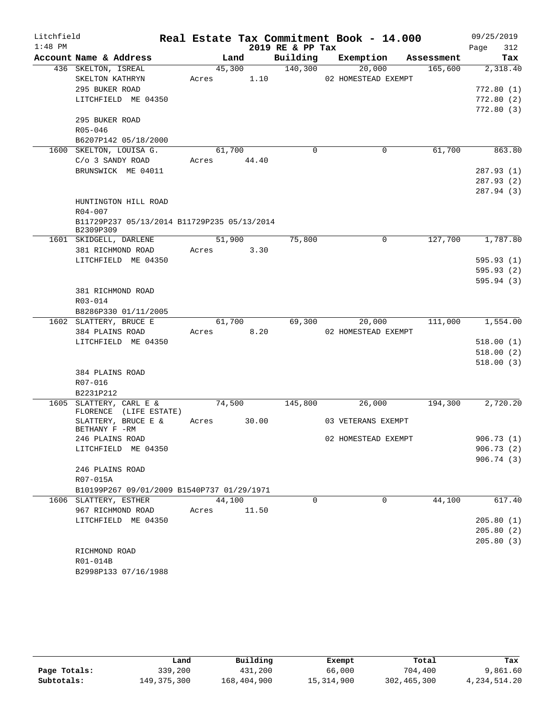| Litchfield |                                                          |             |        |       |                  | Real Estate Tax Commitment Book - 14.000 |            |      | 09/25/2019 |
|------------|----------------------------------------------------------|-------------|--------|-------|------------------|------------------------------------------|------------|------|------------|
| $1:48$ PM  |                                                          |             |        |       | 2019 RE & PP Tax |                                          |            | Page | 312        |
|            | Account Name & Address                                   |             | Land   |       | Building         | Exemption                                | Assessment |      | Tax        |
|            | 436 SKELTON, ISREAL                                      |             | 45,300 |       | 140,300          | 20,000                                   | 165,600    |      | 2,318.40   |
|            | SKELTON KATHRYN                                          | Acres       |        | 1.10  |                  | 02 HOMESTEAD EXEMPT                      |            |      |            |
|            | 295 BUKER ROAD                                           |             |        |       |                  |                                          |            |      | 772.80(1)  |
|            | LITCHFIELD ME 04350                                      |             |        |       |                  |                                          |            |      | 772.80(2)  |
|            |                                                          |             |        |       |                  |                                          |            |      | 772.80 (3) |
|            | 295 BUKER ROAD                                           |             |        |       |                  |                                          |            |      |            |
|            | R05-046                                                  |             |        |       |                  |                                          |            |      |            |
|            | B6207P142 05/18/2000                                     |             |        |       |                  |                                          |            |      |            |
|            | 1600 SKELTON, LOUISA G.                                  |             | 61,700 |       | $\mathbf 0$      | $\mathbf 0$                              | 61,700     |      | 863.80     |
|            | C/o 3 SANDY ROAD                                         | Acres 44.40 |        |       |                  |                                          |            |      |            |
|            | BRUNSWICK ME 04011                                       |             |        |       |                  |                                          |            |      | 287.93(1)  |
|            |                                                          |             |        |       |                  |                                          |            |      | 287.93(2)  |
|            |                                                          |             |        |       |                  |                                          |            |      | 287.94 (3) |
|            | HUNTINGTON HILL ROAD                                     |             |        |       |                  |                                          |            |      |            |
|            | R04-007                                                  |             |        |       |                  |                                          |            |      |            |
|            | B11729P237 05/13/2014 B11729P235 05/13/2014<br>B2309P309 |             |        |       |                  |                                          |            |      |            |
|            | 1601 SKIDGELL, DARLENE                                   |             | 51,900 |       | 75,800           | $\mathbf 0$                              | 127,700    |      | 1,787.80   |
|            | 381 RICHMOND ROAD                                        | Acres 3.30  |        |       |                  |                                          |            |      |            |
|            | LITCHFIELD ME 04350                                      |             |        |       |                  |                                          |            |      | 595.93(1)  |
|            |                                                          |             |        |       |                  |                                          |            |      | 595.93(2)  |
|            |                                                          |             |        |       |                  |                                          |            |      | 595.94(3)  |
|            | 381 RICHMOND ROAD                                        |             |        |       |                  |                                          |            |      |            |
|            | R03-014                                                  |             |        |       |                  |                                          |            |      |            |
|            | B8286P330 01/11/2005                                     |             |        |       |                  |                                          |            |      |            |
|            | 1602 SLATTERY, BRUCE E                                   |             | 61,700 |       | 69,300           | 20,000                                   | 111,000    |      | 1,554.00   |
|            | 384 PLAINS ROAD                                          | Acres       |        | 8.20  |                  | 02 HOMESTEAD EXEMPT                      |            |      |            |
|            | LITCHFIELD ME 04350                                      |             |        |       |                  |                                          |            |      | 518.00(1)  |
|            |                                                          |             |        |       |                  |                                          |            |      | 518.00(2)  |
|            |                                                          |             |        |       |                  |                                          |            |      | 518.00(3)  |
|            | 384 PLAINS ROAD                                          |             |        |       |                  |                                          |            |      |            |
|            | R07-016                                                  |             |        |       |                  |                                          |            |      |            |
|            | B2231P212                                                |             |        |       |                  |                                          |            |      |            |
|            | 1605 SLATTERY, CARL E &<br>FLORENCE (LIFE ESTATE)        |             | 74,500 |       | 145,800          | 26,000                                   | 194,300    |      | 2,720.20   |
|            | SLATTERY, BRUCE E &<br>BETHANY F -RM                     | Acres       |        | 30.00 |                  | 03 VETERANS EXEMPT                       |            |      |            |
|            | 246 PLAINS ROAD                                          |             |        |       |                  | 02 HOMESTEAD EXEMPT                      |            |      | 906.73 (1) |
|            | LITCHFIELD ME 04350                                      |             |        |       |                  |                                          |            |      | 906.73(2)  |
|            |                                                          |             |        |       |                  |                                          |            |      | 906.74(3)  |
|            | 246 PLAINS ROAD                                          |             |        |       |                  |                                          |            |      |            |
|            | R07-015A                                                 |             |        |       |                  |                                          |            |      |            |
|            | B10199P267 09/01/2009 B1540P737 01/29/1971               |             |        |       |                  |                                          |            |      |            |
|            | 1606 SLATTERY, ESTHER                                    |             | 44,100 |       | $\Omega$         | $\mathbf 0$                              | 44,100     |      | 617.40     |
|            | 967 RICHMOND ROAD                                        | Acres 11.50 |        |       |                  |                                          |            |      |            |
|            | LITCHFIELD ME 04350                                      |             |        |       |                  |                                          |            |      | 205.80(1)  |
|            |                                                          |             |        |       |                  |                                          |            |      | 205.80(2)  |
|            |                                                          |             |        |       |                  |                                          |            |      | 205.80(3)  |
|            | RICHMOND ROAD                                            |             |        |       |                  |                                          |            |      |            |
|            | R01-014B                                                 |             |        |       |                  |                                          |            |      |            |
|            | B2998P133 07/16/1988                                     |             |        |       |                  |                                          |            |      |            |

|              | Land          | Building    | Exempt     | Total         | Tax             |
|--------------|---------------|-------------|------------|---------------|-----------------|
| Page Totals: | 339,200       | 431,200     | 66,000     | 704,400       | 9,861.60        |
| Subtotals:   | 149, 375, 300 | 168,404,900 | 15,314,900 | 302, 465, 300 | 4, 234, 514. 20 |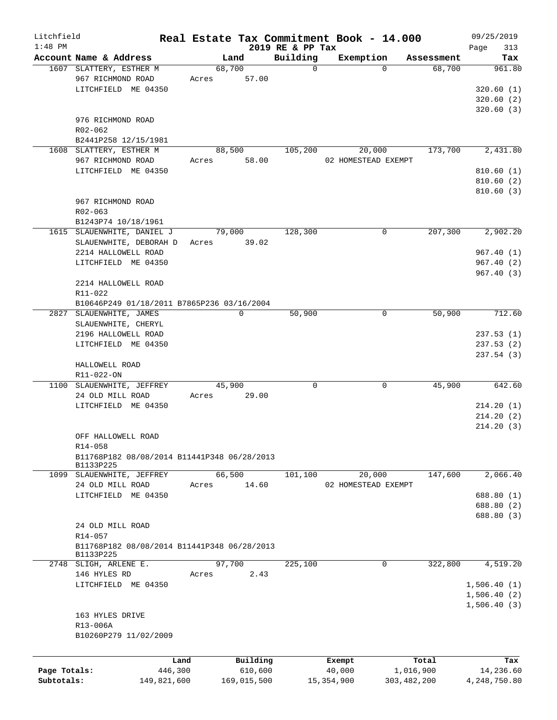| Litchfield   |                                             |             |        |             |                  | Real Estate Tax Commitment Book - 14.000 |               |            |             | 09/25/2019   |
|--------------|---------------------------------------------|-------------|--------|-------------|------------------|------------------------------------------|---------------|------------|-------------|--------------|
| $1:48$ PM    |                                             |             |        |             | 2019 RE & PP Tax |                                          |               |            | Page        | 313          |
|              | Account Name & Address                      |             | Land   |             | Building         | Exemption                                |               | Assessment |             | Tax          |
|              | 1607 SLATTERY, ESTHER M                     |             | 68,700 |             | $\mathbf 0$      |                                          | $\Omega$      | 68,700     |             | 961.80       |
|              | 967 RICHMOND ROAD                           |             | Acres  | 57.00       |                  |                                          |               |            |             |              |
|              | LITCHFIELD ME 04350                         |             |        |             |                  |                                          |               |            |             | 320.60(1)    |
|              |                                             |             |        |             |                  |                                          |               |            |             | 320.60(2)    |
|              |                                             |             |        |             |                  |                                          |               |            |             | 320.60(3)    |
|              | 976 RICHMOND ROAD<br>R02-062                |             |        |             |                  |                                          |               |            |             |              |
|              | B2441P258 12/15/1981                        |             |        |             |                  |                                          |               |            |             |              |
|              | 1608 SLATTERY, ESTHER M                     |             | 88,500 |             | 105,200          | 20,000                                   |               | 173,700    |             | 2,431.80     |
|              | 967 RICHMOND ROAD                           |             | Acres  | 58.00       |                  | 02 HOMESTEAD EXEMPT                      |               |            |             |              |
|              | LITCHFIELD ME 04350                         |             |        |             |                  |                                          |               |            |             | 810.60(1)    |
|              |                                             |             |        |             |                  |                                          |               |            |             | 810.60(2)    |
|              |                                             |             |        |             |                  |                                          |               |            |             | 810.60(3)    |
|              | 967 RICHMOND ROAD                           |             |        |             |                  |                                          |               |            |             |              |
|              | $R02 - 063$                                 |             |        |             |                  |                                          |               |            |             |              |
|              | B1243P74 10/18/1961                         |             |        |             |                  |                                          |               |            |             |              |
|              | 1615 SLAUENWHITE, DANIEL J                  |             | 79,000 |             | 128,300          |                                          | 0             | 207,300    |             | 2,902.20     |
|              | SLAUENWHITE, DEBORAH D                      |             | Acres  | 39.02       |                  |                                          |               |            |             |              |
|              | 2214 HALLOWELL ROAD                         |             |        |             |                  |                                          |               |            |             | 967.40(1)    |
|              | LITCHFIELD ME 04350                         |             |        |             |                  |                                          |               |            |             | 967.40 (2)   |
|              |                                             |             |        |             |                  |                                          |               |            |             | 967.40(3)    |
|              | 2214 HALLOWELL ROAD                         |             |        |             |                  |                                          |               |            |             |              |
|              | R11-022                                     |             |        |             |                  |                                          |               |            |             |              |
|              | B10646P249 01/18/2011 B7865P236 03/16/2004  |             |        |             |                  |                                          |               |            |             |              |
|              | 2827 SLAUENWHITE, JAMES                     |             |        | 0           | 50,900           |                                          | $\mathsf{O}$  | 50,900     |             | 712.60       |
|              | SLAUENWHITE, CHERYL                         |             |        |             |                  |                                          |               |            |             |              |
|              | 2196 HALLOWELL ROAD                         |             |        |             |                  |                                          |               |            |             | 237.53(1)    |
|              | LITCHFIELD ME 04350                         |             |        |             |                  |                                          |               |            |             | 237.53(2)    |
|              |                                             |             |        |             |                  |                                          |               |            |             | 237.54(3)    |
|              | HALLOWELL ROAD                              |             |        |             |                  |                                          |               |            |             |              |
|              | R11-022-ON                                  |             |        |             |                  |                                          |               |            |             |              |
|              | 1100 SLAUENWHITE, JEFFREY                   |             | 45,900 |             | 0                |                                          | $\mathbf 0$   | 45,900     |             | 642.60       |
|              | 24 OLD MILL ROAD                            |             | Acres  | 29.00       |                  |                                          |               |            |             |              |
|              | LITCHFIELD ME 04350                         |             |        |             |                  |                                          |               |            |             | 214.20(1)    |
|              |                                             |             |        |             |                  |                                          |               |            |             | 214.20(2)    |
|              |                                             |             |        |             |                  |                                          |               |            |             | 214.20(3)    |
|              | OFF HALLOWELL ROAD                          |             |        |             |                  |                                          |               |            |             |              |
|              | $R14 - 058$                                 |             |        |             |                  |                                          |               |            |             |              |
|              | B11768P182 08/08/2014 B11441P348 06/28/2013 |             |        |             |                  |                                          |               |            |             |              |
|              | B1133P225                                   |             |        |             |                  |                                          |               |            |             |              |
|              | 1099 SLAUENWHITE, JEFFREY                   |             | 66,500 |             | 101,100          | 20,000                                   |               | 147,600    |             | 2,066.40     |
|              | 24 OLD MILL ROAD                            |             | Acres  | 14.60       |                  | 02 HOMESTEAD EXEMPT                      |               |            |             |              |
|              | LITCHFIELD ME 04350                         |             |        |             |                  |                                          |               |            |             | 688.80 (1)   |
|              |                                             |             |        |             |                  |                                          |               |            |             | 688.80 (2)   |
|              |                                             |             |        |             |                  |                                          |               |            |             | 688.80 (3)   |
|              | 24 OLD MILL ROAD                            |             |        |             |                  |                                          |               |            |             |              |
|              | R14-057                                     |             |        |             |                  |                                          |               |            |             |              |
|              | B11768P182 08/08/2014 B11441P348 06/28/2013 |             |        |             |                  |                                          |               |            |             |              |
|              | B1133P225                                   |             |        |             |                  |                                          |               |            |             |              |
|              | 2748 SLIGH, ARLENE E.                       |             | 97,700 |             | 225,100          |                                          | 0             | 322,800    |             | 4,519.20     |
|              | 146 HYLES RD                                |             | Acres  | 2.43        |                  |                                          |               |            |             |              |
|              | LITCHFIELD ME 04350                         |             |        |             |                  |                                          |               |            | 1,506.40(1) |              |
|              |                                             |             |        |             |                  |                                          |               |            | 1,506.40(2) |              |
|              |                                             |             |        |             |                  |                                          |               |            | 1,506.40(3) |              |
|              | 163 HYLES DRIVE                             |             |        |             |                  |                                          |               |            |             |              |
|              | R13-006A                                    |             |        |             |                  |                                          |               |            |             |              |
|              | B10260P279 11/02/2009                       |             |        |             |                  |                                          |               |            |             |              |
|              |                                             |             |        |             |                  |                                          |               |            |             |              |
|              |                                             | Land        |        | Building    |                  | Exempt                                   |               | Total      |             | Tax          |
| Page Totals: |                                             | 446,300     |        | 610,600     |                  | 40,000                                   | 1,016,900     |            |             | 14,236.60    |
| Subtotals:   |                                             | 149,821,600 |        | 169,015,500 |                  | 15, 354, 900                             | 303, 482, 200 |            |             | 4,248,750.80 |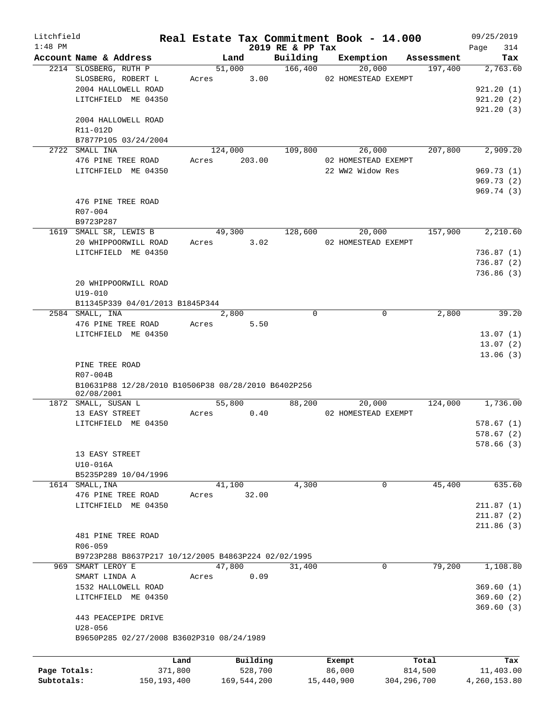| Litchfield   |                                                                   |               | Real Estate Tax Commitment Book - 14.000 |                              |            |                     |                       | 09/25/2019         |
|--------------|-------------------------------------------------------------------|---------------|------------------------------------------|------------------------------|------------|---------------------|-----------------------|--------------------|
| $1:48$ PM    | Account Name & Address                                            |               | Land                                     | 2019 RE & PP Tax<br>Building |            | Exemption           |                       | 314<br>Page<br>Tax |
|              | 2214 SLOSBERG, RUTH P                                             |               | 51,000                                   | 166,400                      |            | 20,000              | Assessment<br>197,400 | 2,763.60           |
|              | SLOSBERG, ROBERT L                                                | Acres         | 3.00                                     |                              |            | 02 HOMESTEAD EXEMPT |                       |                    |
|              |                                                                   |               |                                          |                              |            |                     |                       |                    |
|              | 2004 HALLOWELL ROAD                                               |               |                                          |                              |            |                     |                       | 921.20(1)          |
|              | LITCHFIELD ME 04350                                               |               |                                          |                              |            |                     |                       | 921.20(2)          |
|              |                                                                   |               |                                          |                              |            |                     |                       | 921.20(3)          |
|              | 2004 HALLOWELL ROAD                                               |               |                                          |                              |            |                     |                       |                    |
|              | R11-012D                                                          |               |                                          |                              |            |                     |                       |                    |
|              | B7877P105 03/24/2004                                              |               |                                          |                              |            |                     |                       |                    |
|              | 2722 SMALL INA                                                    |               | 124,000                                  | 109,800                      |            | 26,000              | 207,800               | 2,909.20           |
|              | 476 PINE TREE ROAD                                                | Acres         | 203.00                                   |                              |            | 02 HOMESTEAD EXEMPT |                       |                    |
|              | LITCHFIELD ME 04350                                               |               |                                          |                              |            | 22 WW2 Widow Res    |                       | 969.73(1)          |
|              |                                                                   |               |                                          |                              |            |                     |                       | 969.73(2)          |
|              |                                                                   |               |                                          |                              |            |                     |                       | 969.74(3)          |
|              | 476 PINE TREE ROAD                                                |               |                                          |                              |            |                     |                       |                    |
|              | R07-004                                                           |               |                                          |                              |            |                     |                       |                    |
|              | B9723P287                                                         |               |                                          |                              |            |                     |                       |                    |
|              | 1619 SMALL SR, LEWIS B                                            |               | 49,300                                   | 128,600                      |            | 20,000              | 157,900               | 2,210.60           |
|              | 20 WHIPPOORWILL ROAD                                              | Acres         | 3.02                                     |                              |            | 02 HOMESTEAD EXEMPT |                       |                    |
|              | LITCHFIELD ME 04350                                               |               |                                          |                              |            |                     |                       | 736.87(1)          |
|              |                                                                   |               |                                          |                              |            |                     |                       | 736.87(2)          |
|              |                                                                   |               |                                          |                              |            |                     |                       | 736.86(3)          |
|              | 20 WHIPPOORWILL ROAD                                              |               |                                          |                              |            |                     |                       |                    |
|              | $U19 - 010$                                                       |               |                                          |                              |            |                     |                       |                    |
|              | B11345P339 04/01/2013 B1845P344                                   |               |                                          |                              |            |                     |                       |                    |
|              | 2584 SMALL, INA                                                   |               | 2,800                                    | $\mathbf 0$                  |            | $\mathbf 0$         | 2,800                 | 39.20              |
|              | 476 PINE TREE ROAD                                                | Acres         | 5.50                                     |                              |            |                     |                       |                    |
|              | LITCHFIELD ME 04350                                               |               |                                          |                              |            |                     |                       | 13.07(1)           |
|              |                                                                   |               |                                          |                              |            |                     |                       | 13.07(2)           |
|              |                                                                   |               |                                          |                              |            |                     |                       | 13.06(3)           |
|              | PINE TREE ROAD                                                    |               |                                          |                              |            |                     |                       |                    |
|              | R07-004B                                                          |               |                                          |                              |            |                     |                       |                    |
|              | B10631P88 12/28/2010 B10506P38 08/28/2010 B6402P256<br>02/08/2001 |               |                                          |                              |            |                     |                       |                    |
|              | 1872 SMALL, SUSAN L                                               |               | 55,800                                   | 88,200                       |            | 20,000              | 124,000               | 1,736.00           |
|              | 13 EASY STREET                                                    | Acres         | 0.40                                     |                              |            | 02 HOMESTEAD EXEMPT |                       |                    |
|              | LITCHFIELD ME 04350                                               |               |                                          |                              |            |                     |                       | 578.67(1)          |
|              |                                                                   |               |                                          |                              |            |                     |                       | 578.67(2)          |
|              |                                                                   |               |                                          |                              |            |                     |                       | 578.66 (3)         |
|              | 13 EASY STREET                                                    |               |                                          |                              |            |                     |                       |                    |
|              | U10-016A                                                          |               |                                          |                              |            |                     |                       |                    |
|              | B5235P289 10/04/1996                                              |               |                                          |                              |            |                     |                       |                    |
|              |                                                                   |               | 41,100                                   | 4,300                        |            | 0                   | 45,400                | 635.60             |
|              | 1614 SMALL, INA<br>476 PINE TREE ROAD                             |               | 32.00                                    |                              |            |                     |                       |                    |
|              |                                                                   | Acres         |                                          |                              |            |                     |                       |                    |
|              | LITCHFIELD ME 04350                                               |               |                                          |                              |            |                     |                       | 211.87(1)          |
|              |                                                                   |               |                                          |                              |            |                     |                       | 211.87(2)          |
|              |                                                                   |               |                                          |                              |            |                     |                       | 211.86(3)          |
|              | 481 PINE TREE ROAD                                                |               |                                          |                              |            |                     |                       |                    |
|              | R06-059                                                           |               |                                          |                              |            |                     |                       |                    |
|              | B9723P288 B8637P217 10/12/2005 B4863P224 02/02/1995               |               |                                          |                              |            |                     |                       |                    |
|              | 969 SMART LEROY E                                                 |               | 47,800                                   | 31,400                       |            | $\mathbf 0$         | 79,200                | 1,108.80           |
|              | SMART LINDA A                                                     | Acres         | 0.09                                     |                              |            |                     |                       |                    |
|              | 1532 HALLOWELL ROAD                                               |               |                                          |                              |            |                     |                       | 369.60(1)          |
|              | LITCHFIELD ME 04350                                               |               |                                          |                              |            |                     |                       | 369.60(2)          |
|              |                                                                   |               |                                          |                              |            |                     |                       | 369.60(3)          |
|              | 443 PEACEPIPE DRIVE                                               |               |                                          |                              |            |                     |                       |                    |
|              | $U28 - 056$                                                       |               |                                          |                              |            |                     |                       |                    |
|              | B9650P285 02/27/2008 B3602P310 08/24/1989                         |               |                                          |                              |            |                     |                       |                    |
|              |                                                                   | Land          | Building                                 |                              | Exempt     |                     | Total                 | Tax                |
| Page Totals: |                                                                   | 371,800       | 528,700                                  |                              | 86,000     |                     | 814,500               | 11,403.00          |
| Subtotals:   |                                                                   | 150, 193, 400 | 169,544,200                              |                              | 15,440,900 |                     | 304,296,700           | 4,260,153.80       |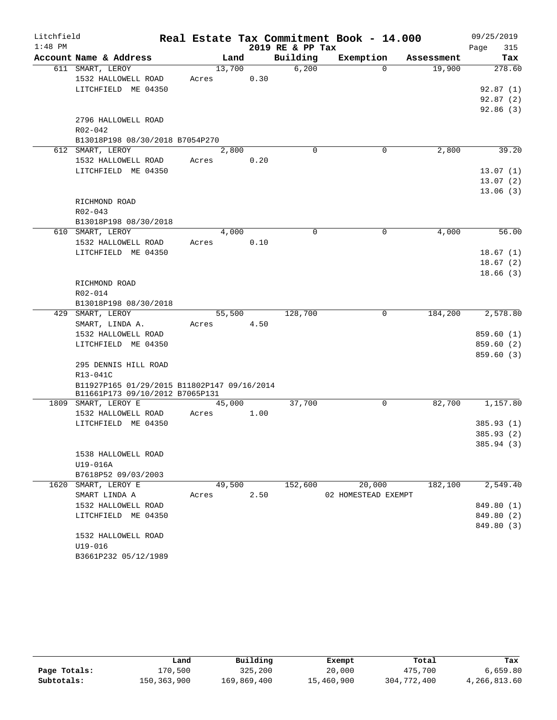| Litchfield |                                             |        |      |                  | Real Estate Tax Commitment Book - 14.000 |            | 09/25/2019              |
|------------|---------------------------------------------|--------|------|------------------|------------------------------------------|------------|-------------------------|
| $1:48$ PM  |                                             |        |      | 2019 RE & PP Tax |                                          |            | 315<br>Page             |
|            | Account Name & Address                      | Land   |      | Building         | Exemption                                | Assessment | Tax                     |
|            | 611 SMART, LEROY                            | 13,700 |      | 6,200            | $\Omega$                                 | 19,900     | 278.60                  |
|            | 1532 HALLOWELL ROAD                         | Acres  | 0.30 |                  |                                          |            |                         |
|            | LITCHFIELD ME 04350                         |        |      |                  |                                          |            | 92.87(1)                |
|            |                                             |        |      |                  |                                          |            | 92.87(2)                |
|            |                                             |        |      |                  |                                          |            | 92.86(3)                |
|            | 2796 HALLOWELL ROAD                         |        |      |                  |                                          |            |                         |
|            | R02-042                                     |        |      |                  |                                          |            |                         |
|            | B13018P198 08/30/2018 B7054P270             |        |      |                  |                                          |            |                         |
|            | 612 SMART, LEROY                            | 2,800  |      | $\mathbf 0$      | 0                                        | 2,800      | 39.20                   |
|            | 1532 HALLOWELL ROAD                         | Acres  | 0.20 |                  |                                          |            |                         |
|            | LITCHFIELD ME 04350                         |        |      |                  |                                          |            | 13.07(1)                |
|            |                                             |        |      |                  |                                          |            | 13.07(2)                |
|            |                                             |        |      |                  |                                          |            | 13.06(3)                |
|            | RICHMOND ROAD                               |        |      |                  |                                          |            |                         |
|            | $R02 - 043$                                 |        |      |                  |                                          |            |                         |
|            | B13018P198 08/30/2018                       |        |      |                  |                                          |            |                         |
|            | 610 SMART, LEROY                            | 4,000  |      | $\Omega$         | 0                                        | 4,000      | 56.00                   |
|            | 1532 HALLOWELL ROAD                         | Acres  | 0.10 |                  |                                          |            |                         |
|            | LITCHFIELD ME 04350                         |        |      |                  |                                          |            | 18.67(1)                |
|            |                                             |        |      |                  |                                          |            | 18.67(2)                |
|            |                                             |        |      |                  |                                          |            | 18.66(3)                |
|            | RICHMOND ROAD                               |        |      |                  |                                          |            |                         |
|            | R02-014                                     |        |      |                  |                                          |            |                         |
|            | B13018P198 08/30/2018                       |        |      |                  |                                          |            |                         |
|            | 429 SMART, LEROY                            | 55,500 |      | 128,700          | $\mathbf 0$                              | 184,200    | 2,578.80                |
|            | SMART, LINDA A.                             | Acres  | 4.50 |                  |                                          |            |                         |
|            | 1532 HALLOWELL ROAD<br>LITCHFIELD ME 04350  |        |      |                  |                                          |            | 859.60(1)<br>859.60 (2) |
|            |                                             |        |      |                  |                                          |            | 859.60 (3)              |
|            | 295 DENNIS HILL ROAD                        |        |      |                  |                                          |            |                         |
|            | R13-041C                                    |        |      |                  |                                          |            |                         |
|            | B11927P165 01/29/2015 B11802P147 09/16/2014 |        |      |                  |                                          |            |                         |
|            | B11661P173 09/10/2012 B7065P131             |        |      |                  |                                          |            |                         |
|            | 1809 SMART, LEROY E                         | 45,000 |      | 37,700           | 0                                        | 82,700     | 1,157.80                |
|            | 1532 HALLOWELL ROAD                         | Acres  | 1.00 |                  |                                          |            |                         |
|            | LITCHFIELD ME 04350                         |        |      |                  |                                          |            | 385.93 (1)              |
|            |                                             |        |      |                  |                                          |            | 385.93 (2)              |
|            |                                             |        |      |                  |                                          |            | 385.94 (3)              |
|            | 1538 HALLOWELL ROAD                         |        |      |                  |                                          |            |                         |
|            | U19-016A                                    |        |      |                  |                                          |            |                         |
|            | B7618P52 09/03/2003                         |        |      |                  |                                          |            |                         |
|            | 1620 SMART, LEROY E                         | 49,500 |      | 152,600          | 20,000                                   | 182,100    | 2,549.40                |
|            | SMART LINDA A                               | Acres  | 2.50 |                  | 02 HOMESTEAD EXEMPT                      |            |                         |
|            | 1532 HALLOWELL ROAD                         |        |      |                  |                                          |            | 849.80 (1)              |
|            | LITCHFIELD ME 04350                         |        |      |                  |                                          |            | 849.80 (2)              |
|            |                                             |        |      |                  |                                          |            | 849.80 (3)              |
|            | 1532 HALLOWELL ROAD                         |        |      |                  |                                          |            |                         |
|            | U19-016                                     |        |      |                  |                                          |            |                         |
|            | B3661P232 05/12/1989                        |        |      |                  |                                          |            |                         |

|              | Land        | Building    | Exempt     | Total       | Tax          |
|--------------|-------------|-------------|------------|-------------|--------------|
| Page Totals: | 170,500     | 325,200     | 20,000     | 475,700     | 6,659.80     |
| Subtotals:   | 150,363,900 | 169,869,400 | 15,460,900 | 304,772,400 | 4,266,813.60 |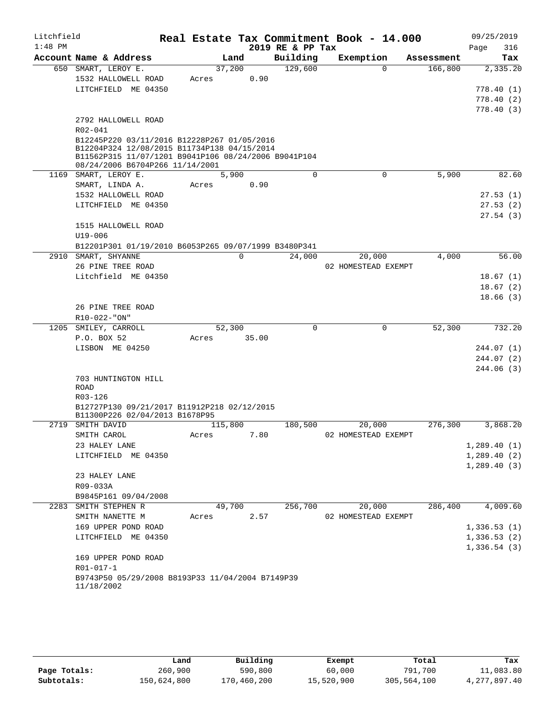| Litchfield |                                                                                            |                 |          |                  | Real Estate Tax Commitment Book - 14.000 |            | 09/25/2019   |
|------------|--------------------------------------------------------------------------------------------|-----------------|----------|------------------|------------------------------------------|------------|--------------|
| $1:48$ PM  |                                                                                            |                 |          | 2019 RE & PP Tax |                                          |            | Page<br>316  |
|            | Account Name & Address                                                                     | Land            |          | Building         | Exemption                                | Assessment | Tax          |
|            | 650 SMART, LEROY E.                                                                        | 37,200          |          | 129,600          | $\Omega$                                 | 166,800    | 2,335.20     |
|            | 1532 HALLOWELL ROAD                                                                        | Acres           | 0.90     |                  |                                          |            |              |
|            | LITCHFIELD ME 04350                                                                        |                 |          |                  |                                          |            | 778.40(1)    |
|            |                                                                                            |                 |          |                  |                                          |            | 778.40(2)    |
|            |                                                                                            |                 |          |                  |                                          |            | 778.40(3)    |
|            | 2792 HALLOWELL ROAD                                                                        |                 |          |                  |                                          |            |              |
|            | $R02 - 041$                                                                                |                 |          |                  |                                          |            |              |
|            | B12245P220 03/11/2016 B12228P267 01/05/2016<br>B12204P324 12/08/2015 B11734P138 04/15/2014 |                 |          |                  |                                          |            |              |
|            | B11562P315 11/07/1201 B9041P106 08/24/2006 B9041P104                                       |                 |          |                  |                                          |            |              |
|            | 08/24/2006 B6704P266 11/14/2001                                                            |                 |          |                  |                                          |            |              |
|            | 1169 SMART, LEROY E.                                                                       | 5,900           |          | 0                | 0                                        | 5,900      | 82.60        |
|            | SMART, LINDA A.                                                                            | Acres           | 0.90     |                  |                                          |            |              |
|            | 1532 HALLOWELL ROAD                                                                        |                 |          |                  |                                          |            | 27.53(1)     |
|            | LITCHFIELD ME 04350                                                                        |                 |          |                  |                                          |            | 27.53(2)     |
|            |                                                                                            |                 |          |                  |                                          |            | 27.54(3)     |
|            | 1515 HALLOWELL ROAD                                                                        |                 |          |                  |                                          |            |              |
|            | U19-006                                                                                    |                 |          |                  |                                          |            |              |
|            | B12201P301 01/19/2010 B6053P265 09/07/1999 B3480P341<br>2910 SMART, SHYANNE                |                 | $\Omega$ | 24,000           | 20,000                                   | 4,000      | 56.00        |
|            | 26 PINE TREE ROAD                                                                          |                 |          |                  | 02 HOMESTEAD EXEMPT                      |            |              |
|            | Litchfield ME 04350                                                                        |                 |          |                  |                                          |            | 18.67(1)     |
|            |                                                                                            |                 |          |                  |                                          |            | 18.67(2)     |
|            |                                                                                            |                 |          |                  |                                          |            | 18.66(3)     |
|            | 26 PINE TREE ROAD                                                                          |                 |          |                  |                                          |            |              |
|            | R10-022-"ON"                                                                               |                 |          |                  |                                          |            |              |
|            | 1205 SMILEY, CARROLL                                                                       | 52,300          |          | 0                | 0                                        | 52,300     | 732.20       |
|            | P.O. BOX 52                                                                                | Acres           | 35.00    |                  |                                          |            |              |
|            | LISBON ME 04250                                                                            |                 |          |                  |                                          |            | 244.07(1)    |
|            |                                                                                            |                 |          |                  |                                          |            | 244.07(2)    |
|            |                                                                                            |                 |          |                  |                                          |            | 244.06(3)    |
|            | 703 HUNTINGTON HILL<br>ROAD                                                                |                 |          |                  |                                          |            |              |
|            | R03-126                                                                                    |                 |          |                  |                                          |            |              |
|            | B12727P130 09/21/2017 B11912P218 02/12/2015                                                |                 |          |                  |                                          |            |              |
|            | B11300P226 02/04/2013 B1678P95                                                             |                 |          |                  |                                          |            |              |
| 2719       | SMITH DAVID                                                                                | 115,800         |          | 180,500          | 20,000                                   | 276,300    | 3,868.20     |
|            | SMITH CAROL                                                                                | Acres           | 7.80     |                  | 02 HOMESTEAD EXEMPT                      |            |              |
|            | 23 HALEY LANE                                                                              |                 |          |                  |                                          |            | 1,289.40(1)  |
|            | LITCHFIELD ME 04350                                                                        |                 |          |                  |                                          |            | 1,289.40(2)  |
|            |                                                                                            |                 |          |                  |                                          |            | 1, 289.40(3) |
|            | 23 HALEY LANE                                                                              |                 |          |                  |                                          |            |              |
|            | R09-033A                                                                                   |                 |          |                  |                                          |            |              |
|            | B9845P161 09/04/2008<br>2283 SMITH STEPHEN R                                               |                 |          | 256,700          |                                          | 286,400    | 4,009.60     |
|            | SMITH NANETTE M                                                                            | 49,700<br>Acres | 2.57     |                  | 20,000<br>02 HOMESTEAD EXEMPT            |            |              |
|            | 169 UPPER POND ROAD                                                                        |                 |          |                  |                                          |            | 1,336.53(1)  |
|            | LITCHFIELD ME 04350                                                                        |                 |          |                  |                                          |            | 1,336.53(2)  |
|            |                                                                                            |                 |          |                  |                                          |            | 1,336.54(3)  |
|            | 169 UPPER POND ROAD                                                                        |                 |          |                  |                                          |            |              |
|            | R01-017-1                                                                                  |                 |          |                  |                                          |            |              |
|            | B9743P50 05/29/2008 B8193P33 11/04/2004 B7149P39                                           |                 |          |                  |                                          |            |              |
|            | 11/18/2002                                                                                 |                 |          |                  |                                          |            |              |
|            |                                                                                            |                 |          |                  |                                          |            |              |

|              | ⊥and        | Building    | Exempt     | Total       | Tax             |
|--------------|-------------|-------------|------------|-------------|-----------------|
| Page Totals: | 260,900     | 590,800     | 60,000     | 791,700     | 11,083.80       |
| Subtotals:   | 150,624,800 | 170,460,200 | 15,520,900 | 305,564,100 | 4, 277, 897, 40 |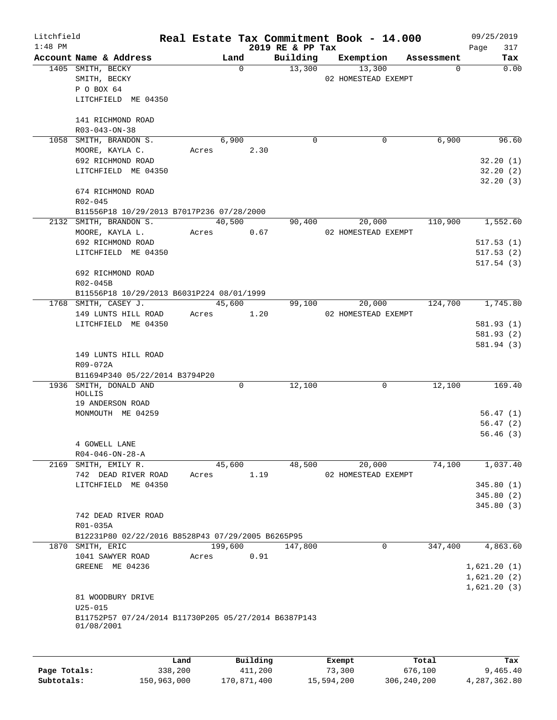| Litchfield |                                                      |       |             |                  | Real Estate Tax Commitment Book - 14.000 |            | 09/25/2019  |
|------------|------------------------------------------------------|-------|-------------|------------------|------------------------------------------|------------|-------------|
| $1:48$ PM  |                                                      |       |             | 2019 RE & PP Tax |                                          |            | 317<br>Page |
|            | Account Name & Address                               |       | Land        | Building         | Exemption                                | Assessment | Tax         |
|            | 1405 SMITH, BECKY                                    |       | $\mathbf 0$ | 13,300           | 13,300                                   | 0          | 0.00        |
|            | SMITH, BECKY                                         |       |             |                  | 02 HOMESTEAD EXEMPT                      |            |             |
|            | P O BOX 64                                           |       |             |                  |                                          |            |             |
|            | LITCHFIELD ME 04350                                  |       |             |                  |                                          |            |             |
|            | 141 RICHMOND ROAD                                    |       |             |                  |                                          |            |             |
|            | R03-043-ON-38                                        |       |             |                  |                                          |            |             |
|            | 1058 SMITH, BRANDON S.                               |       | 6,900       | 0                | 0                                        | 6,900      | 96.60       |
|            | MOORE, KAYLA C.                                      | Acres | 2.30        |                  |                                          |            |             |
|            | 692 RICHMOND ROAD                                    |       |             |                  |                                          |            | 32.20(1)    |
|            | LITCHFIELD ME 04350                                  |       |             |                  |                                          |            | 32.20(2)    |
|            |                                                      |       |             |                  |                                          |            | 32.20(3)    |
|            | 674 RICHMOND ROAD                                    |       |             |                  |                                          |            |             |
|            | R02-045                                              |       |             |                  |                                          |            |             |
|            | B11556P18 10/29/2013 B7017P236 07/28/2000            |       |             |                  |                                          |            |             |
|            | 2132 SMITH, BRANDON S.                               |       | 40,500      | 90,400           | 20,000                                   | 110,900    | 1,552.60    |
|            | MOORE, KAYLA L.                                      | Acres | 0.67        |                  | 02 HOMESTEAD EXEMPT                      |            |             |
|            | 692 RICHMOND ROAD                                    |       |             |                  |                                          |            | 517.53(1)   |
|            | LITCHFIELD ME 04350                                  |       |             |                  |                                          |            | 517.53(2)   |
|            |                                                      |       |             |                  |                                          |            | 517.54(3)   |
|            | 692 RICHMOND ROAD                                    |       |             |                  |                                          |            |             |
|            | R02-045B                                             |       |             |                  |                                          |            |             |
|            | B11556P18 10/29/2013 B6031P224 08/01/1999            |       |             |                  |                                          |            |             |
|            | 1768 SMITH, CASEY J.                                 |       | 45,600      | 99,100           | 20,000                                   | 124,700    | 1,745.80    |
|            | 149 LUNTS HILL ROAD                                  | Acres | 1.20        |                  | 02 HOMESTEAD EXEMPT                      |            |             |
|            | LITCHFIELD ME 04350                                  |       |             |                  |                                          |            | 581.93 (1)  |
|            |                                                      |       |             |                  |                                          |            | 581.93 (2)  |
|            |                                                      |       |             |                  |                                          |            | 581.94 (3)  |
|            | 149 LUNTS HILL ROAD                                  |       |             |                  |                                          |            |             |
|            | R09-072A                                             |       |             |                  |                                          |            |             |
|            | B11694P340 05/22/2014 B3794P20                       |       |             |                  |                                          |            |             |
|            | 1936 SMITH, DONALD AND                               |       | 0           | 12,100           | 0                                        | 12,100     | 169.40      |
|            | HOLLIS                                               |       |             |                  |                                          |            |             |
|            | 19 ANDERSON ROAD                                     |       |             |                  |                                          |            |             |
|            | MONMOUTH ME 04259                                    |       |             |                  |                                          |            | 56.47(1)    |
|            |                                                      |       |             |                  |                                          |            | 56.47(2)    |
|            |                                                      |       |             |                  |                                          |            | 56.46(3)    |
|            | 4 GOWELL LANE                                        |       |             |                  |                                          |            |             |
|            | $R04 - 046 - ON - 28 - A$                            |       |             |                  |                                          |            |             |
|            | 2169 SMITH, EMILY R.                                 |       | 45,600      | 48,500           | 20,000                                   | 74,100     | 1,037.40    |
|            | 742 DEAD RIVER ROAD                                  | Acres | 1.19        |                  | 02 HOMESTEAD EXEMPT                      |            |             |
|            | LITCHFIELD ME 04350                                  |       |             |                  |                                          |            | 345.80(1)   |
|            |                                                      |       |             |                  |                                          |            | 345.80(2)   |
|            |                                                      |       |             |                  |                                          |            | 345.80 (3)  |
|            | 742 DEAD RIVER ROAD                                  |       |             |                  |                                          |            |             |
|            | R01-035A                                             |       |             |                  |                                          |            |             |
|            | B12231P80 02/22/2016 B8528P43 07/29/2005 B6265P95    |       |             |                  |                                          |            |             |
|            | 1870 SMITH, ERIC                                     |       | 199,600     | 147,800          | $\mathbf 0$                              | 347,400    | 4,863.60    |
|            | 1041 SAWYER ROAD                                     | Acres | 0.91        |                  |                                          |            |             |
|            | GREENE ME 04236                                      |       |             |                  |                                          |            | 1,621.20(1) |
|            |                                                      |       |             |                  |                                          |            | 1,621.20(2) |
|            |                                                      |       |             |                  |                                          |            | 1,621.20(3) |
|            | 81 WOODBURY DRIVE                                    |       |             |                  |                                          |            |             |
|            | $U25 - 015$                                          |       |             |                  |                                          |            |             |
|            | B11752P57 07/24/2014 B11730P205 05/27/2014 B6387P143 |       |             |                  |                                          |            |             |
|            | 01/08/2001                                           |       |             |                  |                                          |            |             |
|            |                                                      |       |             |                  |                                          |            |             |
|            |                                                      |       |             |                  |                                          |            |             |
|            |                                                      | Land  | Building    |                  | Exempt                                   | Total      | Tax         |

**Page Totals:** 338,200 411,200 73,300 676,100 9,465.40 **Subtotals:** 150,963,000 170,871,400 15,594,200 306,240,200 4,287,362.80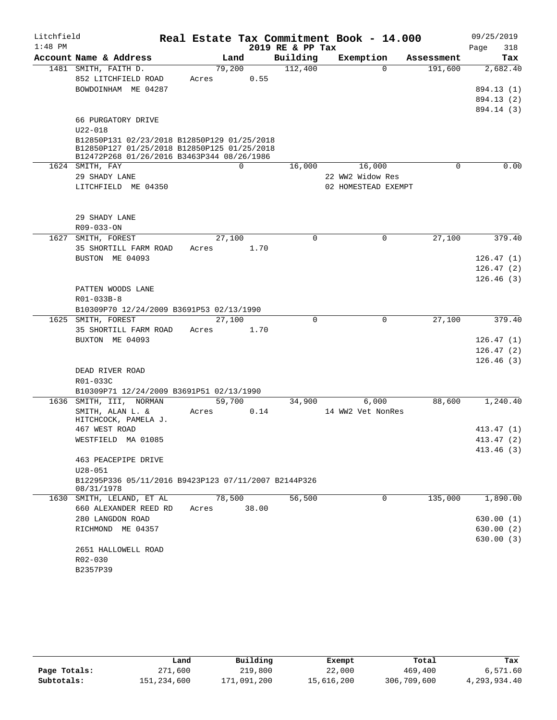| Litchfield |                                                                                           |        |   |       |                  | Real Estate Tax Commitment Book - 14.000 |             |      | 09/25/2019 |
|------------|-------------------------------------------------------------------------------------------|--------|---|-------|------------------|------------------------------------------|-------------|------|------------|
| $1:48$ PM  |                                                                                           |        |   |       | 2019 RE & PP Tax |                                          |             | Page | 318        |
|            | Account Name & Address                                                                    | Land   |   |       | Building         | Exemption                                | Assessment  |      | Tax        |
|            | 1481 SMITH, FAITH D.                                                                      | 79,200 |   |       | 112,400          | $\Omega$                                 | 191,600     |      | 2,682.40   |
|            | 852 LITCHFIELD ROAD                                                                       | Acres  |   | 0.55  |                  |                                          |             |      |            |
|            | BOWDOINHAM ME 04287                                                                       |        |   |       |                  |                                          |             |      | 894.13 (1) |
|            |                                                                                           |        |   |       |                  |                                          |             |      | 894.13 (2) |
|            |                                                                                           |        |   |       |                  |                                          |             |      | 894.14 (3) |
|            | 66 PURGATORY DRIVE                                                                        |        |   |       |                  |                                          |             |      |            |
|            | $U22 - 018$                                                                               |        |   |       |                  |                                          |             |      |            |
|            | B12850P131 02/23/2018 B12850P129 01/25/2018                                               |        |   |       |                  |                                          |             |      |            |
|            | B12850P127 01/25/2018 B12850P125 01/25/2018<br>B12472P268 01/26/2016 B3463P344 08/26/1986 |        |   |       |                  |                                          |             |      |            |
|            | 1624 SMITH, FAY                                                                           |        | 0 |       | 16,000           | 16,000                                   | $\mathbf 0$ |      | 0.00       |
|            | 29 SHADY LANE                                                                             |        |   |       |                  | 22 WW2 Widow Res                         |             |      |            |
|            | LITCHFIELD ME 04350                                                                       |        |   |       |                  | 02 HOMESTEAD EXEMPT                      |             |      |            |
|            |                                                                                           |        |   |       |                  |                                          |             |      |            |
|            |                                                                                           |        |   |       |                  |                                          |             |      |            |
|            | 29 SHADY LANE<br>$R09 - 033 - ON$                                                         |        |   |       |                  |                                          |             |      |            |
| 1627       | SMITH, FOREST                                                                             | 27,100 |   |       | $\mathbf 0$      | $\mathbf 0$                              | 27,100      |      | 379.40     |
|            | 35 SHORTILL FARM ROAD                                                                     | Acres  |   | 1.70  |                  |                                          |             |      |            |
|            | BUSTON ME 04093                                                                           |        |   |       |                  |                                          |             |      | 126.47(1)  |
|            |                                                                                           |        |   |       |                  |                                          |             |      | 126.47(2)  |
|            |                                                                                           |        |   |       |                  |                                          |             |      | 126.46(3)  |
|            | PATTEN WOODS LANE                                                                         |        |   |       |                  |                                          |             |      |            |
|            | R01-033B-8                                                                                |        |   |       |                  |                                          |             |      |            |
|            | B10309P70 12/24/2009 B3691P53 02/13/1990                                                  |        |   |       |                  |                                          |             |      |            |
|            | 1625 SMITH, FOREST                                                                        | 27,100 |   |       | $\Omega$         | $\mathbf 0$                              | 27,100      |      | 379.40     |
|            | 35 SHORTILL FARM ROAD                                                                     | Acres  |   | 1.70  |                  |                                          |             |      |            |
|            | BUXTON ME 04093                                                                           |        |   |       |                  |                                          |             |      | 126.47(1)  |
|            |                                                                                           |        |   |       |                  |                                          |             |      | 126.47(2)  |
|            |                                                                                           |        |   |       |                  |                                          |             |      | 126.46(3)  |
|            | DEAD RIVER ROAD                                                                           |        |   |       |                  |                                          |             |      |            |
|            | R01-033C                                                                                  |        |   |       |                  |                                          |             |      |            |
|            | B10309P71 12/24/2009 B3691P51 02/13/1990                                                  |        |   |       |                  |                                          |             |      |            |
|            | 1636 SMITH, III, NORMAN                                                                   | 59,700 |   |       | 34,900           | 6,000                                    | 88,600      |      | 1,240.40   |
|            | SMITH, ALAN L. &                                                                          | Acres  |   | 0.14  |                  | 14 WW2 Vet NonRes                        |             |      |            |
|            | HITCHCOCK, PAMELA J.                                                                      |        |   |       |                  |                                          |             |      |            |
|            | 467 WEST ROAD                                                                             |        |   |       |                  |                                          |             |      | 413.47(1)  |
|            | WESTFIELD MA 01085                                                                        |        |   |       |                  |                                          |             |      | 413.47 (2) |
|            | 463 PEACEPIPE DRIVE                                                                       |        |   |       |                  |                                          |             |      | 413.46 (3) |
|            | $U28 - 051$                                                                               |        |   |       |                  |                                          |             |      |            |
|            | B12295P336 05/11/2016 B9423P123 07/11/2007 B2144P326                                      |        |   |       |                  |                                          |             |      |            |
|            | 08/31/1978                                                                                |        |   |       |                  |                                          |             |      |            |
|            | 1630 SMITH, LELAND, ET AL                                                                 | 78,500 |   |       | 56,500           | 0                                        | 135,000     |      | 1,890.00   |
|            | 660 ALEXANDER REED RD                                                                     | Acres  |   | 38.00 |                  |                                          |             |      |            |
|            | 280 LANGDON ROAD                                                                          |        |   |       |                  |                                          |             |      | 630.00(1)  |
|            | RICHMOND ME 04357                                                                         |        |   |       |                  |                                          |             |      | 630.00(2)  |
|            |                                                                                           |        |   |       |                  |                                          |             |      | 630.00(3)  |
|            | 2651 HALLOWELL ROAD                                                                       |        |   |       |                  |                                          |             |      |            |
|            | R02-030                                                                                   |        |   |       |                  |                                          |             |      |            |
|            | B2357P39                                                                                  |        |   |       |                  |                                          |             |      |            |
|            |                                                                                           |        |   |       |                  |                                          |             |      |            |

|              | Land        | Building    | Exempt     | Total       | Tax          |
|--------------|-------------|-------------|------------|-------------|--------------|
| Page Totals: | 271,600     | 219,800     | 22,000     | 469,400     | 6,571.60     |
| Subtotals:   | 151,234,600 | 171,091,200 | 15,616,200 | 306,709,600 | 4,293,934.40 |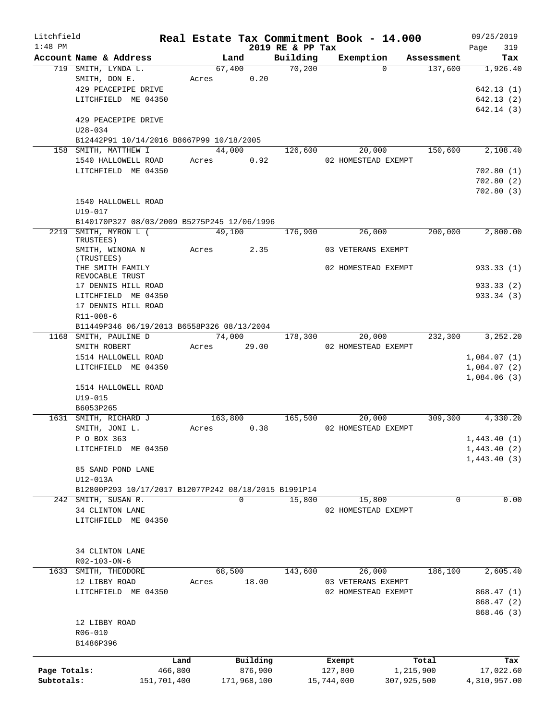| Litchfield   |                                                      |             |             |          |                  |            | Real Estate Tax Commitment Book - 14.000 |             | 09/25/2019   |
|--------------|------------------------------------------------------|-------------|-------------|----------|------------------|------------|------------------------------------------|-------------|--------------|
| $1:48$ PM    |                                                      |             |             |          | 2019 RE & PP Tax |            |                                          |             | 319<br>Page  |
|              | Account Name & Address                               |             | Land        |          | Building         |            | Exemption                                | Assessment  | Tax          |
|              | 719 SMITH, LYNDA L.                                  |             | 67,400      |          | 70,200           |            | $\Omega$                                 | 137,600     | 1,926.40     |
|              | SMITH, DON E.                                        | Acres       |             | 0.20     |                  |            |                                          |             |              |
|              | 429 PEACEPIPE DRIVE                                  |             |             |          |                  |            |                                          |             | 642.13(1)    |
|              | LITCHFIELD ME 04350                                  |             |             |          |                  |            |                                          |             | 642.13(2)    |
|              |                                                      |             |             |          |                  |            |                                          |             | 642.14 (3)   |
|              | 429 PEACEPIPE DRIVE                                  |             |             |          |                  |            |                                          |             |              |
|              | $U28 - 034$                                          |             |             |          |                  |            |                                          |             |              |
|              | B12442P91 10/14/2016 B8667P99 10/18/2005             |             |             |          |                  |            |                                          |             |              |
|              | 158 SMITH, MATTHEW I                                 |             | 44,000      |          | 126,600          |            | 20,000                                   | 150,600     | 2,108.40     |
|              | 1540 HALLOWELL ROAD                                  | Acres       |             | 0.92     |                  |            | 02 HOMESTEAD EXEMPT                      |             |              |
|              | LITCHFIELD ME 04350                                  |             |             |          |                  |            |                                          |             | 702.80(1)    |
|              |                                                      |             |             |          |                  |            |                                          |             | 702.80(2)    |
|              |                                                      |             |             |          |                  |            |                                          |             | 702.80(3)    |
|              | 1540 HALLOWELL ROAD                                  |             |             |          |                  |            |                                          |             |              |
|              | $U19 - 017$                                          |             |             |          |                  |            |                                          |             |              |
|              | B140170P327 08/03/2009 B5275P245 12/06/1996          |             |             |          |                  |            |                                          |             |              |
| 2219         | SMITH, MYRON L (                                     |             | 49,100      |          | 176,900          |            | 26,000                                   | 200,000     | 2,800.00     |
|              | TRUSTEES)                                            |             |             |          |                  |            |                                          |             |              |
|              | SMITH, WINONA N                                      | Acres       |             | 2.35     |                  |            | 03 VETERANS EXEMPT                       |             |              |
|              | (TRUSTEES)                                           |             |             |          |                  |            |                                          |             |              |
|              | THE SMITH FAMILY                                     |             |             |          |                  |            | 02 HOMESTEAD EXEMPT                      |             | 933.33(1)    |
|              | REVOCABLE TRUST<br>17 DENNIS HILL ROAD               |             |             |          |                  |            |                                          |             |              |
|              |                                                      |             |             |          |                  |            |                                          |             | 933.33 (2)   |
|              | LITCHFIELD ME 04350                                  |             |             |          |                  |            |                                          |             | 933.34 (3)   |
|              | 17 DENNIS HILL ROAD                                  |             |             |          |                  |            |                                          |             |              |
|              | $R11 - 008 - 6$                                      |             |             |          |                  |            |                                          |             |              |
|              | B11449P346 06/19/2013 B6558P326 08/13/2004           |             |             |          |                  |            |                                          |             |              |
|              | 1168 SMITH, PAULINE D                                |             | 74,000      |          | 178,300          |            | 20,000                                   | 232,300     | 3,252.20     |
|              | SMITH ROBERT                                         | Acres       | 29.00       |          |                  |            | 02 HOMESTEAD EXEMPT                      |             |              |
|              | 1514 HALLOWELL ROAD                                  |             |             |          |                  |            |                                          |             | 1,084.07(1)  |
|              | LITCHFIELD ME 04350                                  |             |             |          |                  |            |                                          |             | 1,084.07(2)  |
|              |                                                      |             |             |          |                  |            |                                          |             | 1,084.06(3)  |
|              | 1514 HALLOWELL ROAD                                  |             |             |          |                  |            |                                          |             |              |
|              | $U19 - 015$                                          |             |             |          |                  |            |                                          |             |              |
|              | B6053P265                                            |             |             |          |                  |            |                                          |             |              |
|              | 1631 SMITH, RICHARD J                                |             | 163,800     |          | 165,500          |            | 20,000                                   | 309, 300    | 4,330.20     |
|              | SMITH, JONI L.                                       | Acres       |             | 0.38     |                  |            | 02 HOMESTEAD EXEMPT                      |             |              |
|              | P O BOX 363                                          |             |             |          |                  |            |                                          |             | 1,443.40(1)  |
|              | LITCHFIELD ME 04350                                  |             |             |          |                  |            |                                          |             | 1,443.40(2)  |
|              |                                                      |             |             |          |                  |            |                                          |             | 1,443.40(3)  |
|              | 85 SAND POND LANE                                    |             |             |          |                  |            |                                          |             |              |
|              | U12-013A                                             |             |             |          |                  |            |                                          |             |              |
|              | B12800P293 10/17/2017 B12077P242 08/18/2015 B1991P14 |             |             |          |                  |            |                                          |             |              |
|              | 242 SMITH, SUSAN R.                                  |             | 0           |          | 15,800           |            | 15,800                                   | 0           | 0.00         |
|              | 34 CLINTON LANE                                      |             |             |          |                  |            | 02 HOMESTEAD EXEMPT                      |             |              |
|              | LITCHFIELD ME 04350                                  |             |             |          |                  |            |                                          |             |              |
|              |                                                      |             |             |          |                  |            |                                          |             |              |
|              |                                                      |             |             |          |                  |            |                                          |             |              |
|              | 34 CLINTON LANE                                      |             |             |          |                  |            |                                          |             |              |
|              | R02-103-ON-6                                         |             |             |          |                  |            |                                          |             |              |
| 1633         | SMITH, THEODORE                                      |             | 68,500      |          | 143,600          |            | 26,000                                   | 186,100     | 2,605.40     |
|              |                                                      |             |             | 18.00    |                  |            |                                          |             |              |
|              | 12 LIBBY ROAD                                        | Acres       |             |          |                  |            | 03 VETERANS EXEMPT                       |             |              |
|              | LITCHFIELD ME 04350                                  |             |             |          |                  |            | 02 HOMESTEAD EXEMPT                      |             | 868.47 (1)   |
|              |                                                      |             |             |          |                  |            |                                          |             | 868.47 (2)   |
|              |                                                      |             |             |          |                  |            |                                          |             | 868.46 (3)   |
|              | 12 LIBBY ROAD                                        |             |             |          |                  |            |                                          |             |              |
|              | R06-010                                              |             |             |          |                  |            |                                          |             |              |
|              | B1486P396                                            |             |             |          |                  |            |                                          |             |              |
|              |                                                      | Land        |             | Building |                  |            | Exempt                                   | Total       | Tax          |
| Page Totals: |                                                      | 466,800     |             | 876,900  |                  | 127,800    |                                          | 1,215,900   | 17,022.60    |
| Subtotals:   |                                                      | 151,701,400 | 171,968,100 |          |                  | 15,744,000 |                                          | 307,925,500 | 4,310,957.00 |
|              |                                                      |             |             |          |                  |            |                                          |             |              |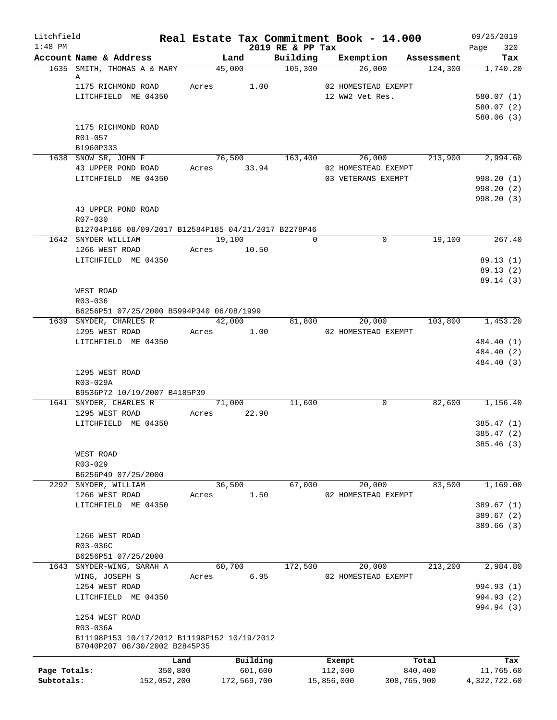| Litchfield<br>$1:48$ PM |                                                                 |                |          | 2019 RE & PP Tax    | Real Estate Tax Commitment Book - 14.000 |             | 09/25/2019<br>320<br>Page |
|-------------------------|-----------------------------------------------------------------|----------------|----------|---------------------|------------------------------------------|-------------|---------------------------|
|                         | Account Name & Address                                          | Land           |          | Building            | Exemption                                | Assessment  | Tax                       |
|                         | 1635 SMITH, THOMAS A & MARY                                     | 45,000         |          | $\frac{105,300}{ }$ | 26,000                                   | 124,300     | 1,740.20                  |
|                         | A                                                               |                |          |                     |                                          |             |                           |
|                         | 1175 RICHMOND ROAD<br>LITCHFIELD ME 04350                       | Acres          | 1.00     |                     | 02 HOMESTEAD EXEMPT<br>12 WW2 Vet Res.   |             |                           |
|                         |                                                                 |                |          |                     |                                          |             | 580.07 (1)<br>580.07(2)   |
|                         |                                                                 |                |          |                     |                                          |             | 580.06(3)                 |
|                         | 1175 RICHMOND ROAD                                              |                |          |                     |                                          |             |                           |
|                         | R01-057                                                         |                |          |                     |                                          |             |                           |
|                         | B1960P333                                                       |                |          |                     |                                          |             |                           |
|                         | 1638 SNOW SR, JOHN F                                            | 76,500 163,400 |          |                     | 26,000                                   |             | 213,900 2,994.60          |
|                         | 43 UPPER POND ROAD                                              | Acres 33.94    |          |                     | 02 HOMESTEAD EXEMPT                      |             |                           |
|                         | LITCHFIELD ME 04350                                             |                |          |                     | 03 VETERANS EXEMPT                       |             | 998.20 (1)                |
|                         |                                                                 |                |          |                     |                                          |             | 998.20 (2)                |
|                         |                                                                 |                |          |                     |                                          |             | 998.20(3)                 |
|                         | 43 UPPER POND ROAD                                              |                |          |                     |                                          |             |                           |
|                         | R07-030<br>B12704P186 08/09/2017 B12584P185 04/21/2017 B2278P46 |                |          |                     |                                          |             |                           |
|                         | 1642 SNYDER WILLIAM                                             | 19,100         |          | $\Omega$            | $\mathbf 0$                              | 19,100      | 267.40                    |
|                         | 1266 WEST ROAD                                                  | Acres 10.50    |          |                     |                                          |             |                           |
|                         | LITCHFIELD ME 04350                                             |                |          |                     |                                          |             | 89.13(1)                  |
|                         |                                                                 |                |          |                     |                                          |             | 89.13(2)                  |
|                         |                                                                 |                |          |                     |                                          |             | 89.14(3)                  |
|                         | WEST ROAD                                                       |                |          |                     |                                          |             |                           |
|                         | R03-036                                                         |                |          |                     |                                          |             |                           |
|                         | B6256P51 07/25/2000 B5994P340 06/08/1999                        |                |          |                     |                                          |             |                           |
|                         | 1639 SNYDER, CHARLES R                                          | 42,000         |          | 81,800              | 20,000                                   | 103,800     | 1,453.20                  |
|                         | 1295 WEST ROAD                                                  | Acres          | 1.00     |                     | 02 HOMESTEAD EXEMPT                      |             |                           |
|                         | LITCHFIELD ME 04350                                             |                |          |                     |                                          |             | 484.40 (1)                |
|                         |                                                                 |                |          |                     |                                          |             | 484.40 (2)<br>484.40 (3)  |
|                         | 1295 WEST ROAD                                                  |                |          |                     |                                          |             |                           |
|                         | R03-029A                                                        |                |          |                     |                                          |             |                           |
|                         | B9536P72 10/19/2007 B4185P39                                    |                |          |                     |                                          |             |                           |
|                         | 1641 SNYDER, CHARLES R                                          | 71,000         |          | 11,600              | 0                                        | 82,600      | 1,156.40                  |
|                         | 1295 WEST ROAD                                                  | Acres 22.90    |          |                     |                                          |             |                           |
|                         | LITCHFIELD ME 04350                                             |                |          |                     |                                          |             | 385.47(1)                 |
|                         |                                                                 |                |          |                     |                                          |             | 385.47 (2)                |
|                         |                                                                 |                |          |                     |                                          |             | 385.46 (3)                |
|                         | WEST ROAD                                                       |                |          |                     |                                          |             |                           |
|                         | R03-029                                                         |                |          |                     |                                          |             |                           |
|                         | B6256P49 07/25/2000<br>2292 SNYDER, WILLIAM                     | 36,500         |          | 67,000              | 20,000                                   | 83,500      | 1,169.00                  |
|                         | 1266 WEST ROAD                                                  | Acres          | 1.50     |                     | 02 HOMESTEAD EXEMPT                      |             |                           |
|                         | LITCHFIELD ME 04350                                             |                |          |                     |                                          |             | 389.67 (1)                |
|                         |                                                                 |                |          |                     |                                          |             | 389.67(2)                 |
|                         |                                                                 |                |          |                     |                                          |             | 389.66 (3)                |
|                         | 1266 WEST ROAD                                                  |                |          |                     |                                          |             |                           |
|                         | R03-036C                                                        |                |          |                     |                                          |             |                           |
|                         | B6256P51 07/25/2000                                             |                |          |                     |                                          |             |                           |
|                         | 1643 SNYDER-WING, SARAH A                                       | 60,700         |          | 172,500             | 20,000                                   | 213,200     | 2,984.80                  |
|                         | WING, JOSEPH S                                                  | Acres          | 6.95     |                     | 02 HOMESTEAD EXEMPT                      |             |                           |
|                         | 1254 WEST ROAD                                                  |                |          |                     |                                          |             | 994.93 (1)                |
|                         | LITCHFIELD ME 04350                                             |                |          |                     |                                          |             | 994.93 (2)                |
|                         | 1254 WEST ROAD                                                  |                |          |                     |                                          |             | 994.94 (3)                |
|                         | R03-036A                                                        |                |          |                     |                                          |             |                           |
|                         | B11198P153 10/17/2012 B11198P152 10/19/2012                     |                |          |                     |                                          |             |                           |
|                         | B7040P207 08/30/2002 B2845P35                                   |                |          |                     |                                          |             |                           |
|                         | Land                                                            |                | Building |                     | Exempt                                   | Total       | Tax                       |
| Page Totals:            | 350,800                                                         |                | 601,600  |                     | 112,000                                  | 840,400     | 11,765.60                 |
| Subtotals:              | 152,052,200                                                     | 172,569,700    |          |                     | 15,856,000                               | 308,765,900 | 4,322,722.60              |
|                         |                                                                 |                |          |                     |                                          |             |                           |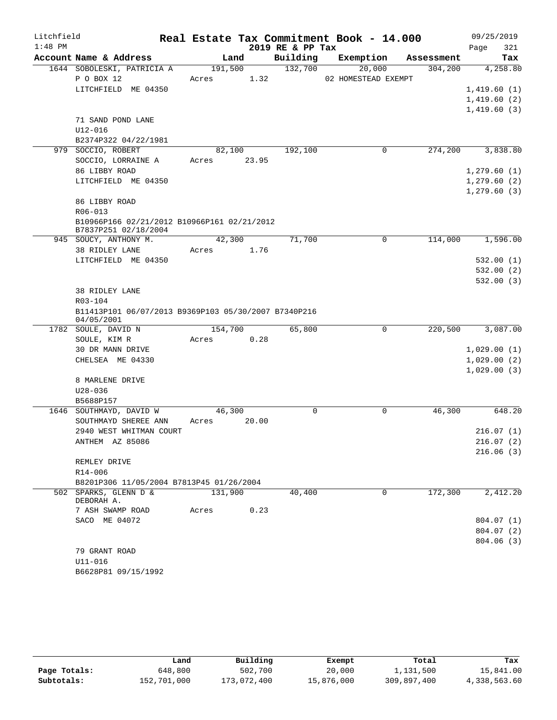| Litchfield |                                                                     |             |       |                  | Real Estate Tax Commitment Book - 14.000 |            | 09/25/2019   |
|------------|---------------------------------------------------------------------|-------------|-------|------------------|------------------------------------------|------------|--------------|
| $1:48$ PM  |                                                                     |             |       | 2019 RE & PP Tax |                                          |            | 321<br>Page  |
|            | Account Name & Address                                              | Land        |       | Building         | Exemption                                | Assessment | Tax          |
|            | 1644 SOBOLESKI, PATRICIA A                                          | 191,500     |       | 132,700          | 20,000                                   | 304, 200   | 4,258.80     |
|            | P O BOX 12                                                          | Acres       | 1.32  |                  | 02 HOMESTEAD EXEMPT                      |            |              |
|            | LITCHFIELD ME 04350                                                 |             |       |                  |                                          |            | 1,419.60(1)  |
|            |                                                                     |             |       |                  |                                          |            | 1,419.60(2)  |
|            | 71 SAND POND LANE                                                   |             |       |                  |                                          |            | 1,419.60(3)  |
|            | $U12 - 016$                                                         |             |       |                  |                                          |            |              |
|            | B2374P322 04/22/1981                                                |             |       |                  |                                          |            |              |
|            | 979 SOCCIO, ROBERT                                                  | 82,100      |       | 192,100          | 0                                        | 274,200    | 3,838.80     |
|            | SOCCIO, LORRAINE A                                                  | Acres 23.95 |       |                  |                                          |            |              |
|            | 86 LIBBY ROAD                                                       |             |       |                  |                                          |            | 1,279.60(1)  |
|            | LITCHFIELD ME 04350                                                 |             |       |                  |                                          |            | 1,279.60(2)  |
|            |                                                                     |             |       |                  |                                          |            | 1, 279.60(3) |
|            | 86 LIBBY ROAD                                                       |             |       |                  |                                          |            |              |
|            | $R06 - 013$                                                         |             |       |                  |                                          |            |              |
|            | B10966P166 02/21/2012 B10966P161 02/21/2012<br>B7837P251 02/18/2004 |             |       |                  |                                          |            |              |
|            | 945 SOUCY, ANTHONY M.                                               | 42,300      |       | 71,700           | 0                                        | 114,000    | 1,596.00     |
|            | 38 RIDLEY LANE                                                      | Acres 1.76  |       |                  |                                          |            |              |
|            | LITCHFIELD ME 04350                                                 |             |       |                  |                                          |            | 532.00(1)    |
|            |                                                                     |             |       |                  |                                          |            | 532.00(2)    |
|            |                                                                     |             |       |                  |                                          |            | 532.00(3)    |
|            | <b>38 RIDLEY LANE</b>                                               |             |       |                  |                                          |            |              |
|            | R03-104<br>B11413P101 06/07/2013 B9369P103 05/30/2007 B7340P216     |             |       |                  |                                          |            |              |
|            | 04/05/2001                                                          |             |       |                  |                                          |            |              |
|            | 1782 SOULE, DAVID N                                                 | 154,700     |       | 65,800           | 0                                        | 220,500    | 3,087.00     |
|            | SOULE, KIM R                                                        | Acres       | 0.28  |                  |                                          |            |              |
|            | 30 DR MANN DRIVE                                                    |             |       |                  |                                          |            | 1,029.00(1)  |
|            | CHELSEA ME 04330                                                    |             |       |                  |                                          |            | 1,029.00(2)  |
|            |                                                                     |             |       |                  |                                          |            | 1,029.00(3)  |
|            | 8 MARLENE DRIVE                                                     |             |       |                  |                                          |            |              |
|            | $U28 - 036$                                                         |             |       |                  |                                          |            |              |
|            | B5688P157                                                           | 46,300      |       | 0                | 0                                        | 46,300     | 648.20       |
|            | 1646 SOUTHMAYD, DAVID W<br>SOUTHMAYD SHEREE ANN                     | Acres       | 20.00 |                  |                                          |            |              |
|            | 2940 WEST WHITMAN COURT                                             |             |       |                  |                                          |            | 216.07(1)    |
|            | ANTHEM AZ 85086                                                     |             |       |                  |                                          |            | 216.07(2)    |
|            |                                                                     |             |       |                  |                                          |            | 216.06(3)    |
|            | REMLEY DRIVE                                                        |             |       |                  |                                          |            |              |
|            | $R14 - 006$                                                         |             |       |                  |                                          |            |              |
|            | B8201P306 11/05/2004 B7813P45 01/26/2004                            |             |       |                  |                                          |            |              |
|            | 502 SPARKS, GLENN D &                                               | 131,900     |       | 40,400           | 0                                        | 172,300    | 2,412.20     |
|            | DEBORAH A.                                                          | Acres       |       |                  |                                          |            |              |
|            | 7 ASH SWAMP ROAD<br>SACO ME 04072                                   |             | 0.23  |                  |                                          |            | 804.07 (1)   |
|            |                                                                     |             |       |                  |                                          |            | 804.07 (2)   |
|            |                                                                     |             |       |                  |                                          |            | 804.06(3)    |
|            | 79 GRANT ROAD                                                       |             |       |                  |                                          |            |              |
|            | $U11 - 016$                                                         |             |       |                  |                                          |            |              |
|            | B6628P81 09/15/1992                                                 |             |       |                  |                                          |            |              |

|              | Land        | Building    | Exempt     | Total       | Tax          |
|--------------|-------------|-------------|------------|-------------|--------------|
| Page Totals: | 648,800     | 502,700     | 20,000     | 1,131,500   | 15,841.00    |
| Subtotals:   | 152,701,000 | 173,072,400 | 15,876,000 | 309,897,400 | 4,338,563.60 |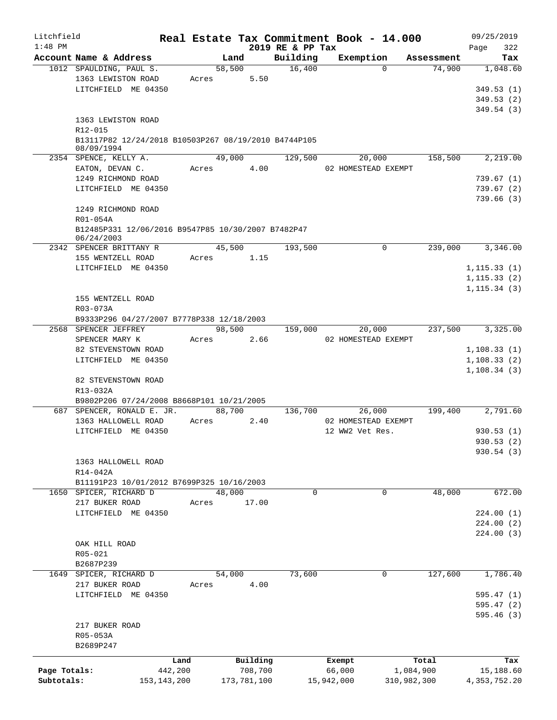| Litchfield   |                                                                    |               |       |                |          |                    | Real Estate Tax Commitment Book - 14.000 |                      | 09/25/2019      |
|--------------|--------------------------------------------------------------------|---------------|-------|----------------|----------|--------------------|------------------------------------------|----------------------|-----------------|
| $1:48$ PM    | Account Name & Address                                             |               |       |                |          | 2019 RE & PP Tax   |                                          |                      | 322<br>Page     |
|              | 1012 SPAULDING, PAUL S.                                            |               |       | Land<br>58,500 |          | Building<br>16,400 | Exemption<br>$\Omega$                    | Assessment<br>74,900 | Tax<br>1,048.60 |
|              | 1363 LEWISTON ROAD                                                 |               | Acres |                | 5.50     |                    |                                          |                      |                 |
|              | LITCHFIELD ME 04350                                                |               |       |                |          |                    |                                          |                      | 349.53(1)       |
|              |                                                                    |               |       |                |          |                    |                                          |                      | 349.53(2)       |
|              |                                                                    |               |       |                |          |                    |                                          |                      | 349.54(3)       |
|              | 1363 LEWISTON ROAD                                                 |               |       |                |          |                    |                                          |                      |                 |
|              | R12-015                                                            |               |       |                |          |                    |                                          |                      |                 |
|              | B13117P82 12/24/2018 B10503P267 08/19/2010 B4744P105<br>08/09/1994 |               |       |                |          |                    |                                          |                      |                 |
|              | 2354 SPENCE, KELLY A.                                              |               |       | 49,000         |          | 129,500            | 20,000                                   | 158,500              | 2,219.00        |
|              | EATON, DEVAN C.                                                    |               | Acres |                | 4.00     |                    | 02 HOMESTEAD EXEMPT                      |                      |                 |
|              | 1249 RICHMOND ROAD                                                 |               |       |                |          |                    |                                          |                      | 739.67(1)       |
|              | LITCHFIELD ME 04350                                                |               |       |                |          |                    |                                          |                      | 739.67(2)       |
|              |                                                                    |               |       |                |          |                    |                                          |                      | 739.66(3)       |
|              | 1249 RICHMOND ROAD                                                 |               |       |                |          |                    |                                          |                      |                 |
|              | R01-054A                                                           |               |       |                |          |                    |                                          |                      |                 |
|              | B12485P331 12/06/2016 B9547P85 10/30/2007 B7482P47                 |               |       |                |          |                    |                                          |                      |                 |
|              | 06/24/2003                                                         |               |       |                |          |                    |                                          |                      |                 |
|              | 2342 SPENCER BRITTANY R                                            |               |       | 45,500         |          | 193,500            | 0                                        | 239,000              | 3,346.00        |
|              | 155 WENTZELL ROAD                                                  |               | Acres |                | 1.15     |                    |                                          |                      |                 |
|              | LITCHFIELD ME 04350                                                |               |       |                |          |                    |                                          |                      | 1, 115.33(1)    |
|              |                                                                    |               |       |                |          |                    |                                          |                      | 1, 115.33(2)    |
|              |                                                                    |               |       |                |          |                    |                                          |                      | 1, 115.34(3)    |
|              | 155 WENTZELL ROAD                                                  |               |       |                |          |                    |                                          |                      |                 |
|              | R03-073A<br>B9333P296 04/27/2007 B7778P338 12/18/2003              |               |       |                |          |                    |                                          |                      |                 |
|              | 2568 SPENCER JEFFREY                                               |               |       | 98,500         |          | 159,000            | 20,000                                   | 237,500              | 3,325.00        |
|              | SPENCER MARY K                                                     |               | Acres |                | 2.66     |                    | 02 HOMESTEAD EXEMPT                      |                      |                 |
|              | 82 STEVENSTOWN ROAD                                                |               |       |                |          |                    |                                          |                      | 1,108.33(1)     |
|              | LITCHFIELD ME 04350                                                |               |       |                |          |                    |                                          |                      | 1, 108.33(2)    |
|              |                                                                    |               |       |                |          |                    |                                          |                      | 1,108.34(3)     |
|              | 82 STEVENSTOWN ROAD                                                |               |       |                |          |                    |                                          |                      |                 |
|              | R13-032A                                                           |               |       |                |          |                    |                                          |                      |                 |
|              | B9802P206 07/24/2008 B8668P101 10/21/2005                          |               |       |                |          |                    |                                          |                      |                 |
|              | 687 SPENCER, RONALD E. JR.                                         |               |       | 88,700         |          | 136,700            | 26,000                                   | 199,400              | 2,791.60        |
|              | 1363 HALLOWELL ROAD                                                |               | Acres |                | 2.40     |                    | 02 HOMESTEAD EXEMPT                      |                      |                 |
|              | LITCHFIELD ME 04350                                                |               |       |                |          |                    | 12 WW2 Vet Res.                          |                      | 930.53(1)       |
|              |                                                                    |               |       |                |          |                    |                                          |                      | 930.53 (2)      |
|              |                                                                    |               |       |                |          |                    |                                          |                      | 930.54(3)       |
|              | 1363 HALLOWELL ROAD                                                |               |       |                |          |                    |                                          |                      |                 |
|              | R14-042A                                                           |               |       |                |          |                    |                                          |                      |                 |
|              | B11191P23 10/01/2012 B7699P325 10/16/2003                          |               |       |                |          |                    |                                          |                      |                 |
| 1650         | SPICER, RICHARD D                                                  |               |       | 48,000         |          | 0                  | 0                                        | 48,000               | 672.00          |
|              | 217 BUKER ROAD                                                     |               | Acres |                | 17.00    |                    |                                          |                      |                 |
|              | LITCHFIELD ME 04350                                                |               |       |                |          |                    |                                          |                      | 224.00(1)       |
|              |                                                                    |               |       |                |          |                    |                                          |                      | 224.00(2)       |
|              |                                                                    |               |       |                |          |                    |                                          |                      | 224.00(3)       |
|              | OAK HILL ROAD                                                      |               |       |                |          |                    |                                          |                      |                 |
|              | $R05 - 021$                                                        |               |       |                |          |                    |                                          |                      |                 |
|              | B2687P239                                                          |               |       |                |          |                    |                                          |                      |                 |
| 1649         | SPICER, RICHARD D                                                  |               |       | 54,000         |          | 73,600             | 0                                        | 127,600              | 1,786.40        |
|              | 217 BUKER ROAD                                                     |               | Acres |                | 4.00     |                    |                                          |                      |                 |
|              | LITCHFIELD ME 04350                                                |               |       |                |          |                    |                                          |                      | 595.47(1)       |
|              |                                                                    |               |       |                |          |                    |                                          |                      | 595.47(2)       |
|              |                                                                    |               |       |                |          |                    |                                          |                      | 595.46 (3)      |
|              | 217 BUKER ROAD                                                     |               |       |                |          |                    |                                          |                      |                 |
|              | R05-053A                                                           |               |       |                |          |                    |                                          |                      |                 |
|              | B2689P247                                                          |               |       |                |          |                    |                                          |                      |                 |
|              |                                                                    | Land          |       |                | Building |                    | Exempt                                   | Total                | Tax             |
| Page Totals: |                                                                    | 442,200       |       |                | 708,700  |                    | 66,000                                   | 1,084,900            | 15,188.60       |
| Subtotals:   |                                                                    | 153, 143, 200 |       | 173,781,100    |          |                    | 15,942,000                               | 310,982,300          | 4,353,752.20    |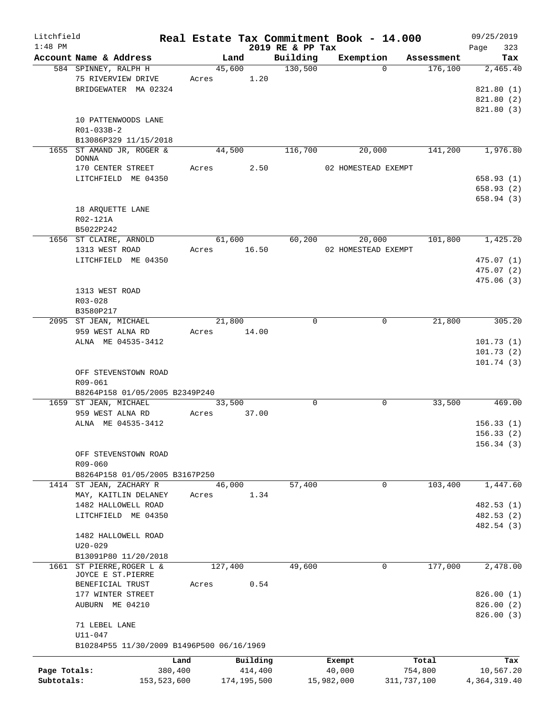| Litchfield   |                                           | Real Estate Tax Commitment Book - 14.000 |                              |                     |             | 09/25/2019   |
|--------------|-------------------------------------------|------------------------------------------|------------------------------|---------------------|-------------|--------------|
| $1:48$ PM    | Account Name & Address                    |                                          | 2019 RE & PP Tax<br>Building | Exemption           | Assessment  | 323<br>Page  |
|              |                                           | Land                                     |                              |                     |             | Tax          |
|              | 584 SPINNEY, RALPH H                      | 45,600                                   | 130,500                      | $\Omega$            | 176,100     | 2,465.40     |
|              | 75 RIVERVIEW DRIVE                        | Acres 1.20                               |                              |                     |             |              |
|              | BRIDGEWATER MA 02324                      |                                          |                              |                     |             | 821.80 (1)   |
|              |                                           |                                          |                              |                     |             | 821.80(2)    |
|              |                                           |                                          |                              |                     |             | 821.80 (3)   |
|              | 10 PATTENWOODS LANE                       |                                          |                              |                     |             |              |
|              | $R01 - 033B - 2$                          |                                          |                              |                     |             |              |
|              | B13086P329 11/15/2018                     |                                          |                              |                     |             |              |
|              | 1655 ST AMAND JR, ROGER &                 | 44,500                                   | 116,700                      | 20,000              | 141,200     | 1,976.80     |
|              | <b>DONNA</b>                              |                                          |                              |                     |             |              |
|              | 170 CENTER STREET                         | Acres 2.50                               |                              | 02 HOMESTEAD EXEMPT |             |              |
|              | LITCHFIELD ME 04350                       |                                          |                              |                     |             | 658.93(1)    |
|              |                                           |                                          |                              |                     |             | 658.93(2)    |
|              |                                           |                                          |                              |                     |             | 658.94(3)    |
|              | 18 ARQUETTE LANE                          |                                          |                              |                     |             |              |
|              | R02-121A                                  |                                          |                              |                     |             |              |
|              | B5022P242                                 |                                          |                              |                     |             |              |
|              | 1656 ST CLAIRE, ARNOLD                    | 61,600                                   |                              | 60,200<br>20,000    | 101,800     | 1,425.20     |
|              | 1313 WEST ROAD                            | Acres 16.50                              |                              | 02 HOMESTEAD EXEMPT |             |              |
|              | LITCHFIELD ME 04350                       |                                          |                              |                     |             | 475.07(1)    |
|              |                                           |                                          |                              |                     |             | 475.07 (2)   |
|              |                                           |                                          |                              |                     |             | 475.06 (3)   |
|              | 1313 WEST ROAD                            |                                          |                              |                     |             |              |
|              | $R03 - 028$                               |                                          |                              |                     |             |              |
|              |                                           |                                          |                              |                     |             |              |
|              | B3580P217                                 | 21,800                                   | $\Omega$                     | $\mathbf 0$         | 21,800      | 305.20       |
|              | 2095 ST JEAN, MICHAEL                     |                                          |                              |                     |             |              |
|              | 959 WEST ALNA RD                          | Acres 14.00                              |                              |                     |             |              |
|              | ALNA ME 04535-3412                        |                                          |                              |                     |             | 101.73(1)    |
|              |                                           |                                          |                              |                     |             | 101.73(2)    |
|              |                                           |                                          |                              |                     |             | 101.74(3)    |
|              | OFF STEVENSTOWN ROAD                      |                                          |                              |                     |             |              |
|              | R09-061                                   |                                          |                              |                     |             |              |
|              | B8264P158 01/05/2005 B2349P240            |                                          |                              |                     |             |              |
|              | 1659 ST JEAN, MICHAEL                     | 33,500                                   | $\mathbf 0$                  | 0                   | 33,500      | 469.00       |
|              | 959 WEST ALNA RD                          | 37.00<br>Acres                           |                              |                     |             |              |
|              | ALNA ME 04535-3412                        |                                          |                              |                     |             | 156.33(1)    |
|              |                                           |                                          |                              |                     |             | 156.33(2)    |
|              |                                           |                                          |                              |                     |             | 156.34(3)    |
|              | OFF STEVENSTOWN ROAD                      |                                          |                              |                     |             |              |
|              | R09-060                                   |                                          |                              |                     |             |              |
|              | B8264P158 01/05/2005 B3167P250            |                                          |                              |                     |             |              |
|              | 1414 ST JEAN, ZACHARY R                   | 46,000                                   | 57,400                       | 0                   | 103,400     | 1,447.60     |
|              | MAY, KAITLIN DELANEY                      | 1.34<br>Acres                            |                              |                     |             |              |
|              | 1482 HALLOWELL ROAD                       |                                          |                              |                     |             | 482.53 (1)   |
|              | LITCHFIELD ME 04350                       |                                          |                              |                     |             | 482.53 (2)   |
|              |                                           |                                          |                              |                     |             | 482.54 (3)   |
|              | 1482 HALLOWELL ROAD                       |                                          |                              |                     |             |              |
|              |                                           |                                          |                              |                     |             |              |
|              | $U20 - 029$                               |                                          |                              |                     |             |              |
|              | B13091P80 11/20/2018                      |                                          |                              |                     |             |              |
|              | 1661 ST PIERRE, ROGER L &                 | 127,400                                  | 49,600                       | 0                   | 177,000     | 2,478.00     |
|              | JOYCE E ST.PIERRE                         |                                          |                              |                     |             |              |
|              | BENEFICIAL TRUST                          | Acres<br>0.54                            |                              |                     |             |              |
|              | 177 WINTER STREET                         |                                          |                              |                     |             | 826.00(1)    |
|              | AUBURN ME 04210                           |                                          |                              |                     |             | 826.00(2)    |
|              |                                           |                                          |                              |                     |             | 826.00(3)    |
|              | 71 LEBEL LANE                             |                                          |                              |                     |             |              |
|              | U11-047                                   |                                          |                              |                     |             |              |
|              | B10284P55 11/30/2009 B1496P500 06/16/1969 |                                          |                              |                     |             |              |
|              | Land                                      | Building                                 |                              | Exempt              | Total       | Tax          |
| Page Totals: | 380,400                                   | 414,400                                  |                              | 40,000              | 754,800     | 10,567.20    |
| Subtotals:   |                                           |                                          |                              |                     |             |              |
|              | 153,523,600                               | 174,195,500                              |                              | 15,982,000          | 311,737,100 | 4,364,319.40 |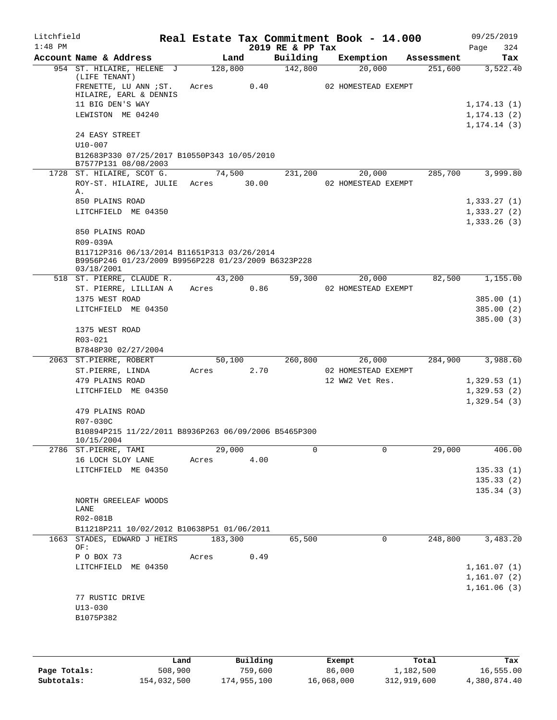| Litchfield<br>$1:48$ PM |                                                                     |         |      | 2019 RE & PP Tax | Real Estate Tax Commitment Book - 14.000 |            | 09/25/2019<br>324<br>Page |
|-------------------------|---------------------------------------------------------------------|---------|------|------------------|------------------------------------------|------------|---------------------------|
|                         | Account Name & Address                                              | Land    |      | Building         | Exemption                                | Assessment | Tax                       |
|                         | 954 ST. HILAIRE, HELENE J                                           | 128,800 |      | 142,800          | 20,000                                   | 251,600    | 3,522.40                  |
|                         | (LIFE TENANT)<br>FRENETTE, LU ANN ; ST.<br>HILAIRE, EARL & DENNIS   | Acres   | 0.40 |                  | 02 HOMESTEAD EXEMPT                      |            |                           |
|                         | 11 BIG DEN'S WAY                                                    |         |      |                  |                                          |            | 1, 174.13(1)              |
|                         | LEWISTON ME 04240                                                   |         |      |                  |                                          |            | 1, 174.13(2)              |
|                         |                                                                     |         |      |                  |                                          |            | 1, 174.14(3)              |
|                         | 24 EASY STREET                                                      |         |      |                  |                                          |            |                           |
|                         | $U10 - 007$                                                         |         |      |                  |                                          |            |                           |
|                         | B12683P330 07/25/2017 B10550P343 10/05/2010<br>B7577P131 08/08/2003 |         |      |                  |                                          |            |                           |
|                         | 1728 ST. HILAIRE, SCOT G.                                           | 74,500  |      | 231,200          | 20,000                                   | 285,700    | 3,999.80                  |
|                         | ROY-ST. HILAIRE, JULIE Acres 30.00                                  |         |      |                  | 02 HOMESTEAD EXEMPT                      |            |                           |
|                         | Α.                                                                  |         |      |                  |                                          |            |                           |
|                         | 850 PLAINS ROAD                                                     |         |      |                  |                                          |            | 1,333.27(1)               |
|                         | LITCHFIELD ME 04350                                                 |         |      |                  |                                          |            | 1,333.27(2)               |
|                         | 850 PLAINS ROAD                                                     |         |      |                  |                                          |            | 1,333.26(3)               |
|                         | R09-039A                                                            |         |      |                  |                                          |            |                           |
|                         | B11712P316 06/13/2014 B11651P313 03/26/2014                         |         |      |                  |                                          |            |                           |
|                         | B9956P246 01/23/2009 B9956P228 01/23/2009 B6323P228<br>03/18/2001   |         |      |                  |                                          |            |                           |
|                         | 518 ST. PIERRE, CLAUDE R.                                           | 43,200  |      | 59,300           | 20,000                                   | 82,500     | 1,155.00                  |
|                         | ST. PIERRE, LILLIAN A                                               | Acres   | 0.86 |                  | 02 HOMESTEAD EXEMPT                      |            |                           |
|                         | 1375 WEST ROAD                                                      |         |      |                  |                                          |            | 385.00(1)                 |
|                         | LITCHFIELD ME 04350                                                 |         |      |                  |                                          |            | 385.00(2)                 |
|                         |                                                                     |         |      |                  |                                          |            | 385.00(3)                 |
|                         | 1375 WEST ROAD                                                      |         |      |                  |                                          |            |                           |
|                         | R03-021<br>B7848P30 02/27/2004                                      |         |      |                  |                                          |            |                           |
|                         | 2063 ST.PIERRE, ROBERT                                              | 50,100  |      | 260,800          | 26,000                                   | 284,900    | 3,988.60                  |
|                         | ST.PIERRE, LINDA                                                    | Acres   | 2.70 |                  | 02 HOMESTEAD EXEMPT                      |            |                           |
|                         | 479 PLAINS ROAD                                                     |         |      |                  | 12 WW2 Vet Res.                          |            | 1,329.53(1)               |
|                         | LITCHFIELD ME 04350                                                 |         |      |                  |                                          |            | 1,329.53(2)               |
|                         |                                                                     |         |      |                  |                                          |            | 1,329.54(3)               |
|                         | 479 PLAINS ROAD                                                     |         |      |                  |                                          |            |                           |
|                         | R07-030C                                                            |         |      |                  |                                          |            |                           |
|                         | B10894P215 11/22/2011 B8936P263 06/09/2006 B5465P300<br>10/15/2004  |         |      |                  |                                          |            |                           |
|                         | 2786 ST.PIERRE, TAMI                                                | 29,000  |      | 0                | 0                                        | 29,000     | 406.00                    |
|                         | 16 LOCH SLOY LANE                                                   | Acres   | 4.00 |                  |                                          |            |                           |
|                         | LITCHFIELD ME 04350                                                 |         |      |                  |                                          |            | 135.33(1)                 |
|                         |                                                                     |         |      |                  |                                          |            | 135.33(2)                 |
|                         |                                                                     |         |      |                  |                                          |            | 135.34(3)                 |
|                         | NORTH GREELEAF WOODS                                                |         |      |                  |                                          |            |                           |
|                         | LANE                                                                |         |      |                  |                                          |            |                           |
|                         | R02-081B<br>B11218P211 10/02/2012 B10638P51 01/06/2011              |         |      |                  |                                          |            |                           |
|                         | 1663 STADES, EDWARD J HEIRS<br>OF:                                  | 183,300 |      | 65,500           | 0                                        | 248,800    | 3,483.20                  |
|                         | P O BOX 73                                                          | Acres   | 0.49 |                  |                                          |            |                           |
|                         | LITCHFIELD ME 04350                                                 |         |      |                  |                                          |            | 1,161.07(1)               |
|                         |                                                                     |         |      |                  |                                          |            | 1,161.07(2)               |
|                         |                                                                     |         |      |                  |                                          |            | 1,161.06(3)               |
|                         | 77 RUSTIC DRIVE                                                     |         |      |                  |                                          |            |                           |
|                         | $U13 - 030$                                                         |         |      |                  |                                          |            |                           |
|                         | B1075P382                                                           |         |      |                  |                                          |            |                           |
|                         |                                                                     |         |      |                  |                                          |            |                           |
|                         |                                                                     |         |      |                  |                                          |            |                           |

|              | Land        | Building    | Exempt     | Total       | Tax          |
|--------------|-------------|-------------|------------|-------------|--------------|
| Page Totals: | 508,900     | 759,600     | 86,000     | 1,182,500   | 16,555.00    |
| Subtotals:   | 154,032,500 | 174,955,100 | 16,068,000 | 312,919,600 | 4,380,874.40 |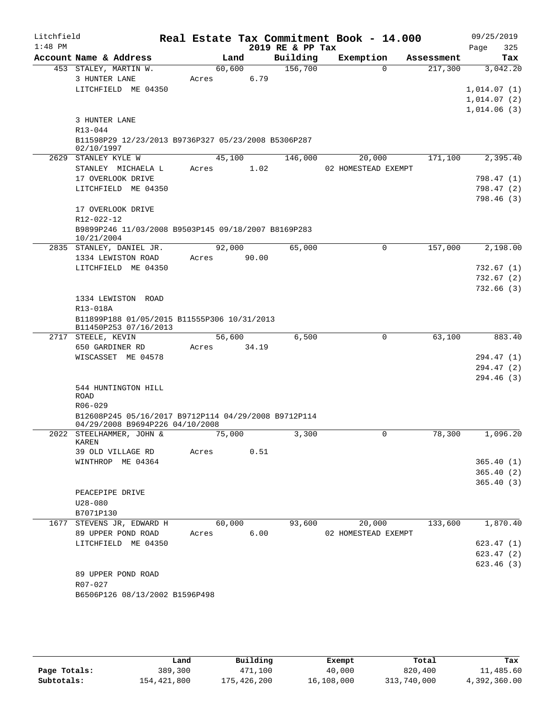| Litchfield<br>$1:48$ PM |                                                                      |        |       | 2019 RE & PP Tax | Real Estate Tax Commitment Book - 14.000 |            | 09/25/2019<br>Page<br>325 |
|-------------------------|----------------------------------------------------------------------|--------|-------|------------------|------------------------------------------|------------|---------------------------|
|                         | Account Name & Address                                               |        | Land  | Building         | Exemption                                | Assessment | Tax                       |
|                         | 453 STALEY, MARTIN W.                                                | 60,600 |       | 156,700          | $\Omega$                                 | 217,300    | 3,042.20                  |
|                         | 3 HUNTER LANE                                                        | Acres  | 6.79  |                  |                                          |            |                           |
|                         | LITCHFIELD ME 04350                                                  |        |       |                  |                                          |            | 1,014.07(1)               |
|                         |                                                                      |        |       |                  |                                          |            | 1,014.07(2)               |
|                         |                                                                      |        |       |                  |                                          |            | 1,014.06(3)               |
|                         | 3 HUNTER LANE                                                        |        |       |                  |                                          |            |                           |
|                         | R13-044                                                              |        |       |                  |                                          |            |                           |
|                         | B11598P29 12/23/2013 B9736P327 05/23/2008 B5306P287<br>02/10/1997    |        |       |                  |                                          |            |                           |
|                         | 2629 STANLEY KYLE W                                                  | 45,100 |       | 146,000          | 20,000                                   | 171,100    | 2,395.40                  |
|                         | STANLEY MICHAELA L                                                   | Acres  | 1.02  |                  | 02 HOMESTEAD EXEMPT                      |            |                           |
|                         | 17 OVERLOOK DRIVE                                                    |        |       |                  |                                          |            | 798.47 (1)                |
|                         | LITCHFIELD ME 04350                                                  |        |       |                  |                                          |            | 798.47 (2)                |
|                         |                                                                      |        |       |                  |                                          |            | 798.46 (3)                |
|                         | 17 OVERLOOK DRIVE                                                    |        |       |                  |                                          |            |                           |
|                         | R12-022-12                                                           |        |       |                  |                                          |            |                           |
|                         | B9899P246 11/03/2008 B9503P145 09/18/2007 B8169P283                  |        |       |                  |                                          |            |                           |
|                         | 10/21/2004                                                           |        |       |                  |                                          |            |                           |
|                         | 2835 STANLEY, DANIEL JR.                                             | 92,000 |       | 65,000           | 0                                        | 157,000    | 2,198.00                  |
|                         | 1334 LEWISTON ROAD                                                   | Acres  | 90.00 |                  |                                          |            |                           |
|                         | LITCHFIELD ME 04350                                                  |        |       |                  |                                          |            | 732.67 (1)                |
|                         |                                                                      |        |       |                  |                                          |            | 732.67 (2)                |
|                         |                                                                      |        |       |                  |                                          |            | 732.66 (3)                |
|                         | 1334 LEWISTON ROAD                                                   |        |       |                  |                                          |            |                           |
|                         | R13-018A                                                             |        |       |                  |                                          |            |                           |
|                         | B11899P188 01/05/2015 B11555P306 10/31/2013<br>B11450P253 07/16/2013 |        |       |                  |                                          |            |                           |
|                         | 2717 STEELE, KEVIN                                                   | 56,600 |       | 6,500            | 0                                        | 63,100     | 883.40                    |
|                         | 650 GARDINER RD                                                      | Acres  | 34.19 |                  |                                          |            |                           |
|                         | WISCASSET ME 04578                                                   |        |       |                  |                                          |            | 294.47 (1)                |
|                         |                                                                      |        |       |                  |                                          |            | 294.47 (2)                |
|                         |                                                                      |        |       |                  |                                          |            | 294.46 (3)                |
|                         | 544 HUNTINGTON HILL                                                  |        |       |                  |                                          |            |                           |
|                         | ROAD                                                                 |        |       |                  |                                          |            |                           |
|                         | $R06 - 029$                                                          |        |       |                  |                                          |            |                           |
|                         | B12608P245 05/16/2017 B9712P114 04/29/2008 B9712P114                 |        |       |                  |                                          |            |                           |
|                         | 04/29/2008 B9694P226 04/10/2008<br>2022 STEELHAMMER, JOHN &          |        |       | 3,300            | 0                                        | 78,300     | 1,096.20                  |
|                         | KAREN                                                                | 75,000 |       |                  |                                          |            |                           |
|                         | 39 OLD VILLAGE RD                                                    | Acres  | 0.51  |                  |                                          |            |                           |
|                         | WINTHROP ME 04364                                                    |        |       |                  |                                          |            | 365.40(1)                 |
|                         |                                                                      |        |       |                  |                                          |            | 365.40(2)                 |
|                         |                                                                      |        |       |                  |                                          |            | 365.40(3)                 |
|                         | PEACEPIPE DRIVE                                                      |        |       |                  |                                          |            |                           |
|                         | $U28 - 080$                                                          |        |       |                  |                                          |            |                           |
|                         | B7071P130                                                            |        |       |                  |                                          |            |                           |
|                         | 1677 STEVENS JR, EDWARD H                                            | 60,000 |       | 93,600           | 20,000                                   | 133,600    | 1,870.40                  |
|                         | 89 UPPER POND ROAD                                                   | Acres  | 6.00  |                  | 02 HOMESTEAD EXEMPT                      |            |                           |
|                         | LITCHFIELD ME 04350                                                  |        |       |                  |                                          |            | 623.47(1)                 |
|                         |                                                                      |        |       |                  |                                          |            | 623.47(2)                 |
|                         |                                                                      |        |       |                  |                                          |            | 623.46(3)                 |
|                         | 89 UPPER POND ROAD                                                   |        |       |                  |                                          |            |                           |
|                         | R07-027                                                              |        |       |                  |                                          |            |                           |
|                         | B6506P126 08/13/2002 B1596P498                                       |        |       |                  |                                          |            |                           |
|                         |                                                                      |        |       |                  |                                          |            |                           |
|                         |                                                                      |        |       |                  |                                          |            |                           |

|              | ⊥and        | Building    | Exempt     | Total       | Tax          |
|--------------|-------------|-------------|------------|-------------|--------------|
| Page Totals: | 389,300     | 471,100     | 40,000     | 820,400     | 11,485.60    |
| Subtotals:   | 154,421,800 | 175,426,200 | 16,108,000 | 313,740,000 | 4,392,360.00 |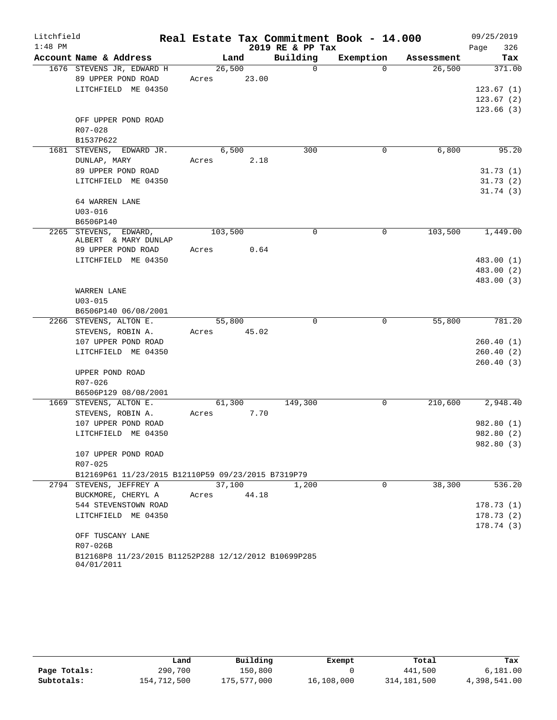| Litchfield |                                                      |             |       |                  | Real Estate Tax Commitment Book - 14.000 |            | 09/25/2019  |
|------------|------------------------------------------------------|-------------|-------|------------------|------------------------------------------|------------|-------------|
| $1:48$ PM  |                                                      |             |       | 2019 RE & PP Tax |                                          |            | 326<br>Page |
|            | Account Name & Address                               |             | Land  | Building         | Exemption                                | Assessment | Tax         |
|            | 1676 STEVENS JR, EDWARD H                            | 26,500      |       | $\mathbf 0$      | $\Omega$                                 | 26,500     | 371.00      |
|            | 89 UPPER POND ROAD                                   | Acres       | 23.00 |                  |                                          |            |             |
|            | LITCHFIELD ME 04350                                  |             |       |                  |                                          |            | 123.67(1)   |
|            |                                                      |             |       |                  |                                          |            | 123.67(2)   |
|            |                                                      |             |       |                  |                                          |            | 123.66(3)   |
|            | OFF UPPER POND ROAD<br>R07-028                       |             |       |                  |                                          |            |             |
|            | B1537P622                                            |             |       |                  |                                          |            |             |
|            | 1681 STEVENS, EDWARD JR.                             |             | 6,500 | 300              | 0                                        | 6,800      | 95.20       |
|            | DUNLAP, MARY                                         | Acres       | 2.18  |                  |                                          |            |             |
|            | 89 UPPER POND ROAD                                   |             |       |                  |                                          |            | 31.73(1)    |
|            | LITCHFIELD ME 04350                                  |             |       |                  |                                          |            | 31.73(2)    |
|            |                                                      |             |       |                  |                                          |            | 31.74(3)    |
|            | 64 WARREN LANE                                       |             |       |                  |                                          |            |             |
|            | $U03 - 016$                                          |             |       |                  |                                          |            |             |
|            | B6506P140                                            |             |       |                  |                                          |            |             |
|            | 2265 STEVENS, EDWARD,<br>ALBERT & MARY DUNLAP        | 103,500     |       | $\mathbf 0$      | 0                                        | 103,500    | 1,449.00    |
|            | 89 UPPER POND ROAD                                   | Acres       | 0.64  |                  |                                          |            |             |
|            | LITCHFIELD ME 04350                                  |             |       |                  |                                          |            | 483.00 (1)  |
|            |                                                      |             |       |                  |                                          |            | 483.00 (2)  |
|            |                                                      |             |       |                  |                                          |            | 483.00 (3)  |
|            | WARREN LANE                                          |             |       |                  |                                          |            |             |
|            | $U03 - 015$                                          |             |       |                  |                                          |            |             |
|            | B6506P140 06/08/2001                                 |             |       |                  |                                          |            |             |
|            | 2266 STEVENS, ALTON E.                               | 55,800      |       | $\Omega$         | $\mathbf 0$                              | 55,800     | 781.20      |
|            | STEVENS, ROBIN A.<br>107 UPPER POND ROAD             | Acres 45.02 |       |                  |                                          |            | 260.40(1)   |
|            | LITCHFIELD ME 04350                                  |             |       |                  |                                          |            | 260.40(2)   |
|            |                                                      |             |       |                  |                                          |            | 260.40(3)   |
|            | UPPER POND ROAD                                      |             |       |                  |                                          |            |             |
|            | R07-026                                              |             |       |                  |                                          |            |             |
|            | B6506P129 08/08/2001                                 |             |       |                  |                                          |            |             |
|            | 1669 STEVENS, ALTON E.                               | 61,300      |       | 149,300          | 0                                        | 210,600    | 2,948.40    |
|            | STEVENS, ROBIN A.                                    | Acres       | 7.70  |                  |                                          |            |             |
|            | 107 UPPER POND ROAD                                  |             |       |                  |                                          |            | 982.80 (1)  |
|            | LITCHFIELD ME 04350                                  |             |       |                  |                                          |            | 982.80 (2)  |
|            |                                                      |             |       |                  |                                          |            | 982.80 (3)  |
|            | 107 UPPER POND ROAD                                  |             |       |                  |                                          |            |             |
|            | R07-025                                              |             |       |                  |                                          |            |             |
|            | B12169P61 11/23/2015 B12110P59 09/23/2015 B7319P79   |             |       |                  |                                          |            |             |
|            | 2794 STEVENS, JEFFREY A                              | 37,100      |       | 1,200            | $\mathbf 0$                              | 38,300     | 536.20      |
|            | BUCKMORE, CHERYL A                                   | Acres       | 44.18 |                  |                                          |            |             |
|            | 544 STEVENSTOWN ROAD                                 |             |       |                  |                                          |            | 178.73(1)   |
|            | LITCHFIELD ME 04350                                  |             |       |                  |                                          |            | 178.73(2)   |
|            | OFF TUSCANY LANE                                     |             |       |                  |                                          |            | 178.74 (3)  |
|            | R07-026B                                             |             |       |                  |                                          |            |             |
|            | B12168P8 11/23/2015 B11252P288 12/12/2012 B10699P285 |             |       |                  |                                          |            |             |
|            | 04/01/2011                                           |             |       |                  |                                          |            |             |

|              | Land        | Building    | Exempt     | Total         | Tax          |
|--------------|-------------|-------------|------------|---------------|--------------|
| Page Totals: | 290,700     | 150,800     |            | 441,500       | 6.181.00     |
| Subtotals:   | 154,712,500 | 175,577,000 | 16,108,000 | 314, 181, 500 | 4,398,541.00 |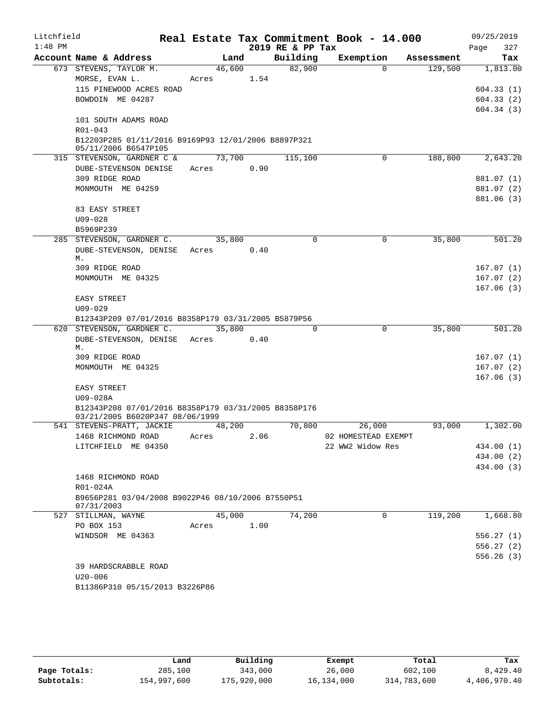| Litchfield |                                                                |            |      |                  | Real Estate Tax Commitment Book - 14.000 |            | 09/25/2019             |
|------------|----------------------------------------------------------------|------------|------|------------------|------------------------------------------|------------|------------------------|
| $1:48$ PM  |                                                                |            |      | 2019 RE & PP Tax |                                          |            | Page<br>327            |
|            | Account Name & Address                                         | Land       |      | Building         | Exemption                                | Assessment | Tax                    |
|            | 673 STEVENS, TAYLOR M.                                         | 46,600     |      | 82,900           | $\Omega$                                 | 129,500    | 1,813.00               |
|            | MORSE, EVAN L.                                                 | Acres 1.54 |      |                  |                                          |            |                        |
|            | 115 PINEWOOD ACRES ROAD                                        |            |      |                  |                                          |            | 604.33(1)              |
|            | BOWDOIN ME 04287                                               |            |      |                  |                                          |            | 604.33(2)              |
|            |                                                                |            |      |                  |                                          |            | 604.34(3)              |
|            | 101 SOUTH ADAMS ROAD                                           |            |      |                  |                                          |            |                        |
|            | R01-043<br>B12203P285 01/11/2016 B9169P93 12/01/2006 B8897P321 |            |      |                  |                                          |            |                        |
|            | 05/11/2006 B6547P105                                           |            |      |                  |                                          |            |                        |
|            | 315 STEVENSON, GARDNER C &                                     | 73,700     |      | 115,100          | 0                                        | 188,800    | 2,643.20               |
|            | DUBE-STEVENSON DENISE                                          | Acres      | 0.90 |                  |                                          |            |                        |
|            | 309 RIDGE ROAD                                                 |            |      |                  |                                          |            | 881.07 (1)             |
|            | MONMOUTH ME 04259                                              |            |      |                  |                                          |            | 881.07 (2)             |
|            |                                                                |            |      |                  |                                          |            | 881.06 (3)             |
|            | 83 EASY STREET                                                 |            |      |                  |                                          |            |                        |
|            | $U09 - 028$                                                    |            |      |                  |                                          |            |                        |
|            | B5969P239                                                      |            |      |                  |                                          |            |                        |
|            | 285 STEVENSON, GARDNER C.                                      | 35,800     |      | 0                | 0                                        | 35,800     | 501.20                 |
|            | DUBE-STEVENSON, DENISE Acres                                   |            | 0.40 |                  |                                          |            |                        |
|            | М.<br>309 RIDGE ROAD                                           |            |      |                  |                                          |            | 167.07(1)              |
|            | MONMOUTH ME 04325                                              |            |      |                  |                                          |            | 167.07(2)              |
|            |                                                                |            |      |                  |                                          |            | 167.06(3)              |
|            | EASY STREET                                                    |            |      |                  |                                          |            |                        |
|            | $U09 - 029$                                                    |            |      |                  |                                          |            |                        |
|            | B12343P209 07/01/2016 B8358P179 03/31/2005 B5879P56            |            |      |                  |                                          |            |                        |
|            | 620 STEVENSON, GARDNER C.                                      | 35,800     |      | $\Omega$         | $\mathbf 0$                              | 35,800     | 501.20                 |
|            | DUBE-STEVENSON, DENISE Acres                                   |            | 0.40 |                  |                                          |            |                        |
|            | М.                                                             |            |      |                  |                                          |            |                        |
|            | 309 RIDGE ROAD<br>MONMOUTH ME 04325                            |            |      |                  |                                          |            | 167.07(1)              |
|            |                                                                |            |      |                  |                                          |            | 167.07(2)<br>167.06(3) |
|            | EASY STREET                                                    |            |      |                  |                                          |            |                        |
|            | U09-028A                                                       |            |      |                  |                                          |            |                        |
|            | B12343P208 07/01/2016 B8358P179 03/31/2005 B8358P176           |            |      |                  |                                          |            |                        |
|            | 03/21/2005 B6020P347 08/06/1999                                |            |      |                  |                                          |            |                        |
|            | 541 STEVENS-PRATT, JACKIE                                      | 48,200     |      | 70,800           | 26,000                                   | 93,000     | 1,302.00               |
|            | 1468 RICHMOND ROAD                                             | Acres      | 2.06 |                  | 02 HOMESTEAD EXEMPT                      |            |                        |
|            | LITCHFIELD ME 04350                                            |            |      |                  | 22 WW2 Widow Res                         |            | 434.00 (1)             |
|            |                                                                |            |      |                  |                                          |            | 434.00 (2)             |
|            |                                                                |            |      |                  |                                          |            | 434.00 (3)             |
|            | 1468 RICHMOND ROAD                                             |            |      |                  |                                          |            |                        |
|            | R01-024A<br>B9656P281 03/04/2008 B9022P46 08/10/2006 B7550P51  |            |      |                  |                                          |            |                        |
|            | 07/31/2003                                                     |            |      |                  |                                          |            |                        |
|            | 527 STILLMAN, WAYNE                                            | 45,000     |      | 74,200           | $\Omega$                                 | 119,200    | 1,668.80               |
|            | PO BOX 153                                                     | Acres      | 1.00 |                  |                                          |            |                        |
|            | WINDSOR ME 04363                                               |            |      |                  |                                          |            | 556.27(1)              |
|            |                                                                |            |      |                  |                                          |            | 556.27(2)              |
|            |                                                                |            |      |                  |                                          |            | 556.26(3)              |
|            | 39 HARDSCRABBLE ROAD                                           |            |      |                  |                                          |            |                        |
|            | $U20 - 006$                                                    |            |      |                  |                                          |            |                        |
|            | B11386P310 05/15/2013 B3226P86                                 |            |      |                  |                                          |            |                        |
|            |                                                                |            |      |                  |                                          |            |                        |

|              | Land        | Building    | Exempt     | Total       | Tax          |
|--------------|-------------|-------------|------------|-------------|--------------|
| Page Totals: | 285,100     | 343,000     | 26,000     | 602,100     | 8,429.40     |
| Subtotals:   | 154,997,600 | 175,920,000 | 16,134,000 | 314,783,600 | 4,406,970.40 |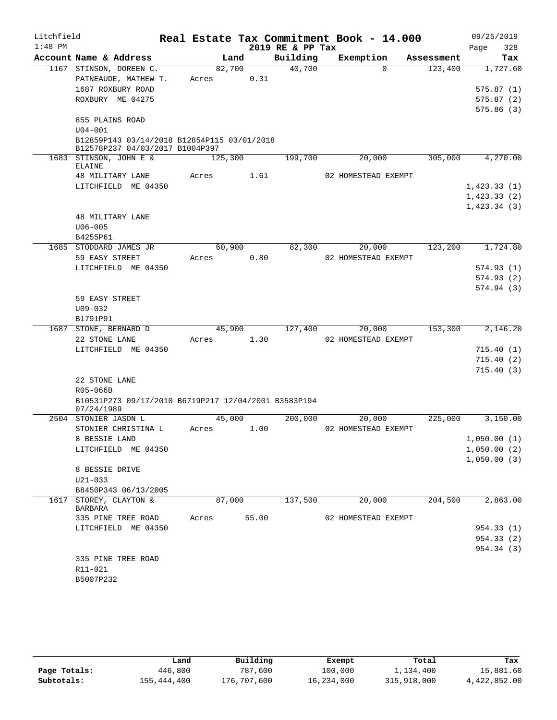| Litchfield |                                                                    |         |       | Real Estate Tax Commitment Book - 14.000 |                     |          |            |      | 09/25/2019                 |
|------------|--------------------------------------------------------------------|---------|-------|------------------------------------------|---------------------|----------|------------|------|----------------------------|
| $1:48$ PM  |                                                                    |         |       | 2019 RE & PP Tax                         |                     |          |            | Page | 328                        |
|            | Account Name & Address                                             | Land    |       | Building                                 | Exemption           |          | Assessment |      | Tax                        |
|            | 1167 STINSON, DOREEN C.                                            | 82,700  |       | 40,700                                   |                     | $\Omega$ | 123,400    |      | 1,727.60                   |
|            | PATNEAUDE, MATHEW T.                                               | Acres   | 0.31  |                                          |                     |          |            |      |                            |
|            | 1687 ROXBURY ROAD                                                  |         |       |                                          |                     |          |            |      | 575.87(1)                  |
|            | ROXBURY ME 04275                                                   |         |       |                                          |                     |          |            |      | 575.87(2)                  |
|            |                                                                    |         |       |                                          |                     |          |            |      | 575.86(3)                  |
|            | 855 PLAINS ROAD<br>$U04 - 001$                                     |         |       |                                          |                     |          |            |      |                            |
|            | B12859P143 03/14/2018 B12854P115 03/01/2018                        |         |       |                                          |                     |          |            |      |                            |
|            | B12578P237 04/03/2017 B1004P397                                    |         |       |                                          |                     |          |            |      |                            |
|            | 1683 STINSON, JOHN E &<br>ELAINE                                   | 125,300 |       | 199,700                                  |                     | 20,000   | 305,000    |      | 4,270.00                   |
|            | 48 MILITARY LANE                                                   | Acres   | 1.61  |                                          | 02 HOMESTEAD EXEMPT |          |            |      |                            |
|            | LITCHFIELD ME 04350                                                |         |       |                                          |                     |          |            |      | 1,423.33(1)                |
|            |                                                                    |         |       |                                          |                     |          |            |      | 1,423.33(2)                |
|            |                                                                    |         |       |                                          |                     |          |            |      | 1,423.34(3)                |
|            | 48 MILITARY LANE                                                   |         |       |                                          |                     |          |            |      |                            |
|            | $U06 - 005$                                                        |         |       |                                          |                     |          |            |      |                            |
|            | B4255P61                                                           |         |       |                                          |                     |          |            |      |                            |
|            | 1685 STODDARD JAMES JR                                             | 60,900  |       | 82,300                                   |                     | 20,000   | 123,200    |      | 1,724.80                   |
|            | 59 EASY STREET                                                     | Acres   | 0.80  |                                          | 02 HOMESTEAD EXEMPT |          |            |      |                            |
|            | LITCHFIELD ME 04350                                                |         |       |                                          |                     |          |            |      | 574.93(1)<br>574.93(2)     |
|            |                                                                    |         |       |                                          |                     |          |            |      | 574.94(3)                  |
|            | 59 EASY STREET                                                     |         |       |                                          |                     |          |            |      |                            |
|            | $U09 - 032$                                                        |         |       |                                          |                     |          |            |      |                            |
|            | B1791P91                                                           |         |       |                                          |                     |          |            |      |                            |
|            | 1687 STONE, BERNARD D                                              | 45,900  |       | 127,400                                  |                     | 20,000   | 153,300    |      | 2,146.20                   |
|            | 22 STONE LANE                                                      | Acres   | 1.30  |                                          | 02 HOMESTEAD EXEMPT |          |            |      |                            |
|            | LITCHFIELD ME 04350                                                |         |       |                                          |                     |          |            |      | 715.40(1)                  |
|            |                                                                    |         |       |                                          |                     |          |            |      | 715.40(2)                  |
|            |                                                                    |         |       |                                          |                     |          |            |      | 715.40(3)                  |
|            | 22 STONE LANE                                                      |         |       |                                          |                     |          |            |      |                            |
|            | R05-066B                                                           |         |       |                                          |                     |          |            |      |                            |
|            | B10531P273 09/17/2010 B6719P217 12/04/2001 B3583P194<br>07/24/1989 |         |       |                                          |                     |          |            |      |                            |
|            | 2504 STONIER JASON L                                               | 45,000  |       | 200,000                                  |                     | 20,000   | 225,000    |      | 3,150.00                   |
|            | STONIER CHRISTINA L                                                | Acres   | 1.00  |                                          | 02 HOMESTEAD EXEMPT |          |            |      |                            |
|            | 8 BESSIE LAND                                                      |         |       |                                          |                     |          |            |      | 1,050.00(1)                |
|            | LITCHFIELD ME 04350                                                |         |       |                                          |                     |          |            |      | 1,050.00(2)<br>1,050.00(3) |
|            | 8 BESSIE DRIVE                                                     |         |       |                                          |                     |          |            |      |                            |
|            | U21-033                                                            |         |       |                                          |                     |          |            |      |                            |
|            | B8450P343 06/13/2005                                               |         |       |                                          |                     |          |            |      |                            |
|            | 1617 STOREY, CLAYTON &<br><b>BARBARA</b>                           | 87,000  |       | 137,500                                  |                     | 20,000   | 204,500    |      | 2,863.00                   |
|            | 335 PINE TREE ROAD                                                 | Acres   | 55.00 |                                          | 02 HOMESTEAD EXEMPT |          |            |      |                            |
|            | LITCHFIELD ME 04350                                                |         |       |                                          |                     |          |            |      | 954.33 (1)                 |
|            |                                                                    |         |       |                                          |                     |          |            |      | 954.33 (2)<br>954.34 (3)   |
|            | 335 PINE TREE ROAD                                                 |         |       |                                          |                     |          |            |      |                            |
|            | R11-021                                                            |         |       |                                          |                     |          |            |      |                            |
|            | B5007P232                                                          |         |       |                                          |                     |          |            |      |                            |
|            |                                                                    |         |       |                                          |                     |          |            |      |                            |

|              | Land        | Building    | Exempt     | Total       | Tax          |
|--------------|-------------|-------------|------------|-------------|--------------|
| Page Totals: | 446,800     | 787,600     | 100,000    | 1,134,400   | 15,881.60    |
| Subtotals:   | 155,444,400 | 176,707,600 | 16,234,000 | 315,918,000 | 4,422,852.00 |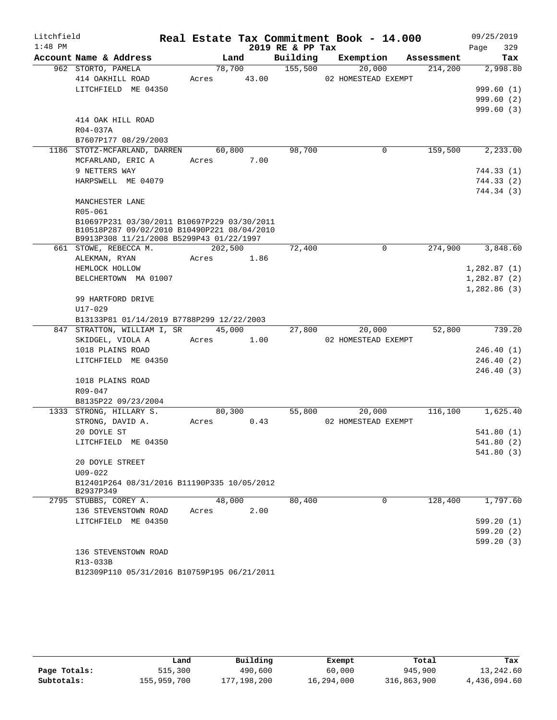| Litchfield |                                                                   |             |      |        |                  | Real Estate Tax Commitment Book - 14.000 |            |      | 09/25/2019  |
|------------|-------------------------------------------------------------------|-------------|------|--------|------------------|------------------------------------------|------------|------|-------------|
| $1:48$ PM  |                                                                   |             |      |        | 2019 RE & PP Tax |                                          |            | Page | 329         |
|            | Account Name & Address                                            |             | Land |        | Building         | Exemption                                | Assessment |      | Tax         |
|            | 962 STORTO, PAMELA                                                |             |      | 78,700 | 155,500          | 20,000                                   | 214,200    |      | 2,998.80    |
|            | 414 OAKHILL ROAD                                                  | Acres 43.00 |      |        |                  | 02 HOMESTEAD EXEMPT                      |            |      |             |
|            | LITCHFIELD ME 04350                                               |             |      |        |                  |                                          |            |      | 999.60 (1)  |
|            |                                                                   |             |      |        |                  |                                          |            |      | 999.60(2)   |
|            | 414 OAK HILL ROAD                                                 |             |      |        |                  |                                          |            |      | 999.60(3)   |
|            | R04-037A                                                          |             |      |        |                  |                                          |            |      |             |
|            | B7607P177 08/29/2003                                              |             |      |        |                  |                                          |            |      |             |
|            | 1186 STOTZ-MCFARLAND, DARREN                                      | 60,800      |      |        | 98,700           | $\mathbf 0$                              | 159,500    |      | 2,233.00    |
|            | MCFARLAND, ERIC A                                                 | Acres       |      | 7.00   |                  |                                          |            |      |             |
|            | 9 NETTERS WAY                                                     |             |      |        |                  |                                          |            |      | 744.33 (1)  |
|            | HARPSWELL ME 04079                                                |             |      |        |                  |                                          |            |      | 744.33 (2)  |
|            |                                                                   |             |      |        |                  |                                          |            |      | 744.34 (3)  |
|            | MANCHESTER LANE                                                   |             |      |        |                  |                                          |            |      |             |
|            | R05-061                                                           |             |      |        |                  |                                          |            |      |             |
|            | B10697P231 03/30/2011 B10697P229 03/30/2011                       |             |      |        |                  |                                          |            |      |             |
|            | B10518P287 09/02/2010 B10490P221 08/04/2010                       |             |      |        |                  |                                          |            |      |             |
|            | B9913P308 11/21/2008 B5299P43 01/22/1997<br>661 STOWE, REBECCA M. | 202,500     |      |        | 72,400           | $\mathbf 0$                              | 274,900    |      | 3,848.60    |
|            | ALEKMAN, RYAN                                                     | Acres 1.86  |      |        |                  |                                          |            |      |             |
|            | HEMLOCK HOLLOW                                                    |             |      |        |                  |                                          |            |      | 1,282.87(1) |
|            | BELCHERTOWN MA 01007                                              |             |      |        |                  |                                          |            |      | 1,282.87(2) |
|            |                                                                   |             |      |        |                  |                                          |            |      | 1,282.86(3) |
|            | 99 HARTFORD DRIVE                                                 |             |      |        |                  |                                          |            |      |             |
|            | $U17 - 029$                                                       |             |      |        |                  |                                          |            |      |             |
|            | B13133P81 01/14/2019 B7788P299 12/22/2003                         |             |      |        |                  |                                          |            |      |             |
|            | 847 STRATTON, WILLIAM I, SR                                       |             |      | 45,000 | 27,800           | 20,000                                   | 52,800     |      | 739.20      |
|            | SKIDGEL, VIOLA A                                                  | Acres 1.00  |      |        |                  | 02 HOMESTEAD EXEMPT                      |            |      |             |
|            | 1018 PLAINS ROAD                                                  |             |      |        |                  |                                          |            |      | 246.40 (1)  |
|            | LITCHFIELD ME 04350                                               |             |      |        |                  |                                          |            |      | 246.40(2)   |
|            |                                                                   |             |      |        |                  |                                          |            |      | 246.40(3)   |
|            | 1018 PLAINS ROAD                                                  |             |      |        |                  |                                          |            |      |             |
|            | R09-047                                                           |             |      |        |                  |                                          |            |      |             |
|            | B8135P22 09/23/2004                                               |             |      |        |                  |                                          |            |      |             |
|            | 1333 STRONG, HILLARY S.                                           | 80,300      |      |        | 55,800           | 20,000<br>02 HOMESTEAD EXEMPT            | 116,100    |      | 1,625.40    |
|            | STRONG, DAVID A.<br>20 DOYLE ST                                   | Acres 0.43  |      |        |                  |                                          |            |      | 541.80(1)   |
|            | LITCHFIELD ME 04350                                               |             |      |        |                  |                                          |            |      | 541.80(2)   |
|            |                                                                   |             |      |        |                  |                                          |            |      | 541.80 (3)  |
|            | 20 DOYLE STREET                                                   |             |      |        |                  |                                          |            |      |             |
|            | $U09 - 022$                                                       |             |      |        |                  |                                          |            |      |             |
|            | B12401P264 08/31/2016 B11190P335 10/05/2012                       |             |      |        |                  |                                          |            |      |             |
|            | B2937P349                                                         |             |      |        |                  |                                          |            |      |             |
|            | 2795 STUBBS, COREY A.                                             | 48,000      |      |        | 80,400           | $\Omega$                                 | 128,400    |      | 1,797.60    |
|            | 136 STEVENSTOWN ROAD                                              | Acres       |      | 2.00   |                  |                                          |            |      |             |
|            | LITCHFIELD ME 04350                                               |             |      |        |                  |                                          |            |      | 599.20(1)   |
|            |                                                                   |             |      |        |                  |                                          |            |      | 599.20(2)   |
|            |                                                                   |             |      |        |                  |                                          |            |      | 599.20(3)   |
|            | 136 STEVENSTOWN ROAD                                              |             |      |        |                  |                                          |            |      |             |
|            | R13-033B                                                          |             |      |        |                  |                                          |            |      |             |
|            | B12309P110 05/31/2016 B10759P195 06/21/2011                       |             |      |        |                  |                                          |            |      |             |

|              | Land        | Building    | Exempt     | Total       | Tax          |
|--------------|-------------|-------------|------------|-------------|--------------|
| Page Totals: | 515,300     | 490,600     | 60,000     | 945,900     | 13,242.60    |
| Subtotals:   | 155,959,700 | 177,198,200 | 16,294,000 | 316,863,900 | 4,436,094.60 |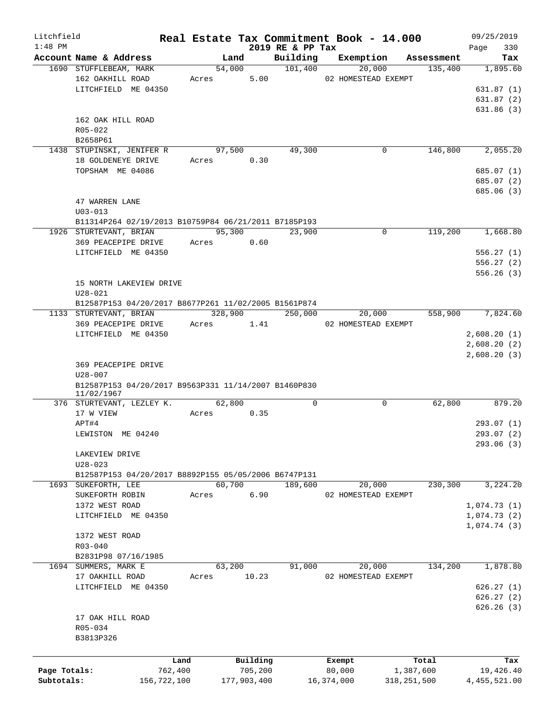| Litchfield   |                                                                    |         |             |                              | Real Estate Tax Commitment Book - 14.000 |             | 09/25/2019         |
|--------------|--------------------------------------------------------------------|---------|-------------|------------------------------|------------------------------------------|-------------|--------------------|
| $1:48$ PM    | Account Name & Address                                             | Land    |             | 2019 RE & PP Tax<br>Building | Exemption                                | Assessment  | 330<br>Page<br>Tax |
|              | 1690 STUFFLEBEAM, MARK                                             | 54,000  |             | 101,400                      | 20,000                                   | 135,400     | 1,895.60           |
|              | 162 OAKHILL ROAD                                                   | Acres   | 5.00        |                              | 02 HOMESTEAD EXEMPT                      |             |                    |
|              | LITCHFIELD ME 04350                                                |         |             |                              |                                          |             | 631.87(1)          |
|              |                                                                    |         |             |                              |                                          |             | 631.87(2)          |
|              |                                                                    |         |             |                              |                                          |             | 631.86(3)          |
|              | 162 OAK HILL ROAD                                                  |         |             |                              |                                          |             |                    |
|              | R05-022                                                            |         |             |                              |                                          |             |                    |
|              | B2658P61                                                           |         |             |                              |                                          |             |                    |
|              | 1438 STUPINSKI, JENIFER R                                          | 97,500  |             | 49,300                       | 0                                        | 146,800     | 2,055.20           |
|              | 18 GOLDENEYE DRIVE                                                 | Acres   | 0.30        |                              |                                          |             |                    |
|              | TOPSHAM ME 04086                                                   |         |             |                              |                                          |             | 685.07 (1)         |
|              |                                                                    |         |             |                              |                                          |             | 685.07 (2)         |
|              |                                                                    |         |             |                              |                                          |             | 685.06 (3)         |
|              | 47 WARREN LANE                                                     |         |             |                              |                                          |             |                    |
|              | $U03 - 013$                                                        |         |             |                              |                                          |             |                    |
|              | B11314P264 02/19/2013 B10759P84 06/21/2011 B7185P193               |         |             |                              |                                          |             |                    |
|              | 1926 STURTEVANT, BRIAN                                             | 95,300  |             | 23,900                       | 0                                        | 119,200     | 1,668.80           |
|              | 369 PEACEPIPE DRIVE                                                | Acres   | 0.60        |                              |                                          |             |                    |
|              | LITCHFIELD ME 04350                                                |         |             |                              |                                          |             | 556.27(1)          |
|              |                                                                    |         |             |                              |                                          |             | 556.27(2)          |
|              |                                                                    |         |             |                              |                                          |             | 556.26(3)          |
|              | 15 NORTH LAKEVIEW DRIVE                                            |         |             |                              |                                          |             |                    |
|              | $U28 - 021$                                                        |         |             |                              |                                          |             |                    |
|              | B12587P153 04/20/2017 B8677P261 11/02/2005 B1561P874               |         |             |                              |                                          |             |                    |
|              | 1133 STURTEVANT, BRIAN                                             | 328,900 |             | 250,000                      | 20,000                                   | 558,900     | 7,824.60           |
|              | 369 PEACEPIPE DRIVE                                                |         | 1.41        |                              | 02 HOMESTEAD EXEMPT                      |             |                    |
|              |                                                                    | Acres   |             |                              |                                          |             |                    |
|              | LITCHFIELD ME 04350                                                |         |             |                              |                                          |             | 2,608.20(1)        |
|              |                                                                    |         |             |                              |                                          |             | 2,608.20(2)        |
|              |                                                                    |         |             |                              |                                          |             | 2,608.20(3)        |
|              | 369 PEACEPIPE DRIVE                                                |         |             |                              |                                          |             |                    |
|              | $U28 - 007$                                                        |         |             |                              |                                          |             |                    |
|              | B12587P153 04/20/2017 B9563P331 11/14/2007 B1460P830<br>11/02/1967 |         |             |                              |                                          |             |                    |
|              | 376 STURTEVANT, LEZLEY K.                                          | 62,800  |             | $\mathbf 0$                  | 0                                        | 62,800      | 879.20             |
|              | 17 W VIEW                                                          | Acres   | 0.35        |                              |                                          |             |                    |
|              | APT#4                                                              |         |             |                              |                                          |             | 293.07 (1)         |
|              | LEWISTON ME 04240                                                  |         |             |                              |                                          |             | 293.07 (2)         |
|              |                                                                    |         |             |                              |                                          |             | 293.06 (3)         |
|              | LAKEVIEW DRIVE                                                     |         |             |                              |                                          |             |                    |
|              | $U28 - 023$                                                        |         |             |                              |                                          |             |                    |
|              | B12587P153 04/20/2017 B8892P155 05/05/2006 B6747P131               |         |             |                              |                                          |             |                    |
|              | 1693 SUKEFORTH, LEE                                                | 60,700  |             | 189,600                      | 20,000                                   | 230,300     | 3,224.20           |
|              | SUKEFORTH ROBIN                                                    | Acres   | 6.90        |                              | 02 HOMESTEAD EXEMPT                      |             |                    |
|              | 1372 WEST ROAD                                                     |         |             |                              |                                          |             | 1,074.73(1)        |
|              | LITCHFIELD ME 04350                                                |         |             |                              |                                          |             | 1,074.73(2)        |
|              |                                                                    |         |             |                              |                                          |             | 1,074.74(3)        |
|              | 1372 WEST ROAD                                                     |         |             |                              |                                          |             |                    |
|              | $R03 - 040$                                                        |         |             |                              |                                          |             |                    |
|              |                                                                    |         |             |                              |                                          |             |                    |
|              | B2831P98 07/16/1985                                                | 63,200  |             | 91,000                       |                                          | 134,200     | 1,878.80           |
|              | 1694 SUMMERS, MARK E                                               |         |             |                              | 20,000                                   |             |                    |
|              | 17 OAKHILL ROAD                                                    | Acres   | 10.23       |                              | 02 HOMESTEAD EXEMPT                      |             |                    |
|              | LITCHFIELD ME 04350                                                |         |             |                              |                                          |             | 626.27(1)          |
|              |                                                                    |         |             |                              |                                          |             | 626.27(2)          |
|              |                                                                    |         |             |                              |                                          |             | 626.26(3)          |
|              | 17 OAK HILL ROAD                                                   |         |             |                              |                                          |             |                    |
|              | R05-034                                                            |         |             |                              |                                          |             |                    |
|              | B3813P326                                                          |         |             |                              |                                          |             |                    |
|              |                                                                    |         |             |                              |                                          |             |                    |
|              |                                                                    | Land    | Building    |                              | Exempt                                   | Total       | Tax                |
| Page Totals: | 762,400                                                            |         | 705,200     |                              | 80,000                                   | 1,387,600   | 19,426.40          |
| Subtotals:   | 156,722,100                                                        |         | 177,903,400 |                              | 16,374,000                               | 318,251,500 | 4, 455, 521.00     |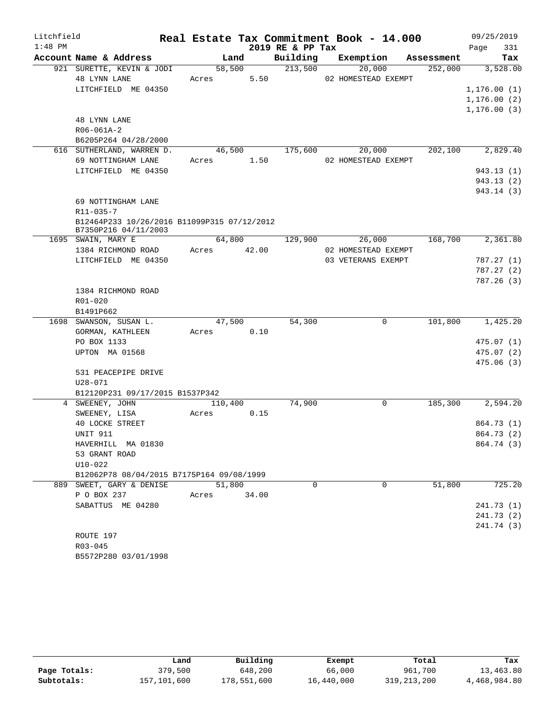| Litchfield |                                                                     |             |        |                  | Real Estate Tax Commitment Book - 14.000 |            | 09/25/2019   |
|------------|---------------------------------------------------------------------|-------------|--------|------------------|------------------------------------------|------------|--------------|
| $1:48$ PM  |                                                                     |             |        | 2019 RE & PP Tax |                                          |            | 331<br>Page  |
|            | Account Name & Address                                              | Land        |        | Building         | Exemption                                | Assessment | Tax          |
|            | 921 SURETTE, KEVIN & JODI                                           | 58,500      |        | 213,500          | 20,000                                   | 252,000    | 3,528.00     |
|            | 48 LYNN LANE                                                        | Acres       | 5.50   |                  | 02 HOMESTEAD EXEMPT                      |            |              |
|            | LITCHFIELD ME 04350                                                 |             |        |                  |                                          |            | 1, 176.00(1) |
|            |                                                                     |             |        |                  |                                          |            | 1, 176.00(2) |
|            |                                                                     |             |        |                  |                                          |            | 1, 176.00(3) |
|            | 48 LYNN LANE                                                        |             |        |                  |                                          |            |              |
|            | $R06 - 061A - 2$                                                    |             |        |                  |                                          |            |              |
|            | B6205P264 04/28/2000                                                |             |        |                  |                                          |            |              |
|            | 616 SUTHERLAND, WARREN D.                                           | 46,500      |        | 175,600          | 20,000                                   | 202,100    | 2,829.40     |
|            | 69 NOTTINGHAM LANE                                                  | Acres 1.50  |        |                  | 02 HOMESTEAD EXEMPT                      |            |              |
|            | LITCHFIELD ME 04350                                                 |             |        |                  |                                          |            | 943.13(1)    |
|            |                                                                     |             |        |                  |                                          |            | 943.13(2)    |
|            |                                                                     |             |        |                  |                                          |            | 943.14 (3)   |
|            | 69 NOTTINGHAM LANE                                                  |             |        |                  |                                          |            |              |
|            | R11-035-7                                                           |             |        |                  |                                          |            |              |
|            | B12464P233 10/26/2016 B11099P315 07/12/2012<br>B7350P216 04/11/2003 |             |        |                  |                                          |            |              |
|            | 1695 SWAIN, MARY E                                                  |             | 64,800 | 129,900          | 26,000                                   | 168,700    | 2,361.80     |
|            | 1384 RICHMOND ROAD                                                  | Acres 42.00 |        |                  | 02 HOMESTEAD EXEMPT                      |            |              |
|            | LITCHFIELD ME 04350                                                 |             |        |                  | 03 VETERANS EXEMPT                       |            | 787.27(1)    |
|            |                                                                     |             |        |                  |                                          |            | 787.27(2)    |
|            |                                                                     |             |        |                  |                                          |            | 787.26(3)    |
|            | 1384 RICHMOND ROAD                                                  |             |        |                  |                                          |            |              |
|            | R01-020                                                             |             |        |                  |                                          |            |              |
|            | B1491P662                                                           |             |        |                  |                                          |            |              |
|            | 1698 SWANSON, SUSAN L.                                              | 47,500      |        | 54,300           | $\mathbf{0}$                             | 101,800    | 1,425.20     |
|            | GORMAN, KATHLEEN                                                    | Acres 0.10  |        |                  |                                          |            |              |
|            | PO BOX 1133                                                         |             |        |                  |                                          |            | 475.07(1)    |
|            | UPTON MA 01568                                                      |             |        |                  |                                          |            | 475.07(2)    |
|            |                                                                     |             |        |                  |                                          |            | 475.06(3)    |
|            | 531 PEACEPIPE DRIVE                                                 |             |        |                  |                                          |            |              |
|            | U28-071                                                             |             |        |                  |                                          |            |              |
|            | B12120P231 09/17/2015 B1537P342                                     |             |        |                  |                                          |            |              |
|            | 4 SWEENEY, JOHN                                                     | 110,400     |        | 74,900           | $\overline{0}$                           | 185,300    | 2,594.20     |
|            | SWEENEY, LISA                                                       | Acres       | 0.15   |                  |                                          |            |              |
|            | 40 LOCKE STREET                                                     |             |        |                  |                                          |            | 864.73 (1)   |
|            | UNIT 911                                                            |             |        |                  |                                          |            | 864.73 (2)   |
|            | HAVERHILL MA 01830                                                  |             |        |                  |                                          |            | 864.74 (3)   |
|            | 53 GRANT ROAD                                                       |             |        |                  |                                          |            |              |
|            | $U10-022$                                                           |             |        |                  |                                          |            |              |
|            | B12062P78 08/04/2015 B7175P164 09/08/1999                           |             |        |                  |                                          |            |              |
|            | 889 SWEET, GARY & DENISE                                            | 51,800      |        | 0                | 0                                        | 51,800     | 725.20       |
|            | P O BOX 237                                                         | Acres       | 34.00  |                  |                                          |            |              |
|            | SABATTUS ME 04280                                                   |             |        |                  |                                          |            | 241.73 (1)   |
|            |                                                                     |             |        |                  |                                          |            | 241.73 (2)   |
|            |                                                                     |             |        |                  |                                          |            | 241.74 (3)   |
|            | ROUTE 197                                                           |             |        |                  |                                          |            |              |
|            | R03-045                                                             |             |        |                  |                                          |            |              |

B5572P280 03/01/1998

|              | Land        | Building    | Exempt     | Total       | Tax          |
|--------------|-------------|-------------|------------|-------------|--------------|
| Page Totals: | 379,500     | 648,200     | 66,000     | 961,700     | 13,463.80    |
| Subtotals:   | 157,101,600 | 178,551,600 | 16,440,000 | 319,213,200 | 4,468,984.80 |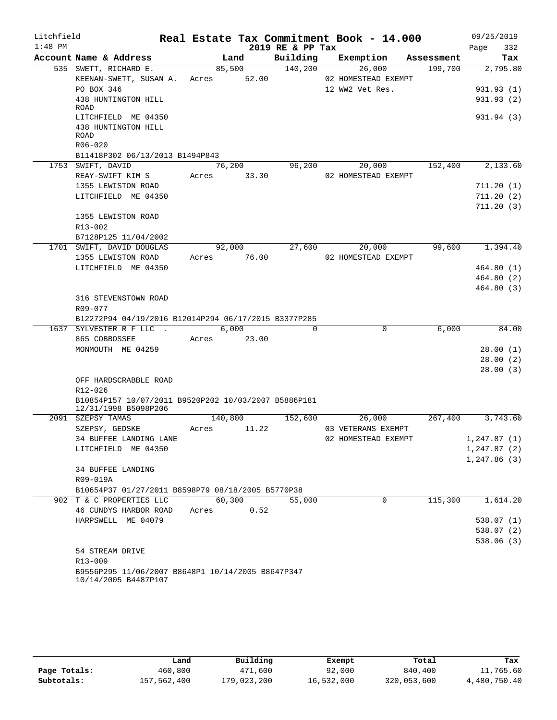| Litchfield |                                                                                  |             |        |                  | Real Estate Tax Commitment Book - 14.000 |            | 09/25/2019           |
|------------|----------------------------------------------------------------------------------|-------------|--------|------------------|------------------------------------------|------------|----------------------|
| $1:48$ PM  |                                                                                  |             |        | 2019 RE & PP Tax |                                          |            | Page<br>332          |
|            | Account Name & Address                                                           |             | Land   | Building         | Exemption                                | Assessment | Tax                  |
|            | 535 SWETT, RICHARD E.                                                            | 85,500      |        | 140,200          | 26,000                                   | 199,700    | 2,795.80             |
|            | KEENAN-SWETT, SUSAN A. Acres 52.00                                               |             |        |                  | 02 HOMESTEAD EXEMPT                      |            |                      |
|            | PO BOX 346                                                                       |             |        |                  | 12 WW2 Vet Res.                          |            | 931.93 (1)           |
|            | 438 HUNTINGTON HILL<br>ROAD                                                      |             |        |                  |                                          |            | 931.93 (2)           |
|            | LITCHFIELD ME 04350                                                              |             |        |                  |                                          |            | 931.94 (3)           |
|            | 438 HUNTINGTON HILL                                                              |             |        |                  |                                          |            |                      |
|            | <b>ROAD</b>                                                                      |             |        |                  |                                          |            |                      |
|            | $R06 - 020$                                                                      |             |        |                  |                                          |            |                      |
|            | B11418P302 06/13/2013 B1494P843                                                  |             |        |                  |                                          |            |                      |
|            | 1753 SWIFT, DAVID                                                                |             | 76,200 | 96,200           | 20,000                                   | 152,400    | 2,133.60             |
|            | REAY-SWIFT KIM S                                                                 | Acres 33.30 |        |                  | 02 HOMESTEAD EXEMPT                      |            |                      |
|            | 1355 LEWISTON ROAD                                                               |             |        |                  |                                          |            | 711.20(1)            |
|            | LITCHFIELD ME 04350                                                              |             |        |                  |                                          |            | 711.20(2)            |
|            |                                                                                  |             |        |                  |                                          |            | 711.20(3)            |
|            | 1355 LEWISTON ROAD                                                               |             |        |                  |                                          |            |                      |
|            | $R13 - 002$                                                                      |             |        |                  |                                          |            |                      |
|            | B7128P125 11/04/2002                                                             |             |        |                  |                                          |            |                      |
|            | 1701 SWIFT, DAVID DOUGLAS                                                        |             | 92,000 | 27,600           | 20,000                                   | 99,600     | 1,394.40             |
|            | 1355 LEWISTON ROAD                                                               | Acres 76.00 |        |                  | 02 HOMESTEAD EXEMPT                      |            |                      |
|            | LITCHFIELD ME 04350                                                              |             |        |                  |                                          |            | 464.80(1)            |
|            |                                                                                  |             |        |                  |                                          |            | 464.80 (2)           |
|            |                                                                                  |             |        |                  |                                          |            | 464.80(3)            |
|            | 316 STEVENSTOWN ROAD                                                             |             |        |                  |                                          |            |                      |
|            | R09-077                                                                          |             |        |                  |                                          |            |                      |
|            | B12272P94 04/19/2016 B12014P294 06/17/2015 B3377P285<br>1637 SYLVESTER R F LLC . |             | 6,000  | $\Omega$         | $\mathbf 0$                              | 6,000      | 84.00                |
|            |                                                                                  |             |        |                  |                                          |            |                      |
|            | 865 COBBOSSEE                                                                    | Acres 23.00 |        |                  |                                          |            |                      |
|            | MONMOUTH ME 04259                                                                |             |        |                  |                                          |            | 28.00(1)<br>28.00(2) |
|            |                                                                                  |             |        |                  |                                          |            | 28.00(3)             |
|            | OFF HARDSCRABBLE ROAD                                                            |             |        |                  |                                          |            |                      |
|            | R12-026                                                                          |             |        |                  |                                          |            |                      |
|            | B10854P157 10/07/2011 B9520P202 10/03/2007 B5886P181                             |             |        |                  |                                          |            |                      |
|            | 12/31/1998 B5098P206                                                             |             |        |                  |                                          |            |                      |
|            | 2091 SZEPSY TAMAS                                                                | 140,800     |        | 152,600          | 26,000                                   | 267,400    | 3,743.60             |
|            | SZEPSY, GEDSKE                                                                   | Acres       | 11.22  |                  | 03 VETERANS EXEMPT                       |            |                      |
|            | 34 BUFFEE LANDING LANE                                                           |             |        |                  | 02 HOMESTEAD EXEMPT                      |            | 1,247.87 (1)         |
|            | LITCHFIELD ME 04350                                                              |             |        |                  |                                          |            | 1, 247.87(2)         |
|            |                                                                                  |             |        |                  |                                          |            | 1,247.86(3)          |
|            | <b>34 BUFFEE LANDING</b>                                                         |             |        |                  |                                          |            |                      |
|            | R09-019A                                                                         |             |        |                  |                                          |            |                      |
|            | B10654P37 01/27/2011 B8598P79 08/18/2005 B5770P38                                |             |        |                  |                                          |            |                      |
|            | 902 T & C PROPERTIES LLC                                                         | 60,300      |        | 55,000           | $\mathbf 0$                              | 115,300    | 1,614.20             |
|            | 46 CUNDYS HARBOR ROAD                                                            | Acres       | 0.52   |                  |                                          |            |                      |
|            | HARPSWELL ME 04079                                                               |             |        |                  |                                          |            | 538.07(1)            |
|            |                                                                                  |             |        |                  |                                          |            | 538.07(2)            |
|            |                                                                                  |             |        |                  |                                          |            | 538.06(3)            |
|            | 54 STREAM DRIVE                                                                  |             |        |                  |                                          |            |                      |
|            | R13-009                                                                          |             |        |                  |                                          |            |                      |
|            | B9556P295 11/06/2007 B8648P1 10/14/2005 B8647P347<br>10/14/2005 B4487P107        |             |        |                  |                                          |            |                      |

|              | Land        | Building    | Exempt     | Total       | Tax          |
|--------------|-------------|-------------|------------|-------------|--------------|
| Page Totals: | 460,800     | 471,600     | 92,000     | 840,400     | 11,765.60    |
| Subtotals:   | 157,562,400 | 179,023,200 | 16,532,000 | 320,053,600 | 4,480,750.40 |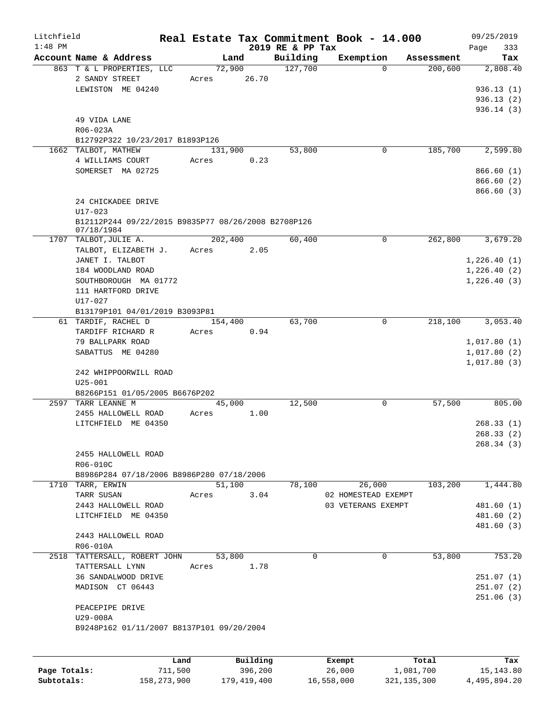| Litchfield |                                                                   |       |                |                     | Real Estate Tax Commitment Book - 14.000 |            | 09/25/2019         |
|------------|-------------------------------------------------------------------|-------|----------------|---------------------|------------------------------------------|------------|--------------------|
| $1:48$ PM  | Account Name & Address                                            |       |                | 2019 RE & PP Tax    | Exemption                                | Assessment | 333<br>Page<br>Tax |
|            | 863 T & L PROPERTIES, LLC                                         |       | Land<br>72,900 | Building<br>127,700 | $\Omega$                                 | 200,600    | 2,808.40           |
|            | 2 SANDY STREET                                                    | Acres | 26.70          |                     |                                          |            |                    |
|            | LEWISTON ME 04240                                                 |       |                |                     |                                          |            | 936.13(1)          |
|            |                                                                   |       |                |                     |                                          |            | 936.13(2)          |
|            |                                                                   |       |                |                     |                                          |            | 936.14(3)          |
|            | 49 VIDA LANE                                                      |       |                |                     |                                          |            |                    |
|            | R06-023A                                                          |       |                |                     |                                          |            |                    |
|            | B12792P322 10/23/2017 B1893P126                                   |       |                |                     |                                          |            |                    |
|            | 1662 TALBOT, MATHEW                                               |       | 131,900        | 53,800              | 0                                        | 185,700    | 2,599.80           |
|            | 4 WILLIAMS COURT                                                  | Acres | 0.23           |                     |                                          |            |                    |
|            | SOMERSET MA 02725                                                 |       |                |                     |                                          |            | 866.60(1)          |
|            |                                                                   |       |                |                     |                                          |            | 866.60(2)          |
|            |                                                                   |       |                |                     |                                          |            | 866.60(3)          |
|            | 24 CHICKADEE DRIVE                                                |       |                |                     |                                          |            |                    |
|            | $U17 - 023$                                                       |       |                |                     |                                          |            |                    |
|            | B12112P244 09/22/2015 B9835P77 08/26/2008 B2708P126<br>07/18/1984 |       |                |                     |                                          |            |                    |
|            | 1707 TALBOT, JULIE A.                                             |       | 202,400        | 60,400              | 0                                        | 262,800    | 3,679.20           |
|            | TALBOT, ELIZABETH J.                                              | Acres | 2.05           |                     |                                          |            |                    |
|            | JANET I. TALBOT                                                   |       |                |                     |                                          |            | 1,226.40(1)        |
|            | 184 WOODLAND ROAD                                                 |       |                |                     |                                          |            | 1,226.40(2)        |
|            | SOUTHBOROUGH MA 01772                                             |       |                |                     |                                          |            | 1,226.40(3)        |
|            | 111 HARTFORD DRIVE                                                |       |                |                     |                                          |            |                    |
|            | U17-027                                                           |       |                |                     |                                          |            |                    |
|            | B13179P101 04/01/2019 B3093P81                                    |       |                |                     |                                          |            |                    |
|            | 61 TARDIF, RACHEL D                                               |       | 154,400        | 63,700              | 0                                        | 218,100    | 3,053.40           |
|            | TARDIFF RICHARD R                                                 | Acres | 0.94           |                     |                                          |            |                    |
|            | 79 BALLPARK ROAD                                                  |       |                |                     |                                          |            | 1,017.80(1)        |
|            | SABATTUS ME 04280                                                 |       |                |                     |                                          |            | 1,017.80(2)        |
|            |                                                                   |       |                |                     |                                          |            | 1,017.80(3)        |
|            | 242 WHIPPOORWILL ROAD                                             |       |                |                     |                                          |            |                    |
|            | $U25 - 001$                                                       |       |                |                     |                                          |            |                    |
|            | B8266P151 01/05/2005 B6676P202<br>2597 TARR LEANNE M              |       | 45,000         | 12,500              | 0                                        | 57,500     | 805.00             |
|            | 2455 HALLOWELL ROAD                                               | Acres | 1.00           |                     |                                          |            |                    |
|            | LITCHFIELD ME 04350                                               |       |                |                     |                                          |            | 268.33(1)          |
|            |                                                                   |       |                |                     |                                          |            | 268.33(2)          |
|            |                                                                   |       |                |                     |                                          |            | 268.34(3)          |
|            | 2455 HALLOWELL ROAD                                               |       |                |                     |                                          |            |                    |
|            | R06-010C                                                          |       |                |                     |                                          |            |                    |
|            | B8986P284 07/18/2006 B8986P280 07/18/2006                         |       |                |                     |                                          |            |                    |
|            | 1710 TARR, ERWIN                                                  |       | 51,100         | 78,100              | 26,000                                   | 103,200    | 1,444.80           |
|            | TARR SUSAN                                                        | Acres | 3.04           |                     | 02 HOMESTEAD EXEMPT                      |            |                    |
|            | 2443 HALLOWELL ROAD                                               |       |                |                     | 03 VETERANS EXEMPT                       |            | 481.60 (1)         |
|            | LITCHFIELD ME 04350                                               |       |                |                     |                                          |            | 481.60(2)          |
|            |                                                                   |       |                |                     |                                          |            | 481.60 (3)         |
|            | 2443 HALLOWELL ROAD                                               |       |                |                     |                                          |            |                    |
|            | R06-010A                                                          |       |                |                     |                                          |            |                    |
|            | 2518 TATTERSALL, ROBERT JOHN                                      |       | 53,800         | $\Omega$            | 0                                        | 53,800     | 753.20             |
|            | TATTERSALL LYNN                                                   | Acres | 1.78           |                     |                                          |            |                    |
|            | 36 SANDALWOOD DRIVE                                               |       |                |                     |                                          |            | 251.07(1)          |
|            | MADISON CT 06443                                                  |       |                |                     |                                          |            | 251.07 (2)         |
|            |                                                                   |       |                |                     |                                          |            | 251.06(3)          |
|            | PEACEPIPE DRIVE<br>U29-008A                                       |       |                |                     |                                          |            |                    |
|            | B9248P162 01/11/2007 B8137P101 09/20/2004                         |       |                |                     |                                          |            |                    |
|            |                                                                   |       |                |                     |                                          |            |                    |
|            |                                                                   |       |                |                     |                                          |            |                    |
|            |                                                                   | Land  | Building       |                     | Exempt                                   | Total      | Tax                |
|            |                                                                   |       |                |                     |                                          |            |                    |

|              | uanu        | <b>DULLULIN</b> | <b>BACILDL</b> | TOLAT       | ⊥a∧          |
|--------------|-------------|-----------------|----------------|-------------|--------------|
| Page Totals: | 711,500     | 396,200         | 26,000         | 1,081,700   | 15, 143.80   |
| Subtotals:   | 158,273,900 | 179,419,400     | 16,558,000     | 321,135,300 | 4,495,894.20 |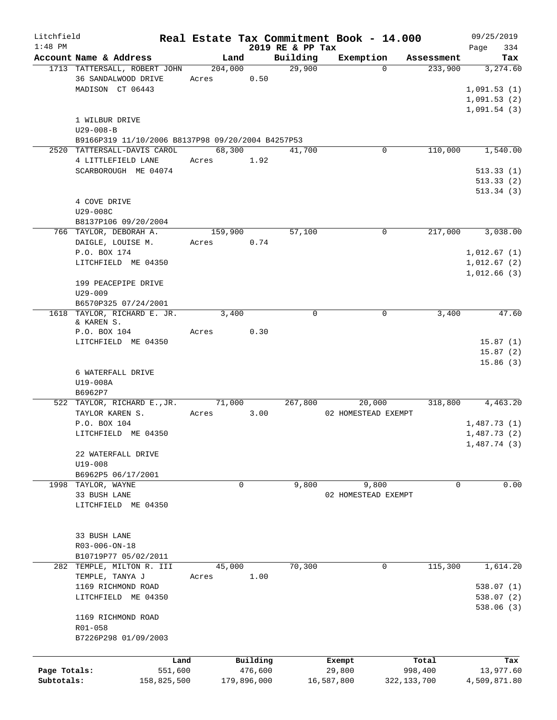| Litchfield   |                                                        |                  |             |                    | Real Estate Tax Commitment Book - 14.000 |              |            | 09/25/2019                 |
|--------------|--------------------------------------------------------|------------------|-------------|--------------------|------------------------------------------|--------------|------------|----------------------------|
| $1:48$ PM    |                                                        |                  |             | 2019 RE & PP Tax   |                                          |              | Assessment | 334<br>Page                |
|              | Account Name & Address<br>1713 TATTERSALL, ROBERT JOHN | Land<br>204,000  |             | Building<br>29,900 | Exemption                                | $\mathbf{0}$ | 233,900    | Tax<br>3,274.60            |
|              | 36 SANDALWOOD DRIVE<br>MADISON CT 06443                | Acres            | 0.50        |                    |                                          |              |            | 1,091.53(1)<br>1,091.53(2) |
|              |                                                        |                  |             |                    |                                          |              |            | 1,091.54(3)                |
|              | 1 WILBUR DRIVE<br>$U29 - 008 - B$                      |                  |             |                    |                                          |              |            |                            |
|              | B9166P319 11/10/2006 B8137P98 09/20/2004 B4257P53      |                  |             |                    |                                          |              |            |                            |
|              | 2520 TATTERSALL-DAVIS CAROL                            | 68,300           |             | 41,700             |                                          | 0            | 110,000    | 1,540.00                   |
|              | 4 LITTLEFIELD LANE                                     | Acres            | 1.92        |                    |                                          |              |            |                            |
|              | SCARBOROUGH ME 04074                                   |                  |             |                    |                                          |              |            | 513.33(1)                  |
|              |                                                        |                  |             |                    |                                          |              |            | 513.33(2)<br>513.34(3)     |
|              | 4 COVE DRIVE                                           |                  |             |                    |                                          |              |            |                            |
|              | U29-008C                                               |                  |             |                    |                                          |              |            |                            |
|              | B8137P106 09/20/2004                                   |                  |             |                    |                                          |              |            |                            |
|              | 766 TAYLOR, DEBORAH A.                                 | 159,900<br>Acres |             | 57,100             |                                          | $\mathbf 0$  | 217,000    | 3,038.00                   |
|              | DAIGLE, LOUISE M.<br>P.O. BOX 174                      |                  | 0.74        |                    |                                          |              |            | 1,012.67(1)                |
|              | LITCHFIELD ME 04350                                    |                  |             |                    |                                          |              |            | 1,012.67(2)                |
|              |                                                        |                  |             |                    |                                          |              |            | 1,012.66(3)                |
|              | 199 PEACEPIPE DRIVE                                    |                  |             |                    |                                          |              |            |                            |
|              | $U29 - 009$                                            |                  |             |                    |                                          |              |            |                            |
|              | B6570P325 07/24/2001<br>1618 TAYLOR, RICHARD E. JR.    | 3,400            |             | $\mathbf 0$        |                                          | 0            | 3,400      | 47.60                      |
|              | & KAREN S.                                             |                  |             |                    |                                          |              |            |                            |
|              | P.O. BOX 104                                           | Acres            | 0.30        |                    |                                          |              |            |                            |
|              | LITCHFIELD ME 04350                                    |                  |             |                    |                                          |              |            | 15.87(1)<br>15.87(2)       |
|              |                                                        |                  |             |                    |                                          |              |            | 15.86(3)                   |
|              | 6 WATERFALL DRIVE                                      |                  |             |                    |                                          |              |            |                            |
|              | U19-008A                                               |                  |             |                    |                                          |              |            |                            |
|              | B6962P7<br>522 TAYLOR, RICHARD E., JR.                 | 71,000           |             | 267,800            | 20,000                                   |              | 318,800    | 4,463.20                   |
|              | TAYLOR KAREN S.                                        | Acres            | 3.00        |                    | 02 HOMESTEAD EXEMPT                      |              |            |                            |
|              | P.O. BOX 104                                           |                  |             |                    |                                          |              |            | 1,487.73(1)                |
|              | LITCHFIELD ME 04350                                    |                  |             |                    |                                          |              |            | 1,487.73(2)                |
|              |                                                        |                  |             |                    |                                          |              |            | 1,487.74 (3)               |
|              | 22 WATERFALL DRIVE<br>$U19 - 008$                      |                  |             |                    |                                          |              |            |                            |
|              | B6962P5 06/17/2001                                     |                  |             |                    |                                          |              |            |                            |
|              | 1998 TAYLOR, WAYNE                                     | 0                |             | 9,800              | 9,800                                    |              | 0          | 0.00                       |
|              | 33 BUSH LANE                                           |                  |             |                    | 02 HOMESTEAD EXEMPT                      |              |            |                            |
|              | LITCHFIELD ME 04350                                    |                  |             |                    |                                          |              |            |                            |
|              |                                                        |                  |             |                    |                                          |              |            |                            |
|              | 33 BUSH LANE                                           |                  |             |                    |                                          |              |            |                            |
|              | R03-006-ON-18                                          |                  |             |                    |                                          |              |            |                            |
|              | B10719P77 05/02/2011<br>282 TEMPLE, MILTON R. III      | 45,000           |             | 70,300             |                                          | 0            | 115,300    | 1,614.20                   |
|              | TEMPLE, TANYA J                                        | Acres            | 1.00        |                    |                                          |              |            |                            |
|              | 1169 RICHMOND ROAD                                     |                  |             |                    |                                          |              |            | 538.07(1)                  |
|              | LITCHFIELD ME 04350                                    |                  |             |                    |                                          |              |            | 538.07(2)                  |
|              |                                                        |                  |             |                    |                                          |              |            | 538.06 (3)                 |
|              | 1169 RICHMOND ROAD<br>R01-058                          |                  |             |                    |                                          |              |            |                            |
|              | B7226P298 01/09/2003                                   |                  |             |                    |                                          |              |            |                            |
|              |                                                        |                  |             |                    |                                          |              |            |                            |
|              | Land                                                   |                  | Building    |                    | Exempt                                   |              | Total      | Tax                        |
| Page Totals: | 551,600                                                |                  | 476,600     |                    | 29,800                                   |              | 998,400    | 13,977.60                  |
| Subtotals:   | 158,825,500                                            |                  | 179,896,000 |                    | 16,587,800                               | 322,133,700  |            | 4,509,871.80               |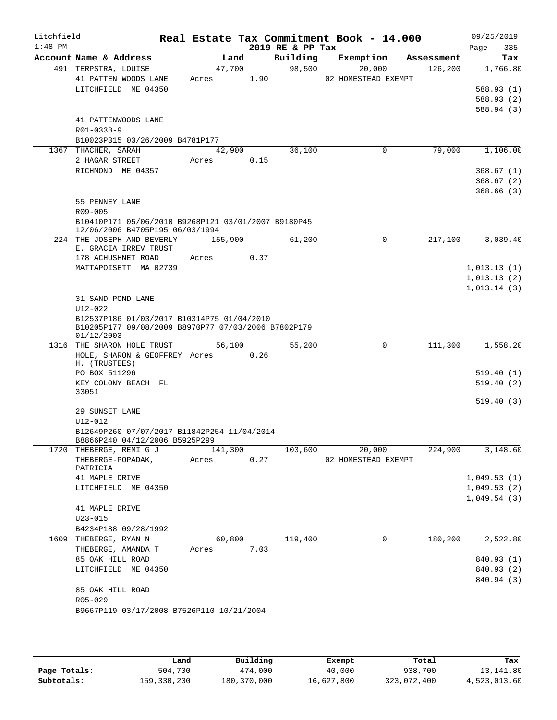| Litchfield<br>$1:48$ PM |                                                                   |            |         |      | 2019 RE & PP Tax | Real Estate Tax Commitment Book - 14.000 |            | 09/25/2019<br>335<br>Page  |
|-------------------------|-------------------------------------------------------------------|------------|---------|------|------------------|------------------------------------------|------------|----------------------------|
|                         | Account Name & Address                                            |            | Land    |      | Building         | Exemption                                | Assessment | Tax                        |
|                         | 491 TERPSTRA, LOUISE                                              |            | 47,700  |      | 98,500           | 20,000                                   | 126, 200   | 1,766.80                   |
|                         | 41 PATTEN WOODS LANE                                              | Acres      |         | 1.90 |                  | 02 HOMESTEAD EXEMPT                      |            |                            |
|                         | LITCHFIELD ME 04350                                               |            |         |      |                  |                                          |            | 588.93(1)                  |
|                         |                                                                   |            |         |      |                  |                                          |            | 588.93 (2)                 |
|                         |                                                                   |            |         |      |                  |                                          |            | 588.94 (3)                 |
|                         | 41 PATTENWOODS LANE                                               |            |         |      |                  |                                          |            |                            |
|                         | R01-033B-9                                                        |            |         |      |                  |                                          |            |                            |
|                         | B10023P315 03/26/2009 B4781P177                                   |            | 42,900  |      | 36,100           | $\mathbf 0$                              | 79,000     | 1,106.00                   |
|                         | 1367 THACHER, SARAH<br>2 HAGAR STREET                             | Acres      |         | 0.15 |                  |                                          |            |                            |
|                         | RICHMOND ME 04357                                                 |            |         |      |                  |                                          |            | 368.67(1)                  |
|                         |                                                                   |            |         |      |                  |                                          |            | 368.67 (2)                 |
|                         |                                                                   |            |         |      |                  |                                          |            | 368.66(3)                  |
|                         | 55 PENNEY LANE                                                    |            |         |      |                  |                                          |            |                            |
|                         | R09-005                                                           |            |         |      |                  |                                          |            |                            |
|                         | B10410P171 05/06/2010 B9268P121 03/01/2007 B9180P45               |            |         |      |                  |                                          |            |                            |
|                         | 12/06/2006 B4705P195 06/03/1994                                   |            |         |      |                  |                                          |            |                            |
|                         | 224 THE JOSEPH AND BEVERLY                                        |            | 155,900 |      | 61,200           | 0                                        | 217,100    | 3,039.40                   |
|                         | E. GRACIA IRREV TRUST                                             |            |         |      |                  |                                          |            |                            |
|                         | 178 ACHUSHNET ROAD                                                | Acres      |         | 0.37 |                  |                                          |            |                            |
|                         | MATTAPOISETT MA 02739                                             |            |         |      |                  |                                          |            | 1,013.13(1)                |
|                         |                                                                   |            |         |      |                  |                                          |            | 1,013.13(2)<br>1,013.14(3) |
|                         | 31 SAND POND LANE                                                 |            |         |      |                  |                                          |            |                            |
|                         | $U12 - 022$                                                       |            |         |      |                  |                                          |            |                            |
|                         | B12537P186 01/03/2017 B10314P75 01/04/2010                        |            |         |      |                  |                                          |            |                            |
|                         | B10205P177 09/08/2009 B8970P77 07/03/2006 B7802P179<br>01/12/2003 |            |         |      |                  |                                          |            |                            |
|                         | 1316 THE SHARON HOLE TRUST                                        |            | 56,100  |      | 55,200           | 0                                        | 111,300    | 1,558.20                   |
|                         | HOLE, SHARON & GEOFFREY Acres<br>H. (TRUSTEES)                    |            |         | 0.26 |                  |                                          |            |                            |
|                         | PO BOX 511296                                                     |            |         |      |                  |                                          |            | 519.40(1)                  |
|                         | KEY COLONY BEACH FL                                               |            |         |      |                  |                                          |            | 519.40(2)                  |
|                         | 33051                                                             |            |         |      |                  |                                          |            |                            |
|                         | 29 SUNSET LANE                                                    |            |         |      |                  |                                          |            | 519.40(3)                  |
|                         | $U12 - 012$                                                       |            |         |      |                  |                                          |            |                            |
|                         | B12649P260 07/07/2017 B11842P254 11/04/2014                       |            |         |      |                  |                                          |            |                            |
|                         | B8866P240 04/12/2006 B5925P299                                    |            |         |      |                  |                                          |            |                            |
|                         | 1720 THEBERGE, REMI G J                                           |            |         |      | 141,300 103,600  | 20,000                                   | 224,900    | 3,148.60                   |
|                         | THEBERGE-POPADAK, Acres 0.27                                      |            |         |      |                  | 02 HOMESTEAD EXEMPT                      |            |                            |
|                         | PATRICIA                                                          |            |         |      |                  |                                          |            |                            |
|                         | 41 MAPLE DRIVE                                                    |            |         |      |                  |                                          |            | 1,049.53(1)                |
|                         | LITCHFIELD ME 04350                                               |            |         |      |                  |                                          |            | 1,049.53(2)                |
|                         | 41 MAPLE DRIVE                                                    |            |         |      |                  |                                          |            | 1,049.54(3)                |
|                         | $U23 - 015$                                                       |            |         |      |                  |                                          |            |                            |
|                         | B4234P188 09/28/1992                                              |            |         |      |                  |                                          |            |                            |
|                         | 1609 THEBERGE, RYAN N                                             |            | 60,800  |      | 119,400          | $\mathbf 0$                              | 180,200    | 2,522.80                   |
|                         | THEBERGE, AMANDA T                                                | Acres 7.03 |         |      |                  |                                          |            |                            |
|                         | 85 OAK HILL ROAD                                                  |            |         |      |                  |                                          |            | 840.93 (1)                 |
|                         | LITCHFIELD ME 04350                                               |            |         |      |                  |                                          |            | 840.93 (2)                 |
|                         |                                                                   |            |         |      |                  |                                          |            | 840.94 (3)                 |
|                         | 85 OAK HILL ROAD                                                  |            |         |      |                  |                                          |            |                            |
|                         | R05-029                                                           |            |         |      |                  |                                          |            |                            |
|                         | B9667P119 03/17/2008 B7526P110 10/21/2004                         |            |         |      |                  |                                          |            |                            |
|                         |                                                                   |            |         |      |                  |                                          |            |                            |

|              | Land        | Building    | Exempt     | Total       | Tax          |
|--------------|-------------|-------------|------------|-------------|--------------|
| Page Totals: | 504,700     | 474,000     | 40,000     | 938,700     | 13,141.80    |
| Subtotals:   | 159,330,200 | 180,370,000 | 16,627,800 | 323,072,400 | 4,523,013.60 |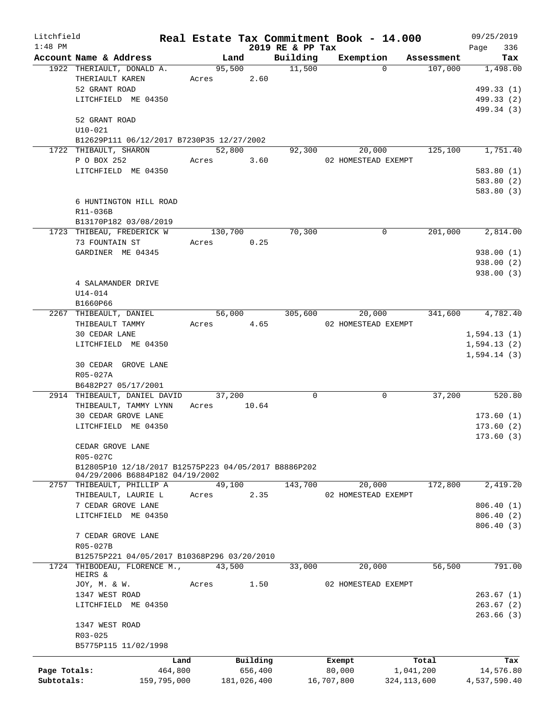| Litchfield   |                                                                             |             |                      |             |                  | Real Estate Tax Commitment Book - 14.000 |                                   | 09/25/2019                 |
|--------------|-----------------------------------------------------------------------------|-------------|----------------------|-------------|------------------|------------------------------------------|-----------------------------------|----------------------------|
| $1:48$ PM    |                                                                             |             |                      |             | 2019 RE & PP Tax |                                          |                                   | 336<br>Page                |
|              | Account Name & Address                                                      |             | Land                 |             | Building         | Exemption                                | Assessment<br>107,000<br>$\Omega$ | Tax                        |
|              | 1922 THERIAULT, DONALD A.<br>THERIAULT KAREN                                |             | 95,500<br>Acres 2.60 |             | 11,500           |                                          |                                   | 1,498.00                   |
|              | 52 GRANT ROAD                                                               |             |                      |             |                  |                                          |                                   | 499.33 (1)                 |
|              | LITCHFIELD ME 04350                                                         |             |                      |             |                  |                                          |                                   | 499.33 (2)                 |
|              |                                                                             |             |                      |             |                  |                                          |                                   | 499.34 (3)                 |
|              | 52 GRANT ROAD                                                               |             |                      |             |                  |                                          |                                   |                            |
|              | $U10 - 021$                                                                 |             |                      |             |                  |                                          |                                   |                            |
|              | B12629P111 06/12/2017 B7230P35 12/27/2002                                   |             |                      |             |                  |                                          |                                   |                            |
|              | 1722 THIBAULT, SHARON                                                       |             | 52,800               |             | 92,300           | 20,000                                   | 125,100                           | 1,751.40                   |
|              | P O BOX 252                                                                 |             | Acres 3.60           |             |                  | 02 HOMESTEAD EXEMPT                      |                                   |                            |
|              | LITCHFIELD ME 04350                                                         |             |                      |             |                  |                                          |                                   | 583.80(1)                  |
|              |                                                                             |             |                      |             |                  |                                          |                                   | 583.80 (2)                 |
|              |                                                                             |             |                      |             |                  |                                          |                                   | 583.80 (3)                 |
|              | 6 HUNTINGTON HILL ROAD                                                      |             |                      |             |                  |                                          |                                   |                            |
|              | R11-036B                                                                    |             |                      |             |                  |                                          |                                   |                            |
|              | B13170P182 03/08/2019                                                       |             |                      |             |                  |                                          |                                   |                            |
|              | 1723 THIBEAU, FREDERICK W                                                   |             | 130,700              |             | 70,300           |                                          | 201,000<br>$\Omega$               | 2,814.00                   |
|              | 73 FOUNTAIN ST                                                              | Acres       |                      | 0.25        |                  |                                          |                                   |                            |
|              | GARDINER ME 04345                                                           |             |                      |             |                  |                                          |                                   | 938.00(1)                  |
|              |                                                                             |             |                      |             |                  |                                          |                                   | 938.00(2)                  |
|              |                                                                             |             |                      |             |                  |                                          |                                   | 938.00(3)                  |
|              | 4 SALAMANDER DRIVE                                                          |             |                      |             |                  |                                          |                                   |                            |
|              | $U14 - 014$                                                                 |             |                      |             |                  |                                          |                                   |                            |
|              | B1660P66                                                                    |             |                      |             |                  |                                          |                                   |                            |
|              | 2267 THIBEAULT, DANIEL                                                      |             | 56,000               |             | 305,600          | 20,000                                   |                                   | 4,782.40<br>341,600        |
|              | THIBEAULT TAMMY                                                             | Acres       |                      | 4.65        |                  | 02 HOMESTEAD EXEMPT                      |                                   |                            |
|              | 30 CEDAR LANE<br>LITCHFIELD ME 04350                                        |             |                      |             |                  |                                          |                                   | 1,594.13(1)                |
|              |                                                                             |             |                      |             |                  |                                          |                                   | 1,594.13(2)<br>1,594.14(3) |
|              | 30 CEDAR GROVE LANE                                                         |             |                      |             |                  |                                          |                                   |                            |
|              | R05-027A                                                                    |             |                      |             |                  |                                          |                                   |                            |
|              | B6482P27 05/17/2001                                                         |             |                      |             |                  |                                          |                                   |                            |
|              | 2914 THIBEAULT, DANIEL DAVID                                                |             | 37,200               |             | $\Omega$         |                                          | 37,200<br>0                       | 520.80                     |
|              | THIBEAULT, TAMMY LYNN                                                       |             | Acres                | 10.64       |                  |                                          |                                   |                            |
|              | 30 CEDAR GROVE LANE                                                         |             |                      |             |                  |                                          |                                   | 173.60(1)                  |
|              | LITCHFIELD ME 04350                                                         |             |                      |             |                  |                                          |                                   | 173.60(2)                  |
|              |                                                                             |             |                      |             |                  |                                          |                                   | 173.60(3)                  |
|              | CEDAR GROVE LANE                                                            |             |                      |             |                  |                                          |                                   |                            |
|              | R05-027C                                                                    |             |                      |             |                  |                                          |                                   |                            |
|              | B12805P10 12/18/2017 B12575P223 04/05/2017 B8886P202                        |             |                      |             |                  |                                          |                                   |                            |
|              | 04/29/2006 B6884P182 04/19/2002                                             |             |                      |             |                  |                                          |                                   |                            |
|              | 2757 THIBEAULT, PHILLIP A                                                   |             | 49,100               |             | 143,700          | 20,000                                   | 172,800                           | 2,419.20                   |
|              | THIBEAULT, LAURIE L                                                         | Acres       |                      | 2.35        |                  | 02 HOMESTEAD EXEMPT                      |                                   |                            |
|              | 7 CEDAR GROVE LANE                                                          |             |                      |             |                  |                                          |                                   | 806.40(1)                  |
|              | LITCHFIELD ME 04350                                                         |             |                      |             |                  |                                          |                                   | 806.40 (2)                 |
|              |                                                                             |             |                      |             |                  |                                          |                                   | 806.40(3)                  |
|              | 7 CEDAR GROVE LANE                                                          |             |                      |             |                  |                                          |                                   |                            |
|              | R05-027B                                                                    |             |                      |             |                  |                                          |                                   |                            |
|              | B12575P221 04/05/2017 B10368P296 03/20/2010<br>1724 THIBODEAU, FLORENCE M., |             | 43,500               |             | 33,000           | 20,000                                   | 56,500                            | 791.00                     |
|              | HEIRS &                                                                     |             |                      |             |                  |                                          |                                   |                            |
|              | JOY, M. & W.                                                                | Acres       |                      | 1.50        |                  | 02 HOMESTEAD EXEMPT                      |                                   |                            |
|              | 1347 WEST ROAD                                                              |             |                      |             |                  |                                          |                                   | 263.67(1)                  |
|              | LITCHFIELD ME 04350                                                         |             |                      |             |                  |                                          |                                   | 263.67(2)                  |
|              |                                                                             |             |                      |             |                  |                                          |                                   | 263.66(3)                  |
|              | 1347 WEST ROAD                                                              |             |                      |             |                  |                                          |                                   |                            |
|              | R03-025                                                                     |             |                      |             |                  |                                          |                                   |                            |
|              | B5775P115 11/02/1998                                                        |             |                      |             |                  |                                          |                                   |                            |
|              |                                                                             | Land        |                      | Building    |                  | Exempt                                   | Total                             | Tax                        |
| Page Totals: |                                                                             | 464,800     |                      | 656,400     |                  | 80,000                                   | 1,041,200                         | 14,576.80                  |
| Subtotals:   |                                                                             | 159,795,000 |                      | 181,026,400 |                  | 16,707,800                               | 324, 113, 600                     | 4,537,590.40               |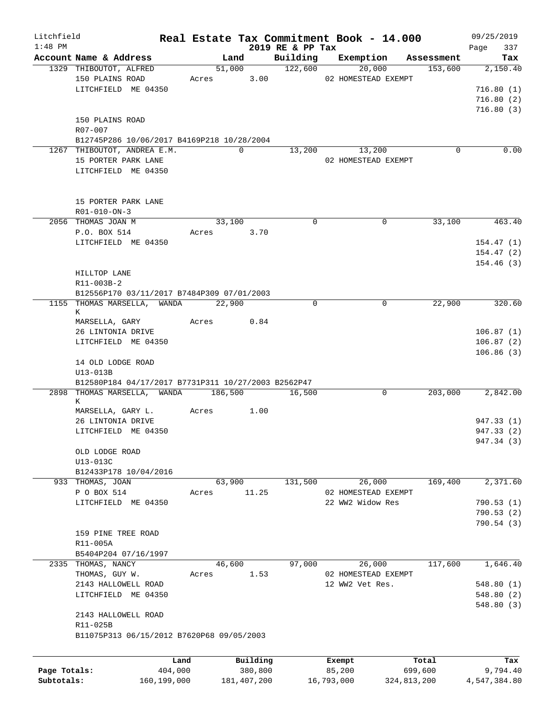| Litchfield   |                                                     |        |               |                      | Real Estate Tax Commitment Book - 14.000 |             | 09/25/2019         |
|--------------|-----------------------------------------------------|--------|---------------|----------------------|------------------------------------------|-------------|--------------------|
| $1:48$ PM    | Account Name & Address                              |        | Land          | 2019 RE & PP Tax     | Building Exemption                       | Assessment  | 337<br>Page<br>Tax |
|              | 1329 THIBOUTOT, ALFRED                              |        | 51,000        | $\overline{122,600}$ | 20,000                                   | 153,600     | 2,150.40           |
|              | 150 PLAINS ROAD                                     | Acres  | 3.00          |                      | 02 HOMESTEAD EXEMPT                      |             |                    |
|              | LITCHFIELD ME 04350                                 |        |               |                      |                                          |             | 716.80(1)          |
|              |                                                     |        |               |                      |                                          |             | 716.80(2)          |
|              |                                                     |        |               |                      |                                          |             | 716.80(3)          |
|              | 150 PLAINS ROAD                                     |        |               |                      |                                          |             |                    |
|              | R07-007                                             |        |               |                      |                                          |             |                    |
|              | B12745P286 10/06/2017 B4169P218 10/28/2004          |        |               |                      |                                          |             |                    |
|              | 1267 THIBOUTOT, ANDREA E.M.                         |        | $\Omega$      | 13,200               | 13,200                                   | $\Omega$    | 0.00               |
|              | 15 PORTER PARK LANE                                 |        |               |                      | 02 HOMESTEAD EXEMPT                      |             |                    |
|              | LITCHFIELD ME 04350                                 |        |               |                      |                                          |             |                    |
|              |                                                     |        |               |                      |                                          |             |                    |
|              |                                                     |        |               |                      |                                          |             |                    |
|              | 15 PORTER PARK LANE                                 |        |               |                      |                                          |             |                    |
|              | R01-010-ON-3                                        |        |               |                      |                                          |             |                    |
|              | 2056 THOMAS JOAN M                                  |        | 33,100        | $\Omega$             | $\Omega$                                 | 33,100      | 463.40             |
|              | P.O. BOX 514                                        | Acres  | 3.70          |                      |                                          |             |                    |
|              | LITCHFIELD ME 04350                                 |        |               |                      |                                          |             | 154.47(1)          |
|              |                                                     |        |               |                      |                                          |             | 154.47(2)          |
|              |                                                     |        |               |                      |                                          |             | 154.46(3)          |
|              | HILLTOP LANE<br>R11-003B-2                          |        |               |                      |                                          |             |                    |
|              | B12556P170 03/11/2017 B7484P309 07/01/2003          |        |               |                      |                                          |             |                    |
|              | 1155 THOMAS MARSELLA, WANDA 22,900                  |        |               | $\Omega$             | 0                                        | 22,900      | 320.60             |
|              | К                                                   |        |               |                      |                                          |             |                    |
|              | MARSELLA, GARY                                      | Acres  | 0.84          |                      |                                          |             |                    |
|              | 26 LINTONIA DRIVE                                   |        |               |                      |                                          |             | 106.87(1)          |
|              | LITCHFIELD ME 04350                                 |        |               |                      |                                          |             | 106.87(2)          |
|              |                                                     |        |               |                      |                                          |             | 106.86(3)          |
|              | 14 OLD LODGE ROAD                                   |        |               |                      |                                          |             |                    |
|              | U13-013B                                            |        |               |                      |                                          |             |                    |
|              | B12580P184 04/17/2017 B7731P311 10/27/2003 B2562P47 |        |               |                      |                                          |             |                    |
|              | 2898 THOMAS MARSELLA, WANDA 186,500                 |        |               | 16,500               | 0                                        | 203,000     | 2,842.00           |
|              | К                                                   |        |               |                      |                                          |             |                    |
|              | MARSELLA, GARY L.<br>26 LINTONIA DRIVE              | Acres  | 1.00          |                      |                                          |             | 947.33 (1)         |
|              | LITCHFIELD ME 04350                                 |        |               |                      |                                          |             | 947.33 (2)         |
|              |                                                     |        |               |                      |                                          |             | 947.34 (3)         |
|              | OLD LODGE ROAD                                      |        |               |                      |                                          |             |                    |
|              | U13-013C                                            |        |               |                      |                                          |             |                    |
|              | B12433P178 10/04/2016                               |        |               |                      |                                          |             |                    |
|              | 933 THOMAS, JOAN                                    |        | 63,900        | 131,500              | 26,000                                   | 169,400     | 2,371.60           |
|              | P O BOX 514                                         | Acres  | 11.25         |                      | 02 HOMESTEAD EXEMPT                      |             |                    |
|              | LITCHFIELD ME 04350                                 |        |               |                      | 22 WW2 Widow Res                         |             | 790.53(1)          |
|              |                                                     |        |               |                      |                                          |             | 790.53(2)          |
|              |                                                     |        |               |                      |                                          |             | 790.54 (3)         |
|              | 159 PINE TREE ROAD                                  |        |               |                      |                                          |             |                    |
|              | R11-005A                                            |        |               |                      |                                          |             |                    |
|              | B5404P204 07/16/1997                                |        |               |                      |                                          |             |                    |
|              | 2335 THOMAS, NANCY                                  | 46,600 |               | 97,000               | 26,000                                   | 117,600     | 1,646.40           |
|              | THOMAS, GUY W.                                      | Acres  | 1.53          |                      | 02 HOMESTEAD EXEMPT                      |             |                    |
|              | 2143 HALLOWELL ROAD                                 |        |               |                      | 12 WW2 Vet Res.                          |             | 548.80(1)          |
|              | LITCHFIELD ME 04350                                 |        |               |                      |                                          |             | 548.80(2)          |
|              |                                                     |        |               |                      |                                          |             | 548.80(3)          |
|              | 2143 HALLOWELL ROAD                                 |        |               |                      |                                          |             |                    |
|              | R11-025B                                            |        |               |                      |                                          |             |                    |
|              | B11075P313 06/15/2012 B7620P68 09/05/2003           |        |               |                      |                                          |             |                    |
|              |                                                     |        |               |                      |                                          |             |                    |
|              |                                                     | Land   | Building      |                      | Exempt                                   | Total       | Tax                |
| Page Totals: | 404,000                                             |        | 380,800       |                      | 85,200                                   | 699,600     | 9,794.40           |
| Subtotals:   | 160, 199, 000                                       |        | 181, 407, 200 |                      | 16,793,000                               | 324,813,200 | 4,547,384.80       |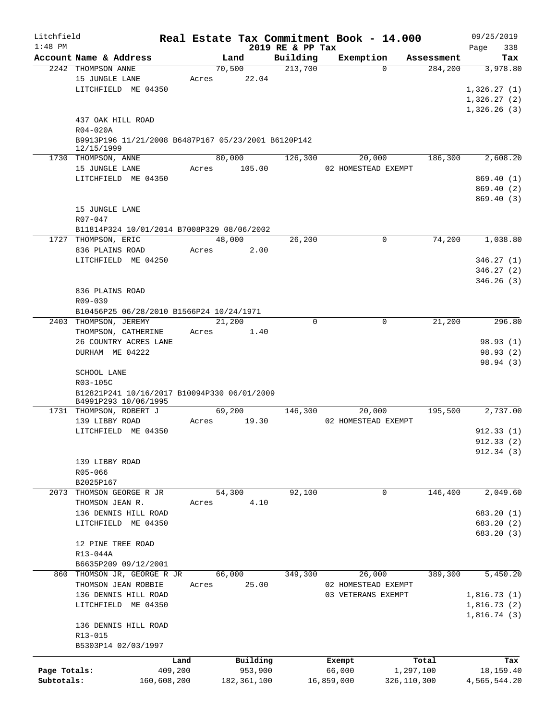| Litchfield   |                                                     |       |               |                              | Real Estate Tax Commitment Book - 14.000 |             | 09/25/2019         |
|--------------|-----------------------------------------------------|-------|---------------|------------------------------|------------------------------------------|-------------|--------------------|
| $1:48$ PM    | Account Name & Address                              |       | Land          | 2019 RE & PP Tax<br>Building | Exemption                                | Assessment  | 338<br>Page<br>Tax |
|              | 2242 THOMPSON ANNE                                  |       | 70,500        | 213,700                      | $\Omega$                                 | 284,200     | 3,978.80           |
|              | 15 JUNGLE LANE                                      | Acres | 22.04         |                              |                                          |             |                    |
|              | LITCHFIELD ME 04350                                 |       |               |                              |                                          |             | 1,326.27(1)        |
|              |                                                     |       |               |                              |                                          |             | 1,326.27(2)        |
|              |                                                     |       |               |                              |                                          |             | 1,326.26(3)        |
|              | 437 OAK HILL ROAD                                   |       |               |                              |                                          |             |                    |
|              | R04-020A                                            |       |               |                              |                                          |             |                    |
|              | B9913P196 11/21/2008 B6487P167 05/23/2001 B6120P142 |       |               |                              |                                          |             |                    |
|              | 12/15/1999                                          |       |               |                              |                                          |             |                    |
|              | 1730 THOMPSON, ANNE                                 |       | 80,000        | 126,300                      | 20,000                                   | 186,300     | 2,608.20           |
|              | 15 JUNGLE LANE                                      | Acres | 105.00        |                              | 02 HOMESTEAD EXEMPT                      |             |                    |
|              | LITCHFIELD ME 04350                                 |       |               |                              |                                          |             | 869.40(1)          |
|              |                                                     |       |               |                              |                                          |             | 869.40(2)          |
|              | 15 JUNGLE LANE                                      |       |               |                              |                                          |             | 869.40 (3)         |
|              | $R07 - 047$                                         |       |               |                              |                                          |             |                    |
|              | B11814P324 10/01/2014 B7008P329 08/06/2002          |       |               |                              |                                          |             |                    |
|              | 1727 THOMPSON, ERIC                                 |       | 48,000        | 26,200                       | $\mathbf 0$                              | 74,200      | 1,038.80           |
|              | 836 PLAINS ROAD                                     | Acres | 2.00          |                              |                                          |             |                    |
|              | LITCHFIELD ME 04250                                 |       |               |                              |                                          |             | 346.27(1)          |
|              |                                                     |       |               |                              |                                          |             | 346.27(2)          |
|              |                                                     |       |               |                              |                                          |             | 346.26(3)          |
|              | 836 PLAINS ROAD                                     |       |               |                              |                                          |             |                    |
|              | R09-039                                             |       |               |                              |                                          |             |                    |
|              | B10456P25 06/28/2010 B1566P24 10/24/1971            |       |               |                              |                                          |             |                    |
|              | 2403 THOMPSON, JEREMY                               |       | 21,200        | $\Omega$                     | $\mathbf 0$                              | 21,200      | 296.80             |
|              | THOMPSON, CATHERINE                                 | Acres | 1.40          |                              |                                          |             |                    |
|              | 26 COUNTRY ACRES LANE                               |       |               |                              |                                          |             | 98.93 (1)          |
|              | DURHAM ME 04222                                     |       |               |                              |                                          |             | 98.93(2)           |
|              |                                                     |       |               |                              |                                          |             | 98.94 (3)          |
|              | SCHOOL LANE                                         |       |               |                              |                                          |             |                    |
|              | R03-105C                                            |       |               |                              |                                          |             |                    |
|              | B12821P241 10/16/2017 B10094P330 06/01/2009         |       |               |                              |                                          |             |                    |
|              | B4991P293 10/06/1995                                |       |               |                              |                                          |             |                    |
|              | 1731 THOMPSON, ROBERT J                             |       | 69,200        | 146,300                      | 20,000                                   | 195,500     | 2,737.00           |
|              | 139 LIBBY ROAD                                      | Acres | 19.30         |                              | 02 HOMESTEAD EXEMPT                      |             |                    |
|              | LITCHFIELD ME 04350                                 |       |               |                              |                                          |             | 912.33(1)          |
|              |                                                     |       |               |                              |                                          |             | 912.33 (2)         |
|              | 139 LIBBY ROAD                                      |       |               |                              |                                          |             | 912.34(3)          |
|              | R05-066                                             |       |               |                              |                                          |             |                    |
|              | B2025P167                                           |       |               |                              |                                          |             |                    |
| 2073         | THOMSON GEORGE R JR                                 |       | 54,300        | 92,100                       | 0                                        | 146,400     | 2,049.60           |
|              | THOMSON JEAN R.                                     | Acres | 4.10          |                              |                                          |             |                    |
|              | 136 DENNIS HILL ROAD                                |       |               |                              |                                          |             | 683.20 (1)         |
|              | LITCHFIELD ME 04350                                 |       |               |                              |                                          |             | 683.20 (2)         |
|              |                                                     |       |               |                              |                                          |             | 683.20 (3)         |
|              | 12 PINE TREE ROAD                                   |       |               |                              |                                          |             |                    |
|              | R13-044A                                            |       |               |                              |                                          |             |                    |
|              | B6635P209 09/12/2001                                |       |               |                              |                                          |             |                    |
| 860          | THOMSON JR, GEORGE R JR                             |       | 66,000        | 349,300                      | 26,000                                   | 389,300     | 5,450.20           |
|              | THOMSON JEAN ROBBIE                                 | Acres | 25.00         |                              | 02 HOMESTEAD EXEMPT                      |             |                    |
|              | 136 DENNIS HILL ROAD                                |       |               |                              | 03 VETERANS EXEMPT                       |             | 1,816.73(1)        |
|              | LITCHFIELD ME 04350                                 |       |               |                              |                                          |             | 1,816.73(2)        |
|              |                                                     |       |               |                              |                                          |             | 1,816.74(3)        |
|              | 136 DENNIS HILL ROAD                                |       |               |                              |                                          |             |                    |
|              | R13-015                                             |       |               |                              |                                          |             |                    |
|              | B5303P14 02/03/1997                                 |       |               |                              |                                          |             |                    |
|              | Land                                                |       | Building      |                              | Exempt                                   | Total       | Tax                |
| Page Totals: | 409,200                                             |       | 953,900       |                              | 66,000                                   | 1,297,100   | 18,159.40          |
| Subtotals:   | 160,608,200                                         |       | 182, 361, 100 |                              | 16,859,000                               | 326,110,300 | 4,565,544.20       |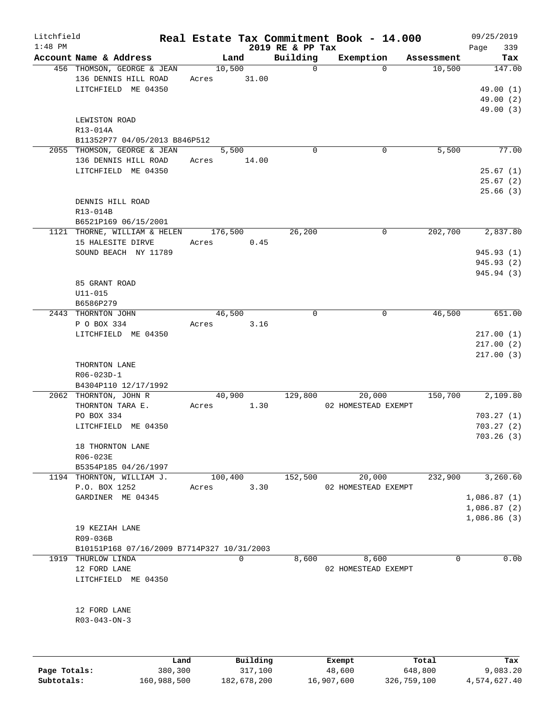| Litchfield |                                                    |       |          |                  | Real Estate Tax Commitment Book - 14.000 |            | 09/25/2019  |
|------------|----------------------------------------------------|-------|----------|------------------|------------------------------------------|------------|-------------|
| $1:48$ PM  |                                                    |       |          | 2019 RE & PP Tax |                                          |            | Page<br>339 |
|            | Account Name & Address                             |       | Land     | Building         | Exemption                                | Assessment | Tax         |
|            | 456 THOMSON, GEORGE & JEAN<br>136 DENNIS HILL ROAD |       | 10,500   | $\mathbf 0$      | $\Omega$                                 | 10,500     | 147.00      |
|            | LITCHFIELD ME 04350                                | Acres | 31.00    |                  |                                          |            |             |
|            |                                                    |       |          |                  |                                          |            | 49.00 (1)   |
|            |                                                    |       |          |                  |                                          |            | 49.00(2)    |
|            |                                                    |       |          |                  |                                          |            | 49.00 (3)   |
|            | LEWISTON ROAD                                      |       |          |                  |                                          |            |             |
|            | R13-014A                                           |       |          |                  |                                          |            |             |
|            | B11352P77 04/05/2013 B846P512                      |       |          |                  |                                          |            |             |
|            | 2055 THOMSON, GEORGE & JEAN                        |       | 5,500    | $\Omega$         | 0                                        | 5,500      | 77.00       |
|            | 136 DENNIS HILL ROAD                               | Acres | 14.00    |                  |                                          |            |             |
|            | LITCHFIELD ME 04350                                |       |          |                  |                                          |            | 25.67(1)    |
|            |                                                    |       |          |                  |                                          |            | 25.67(2)    |
|            |                                                    |       |          |                  |                                          |            | 25.66(3)    |
|            | DENNIS HILL ROAD                                   |       |          |                  |                                          |            |             |
|            | R13-014B                                           |       |          |                  |                                          |            |             |
|            | B6521P169 06/15/2001                               |       |          |                  |                                          |            |             |
|            | 1121 THORNE, WILLIAM & HELEN                       |       | 176,500  | 26,200           | 0                                        | 202,700    | 2,837.80    |
|            | 15 HALESITE DIRVE                                  | Acres | 0.45     |                  |                                          |            |             |
|            | SOUND BEACH NY 11789                               |       |          |                  |                                          |            | 945.93 (1)  |
|            |                                                    |       |          |                  |                                          |            | 945.93 (2)  |
|            |                                                    |       |          |                  |                                          |            | 945.94 (3)  |
|            | 85 GRANT ROAD                                      |       |          |                  |                                          |            |             |
|            | $U11 - 015$                                        |       |          |                  |                                          |            |             |
|            | B6586P279                                          |       |          |                  |                                          |            |             |
|            | 2443 THORNTON JOHN                                 |       | 46,500   | 0                | 0                                        | 46,500     | 651.00      |
|            | P O BOX 334                                        | Acres | 3.16     |                  |                                          |            |             |
|            | LITCHFIELD ME 04350                                |       |          |                  |                                          |            | 217.00(1)   |
|            |                                                    |       |          |                  |                                          |            | 217.00(2)   |
|            |                                                    |       |          |                  |                                          |            | 217.00(3)   |
|            | THORNTON LANE                                      |       |          |                  |                                          |            |             |
|            | R06-023D-1                                         |       |          |                  |                                          |            |             |
|            | B4304P110 12/17/1992                               |       |          |                  |                                          |            |             |
|            | 2062 THORNTON, JOHN R                              |       | 40,900   | 129,800          | 20,000                                   | 150,700    | 2,109.80    |
|            | THORNTON TARA E.                                   | Acres | 1.30     |                  | 02 HOMESTEAD EXEMPT                      |            |             |
|            | PO BOX 334                                         |       |          |                  |                                          |            | 703.27(1)   |
|            | LITCHFIELD ME 04350                                |       |          |                  |                                          |            | 703.27(2)   |
|            |                                                    |       |          |                  |                                          |            | 703.26(3)   |
|            | 18 THORNTON LANE                                   |       |          |                  |                                          |            |             |
|            | R06-023E                                           |       |          |                  |                                          |            |             |
|            | B5354P185 04/26/1997                               |       |          |                  |                                          |            |             |
|            | 1194 THORNTON, WILLIAM J.                          |       | 100,400  | 152,500          | 20,000                                   | 232,900    | 3,260.60    |
|            | P.O. BOX 1252                                      | Acres | 3.30     |                  | 02 HOMESTEAD EXEMPT                      |            |             |
|            | GARDINER ME 04345                                  |       |          |                  |                                          |            | 1,086.87(1) |
|            |                                                    |       |          |                  |                                          |            | 1,086.87(2) |
|            |                                                    |       |          |                  |                                          |            | 1,086.86(3) |
|            | 19 KEZIAH LANE                                     |       |          |                  |                                          |            |             |
|            | R09-036B                                           |       |          |                  |                                          |            |             |
|            | B10151P168 07/16/2009 B7714P327 10/31/2003         |       |          |                  |                                          |            |             |
|            | 1919 THURLOW LINDA                                 |       | $\Omega$ | 8,600            | 8,600                                    | 0          | 0.00        |
|            | 12 FORD LANE                                       |       |          |                  | 02 HOMESTEAD EXEMPT                      |            |             |
|            | LITCHFIELD ME 04350                                |       |          |                  |                                          |            |             |
|            |                                                    |       |          |                  |                                          |            |             |
|            |                                                    |       |          |                  |                                          |            |             |
|            |                                                    |       |          |                  |                                          |            |             |
|            | 12 FORD LANE                                       |       |          |                  |                                          |            |             |
|            | $R03 - 043 - ON - 3$                               |       |          |                  |                                          |            |             |
|            |                                                    |       |          |                  |                                          |            |             |
|            |                                                    |       |          |                  |                                          |            |             |
|            |                                                    | Land  | Building |                  | Exempt                                   | Total      | Tax         |
|            |                                                    |       |          |                  |                                          |            |             |

|              | Land        | Building    | Exempt     | Total       | тах          |
|--------------|-------------|-------------|------------|-------------|--------------|
| Page Totals: | 380,300     | 317,100     | 48,600     | 648,800     | 9,083.20     |
| Subtotals:   | 160,988,500 | 182,678,200 | 16,907,600 | 326,759,100 | 4,574,627.40 |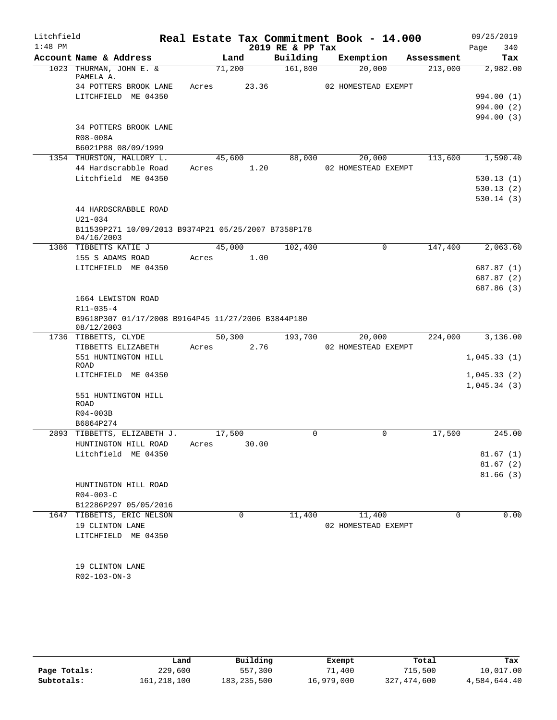| Litchfield |                                                                  |       |        |       | Real Estate Tax Commitment Book - 14.000 |                     |            | 09/25/2019               |      |
|------------|------------------------------------------------------------------|-------|--------|-------|------------------------------------------|---------------------|------------|--------------------------|------|
| $1:48$ PM  |                                                                  |       |        |       | 2019 RE & PP Tax                         |                     |            | 340<br>Page              |      |
|            | Account Name & Address                                           |       | Land   |       | Building                                 | Exemption           | Assessment | Tax                      |      |
|            | 1023 THURMAN, JOHN E. &<br>PAMELA A.                             |       | 71,200 |       | 161,800                                  | 20,000              | 213,000    | 2,982.00                 |      |
|            | 34 POTTERS BROOK LANE                                            | Acres |        | 23.36 |                                          | 02 HOMESTEAD EXEMPT |            |                          |      |
|            | LITCHFIELD ME 04350                                              |       |        |       |                                          |                     |            | 994.00 (1)               |      |
|            |                                                                  |       |        |       |                                          |                     |            | 994.00 (2)               |      |
|            |                                                                  |       |        |       |                                          |                     |            | 994.00 (3)               |      |
|            | 34 POTTERS BROOK LANE                                            |       |        |       |                                          |                     |            |                          |      |
|            | R08-008A                                                         |       |        |       |                                          |                     |            |                          |      |
|            | B6021P88 08/09/1999                                              |       |        |       |                                          |                     |            |                          |      |
|            | 1354 THURSTON, MALLORY L.                                        |       | 45,600 |       | 88,000                                   | 20,000              | 113,600    | 1,590.40                 |      |
|            | 44 Hardscrabble Road<br>Litchfield ME 04350                      | Acres |        | 1.20  |                                          | 02 HOMESTEAD EXEMPT |            |                          |      |
|            |                                                                  |       |        |       |                                          |                     |            | 530.13(1)<br>530.13(2)   |      |
|            |                                                                  |       |        |       |                                          |                     |            | 530.14 (3)               |      |
|            | 44 HARDSCRABBLE ROAD                                             |       |        |       |                                          |                     |            |                          |      |
|            | U21-034                                                          |       |        |       |                                          |                     |            |                          |      |
|            | B11539P271 10/09/2013 B9374P21 05/25/2007 B7358P178              |       |        |       |                                          |                     |            |                          |      |
|            | 04/16/2003                                                       |       |        |       |                                          |                     |            |                          |      |
|            | 1386 TIBBETTS KATIE J                                            |       | 45,000 |       | 102,400                                  | $\mathbf 0$         | 147,400    | 2,063.60                 |      |
|            | 155 S ADAMS ROAD                                                 | Acres |        | 1.00  |                                          |                     |            |                          |      |
|            | LITCHFIELD ME 04350                                              |       |        |       |                                          |                     |            | 687.87 (1)               |      |
|            |                                                                  |       |        |       |                                          |                     |            | 687.87 (2)<br>687.86 (3) |      |
|            | 1664 LEWISTON ROAD                                               |       |        |       |                                          |                     |            |                          |      |
|            | $R11 - 035 - 4$                                                  |       |        |       |                                          |                     |            |                          |      |
|            | B9618P307 01/17/2008 B9164P45 11/27/2006 B3844P180<br>08/12/2003 |       |        |       |                                          |                     |            |                          |      |
|            | 1736 TIBBETTS, CLYDE                                             |       | 50,300 |       | 193,700                                  | 20,000              | 224,000    | 3,136.00                 |      |
|            | TIBBETTS ELIZABETH                                               | Acres |        | 2.76  |                                          | 02 HOMESTEAD EXEMPT |            |                          |      |
|            | 551 HUNTINGTON HILL                                              |       |        |       |                                          |                     |            | 1,045.33(1)              |      |
|            | <b>ROAD</b>                                                      |       |        |       |                                          |                     |            |                          |      |
|            | LITCHFIELD ME 04350                                              |       |        |       |                                          |                     |            | 1,045.33(2)              |      |
|            | 551 HUNTINGTON HILL                                              |       |        |       |                                          |                     |            | 1,045.34(3)              |      |
|            | <b>ROAD</b>                                                      |       |        |       |                                          |                     |            |                          |      |
|            | R04-003B                                                         |       |        |       |                                          |                     |            |                          |      |
|            | B6864P274                                                        |       |        |       |                                          |                     |            |                          |      |
|            | 2893 TIBBETTS, ELIZABETH J.                                      |       | 17,500 |       | 0                                        | $\mathbf 0$         | 17,500     | 245.00                   |      |
|            | HUNTINGTON HILL ROAD                                             | Acres |        | 30.00 |                                          |                     |            |                          |      |
|            | Litchfield ME 04350                                              |       |        |       |                                          |                     |            | 81.67(1)                 |      |
|            |                                                                  |       |        |       |                                          |                     |            | 81.67(2)                 |      |
|            |                                                                  |       |        |       |                                          |                     |            | 81.66(3)                 |      |
|            | HUNTINGTON HILL ROAD<br>$R04 - 003 - C$                          |       |        |       |                                          |                     |            |                          |      |
|            | B12286P297 05/05/2016                                            |       |        |       |                                          |                     |            |                          |      |
| 1647       | TIBBETTS, ERIC NELSON                                            |       |        | 0     | 11,400                                   | 11,400              | 0          |                          | 0.00 |
|            | 19 CLINTON LANE                                                  |       |        |       |                                          | 02 HOMESTEAD EXEMPT |            |                          |      |
|            | LITCHFIELD ME 04350                                              |       |        |       |                                          |                     |            |                          |      |
|            |                                                                  |       |        |       |                                          |                     |            |                          |      |
|            |                                                                  |       |        |       |                                          |                     |            |                          |      |
|            | 19 CLINTON LANE                                                  |       |        |       |                                          |                     |            |                          |      |
|            | R02-103-ON-3                                                     |       |        |       |                                          |                     |            |                          |      |
|            |                                                                  |       |        |       |                                          |                     |            |                          |      |

|              | Land        | Building      | Exempt     | Total       | Tax          |
|--------------|-------------|---------------|------------|-------------|--------------|
| Page Totals: | 229,600     | 557,300       | 71,400     | 715,500     | 10,017.00    |
| Subtotals:   | 161,218,100 | 183, 235, 500 | 16,979,000 | 327,474,600 | 4,584,644.40 |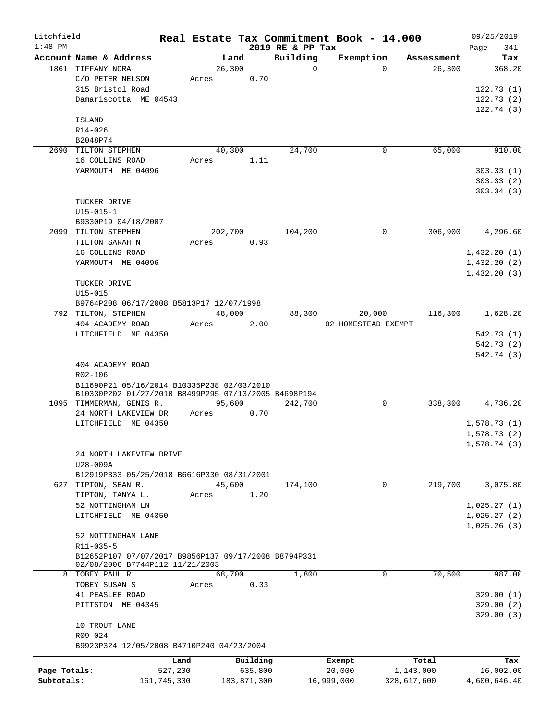| Litchfield   |                                                                                                    |             |       |         |             |                      | Real Estate Tax Commitment Book - 14.000 |             |            | 09/25/2019   |     |
|--------------|----------------------------------------------------------------------------------------------------|-------------|-------|---------|-------------|----------------------|------------------------------------------|-------------|------------|--------------|-----|
| $1:48$ PM    |                                                                                                    |             |       |         |             | 2019 RE & PP Tax     |                                          |             |            | Page         | 341 |
|              | Account Name & Address<br>1861 TIFFANY NORA                                                        |             |       | Land    |             | Building<br>$\Omega$ | Exemption                                | $\Omega$    | Assessment |              | Tax |
|              | C/O PETER NELSON                                                                                   |             | Acres | 26,300  | 0.70        |                      |                                          |             | 26,300     | 368.20       |     |
|              | 315 Bristol Road                                                                                   |             |       |         |             |                      |                                          |             |            | 122.73(1)    |     |
|              | Damariscotta ME 04543                                                                              |             |       |         |             |                      |                                          |             |            | 122.73(2)    |     |
|              |                                                                                                    |             |       |         |             |                      |                                          |             |            | 122.74(3)    |     |
|              | ISLAND                                                                                             |             |       |         |             |                      |                                          |             |            |              |     |
|              | R14-026                                                                                            |             |       |         |             |                      |                                          |             |            |              |     |
|              | B2048P74                                                                                           |             |       |         |             |                      |                                          |             |            |              |     |
|              | 2690 TILTON STEPHEN                                                                                |             |       | 40,300  |             | 24,700               |                                          | 0           | 65,000     | 910.00       |     |
|              | 16 COLLINS ROAD                                                                                    |             | Acres |         | 1.11        |                      |                                          |             |            |              |     |
|              | YARMOUTH ME 04096                                                                                  |             |       |         |             |                      |                                          |             |            | 303.33(1)    |     |
|              |                                                                                                    |             |       |         |             |                      |                                          |             |            | 303.33(2)    |     |
|              |                                                                                                    |             |       |         |             |                      |                                          |             |            | 303.34(3)    |     |
|              | TUCKER DRIVE                                                                                       |             |       |         |             |                      |                                          |             |            |              |     |
|              | $U15 - 015 - 1$                                                                                    |             |       |         |             |                      |                                          |             |            |              |     |
|              | B9330P19 04/18/2007                                                                                |             |       |         |             |                      |                                          |             |            |              |     |
|              | 2099 TILTON STEPHEN                                                                                |             |       | 202,700 |             | 104,200              |                                          | 0           | 306,900    | 4,296.60     |     |
|              | TILTON SARAH N                                                                                     |             | Acres |         | 0.93        |                      |                                          |             |            |              |     |
|              | 16 COLLINS ROAD                                                                                    |             |       |         |             |                      |                                          |             |            | 1,432.20(1)  |     |
|              | YARMOUTH ME 04096                                                                                  |             |       |         |             |                      |                                          |             |            | 1,432.20(2)  |     |
|              |                                                                                                    |             |       |         |             |                      |                                          |             |            | 1,432.20(3)  |     |
|              | TUCKER DRIVE                                                                                       |             |       |         |             |                      |                                          |             |            |              |     |
|              | $U15 - 015$                                                                                        |             |       |         |             |                      |                                          |             |            |              |     |
|              | B9764P208 06/17/2008 B5813P17 12/07/1998                                                           |             |       |         |             |                      |                                          |             |            |              |     |
|              | 792 TILTON, STEPHEN                                                                                |             |       | 48,000  |             | 88,300               | 20,000                                   |             | 116,300    | 1,628.20     |     |
|              | 404 ACADEMY ROAD                                                                                   |             | Acres |         | 2.00        |                      | 02 HOMESTEAD EXEMPT                      |             |            |              |     |
|              | LITCHFIELD ME 04350                                                                                |             |       |         |             |                      |                                          |             |            | 542.73 (1)   |     |
|              |                                                                                                    |             |       |         |             |                      |                                          |             |            | 542.73 (2)   |     |
|              |                                                                                                    |             |       |         |             |                      |                                          |             |            | 542.74 (3)   |     |
|              | 404 ACADEMY ROAD                                                                                   |             |       |         |             |                      |                                          |             |            |              |     |
|              | R02-106                                                                                            |             |       |         |             |                      |                                          |             |            |              |     |
|              | B11690P21 05/16/2014 B10335P238 02/03/2010<br>B10330P202 01/27/2010 B8499P295 07/13/2005 B4698P194 |             |       |         |             |                      |                                          |             |            |              |     |
|              | 1095 TIMMERMAN, GENIS R.                                                                           |             |       | 95,600  |             | 242,700              |                                          | $\mathbf 0$ | 338,300    | 4,736.20     |     |
|              | 24 NORTH LAKEVIEW DR                                                                               |             | Acres |         | 0.70        |                      |                                          |             |            |              |     |
|              | LITCHFIELD ME 04350                                                                                |             |       |         |             |                      |                                          |             |            | 1,578.73(1)  |     |
|              |                                                                                                    |             |       |         |             |                      |                                          |             |            | 1,578.73(2)  |     |
|              |                                                                                                    |             |       |         |             |                      |                                          |             |            | 1,578.74(3)  |     |
|              | 24 NORTH LAKEVIEW DRIVE                                                                            |             |       |         |             |                      |                                          |             |            |              |     |
|              | U28-009A                                                                                           |             |       |         |             |                      |                                          |             |            |              |     |
|              | B12919P333 05/25/2018 B6616P330 08/31/2001                                                         |             |       |         |             |                      |                                          |             |            |              |     |
|              | 627 TIPTON, SEAN R.                                                                                |             |       | 45,600  |             | 174,100              |                                          | $\mathbf 0$ | 219,700    | 3,075.80     |     |
|              | TIPTON, TANYA L.                                                                                   |             | Acres |         | 1.20        |                      |                                          |             |            |              |     |
|              | 52 NOTTINGHAM LN                                                                                   |             |       |         |             |                      |                                          |             |            | 1,025.27(1)  |     |
|              | LITCHFIELD ME 04350                                                                                |             |       |         |             |                      |                                          |             |            | 1,025.27(2)  |     |
|              |                                                                                                    |             |       |         |             |                      |                                          |             |            | 1,025.26(3)  |     |
|              | 52 NOTTINGHAM LANE                                                                                 |             |       |         |             |                      |                                          |             |            |              |     |
|              | R11-035-5                                                                                          |             |       |         |             |                      |                                          |             |            |              |     |
|              | B12652P107 07/07/2017 B9856P137 09/17/2008 B8794P331                                               |             |       |         |             |                      |                                          |             |            |              |     |
|              | 02/08/2006 B7744P112 11/21/2003                                                                    |             |       |         |             |                      |                                          |             |            |              |     |
| 8            | TOBEY PAUL R                                                                                       |             |       | 68,700  |             | 1,800                |                                          | $\mathbf 0$ | 70,500     | 987.00       |     |
|              | TOBEY SUSAN S                                                                                      |             | Acres |         | 0.33        |                      |                                          |             |            |              |     |
|              | 41 PEASLEE ROAD                                                                                    |             |       |         |             |                      |                                          |             |            | 329.00(1)    |     |
|              | PITTSTON ME 04345                                                                                  |             |       |         |             |                      |                                          |             |            | 329.00(2)    |     |
|              |                                                                                                    |             |       |         |             |                      |                                          |             |            | 329.00(3)    |     |
|              | 10 TROUT LANE                                                                                      |             |       |         |             |                      |                                          |             |            |              |     |
|              | R09-024                                                                                            |             |       |         |             |                      |                                          |             |            |              |     |
|              | B9923P324 12/05/2008 B4710P240 04/23/2004                                                          |             |       |         |             |                      |                                          |             |            |              |     |
|              |                                                                                                    | Land        |       |         | Building    |                      | Exempt                                   |             | Total      |              | Tax |
| Page Totals: |                                                                                                    | 527,200     |       |         | 635,800     |                      | 20,000                                   |             | 1,143,000  | 16,002.00    |     |
| Subtotals:   |                                                                                                    | 161,745,300 |       |         | 183,871,300 |                      | 16,999,000                               | 328,617,600 |            | 4,600,646.40 |     |
|              |                                                                                                    |             |       |         |             |                      |                                          |             |            |              |     |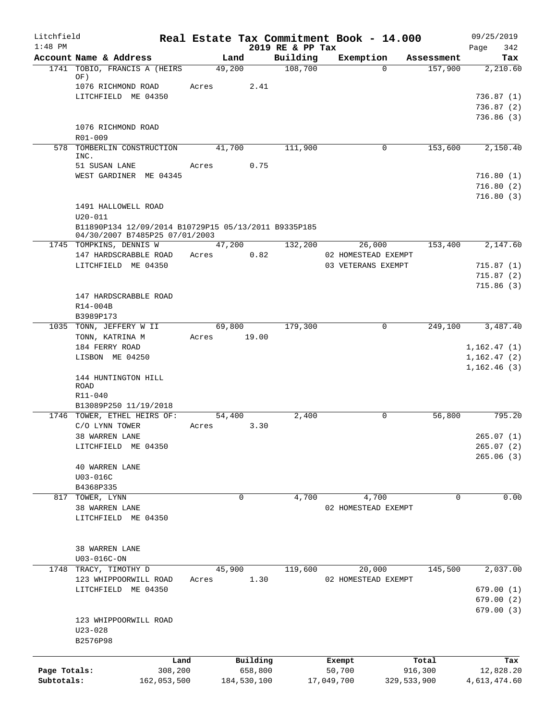| Litchfield   |                                                                                        |                 |             |                              | Real Estate Tax Commitment Book - 14.000 |                       | 09/25/2019                  |
|--------------|----------------------------------------------------------------------------------------|-----------------|-------------|------------------------------|------------------------------------------|-----------------------|-----------------------------|
| $1:48$ PM    | Account Name & Address                                                                 | Land            |             | 2019 RE & PP Tax<br>Building | Exemption                                |                       | 342<br>Page<br>Tax          |
|              | 1741 TOBIO, FRANCIS A (HEIRS                                                           | 49,200          |             | 108,700                      | $\Omega$                                 | Assessment<br>157,900 | 2,210.60                    |
|              | OF)<br>1076 RICHMOND ROAD                                                              | Acres           | 2.41        |                              |                                          |                       |                             |
|              | LITCHFIELD ME 04350                                                                    |                 |             |                              |                                          |                       | 736.87(1)                   |
|              |                                                                                        |                 |             |                              |                                          |                       | 736.87(2)                   |
|              |                                                                                        |                 |             |                              |                                          |                       | 736.86(3)                   |
|              | 1076 RICHMOND ROAD<br>R01-009                                                          |                 |             |                              |                                          |                       |                             |
|              | 578 TOMBERLIN CONSTRUCTION                                                             | 41,700          |             | 111,900                      | 0                                        | 153,600               | 2,150.40                    |
|              | INC.                                                                                   |                 |             |                              |                                          |                       |                             |
|              | 51 SUSAN LANE<br>WEST GARDINER ME 04345                                                | Acres           | 0.75        |                              |                                          |                       | 716.80(1)                   |
|              |                                                                                        |                 |             |                              |                                          |                       | 716.80(2)                   |
|              |                                                                                        |                 |             |                              |                                          |                       | 716.80(3)                   |
|              | 1491 HALLOWELL ROAD                                                                    |                 |             |                              |                                          |                       |                             |
|              | $U20 - 011$                                                                            |                 |             |                              |                                          |                       |                             |
|              | B11890P134 12/09/2014 B10729P15 05/13/2011 B9335P185<br>04/30/2007 B7485P25 07/01/2003 |                 |             |                              |                                          |                       |                             |
|              | 1745 TOMPKINS, DENNIS W                                                                | 47,200          |             | 132,200                      | 26,000                                   | 153,400               | 2,147.60                    |
|              | 147 HARDSCRABBLE ROAD                                                                  | Acres           | 0.82        |                              | 02 HOMESTEAD EXEMPT                      |                       |                             |
|              | LITCHFIELD ME 04350                                                                    |                 |             |                              | 03 VETERANS EXEMPT                       |                       | 715.87(1)                   |
|              |                                                                                        |                 |             |                              |                                          |                       | 715.87(2)<br>715.86(3)      |
|              | 147 HARDSCRABBLE ROAD                                                                  |                 |             |                              |                                          |                       |                             |
|              | R14-004B                                                                               |                 |             |                              |                                          |                       |                             |
|              | B3989P173                                                                              |                 |             |                              |                                          |                       |                             |
|              | 1035 TONN, JEFFERY W II                                                                | 69,800          |             | 179,300                      | $\mathbf 0$                              | 249,100               | 3,487.40                    |
|              | TONN, KATRINA M<br>184 FERRY ROAD                                                      | Acres           | 19.00       |                              |                                          |                       |                             |
|              | LISBON ME 04250                                                                        |                 |             |                              |                                          |                       | 1,162.47(1)<br>1, 162.47(2) |
|              |                                                                                        |                 |             |                              |                                          |                       | 1,162.46(3)                 |
|              | 144 HUNTINGTON HILL                                                                    |                 |             |                              |                                          |                       |                             |
|              | <b>ROAD</b><br>R11-040                                                                 |                 |             |                              |                                          |                       |                             |
|              | B13089P250 11/19/2018                                                                  |                 |             |                              |                                          |                       |                             |
|              | 1746 TOWER, ETHEL HEIRS OF:                                                            | 54,400          |             | 2,400                        | 0                                        | 56,800                | 795.20                      |
|              | C/O LYNN TOWER                                                                         | Acres           | 3.30        |                              |                                          |                       |                             |
|              | 38 WARREN LANE                                                                         |                 |             |                              |                                          |                       | 265.07(1)                   |
|              | LITCHFIELD ME 04350                                                                    |                 |             |                              |                                          |                       | 265.07(2)<br>265.06(3)      |
|              | <b>40 WARREN LANE</b>                                                                  |                 |             |                              |                                          |                       |                             |
|              | U03-016C                                                                               |                 |             |                              |                                          |                       |                             |
|              | B4368P335                                                                              |                 |             |                              |                                          |                       |                             |
|              | 817 TOWER, LYNN                                                                        | 0               |             | 4,700                        | 4,700                                    | 0                     | 0.00                        |
|              | 38 WARREN LANE<br>LITCHFIELD ME 04350                                                  |                 |             |                              | 02 HOMESTEAD EXEMPT                      |                       |                             |
|              |                                                                                        |                 |             |                              |                                          |                       |                             |
|              |                                                                                        |                 |             |                              |                                          |                       |                             |
|              | 38 WARREN LANE                                                                         |                 |             |                              |                                          |                       |                             |
|              | U03-016C-ON                                                                            |                 |             |                              |                                          |                       |                             |
| 1748         | TRACY, TIMOTHY D<br>123 WHIPPOORWILL ROAD                                              | 45,900<br>Acres | 1.30        | 119,600                      | 20,000<br>02 HOMESTEAD EXEMPT            | 145,500               | 2,037.00                    |
|              | LITCHFIELD ME 04350                                                                    |                 |             |                              |                                          |                       | 679.00(1)                   |
|              |                                                                                        |                 |             |                              |                                          |                       | 679.00(2)                   |
|              |                                                                                        |                 |             |                              |                                          |                       | 679.00 (3)                  |
|              | 123 WHIPPOORWILL ROAD                                                                  |                 |             |                              |                                          |                       |                             |
|              | $U23 - 028$<br>B2576P98                                                                |                 |             |                              |                                          |                       |                             |
|              |                                                                                        |                 |             |                              |                                          |                       |                             |
|              | Land                                                                                   |                 | Building    |                              | Exempt                                   | Total                 | Tax                         |
| Page Totals: | 308,200                                                                                |                 | 658,800     |                              | 50,700                                   | 916,300               | 12,828.20                   |
| Subtotals:   | 162,053,500                                                                            |                 | 184,530,100 |                              | 17,049,700                               | 329,533,900           | 4,613,474.60                |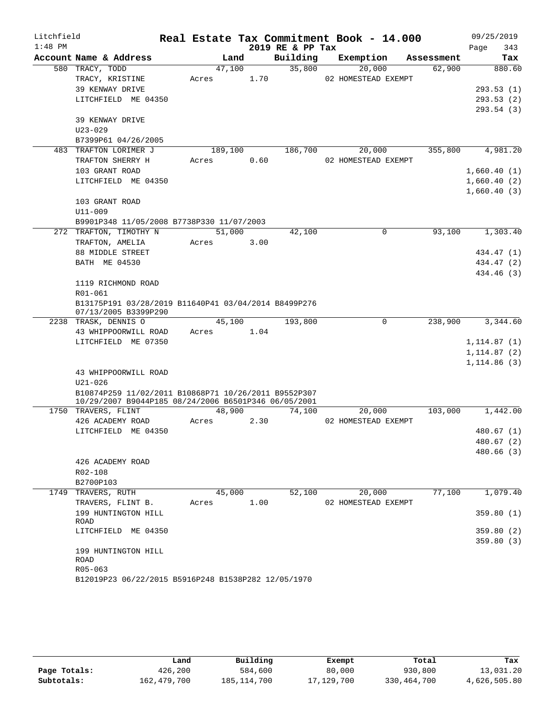| Litchfield |                                                                             |       |         |      |                  | Real Estate Tax Commitment Book - 14.000 |            |         |      | 09/25/2019   |
|------------|-----------------------------------------------------------------------------|-------|---------|------|------------------|------------------------------------------|------------|---------|------|--------------|
| $1:48$ PM  |                                                                             |       |         |      | 2019 RE & PP Tax |                                          |            |         | Page | 343          |
|            | Account Name & Address                                                      |       | Land    |      | Building         | Exemption                                | Assessment |         |      | Tax          |
|            | 580 TRACY, TODD                                                             |       | 47,100  |      | 35,800           | 20,000                                   |            | 62,900  |      | 880.60       |
|            | TRACY, KRISTINE                                                             | Acres |         | 1.70 |                  | 02 HOMESTEAD EXEMPT                      |            |         |      |              |
|            | 39 KENWAY DRIVE                                                             |       |         |      |                  |                                          |            |         |      | 293.53(1)    |
|            | LITCHFIELD ME 04350                                                         |       |         |      |                  |                                          |            |         |      | 293.53(2)    |
|            |                                                                             |       |         |      |                  |                                          |            |         |      | 293.54(3)    |
|            | 39 KENWAY DRIVE                                                             |       |         |      |                  |                                          |            |         |      |              |
|            | $U23 - 029$                                                                 |       |         |      |                  |                                          |            |         |      |              |
|            | B7399P61 04/26/2005                                                         |       |         |      |                  |                                          |            |         |      |              |
|            | 483 TRAFTON LORIMER J                                                       |       | 189,100 |      | 186,700          | 20,000                                   |            | 355,800 |      | 4,981.20     |
|            | TRAFTON SHERRY H                                                            | Acres |         | 0.60 |                  | 02 HOMESTEAD EXEMPT                      |            |         |      |              |
|            | 103 GRANT ROAD                                                              |       |         |      |                  |                                          |            |         |      | 1,660.40(1)  |
|            | LITCHFIELD ME 04350                                                         |       |         |      |                  |                                          |            |         |      | 1,660.40(2)  |
|            |                                                                             |       |         |      |                  |                                          |            |         |      | 1,660.40(3)  |
|            | 103 GRANT ROAD<br>U11-009                                                   |       |         |      |                  |                                          |            |         |      |              |
|            | B9901P348 11/05/2008 B7738P330 11/07/2003                                   |       |         |      |                  |                                          |            |         |      |              |
|            | 272 TRAFTON, TIMOTHY N                                                      |       | 51,000  |      | 42,100           | $\Omega$                                 |            | 93,100  |      | 1,303.40     |
|            | TRAFTON, AMELIA                                                             | Acres |         | 3.00 |                  |                                          |            |         |      |              |
|            | 88 MIDDLE STREET                                                            |       |         |      |                  |                                          |            |         |      | 434.47 (1)   |
|            | BATH ME 04530                                                               |       |         |      |                  |                                          |            |         |      | 434.47 (2)   |
|            |                                                                             |       |         |      |                  |                                          |            |         |      | 434.46 (3)   |
|            | 1119 RICHMOND ROAD                                                          |       |         |      |                  |                                          |            |         |      |              |
|            | R01-061                                                                     |       |         |      |                  |                                          |            |         |      |              |
|            | B13175P191 03/28/2019 B11640P41 03/04/2014 B8499P276                        |       |         |      |                  |                                          |            |         |      |              |
|            | 07/13/2005 B3399P290                                                        |       |         |      |                  |                                          |            |         |      |              |
|            | 2238 TRASK, DENNIS O                                                        |       | 45,100  |      | 193,800          | $\mathbf 0$                              |            | 238,900 |      | 3,344.60     |
|            | 43 WHIPPOORWILL ROAD                                                        | Acres |         | 1.04 |                  |                                          |            |         |      |              |
|            | LITCHFIELD ME 07350                                                         |       |         |      |                  |                                          |            |         |      | 1, 114.87(1) |
|            |                                                                             |       |         |      |                  |                                          |            |         |      | 1, 114.87(2) |
|            |                                                                             |       |         |      |                  |                                          |            |         |      | 1,114.86(3)  |
|            | 43 WHIPPOORWILL ROAD                                                        |       |         |      |                  |                                          |            |         |      |              |
|            | $U21 - 026$                                                                 |       |         |      |                  |                                          |            |         |      |              |
|            | B10874P259 11/02/2011 B10868P71 10/26/2011 B9552P307                        |       |         |      |                  |                                          |            |         |      |              |
|            | 10/29/2007 B9044P185 08/24/2006 B6501P346 06/05/2001<br>1750 TRAVERS, FLINT |       | 48,900  |      | 74,100           | 20,000                                   |            | 103,000 |      | 1,442.00     |
|            | 426 ACADEMY ROAD                                                            | Acres |         | 2.30 |                  | 02 HOMESTEAD EXEMPT                      |            |         |      |              |
|            | LITCHFIELD ME 04350                                                         |       |         |      |                  |                                          |            |         |      | 480.67 (1)   |
|            |                                                                             |       |         |      |                  |                                          |            |         |      | 480.67 (2)   |
|            |                                                                             |       |         |      |                  |                                          |            |         |      | 480.66(3)    |
|            | 426 ACADEMY ROAD                                                            |       |         |      |                  |                                          |            |         |      |              |
|            | R02-108                                                                     |       |         |      |                  |                                          |            |         |      |              |
|            | B2700P103                                                                   |       |         |      |                  |                                          |            |         |      |              |
|            | 1749 TRAVERS, RUTH                                                          |       | 45,000  |      | 52,100           | 20,000                                   |            | 77,100  |      | 1,079.40     |
|            | TRAVERS, FLINT B.                                                           | Acres |         | 1.00 |                  | 02 HOMESTEAD EXEMPT                      |            |         |      |              |
|            | 199 HUNTINGTON HILL                                                         |       |         |      |                  |                                          |            |         |      | 359.80(1)    |
|            | ROAD                                                                        |       |         |      |                  |                                          |            |         |      |              |
|            | LITCHFIELD ME 04350                                                         |       |         |      |                  |                                          |            |         |      | 359.80(2)    |
|            |                                                                             |       |         |      |                  |                                          |            |         |      | 359.80(3)    |
|            | 199 HUNTINGTON HILL                                                         |       |         |      |                  |                                          |            |         |      |              |
|            | ROAD                                                                        |       |         |      |                  |                                          |            |         |      |              |
|            | $R05 - 063$<br>B12019P23 06/22/2015 B5916P248 B1538P282 12/05/1970          |       |         |      |                  |                                          |            |         |      |              |
|            |                                                                             |       |         |      |                  |                                          |            |         |      |              |

|              | Land        | Building      | Exempt     | Total       | Tax          |
|--------------|-------------|---------------|------------|-------------|--------------|
| Page Totals: | 426,200     | 584,600       | 80,000     | 930,800     | 13,031.20    |
| Subtotals:   | 162,479,700 | 185, 114, 700 | 17,129,700 | 330,464,700 | 4,626,505.80 |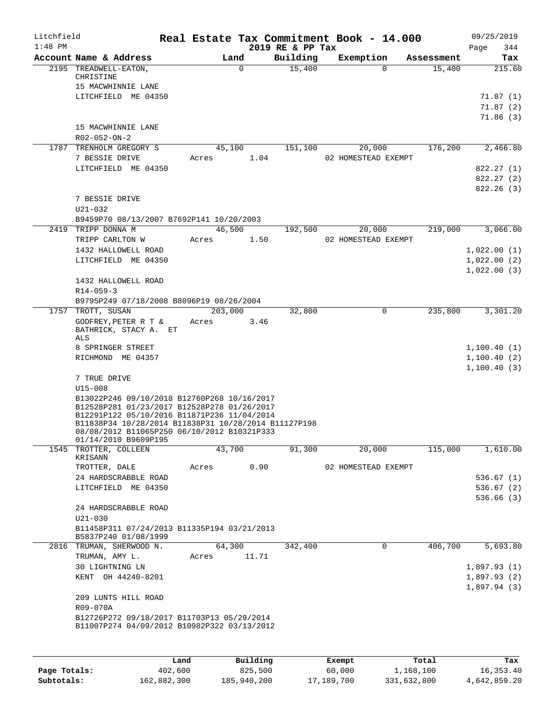| Litchfield   |                                                                                                                                                                                                                                                                          |       |          |                              | Real Estate Tax Commitment Book - 14.000 |            | 09/25/2019         |
|--------------|--------------------------------------------------------------------------------------------------------------------------------------------------------------------------------------------------------------------------------------------------------------------------|-------|----------|------------------------------|------------------------------------------|------------|--------------------|
| $1:48$ PM    | Account Name & Address                                                                                                                                                                                                                                                   |       | Land     | 2019 RE & PP Tax<br>Building | Exemption                                | Assessment | Page<br>344<br>Tax |
|              | 2195 TREADWELL-EATON,<br>CHRISTINE<br>15 MACWHINNIE LANE                                                                                                                                                                                                                 |       | $\Omega$ | 15,400                       | $\Omega$                                 | 15,400     | 215.60             |
|              | LITCHFIELD ME 04350                                                                                                                                                                                                                                                      |       |          |                              |                                          |            | 71.87 (1)          |
|              |                                                                                                                                                                                                                                                                          |       |          |                              |                                          |            | 71.87(2)           |
|              |                                                                                                                                                                                                                                                                          |       |          |                              |                                          |            | 71.86(3)           |
|              | 15 MACWHINNIE LANE<br>R02-052-ON-2                                                                                                                                                                                                                                       |       |          |                              |                                          |            |                    |
|              | 1787 TRENHOLM GREGORY S                                                                                                                                                                                                                                                  |       | 45,100   | 151,100                      | 20,000                                   | 176,200    | 2,466.80           |
|              | 7 BESSIE DRIVE                                                                                                                                                                                                                                                           | Acres | 1.04     |                              | 02 HOMESTEAD EXEMPT                      |            |                    |
|              | LITCHFIELD ME 04350                                                                                                                                                                                                                                                      |       |          |                              |                                          |            | 822.27 (1)         |
|              |                                                                                                                                                                                                                                                                          |       |          |                              |                                          |            | 822.27 (2)         |
|              |                                                                                                                                                                                                                                                                          |       |          |                              |                                          |            | 822.26(3)          |
|              | 7 BESSIE DRIVE<br>U21-032                                                                                                                                                                                                                                                |       |          |                              |                                          |            |                    |
|              | B9459P70 08/13/2007 B7692P141 10/20/2003                                                                                                                                                                                                                                 |       |          |                              |                                          |            |                    |
|              | 2419 TRIPP DONNA M                                                                                                                                                                                                                                                       |       | 46,500   | 192,500                      | 20,000                                   | 219,000    | 3,066.00           |
|              | TRIPP CARLTON W                                                                                                                                                                                                                                                          | Acres | 1.50     |                              | 02 HOMESTEAD EXEMPT                      |            |                    |
|              | 1432 HALLOWELL ROAD                                                                                                                                                                                                                                                      |       |          |                              |                                          |            | 1,022.00(1)        |
|              | LITCHFIELD ME 04350                                                                                                                                                                                                                                                      |       |          |                              |                                          |            | 1,022.00(2)        |
|              |                                                                                                                                                                                                                                                                          |       |          |                              |                                          |            | 1,022.00(3)        |
|              | 1432 HALLOWELL ROAD                                                                                                                                                                                                                                                      |       |          |                              |                                          |            |                    |
|              | $R14 - 059 - 3$                                                                                                                                                                                                                                                          |       |          |                              |                                          |            |                    |
|              | B9795P249 07/18/2008 B8096P19 08/26/2004<br>1757 TROTT, SUSAN                                                                                                                                                                                                            |       | 203,000  | 32,800                       | $\mathbf 0$                              | 235,800    | 3,301.20           |
|              | GODFREY, PETER R T &<br>BATHRICK, STACY A. ET<br>ALS                                                                                                                                                                                                                     | Acres | 3.46     |                              |                                          |            |                    |
|              | 8 SPRINGER STREET                                                                                                                                                                                                                                                        |       |          |                              |                                          |            | 1,100.40(1)        |
|              | RICHMOND ME 04357                                                                                                                                                                                                                                                        |       |          |                              |                                          |            | 1,100.40(2)        |
|              |                                                                                                                                                                                                                                                                          |       |          |                              |                                          |            | 1,100.40(3)        |
|              | 7 TRUE DRIVE<br>$U15 - 008$                                                                                                                                                                                                                                              |       |          |                              |                                          |            |                    |
|              | B13022P246 09/10/2018 B12760P268 10/16/2017<br>B12528P281 01/23/2017 B12528P278 01/26/2017<br>B12291P122 05/10/2016 B11871P236 11/04/2014<br>B11838P34 10/28/2014 B11838P31 10/28/2014 B11127P198<br>08/08/2012 B11065P250 06/10/2012 B10321P333<br>01/14/2010 B9609P195 |       |          |                              |                                          |            |                    |
| 1545         | TROTTER, COLLEEN                                                                                                                                                                                                                                                         |       | 43,700   | 91,300                       | 20,000                                   | 115,000    | 1,610.00           |
|              | KRISANN<br>TROTTER, DALE                                                                                                                                                                                                                                                 | Acres | 0.90     |                              | 02 HOMESTEAD EXEMPT                      |            |                    |
|              | 24 HARDSCRABBLE ROAD                                                                                                                                                                                                                                                     |       |          |                              |                                          |            | 536.67(1)          |
|              | LITCHFIELD ME 04350                                                                                                                                                                                                                                                      |       |          |                              |                                          |            | 536.67(2)          |
|              |                                                                                                                                                                                                                                                                          |       |          |                              |                                          |            | 536.66(3)          |
|              | 24 HARDSCRABBLE ROAD                                                                                                                                                                                                                                                     |       |          |                              |                                          |            |                    |
|              | $U21 - 030$                                                                                                                                                                                                                                                              |       |          |                              |                                          |            |                    |
|              | B11458P311 07/24/2013 B11335P194 03/21/2013<br>B5837P240 01/08/1999                                                                                                                                                                                                      |       |          |                              |                                          |            |                    |
|              | 2816 TRUMAN, SHERWOOD N.                                                                                                                                                                                                                                                 |       | 64,300   | 342,400                      | 0                                        | 406,700    | 5,693.80           |
|              | TRUMAN, AMY L.                                                                                                                                                                                                                                                           | Acres | 11.71    |                              |                                          |            |                    |
|              | 30 LIGHTNING LN                                                                                                                                                                                                                                                          |       |          |                              |                                          |            | 1,897.93(1)        |
|              | KENT OH 44240-8201                                                                                                                                                                                                                                                       |       |          |                              |                                          |            | 1,897.93(2)        |
|              | 209 LUNTS HILL ROAD<br>R09-070A                                                                                                                                                                                                                                          |       |          |                              |                                          |            | 1,897.94(3)        |
|              | B12726P272 09/18/2017 B11703P13 05/29/2014                                                                                                                                                                                                                               |       |          |                              |                                          |            |                    |
|              | B11007P274 04/09/2012 B10982P322 03/13/2012                                                                                                                                                                                                                              |       |          |                              |                                          |            |                    |
|              |                                                                                                                                                                                                                                                                          |       |          |                              |                                          |            |                    |
|              |                                                                                                                                                                                                                                                                          | Land  | Building |                              | Exempt                                   | Total      | Tax                |
| Page Totals: | 402,600                                                                                                                                                                                                                                                                  |       | 825,500  |                              | 60,000                                   | 1,168,100  | 16, 353.40         |

**Subtotals:** 162,882,300 185,940,200 17,189,700 331,632,800 4,642,859.20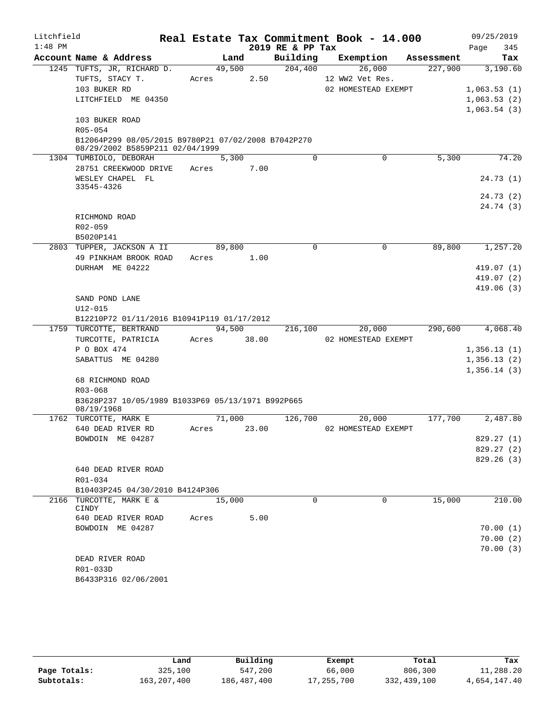| Litchfield |                                                                                        |             |       |                  | Real Estate Tax Commitment Book - 14.000 |            | 09/25/2019  |
|------------|----------------------------------------------------------------------------------------|-------------|-------|------------------|------------------------------------------|------------|-------------|
| $1:48$ PM  |                                                                                        |             |       | 2019 RE & PP Tax |                                          |            | Page<br>345 |
|            | Account Name & Address                                                                 | Land        |       | Building         | Exemption                                | Assessment | Tax         |
|            | 1245 TUFTS, JR, RICHARD D.                                                             | 49,500      |       | 204,400          | 26,000                                   | 227,900    | 3,190.60    |
|            | TUFTS, STACY T.                                                                        | Acres       | 2.50  |                  | 12 WW2 Vet Res.                          |            |             |
|            | 103 BUKER RD                                                                           |             |       |                  | 02 HOMESTEAD EXEMPT                      |            | 1,063.53(1) |
|            | LITCHFIELD ME 04350                                                                    |             |       |                  |                                          |            | 1,063.53(2) |
|            |                                                                                        |             |       |                  |                                          |            | 1,063.54(3) |
|            | 103 BUKER ROAD                                                                         |             |       |                  |                                          |            |             |
|            | R05-054                                                                                |             |       |                  |                                          |            |             |
|            | B12064P299 08/05/2015 B9780P21 07/02/2008 B7042P270<br>08/29/2002 B5859P211 02/04/1999 |             |       |                  |                                          |            |             |
|            | 1304 TUMBIOLO, DEBORAH                                                                 | 5,300       |       | $\Omega$         | 0                                        | 5,300      | 74.20       |
|            | 28751 CREEKWOOD DRIVE                                                                  | Acres       | 7.00  |                  |                                          |            |             |
|            | WESLEY CHAPEL FL                                                                       |             |       |                  |                                          |            | 24.73(1)    |
|            | 33545-4326                                                                             |             |       |                  |                                          |            |             |
|            |                                                                                        |             |       |                  |                                          |            | 24.73 (2)   |
|            | RICHMOND ROAD                                                                          |             |       |                  |                                          |            | 24.74 (3)   |
|            | R02-059                                                                                |             |       |                  |                                          |            |             |
|            | B5020P141                                                                              |             |       |                  |                                          |            |             |
|            | 2803 TUPPER, JACKSON A II                                                              | 89,800      |       | $\mathbf 0$      | 0                                        | 89,800     | 1,257.20    |
|            | 49 PINKHAM BROOK ROAD                                                                  | Acres       | 1.00  |                  |                                          |            |             |
|            | DURHAM ME 04222                                                                        |             |       |                  |                                          |            | 419.07(1)   |
|            |                                                                                        |             |       |                  |                                          |            | 419.07(2)   |
|            |                                                                                        |             |       |                  |                                          |            | 419.06(3)   |
|            | SAND POND LANE                                                                         |             |       |                  |                                          |            |             |
|            | $U12 - 015$                                                                            |             |       |                  |                                          |            |             |
|            | B12210P72 01/11/2016 B10941P119 01/17/2012                                             |             |       |                  |                                          |            |             |
|            | 1759 TURCOTTE, BERTRAND                                                                | 94,500      |       | 216,100          | 20,000                                   | 290,600    | 4,068.40    |
|            | TURCOTTE, PATRICIA                                                                     | Acres 38.00 |       |                  | 02 HOMESTEAD EXEMPT                      |            |             |
|            | P O BOX 474                                                                            |             |       |                  |                                          |            | 1,356.13(1) |
|            | SABATTUS ME 04280                                                                      |             |       |                  |                                          |            | 1,356.13(2) |
|            |                                                                                        |             |       |                  |                                          |            | 1,356.14(3) |
|            | 68 RICHMOND ROAD<br>R03-068                                                            |             |       |                  |                                          |            |             |
|            | B3628P237 10/05/1989 B1033P69 05/13/1971 B992P665                                      |             |       |                  |                                          |            |             |
|            | 08/19/1968                                                                             |             |       |                  |                                          |            |             |
|            | 1762 TURCOTTE, MARK E                                                                  | 71,000      |       | 126,700          | 20,000                                   | 177,700    | 2,487.80    |
|            | 640 DEAD RIVER RD                                                                      | Acres       | 23.00 |                  | 02 HOMESTEAD EXEMPT                      |            |             |
|            | BOWDOIN ME 04287                                                                       |             |       |                  |                                          |            | 829.27 (1)  |
|            |                                                                                        |             |       |                  |                                          |            | 829.27 (2)  |
|            |                                                                                        |             |       |                  |                                          |            | 829.26(3)   |
|            | 640 DEAD RIVER ROAD                                                                    |             |       |                  |                                          |            |             |
|            | $R01 - 034$                                                                            |             |       |                  |                                          |            |             |
|            | B10403P245 04/30/2010 B4124P306<br>2166 TURCOTTE, MARK E &                             | 15,000      |       | $\Omega$         | $\Omega$                                 | 15,000     | 210.00      |
|            | CINDY                                                                                  |             |       |                  |                                          |            |             |
|            | 640 DEAD RIVER ROAD                                                                    | Acres       | 5.00  |                  |                                          |            |             |
|            | BOWDOIN ME 04287                                                                       |             |       |                  |                                          |            | 70.00(1)    |
|            |                                                                                        |             |       |                  |                                          |            | 70.00(2)    |
|            |                                                                                        |             |       |                  |                                          |            | 70.00(3)    |
|            | DEAD RIVER ROAD                                                                        |             |       |                  |                                          |            |             |
|            | R01-033D                                                                               |             |       |                  |                                          |            |             |
|            | B6433P316 02/06/2001                                                                   |             |       |                  |                                          |            |             |

|              | Land        | Building    | Exempt     | Total       | Tax          |
|--------------|-------------|-------------|------------|-------------|--------------|
| Page Totals: | 325,100     | 547,200     | 66,000     | 806,300     | 11,288.20    |
| Subtotals:   | 163,207,400 | 186,487,400 | 17,255,700 | 332,439,100 | 4,654,147.40 |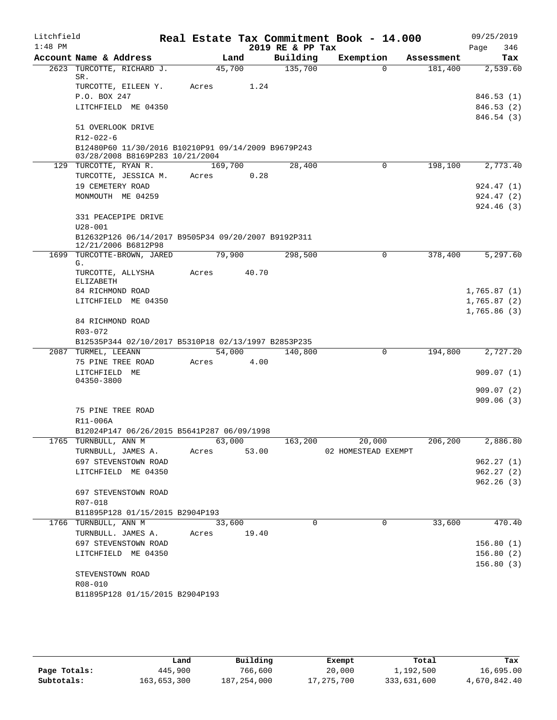| Litchfield |                                                                                        |             |       |                  | Real Estate Tax Commitment Book - 14.000 |            | 09/25/2019  |
|------------|----------------------------------------------------------------------------------------|-------------|-------|------------------|------------------------------------------|------------|-------------|
| $1:48$ PM  |                                                                                        |             |       | 2019 RE & PP Tax |                                          |            | 346<br>Page |
|            | Account Name & Address                                                                 | Land        |       | Building         | Exemption                                | Assessment | Tax         |
| 2623       | TURCOTTE, RICHARD J.<br>SR.                                                            | 45,700      |       | 135,700          | $\Omega$                                 | 181,400    | 2,539.60    |
|            | TURCOTTE, EILEEN Y.                                                                    | Acres       | 1.24  |                  |                                          |            |             |
|            | P.O. BOX 247                                                                           |             |       |                  |                                          |            | 846.53(1)   |
|            | LITCHFIELD ME 04350                                                                    |             |       |                  |                                          |            | 846.53(2)   |
|            |                                                                                        |             |       |                  |                                          |            | 846.54 (3)  |
|            | 51 OVERLOOK DRIVE                                                                      |             |       |                  |                                          |            |             |
|            | R12-022-6                                                                              |             |       |                  |                                          |            |             |
|            | B12480P60 11/30/2016 B10210P91 09/14/2009 B9679P243<br>03/28/2008 B8169P283 10/21/2004 |             |       |                  |                                          |            |             |
|            | 129 TURCOTTE, RYAN R.                                                                  | 169,700     |       | 28,400           | 0                                        | 198,100    | 2,773.40    |
|            | TURCOTTE, JESSICA M.                                                                   | Acres       | 0.28  |                  |                                          |            |             |
|            | 19 CEMETERY ROAD                                                                       |             |       |                  |                                          |            | 924.47 (1)  |
|            | MONMOUTH ME 04259                                                                      |             |       |                  |                                          |            | 924.47(2)   |
|            |                                                                                        |             |       |                  |                                          |            | 924.46(3)   |
|            | 331 PEACEPIPE DRIVE                                                                    |             |       |                  |                                          |            |             |
|            | $U28 - 001$                                                                            |             |       |                  |                                          |            |             |
|            | B12632P126 06/14/2017 B9505P34 09/20/2007 B9192P311<br>12/21/2006 B6812P98             |             |       |                  |                                          |            |             |
|            | 1699 TURCOTTE-BROWN, JARED                                                             | 79,900      |       | 298,500          | $\Omega$                                 | 378,400    | 5,297.60    |
|            | G.                                                                                     |             |       |                  |                                          |            |             |
|            | TURCOTTE, ALLYSHA<br>ELIZABETH                                                         | Acres       | 40.70 |                  |                                          |            |             |
|            | 84 RICHMOND ROAD                                                                       |             |       |                  |                                          |            | 1,765.87(1) |
|            | LITCHFIELD ME 04350                                                                    |             |       |                  |                                          |            | 1,765.87(2) |
|            |                                                                                        |             |       |                  |                                          |            | 1,765.86(3) |
|            | 84 RICHMOND ROAD                                                                       |             |       |                  |                                          |            |             |
|            | R03-072                                                                                |             |       |                  |                                          |            |             |
|            | B12535P344 02/10/2017 B5310P18 02/13/1997 B2853P235                                    |             |       |                  |                                          |            |             |
|            | 2087 TURMEL, LEEANN                                                                    | 54,000      |       | 140,800          | 0                                        | 194,800    | 2,727.20    |
|            | 75 PINE TREE ROAD                                                                      | Acres       | 4.00  |                  |                                          |            |             |
|            | LITCHFIELD ME<br>04350-3800                                                            |             |       |                  |                                          |            | 909.07(1)   |
|            |                                                                                        |             |       |                  |                                          |            | 909.07(2)   |
|            |                                                                                        |             |       |                  |                                          |            | 909.06(3)   |
|            | 75 PINE TREE ROAD                                                                      |             |       |                  |                                          |            |             |
|            | R11-006A                                                                               |             |       |                  |                                          |            |             |
|            | B12024P147 06/26/2015 B5641P287 06/09/1998                                             |             |       |                  |                                          |            |             |
|            | 1765 TURNBULL, ANN M                                                                   | 63,000      |       |                  | $163, 200$ 20,000                        | 206, 200   | 2,886.80    |
|            | TURNBULL, JAMES A.                                                                     | Acres       | 53.00 |                  | 02 HOMESTEAD EXEMPT                      |            | 962.27(1)   |
|            | 697 STEVENSTOWN ROAD<br>LITCHFIELD ME 04350                                            |             |       |                  |                                          |            | 962.27(2)   |
|            |                                                                                        |             |       |                  |                                          |            | 962.26(3)   |
|            | 697 STEVENSTOWN ROAD                                                                   |             |       |                  |                                          |            |             |
|            | R07-018                                                                                |             |       |                  |                                          |            |             |
|            | B11895P128 01/15/2015 B2904P193                                                        |             |       |                  |                                          |            |             |
|            | 1766 TURNBULL, ANN M                                                                   | 33,600      |       | $\Omega$         | $\Omega$                                 | 33,600     | 470.40      |
|            | TURNBULL. JAMES A.                                                                     | Acres 19.40 |       |                  |                                          |            |             |
|            | 697 STEVENSTOWN ROAD                                                                   |             |       |                  |                                          |            | 156.80(1)   |
|            | LITCHFIELD ME 04350                                                                    |             |       |                  |                                          |            | 156.80(2)   |
|            | STEVENSTOWN ROAD                                                                       |             |       |                  |                                          |            | 156.80(3)   |
|            | R08-010                                                                                |             |       |                  |                                          |            |             |
|            | B11895P128 01/15/2015 B2904P193                                                        |             |       |                  |                                          |            |             |
|            |                                                                                        |             |       |                  |                                          |            |             |

|              | Land        | Building    | Exempt       | Total       | Tax          |
|--------------|-------------|-------------|--------------|-------------|--------------|
| Page Totals: | 445,900     | 766,600     | 20,000       | 1,192,500   | 16,695.00    |
| Subtotals:   | 163,653,300 | 187,254,000 | 17, 275, 700 | 333,631,600 | 4,670,842.40 |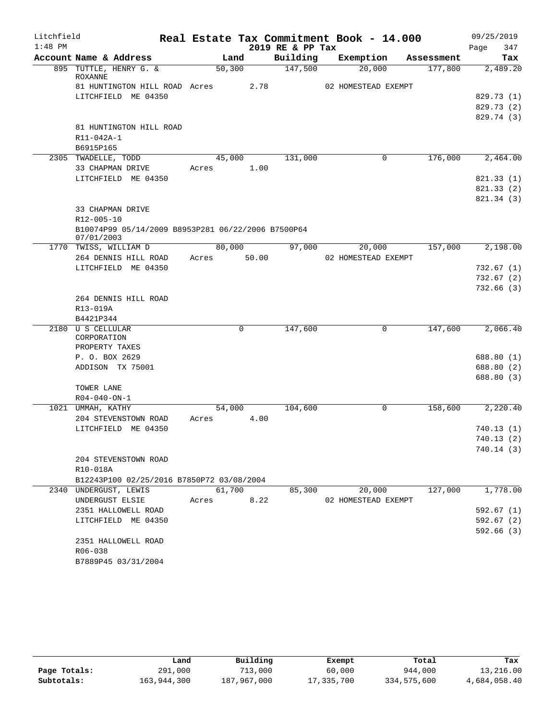| Litchfield |                                                    |         |        |                  | Real Estate Tax Commitment Book - 14.000 |            | 09/25/2019 |          |
|------------|----------------------------------------------------|---------|--------|------------------|------------------------------------------|------------|------------|----------|
| $1:48$ PM  |                                                    |         |        | 2019 RE & PP Tax |                                          |            | Page       | 347      |
|            | Account Name & Address                             |         | Land   | Building         | Exemption                                | Assessment |            | Tax      |
|            | 895 TUTTLE, HENRY G. &<br>ROXANNE                  | 50, 300 |        | 147,500          | 20,000                                   | 177,800    |            | 2,489.20 |
|            | 81 HUNTINGTON HILL ROAD Acres                      |         | 2.78   |                  | 02 HOMESTEAD EXEMPT                      |            |            |          |
|            | LITCHFIELD ME 04350                                |         |        |                  |                                          |            | 829.73 (1) |          |
|            |                                                    |         |        |                  |                                          |            | 829.73 (2) |          |
|            |                                                    |         |        |                  |                                          |            | 829.74 (3) |          |
|            | 81 HUNTINGTON HILL ROAD                            |         |        |                  |                                          |            |            |          |
|            | R11-042A-1                                         |         |        |                  |                                          |            |            |          |
|            | B6915P165                                          |         |        |                  |                                          |            |            |          |
|            | 2305 TWADELLE, TODD                                |         | 45,000 | 131,000          | 0                                        | 176,000    |            | 2,464.00 |
|            | 33 CHAPMAN DRIVE                                   | Acres   | 1.00   |                  |                                          |            |            |          |
|            | LITCHFIELD ME 04350                                |         |        |                  |                                          |            | 821.33 (1) |          |
|            |                                                    |         |        |                  |                                          |            | 821.33 (2) |          |
|            |                                                    |         |        |                  |                                          |            | 821.34(3)  |          |
|            | 33 CHAPMAN DRIVE                                   |         |        |                  |                                          |            |            |          |
|            | R12-005-10                                         |         |        |                  |                                          |            |            |          |
|            | B10074P99 05/14/2009 B8953P281 06/22/2006 B7500P64 |         |        |                  |                                          |            |            |          |
|            | 07/01/2003                                         |         |        |                  |                                          |            |            |          |
|            | 1770 TWISS, WILLIAM D                              | 80,000  |        | 97,000           | 20,000                                   | 157,000    |            | 2,198.00 |
|            | 264 DENNIS HILL ROAD                               | Acres   | 50.00  |                  | 02 HOMESTEAD EXEMPT                      |            |            |          |
|            | LITCHFIELD ME 04350                                |         |        |                  |                                          |            | 732.67 (1) |          |
|            |                                                    |         |        |                  |                                          |            | 732.67(2)  |          |
|            |                                                    |         |        |                  |                                          |            | 732.66 (3) |          |
|            | 264 DENNIS HILL ROAD                               |         |        |                  |                                          |            |            |          |
|            | R13-019A                                           |         |        |                  |                                          |            |            |          |
|            | B4421P344                                          |         |        |                  |                                          |            |            |          |
|            | 2180 U S CELLULAR                                  |         | 0      | 147,600          | 0                                        | 147,600    |            | 2,066.40 |
|            | CORPORATION                                        |         |        |                  |                                          |            |            |          |
|            | PROPERTY TAXES                                     |         |        |                  |                                          |            |            |          |
|            | P. O. BOX 2629                                     |         |        |                  |                                          |            | 688.80 (1) |          |
|            | ADDISON TX 75001                                   |         |        |                  |                                          |            | 688.80 (2) |          |
|            |                                                    |         |        |                  |                                          |            | 688.80 (3) |          |
|            | TOWER LANE                                         |         |        |                  |                                          |            |            |          |
|            | $R04 - 040 - ON - 1$                               |         |        |                  |                                          |            |            |          |
|            | 1021 UMMAH, KATHY                                  | 54,000  |        | 104,600          | 0                                        | 158,600    |            | 2,220.40 |
|            | 204 STEVENSTOWN ROAD                               | Acres   | 4.00   |                  |                                          |            |            |          |
|            | LITCHFIELD ME 04350                                |         |        |                  |                                          |            | 740.13 (1) |          |
|            |                                                    |         |        |                  |                                          |            | 740.13 (2) |          |
|            |                                                    |         |        |                  |                                          |            | 740.14 (3) |          |
|            | 204 STEVENSTOWN ROAD                               |         |        |                  |                                          |            |            |          |
|            | R10-018A                                           |         |        |                  |                                          |            |            |          |
|            | B12243P100 02/25/2016 B7850P72 03/08/2004          |         |        |                  |                                          |            |            |          |
|            | 2340 UNDERGUST, LEWIS                              | 61,700  |        | 85,300           | 20,000                                   | 127,000    |            | 1,778.00 |
|            | UNDERGUST ELSIE                                    | Acres   | 8.22   |                  | 02 HOMESTEAD EXEMPT                      |            |            |          |
|            | 2351 HALLOWELL ROAD                                |         |        |                  |                                          |            | 592.67(1)  |          |
|            | LITCHFIELD ME 04350                                |         |        |                  |                                          |            | 592.67(2)  |          |
|            |                                                    |         |        |                  |                                          |            | 592.66(3)  |          |
|            | 2351 HALLOWELL ROAD                                |         |        |                  |                                          |            |            |          |
|            | R06-038                                            |         |        |                  |                                          |            |            |          |
|            | B7889P45 03/31/2004                                |         |        |                  |                                          |            |            |          |
|            |                                                    |         |        |                  |                                          |            |            |          |

|              | ⊥and        | Building    | Exempt     | Total       | Tax          |
|--------------|-------------|-------------|------------|-------------|--------------|
| Page Totals: | 291,000     | 713,000     | 60,000     | 944,000     | 13,216.00    |
| Subtotals:   | 163,944,300 | 187,967,000 | 17,335,700 | 334,575,600 | 4,684,058.40 |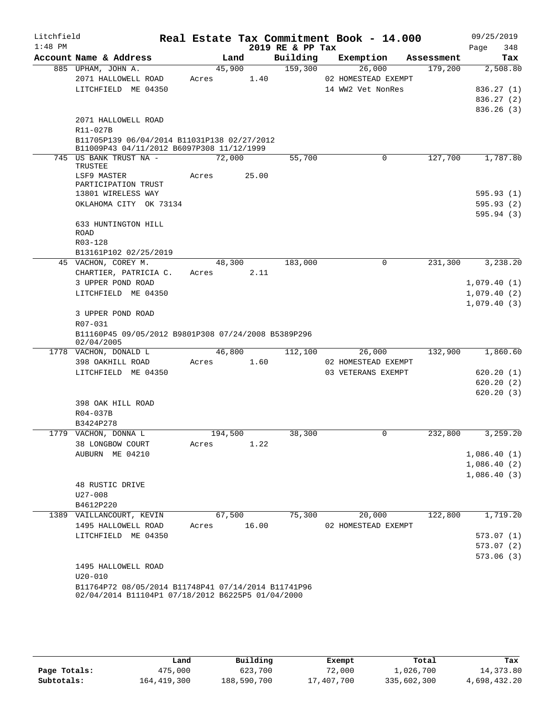| Litchfield<br>$1:48$ PM |                                                                                                          |         |       | 2019 RE & PP Tax | Real Estate Tax Commitment Book - 14.000 |            | 09/25/2019<br>348<br>Page |
|-------------------------|----------------------------------------------------------------------------------------------------------|---------|-------|------------------|------------------------------------------|------------|---------------------------|
|                         | Account Name & Address                                                                                   |         | Land  | Building         | Exemption                                | Assessment | Tax                       |
|                         | 885 UPHAM, JOHN A.                                                                                       | 45,900  |       | 159,300          | 26,000                                   | 179,200    | 2,508.80                  |
|                         | 2071 HALLOWELL ROAD                                                                                      | Acres   | 1.40  |                  | 02 HOMESTEAD EXEMPT                      |            |                           |
|                         | LITCHFIELD ME 04350                                                                                      |         |       |                  | 14 WW2 Vet NonRes                        |            | 836.27(1)                 |
|                         |                                                                                                          |         |       |                  |                                          |            | 836.27 (2)                |
|                         |                                                                                                          |         |       |                  |                                          |            | 836.26(3)                 |
|                         | 2071 HALLOWELL ROAD                                                                                      |         |       |                  |                                          |            |                           |
|                         | R11-027B                                                                                                 |         |       |                  |                                          |            |                           |
|                         | B11705P139 06/04/2014 B11031P138 02/27/2012<br>B11009P43 04/11/2012 B6097P308 11/12/1999                 |         |       |                  |                                          |            |                           |
|                         | 745 US BANK TRUST NA -                                                                                   | 72,000  |       | 55,700           | 0                                        | 127,700    | 1,787.80                  |
|                         | TRUSTEE                                                                                                  |         |       |                  |                                          |            |                           |
|                         | LSF9 MASTER                                                                                              | Acres   | 25.00 |                  |                                          |            |                           |
|                         | PARTICIPATION TRUST                                                                                      |         |       |                  |                                          |            |                           |
|                         | 13801 WIRELESS WAY                                                                                       |         |       |                  |                                          |            | 595.93(1)                 |
|                         | OKLAHOMA CITY OK 73134                                                                                   |         |       |                  |                                          |            | 595.93(2)                 |
|                         |                                                                                                          |         |       |                  |                                          |            | 595.94(3)                 |
|                         | 633 HUNTINGTON HILL                                                                                      |         |       |                  |                                          |            |                           |
|                         | <b>ROAD</b><br>R03-128                                                                                   |         |       |                  |                                          |            |                           |
|                         | B13161P102 02/25/2019                                                                                    |         |       |                  |                                          |            |                           |
|                         | 45 VACHON, COREY M.                                                                                      | 48,300  |       | 183,000          | 0                                        | 231,300    | 3,238.20                  |
|                         | CHARTIER, PATRICIA C.                                                                                    | Acres   | 2.11  |                  |                                          |            |                           |
|                         | 3 UPPER POND ROAD                                                                                        |         |       |                  |                                          |            | 1,079.40(1)               |
|                         | LITCHFIELD ME 04350                                                                                      |         |       |                  |                                          |            | 1,079.40(2)               |
|                         |                                                                                                          |         |       |                  |                                          |            | 1,079.40(3)               |
|                         | 3 UPPER POND ROAD                                                                                        |         |       |                  |                                          |            |                           |
|                         | R07-031                                                                                                  |         |       |                  |                                          |            |                           |
|                         | B11160P45 09/05/2012 B9801P308 07/24/2008 B5389P296                                                      |         |       |                  |                                          |            |                           |
|                         | 02/04/2005                                                                                               |         |       |                  |                                          |            |                           |
|                         | 1778 VACHON, DONALD L                                                                                    | 46,800  |       | 112,100          | 26,000                                   | 132,900    | 1,860.60                  |
|                         | 398 OAKHILL ROAD                                                                                         | Acres   | 1.60  |                  | 02 HOMESTEAD EXEMPT                      |            |                           |
|                         | LITCHFIELD ME 04350                                                                                      |         |       |                  | 03 VETERANS EXEMPT                       |            | 620.20(1)                 |
|                         |                                                                                                          |         |       |                  |                                          |            | 620.20(2)                 |
|                         |                                                                                                          |         |       |                  |                                          |            | 620.20(3)                 |
|                         | 398 OAK HILL ROAD                                                                                        |         |       |                  |                                          |            |                           |
|                         | R04-037B                                                                                                 |         |       |                  |                                          |            |                           |
|                         | B3424P278                                                                                                |         |       |                  |                                          |            |                           |
|                         | 1779 VACHON, DONNA L                                                                                     | 194,500 |       | 38,300           | 0                                        | 232,800    | 3,259.20                  |
|                         | 38 LONGBOW COURT                                                                                         | Acres   | 1.22  |                  |                                          |            |                           |
|                         | AUBURN ME 04210                                                                                          |         |       |                  |                                          |            | 1,086.40(1)               |
|                         |                                                                                                          |         |       |                  |                                          |            | 1,086.40(2)               |
|                         |                                                                                                          |         |       |                  |                                          |            | 1,086.40(3)               |
|                         | 48 RUSTIC DRIVE                                                                                          |         |       |                  |                                          |            |                           |
|                         | $U27 - 008$                                                                                              |         |       |                  |                                          |            |                           |
|                         | B4612P220                                                                                                |         |       |                  |                                          |            |                           |
|                         | 1389 VAILLANCOURT, KEVIN                                                                                 | 67,500  |       | 75,300           | 20,000                                   | 122,800    | 1,719.20                  |
|                         | 1495 HALLOWELL ROAD                                                                                      | Acres   | 16.00 |                  | 02 HOMESTEAD EXEMPT                      |            |                           |
|                         | LITCHFIELD ME 04350                                                                                      |         |       |                  |                                          |            | 573.07(1)                 |
|                         |                                                                                                          |         |       |                  |                                          |            | 573.07 (2)                |
|                         |                                                                                                          |         |       |                  |                                          |            | 573.06(3)                 |
|                         | 1495 HALLOWELL ROAD                                                                                      |         |       |                  |                                          |            |                           |
|                         | $U20 - 010$                                                                                              |         |       |                  |                                          |            |                           |
|                         | B11764P72 08/05/2014 B11748P41 07/14/2014 B11741P96<br>02/04/2014 B11104P1 07/18/2012 B6225P5 01/04/2000 |         |       |                  |                                          |            |                           |
|                         |                                                                                                          |         |       |                  |                                          |            |                           |

|              | Land        | Building    | Exempt     | Total       | Tax          |
|--------------|-------------|-------------|------------|-------------|--------------|
|              |             |             |            |             |              |
| Page Totals: | 475,000     | 623,700     | 72,000     | 1,026,700   | 14, 373.80   |
| Subtotals:   | 164,419,300 | 188,590,700 | 17,407,700 | 335,602,300 | 4,698,432.20 |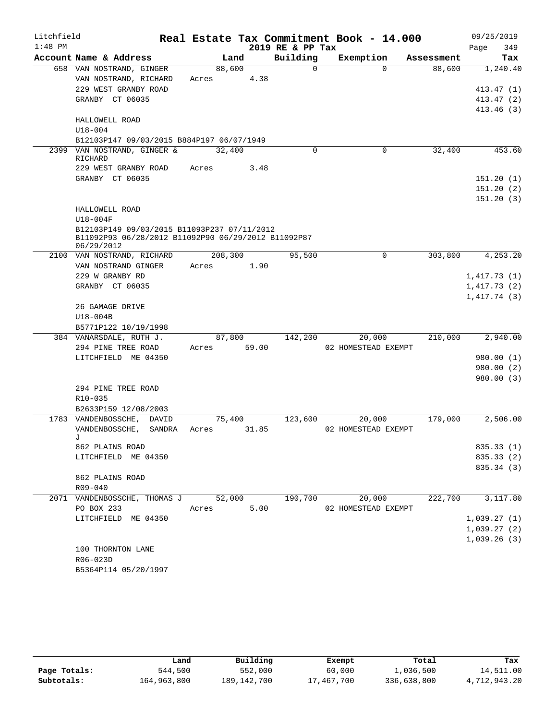| Litchfield |                                                     |             |      |                  | Real Estate Tax Commitment Book - 14.000 |            | 09/25/2019               |
|------------|-----------------------------------------------------|-------------|------|------------------|------------------------------------------|------------|--------------------------|
| $1:48$ PM  |                                                     |             |      | 2019 RE & PP Tax |                                          |            | 349<br>Page              |
|            | Account Name & Address                              | Land        |      | Building         | Exemption                                | Assessment | Tax                      |
|            | 658 VAN NOSTRAND, GINGER                            | 88,600      |      | $\Omega$         | $\Omega$                                 | 88,600     | 1,240.40                 |
|            | VAN NOSTRAND, RICHARD                               | Acres       | 4.38 |                  |                                          |            |                          |
|            | 229 WEST GRANBY ROAD                                |             |      |                  |                                          |            | 413.47(1)                |
|            | GRANBY CT 06035                                     |             |      |                  |                                          |            | 413.47(2)                |
|            |                                                     |             |      |                  |                                          |            | 413.46(3)                |
|            | HALLOWELL ROAD                                      |             |      |                  |                                          |            |                          |
|            | $U18 - 004$                                         |             |      |                  |                                          |            |                          |
|            | B12103P147 09/03/2015 B884P197 06/07/1949           |             |      |                  |                                          |            |                          |
|            | 2399 VAN NOSTRAND, GINGER &<br>RICHARD              | 32,400      |      | $\Omega$         | $\Omega$                                 | 32,400     | 453.60                   |
|            | 229 WEST GRANBY ROAD                                | Acres       | 3.48 |                  |                                          |            |                          |
|            | GRANBY CT 06035                                     |             |      |                  |                                          |            | 151.20(1)                |
|            |                                                     |             |      |                  |                                          |            | 151.20(2)                |
|            |                                                     |             |      |                  |                                          |            | 151.20(3)                |
|            | HALLOWELL ROAD                                      |             |      |                  |                                          |            |                          |
|            | $U18-004F$                                          |             |      |                  |                                          |            |                          |
|            | B12103P149 09/03/2015 B11093P237 07/11/2012         |             |      |                  |                                          |            |                          |
|            | B11092P93 06/28/2012 B11092P90 06/29/2012 B11092P87 |             |      |                  |                                          |            |                          |
|            | 06/29/2012                                          |             |      |                  |                                          |            |                          |
|            | 2100 VAN NOSTRAND, RICHARD                          | 208,300     |      | 95,500           | $\Omega$                                 | 303,800    | 4,253.20                 |
|            | VAN NOSTRAND GINGER                                 | Acres       | 1.90 |                  |                                          |            |                          |
|            | 229 W GRANBY RD                                     |             |      |                  |                                          |            | 1,417.73(1)              |
|            | GRANBY CT 06035                                     |             |      |                  |                                          |            | 1,417.73(2)              |
|            | 26 GAMAGE DRIVE                                     |             |      |                  |                                          |            | 1,417.74(3)              |
|            | U18-004B                                            |             |      |                  |                                          |            |                          |
|            | B5771P122 10/19/1998                                |             |      |                  |                                          |            |                          |
|            | 384 VANARSDALE, RUTH J.                             | 87,800      |      | 142,200          | 20,000                                   | 210,000    | 2,940.00                 |
|            | 294 PINE TREE ROAD                                  | Acres 59.00 |      |                  | 02 HOMESTEAD EXEMPT                      |            |                          |
|            | LITCHFIELD ME 04350                                 |             |      |                  |                                          |            | 980.00 (1)               |
|            |                                                     |             |      |                  |                                          |            | 980.00(2)                |
|            |                                                     |             |      |                  |                                          |            | 980.00(3)                |
|            | 294 PINE TREE ROAD                                  |             |      |                  |                                          |            |                          |
|            | R10-035                                             |             |      |                  |                                          |            |                          |
|            | B2633P159 12/08/2003                                |             |      |                  |                                          |            |                          |
|            | 1783 VANDENBOSSCHE, DAVID                           | 75,400      |      | 123,600          | 20,000                                   | 179,000    | 2,506.00                 |
|            | VANDENBOSSCHE,<br>SANDRA                            | Acres 31.85 |      |                  | 02 HOMESTEAD EXEMPT                      |            |                          |
|            | J                                                   |             |      |                  |                                          |            |                          |
|            | 862 PLAINS ROAD                                     |             |      |                  |                                          |            | 835.33(1)                |
|            | LITCHFIELD ME 04350                                 |             |      |                  |                                          |            | 835.33 (2)<br>835.34 (3) |
|            | 862 PLAINS ROAD                                     |             |      |                  |                                          |            |                          |
|            | R09-040                                             |             |      |                  |                                          |            |                          |
|            | 2071 VANDENBOSSCHE, THOMAS J                        | 52,000      |      | 190,700          | 20,000                                   | 222,700    | 3,117.80                 |
|            | PO BOX 233                                          | Acres       | 5.00 |                  | 02 HOMESTEAD EXEMPT                      |            |                          |
|            | LITCHFIELD ME 04350                                 |             |      |                  |                                          |            | 1,039.27(1)              |
|            |                                                     |             |      |                  |                                          |            | 1,039.27(2)              |
|            |                                                     |             |      |                  |                                          |            | 1,039.26(3)              |
|            | 100 THORNTON LANE                                   |             |      |                  |                                          |            |                          |
|            | R06-023D                                            |             |      |                  |                                          |            |                          |
|            | B5364P114 05/20/1997                                |             |      |                  |                                          |            |                          |

|              | Land        | Building    | Exempt     | Total       | Tax          |
|--------------|-------------|-------------|------------|-------------|--------------|
| Page Totals: | 544,500     | 552,000     | 60,000     | 1,036,500   | 14,511.00    |
| Subtotals:   | 164,963,800 | 189,142,700 | 17,467,700 | 336,638,800 | 4,712,943.20 |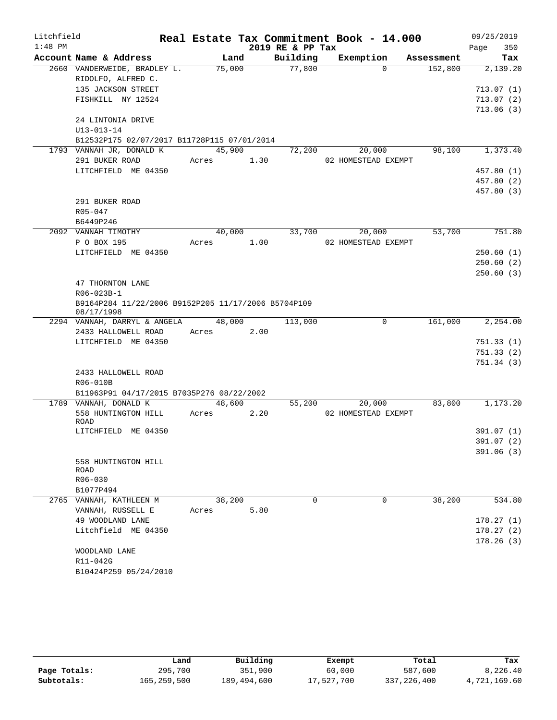| Litchfield |                                                                   |                 |      |                  | Real Estate Tax Commitment Book - 14.000 |            |         | 09/25/2019  |
|------------|-------------------------------------------------------------------|-----------------|------|------------------|------------------------------------------|------------|---------|-------------|
| $1:48$ PM  |                                                                   |                 |      | 2019 RE & PP Tax |                                          |            |         | Page<br>350 |
|            | Account Name & Address                                            | Land            |      | Building         | Exemption                                | Assessment |         | Tax         |
|            | 2660 VANDERWEIDE, BRADLEY L.                                      | 75,000          |      | 77,800           | $\Omega$                                 |            | 152,800 | 2,139.20    |
|            | RIDOLFO, ALFRED C.                                                |                 |      |                  |                                          |            |         |             |
|            | 135 JACKSON STREET                                                |                 |      |                  |                                          |            |         | 713.07(1)   |
|            | FISHKILL NY 12524                                                 |                 |      |                  |                                          |            |         | 713.07(2)   |
|            |                                                                   |                 |      |                  |                                          |            |         | 713.06(3)   |
|            | 24 LINTONIA DRIVE                                                 |                 |      |                  |                                          |            |         |             |
|            | $U13 - 013 - 14$<br>B12532P175 02/07/2017 B11728P115 07/01/2014   |                 |      |                  |                                          |            |         |             |
|            | 1793 VANNAH JR, DONALD K                                          | 45,900          |      | 72,200           | 20,000                                   |            | 98,100  | 1,373.40    |
|            | 291 BUKER ROAD                                                    | Acres           | 1.30 |                  | 02 HOMESTEAD EXEMPT                      |            |         |             |
|            | LITCHFIELD ME 04350                                               |                 |      |                  |                                          |            |         | 457.80 (1)  |
|            |                                                                   |                 |      |                  |                                          |            |         | 457.80 (2)  |
|            |                                                                   |                 |      |                  |                                          |            |         | 457.80 (3)  |
|            | 291 BUKER ROAD                                                    |                 |      |                  |                                          |            |         |             |
|            | $R05 - 047$                                                       |                 |      |                  |                                          |            |         |             |
|            | B6449P246                                                         |                 |      |                  |                                          |            |         |             |
|            | 2092 VANNAH TIMOTHY                                               | 40,000          |      | 33,700           | 20,000                                   |            | 53,700  | 751.80      |
|            | P O BOX 195                                                       | Acres           | 1.00 |                  | 02 HOMESTEAD EXEMPT                      |            |         |             |
|            | LITCHFIELD ME 04350                                               |                 |      |                  |                                          |            |         | 250.60(1)   |
|            |                                                                   |                 |      |                  |                                          |            |         | 250.60(2)   |
|            |                                                                   |                 |      |                  |                                          |            |         | 250.60(3)   |
|            | 47 THORNTON LANE                                                  |                 |      |                  |                                          |            |         |             |
|            | R06-023B-1                                                        |                 |      |                  |                                          |            |         |             |
|            | B9164P284 11/22/2006 B9152P205 11/17/2006 B5704P109<br>08/17/1998 |                 |      |                  |                                          |            |         |             |
|            | 2294 VANNAH, DARRYL & ANGELA                                      | 48,000          |      | 113,000          | $\mathbf 0$                              |            | 161,000 | 2,254.00    |
|            | 2433 HALLOWELL ROAD                                               | Acres           | 2.00 |                  |                                          |            |         |             |
|            | LITCHFIELD ME 04350                                               |                 |      |                  |                                          |            |         | 751.33(1)   |
|            |                                                                   |                 |      |                  |                                          |            |         | 751.33(2)   |
|            |                                                                   |                 |      |                  |                                          |            |         | 751.34(3)   |
|            | 2433 HALLOWELL ROAD                                               |                 |      |                  |                                          |            |         |             |
|            | R06-010B                                                          |                 |      |                  |                                          |            |         |             |
|            | B11963P91 04/17/2015 B7035P276 08/22/2002                         |                 |      |                  |                                          |            |         |             |
|            | 1789 VANNAH, DONALD K<br>558 HUNTINGTON HILL                      | 48,600<br>Acres | 2.20 | 55,200           | 20,000<br>02 HOMESTEAD EXEMPT            |            | 83,800  | 1,173.20    |
|            | ROAD                                                              |                 |      |                  |                                          |            |         |             |
|            | LITCHFIELD ME 04350                                               |                 |      |                  |                                          |            |         | 391.07 (1)  |
|            |                                                                   |                 |      |                  |                                          |            |         | 391.07 (2)  |
|            |                                                                   |                 |      |                  |                                          |            |         | 391.06(3)   |
|            | 558 HUNTINGTON HILL                                               |                 |      |                  |                                          |            |         |             |
|            | ROAD                                                              |                 |      |                  |                                          |            |         |             |
|            | R06-030                                                           |                 |      |                  |                                          |            |         |             |
|            | B1077P494                                                         |                 |      |                  |                                          |            |         |             |
|            | 2765 VANNAH, KATHLEEN M                                           | 38,200          |      | $\Omega$         | $\Omega$                                 |            | 38,200  | 534.80      |
|            | VANNAH, RUSSELL E                                                 | Acres           | 5.80 |                  |                                          |            |         |             |
|            | 49 WOODLAND LANE                                                  |                 |      |                  |                                          |            |         | 178.27(1)   |
|            | Litchfield ME 04350                                               |                 |      |                  |                                          |            |         | 178.27(2)   |
|            |                                                                   |                 |      |                  |                                          |            |         | 178.26(3)   |
|            | WOODLAND LANE<br>R11-042G                                         |                 |      |                  |                                          |            |         |             |
|            | B10424P259 05/24/2010                                             |                 |      |                  |                                          |            |         |             |
|            |                                                                   |                 |      |                  |                                          |            |         |             |

|              | Land        | Building    | Exempt     | Total       | Tax          |
|--------------|-------------|-------------|------------|-------------|--------------|
| Page Totals: | 295,700     | 351,900     | 60,000     | 587,600     | 8,226.40     |
| Subtotals:   | 165,259,500 | 189,494,600 | 17,527,700 | 337,226,400 | 4,721,169.60 |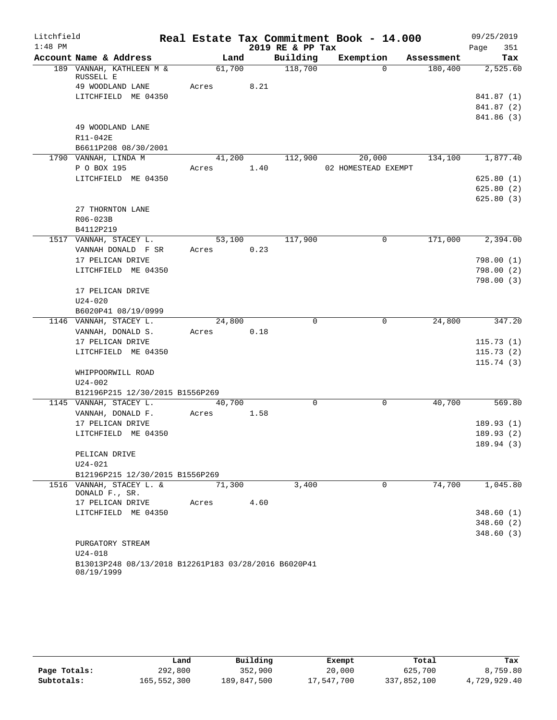| Litchfield |                                                                    |            |        |      | Real Estate Tax Commitment Book - 14.000 |                     |            | 09/25/2019 |            |
|------------|--------------------------------------------------------------------|------------|--------|------|------------------------------------------|---------------------|------------|------------|------------|
| $1:48$ PM  |                                                                    |            |        |      | 2019 RE & PP Tax                         |                     |            | Page       | 351        |
|            | Account Name & Address                                             |            | Land   |      | Building                                 | Exemption           | Assessment |            | Tax        |
|            | 189 VANNAH, KATHLEEN M &                                           |            | 61,700 |      | 118,700                                  | $\Omega$            | 180,400    |            | 2,525.60   |
|            | RUSSELL E<br>49 WOODLAND LANE                                      | Acres      |        | 8.21 |                                          |                     |            |            |            |
|            | LITCHFIELD ME 04350                                                |            |        |      |                                          |                     |            |            | 841.87 (1) |
|            |                                                                    |            |        |      |                                          |                     |            |            | 841.87 (2) |
|            |                                                                    |            |        |      |                                          |                     |            |            | 841.86 (3) |
|            | 49 WOODLAND LANE                                                   |            |        |      |                                          |                     |            |            |            |
|            | R11-042E                                                           |            |        |      |                                          |                     |            |            |            |
|            | B6611P208 08/30/2001                                               |            |        |      |                                          |                     |            |            |            |
|            | 1790 VANNAH, LINDA M                                               |            |        |      | $41,200$ $112,900$ $20,000$              |                     | 134,100    |            | 1,877.40   |
|            | P O BOX 195                                                        | Acres      |        | 1.40 |                                          | 02 HOMESTEAD EXEMPT |            |            |            |
|            | LITCHFIELD ME 04350                                                |            |        |      |                                          |                     |            |            | 625.80(1)  |
|            |                                                                    |            |        |      |                                          |                     |            |            | 625.80(2)  |
|            |                                                                    |            |        |      |                                          |                     |            |            | 625.80(3)  |
|            | 27 THORNTON LANE                                                   |            |        |      |                                          |                     |            |            |            |
|            | R06-023B                                                           |            |        |      |                                          |                     |            |            |            |
|            | B4112P219                                                          |            |        |      |                                          |                     |            |            |            |
|            | 1517 VANNAH, STACEY L.                                             |            | 53,100 |      | 117,900                                  | 0                   | 171,000    |            | 2,394.00   |
|            | VANNAH DONALD F SR                                                 | Acres      |        | 0.23 |                                          |                     |            |            |            |
|            | 17 PELICAN DRIVE                                                   |            |        |      |                                          |                     |            |            | 798.00(1)  |
|            | LITCHFIELD ME 04350                                                |            |        |      |                                          |                     |            |            | 798.00 (2) |
|            |                                                                    |            |        |      |                                          |                     |            |            | 798.00(3)  |
|            | 17 PELICAN DRIVE                                                   |            |        |      |                                          |                     |            |            |            |
|            | $U24 - 020$                                                        |            |        |      |                                          |                     |            |            |            |
|            | B6020P41 08/19/0999                                                |            |        |      |                                          |                     |            |            |            |
|            | 1146 VANNAH, STACEY L.                                             |            | 24,800 |      | $\Omega$                                 | $\Omega$            | 24,800     |            | 347.20     |
|            | VANNAH, DONALD S.                                                  | Acres 0.18 |        |      |                                          |                     |            |            |            |
|            | 17 PELICAN DRIVE                                                   |            |        |      |                                          |                     |            |            | 115.73(1)  |
|            | LITCHFIELD ME 04350                                                |            |        |      |                                          |                     |            |            | 115.73(2)  |
|            |                                                                    |            |        |      |                                          |                     |            |            | 115.74(3)  |
|            | WHIPPOORWILL ROAD                                                  |            |        |      |                                          |                     |            |            |            |
|            | U24-002                                                            |            |        |      |                                          |                     |            |            |            |
|            | B12196P215 12/30/2015 B1556P269                                    |            |        |      |                                          |                     |            |            |            |
|            | 1145 VANNAH, STACEY L.                                             |            | 40,700 |      | 0                                        | 0                   | 40,700     |            | 569.80     |
|            | VANNAH, DONALD F.                                                  | Acres      |        | 1.58 |                                          |                     |            |            |            |
|            | 17 PELICAN DRIVE                                                   |            |        |      |                                          |                     |            |            | 189.93(1)  |
|            | LITCHFIELD ME 04350                                                |            |        |      |                                          |                     |            |            | 189.93(2)  |
|            |                                                                    |            |        |      |                                          |                     |            |            | 189.94(3)  |
|            | PELICAN DRIVE                                                      |            |        |      |                                          |                     |            |            |            |
|            | U24-021                                                            |            |        |      |                                          |                     |            |            |            |
|            | B12196P215 12/30/2015 B1556P269<br>1516 VANNAH, STACEY L. &        |            |        |      | 3,400                                    | $\mathbf 0$         | 74,700     |            |            |
|            | DONALD F., SR.                                                     |            | 71,300 |      |                                          |                     |            |            | 1,045.80   |
|            | 17 PELICAN DRIVE                                                   | Acres      |        | 4.60 |                                          |                     |            |            |            |
|            | LITCHFIELD ME 04350                                                |            |        |      |                                          |                     |            |            | 348.60(1)  |
|            |                                                                    |            |        |      |                                          |                     |            |            | 348.60(2)  |
|            |                                                                    |            |        |      |                                          |                     |            |            | 348.60(3)  |
|            | PURGATORY STREAM                                                   |            |        |      |                                          |                     |            |            |            |
|            | $U24 - 018$                                                        |            |        |      |                                          |                     |            |            |            |
|            | B13013P248 08/13/2018 B12261P183 03/28/2016 B6020P41<br>08/19/1999 |            |        |      |                                          |                     |            |            |            |

|              | Land        | Building    | Exempt     | Total       | Tax          |
|--------------|-------------|-------------|------------|-------------|--------------|
| Page Totals: | 292,800     | 352,900     | 20,000     | 625,700     | 8,759.80     |
| Subtotals:   | 165,552,300 | 189,847,500 | 17,547,700 | 337,852,100 | 4,729,929.40 |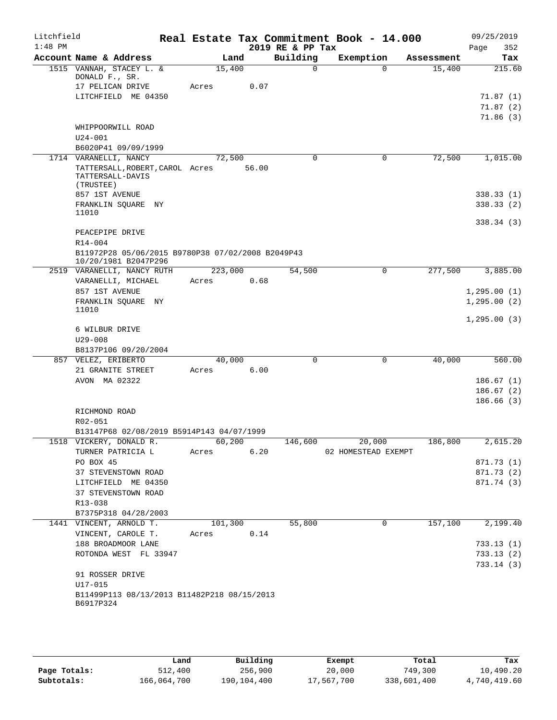| Litchfield<br>$1:48$ PM |                                                                      |       |         |       | 2019 RE & PP Tax | Real Estate Tax Commitment Book - 14.000 |             |            | Page | 09/25/2019<br>352 |
|-------------------------|----------------------------------------------------------------------|-------|---------|-------|------------------|------------------------------------------|-------------|------------|------|-------------------|
|                         | Account Name & Address                                               |       | Land    |       | Building         | Exemption                                |             | Assessment |      | Tax               |
|                         | 1515 VANNAH, STACEY L. &<br>DONALD F., SR.                           |       | 15,400  |       | $\Omega$         |                                          | $\Omega$    | 15,400     |      | 215.60            |
|                         | 17 PELICAN DRIVE                                                     | Acres |         | 0.07  |                  |                                          |             |            |      |                   |
|                         | LITCHFIELD ME 04350                                                  |       |         |       |                  |                                          |             |            |      | 71.87(1)          |
|                         |                                                                      |       |         |       |                  |                                          |             |            |      | 71.87 (2)         |
|                         |                                                                      |       |         |       |                  |                                          |             |            |      | 71.86(3)          |
|                         | WHIPPOORWILL ROAD                                                    |       |         |       |                  |                                          |             |            |      |                   |
|                         | $U24 - 001$                                                          |       |         |       |                  |                                          |             |            |      |                   |
|                         | B6020P41 09/09/1999                                                  |       |         |       |                  |                                          |             |            |      |                   |
|                         | 1714 VARANELLI, NANCY                                                |       | 72,500  |       | $\Omega$         |                                          | 0           | 72,500     |      | 1,015.00          |
|                         | TATTERSALL, ROBERT, CAROL Acres<br>TATTERSALL-DAVIS<br>(TRUSTEE)     |       |         | 56.00 |                  |                                          |             |            |      |                   |
|                         | 857 1ST AVENUE                                                       |       |         |       |                  |                                          |             |            |      | 338.33(1)         |
|                         | FRANKLIN SQUARE NY<br>11010                                          |       |         |       |                  |                                          |             |            |      | 338.33(2)         |
|                         |                                                                      |       |         |       |                  |                                          |             |            |      | 338.34(3)         |
|                         | PEACEPIPE DRIVE                                                      |       |         |       |                  |                                          |             |            |      |                   |
|                         | $R14 - 004$                                                          |       |         |       |                  |                                          |             |            |      |                   |
|                         | B11972P28 05/06/2015 B9780P38 07/02/2008 B2049P43                    |       |         |       |                  |                                          |             |            |      |                   |
|                         | 10/20/1981 B2047P296                                                 |       |         |       |                  |                                          |             |            |      |                   |
|                         | 2519 VARANELLI, NANCY RUTH                                           |       | 223,000 |       | 54,500           |                                          | $\mathbf 0$ | 277,500    |      | 3,885.00          |
|                         | VARANELLI, MICHAEL                                                   | Acres |         | 0.68  |                  |                                          |             |            |      |                   |
|                         | 857 1ST AVENUE                                                       |       |         |       |                  |                                          |             |            |      | 1, 295.00(1)      |
|                         | FRANKLIN SQUARE NY                                                   |       |         |       |                  |                                          |             |            |      | 1, 295.00(2)      |
|                         | 11010                                                                |       |         |       |                  |                                          |             |            |      |                   |
|                         |                                                                      |       |         |       |                  |                                          |             |            |      | 1, 295.00(3)      |
|                         | 6 WILBUR DRIVE                                                       |       |         |       |                  |                                          |             |            |      |                   |
|                         | $U29 - 008$                                                          |       |         |       |                  |                                          |             |            |      |                   |
|                         | B8137P106 09/20/2004                                                 |       |         |       |                  |                                          |             |            |      |                   |
|                         | 857 VELEZ, ERIBERTO                                                  |       | 40,000  |       | $\mathbf 0$      |                                          | $\mathbf 0$ | 40,000     |      | 560.00            |
|                         | 21 GRANITE STREET                                                    | Acres |         | 6.00  |                  |                                          |             |            |      |                   |
|                         | AVON MA 02322                                                        |       |         |       |                  |                                          |             |            |      | 186.67(1)         |
|                         |                                                                      |       |         |       |                  |                                          |             |            |      | 186.67(2)         |
|                         |                                                                      |       |         |       |                  |                                          |             |            |      | 186.66(3)         |
|                         | RICHMOND ROAD                                                        |       |         |       |                  |                                          |             |            |      |                   |
|                         | R02-051                                                              |       |         |       |                  |                                          |             |            |      |                   |
|                         | B13147P68 02/08/2019 B5914P143 04/07/1999<br>1518 VICKERY, DONALD R. |       |         |       |                  |                                          |             |            |      | 2,615.20          |
|                         | TURNER PATRICIA L                                                    | Acres | 60,200  | 6.20  |                  | 146,600<br>20,000<br>02 HOMESTEAD EXEMPT |             | 186,800    |      |                   |
|                         | PO BOX 45                                                            |       |         |       |                  |                                          |             |            |      | 871.73 (1)        |
|                         | 37 STEVENSTOWN ROAD                                                  |       |         |       |                  |                                          |             |            |      | 871.73 (2)        |
|                         | LITCHFIELD ME 04350                                                  |       |         |       |                  |                                          |             |            |      | 871.74 (3)        |
|                         | 37 STEVENSTOWN ROAD                                                  |       |         |       |                  |                                          |             |            |      |                   |
|                         | R13-038                                                              |       |         |       |                  |                                          |             |            |      |                   |
|                         | B7375P318 04/28/2003                                                 |       |         |       |                  |                                          |             |            |      |                   |
|                         | 1441 VINCENT, ARNOLD T.                                              |       | 101,300 |       | 55,800           |                                          | 0           | 157,100    |      | 2,199.40          |
|                         | VINCENT, CAROLE T.                                                   |       | Acres   | 0.14  |                  |                                          |             |            |      |                   |
|                         | 188 BROADMOOR LANE                                                   |       |         |       |                  |                                          |             |            |      | 733.13(1)         |
|                         | ROTONDA WEST FL 33947                                                |       |         |       |                  |                                          |             |            |      | 733.13(2)         |
|                         |                                                                      |       |         |       |                  |                                          |             |            |      | 733.14(3)         |
|                         | 91 ROSSER DRIVE                                                      |       |         |       |                  |                                          |             |            |      |                   |
|                         | U17-015                                                              |       |         |       |                  |                                          |             |            |      |                   |
|                         | B11499P113 08/13/2013 B11482P218 08/15/2013                          |       |         |       |                  |                                          |             |            |      |                   |
|                         | B6917P324                                                            |       |         |       |                  |                                          |             |            |      |                   |
|                         |                                                                      |       |         |       |                  |                                          |             |            |      |                   |

|              | Land        | Building    | Exempt     | Total       | Tax          |
|--------------|-------------|-------------|------------|-------------|--------------|
| Page Totals: | 512,400     | 256,900     | 20,000     | 749,300     | 10,490.20    |
| Subtotals:   | 166,064,700 | 190,104,400 | 17,567,700 | 338,601,400 | 4,740,419.60 |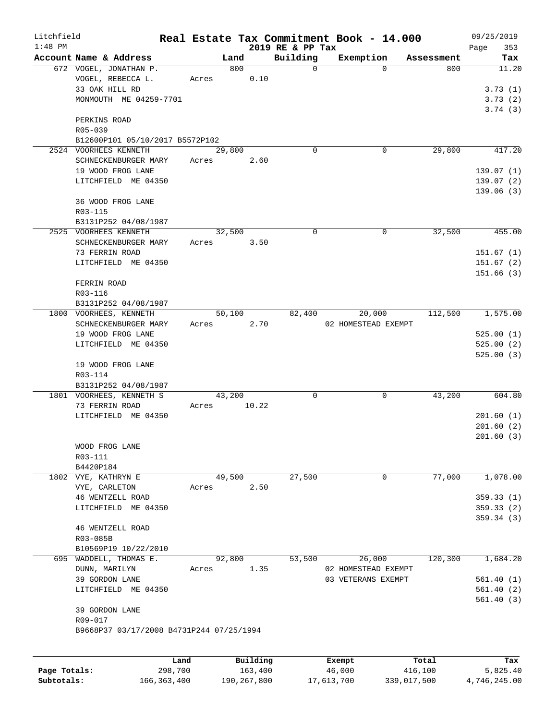| Litchfield   |                                          |        |          |                              | Real Estate Tax Commitment Book - 14.000 |            | 09/25/2019             |
|--------------|------------------------------------------|--------|----------|------------------------------|------------------------------------------|------------|------------------------|
| $1:48$ PM    | Account Name & Address                   | Land   |          | 2019 RE & PP Tax<br>Building | Exemption                                | Assessment | 353<br>Page<br>Tax     |
|              | 672 VOGEL, JONATHAN P.                   | 800    |          | 0                            | $\Omega$                                 | 800        | 11.20                  |
|              | VOGEL, REBECCA L.                        | Acres  | 0.10     |                              |                                          |            |                        |
|              | 33 OAK HILL RD                           |        |          |                              |                                          |            | 3.73(1)                |
|              | MONMOUTH ME 04259-7701                   |        |          |                              |                                          |            | 3.73(2)                |
|              |                                          |        |          |                              |                                          |            | 3.74(3)                |
|              | PERKINS ROAD                             |        |          |                              |                                          |            |                        |
|              | R05-039                                  |        |          |                              |                                          |            |                        |
|              | B12600P101 05/10/2017 B5572P102          |        |          |                              |                                          |            |                        |
|              | 2524 VOORHEES KENNETH                    | 29,800 |          | $\Omega$                     | 0                                        | 29,800     | 417.20                 |
|              | SCHNECKENBURGER MARY                     | Acres  | 2.60     |                              |                                          |            |                        |
|              | 19 WOOD FROG LANE                        |        |          |                              |                                          |            | 139.07(1)              |
|              | LITCHFIELD ME 04350                      |        |          |                              |                                          |            | 139.07(2)<br>139.06(3) |
|              | 36 WOOD FROG LANE                        |        |          |                              |                                          |            |                        |
|              | R03-115                                  |        |          |                              |                                          |            |                        |
|              | B3131P252 04/08/1987                     |        |          |                              |                                          |            |                        |
|              | 2525 VOORHEES KENNETH                    | 32,500 |          | 0                            | $\mathbf 0$                              | 32,500     | 455.00                 |
|              | SCHNECKENBURGER MARY                     | Acres  | 3.50     |                              |                                          |            |                        |
|              | 73 FERRIN ROAD                           |        |          |                              |                                          |            | 151.67(1)              |
|              | LITCHFIELD ME 04350                      |        |          |                              |                                          |            | 151.67(2)              |
|              |                                          |        |          |                              |                                          |            | 151.66(3)              |
|              | FERRIN ROAD                              |        |          |                              |                                          |            |                        |
|              | R03-116                                  |        |          |                              |                                          |            |                        |
|              | B3131P252 04/08/1987                     |        |          |                              |                                          |            |                        |
|              | 1800 VOORHEES, KENNETH                   | 50,100 |          | 82,400                       | 20,000                                   | 112,500    | 1,575.00               |
|              | SCHNECKENBURGER MARY                     | Acres  | 2.70     |                              | 02 HOMESTEAD EXEMPT                      |            |                        |
|              | 19 WOOD FROG LANE                        |        |          |                              |                                          |            | 525.00(1)              |
|              | LITCHFIELD ME 04350                      |        |          |                              |                                          |            | 525.00(2)              |
|              |                                          |        |          |                              |                                          |            | 525.00(3)              |
|              | 19 WOOD FROG LANE<br>R03-114             |        |          |                              |                                          |            |                        |
|              | B3131P252 04/08/1987                     |        |          |                              |                                          |            |                        |
|              | 1801 VOORHEES, KENNETH S                 | 43,200 |          | 0                            | 0                                        | 43,200     | 604.80                 |
|              | 73 FERRIN ROAD                           | Acres  | 10.22    |                              |                                          |            |                        |
|              | LITCHFIELD ME 04350                      |        |          |                              |                                          |            | 201.60(1)              |
|              |                                          |        |          |                              |                                          |            | 201.60(2)              |
|              |                                          |        |          |                              |                                          |            | 201.60(3)              |
|              | WOOD FROG LANE                           |        |          |                              |                                          |            |                        |
|              | R03-111                                  |        |          |                              |                                          |            |                        |
|              | B4420P184                                |        |          |                              |                                          |            |                        |
|              | 1802 VYE, KATHRYN E                      | 49,500 |          | 27,500                       | 0                                        | 77,000     | 1,078.00               |
|              | VYE, CARLETON                            | Acres  | 2.50     |                              |                                          |            |                        |
|              | 46 WENTZELL ROAD                         |        |          |                              |                                          |            | 359.33(1)              |
|              | LITCHFIELD ME 04350                      |        |          |                              |                                          |            | 359.33(2)              |
|              |                                          |        |          |                              |                                          |            | 359.34(3)              |
|              | 46 WENTZELL ROAD<br>R03-085B             |        |          |                              |                                          |            |                        |
|              | B10569P19 10/22/2010                     |        |          |                              |                                          |            |                        |
|              | 695 WADDELL, THOMAS E.                   | 92,800 |          | 53,500                       | 26,000                                   | 120,300    | 1,684.20               |
|              | DUNN, MARILYN                            | Acres  | 1.35     |                              | 02 HOMESTEAD EXEMPT                      |            |                        |
|              | 39 GORDON LANE                           |        |          |                              | 03 VETERANS EXEMPT                       |            | 561.40(1)              |
|              | LITCHFIELD ME 04350                      |        |          |                              |                                          |            | 561.40(2)              |
|              |                                          |        |          |                              |                                          |            | 561.40(3)              |
|              | 39 GORDON LANE                           |        |          |                              |                                          |            |                        |
|              | R09-017                                  |        |          |                              |                                          |            |                        |
|              | B9668P37 03/17/2008 B4731P244 07/25/1994 |        |          |                              |                                          |            |                        |
|              |                                          |        |          |                              |                                          |            |                        |
|              |                                          |        |          |                              |                                          |            |                        |
|              | Land                                     |        | Building |                              | Exempt                                   | Total      | Tax                    |
| Page Totals: | 298,700                                  |        | 163,400  |                              | 46,000                                   | 416,100    | 5,825.40               |

**Subtotals:** 166,363,400 190,267,800 17,613,700 339,017,500 4,746,245.00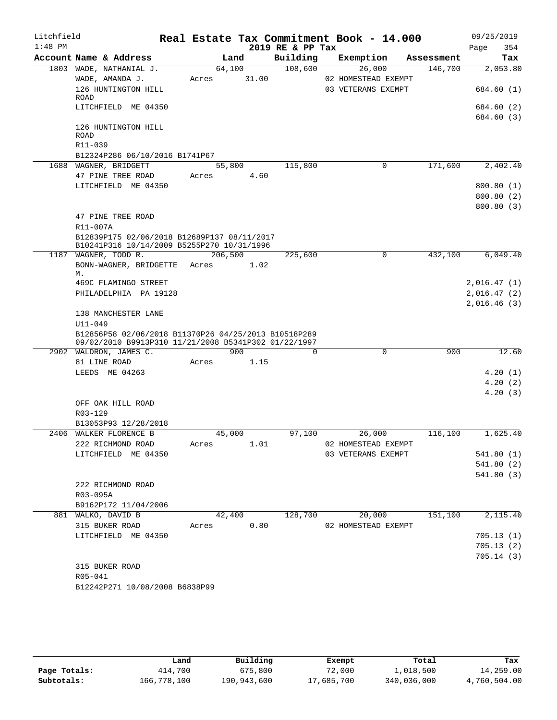| Account Name & Address<br>Building<br>Land<br>Exemption<br>Assessment<br>Tax<br>108,600<br>1803 WADE, NATHANIAL J.<br>64,100<br>26,000<br>146,700<br>2,053.80<br>31.00<br>WADE, AMANDA J.<br>02 HOMESTEAD EXEMPT<br>Acres<br>126 HUNTINGTON HILL<br>03 VETERANS EXEMPT<br>ROAD<br>LITCHFIELD ME 04350<br>126 HUNTINGTON HILL<br>ROAD<br>R11-039<br>B12324P286 06/10/2016 B1741P67<br>171,600<br>1688 WAGNER, BRIDGETT<br>55,800<br>115,800<br>0<br>47 PINE TREE ROAD<br>4.60<br>Acres<br>LITCHFIELD ME 04350<br>47 PINE TREE ROAD<br>R11-007A<br>B12839P175 02/06/2018 B12689P137 08/11/2017<br>B10241P316 10/14/2009 B5255P270 10/31/1996<br>$\Omega$<br>1187 WAGNER, TODD R.<br>206,500<br>225,600<br>432,100<br>6,049.40<br>BONN-WAGNER, BRIDGETTE Acres<br>1.02<br>М.<br>469C FLAMINGO STREET<br>PHILADELPHIA PA 19128<br>138 MANCHESTER LANE<br>$U11 - 049$<br>B12856P58 02/06/2018 B11370P26 04/25/2013 B10518P289<br>09/02/2010 B9913P310 11/21/2008 B5341P302 01/22/1997<br>$\Omega$<br>900<br>900<br>$\Omega$<br>2902 WALDRON, JAMES C.<br>81 LINE ROAD<br>1.15<br>Acres<br>LEEDS ME 04263<br>OFF OAK HILL ROAD<br>R03-129<br>B13053P93 12/28/2018<br>2406 WALKER FLORENCE B<br>45,000<br>97,100<br>26,000<br>116,100<br>1,625.40<br>1.01<br>02 HOMESTEAD EXEMPT<br>222 RICHMOND ROAD<br>Acres<br>03 VETERANS EXEMPT<br>LITCHFIELD ME 04350<br>222 RICHMOND ROAD<br>R03-095A<br>B9162P172 11/04/2006<br>151,100<br>881 WALKO, DAVID B<br>42,400<br>128,700<br>20,000<br>0.80<br>315 BUKER ROAD<br>02 HOMESTEAD EXEMPT<br>Acres<br>LITCHFIELD ME 04350<br>315 BUKER ROAD<br>R05-041<br>B12242P271 10/08/2008 B6838P99 | Litchfield<br>$1:48$ PM |  |  | Real Estate Tax Commitment Book - 14.000<br>2019 RE & PP Tax |  |  | Page | 09/25/2019<br>354 |
|-------------------------------------------------------------------------------------------------------------------------------------------------------------------------------------------------------------------------------------------------------------------------------------------------------------------------------------------------------------------------------------------------------------------------------------------------------------------------------------------------------------------------------------------------------------------------------------------------------------------------------------------------------------------------------------------------------------------------------------------------------------------------------------------------------------------------------------------------------------------------------------------------------------------------------------------------------------------------------------------------------------------------------------------------------------------------------------------------------------------------------------------------------------------------------------------------------------------------------------------------------------------------------------------------------------------------------------------------------------------------------------------------------------------------------------------------------------------------------------------------------------------------------------------------------------------------------------------------------------------------------|-------------------------|--|--|--------------------------------------------------------------|--|--|------|-------------------|
|                                                                                                                                                                                                                                                                                                                                                                                                                                                                                                                                                                                                                                                                                                                                                                                                                                                                                                                                                                                                                                                                                                                                                                                                                                                                                                                                                                                                                                                                                                                                                                                                                               |                         |  |  |                                                              |  |  |      |                   |
|                                                                                                                                                                                                                                                                                                                                                                                                                                                                                                                                                                                                                                                                                                                                                                                                                                                                                                                                                                                                                                                                                                                                                                                                                                                                                                                                                                                                                                                                                                                                                                                                                               |                         |  |  |                                                              |  |  |      |                   |
| 684.60 (1)<br>684.60 (2)<br>684.60 (3)<br>2,402.40<br>800.80 (1)<br>800.80(2)<br>800.80(3)<br>2,016.47(1)<br>2,016.47(2)<br>2,016.46(3)<br>12.60<br>4.20(1)<br>4.20(2)<br>4.20(3)<br>541.80 (1)<br>541.80 (2)<br>541.80 (3)<br>2,115.40<br>705.13(1)<br>705.13(2)<br>705.14(3)                                                                                                                                                                                                                                                                                                                                                                                                                                                                                                                                                                                                                                                                                                                                                                                                                                                                                                                                                                                                                                                                                                                                                                                                                                                                                                                                                |                         |  |  |                                                              |  |  |      |                   |
|                                                                                                                                                                                                                                                                                                                                                                                                                                                                                                                                                                                                                                                                                                                                                                                                                                                                                                                                                                                                                                                                                                                                                                                                                                                                                                                                                                                                                                                                                                                                                                                                                               |                         |  |  |                                                              |  |  |      |                   |
|                                                                                                                                                                                                                                                                                                                                                                                                                                                                                                                                                                                                                                                                                                                                                                                                                                                                                                                                                                                                                                                                                                                                                                                                                                                                                                                                                                                                                                                                                                                                                                                                                               |                         |  |  |                                                              |  |  |      |                   |
|                                                                                                                                                                                                                                                                                                                                                                                                                                                                                                                                                                                                                                                                                                                                                                                                                                                                                                                                                                                                                                                                                                                                                                                                                                                                                                                                                                                                                                                                                                                                                                                                                               |                         |  |  |                                                              |  |  |      |                   |
|                                                                                                                                                                                                                                                                                                                                                                                                                                                                                                                                                                                                                                                                                                                                                                                                                                                                                                                                                                                                                                                                                                                                                                                                                                                                                                                                                                                                                                                                                                                                                                                                                               |                         |  |  |                                                              |  |  |      |                   |
|                                                                                                                                                                                                                                                                                                                                                                                                                                                                                                                                                                                                                                                                                                                                                                                                                                                                                                                                                                                                                                                                                                                                                                                                                                                                                                                                                                                                                                                                                                                                                                                                                               |                         |  |  |                                                              |  |  |      |                   |
|                                                                                                                                                                                                                                                                                                                                                                                                                                                                                                                                                                                                                                                                                                                                                                                                                                                                                                                                                                                                                                                                                                                                                                                                                                                                                                                                                                                                                                                                                                                                                                                                                               |                         |  |  |                                                              |  |  |      |                   |
|                                                                                                                                                                                                                                                                                                                                                                                                                                                                                                                                                                                                                                                                                                                                                                                                                                                                                                                                                                                                                                                                                                                                                                                                                                                                                                                                                                                                                                                                                                                                                                                                                               |                         |  |  |                                                              |  |  |      |                   |
|                                                                                                                                                                                                                                                                                                                                                                                                                                                                                                                                                                                                                                                                                                                                                                                                                                                                                                                                                                                                                                                                                                                                                                                                                                                                                                                                                                                                                                                                                                                                                                                                                               |                         |  |  |                                                              |  |  |      |                   |
|                                                                                                                                                                                                                                                                                                                                                                                                                                                                                                                                                                                                                                                                                                                                                                                                                                                                                                                                                                                                                                                                                                                                                                                                                                                                                                                                                                                                                                                                                                                                                                                                                               |                         |  |  |                                                              |  |  |      |                   |
|                                                                                                                                                                                                                                                                                                                                                                                                                                                                                                                                                                                                                                                                                                                                                                                                                                                                                                                                                                                                                                                                                                                                                                                                                                                                                                                                                                                                                                                                                                                                                                                                                               |                         |  |  |                                                              |  |  |      |                   |
|                                                                                                                                                                                                                                                                                                                                                                                                                                                                                                                                                                                                                                                                                                                                                                                                                                                                                                                                                                                                                                                                                                                                                                                                                                                                                                                                                                                                                                                                                                                                                                                                                               |                         |  |  |                                                              |  |  |      |                   |
|                                                                                                                                                                                                                                                                                                                                                                                                                                                                                                                                                                                                                                                                                                                                                                                                                                                                                                                                                                                                                                                                                                                                                                                                                                                                                                                                                                                                                                                                                                                                                                                                                               |                         |  |  |                                                              |  |  |      |                   |
|                                                                                                                                                                                                                                                                                                                                                                                                                                                                                                                                                                                                                                                                                                                                                                                                                                                                                                                                                                                                                                                                                                                                                                                                                                                                                                                                                                                                                                                                                                                                                                                                                               |                         |  |  |                                                              |  |  |      |                   |
|                                                                                                                                                                                                                                                                                                                                                                                                                                                                                                                                                                                                                                                                                                                                                                                                                                                                                                                                                                                                                                                                                                                                                                                                                                                                                                                                                                                                                                                                                                                                                                                                                               |                         |  |  |                                                              |  |  |      |                   |
|                                                                                                                                                                                                                                                                                                                                                                                                                                                                                                                                                                                                                                                                                                                                                                                                                                                                                                                                                                                                                                                                                                                                                                                                                                                                                                                                                                                                                                                                                                                                                                                                                               |                         |  |  |                                                              |  |  |      |                   |
|                                                                                                                                                                                                                                                                                                                                                                                                                                                                                                                                                                                                                                                                                                                                                                                                                                                                                                                                                                                                                                                                                                                                                                                                                                                                                                                                                                                                                                                                                                                                                                                                                               |                         |  |  |                                                              |  |  |      |                   |
|                                                                                                                                                                                                                                                                                                                                                                                                                                                                                                                                                                                                                                                                                                                                                                                                                                                                                                                                                                                                                                                                                                                                                                                                                                                                                                                                                                                                                                                                                                                                                                                                                               |                         |  |  |                                                              |  |  |      |                   |
|                                                                                                                                                                                                                                                                                                                                                                                                                                                                                                                                                                                                                                                                                                                                                                                                                                                                                                                                                                                                                                                                                                                                                                                                                                                                                                                                                                                                                                                                                                                                                                                                                               |                         |  |  |                                                              |  |  |      |                   |
|                                                                                                                                                                                                                                                                                                                                                                                                                                                                                                                                                                                                                                                                                                                                                                                                                                                                                                                                                                                                                                                                                                                                                                                                                                                                                                                                                                                                                                                                                                                                                                                                                               |                         |  |  |                                                              |  |  |      |                   |
|                                                                                                                                                                                                                                                                                                                                                                                                                                                                                                                                                                                                                                                                                                                                                                                                                                                                                                                                                                                                                                                                                                                                                                                                                                                                                                                                                                                                                                                                                                                                                                                                                               |                         |  |  |                                                              |  |  |      |                   |
|                                                                                                                                                                                                                                                                                                                                                                                                                                                                                                                                                                                                                                                                                                                                                                                                                                                                                                                                                                                                                                                                                                                                                                                                                                                                                                                                                                                                                                                                                                                                                                                                                               |                         |  |  |                                                              |  |  |      |                   |
|                                                                                                                                                                                                                                                                                                                                                                                                                                                                                                                                                                                                                                                                                                                                                                                                                                                                                                                                                                                                                                                                                                                                                                                                                                                                                                                                                                                                                                                                                                                                                                                                                               |                         |  |  |                                                              |  |  |      |                   |
|                                                                                                                                                                                                                                                                                                                                                                                                                                                                                                                                                                                                                                                                                                                                                                                                                                                                                                                                                                                                                                                                                                                                                                                                                                                                                                                                                                                                                                                                                                                                                                                                                               |                         |  |  |                                                              |  |  |      |                   |
|                                                                                                                                                                                                                                                                                                                                                                                                                                                                                                                                                                                                                                                                                                                                                                                                                                                                                                                                                                                                                                                                                                                                                                                                                                                                                                                                                                                                                                                                                                                                                                                                                               |                         |  |  |                                                              |  |  |      |                   |
|                                                                                                                                                                                                                                                                                                                                                                                                                                                                                                                                                                                                                                                                                                                                                                                                                                                                                                                                                                                                                                                                                                                                                                                                                                                                                                                                                                                                                                                                                                                                                                                                                               |                         |  |  |                                                              |  |  |      |                   |
|                                                                                                                                                                                                                                                                                                                                                                                                                                                                                                                                                                                                                                                                                                                                                                                                                                                                                                                                                                                                                                                                                                                                                                                                                                                                                                                                                                                                                                                                                                                                                                                                                               |                         |  |  |                                                              |  |  |      |                   |
|                                                                                                                                                                                                                                                                                                                                                                                                                                                                                                                                                                                                                                                                                                                                                                                                                                                                                                                                                                                                                                                                                                                                                                                                                                                                                                                                                                                                                                                                                                                                                                                                                               |                         |  |  |                                                              |  |  |      |                   |
|                                                                                                                                                                                                                                                                                                                                                                                                                                                                                                                                                                                                                                                                                                                                                                                                                                                                                                                                                                                                                                                                                                                                                                                                                                                                                                                                                                                                                                                                                                                                                                                                                               |                         |  |  |                                                              |  |  |      |                   |
|                                                                                                                                                                                                                                                                                                                                                                                                                                                                                                                                                                                                                                                                                                                                                                                                                                                                                                                                                                                                                                                                                                                                                                                                                                                                                                                                                                                                                                                                                                                                                                                                                               |                         |  |  |                                                              |  |  |      |                   |
|                                                                                                                                                                                                                                                                                                                                                                                                                                                                                                                                                                                                                                                                                                                                                                                                                                                                                                                                                                                                                                                                                                                                                                                                                                                                                                                                                                                                                                                                                                                                                                                                                               |                         |  |  |                                                              |  |  |      |                   |
|                                                                                                                                                                                                                                                                                                                                                                                                                                                                                                                                                                                                                                                                                                                                                                                                                                                                                                                                                                                                                                                                                                                                                                                                                                                                                                                                                                                                                                                                                                                                                                                                                               |                         |  |  |                                                              |  |  |      |                   |
|                                                                                                                                                                                                                                                                                                                                                                                                                                                                                                                                                                                                                                                                                                                                                                                                                                                                                                                                                                                                                                                                                                                                                                                                                                                                                                                                                                                                                                                                                                                                                                                                                               |                         |  |  |                                                              |  |  |      |                   |
|                                                                                                                                                                                                                                                                                                                                                                                                                                                                                                                                                                                                                                                                                                                                                                                                                                                                                                                                                                                                                                                                                                                                                                                                                                                                                                                                                                                                                                                                                                                                                                                                                               |                         |  |  |                                                              |  |  |      |                   |
|                                                                                                                                                                                                                                                                                                                                                                                                                                                                                                                                                                                                                                                                                                                                                                                                                                                                                                                                                                                                                                                                                                                                                                                                                                                                                                                                                                                                                                                                                                                                                                                                                               |                         |  |  |                                                              |  |  |      |                   |
|                                                                                                                                                                                                                                                                                                                                                                                                                                                                                                                                                                                                                                                                                                                                                                                                                                                                                                                                                                                                                                                                                                                                                                                                                                                                                                                                                                                                                                                                                                                                                                                                                               |                         |  |  |                                                              |  |  |      |                   |
|                                                                                                                                                                                                                                                                                                                                                                                                                                                                                                                                                                                                                                                                                                                                                                                                                                                                                                                                                                                                                                                                                                                                                                                                                                                                                                                                                                                                                                                                                                                                                                                                                               |                         |  |  |                                                              |  |  |      |                   |
|                                                                                                                                                                                                                                                                                                                                                                                                                                                                                                                                                                                                                                                                                                                                                                                                                                                                                                                                                                                                                                                                                                                                                                                                                                                                                                                                                                                                                                                                                                                                                                                                                               |                         |  |  |                                                              |  |  |      |                   |
|                                                                                                                                                                                                                                                                                                                                                                                                                                                                                                                                                                                                                                                                                                                                                                                                                                                                                                                                                                                                                                                                                                                                                                                                                                                                                                                                                                                                                                                                                                                                                                                                                               |                         |  |  |                                                              |  |  |      |                   |
|                                                                                                                                                                                                                                                                                                                                                                                                                                                                                                                                                                                                                                                                                                                                                                                                                                                                                                                                                                                                                                                                                                                                                                                                                                                                                                                                                                                                                                                                                                                                                                                                                               |                         |  |  |                                                              |  |  |      |                   |
|                                                                                                                                                                                                                                                                                                                                                                                                                                                                                                                                                                                                                                                                                                                                                                                                                                                                                                                                                                                                                                                                                                                                                                                                                                                                                                                                                                                                                                                                                                                                                                                                                               |                         |  |  |                                                              |  |  |      |                   |
|                                                                                                                                                                                                                                                                                                                                                                                                                                                                                                                                                                                                                                                                                                                                                                                                                                                                                                                                                                                                                                                                                                                                                                                                                                                                                                                                                                                                                                                                                                                                                                                                                               |                         |  |  |                                                              |  |  |      |                   |
|                                                                                                                                                                                                                                                                                                                                                                                                                                                                                                                                                                                                                                                                                                                                                                                                                                                                                                                                                                                                                                                                                                                                                                                                                                                                                                                                                                                                                                                                                                                                                                                                                               |                         |  |  |                                                              |  |  |      |                   |
|                                                                                                                                                                                                                                                                                                                                                                                                                                                                                                                                                                                                                                                                                                                                                                                                                                                                                                                                                                                                                                                                                                                                                                                                                                                                                                                                                                                                                                                                                                                                                                                                                               |                         |  |  |                                                              |  |  |      |                   |
|                                                                                                                                                                                                                                                                                                                                                                                                                                                                                                                                                                                                                                                                                                                                                                                                                                                                                                                                                                                                                                                                                                                                                                                                                                                                                                                                                                                                                                                                                                                                                                                                                               |                         |  |  |                                                              |  |  |      |                   |
|                                                                                                                                                                                                                                                                                                                                                                                                                                                                                                                                                                                                                                                                                                                                                                                                                                                                                                                                                                                                                                                                                                                                                                                                                                                                                                                                                                                                                                                                                                                                                                                                                               |                         |  |  |                                                              |  |  |      |                   |
|                                                                                                                                                                                                                                                                                                                                                                                                                                                                                                                                                                                                                                                                                                                                                                                                                                                                                                                                                                                                                                                                                                                                                                                                                                                                                                                                                                                                                                                                                                                                                                                                                               |                         |  |  |                                                              |  |  |      |                   |
|                                                                                                                                                                                                                                                                                                                                                                                                                                                                                                                                                                                                                                                                                                                                                                                                                                                                                                                                                                                                                                                                                                                                                                                                                                                                                                                                                                                                                                                                                                                                                                                                                               |                         |  |  |                                                              |  |  |      |                   |
|                                                                                                                                                                                                                                                                                                                                                                                                                                                                                                                                                                                                                                                                                                                                                                                                                                                                                                                                                                                                                                                                                                                                                                                                                                                                                                                                                                                                                                                                                                                                                                                                                               |                         |  |  |                                                              |  |  |      |                   |
|                                                                                                                                                                                                                                                                                                                                                                                                                                                                                                                                                                                                                                                                                                                                                                                                                                                                                                                                                                                                                                                                                                                                                                                                                                                                                                                                                                                                                                                                                                                                                                                                                               |                         |  |  |                                                              |  |  |      |                   |

|              | Land        | Building    | Exempt     | Total       | Tax          |
|--------------|-------------|-------------|------------|-------------|--------------|
| Page Totals: | 414,700     | 675,800     | 72,000     | 1,018,500   | 14,259.00    |
| Subtotals:   | 166,778,100 | 190,943,600 | 17,685,700 | 340,036,000 | 4,760,504.00 |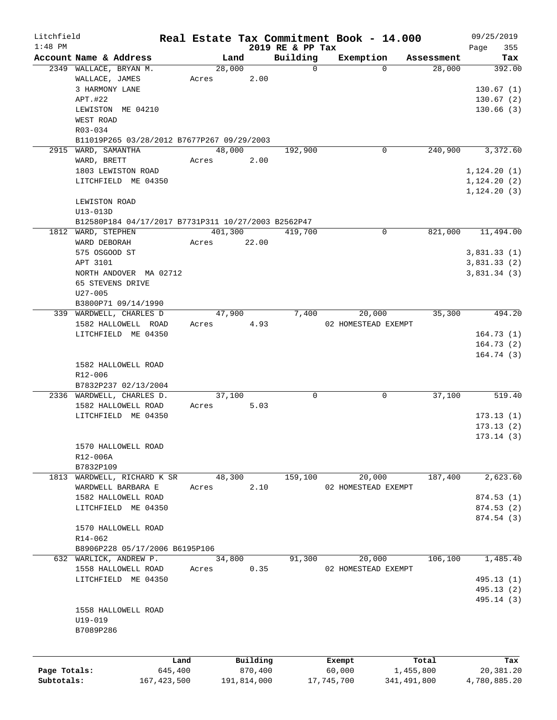| Litchfield   |                                                     |               |       |             |                  | Real Estate Tax Commitment Book - 14.000 |             |      | 09/25/2019   |
|--------------|-----------------------------------------------------|---------------|-------|-------------|------------------|------------------------------------------|-------------|------|--------------|
| $1:48$ PM    |                                                     |               |       |             | 2019 RE & PP Tax |                                          |             | Page | 355          |
|              | Account Name & Address                              |               |       | Land        | Building         | Exemption                                | Assessment  |      | Tax          |
|              | 2349 WALLACE, BRYAN M.                              |               |       | 28,000      | $\mathbf 0$      | $\Omega$                                 | 28,000      |      | 392.00       |
|              | WALLACE, JAMES                                      |               | Acres | 2.00        |                  |                                          |             |      |              |
|              | 3 HARMONY LANE                                      |               |       |             |                  |                                          |             |      | 130.67(1)    |
|              | APT.#22                                             |               |       |             |                  |                                          |             |      | 130.67(2)    |
|              | LEWISTON ME 04210                                   |               |       |             |                  |                                          |             |      | 130.66(3)    |
|              | WEST ROAD                                           |               |       |             |                  |                                          |             |      |              |
|              | R03-034                                             |               |       |             |                  |                                          |             |      |              |
|              | B11019P265 03/28/2012 B7677P267 09/29/2003          |               |       |             |                  |                                          |             |      |              |
|              | 2915 WARD, SAMANTHA                                 |               |       | 48,000      | 192,900          | 0                                        | 240,900     |      | 3,372.60     |
|              | WARD, BRETT                                         |               | Acres | 2.00        |                  |                                          |             |      |              |
|              | 1803 LEWISTON ROAD                                  |               |       |             |                  |                                          |             |      | 1, 124.20(1) |
|              | LITCHFIELD ME 04350                                 |               |       |             |                  |                                          |             |      | 1, 124.20(2) |
|              |                                                     |               |       |             |                  |                                          |             |      | 1, 124.20(3) |
|              | LEWISTON ROAD                                       |               |       |             |                  |                                          |             |      |              |
|              | U13-013D                                            |               |       |             |                  |                                          |             |      |              |
|              | B12580P184 04/17/2017 B7731P311 10/27/2003 B2562P47 |               |       |             |                  |                                          |             |      |              |
|              | 1812 WARD, STEPHEN                                  |               |       | 401,300     | 419,700          | 0                                        | 821,000     |      | 11,494.00    |
|              | WARD DEBORAH                                        |               | Acres | 22.00       |                  |                                          |             |      |              |
|              | 575 OSGOOD ST                                       |               |       |             |                  |                                          |             |      | 3,831.33(1)  |
|              | APT 3101                                            |               |       |             |                  |                                          |             |      | 3,831.33(2)  |
|              | NORTH ANDOVER MA 02712                              |               |       |             |                  |                                          |             |      | 3,831.34(3)  |
|              | 65 STEVENS DRIVE                                    |               |       |             |                  |                                          |             |      |              |
|              | $U27 - 005$                                         |               |       |             |                  |                                          |             |      |              |
|              | B3800P71 09/14/1990                                 |               |       |             |                  |                                          |             |      |              |
|              | 339 WARDWELL, CHARLES D                             |               |       | 47,900      | 7,400            | 20,000                                   | 35,300      |      | 494.20       |
|              | 1582 HALLOWELL ROAD                                 |               | Acres | 4.93        |                  | 02 HOMESTEAD EXEMPT                      |             |      |              |
|              | LITCHFIELD ME 04350                                 |               |       |             |                  |                                          |             |      | 164.73(1)    |
|              |                                                     |               |       |             |                  |                                          |             |      |              |
|              |                                                     |               |       |             |                  |                                          |             |      | 164.73(2)    |
|              |                                                     |               |       |             |                  |                                          |             |      | 164.74(3)    |
|              | 1582 HALLOWELL ROAD                                 |               |       |             |                  |                                          |             |      |              |
|              | R12-006                                             |               |       |             |                  |                                          |             |      |              |
|              | B7832P237 02/13/2004                                |               |       |             |                  |                                          |             |      |              |
|              | 2336 WARDWELL, CHARLES D.                           |               |       | 37,100      | 0                | 0                                        | 37,100      |      | 519.40       |
|              | 1582 HALLOWELL ROAD                                 |               | Acres | 5.03        |                  |                                          |             |      |              |
|              | LITCHFIELD ME 04350                                 |               |       |             |                  |                                          |             |      | 173.13(1)    |
|              |                                                     |               |       |             |                  |                                          |             |      | 173.13(2)    |
|              |                                                     |               |       |             |                  |                                          |             |      | 173.14(3)    |
|              | 1570 HALLOWELL ROAD                                 |               |       |             |                  |                                          |             |      |              |
|              | R12-006A                                            |               |       |             |                  |                                          |             |      |              |
|              | B7832P109                                           |               |       |             |                  |                                          |             |      |              |
|              | 1813 WARDWELL, RICHARD K SR                         |               |       | 48,300      | 159,100          | 20,000                                   | 187,400     |      | 2,623.60     |
|              | WARDWELL BARBARA E                                  |               | Acres | 2.10        |                  | 02 HOMESTEAD EXEMPT                      |             |      |              |
|              | 1582 HALLOWELL ROAD                                 |               |       |             |                  |                                          |             |      | 874.53 (1)   |
|              | LITCHFIELD ME 04350                                 |               |       |             |                  |                                          |             |      | 874.53 (2)   |
|              |                                                     |               |       |             |                  |                                          |             |      | 874.54 (3)   |
|              | 1570 HALLOWELL ROAD                                 |               |       |             |                  |                                          |             |      |              |
|              | R14-062                                             |               |       |             |                  |                                          |             |      |              |
|              | B8906P228 05/17/2006 B6195P106                      |               |       |             |                  |                                          |             |      |              |
|              | 632 WARLICK, ANDREW P.                              |               |       | 34,800      | 91,300           | 20,000                                   | 106,100     |      | 1,485.40     |
|              | 1558 HALLOWELL ROAD                                 |               | Acres | 0.35        |                  | 02 HOMESTEAD EXEMPT                      |             |      |              |
|              | LITCHFIELD ME 04350                                 |               |       |             |                  |                                          |             |      | 495.13 (1)   |
|              |                                                     |               |       |             |                  |                                          |             |      | 495.13 (2)   |
|              |                                                     |               |       |             |                  |                                          |             |      | 495.14 (3)   |
|              | 1558 HALLOWELL ROAD                                 |               |       |             |                  |                                          |             |      |              |
|              | $U19 - 019$                                         |               |       |             |                  |                                          |             |      |              |
|              | B7089P286                                           |               |       |             |                  |                                          |             |      |              |
|              |                                                     |               |       |             |                  |                                          |             |      |              |
|              |                                                     |               |       |             |                  |                                          |             |      |              |
|              |                                                     | Land          |       | Building    |                  | Exempt                                   | Total       |      | Tax          |
| Page Totals: |                                                     | 645,400       |       | 870,400     |                  | 60,000                                   | 1,455,800   |      | 20,381.20    |
| Subtotals:   |                                                     | 167, 423, 500 |       | 191,814,000 |                  | 17,745,700                               | 341,491,800 |      | 4,780,885.20 |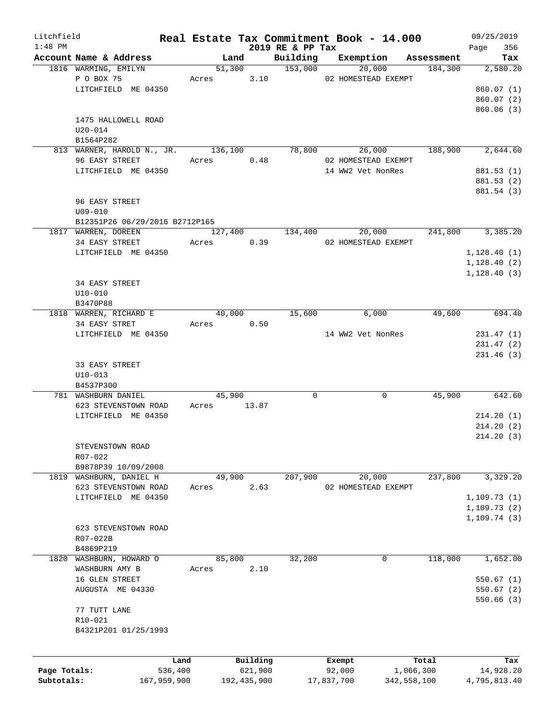| Litchfield   |                                |         |                     |                              | Real Estate Tax Commitment Book - 14.000 |                       | 09/25/2019         |
|--------------|--------------------------------|---------|---------------------|------------------------------|------------------------------------------|-----------------------|--------------------|
| $1:48$ PM    | Account Name & Address         |         | Land                | 2019 RE & PP Tax<br>Building | Exemption                                |                       | 356<br>Page<br>Tax |
|              | 1816 WARMING, EMILYN           |         | 51,300              | 153,000                      | 20,000                                   | Assessment<br>184,300 | 2,580.20           |
|              | P O BOX 75                     |         | Acres 3.10          |                              | 02 HOMESTEAD EXEMPT                      |                       |                    |
|              | LITCHFIELD ME 04350            |         |                     |                              |                                          |                       | 860.07(1)          |
|              |                                |         |                     |                              |                                          |                       | 860.07(2)          |
|              |                                |         |                     |                              |                                          |                       | 860.06(3)          |
|              | 1475 HALLOWELL ROAD            |         |                     |                              |                                          |                       |                    |
|              | $U20 - 014$                    |         |                     |                              |                                          |                       |                    |
|              | B1564P282                      |         |                     |                              |                                          |                       |                    |
|              | 813 WARNER, HAROLD N., JR.     | 136,100 |                     | 78,800                       | 26,000                                   | 188,900               | 2,644.60           |
|              | 96 EASY STREET                 | Acres   | 0.48                |                              | 02 HOMESTEAD EXEMPT                      |                       |                    |
|              | LITCHFIELD ME 04350            |         |                     |                              | 14 WW2 Vet NonRes                        |                       | 881.53 (1)         |
|              |                                |         |                     |                              |                                          |                       | 881.53 (2)         |
|              |                                |         |                     |                              |                                          |                       | 881.54 (3)         |
|              | 96 EASY STREET                 |         |                     |                              |                                          |                       |                    |
|              | $U09 - 010$                    |         |                     |                              |                                          |                       |                    |
|              | B12351P26 06/29/2016 B2712P165 |         |                     |                              |                                          |                       |                    |
|              | 1817 WARREN, DOREEN            | 127,400 |                     | 134,400                      | 20,000                                   | 241,800               | 3,385.20           |
|              | 34 EASY STREET                 |         | 0.39                |                              | 02 HOMESTEAD EXEMPT                      |                       |                    |
|              | LITCHFIELD ME 04350            | Acres   |                     |                              |                                          |                       | 1, 128.40(1)       |
|              |                                |         |                     |                              |                                          |                       |                    |
|              |                                |         |                     |                              |                                          |                       | 1,128.40(2)        |
|              |                                |         |                     |                              |                                          |                       | 1, 128.40(3)       |
|              | 34 EASY STREET                 |         |                     |                              |                                          |                       |                    |
|              | $U10 - 010$                    |         |                     |                              |                                          |                       |                    |
|              | B3470P88                       |         |                     |                              |                                          |                       |                    |
|              | 1818 WARREN, RICHARD E         | 40,000  |                     | 15,600                       | 6,000                                    | 49,600                | 694.40             |
|              | 34 EASY STRET                  | Acres   | 0.50                |                              |                                          |                       |                    |
|              | LITCHFIELD ME 04350            |         |                     |                              | 14 WW2 Vet NonRes                        |                       | 231.47(1)          |
|              |                                |         |                     |                              |                                          |                       | 231.47(2)          |
|              |                                |         |                     |                              |                                          |                       | 231.46(3)          |
|              | 33 EASY STREET                 |         |                     |                              |                                          |                       |                    |
|              | $U10 - 013$                    |         |                     |                              |                                          |                       |                    |
|              | B4537P300                      |         |                     |                              |                                          |                       |                    |
|              | 781 WASHBURN DANIEL            | 45,900  |                     | 0                            | 0                                        | 45,900                | 642.60             |
|              | 623 STEVENSTOWN ROAD           | Acres   | 13.87               |                              |                                          |                       |                    |
|              | LITCHFIELD ME 04350            |         |                     |                              |                                          |                       | 214.20(1)          |
|              |                                |         |                     |                              |                                          |                       | 214.20(2)          |
|              |                                |         |                     |                              |                                          |                       | 214.20(3)          |
|              | STEVENSTOWN ROAD               |         |                     |                              |                                          |                       |                    |
|              | R07-022                        |         |                     |                              |                                          |                       |                    |
|              | B9878P39 10/09/2008            |         |                     |                              |                                          |                       |                    |
|              | 1819 WASHBURN, DANIEL H        | 49,900  |                     | 207,900                      | 20,000                                   | 237,800               | 3,329.20           |
|              | 623 STEVENSTOWN ROAD           | Acres   | 2.63                |                              | 02 HOMESTEAD EXEMPT                      |                       |                    |
|              | LITCHFIELD ME 04350            |         |                     |                              |                                          |                       | 1, 109.73(1)       |
|              |                                |         |                     |                              |                                          |                       | 1, 109.73(2)       |
|              |                                |         |                     |                              |                                          |                       | 1, 109.74(3)       |
|              | 623 STEVENSTOWN ROAD           |         |                     |                              |                                          |                       |                    |
|              | R07-022B                       |         |                     |                              |                                          |                       |                    |
|              | B4869P219                      |         |                     |                              |                                          |                       |                    |
| 1820         | WASHBURN, HOWARD O             | 85,800  |                     | 32,200                       | 0                                        | 118,000               | 1,652.00           |
|              | WASHBURN AMY B                 | Acres   | 2.10                |                              |                                          |                       |                    |
|              | 16 GLEN STREET                 |         |                     |                              |                                          |                       | 550.67(1)          |
|              | AUGUSTA ME 04330               |         |                     |                              |                                          |                       | 550.67(2)          |
|              |                                |         |                     |                              |                                          |                       | 550.66(3)          |
|              | 77 TUTT LANE                   |         |                     |                              |                                          |                       |                    |
|              | R10-021                        |         |                     |                              |                                          |                       |                    |
|              | B4321P201 01/25/1993           |         |                     |                              |                                          |                       |                    |
|              |                                |         |                     |                              |                                          |                       |                    |
|              |                                |         |                     |                              |                                          |                       |                    |
| Page Totals: | 536,400                        | Land    | Building<br>621,900 |                              | Exempt<br>92,000                         | Total<br>1,066,300    | Tax<br>14,928.20   |
| Subtotals:   | 167,959,900                    |         | 192, 435, 900       |                              | 17,837,700                               | 342,558,100           | 4,795,813.40       |
|              |                                |         |                     |                              |                                          |                       |                    |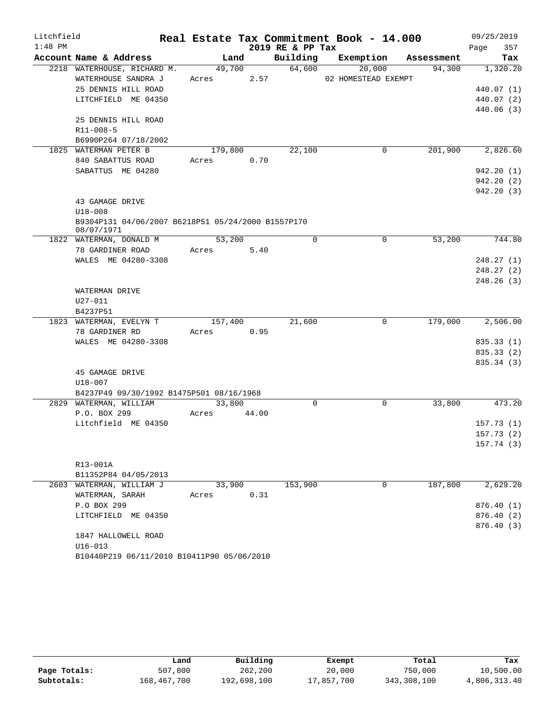| Litchfield |                                                    |            |       |                  | Real Estate Tax Commitment Book - 14.000 |         | 09/25/2019               |
|------------|----------------------------------------------------|------------|-------|------------------|------------------------------------------|---------|--------------------------|
| $1:48$ PM  |                                                    |            |       | 2019 RE & PP Tax |                                          |         | 357<br>Page              |
|            | Account Name & Address                             | Land       |       |                  | Building Exemption Assessment            |         | Tax                      |
|            | 2218 WATERHOUSE, RICHARD M.                        | 49,700     |       | 64,600           | 20,000                                   | 94,300  | 1,320.20                 |
|            | WATERHOUSE SANDRA J                                | Acres 2.57 |       |                  | 02 HOMESTEAD EXEMPT                      |         |                          |
|            | 25 DENNIS HILL ROAD                                |            |       |                  |                                          |         | 440.07 (1)               |
|            | LITCHFIELD ME 04350                                |            |       |                  |                                          |         | 440.07 (2)               |
|            |                                                    |            |       |                  |                                          |         | 440.06 (3)               |
|            | 25 DENNIS HILL ROAD                                |            |       |                  |                                          |         |                          |
|            | R11-008-5                                          |            |       |                  |                                          |         |                          |
|            | B6990P264 07/18/2002<br>1825 WATERMAN PETER B      | 179,800    |       | 22,100           | 0                                        | 201,900 | 2,826.60                 |
|            | 840 SABATTUS ROAD                                  | Acres 0.70 |       |                  |                                          |         |                          |
|            | SABATTUS ME 04280                                  |            |       |                  |                                          |         | 942.20(1)                |
|            |                                                    |            |       |                  |                                          |         | 942.20 (2)               |
|            |                                                    |            |       |                  |                                          |         | 942.20 (3)               |
|            | 43 GAMAGE DRIVE                                    |            |       |                  |                                          |         |                          |
|            | $U18 - 008$                                        |            |       |                  |                                          |         |                          |
|            | B9304P131 04/06/2007 B6218P51 05/24/2000 B1557P170 |            |       |                  |                                          |         |                          |
|            | 08/07/1971                                         |            |       |                  |                                          |         |                          |
|            | 1822 WATERMAN, DONALD M                            | 53,200     |       | $\mathbf 0$      | 0                                        | 53,200  | $\frac{744.80}{ }$       |
|            | 78 GARDINER ROAD                                   | Acres      | 5.40  |                  |                                          |         |                          |
|            | WALES ME 04280-3308                                |            |       |                  |                                          |         | 248.27(1)                |
|            |                                                    |            |       |                  |                                          |         | 248.27(2)                |
|            |                                                    |            |       |                  |                                          |         | 248.26(3)                |
|            | WATERMAN DRIVE                                     |            |       |                  |                                          |         |                          |
|            | U27-011                                            |            |       |                  |                                          |         |                          |
|            | B4237P51                                           |            |       |                  |                                          |         |                          |
|            | 1823 WATERMAN, EVELYN T                            | 157,400    |       | 21,600           | 0                                        | 179,000 | 2,506.00                 |
|            | 78 GARDINER RD                                     | Acres      | 0.95  |                  |                                          |         |                          |
|            | WALES ME 04280-3308                                |            |       |                  |                                          |         | 835.33 (1)               |
|            |                                                    |            |       |                  |                                          |         | 835.33 (2)<br>835.34 (3) |
|            | 45 GAMAGE DRIVE                                    |            |       |                  |                                          |         |                          |
|            | U18-007                                            |            |       |                  |                                          |         |                          |
|            | B4237P49 09/30/1992 B1475P501 08/16/1968           |            |       |                  |                                          |         |                          |
|            | 2829 WATERMAN, WILLIAM                             | 33,800     |       | $\mathbf 0$      | $\mathbf 0$                              | 33,800  | 473.20                   |
|            | P.O. BOX 299                                       | Acres      | 44.00 |                  |                                          |         |                          |
|            | Litchfield ME 04350                                |            |       |                  |                                          |         | 157.73(1)                |
|            |                                                    |            |       |                  |                                          |         | 157.73(2)                |
|            |                                                    |            |       |                  |                                          |         | 157.74(3)                |
|            |                                                    |            |       |                  |                                          |         |                          |
|            | R13-001A                                           |            |       |                  |                                          |         |                          |
|            | B11352P84 04/05/2013                               |            |       |                  |                                          |         |                          |
|            | 2603 WATERMAN, WILLIAM J                           | 33,900     |       | 153,900          | 0                                        | 187,800 | 2,629.20                 |
|            | WATERMAN, SARAH                                    | Acres      | 0.31  |                  |                                          |         |                          |
|            | P.O BOX 299                                        |            |       |                  |                                          |         | 876.40(1)                |
|            | LITCHFIELD ME 04350                                |            |       |                  |                                          |         | 876.40 (2)               |
|            |                                                    |            |       |                  |                                          |         | 876.40 (3)               |
|            | 1847 HALLOWELL ROAD                                |            |       |                  |                                          |         |                          |
|            | $U16 - 013$                                        |            |       |                  |                                          |         |                          |
|            | B10440P219 06/11/2010 B10411P90 05/06/2010         |            |       |                  |                                          |         |                          |

|              | Land        | Building    | Exempt     | Total       | Tax          |
|--------------|-------------|-------------|------------|-------------|--------------|
| Page Totals: | 507,800     | 262,200     | 20,000     | 750,000     | 10,500.00    |
| Subtotals:   | 168,467,700 | 192,698,100 | 17,857,700 | 343,308,100 | 4,806,313.40 |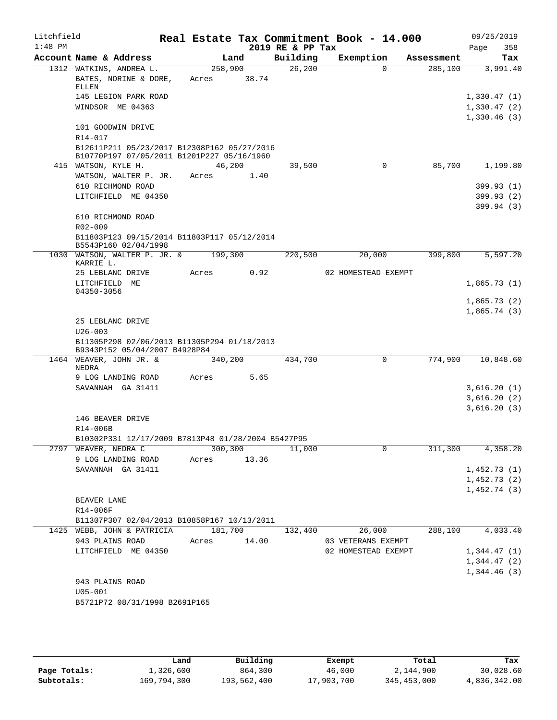| Litchfield<br>$1:48$ PM |                                                                                                      |                  |       | 2019 RE & PP Tax | Real Estate Tax Commitment Book - 14.000 |            | 09/25/2019<br>358<br>Page  |
|-------------------------|------------------------------------------------------------------------------------------------------|------------------|-------|------------------|------------------------------------------|------------|----------------------------|
|                         | Account Name & Address                                                                               |                  | Land  | Building         | Exemption                                | Assessment | Tax                        |
|                         | 1312 WATKINS, ANDREA L.<br>BATES, NORINE & DORE,                                                     | 258,900<br>Acres | 38.74 | 26, 200          | $\Omega$                                 | 285,100    | 3,991.40                   |
|                         | ELLEN<br>145 LEGION PARK ROAD<br>WINDSOR ME 04363                                                    |                  |       |                  |                                          |            | 1,330.47(1)<br>1,330.47(2) |
|                         | 101 GOODWIN DRIVE                                                                                    |                  |       |                  |                                          |            | 1,330.46(3)                |
|                         | R14-017<br>B12611P211 05/23/2017 B12308P162 05/27/2016<br>B10770P197 07/05/2011 B1201P227 05/16/1960 |                  |       |                  |                                          |            |                            |
|                         | 415 WATSON, KYLE H.                                                                                  | 46,200           |       | 39,500           | $\mathbf 0$                              | 85,700     | 1,199.80                   |
|                         | WATSON, WALTER P. JR.                                                                                | Acres            | 1.40  |                  |                                          |            |                            |
|                         | 610 RICHMOND ROAD<br>LITCHFIELD ME 04350                                                             |                  |       |                  |                                          |            | 399.93 (1)<br>399.93 (2)   |
|                         | 610 RICHMOND ROAD                                                                                    |                  |       |                  |                                          |            | 399.94(3)                  |
|                         | R02-009<br>B11803P123 09/15/2014 B11803P117 05/12/2014<br>B5543P160 02/04/1998                       |                  |       |                  |                                          |            |                            |
|                         | 1030 WATSON, WALTER P. JR. &<br>KARRIE L.                                                            | 199,300          |       | 220,500          | 20,000                                   | 399,800    | 5,597.20                   |
|                         | 25 LEBLANC DRIVE                                                                                     | Acres            | 0.92  |                  | 02 HOMESTEAD EXEMPT                      |            |                            |
|                         | LITCHFIELD ME<br>04350-3056                                                                          |                  |       |                  |                                          |            | 1,865.73(1)<br>1,865.73(2) |
|                         |                                                                                                      |                  |       |                  |                                          |            | 1,865.74(3)                |
|                         | 25 LEBLANC DRIVE                                                                                     |                  |       |                  |                                          |            |                            |
|                         | $U26 - 003$                                                                                          |                  |       |                  |                                          |            |                            |
|                         | B11305P298 02/06/2013 B11305P294 01/18/2013<br>B9343P152 05/04/2007 B4928P84                         |                  |       |                  |                                          |            |                            |
|                         | 1464 WEAVER, JOHN JR. &<br>NEDRA                                                                     | 340,200          |       | 434,700          | 0                                        | 774,900    | 10,848.60                  |
|                         | 9 LOG LANDING ROAD                                                                                   | Acres            | 5.65  |                  |                                          |            |                            |
|                         | SAVANNAH GA 31411                                                                                    |                  |       |                  |                                          |            | 3,616.20(1)                |
|                         |                                                                                                      |                  |       |                  |                                          |            | 3,616.20(2)<br>3,616.20(3) |
|                         | 146 BEAVER DRIVE                                                                                     |                  |       |                  |                                          |            |                            |
|                         | R14-006B                                                                                             |                  |       |                  |                                          |            |                            |
|                         | B10302P331 12/17/2009 B7813P48 01/28/2004 B5427P95                                                   |                  |       |                  |                                          |            |                            |
| 2797                    | WEAVER, NEDRA C<br>9 LOG LANDING ROAD                                                                | 300,300<br>Acres | 13.36 | 11,000           | 0                                        | 311,300    | 4,358.20                   |
|                         | SAVANNAH GA 31411                                                                                    |                  |       |                  |                                          |            | 1,452.73(1)                |
|                         |                                                                                                      |                  |       |                  |                                          |            | 1,452.73(2)                |
|                         |                                                                                                      |                  |       |                  |                                          |            | 1,452.74(3)                |
|                         | BEAVER LANE                                                                                          |                  |       |                  |                                          |            |                            |
|                         | R14-006F                                                                                             |                  |       |                  |                                          |            |                            |
|                         | B11307P307 02/04/2013 B10858P167 10/13/2011                                                          |                  |       |                  |                                          |            |                            |
|                         | 1425 WEBB, JOHN & PATRICIA<br>943 PLAINS ROAD                                                        | 181,700<br>Acres | 14.00 | 132,400          | 26,000<br>03 VETERANS EXEMPT             | 288,100    | 4,033.40                   |
|                         | LITCHFIELD ME 04350                                                                                  |                  |       |                  | 02 HOMESTEAD EXEMPT                      |            | 1,344.47(1)                |
|                         |                                                                                                      |                  |       |                  |                                          |            | 1,344.47(2)                |
|                         | 943 PLAINS ROAD                                                                                      |                  |       |                  |                                          |            | 1,344.46(3)                |
|                         | $U05 - 001$                                                                                          |                  |       |                  |                                          |            |                            |
|                         | B5721P72 08/31/1998 B2691P165                                                                        |                  |       |                  |                                          |            |                            |
|                         |                                                                                                      |                  |       |                  |                                          |            |                            |

|              | Land        | Building    | Exempt     | Total       | Tax          |
|--------------|-------------|-------------|------------|-------------|--------------|
| Page Totals: | 1,326,600   | 864,300     | 46,000     | 2,144,900   | 30,028.60    |
| Subtotals:   | 169,794,300 | 193,562,400 | 17,903,700 | 345,453,000 | 4,836,342.00 |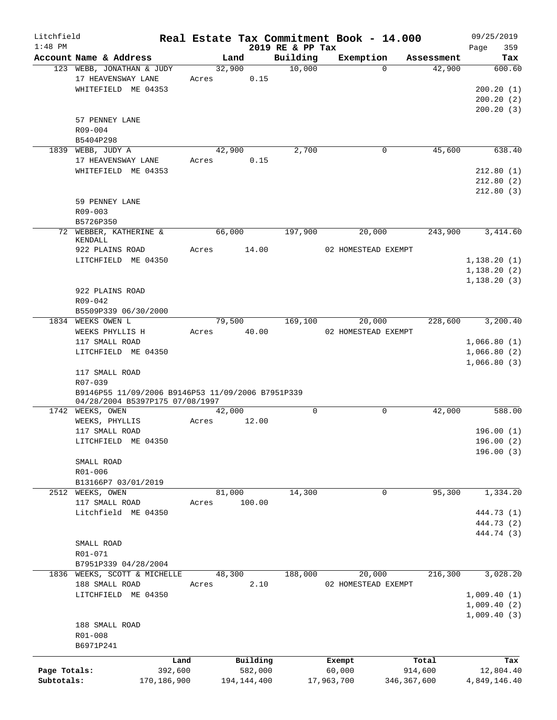| Litchfield   |                                                   |             |             |        |             |                  |            | Real Estate Tax Commitment Book - 14.000 |               | 09/25/2019       |          |
|--------------|---------------------------------------------------|-------------|-------------|--------|-------------|------------------|------------|------------------------------------------|---------------|------------------|----------|
| $1:48$ PM    |                                                   |             |             |        |             | 2019 RE & PP Tax |            |                                          |               | Page             | 359      |
|              | Account Name & Address                            |             |             | Land   |             | Building         |            | Exemption<br>$\Omega$                    | Assessment    |                  | Tax      |
|              | 123 WEBB, JONATHAN & JUDY<br>17 HEAVENSWAY LANE   |             | Acres 0.15  | 32,900 |             | 10,000           |            |                                          | 42,900        |                  | 600.60   |
|              | WHITEFIELD ME 04353                               |             |             |        |             |                  |            |                                          |               | 200.20(1)        |          |
|              |                                                   |             |             |        |             |                  |            |                                          |               | 200.20(2)        |          |
|              |                                                   |             |             |        |             |                  |            |                                          |               | 200.20(3)        |          |
|              | 57 PENNEY LANE                                    |             |             |        |             |                  |            |                                          |               |                  |          |
|              | R09-004                                           |             |             |        |             |                  |            |                                          |               |                  |          |
|              | B5404P298                                         |             |             |        |             |                  |            |                                          |               |                  |          |
|              | 1839 WEBB, JUDY A                                 |             |             | 42,900 |             | 2,700            |            | $\mathbf 0$                              | 45,600        |                  | 638.40   |
|              | 17 HEAVENSWAY LANE                                |             | Acres 0.15  |        |             |                  |            |                                          |               |                  |          |
|              | WHITEFIELD ME 04353                               |             |             |        |             |                  |            |                                          |               | 212.80(1)        |          |
|              |                                                   |             |             |        |             |                  |            |                                          |               | 212.80(2)        |          |
|              |                                                   |             |             |        |             |                  |            |                                          |               | 212.80(3)        |          |
|              |                                                   |             |             |        |             |                  |            |                                          |               |                  |          |
|              | 59 PENNEY LANE                                    |             |             |        |             |                  |            |                                          |               |                  |          |
|              | R09-003                                           |             |             |        |             |                  |            |                                          |               |                  |          |
|              | B5726P350<br>72 WEBBER, KATHERINE &               |             |             |        |             |                  |            |                                          |               |                  |          |
|              | KENDALL                                           |             |             | 66,000 |             | 197,900          |            | 20,000                                   | 243,900       |                  | 3,414.60 |
|              | 922 PLAINS ROAD                                   |             | Acres       |        | 14.00       |                  |            | 02 HOMESTEAD EXEMPT                      |               |                  |          |
|              | LITCHFIELD ME 04350                               |             |             |        |             |                  |            |                                          |               | 1,138.20(1)      |          |
|              |                                                   |             |             |        |             |                  |            |                                          |               | 1,138.20(2)      |          |
|              |                                                   |             |             |        |             |                  |            |                                          |               | 1,138.20(3)      |          |
|              | 922 PLAINS ROAD                                   |             |             |        |             |                  |            |                                          |               |                  |          |
|              | R09-042                                           |             |             |        |             |                  |            |                                          |               |                  |          |
|              |                                                   |             |             |        |             |                  |            |                                          |               |                  |          |
|              | B5509P339 06/30/2000<br>1834 WEEKS OWEN L         |             |             |        |             | 79,500 169,100   |            | 20,000                                   |               | 228,600 3,200.40 |          |
|              | WEEKS PHYLLIS H                                   |             | Acres 40.00 |        |             |                  |            | 02 HOMESTEAD EXEMPT                      |               |                  |          |
|              | 117 SMALL ROAD                                    |             |             |        |             |                  |            |                                          |               | 1,066.80(1)      |          |
|              | LITCHFIELD ME 04350                               |             |             |        |             |                  |            |                                          |               | 1,066.80(2)      |          |
|              |                                                   |             |             |        |             |                  |            |                                          |               | 1,066.80(3)      |          |
|              | 117 SMALL ROAD                                    |             |             |        |             |                  |            |                                          |               |                  |          |
|              | R07-039                                           |             |             |        |             |                  |            |                                          |               |                  |          |
|              | B9146P55 11/09/2006 B9146P53 11/09/2006 B7951P339 |             |             |        |             |                  |            |                                          |               |                  |          |
|              | 04/28/2004 B5397P175 07/08/1997                   |             |             |        |             |                  |            |                                          |               |                  |          |
|              | 1742 WEEKS, OWEN                                  |             |             | 42,000 |             | $\Omega$         |            | $\mathbf 0$                              | 42,000        |                  | 588.00   |
|              | WEEKS, PHYLLIS                                    |             | Acres 12.00 |        |             |                  |            |                                          |               |                  |          |
|              | 117 SMALL ROAD                                    |             |             |        |             |                  |            |                                          |               | 196.00(1)        |          |
|              | LITCHFIELD ME 04350                               |             |             |        |             |                  |            |                                          |               | 196.00 (2)       |          |
|              |                                                   |             |             |        |             |                  |            |                                          |               | 196.00(3)        |          |
|              | SMALL ROAD                                        |             |             |        |             |                  |            |                                          |               |                  |          |
|              | $R01 - 006$                                       |             |             |        |             |                  |            |                                          |               |                  |          |
|              | B13166P7 03/01/2019                               |             |             |        |             |                  |            |                                          |               |                  |          |
| 2512         | WEEKS, OWEN                                       |             |             | 81,000 |             | 14,300           |            | $\mathbf 0$                              | 95,300        |                  | 1,334.20 |
|              | 117 SMALL ROAD                                    |             | Acres       |        | 100.00      |                  |            |                                          |               |                  |          |
|              | Litchfield ME 04350                               |             |             |        |             |                  |            |                                          |               | 444.73 (1)       |          |
|              |                                                   |             |             |        |             |                  |            |                                          |               | 444.73 (2)       |          |
|              |                                                   |             |             |        |             |                  |            |                                          |               | 444.74 (3)       |          |
|              | SMALL ROAD                                        |             |             |        |             |                  |            |                                          |               |                  |          |
|              | R01-071                                           |             |             |        |             |                  |            |                                          |               |                  |          |
|              | B7951P339 04/28/2004                              |             |             |        |             |                  |            |                                          |               |                  |          |
|              | 1836 WEEKS, SCOTT & MICHELLE                      |             |             | 48,300 |             | 188,000          |            | 20,000                                   | 216,300       |                  | 3,028.20 |
|              | 188 SMALL ROAD                                    |             | Acres       |        | 2.10        |                  |            | 02 HOMESTEAD EXEMPT                      |               |                  |          |
|              | LITCHFIELD ME 04350                               |             |             |        |             |                  |            |                                          |               | 1,009.40(1)      |          |
|              |                                                   |             |             |        |             |                  |            |                                          |               | 1,009.40(2)      |          |
|              |                                                   |             |             |        |             |                  |            |                                          |               | 1,009.40(3)      |          |
|              | 188 SMALL ROAD                                    |             |             |        |             |                  |            |                                          |               |                  |          |
|              | R01-008                                           |             |             |        |             |                  |            |                                          |               |                  |          |
|              | B6971P241                                         |             |             |        |             |                  |            |                                          |               |                  |          |
|              |                                                   |             |             |        |             |                  |            |                                          |               |                  |          |
|              |                                                   | Land        |             |        | Building    |                  | Exempt     |                                          | Total         |                  | Tax      |
| Page Totals: |                                                   | 392,600     |             |        | 582,000     |                  | 60,000     |                                          | 914,600       | 12,804.40        |          |
| Subtotals:   |                                                   | 170,186,900 |             |        | 194,144,400 |                  | 17,963,700 |                                          | 346, 367, 600 | 4,849,146.40     |          |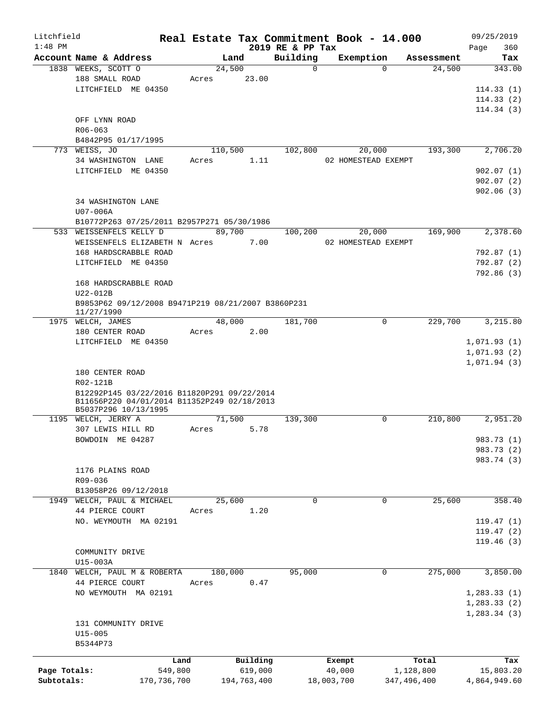| Litchfield   |                                                    |       |             |                              | Real Estate Tax Commitment Book - 14.000 |            | 09/25/2019         |
|--------------|----------------------------------------------------|-------|-------------|------------------------------|------------------------------------------|------------|--------------------|
| $1:48$ PM    | Account Name & Address                             |       | Land        | 2019 RE & PP Tax<br>Building | Exemption                                | Assessment | 360<br>Page<br>Tax |
|              | 1838 WEEKS, SCOTT O                                |       | 24,500      | $\mathbf 0$                  | $\Omega$                                 | 24,500     | 343.00             |
|              | 188 SMALL ROAD                                     | Acres | 23.00       |                              |                                          |            |                    |
|              | LITCHFIELD ME 04350                                |       |             |                              |                                          |            | 114.33(1)          |
|              |                                                    |       |             |                              |                                          |            | 114.33(2)          |
|              |                                                    |       |             |                              |                                          |            | 114.34(3)          |
|              |                                                    |       |             |                              |                                          |            |                    |
|              | OFF LYNN ROAD                                      |       |             |                              |                                          |            |                    |
|              | R06-063                                            |       |             |                              |                                          |            |                    |
|              | B4842P95 01/17/1995                                |       |             |                              |                                          |            |                    |
|              | 773 WEISS, JO                                      |       | 110,500     | 102,800                      | 20,000                                   | 193,300    | 2,706.20           |
|              | 34 WASHINGTON LANE                                 | Acres | 1.11        |                              | 02 HOMESTEAD EXEMPT                      |            |                    |
|              | LITCHFIELD ME 04350                                |       |             |                              |                                          |            | 902.07(1)          |
|              |                                                    |       |             |                              |                                          |            | 902.07(2)          |
|              |                                                    |       |             |                              |                                          |            | 902.06(3)          |
|              | 34 WASHINGTON LANE                                 |       |             |                              |                                          |            |                    |
|              | $U07 - 006A$                                       |       |             |                              |                                          |            |                    |
|              | B10772P263 07/25/2011 B2957P271 05/30/1986         |       |             |                              |                                          |            |                    |
|              | 533 WEISSENFELS KELLY D                            |       | 89,700      | 100,200                      | 20,000                                   | 169,900    | 2,378.60           |
|              | WEISSENFELS ELIZABETH N Acres                      |       | 7.00        |                              | 02 HOMESTEAD EXEMPT                      |            |                    |
|              | 168 HARDSCRABBLE ROAD                              |       |             |                              |                                          |            | 792.87 (1)         |
|              | LITCHFIELD ME 04350                                |       |             |                              |                                          |            | 792.87(2)          |
|              |                                                    |       |             |                              |                                          |            | 792.86 (3)         |
|              | 168 HARDSCRABBLE ROAD                              |       |             |                              |                                          |            |                    |
|              | $U22-012B$                                         |       |             |                              |                                          |            |                    |
|              | B9853P62 09/12/2008 B9471P219 08/21/2007 B3860P231 |       |             |                              |                                          |            |                    |
|              | 11/27/1990                                         |       |             |                              |                                          |            |                    |
|              | 1975 WELCH, JAMES                                  |       | 48,000      | 181,700                      | 0                                        | 229,700    | 3,215.80           |
|              | 180 CENTER ROAD                                    | Acres | 2.00        |                              |                                          |            |                    |
|              | LITCHFIELD ME 04350                                |       |             |                              |                                          |            | 1,071.93(1)        |
|              |                                                    |       |             |                              |                                          |            | 1,071.93(2)        |
|              |                                                    |       |             |                              |                                          |            | 1,071.94(3)        |
|              | 180 CENTER ROAD                                    |       |             |                              |                                          |            |                    |
|              | R02-121B                                           |       |             |                              |                                          |            |                    |
|              | B12292P145 03/22/2016 B11820P291 09/22/2014        |       |             |                              |                                          |            |                    |
|              | B11656P220 04/01/2014 B11352P249 02/18/2013        |       |             |                              |                                          |            |                    |
|              | B5037P296 10/13/1995                               |       |             |                              |                                          |            |                    |
|              | 1195 WELCH, JERRY A                                |       | 71,500      | 139,300                      | 0                                        | 210,800    | 2,951.20           |
|              | 307 LEWIS HILL RD                                  | Acres | 5.78        |                              |                                          |            |                    |
|              | BOWDOIN ME 04287                                   |       |             |                              |                                          |            | 983.73 (1)         |
|              |                                                    |       |             |                              |                                          |            | 983.73 (2)         |
|              |                                                    |       |             |                              |                                          |            | 983.74 (3)         |
|              | 1176 PLAINS ROAD                                   |       |             |                              |                                          |            |                    |
|              | R09-036                                            |       |             |                              |                                          |            |                    |
|              | B13058P26 09/12/2018                               |       |             |                              |                                          |            |                    |
|              | 1949 WELCH, PAUL & MICHAEL                         |       | 25,600      | $\mathbf 0$                  | 0                                        | 25,600     | 358.40             |
|              |                                                    |       |             |                              |                                          |            |                    |
|              | 44 PIERCE COURT                                    | Acres | 1.20        |                              |                                          |            |                    |
|              | NO. WEYMOUTH MA 02191                              |       |             |                              |                                          |            | 119.47(1)          |
|              |                                                    |       |             |                              |                                          |            | 119.47(2)          |
|              |                                                    |       |             |                              |                                          |            | 119.46(3)          |
|              | COMMUNITY DRIVE                                    |       |             |                              |                                          |            |                    |
|              | U15-003A                                           |       |             |                              |                                          |            |                    |
| 1840         | WELCH, PAUL M & ROBERTA                            |       | 180,000     | 95,000                       | 0                                        | 275,000    | 3,850.00           |
|              | 44 PIERCE COURT                                    | Acres | 0.47        |                              |                                          |            |                    |
|              | NO WEYMOUTH MA 02191                               |       |             |                              |                                          |            | 1, 283.33(1)       |
|              |                                                    |       |             |                              |                                          |            | 1, 283.33(2)       |
|              |                                                    |       |             |                              |                                          |            | 1,283.34(3)        |
|              | 131 COMMUNITY DRIVE                                |       |             |                              |                                          |            |                    |
|              | $U15 - 005$                                        |       |             |                              |                                          |            |                    |
|              | B5344P73                                           |       |             |                              |                                          |            |                    |
|              |                                                    |       |             |                              |                                          |            |                    |
|              | Land                                               |       | Building    |                              | Exempt                                   | Total      | Tax                |
| Page Totals: | 549,800                                            |       | 619,000     |                              | 40,000                                   | 1,128,800  | 15,803.20          |
| Subtotals:   | 170, 736, 700                                      |       | 194,763,400 |                              | 18,003,700<br>347,496,400                |            | 4,864,949.60       |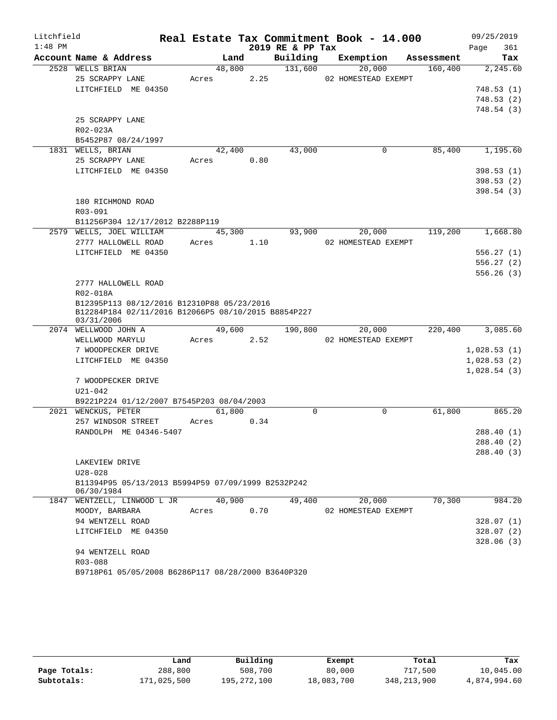| Litchfield |                                                                  |       |        |      |                  | Real Estate Tax Commitment Book - 14.000 |            | 09/25/2019  |        |
|------------|------------------------------------------------------------------|-------|--------|------|------------------|------------------------------------------|------------|-------------|--------|
| $1:48$ PM  |                                                                  |       |        |      | 2019 RE & PP Tax |                                          |            | Page        | 361    |
|            | Account Name & Address                                           |       | Land   |      | Building         | Exemption                                | Assessment |             | Tax    |
|            | 2528 WELLS BRIAN                                                 |       | 48,800 |      | 131,600          | 20,000                                   | 160,400    | 2,245.60    |        |
|            | 25 SCRAPPY LANE                                                  | Acres |        | 2.25 |                  | 02 HOMESTEAD EXEMPT                      |            |             |        |
|            | LITCHFIELD ME 04350                                              |       |        |      |                  |                                          |            | 748.53 (1)  |        |
|            |                                                                  |       |        |      |                  |                                          |            | 748.53 (2)  |        |
|            |                                                                  |       |        |      |                  |                                          |            | 748.54 (3)  |        |
|            | 25 SCRAPPY LANE<br>R02-023A                                      |       |        |      |                  |                                          |            |             |        |
|            | B5452P87 08/24/1997                                              |       |        |      |                  |                                          |            |             |        |
|            | 1831 WELLS, BRIAN                                                |       | 42,400 |      | 43,000           | $\mathbf 0$                              | 85,400     | 1,195.60    |        |
|            | 25 SCRAPPY LANE                                                  | Acres |        | 0.80 |                  |                                          |            |             |        |
|            | LITCHFIELD ME 04350                                              |       |        |      |                  |                                          |            | 398.53 (1)  |        |
|            |                                                                  |       |        |      |                  |                                          |            | 398.53 (2)  |        |
|            |                                                                  |       |        |      |                  |                                          |            | 398.54(3)   |        |
|            | 180 RICHMOND ROAD                                                |       |        |      |                  |                                          |            |             |        |
|            | R03-091                                                          |       |        |      |                  |                                          |            |             |        |
|            | B11256P304 12/17/2012 B2288P119                                  |       |        |      |                  |                                          |            |             |        |
|            | 2579 WELLS, JOEL WILLIAM                                         |       | 45,300 |      | 93,900           | 20,000                                   | 119,200    | 1,668.80    |        |
|            | 2777 HALLOWELL ROAD                                              | Acres |        | 1.10 |                  | 02 HOMESTEAD EXEMPT                      |            |             |        |
|            | LITCHFIELD ME 04350                                              |       |        |      |                  |                                          |            | 556.27(1)   |        |
|            |                                                                  |       |        |      |                  |                                          |            | 556.27(2)   |        |
|            |                                                                  |       |        |      |                  |                                          |            | 556.26(3)   |        |
|            | 2777 HALLOWELL ROAD                                              |       |        |      |                  |                                          |            |             |        |
|            | R02-018A                                                         |       |        |      |                  |                                          |            |             |        |
|            | B12395P113 08/12/2016 B12310P88 05/23/2016                       |       |        |      |                  |                                          |            |             |        |
|            | B12284P184 02/11/2016 B12066P5 08/10/2015 B8854P227              |       |        |      |                  |                                          |            |             |        |
|            | 03/31/2006<br>2074 WELLWOOD JOHN A                               |       | 49,600 |      | 190,800          | 20,000                                   | 220,400    | 3,085.60    |        |
|            | WELLWOOD MARYLU                                                  | Acres |        | 2.52 |                  | 02 HOMESTEAD EXEMPT                      |            |             |        |
|            | 7 WOODPECKER DRIVE                                               |       |        |      |                  |                                          |            | 1,028.53(1) |        |
|            | LITCHFIELD ME 04350                                              |       |        |      |                  |                                          |            | 1,028.53(2) |        |
|            |                                                                  |       |        |      |                  |                                          |            | 1,028.54(3) |        |
|            | 7 WOODPECKER DRIVE                                               |       |        |      |                  |                                          |            |             |        |
|            | $U21 - 042$                                                      |       |        |      |                  |                                          |            |             |        |
|            | B9221P224 01/12/2007 B7545P203 08/04/2003                        |       |        |      |                  |                                          |            |             |        |
|            | 2021 WENCKUS, PETER                                              |       | 61,800 |      | $\Omega$         | $\mathbf 0$                              | 61,800     |             | 865.20 |
|            | 257 WINDSOR STREET                                               | Acres |        | 0.34 |                  |                                          |            |             |        |
|            | RANDOLPH ME 04346-5407                                           |       |        |      |                  |                                          |            | 288.40 (1)  |        |
|            |                                                                  |       |        |      |                  |                                          |            | 288.40 (2)  |        |
|            |                                                                  |       |        |      |                  |                                          |            | 288.40 (3)  |        |
|            | LAKEVIEW DRIVE                                                   |       |        |      |                  |                                          |            |             |        |
|            | $U28 - 028$                                                      |       |        |      |                  |                                          |            |             |        |
|            | B11394P95 05/13/2013 B5994P59 07/09/1999 B2532P242<br>06/30/1984 |       |        |      |                  |                                          |            |             |        |
|            | 1847 WENTZELL, LINWOOD L JR                                      |       | 40,900 |      | 49,400           | 20,000                                   | 70,300     |             | 984.20 |
|            | MOODY, BARBARA                                                   | Acres |        | 0.70 |                  | 02 HOMESTEAD EXEMPT                      |            |             |        |
|            | 94 WENTZELL ROAD                                                 |       |        |      |                  |                                          |            | 328.07(1)   |        |
|            | LITCHFIELD ME 04350                                              |       |        |      |                  |                                          |            | 328.07(2)   |        |
|            |                                                                  |       |        |      |                  |                                          |            | 328.06(3)   |        |
|            | 94 WENTZELL ROAD                                                 |       |        |      |                  |                                          |            |             |        |
|            | R03-088                                                          |       |        |      |                  |                                          |            |             |        |
|            | B9718P61 05/05/2008 B6286P117 08/28/2000 B3640P320               |       |        |      |                  |                                          |            |             |        |

|              | Land        | Building    | Exempt     | Total         | Tax          |
|--------------|-------------|-------------|------------|---------------|--------------|
| Page Totals: | 288,800     | 508,700     | 80,000     | 717,500       | 10,045.00    |
| Subtotals:   | 171,025,500 | 195,272,100 | 18,083,700 | 348, 213, 900 | 4,874,994.60 |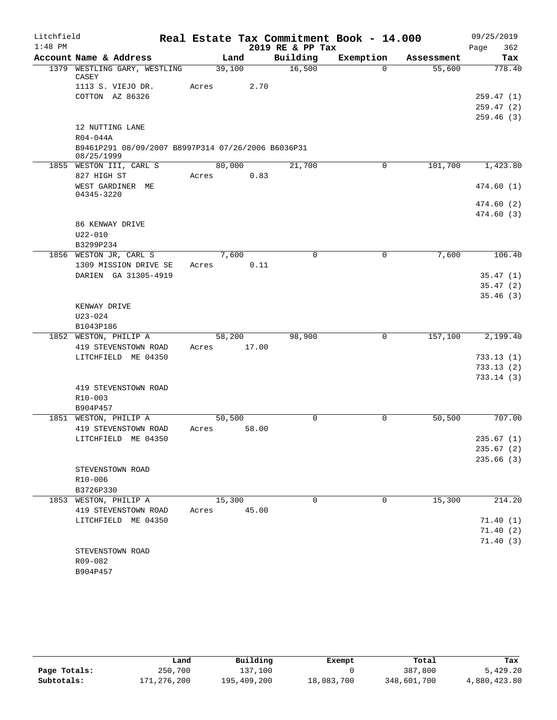| Litchfield |                                                                  | Real Estate Tax Commitment Book - 14.000 |                  |           |            | 09/25/2019  |
|------------|------------------------------------------------------------------|------------------------------------------|------------------|-----------|------------|-------------|
| $1:48$ PM  |                                                                  |                                          | 2019 RE & PP Tax |           |            | 362<br>Page |
|            | Account Name & Address                                           | Land                                     | Building         | Exemption | Assessment | Tax         |
|            | 1379 WESTLING GARY, WESTLING<br>CASEY                            | 39,100                                   | 16,500           | $\Omega$  | 55,600     | 778.40      |
|            | 1113 S. VIEJO DR.                                                | Acres                                    | 2.70             |           |            |             |
|            | COTTON AZ 86326                                                  |                                          |                  |           |            | 259.47(1)   |
|            |                                                                  |                                          |                  |           |            | 259.47(2)   |
|            |                                                                  |                                          |                  |           |            | 259.46(3)   |
|            | 12 NUTTING LANE<br>R04-044A                                      |                                          |                  |           |            |             |
|            | B9461P291 08/09/2007 B8997P314 07/26/2006 B6036P31<br>08/25/1999 |                                          |                  |           |            |             |
|            | 1855 WESTON III, CARL S                                          | 80,000                                   | 21,700           | 0         | 101,700    | 1,423.80    |
|            | 827 HIGH ST                                                      | Acres                                    | 0.83             |           |            |             |
|            | WEST GARDINER ME<br>04345-3220                                   |                                          |                  |           |            | 474.60 (1)  |
|            |                                                                  |                                          |                  |           |            | 474.60 (2)  |
|            |                                                                  |                                          |                  |           |            | 474.60 (3)  |
|            | 86 KENWAY DRIVE                                                  |                                          |                  |           |            |             |
|            | $U22 - 010$                                                      |                                          |                  |           |            |             |
|            | B3299P234                                                        |                                          |                  |           |            |             |
|            | 1856 WESTON JR, CARL S                                           | 7,600                                    | $\Omega$         | 0         | 7,600      | 106.40      |
|            | 1309 MISSION DRIVE SE                                            | Acres                                    | 0.11             |           |            |             |
|            | DARIEN GA 31305-4919                                             |                                          |                  |           |            | 35.47(1)    |
|            |                                                                  |                                          |                  |           |            | 35.47(2)    |
|            |                                                                  |                                          |                  |           |            | 35.46(3)    |
|            | KENWAY DRIVE                                                     |                                          |                  |           |            |             |
|            | $U23 - 024$<br>B1043P186                                         |                                          |                  |           |            |             |
|            | 1852 WESTON, PHILIP A                                            | 58,200                                   | 98,900           | 0         | 157,100    | 2,199.40    |
|            | 419 STEVENSTOWN ROAD                                             | 17.00<br>Acres                           |                  |           |            |             |
|            | LITCHFIELD ME 04350                                              |                                          |                  |           |            | 733.13(1)   |
|            |                                                                  |                                          |                  |           |            | 733.13(2)   |
|            |                                                                  |                                          |                  |           |            | 733.14(3)   |
|            | 419 STEVENSTOWN ROAD                                             |                                          |                  |           |            |             |
|            | $R10 - 003$                                                      |                                          |                  |           |            |             |
|            | B904P457                                                         |                                          |                  |           |            |             |
|            | 1851 WESTON, PHILIP A                                            | 50,500                                   | $\mathbf 0$      | 0         | 50,500     | 707.00      |
|            | 419 STEVENSTOWN ROAD                                             | 58.00<br>Acres                           |                  |           |            |             |
|            | LITCHFIELD ME 04350                                              |                                          |                  |           |            | 235.67(1)   |
|            |                                                                  |                                          |                  |           |            | 235.67(2)   |
|            |                                                                  |                                          |                  |           |            | 235.66(3)   |
|            | STEVENSTOWN ROAD<br>R10-006                                      |                                          |                  |           |            |             |
|            | B3726P330                                                        |                                          |                  |           |            |             |
|            | 1853 WESTON, PHILIP A                                            | 15,300                                   | $\mathbf 0$      | 0         | 15,300     | 214.20      |
|            | 419 STEVENSTOWN ROAD                                             | 45.00<br>Acres                           |                  |           |            |             |
|            | LITCHFIELD ME 04350                                              |                                          |                  |           |            | 71.40(1)    |
|            |                                                                  |                                          |                  |           |            | 71.40(2)    |
|            |                                                                  |                                          |                  |           |            | 71.40(3)    |
|            | STEVENSTOWN ROAD                                                 |                                          |                  |           |            |             |
|            | R09-082                                                          |                                          |                  |           |            |             |
|            | B904P457                                                         |                                          |                  |           |            |             |

|              | Land        | Building    | Exempt     | Total       | Tax          |
|--------------|-------------|-------------|------------|-------------|--------------|
| Page Totals: | 250,700     | 137.100     |            | 387,800     | 5,429.20     |
| Subtotals:   | 171,276,200 | 195,409,200 | 18,083,700 | 348,601,700 | 4,880,423.80 |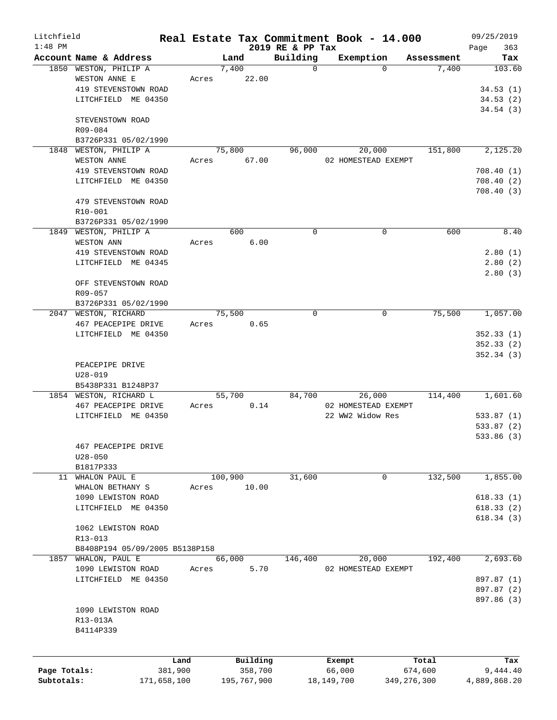| Litchfield<br>$1:48$ PM |                                |         |             | 2019 RE & PP Tax | Real Estate Tax Commitment Book - 14.000 |               | 09/25/2019         |
|-------------------------|--------------------------------|---------|-------------|------------------|------------------------------------------|---------------|--------------------|
|                         | Account Name & Address         |         | Land        | Building         | Exemption                                | Assessment    | 363<br>Page<br>Tax |
|                         | 1850 WESTON, PHILIP A          |         | 7,400       | 0                | $\Omega$                                 | 7,400         | 103.60             |
|                         | WESTON ANNE E                  | Acres   | 22.00       |                  |                                          |               |                    |
|                         | 419 STEVENSTOWN ROAD           |         |             |                  |                                          |               | 34.53(1)           |
|                         | LITCHFIELD ME 04350            |         |             |                  |                                          |               | 34.53(2)           |
|                         |                                |         |             |                  |                                          |               | 34.54(3)           |
|                         | STEVENSTOWN ROAD               |         |             |                  |                                          |               |                    |
|                         | R09-084                        |         |             |                  |                                          |               |                    |
|                         | B3726P331 05/02/1990           |         |             |                  |                                          |               |                    |
| 1848                    | WESTON, PHILIP A               |         | 75,800      | 96,000           | 20,000                                   | 151,800       | 2,125.20           |
|                         | <b>WESTON ANNE</b>             | Acres   | 67.00       |                  | 02 HOMESTEAD EXEMPT                      |               |                    |
|                         | 419 STEVENSTOWN ROAD           |         |             |                  |                                          |               | 708.40(1)          |
|                         | LITCHFIELD ME 04350            |         |             |                  |                                          |               | 708.40(2)          |
|                         |                                |         |             |                  |                                          |               | 708.40(3)          |
|                         | 479 STEVENSTOWN ROAD           |         |             |                  |                                          |               |                    |
|                         | R10-001                        |         |             |                  |                                          |               |                    |
|                         | B3726P331 05/02/1990           |         |             |                  |                                          |               |                    |
|                         | 1849 WESTON, PHILIP A          |         | 600         | 0                | $\mathbf 0$                              | 600           | 8.40               |
|                         | WESTON ANN                     | Acres   | 6.00        |                  |                                          |               |                    |
|                         | 419 STEVENSTOWN ROAD           |         |             |                  |                                          |               | 2.80(1)            |
|                         | LITCHFIELD ME 04345            |         |             |                  |                                          |               | 2.80(2)            |
|                         |                                |         |             |                  |                                          |               | 2.80(3)            |
|                         | OFF STEVENSTOWN ROAD           |         |             |                  |                                          |               |                    |
|                         | R09-057                        |         |             |                  |                                          |               |                    |
|                         | B3726P331 05/02/1990           |         |             |                  |                                          |               |                    |
|                         | 2047 WESTON, RICHARD           |         | 75,500      | $\Omega$         | $\mathbf 0$                              | 75,500        | 1,057.00           |
|                         | 467 PEACEPIPE DRIVE            | Acres   | 0.65        |                  |                                          |               |                    |
|                         | LITCHFIELD ME 04350            |         |             |                  |                                          |               | 352.33(1)          |
|                         |                                |         |             |                  |                                          |               | 352.33(2)          |
|                         |                                |         |             |                  |                                          |               | 352.34(3)          |
|                         | PEACEPIPE DRIVE                |         |             |                  |                                          |               |                    |
|                         | $U28 - 019$                    |         |             |                  |                                          |               |                    |
|                         | B5438P331 B1248P37             |         |             |                  |                                          |               |                    |
|                         | 1854 WESTON, RICHARD L         |         | 55,700      | 84,700           | 26,000                                   | 114,400       | 1,601.60           |
|                         | 467 PEACEPIPE DRIVE            | Acres   | 0.14        |                  | 02 HOMESTEAD EXEMPT                      |               |                    |
|                         | LITCHFIELD ME 04350            |         |             |                  | 22 WW2 Widow Res                         |               | 533.87(1)          |
|                         |                                |         |             |                  |                                          |               | 533.87(2)          |
|                         |                                |         |             |                  |                                          |               | 533.86 (3)         |
|                         | 467 PEACEPIPE DRIVE            |         |             |                  |                                          |               |                    |
|                         | $U28 - 050$                    |         |             |                  |                                          |               |                    |
|                         | B1817P333                      |         |             |                  |                                          |               |                    |
| 11                      | WHALON PAUL E                  |         | 100,900     | 31,600           | 0                                        | 132,500       | 1,855.00           |
|                         | WHALON BETHANY S               | Acres   | 10.00       |                  |                                          |               |                    |
|                         | 1090 LEWISTON ROAD             |         |             |                  |                                          |               | 618.33(1)          |
|                         |                                |         |             |                  |                                          |               |                    |
|                         | LITCHFIELD ME 04350            |         |             |                  |                                          |               | 618.33(2)          |
|                         |                                |         |             |                  |                                          |               | 618.34(3)          |
|                         | 1062 LEWISTON ROAD             |         |             |                  |                                          |               |                    |
|                         | R13-013                        |         |             |                  |                                          |               |                    |
|                         | B8408P194 05/09/2005 B5138P158 |         |             |                  |                                          |               |                    |
| 1857                    | WHALON, PAUL E                 |         | 66,000      | 146,400          | 20,000                                   | 192,400       | 2,693.60           |
|                         | 1090 LEWISTON ROAD             | Acres   | 5.70        |                  | 02 HOMESTEAD EXEMPT                      |               |                    |
|                         | LITCHFIELD ME 04350            |         |             |                  |                                          |               | 897.87 (1)         |
|                         |                                |         |             |                  |                                          |               | 897.87 (2)         |
|                         |                                |         |             |                  |                                          |               | 897.86 (3)         |
|                         | 1090 LEWISTON ROAD             |         |             |                  |                                          |               |                    |
|                         | R13-013A                       |         |             |                  |                                          |               |                    |
|                         | B4114P339                      |         |             |                  |                                          |               |                    |
|                         |                                |         |             |                  |                                          |               |                    |
|                         |                                | Land    | Building    |                  | Exempt                                   | Total         | Tax                |
| Page Totals:            |                                | 381,900 | 358,700     |                  | 66,000                                   | 674,600       | 9,444.40           |
| Subtotals:              | 171,658,100                    |         | 195,767,900 |                  | 18, 149, 700                             | 349, 276, 300 | 4,889,868.20       |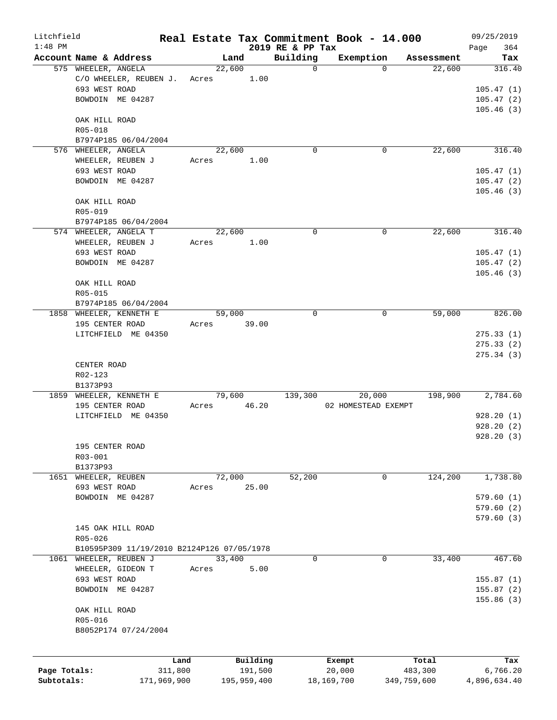| Litchfield   |                                            |         |             |                              | Real Estate Tax Commitment Book - 14.000 |             | 09/25/2019             |
|--------------|--------------------------------------------|---------|-------------|------------------------------|------------------------------------------|-------------|------------------------|
| $1:48$ PM    | Account Name & Address                     |         | Land        | 2019 RE & PP Tax<br>Building | Exemption                                | Assessment  | 364<br>Page<br>Tax     |
|              | 575 WHEELER, ANGELA                        |         | 22,600      | $\mathbf 0$                  | $\Omega$                                 | 22,600      | 316.40                 |
|              | C/O WHEELER, REUBEN J.                     | Acres   | 1.00        |                              |                                          |             |                        |
|              | 693 WEST ROAD                              |         |             |                              |                                          |             | 105.47(1)              |
|              | BOWDOIN ME 04287                           |         |             |                              |                                          |             | 105.47(2)              |
|              |                                            |         |             |                              |                                          |             | 105.46(3)              |
|              | OAK HILL ROAD                              |         |             |                              |                                          |             |                        |
|              | R05-018                                    |         |             |                              |                                          |             |                        |
|              | B7974P185 06/04/2004                       |         |             |                              |                                          |             |                        |
|              | 576 WHEELER, ANGELA                        |         | 22,600      | $\mathbf 0$                  | 0                                        | 22,600      | 316.40                 |
|              | WHEELER, REUBEN J                          | Acres   | 1.00        |                              |                                          |             |                        |
|              | 693 WEST ROAD                              |         |             |                              |                                          |             | 105.47(1)              |
|              | BOWDOIN ME 04287                           |         |             |                              |                                          |             | 105.47(2)              |
|              |                                            |         |             |                              |                                          |             | 105.46(3)              |
|              | OAK HILL ROAD                              |         |             |                              |                                          |             |                        |
|              | R05-019                                    |         |             |                              |                                          |             |                        |
|              | B7974P185 06/04/2004                       |         |             |                              |                                          |             |                        |
|              | 574 WHEELER, ANGELA T                      |         | 22,600      | $\Omega$                     | 0                                        | 22,600      | 316.40                 |
|              | WHEELER, REUBEN J                          | Acres   | 1.00        |                              |                                          |             |                        |
|              | 693 WEST ROAD                              |         |             |                              |                                          |             | 105.47(1)              |
|              | BOWDOIN ME 04287                           |         |             |                              |                                          |             | 105.47(2)              |
|              |                                            |         |             |                              |                                          |             | 105.46(3)              |
|              | OAK HILL ROAD                              |         |             |                              |                                          |             |                        |
|              | R05-015                                    |         |             |                              |                                          |             |                        |
|              | B7974P185 06/04/2004                       |         |             |                              |                                          |             |                        |
|              | 1858 WHEELER, KENNETH E                    |         | 59,000      | $\mathbf 0$                  | $\mathbf 0$                              | 59,000      | 826.00                 |
|              | 195 CENTER ROAD                            | Acres   | 39.00       |                              |                                          |             |                        |
|              | LITCHFIELD ME 04350                        |         |             |                              |                                          |             | 275.33(1)              |
|              |                                            |         |             |                              |                                          |             | 275.33(2)<br>275.34(3) |
|              | CENTER ROAD                                |         |             |                              |                                          |             |                        |
|              | R02-123                                    |         |             |                              |                                          |             |                        |
|              | B1373P93                                   |         |             |                              |                                          |             |                        |
|              | 1859 WHEELER, KENNETH E                    |         | 79,600      | 139,300                      | 20,000                                   | 198,900     | 2,784.60               |
|              | 195 CENTER ROAD                            | Acres   | 46.20       |                              | 02 HOMESTEAD EXEMPT                      |             |                        |
|              | LITCHFIELD ME 04350                        |         |             |                              |                                          |             | 928.20(1)              |
|              |                                            |         |             |                              |                                          |             | 928.20(2)              |
|              |                                            |         |             |                              |                                          |             | 928.20(3)              |
|              | 195 CENTER ROAD                            |         |             |                              |                                          |             |                        |
|              | R03-001                                    |         |             |                              |                                          |             |                        |
|              | B1373P93                                   |         |             |                              |                                          |             |                        |
| 1651         | WHEELER, REUBEN                            |         | 72,000      | 52,200                       | 0                                        | 124,200     | 1,738.80               |
|              | 693 WEST ROAD                              | Acres   | 25.00       |                              |                                          |             |                        |
|              | BOWDOIN ME 04287                           |         |             |                              |                                          |             | 579.60(1)              |
|              |                                            |         |             |                              |                                          |             | 579.60(2)              |
|              |                                            |         |             |                              |                                          |             | 579.60(3)              |
|              | 145 OAK HILL ROAD                          |         |             |                              |                                          |             |                        |
|              | R05-026                                    |         |             |                              |                                          |             |                        |
|              | B10595P309 11/19/2010 B2124P126 07/05/1978 |         |             |                              |                                          |             |                        |
| 1061         | WHEELER, REUBEN J                          |         | 33,400      | 0                            | $\mathbf 0$                              | 33,400      | 467.60                 |
|              | WHEELER, GIDEON T                          | Acres   | 5.00        |                              |                                          |             |                        |
|              | 693 WEST ROAD                              |         |             |                              |                                          |             | 155.87(1)              |
|              | BOWDOIN ME 04287                           |         |             |                              |                                          |             | 155.87(2)              |
|              |                                            |         |             |                              |                                          |             | 155.86(3)              |
|              | OAK HILL ROAD                              |         |             |                              |                                          |             |                        |
|              | R05-016                                    |         |             |                              |                                          |             |                        |
|              | B8052P174 07/24/2004                       |         |             |                              |                                          |             |                        |
|              |                                            |         |             |                              |                                          |             |                        |
|              |                                            | Land    | Building    |                              | Exempt                                   | Total       | Tax                    |
| Page Totals: |                                            | 311,800 | 191,500     |                              | 20,000                                   | 483,300     | 6,766.20               |
| Subtotals:   | 171,969,900                                |         | 195,959,400 |                              | 18,169,700                               | 349,759,600 | 4,896,634.40           |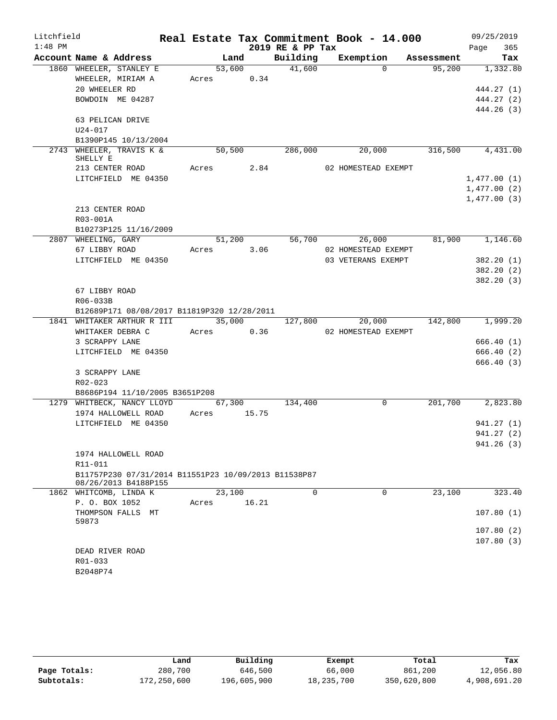| Litchfield |                                                      |            |                 |                  | Real Estate Tax Commitment Book - 14.000 |            | 09/25/2019       |
|------------|------------------------------------------------------|------------|-----------------|------------------|------------------------------------------|------------|------------------|
| $1:48$ PM  |                                                      |            |                 | 2019 RE & PP Tax |                                          |            | Page<br>365      |
|            | Account Name & Address                               |            | Land            | Building         | Exemption                                | Assessment | Tax              |
|            | 1860 WHEELER, STANLEY E                              |            | 53,600          | 41,600           | $\Omega$                                 | 95,200     | 1,332.80         |
|            | WHEELER, MIRIAM A                                    | Acres      | 0.34            |                  |                                          |            |                  |
|            | 20 WHEELER RD                                        |            |                 |                  |                                          |            | 444.27 (1)       |
|            | BOWDOIN ME 04287                                     |            |                 |                  |                                          |            | 444.27 (2)       |
|            |                                                      |            |                 |                  |                                          |            | 444.26 (3)       |
|            | 63 PELICAN DRIVE                                     |            |                 |                  |                                          |            |                  |
|            | $U24 - 017$                                          |            |                 |                  |                                          |            |                  |
|            | B1390P145 10/13/2004<br>2743 WHEELER, TRAVIS K &     |            | 50,500          | 286,000          |                                          | 316,500    |                  |
|            | SHELLY E                                             |            |                 |                  | 20,000                                   |            | 4,431.00         |
|            | 213 CENTER ROAD                                      | Acres 2.84 |                 |                  | 02 HOMESTEAD EXEMPT                      |            |                  |
|            | LITCHFIELD ME 04350                                  |            |                 |                  |                                          |            | 1,477.00(1)      |
|            |                                                      |            |                 |                  |                                          |            | 1,477.00(2)      |
|            |                                                      |            |                 |                  |                                          |            | 1,477.00(3)      |
|            | 213 CENTER ROAD                                      |            |                 |                  |                                          |            |                  |
|            | R03-001A                                             |            |                 |                  |                                          |            |                  |
|            | B10273P125 11/16/2009                                |            |                 |                  |                                          |            |                  |
|            | 2807 WHEELING, GARY                                  |            | 51,200          | 56,700           | 26,000                                   | 81,900     | 1,146.60         |
|            | 67 LIBBY ROAD                                        | Acres      | 3.06            |                  | 02 HOMESTEAD EXEMPT                      |            |                  |
|            | LITCHFIELD ME 04350                                  |            |                 |                  | 03 VETERANS EXEMPT                       |            | 382.20 (1)       |
|            |                                                      |            |                 |                  |                                          |            | 382.20 (2)       |
|            |                                                      |            |                 |                  |                                          |            | 382.20(3)        |
|            | 67 LIBBY ROAD                                        |            |                 |                  |                                          |            |                  |
|            | R06-033B                                             |            |                 |                  |                                          |            |                  |
|            | B12689P171 08/08/2017 B11819P320 12/28/2011          |            |                 |                  |                                          |            |                  |
|            | 1841 WHITAKER ARTHUR R III                           |            | 35,000          | 127,800          | 20,000                                   |            | 142,800 1,999.20 |
|            | WHITAKER DEBRA C                                     | Acres      | 0.36            |                  | 02 HOMESTEAD EXEMPT                      |            |                  |
|            | 3 SCRAPPY LANE                                       |            |                 |                  |                                          |            | 666.40(1)        |
|            | LITCHFIELD ME 04350                                  |            |                 |                  |                                          |            | 666.40 (2)       |
|            |                                                      |            |                 |                  |                                          |            | 666.40 (3)       |
|            | 3 SCRAPPY LANE                                       |            |                 |                  |                                          |            |                  |
|            | R02-023                                              |            |                 |                  |                                          |            |                  |
|            | B8686P194 11/10/2005 B3651P208                       |            |                 |                  | $\mathbf 0$                              |            |                  |
|            | 1279 WHITBECK, NANCY LLOYD<br>1974 HALLOWELL ROAD    | Acres      | 67,300<br>15.75 | 134,400          |                                          | 201,700    | 2,823.80         |
|            | LITCHFIELD ME 04350                                  |            |                 |                  |                                          |            | 941.27 (1)       |
|            |                                                      |            |                 |                  |                                          |            | 941.27 (2)       |
|            |                                                      |            |                 |                  |                                          |            | 941.26(3)        |
|            | 1974 HALLOWELL ROAD                                  |            |                 |                  |                                          |            |                  |
|            | R11-011                                              |            |                 |                  |                                          |            |                  |
|            | B11757P230 07/31/2014 B11551P23 10/09/2013 B11538P87 |            |                 |                  |                                          |            |                  |
|            | 08/26/2013 B4188P155                                 |            |                 |                  |                                          |            |                  |
| 1862       | WHITCOMB, LINDA K                                    |            | 23,100          | $\Omega$         | $\mathbf 0$                              | 23,100     | 323.40           |
|            | P. O. BOX 1052                                       | Acres      | 16.21           |                  |                                          |            |                  |
|            | THOMPSON FALLS MT                                    |            |                 |                  |                                          |            | 107.80(1)        |
|            | 59873                                                |            |                 |                  |                                          |            |                  |
|            |                                                      |            |                 |                  |                                          |            | 107.80(2)        |
|            |                                                      |            |                 |                  |                                          |            | 107.80(3)        |
|            | DEAD RIVER ROAD<br>R01-033                           |            |                 |                  |                                          |            |                  |
|            | B2048P74                                             |            |                 |                  |                                          |            |                  |
|            |                                                      |            |                 |                  |                                          |            |                  |

|              | Land        | Building    | Exempt     | Total       | Tax          |
|--------------|-------------|-------------|------------|-------------|--------------|
| Page Totals: | 280,700     | 646,500     | 66,000     | 861,200     | 12,056.80    |
| Subtotals:   | 172,250,600 | 196,605,900 | 18,235,700 | 350,620,800 | 4,908,691.20 |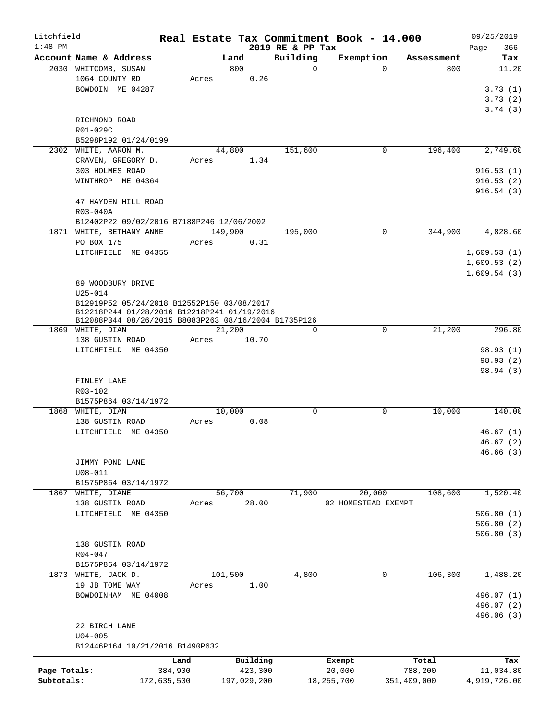| Litchfield   |                                                                                                     |             |             |             |                      | Real Estate Tax Commitment Book - 14.000 |                               | 09/25/2019   |
|--------------|-----------------------------------------------------------------------------------------------------|-------------|-------------|-------------|----------------------|------------------------------------------|-------------------------------|--------------|
| $1:48$ PM    |                                                                                                     |             |             |             | 2019 RE & PP Tax     |                                          |                               | 366<br>Page  |
|              | Account Name & Address<br>2030 WHITCOMB, SUSAN                                                      |             | Land<br>800 |             | Building<br>$\Omega$ | Exemption                                | Assessment<br>$\Omega$<br>800 | Tax<br>11.20 |
|              | 1064 COUNTY RD                                                                                      | Acres       |             | 0.26        |                      |                                          |                               |              |
|              | BOWDOIN ME 04287                                                                                    |             |             |             |                      |                                          |                               | 3.73(1)      |
|              |                                                                                                     |             |             |             |                      |                                          |                               | 3.73(2)      |
|              |                                                                                                     |             |             |             |                      |                                          |                               | 3.74(3)      |
|              | RICHMOND ROAD                                                                                       |             |             |             |                      |                                          |                               |              |
|              | R01-029C                                                                                            |             |             |             |                      |                                          |                               |              |
|              | B5298P192 01/24/0199                                                                                |             |             |             |                      |                                          |                               |              |
|              | 2302 WHITE, AARON M.                                                                                |             | 44,800      |             | 151,600              |                                          | 196,400<br>0                  | 2,749.60     |
|              | CRAVEN, GREGORY D.                                                                                  | Acres       |             | 1.34        |                      |                                          |                               |              |
|              | 303 HOLMES ROAD                                                                                     |             |             |             |                      |                                          |                               | 916.53(1)    |
|              | WINTHROP ME 04364                                                                                   |             |             |             |                      |                                          |                               | 916.53(2)    |
|              |                                                                                                     |             |             |             |                      |                                          |                               | 916.54(3)    |
|              | 47 HAYDEN HILL ROAD                                                                                 |             |             |             |                      |                                          |                               |              |
|              | R03-040A                                                                                            |             |             |             |                      |                                          |                               |              |
|              | B12402P22 09/02/2016 B7188P246 12/06/2002                                                           |             |             |             |                      |                                          |                               |              |
|              | 1871 WHITE, BETHANY ANNE                                                                            |             | 149,900     |             | 195,000              |                                          | $\Omega$<br>344,900           | 4,828.60     |
|              | PO BOX 175                                                                                          | Acres       |             | 0.31        |                      |                                          |                               |              |
|              | LITCHFIELD ME 04355                                                                                 |             |             |             |                      |                                          |                               | 1,609.53(1)  |
|              |                                                                                                     |             |             |             |                      |                                          |                               | 1,609.53(2)  |
|              |                                                                                                     |             |             |             |                      |                                          |                               | 1,609.54(3)  |
|              | 89 WOODBURY DRIVE                                                                                   |             |             |             |                      |                                          |                               |              |
|              | $U25 - 014$                                                                                         |             |             |             |                      |                                          |                               |              |
|              | B12919P52 05/24/2018 B12552P150 03/08/2017                                                          |             |             |             |                      |                                          |                               |              |
|              | B12218P244 01/28/2016 B12218P241 01/19/2016<br>B12088P344 08/26/2015 B8083P263 08/16/2004 B1735P126 |             |             |             |                      |                                          |                               |              |
|              | 1869 WHITE, DIAN                                                                                    |             | 21,200      |             | $\Omega$             |                                          | $\mathbf 0$<br>21,200         | 296.80       |
|              | 138 GUSTIN ROAD                                                                                     | Acres       |             | 10.70       |                      |                                          |                               |              |
|              | LITCHFIELD ME 04350                                                                                 |             |             |             |                      |                                          |                               | 98.93 (1)    |
|              |                                                                                                     |             |             |             |                      |                                          |                               | 98.93(2)     |
|              |                                                                                                     |             |             |             |                      |                                          |                               | 98.94 (3)    |
|              | FINLEY LANE                                                                                         |             |             |             |                      |                                          |                               |              |
|              | R03-102                                                                                             |             |             |             |                      |                                          |                               |              |
|              | B1575P864 03/14/1972                                                                                |             |             |             |                      |                                          |                               |              |
|              | 1868 WHITE, DIAN                                                                                    |             | 10,000      |             | $\mathbf 0$          |                                          | 0<br>10,000                   | 140.00       |
|              | 138 GUSTIN ROAD                                                                                     | Acres       |             | 0.08        |                      |                                          |                               |              |
|              | LITCHFIELD ME 04350                                                                                 |             |             |             |                      |                                          |                               | 46.67(1)     |
|              |                                                                                                     |             |             |             |                      |                                          |                               | 46.67(2)     |
|              |                                                                                                     |             |             |             |                      |                                          |                               | 46.66(3)     |
|              | JIMMY POND LANE                                                                                     |             |             |             |                      |                                          |                               |              |
|              | $U08 - 011$                                                                                         |             |             |             |                      |                                          |                               |              |
|              | B1575P864 03/14/1972                                                                                |             |             |             |                      |                                          |                               |              |
| 1867         | WHITE, DIANE                                                                                        |             | 56,700      |             | 71,900               | 20,000                                   | 108,600                       | 1,520.40     |
|              | 138 GUSTIN ROAD                                                                                     | Acres       |             | 28.00       |                      | 02 HOMESTEAD EXEMPT                      |                               |              |
|              | LITCHFIELD ME 04350                                                                                 |             |             |             |                      |                                          |                               | 506.80(1)    |
|              |                                                                                                     |             |             |             |                      |                                          |                               | 506.80(2)    |
|              |                                                                                                     |             |             |             |                      |                                          |                               | 506.80(3)    |
|              | 138 GUSTIN ROAD                                                                                     |             |             |             |                      |                                          |                               |              |
|              | $R04 - 047$                                                                                         |             |             |             |                      |                                          |                               |              |
|              | B1575P864 03/14/1972<br>1873 WHITE, JACK D.                                                         |             | 101,500     |             | 4,800                |                                          | 106,300<br>0                  | 1,488.20     |
|              | 19 JB TOME WAY                                                                                      | Acres       |             | 1.00        |                      |                                          |                               |              |
|              | BOWDOINHAM ME 04008                                                                                 |             |             |             |                      |                                          |                               | 496.07 (1)   |
|              |                                                                                                     |             |             |             |                      |                                          |                               | 496.07 (2)   |
|              |                                                                                                     |             |             |             |                      |                                          |                               | 496.06 (3)   |
|              | 22 BIRCH LANE                                                                                       |             |             |             |                      |                                          |                               |              |
|              | $U04 - 005$                                                                                         |             |             |             |                      |                                          |                               |              |
|              | B12446P164 10/21/2016 B1490P632                                                                     |             |             |             |                      |                                          |                               |              |
|              |                                                                                                     |             |             |             |                      |                                          |                               |              |
|              |                                                                                                     | Land        |             | Building    |                      | Exempt                                   | Total                         | Tax          |
| Page Totals: |                                                                                                     | 384,900     |             | 423,300     |                      | 20,000                                   | 788,200                       | 11,034.80    |
| Subtotals:   |                                                                                                     | 172,635,500 |             | 197,029,200 |                      | 18, 255, 700                             | 351,409,000                   | 4,919,726.00 |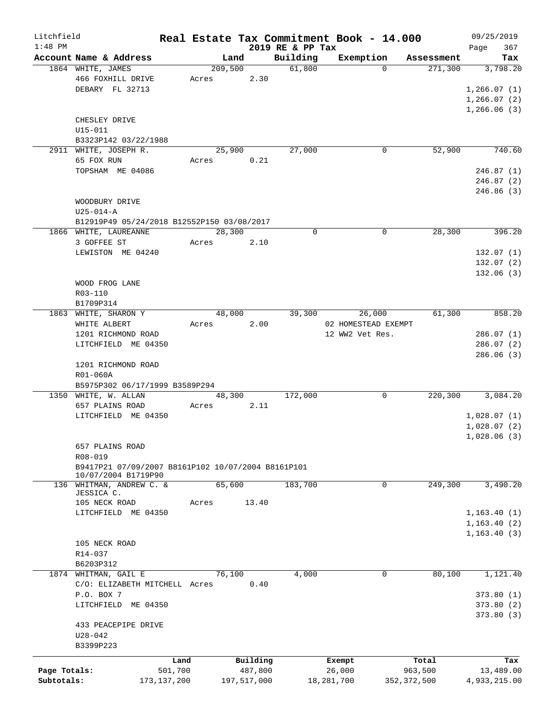| Litchfield   |                                                    |               |                 |             |                    | Real Estate Tax Commitment Book - 14.000 |                                    | 09/25/2019      |
|--------------|----------------------------------------------------|---------------|-----------------|-------------|--------------------|------------------------------------------|------------------------------------|-----------------|
| $1:48$ PM    |                                                    |               |                 |             | 2019 RE & PP Tax   |                                          |                                    | 367<br>Page     |
|              | Account Name & Address<br>1864 WHITE, JAMES        |               | Land<br>209,500 |             | Building<br>61,800 | Exemption<br>$\Omega$                    | Assessment<br>$\overline{271,300}$ | Tax<br>3,798.20 |
|              | 466 FOXHILL DRIVE                                  |               | Acres           | 2.30        |                    |                                          |                                    |                 |
|              | DEBARY FL 32713                                    |               |                 |             |                    |                                          |                                    | 1,266.07(1)     |
|              |                                                    |               |                 |             |                    |                                          |                                    | 1, 266.07(2)    |
|              |                                                    |               |                 |             |                    |                                          |                                    |                 |
|              |                                                    |               |                 |             |                    |                                          |                                    | 1,266.06(3)     |
|              | CHESLEY DRIVE                                      |               |                 |             |                    |                                          |                                    |                 |
|              | $U15 - 011$                                        |               |                 |             |                    |                                          |                                    |                 |
|              | B3323P142 03/22/1988                               |               |                 |             |                    |                                          |                                    |                 |
|              | 2911 WHITE, JOSEPH R.                              |               | 25,900          |             | 27,000             | 0                                        | 52,900                             | 740.60          |
|              | 65 FOX RUN                                         |               | Acres           | 0.21        |                    |                                          |                                    |                 |
|              | TOPSHAM ME 04086                                   |               |                 |             |                    |                                          |                                    | 246.87(1)       |
|              |                                                    |               |                 |             |                    |                                          |                                    | 246.87(2)       |
|              |                                                    |               |                 |             |                    |                                          |                                    | 246.86 (3)      |
|              | WOODBURY DRIVE                                     |               |                 |             |                    |                                          |                                    |                 |
|              | $U25 - 014 - A$                                    |               |                 |             |                    |                                          |                                    |                 |
|              | B12919P49 05/24/2018 B12552P150 03/08/2017         |               |                 |             |                    |                                          |                                    |                 |
|              | 1866 WHITE, LAUREANNE                              |               | 28,300          |             | $\mathbf 0$        | $\mathbf 0$                              | 28,300                             | 396.20          |
|              | 3 GOFFEE ST                                        |               | Acres           | 2.10        |                    |                                          |                                    |                 |
|              | LEWISTON ME 04240                                  |               |                 |             |                    |                                          |                                    | 132.07(1)       |
|              |                                                    |               |                 |             |                    |                                          |                                    | 132.07(2)       |
|              |                                                    |               |                 |             |                    |                                          |                                    | 132.06(3)       |
|              | WOOD FROG LANE                                     |               |                 |             |                    |                                          |                                    |                 |
|              | R03-110                                            |               |                 |             |                    |                                          |                                    |                 |
|              | B1709P314                                          |               |                 |             |                    |                                          |                                    |                 |
|              | 1863 WHITE, SHARON Y                               |               | 48,000          |             | 39,300             | 26,000                                   | 61,300                             | 858.20          |
|              |                                                    |               |                 |             |                    |                                          |                                    |                 |
|              | WHITE ALBERT                                       |               | Acres           | 2.00        |                    | 02 HOMESTEAD EXEMPT                      |                                    |                 |
|              | 1201 RICHMOND ROAD                                 |               |                 |             |                    | 12 WW2 Vet Res.                          |                                    | 286.07(1)       |
|              | LITCHFIELD ME 04350                                |               |                 |             |                    |                                          |                                    | 286.07(2)       |
|              |                                                    |               |                 |             |                    |                                          |                                    | 286.06(3)       |
|              | 1201 RICHMOND ROAD                                 |               |                 |             |                    |                                          |                                    |                 |
|              | R01-060A                                           |               |                 |             |                    |                                          |                                    |                 |
|              | B5975P302 06/17/1999 B3589P294                     |               |                 |             |                    |                                          |                                    |                 |
|              | 1350 WHITE, W. ALLAN                               |               | 48,300          |             | 172,000            | 0                                        | 220,300                            | 3,084.20        |
|              | 657 PLAINS ROAD                                    |               | Acres           | 2.11        |                    |                                          |                                    |                 |
|              | LITCHFIELD ME 04350                                |               |                 |             |                    |                                          |                                    | 1,028.07(1)     |
|              |                                                    |               |                 |             |                    |                                          |                                    | 1,028.07(2)     |
|              |                                                    |               |                 |             |                    |                                          |                                    | 1,028.06(3)     |
|              | 657 PLAINS ROAD                                    |               |                 |             |                    |                                          |                                    |                 |
|              | R08-019                                            |               |                 |             |                    |                                          |                                    |                 |
|              | B9417P21 07/09/2007 B8161P102 10/07/2004 B8161P101 |               |                 |             |                    |                                          |                                    |                 |
|              | 10/07/2004 B1719P90                                |               |                 |             |                    |                                          |                                    |                 |
|              | 136 WHITMAN, ANDREW C. &                           |               | 65,600          |             | 183,700            | 0                                        | 249,300                            | 3,490.20        |
|              | JESSICA C.                                         |               |                 |             |                    |                                          |                                    |                 |
|              | 105 NECK ROAD                                      | Acres         |                 | 13.40       |                    |                                          |                                    |                 |
|              | LITCHFIELD ME 04350                                |               |                 |             |                    |                                          |                                    | 1, 163.40(1)    |
|              |                                                    |               |                 |             |                    |                                          |                                    | 1,163.40(2)     |
|              |                                                    |               |                 |             |                    |                                          |                                    | 1, 163.40(3)    |
|              | 105 NECK ROAD                                      |               |                 |             |                    |                                          |                                    |                 |
|              | R14-037                                            |               |                 |             |                    |                                          |                                    |                 |
|              | B6203P312                                          |               |                 |             |                    |                                          |                                    |                 |
|              | 1874 WHITMAN, GAIL E                               |               | 76,100          |             | 4,000              | 0                                        | 80,100                             | 1,121.40        |
|              | C/O: ELIZABETH MITCHELL Acres                      |               |                 | 0.40        |                    |                                          |                                    |                 |
|              | P.O. BOX 7                                         |               |                 |             |                    |                                          |                                    | 373.80(1)       |
|              | LITCHFIELD ME 04350                                |               |                 |             |                    |                                          |                                    | 373.80(2)       |
|              |                                                    |               |                 |             |                    |                                          |                                    | 373.80(3)       |
|              | 433 PEACEPIPE DRIVE                                |               |                 |             |                    |                                          |                                    |                 |
|              | $U28 - 042$                                        |               |                 |             |                    |                                          |                                    |                 |
|              | B3399P223                                          |               |                 |             |                    |                                          |                                    |                 |
|              |                                                    |               |                 |             |                    |                                          |                                    |                 |
|              |                                                    | Land          |                 | Building    |                    | Exempt                                   | Total                              | Tax             |
| Page Totals: |                                                    | 501,700       |                 | 487,800     |                    | 26,000                                   | 963,500                            | 13,489.00       |
| Subtotals:   |                                                    | 173, 137, 200 |                 | 197,517,000 |                    | 18,281,700                               | 352, 372, 500                      | 4,933,215.00    |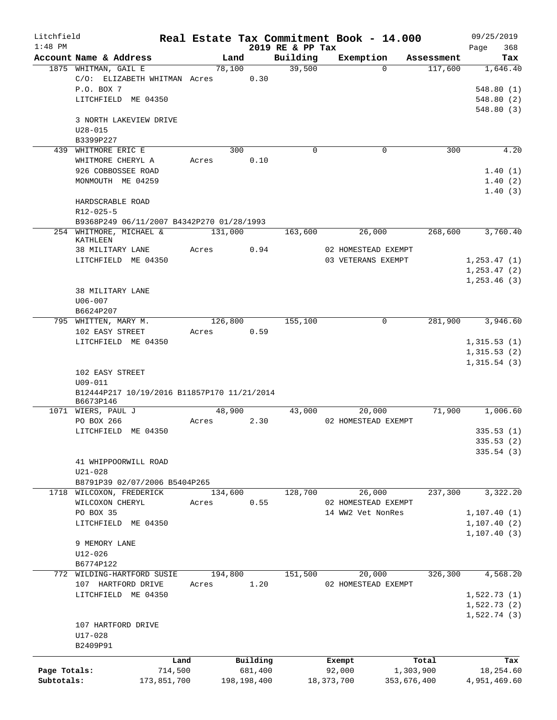| Litchfield   |                                                |                |             |                    | Real Estate Tax Commitment Book - 14.000 |                       | 09/25/2019                 |
|--------------|------------------------------------------------|----------------|-------------|--------------------|------------------------------------------|-----------------------|----------------------------|
| $1:48$ PM    |                                                |                |             | 2019 RE & PP Tax   |                                          |                       | 368<br>Page                |
|              | Account Name & Address<br>1875 WHITMAN, GAIL E | Land<br>78,100 |             | Building<br>39,500 | Exemption<br>$\Omega$                    | Assessment<br>117,600 | Tax<br>1,646.40            |
|              | C/O: ELIZABETH WHITMAN Acres                   |                | 0.30        |                    |                                          |                       |                            |
|              | P.O. BOX 7                                     |                |             |                    |                                          |                       | 548.80(1)                  |
|              | LITCHFIELD ME 04350                            |                |             |                    |                                          |                       | 548.80(2)                  |
|              |                                                |                |             |                    |                                          |                       | 548.80(3)                  |
|              | 3 NORTH LAKEVIEW DRIVE                         |                |             |                    |                                          |                       |                            |
|              | $U28 - 015$                                    |                |             |                    |                                          |                       |                            |
|              | B3399P227                                      |                |             |                    |                                          |                       |                            |
|              | 439 WHITMORE ERIC E                            | 300            |             | $\mathbf 0$        | $\mathbf 0$                              | 300                   | 4.20                       |
|              | WHITMORE CHERYL A                              | Acres          | 0.10        |                    |                                          |                       |                            |
|              | 926 COBBOSSEE ROAD                             |                |             |                    |                                          |                       | 1.40(1)                    |
|              | MONMOUTH ME 04259                              |                |             |                    |                                          |                       | 1.40(2)                    |
|              |                                                |                |             |                    |                                          |                       | 1.40(3)                    |
|              | HARDSCRABLE ROAD<br>$R12 - 025 - 5$            |                |             |                    |                                          |                       |                            |
|              | B9368P249 06/11/2007 B4342P270 01/28/1993      |                |             |                    |                                          |                       |                            |
|              | 254 WHITMORE, MICHAEL &                        | 131,000        |             | 163,600            | 26,000                                   | 268,600               | 3,760.40                   |
|              | KATHLEEN                                       |                |             |                    |                                          |                       |                            |
|              | 38 MILITARY LANE                               | Acres          | 0.94        |                    | 02 HOMESTEAD EXEMPT                      |                       |                            |
|              | LITCHFIELD ME 04350                            |                |             |                    | 03 VETERANS EXEMPT                       |                       | 1, 253.47(1)               |
|              |                                                |                |             |                    |                                          |                       | 1, 253.47(2)               |
|              |                                                |                |             |                    |                                          |                       | 1, 253.46(3)               |
|              | 38 MILITARY LANE                               |                |             |                    |                                          |                       |                            |
|              | $U06 - 007$                                    |                |             |                    |                                          |                       |                            |
|              | B6624P207                                      |                |             |                    |                                          |                       |                            |
|              | 795 WHITTEN, MARY M.                           | 126,800        |             | 155,100            | 0                                        | 281,900               | 3,946.60                   |
|              | 102 EASY STREET                                | Acres          | 0.59        |                    |                                          |                       |                            |
|              | LITCHFIELD ME 04350                            |                |             |                    |                                          |                       | 1,315.53(1)                |
|              |                                                |                |             |                    |                                          |                       | 1,315.53(2)<br>1,315.54(3) |
|              | 102 EASY STREET                                |                |             |                    |                                          |                       |                            |
|              | $U09 - 011$                                    |                |             |                    |                                          |                       |                            |
|              | B12444P217 10/19/2016 B11857P170 11/21/2014    |                |             |                    |                                          |                       |                            |
|              | B6673P146                                      |                |             |                    |                                          |                       |                            |
|              | 1071 WIERS, PAUL J                             | 48,900         |             | 43,000             | 20,000                                   | 71,900                | 1,006.60                   |
|              | PO BOX 266                                     | Acres          | 2.30        |                    | 02 HOMESTEAD EXEMPT                      |                       |                            |
|              | LITCHFIELD ME 04350                            |                |             |                    |                                          |                       | 335.53(1)                  |
|              |                                                |                |             |                    |                                          |                       | 335.53 (2)                 |
|              |                                                |                |             |                    |                                          |                       | 335.54(3)                  |
|              | 41 WHIPPOORWILL ROAD<br>$U21 - 028$            |                |             |                    |                                          |                       |                            |
|              | B8791P39 02/07/2006 B5404P265                  |                |             |                    |                                          |                       |                            |
| 1718         | WILCOXON, FREDERICK                            | 134,600        |             | 128,700            | 26,000                                   | 237,300               | 3,322.20                   |
|              | WILCOXON CHERYL                                | Acres          | 0.55        |                    | 02 HOMESTEAD EXEMPT                      |                       |                            |
|              | PO BOX 35                                      |                |             |                    | 14 WW2 Vet NonRes                        |                       | 1, 107.40(1)               |
|              | LITCHFIELD ME 04350                            |                |             |                    |                                          |                       | 1, 107.40(2)               |
|              |                                                |                |             |                    |                                          |                       | 1, 107.40(3)               |
|              | 9 MEMORY LANE                                  |                |             |                    |                                          |                       |                            |
|              | $U12 - 026$                                    |                |             |                    |                                          |                       |                            |
|              | B6774P122                                      |                |             |                    |                                          |                       |                            |
|              | 772 WILDING-HARTFORD SUSIE                     | 194,800        |             | 151,500            | 20,000                                   | 326,300               | 4,568.20                   |
|              | 107 HARTFORD DRIVE                             | Acres          | 1.20        |                    | 02 HOMESTEAD EXEMPT                      |                       |                            |
|              | LITCHFIELD ME 04350                            |                |             |                    |                                          |                       | 1,522.73(1)                |
|              |                                                |                |             |                    |                                          |                       | 1,522.73(2)                |
|              |                                                |                |             |                    |                                          |                       | 1,522.74(3)                |
|              | 107 HARTFORD DRIVE                             |                |             |                    |                                          |                       |                            |
|              | U17-028                                        |                |             |                    |                                          |                       |                            |
|              | B2409P91                                       |                |             |                    |                                          |                       |                            |
|              | Land                                           |                | Building    |                    | Exempt                                   | Total                 | Tax                        |
| Page Totals: | 714,500                                        |                | 681,400     |                    | 92,000                                   | 1,303,900             | 18,254.60                  |
| Subtotals:   | 173,851,700                                    |                | 198,198,400 |                    | 18, 373, 700<br>353,676,400              |                       | 4,951,469.60               |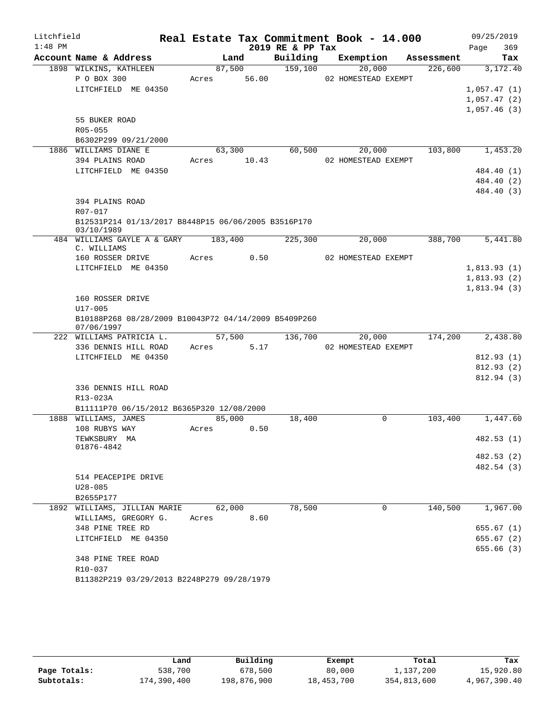| Litchfield |                                                                     |             |        |                  | Real Estate Tax Commitment Book - 14.000 |            | 09/25/2019  |
|------------|---------------------------------------------------------------------|-------------|--------|------------------|------------------------------------------|------------|-------------|
| $1:48$ PM  |                                                                     |             |        | 2019 RE & PP Tax |                                          |            | 369<br>Page |
|            | Account Name & Address                                              |             | Land   | Building         | Exemption                                | Assessment | Tax         |
|            | 1898 WILKINS, KATHLEEN                                              | 87,500      |        | 159,100          | 20,000                                   | 226,600    | 3,172.40    |
|            | P O BOX 300                                                         | Acres 56.00 |        |                  | 02 HOMESTEAD EXEMPT                      |            |             |
|            | LITCHFIELD ME 04350                                                 |             |        |                  |                                          |            | 1,057.47(1) |
|            |                                                                     |             |        |                  |                                          |            | 1,057.47(2) |
|            |                                                                     |             |        |                  |                                          |            | 1,057.46(3) |
|            | 55 BUKER ROAD<br>R05-055                                            |             |        |                  |                                          |            |             |
|            | B6302P299 09/21/2000                                                |             |        |                  |                                          |            |             |
|            | 1886 WILLIAMS DIANE E                                               | 63,300      |        | 60,500           | 20,000                                   | 103,800    | 1,453.20    |
|            | 394 PLAINS ROAD                                                     | Acres 10.43 |        |                  | 02 HOMESTEAD EXEMPT                      |            |             |
|            | LITCHFIELD ME 04350                                                 |             |        |                  |                                          |            | 484.40 (1)  |
|            |                                                                     |             |        |                  |                                          |            | 484.40 (2)  |
|            |                                                                     |             |        |                  |                                          |            | 484.40 (3)  |
|            | 394 PLAINS ROAD                                                     |             |        |                  |                                          |            |             |
|            | R07-017                                                             |             |        |                  |                                          |            |             |
|            | B12531P214 01/13/2017 B8448P15 06/06/2005 B3516P170                 |             |        |                  |                                          |            |             |
|            | 03/10/1989                                                          |             |        |                  |                                          |            |             |
|            | 484 WILLIAMS GAYLE A & GARY<br>C. WILLIAMS                          | 183,400     |        | 225,300          | 20,000                                   | 388,700    | 5,441.80    |
|            | 160 ROSSER DRIVE                                                    | Acres       | 0.50   |                  | 02 HOMESTEAD EXEMPT                      |            |             |
|            | LITCHFIELD ME 04350                                                 |             |        |                  |                                          |            | 1,813.93(1) |
|            |                                                                     |             |        |                  |                                          |            | 1,813.93(2) |
|            |                                                                     |             |        |                  |                                          |            | 1,813.94(3) |
|            | 160 ROSSER DRIVE                                                    |             |        |                  |                                          |            |             |
|            | $U17 - 005$<br>B10188P268 08/28/2009 B10043P72 04/14/2009 B5409P260 |             |        |                  |                                          |            |             |
|            | 07/06/1997                                                          |             |        |                  |                                          |            |             |
|            | 222 WILLIAMS PATRICIA L.                                            |             | 57,500 | 136,700          | 20,000                                   | 174,200    | 2,438.80    |
|            | 336 DENNIS HILL ROAD                                                | Acres 5.17  |        |                  | 02 HOMESTEAD EXEMPT                      |            |             |
|            | LITCHFIELD ME 04350                                                 |             |        |                  |                                          |            | 812.93(1)   |
|            |                                                                     |             |        |                  |                                          |            | 812.93(2)   |
|            |                                                                     |             |        |                  |                                          |            | 812.94 (3)  |
|            | 336 DENNIS HILL ROAD                                                |             |        |                  |                                          |            |             |
|            | R13-023A                                                            |             |        |                  |                                          |            |             |
|            | B11111P70 06/15/2012 B6365P320 12/08/2000                           |             |        |                  |                                          |            |             |
|            | 1888 WILLIAMS, JAMES<br>108 RUBYS WAY                               | 85,000      |        | 18,400           | $\Omega$                                 | 103,400    | 1,447.60    |
|            | TEWKSBURY MA                                                        | Acres       | 0.50   |                  |                                          |            | 482.53 (1)  |
|            | 01876-4842                                                          |             |        |                  |                                          |            |             |
|            |                                                                     |             |        |                  |                                          |            | 482.53 (2)  |
|            |                                                                     |             |        |                  |                                          |            | 482.54 (3)  |
|            | 514 PEACEPIPE DRIVE                                                 |             |        |                  |                                          |            |             |
|            | $U28 - 085$                                                         |             |        |                  |                                          |            |             |
|            | B2655P177                                                           |             |        |                  |                                          |            |             |
|            | 1892 WILLIAMS, JILLIAN MARIE                                        | 62,000      |        | 78,500           | 0                                        | 140,500    | 1,967.00    |
|            | WILLIAMS, GREGORY G.                                                | Acres       | 8.60   |                  |                                          |            |             |
|            | 348 PINE TREE RD                                                    |             |        |                  |                                          |            | 655.67 (1)  |
|            | LITCHFIELD ME 04350                                                 |             |        |                  |                                          |            | 655.67 (2)  |
|            |                                                                     |             |        |                  |                                          |            | 655.66(3)   |
|            | 348 PINE TREE ROAD                                                  |             |        |                  |                                          |            |             |
|            | R10-037                                                             |             |        |                  |                                          |            |             |
|            | B11382P219 03/29/2013 B2248P279 09/28/1979                          |             |        |                  |                                          |            |             |

|              | Land        | Building    | Exempt     | Total       | Tax          |
|--------------|-------------|-------------|------------|-------------|--------------|
| Page Totals: | 538,700     | 678,500     | 80,000     | 1,137,200   | 15,920.80    |
| Subtotals:   | 174,390,400 | 198,876,900 | 18,453,700 | 354,813,600 | 4,967,390.40 |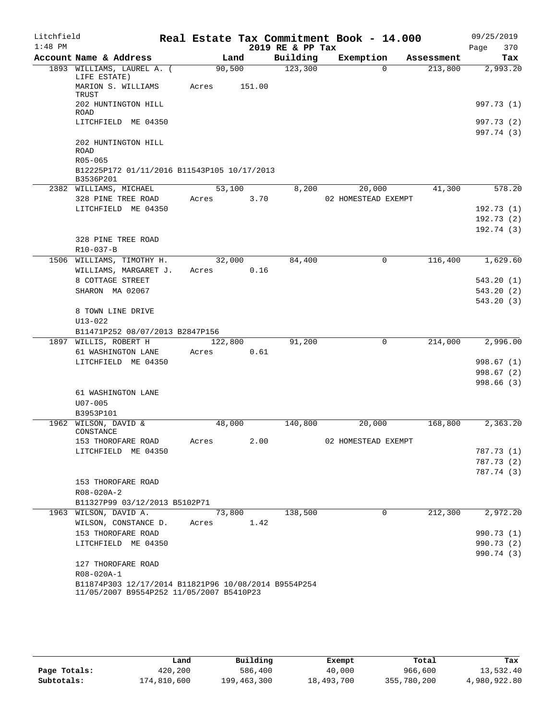| Litchfield |                                                                    |         |        |      | Real Estate Tax Commitment Book - 14.000 |                     |          |            |      | 09/25/2019             |
|------------|--------------------------------------------------------------------|---------|--------|------|------------------------------------------|---------------------|----------|------------|------|------------------------|
| $1:48$ PM  |                                                                    |         |        |      | 2019 RE & PP Tax                         |                     |          |            | Page | 370                    |
|            | Account Name & Address                                             |         | Land   |      | Building                                 | Exemption           |          | Assessment |      | Tax                    |
|            | 1893 WILLIAMS, LAUREL A. (<br>LIFE ESTATE)                         | 90,500  |        |      | 123,300                                  |                     | $\Omega$ | 213,800    |      | 2,993.20               |
|            | MARION S. WILLIAMS<br>TRUST                                        | Acres   | 151.00 |      |                                          |                     |          |            |      |                        |
|            | 202 HUNTINGTON HILL<br><b>ROAD</b>                                 |         |        |      |                                          |                     |          |            |      | 997.73 (1)             |
|            | LITCHFIELD ME 04350                                                |         |        |      |                                          |                     |          |            |      | 997.73 (2)             |
|            |                                                                    |         |        |      |                                          |                     |          |            |      | 997.74 (3)             |
|            | 202 HUNTINGTON HILL<br>ROAD<br>R05-065                             |         |        |      |                                          |                     |          |            |      |                        |
|            | B12225P172 01/11/2016 B11543P105 10/17/2013                        |         |        |      |                                          |                     |          |            |      |                        |
|            | B3536P201                                                          |         |        |      |                                          |                     |          |            |      |                        |
|            | 2382 WILLIAMS, MICHAEL                                             | 53,100  |        |      | 8,200                                    |                     | 20,000   | 41,300     |      | 578.20                 |
|            | 328 PINE TREE ROAD<br>LITCHFIELD ME 04350                          | Acres   |        | 3.70 |                                          | 02 HOMESTEAD EXEMPT |          |            |      | 192.73(1)              |
|            |                                                                    |         |        |      |                                          |                     |          |            |      | 192.73(2)              |
|            |                                                                    |         |        |      |                                          |                     |          |            |      | 192.74(3)              |
|            | 328 PINE TREE ROAD                                                 |         |        |      |                                          |                     |          |            |      |                        |
|            | R10-037-B                                                          |         |        |      |                                          |                     |          |            |      |                        |
|            | 1506 WILLIAMS, TIMOTHY H.                                          | 32,000  |        |      | 84,400                                   |                     | 0        | 116,400    |      | 1,629.60               |
|            | WILLIAMS, MARGARET J.                                              | Acres   |        | 0.16 |                                          |                     |          |            |      |                        |
|            | 8 COTTAGE STREET<br>SHARON MA 02067                                |         |        |      |                                          |                     |          |            |      | 543.20(1)              |
|            |                                                                    |         |        |      |                                          |                     |          |            |      | 543.20(2)<br>543.20(3) |
|            | 8 TOWN LINE DRIVE                                                  |         |        |      |                                          |                     |          |            |      |                        |
|            | $U13 - 022$                                                        |         |        |      |                                          |                     |          |            |      |                        |
|            | B11471P252 08/07/2013 B2847P156                                    |         |        |      |                                          |                     |          |            |      |                        |
|            | 1897 WILLIS, ROBERT H                                              | 122,800 |        |      | 91,200                                   |                     | $\Omega$ | 214,000    |      | 2,996.00               |
|            | 61 WASHINGTON LANE                                                 | Acres   |        | 0.61 |                                          |                     |          |            |      |                        |
|            | LITCHFIELD ME 04350                                                |         |        |      |                                          |                     |          |            |      | 998.67(1)<br>998.67(2) |
|            |                                                                    |         |        |      |                                          |                     |          |            |      | 998.66 (3)             |
|            | 61 WASHINGTON LANE                                                 |         |        |      |                                          |                     |          |            |      |                        |
|            | $U07 - 005$                                                        |         |        |      |                                          |                     |          |            |      |                        |
|            | B3953P101                                                          |         |        |      |                                          |                     |          |            |      |                        |
|            | 1962 WILSON, DAVID &<br>CONSTANCE                                  | 48,000  |        |      | 140,800                                  |                     | 20,000   | 168,800    |      | 2,363.20               |
|            | 153 THOROFARE ROAD                                                 | Acres   |        | 2.00 |                                          | 02 HOMESTEAD EXEMPT |          |            |      |                        |
|            | LITCHFIELD ME 04350                                                |         |        |      |                                          |                     |          |            |      | 787.73 (1)             |
|            |                                                                    |         |        |      |                                          |                     |          |            |      | 787.73 (2)             |
|            |                                                                    |         |        |      |                                          |                     |          |            |      | 787.74 (3)             |
|            | 153 THOROFARE ROAD                                                 |         |        |      |                                          |                     |          |            |      |                        |
|            | R08-020A-2<br>B11327P99 03/12/2013 B5102P71                        |         |        |      |                                          |                     |          |            |      |                        |
|            | 1963 WILSON, DAVID A.                                              | 73,800  |        |      | 138,500                                  |                     | $\Omega$ | 212,300    |      | 2,972.20               |
|            | WILSON, CONSTANCE D.                                               | Acres   |        | 1.42 |                                          |                     |          |            |      |                        |
|            | 153 THOROFARE ROAD                                                 |         |        |      |                                          |                     |          |            |      | 990.73 (1)             |
|            | LITCHFIELD ME 04350                                                |         |        |      |                                          |                     |          |            |      | 990.73 (2)             |
|            |                                                                    |         |        |      |                                          |                     |          |            |      | 990.74 (3)             |
|            | 127 THOROFARE ROAD                                                 |         |        |      |                                          |                     |          |            |      |                        |
|            | R08-020A-1<br>B11874P303 12/17/2014 B11821P96 10/08/2014 B9554P254 |         |        |      |                                          |                     |          |            |      |                        |
|            | 11/05/2007 B9554P252 11/05/2007 B5410P23                           |         |        |      |                                          |                     |          |            |      |                        |

|              | Land        | Building    | Exempt     | Total       | Tax          |
|--------------|-------------|-------------|------------|-------------|--------------|
| Page Totals: | 420,200     | 586,400     | 40,000     | 966,600     | 13,532.40    |
| Subtotals:   | 174,810,600 | 199,463,300 | 18,493,700 | 355,780,200 | 4,980,922.80 |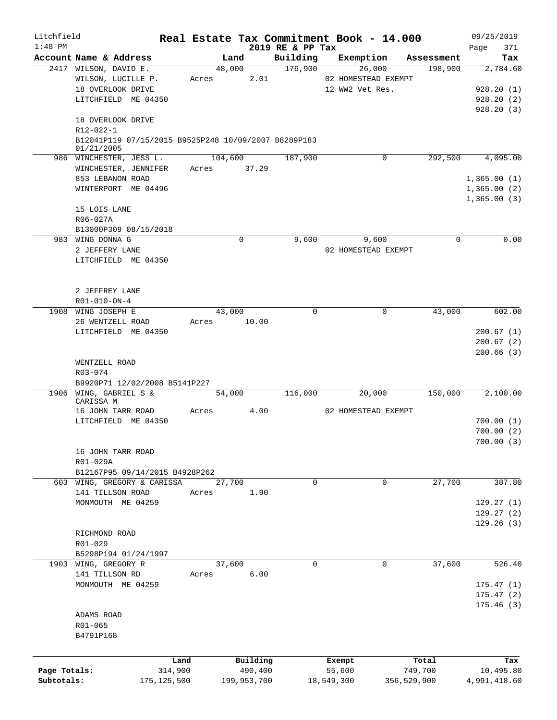| Litchfield   |                                                                    |       | Real Estate Tax Commitment Book - 14.000 |                     |                     |             |                       | 09/25/2019             |
|--------------|--------------------------------------------------------------------|-------|------------------------------------------|---------------------|---------------------|-------------|-----------------------|------------------------|
| $1:48$ PM    |                                                                    |       |                                          | 2019 RE & PP Tax    |                     |             |                       | 371<br>Page            |
|              | Account Name & Address<br>2417 WILSON, DAVID E.                    |       | Land<br>48,000                           | Building<br>176,900 | Exemption           | 26,000      | Assessment<br>198,900 | Tax<br>2,784.60        |
|              | WILSON, LUCILLE P.                                                 | Acres | 2.01                                     |                     | 02 HOMESTEAD EXEMPT |             |                       |                        |
|              | 18 OVERLOOK DRIVE                                                  |       |                                          |                     | 12 WW2 Vet Res.     |             |                       | 928.20(1)              |
|              | LITCHFIELD ME 04350                                                |       |                                          |                     |                     |             |                       | 928.20(2)              |
|              |                                                                    |       |                                          |                     |                     |             |                       | 928.20(3)              |
|              | 18 OVERLOOK DRIVE                                                  |       |                                          |                     |                     |             |                       |                        |
|              | R12-022-1                                                          |       |                                          |                     |                     |             |                       |                        |
|              | B12041P119 07/15/2015 B9525P248 10/09/2007 B8289P183<br>01/21/2005 |       |                                          |                     |                     |             |                       |                        |
|              | 986 WINCHESTER, JESS L.                                            |       | 104,600                                  | 187,900             |                     | 0           | 292,500               | 4,095.00               |
|              | WINCHESTER, JENNIFER                                               |       | Acres 37.29                              |                     |                     |             |                       |                        |
|              | 853 LEBANON ROAD                                                   |       |                                          |                     |                     |             |                       | 1,365.00(1)            |
|              | WINTERPORT ME 04496                                                |       |                                          |                     |                     |             |                       | 1,365.00(2)            |
|              |                                                                    |       |                                          |                     |                     |             |                       | 1,365.00(3)            |
|              | 15 LOIS LANE                                                       |       |                                          |                     |                     |             |                       |                        |
|              | R06-027A                                                           |       |                                          |                     |                     |             |                       |                        |
|              | B13000P309 08/15/2018                                              |       |                                          |                     |                     |             |                       |                        |
|              | 983 WING DONNA G                                                   |       | $\mathbf 0$                              | 9,600               |                     | 9,600       | 0                     | 0.00                   |
|              | 2 JEFFERY LANE                                                     |       |                                          |                     | 02 HOMESTEAD EXEMPT |             |                       |                        |
|              | LITCHFIELD ME 04350                                                |       |                                          |                     |                     |             |                       |                        |
|              |                                                                    |       |                                          |                     |                     |             |                       |                        |
|              |                                                                    |       |                                          |                     |                     |             |                       |                        |
|              | 2 JEFFREY LANE                                                     |       |                                          |                     |                     |             |                       |                        |
|              | R01-010-ON-4                                                       |       |                                          |                     |                     |             |                       |                        |
|              | 1908 WING JOSEPH E                                                 |       | 43,000                                   | $\Omega$            |                     | 0           | 43,000                | 602.00                 |
|              | 26 WENTZELL ROAD                                                   | Acres | 10.00                                    |                     |                     |             |                       |                        |
|              | LITCHFIELD ME 04350                                                |       |                                          |                     |                     |             |                       | 200.67(1)              |
|              |                                                                    |       |                                          |                     |                     |             |                       | 200.67(2)              |
|              |                                                                    |       |                                          |                     |                     |             |                       | 200.66(3)              |
|              | WENTZELL ROAD                                                      |       |                                          |                     |                     |             |                       |                        |
|              | R03-074                                                            |       |                                          |                     |                     |             |                       |                        |
|              | B9920P71 12/02/2008 B5141P227                                      |       |                                          |                     |                     |             |                       |                        |
|              | 1906 WING, GABRIEL S &                                             |       | 54,000                                   | 116,000             |                     | 20,000      | 150,000               | 2,100.00               |
|              | CARISSA M                                                          |       |                                          |                     |                     |             |                       |                        |
|              | 16 JOHN TARR ROAD<br>LITCHFIELD ME 04350                           | Acres | 4.00                                     |                     | 02 HOMESTEAD EXEMPT |             |                       |                        |
|              |                                                                    |       |                                          |                     |                     |             |                       | 700.00(1)              |
|              |                                                                    |       |                                          |                     |                     |             |                       | 700.00(2)<br>700.00(3) |
|              | 16 JOHN TARR ROAD                                                  |       |                                          |                     |                     |             |                       |                        |
|              | R01-029A                                                           |       |                                          |                     |                     |             |                       |                        |
|              | B12167P95 09/14/2015 B4928P262                                     |       |                                          |                     |                     |             |                       |                        |
|              | 603 WING, GREGORY & CARISSA                                        |       | 27,700                                   | $\mathbf 0$         |                     | 0           | 27,700                | 387.80                 |
|              | 141 TILLSON ROAD                                                   | Acres | 1.90                                     |                     |                     |             |                       |                        |
|              | MONMOUTH ME 04259                                                  |       |                                          |                     |                     |             |                       | 129.27(1)              |
|              |                                                                    |       |                                          |                     |                     |             |                       | 129.27(2)              |
|              |                                                                    |       |                                          |                     |                     |             |                       | 129.26(3)              |
|              | RICHMOND ROAD                                                      |       |                                          |                     |                     |             |                       |                        |
|              | R01-029                                                            |       |                                          |                     |                     |             |                       |                        |
|              | B5298P194 01/24/1997                                               |       |                                          |                     |                     |             |                       |                        |
|              | 1903 WING, GREGORY R                                               |       | 37,600                                   | 0                   |                     | 0           | 37,600                | 526.40                 |
|              | 141 TILLSON RD                                                     | Acres | 6.00                                     |                     |                     |             |                       |                        |
|              | MONMOUTH ME 04259                                                  |       |                                          |                     |                     |             |                       | 175.47(1)              |
|              |                                                                    |       |                                          |                     |                     |             |                       | 175.47(2)              |
|              |                                                                    |       |                                          |                     |                     |             |                       | 175.46(3)              |
|              | ADAMS ROAD                                                         |       |                                          |                     |                     |             |                       |                        |
|              | R01-065                                                            |       |                                          |                     |                     |             |                       |                        |
|              | B4791P168                                                          |       |                                          |                     |                     |             |                       |                        |
|              |                                                                    |       |                                          |                     |                     |             |                       |                        |
|              |                                                                    |       |                                          |                     |                     |             |                       |                        |
|              |                                                                    | Land  | Building                                 |                     | Exempt              |             | Total                 | Tax                    |
| Page Totals: | 314,900                                                            |       | 490,400                                  |                     | 55,600              |             | 749,700               | 10,495.80              |
| Subtotals:   | 175, 125, 500                                                      |       | 199,953,700                              |                     | 18,549,300          | 356,529,900 |                       | 4,991,418.60           |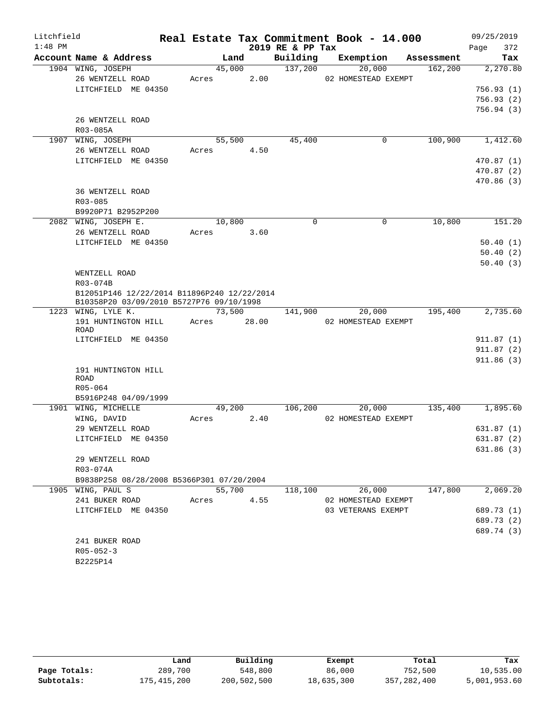| Litchfield |                                             |        |        |                  | Real Estate Tax Commitment Book - 14.000 |             |         | 09/25/2019 |        |
|------------|---------------------------------------------|--------|--------|------------------|------------------------------------------|-------------|---------|------------|--------|
| $1:48$ PM  |                                             |        |        | 2019 RE & PP Tax |                                          |             |         | Page       | 372    |
|            | Account Name & Address                      | Land   |        | Building         | Exemption                                | Assessment  |         |            | Tax    |
|            | 1904 WING, JOSEPH                           | 45,000 |        | 137,200          | 20,000                                   |             | 162,200 | 2,270.80   |        |
|            | 26 WENTZELL ROAD                            | Acres  | 2.00   |                  | 02 HOMESTEAD EXEMPT                      |             |         |            |        |
|            | LITCHFIELD ME 04350                         |        |        |                  |                                          |             |         | 756.93(1)  |        |
|            |                                             |        |        |                  |                                          |             |         | 756.93(2)  |        |
|            |                                             |        |        |                  |                                          |             |         | 756.94(3)  |        |
|            | 26 WENTZELL ROAD                            |        |        |                  |                                          |             |         |            |        |
|            | R03-085A                                    |        |        |                  |                                          |             |         |            |        |
|            | 1907 WING, JOSEPH                           | 55,500 |        | 45,400           |                                          | $\mathbf 0$ | 100,900 | 1,412.60   |        |
|            | 26 WENTZELL ROAD                            | Acres  | 4.50   |                  |                                          |             |         |            |        |
|            | LITCHFIELD ME 04350                         |        |        |                  |                                          |             |         | 470.87(1)  |        |
|            |                                             |        |        |                  |                                          |             |         | 470.87(2)  |        |
|            | 36 WENTZELL ROAD                            |        |        |                  |                                          |             |         | 470.86(3)  |        |
|            | R03-085                                     |        |        |                  |                                          |             |         |            |        |
|            | B9920P71 B2952P200                          |        |        |                  |                                          |             |         |            |        |
|            | 2082 WING, JOSEPH E.                        | 10,800 |        | $\Omega$         |                                          | 0           | 10,800  |            | 151.20 |
|            | 26 WENTZELL ROAD                            | Acres  | 3.60   |                  |                                          |             |         |            |        |
|            | LITCHFIELD ME 04350                         |        |        |                  |                                          |             |         | 50.40(1)   |        |
|            |                                             |        |        |                  |                                          |             |         | 50.40(2)   |        |
|            |                                             |        |        |                  |                                          |             |         | 50.40(3)   |        |
|            | WENTZELL ROAD                               |        |        |                  |                                          |             |         |            |        |
|            | R03-074B                                    |        |        |                  |                                          |             |         |            |        |
|            | B12051P146 12/22/2014 B11896P240 12/22/2014 |        |        |                  |                                          |             |         |            |        |
|            | B10358P20 03/09/2010 B5727P76 09/10/1998    |        |        |                  |                                          |             |         |            |        |
|            | 1223 WING, LYLE K.                          | 73,500 |        | 141,900          | 20,000                                   |             | 195,400 | 2,735.60   |        |
|            | 191 HUNTINGTON HILL                         | Acres  | 28.00  |                  | 02 HOMESTEAD EXEMPT                      |             |         |            |        |
|            | <b>ROAD</b>                                 |        |        |                  |                                          |             |         |            |        |
|            | LITCHFIELD ME 04350                         |        |        |                  |                                          |             |         | 911.87(1)  |        |
|            |                                             |        |        |                  |                                          |             |         | 911.87(2)  |        |
|            |                                             |        |        |                  |                                          |             |         | 911.86(3)  |        |
|            | 191 HUNTINGTON HILL<br><b>ROAD</b>          |        |        |                  |                                          |             |         |            |        |
|            | R05-064                                     |        |        |                  |                                          |             |         |            |        |
|            | B5916P248 04/09/1999                        |        |        |                  |                                          |             |         |            |        |
|            | 1901 WING, MICHELLE                         | 49,200 |        | 106,200          | 20,000                                   |             | 135,400 | 1,895.60   |        |
|            | WING, DAVID                                 | Acres  | 2.40   |                  | 02 HOMESTEAD EXEMPT                      |             |         |            |        |
|            | 29 WENTZELL ROAD                            |        |        |                  |                                          |             |         | 631.87(1)  |        |
|            | LITCHFIELD ME 04350                         |        |        |                  |                                          |             |         | 631.87 (2) |        |
|            |                                             |        |        |                  |                                          |             |         | 631.86(3)  |        |
|            | 29 WENTZELL ROAD                            |        |        |                  |                                          |             |         |            |        |
|            | R03-074A                                    |        |        |                  |                                          |             |         |            |        |
|            | B9838P258 08/28/2008 B5366P301 07/20/2004   |        |        |                  |                                          |             |         |            |        |
|            | 1905 WING, PAUL S                           |        | 55,700 | 118,100          | 26,000                                   |             | 147,800 | 2,069.20   |        |
|            | 241 BUKER ROAD                              | Acres  | 4.55   |                  | 02 HOMESTEAD EXEMPT                      |             |         |            |        |
|            | LITCHFIELD ME 04350                         |        |        |                  | 03 VETERANS EXEMPT                       |             |         | 689.73 (1) |        |
|            |                                             |        |        |                  |                                          |             |         | 689.73 (2) |        |
|            |                                             |        |        |                  |                                          |             |         | 689.74 (3) |        |
|            | 241 BUKER ROAD                              |        |        |                  |                                          |             |         |            |        |
|            | $R05 - 052 - 3$                             |        |        |                  |                                          |             |         |            |        |
|            | B2225P14                                    |        |        |                  |                                          |             |         |            |        |

|              | Land        | Building    | Exempt     | Total         | Tax          |
|--------------|-------------|-------------|------------|---------------|--------------|
| Page Totals: | 289,700     | 548,800     | 86,000     | 752,500       | 10,535.00    |
| Subtotals:   | 175,415,200 | 200,502,500 | 18,635,300 | 357, 282, 400 | 5,001,953.60 |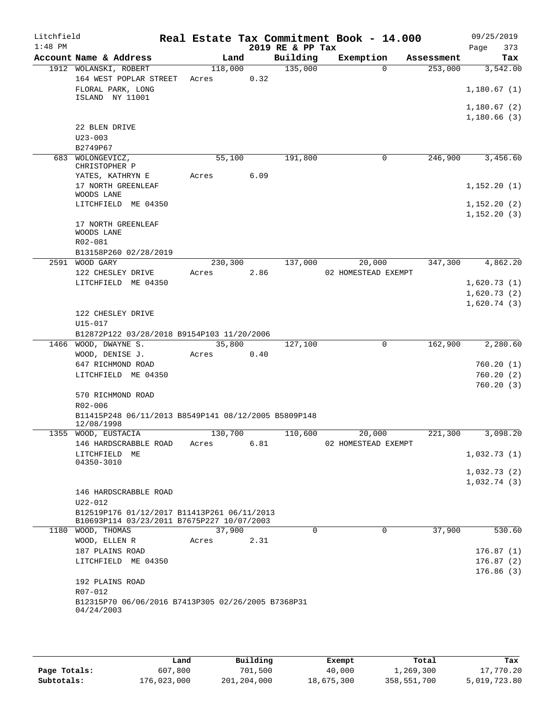| Litchfield<br>$1:48$ PM |                                                                                           |         |      | 2019 RE & PP Tax | Real Estate Tax Commitment Book - 14.000 |            | 09/25/2019                  |
|-------------------------|-------------------------------------------------------------------------------------------|---------|------|------------------|------------------------------------------|------------|-----------------------------|
|                         | Account Name & Address                                                                    | Land    |      | Building         | Exemption                                | Assessment | Page<br>373<br>Tax          |
|                         | 1912 WOLANSKI, ROBERT                                                                     | 118,000 |      | 135,000          | $\Omega$                                 | 253,000    | 3,542.00                    |
|                         | 164 WEST POPLAR STREET                                                                    | Acres   | 0.32 |                  |                                          |            |                             |
|                         | FLORAL PARK, LONG<br>ISLAND NY 11001                                                      |         |      |                  |                                          |            | 1,180.67(1)                 |
|                         |                                                                                           |         |      |                  |                                          |            | 1,180.67(2)                 |
|                         |                                                                                           |         |      |                  |                                          |            | 1,180.66(3)                 |
|                         | 22 BLEN DRIVE                                                                             |         |      |                  |                                          |            |                             |
|                         | $U23 - 003$                                                                               |         |      |                  |                                          |            |                             |
|                         | B2749P67                                                                                  |         |      |                  |                                          |            |                             |
|                         | 683 WOLONGEVICZ,<br>CHRISTOPHER P                                                         | 55,100  |      | 191,800          | 0                                        | 246,900    | 3,456.60                    |
|                         | YATES, KATHRYN E                                                                          | Acres   | 6.09 |                  |                                          |            |                             |
|                         | 17 NORTH GREENLEAF                                                                        |         |      |                  |                                          |            | 1,152.20(1)                 |
|                         | WOODS LANE                                                                                |         |      |                  |                                          |            |                             |
|                         | LITCHFIELD ME 04350                                                                       |         |      |                  |                                          |            | 1,152.20(2)<br>1, 152.20(3) |
|                         | 17 NORTH GREENLEAF                                                                        |         |      |                  |                                          |            |                             |
|                         | WOODS LANE                                                                                |         |      |                  |                                          |            |                             |
|                         | R02-081                                                                                   |         |      |                  |                                          |            |                             |
|                         | B13158P260 02/28/2019<br>2591 WOOD GARY                                                   | 230,300 |      | 137,000          | 20,000                                   | 347,300    | 4,862.20                    |
|                         | 122 CHESLEY DRIVE                                                                         | Acres   | 2.86 |                  | 02 HOMESTEAD EXEMPT                      |            |                             |
|                         | LITCHFIELD ME 04350                                                                       |         |      |                  |                                          |            | 1,620.73(1)                 |
|                         |                                                                                           |         |      |                  |                                          |            | 1,620.73(2)                 |
|                         |                                                                                           |         |      |                  |                                          |            | 1,620.74(3)                 |
|                         | 122 CHESLEY DRIVE                                                                         |         |      |                  |                                          |            |                             |
|                         | U15-017                                                                                   |         |      |                  |                                          |            |                             |
| 1466                    | B12872P122 03/28/2018 B9154P103 11/20/2006<br>WOOD, DWAYNE S.                             | 35,800  |      | 127,100          | 0                                        | 162,900    | 2,280.60                    |
|                         | WOOD, DENISE J.                                                                           | Acres   | 0.40 |                  |                                          |            |                             |
|                         | 647 RICHMOND ROAD                                                                         |         |      |                  |                                          |            | 760.20(1)                   |
|                         | LITCHFIELD ME 04350                                                                       |         |      |                  |                                          |            | 760.20(2)                   |
|                         |                                                                                           |         |      |                  |                                          |            | 760.20(3)                   |
|                         | 570 RICHMOND ROAD                                                                         |         |      |                  |                                          |            |                             |
|                         | $R02 - 006$<br>B11415P248 06/11/2013 B8549P141 08/12/2005 B5809P148                       |         |      |                  |                                          |            |                             |
|                         | 12/08/1998                                                                                |         |      |                  |                                          |            |                             |
|                         | 1355 WOOD, EUSTACIA                                                                       | 130,700 |      | 110,600          | 20,000                                   | 221,300    | 3,098.20                    |
|                         | 146 HARDSCRABBLE ROAD                                                                     | Acres   | 6.81 |                  | 02 HOMESTEAD EXEMPT                      |            |                             |
|                         | LITCHFIELD ME<br>04350-3010                                                               |         |      |                  |                                          |            | 1,032.73(1)                 |
|                         |                                                                                           |         |      |                  |                                          |            | 1,032.73(2)                 |
|                         |                                                                                           |         |      |                  |                                          |            | 1,032.74(3)                 |
|                         | 146 HARDSCRABBLE ROAD                                                                     |         |      |                  |                                          |            |                             |
|                         | U22-012                                                                                   |         |      |                  |                                          |            |                             |
|                         | B12519P176 01/12/2017 B11413P261 06/11/2013<br>B10693P114 03/23/2011 B7675P227 10/07/2003 |         |      |                  |                                          |            |                             |
|                         | 1180 WOOD, THOMAS                                                                         | 37,900  |      | $\mathbf 0$      | $\mathbf 0$                              | 37,900     | 530.60                      |
|                         | WOOD, ELLEN R                                                                             | Acres   | 2.31 |                  |                                          |            |                             |
|                         | 187 PLAINS ROAD                                                                           |         |      |                  |                                          |            | 176.87(1)                   |
|                         | LITCHFIELD ME 04350                                                                       |         |      |                  |                                          |            | 176.87(2)                   |
|                         |                                                                                           |         |      |                  |                                          |            | 176.86(3)                   |
|                         | 192 PLAINS ROAD<br>R07-012                                                                |         |      |                  |                                          |            |                             |
|                         | B12315P70 06/06/2016 B7413P305 02/26/2005 B7368P31                                        |         |      |                  |                                          |            |                             |
|                         | 04/24/2003                                                                                |         |      |                  |                                          |            |                             |
|                         |                                                                                           |         |      |                  |                                          |            |                             |

|              | Land        | Building      | Exempt     | Total       | Tax          |
|--------------|-------------|---------------|------------|-------------|--------------|
| Page Totals: | 607,800     | 701,500       | 40,000     | l,269,300   | 17,770.20    |
| Subtotals:   | 176,023,000 | 201, 204, 000 | 18,675,300 | 358,551,700 | 5,019,723.80 |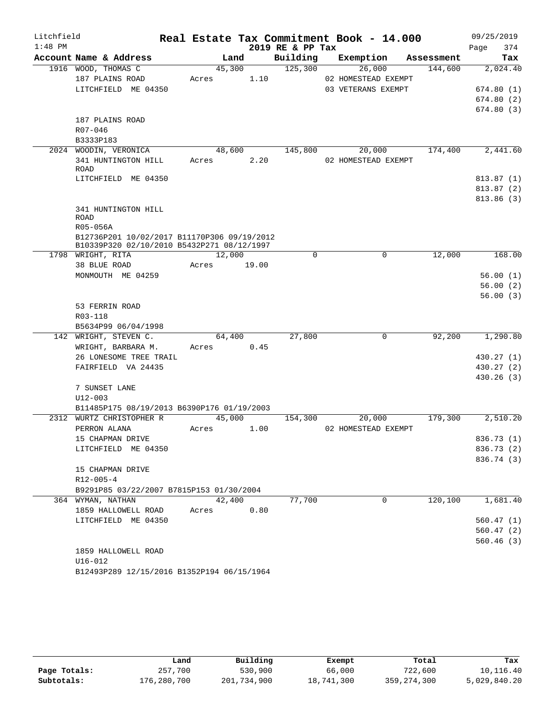| Litchfield |                                                                 |            |        |                  | Real Estate Tax Commitment Book - 14.000 |            | 09/25/2019 |     |
|------------|-----------------------------------------------------------------|------------|--------|------------------|------------------------------------------|------------|------------|-----|
| $1:48$ PM  |                                                                 |            |        | 2019 RE & PP Tax |                                          |            | Page       | 374 |
|            | Account Name & Address                                          | Land       |        | Building         | Exemption                                | Assessment |            | Tax |
|            | 1916 WOOD, THOMAS C                                             | 45,300     |        | 125,300          | 26,000<br>02 HOMESTEAD EXEMPT            | 144,600    | 2,024.40   |     |
|            | 187 PLAINS ROAD<br>LITCHFIELD ME 04350                          | Acres      | 1.10   |                  | 03 VETERANS EXEMPT                       |            | 674.80(1)  |     |
|            |                                                                 |            |        |                  |                                          |            | 674.80(2)  |     |
|            |                                                                 |            |        |                  |                                          |            | 674.80(3)  |     |
|            | 187 PLAINS ROAD                                                 |            |        |                  |                                          |            |            |     |
|            | R07-046                                                         |            |        |                  |                                          |            |            |     |
|            | B3333P183                                                       |            |        |                  |                                          |            |            |     |
|            | 2024 WOODIN, VERONICA                                           |            | 48,600 | 145,800          | 20,000                                   | 174,400    | 2,441.60   |     |
|            | 341 HUNTINGTON HILL                                             | Acres      | 2.20   |                  | 02 HOMESTEAD EXEMPT                      |            |            |     |
|            | ROAD                                                            |            |        |                  |                                          |            |            |     |
|            | LITCHFIELD ME 04350                                             |            |        |                  |                                          |            | 813.87(1)  |     |
|            |                                                                 |            |        |                  |                                          |            | 813.87 (2) |     |
|            |                                                                 |            |        |                  |                                          |            | 813.86 (3) |     |
|            | 341 HUNTINGTON HILL                                             |            |        |                  |                                          |            |            |     |
|            | ROAD                                                            |            |        |                  |                                          |            |            |     |
|            | R05-056A                                                        |            |        |                  |                                          |            |            |     |
|            | B12736P201 10/02/2017 B11170P306 09/19/2012                     |            |        |                  |                                          |            |            |     |
|            | B10339P320 02/10/2010 B5432P271 08/12/1997<br>1798 WRIGHT, RITA | 12,000     |        | $\Omega$         | $\Omega$                                 | 12,000     | 168.00     |     |
|            | 38 BLUE ROAD                                                    | Acres      | 19.00  |                  |                                          |            |            |     |
|            | MONMOUTH ME 04259                                               |            |        |                  |                                          |            | 56.00(1)   |     |
|            |                                                                 |            |        |                  |                                          |            | 56.00(2)   |     |
|            |                                                                 |            |        |                  |                                          |            | 56.00(3)   |     |
|            | 53 FERRIN ROAD                                                  |            |        |                  |                                          |            |            |     |
|            | R03-118                                                         |            |        |                  |                                          |            |            |     |
|            | B5634P99 06/04/1998                                             |            |        |                  |                                          |            |            |     |
|            | 142 WRIGHT, STEVEN C.                                           | 64,400     |        | 27,800           | $\mathbf 0$                              | 92,200     | 1,290.80   |     |
|            | WRIGHT, BARBARA M.                                              | Acres 0.45 |        |                  |                                          |            |            |     |
|            | 26 LONESOME TREE TRAIL                                          |            |        |                  |                                          |            | 430.27 (1) |     |
|            | FAIRFIELD VA 24435                                              |            |        |                  |                                          |            | 430.27 (2) |     |
|            |                                                                 |            |        |                  |                                          |            | 430.26(3)  |     |
|            | 7 SUNSET LANE                                                   |            |        |                  |                                          |            |            |     |
|            | $U12 - 003$                                                     |            |        |                  |                                          |            |            |     |
|            | B11485P175 08/19/2013 B6390P176 01/19/2003                      |            |        |                  |                                          |            |            |     |
|            | 2312 WURTZ CHRISTOPHER R                                        | 45,000     |        | 154,300          | 20,000                                   | 179,300    | 2,510.20   |     |
|            | PERRON ALANA                                                    | Acres      | 1.00   |                  | 02 HOMESTEAD EXEMPT                      |            |            |     |
|            | 15 CHAPMAN DRIVE                                                |            |        |                  |                                          |            | 836.73 (1) |     |
|            | LITCHFIELD ME 04350                                             |            |        |                  |                                          |            | 836.73 (2) |     |
|            |                                                                 |            |        |                  |                                          |            | 836.74 (3) |     |
|            | 15 CHAPMAN DRIVE                                                |            |        |                  |                                          |            |            |     |
|            | $R12 - 005 - 4$                                                 |            |        |                  |                                          |            |            |     |
|            | B9291P85 03/22/2007 B7815P153 01/30/2004                        |            |        |                  |                                          |            |            |     |
|            | 364 WYMAN, NATHAN                                               | 42,400     |        | 77,700           | $\Omega$                                 | 120,100    | 1,681.40   |     |
|            | 1859 HALLOWELL ROAD                                             | Acres      | 0.80   |                  |                                          |            |            |     |
|            | LITCHFIELD ME 04350                                             |            |        |                  |                                          |            | 560.47(1)  |     |
|            |                                                                 |            |        |                  |                                          |            | 560.47(2)  |     |
|            |                                                                 |            |        |                  |                                          |            | 560.46(3)  |     |
|            | 1859 HALLOWELL ROAD                                             |            |        |                  |                                          |            |            |     |
|            | $U16 - 012$                                                     |            |        |                  |                                          |            |            |     |
|            | B12493P289 12/15/2016 B1352P194 06/15/1964                      |            |        |                  |                                          |            |            |     |

|              | Land        | Building    | Exempt     | Total         | Tax          |
|--------------|-------------|-------------|------------|---------------|--------------|
| Page Totals: | 257,700     | 530,900     | 66,000     | 722,600       | 10,116.40    |
| Subtotals:   | 176,280,700 | 201,734,900 | 18,741,300 | 359, 274, 300 | 5,029,840.20 |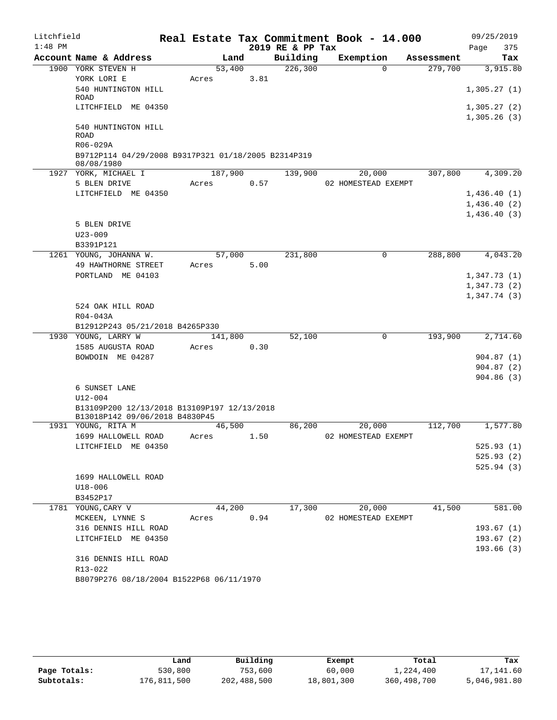| Litchfield |                                                                 |         |      |                  | Real Estate Tax Commitment Book - 14.000 |            | 09/25/2019             |
|------------|-----------------------------------------------------------------|---------|------|------------------|------------------------------------------|------------|------------------------|
| $1:48$ PM  |                                                                 |         |      | 2019 RE & PP Tax |                                          |            | 375<br>Page            |
|            | Account Name & Address                                          | Land    |      | Building         | Exemption                                | Assessment | Tax                    |
|            | 1900 YORK STEVEN H                                              | 53,400  |      | 226, 300         | $\Omega$                                 | 279,700    | 3,915.80               |
|            | YORK LORI E                                                     | Acres   | 3.81 |                  |                                          |            |                        |
|            | 540 HUNTINGTON HILL<br>ROAD                                     |         |      |                  |                                          |            | 1,305.27(1)            |
|            | LITCHFIELD ME 04350                                             |         |      |                  |                                          |            | 1,305.27(2)            |
|            |                                                                 |         |      |                  |                                          |            | 1,305.26(3)            |
|            | 540 HUNTINGTON HILL                                             |         |      |                  |                                          |            |                        |
|            | <b>ROAD</b>                                                     |         |      |                  |                                          |            |                        |
|            | R06-029A<br>B9712P114 04/29/2008 B9317P321 01/18/2005 B2314P319 |         |      |                  |                                          |            |                        |
|            | 08/08/1980                                                      |         |      |                  |                                          |            |                        |
|            | 1927 YORK, MICHAEL I                                            | 187,900 |      | 139,900          | 20,000                                   | 307,800    | 4,309.20               |
|            | 5 BLEN DRIVE                                                    | Acres   | 0.57 |                  | 02 HOMESTEAD EXEMPT                      |            |                        |
|            | LITCHFIELD ME 04350                                             |         |      |                  |                                          |            | 1,436.40(1)            |
|            |                                                                 |         |      |                  |                                          |            | 1,436.40(2)            |
|            |                                                                 |         |      |                  |                                          |            | 1,436.40(3)            |
|            | 5 BLEN DRIVE                                                    |         |      |                  |                                          |            |                        |
|            | $U23 - 009$                                                     |         |      |                  |                                          |            |                        |
|            | B3391P121<br>1261 YOUNG, JOHANNA W.                             | 57,000  |      | 231,800          | 0                                        | 288,800    | 4,043.20               |
|            | 49 HAWTHORNE STREET                                             | Acres   | 5.00 |                  |                                          |            |                        |
|            | PORTLAND ME 04103                                               |         |      |                  |                                          |            | 1,347.73(1)            |
|            |                                                                 |         |      |                  |                                          |            | 1,347.73(2)            |
|            |                                                                 |         |      |                  |                                          |            | 1,347.74(3)            |
|            | 524 OAK HILL ROAD                                               |         |      |                  |                                          |            |                        |
|            | R04-043A                                                        |         |      |                  |                                          |            |                        |
|            | B12912P243 05/21/2018 B4265P330                                 |         |      |                  |                                          |            |                        |
|            | 1930 YOUNG, LARRY W                                             | 141,800 |      | 52,100           | $\mathbf 0$                              | 193,900    | 2,714.60               |
|            | 1585 AUGUSTA ROAD                                               | Acres   | 0.30 |                  |                                          |            |                        |
|            | BOWDOIN ME 04287                                                |         |      |                  |                                          |            | 904.87(1)<br>904.87(2) |
|            |                                                                 |         |      |                  |                                          |            | 904.86(3)              |
|            | 6 SUNSET LANE                                                   |         |      |                  |                                          |            |                        |
|            | $U12 - 004$                                                     |         |      |                  |                                          |            |                        |
|            | B13109P200 12/13/2018 B13109P197 12/13/2018                     |         |      |                  |                                          |            |                        |
|            | B13018P142 09/06/2018 B4830P45                                  |         |      |                  |                                          |            |                        |
|            | 1931 YOUNG, RITA M                                              | 46,500  |      | 86,200           | 20,000                                   | 112,700    | 1,577.80               |
|            | 1699 HALLOWELL ROAD                                             | Acres   | 1.50 |                  | 02 HOMESTEAD EXEMPT                      |            | 525.93(1)              |
|            | LITCHFIELD ME 04350                                             |         |      |                  |                                          |            | 525.93(2)              |
|            |                                                                 |         |      |                  |                                          |            | 525.94(3)              |
|            | 1699 HALLOWELL ROAD                                             |         |      |                  |                                          |            |                        |
|            | U18-006                                                         |         |      |                  |                                          |            |                        |
|            | B3452P17                                                        |         |      |                  |                                          |            |                        |
|            | 1781 YOUNG, CARY V                                              | 44,200  |      | 17,300           | 20,000                                   | 41,500     | 581.00                 |
|            | MCKEEN, LYNNE S                                                 | Acres   | 0.94 |                  | 02 HOMESTEAD EXEMPT                      |            |                        |
|            | 316 DENNIS HILL ROAD                                            |         |      |                  |                                          |            | 193.67(1)              |
|            | LITCHFIELD ME 04350                                             |         |      |                  |                                          |            | 193.67(2)              |
|            |                                                                 |         |      |                  |                                          |            | 193.66(3)              |
|            | 316 DENNIS HILL ROAD<br>R13-022                                 |         |      |                  |                                          |            |                        |
|            | B8079P276 08/18/2004 B1522P68 06/11/1970                        |         |      |                  |                                          |            |                        |
|            |                                                                 |         |      |                  |                                          |            |                        |

|              | Land        | Building    | Exempt     | Total         | Tax          |
|--------------|-------------|-------------|------------|---------------|--------------|
| Page Totals: | 530,800     | 753,600     | 60,000     | 1,224,400     | 17,141.60    |
| Subtotals:   | 176,811,500 | 202,488,500 | 18,801,300 | 360, 498, 700 | 5,046,981.80 |